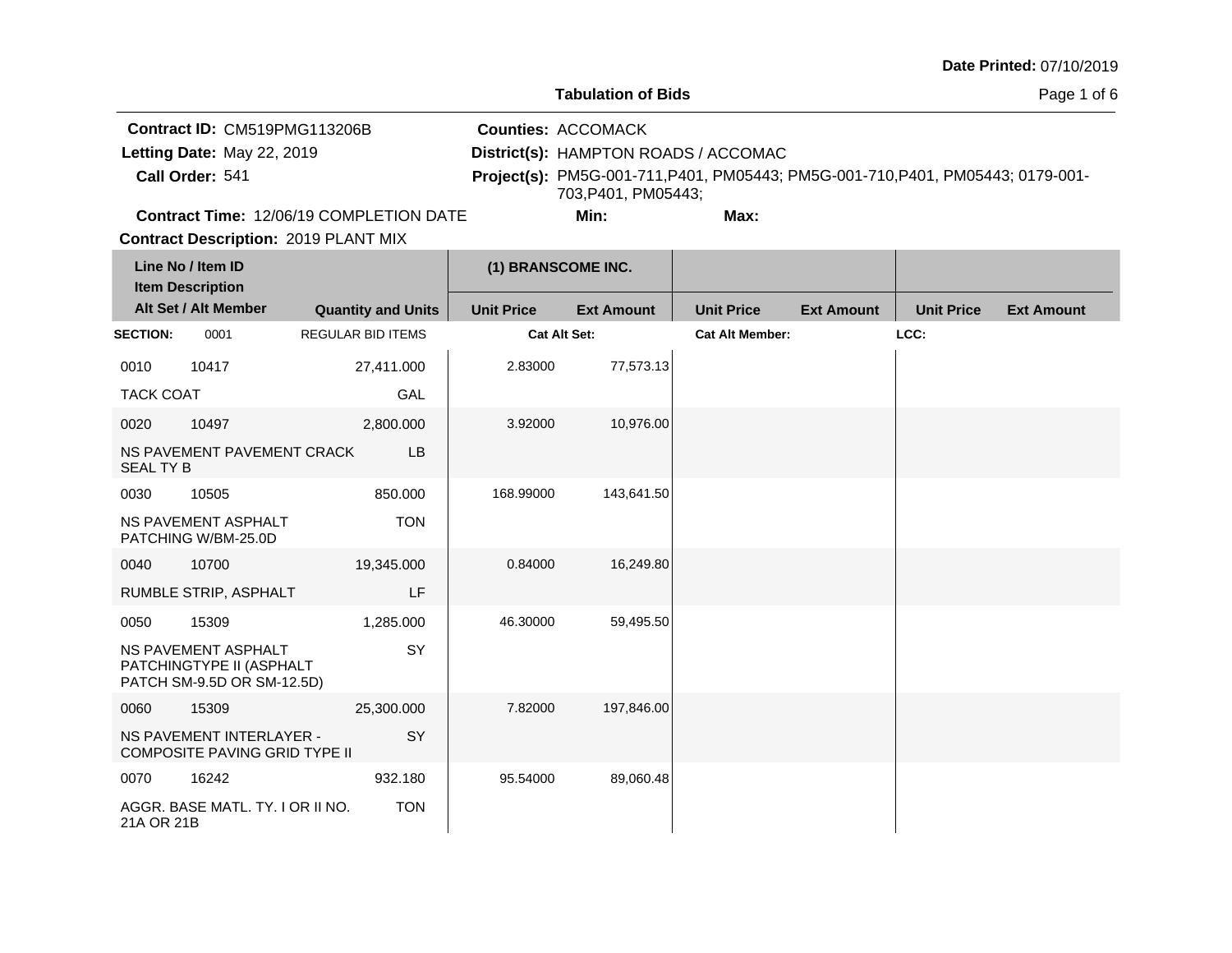T.

**Tabulation of Bids**

Page 1 of 6

|                 | <b>Contract ID: CM519PMG113206B</b>                                                                                | <b>Counties: ACCOMACK</b>            |                                                                                 |
|-----------------|--------------------------------------------------------------------------------------------------------------------|--------------------------------------|---------------------------------------------------------------------------------|
|                 | Letting Date: May 22, 2019                                                                                         | District(s): HAMPTON ROADS / ACCOMAC |                                                                                 |
| Call Order: 541 |                                                                                                                    | 703.P401. PM05443:                   | Project(s): PM5G-001-711, P401, PM05443; PM5G-001-710, P401, PM05443; 0179-001- |
|                 | $\sqrt{2}$ . $\sqrt{2}$ . $\sqrt{2}$ . $\sqrt{2}$ . $\sqrt{2}$ . $\sqrt{2}$ . $\sqrt{2}$ . $\sqrt{2}$ . $\sqrt{2}$ |                                      |                                                                                 |

**Contract Time:** 12/06/19 COMPLETION DATE

**Min: Max:**

T.

**Contract Description: 2019 PLANT MIX** 

|                  | Line No / Item ID<br><b>Item Description</b>                                  |                           | (1) BRANSCOME INC. |                   |                        |                   |                   |                   |
|------------------|-------------------------------------------------------------------------------|---------------------------|--------------------|-------------------|------------------------|-------------------|-------------------|-------------------|
|                  | Alt Set / Alt Member                                                          | <b>Quantity and Units</b> | <b>Unit Price</b>  | <b>Ext Amount</b> | <b>Unit Price</b>      | <b>Ext Amount</b> | <b>Unit Price</b> | <b>Ext Amount</b> |
| <b>SECTION:</b>  | 0001                                                                          | <b>REGULAR BID ITEMS</b>  | Cat Alt Set:       |                   | <b>Cat Alt Member:</b> |                   | LCC:              |                   |
| 0010             | 10417                                                                         | 27,411.000                | 2.83000            | 77,573.13         |                        |                   |                   |                   |
| <b>TACK COAT</b> |                                                                               | <b>GAL</b>                |                    |                   |                        |                   |                   |                   |
| 0020             | 10497                                                                         | 2,800.000                 | 3.92000            | 10,976.00         |                        |                   |                   |                   |
| <b>SEAL TY B</b> | NS PAVEMENT PAVEMENT CRACK                                                    | LB                        |                    |                   |                        |                   |                   |                   |
| 0030             | 10505                                                                         | 850.000                   | 168.99000          | 143,641.50        |                        |                   |                   |                   |
|                  | NS PAVEMENT ASPHALT<br>PATCHING W/BM-25.0D                                    | <b>TON</b>                |                    |                   |                        |                   |                   |                   |
| 0040             | 10700                                                                         | 19,345.000                | 0.84000            | 16,249.80         |                        |                   |                   |                   |
|                  | RUMBLE STRIP, ASPHALT                                                         | LF                        |                    |                   |                        |                   |                   |                   |
| 0050             | 15309                                                                         | 1,285.000                 | 46.30000           | 59,495.50         |                        |                   |                   |                   |
|                  | NS PAVEMENT ASPHALT<br>PATCHINGTYPE II (ASPHALT<br>PATCH SM-9.5D OR SM-12.5D) | SY                        |                    |                   |                        |                   |                   |                   |
| 0060             | 15309                                                                         | 25,300.000                | 7.82000            | 197,846.00        |                        |                   |                   |                   |
|                  | NS PAVEMENT INTERLAYER -<br><b>COMPOSITE PAVING GRID TYPE II</b>              | SY                        |                    |                   |                        |                   |                   |                   |
| 0070             | 16242                                                                         | 932.180                   | 95.54000           | 89,060.48         |                        |                   |                   |                   |
| 21A OR 21B       | AGGR. BASE MATL, TY, I OR II NO.                                              | <b>TON</b>                |                    |                   |                        |                   |                   |                   |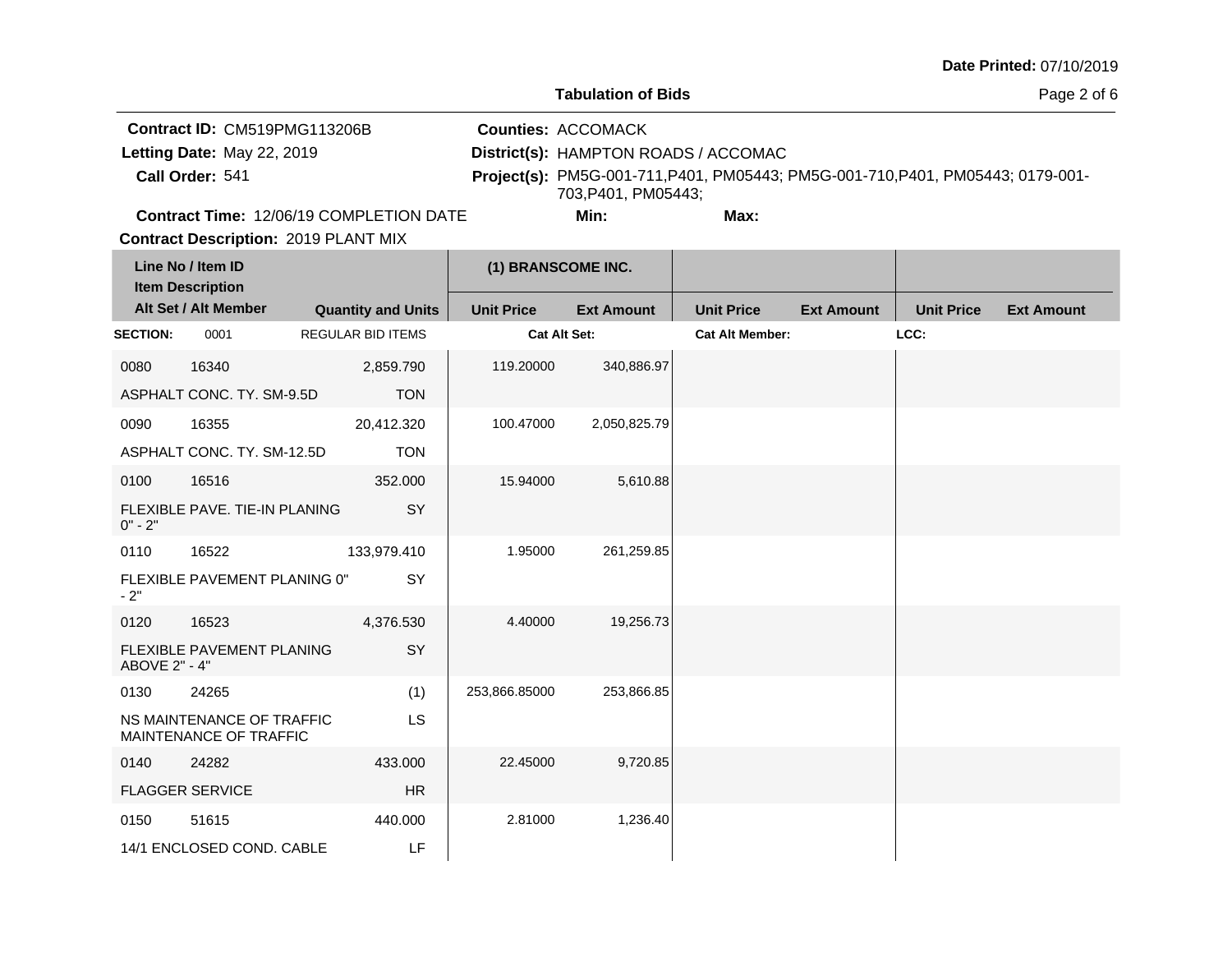المنازل

#### **Tabulation of Bids**

**The Co** 

Page 2 of 6

|                 | <b>Contract ID: CM519PMG113206B</b>            | <b>Counties: ACCOMACK</b>            |      |                                                                                 |
|-----------------|------------------------------------------------|--------------------------------------|------|---------------------------------------------------------------------------------|
|                 | Letting Date: May 22, 2019                     | District(s): HAMPTON ROADS / ACCOMAC |      |                                                                                 |
| Call Order: 541 |                                                |                                      |      | Project(s): PM5G-001-711, P401, PM05443; PM5G-001-710, P401, PM05443; 0179-001- |
|                 |                                                | 703.P401. PM05443:                   |      |                                                                                 |
|                 | <b>Contract Time: 12/06/19 COMPLETION DATE</b> | Min:                                 | Max: |                                                                                 |

**Contract Description: 2019 PLANT MIX** 

| Line No / Item ID<br><b>Item Description</b> |                                                     | (1) BRANSCOME INC.        |                     |                   |                        |                   |                   |                   |
|----------------------------------------------|-----------------------------------------------------|---------------------------|---------------------|-------------------|------------------------|-------------------|-------------------|-------------------|
|                                              | Alt Set / Alt Member                                | <b>Quantity and Units</b> | <b>Unit Price</b>   | <b>Ext Amount</b> | <b>Unit Price</b>      | <b>Ext Amount</b> | <b>Unit Price</b> | <b>Ext Amount</b> |
| <b>SECTION:</b>                              | 0001                                                | <b>REGULAR BID ITEMS</b>  | <b>Cat Alt Set:</b> |                   | <b>Cat Alt Member:</b> |                   | LCC:              |                   |
| 0080                                         | 16340                                               | 2,859.790                 | 119.20000           | 340,886.97        |                        |                   |                   |                   |
|                                              | ASPHALT CONC. TY. SM-9.5D                           | <b>TON</b>                |                     |                   |                        |                   |                   |                   |
| 0090                                         | 16355                                               | 20,412.320                | 100.47000           | 2,050,825.79      |                        |                   |                   |                   |
|                                              | ASPHALT CONC. TY. SM-12.5D                          | <b>TON</b>                |                     |                   |                        |                   |                   |                   |
| 0100                                         | 16516                                               | 352.000                   | 15.94000            | 5,610.88          |                        |                   |                   |                   |
| $0" - 2"$                                    | FLEXIBLE PAVE, TIE-IN PLANING                       | SY                        |                     |                   |                        |                   |                   |                   |
| 0110                                         | 16522                                               | 133,979.410               | 1.95000             | 261,259.85        |                        |                   |                   |                   |
| $-2"$                                        | FLEXIBLE PAVEMENT PLANING 0"                        | SY                        |                     |                   |                        |                   |                   |                   |
| 0120                                         | 16523                                               | 4,376.530                 | 4.40000             | 19,256.73         |                        |                   |                   |                   |
| ABOVE 2" - 4"                                | FLEXIBLE PAVEMENT PLANING                           | SY                        |                     |                   |                        |                   |                   |                   |
| 0130                                         | 24265                                               | (1)                       | 253,866.85000       | 253,866.85        |                        |                   |                   |                   |
|                                              | NS MAINTENANCE OF TRAFFIC<br>MAINTENANCE OF TRAFFIC | LS                        |                     |                   |                        |                   |                   |                   |
| 0140                                         | 24282                                               | 433.000                   | 22.45000            | 9,720.85          |                        |                   |                   |                   |
|                                              | <b>FLAGGER SERVICE</b>                              | HR                        |                     |                   |                        |                   |                   |                   |
| 0150                                         | 51615                                               | 440.000                   | 2.81000             | 1,236.40          |                        |                   |                   |                   |
|                                              | 14/1 ENCLOSED COND. CABLE                           | LF                        |                     |                   |                        |                   |                   |                   |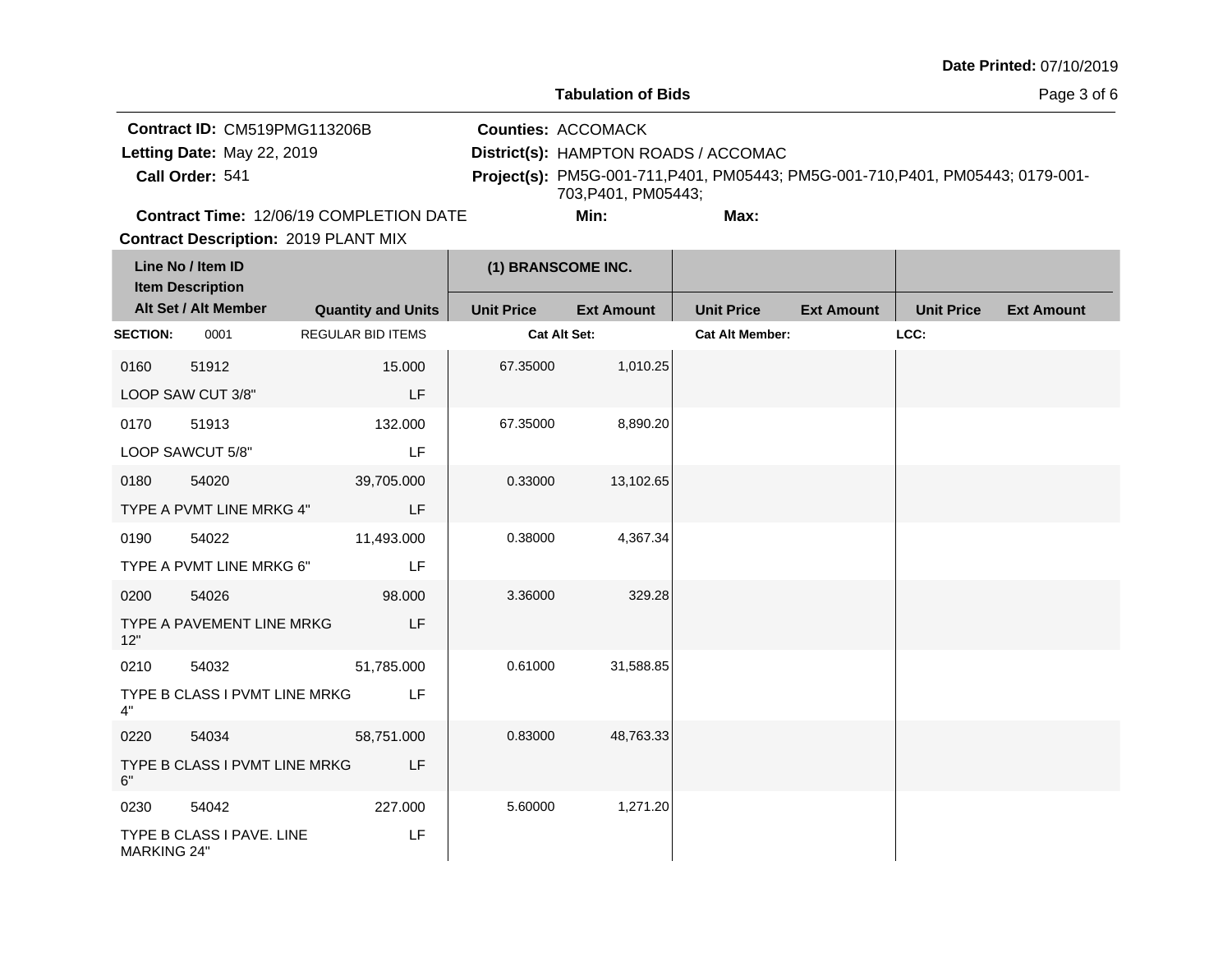**Tabulation of Bids**

Page 3 of 6

|                 | <b>Contract ID: CM519PMG113206B</b>            | <b>Counties: ACCOMACK</b>                                                                             |      |  |
|-----------------|------------------------------------------------|-------------------------------------------------------------------------------------------------------|------|--|
|                 | Letting Date: May 22, 2019                     | District(s): HAMPTON ROADS / ACCOMAC                                                                  |      |  |
| Call Order: 541 |                                                | Project(s): PM5G-001-711, P401, PM05443; PM5G-001-710, P401, PM05443; 0179-001-<br>703.P401. PM05443: |      |  |
|                 | <b>Contract Time: 12/06/19 COMPLETION DATE</b> | Min:                                                                                                  | Max: |  |

**Contract Time:** 12/06/19 COMPLETION DATE

|  | ı       |
|--|---------|
|  | wĸ<br>ı |

|                                              | <b>Contract Description: 2019 PLANT MIX</b> |                           |                     |                   |                        |                   |                   |                   |  |
|----------------------------------------------|---------------------------------------------|---------------------------|---------------------|-------------------|------------------------|-------------------|-------------------|-------------------|--|
| Line No / Item ID<br><b>Item Description</b> |                                             |                           | (1) BRANSCOME INC.  |                   |                        |                   |                   |                   |  |
|                                              | Alt Set / Alt Member                        | <b>Quantity and Units</b> | <b>Unit Price</b>   | <b>Ext Amount</b> | <b>Unit Price</b>      | <b>Ext Amount</b> | <b>Unit Price</b> | <b>Ext Amount</b> |  |
| <b>SECTION:</b>                              | 0001                                        | <b>REGULAR BID ITEMS</b>  | <b>Cat Alt Set:</b> |                   | <b>Cat Alt Member:</b> |                   | LCC:              |                   |  |
| 0160                                         | 51912                                       | 15.000                    | 67.35000            | 1,010.25          |                        |                   |                   |                   |  |
|                                              | LOOP SAW CUT 3/8"                           | LF                        |                     |                   |                        |                   |                   |                   |  |
| 0170                                         | 51913                                       | 132.000                   | 67.35000            | 8,890.20          |                        |                   |                   |                   |  |
|                                              | LOOP SAWCUT 5/8"                            | LF                        |                     |                   |                        |                   |                   |                   |  |
| 0180                                         | 54020                                       | 39,705.000                | 0.33000             | 13,102.65         |                        |                   |                   |                   |  |
|                                              | TYPE A PVMT LINE MRKG 4"                    | LF                        |                     |                   |                        |                   |                   |                   |  |
| 0190                                         | 54022                                       | 11,493.000                | 0.38000             | 4,367.34          |                        |                   |                   |                   |  |
|                                              | TYPE A PVMT LINE MRKG 6"                    | LF                        |                     |                   |                        |                   |                   |                   |  |
| 0200                                         | 54026                                       | 98.000                    | 3.36000             | 329.28            |                        |                   |                   |                   |  |
| 12"                                          | TYPE A PAVEMENT LINE MRKG                   | LF                        |                     |                   |                        |                   |                   |                   |  |
| 0210                                         | 54032                                       | 51,785.000                | 0.61000             | 31,588.85         |                        |                   |                   |                   |  |
| 4"                                           | TYPE B CLASS I PVMT LINE MRKG               | LF                        |                     |                   |                        |                   |                   |                   |  |
| 0220                                         | 54034                                       | 58,751.000                | 0.83000             | 48,763.33         |                        |                   |                   |                   |  |
| 6"                                           | TYPE B CLASS I PVMT LINE MRKG               | LF                        |                     |                   |                        |                   |                   |                   |  |
| 0230                                         | 54042                                       | 227.000                   | 5.60000             | 1,271.20          |                        |                   |                   |                   |  |
| <b>MARKING 24"</b>                           | TYPE B CLASS I PAVE. LINE                   | <b>LF</b>                 |                     |                   |                        |                   |                   |                   |  |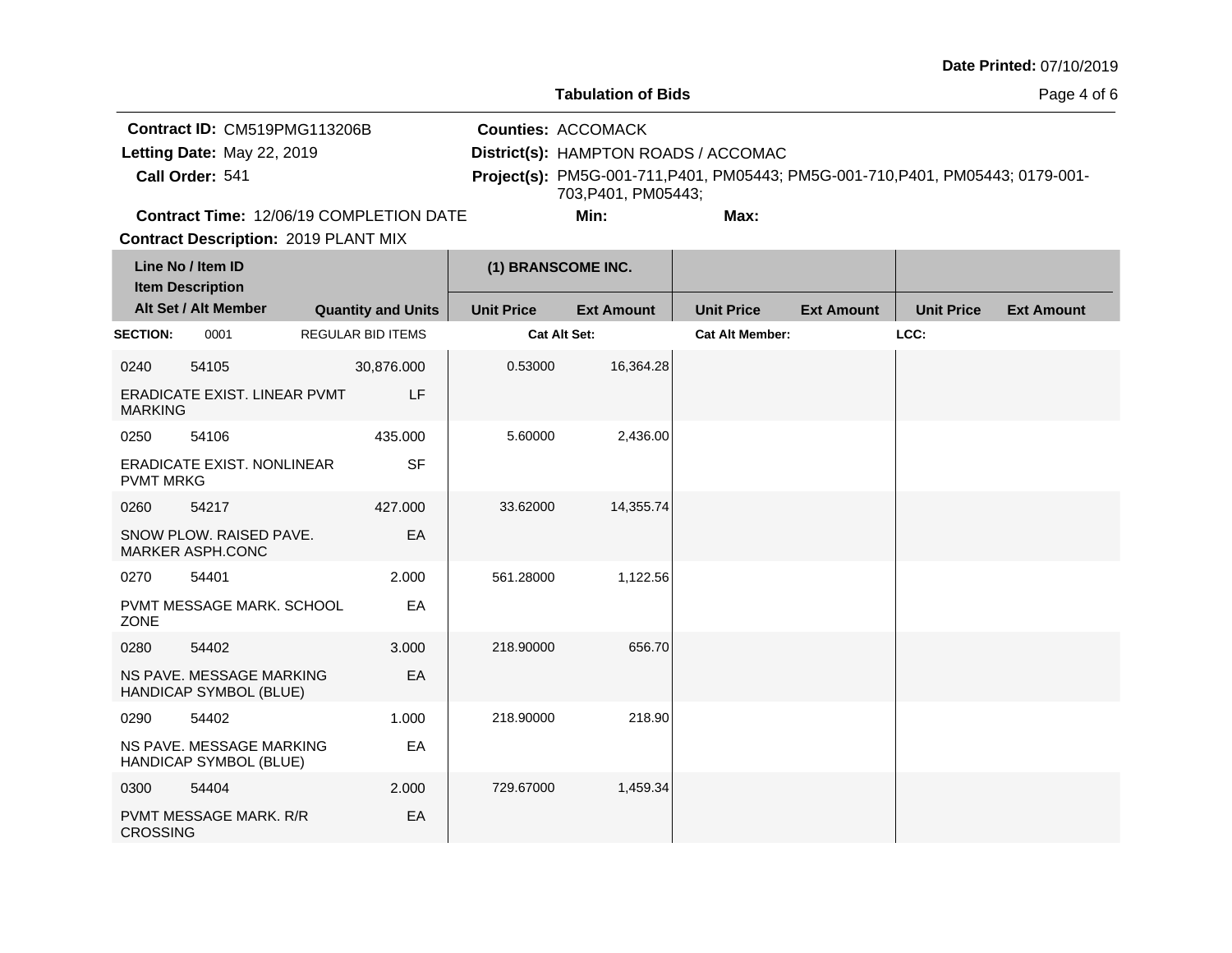**Tabulation of Bids**

Page 4 of 6

|                            | Contract ID: CM519PMG113206B                   | <b>Counties: ACCOMACK</b>            |      |                                                                                 |
|----------------------------|------------------------------------------------|--------------------------------------|------|---------------------------------------------------------------------------------|
| Letting Date: May 22, 2019 |                                                | District(s): HAMPTON ROADS / ACCOMAC |      |                                                                                 |
| Call Order: 541            |                                                |                                      |      | Project(s): PM5G-001-711, P401, PM05443; PM5G-001-710, P401, PM05443; 0179-001- |
|                            |                                                | 703.P401. PM05443:                   |      |                                                                                 |
|                            | <b>Contract Time: 12/06/19 COMPLETION DATE</b> | Min:                                 | Max: |                                                                                 |

**Contract Description: 2019 PLANT MIX Contract Time:** 12/06/19 COMPLETION DATE

|                  | Line No / Item ID<br><b>Item Description</b>       |                          |                           | (1) BRANSCOME INC.  |                   |                        |                   |                   |                   |
|------------------|----------------------------------------------------|--------------------------|---------------------------|---------------------|-------------------|------------------------|-------------------|-------------------|-------------------|
|                  | Alt Set / Alt Member                               |                          | <b>Quantity and Units</b> | <b>Unit Price</b>   | <b>Ext Amount</b> | <b>Unit Price</b>      | <b>Ext Amount</b> | <b>Unit Price</b> | <b>Ext Amount</b> |
| <b>SECTION:</b>  | 0001                                               | <b>REGULAR BID ITEMS</b> |                           | <b>Cat Alt Set:</b> |                   | <b>Cat Alt Member:</b> |                   | LCC:              |                   |
| 0240             | 54105                                              |                          | 30,876.000                | 0.53000             | 16,364.28         |                        |                   |                   |                   |
| <b>MARKING</b>   | <b>ERADICATE EXIST, LINEAR PVMT</b>                |                          | LF                        |                     |                   |                        |                   |                   |                   |
| 0250             | 54106                                              |                          | 435.000                   | 5.60000             | 2,436.00          |                        |                   |                   |                   |
| <b>PVMT MRKG</b> | <b>ERADICATE EXIST, NONLINEAR</b>                  |                          | <b>SF</b>                 |                     |                   |                        |                   |                   |                   |
| 0260             | 54217                                              |                          | 427.000                   | 33.62000            | 14,355.74         |                        |                   |                   |                   |
|                  | SNOW PLOW. RAISED PAVE.<br>MARKER ASPH.CONC        |                          | EA                        |                     |                   |                        |                   |                   |                   |
| 0270             | 54401                                              |                          | 2.000                     | 561.28000           | 1,122.56          |                        |                   |                   |                   |
| ZONE             | PVMT MESSAGE MARK. SCHOOL                          |                          | EA                        |                     |                   |                        |                   |                   |                   |
| 0280             | 54402                                              |                          | 3.000                     | 218.90000           | 656.70            |                        |                   |                   |                   |
|                  | NS PAVE. MESSAGE MARKING<br>HANDICAP SYMBOL (BLUE) |                          | EA                        |                     |                   |                        |                   |                   |                   |
| 0290             | 54402                                              |                          | 1.000                     | 218.90000           | 218.90            |                        |                   |                   |                   |
|                  | NS PAVE. MESSAGE MARKING<br>HANDICAP SYMBOL (BLUE) |                          | EA                        |                     |                   |                        |                   |                   |                   |
| 0300             | 54404                                              |                          | 2.000                     | 729.67000           | 1,459.34          |                        |                   |                   |                   |
| <b>CROSSING</b>  | <b>PVMT MESSAGE MARK, R/R</b>                      |                          | EA                        |                     |                   |                        |                   |                   |                   |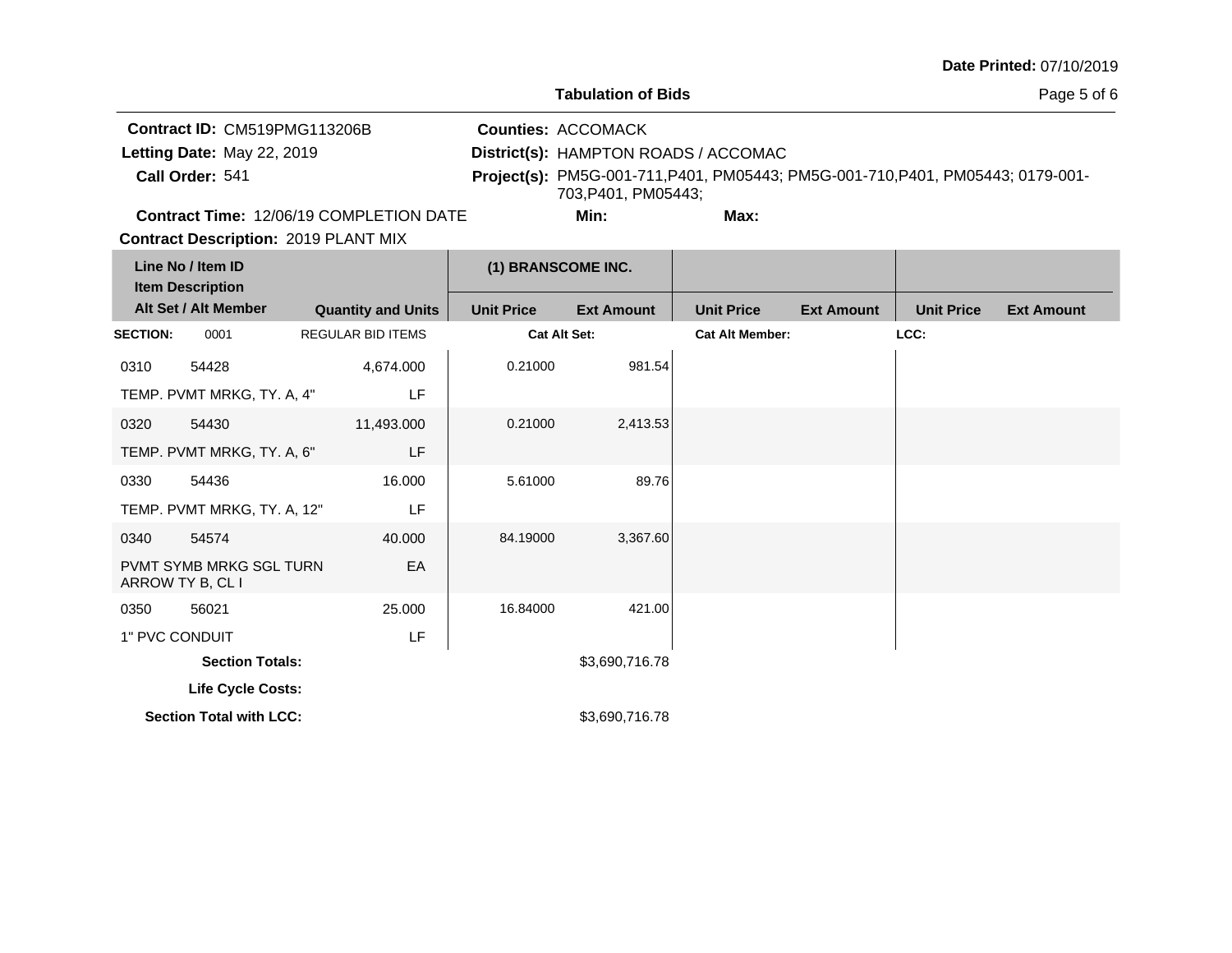a ba

# **Tabulation of Bids**

Page 5 of 6

| Contract ID: CM519PMG113206B                                                                                       | <b>Counties: ACCOMACK</b>            |                                                                                 |
|--------------------------------------------------------------------------------------------------------------------|--------------------------------------|---------------------------------------------------------------------------------|
| Letting Date: May 22, 2019                                                                                         | District(s): HAMPTON ROADS / ACCOMAC |                                                                                 |
| Call Order: 541                                                                                                    | 703.P401. PM05443:                   | Project(s): PM5G-001-711, P401, PM05443; PM5G-001-710, P401, PM05443; 0179-001- |
| $\sqrt{2}$ . $\sqrt{2}$ . $\sqrt{2}$ . $\sqrt{2}$ . $\sqrt{2}$ . $\sqrt{2}$ . $\sqrt{2}$ . $\sqrt{2}$ . $\sqrt{2}$ |                                      |                                                                                 |

**Contract Time:** 12/06/19 COMPLETION DATE

**Min: Max:**

T.

**Contract Description: 2019 PLANT MIX** 

|                 | Line No / Item ID<br><b>Item Description</b>       |                           | (1) BRANSCOME INC. |                   |                        |                   |                   |                   |
|-----------------|----------------------------------------------------|---------------------------|--------------------|-------------------|------------------------|-------------------|-------------------|-------------------|
|                 | Alt Set / Alt Member                               | <b>Quantity and Units</b> | <b>Unit Price</b>  | <b>Ext Amount</b> | <b>Unit Price</b>      | <b>Ext Amount</b> | <b>Unit Price</b> | <b>Ext Amount</b> |
| <b>SECTION:</b> | 0001                                               | <b>REGULAR BID ITEMS</b>  | Cat Alt Set:       |                   | <b>Cat Alt Member:</b> |                   | LCC:              |                   |
| 0310            | 54428                                              | 4,674.000                 | 0.21000            | 981.54            |                        |                   |                   |                   |
|                 | TEMP. PVMT MRKG, TY. A, 4"                         | LF                        |                    |                   |                        |                   |                   |                   |
| 0320            | 54430                                              | 11,493.000                | 0.21000            | 2,413.53          |                        |                   |                   |                   |
|                 | TEMP. PVMT MRKG, TY. A, 6"                         | LF                        |                    |                   |                        |                   |                   |                   |
| 0330            | 54436                                              | 16.000                    | 5.61000            | 89.76             |                        |                   |                   |                   |
|                 | TEMP. PVMT MRKG, TY. A, 12"                        | LF                        |                    |                   |                        |                   |                   |                   |
| 0340            | 54574                                              | 40.000                    | 84.19000           | 3,367.60          |                        |                   |                   |                   |
|                 | <b>PVMT SYMB MRKG SGL TURN</b><br>ARROW TY B, CL I | EA                        |                    |                   |                        |                   |                   |                   |
| 0350            | 56021                                              | 25.000                    | 16.84000           | 421.00            |                        |                   |                   |                   |
| 1" PVC CONDUIT  |                                                    | LF                        |                    |                   |                        |                   |                   |                   |
|                 | <b>Section Totals:</b>                             |                           |                    | \$3,690,716.78    |                        |                   |                   |                   |
|                 | Life Cycle Costs:                                  |                           |                    |                   |                        |                   |                   |                   |
|                 | <b>Section Total with LCC:</b>                     |                           |                    | \$3,690,716.78    |                        |                   |                   |                   |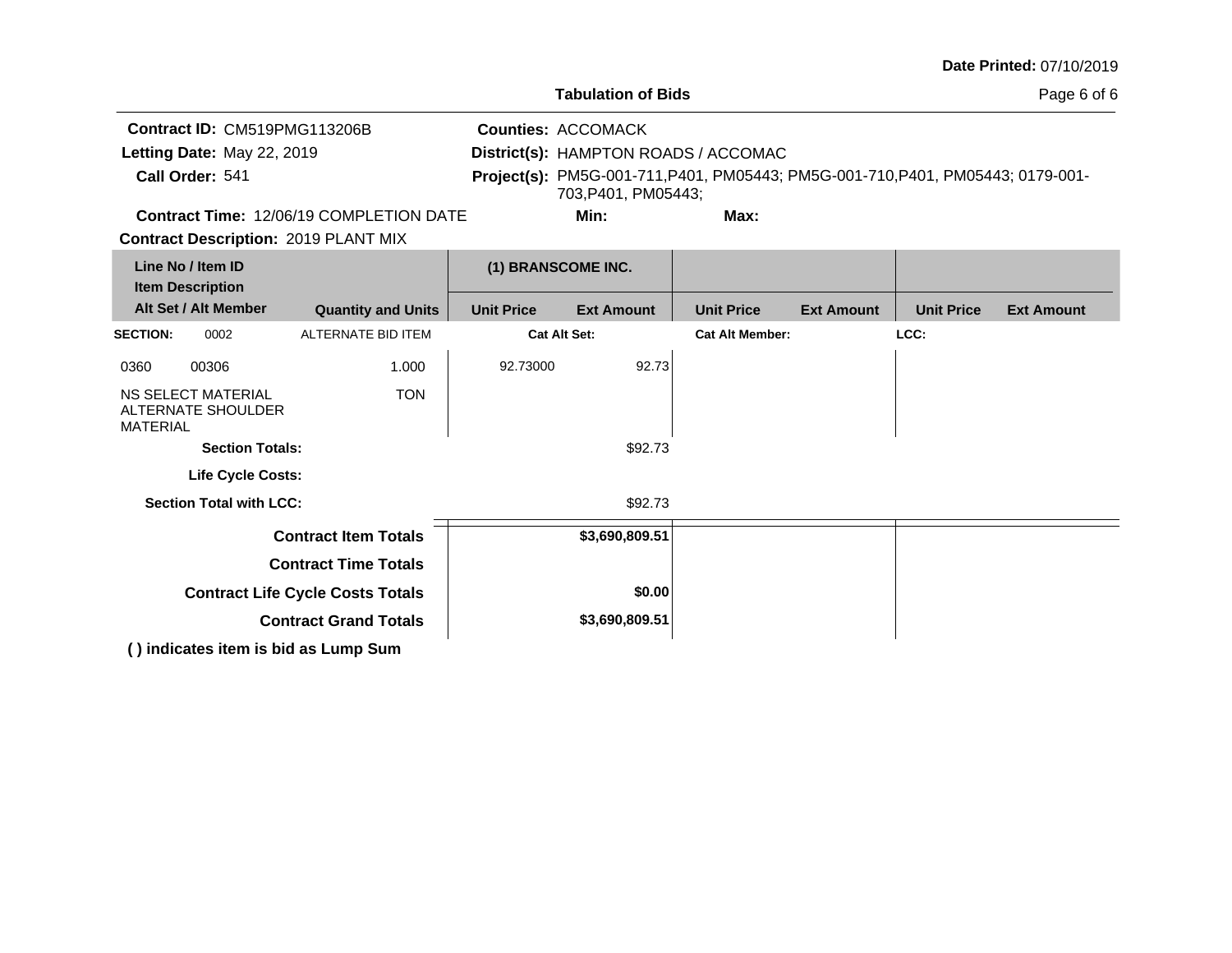**Tabulation of Bids**

Page 6 of 6

|                            | Contract ID: CM519PMG113206B                   | <b>Counties: ACCOMACK</b>            |                                                                                 |  |
|----------------------------|------------------------------------------------|--------------------------------------|---------------------------------------------------------------------------------|--|
| Letting Date: May 22, 2019 |                                                | District(s): HAMPTON ROADS / ACCOMAC |                                                                                 |  |
| Call Order: 541            |                                                |                                      | Project(s): PM5G-001-711, P401, PM05443; PM5G-001-710, P401, PM05443; 0179-001- |  |
|                            |                                                | 703.P401. PM05443:                   |                                                                                 |  |
|                            | <b>Contract Time: 12/06/19 COMPLETION DATE</b> | Min:                                 | Max:                                                                            |  |

**Contract Time:** 12/06/19 COMPLETION DATE

**Contract Description: 2019 PLANT MIX** 

| Line No / Item ID<br><b>Item Description</b> |                                          |                                      | (1) BRANSCOME INC.  |                   |                        |                   |                   |                   |
|----------------------------------------------|------------------------------------------|--------------------------------------|---------------------|-------------------|------------------------|-------------------|-------------------|-------------------|
|                                              | Alt Set / Alt Member                     | <b>Quantity and Units</b>            | <b>Unit Price</b>   | <b>Ext Amount</b> | <b>Unit Price</b>      | <b>Ext Amount</b> | <b>Unit Price</b> | <b>Ext Amount</b> |
| <b>SECTION:</b>                              | 0002                                     | ALTERNATE BID ITEM                   | <b>Cat Alt Set:</b> |                   | <b>Cat Alt Member:</b> |                   | LCC:              |                   |
| 0360                                         | 00306                                    | 1.000                                | 92.73000            | 92.73             |                        |                   |                   |                   |
| <b>MATERIAL</b>                              | NS SELECT MATERIAL<br>ALTERNATE SHOULDER | <b>TON</b>                           |                     |                   |                        |                   |                   |                   |
| <b>Section Totals:</b>                       |                                          |                                      |                     | \$92.73           |                        |                   |                   |                   |
|                                              | <b>Life Cycle Costs:</b>                 |                                      |                     |                   |                        |                   |                   |                   |
|                                              | <b>Section Total with LCC:</b>           |                                      |                     | \$92.73           |                        |                   |                   |                   |
|                                              |                                          | <b>Contract Item Totals</b>          |                     | \$3,690,809.51    |                        |                   |                   |                   |
| <b>Contract Time Totals</b>                  |                                          |                                      |                     |                   |                        |                   |                   |                   |
| <b>Contract Life Cycle Costs Totals</b>      |                                          |                                      |                     | \$0.00            |                        |                   |                   |                   |
| <b>Contract Grand Totals</b>                 |                                          |                                      | \$3,690,809.51      |                   |                        |                   |                   |                   |
|                                              |                                          | () indicates item is bid as Lump Sum |                     |                   |                        |                   |                   |                   |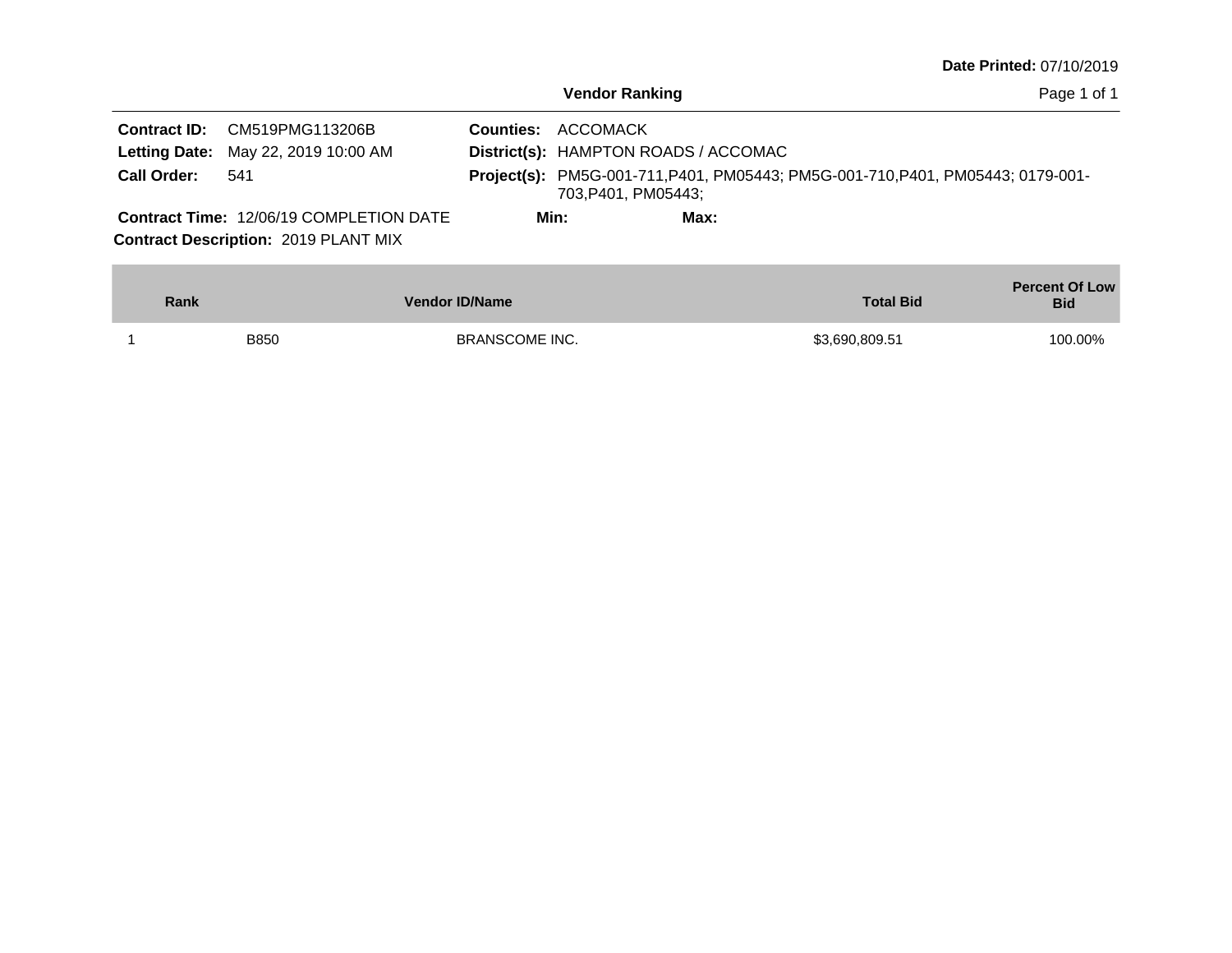|  |  | Date Printed: 07/10/2019 |  |
|--|--|--------------------------|--|
|--|--|--------------------------|--|

**Contract ID:** CM519PMG113206B **Contract Description: 2019 PLANT MIX Letting Date:** May 22, 2019 10:00 AM **District(s): HAMPTON ROADS / ACCOMAC** Contract Time: 12/06/19 COMPLETION DATE Letting Date: May 22, 2019 10:00 AM Project(s): PM5G-001-711, P401, PM05443; PM5G-001-710, P401, PM05443; 0179-001-703,P401, PM05443; 541  $Call$  Order: **Min: Max:**

| Rank        | <b>Vendor ID/Name</b> | <b>Total Bid</b> | <b>Percent Of Low</b><br><b>Bid</b> |
|-------------|-----------------------|------------------|-------------------------------------|
| <b>B850</b> | <b>BRANSCOME INC.</b> | \$3,690,809.51   | 100.00%                             |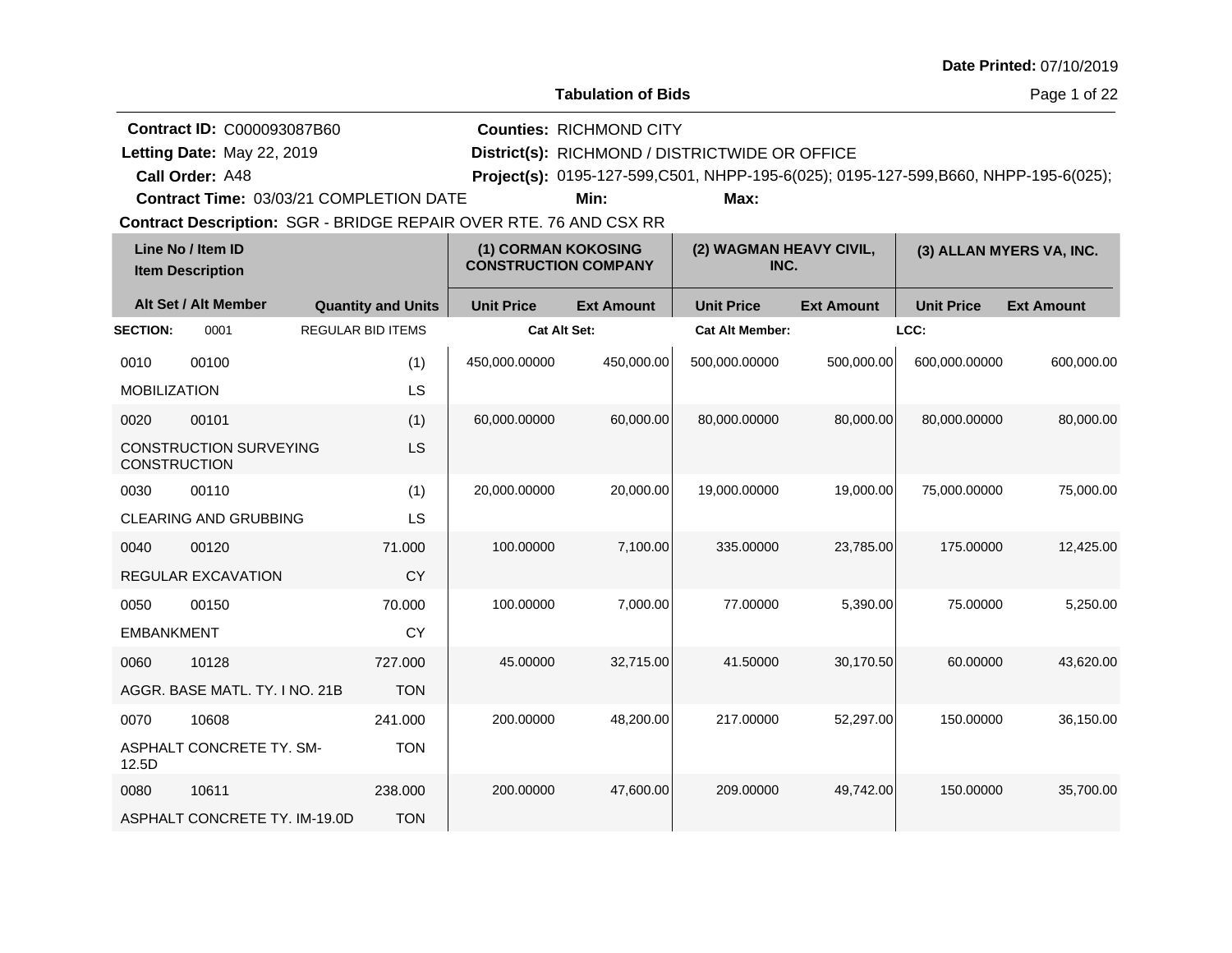| <b>Date Printed: 07/10/2019</b> |  |
|---------------------------------|--|
|---------------------------------|--|

Page 1 of 22

| <b>Contract ID: C000093087B60</b>              | <b>Counties: RICHMOND CITY</b>                 |      |                                                                                       |  |
|------------------------------------------------|------------------------------------------------|------|---------------------------------------------------------------------------------------|--|
| Letting Date: May 22, 2019                     | District(s): RICHMOND / DISTRICTWIDE OR OFFICE |      |                                                                                       |  |
| Call Order: A48                                |                                                |      | Project(s): 0195-127-599, C501, NHPP-195-6(025); 0195-127-599, B660, NHPP-195-6(025); |  |
| <b>Contract Time: 03/03/21 COMPLETION DATE</b> | Min:                                           | Max: |                                                                                       |  |

| Line No / Item ID<br><b>Item Description</b> |                                | (1) CORMAN KOKOSING<br><b>CONSTRUCTION COMPANY</b> |                     | (2) WAGMAN HEAVY CIVIL,<br>INC. |                        | (3) ALLAN MYERS VA, INC. |                   |                   |
|----------------------------------------------|--------------------------------|----------------------------------------------------|---------------------|---------------------------------|------------------------|--------------------------|-------------------|-------------------|
|                                              | Alt Set / Alt Member           | <b>Quantity and Units</b>                          | <b>Unit Price</b>   | <b>Ext Amount</b>               | <b>Unit Price</b>      | <b>Ext Amount</b>        | <b>Unit Price</b> | <b>Ext Amount</b> |
| <b>SECTION:</b>                              | 0001                           | <b>REGULAR BID ITEMS</b>                           | <b>Cat Alt Set:</b> |                                 | <b>Cat Alt Member:</b> |                          | LCC:              |                   |
| 0010                                         | 00100                          | (1)                                                | 450,000.00000       | 450,000.00                      | 500,000.00000          | 500,000.00               | 600,000.00000     | 600,000.00        |
| <b>MOBILIZATION</b>                          |                                | LS                                                 |                     |                                 |                        |                          |                   |                   |
| 0020                                         | 00101                          | (1)                                                | 60,000.00000        | 60,000.00                       | 80,000.00000           | 80,000.00                | 80,000.00000      | 80,000.00         |
| <b>CONSTRUCTION</b>                          | <b>CONSTRUCTION SURVEYING</b>  | LS                                                 |                     |                                 |                        |                          |                   |                   |
| 0030                                         | 00110                          | (1)                                                | 20,000.00000        | 20.000.00                       | 19.000.00000           | 19,000.00                | 75.000.00000      | 75,000.00         |
|                                              | <b>CLEARING AND GRUBBING</b>   | LS                                                 |                     |                                 |                        |                          |                   |                   |
| 0040                                         | 00120                          | 71.000                                             | 100.00000           | 7,100.00                        | 335.00000              | 23,785.00                | 175.00000         | 12,425.00         |
|                                              | <b>REGULAR EXCAVATION</b>      | <b>CY</b>                                          |                     |                                 |                        |                          |                   |                   |
| 0050                                         | 00150                          | 70.000                                             | 100.00000           | 7,000.00                        | 77.00000               | 5,390.00                 | 75.00000          | 5,250.00          |
| <b>EMBANKMENT</b>                            |                                | <b>CY</b>                                          |                     |                                 |                        |                          |                   |                   |
| 0060                                         | 10128                          | 727.000                                            | 45.00000            | 32,715.00                       | 41.50000               | 30,170.50                | 60.00000          | 43,620.00         |
|                                              | AGGR, BASE MATL, TY, I NO, 21B | <b>TON</b>                                         |                     |                                 |                        |                          |                   |                   |
| 0070                                         | 10608                          | 241.000                                            | 200.00000           | 48,200.00                       | 217.00000              | 52,297.00                | 150.00000         | 36,150.00         |
| 12.5D                                        | ASPHALT CONCRETE TY. SM-       | <b>TON</b>                                         |                     |                                 |                        |                          |                   |                   |
| 0080                                         | 10611                          | 238,000                                            | 200.00000           | 47,600.00                       | 209.00000              | 49,742.00                | 150.00000         | 35,700.00         |
|                                              | ASPHALT CONCRETE TY. IM-19.0D  | <b>TON</b>                                         |                     |                                 |                        |                          |                   |                   |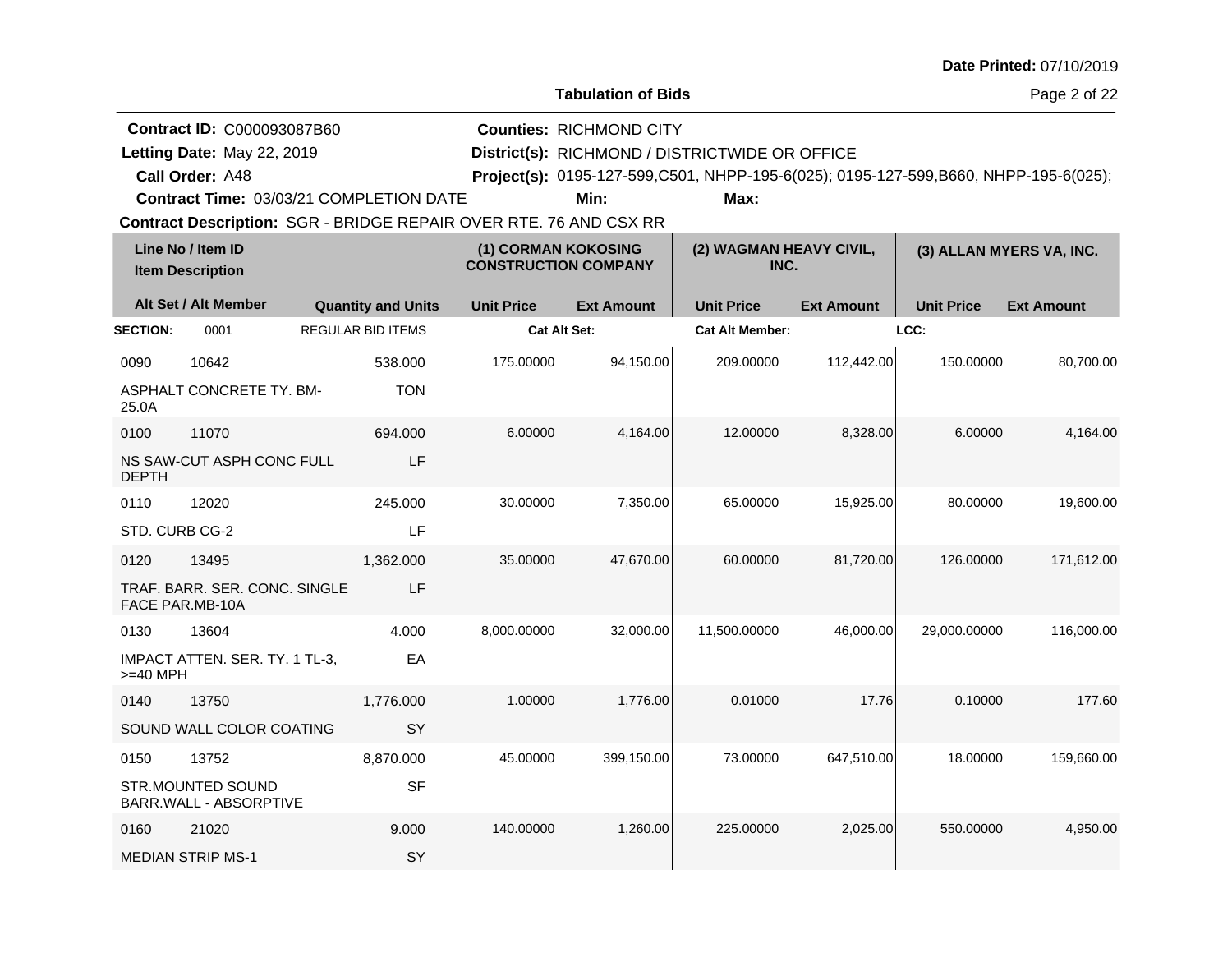**Tabulation of Bids**

Page 2 of 22

| <b>Contract ID: C000093087B60</b> | <b>Counties: RICHMOND CITY</b>                                                      |
|-----------------------------------|-------------------------------------------------------------------------------------|
| Letting Date: May 22, 2019        | District(s): RICHMOND / DISTRICTWIDE OR OFFICE                                      |
| <b>Call Order: A48</b>            | Project(s): 0195-127-599,C501, NHPP-195-6(025); 0195-127-599,B660, NHPP-195-6(025); |

**Contract Time:** 03/03/21 COMPLETION DATE

**Min: Max:**

| Line No / Item ID<br><b>Item Description</b> |                                                    | (1) CORMAN KOKOSING<br><b>CONSTRUCTION COMPANY</b> |                     | (2) WAGMAN HEAVY CIVIL,<br>INC. |                        | (3) ALLAN MYERS VA, INC. |                   |                   |
|----------------------------------------------|----------------------------------------------------|----------------------------------------------------|---------------------|---------------------------------|------------------------|--------------------------|-------------------|-------------------|
|                                              | Alt Set / Alt Member                               | <b>Quantity and Units</b>                          | <b>Unit Price</b>   | <b>Ext Amount</b>               | <b>Unit Price</b>      | <b>Ext Amount</b>        | <b>Unit Price</b> | <b>Ext Amount</b> |
| <b>SECTION:</b>                              | 0001                                               | <b>REGULAR BID ITEMS</b>                           | <b>Cat Alt Set:</b> |                                 | <b>Cat Alt Member:</b> |                          | LCC:              |                   |
| 0090                                         | 10642                                              | 538.000                                            | 175.00000           | 94.150.00                       | 209.00000              | 112,442.00               | 150.00000         | 80,700.00         |
| 25.0A                                        | ASPHALT CONCRETE TY. BM-                           | <b>TON</b>                                         |                     |                                 |                        |                          |                   |                   |
| 0100                                         | 11070                                              | 694.000                                            | 6.00000             | 4,164.00                        | 12.00000               | 8,328.00                 | 6.00000           | 4,164.00          |
| <b>DEPTH</b>                                 | NS SAW-CUT ASPH CONC FULL                          | LF                                                 |                     |                                 |                        |                          |                   |                   |
| 0110                                         | 12020                                              | 245.000                                            | 30.00000            | 7,350.00                        | 65.00000               | 15,925.00                | 80.00000          | 19,600.00         |
| STD. CURB CG-2                               |                                                    | LF                                                 |                     |                                 |                        |                          |                   |                   |
| 0120                                         | 13495                                              | 1,362.000                                          | 35.00000            | 47,670.00                       | 60.00000               | 81,720.00                | 126.00000         | 171,612.00        |
|                                              | TRAF. BARR. SER. CONC. SINGLE<br>FACE PAR.MB-10A   | LF                                                 |                     |                                 |                        |                          |                   |                   |
| 0130                                         | 13604                                              | 4.000                                              | 8,000.00000         | 32,000.00                       | 11,500.00000           | 46,000.00                | 29,000.00000      | 116,000.00        |
| $>=$ 40 MPH                                  | IMPACT ATTEN. SER. TY. 1 TL-3,                     | EA                                                 |                     |                                 |                        |                          |                   |                   |
| 0140                                         | 13750                                              | 1,776.000                                          | 1.00000             | 1,776.00                        | 0.01000                | 17.76                    | 0.10000           | 177.60            |
|                                              | SOUND WALL COLOR COATING                           | <b>SY</b>                                          |                     |                                 |                        |                          |                   |                   |
| 0150                                         | 13752                                              | 8,870.000                                          | 45.00000            | 399,150.00                      | 73.00000               | 647,510.00               | 18.00000          | 159,660.00        |
|                                              | <b>STR.MOUNTED SOUND</b><br>BARR.WALL - ABSORPTIVE | <b>SF</b>                                          |                     |                                 |                        |                          |                   |                   |
| 0160                                         | 21020                                              | 9.000                                              | 140.00000           | 1,260.00                        | 225.00000              | 2,025.00                 | 550.00000         | 4,950.00          |
|                                              | <b>MEDIAN STRIP MS-1</b>                           | SY                                                 |                     |                                 |                        |                          |                   |                   |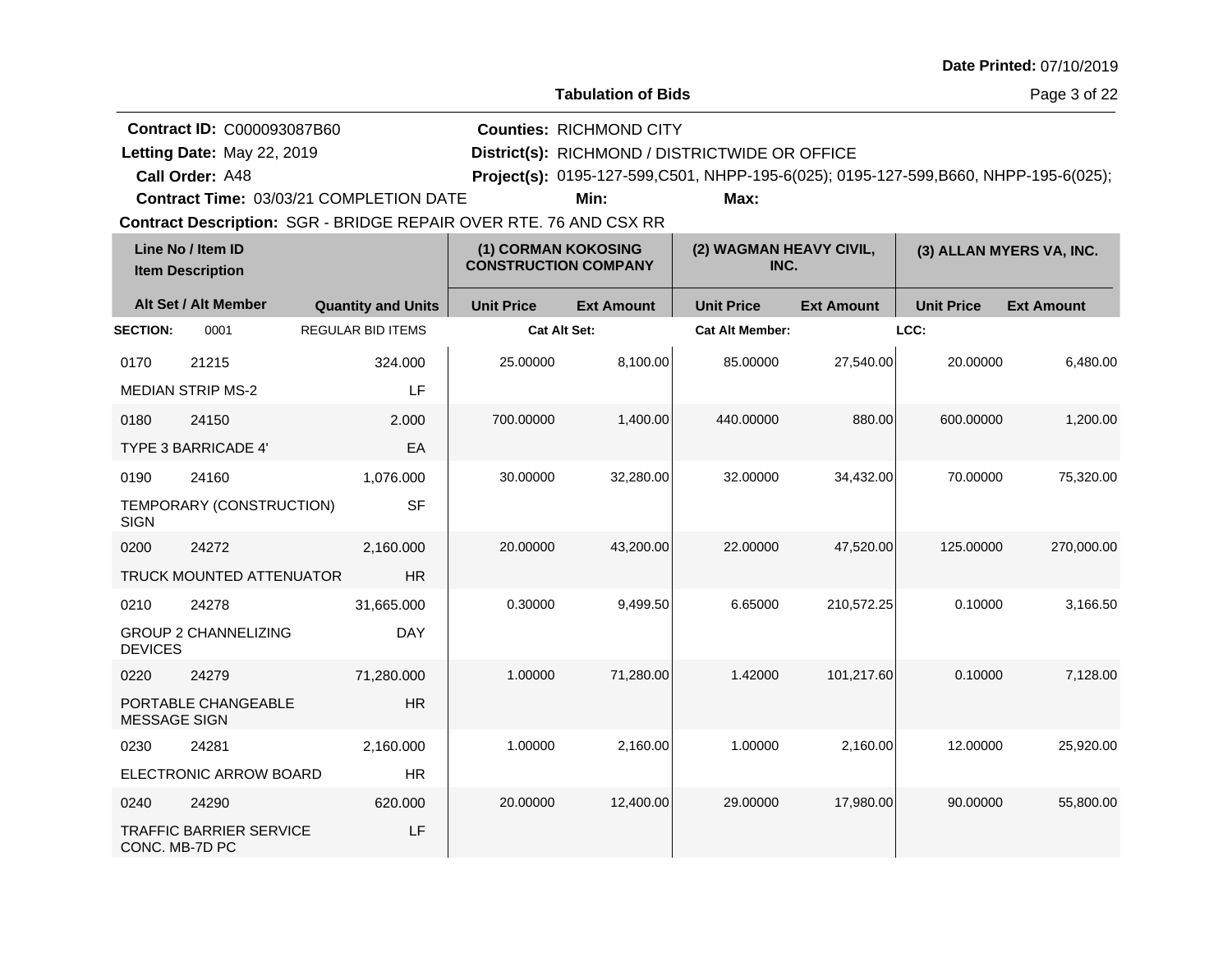**Tabulation of Bids**

Page 3 of 22

| <b>Contract ID: C000093087B60</b> | <b>Counties: RICHMOND CITY</b>                                                               |
|-----------------------------------|----------------------------------------------------------------------------------------------|
| Letting Date: May 22, 2019        | District(s): RICHMOND / DISTRICTWIDE OR OFFICE                                               |
| <b>Call Order: A48</b>            | <b>Project(s):</b> 0195-127-599, C501, NHPP-195-6(025); 0195-127-599, B660, NHPP-195-6(025); |

**Contract Time:** 03/03/21 COMPLETION DATE

**Min: Max:**

| Line No / Item ID<br><b>Item Description</b> |                                | (1) CORMAN KOKOSING<br><b>CONSTRUCTION COMPANY</b> |                   | (2) WAGMAN HEAVY CIVIL,<br>INC. |                        | (3) ALLAN MYERS VA, INC. |                   |                   |
|----------------------------------------------|--------------------------------|----------------------------------------------------|-------------------|---------------------------------|------------------------|--------------------------|-------------------|-------------------|
|                                              | Alt Set / Alt Member           | <b>Quantity and Units</b>                          | <b>Unit Price</b> | <b>Ext Amount</b>               | <b>Unit Price</b>      | <b>Ext Amount</b>        | <b>Unit Price</b> | <b>Ext Amount</b> |
| <b>SECTION:</b>                              | 0001                           | <b>REGULAR BID ITEMS</b>                           | Cat Alt Set:      |                                 | <b>Cat Alt Member:</b> |                          | LCC:              |                   |
| 0170                                         | 21215                          | 324.000                                            | 25.00000          | 8,100.00                        | 85.00000               | 27,540.00                | 20.00000          | 6,480.00          |
|                                              | <b>MEDIAN STRIP MS-2</b>       | LF                                                 |                   |                                 |                        |                          |                   |                   |
| 0180                                         | 24150                          | 2.000                                              | 700.00000         | 1,400.00                        | 440.00000              | 880.00                   | 600.00000         | 1,200.00          |
|                                              | <b>TYPE 3 BARRICADE 4'</b>     | EA                                                 |                   |                                 |                        |                          |                   |                   |
| 0190                                         | 24160                          | 1,076.000                                          | 30.00000          | 32,280.00                       | 32.00000               | 34,432.00                | 70.00000          | 75,320.00         |
| <b>SIGN</b>                                  | TEMPORARY (CONSTRUCTION)       | <b>SF</b>                                          |                   |                                 |                        |                          |                   |                   |
| 0200                                         | 24272                          | 2,160.000                                          | 20.00000          | 43,200.00                       | 22.00000               | 47,520.00                | 125.00000         | 270,000.00        |
|                                              | TRUCK MOUNTED ATTENUATOR       | <b>HR</b>                                          |                   |                                 |                        |                          |                   |                   |
| 0210                                         | 24278                          | 31,665.000                                         | 0.30000           | 9,499.50                        | 6.65000                | 210,572.25               | 0.10000           | 3,166.50          |
| <b>DEVICES</b>                               | <b>GROUP 2 CHANNELIZING</b>    | <b>DAY</b>                                         |                   |                                 |                        |                          |                   |                   |
| 0220                                         | 24279                          | 71,280.000                                         | 1.00000           | 71,280.00                       | 1.42000                | 101,217.60               | 0.10000           | 7,128.00          |
| <b>MESSAGE SIGN</b>                          | PORTABLE CHANGEABLE            | <b>HR</b>                                          |                   |                                 |                        |                          |                   |                   |
| 0230                                         | 24281                          | 2,160.000                                          | 1.00000           | 2,160.00                        | 1.00000                | 2,160.00                 | 12.00000          | 25,920.00         |
|                                              | ELECTRONIC ARROW BOARD         | <b>HR</b>                                          |                   |                                 |                        |                          |                   |                   |
| 0240                                         | 24290                          | 620.000                                            | 20.00000          | 12,400.00                       | 29.00000               | 17,980.00                | 90.00000          | 55,800.00         |
| CONC. MB-7D PC                               | <b>TRAFFIC BARRIER SERVICE</b> | LF                                                 |                   |                                 |                        |                          |                   |                   |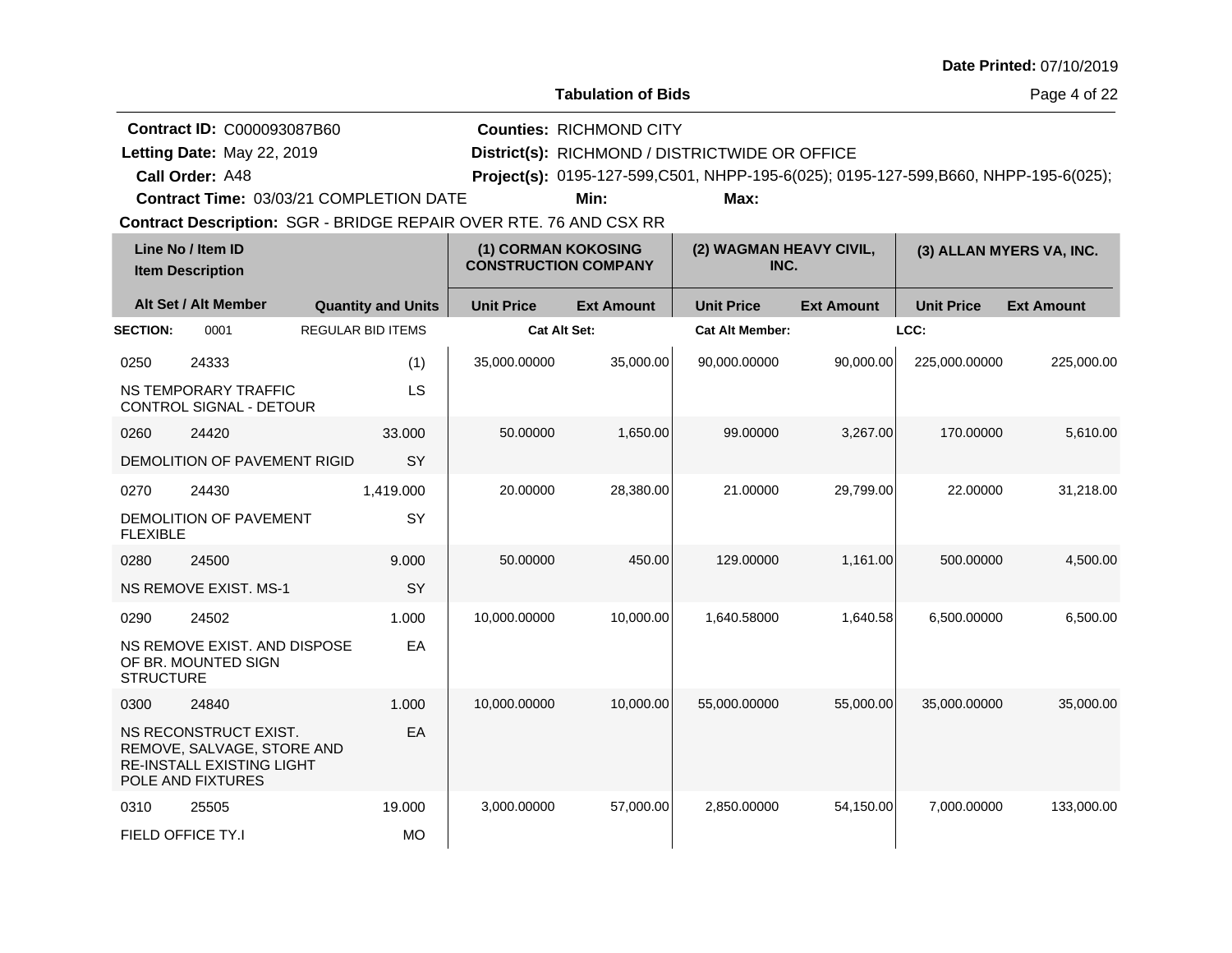**Tabulation of Bids**

Page 4 of 22

| <b>Contract ID: C000093087B60</b> | <b>Counties: RICHMOND CITY</b>                                                        |
|-----------------------------------|---------------------------------------------------------------------------------------|
| Letting Date: May 22, 2019        | District(s): RICHMOND / DISTRICTWIDE OR OFFICE                                        |
| <b>Call Order: A48</b>            | Project(s): 0195-127-599, C501, NHPP-195-6(025); 0195-127-599, B660, NHPP-195-6(025); |

**Contract Time:** 03/03/21 COMPLETION DATE

**Min: Max:**

| Line No / Item ID<br><b>Item Description</b> |                                                                                                              |                           | (1) CORMAN KOKOSING<br><b>CONSTRUCTION COMPANY</b> |                     | (2) WAGMAN HEAVY CIVIL,<br>INC. |                   | (3) ALLAN MYERS VA, INC. |                   |
|----------------------------------------------|--------------------------------------------------------------------------------------------------------------|---------------------------|----------------------------------------------------|---------------------|---------------------------------|-------------------|--------------------------|-------------------|
|                                              | Alt Set / Alt Member                                                                                         | <b>Quantity and Units</b> | <b>Unit Price</b>                                  | <b>Ext Amount</b>   | <b>Unit Price</b>               | <b>Ext Amount</b> | <b>Unit Price</b>        | <b>Ext Amount</b> |
| <b>SECTION:</b>                              | 0001                                                                                                         | <b>REGULAR BID ITEMS</b>  |                                                    | <b>Cat Alt Set:</b> | <b>Cat Alt Member:</b>          |                   | LCC:                     |                   |
| 0250                                         | 24333                                                                                                        | (1)                       | 35,000.00000                                       | 35,000.00           | 90,000.00000                    | 90,000.00         | 225,000.00000            | 225,000.00        |
|                                              | NS TEMPORARY TRAFFIC<br><b>CONTROL SIGNAL - DETOUR</b>                                                       | LS                        |                                                    |                     |                                 |                   |                          |                   |
| 0260                                         | 24420                                                                                                        | 33,000                    | 50.00000                                           | 1,650.00            | 99.00000                        | 3,267.00          | 170.00000                | 5,610.00          |
|                                              | DEMOLITION OF PAVEMENT RIGID                                                                                 | SY                        |                                                    |                     |                                 |                   |                          |                   |
| 0270                                         | 24430                                                                                                        | 1,419.000                 | 20.00000                                           | 28,380.00           | 21.00000                        | 29,799.00         | 22.00000                 | 31,218.00         |
| <b>FLEXIBLE</b>                              | DEMOLITION OF PAVEMENT                                                                                       | SY                        |                                                    |                     |                                 |                   |                          |                   |
| 0280                                         | 24500                                                                                                        | 9.000                     | 50.00000                                           | 450.00              | 129.00000                       | 1,161.00          | 500.00000                | 4,500.00          |
|                                              | <b>NS REMOVE EXIST, MS-1</b>                                                                                 | SY                        |                                                    |                     |                                 |                   |                          |                   |
| 0290                                         | 24502                                                                                                        | 1.000                     | 10,000.00000                                       | 10,000.00           | 1.640.58000                     | 1,640.58          | 6,500.00000              | 6,500.00          |
| <b>STRUCTURE</b>                             | NS REMOVE EXIST. AND DISPOSE<br>OF BR. MOUNTED SIGN                                                          | EA                        |                                                    |                     |                                 |                   |                          |                   |
| 0300                                         | 24840                                                                                                        | 1.000                     | 10,000.00000                                       | 10,000.00           | 55,000.00000                    | 55,000.00         | 35,000.00000             | 35,000.00         |
|                                              | NS RECONSTRUCT EXIST.<br>REMOVE, SALVAGE, STORE AND<br><b>RE-INSTALL EXISTING LIGHT</b><br>POLE AND FIXTURES | EA                        |                                                    |                     |                                 |                   |                          |                   |
| 0310                                         | 25505                                                                                                        | 19.000                    | 3,000.00000                                        | 57,000.00           | 2,850.00000                     | 54,150.00         | 7,000.00000              | 133,000.00        |
|                                              | FIELD OFFICE TY.I                                                                                            | <b>MO</b>                 |                                                    |                     |                                 |                   |                          |                   |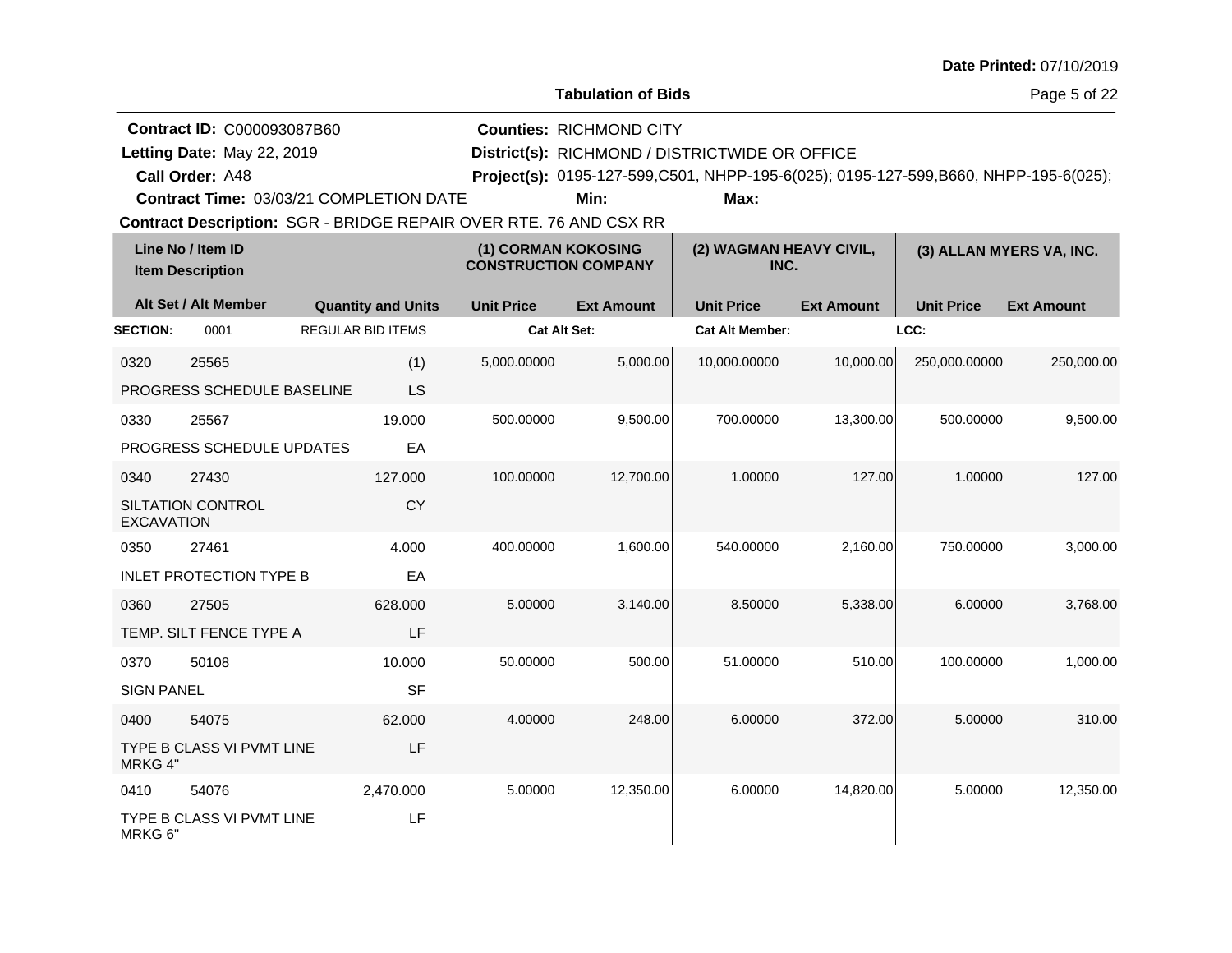| <b>Date Printed: 07/10/2019</b> |  |
|---------------------------------|--|
|---------------------------------|--|

Page 5 of 22

| <b>Contract ID: C000093087B60</b>              | <b>Counties: RICHMOND CITY</b>                 |      |                                                                                       |  |
|------------------------------------------------|------------------------------------------------|------|---------------------------------------------------------------------------------------|--|
| Letting Date: May 22, 2019                     | District(s): RICHMOND / DISTRICTWIDE OR OFFICE |      |                                                                                       |  |
| <b>Call Order: A48</b>                         |                                                |      | Project(s): 0195-127-599, C501, NHPP-195-6(025); 0195-127-599, B660, NHPP-195-6(025); |  |
| <b>Contract Time: 03/03/21 COMPLETION DATE</b> | Min:                                           | Max: |                                                                                       |  |

|                   | Line No / Item ID<br><b>Item Description</b> |                           | (1) CORMAN KOKOSING<br><b>CONSTRUCTION COMPANY</b> |                   | (2) WAGMAN HEAVY CIVIL,<br>INC. |                   | (3) ALLAN MYERS VA, INC. |                   |
|-------------------|----------------------------------------------|---------------------------|----------------------------------------------------|-------------------|---------------------------------|-------------------|--------------------------|-------------------|
|                   | Alt Set / Alt Member                         | <b>Quantity and Units</b> | <b>Unit Price</b>                                  | <b>Ext Amount</b> | <b>Unit Price</b>               | <b>Ext Amount</b> | <b>Unit Price</b>        | <b>Ext Amount</b> |
| <b>SECTION:</b>   | 0001                                         | <b>REGULAR BID ITEMS</b>  | <b>Cat Alt Set:</b>                                |                   | <b>Cat Alt Member:</b>          |                   | LCC:                     |                   |
| 0320              | 25565                                        | (1)                       | 5,000.00000                                        | 5,000.00          | 10,000.00000                    | 10,000.00         | 250,000.00000            | 250,000.00        |
|                   | PROGRESS SCHEDULE BASELINE                   | <b>LS</b>                 |                                                    |                   |                                 |                   |                          |                   |
| 0330              | 25567                                        | 19.000                    | 500.00000                                          | 9,500.00          | 700.00000                       | 13,300.00         | 500.00000                | 9,500.00          |
|                   | PROGRESS SCHEDULE UPDATES                    | EA                        |                                                    |                   |                                 |                   |                          |                   |
| 0340              | 27430                                        | 127.000                   | 100.00000                                          | 12,700.00         | 1.00000                         | 127.00            | 1.00000                  | 127.00            |
| <b>EXCAVATION</b> | <b>SILTATION CONTROL</b>                     | <b>CY</b>                 |                                                    |                   |                                 |                   |                          |                   |
| 0350              | 27461                                        | 4.000                     | 400.00000                                          | 1,600.00          | 540.00000                       | 2,160.00          | 750.00000                | 3,000.00          |
|                   | <b>INLET PROTECTION TYPE B</b>               | EA                        |                                                    |                   |                                 |                   |                          |                   |
| 0360              | 27505                                        | 628.000                   | 5.00000                                            | 3,140.00          | 8.50000                         | 5,338.00          | 6.00000                  | 3,768.00          |
|                   | TEMP. SILT FENCE TYPE A                      | LF                        |                                                    |                   |                                 |                   |                          |                   |
| 0370              | 50108                                        | 10.000                    | 50.00000                                           | 500.00            | 51.00000                        | 510.00            | 100.00000                | 1,000.00          |
| <b>SIGN PANEL</b> |                                              | <b>SF</b>                 |                                                    |                   |                                 |                   |                          |                   |
| 0400              | 54075                                        | 62,000                    | 4.00000                                            | 248.00            | 6.00000                         | 372.00            | 5.00000                  | 310.00            |
| MRKG 4"           | TYPE B CLASS VI PVMT LINE                    | LF                        |                                                    |                   |                                 |                   |                          |                   |
| 0410              | 54076                                        | 2,470.000                 | 5.00000                                            | 12,350.00         | 6.00000                         | 14,820.00         | 5.00000                  | 12,350.00         |
| MRKG 6"           | TYPE B CLASS VI PVMT LINE                    | LF                        |                                                    |                   |                                 |                   |                          |                   |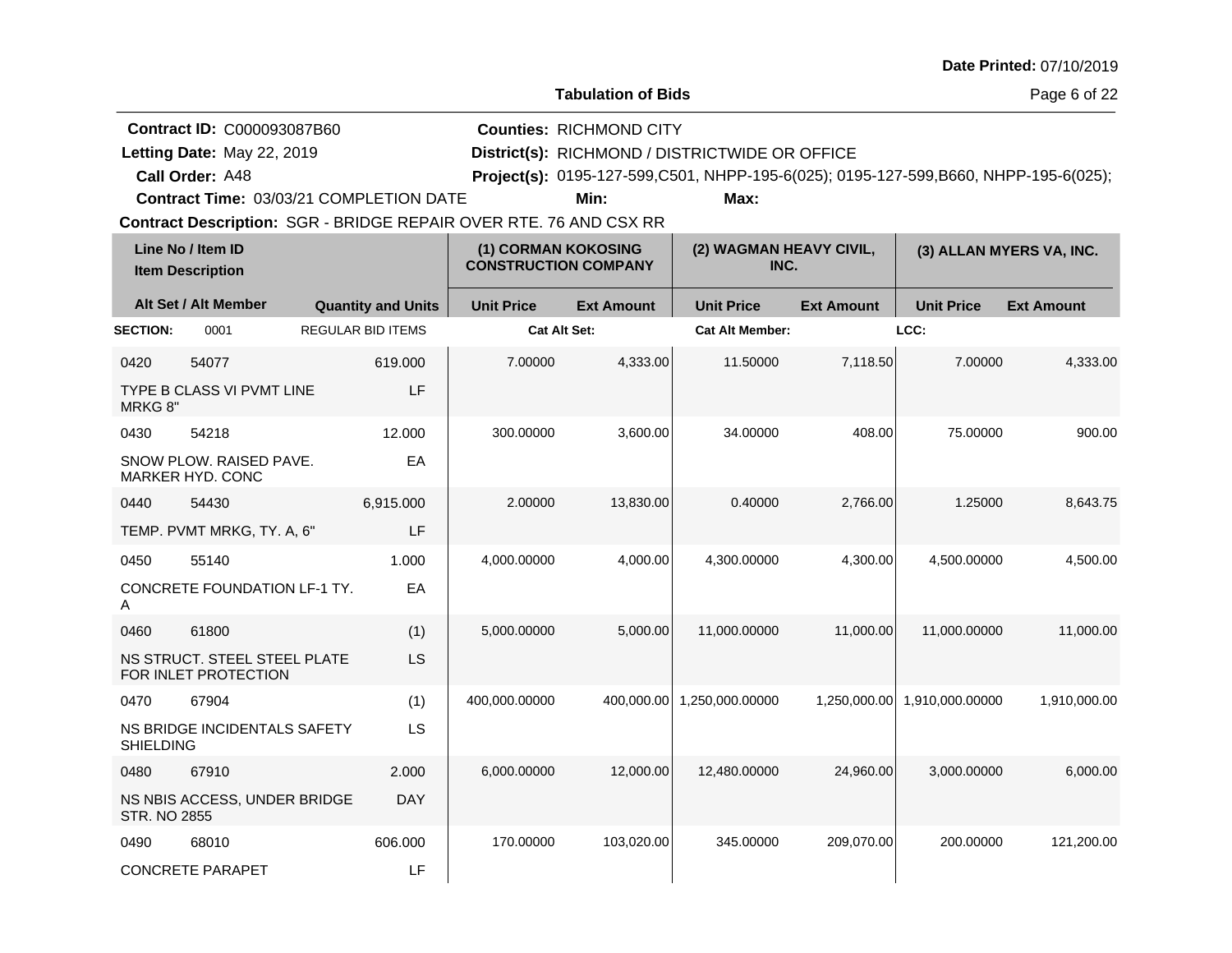| <b>Date Printed: 07/10/2019</b> |  |
|---------------------------------|--|
|---------------------------------|--|

Page 6 of 22

| <b>Contract ID: C000093087B60</b>       | <b>Counties: RICHMOND CITY</b>                 |      |                                                                                     |  |
|-----------------------------------------|------------------------------------------------|------|-------------------------------------------------------------------------------------|--|
| Letting Date: May 22, 2019              | District(s): RICHMOND / DISTRICTWIDE OR OFFICE |      |                                                                                     |  |
| <b>Call Order: A48</b>                  |                                                |      | Project(s): 0195-127-599,C501, NHPP-195-6(025); 0195-127-599,B660, NHPP-195-6(025); |  |
| Contract Time: 03/03/21 COMPLETION DATE | Min:                                           | Max: |                                                                                     |  |

**Contract Description: SGR - BRIDGE REPAIR OVER RTE. 76 AND CSX RR Contract Time:** 03/03/21 COMPLETION DATE

|                     | Line No / Item ID<br><b>Item Description</b>         | (1) CORMAN KOKOSING<br><b>CONSTRUCTION COMPANY</b> |                     |                   | (2) WAGMAN HEAVY CIVIL,<br>INC. |                   | (3) ALLAN MYERS VA, INC. |                   |
|---------------------|------------------------------------------------------|----------------------------------------------------|---------------------|-------------------|---------------------------------|-------------------|--------------------------|-------------------|
|                     | Alt Set / Alt Member                                 | <b>Quantity and Units</b>                          | <b>Unit Price</b>   | <b>Ext Amount</b> | <b>Unit Price</b>               | <b>Ext Amount</b> | <b>Unit Price</b>        | <b>Ext Amount</b> |
| <b>SECTION:</b>     | 0001                                                 | <b>REGULAR BID ITEMS</b>                           | <b>Cat Alt Set:</b> |                   | <b>Cat Alt Member:</b>          |                   | LCC:                     |                   |
| 0420                | 54077                                                | 619.000                                            | 7.00000             | 4,333.00          | 11.50000                        | 7,118.50          | 7.00000                  | 4,333.00          |
| MRKG 8"             | TYPE B CLASS VI PVMT LINE                            | LF                                                 |                     |                   |                                 |                   |                          |                   |
| 0430                | 54218                                                | 12.000                                             | 300.00000           | 3,600.00          | 34.00000                        | 408.00            | 75.00000                 | 900.00            |
|                     | SNOW PLOW. RAISED PAVE.<br><b>MARKER HYD, CONC</b>   | EA                                                 |                     |                   |                                 |                   |                          |                   |
| 0440                | 54430                                                | 6,915.000                                          | 2.00000             | 13,830.00         | 0.40000                         | 2,766.00          | 1.25000                  | 8,643.75          |
|                     | TEMP. PVMT MRKG, TY. A, 6"                           | LF                                                 |                     |                   |                                 |                   |                          |                   |
| 0450                | 55140                                                | 1.000                                              | 4,000.00000         | 4,000.00          | 4,300.00000                     | 4,300.00          | 4,500.00000              | 4,500.00          |
| Α                   | <b>CONCRETE FOUNDATION LF-1 TY.</b>                  | EA                                                 |                     |                   |                                 |                   |                          |                   |
| 0460                | 61800                                                | (1)                                                | 5.000.00000         | 5.000.00          | 11.000.00000                    | 11.000.00         | 11.000.00000             | 11.000.00         |
|                     | NS STRUCT. STEEL STEEL PLATE<br>FOR INLET PROTECTION | LS                                                 |                     |                   |                                 |                   |                          |                   |
| 0470                | 67904                                                | (1)                                                | 400,000.00000       | 400,000.00        | 1,250,000.00000                 | 1,250,000.00      | 1,910,000.00000          | 1,910,000.00      |
| <b>SHIELDING</b>    | NS BRIDGE INCIDENTALS SAFETY                         | LS                                                 |                     |                   |                                 |                   |                          |                   |
| 0480                | 67910                                                | 2.000                                              | 6,000.00000         | 12,000.00         | 12,480.00000                    | 24,960.00         | 3,000.00000              | 6,000.00          |
| <b>STR. NO 2855</b> | NS NBIS ACCESS, UNDER BRIDGE                         | <b>DAY</b>                                         |                     |                   |                                 |                   |                          |                   |
| 0490                | 68010                                                | 606.000                                            | 170.00000           | 103,020.00        | 345.00000                       | 209,070.00        | 200.00000                | 121,200.00        |
|                     | <b>CONCRETE PARAPET</b>                              | LF                                                 |                     |                   |                                 |                   |                          |                   |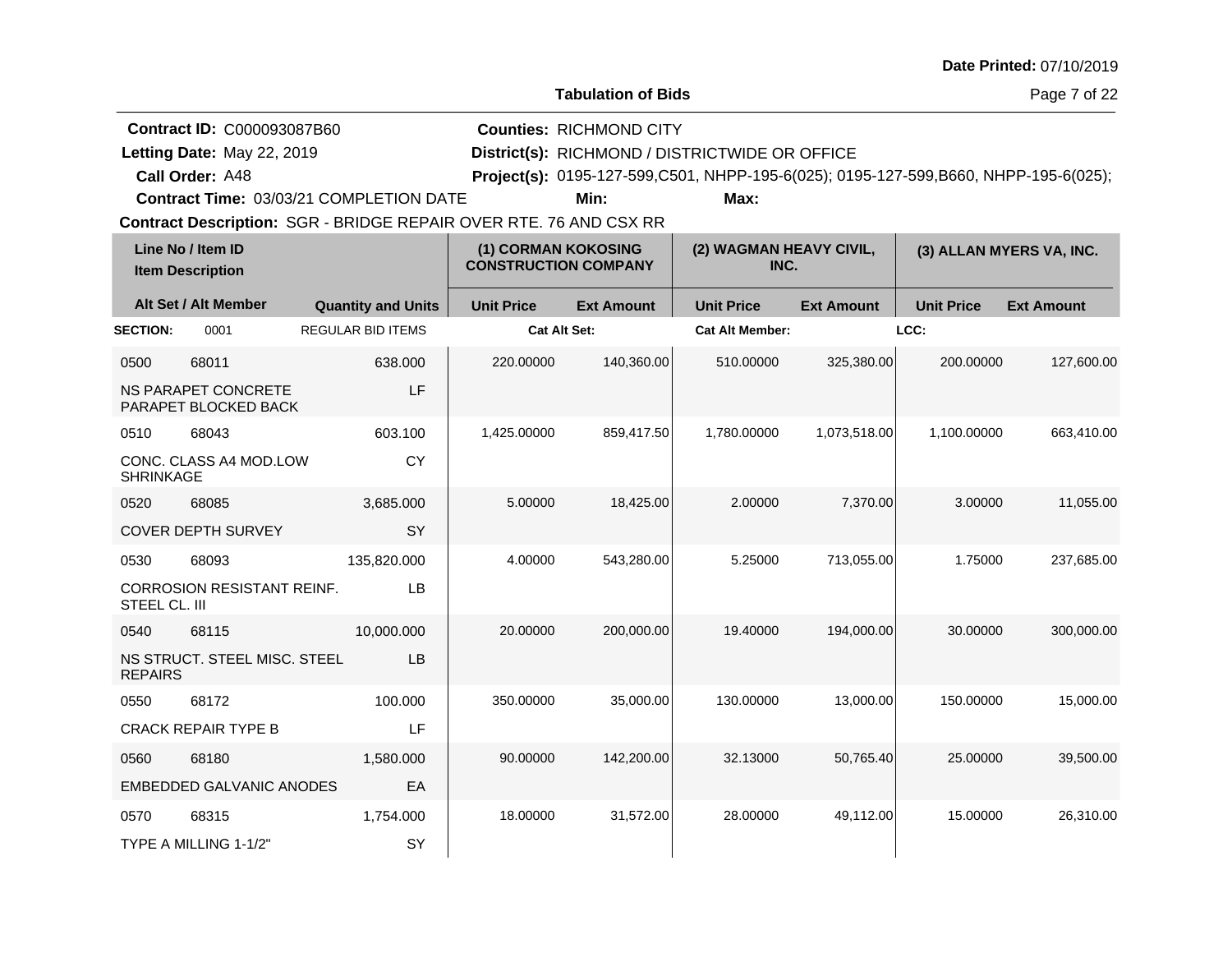| <b>Date Printed: 07/10/2019</b> |  |
|---------------------------------|--|
|---------------------------------|--|

Page 7 of 22

| <b>Contract ID: C000093087B60</b>              | <b>Counties: RICHMOND CITY</b>                 |      |                                                                                       |  |
|------------------------------------------------|------------------------------------------------|------|---------------------------------------------------------------------------------------|--|
| Letting Date: May 22, 2019                     | District(s): RICHMOND / DISTRICTWIDE OR OFFICE |      |                                                                                       |  |
| Call Order: A48                                |                                                |      | Project(s): 0195-127-599, C501, NHPP-195-6(025); 0195-127-599, B660, NHPP-195-6(025); |  |
| <b>Contract Time: 03/03/21 COMPLETION DATE</b> | Min:                                           | Max: |                                                                                       |  |

|                  | Line No / Item ID<br>(1) CORMAN KOKOSING<br><b>CONSTRUCTION COMPANY</b><br><b>Item Description</b> |                           |                     | (2) WAGMAN HEAVY CIVIL,<br>INC. |                        | (3) ALLAN MYERS VA, INC. |                   |                   |
|------------------|----------------------------------------------------------------------------------------------------|---------------------------|---------------------|---------------------------------|------------------------|--------------------------|-------------------|-------------------|
|                  | Alt Set / Alt Member                                                                               | <b>Quantity and Units</b> | <b>Unit Price</b>   | <b>Ext Amount</b>               | <b>Unit Price</b>      | <b>Ext Amount</b>        | <b>Unit Price</b> | <b>Ext Amount</b> |
| <b>SECTION:</b>  | 0001                                                                                               | <b>REGULAR BID ITEMS</b>  | <b>Cat Alt Set:</b> |                                 | <b>Cat Alt Member:</b> |                          | LCC:              |                   |
| 0500             | 68011                                                                                              | 638,000                   | 220.00000           | 140,360.00                      | 510.00000              | 325,380.00               | 200.00000         | 127,600.00        |
|                  | <b>NS PARAPET CONCRETE</b><br>PARAPET BLOCKED BACK                                                 | LF                        |                     |                                 |                        |                          |                   |                   |
| 0510             | 68043                                                                                              | 603.100                   | 1,425.00000         | 859,417.50                      | 1,780.00000            | 1,073,518.00             | 1,100.00000       | 663,410.00        |
| <b>SHRINKAGE</b> | CONC. CLASS A4 MOD.LOW                                                                             | <b>CY</b>                 |                     |                                 |                        |                          |                   |                   |
| 0520             | 68085                                                                                              | 3,685.000                 | 5.00000             | 18,425.00                       | 2.00000                | 7,370.00                 | 3.00000           | 11,055.00         |
|                  | <b>COVER DEPTH SURVEY</b>                                                                          | SY                        |                     |                                 |                        |                          |                   |                   |
| 0530             | 68093                                                                                              | 135,820.000               | 4.00000             | 543,280.00                      | 5.25000                | 713,055.00               | 1.75000           | 237,685.00        |
| STEEL CL. III    | <b>CORROSION RESISTANT REINF.</b>                                                                  | LB                        |                     |                                 |                        |                          |                   |                   |
| 0540             | 68115                                                                                              | 10,000.000                | 20.00000            | 200,000.00                      | 19.40000               | 194,000.00               | 30.00000          | 300,000.00        |
| <b>REPAIRS</b>   | NS STRUCT. STEEL MISC. STEEL                                                                       | LB                        |                     |                                 |                        |                          |                   |                   |
| 0550             | 68172                                                                                              | 100.000                   | 350.00000           | 35,000.00                       | 130.00000              | 13,000.00                | 150.00000         | 15,000.00         |
|                  | <b>CRACK REPAIR TYPE B</b>                                                                         | LF                        |                     |                                 |                        |                          |                   |                   |
| 0560             | 68180                                                                                              | 1,580.000                 | 90.00000            | 142,200.00                      | 32.13000               | 50,765.40                | 25.00000          | 39,500.00         |
|                  | <b>EMBEDDED GALVANIC ANODES</b>                                                                    | EA                        |                     |                                 |                        |                          |                   |                   |
| 0570             | 68315                                                                                              | 1,754.000                 | 18.00000            | 31,572.00                       | 28.00000               | 49,112.00                | 15.00000          | 26,310.00         |
|                  | TYPE A MILLING 1-1/2"                                                                              | SY                        |                     |                                 |                        |                          |                   |                   |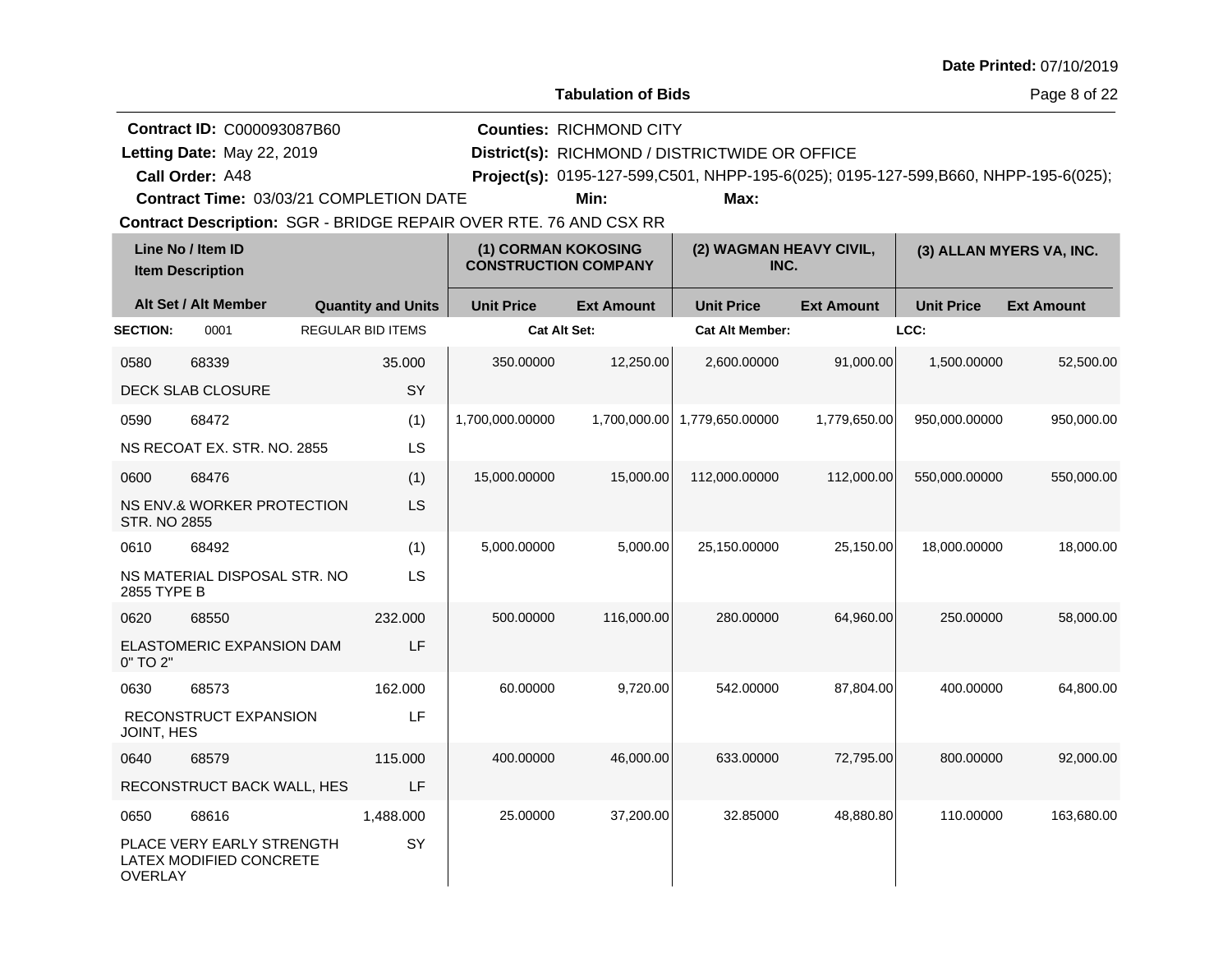| <b>Date Printed: 07/10/2019</b> |  |
|---------------------------------|--|
|---------------------------------|--|

Page 8 of 22

| <b>Contract ID: C000093087B60</b>              | <b>Counties: RICHMOND CITY</b> |                                                |                                                                                     |
|------------------------------------------------|--------------------------------|------------------------------------------------|-------------------------------------------------------------------------------------|
| Letting Date: May 22, 2019                     |                                | District(s): RICHMOND / DISTRICTWIDE OR OFFICE |                                                                                     |
| Call Order: A48                                |                                |                                                | Project(s): 0195-127-599,C501, NHPP-195-6(025); 0195-127-599,B660, NHPP-195-6(025); |
| <b>Contract Time: 03/03/21 COMPLETION DATE</b> | Min:                           | Max:                                           |                                                                                     |

|                     | Line No / Item ID<br><b>Item Description</b>         |                           | (1) CORMAN KOKOSING<br><b>CONSTRUCTION COMPANY</b> |                   | (2) WAGMAN HEAVY CIVIL,<br>INC. |                   |                   | (3) ALLAN MYERS VA, INC. |
|---------------------|------------------------------------------------------|---------------------------|----------------------------------------------------|-------------------|---------------------------------|-------------------|-------------------|--------------------------|
|                     | Alt Set / Alt Member                                 | <b>Quantity and Units</b> | <b>Unit Price</b>                                  | <b>Ext Amount</b> | <b>Unit Price</b>               | <b>Ext Amount</b> | <b>Unit Price</b> | <b>Ext Amount</b>        |
| <b>SECTION:</b>     | 0001                                                 | <b>REGULAR BID ITEMS</b>  | Cat Alt Set:                                       |                   | <b>Cat Alt Member:</b>          |                   | LCC:              |                          |
| 0580                | 68339                                                | 35.000                    | 350.00000                                          | 12,250.00         | 2,600.00000                     | 91,000.00         | 1,500.00000       | 52,500.00                |
|                     | <b>DECK SLAB CLOSURE</b>                             | SY                        |                                                    |                   |                                 |                   |                   |                          |
| 0590                | 68472                                                | (1)                       | 1,700,000.00000                                    | 1,700,000.00      | 1,779,650.00000                 | 1,779,650.00      | 950,000.00000     | 950,000.00               |
|                     | NS RECOAT EX. STR. NO. 2855                          | LS                        |                                                    |                   |                                 |                   |                   |                          |
| 0600                | 68476                                                | (1)                       | 15,000.00000                                       | 15,000.00         | 112,000.00000                   | 112,000.00        | 550,000.00000     | 550,000.00               |
| <b>STR. NO 2855</b> | <b>NS ENV.&amp; WORKER PROTECTION</b>                | LS                        |                                                    |                   |                                 |                   |                   |                          |
| 0610                | 68492                                                | (1)                       | 5,000.00000                                        | 5,000.00          | 25,150.00000                    | 25,150.00         | 18,000.00000      | 18,000.00                |
| 2855 TYPE B         | NS MATERIAL DISPOSAL STR. NO                         | LS                        |                                                    |                   |                                 |                   |                   |                          |
| 0620                | 68550                                                | 232.000                   | 500.00000                                          | 116,000.00        | 280.00000                       | 64,960.00         | 250.00000         | 58,000.00                |
| 0" TO 2"            | ELASTOMERIC EXPANSION DAM                            | LF                        |                                                    |                   |                                 |                   |                   |                          |
| 0630                | 68573                                                | 162.000                   | 60.00000                                           | 9,720.00          | 542.00000                       | 87,804.00         | 400.00000         | 64,800.00                |
| JOINT, HES          | RECONSTRUCT EXPANSION                                | LF                        |                                                    |                   |                                 |                   |                   |                          |
| 0640                | 68579                                                | 115,000                   | 400.00000                                          | 46,000.00         | 633.00000                       | 72,795.00         | 800.00000         | 92,000.00                |
|                     | RECONSTRUCT BACK WALL, HES                           | LF                        |                                                    |                   |                                 |                   |                   |                          |
| 0650                | 68616                                                | 1,488.000                 | 25.00000                                           | 37,200.00         | 32.85000                        | 48,880.80         | 110.00000         | 163,680.00               |
| <b>OVERLAY</b>      | PLACE VERY EARLY STRENGTH<br>LATEX MODIFIED CONCRETE | SY                        |                                                    |                   |                                 |                   |                   |                          |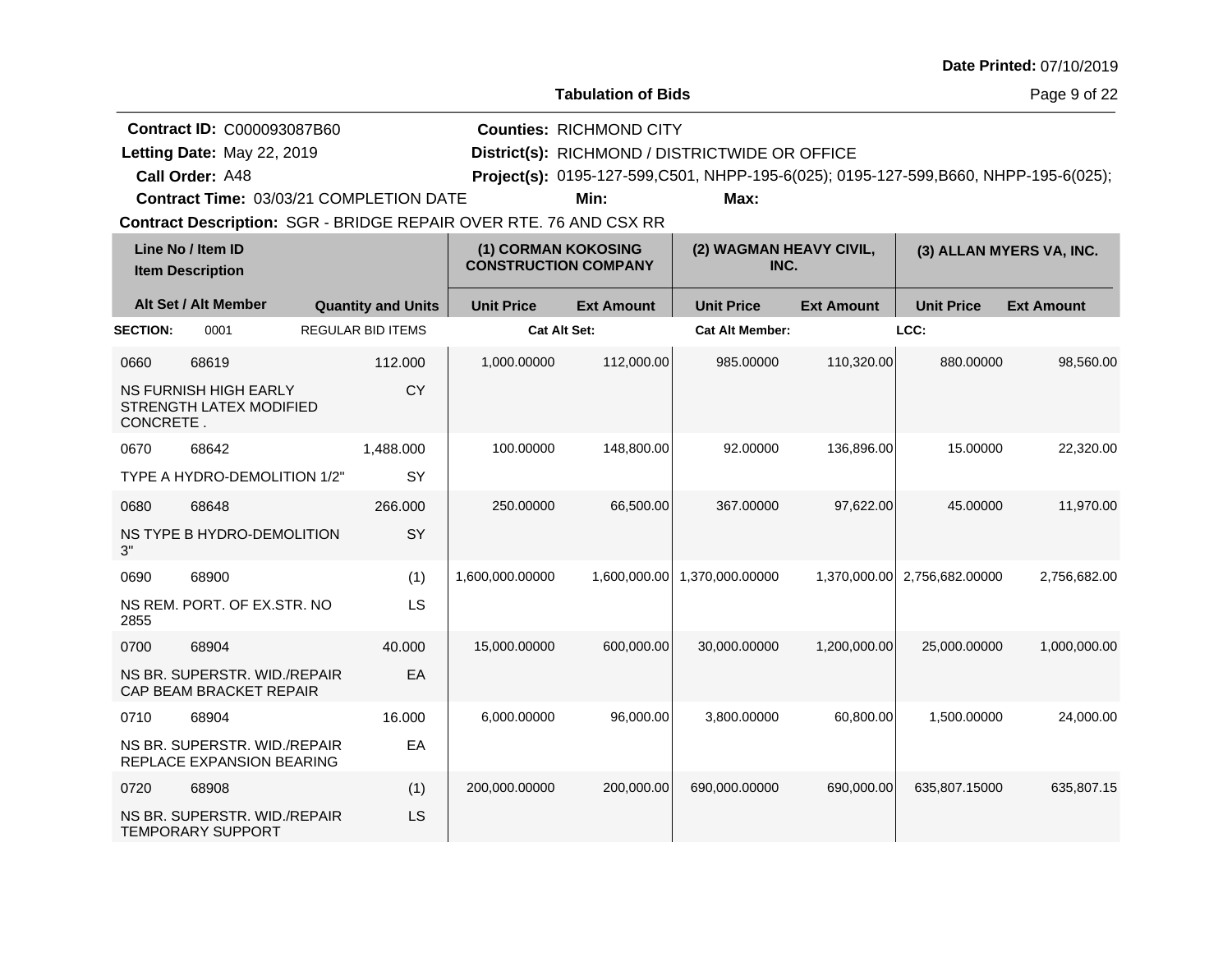| <b>Date Printed: 07/10/2019</b> |  |
|---------------------------------|--|
|---------------------------------|--|

Page 9 of 22

| <b>Contract ID: C000093087B60</b>              | <b>Counties: RICHMOND CITY</b>                 |      |                                                                                     |  |
|------------------------------------------------|------------------------------------------------|------|-------------------------------------------------------------------------------------|--|
| Letting Date: May 22, 2019                     | District(s): RICHMOND / DISTRICTWIDE OR OFFICE |      |                                                                                     |  |
| <b>Call Order: A48</b>                         |                                                |      | Project(s): 0195-127-599,C501, NHPP-195-6(025); 0195-127-599,B660, NHPP-195-6(025); |  |
| <b>Contract Time: 03/03/21 COMPLETION DATE</b> | Min:                                           | Max: |                                                                                     |  |

|                 | Line No / Item ID<br><b>Item Description</b>              |                           | (1) CORMAN KOKOSING<br><b>CONSTRUCTION COMPANY</b> |                   | (2) WAGMAN HEAVY CIVIL,<br>INC. |                   | (3) ALLAN MYERS VA, INC. |                   |
|-----------------|-----------------------------------------------------------|---------------------------|----------------------------------------------------|-------------------|---------------------------------|-------------------|--------------------------|-------------------|
|                 | Alt Set / Alt Member                                      | <b>Quantity and Units</b> | <b>Unit Price</b>                                  | <b>Ext Amount</b> | <b>Unit Price</b>               | <b>Ext Amount</b> | <b>Unit Price</b>        | <b>Ext Amount</b> |
| <b>SECTION:</b> | 0001                                                      | <b>REGULAR BID ITEMS</b>  | <b>Cat Alt Set:</b>                                |                   | <b>Cat Alt Member:</b>          |                   | LCC:                     |                   |
| 0660            | 68619                                                     | 112.000                   | 1.000.00000                                        | 112,000.00        | 985.00000                       | 110,320.00        | 880.00000                | 98.560.00         |
| CONCRETE.       | NS FURNISH HIGH EARLY<br>STRENGTH LATEX MODIFIED          | <b>CY</b>                 |                                                    |                   |                                 |                   |                          |                   |
| 0670            | 68642                                                     | 1,488.000                 | 100.00000                                          | 148,800.00        | 92.00000                        | 136,896.00        | 15.00000                 | 22,320.00         |
|                 | TYPE A HYDRO-DEMOLITION 1/2"                              | SY                        |                                                    |                   |                                 |                   |                          |                   |
| 0680            | 68648                                                     | 266,000                   | 250.00000                                          | 66,500.00         | 367.00000                       | 97,622.00         | 45.00000                 | 11,970.00         |
| 3"              | NS TYPE B HYDRO-DEMOLITION                                | SY                        |                                                    |                   |                                 |                   |                          |                   |
| 0690            | 68900                                                     | (1)                       | 1,600,000.00000                                    | 1,600,000.00      | 1,370,000.00000                 | 1,370,000.00      | 2,756,682.00000          | 2,756,682.00      |
| 2855            | NS REM. PORT. OF EX.STR. NO                               | LS                        |                                                    |                   |                                 |                   |                          |                   |
| 0700            | 68904                                                     | 40.000                    | 15,000.00000                                       | 600,000.00        | 30,000.00000                    | 1,200,000.00      | 25,000.00000             | 1,000,000.00      |
|                 | NS BR. SUPERSTR. WID./REPAIR<br>CAP BEAM BRACKET REPAIR   | EA                        |                                                    |                   |                                 |                   |                          |                   |
| 0710            | 68904                                                     | 16.000                    | 6,000.00000                                        | 96,000.00         | 3,800.00000                     | 60,800.00         | 1,500.00000              | 24,000.00         |
|                 | NS BR. SUPERSTR. WID./REPAIR<br>REPLACE EXPANSION BEARING | EA                        |                                                    |                   |                                 |                   |                          |                   |
| 0720            | 68908                                                     | (1)                       | 200,000.00000                                      | 200,000.00        | 690,000.00000                   | 690,000.00        | 635,807.15000            | 635,807.15        |
|                 | NS BR. SUPERSTR. WID./REPAIR<br><b>TEMPORARY SUPPORT</b>  | LS                        |                                                    |                   |                                 |                   |                          |                   |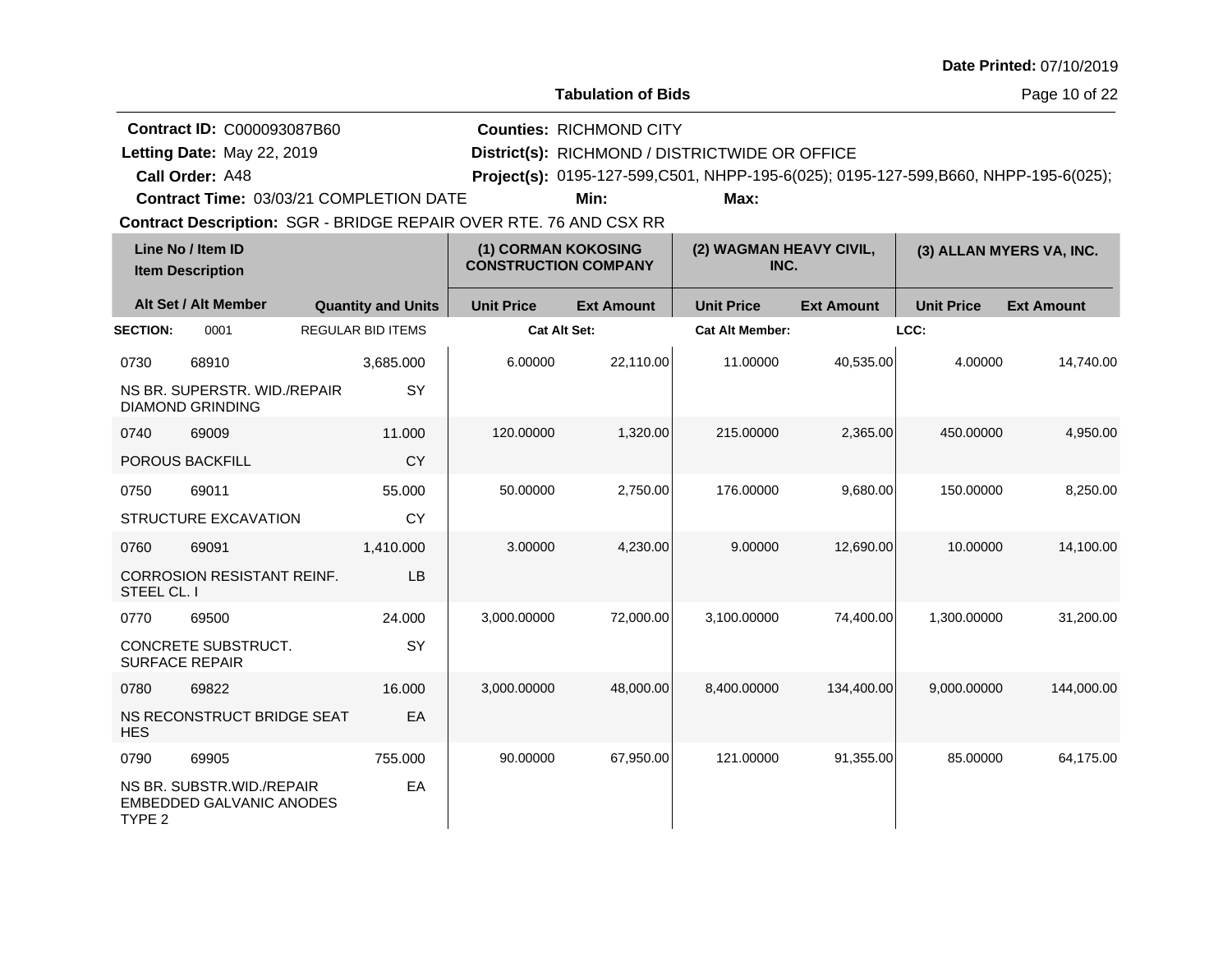**Tabulation of Bids**

Page 10 of 22

| <b>Contract ID: C000093087B60</b> | <b>Counties: RICHMOND CITY</b>                                                        |
|-----------------------------------|---------------------------------------------------------------------------------------|
| Letting Date: May 22, 2019        | District(s): RICHMOND / DISTRICTWIDE OR OFFICE                                        |
| <b>Call Order: A48</b>            | Project(s): 0195-127-599, C501, NHPP-195-6(025); 0195-127-599, B660, NHPP-195-6(025); |

**Contract Time:** 03/03/21 COMPLETION DATE

**Min: Max:**

|                 | Line No / Item ID<br><b>Item Description</b>                    |                           | (1) CORMAN KOKOSING<br><b>CONSTRUCTION COMPANY</b> |                   | (2) WAGMAN HEAVY CIVIL,<br>INC. |                   | (3) ALLAN MYERS VA, INC. |                   |
|-----------------|-----------------------------------------------------------------|---------------------------|----------------------------------------------------|-------------------|---------------------------------|-------------------|--------------------------|-------------------|
|                 | Alt Set / Alt Member                                            | <b>Quantity and Units</b> | <b>Unit Price</b>                                  | <b>Ext Amount</b> | <b>Unit Price</b>               | <b>Ext Amount</b> | <b>Unit Price</b>        | <b>Ext Amount</b> |
| <b>SECTION:</b> | 0001                                                            | <b>REGULAR BID ITEMS</b>  | <b>Cat Alt Set:</b>                                |                   | <b>Cat Alt Member:</b>          |                   | LCC:                     |                   |
| 0730            | 68910                                                           | 3,685.000                 | 6.00000                                            | 22,110.00         | 11.00000                        | 40,535.00         | 4.00000                  | 14,740.00         |
|                 | NS BR. SUPERSTR. WID./REPAIR<br><b>DIAMOND GRINDING</b>         | SY                        |                                                    |                   |                                 |                   |                          |                   |
| 0740            | 69009                                                           | 11.000                    | 120.00000                                          | 1,320.00          | 215.00000                       | 2,365.00          | 450.00000                | 4,950.00          |
|                 | <b>POROUS BACKFILL</b>                                          | <b>CY</b>                 |                                                    |                   |                                 |                   |                          |                   |
| 0750            | 69011                                                           | 55.000                    | 50.00000                                           | 2,750.00          | 176.00000                       | 9.680.00          | 150.00000                | 8,250.00          |
|                 | STRUCTURE EXCAVATION                                            | <b>CY</b>                 |                                                    |                   |                                 |                   |                          |                   |
| 0760            | 69091                                                           | 1,410.000                 | 3.00000                                            | 4,230.00          | 9.00000                         | 12,690.00         | 10.00000                 | 14,100.00         |
| STEEL CL. I     | <b>CORROSION RESISTANT REINF.</b>                               | LB                        |                                                    |                   |                                 |                   |                          |                   |
| 0770            | 69500                                                           | 24.000                    | 3,000.00000                                        | 72,000.00         | 3,100.00000                     | 74,400.00         | 1,300.00000              | 31,200.00         |
|                 | CONCRETE SUBSTRUCT.<br><b>SURFACE REPAIR</b>                    | SY                        |                                                    |                   |                                 |                   |                          |                   |
| 0780            | 69822                                                           | 16.000                    | 3,000.00000                                        | 48,000.00         | 8,400.00000                     | 134,400.00        | 9,000.00000              | 144,000.00        |
| <b>HES</b>      | NS RECONSTRUCT BRIDGE SEAT                                      | EA                        |                                                    |                   |                                 |                   |                          |                   |
| 0790            | 69905                                                           | 755.000                   | 90.00000                                           | 67,950.00         | 121.00000                       | 91,355.00         | 85.00000                 | 64,175.00         |
| TYPE 2          | NS BR. SUBSTR. WID. / REPAIR<br><b>EMBEDDED GALVANIC ANODES</b> | EA                        |                                                    |                   |                                 |                   |                          |                   |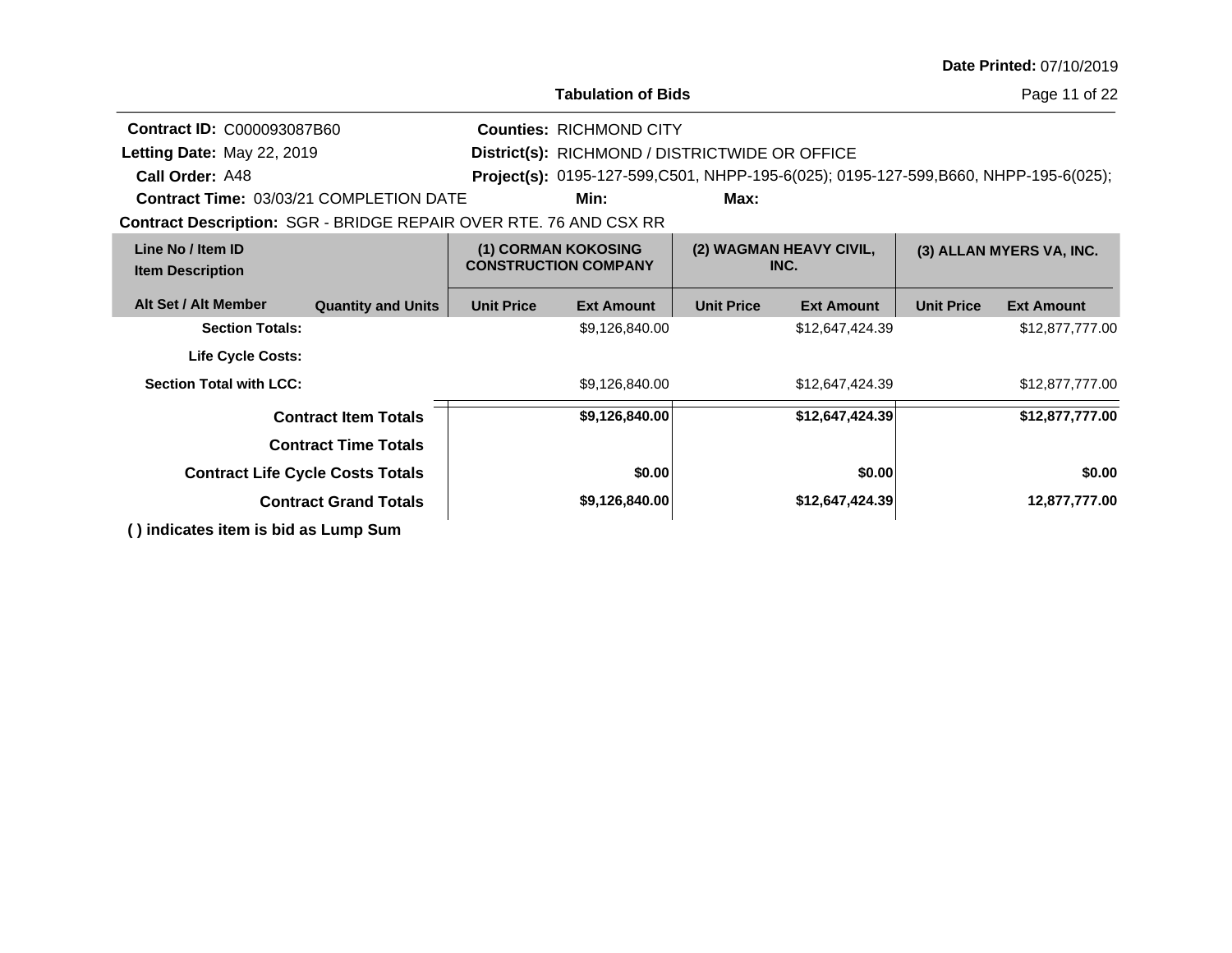| <b>Date Printed: 07/10/2019</b> |  |
|---------------------------------|--|
|---------------------------------|--|

| <b>Tabulation of Bids</b> |  |
|---------------------------|--|

Page 11 of 22

| <b>Contract ID: C000093087B60</b>                                        | <b>Counties: RICHMOND CITY</b>          |                   |                                                    |                   |                                 |                   |                                                                                     |  |  |
|--------------------------------------------------------------------------|-----------------------------------------|-------------------|----------------------------------------------------|-------------------|---------------------------------|-------------------|-------------------------------------------------------------------------------------|--|--|
| Letting Date: May 22, 2019                                               |                                         |                   | District(s): RICHMOND / DISTRICTWIDE OR OFFICE     |                   |                                 |                   |                                                                                     |  |  |
| Call Order: A48                                                          |                                         |                   |                                                    |                   |                                 |                   | Project(s): 0195-127-599,C501, NHPP-195-6(025); 0195-127-599,B660, NHPP-195-6(025); |  |  |
| <b>Contract Time: 03/03/21 COMPLETION DATE</b>                           |                                         |                   | Min:                                               | Max:              |                                 |                   |                                                                                     |  |  |
| <b>Contract Description: SGR - BRIDGE REPAIR OVER RTE. 76 AND CSX RR</b> |                                         |                   |                                                    |                   |                                 |                   |                                                                                     |  |  |
| Line No / Item ID<br><b>Item Description</b>                             |                                         |                   | (1) CORMAN KOKOSING<br><b>CONSTRUCTION COMPANY</b> |                   | (2) WAGMAN HEAVY CIVIL,<br>INC. |                   | (3) ALLAN MYERS VA, INC.                                                            |  |  |
| Alt Set / Alt Member                                                     | <b>Quantity and Units</b>               | <b>Unit Price</b> | <b>Ext Amount</b>                                  | <b>Unit Price</b> | <b>Ext Amount</b>               | <b>Unit Price</b> | <b>Ext Amount</b>                                                                   |  |  |
| <b>Section Totals:</b>                                                   |                                         |                   | \$9,126,840.00                                     |                   | \$12,647,424.39                 |                   | \$12,877,777.00                                                                     |  |  |
| <b>Life Cycle Costs:</b>                                                 |                                         |                   |                                                    |                   |                                 |                   |                                                                                     |  |  |
| <b>Section Total with LCC:</b>                                           |                                         |                   | \$9,126,840.00                                     | \$12,647,424.39   |                                 | \$12,877,777.00   |                                                                                     |  |  |
|                                                                          | <b>Contract Item Totals</b>             | \$9,126,840.00    |                                                    | \$12,647,424.39   |                                 |                   | \$12,877,777.00                                                                     |  |  |
|                                                                          | <b>Contract Time Totals</b>             |                   |                                                    |                   |                                 |                   |                                                                                     |  |  |
|                                                                          | <b>Contract Life Cycle Costs Totals</b> |                   | \$0.00                                             |                   | \$0.00                          |                   | \$0.00                                                                              |  |  |
| <b>Contract Grand Totals</b>                                             |                                         | \$9,126,840.00    |                                                    | \$12,647,424.39   |                                 | 12,877,777.00     |                                                                                     |  |  |
| () indicates item is bid as Lump Sum                                     |                                         |                   |                                                    |                   |                                 |                   |                                                                                     |  |  |
|                                                                          |                                         |                   |                                                    |                   |                                 |                   |                                                                                     |  |  |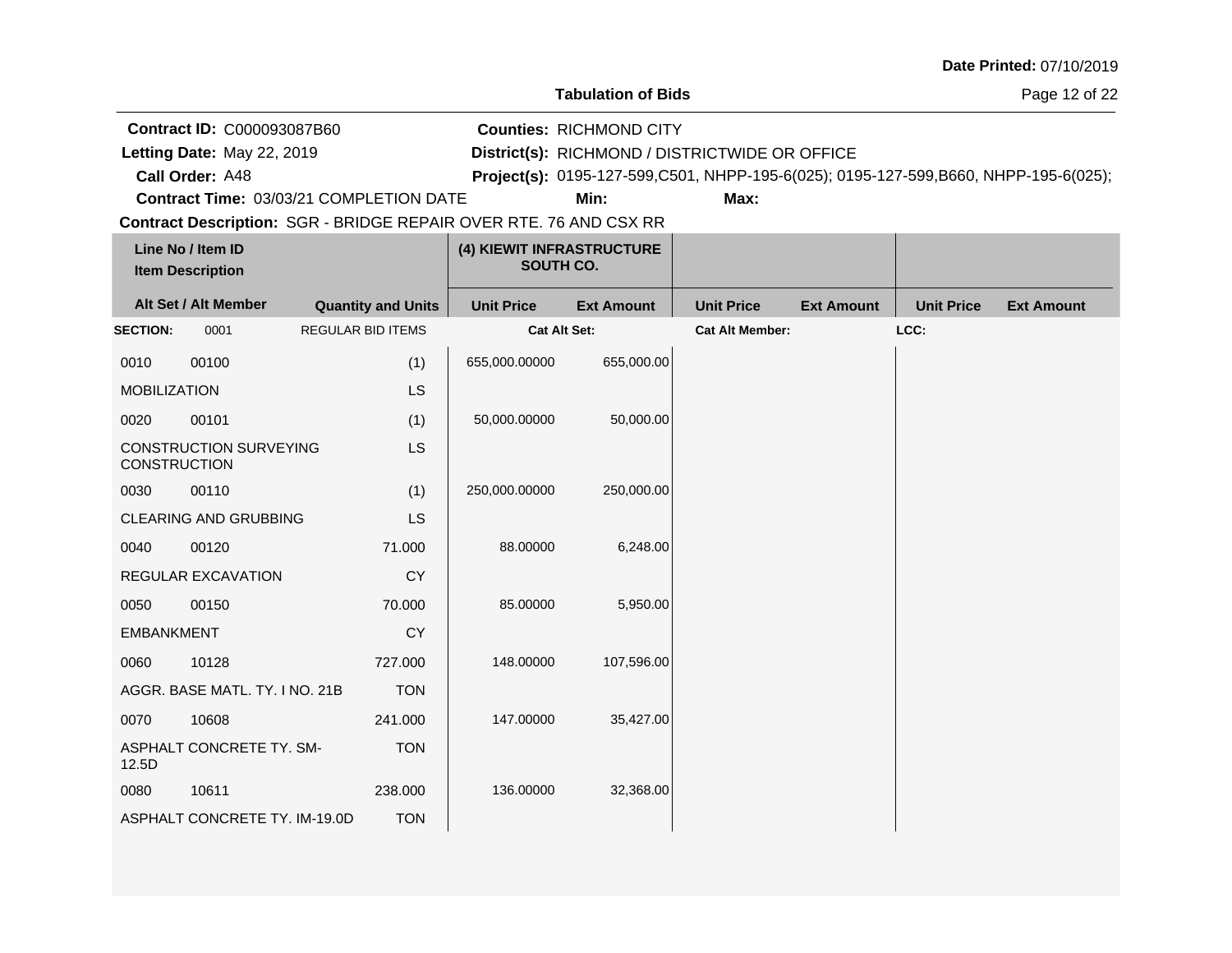Page 12 of 22

**Call Order: Letting Date:** May 22, 2019 **District(s):** RICHMOND / DISTRICTWIDE OR OFFICE **Contract ID:** C000093087B60 **Counties:** RICHMOND CITY Letting Date: May 22, 2019

A48 **Project(s):** 0195-127-599,C501, NHPP-195-6(025); 0195-127-599,B660, NHPP-195-6(025);

**Contract Time:** 03/03/21 COMPLETION DATE

**Min: Max:**

|                     | Line No / Item ID<br><b>Item Description</b> |                           | (4) KIEWIT INFRASTRUCTURE<br>SOUTH CO. |                   |                        |                   |                   |                   |
|---------------------|----------------------------------------------|---------------------------|----------------------------------------|-------------------|------------------------|-------------------|-------------------|-------------------|
|                     | Alt Set / Alt Member                         | <b>Quantity and Units</b> | <b>Unit Price</b>                      | <b>Ext Amount</b> | <b>Unit Price</b>      | <b>Ext Amount</b> | <b>Unit Price</b> | <b>Ext Amount</b> |
| <b>SECTION:</b>     | 0001                                         | <b>REGULAR BID ITEMS</b>  | <b>Cat Alt Set:</b>                    |                   | <b>Cat Alt Member:</b> |                   | LCC:              |                   |
| 0010                | 00100                                        | (1)                       | 655,000.00000                          | 655,000.00        |                        |                   |                   |                   |
| <b>MOBILIZATION</b> |                                              | LS                        |                                        |                   |                        |                   |                   |                   |
| 0020                | 00101                                        | (1)                       | 50,000.00000                           | 50,000.00         |                        |                   |                   |                   |
| <b>CONSTRUCTION</b> | <b>CONSTRUCTION SURVEYING</b>                | LS                        |                                        |                   |                        |                   |                   |                   |
| 0030                | 00110                                        | (1)                       | 250,000.00000                          | 250,000.00        |                        |                   |                   |                   |
|                     | <b>CLEARING AND GRUBBING</b>                 | LS                        |                                        |                   |                        |                   |                   |                   |
| 0040                | 00120                                        | 71.000                    | 88.00000                               | 6,248.00          |                        |                   |                   |                   |
|                     | REGULAR EXCAVATION                           | <b>CY</b>                 |                                        |                   |                        |                   |                   |                   |
| 0050                | 00150                                        | 70.000                    | 85.00000                               | 5,950.00          |                        |                   |                   |                   |
| <b>EMBANKMENT</b>   |                                              | <b>CY</b>                 |                                        |                   |                        |                   |                   |                   |
| 0060                | 10128                                        | 727.000                   | 148.00000                              | 107,596.00        |                        |                   |                   |                   |
|                     | AGGR. BASE MATL. TY. I NO. 21B               | <b>TON</b>                |                                        |                   |                        |                   |                   |                   |
| 0070                | 10608                                        | 241.000                   | 147.00000                              | 35,427.00         |                        |                   |                   |                   |
| 12.5D               | ASPHALT CONCRETE TY. SM-                     | <b>TON</b>                |                                        |                   |                        |                   |                   |                   |
| 0080                | 10611                                        | 238.000                   | 136.00000                              | 32,368.00         |                        |                   |                   |                   |
|                     | ASPHALT CONCRETE TY. IM-19.0D                | <b>TON</b>                |                                        |                   |                        |                   |                   |                   |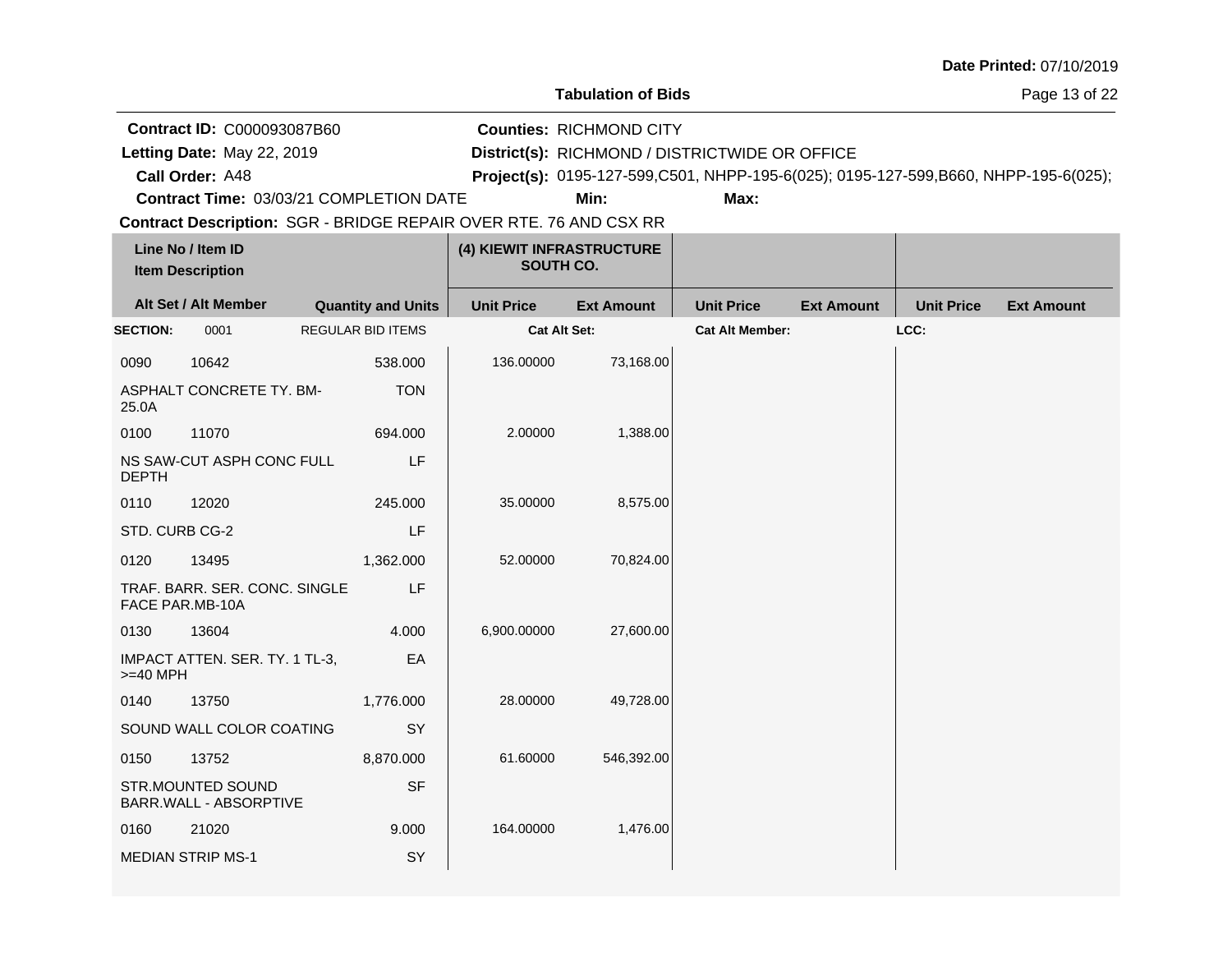**Tabulation of Bids**

Page 13 of 22

**Call Order: Letting Date:** May 22, 2019 **District(s):** RICHMOND / DISTRICTWIDE OR OFFICE **Contract ID:** C000093087B60 **Counties:** RICHMOND CITY A48 **Project(s):** 0195-127-599,C501, NHPP-195-6(025); 0195-127-599,B660, NHPP-195-6(025);**Contract Time:** 03/03/21 COMPLETION DATE Letting Date: May 22, 2019 **Min: Max:**

|                 | Line No / Item ID<br><b>Item Description</b>     |                           | (4) KIEWIT INFRASTRUCTURE<br>SOUTH CO. |                   |                        |                   |                   |                   |
|-----------------|--------------------------------------------------|---------------------------|----------------------------------------|-------------------|------------------------|-------------------|-------------------|-------------------|
|                 | Alt Set / Alt Member                             | <b>Quantity and Units</b> | <b>Unit Price</b>                      | <b>Ext Amount</b> | <b>Unit Price</b>      | <b>Ext Amount</b> | <b>Unit Price</b> | <b>Ext Amount</b> |
| <b>SECTION:</b> | 0001                                             | <b>REGULAR BID ITEMS</b>  | <b>Cat Alt Set:</b>                    |                   | <b>Cat Alt Member:</b> |                   | LCC:              |                   |
| 0090            | 10642                                            | 538.000                   | 136.00000                              | 73,168.00         |                        |                   |                   |                   |
| 25.0A           | ASPHALT CONCRETE TY. BM-                         | <b>TON</b>                |                                        |                   |                        |                   |                   |                   |
| 0100            | 11070                                            | 694.000                   | 2.00000                                | 1,388.00          |                        |                   |                   |                   |
| <b>DEPTH</b>    | NS SAW-CUT ASPH CONC FULL                        | LF                        |                                        |                   |                        |                   |                   |                   |
| 0110            | 12020                                            | 245.000                   | 35.00000                               | 8,575.00          |                        |                   |                   |                   |
| STD. CURB CG-2  |                                                  | LF                        |                                        |                   |                        |                   |                   |                   |
| 0120            | 13495                                            | 1,362.000                 | 52.00000                               | 70,824.00         |                        |                   |                   |                   |
|                 | TRAF. BARR. SER. CONC. SINGLE<br>FACE PAR.MB-10A | LF                        |                                        |                   |                        |                   |                   |                   |
| 0130            | 13604                                            | 4.000                     | 6,900.00000                            | 27,600.00         |                        |                   |                   |                   |
| $>=$ 40 MPH     | IMPACT ATTEN. SER. TY. 1 TL-3,                   | EA                        |                                        |                   |                        |                   |                   |                   |
| 0140            | 13750                                            | 1,776.000                 | 28.00000                               | 49,728.00         |                        |                   |                   |                   |
|                 | SOUND WALL COLOR COATING                         | SY                        |                                        |                   |                        |                   |                   |                   |
| 0150            | 13752                                            | 8,870.000                 | 61.60000                               | 546,392.00        |                        |                   |                   |                   |
|                 | STR.MOUNTED SOUND<br>BARR.WALL - ABSORPTIVE      | <b>SF</b>                 |                                        |                   |                        |                   |                   |                   |
| 0160            | 21020                                            | 9.000                     | 164.00000                              | 1,476.00          |                        |                   |                   |                   |
|                 | <b>MEDIAN STRIP MS-1</b>                         | SY                        |                                        |                   |                        |                   |                   |                   |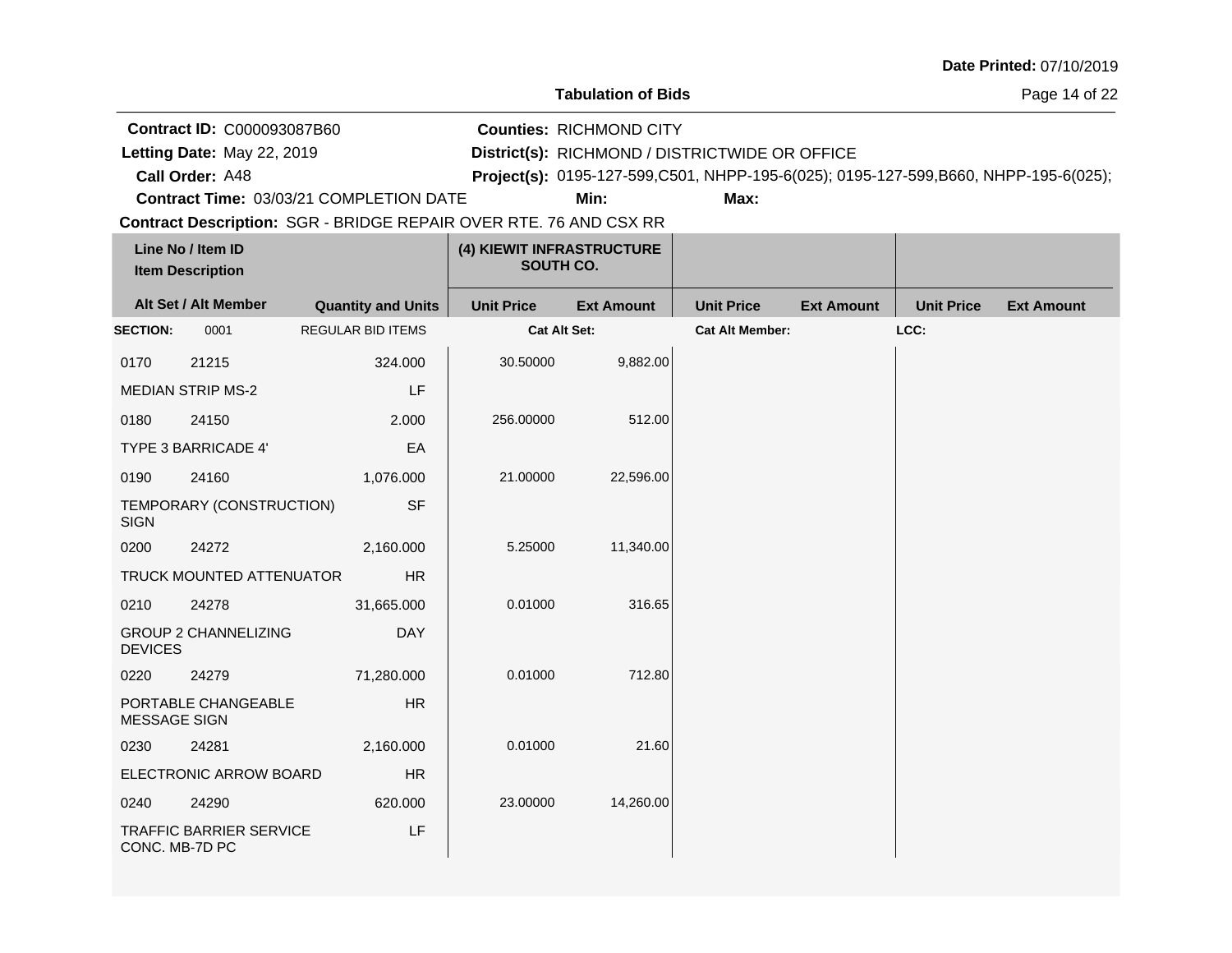**Tabulation of Bids**

Page 14 of 22

**Call Order: Letting Date:** May 22, 2019 **District(s):** RICHMOND / DISTRICTWIDE OR OFFICE **Contract ID:** C000093087B60 **Counties:** RICHMOND CITY A48 **Project(s):** 0195-127-599,C501, NHPP-195-6(025); 0195-127-599,B660, NHPP-195-6(025);**Contract Time:** 03/03/21 COMPLETION DATE Letting Date: May 22, 2019 **Min: Max:**

| Line No / Item ID<br><b>Item Description</b> |                                | (4) KIEWIT INFRASTRUCTURE<br>SOUTH CO. |                     |                   |                        |                   |                   |                   |
|----------------------------------------------|--------------------------------|----------------------------------------|---------------------|-------------------|------------------------|-------------------|-------------------|-------------------|
|                                              | Alt Set / Alt Member           | <b>Quantity and Units</b>              | <b>Unit Price</b>   | <b>Ext Amount</b> | <b>Unit Price</b>      | <b>Ext Amount</b> | <b>Unit Price</b> | <b>Ext Amount</b> |
| <b>SECTION:</b>                              | 0001                           | <b>REGULAR BID ITEMS</b>               | <b>Cat Alt Set:</b> |                   | <b>Cat Alt Member:</b> |                   | LCC:              |                   |
| 0170                                         | 21215                          | 324.000                                | 30.50000            | 9,882.00          |                        |                   |                   |                   |
|                                              | <b>MEDIAN STRIP MS-2</b>       | LF                                     |                     |                   |                        |                   |                   |                   |
| 0180                                         | 24150                          | 2.000                                  | 256.00000           | 512.00            |                        |                   |                   |                   |
|                                              | <b>TYPE 3 BARRICADE 4'</b>     | EA                                     |                     |                   |                        |                   |                   |                   |
| 0190                                         | 24160                          | 1,076.000                              | 21.00000            | 22,596.00         |                        |                   |                   |                   |
| <b>SIGN</b>                                  | TEMPORARY (CONSTRUCTION)       | <b>SF</b>                              |                     |                   |                        |                   |                   |                   |
| 0200                                         | 24272                          | 2,160.000                              | 5.25000             | 11,340.00         |                        |                   |                   |                   |
|                                              | TRUCK MOUNTED ATTENUATOR       | HR                                     |                     |                   |                        |                   |                   |                   |
| 0210                                         | 24278                          | 31,665.000                             | 0.01000             | 316.65            |                        |                   |                   |                   |
| <b>DEVICES</b>                               | <b>GROUP 2 CHANNELIZING</b>    | <b>DAY</b>                             |                     |                   |                        |                   |                   |                   |
| 0220                                         | 24279                          | 71,280.000                             | 0.01000             | 712.80            |                        |                   |                   |                   |
| MESSAGE SIGN                                 | PORTABLE CHANGEABLE            | <b>HR</b>                              |                     |                   |                        |                   |                   |                   |
| 0230                                         | 24281                          | 2,160.000                              | 0.01000             | 21.60             |                        |                   |                   |                   |
|                                              | ELECTRONIC ARROW BOARD         | <b>HR</b>                              |                     |                   |                        |                   |                   |                   |
| 0240                                         | 24290                          | 620.000                                | 23.00000            | 14,260.00         |                        |                   |                   |                   |
| CONC. MB-7D PC                               | <b>TRAFFIC BARRIER SERVICE</b> | LF                                     |                     |                   |                        |                   |                   |                   |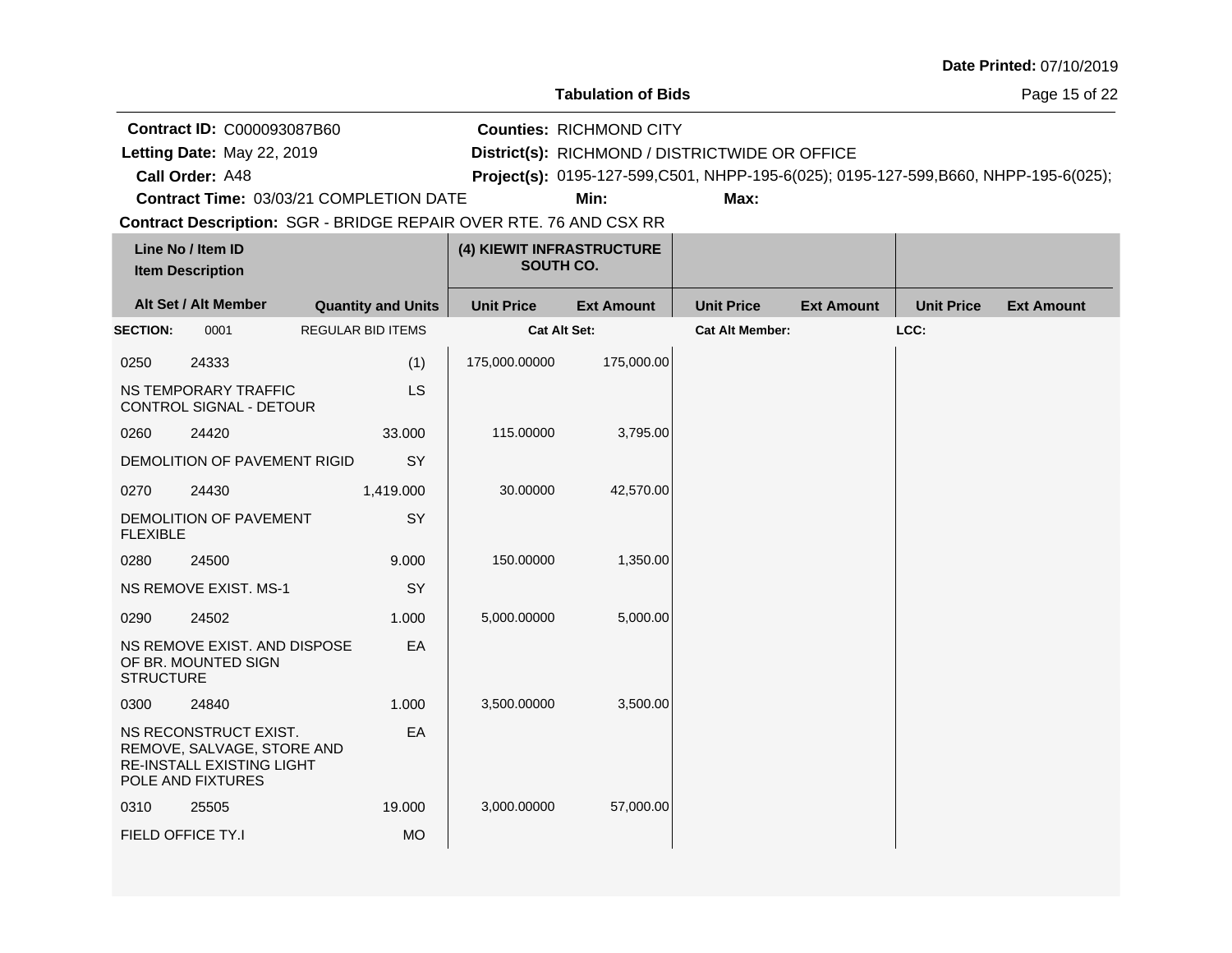Page 15 of 22

**Call Order: Letting Date:** May 22, 2019 **District(s):** RICHMOND / DISTRICTWIDE OR OFFICE **Contract ID:** C000093087B60 **Counties:** RICHMOND CITY A48 **Project(s):** 0195-127-599,C501, NHPP-195-6(025); 0195-127-599,B660, NHPP-195-6(025);Letting Date: May 22, 2019

**Contract Time:** 03/03/21 COMPLETION DATE

**Min: Max:**

| Line No / Item ID<br><b>Item Description</b> |                                                                                                              | (4) KIEWIT INFRASTRUCTURE<br>SOUTH CO. |                     |                   |                        |                   |                   |                   |
|----------------------------------------------|--------------------------------------------------------------------------------------------------------------|----------------------------------------|---------------------|-------------------|------------------------|-------------------|-------------------|-------------------|
| Alt Set / Alt Member                         |                                                                                                              | <b>Quantity and Units</b>              | <b>Unit Price</b>   | <b>Ext Amount</b> | <b>Unit Price</b>      | <b>Ext Amount</b> | <b>Unit Price</b> | <b>Ext Amount</b> |
| <b>SECTION:</b>                              | 0001                                                                                                         | <b>REGULAR BID ITEMS</b>               | <b>Cat Alt Set:</b> |                   | <b>Cat Alt Member:</b> |                   | LCC:              |                   |
| 0250                                         | 24333                                                                                                        | (1)                                    | 175,000.00000       | 175,000.00        |                        |                   |                   |                   |
|                                              | NS TEMPORARY TRAFFIC<br>CONTROL SIGNAL - DETOUR                                                              | LS                                     |                     |                   |                        |                   |                   |                   |
| 0260                                         | 24420                                                                                                        | 33.000                                 | 115.00000           | 3,795.00          |                        |                   |                   |                   |
|                                              | DEMOLITION OF PAVEMENT RIGID                                                                                 | SY                                     |                     |                   |                        |                   |                   |                   |
| 0270                                         | 24430                                                                                                        | 1,419.000                              | 30.00000            | 42,570.00         |                        |                   |                   |                   |
| <b>FLEXIBLE</b>                              | DEMOLITION OF PAVEMENT                                                                                       | SY                                     |                     |                   |                        |                   |                   |                   |
| 0280                                         | 24500                                                                                                        | 9.000                                  | 150.00000           | 1,350.00          |                        |                   |                   |                   |
|                                              | <b>NS REMOVE EXIST. MS-1</b>                                                                                 | SY                                     |                     |                   |                        |                   |                   |                   |
| 0290                                         | 24502                                                                                                        | 1.000                                  | 5,000.00000         | 5,000.00          |                        |                   |                   |                   |
| <b>STRUCTURE</b>                             | NS REMOVE EXIST. AND DISPOSE<br>OF BR. MOUNTED SIGN                                                          | EA                                     |                     |                   |                        |                   |                   |                   |
| 0300                                         | 24840                                                                                                        | 1.000                                  | 3,500.00000         | 3,500.00          |                        |                   |                   |                   |
|                                              | NS RECONSTRUCT EXIST.<br>REMOVE, SALVAGE, STORE AND<br><b>RE-INSTALL EXISTING LIGHT</b><br>POLE AND FIXTURES | EA                                     |                     |                   |                        |                   |                   |                   |
| 0310                                         | 25505                                                                                                        | 19.000                                 | 3,000.00000         | 57,000.00         |                        |                   |                   |                   |
|                                              | FIELD OFFICE TY.I                                                                                            | <b>MO</b>                              |                     |                   |                        |                   |                   |                   |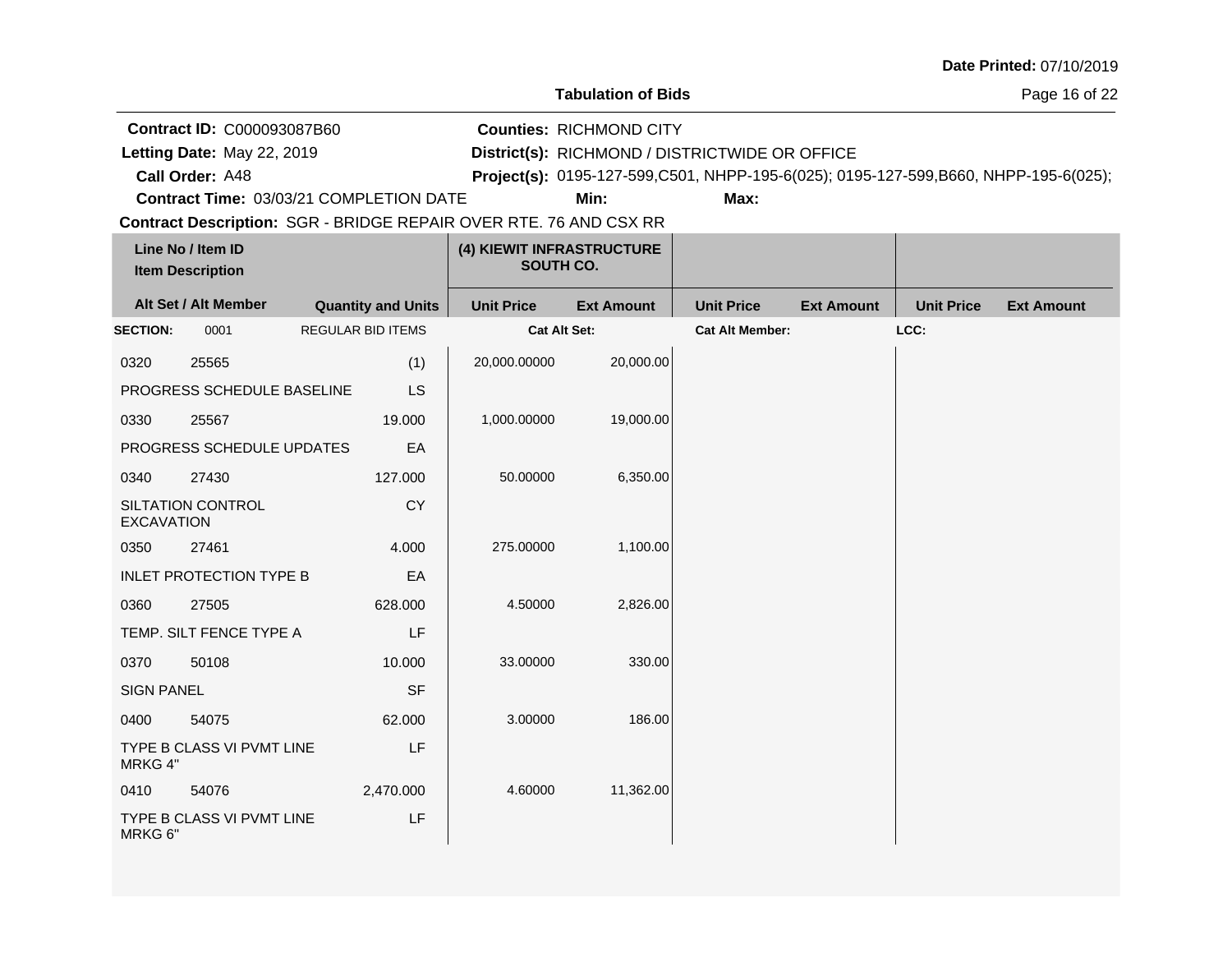Page 16 of 22

**Call Order: Letting Date:** May 22, 2019 **District(s):** RICHMOND / DISTRICTWIDE OR OFFICE **Contract ID:** C000093087B60 **Counties:** RICHMOND CITY A48 **Project(s):** 0195-127-599,C501, NHPP-195-6(025); 0195-127-599,B660, NHPP-195-6(025);Letting Date: May 22, 2019

**Min: Max:**

**Contract Description: SGR - BRIDGE REPAIR OVER RTE. 76 AND CSX RR Contract Time:** 03/03/21 COMPLETION DATE

| Line No / Item ID<br><b>Item Description</b> |                                | (4) KIEWIT INFRASTRUCTURE<br>SOUTH CO. |                     |                   |                        |                   |                   |                   |
|----------------------------------------------|--------------------------------|----------------------------------------|---------------------|-------------------|------------------------|-------------------|-------------------|-------------------|
|                                              | Alt Set / Alt Member           | <b>Quantity and Units</b>              | <b>Unit Price</b>   | <b>Ext Amount</b> | <b>Unit Price</b>      | <b>Ext Amount</b> | <b>Unit Price</b> | <b>Ext Amount</b> |
| <b>SECTION:</b>                              | 0001                           | <b>REGULAR BID ITEMS</b>               | <b>Cat Alt Set:</b> |                   | <b>Cat Alt Member:</b> |                   | LCC:              |                   |
| 0320                                         | 25565                          | (1)                                    | 20,000.00000        | 20,000.00         |                        |                   |                   |                   |
|                                              | PROGRESS SCHEDULE BASELINE     | <b>LS</b>                              |                     |                   |                        |                   |                   |                   |
| 0330                                         | 25567                          | 19.000                                 | 1,000.00000         | 19,000.00         |                        |                   |                   |                   |
|                                              | PROGRESS SCHEDULE UPDATES      | EA                                     |                     |                   |                        |                   |                   |                   |
| 0340                                         | 27430                          | 127.000                                | 50.00000            | 6,350.00          |                        |                   |                   |                   |
| <b>EXCAVATION</b>                            | <b>SILTATION CONTROL</b>       | <b>CY</b>                              |                     |                   |                        |                   |                   |                   |
| 0350                                         | 27461                          | 4.000                                  | 275.00000           | 1,100.00          |                        |                   |                   |                   |
|                                              | <b>INLET PROTECTION TYPE B</b> | EA                                     |                     |                   |                        |                   |                   |                   |
| 0360                                         | 27505                          | 628.000                                | 4.50000             | 2,826.00          |                        |                   |                   |                   |
|                                              | TEMP. SILT FENCE TYPE A        | LF                                     |                     |                   |                        |                   |                   |                   |
| 0370                                         | 50108                          | 10.000                                 | 33.00000            | 330.00            |                        |                   |                   |                   |
| <b>SIGN PANEL</b>                            |                                | <b>SF</b>                              |                     |                   |                        |                   |                   |                   |
| 0400                                         | 54075                          | 62.000                                 | 3.00000             | 186.00            |                        |                   |                   |                   |
| MRKG 4"                                      | TYPE B CLASS VI PVMT LINE      | LF                                     |                     |                   |                        |                   |                   |                   |
| 0410                                         | 54076                          | 2,470.000                              | 4.60000             | 11,362.00         |                        |                   |                   |                   |
| MRKG 6"                                      | TYPE B CLASS VI PVMT LINE      | LF                                     |                     |                   |                        |                   |                   |                   |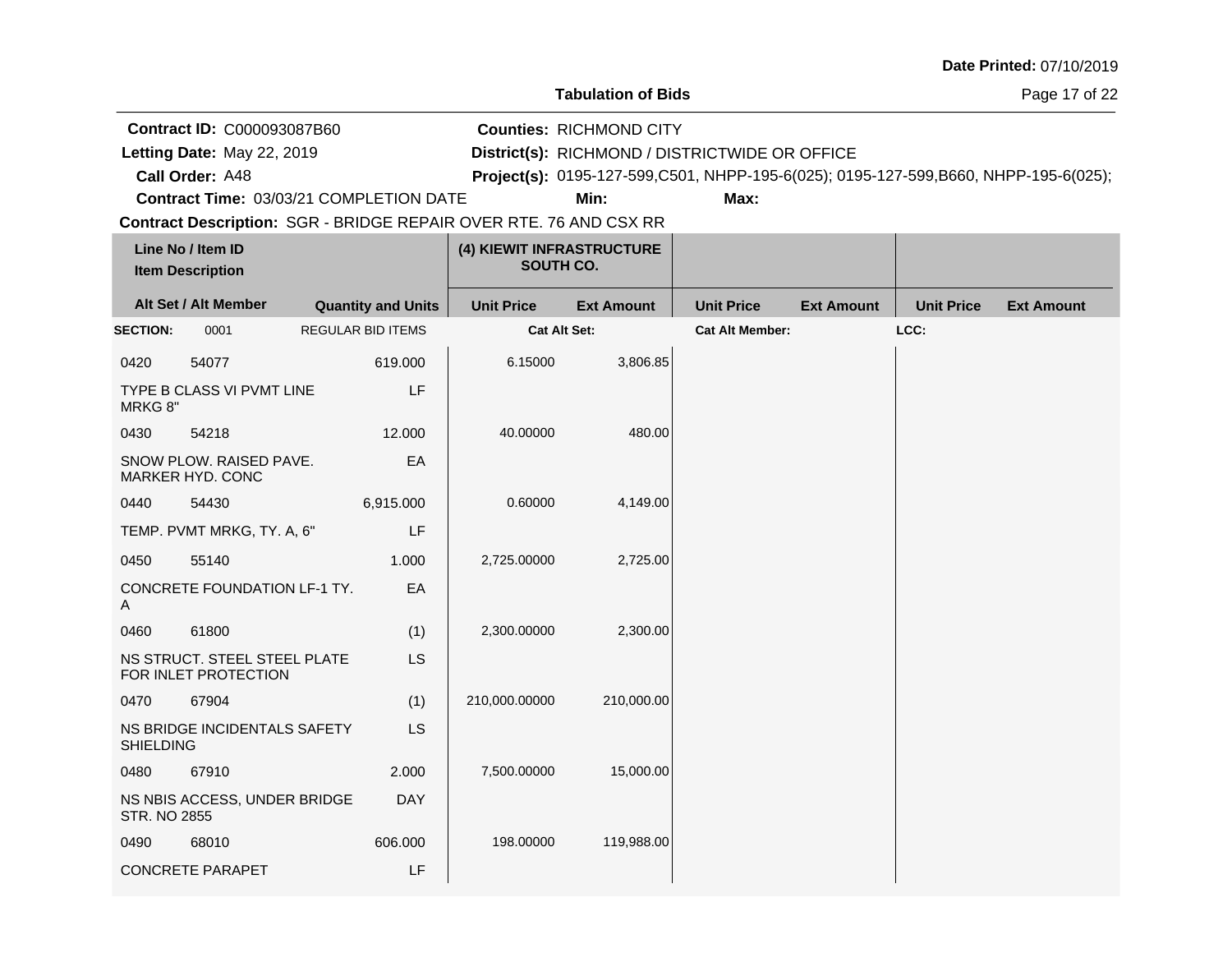$\mathbf{r}$ 

**Tabulation of Bids**

Page 17 of 22

| <b>Contract ID: C000093087B60</b>       | <b>Counties: RICHMOND CITY</b>                                                        |      |  |
|-----------------------------------------|---------------------------------------------------------------------------------------|------|--|
| Letting Date: May 22, 2019              | District(s): RICHMOND / DISTRICTWIDE OR OFFICE                                        |      |  |
| Call Order: A48                         | Project(s): 0195-127-599, C501, NHPP-195-6(025); 0195-127-599, B660, NHPP-195-6(025); |      |  |
| Contract Time: 03/03/21 COMPLETION DATE | Min:                                                                                  | Max: |  |

|                     | Line No / Item ID<br><b>Item Description</b>         |                           | (4) KIEWIT INFRASTRUCTURE<br>SOUTH CO. |                   |                        |                   |                   |                   |
|---------------------|------------------------------------------------------|---------------------------|----------------------------------------|-------------------|------------------------|-------------------|-------------------|-------------------|
|                     | Alt Set / Alt Member                                 | <b>Quantity and Units</b> | <b>Unit Price</b>                      | <b>Ext Amount</b> | <b>Unit Price</b>      | <b>Ext Amount</b> | <b>Unit Price</b> | <b>Ext Amount</b> |
| <b>SECTION:</b>     | 0001                                                 | <b>REGULAR BID ITEMS</b>  | <b>Cat Alt Set:</b>                    |                   | <b>Cat Alt Member:</b> |                   | LCC:              |                   |
| 0420                | 54077                                                | 619.000                   | 6.15000                                | 3,806.85          |                        |                   |                   |                   |
| MRKG 8"             | TYPE B CLASS VI PVMT LINE                            | LF                        |                                        |                   |                        |                   |                   |                   |
| 0430                | 54218                                                | 12.000                    | 40.00000                               | 480.00            |                        |                   |                   |                   |
|                     | SNOW PLOW. RAISED PAVE.<br>MARKER HYD. CONC          | EA                        |                                        |                   |                        |                   |                   |                   |
| 0440                | 54430                                                | 6,915.000                 | 0.60000                                | 4,149.00          |                        |                   |                   |                   |
|                     | TEMP. PVMT MRKG, TY. A, 6"                           | LF                        |                                        |                   |                        |                   |                   |                   |
| 0450                | 55140                                                | 1.000                     | 2,725.00000                            | 2,725.00          |                        |                   |                   |                   |
| A                   | CONCRETE FOUNDATION LF-1 TY.                         | EA                        |                                        |                   |                        |                   |                   |                   |
| 0460                | 61800                                                | (1)                       | 2,300.00000                            | 2,300.00          |                        |                   |                   |                   |
|                     | NS STRUCT. STEEL STEEL PLATE<br>FOR INLET PROTECTION | <b>LS</b>                 |                                        |                   |                        |                   |                   |                   |
| 0470                | 67904                                                | (1)                       | 210,000.00000                          | 210,000.00        |                        |                   |                   |                   |
| <b>SHIELDING</b>    | NS BRIDGE INCIDENTALS SAFETY                         | <b>LS</b>                 |                                        |                   |                        |                   |                   |                   |
| 0480                | 67910                                                | 2.000                     | 7,500.00000                            | 15,000.00         |                        |                   |                   |                   |
| <b>STR. NO 2855</b> | NS NBIS ACCESS, UNDER BRIDGE                         | <b>DAY</b>                |                                        |                   |                        |                   |                   |                   |
| 0490                | 68010                                                | 606.000                   | 198.00000                              | 119,988.00        |                        |                   |                   |                   |
|                     | <b>CONCRETE PARAPET</b>                              | LF                        |                                        |                   |                        |                   |                   |                   |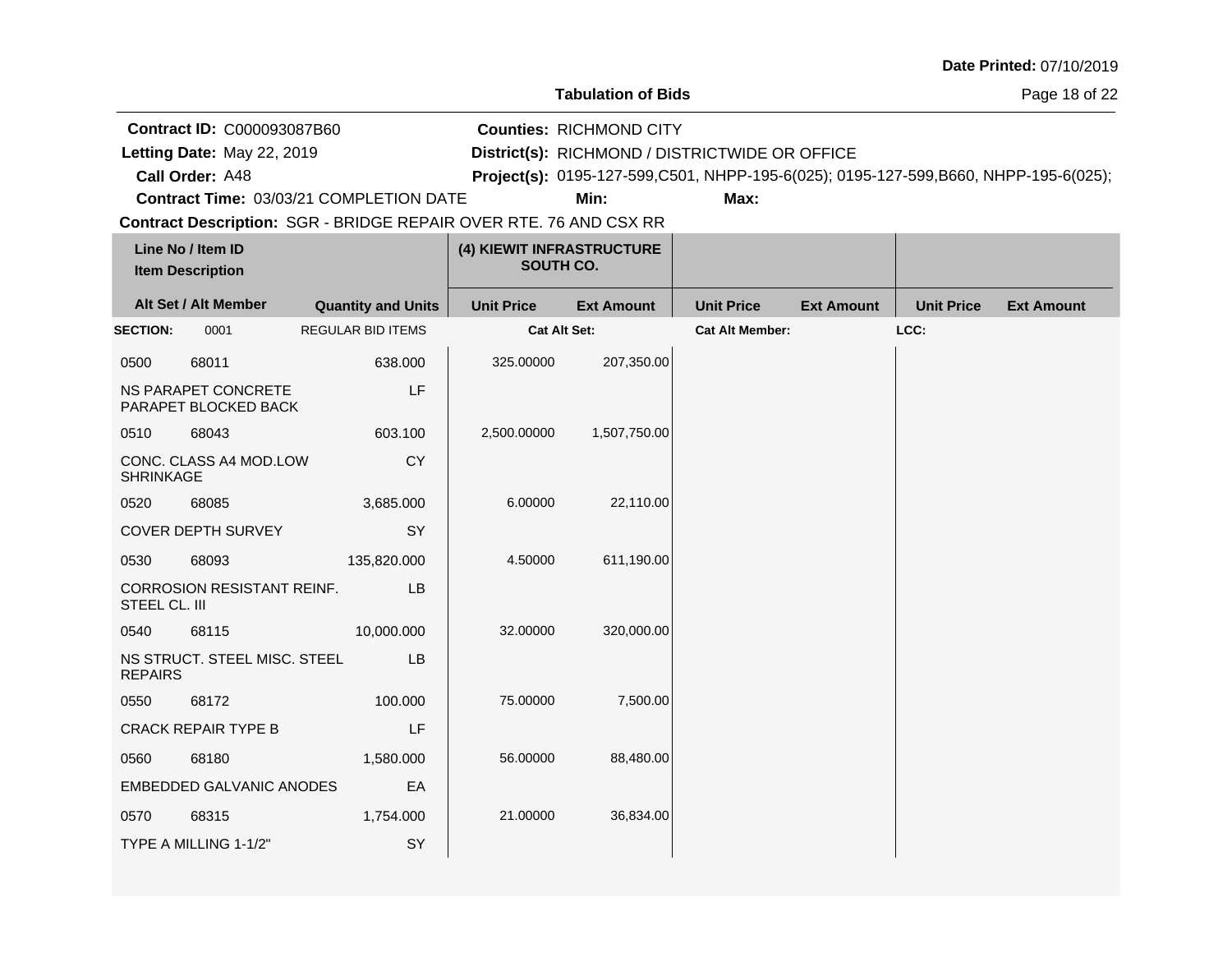**Tabulation of Bids**

Page 18 of 22

| <b>Contract ID: C000093087B60</b><br>Letting Date: May 22, 2019          |                           | <b>Counties: RICHMOND CITY</b><br>District(s): RICHMOND / DISTRICTWIDE OR OFFICE    |                   |                   |                   |                   |                   |
|--------------------------------------------------------------------------|---------------------------|-------------------------------------------------------------------------------------|-------------------|-------------------|-------------------|-------------------|-------------------|
| Call Order: A48                                                          |                           | Project(s): 0195-127-599,C501, NHPP-195-6(025); 0195-127-599,B660, NHPP-195-6(025); |                   |                   |                   |                   |                   |
| <b>Contract Time: 03/03/21 COMPLETION DATE</b>                           |                           |                                                                                     | Min:              | Max:              |                   |                   |                   |
| <b>Contract Description: SGR - BRIDGE REPAIR OVER RTE. 76 AND CSX RR</b> |                           |                                                                                     |                   |                   |                   |                   |                   |
| Line No / Item ID<br><b>Item Description</b>                             | SOUTH CO.                 | (4) KIEWIT INFRASTRUCTURE                                                           |                   |                   |                   |                   |                   |
| Alt Set / Alt Member                                                     | <b>Quantity and Units</b> | <b>Unit Price</b>                                                                   | <b>Ext Amount</b> | <b>Unit Price</b> | <b>Ext Amount</b> | <b>Unit Price</b> | <b>Ext Amount</b> |

| <b>SECTION:</b>  | 0001                                        | <b>REGULAR BID ITEMS</b> | <b>Cat Alt Set:</b> |              | <b>Cat Alt Member:</b> | LCC: |  |
|------------------|---------------------------------------------|--------------------------|---------------------|--------------|------------------------|------|--|
| 0500             | 68011                                       | 638.000                  | 325.00000           | 207,350.00   |                        |      |  |
|                  | NS PARAPET CONCRETE<br>PARAPET BLOCKED BACK | LF                       |                     |              |                        |      |  |
| 0510             | 68043                                       | 603.100                  | 2,500.00000         | 1,507,750.00 |                        |      |  |
| <b>SHRINKAGE</b> | CONC. CLASS A4 MOD.LOW                      | <b>CY</b>                |                     |              |                        |      |  |
| 0520             | 68085                                       | 3,685.000                | 6.00000             | 22,110.00    |                        |      |  |
|                  | <b>COVER DEPTH SURVEY</b>                   | SY                       |                     |              |                        |      |  |
| 0530             | 68093                                       | 135,820.000              | 4.50000             | 611,190.00   |                        |      |  |
| STEEL CL. III    | CORROSION RESISTANT REINF.                  | <b>LB</b>                |                     |              |                        |      |  |
| 0540             | 68115                                       | 10,000.000               | 32.00000            | 320,000.00   |                        |      |  |
| <b>REPAIRS</b>   | NS STRUCT. STEEL MISC. STEEL                | LB                       |                     |              |                        |      |  |
| 0550             | 68172                                       | 100.000                  | 75.00000            | 7,500.00     |                        |      |  |
|                  | <b>CRACK REPAIR TYPE B</b>                  | LF                       |                     |              |                        |      |  |
| 0560             | 68180                                       | 1,580.000                | 56.00000            | 88,480.00    |                        |      |  |
|                  | <b>EMBEDDED GALVANIC ANODES</b>             | EA                       |                     |              |                        |      |  |
| 0570             | 68315                                       | 1,754.000                | 21.00000            | 36,834.00    |                        |      |  |
|                  | TYPE A MILLING 1-1/2"                       | SY                       |                     |              |                        |      |  |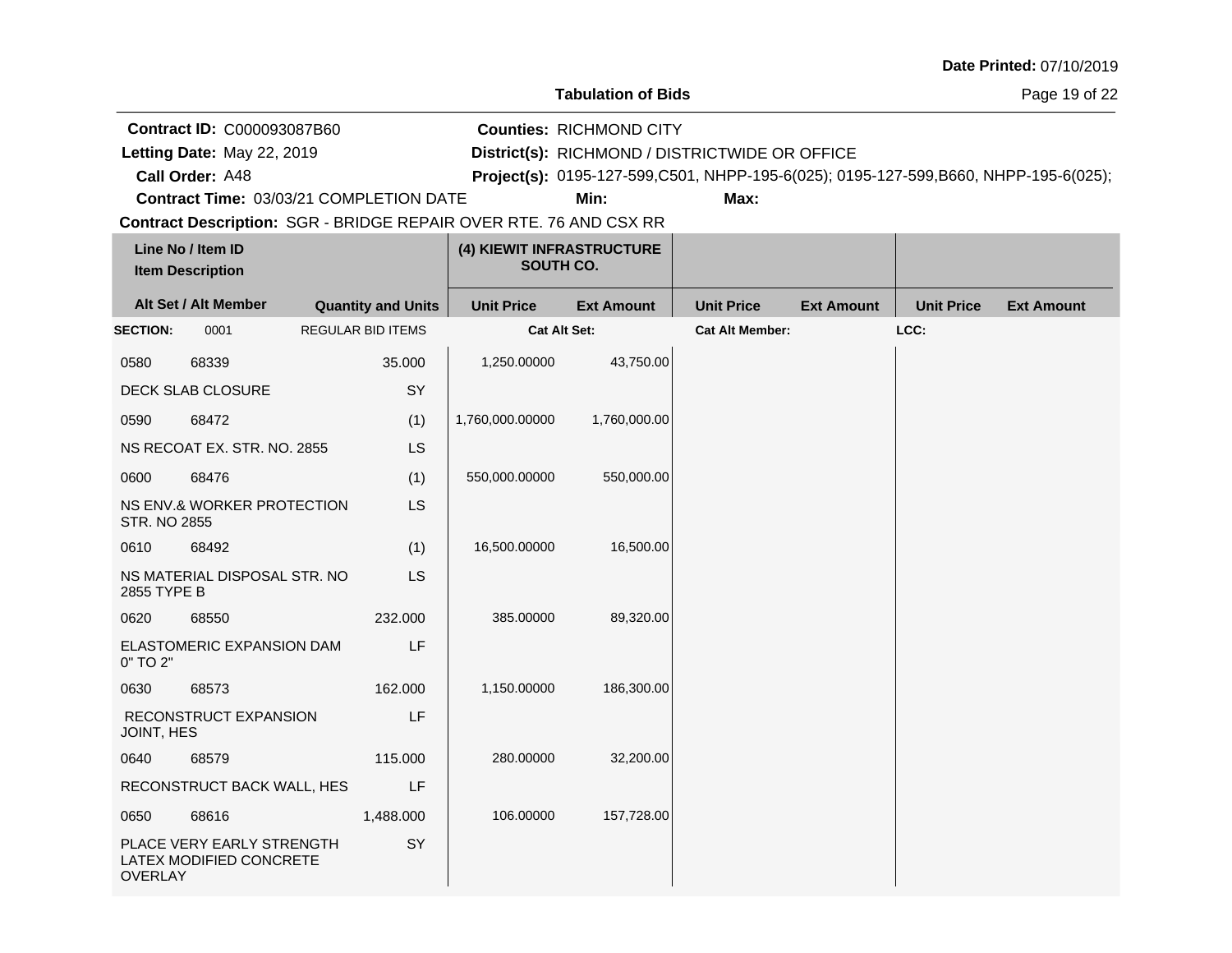Page 19 of 22

**Call Order: Letting Date:** May 22, 2019 **District(s):** RICHMOND / DISTRICTWIDE OR OFFICE **Contract ID:** C000093087B60 **Counties:** RICHMOND CITY A48 **Project(s):** 0195-127-599,C501, NHPP-195-6(025); 0195-127-599,B660, NHPP-195-6(025);Letting Date: May 22, 2019

**Contract Time:** 03/03/21 COMPLETION DATE

**Min: Max:**

| Line No / Item ID<br><b>Item Description</b> |                                                      | (4) KIEWIT INFRASTRUCTURE<br>SOUTH CO. |                   |                   |                        |                   |                   |                   |
|----------------------------------------------|------------------------------------------------------|----------------------------------------|-------------------|-------------------|------------------------|-------------------|-------------------|-------------------|
|                                              | Alt Set / Alt Member                                 | <b>Quantity and Units</b>              | <b>Unit Price</b> | <b>Ext Amount</b> | <b>Unit Price</b>      | <b>Ext Amount</b> | <b>Unit Price</b> | <b>Ext Amount</b> |
| <b>SECTION:</b>                              | 0001                                                 | <b>REGULAR BID ITEMS</b>               | Cat Alt Set:      |                   | <b>Cat Alt Member:</b> |                   | LCC:              |                   |
| 0580                                         | 68339                                                | 35.000                                 | 1,250.00000       | 43,750.00         |                        |                   |                   |                   |
|                                              | DECK SLAB CLOSURE                                    | SY                                     |                   |                   |                        |                   |                   |                   |
| 0590                                         | 68472                                                | (1)                                    | 1,760,000.00000   | 1,760,000.00      |                        |                   |                   |                   |
|                                              | NS RECOAT EX. STR. NO. 2855                          | <b>LS</b>                              |                   |                   |                        |                   |                   |                   |
| 0600                                         | 68476                                                | (1)                                    | 550,000.00000     | 550,000.00        |                        |                   |                   |                   |
| <b>STR. NO 2855</b>                          | NS ENV.& WORKER PROTECTION                           | <b>LS</b>                              |                   |                   |                        |                   |                   |                   |
| 0610                                         | 68492                                                | (1)                                    | 16,500.00000      | 16,500.00         |                        |                   |                   |                   |
| 2855 TYPE B                                  | NS MATERIAL DISPOSAL STR. NO                         | <b>LS</b>                              |                   |                   |                        |                   |                   |                   |
| 0620                                         | 68550                                                | 232.000                                | 385.00000         | 89,320.00         |                        |                   |                   |                   |
| 0" TO 2"                                     | ELASTOMERIC EXPANSION DAM                            | LF                                     |                   |                   |                        |                   |                   |                   |
| 0630                                         | 68573                                                | 162.000                                | 1,150.00000       | 186,300.00        |                        |                   |                   |                   |
| JOINT, HES                                   | RECONSTRUCT EXPANSION                                | LF                                     |                   |                   |                        |                   |                   |                   |
| 0640                                         | 68579                                                | 115.000                                | 280.00000         | 32,200.00         |                        |                   |                   |                   |
|                                              | RECONSTRUCT BACK WALL, HES                           | LF                                     |                   |                   |                        |                   |                   |                   |
| 0650                                         | 68616                                                | 1,488.000                              | 106.00000         | 157,728.00        |                        |                   |                   |                   |
| <b>OVERLAY</b>                               | PLACE VERY EARLY STRENGTH<br>LATEX MODIFIED CONCRETE | SY                                     |                   |                   |                        |                   |                   |                   |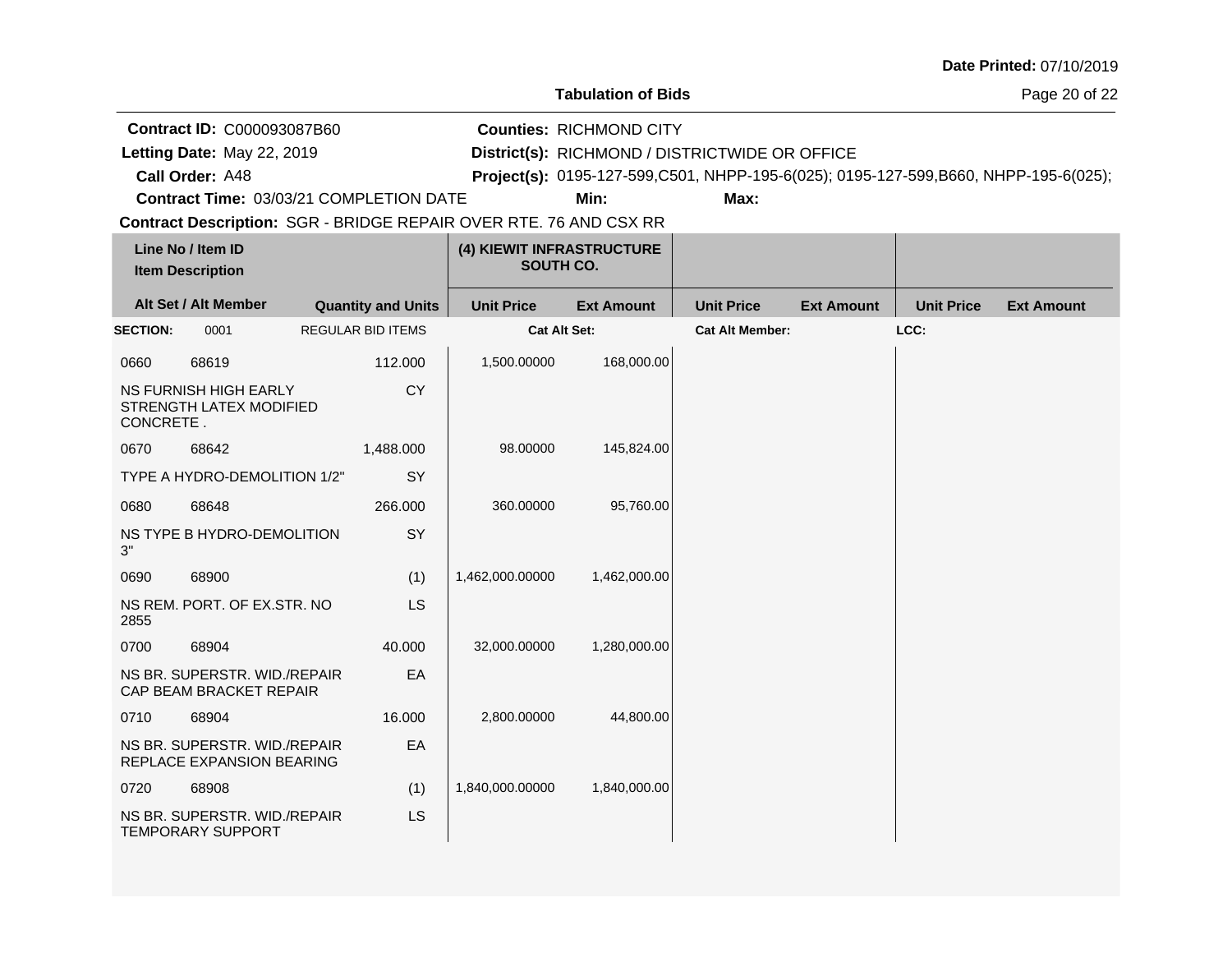**Tabulation of Bids**

Page 20 of 22

|                                              | <b>Contract ID: C000093087B60</b>                              |                                        |                           |                                                                   | <b>Counties: RICHMOND CITY</b> |                                                |                   |                   |                                                                                     |
|----------------------------------------------|----------------------------------------------------------------|----------------------------------------|---------------------------|-------------------------------------------------------------------|--------------------------------|------------------------------------------------|-------------------|-------------------|-------------------------------------------------------------------------------------|
|                                              | Letting Date: May 22, 2019                                     |                                        |                           |                                                                   |                                | District(s): RICHMOND / DISTRICTWIDE OR OFFICE |                   |                   |                                                                                     |
| Call Order: A48                              |                                                                |                                        |                           |                                                                   |                                |                                                |                   |                   | Project(s): 0195-127-599,C501, NHPP-195-6(025); 0195-127-599,B660, NHPP-195-6(025); |
|                                              | Contract Time: 03/03/21 COMPLETION DATE                        |                                        |                           |                                                                   | Min:                           | Max:                                           |                   |                   |                                                                                     |
|                                              |                                                                |                                        |                           | Contract Description: SGR - BRIDGE REPAIR OVER RTE. 76 AND CSX RR |                                |                                                |                   |                   |                                                                                     |
| Line No / Item ID<br><b>Item Description</b> |                                                                | (4) KIEWIT INFRASTRUCTURE<br>SOUTH CO. |                           |                                                                   |                                |                                                |                   |                   |                                                                                     |
|                                              | Alt Set / Alt Member                                           |                                        | <b>Quantity and Units</b> | <b>Unit Price</b>                                                 | <b>Ext Amount</b>              | <b>Unit Price</b>                              | <b>Ext Amount</b> | <b>Unit Price</b> | <b>Ext Amount</b>                                                                   |
| <b>SECTION:</b>                              | 0001                                                           |                                        | <b>REGULAR BID ITEMS</b>  | <b>Cat Alt Set:</b>                                               |                                | <b>Cat Alt Member:</b>                         |                   | LCC:              |                                                                                     |
| 0660                                         | 68619                                                          |                                        | 112.000                   | 1,500.00000                                                       | 168,000.00                     |                                                |                   |                   |                                                                                     |
| CONCRETE.                                    | <b>NS FURNISH HIGH EARLY</b><br><b>STRENGTH LATEX MODIFIED</b> |                                        | <b>CY</b>                 |                                                                   |                                |                                                |                   |                   |                                                                                     |
| 0670                                         | 68642                                                          |                                        | 1,488.000                 | 98.00000                                                          | 145,824.00                     |                                                |                   |                   |                                                                                     |
|                                              | TYPE A HYDRO-DEMOLITION 1/2"                                   |                                        | <b>SY</b>                 |                                                                   |                                |                                                |                   |                   |                                                                                     |
| 0680                                         | 68648                                                          |                                        | 266,000                   | 360.00000                                                         | 95,760.00                      |                                                |                   |                   |                                                                                     |
| 3"                                           | NS TYPE B HYDRO-DEMOLITION                                     |                                        | SY                        |                                                                   |                                |                                                |                   |                   |                                                                                     |
| 0690                                         | 68900                                                          |                                        | (1)                       | 1,462,000.00000                                                   | 1,462,000.00                   |                                                |                   |                   |                                                                                     |
| 2855                                         | NS REM. PORT. OF EX.STR. NO                                    |                                        | LS                        |                                                                   |                                |                                                |                   |                   |                                                                                     |
| 0700                                         | 68904                                                          |                                        | 40.000                    | 32,000.00000                                                      | 1,280,000.00                   |                                                |                   |                   |                                                                                     |
|                                              | NS BR. SUPERSTR. WID./REPAIR<br>CAP BEAM BRACKET REPAIR        |                                        | EA                        |                                                                   |                                |                                                |                   |                   |                                                                                     |
| 0710                                         | 68904                                                          |                                        | 16.000                    | 2,800.00000                                                       | 44,800.00                      |                                                |                   |                   |                                                                                     |
|                                              | NS BR. SUPERSTR. WID./REPAIR<br>REPLACE EXPANSION BEARING      |                                        | EA                        |                                                                   |                                |                                                |                   |                   |                                                                                     |
| 0720                                         | 68908                                                          |                                        | (1)                       | 1,840,000.00000                                                   | 1,840,000.00                   |                                                |                   |                   |                                                                                     |
|                                              | NS BR. SUPERSTR. WID./REPAIR<br><b>TEMPORARY SUPPORT</b>       |                                        | LS                        |                                                                   |                                |                                                |                   |                   |                                                                                     |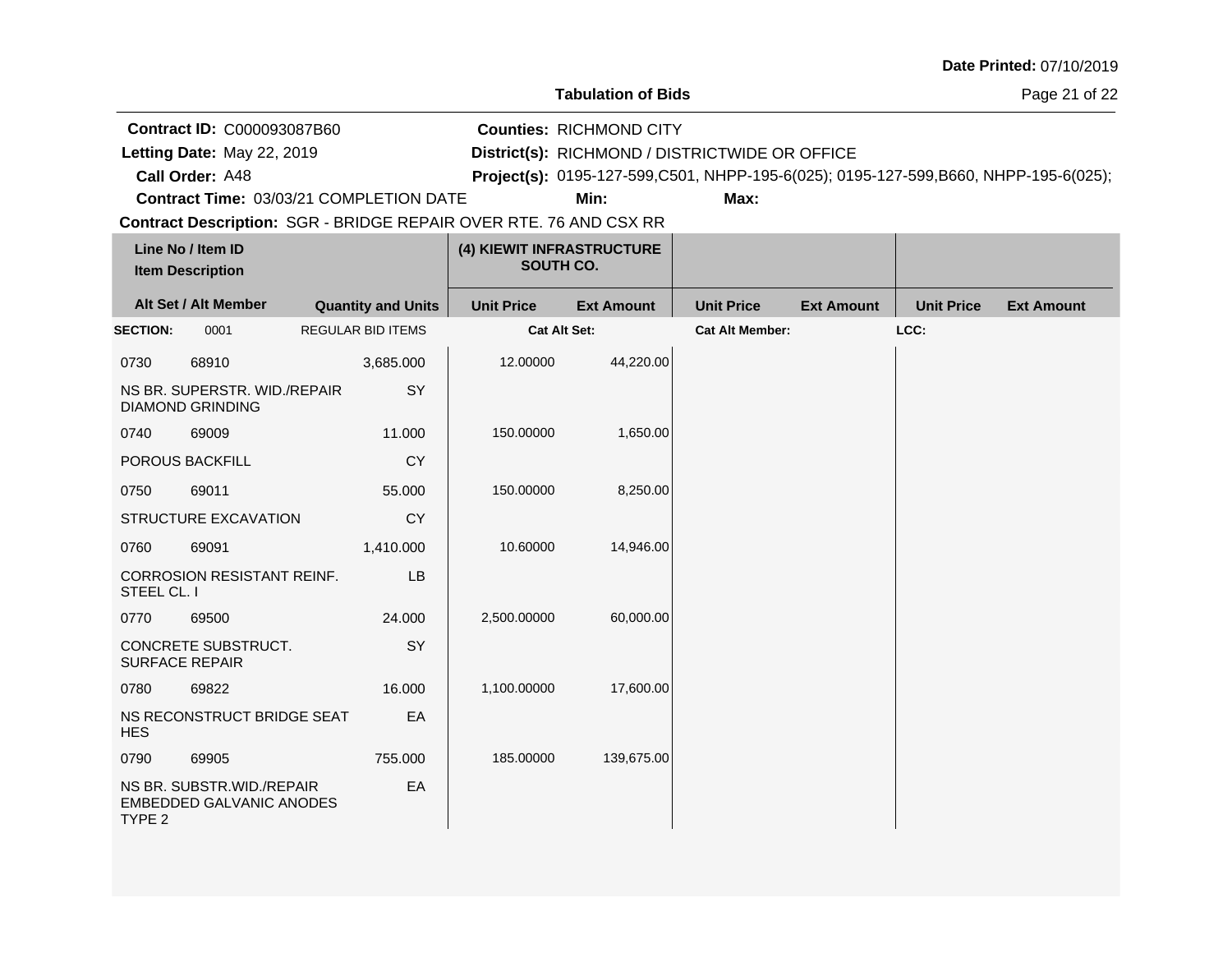**Tabulation of Bids**

Page 21 of 22

|                                              | Contract ID: C000093087B60                              |                                                                          |                     | <b>Counties: RICHMOND CITY</b>                 |                        |                   |                   |                                                                                     |  |
|----------------------------------------------|---------------------------------------------------------|--------------------------------------------------------------------------|---------------------|------------------------------------------------|------------------------|-------------------|-------------------|-------------------------------------------------------------------------------------|--|
| Letting Date: May 22, 2019                   |                                                         |                                                                          |                     | District(s): RICHMOND / DISTRICTWIDE OR OFFICE |                        |                   |                   |                                                                                     |  |
| Call Order: A48                              |                                                         |                                                                          |                     |                                                |                        |                   |                   | Project(s): 0195-127-599,C501, NHPP-195-6(025); 0195-127-599,B660, NHPP-195-6(025); |  |
|                                              |                                                         | Contract Time: 03/03/21 COMPLETION DATE                                  |                     | Min:                                           | Max:                   |                   |                   |                                                                                     |  |
|                                              |                                                         | <b>Contract Description: SGR - BRIDGE REPAIR OVER RTE. 76 AND CSX RR</b> |                     |                                                |                        |                   |                   |                                                                                     |  |
| Line No / Item ID<br><b>Item Description</b> |                                                         | (4) KIEWIT INFRASTRUCTURE<br>SOUTH CO.                                   |                     |                                                |                        |                   |                   |                                                                                     |  |
|                                              | Alt Set / Alt Member                                    | <b>Quantity and Units</b>                                                | <b>Unit Price</b>   | <b>Ext Amount</b>                              | <b>Unit Price</b>      | <b>Ext Amount</b> | <b>Unit Price</b> | <b>Ext Amount</b>                                                                   |  |
| <b>SECTION:</b>                              | 0001                                                    | <b>REGULAR BID ITEMS</b>                                                 | <b>Cat Alt Set:</b> |                                                | <b>Cat Alt Member:</b> |                   | LCC:              |                                                                                     |  |
| 0730                                         | 68910                                                   | 3,685.000                                                                | 12.00000            | 44,220.00                                      |                        |                   |                   |                                                                                     |  |
|                                              | NS BR. SUPERSTR. WID./REPAIR<br><b>DIAMOND GRINDING</b> | SY                                                                       |                     |                                                |                        |                   |                   |                                                                                     |  |
| 0740                                         | 69009                                                   | 11.000                                                                   | 150.00000           | 1,650.00                                       |                        |                   |                   |                                                                                     |  |
|                                              | POROUS BACKFILL                                         | <b>CY</b>                                                                |                     |                                                |                        |                   |                   |                                                                                     |  |
| 0750                                         | 69011                                                   | 55.000                                                                   | 150.00000           | 8,250.00                                       |                        |                   |                   |                                                                                     |  |
|                                              | STRUCTURE EXCAVATION                                    | <b>CY</b>                                                                |                     |                                                |                        |                   |                   |                                                                                     |  |
| 0760                                         | 69091                                                   | 1,410.000                                                                | 10.60000            | 14,946.00                                      |                        |                   |                   |                                                                                     |  |
| STEEL CL. I                                  | <b>CORROSION RESISTANT REINF.</b>                       | LB                                                                       |                     |                                                |                        |                   |                   |                                                                                     |  |
| 0770                                         | 69500                                                   | 24.000                                                                   | 2,500.00000         | 60,000.00                                      |                        |                   |                   |                                                                                     |  |
|                                              | CONCRETE SUBSTRUCT.<br><b>SURFACE REPAIR</b>            | SY                                                                       |                     |                                                |                        |                   |                   |                                                                                     |  |
| 0780                                         | 69822                                                   | 16.000                                                                   | 1,100.00000         | 17,600.00                                      |                        |                   |                   |                                                                                     |  |
| <b>HES</b>                                   | NS RECONSTRUCT BRIDGE SEAT                              | EA                                                                       |                     |                                                |                        |                   |                   |                                                                                     |  |
| 0790                                         | 69905                                                   | 755,000                                                                  | 185.00000           | 139,675.00                                     |                        |                   |                   |                                                                                     |  |
|                                              | NS BR. SUBSTR. WID./REPAIR                              | EA                                                                       |                     |                                                |                        |                   |                   |                                                                                     |  |

NS BR. SUBSTR.WID./REPAIR EMBEDDED GALVANIC ANODES TYPE 2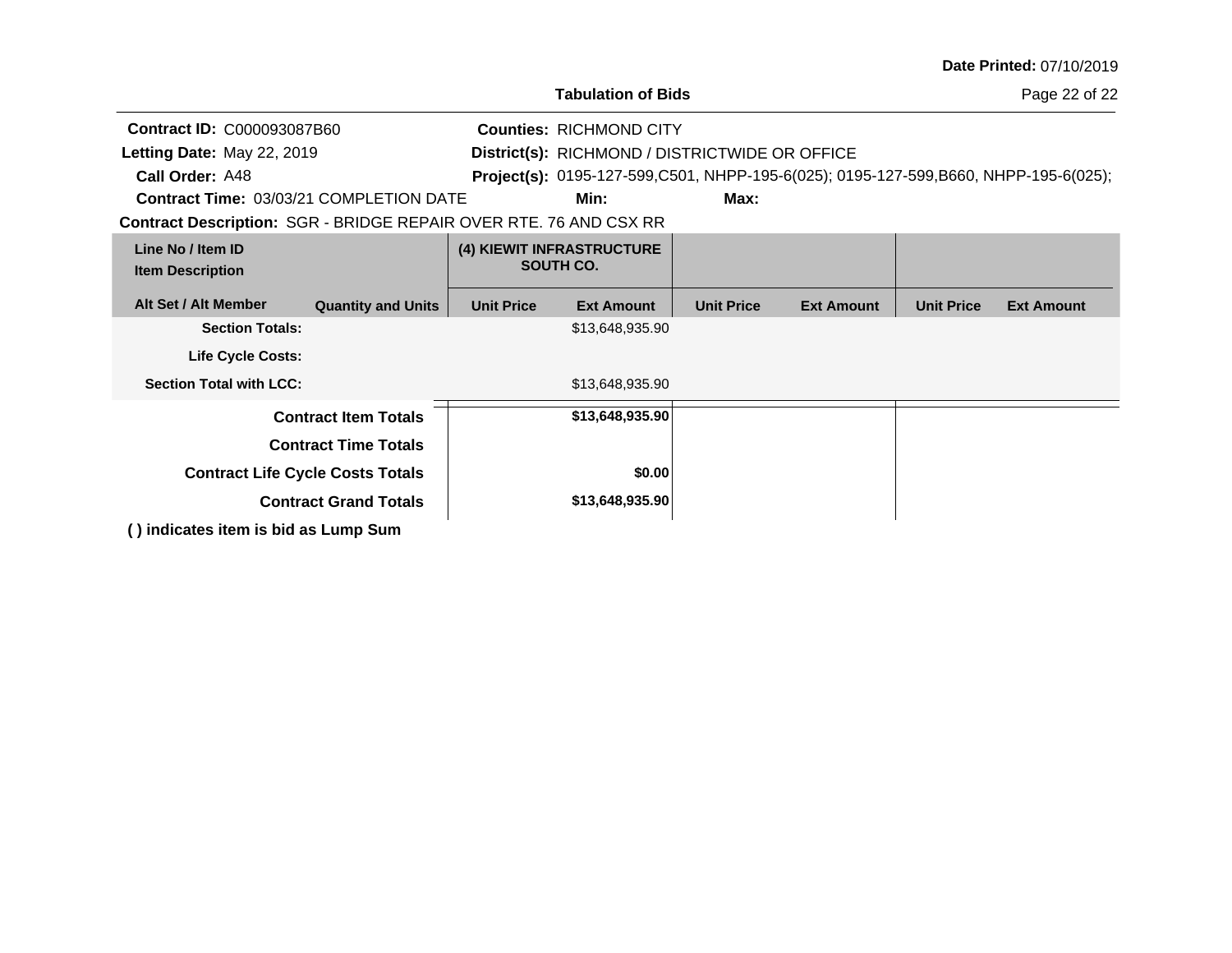|                                                                          |                              |                   |                                                                                     |                   |                   |                   | Date Printed: 07/10/2019 |
|--------------------------------------------------------------------------|------------------------------|-------------------|-------------------------------------------------------------------------------------|-------------------|-------------------|-------------------|--------------------------|
|                                                                          |                              |                   | <b>Tabulation of Bids</b>                                                           |                   |                   |                   | Page 22 of 22            |
| <b>Contract ID: C000093087B60</b>                                        |                              |                   | <b>Counties: RICHMOND CITY</b>                                                      |                   |                   |                   |                          |
| Letting Date: May 22, 2019                                               |                              |                   | District(s): RICHMOND / DISTRICTWIDE OR OFFICE                                      |                   |                   |                   |                          |
| Call Order: A48                                                          |                              |                   | Project(s): 0195-127-599,C501, NHPP-195-6(025); 0195-127-599,B660, NHPP-195-6(025); |                   |                   |                   |                          |
| <b>Contract Time: 03/03/21 COMPLETION DATE</b>                           |                              |                   | Min:                                                                                | Max:              |                   |                   |                          |
| <b>Contract Description: SGR - BRIDGE REPAIR OVER RTE. 76 AND CSX RR</b> |                              |                   |                                                                                     |                   |                   |                   |                          |
| Line No / Item ID<br><b>Item Description</b>                             |                              |                   | (4) KIEWIT INFRASTRUCTURE<br>SOUTH CO.                                              |                   |                   |                   |                          |
| Alt Set / Alt Member                                                     | <b>Quantity and Units</b>    | <b>Unit Price</b> | <b>Ext Amount</b>                                                                   | <b>Unit Price</b> | <b>Ext Amount</b> | <b>Unit Price</b> | <b>Ext Amount</b>        |
| <b>Section Totals:</b>                                                   |                              |                   | \$13,648,935.90                                                                     |                   |                   |                   |                          |
| <b>Life Cycle Costs:</b>                                                 |                              |                   |                                                                                     |                   |                   |                   |                          |
| <b>Section Total with LCC:</b>                                           |                              |                   | \$13,648,935.90                                                                     |                   |                   |                   |                          |
|                                                                          | <b>Contract Item Totals</b>  |                   | \$13,648,935.90                                                                     |                   |                   |                   |                          |
|                                                                          | <b>Contract Time Totals</b>  |                   |                                                                                     |                   |                   |                   |                          |
| <b>Contract Life Cycle Costs Totals</b>                                  |                              |                   | \$0.00                                                                              |                   |                   |                   |                          |
|                                                                          | <b>Contract Grand Totals</b> |                   | \$13,648,935.90                                                                     |                   |                   |                   |                          |
| () indicates item is bid as Lump Sum                                     |                              |                   |                                                                                     |                   |                   |                   |                          |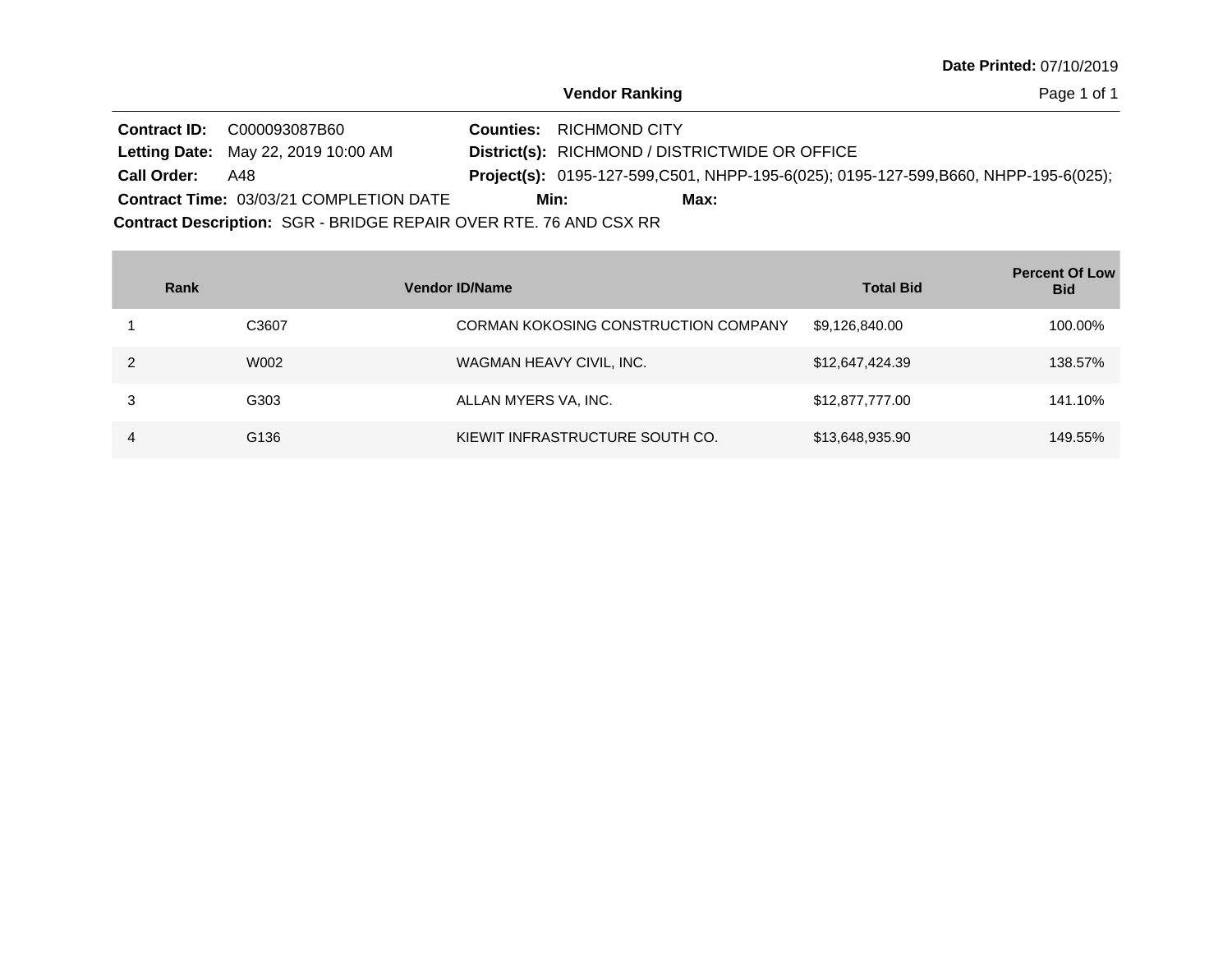Page 1 of 1

|                                                                   | <b>Contract ID: C000093087B60</b>              |      | <b>Counties: RICHMOND CITY</b>                 |      |                                                                                            |  |  |
|-------------------------------------------------------------------|------------------------------------------------|------|------------------------------------------------|------|--------------------------------------------------------------------------------------------|--|--|
|                                                                   | <b>Letting Date: May 22, 2019 10:00 AM</b>     |      | District(s): RICHMOND / DISTRICTWIDE OR OFFICE |      |                                                                                            |  |  |
| <b>Call Order: A48</b>                                            |                                                |      |                                                |      | <b>Project(s):</b> 0195-127-599,C501, NHPP-195-6(025); 0195-127-599,B660, NHPP-195-6(025); |  |  |
|                                                                   | <b>Contract Time: 03/03/21 COMPLETION DATE</b> | Min: |                                                | Max: |                                                                                            |  |  |
| Contract Description: SGR - BRIDGE REPAIR OVER RTE. 76 AND CSX RR |                                                |      |                                                |      |                                                                                            |  |  |

| Rank |       | <b>Vendor ID/Name</b>                | <b>Total Bid</b> | <b>Percent Of Low</b><br><b>Bid</b> |
|------|-------|--------------------------------------|------------------|-------------------------------------|
|      | C3607 | CORMAN KOKOSING CONSTRUCTION COMPANY | \$9,126,840.00   | 100.00%                             |
|      | W002  | WAGMAN HEAVY CIVIL, INC.             | \$12,647,424.39  | 138.57%                             |
|      | G303  | ALLAN MYERS VA, INC.                 | \$12,877,777.00  | 141.10%                             |
| 4    | G136  | KIEWIT INFRASTRUCTURE SOUTH CO.      | \$13,648,935.90  | 149.55%                             |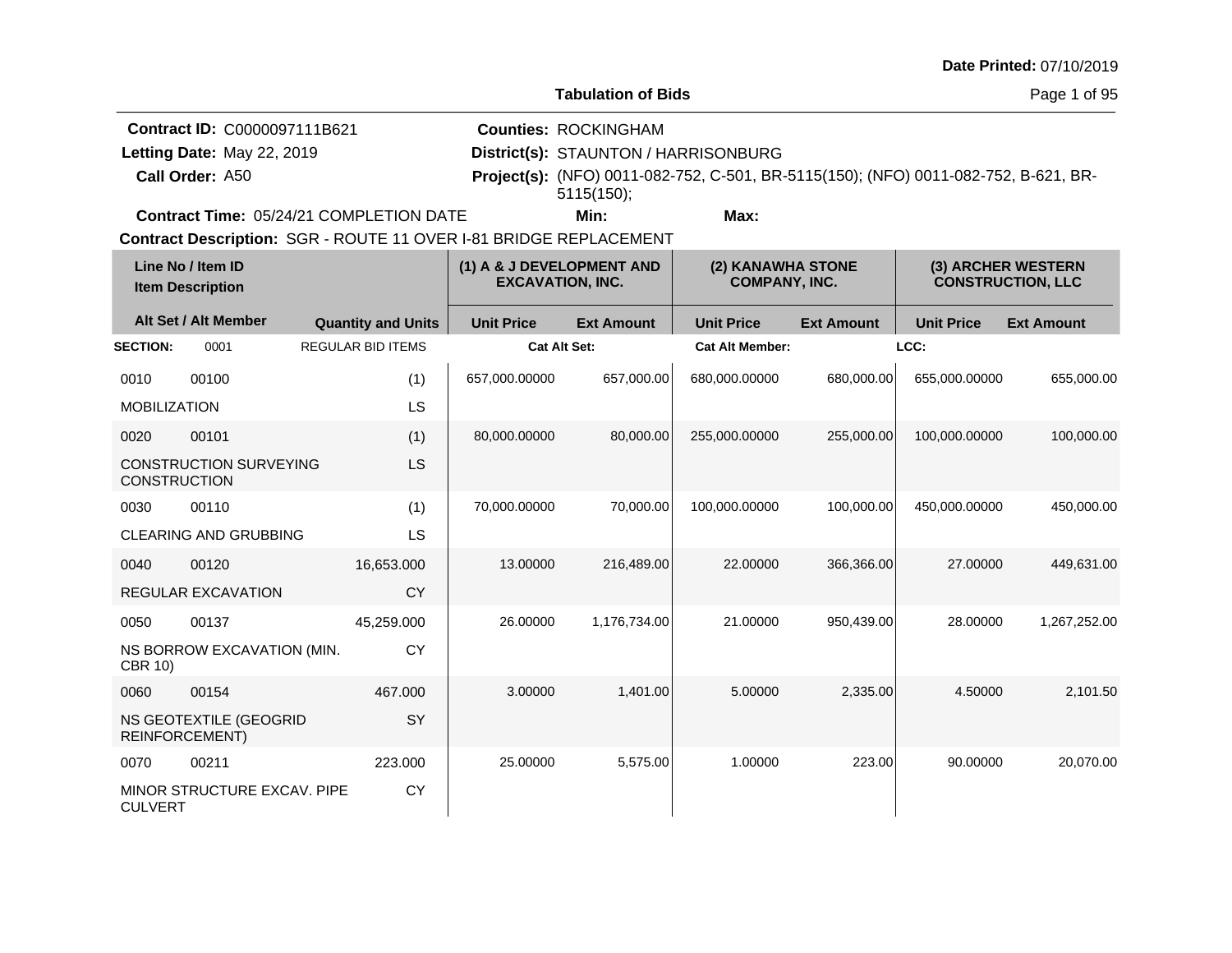**Tabulation of Bids**

Page 1 of 95

**Call Order: Letting Date:** May 22, 2019 **District(s): STAUNTON / HARRISONBURG Contract ID:** C0000097111B621 **Counties:** ROCKINGHAM A50 **Project(s):** (NFO) 0011-082-752, C-501, BR-5115(150); (NFO) 0011-082-752, B-621, BR-Letting Date: May 22, 2019 **Min: Max:** 5115(150);

**Contract Time:** 05/24/21 COMPLETION DATE

| Line No / Item ID<br><b>Item Description</b> |                                                 | (1) A & J DEVELOPMENT AND<br><b>EXCAVATION, INC.</b> |                     |                   | (2) KANAWHA STONE<br>(3) ARCHER WESTERN<br><b>COMPANY, INC.</b><br><b>CONSTRUCTION, LLC</b> |                   |                   |                   |
|----------------------------------------------|-------------------------------------------------|------------------------------------------------------|---------------------|-------------------|---------------------------------------------------------------------------------------------|-------------------|-------------------|-------------------|
|                                              | Alt Set / Alt Member                            | <b>Quantity and Units</b>                            | <b>Unit Price</b>   | <b>Ext Amount</b> | <b>Unit Price</b>                                                                           | <b>Ext Amount</b> | <b>Unit Price</b> | <b>Ext Amount</b> |
| <b>SECTION:</b>                              | 0001                                            | <b>REGULAR BID ITEMS</b>                             | <b>Cat Alt Set:</b> |                   | <b>Cat Alt Member:</b>                                                                      |                   | LCC:              |                   |
| 0010                                         | 00100                                           | (1)                                                  | 657,000.00000       | 657,000.00        | 680,000.00000                                                                               | 680,000.00        | 655.000.00000     | 655,000.00        |
| <b>MOBILIZATION</b>                          |                                                 | LS                                                   |                     |                   |                                                                                             |                   |                   |                   |
| 0020                                         | 00101                                           | (1)                                                  | 80,000.00000        | 80,000.00         | 255,000.00000                                                                               | 255,000.00        | 100,000.00000     | 100,000.00        |
| <b>CONSTRUCTION</b>                          | <b>CONSTRUCTION SURVEYING</b>                   | LS                                                   |                     |                   |                                                                                             |                   |                   |                   |
| 0030                                         | 00110                                           | (1)                                                  | 70,000.00000        | 70.000.00         | 100.000.00000                                                                               | 100.000.00        | 450.000.00000     | 450,000.00        |
|                                              | <b>CLEARING AND GRUBBING</b>                    | LS                                                   |                     |                   |                                                                                             |                   |                   |                   |
| 0040                                         | 00120                                           | 16,653.000                                           | 13.00000            | 216,489.00        | 22,00000                                                                                    | 366,366.00        | 27,00000          | 449,631.00        |
|                                              | <b>REGULAR EXCAVATION</b>                       | <b>CY</b>                                            |                     |                   |                                                                                             |                   |                   |                   |
| 0050                                         | 00137                                           | 45,259.000                                           | 26.00000            | 1,176,734.00      | 21.00000                                                                                    | 950,439.00        | 28.00000          | 1,267,252.00      |
| <b>CBR 10)</b>                               | NS BORROW EXCAVATION (MIN.                      | <b>CY</b>                                            |                     |                   |                                                                                             |                   |                   |                   |
| 0060                                         | 00154                                           | 467.000                                              | 3.00000             | 1.401.00          | 5.00000                                                                                     | 2,335.00          | 4.50000           | 2,101.50          |
|                                              | NS GEOTEXTILE (GEOGRID<br><b>REINFORCEMENT)</b> | SY                                                   |                     |                   |                                                                                             |                   |                   |                   |
| 0070                                         | 00211                                           | 223.000                                              | 25.00000            | 5,575.00          | 1.00000                                                                                     | 223.00            | 90.00000          | 20,070.00         |
| <b>CULVERT</b>                               | MINOR STRUCTURE EXCAV. PIPE                     | <b>CY</b>                                            |                     |                   |                                                                                             |                   |                   |                   |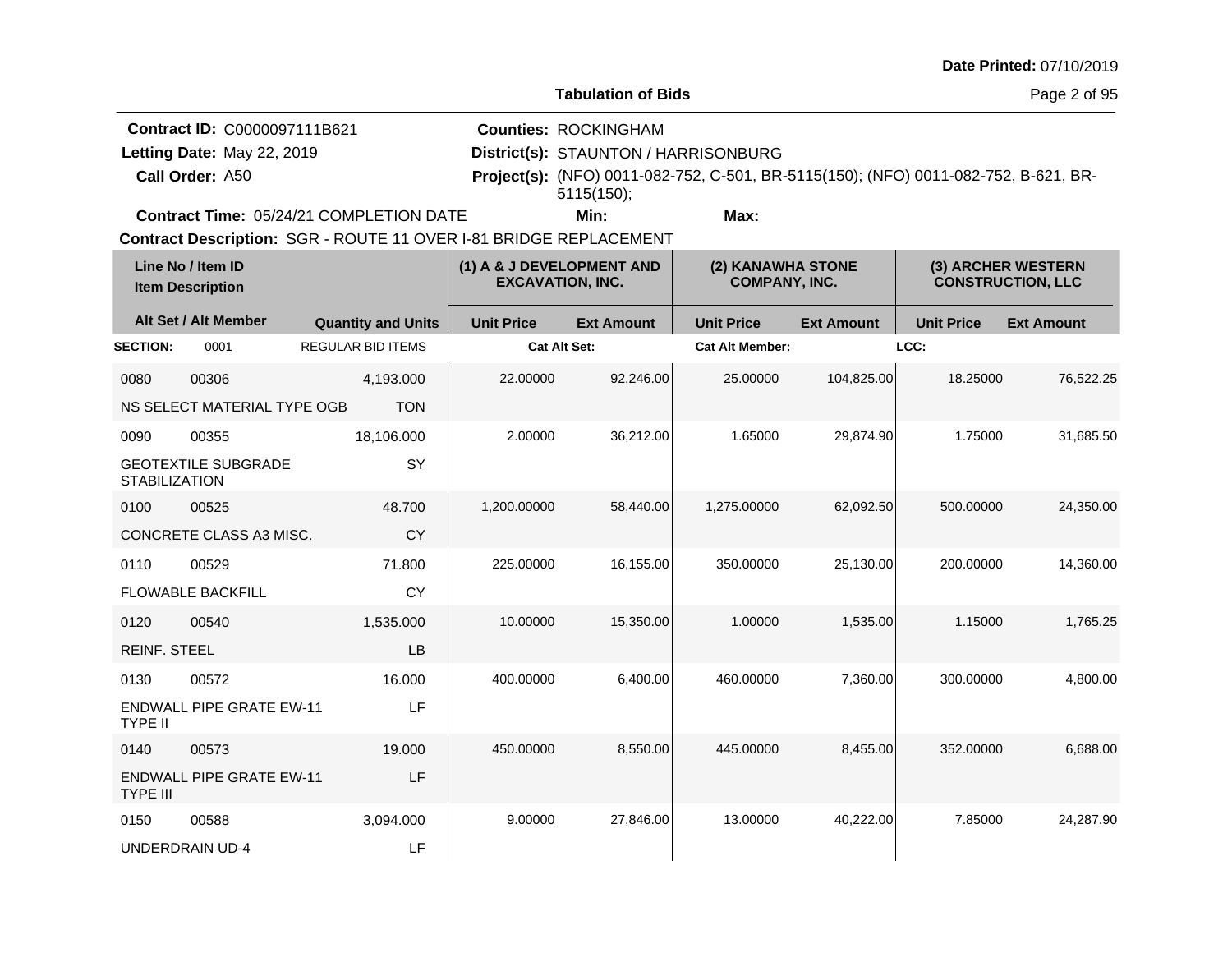**Tabulation of Bids**

Page 2 of 95

|                            | <b>Contract ID: C0000097111B621</b>            | <b>Counties: ROCKINGHAM</b>          |      |                                                                                     |  |
|----------------------------|------------------------------------------------|--------------------------------------|------|-------------------------------------------------------------------------------------|--|
| Letting Date: May 22, 2019 |                                                | District(s): STAUNTON / HARRISONBURG |      |                                                                                     |  |
| Call Order: A50            |                                                |                                      |      | Project(s): (NFO) 0011-082-752, C-501, BR-5115(150); (NFO) 0011-082-752, B-621, BR- |  |
|                            |                                                | 5115(150);                           |      |                                                                                     |  |
|                            | <b>Contract Time: 05/24/21 COMPLETION DATE</b> | Min:                                 | Max: |                                                                                     |  |

**Contract Time:** 05/24/21 COMPLETION DATE

| Line No / Item ID<br><b>Item Description</b> |                                 | (1) A & J DEVELOPMENT AND<br><b>EXCAVATION, INC.</b> |                     | (2) KANAWHA STONE<br><b>COMPANY, INC.</b> |                        |                   | (3) ARCHER WESTERN<br><b>CONSTRUCTION, LLC</b> |                   |
|----------------------------------------------|---------------------------------|------------------------------------------------------|---------------------|-------------------------------------------|------------------------|-------------------|------------------------------------------------|-------------------|
|                                              | Alt Set / Alt Member            | <b>Quantity and Units</b>                            | <b>Unit Price</b>   | <b>Ext Amount</b>                         | <b>Unit Price</b>      | <b>Ext Amount</b> | <b>Unit Price</b>                              | <b>Ext Amount</b> |
| <b>SECTION:</b>                              | 0001                            | <b>REGULAR BID ITEMS</b>                             | <b>Cat Alt Set:</b> |                                           | <b>Cat Alt Member:</b> |                   | LCC:                                           |                   |
| 0080                                         | 00306                           | 4,193.000                                            | 22.00000            | 92,246.00                                 | 25.00000               | 104,825.00        | 18.25000                                       | 76,522.25         |
|                                              | NS SELECT MATERIAL TYPE OGB     | <b>TON</b>                                           |                     |                                           |                        |                   |                                                |                   |
| 0090                                         | 00355                           | 18,106.000                                           | 2.00000             | 36,212.00                                 | 1.65000                | 29,874.90         | 1.75000                                        | 31,685.50         |
| <b>STABILIZATION</b>                         | <b>GEOTEXTILE SUBGRADE</b>      | SY                                                   |                     |                                           |                        |                   |                                                |                   |
| 0100                                         | 00525                           | 48.700                                               | 1,200.00000         | 58,440.00                                 | 1,275.00000            | 62,092.50         | 500.00000                                      | 24,350.00         |
|                                              | CONCRETE CLASS A3 MISC.         | <b>CY</b>                                            |                     |                                           |                        |                   |                                                |                   |
| 0110                                         | 00529                           | 71.800                                               | 225.00000           | 16,155.00                                 | 350.00000              | 25,130.00         | 200.00000                                      | 14,360.00         |
|                                              | <b>FLOWABLE BACKFILL</b>        | CY                                                   |                     |                                           |                        |                   |                                                |                   |
| 0120                                         | 00540                           | 1,535.000                                            | 10.00000            | 15,350.00                                 | 1.00000                | 1,535.00          | 1.15000                                        | 1,765.25          |
| <b>REINF. STEEL</b>                          |                                 | LB                                                   |                     |                                           |                        |                   |                                                |                   |
| 0130                                         | 00572                           | 16.000                                               | 400.00000           | 6,400.00                                  | 460.00000              | 7,360.00          | 300.00000                                      | 4,800.00          |
| <b>TYPE II</b>                               | <b>ENDWALL PIPE GRATE EW-11</b> | LF                                                   |                     |                                           |                        |                   |                                                |                   |
| 0140                                         | 00573                           | 19.000                                               | 450.00000           | 8,550.00                                  | 445.00000              | 8.455.00          | 352.00000                                      | 6,688.00          |
| <b>TYPE III</b>                              | <b>ENDWALL PIPE GRATE EW-11</b> | LF                                                   |                     |                                           |                        |                   |                                                |                   |
| 0150                                         | 00588                           | 3,094.000                                            | 9.00000             | 27,846.00                                 | 13.00000               | 40,222.00         | 7.85000                                        | 24,287.90         |
|                                              | <b>UNDERDRAIN UD-4</b>          | LF                                                   |                     |                                           |                        |                   |                                                |                   |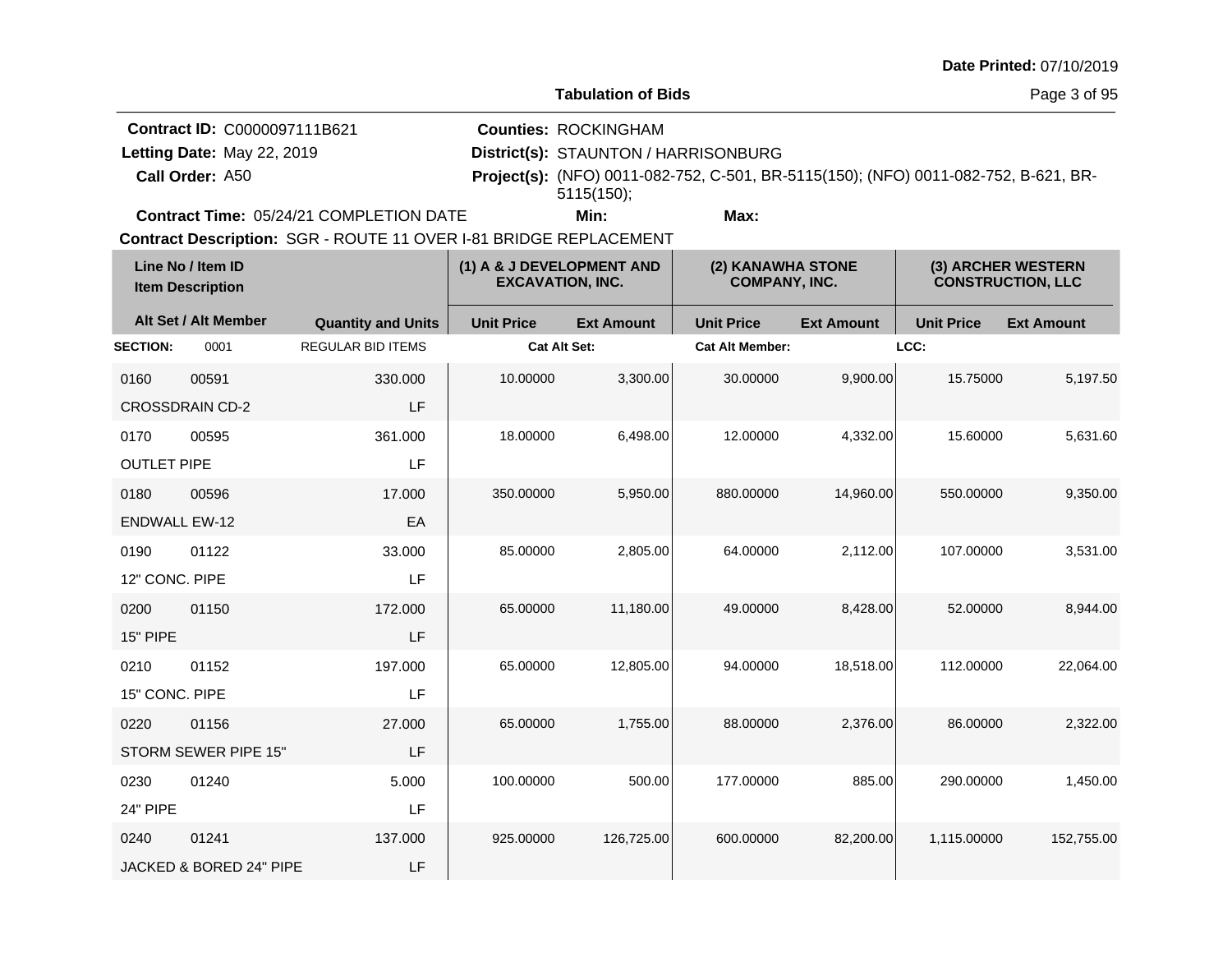**Tabulation of Bids**

Page 3 of 95

**Call Order: Letting Date:** May 22, 2019 **District(s): STAUNTON / HARRISONBURG Contract ID:** C0000097111B621 **Counties:** ROCKINGHAM A50 **Project(s):** (NFO) 0011-082-752, C-501, BR-5115(150); (NFO) 0011-082-752, B-621, BR-Letting Date: May 22, 2019 **Min: Max:** 5115(150);

**Contract Time:** 05/24/21 COMPLETION DATE

| Line No / Item ID<br><b>Item Description</b> |                         | (1) A & J DEVELOPMENT AND<br><b>EXCAVATION, INC.</b> |                     | (2) KANAWHA STONE<br><b>COMPANY, INC.</b> |                        |                   | (3) ARCHER WESTERN<br><b>CONSTRUCTION, LLC</b> |                   |
|----------------------------------------------|-------------------------|------------------------------------------------------|---------------------|-------------------------------------------|------------------------|-------------------|------------------------------------------------|-------------------|
|                                              | Alt Set / Alt Member    | <b>Quantity and Units</b>                            | <b>Unit Price</b>   | <b>Ext Amount</b>                         | <b>Unit Price</b>      | <b>Ext Amount</b> | <b>Unit Price</b>                              | <b>Ext Amount</b> |
| <b>SECTION:</b>                              | 0001                    | <b>REGULAR BID ITEMS</b>                             | <b>Cat Alt Set:</b> |                                           | <b>Cat Alt Member:</b> |                   | LCC:                                           |                   |
| 0160                                         | 00591                   | 330,000                                              | 10.00000            | 3,300.00                                  | 30.00000               | 9,900.00          | 15.75000                                       | 5,197.50          |
|                                              | <b>CROSSDRAIN CD-2</b>  | LF                                                   |                     |                                           |                        |                   |                                                |                   |
| 0170                                         | 00595                   | 361.000                                              | 18.00000            | 6,498.00                                  | 12.00000               | 4,332.00          | 15.60000                                       | 5,631.60          |
| <b>OUTLET PIPE</b>                           |                         | LF                                                   |                     |                                           |                        |                   |                                                |                   |
| 0180                                         | 00596                   | 17.000                                               | 350.00000           | 5,950.00                                  | 880.00000              | 14,960.00         | 550.00000                                      | 9,350.00          |
| <b>ENDWALL EW-12</b>                         |                         | EA                                                   |                     |                                           |                        |                   |                                                |                   |
| 0190                                         | 01122                   | 33.000                                               | 85.00000            | 2,805.00                                  | 64.00000               | 2,112.00          | 107.00000                                      | 3,531.00          |
| 12" CONC, PIPE                               |                         | LF                                                   |                     |                                           |                        |                   |                                                |                   |
| 0200                                         | 01150                   | 172.000                                              | 65.00000            | 11,180.00                                 | 49.00000               | 8,428.00          | 52.00000                                       | 8,944.00          |
| 15" PIPE                                     |                         | LF                                                   |                     |                                           |                        |                   |                                                |                   |
| 0210                                         | 01152                   | 197.000                                              | 65.00000            | 12,805.00                                 | 94.00000               | 18,518.00         | 112.00000                                      | 22,064.00         |
| 15" CONC. PIPE                               |                         | LF                                                   |                     |                                           |                        |                   |                                                |                   |
| 0220                                         | 01156                   | 27.000                                               | 65.00000            | 1,755.00                                  | 88.00000               | 2,376.00          | 86.00000                                       | 2,322.00          |
|                                              | STORM SEWER PIPE 15"    | LF                                                   |                     |                                           |                        |                   |                                                |                   |
| 0230                                         | 01240                   | 5.000                                                | 100.00000           | 500.00                                    | 177.00000              | 885.00            | 290.00000                                      | 1,450.00          |
| 24" PIPE                                     |                         | LF                                                   |                     |                                           |                        |                   |                                                |                   |
| 0240                                         | 01241                   | 137.000                                              | 925.00000           | 126,725.00                                | 600.00000              | 82,200.00         | 1,115.00000                                    | 152,755.00        |
|                                              | JACKED & BORED 24" PIPE | LF                                                   |                     |                                           |                        |                   |                                                |                   |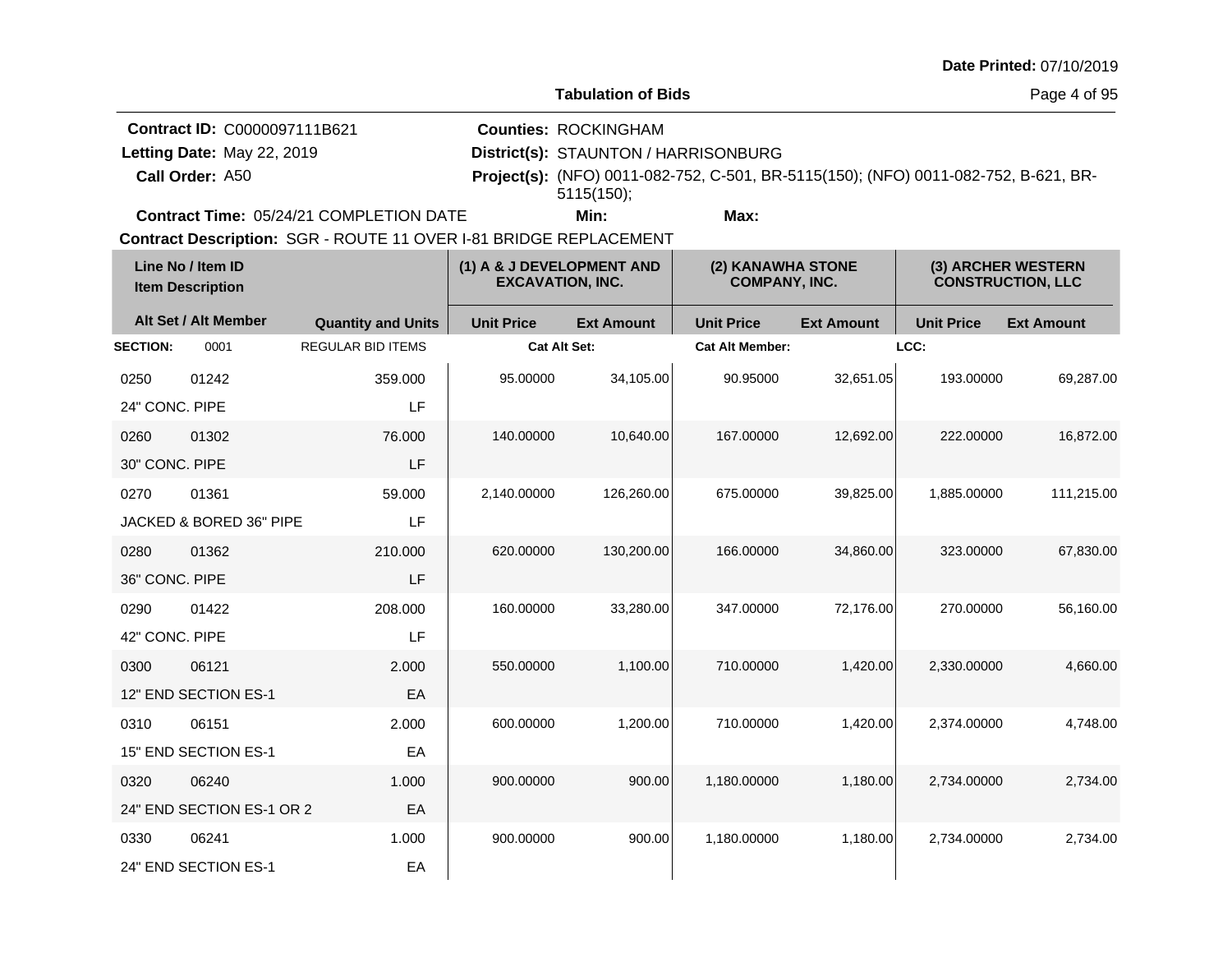**Tabulation of Bids**

Page 4 of 95

**Call Order: Letting Date:** May 22, 2019 **District(s): STAUNTON / HARRISONBURG Contract ID:** C0000097111B621 **Counties:** ROCKINGHAM A50 **Project(s):** (NFO) 0011-082-752, C-501, BR-5115(150); (NFO) 0011-082-752, B-621, BR-Letting Date: May 22, 2019 **Min: Max:** 5115(150);

**Contract Time:** 05/24/21 COMPLETION DATE

| Line No / Item ID<br><b>Item Description</b> |                           | (1) A & J DEVELOPMENT AND<br><b>EXCAVATION, INC.</b> |                     | (2) KANAWHA STONE<br>(3) ARCHER WESTERN<br><b>COMPANY, INC.</b><br><b>CONSTRUCTION, LLC</b> |                        |                   |                   |                   |
|----------------------------------------------|---------------------------|------------------------------------------------------|---------------------|---------------------------------------------------------------------------------------------|------------------------|-------------------|-------------------|-------------------|
|                                              | Alt Set / Alt Member      | <b>Quantity and Units</b>                            | <b>Unit Price</b>   | <b>Ext Amount</b>                                                                           | <b>Unit Price</b>      | <b>Ext Amount</b> | <b>Unit Price</b> | <b>Ext Amount</b> |
| <b>SECTION:</b>                              | 0001                      | <b>REGULAR BID ITEMS</b>                             | <b>Cat Alt Set:</b> |                                                                                             | <b>Cat Alt Member:</b> |                   | LCC:              |                   |
| 0250                                         | 01242                     | 359.000                                              | 95.00000            | 34,105.00                                                                                   | 90.95000               | 32,651.05         | 193.00000         | 69,287.00         |
| 24" CONC. PIPE                               |                           | LF                                                   |                     |                                                                                             |                        |                   |                   |                   |
| 0260                                         | 01302                     | 76.000                                               | 140.00000           | 10,640.00                                                                                   | 167.00000              | 12,692.00         | 222.00000         | 16,872.00         |
| 30" CONC. PIPE                               |                           | LF                                                   |                     |                                                                                             |                        |                   |                   |                   |
| 0270                                         | 01361                     | 59,000                                               | 2,140.00000         | 126,260.00                                                                                  | 675.00000              | 39,825.00         | 1,885.00000       | 111,215.00        |
|                                              | JACKED & BORED 36" PIPE   | LF                                                   |                     |                                                                                             |                        |                   |                   |                   |
| 0280                                         | 01362                     | 210.000                                              | 620.00000           | 130,200.00                                                                                  | 166.00000              | 34,860.00         | 323.00000         | 67,830.00         |
| 36" CONC, PIPE                               |                           | LF                                                   |                     |                                                                                             |                        |                   |                   |                   |
| 0290                                         | 01422                     | 208.000                                              | 160.00000           | 33,280.00                                                                                   | 347.00000              | 72,176.00         | 270.00000         | 56,160.00         |
| 42" CONC. PIPE                               |                           | LF                                                   |                     |                                                                                             |                        |                   |                   |                   |
| 0300                                         | 06121                     | 2.000                                                | 550.00000           | 1,100.00                                                                                    | 710.00000              | 1,420.00          | 2,330.00000       | 4,660.00          |
|                                              | 12" END SECTION ES-1      | EA                                                   |                     |                                                                                             |                        |                   |                   |                   |
| 0310                                         | 06151                     | 2.000                                                | 600.00000           | 1,200.00                                                                                    | 710.00000              | 1,420.00          | 2,374.00000       | 4,748.00          |
|                                              | 15" END SECTION ES-1      | EA                                                   |                     |                                                                                             |                        |                   |                   |                   |
| 0320                                         | 06240                     | 1.000                                                | 900.00000           | 900.00                                                                                      | 1,180.00000            | 1,180.00          | 2,734.00000       | 2,734.00          |
|                                              | 24" END SECTION ES-1 OR 2 | EA                                                   |                     |                                                                                             |                        |                   |                   |                   |
| 0330                                         | 06241                     | 1.000                                                | 900.00000           | 900.00                                                                                      | 1,180.00000            | 1,180.00          | 2,734.00000       | 2,734.00          |
|                                              | 24" END SECTION ES-1      | EA                                                   |                     |                                                                                             |                        |                   |                   |                   |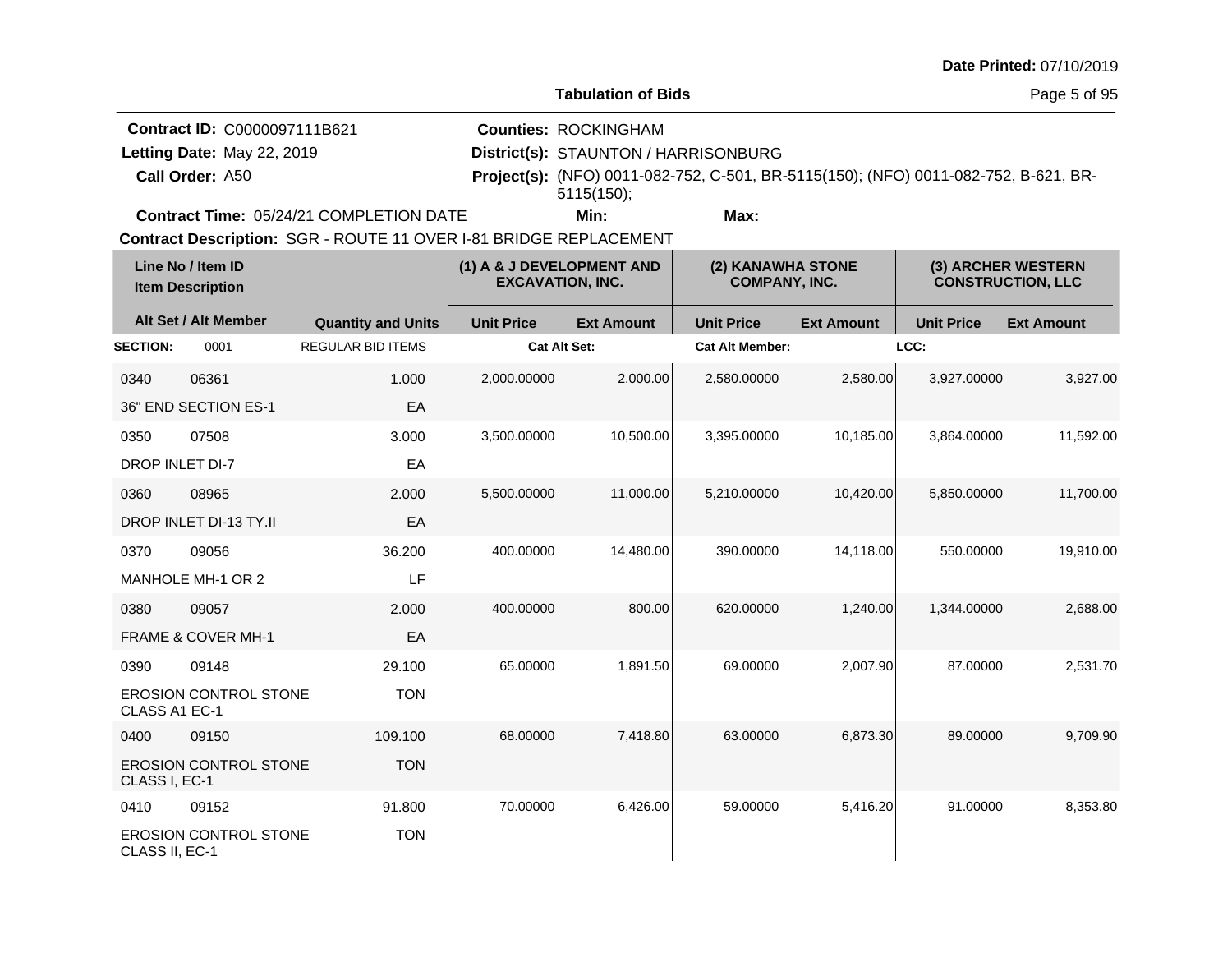**Tabulation of Bids**

Page 5 of 95

**Call Order: Letting Date:** May 22, 2019 **District(s): STAUNTON / HARRISONBURG Contract ID:** C0000097111B621 **Counties:** ROCKINGHAM A50 **Project(s):** (NFO) 0011-082-752, C-501, BR-5115(150); (NFO) 0011-082-752, B-621, BR-Letting Date: May 22, 2019 **Min: Max:** 5115(150);

**Contract Time:** 05/24/21 COMPLETION DATE

| Line No / Item ID<br><b>Item Description</b> |                               | (1) A & J DEVELOPMENT AND<br><b>EXCAVATION, INC.</b> |                     |                   | (3) ARCHER WESTERN<br>(2) KANAWHA STONE<br><b>COMPANY, INC.</b><br><b>CONSTRUCTION, LLC</b> |                   |                   |                   |
|----------------------------------------------|-------------------------------|------------------------------------------------------|---------------------|-------------------|---------------------------------------------------------------------------------------------|-------------------|-------------------|-------------------|
|                                              | Alt Set / Alt Member          | <b>Quantity and Units</b>                            | <b>Unit Price</b>   | <b>Ext Amount</b> | <b>Unit Price</b>                                                                           | <b>Ext Amount</b> | <b>Unit Price</b> | <b>Ext Amount</b> |
| <b>SECTION:</b>                              | 0001                          | <b>REGULAR BID ITEMS</b>                             | <b>Cat Alt Set:</b> |                   | <b>Cat Alt Member:</b>                                                                      |                   | LCC:              |                   |
| 0340                                         | 06361                         | 1.000                                                | 2,000.00000         | 2,000.00          | 2,580.00000                                                                                 | 2,580.00          | 3,927.00000       | 3,927.00          |
|                                              | 36" END SECTION ES-1          | EA                                                   |                     |                   |                                                                                             |                   |                   |                   |
| 0350                                         | 07508                         | 3.000                                                | 3,500.00000         | 10,500.00         | 3,395.00000                                                                                 | 10,185.00         | 3,864.00000       | 11,592.00         |
| <b>DROP INLET DI-7</b>                       |                               | EA                                                   |                     |                   |                                                                                             |                   |                   |                   |
| 0360                                         | 08965                         | 2.000                                                | 5,500.00000         | 11,000.00         | 5,210.00000                                                                                 | 10,420.00         | 5,850.00000       | 11,700.00         |
|                                              | DROP INLET DI-13 TY.II        | EA                                                   |                     |                   |                                                                                             |                   |                   |                   |
| 0370                                         | 09056                         | 36.200                                               | 400.00000           | 14.480.00         | 390.00000                                                                                   | 14,118.00         | 550.00000         | 19,910.00         |
|                                              | MANHOLE MH-1 OR 2             | LF                                                   |                     |                   |                                                                                             |                   |                   |                   |
| 0380                                         | 09057                         | 2.000                                                | 400.00000           | 800.00            | 620.00000                                                                                   | 1,240.00          | 1,344.00000       | 2,688.00          |
|                                              | <b>FRAME &amp; COVER MH-1</b> | EA                                                   |                     |                   |                                                                                             |                   |                   |                   |
| 0390                                         | 09148                         | 29.100                                               | 65.00000            | 1,891.50          | 69.00000                                                                                    | 2,007.90          | 87.00000          | 2,531.70          |
| CLASS A1 EC-1                                | <b>EROSION CONTROL STONE</b>  | <b>TON</b>                                           |                     |                   |                                                                                             |                   |                   |                   |
| 0400                                         | 09150                         | 109.100                                              | 68.00000            | 7,418.80          | 63.00000                                                                                    | 6,873.30          | 89.00000          | 9,709.90          |
| CLASS I, EC-1                                | <b>EROSION CONTROL STONE</b>  | <b>TON</b>                                           |                     |                   |                                                                                             |                   |                   |                   |
| 0410                                         | 09152                         | 91.800                                               | 70.00000            | 6,426.00          | 59.00000                                                                                    | 5,416.20          | 91.00000          | 8,353.80          |
| CLASS II, EC-1                               | <b>EROSION CONTROL STONE</b>  | <b>TON</b>                                           |                     |                   |                                                                                             |                   |                   |                   |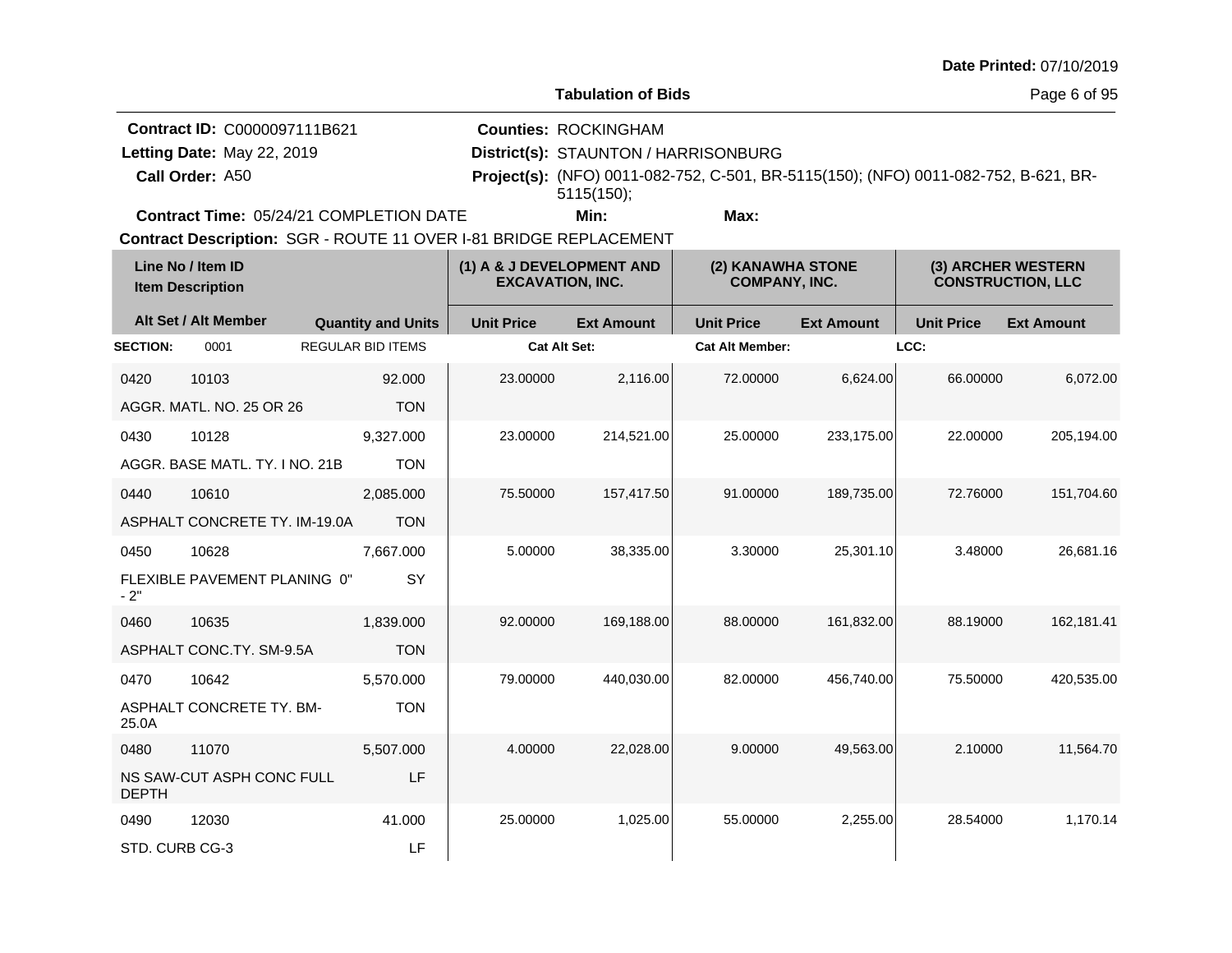**Tabulation of Bids**

Page 6 of 95

**Call Order: Letting Date:** May 22, 2019 **District(s): STAUNTON / HARRISONBURG Contract ID:** C0000097111B621 **Counties:** ROCKINGHAM A50 **Project(s):** (NFO) 0011-082-752, C-501, BR-5115(150); (NFO) 0011-082-752, B-621, BR-Letting Date: May 22, 2019 **Min: Max:** 5115(150);

**Contract Time:** 05/24/21 COMPLETION DATE

| Line No / Item ID<br><b>Item Description</b> |                                | (1) A & J DEVELOPMENT AND<br><b>EXCAVATION, INC.</b> |                     |                   | (2) KANAWHA STONE<br><b>COMPANY, INC.</b> |                   | (3) ARCHER WESTERN<br><b>CONSTRUCTION, LLC</b> |                   |
|----------------------------------------------|--------------------------------|------------------------------------------------------|---------------------|-------------------|-------------------------------------------|-------------------|------------------------------------------------|-------------------|
|                                              | Alt Set / Alt Member           | <b>Quantity and Units</b>                            | <b>Unit Price</b>   | <b>Ext Amount</b> | <b>Unit Price</b>                         | <b>Ext Amount</b> | <b>Unit Price</b>                              | <b>Ext Amount</b> |
| <b>SECTION:</b>                              | 0001                           | <b>REGULAR BID ITEMS</b>                             | <b>Cat Alt Set:</b> |                   | <b>Cat Alt Member:</b>                    |                   | LCC:                                           |                   |
| 0420                                         | 10103                          | 92.000                                               | 23.00000            | 2,116.00          | 72.00000                                  | 6,624.00          | 66.00000                                       | 6,072.00          |
|                                              | AGGR. MATL. NO. 25 OR 26       | <b>TON</b>                                           |                     |                   |                                           |                   |                                                |                   |
| 0430                                         | 10128                          | 9,327.000                                            | 23.00000            | 214,521.00        | 25.00000                                  | 233,175.00        | 22.00000                                       | 205,194.00        |
|                                              | AGGR. BASE MATL. TY. I NO. 21B | <b>TON</b>                                           |                     |                   |                                           |                   |                                                |                   |
| 0440                                         | 10610                          | 2,085.000                                            | 75.50000            | 157,417.50        | 91.00000                                  | 189,735.00        | 72.76000                                       | 151,704.60        |
|                                              | ASPHALT CONCRETE TY. IM-19.0A  | <b>TON</b>                                           |                     |                   |                                           |                   |                                                |                   |
| 0450                                         | 10628                          | 7,667.000                                            | 5.00000             | 38,335.00         | 3.30000                                   | 25,301.10         | 3.48000                                        | 26,681.16         |
| $-2"$                                        | FLEXIBLE PAVEMENT PLANING 0"   | SY                                                   |                     |                   |                                           |                   |                                                |                   |
| 0460                                         | 10635                          | 1,839.000                                            | 92,00000            | 169,188.00        | 88.00000                                  | 161,832.00        | 88.19000                                       | 162,181.41        |
|                                              | ASPHALT CONC.TY. SM-9.5A       | <b>TON</b>                                           |                     |                   |                                           |                   |                                                |                   |
| 0470                                         | 10642                          | 5,570.000                                            | 79.00000            | 440,030.00        | 82.00000                                  | 456,740.00        | 75.50000                                       | 420,535.00        |
| 25.0A                                        | ASPHALT CONCRETE TY. BM-       | <b>TON</b>                                           |                     |                   |                                           |                   |                                                |                   |
| 0480                                         | 11070                          | 5,507.000                                            | 4.00000             | 22,028.00         | 9.00000                                   | 49,563.00         | 2.10000                                        | 11,564.70         |
| <b>DEPTH</b>                                 | NS SAW-CUT ASPH CONC FULL      | LF                                                   |                     |                   |                                           |                   |                                                |                   |
| 0490                                         | 12030                          | 41.000                                               | 25.00000            | 1,025.00          | 55.00000                                  | 2,255.00          | 28.54000                                       | 1,170.14          |
| STD. CURB CG-3                               |                                | LF                                                   |                     |                   |                                           |                   |                                                |                   |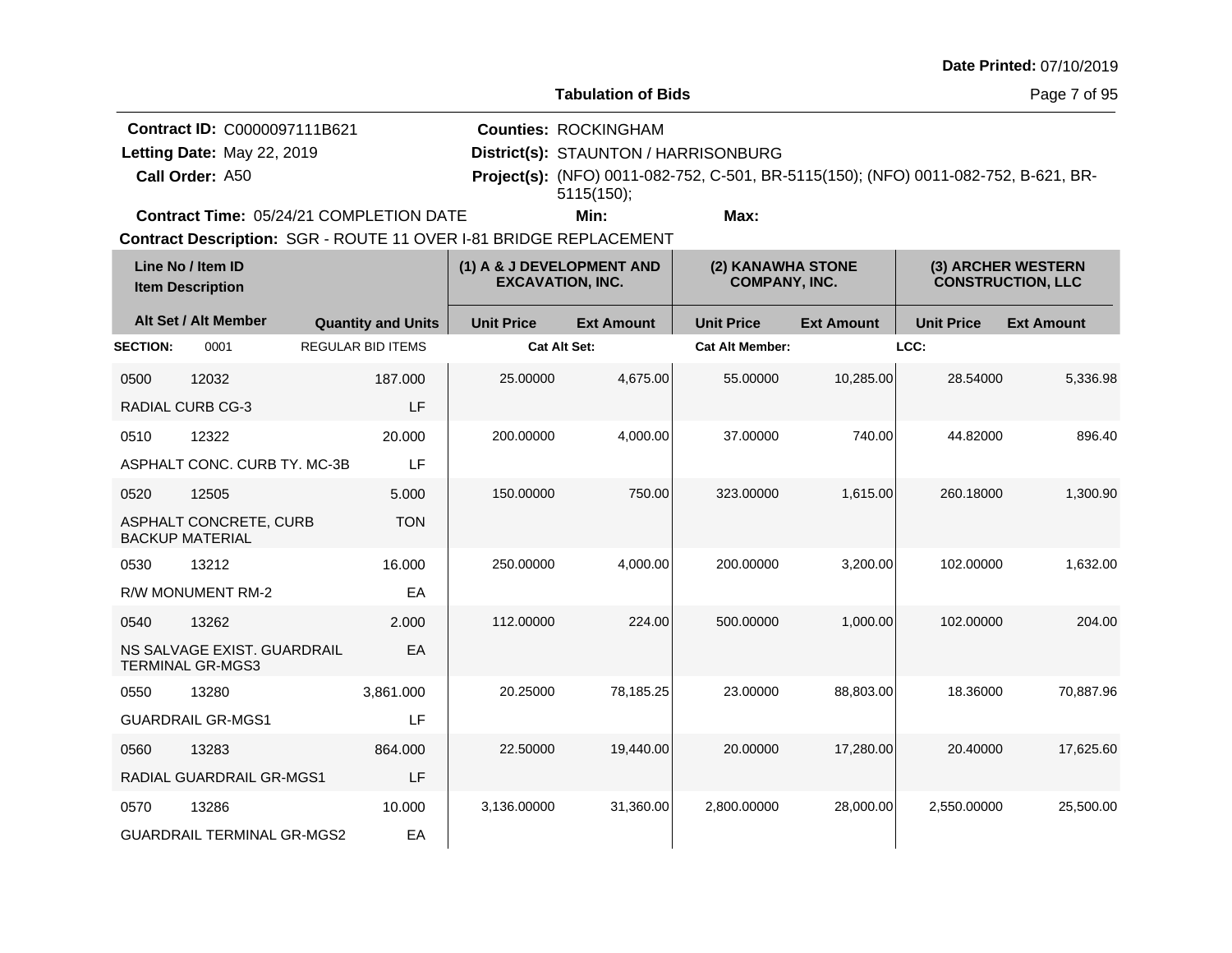**Tabulation of Bids**

Page 7 of 95

|                            | <b>Contract ID: C0000097111B621</b>            | <b>Counties: ROCKINGHAM</b>                                                         |      |  |  |
|----------------------------|------------------------------------------------|-------------------------------------------------------------------------------------|------|--|--|
| Letting Date: May 22, 2019 |                                                | District(s): STAUNTON / HARRISONBURG                                                |      |  |  |
| Call Order: A50            |                                                | Project(s): (NFO) 0011-082-752, C-501, BR-5115(150); (NFO) 0011-082-752, B-621, BR- |      |  |  |
|                            |                                                | 5115(150)                                                                           |      |  |  |
|                            | <b>Contract Time: 05/24/21 COMPLETION DATE</b> | Min:                                                                                | Max: |  |  |

**Contract Time:** 05/24/21 COMPLETION DATE

|                 | Line No / Item ID<br><b>Item Description</b>           |                           | (1) A & J DEVELOPMENT AND<br><b>EXCAVATION, INC.</b> |                   | (2) KANAWHA STONE<br><b>COMPANY, INC.</b> |                   |                   | (3) ARCHER WESTERN<br><b>CONSTRUCTION, LLC</b> |
|-----------------|--------------------------------------------------------|---------------------------|------------------------------------------------------|-------------------|-------------------------------------------|-------------------|-------------------|------------------------------------------------|
|                 | Alt Set / Alt Member                                   | <b>Quantity and Units</b> | <b>Unit Price</b>                                    | <b>Ext Amount</b> | <b>Unit Price</b>                         | <b>Ext Amount</b> | <b>Unit Price</b> | <b>Ext Amount</b>                              |
| <b>SECTION:</b> | 0001                                                   | <b>REGULAR BID ITEMS</b>  | <b>Cat Alt Set:</b>                                  |                   | <b>Cat Alt Member:</b>                    |                   | LCC:              |                                                |
| 0500            | 12032                                                  | 187.000                   | 25.00000                                             | 4,675.00          | 55.00000                                  | 10,285.00         | 28.54000          | 5,336.98                                       |
|                 | <b>RADIAL CURB CG-3</b>                                | LF                        |                                                      |                   |                                           |                   |                   |                                                |
| 0510            | 12322                                                  | 20,000                    | 200.00000                                            | 4,000.00          | 37.00000                                  | 740.00            | 44.82000          | 896.40                                         |
|                 | ASPHALT CONC. CURB TY. MC-3B                           | LF                        |                                                      |                   |                                           |                   |                   |                                                |
| 0520            | 12505                                                  | 5.000                     | 150.00000                                            | 750.00            | 323,00000                                 | 1,615.00          | 260.18000         | 1,300.90                                       |
|                 | ASPHALT CONCRETE, CURB<br><b>BACKUP MATERIAL</b>       | <b>TON</b>                |                                                      |                   |                                           |                   |                   |                                                |
| 0530            | 13212                                                  | 16.000                    | 250.00000                                            | 4,000.00          | 200.00000                                 | 3,200.00          | 102.00000         | 1,632.00                                       |
|                 | R/W MONUMENT RM-2                                      | EA                        |                                                      |                   |                                           |                   |                   |                                                |
| 0540            | 13262                                                  | 2.000                     | 112.00000                                            | 224.00            | 500.00000                                 | 1,000.00          | 102.00000         | 204.00                                         |
|                 | NS SALVAGE EXIST. GUARDRAIL<br><b>TERMINAL GR-MGS3</b> | EA                        |                                                      |                   |                                           |                   |                   |                                                |
| 0550            | 13280                                                  | 3.861.000                 | 20.25000                                             | 78.185.25         | 23.00000                                  | 88,803.00         | 18.36000          | 70.887.96                                      |
|                 | <b>GUARDRAIL GR-MGS1</b>                               | LF                        |                                                      |                   |                                           |                   |                   |                                                |
| 0560            | 13283                                                  | 864.000                   | 22.50000                                             | 19,440.00         | 20.00000                                  | 17,280.00         | 20.40000          | 17,625.60                                      |
|                 | RADIAL GUARDRAIL GR-MGS1                               | LF                        |                                                      |                   |                                           |                   |                   |                                                |
| 0570            | 13286                                                  | 10.000                    | 3,136.00000                                          | 31,360.00         | 2.800.00000                               | 28,000.00         | 2,550.00000       | 25,500.00                                      |
|                 | <b>GUARDRAIL TERMINAL GR-MGS2</b>                      | EA                        |                                                      |                   |                                           |                   |                   |                                                |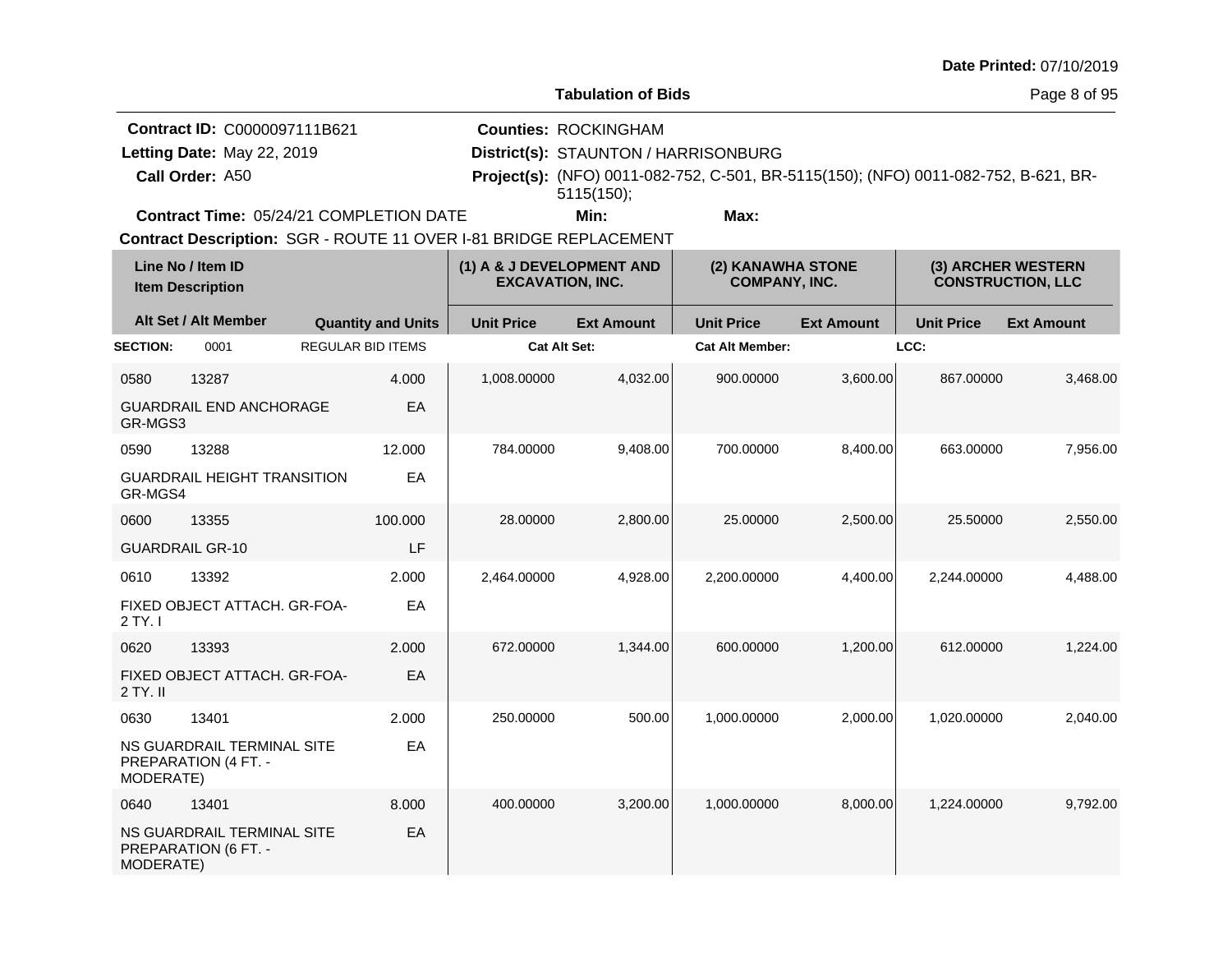**Tabulation of Bids**

Page 8 of 95

**Call Order: Letting Date:** May 22, 2019 **District(s): STAUNTON / HARRISONBURG Contract ID:** C0000097111B621 **Counties:** ROCKINGHAM A50 **Project(s):** (NFO) 0011-082-752, C-501, BR-5115(150); (NFO) 0011-082-752, B-621, BR-Letting Date: May 22, 2019 **Min: Max:** 5115(150);

**Contract Time:** 05/24/21 COMPLETION DATE

|                        | Line No / Item ID<br><b>Item Description</b>       |                           |        | (1) A & J DEVELOPMENT AND<br><b>EXCAVATION, INC.</b> |                   | (2) KANAWHA STONE<br><b>COMPANY, INC.</b> |                   |                   | (3) ARCHER WESTERN<br><b>CONSTRUCTION, LLC</b> |
|------------------------|----------------------------------------------------|---------------------------|--------|------------------------------------------------------|-------------------|-------------------------------------------|-------------------|-------------------|------------------------------------------------|
|                        | Alt Set / Alt Member                               | <b>Quantity and Units</b> |        | <b>Unit Price</b>                                    | <b>Ext Amount</b> | <b>Unit Price</b>                         | <b>Ext Amount</b> | <b>Unit Price</b> | <b>Ext Amount</b>                              |
| <b>SECTION:</b>        | 0001                                               | <b>REGULAR BID ITEMS</b>  |        | <b>Cat Alt Set:</b>                                  |                   | <b>Cat Alt Member:</b>                    |                   | LCC:              |                                                |
| 0580                   | 13287                                              |                           | 4.000  | 1,008.00000                                          | 4,032.00          | 900.00000                                 | 3,600.00          | 867.00000         | 3,468.00                                       |
| GR-MGS3                | <b>GUARDRAIL END ANCHORAGE</b>                     |                           | EA     |                                                      |                   |                                           |                   |                   |                                                |
| 0590                   | 13288                                              |                           | 12.000 | 784.00000                                            | 9,408.00          | 700.00000                                 | 8,400.00          | 663.00000         | 7,956.00                                       |
| GR-MGS4                | <b>GUARDRAIL HEIGHT TRANSITION</b>                 |                           | EA     |                                                      |                   |                                           |                   |                   |                                                |
| 0600                   | 13355                                              | 100.000                   |        | 28.00000                                             | 2,800.00          | 25.00000                                  | 2,500.00          | 25.50000          | 2,550.00                                       |
| <b>GUARDRAIL GR-10</b> |                                                    |                           | LF     |                                                      |                   |                                           |                   |                   |                                                |
| 0610                   | 13392                                              |                           | 2.000  | 2,464.00000                                          | 4,928.00          | 2.200.00000                               | 4,400.00          | 2,244.00000       | 4,488.00                                       |
| 2 TY. I                | FIXED OBJECT ATTACH. GR-FOA-                       |                           | EA     |                                                      |                   |                                           |                   |                   |                                                |
| 0620                   | 13393                                              |                           | 2.000  | 672.00000                                            | 1,344.00          | 600.00000                                 | 1,200.00          | 612.00000         | 1,224.00                                       |
| 2 TY. II               | FIXED OBJECT ATTACH. GR-FOA-                       |                           | EA     |                                                      |                   |                                           |                   |                   |                                                |
| 0630                   | 13401                                              |                           | 2.000  | 250.00000                                            | 500.00            | 1,000.00000                               | 2,000.00          | 1,020.00000       | 2,040.00                                       |
| MODERATE)              | NS GUARDRAIL TERMINAL SITE<br>PREPARATION (4 FT. - |                           | EA     |                                                      |                   |                                           |                   |                   |                                                |
| 0640                   | 13401                                              |                           | 8.000  | 400.00000                                            | 3,200.00          | 1.000.00000                               | 8,000.00          | 1.224.00000       | 9,792.00                                       |
| MODERATE)              | NS GUARDRAIL TERMINAL SITE<br>PREPARATION (6 FT. - |                           | EA     |                                                      |                   |                                           |                   |                   |                                                |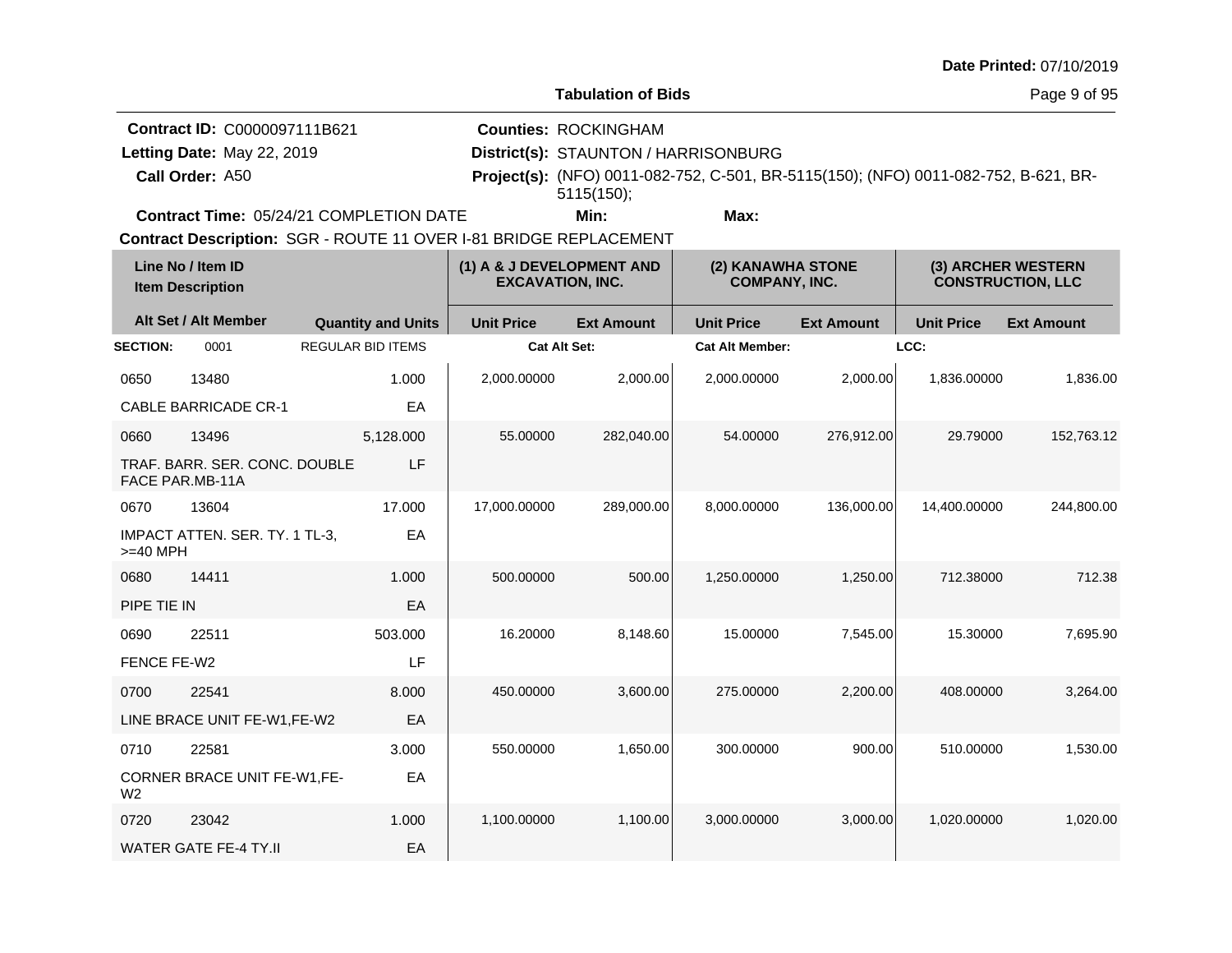**Tabulation of Bids**

Page 9 of 95

**Call Order: Letting Date:** May 22, 2019 **District(s): STAUNTON / HARRISONBURG Contract ID:** C0000097111B621 **Counties:** ROCKINGHAM A50 **Project(s):** (NFO) 0011-082-752, C-501, BR-5115(150); (NFO) 0011-082-752, B-621, BR-Letting Date: May 22, 2019 **Min: Max:** 5115(150);

**Contract Time:** 05/24/21 COMPLETION DATE

|                 | Line No / Item ID<br><b>Item Description</b>            |                          |                           | (1) A & J DEVELOPMENT AND<br><b>EXCAVATION, INC.</b> |                   | (2) KANAWHA STONE<br><b>COMPANY, INC.</b> |                   | (3) ARCHER WESTERN<br><b>CONSTRUCTION, LLC</b> |                   |
|-----------------|---------------------------------------------------------|--------------------------|---------------------------|------------------------------------------------------|-------------------|-------------------------------------------|-------------------|------------------------------------------------|-------------------|
|                 | Alt Set / Alt Member                                    |                          | <b>Quantity and Units</b> | <b>Unit Price</b>                                    | <b>Ext Amount</b> | <b>Unit Price</b>                         | <b>Ext Amount</b> | <b>Unit Price</b>                              | <b>Ext Amount</b> |
| <b>SECTION:</b> | 0001                                                    | <b>REGULAR BID ITEMS</b> |                           | <b>Cat Alt Set:</b>                                  |                   | <b>Cat Alt Member:</b>                    |                   | LCC:                                           |                   |
| 0650            | 13480                                                   |                          | 1.000                     | 2,000.00000                                          | 2,000.00          | 2,000.00000                               | 2,000.00          | 1,836.00000                                    | 1,836.00          |
|                 | <b>CABLE BARRICADE CR-1</b>                             |                          | EA                        |                                                      |                   |                                           |                   |                                                |                   |
| 0660            | 13496                                                   |                          | 5,128.000                 | 55.00000                                             | 282,040.00        | 54.00000                                  | 276,912.00        | 29.79000                                       | 152,763.12        |
|                 | TRAF. BARR. SER. CONC. DOUBLE<br><b>FACE PAR.MB-11A</b> |                          | LF                        |                                                      |                   |                                           |                   |                                                |                   |
| 0670            | 13604                                                   |                          | 17.000                    | 17,000.00000                                         | 289,000.00        | 8,000.00000                               | 136,000.00        | 14,400.00000                                   | 244,800.00        |
| $>=$ 40 MPH     | IMPACT ATTEN. SER. TY. 1 TL-3,                          |                          | EA                        |                                                      |                   |                                           |                   |                                                |                   |
| 0680            | 14411                                                   |                          | 1.000                     | 500.00000                                            | 500.00            | 1,250.00000                               | 1,250.00          | 712.38000                                      | 712.38            |
| PIPE TIE IN     |                                                         |                          | EA                        |                                                      |                   |                                           |                   |                                                |                   |
| 0690            | 22511                                                   |                          | 503.000                   | 16.20000                                             | 8,148.60          | 15.00000                                  | 7,545.00          | 15.30000                                       | 7,695.90          |
| FENCE FE-W2     |                                                         |                          | LF                        |                                                      |                   |                                           |                   |                                                |                   |
| 0700            | 22541                                                   |                          | 8.000                     | 450.00000                                            | 3,600.00          | 275.00000                                 | 2,200.00          | 408.00000                                      | 3,264.00          |
|                 | LINE BRACE UNIT FE-W1, FE-W2                            |                          | EA                        |                                                      |                   |                                           |                   |                                                |                   |
| 0710            | 22581                                                   |                          | 3.000                     | 550.00000                                            | 1,650.00          | 300.00000                                 | 900.00            | 510.00000                                      | 1,530.00          |
| W <sub>2</sub>  | CORNER BRACE UNIT FE-W1,FE-                             |                          | EA                        |                                                      |                   |                                           |                   |                                                |                   |
| 0720            | 23042                                                   |                          | 1.000                     | 1,100.00000                                          | 1,100.00          | 3,000.00000                               | 3,000.00          | 1,020.00000                                    | 1,020.00          |
|                 | <b>WATER GATE FE-4 TY.II</b>                            |                          | EA                        |                                                      |                   |                                           |                   |                                                |                   |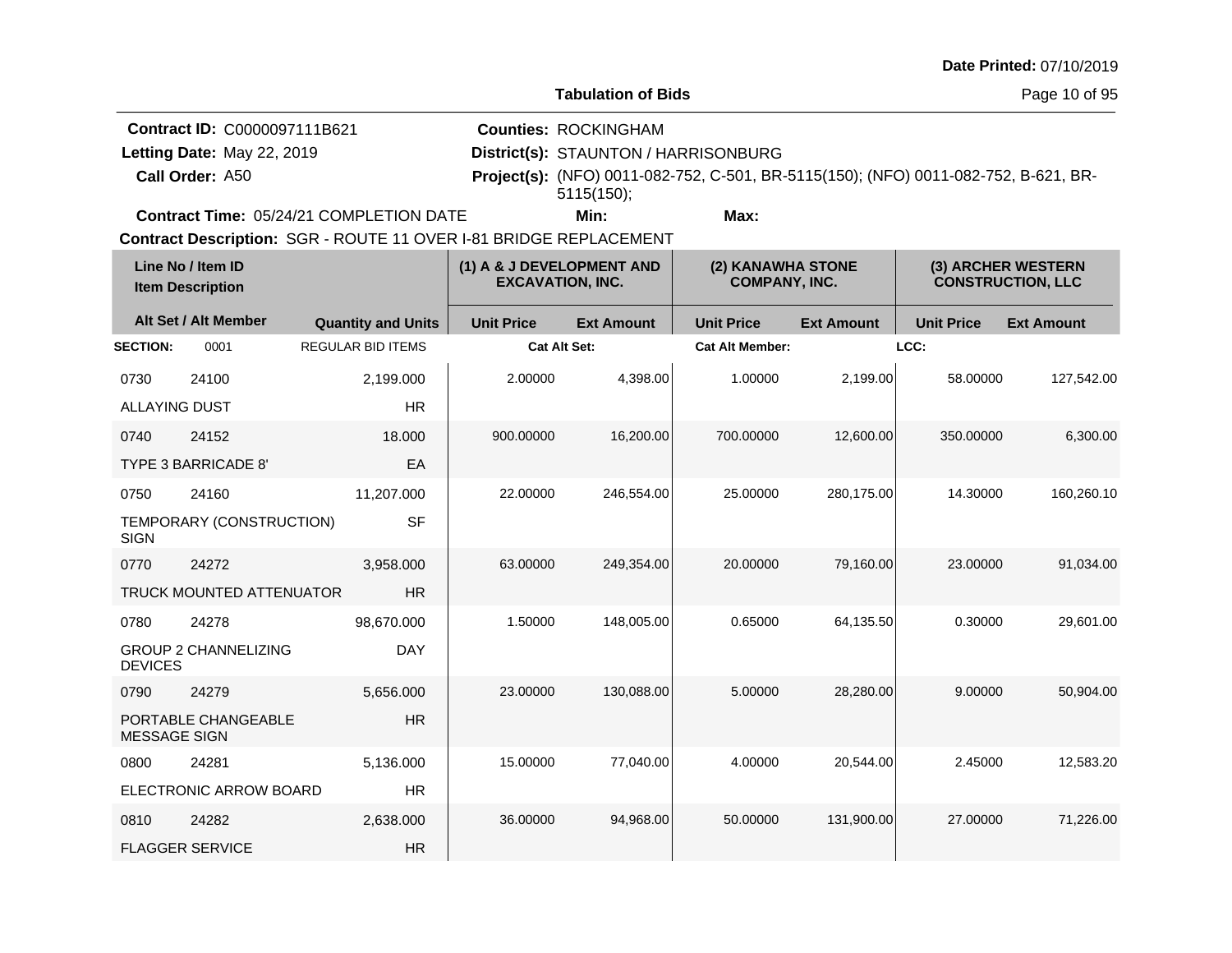**Tabulation of Bids**

**Counties:** ROCKINGHAM

**Contract ID:** C0000097111B621

Letting Date: May 22, 2019

**Call Order:**

**Letting Date:** May 22, 2019 **District(s): STAUNTON / HARRISONBURG** A50 **Project(s):** (NFO) 0011-082-752, C-501, BR-5115(150); (NFO) 0011-082-752, B-621, BR-5115(150);

**Contract Time:** 05/24/21 COMPLETION DATE

**Min: Max:**

|                      | Line No / Item ID<br><b>Item Description</b> |                           | (1) A & J DEVELOPMENT AND<br><b>EXCAVATION, INC.</b> |                   | (2) KANAWHA STONE<br><b>COMPANY, INC.</b> |                   | (3) ARCHER WESTERN<br><b>CONSTRUCTION, LLC</b> |                   |
|----------------------|----------------------------------------------|---------------------------|------------------------------------------------------|-------------------|-------------------------------------------|-------------------|------------------------------------------------|-------------------|
|                      | Alt Set / Alt Member                         | <b>Quantity and Units</b> | <b>Unit Price</b>                                    | <b>Ext Amount</b> | <b>Unit Price</b>                         | <b>Ext Amount</b> | <b>Unit Price</b>                              | <b>Ext Amount</b> |
| <b>SECTION:</b>      | 0001                                         | <b>REGULAR BID ITEMS</b>  | <b>Cat Alt Set:</b>                                  |                   | <b>Cat Alt Member:</b>                    |                   | LCC:                                           |                   |
| 0730                 | 24100                                        | 2,199.000                 | 2.00000                                              | 4,398.00          | 1.00000                                   | 2,199.00          | 58.00000                                       | 127,542.00        |
| <b>ALLAYING DUST</b> |                                              | <b>HR</b>                 |                                                      |                   |                                           |                   |                                                |                   |
| 0740                 | 24152                                        | 18.000                    | 900.00000                                            | 16,200.00         | 700.00000                                 | 12,600.00         | 350.00000                                      | 6,300.00          |
|                      | <b>TYPE 3 BARRICADE 8</b>                    | EA                        |                                                      |                   |                                           |                   |                                                |                   |
| 0750                 | 24160                                        | 11,207.000                | 22.00000                                             | 246,554.00        | 25.00000                                  | 280,175.00        | 14.30000                                       | 160,260.10        |
| <b>SIGN</b>          | TEMPORARY (CONSTRUCTION)                     | <b>SF</b>                 |                                                      |                   |                                           |                   |                                                |                   |
| 0770                 | 24272                                        | 3.958.000                 | 63.00000                                             | 249.354.00        | 20.00000                                  | 79,160.00         | 23.00000                                       | 91,034.00         |
|                      | <b>TRUCK MOUNTED ATTENUATOR</b>              | <b>HR</b>                 |                                                      |                   |                                           |                   |                                                |                   |
| 0780                 | 24278                                        | 98,670.000                | 1.50000                                              | 148,005.00        | 0.65000                                   | 64,135.50         | 0.30000                                        | 29.601.00         |
| <b>DEVICES</b>       | <b>GROUP 2 CHANNELIZING</b>                  | <b>DAY</b>                |                                                      |                   |                                           |                   |                                                |                   |
| 0790                 | 24279                                        | 5,656.000                 | 23.00000                                             | 130,088.00        | 5.00000                                   | 28,280.00         | 9.00000                                        | 50,904.00         |
| <b>MESSAGE SIGN</b>  | PORTABLE CHANGEABLE                          | <b>HR</b>                 |                                                      |                   |                                           |                   |                                                |                   |
| 0800                 | 24281                                        | 5,136.000                 | 15.00000                                             | 77,040.00         | 4.00000                                   | 20,544.00         | 2.45000                                        | 12,583.20         |
|                      | ELECTRONIC ARROW BOARD                       | <b>HR</b>                 |                                                      |                   |                                           |                   |                                                |                   |
| 0810                 | 24282                                        | 2,638.000                 | 36.00000                                             | 94,968.00         | 50.00000                                  | 131,900.00        | 27.00000                                       | 71,226.00         |
|                      | <b>FLAGGER SERVICE</b>                       | <b>HR</b>                 |                                                      |                   |                                           |                   |                                                |                   |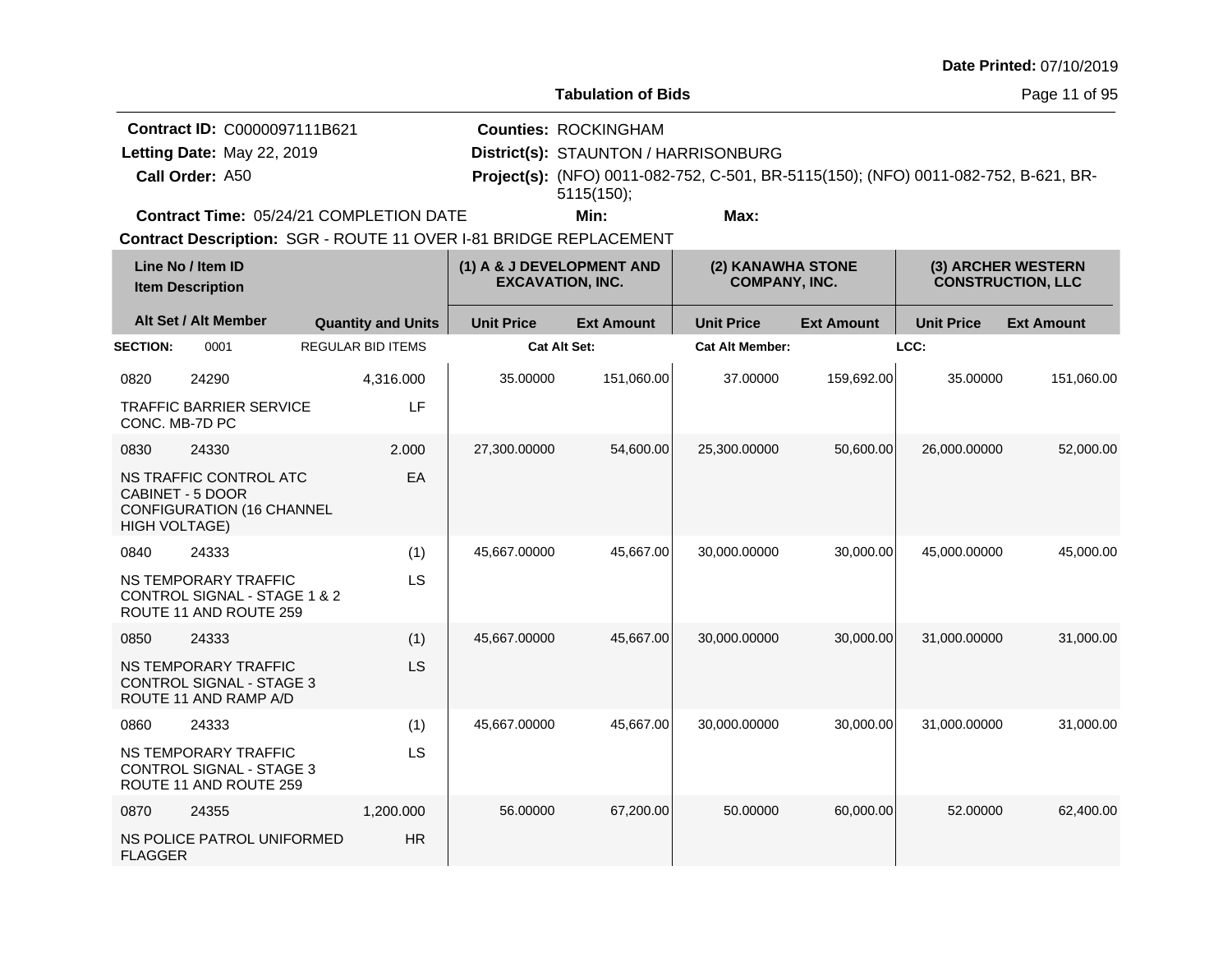**Tabulation of Bids**

Page 11 of 95

|                 | <b>Contract ID: C0000097111B621</b>            | <b>Counties: ROCKINGHAM</b>          |      |                                                                                            |  |
|-----------------|------------------------------------------------|--------------------------------------|------|--------------------------------------------------------------------------------------------|--|
|                 | Letting Date: May 22, 2019                     | District(s): STAUNTON / HARRISONBURG |      |                                                                                            |  |
| Call Order: A50 |                                                |                                      |      | <b>Project(s):</b> (NFO) 0011-082-752, C-501, BR-5115(150); (NFO) 0011-082-752, B-621, BR- |  |
|                 |                                                | 5115(150)                            |      |                                                                                            |  |
|                 | <b>Contract Time: 05/24/21 COMPLETION DATE</b> | Min:                                 | Max: |                                                                                            |  |

**Contract Time:** 05/24/21 COMPLETION DATE

| Line No / Item ID<br><b>Item Description</b> |                                                                                         | (1) A & J DEVELOPMENT AND<br><b>EXCAVATION, INC.</b> |                     | (2) KANAWHA STONE<br><b>COMPANY, INC.</b> |                        | (3) ARCHER WESTERN<br><b>CONSTRUCTION, LLC</b> |                   |                   |
|----------------------------------------------|-----------------------------------------------------------------------------------------|------------------------------------------------------|---------------------|-------------------------------------------|------------------------|------------------------------------------------|-------------------|-------------------|
|                                              | Alt Set / Alt Member                                                                    | <b>Quantity and Units</b>                            | <b>Unit Price</b>   | <b>Ext Amount</b>                         | <b>Unit Price</b>      | <b>Ext Amount</b>                              | <b>Unit Price</b> | <b>Ext Amount</b> |
| <b>SECTION:</b>                              | 0001                                                                                    | <b>REGULAR BID ITEMS</b>                             | <b>Cat Alt Set:</b> |                                           | <b>Cat Alt Member:</b> |                                                | LCC:              |                   |
| 0820                                         | 24290                                                                                   | 4,316.000                                            | 35.00000            | 151,060.00                                | 37,00000               | 159,692.00                                     | 35.00000          | 151,060.00        |
| CONC. MB-7D PC                               | <b>TRAFFIC BARRIER SERVICE</b>                                                          | LF                                                   |                     |                                           |                        |                                                |                   |                   |
| 0830                                         | 24330                                                                                   | 2.000                                                | 27,300.00000        | 54,600.00                                 | 25,300.00000           | 50,600.00                                      | 26,000.00000      | 52,000.00         |
| <b>HIGH VOLTAGE)</b>                         | NS TRAFFIC CONTROL ATC<br>CABINET - 5 DOOR<br><b>CONFIGURATION (16 CHANNEL</b>          | EA                                                   |                     |                                           |                        |                                                |                   |                   |
| 0840                                         | 24333                                                                                   | (1)                                                  | 45,667.00000        | 45,667.00                                 | 30,000.00000           | 30,000.00                                      | 45,000.00000      | 45,000.00         |
|                                              | NS TEMPORARY TRAFFIC<br>CONTROL SIGNAL - STAGE 1 & 2<br>ROUTE 11 AND ROUTE 259          | LS                                                   |                     |                                           |                        |                                                |                   |                   |
| 0850                                         | 24333                                                                                   | (1)                                                  | 45,667.00000        | 45,667.00                                 | 30,000.00000           | 30,000.00                                      | 31,000.00000      | 31,000.00         |
|                                              | <b>NS TEMPORARY TRAFFIC</b><br><b>CONTROL SIGNAL - STAGE 3</b><br>ROUTE 11 AND RAMP A/D | LS                                                   |                     |                                           |                        |                                                |                   |                   |
| 0860                                         | 24333                                                                                   | (1)                                                  | 45,667.00000        | 45,667.00                                 | 30,000.00000           | 30,000.00                                      | 31,000.00000      | 31,000.00         |
|                                              | NS TEMPORARY TRAFFIC<br><b>CONTROL SIGNAL - STAGE 3</b><br>ROUTE 11 AND ROUTE 259       | <b>LS</b>                                            |                     |                                           |                        |                                                |                   |                   |
| 0870                                         | 24355                                                                                   | 1,200.000                                            | 56.00000            | 67,200.00                                 | 50.00000               | 60,000.00                                      | 52.00000          | 62,400.00         |
| <b>FLAGGER</b>                               | NS POLICE PATROL UNIFORMED                                                              | <b>HR</b>                                            |                     |                                           |                        |                                                |                   |                   |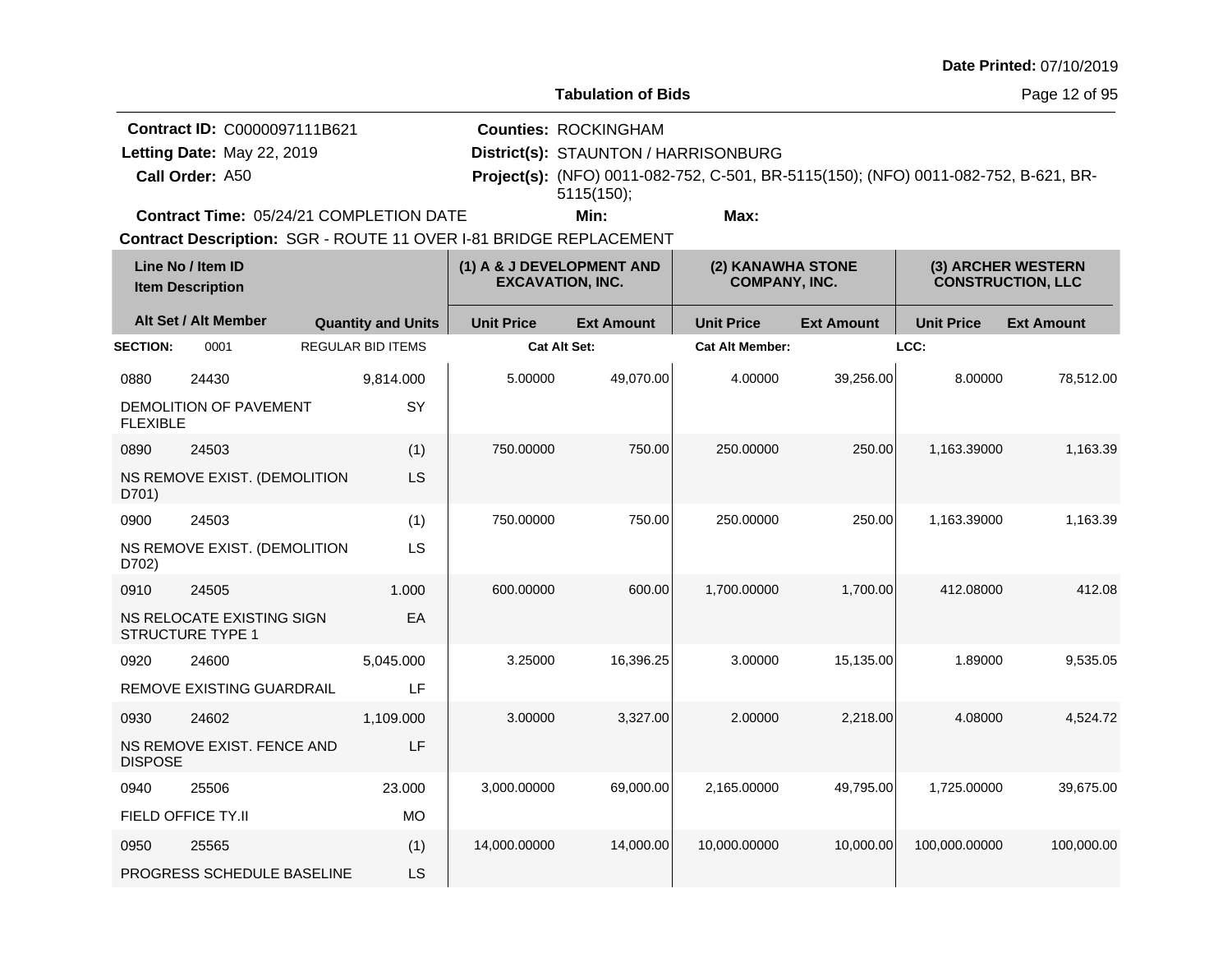**Tabulation of Bids**

Page 12 of 95

| <b>Contract ID: C0000097111B621</b>            | <b>Counties: ROCKINGHAM</b>          |                                                                                            |  |
|------------------------------------------------|--------------------------------------|--------------------------------------------------------------------------------------------|--|
| Letting Date: May 22, 2019                     | District(s): STAUNTON / HARRISONBURG |                                                                                            |  |
| Call Order: A50                                |                                      | <b>Project(s):</b> (NFO) 0011-082-752, C-501, BR-5115(150); (NFO) 0011-082-752, B-621, BR- |  |
|                                                | $5115(150)$ :                        |                                                                                            |  |
| <b>Contract Time: 05/24/21 COMPLETION DATE</b> | Min:                                 | Max:                                                                                       |  |

**Contract Time:** 05/24/21 COMPLETION DATE

|                 | Line No / Item ID<br><b>Item Description</b>         |                           | (1) A & J DEVELOPMENT AND<br><b>EXCAVATION, INC.</b> |                   | (2) KANAWHA STONE<br><b>COMPANY, INC.</b> |                   | (3) ARCHER WESTERN<br><b>CONSTRUCTION, LLC</b> |                   |
|-----------------|------------------------------------------------------|---------------------------|------------------------------------------------------|-------------------|-------------------------------------------|-------------------|------------------------------------------------|-------------------|
|                 | Alt Set / Alt Member                                 | <b>Quantity and Units</b> | <b>Unit Price</b>                                    | <b>Ext Amount</b> | <b>Unit Price</b>                         | <b>Ext Amount</b> | <b>Unit Price</b>                              | <b>Ext Amount</b> |
| <b>SECTION:</b> | 0001                                                 | <b>REGULAR BID ITEMS</b>  | <b>Cat Alt Set:</b>                                  |                   | <b>Cat Alt Member:</b>                    |                   | LCC:                                           |                   |
| 0880            | 24430                                                | 9,814.000                 | 5.00000                                              | 49,070.00         | 4.00000                                   | 39,256.00         | 8.00000                                        | 78,512.00         |
| <b>FLEXIBLE</b> | DEMOLITION OF PAVEMENT                               | SY                        |                                                      |                   |                                           |                   |                                                |                   |
| 0890            | 24503                                                | (1)                       | 750.00000                                            | 750.00            | 250.00000                                 | 250.00            | 1,163.39000                                    | 1,163.39          |
| D701)           | NS REMOVE EXIST. (DEMOLITION                         | LS                        |                                                      |                   |                                           |                   |                                                |                   |
| 0900            | 24503                                                | (1)                       | 750.00000                                            | 750.00            | 250.00000                                 | 250.00            | 1,163.39000                                    | 1,163.39          |
| D702)           | NS REMOVE EXIST. (DEMOLITION                         | LS                        |                                                      |                   |                                           |                   |                                                |                   |
| 0910            | 24505                                                | 1.000                     | 600.00000                                            | 600.00            | 1,700.00000                               | 1,700.00          | 412.08000                                      | 412.08            |
|                 | NS RELOCATE EXISTING SIGN<br><b>STRUCTURE TYPE 1</b> | EA                        |                                                      |                   |                                           |                   |                                                |                   |
| 0920            | 24600                                                | 5,045.000                 | 3.25000                                              | 16,396.25         | 3.00000                                   | 15,135.00         | 1.89000                                        | 9,535.05          |
|                 | <b>REMOVE EXISTING GUARDRAIL</b>                     | LF                        |                                                      |                   |                                           |                   |                                                |                   |
| 0930            | 24602                                                | 1,109.000                 | 3.00000                                              | 3,327.00          | 2.00000                                   | 2,218.00          | 4.08000                                        | 4,524.72          |
| <b>DISPOSE</b>  | NS REMOVE EXIST. FENCE AND                           | LF                        |                                                      |                   |                                           |                   |                                                |                   |
| 0940            | 25506                                                | 23.000                    | 3,000.00000                                          | 69,000.00         | 2,165.00000                               | 49,795.00         | 1,725.00000                                    | 39,675.00         |
|                 | FIELD OFFICE TY.II                                   | <b>MO</b>                 |                                                      |                   |                                           |                   |                                                |                   |
| 0950            | 25565                                                | (1)                       | 14,000.00000                                         | 14,000.00         | 10,000.00000                              | 10,000.00         | 100,000.00000                                  | 100,000.00        |
|                 | PROGRESS SCHEDULE BASELINE                           | LS                        |                                                      |                   |                                           |                   |                                                |                   |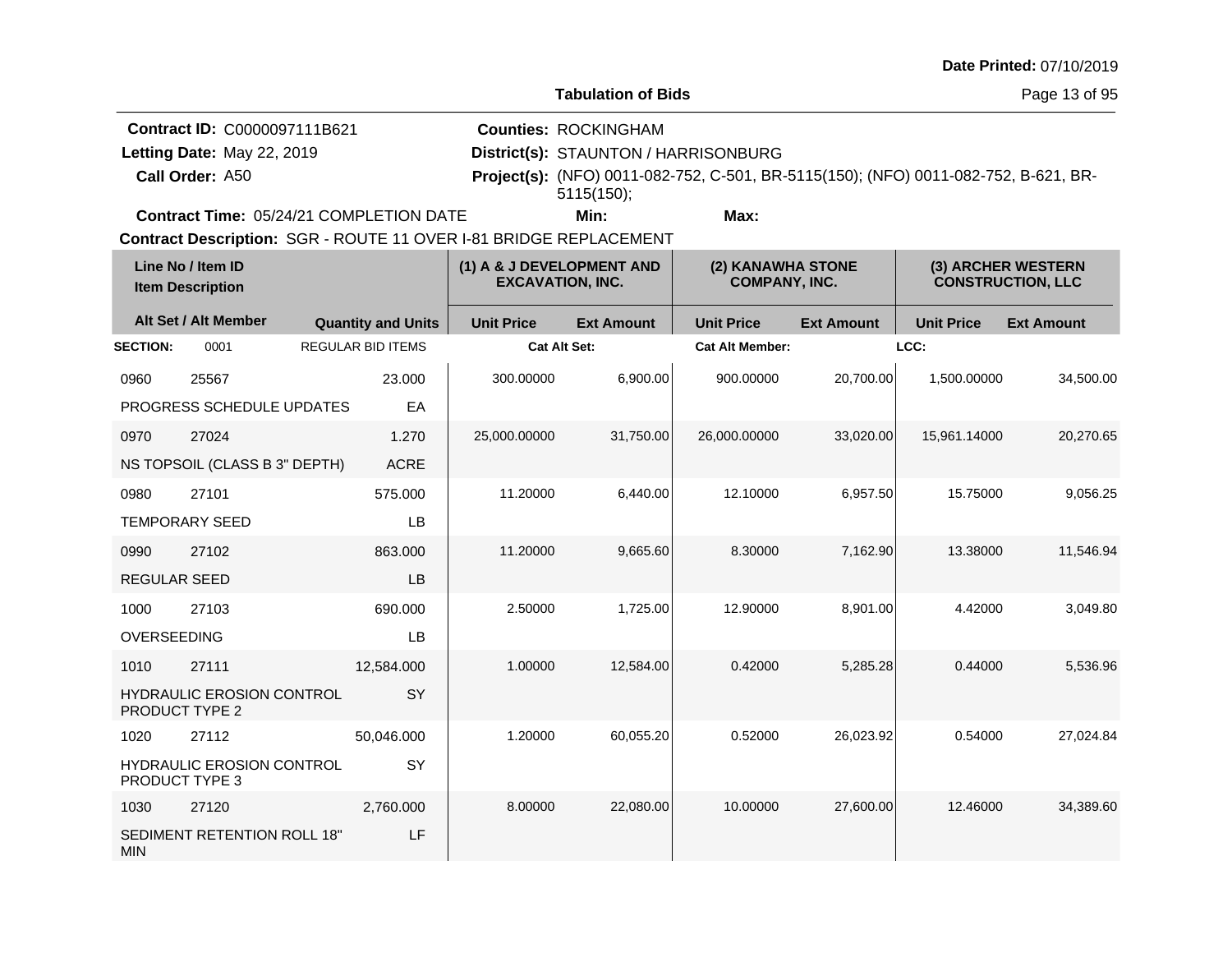**Tabulation of Bids**

**Counties:** ROCKINGHAM

**Contract ID:** C0000097111B621

Letting Date: May 22, 2019

**Call Order:**

**Letting Date:** May 22, 2019 **District(s): STAUNTON / HARRISONBURG** A50 **Project(s):** (NFO) 0011-082-752, C-501, BR-5115(150); (NFO) 0011-082-752, B-621, BR-5115(150);

**Contract Time:** 05/24/21 COMPLETION DATE

**Min: Max:**

|                       | Line No / Item ID<br><b>Item Description</b> |                           | (1) A & J DEVELOPMENT AND<br><b>EXCAVATION, INC.</b> |                   | (2) KANAWHA STONE<br><b>COMPANY, INC.</b> |                   |                   | (3) ARCHER WESTERN<br><b>CONSTRUCTION, LLC</b> |
|-----------------------|----------------------------------------------|---------------------------|------------------------------------------------------|-------------------|-------------------------------------------|-------------------|-------------------|------------------------------------------------|
|                       | Alt Set / Alt Member                         | <b>Quantity and Units</b> | <b>Unit Price</b>                                    | <b>Ext Amount</b> | <b>Unit Price</b>                         | <b>Ext Amount</b> | <b>Unit Price</b> | <b>Ext Amount</b>                              |
| <b>SECTION:</b>       | 0001                                         | <b>REGULAR BID ITEMS</b>  | <b>Cat Alt Set:</b>                                  |                   | <b>Cat Alt Member:</b>                    |                   | LCC:              |                                                |
| 0960                  | 25567                                        | 23.000                    | 300.00000                                            | 6,900.00          | 900.00000                                 | 20,700.00         | 1,500.00000       | 34,500.00                                      |
|                       | PROGRESS SCHEDULE UPDATES                    | EA                        |                                                      |                   |                                           |                   |                   |                                                |
| 0970                  | 27024                                        | 1.270                     | 25,000.00000                                         | 31,750.00         | 26,000.00000                              | 33,020.00         | 15,961.14000      | 20,270.65                                      |
|                       | NS TOPSOIL (CLASS B 3" DEPTH)                | <b>ACRE</b>               |                                                      |                   |                                           |                   |                   |                                                |
| 0980                  | 27101                                        | 575.000                   | 11.20000                                             | 6,440.00          | 12.10000                                  | 6,957.50          | 15.75000          | 9,056.25                                       |
|                       | <b>TEMPORARY SEED</b>                        | LB                        |                                                      |                   |                                           |                   |                   |                                                |
| 0990                  | 27102                                        | 863.000                   | 11.20000                                             | 9,665.60          | 8.30000                                   | 7,162.90          | 13.38000          | 11,546.94                                      |
| <b>REGULAR SEED</b>   |                                              | LB                        |                                                      |                   |                                           |                   |                   |                                                |
| 1000                  | 27103                                        | 690.000                   | 2.50000                                              | 1,725.00          | 12.90000                                  | 8,901.00          | 4.42000           | 3,049.80                                       |
| OVERSEEDING           |                                              | LB                        |                                                      |                   |                                           |                   |                   |                                                |
| 1010                  | 27111                                        | 12,584.000                | 1.00000                                              | 12,584.00         | 0.42000                                   | 5,285.28          | 0.44000           | 5,536.96                                       |
| <b>PRODUCT TYPE 2</b> | <b>HYDRAULIC EROSION CONTROL</b>             | SY                        |                                                      |                   |                                           |                   |                   |                                                |
| 1020                  | 27112                                        | 50,046.000                | 1.20000                                              | 60,055.20         | 0.52000                                   | 26,023.92         | 0.54000           | 27,024.84                                      |
| PRODUCT TYPE 3        | <b>HYDRAULIC EROSION CONTROL</b>             | SY                        |                                                      |                   |                                           |                   |                   |                                                |
| 1030                  | 27120                                        | 2,760.000                 | 8.00000                                              | 22,080.00         | 10.00000                                  | 27,600.00         | 12.46000          | 34,389.60                                      |
| <b>MIN</b>            | SEDIMENT RETENTION ROLL 18"                  | LF                        |                                                      |                   |                                           |                   |                   |                                                |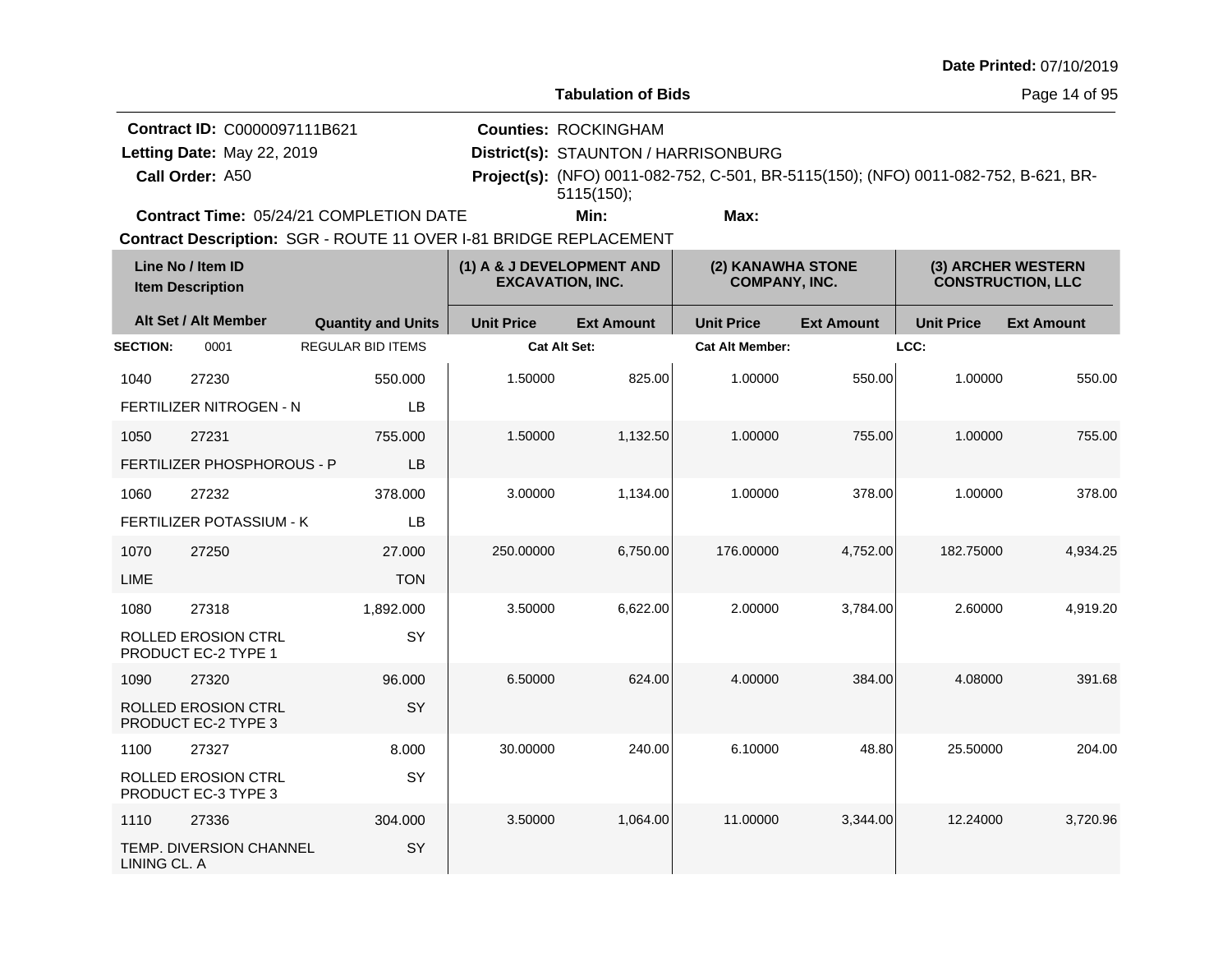**Tabulation of Bids**

**Counties:** ROCKINGHAM

**Contract ID:** C0000097111B621

Letting Date: May 22, 2019

**Call Order:**

**Letting Date:** May 22, 2019 **District(s): STAUNTON / HARRISONBURG** A50 **Project(s):** (NFO) 0011-082-752, C-501, BR-5115(150); (NFO) 0011-082-752, B-621, BR-5115(150);

**Contract Time:** 05/24/21 COMPLETION DATE

**Min: Max:**

|                 | Line No / Item ID<br><b>Item Description</b>      |                           | (1) A & J DEVELOPMENT AND<br><b>EXCAVATION, INC.</b> |                   | (2) KANAWHA STONE<br><b>COMPANY, INC.</b> |                   | (3) ARCHER WESTERN<br><b>CONSTRUCTION, LLC</b> |                   |
|-----------------|---------------------------------------------------|---------------------------|------------------------------------------------------|-------------------|-------------------------------------------|-------------------|------------------------------------------------|-------------------|
|                 | Alt Set / Alt Member                              | <b>Quantity and Units</b> | <b>Unit Price</b>                                    | <b>Ext Amount</b> | <b>Unit Price</b>                         | <b>Ext Amount</b> | <b>Unit Price</b>                              | <b>Ext Amount</b> |
| <b>SECTION:</b> | 0001                                              | <b>REGULAR BID ITEMS</b>  | <b>Cat Alt Set:</b>                                  |                   | <b>Cat Alt Member:</b>                    |                   | LCC:                                           |                   |
| 1040            | 27230                                             | 550.000                   | 1.50000                                              | 825.00            | 1.00000                                   | 550.00            | 1.00000                                        | 550.00            |
|                 | FERTILIZER NITROGEN - N                           | <b>LB</b>                 |                                                      |                   |                                           |                   |                                                |                   |
| 1050            | 27231                                             | 755.000                   | 1.50000                                              | 1,132.50          | 1.00000                                   | 755.00            | 1.00000                                        | 755.00            |
|                 | <b>FERTILIZER PHOSPHOROUS - P</b>                 | LB                        |                                                      |                   |                                           |                   |                                                |                   |
| 1060            | 27232                                             | 378,000                   | 3.00000                                              | 1,134.00          | 1.00000                                   | 378.00            | 1.00000                                        | 378.00            |
|                 | FERTILIZER POTASSIUM - K                          | LB                        |                                                      |                   |                                           |                   |                                                |                   |
| 1070            | 27250                                             | 27.000                    | 250.00000                                            | 6,750.00          | 176,00000                                 | 4,752.00          | 182.75000                                      | 4,934.25          |
| <b>LIME</b>     |                                                   | <b>TON</b>                |                                                      |                   |                                           |                   |                                                |                   |
| 1080            | 27318                                             | 1,892.000                 | 3.50000                                              | 6,622.00          | 2.00000                                   | 3.784.00          | 2.60000                                        | 4,919.20          |
|                 | ROLLED EROSION CTRL<br><b>PRODUCT EC-2 TYPE 1</b> | SY                        |                                                      |                   |                                           |                   |                                                |                   |
| 1090            | 27320                                             | 96.000                    | 6.50000                                              | 624.00            | 4.00000                                   | 384.00            | 4.08000                                        | 391.68            |
|                 | ROLLED EROSION CTRL<br>PRODUCT EC-2 TYPE 3        | SY                        |                                                      |                   |                                           |                   |                                                |                   |
| 1100            | 27327                                             | 8.000                     | 30.00000                                             | 240.00            | 6.10000                                   | 48.80             | 25.50000                                       | 204.00            |
|                 | <b>ROLLED EROSION CTRL</b><br>PRODUCT EC-3 TYPE 3 | SY                        |                                                      |                   |                                           |                   |                                                |                   |
| 1110            | 27336                                             | 304.000                   | 3.50000                                              | 1,064.00          | 11.00000                                  | 3,344.00          | 12.24000                                       | 3,720.96          |
| LINING CL. A    | <b>TEMP. DIVERSION CHANNEL</b>                    | SY                        |                                                      |                   |                                           |                   |                                                |                   |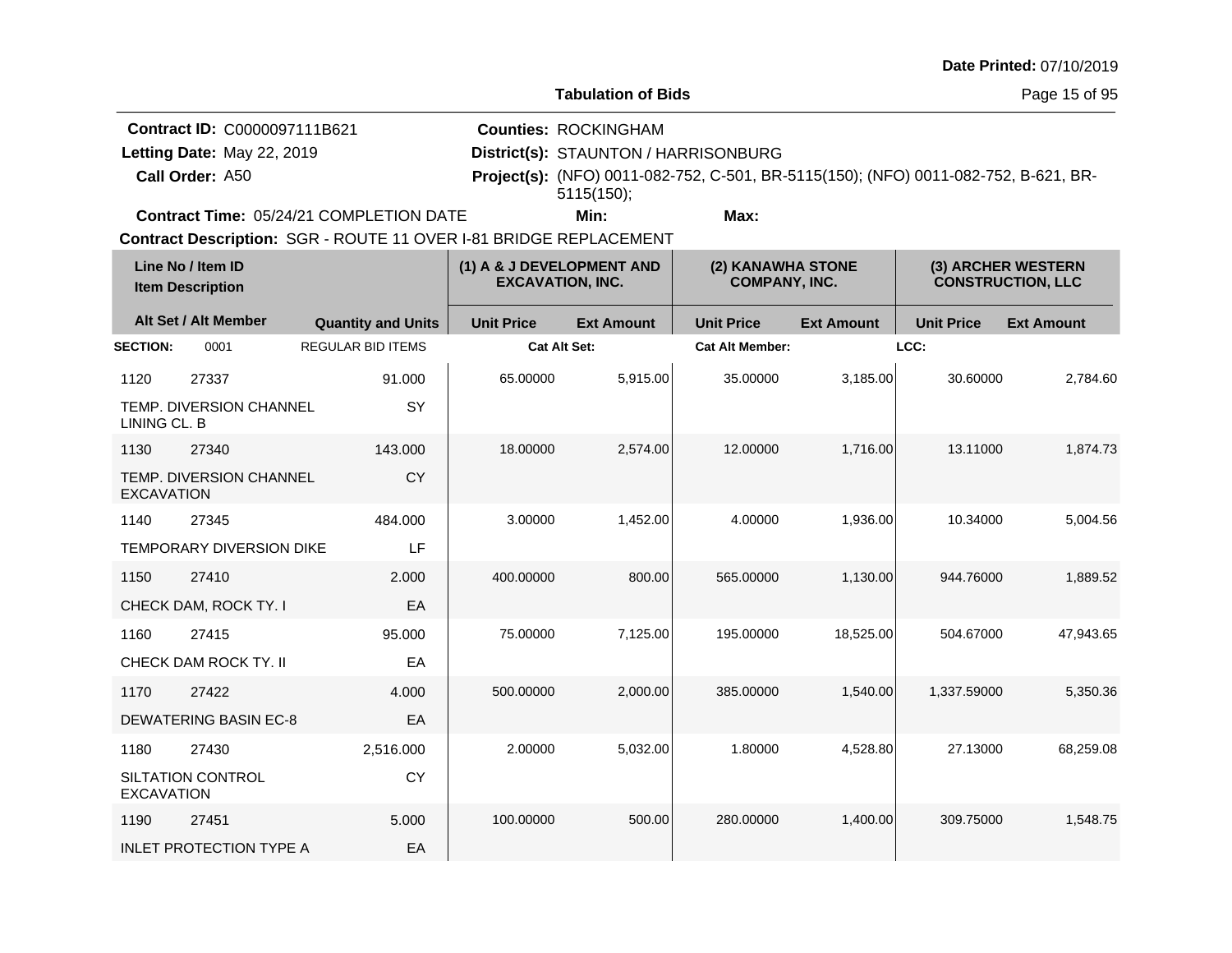**Tabulation of Bids**

**Counties:** ROCKINGHAM

**Contract ID:** C0000097111B621

Letting Date: May 22, 2019

**Call Order:**

**Letting Date:** May 22, 2019 **District(s): STAUNTON / HARRISONBURG** A50 **Project(s):** (NFO) 0011-082-752, C-501, BR-5115(150); (NFO) 0011-082-752, B-621, BR-5115(150);

**Contract Time:** 05/24/21 COMPLETION DATE

**Min: Max:**

|                   | Line No / Item ID<br><b>Item Description</b> |                           | (1) A & J DEVELOPMENT AND<br><b>EXCAVATION, INC.</b> |                   | (2) KANAWHA STONE<br><b>COMPANY, INC.</b> |                   | (3) ARCHER WESTERN<br><b>CONSTRUCTION, LLC</b> |                   |
|-------------------|----------------------------------------------|---------------------------|------------------------------------------------------|-------------------|-------------------------------------------|-------------------|------------------------------------------------|-------------------|
|                   | Alt Set / Alt Member                         | <b>Quantity and Units</b> | <b>Unit Price</b>                                    | <b>Ext Amount</b> | <b>Unit Price</b>                         | <b>Ext Amount</b> | <b>Unit Price</b>                              | <b>Ext Amount</b> |
| <b>SECTION:</b>   | 0001                                         | <b>REGULAR BID ITEMS</b>  | <b>Cat Alt Set:</b>                                  |                   | <b>Cat Alt Member:</b>                    |                   | LCC:                                           |                   |
| 1120              | 27337                                        | 91.000                    | 65.00000                                             | 5,915.00          | 35.00000                                  | 3,185.00          | 30.60000                                       | 2,784.60          |
| LINING CL. B      | <b>TEMP. DIVERSION CHANNEL</b>               | <b>SY</b>                 |                                                      |                   |                                           |                   |                                                |                   |
| 1130              | 27340                                        | 143.000                   | 18.00000                                             | 2,574.00          | 12.00000                                  | 1.716.00          | 13.11000                                       | 1,874.73          |
| <b>EXCAVATION</b> | TEMP. DIVERSION CHANNEL                      | <b>CY</b>                 |                                                      |                   |                                           |                   |                                                |                   |
| 1140              | 27345                                        | 484.000                   | 3.00000                                              | 1,452.00          | 4.00000                                   | 1,936.00          | 10.34000                                       | 5,004.56          |
|                   | <b>TEMPORARY DIVERSION DIKE</b>              | LF                        |                                                      |                   |                                           |                   |                                                |                   |
| 1150              | 27410                                        | 2.000                     | 400.00000                                            | 800.00            | 565.00000                                 | 1,130.00          | 944.76000                                      | 1,889.52          |
|                   | CHECK DAM, ROCK TY. I                        | EA                        |                                                      |                   |                                           |                   |                                                |                   |
| 1160              | 27415                                        | 95.000                    | 75.00000                                             | 7,125.00          | 195.00000                                 | 18,525.00         | 504.67000                                      | 47,943.65         |
|                   | CHECK DAM ROCK TY. II                        | EA                        |                                                      |                   |                                           |                   |                                                |                   |
| 1170              | 27422                                        | 4.000                     | 500.00000                                            | 2,000.00          | 385.00000                                 | 1,540.00          | 1,337.59000                                    | 5,350.36          |
|                   | <b>DEWATERING BASIN EC-8</b>                 | EA                        |                                                      |                   |                                           |                   |                                                |                   |
| 1180              | 27430                                        | 2,516.000                 | 2.00000                                              | 5,032.00          | 1.80000                                   | 4,528.80          | 27.13000                                       | 68,259.08         |
| <b>EXCAVATION</b> | SILTATION CONTROL                            | <b>CY</b>                 |                                                      |                   |                                           |                   |                                                |                   |
| 1190              | 27451                                        | 5.000                     | 100.00000                                            | 500.00            | 280.00000                                 | 1,400.00          | 309.75000                                      | 1,548.75          |
|                   | <b>INLET PROTECTION TYPE A</b>               | EA                        |                                                      |                   |                                           |                   |                                                |                   |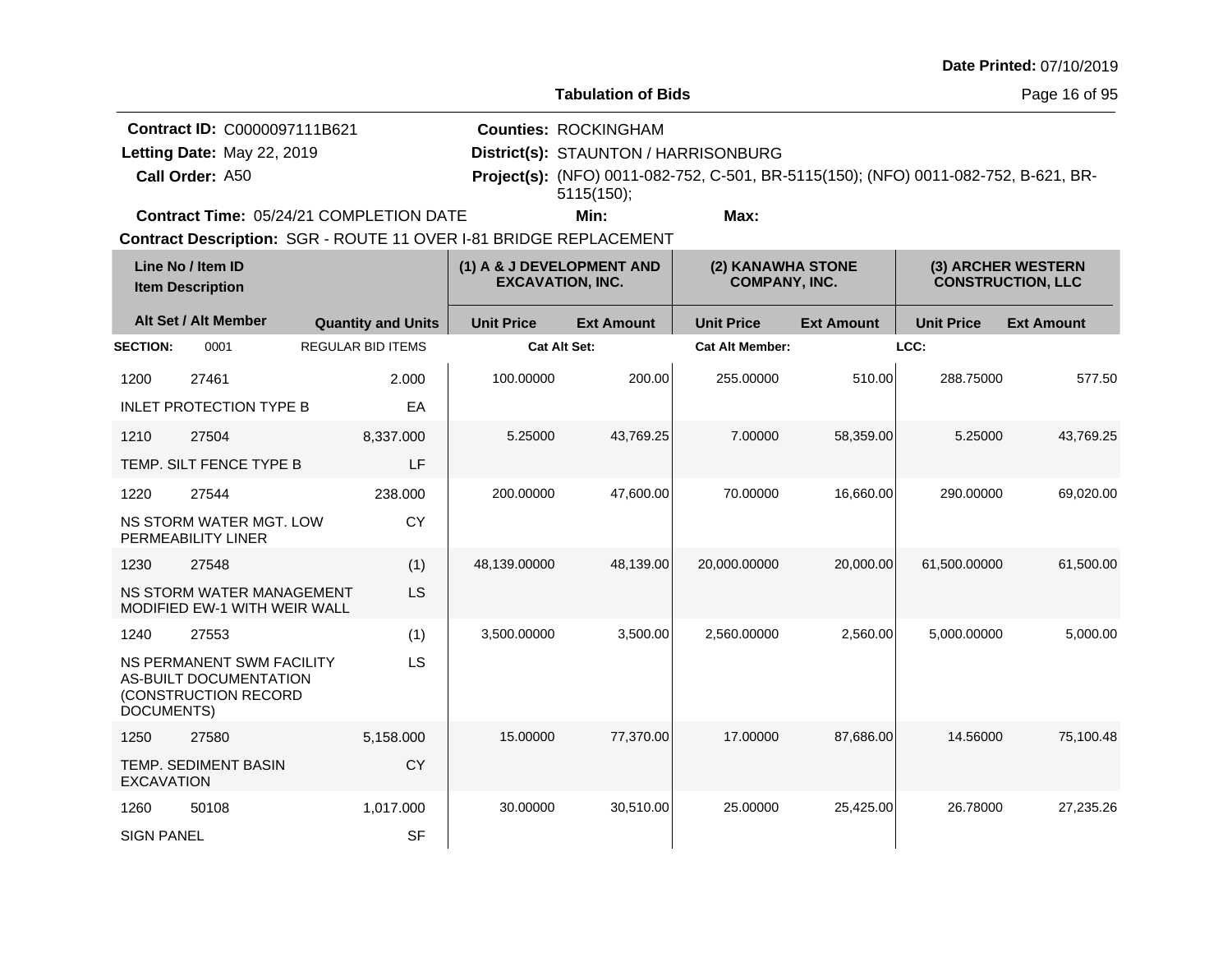**Tabulation of Bids**

Page 16 of 95

| <b>Contract ID: C0000097111B621</b>            | <b>Counties: ROCKINGHAM</b>          |                                                                                            |  |
|------------------------------------------------|--------------------------------------|--------------------------------------------------------------------------------------------|--|
| Letting Date: May 22, 2019                     | District(s): STAUNTON / HARRISONBURG |                                                                                            |  |
| Call Order: A50                                |                                      | <b>Project(s):</b> (NFO) 0011-082-752, C-501, BR-5115(150); (NFO) 0011-082-752, B-621, BR- |  |
|                                                | $5115(150)$ :                        |                                                                                            |  |
| <b>Contract Time: 05/24/21 COMPLETION DATE</b> | Min:                                 | Max:                                                                                       |  |

**Contract Time:** 05/24/21 COMPLETION DATE

|                   | Line No / Item ID<br><b>Item Description</b>                                       |                           | (1) A & J DEVELOPMENT AND<br><b>EXCAVATION, INC.</b> |                   | (2) KANAWHA STONE<br><b>COMPANY, INC.</b> |                   | (3) ARCHER WESTERN<br><b>CONSTRUCTION, LLC</b> |                   |
|-------------------|------------------------------------------------------------------------------------|---------------------------|------------------------------------------------------|-------------------|-------------------------------------------|-------------------|------------------------------------------------|-------------------|
|                   | Alt Set / Alt Member                                                               | <b>Quantity and Units</b> | <b>Unit Price</b>                                    | <b>Ext Amount</b> | <b>Unit Price</b>                         | <b>Ext Amount</b> | <b>Unit Price</b>                              | <b>Ext Amount</b> |
| <b>SECTION:</b>   | 0001                                                                               | <b>REGULAR BID ITEMS</b>  | <b>Cat Alt Set:</b>                                  |                   | <b>Cat Alt Member:</b>                    |                   | LCC:                                           |                   |
| 1200              | 27461                                                                              | 2.000                     | 100.00000                                            | 200.00            | 255.00000                                 | 510.00            | 288.75000                                      | 577.50            |
|                   | <b>INLET PROTECTION TYPE B</b>                                                     | EA                        |                                                      |                   |                                           |                   |                                                |                   |
| 1210              | 27504                                                                              | 8,337.000                 | 5.25000                                              | 43,769.25         | 7.00000                                   | 58,359.00         | 5.25000                                        | 43,769.25         |
|                   | TEMP. SILT FENCE TYPE B                                                            | LF                        |                                                      |                   |                                           |                   |                                                |                   |
| 1220              | 27544                                                                              | 238.000                   | 200.00000                                            | 47.600.00         | 70.00000                                  | 16.660.00         | 290.00000                                      | 69,020.00         |
|                   | NS STORM WATER MGT. LOW<br>PERMEABILITY LINER                                      | <b>CY</b>                 |                                                      |                   |                                           |                   |                                                |                   |
| 1230              | 27548                                                                              | (1)                       | 48,139.00000                                         | 48,139.00         | 20,000.00000                              | 20,000.00         | 61,500.00000                                   | 61,500.00         |
|                   | NS STORM WATER MANAGEMENT<br><b>MODIFIED EW-1 WITH WEIR WALL</b>                   | LS                        |                                                      |                   |                                           |                   |                                                |                   |
| 1240              | 27553                                                                              | (1)                       | 3,500.00000                                          | 3,500.00          | 2,560.00000                               | 2,560.00          | 5,000.00000                                    | 5,000.00          |
| DOCUMENTS)        | <b>NS PERMANENT SWM FACILITY</b><br>AS-BUILT DOCUMENTATION<br>(CONSTRUCTION RECORD | LS                        |                                                      |                   |                                           |                   |                                                |                   |
| 1250              | 27580                                                                              | 5,158.000                 | 15.00000                                             | 77,370.00         | 17.00000                                  | 87,686.00         | 14.56000                                       | 75,100.48         |
| <b>EXCAVATION</b> | TEMP. SEDIMENT BASIN                                                               | <b>CY</b>                 |                                                      |                   |                                           |                   |                                                |                   |
| 1260              | 50108                                                                              | 1,017.000                 | 30.00000                                             | 30,510.00         | 25.00000                                  | 25,425.00         | 26.78000                                       | 27,235.26         |
| <b>SIGN PANEL</b> |                                                                                    | <b>SF</b>                 |                                                      |                   |                                           |                   |                                                |                   |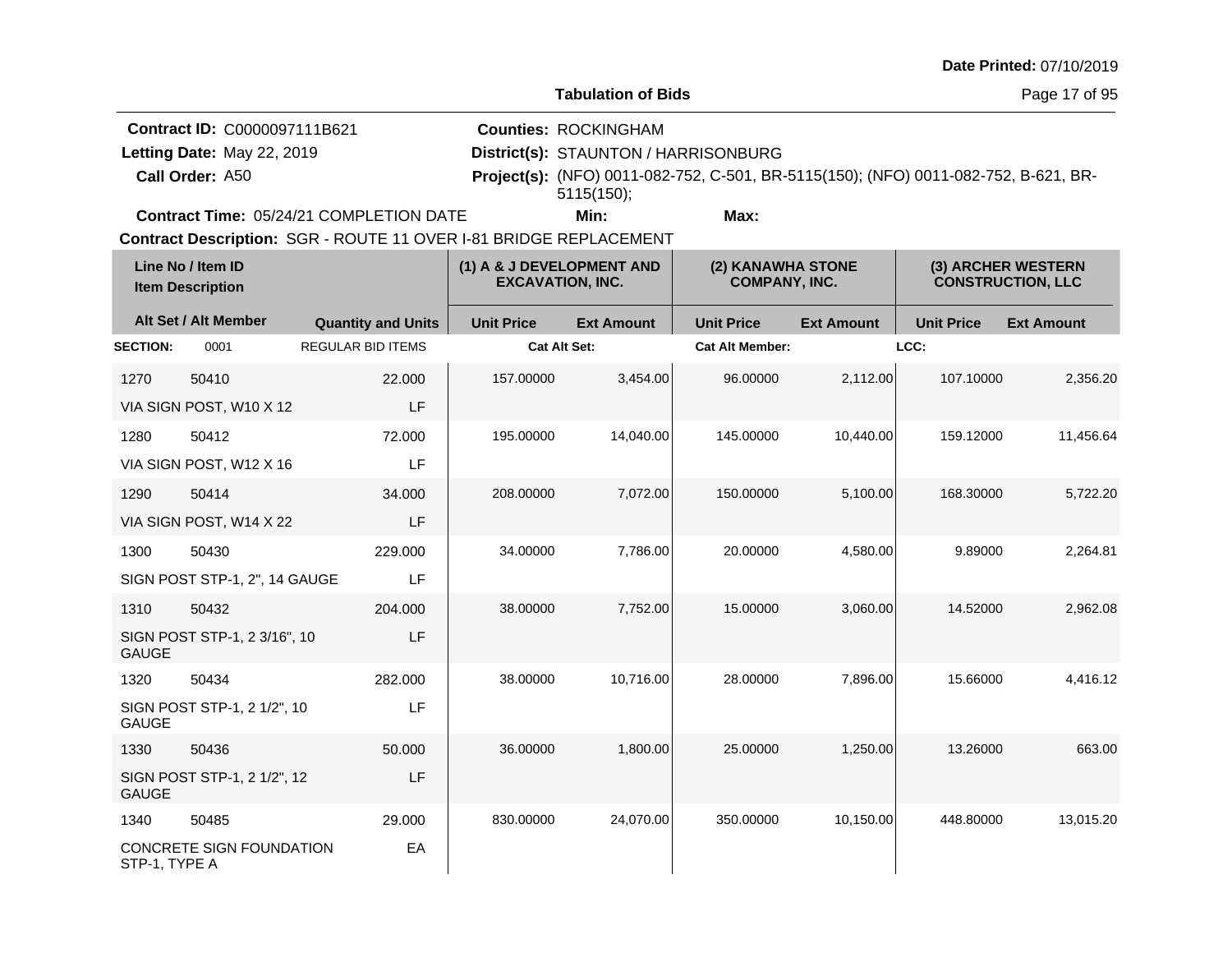**Tabulation of Bids**

**Call Order: Letting Date:** May 22, 2019 **District(s): STAUNTON / HARRISONBURG Contract ID:** C0000097111B621 **Counties:** ROCKINGHAM Letting Date: May 22, 2019

A50 **Project(s):** (NFO) 0011-082-752, C-501, BR-5115(150); (NFO) 0011-082-752, B-621, BR-**Min: Max:** 5115(150);

**Contract Time:** 05/24/21 COMPLETION DATE

| Line No / Item ID<br><b>Item Description</b> |                               | (1) A & J DEVELOPMENT AND<br><b>EXCAVATION, INC.</b> |                     | (2) KANAWHA STONE<br><b>COMPANY, INC.</b> |                        | (3) ARCHER WESTERN<br><b>CONSTRUCTION, LLC</b> |                   |                   |
|----------------------------------------------|-------------------------------|------------------------------------------------------|---------------------|-------------------------------------------|------------------------|------------------------------------------------|-------------------|-------------------|
|                                              | Alt Set / Alt Member          | <b>Quantity and Units</b>                            | <b>Unit Price</b>   | <b>Ext Amount</b>                         | <b>Unit Price</b>      | <b>Ext Amount</b>                              | <b>Unit Price</b> | <b>Ext Amount</b> |
| <b>SECTION:</b>                              | 0001                          | <b>REGULAR BID ITEMS</b>                             | <b>Cat Alt Set:</b> |                                           | <b>Cat Alt Member:</b> |                                                | LCC:              |                   |
| 1270                                         | 50410                         | 22,000                                               | 157.00000           | 3,454.00                                  | 96.00000               | 2,112.00                                       | 107.10000         | 2,356.20          |
|                                              | VIA SIGN POST, W10 X 12       | LF                                                   |                     |                                           |                        |                                                |                   |                   |
| 1280                                         | 50412                         | 72.000                                               | 195.00000           | 14,040.00                                 | 145.00000              | 10,440.00                                      | 159.12000         | 11,456.64         |
|                                              | VIA SIGN POST, W12 X 16       | LF                                                   |                     |                                           |                        |                                                |                   |                   |
| 1290                                         | 50414                         | 34.000                                               | 208.00000           | 7,072.00                                  | 150.00000              | 5,100.00                                       | 168.30000         | 5,722.20          |
|                                              | VIA SIGN POST, W14 X 22       | LF                                                   |                     |                                           |                        |                                                |                   |                   |
| 1300                                         | 50430                         | 229.000                                              | 34.00000            | 7,786.00                                  | 20.00000               | 4,580.00                                       | 9.89000           | 2,264.81          |
|                                              | SIGN POST STP-1, 2", 14 GAUGE | LF                                                   |                     |                                           |                        |                                                |                   |                   |
| 1310                                         | 50432                         | 204.000                                              | 38.00000            | 7,752.00                                  | 15.00000               | 3,060.00                                       | 14.52000          | 2,962.08          |
| <b>GAUGE</b>                                 | SIGN POST STP-1, 2 3/16", 10  | LF                                                   |                     |                                           |                        |                                                |                   |                   |
| 1320                                         | 50434                         | 282.000                                              | 38.00000            | 10,716.00                                 | 28.00000               | 7,896.00                                       | 15.66000          | 4,416.12          |
| <b>GAUGE</b>                                 | SIGN POST STP-1, 2 1/2", 10   | LF                                                   |                     |                                           |                        |                                                |                   |                   |
| 1330                                         | 50436                         | 50.000                                               | 36.00000            | 1,800.00                                  | 25.00000               | 1,250.00                                       | 13.26000          | 663.00            |
| <b>GAUGE</b>                                 | SIGN POST STP-1, 2 1/2", 12   | LF                                                   |                     |                                           |                        |                                                |                   |                   |
| 1340                                         | 50485                         | 29.000                                               | 830.00000           | 24,070.00                                 | 350.00000              | 10,150.00                                      | 448.80000         | 13,015.20         |
| STP-1, TYPE A                                | CONCRETE SIGN FOUNDATION      | EA                                                   |                     |                                           |                        |                                                |                   |                   |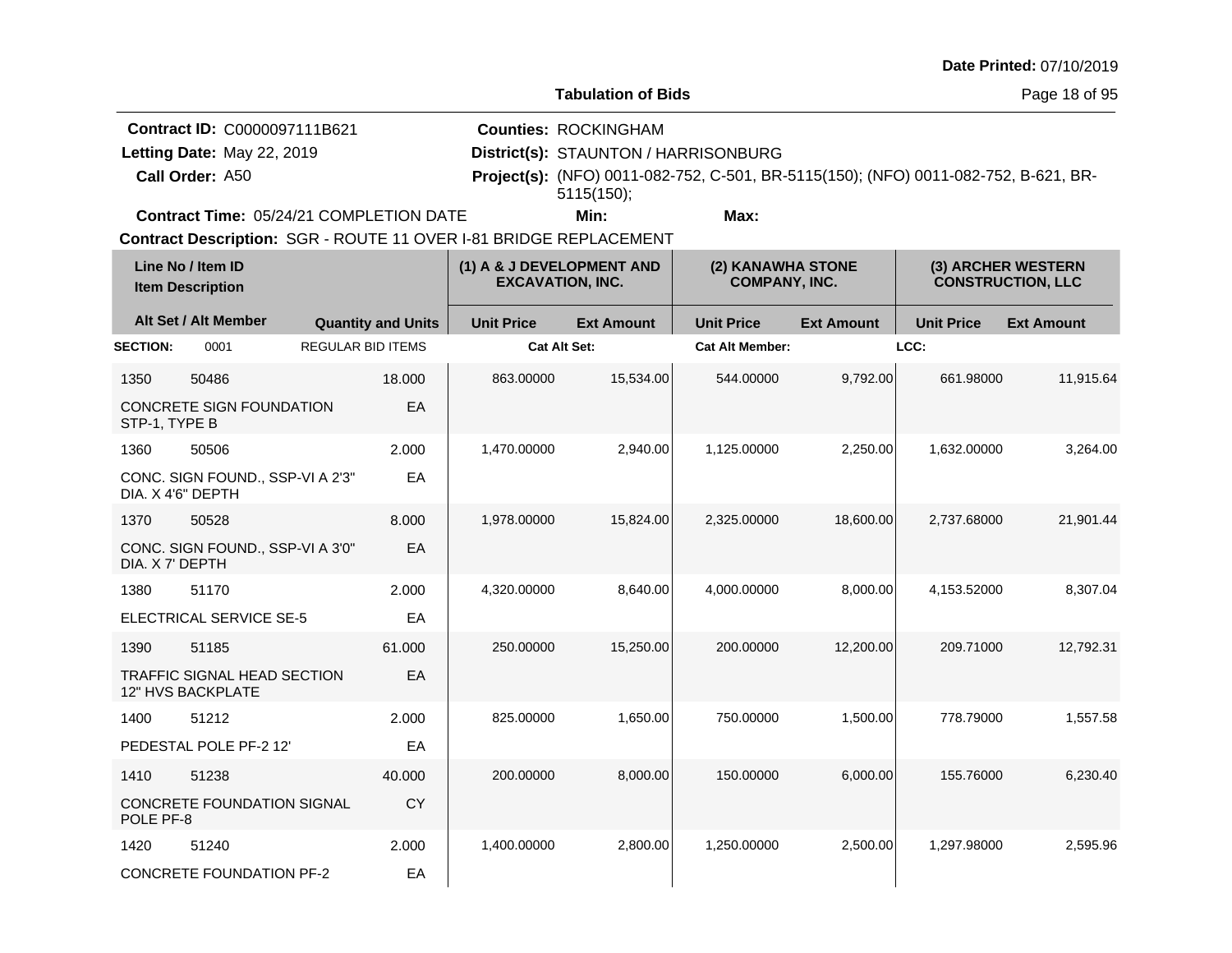**Tabulation of Bids**

Page 18 of 95

| <b>Contract ID: C0000097111B621</b>            | <b>Counties: ROCKINGHAM</b>          |                                                                                            |  |
|------------------------------------------------|--------------------------------------|--------------------------------------------------------------------------------------------|--|
| Letting Date: May 22, 2019                     | District(s): STAUNTON / HARRISONBURG |                                                                                            |  |
| Call Order: A50                                |                                      | <b>Project(s):</b> (NFO) 0011-082-752, C-501, BR-5115(150); (NFO) 0011-082-752, B-621, BR- |  |
|                                                | $5115(150)$ :                        |                                                                                            |  |
| <b>Contract Time: 05/24/21 COMPLETION DATE</b> | Min:                                 | Max:                                                                                       |  |

**Contract Time:** 05/24/21 COMPLETION DATE

|                 | Line No / Item ID<br><b>Item Description</b>            | (1) A & J DEVELOPMENT AND<br>(2) KANAWHA STONE<br><b>COMPANY, INC.</b><br><b>EXCAVATION, INC.</b> |                           | (3) ARCHER WESTERN<br><b>CONSTRUCTION, LLC</b> |                   |                        |                   |                   |                   |
|-----------------|---------------------------------------------------------|---------------------------------------------------------------------------------------------------|---------------------------|------------------------------------------------|-------------------|------------------------|-------------------|-------------------|-------------------|
|                 | Alt Set / Alt Member                                    |                                                                                                   | <b>Quantity and Units</b> | <b>Unit Price</b>                              | <b>Ext Amount</b> | <b>Unit Price</b>      | <b>Ext Amount</b> | <b>Unit Price</b> | <b>Ext Amount</b> |
| <b>SECTION:</b> | 0001                                                    | <b>REGULAR BID ITEMS</b>                                                                          |                           | <b>Cat Alt Set:</b>                            |                   | <b>Cat Alt Member:</b> |                   | LCC:              |                   |
| 1350            | 50486                                                   |                                                                                                   | 18.000                    | 863.00000                                      | 15,534.00         | 544.00000              | 9,792.00          | 661.98000         | 11,915.64         |
| STP-1, TYPE B   | CONCRETE SIGN FOUNDATION                                |                                                                                                   | EA                        |                                                |                   |                        |                   |                   |                   |
| 1360            | 50506                                                   |                                                                                                   | 2.000                     | 1,470.00000                                    | 2,940.00          | 1,125.00000            | 2,250.00          | 1,632.00000       | 3,264.00          |
|                 | CONC. SIGN FOUND., SSP-VI A 2'3"<br>DIA. X 4'6" DEPTH   |                                                                                                   | EA                        |                                                |                   |                        |                   |                   |                   |
| 1370            | 50528                                                   |                                                                                                   | 8.000                     | 1,978.00000                                    | 15,824.00         | 2,325.00000            | 18,600.00         | 2.737.68000       | 21.901.44         |
| DIA. X 7' DEPTH | CONC. SIGN FOUND., SSP-VI A 3'0"                        |                                                                                                   | EA                        |                                                |                   |                        |                   |                   |                   |
| 1380            | 51170                                                   |                                                                                                   | 2.000                     | 4,320.00000                                    | 8,640.00          | 4.000.00000            | 8,000.00          | 4,153.52000       | 8,307.04          |
|                 | ELECTRICAL SERVICE SE-5                                 |                                                                                                   | EA                        |                                                |                   |                        |                   |                   |                   |
| 1390            | 51185                                                   |                                                                                                   | 61.000                    | 250.00000                                      | 15,250.00         | 200.00000              | 12,200.00         | 209.71000         | 12,792.31         |
|                 | <b>TRAFFIC SIGNAL HEAD SECTION</b><br>12" HVS BACKPLATE |                                                                                                   | EA                        |                                                |                   |                        |                   |                   |                   |
| 1400            | 51212                                                   |                                                                                                   | 2.000                     | 825.00000                                      | 1.650.00          | 750.00000              | 1.500.00          | 778.79000         | 1,557.58          |
|                 | PEDESTAL POLE PF-2 12'                                  |                                                                                                   | EA                        |                                                |                   |                        |                   |                   |                   |
| 1410            | 51238                                                   |                                                                                                   | 40.000                    | 200.00000                                      | 8,000.00          | 150.00000              | 6,000.00          | 155.76000         | 6,230.40          |
| POLE PF-8       | CONCRETE FOUNDATION SIGNAL                              |                                                                                                   | <b>CY</b>                 |                                                |                   |                        |                   |                   |                   |
| 1420            | 51240                                                   |                                                                                                   | 2.000                     | 1,400.00000                                    | 2,800.00          | 1,250.00000            | 2,500.00          | 1,297.98000       | 2,595.96          |
|                 | <b>CONCRETE FOUNDATION PF-2</b>                         |                                                                                                   | EA                        |                                                |                   |                        |                   |                   |                   |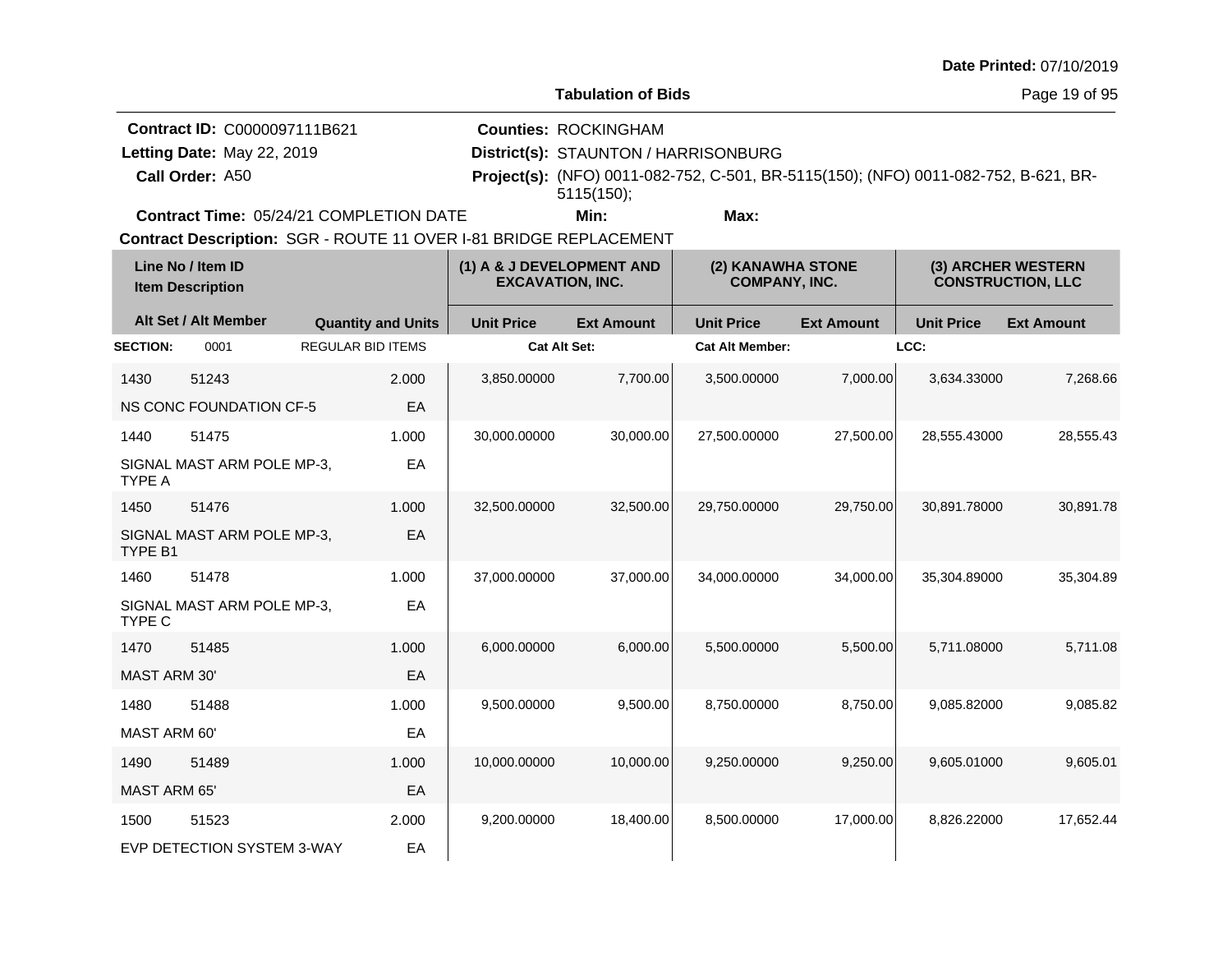**Tabulation of Bids**

Page 19 of 95

| <b>Contract ID: C0000097111B621</b>            | <b>Counties: ROCKINGHAM</b>          |                                                                                            |  |
|------------------------------------------------|--------------------------------------|--------------------------------------------------------------------------------------------|--|
| Letting Date: May 22, 2019                     | District(s): STAUNTON / HARRISONBURG |                                                                                            |  |
| Call Order: A50                                |                                      | <b>Project(s):</b> (NFO) 0011-082-752, C-501, BR-5115(150); (NFO) 0011-082-752, B-621, BR- |  |
|                                                | $5115(150)$ :                        |                                                                                            |  |
| <b>Contract Time: 05/24/21 COMPLETION DATE</b> | Min:                                 | Max:                                                                                       |  |

**Contract Time:** 05/24/21 COMPLETION DATE

|                     | Line No / Item ID<br><b>Item Description</b> | (1) A & J DEVELOPMENT AND<br><b>EXCAVATION, INC.</b> |                     | (2) KANAWHA STONE<br><b>COMPANY, INC.</b> |                        | (3) ARCHER WESTERN<br><b>CONSTRUCTION, LLC</b> |                   |                   |
|---------------------|----------------------------------------------|------------------------------------------------------|---------------------|-------------------------------------------|------------------------|------------------------------------------------|-------------------|-------------------|
|                     | Alt Set / Alt Member                         | <b>Quantity and Units</b>                            | <b>Unit Price</b>   | <b>Ext Amount</b>                         | <b>Unit Price</b>      | <b>Ext Amount</b>                              | <b>Unit Price</b> | <b>Ext Amount</b> |
| <b>SECTION:</b>     | 0001                                         | <b>REGULAR BID ITEMS</b>                             | <b>Cat Alt Set:</b> |                                           | <b>Cat Alt Member:</b> |                                                | LCC:              |                   |
| 1430                | 51243                                        | 2.000                                                | 3,850.00000         | 7,700.00                                  | 3,500.00000            | 7,000.00                                       | 3,634.33000       | 7,268.66          |
|                     | NS CONC FOUNDATION CF-5                      | EA                                                   |                     |                                           |                        |                                                |                   |                   |
| 1440                | 51475                                        | 1.000                                                | 30,000.00000        | 30,000.00                                 | 27,500.00000           | 27,500.00                                      | 28,555.43000      | 28,555.43         |
| <b>TYPE A</b>       | SIGNAL MAST ARM POLE MP-3,                   | EA                                                   |                     |                                           |                        |                                                |                   |                   |
| 1450                | 51476                                        | 1.000                                                | 32,500.00000        | 32,500.00                                 | 29,750.00000           | 29,750.00                                      | 30,891.78000      | 30,891.78         |
| TYPE B1             | SIGNAL MAST ARM POLE MP-3,                   | EA                                                   |                     |                                           |                        |                                                |                   |                   |
| 1460                | 51478                                        | 1.000                                                | 37.000.00000        | 37,000.00                                 | 34,000.00000           | 34,000.00                                      | 35.304.89000      | 35,304.89         |
| TYPE C              | SIGNAL MAST ARM POLE MP-3,                   | EA                                                   |                     |                                           |                        |                                                |                   |                   |
| 1470                | 51485                                        | 1.000                                                | 6,000.00000         | 6,000.00                                  | 5,500.00000            | 5,500.00                                       | 5.711.08000       | 5,711.08          |
| <b>MAST ARM 30'</b> |                                              | EA                                                   |                     |                                           |                        |                                                |                   |                   |
| 1480                | 51488                                        | 1.000                                                | 9,500.00000         | 9,500.00                                  | 8.750.00000            | 8.750.00                                       | 9.085.82000       | 9.085.82          |
| MAST ARM 60'        |                                              | EA                                                   |                     |                                           |                        |                                                |                   |                   |
| 1490                | 51489                                        | 1.000                                                | 10,000.00000        | 10,000.00                                 | 9.250.00000            | 9,250.00                                       | 9.605.01000       | 9,605.01          |
| MAST ARM 65'        |                                              | EA                                                   |                     |                                           |                        |                                                |                   |                   |
| 1500                | 51523                                        | 2.000                                                | 9,200.00000         | 18,400.00                                 | 8,500.00000            | 17,000.00                                      | 8.826.22000       | 17.652.44         |
|                     | EVP DETECTION SYSTEM 3-WAY                   | EA                                                   |                     |                                           |                        |                                                |                   |                   |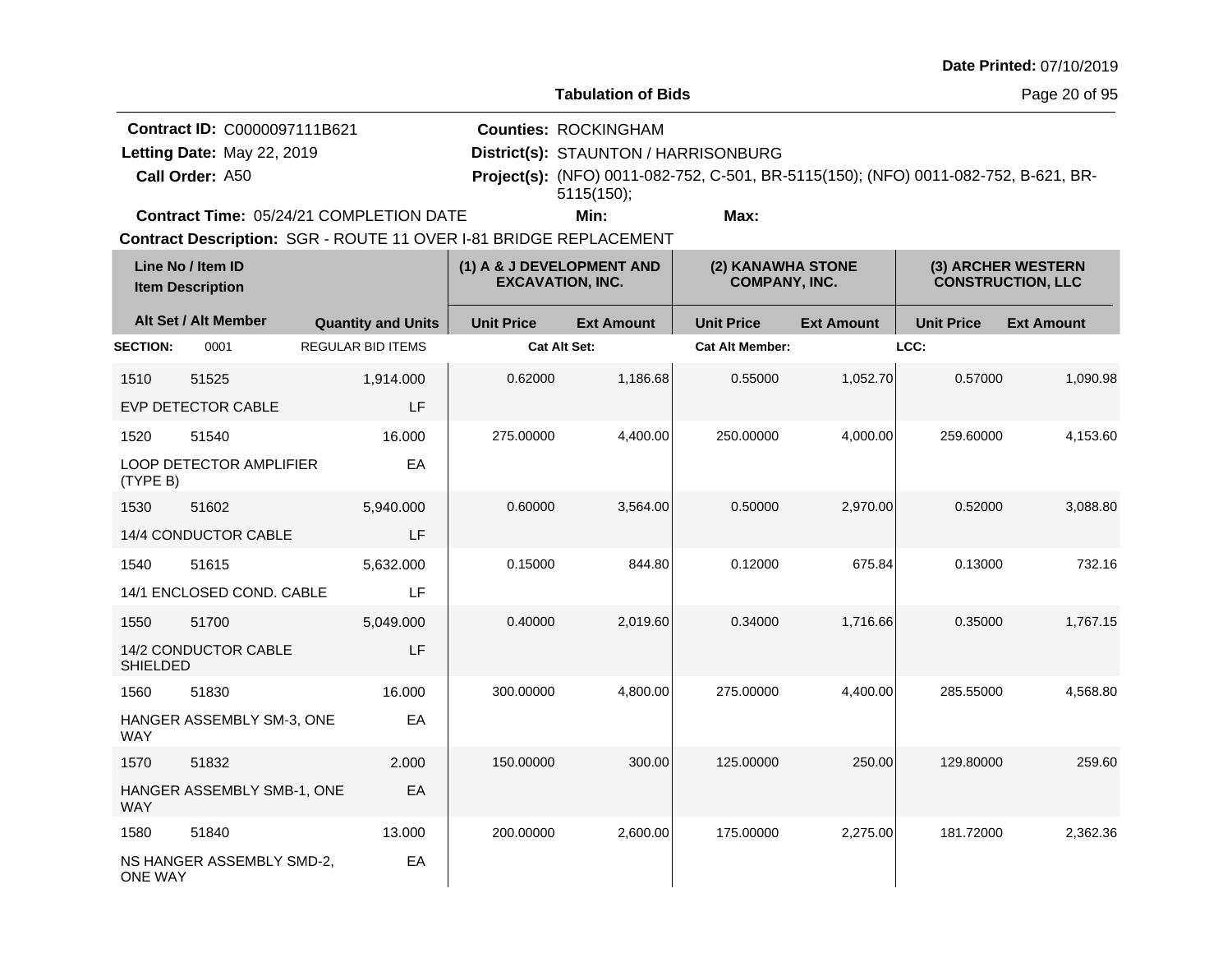**Tabulation of Bids**

Page 20 of 95

| <b>Contract ID: C0000097111B621</b>            | <b>Counties: ROCKINGHAM</b>          |                                                                                            |  |
|------------------------------------------------|--------------------------------------|--------------------------------------------------------------------------------------------|--|
| Letting Date: May 22, 2019                     | District(s): STAUNTON / HARRISONBURG |                                                                                            |  |
| Call Order: A50                                |                                      | <b>Project(s):</b> (NFO) 0011-082-752, C-501, BR-5115(150); (NFO) 0011-082-752, B-621, BR- |  |
|                                                | $5115(150)$ :                        |                                                                                            |  |
| <b>Contract Time: 05/24/21 COMPLETION DATE</b> | Min:                                 | Max:                                                                                       |  |

**Contract Time:** 05/24/21 COMPLETION DATE

| Line No / Item ID<br>(1) A & J DEVELOPMENT AND<br>(2) KANAWHA STONE<br><b>EXCAVATION, INC.</b><br><b>COMPANY, INC.</b><br><b>Item Description</b> |                            | (3) ARCHER WESTERN<br><b>CONSTRUCTION, LLC</b> |                     |                   |                        |                   |                   |                   |
|---------------------------------------------------------------------------------------------------------------------------------------------------|----------------------------|------------------------------------------------|---------------------|-------------------|------------------------|-------------------|-------------------|-------------------|
|                                                                                                                                                   | Alt Set / Alt Member       | <b>Quantity and Units</b>                      | <b>Unit Price</b>   | <b>Ext Amount</b> | <b>Unit Price</b>      | <b>Ext Amount</b> | <b>Unit Price</b> | <b>Ext Amount</b> |
| <b>SECTION:</b>                                                                                                                                   | 0001                       | <b>REGULAR BID ITEMS</b>                       | <b>Cat Alt Set:</b> |                   | <b>Cat Alt Member:</b> |                   | LCC:              |                   |
| 1510                                                                                                                                              | 51525                      | 1,914.000                                      | 0.62000             | 1,186.68          | 0.55000                | 1,052.70          | 0.57000           | 1,090.98          |
|                                                                                                                                                   | <b>EVP DETECTOR CABLE</b>  | LF                                             |                     |                   |                        |                   |                   |                   |
| 1520                                                                                                                                              | 51540                      | 16.000                                         | 275.00000           | 4,400.00          | 250.00000              | 4,000.00          | 259.60000         | 4,153.60          |
| (TYPE B)                                                                                                                                          | LOOP DETECTOR AMPLIFIER    | EA                                             |                     |                   |                        |                   |                   |                   |
| 1530                                                                                                                                              | 51602                      | 5,940.000                                      | 0.60000             | 3,564.00          | 0.50000                | 2,970.00          | 0.52000           | 3,088.80          |
|                                                                                                                                                   | 14/4 CONDUCTOR CABLE       | LF                                             |                     |                   |                        |                   |                   |                   |
| 1540                                                                                                                                              | 51615                      | 5,632.000                                      | 0.15000             | 844.80            | 0.12000                | 675.84            | 0.13000           | 732.16            |
|                                                                                                                                                   | 14/1 ENCLOSED COND. CABLE  | LF                                             |                     |                   |                        |                   |                   |                   |
| 1550                                                                                                                                              | 51700                      | 5,049.000                                      | 0.40000             | 2,019.60          | 0.34000                | 1,716.66          | 0.35000           | 1,767.15          |
| <b>SHIELDED</b>                                                                                                                                   | 14/2 CONDUCTOR CABLE       | LF                                             |                     |                   |                        |                   |                   |                   |
| 1560                                                                                                                                              | 51830                      | 16.000                                         | 300.00000           | 4,800.00          | 275.00000              | 4,400.00          | 285.55000         | 4,568.80          |
| <b>WAY</b>                                                                                                                                        | HANGER ASSEMBLY SM-3, ONE  | EA                                             |                     |                   |                        |                   |                   |                   |
| 1570                                                                                                                                              | 51832                      | 2.000                                          | 150.00000           | 300.00            | 125.00000              | 250.00            | 129.80000         | 259.60            |
| <b>WAY</b>                                                                                                                                        | HANGER ASSEMBLY SMB-1, ONE | EA                                             |                     |                   |                        |                   |                   |                   |
| 1580                                                                                                                                              | 51840                      | 13.000                                         | 200.00000           | 2,600.00          | 175.00000              | 2,275.00          | 181.72000         | 2,362.36          |
| <b>ONE WAY</b>                                                                                                                                    | NS HANGER ASSEMBLY SMD-2,  | EA                                             |                     |                   |                        |                   |                   |                   |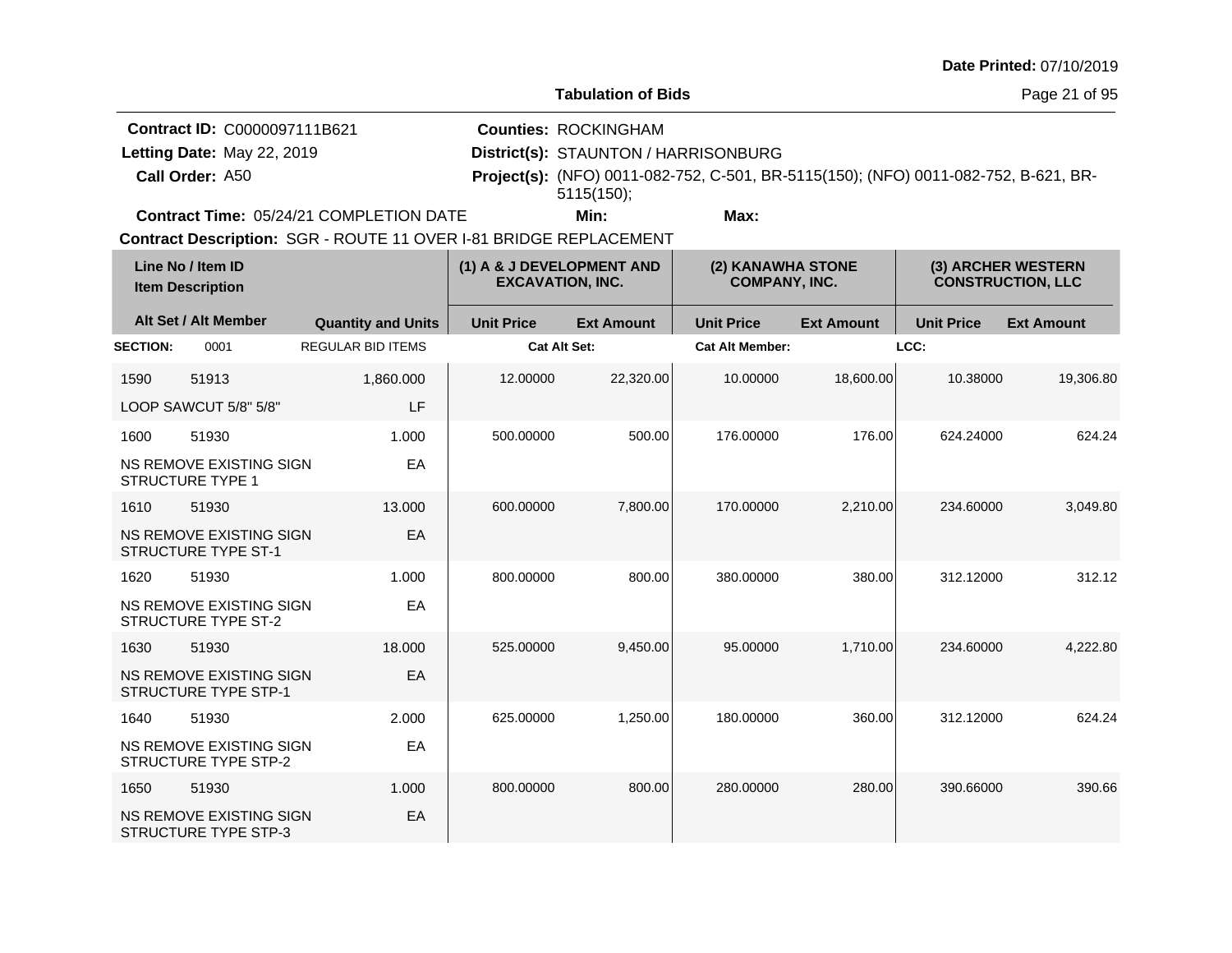**Tabulation of Bids**

Page 21 of 95

| <b>Contract ID: C0000097111B621</b>            | <b>Counties: ROCKINGHAM</b>          |                                                                                            |  |
|------------------------------------------------|--------------------------------------|--------------------------------------------------------------------------------------------|--|
| Letting Date: May 22, 2019                     | District(s): STAUNTON / HARRISONBURG |                                                                                            |  |
| Call Order: A50                                |                                      | <b>Project(s):</b> (NFO) 0011-082-752, C-501, BR-5115(150); (NFO) 0011-082-752, B-621, BR- |  |
|                                                | $5115(150)$ :                        |                                                                                            |  |
| <b>Contract Time: 05/24/21 COMPLETION DATE</b> | Min:                                 | Max:                                                                                       |  |

**Contract Time:** 05/24/21 COMPLETION DATE

|                 | Line No / Item ID<br><b>Item Description</b>                  |                           | (1) A & J DEVELOPMENT AND<br>(2) KANAWHA STONE<br><b>EXCAVATION, INC.</b><br><b>COMPANY, INC.</b> |                   |                        | (3) ARCHER WESTERN<br><b>CONSTRUCTION, LLC</b> |                   |                   |
|-----------------|---------------------------------------------------------------|---------------------------|---------------------------------------------------------------------------------------------------|-------------------|------------------------|------------------------------------------------|-------------------|-------------------|
|                 | Alt Set / Alt Member                                          | <b>Quantity and Units</b> | <b>Unit Price</b>                                                                                 | <b>Ext Amount</b> | <b>Unit Price</b>      | <b>Ext Amount</b>                              | <b>Unit Price</b> | <b>Ext Amount</b> |
| <b>SECTION:</b> | 0001                                                          | <b>REGULAR BID ITEMS</b>  | <b>Cat Alt Set:</b>                                                                               |                   | <b>Cat Alt Member:</b> |                                                | LCC:              |                   |
| 1590            | 51913                                                         | 1,860.000                 | 12.00000                                                                                          | 22,320.00         | 10.00000               | 18,600.00                                      | 10.38000          | 19,306.80         |
|                 | LOOP SAWCUT 5/8" 5/8"                                         | <b>LF</b>                 |                                                                                                   |                   |                        |                                                |                   |                   |
| 1600            | 51930                                                         | 1.000                     | 500.00000                                                                                         | 500.00            | 176.00000              | 176.00                                         | 624.24000         | 624.24            |
|                 | NS REMOVE EXISTING SIGN<br><b>STRUCTURE TYPE 1</b>            | EA                        |                                                                                                   |                   |                        |                                                |                   |                   |
| 1610            | 51930                                                         | 13.000                    | 600.00000                                                                                         | 7,800.00          | 170.00000              | 2,210.00                                       | 234.60000         | 3,049.80          |
|                 | <b>NS REMOVE EXISTING SIGN</b><br>STRUCTURE TYPE ST-1         | EA                        |                                                                                                   |                   |                        |                                                |                   |                   |
| 1620            | 51930                                                         | 1.000                     | 800.00000                                                                                         | 800.00            | 380.00000              | 380.00                                         | 312.12000         | 312.12            |
|                 | NS REMOVE EXISTING SIGN<br><b>STRUCTURE TYPE ST-2</b>         | EA                        |                                                                                                   |                   |                        |                                                |                   |                   |
| 1630            | 51930                                                         | 18,000                    | 525.00000                                                                                         | 9,450.00          | 95.00000               | 1,710.00                                       | 234.60000         | 4,222.80          |
|                 | <b>NS REMOVE EXISTING SIGN</b><br>STRUCTURE TYPE STP-1        | EA                        |                                                                                                   |                   |                        |                                                |                   |                   |
| 1640            | 51930                                                         | 2.000                     | 625.00000                                                                                         | 1,250.00          | 180.00000              | 360.00                                         | 312.12000         | 624.24            |
|                 | <b>NS REMOVE EXISTING SIGN</b><br><b>STRUCTURE TYPE STP-2</b> | EA                        |                                                                                                   |                   |                        |                                                |                   |                   |
| 1650            | 51930                                                         | 1.000                     | 800.00000                                                                                         | 800.00            | 280.00000              | 280.00                                         | 390.66000         | 390.66            |
|                 | NS REMOVE EXISTING SIGN<br>STRUCTURE TYPE STP-3               | EA                        |                                                                                                   |                   |                        |                                                |                   |                   |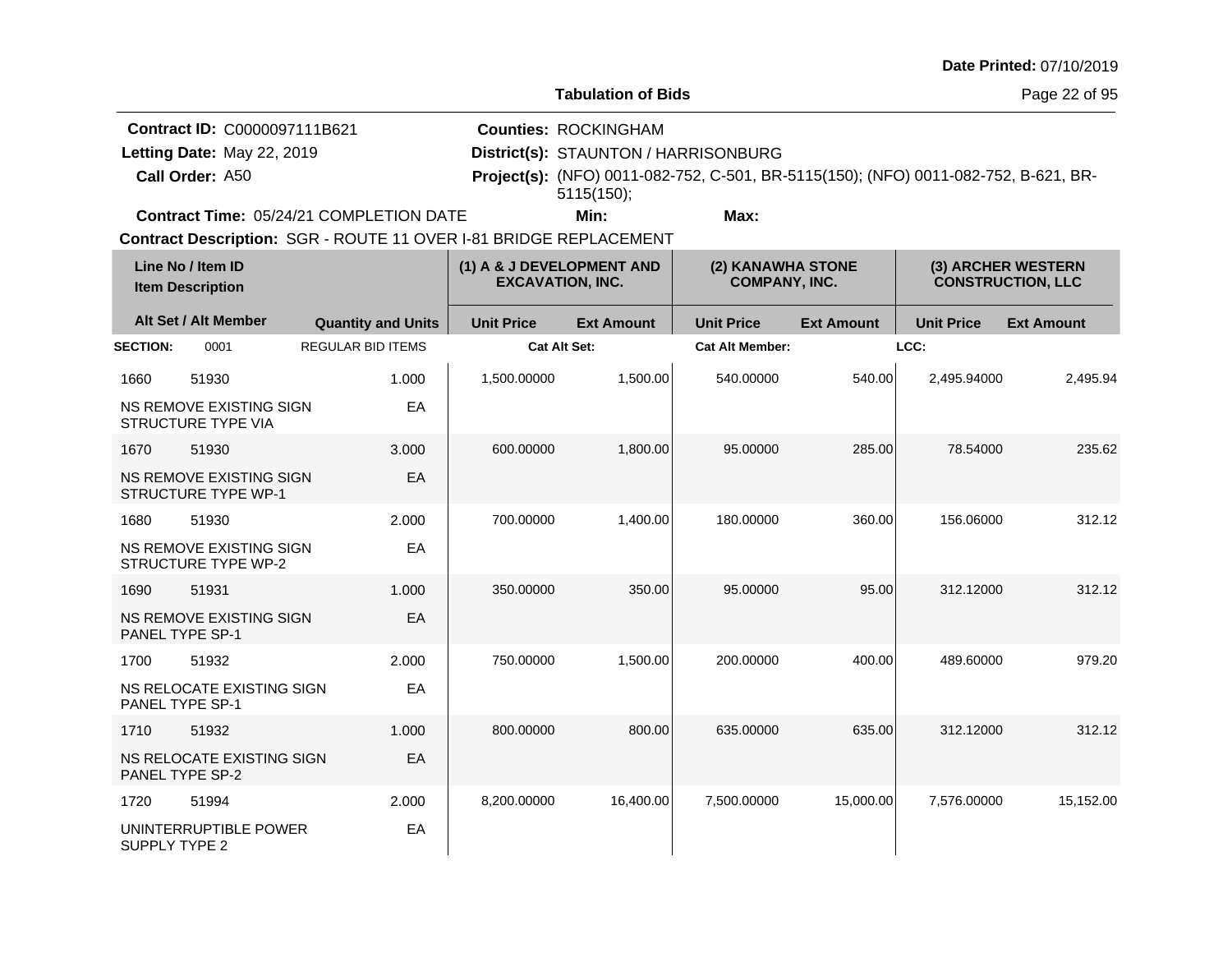**Tabulation of Bids**

Page 22 of 95

**Call Order: Letting Date:** May 22, 2019 **District(s): STAUNTON / HARRISONBURG Contract ID:** C0000097111B621 **Counties:** ROCKINGHAM A50 **Project(s):** (NFO) 0011-082-752, C-501, BR-5115(150); (NFO) 0011-082-752, B-621, BR-Letting Date: May 22, 2019 **Min: Max:** 5115(150);

**Contract Time:** 05/24/21 COMPLETION DATE

|                        | Line No / Item ID<br><b>Item Description</b>          |                           |                     | (1) A & J DEVELOPMENT AND<br><b>EXCAVATION, INC.</b> |                        | (2) KANAWHA STONE<br><b>COMPANY, INC.</b> |                   | (3) ARCHER WESTERN<br><b>CONSTRUCTION, LLC</b> |  |
|------------------------|-------------------------------------------------------|---------------------------|---------------------|------------------------------------------------------|------------------------|-------------------------------------------|-------------------|------------------------------------------------|--|
|                        | Alt Set / Alt Member                                  | <b>Quantity and Units</b> | <b>Unit Price</b>   | <b>Ext Amount</b>                                    | <b>Unit Price</b>      | <b>Ext Amount</b>                         | <b>Unit Price</b> | <b>Ext Amount</b>                              |  |
| <b>SECTION:</b>        | 0001                                                  | <b>REGULAR BID ITEMS</b>  | <b>Cat Alt Set:</b> |                                                      | <b>Cat Alt Member:</b> |                                           | LCC:              |                                                |  |
| 1660                   | 51930                                                 | 1.000                     | 1,500.00000         | 1,500.00                                             | 540.00000              | 540.00                                    | 2,495.94000       | 2,495.94                                       |  |
|                        | NS REMOVE EXISTING SIGN<br><b>STRUCTURE TYPE VIA</b>  | EA                        |                     |                                                      |                        |                                           |                   |                                                |  |
| 1670                   | 51930                                                 | 3.000                     | 600.00000           | 1,800.00                                             | 95.00000               | 285.00                                    | 78.54000          | 235.62                                         |  |
|                        | NS REMOVE EXISTING SIGN<br><b>STRUCTURE TYPE WP-1</b> | EA                        |                     |                                                      |                        |                                           |                   |                                                |  |
| 1680                   | 51930                                                 | 2.000                     | 700.00000           | 1,400.00                                             | 180.00000              | 360.00                                    | 156.06000         | 312.12                                         |  |
|                        | NS REMOVE EXISTING SIGN<br><b>STRUCTURE TYPE WP-2</b> | EA                        |                     |                                                      |                        |                                           |                   |                                                |  |
| 1690                   | 51931                                                 | 1.000                     | 350.00000           | 350.00                                               | 95.00000               | 95.00                                     | 312.12000         | 312.12                                         |  |
| <b>PANEL TYPE SP-1</b> | NS REMOVE EXISTING SIGN                               | EA                        |                     |                                                      |                        |                                           |                   |                                                |  |
| 1700                   | 51932                                                 | 2.000                     | 750.00000           | 1,500.00                                             | 200.00000              | 400.00                                    | 489.60000         | 979.20                                         |  |
| PANEL TYPE SP-1        | NS RELOCATE EXISTING SIGN                             | EA                        |                     |                                                      |                        |                                           |                   |                                                |  |
| 1710                   | 51932                                                 | 1.000                     | 800.00000           | 800.00                                               | 635.00000              | 635.00                                    | 312.12000         | 312.12                                         |  |
| PANEL TYPE SP-2        | NS RELOCATE EXISTING SIGN                             | EA                        |                     |                                                      |                        |                                           |                   |                                                |  |
| 1720                   | 51994                                                 | 2.000                     | 8,200.00000         | 16,400.00                                            | 7,500.00000            | 15,000.00                                 | 7,576.00000       | 15,152.00                                      |  |
| SUPPLY TYPE 2          | UNINTERRUPTIBLE POWER                                 | EA                        |                     |                                                      |                        |                                           |                   |                                                |  |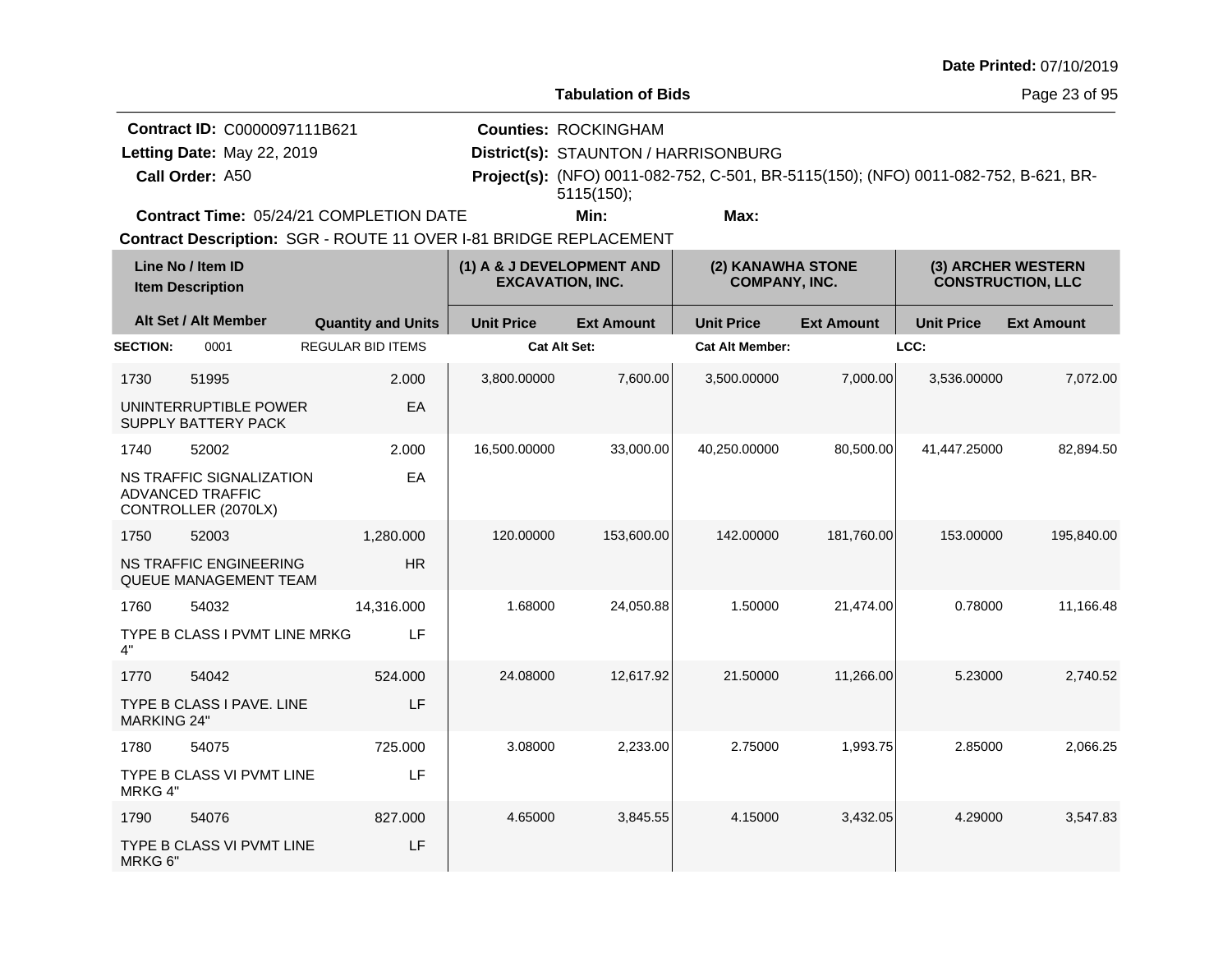**Tabulation of Bids**

Page 23 of 95

|                 | <b>Contract ID: C0000097111B621</b>            | <b>Counties: ROCKINGHAM</b>          |      |                                                                                            |  |
|-----------------|------------------------------------------------|--------------------------------------|------|--------------------------------------------------------------------------------------------|--|
|                 | Letting Date: May 22, 2019                     | District(s): STAUNTON / HARRISONBURG |      |                                                                                            |  |
| Call Order: A50 |                                                |                                      |      | <b>Project(s):</b> (NFO) 0011-082-752, C-501, BR-5115(150); (NFO) 0011-082-752, B-621, BR- |  |
|                 |                                                | 5115(150)                            |      |                                                                                            |  |
|                 | <b>Contract Time: 05/24/21 COMPLETION DATE</b> | Min:                                 | Max: |                                                                                            |  |

**Contract Time:** 05/24/21 COMPLETION DATE

| Line No / Item ID<br><b>Item Description</b> |                                                                            | (1) A & J DEVELOPMENT AND<br><b>EXCAVATION, INC.</b> |                     | (2) KANAWHA STONE<br><b>COMPANY, INC.</b> |                        | (3) ARCHER WESTERN<br><b>CONSTRUCTION, LLC</b> |                   |                   |
|----------------------------------------------|----------------------------------------------------------------------------|------------------------------------------------------|---------------------|-------------------------------------------|------------------------|------------------------------------------------|-------------------|-------------------|
|                                              | Alt Set / Alt Member                                                       | <b>Quantity and Units</b>                            | <b>Unit Price</b>   | <b>Ext Amount</b>                         | <b>Unit Price</b>      | <b>Ext Amount</b>                              | <b>Unit Price</b> | <b>Ext Amount</b> |
| <b>SECTION:</b>                              | 0001                                                                       | <b>REGULAR BID ITEMS</b>                             | <b>Cat Alt Set:</b> |                                           | <b>Cat Alt Member:</b> |                                                | LCC:              |                   |
| 1730                                         | 51995                                                                      | 2.000                                                | 3,800.00000         | 7,600.00                                  | 3,500.00000            | 7,000.00                                       | 3,536.00000       | 7,072.00          |
|                                              | UNINTERRUPTIBLE POWER<br>SUPPLY BATTERY PACK                               | EA                                                   |                     |                                           |                        |                                                |                   |                   |
| 1740                                         | 52002                                                                      | 2.000                                                | 16,500.00000        | 33,000.00                                 | 40,250.00000           | 80,500.00                                      | 41.447.25000      | 82.894.50         |
|                                              | NS TRAFFIC SIGNALIZATION<br><b>ADVANCED TRAFFIC</b><br>CONTROLLER (2070LX) | EA                                                   |                     |                                           |                        |                                                |                   |                   |
| 1750                                         | 52003                                                                      | 1,280.000                                            | 120.00000           | 153,600.00                                | 142,00000              | 181,760.00                                     | 153.00000         | 195,840.00        |
|                                              | <b>NS TRAFFIC ENGINEERING</b><br>QUEUE MANAGEMENT TEAM                     | <b>HR</b>                                            |                     |                                           |                        |                                                |                   |                   |
| 1760                                         | 54032                                                                      | 14,316.000                                           | 1.68000             | 24,050.88                                 | 1.50000                | 21,474.00                                      | 0.78000           | 11,166.48         |
| 4"                                           | TYPE B CLASS I PVMT LINE MRKG                                              | LF                                                   |                     |                                           |                        |                                                |                   |                   |
| 1770                                         | 54042                                                                      | 524.000                                              | 24.08000            | 12,617.92                                 | 21.50000               | 11,266.00                                      | 5.23000           | 2,740.52          |
| <b>MARKING 24"</b>                           | TYPE B CLASS I PAVE. LINE                                                  | LF                                                   |                     |                                           |                        |                                                |                   |                   |
| 1780                                         | 54075                                                                      | 725.000                                              | 3.08000             | 2,233.00                                  | 2.75000                | 1,993.75                                       | 2.85000           | 2.066.25          |
| MRKG 4"                                      | TYPE B CLASS VI PVMT LINE                                                  | LF                                                   |                     |                                           |                        |                                                |                   |                   |
| 1790                                         | 54076                                                                      | 827.000                                              | 4.65000             | 3,845.55                                  | 4.15000                | 3,432.05                                       | 4.29000           | 3,547.83          |
| MRKG 6"                                      | TYPE B CLASS VI PVMT LINE                                                  | LF                                                   |                     |                                           |                        |                                                |                   |                   |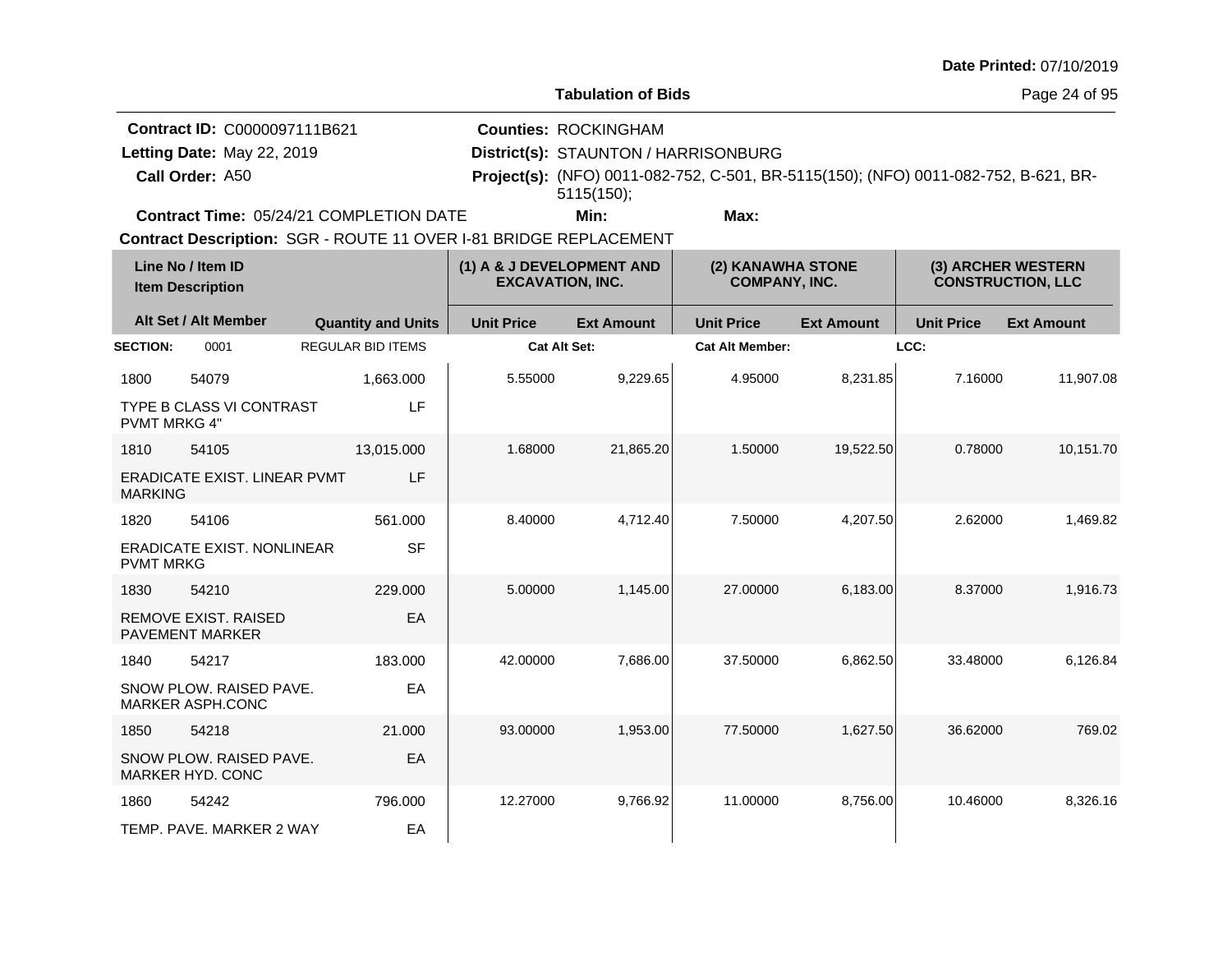**Tabulation of Bids**

**Call Order: Letting Date:** May 22, 2019 **District(s): STAUNTON / HARRISONBURG Contract ID:** C0000097111B621 **Counties:** ROCKINGHAM A50 **Project(s):** (NFO) 0011-082-752, C-501, BR-5115(150); (NFO) 0011-082-752, B-621, BR-Letting Date: May 22, 2019 **Min: Max:** 5115(150);

**Contract Time:** 05/24/21 COMPLETION DATE

| Line No / Item ID<br><b>Item Description</b> |                                                       |                           | (1) A & J DEVELOPMENT AND<br><b>EXCAVATION, INC.</b> |                     | (2) KANAWHA STONE<br><b>COMPANY, INC.</b> |                        | (3) ARCHER WESTERN<br><b>CONSTRUCTION, LLC</b> |                   |                   |
|----------------------------------------------|-------------------------------------------------------|---------------------------|------------------------------------------------------|---------------------|-------------------------------------------|------------------------|------------------------------------------------|-------------------|-------------------|
|                                              | Alt Set / Alt Member                                  | <b>Quantity and Units</b> |                                                      | <b>Unit Price</b>   | <b>Ext Amount</b>                         | <b>Unit Price</b>      | <b>Ext Amount</b>                              | <b>Unit Price</b> | <b>Ext Amount</b> |
| <b>SECTION:</b>                              | 0001                                                  | <b>REGULAR BID ITEMS</b>  |                                                      | <b>Cat Alt Set:</b> |                                           | <b>Cat Alt Member:</b> |                                                | LCC:              |                   |
| 1800                                         | 54079                                                 | 1,663.000                 |                                                      | 5.55000             | 9,229.65                                  | 4.95000                | 8,231.85                                       | 7.16000           | 11,907.08         |
| <b>PVMT MRKG 4"</b>                          | <b>TYPE B CLASS VI CONTRAST</b>                       |                           | LF                                                   |                     |                                           |                        |                                                |                   |                   |
| 1810                                         | 54105                                                 | 13,015.000                |                                                      | 1.68000             | 21,865.20                                 | 1.50000                | 19,522.50                                      | 0.78000           | 10,151.70         |
| <b>MARKING</b>                               | <b>ERADICATE EXIST. LINEAR PVMT</b>                   |                           | LF                                                   |                     |                                           |                        |                                                |                   |                   |
| 1820                                         | 54106                                                 | 561.000                   |                                                      | 8.40000             | 4,712.40                                  | 7.50000                | 4,207.50                                       | 2.62000           | 1.469.82          |
| <b>PVMT MRKG</b>                             | <b>ERADICATE EXIST, NONLINEAR</b>                     |                           | <b>SF</b>                                            |                     |                                           |                        |                                                |                   |                   |
| 1830                                         | 54210                                                 | 229.000                   |                                                      | 5.00000             | 1,145.00                                  | 27.00000               | 6,183.00                                       | 8.37000           | 1,916.73          |
|                                              | <b>REMOVE EXIST, RAISED</b><br><b>PAVEMENT MARKER</b> |                           | EA                                                   |                     |                                           |                        |                                                |                   |                   |
| 1840                                         | 54217                                                 | 183.000                   |                                                      | 42.00000            | 7,686.00                                  | 37.50000               | 6,862.50                                       | 33.48000          | 6,126.84          |
|                                              | SNOW PLOW. RAISED PAVE.<br>MARKER ASPH.CONC           |                           | EA                                                   |                     |                                           |                        |                                                |                   |                   |
| 1850                                         | 54218                                                 | 21.000                    |                                                      | 93.00000            | 1,953.00                                  | 77.50000               | 1,627.50                                       | 36.62000          | 769.02            |
|                                              | SNOW PLOW. RAISED PAVE.<br><b>MARKER HYD, CONC</b>    |                           | EA                                                   |                     |                                           |                        |                                                |                   |                   |
| 1860                                         | 54242                                                 | 796.000                   |                                                      | 12.27000            | 9,766.92                                  | 11.00000               | 8,756.00                                       | 10.46000          | 8,326.16          |
|                                              | TEMP. PAVE. MARKER 2 WAY                              |                           | EA                                                   |                     |                                           |                        |                                                |                   |                   |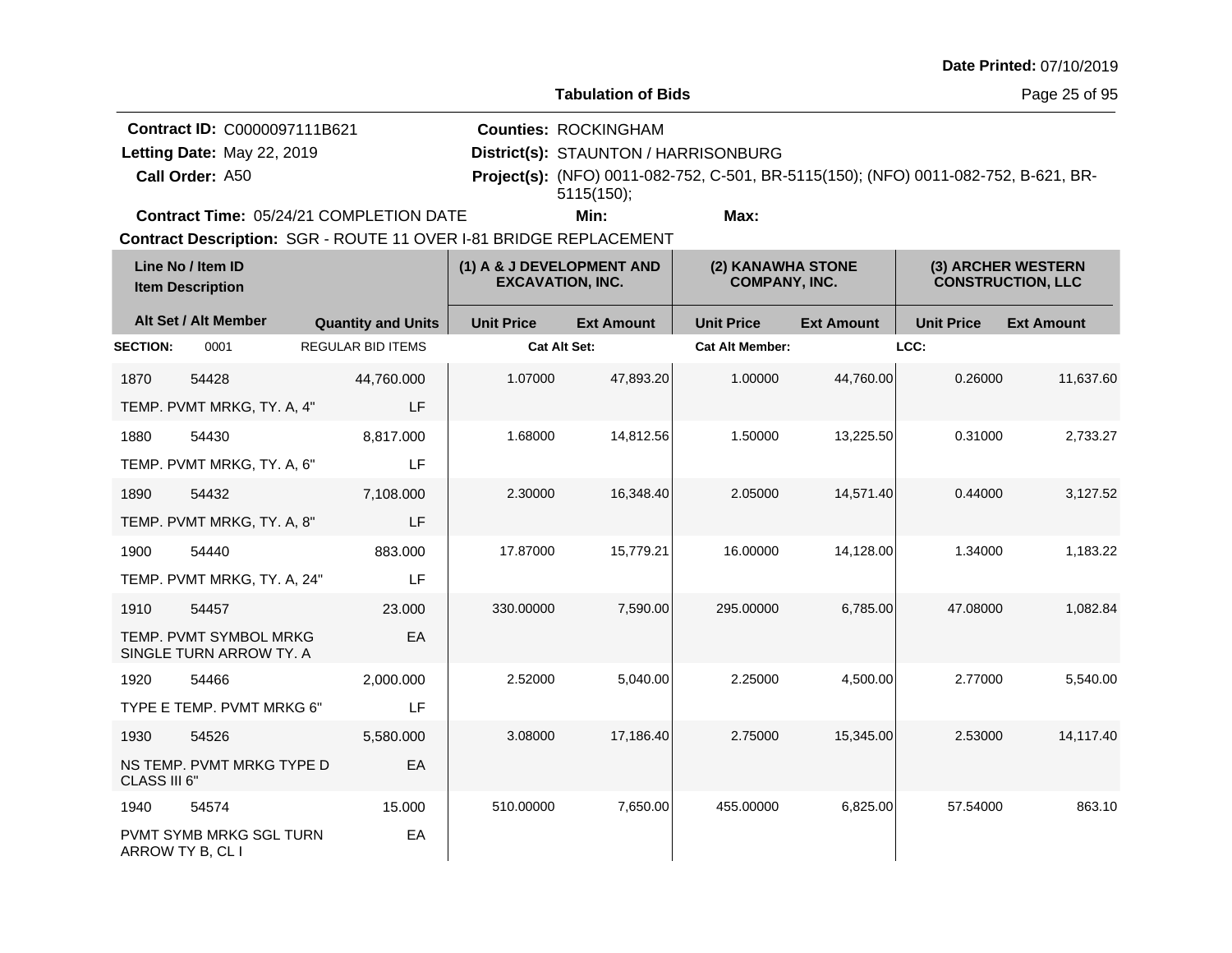**Tabulation of Bids**

**Counties:** ROCKINGHAM

**Contract ID:** C0000097111B621

Letting Date: May 22, 2019

**Call Order:**

**Letting Date:** May 22, 2019 **District(s): STAUNTON / HARRISONBURG** A50 **Project(s):** (NFO) 0011-082-752, C-501, BR-5115(150); (NFO) 0011-082-752, B-621, BR-5115(150);

**Contract Time:** 05/24/21 COMPLETION DATE

**Min: Max:**

| Line No / Item ID<br><b>Item Description</b> |                                                    | (1) A & J DEVELOPMENT AND<br><b>EXCAVATION, INC.</b> |                   | (2) KANAWHA STONE<br><b>COMPANY, INC.</b> |                        | (3) ARCHER WESTERN<br><b>CONSTRUCTION, LLC</b> |                   |                   |
|----------------------------------------------|----------------------------------------------------|------------------------------------------------------|-------------------|-------------------------------------------|------------------------|------------------------------------------------|-------------------|-------------------|
|                                              | Alt Set / Alt Member                               | <b>Quantity and Units</b>                            | <b>Unit Price</b> | <b>Ext Amount</b>                         | <b>Unit Price</b>      | <b>Ext Amount</b>                              | <b>Unit Price</b> | <b>Ext Amount</b> |
| <b>SECTION:</b>                              | 0001                                               | <b>REGULAR BID ITEMS</b>                             | Cat Alt Set:      |                                           | <b>Cat Alt Member:</b> |                                                | LCC:              |                   |
| 1870                                         | 54428                                              | 44,760.000                                           | 1.07000           | 47,893.20                                 | 1.00000                | 44,760.00                                      | 0.26000           | 11,637.60         |
|                                              | TEMP. PVMT MRKG, TY. A, 4"                         | LF                                                   |                   |                                           |                        |                                                |                   |                   |
| 1880                                         | 54430                                              | 8,817.000                                            | 1.68000           | 14,812.56                                 | 1.50000                | 13,225.50                                      | 0.31000           | 2,733.27          |
|                                              | TEMP. PVMT MRKG, TY. A, 6"                         | LF                                                   |                   |                                           |                        |                                                |                   |                   |
| 1890                                         | 54432                                              | 7,108.000                                            | 2.30000           | 16,348.40                                 | 2.05000                | 14,571.40                                      | 0.44000           | 3,127.52          |
|                                              | TEMP. PVMT MRKG, TY. A, 8"                         | LF                                                   |                   |                                           |                        |                                                |                   |                   |
| 1900                                         | 54440                                              | 883.000                                              | 17.87000          | 15,779.21                                 | 16.00000               | 14,128.00                                      | 1.34000           | 1,183.22          |
|                                              | TEMP. PVMT MRKG, TY. A, 24"                        | LF                                                   |                   |                                           |                        |                                                |                   |                   |
| 1910                                         | 54457                                              | 23,000                                               | 330.00000         | 7,590.00                                  | 295.00000              | 6,785.00                                       | 47.08000          | 1,082.84          |
|                                              | TEMP. PVMT SYMBOL MRKG<br>SINGLE TURN ARROW TY. A  | EA                                                   |                   |                                           |                        |                                                |                   |                   |
| 1920                                         | 54466                                              | 2,000.000                                            | 2.52000           | 5,040.00                                  | 2.25000                | 4,500.00                                       | 2.77000           | 5,540.00          |
|                                              | TYPE E TEMP. PVMT MRKG 6"                          | LF                                                   |                   |                                           |                        |                                                |                   |                   |
| 1930                                         | 54526                                              | 5,580.000                                            | 3.08000           | 17,186.40                                 | 2.75000                | 15,345.00                                      | 2.53000           | 14,117.40         |
| CLASS III 6"                                 | NS TEMP. PVMT MRKG TYPE D                          | EA                                                   |                   |                                           |                        |                                                |                   |                   |
| 1940                                         | 54574                                              | 15.000                                               | 510.00000         | 7,650.00                                  | 455.00000              | 6,825.00                                       | 57.54000          | 863.10            |
|                                              | <b>PVMT SYMB MRKG SGL TURN</b><br>ARROW TY B, CL I | EA                                                   |                   |                                           |                        |                                                |                   |                   |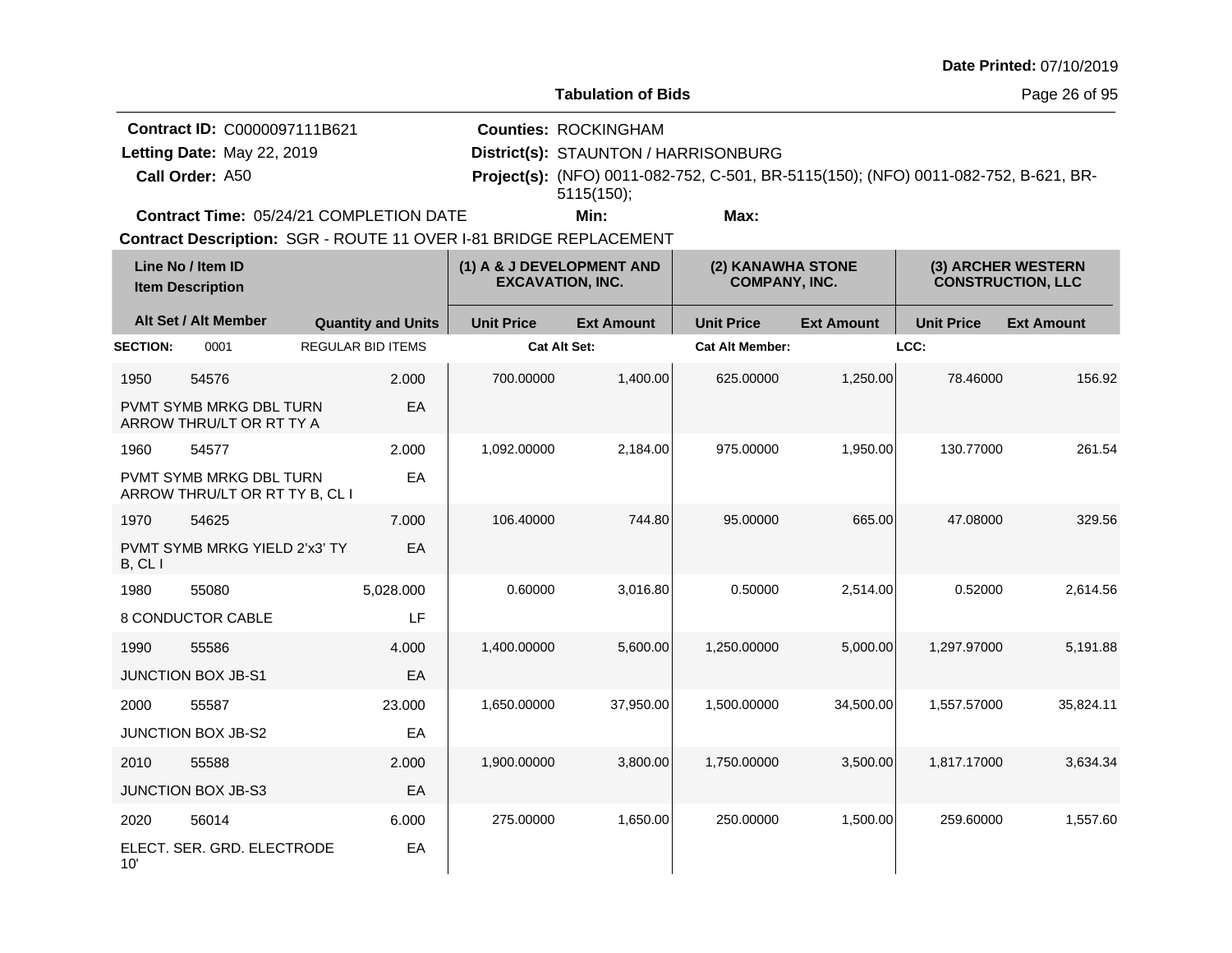**Tabulation of Bids**

Page 26 of 95

| <b>Contract ID: C0000097111B621</b>            | <b>Counties: ROCKINGHAM</b>          |                                                                                            |  |
|------------------------------------------------|--------------------------------------|--------------------------------------------------------------------------------------------|--|
| Letting Date: May 22, 2019                     | District(s): STAUNTON / HARRISONBURG |                                                                                            |  |
| Call Order: A50                                |                                      | <b>Project(s):</b> (NFO) 0011-082-752, C-501, BR-5115(150); (NFO) 0011-082-752, B-621, BR- |  |
|                                                | $5115(150)$ :                        |                                                                                            |  |
| <b>Contract Time: 05/24/21 COMPLETION DATE</b> | Min:                                 | Max:                                                                                       |  |

**Contract Time:** 05/24/21 COMPLETION DATE

| Line No / Item ID<br><b>Item Description</b> |                                                           |                           | (1) A & J DEVELOPMENT AND<br><b>EXCAVATION, INC.</b> |                   | (2) KANAWHA STONE<br><b>COMPANY, INC.</b> |                   | (3) ARCHER WESTERN<br><b>CONSTRUCTION, LLC</b> |                   |
|----------------------------------------------|-----------------------------------------------------------|---------------------------|------------------------------------------------------|-------------------|-------------------------------------------|-------------------|------------------------------------------------|-------------------|
|                                              | Alt Set / Alt Member                                      | <b>Quantity and Units</b> | <b>Unit Price</b>                                    | <b>Ext Amount</b> | <b>Unit Price</b>                         | <b>Ext Amount</b> | <b>Unit Price</b>                              | <b>Ext Amount</b> |
| <b>SECTION:</b>                              | 0001                                                      | <b>REGULAR BID ITEMS</b>  | <b>Cat Alt Set:</b>                                  |                   | <b>Cat Alt Member:</b>                    |                   | LCC:                                           |                   |
| 1950                                         | 54576                                                     | 2.000                     | 700.00000                                            | 1,400.00          | 625.00000                                 | 1,250.00          | 78.46000                                       | 156.92            |
|                                              | PVMT SYMB MRKG DBL TURN<br>ARROW THRU/LT OR RT TY A       | EA                        |                                                      |                   |                                           |                   |                                                |                   |
| 1960                                         | 54577                                                     | 2.000                     | 1,092.00000                                          | 2,184.00          | 975.00000                                 | 1,950.00          | 130.77000                                      | 261.54            |
|                                              | PVMT SYMB MRKG DBL TURN<br>ARROW THRU/LT OR RT TY B, CL I | EA                        |                                                      |                   |                                           |                   |                                                |                   |
| 1970                                         | 54625                                                     | 7.000                     | 106.40000                                            | 744.80            | 95.00000                                  | 665.00            | 47.08000                                       | 329.56            |
| B, CLI                                       | PVMT SYMB MRKG YIELD 2'x3' TY                             | EA                        |                                                      |                   |                                           |                   |                                                |                   |
| 1980                                         | 55080                                                     | 5,028.000                 | 0.60000                                              | 3.016.80          | 0.50000                                   | 2.514.00          | 0.52000                                        | 2.614.56          |
|                                              | 8 CONDUCTOR CABLE                                         | LF                        |                                                      |                   |                                           |                   |                                                |                   |
| 1990                                         | 55586                                                     | 4.000                     | 1,400.00000                                          | 5,600.00          | 1,250.00000                               | 5,000.00          | 1,297.97000                                    | 5,191.88          |
|                                              | JUNCTION BOX JB-S1                                        | EA                        |                                                      |                   |                                           |                   |                                                |                   |
| 2000                                         | 55587                                                     | 23.000                    | 1,650.00000                                          | 37,950.00         | 1,500.00000                               | 34,500.00         | 1,557.57000                                    | 35,824.11         |
|                                              | JUNCTION BOX JB-S2                                        | EA                        |                                                      |                   |                                           |                   |                                                |                   |
| 2010                                         | 55588                                                     | 2.000                     | 1,900.00000                                          | 3,800.00          | 1,750.00000                               | 3,500.00          | 1,817.17000                                    | 3.634.34          |
|                                              | <b>JUNCTION BOX JB-S3</b>                                 | EA                        |                                                      |                   |                                           |                   |                                                |                   |
| 2020                                         | 56014                                                     | 6.000                     | 275.00000                                            | 1,650.00          | 250.00000                                 | 1,500.00          | 259.60000                                      | 1,557.60          |
| 10'                                          | ELECT. SER. GRD. ELECTRODE                                | EA                        |                                                      |                   |                                           |                   |                                                |                   |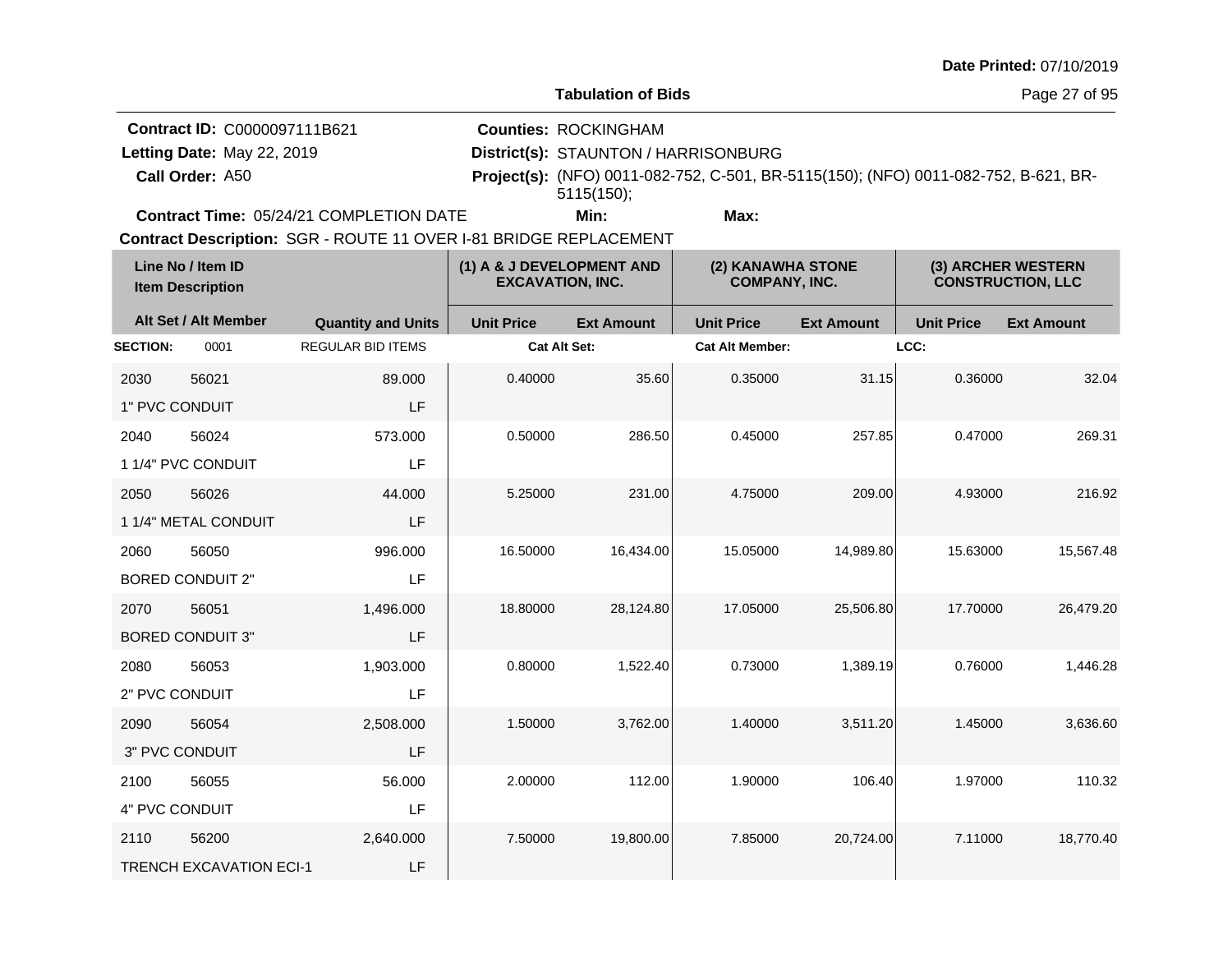**Tabulation of Bids**

**Counties:** ROCKINGHAM

**Contract ID:** C0000097111B621

Letting Date: May 22, 2019

**Call Order:**

**Letting Date:** May 22, 2019 **District(s): STAUNTON / HARRISONBURG** A50 **Project(s):** (NFO) 0011-082-752, C-501, BR-5115(150); (NFO) 0011-082-752, B-621, BR-5115(150);

**Contract Time:** 05/24/21 COMPLETION DATE

**Min: Max:**

| Line No / Item ID<br><b>Item Description</b> |                                | (1) A & J DEVELOPMENT AND<br><b>EXCAVATION, INC.</b> |                     | (2) KANAWHA STONE<br><b>COMPANY, INC.</b> |                        | (3) ARCHER WESTERN<br><b>CONSTRUCTION, LLC</b> |                   |                   |
|----------------------------------------------|--------------------------------|------------------------------------------------------|---------------------|-------------------------------------------|------------------------|------------------------------------------------|-------------------|-------------------|
|                                              | Alt Set / Alt Member           | <b>Quantity and Units</b>                            | <b>Unit Price</b>   | <b>Ext Amount</b>                         | <b>Unit Price</b>      | <b>Ext Amount</b>                              | <b>Unit Price</b> | <b>Ext Amount</b> |
| <b>SECTION:</b>                              | 0001                           | <b>REGULAR BID ITEMS</b>                             | <b>Cat Alt Set:</b> |                                           | <b>Cat Alt Member:</b> |                                                | LCC:              |                   |
| 2030                                         | 56021                          | 89.000                                               | 0.40000             | 35.60                                     | 0.35000                | 31.15                                          | 0.36000           | 32.04             |
| 1" PVC CONDUIT                               |                                | LF                                                   |                     |                                           |                        |                                                |                   |                   |
| 2040                                         | 56024                          | 573.000                                              | 0.50000             | 286.50                                    | 0.45000                | 257.85                                         | 0.47000           | 269.31            |
|                                              | 1 1/4" PVC CONDUIT             | LF                                                   |                     |                                           |                        |                                                |                   |                   |
| 2050                                         | 56026                          | 44.000                                               | 5.25000             | 231.00                                    | 4.75000                | 209.00                                         | 4.93000           | 216.92            |
|                                              | 1 1/4" METAL CONDUIT           | LF                                                   |                     |                                           |                        |                                                |                   |                   |
| 2060                                         | 56050                          | 996.000                                              | 16.50000            | 16,434.00                                 | 15.05000               | 14,989.80                                      | 15.63000          | 15,567.48         |
|                                              | <b>BORED CONDUIT 2"</b>        | LF                                                   |                     |                                           |                        |                                                |                   |                   |
| 2070                                         | 56051                          | 1,496.000                                            | 18.80000            | 28,124.80                                 | 17.05000               | 25,506.80                                      | 17.70000          | 26,479.20         |
|                                              | <b>BORED CONDUIT 3"</b>        | LF                                                   |                     |                                           |                        |                                                |                   |                   |
| 2080                                         | 56053                          | 1,903.000                                            | 0.80000             | 1,522.40                                  | 0.73000                | 1,389.19                                       | 0.76000           | 1,446.28          |
| 2" PVC CONDUIT                               |                                | LF                                                   |                     |                                           |                        |                                                |                   |                   |
| 2090                                         | 56054                          | 2,508.000                                            | 1.50000             | 3,762.00                                  | 1.40000                | 3,511.20                                       | 1.45000           | 3,636.60          |
| 3" PVC CONDUIT                               |                                | LF                                                   |                     |                                           |                        |                                                |                   |                   |
| 2100                                         | 56055                          | 56.000                                               | 2.00000             | 112.00                                    | 1.90000                | 106.40                                         | 1.97000           | 110.32            |
| 4" PVC CONDUIT                               |                                | LF                                                   |                     |                                           |                        |                                                |                   |                   |
| 2110                                         | 56200                          | 2,640.000                                            | 7.50000             | 19,800.00                                 | 7.85000                | 20,724.00                                      | 7.11000           | 18,770.40         |
|                                              | <b>TRENCH EXCAVATION ECI-1</b> | LF                                                   |                     |                                           |                        |                                                |                   |                   |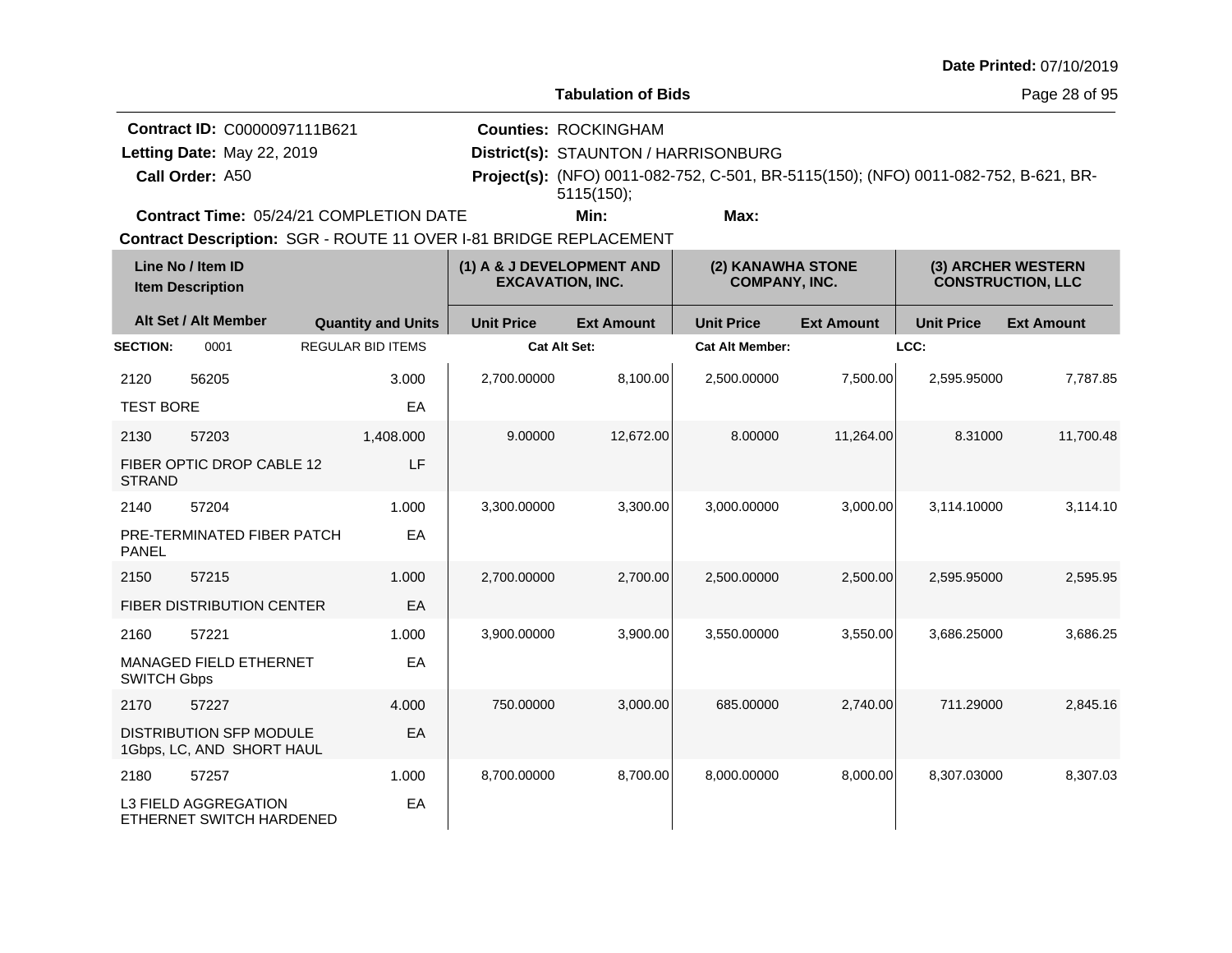**Tabulation of Bids**

**Contract ID:** C0000097111B621 **Counties:** ROCKINGHAM Letting Date: May 22, 2019

**Call Order:**

**Letting Date:** May 22, 2019 **District(s): STAUNTON / HARRISONBURG** A50 **Project(s):** (NFO) 0011-082-752, C-501, BR-5115(150); (NFO) 0011-082-752, B-621, BR-5115(150);

**Contract Time:** 05/24/21 COMPLETION DATE

**Min: Max:**

| Line No / Item ID<br><b>Item Description</b> |                                                             |                           | (1) A & J DEVELOPMENT AND<br><b>EXCAVATION, INC.</b> |                   | (2) KANAWHA STONE<br><b>COMPANY, INC.</b> |                   | (3) ARCHER WESTERN<br><b>CONSTRUCTION, LLC</b> |                   |
|----------------------------------------------|-------------------------------------------------------------|---------------------------|------------------------------------------------------|-------------------|-------------------------------------------|-------------------|------------------------------------------------|-------------------|
|                                              | Alt Set / Alt Member                                        | <b>Quantity and Units</b> | <b>Unit Price</b>                                    | <b>Ext Amount</b> | <b>Unit Price</b>                         | <b>Ext Amount</b> | <b>Unit Price</b>                              | <b>Ext Amount</b> |
| <b>SECTION:</b>                              | 0001                                                        | <b>REGULAR BID ITEMS</b>  | <b>Cat Alt Set:</b>                                  |                   | <b>Cat Alt Member:</b>                    |                   | LCC:                                           |                   |
| 2120                                         | 56205                                                       | 3.000                     | 2,700.00000                                          | 8,100.00          | 2,500.00000                               | 7,500.00          | 2,595.95000                                    | 7,787.85          |
| <b>TEST BORE</b>                             |                                                             | EA                        |                                                      |                   |                                           |                   |                                                |                   |
| 2130                                         | 57203                                                       | 1,408.000                 | 9.00000                                              | 12,672.00         | 8.00000                                   | 11,264.00         | 8.31000                                        | 11.700.48         |
| <b>STRAND</b>                                | FIBER OPTIC DROP CABLE 12                                   | LF                        |                                                      |                   |                                           |                   |                                                |                   |
| 2140                                         | 57204                                                       | 1.000                     | 3,300.00000                                          | 3,300.00          | 3,000.00000                               | 3,000.00          | 3.114.10000                                    | 3,114.10          |
| <b>PANEL</b>                                 | PRE-TERMINATED FIBER PATCH                                  | EA                        |                                                      |                   |                                           |                   |                                                |                   |
| 2150                                         | 57215                                                       | 1.000                     | 2,700.00000                                          | 2,700.00          | 2,500.00000                               | 2,500.00          | 2,595.95000                                    | 2,595.95          |
|                                              | <b>FIBER DISTRIBUTION CENTER</b>                            | EA                        |                                                      |                   |                                           |                   |                                                |                   |
| 2160                                         | 57221                                                       | 1.000                     | 3,900.00000                                          | 3,900.00          | 3,550.00000                               | 3,550.00          | 3,686.25000                                    | 3,686.25          |
| <b>SWITCH Gbps</b>                           | <b>MANAGED FIELD ETHERNET</b>                               | EA                        |                                                      |                   |                                           |                   |                                                |                   |
| 2170                                         | 57227                                                       | 4.000                     | 750.00000                                            | 3,000.00          | 685.00000                                 | 2,740.00          | 711.29000                                      | 2,845.16          |
|                                              | <b>DISTRIBUTION SFP MODULE</b><br>1Gbps, LC, AND SHORT HAUL | EA                        |                                                      |                   |                                           |                   |                                                |                   |
| 2180                                         | 57257                                                       | 1.000                     | 8,700.00000                                          | 8,700.00          | 8,000.00000                               | 8,000.00          | 8,307.03000                                    | 8,307.03          |
|                                              | <b>L3 FIELD AGGREGATION</b><br>ETHERNET SWITCH HARDENED     | EA                        |                                                      |                   |                                           |                   |                                                |                   |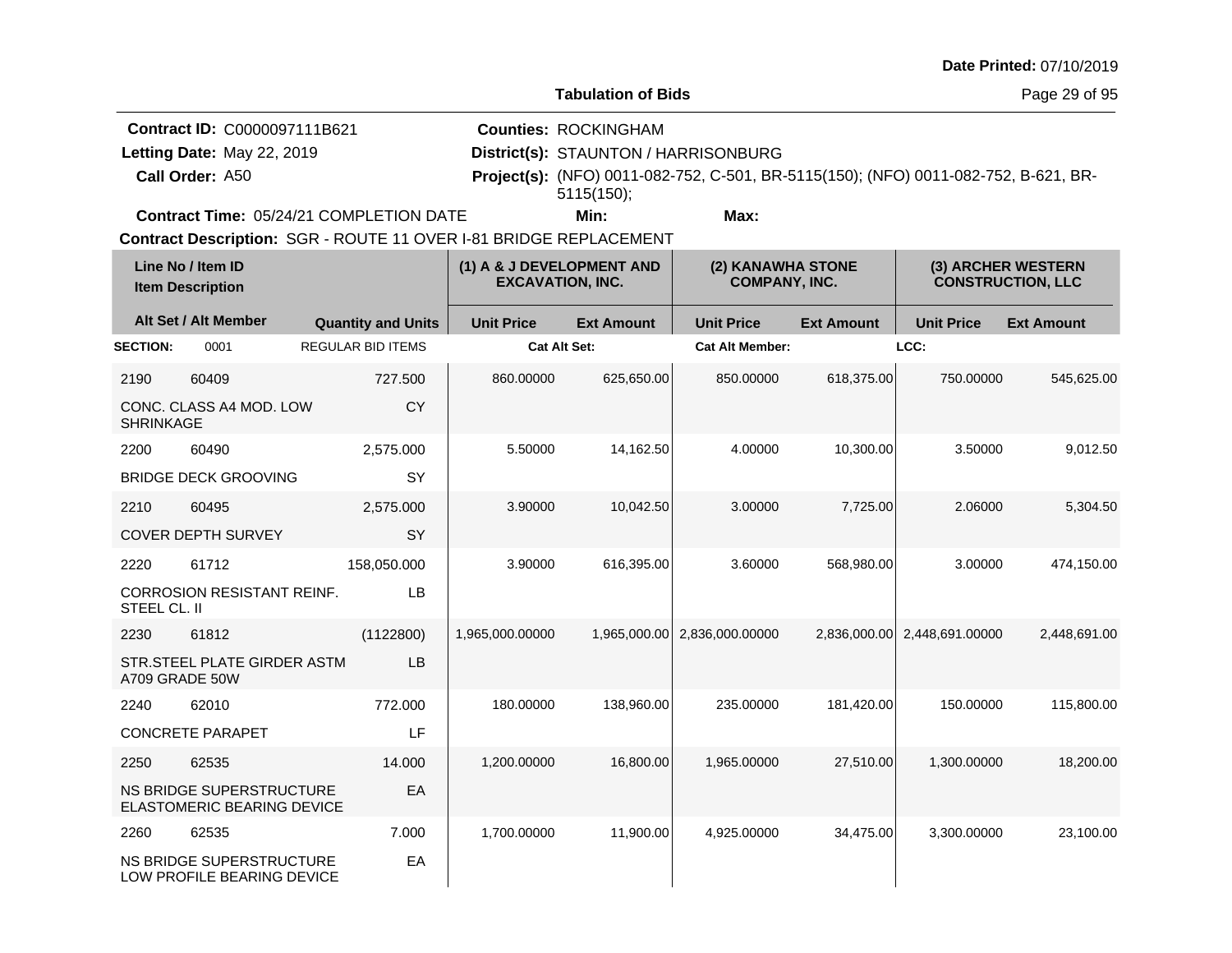**Tabulation of Bids**

Page 29 of 95

| <b>Contract ID: C0000097111B621</b>            | <b>Counties: ROCKINGHAM</b>          |                                                                                            |  |
|------------------------------------------------|--------------------------------------|--------------------------------------------------------------------------------------------|--|
| Letting Date: May 22, 2019                     | District(s): STAUNTON / HARRISONBURG |                                                                                            |  |
| Call Order: A50                                |                                      | <b>Project(s):</b> (NFO) 0011-082-752, C-501, BR-5115(150); (NFO) 0011-082-752, B-621, BR- |  |
|                                                | $5115(150)$ :                        |                                                                                            |  |
| <b>Contract Time: 05/24/21 COMPLETION DATE</b> | Min:                                 | Max:                                                                                       |  |

**Contract Time:** 05/24/21 COMPLETION DATE

| Line No / Item ID<br><b>Item Description</b> |                                                               |                           | (1) A & J DEVELOPMENT AND<br><b>EXCAVATION, INC.</b> |                   | (2) KANAWHA STONE<br><b>COMPANY, INC.</b> |                   | (3) ARCHER WESTERN<br><b>CONSTRUCTION, LLC</b> |                   |
|----------------------------------------------|---------------------------------------------------------------|---------------------------|------------------------------------------------------|-------------------|-------------------------------------------|-------------------|------------------------------------------------|-------------------|
|                                              | Alt Set / Alt Member                                          | <b>Quantity and Units</b> | <b>Unit Price</b>                                    | <b>Ext Amount</b> | <b>Unit Price</b>                         | <b>Ext Amount</b> | <b>Unit Price</b>                              | <b>Ext Amount</b> |
| <b>SECTION:</b>                              | 0001                                                          | <b>REGULAR BID ITEMS</b>  | <b>Cat Alt Set:</b>                                  |                   | <b>Cat Alt Member:</b>                    |                   | LCC:                                           |                   |
| 2190                                         | 60409                                                         | 727.500                   | 860.00000                                            | 625,650.00        | 850.00000                                 | 618,375.00        | 750.00000                                      | 545,625.00        |
| <b>SHRINKAGE</b>                             | CONC. CLASS A4 MOD. LOW                                       | <b>CY</b>                 |                                                      |                   |                                           |                   |                                                |                   |
| 2200                                         | 60490                                                         | 2,575.000                 | 5.50000                                              | 14,162.50         | 4.00000                                   | 10,300.00         | 3.50000                                        | 9,012.50          |
|                                              | <b>BRIDGE DECK GROOVING</b>                                   | SY                        |                                                      |                   |                                           |                   |                                                |                   |
| 2210                                         | 60495                                                         | 2,575.000                 | 3.90000                                              | 10,042.50         | 3.00000                                   | 7,725.00          | 2.06000                                        | 5,304.50          |
|                                              | <b>COVER DEPTH SURVEY</b>                                     | SY                        |                                                      |                   |                                           |                   |                                                |                   |
| 2220                                         | 61712                                                         | 158,050.000               | 3.90000                                              | 616,395.00        | 3.60000                                   | 568,980.00        | 3.00000                                        | 474,150.00        |
| STEEL CL. II                                 | <b>CORROSION RESISTANT REINF.</b>                             | <b>LB</b>                 |                                                      |                   |                                           |                   |                                                |                   |
| 2230                                         | 61812                                                         | (1122800)                 | 1,965,000.00000                                      | 1,965,000.00      | 2,836,000.00000                           | 2,836,000.00      | 2,448,691.00000                                | 2,448,691.00      |
| A709 GRADE 50W                               | STR.STEEL PLATE GIRDER ASTM                                   | <b>LB</b>                 |                                                      |                   |                                           |                   |                                                |                   |
| 2240                                         | 62010                                                         | 772.000                   | 180.00000                                            | 138,960.00        | 235.00000                                 | 181,420.00        | 150.00000                                      | 115,800.00        |
|                                              | <b>CONCRETE PARAPET</b>                                       | LF                        |                                                      |                   |                                           |                   |                                                |                   |
| 2250                                         | 62535                                                         | 14.000                    | 1,200.00000                                          | 16,800.00         | 1,965.00000                               | 27,510.00         | 1.300.00000                                    | 18,200.00         |
|                                              | NS BRIDGE SUPERSTRUCTURE<br><b>ELASTOMERIC BEARING DEVICE</b> | EA                        |                                                      |                   |                                           |                   |                                                |                   |
| 2260                                         | 62535                                                         | 7.000                     | 1,700.00000                                          | 11,900.00         | 4,925.00000                               | 34,475.00         | 3,300.00000                                    | 23,100.00         |
|                                              | <b>NS BRIDGE SUPERSTRUCTURE</b><br>LOW PROFILE BEARING DEVICE | EA                        |                                                      |                   |                                           |                   |                                                |                   |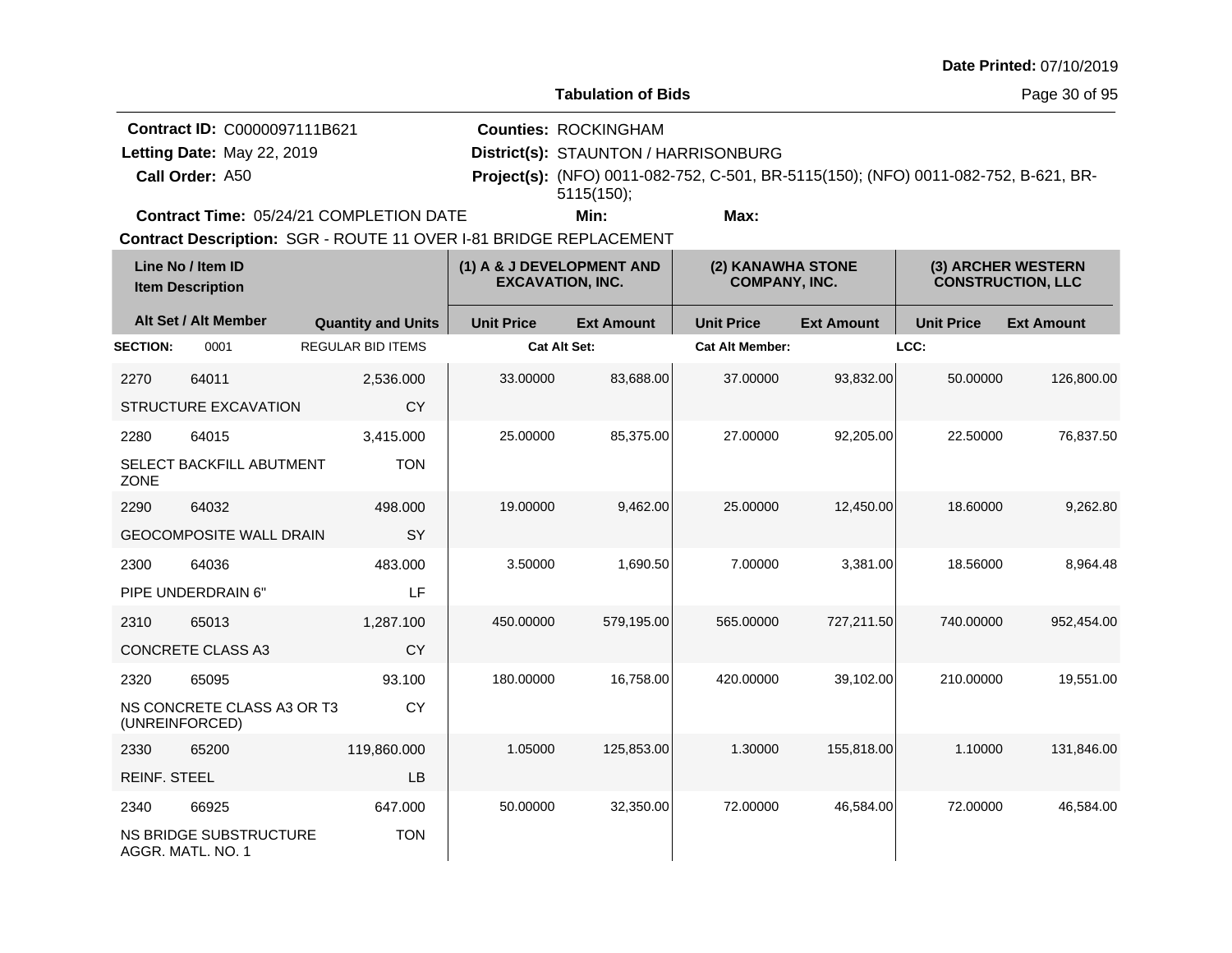**Tabulation of Bids**

Page 30 of 95

| <b>Contract ID: C0000097111B621</b>            | <b>Counties: ROCKINGHAM</b>          |                                                                                            |  |
|------------------------------------------------|--------------------------------------|--------------------------------------------------------------------------------------------|--|
| Letting Date: May 22, 2019                     | District(s): STAUNTON / HARRISONBURG |                                                                                            |  |
| Call Order: A50                                |                                      | <b>Project(s):</b> (NFO) 0011-082-752, C-501, BR-5115(150); (NFO) 0011-082-752, B-621, BR- |  |
|                                                | $5115(150)$ :                        |                                                                                            |  |
| <b>Contract Time: 05/24/21 COMPLETION DATE</b> | Min:                                 | Max:                                                                                       |  |

**Contract Time:** 05/24/21 COMPLETION DATE

| Line No / Item ID<br><b>Item Description</b> |                                                    | (1) A & J DEVELOPMENT AND<br><b>EXCAVATION, INC.</b> |                     | (2) KANAWHA STONE<br><b>COMPANY, INC.</b> |                        | (3) ARCHER WESTERN<br><b>CONSTRUCTION, LLC</b> |                   |                   |
|----------------------------------------------|----------------------------------------------------|------------------------------------------------------|---------------------|-------------------------------------------|------------------------|------------------------------------------------|-------------------|-------------------|
|                                              | Alt Set / Alt Member                               | <b>Quantity and Units</b>                            | <b>Unit Price</b>   | <b>Ext Amount</b>                         | <b>Unit Price</b>      | <b>Ext Amount</b>                              | <b>Unit Price</b> | <b>Ext Amount</b> |
| <b>SECTION:</b>                              | 0001                                               | <b>REGULAR BID ITEMS</b>                             | <b>Cat Alt Set:</b> |                                           | <b>Cat Alt Member:</b> |                                                | LCC:              |                   |
| 2270                                         | 64011                                              | 2,536.000                                            | 33.00000            | 83,688.00                                 | 37.00000               | 93,832.00                                      | 50.00000          | 126,800.00        |
|                                              | <b>STRUCTURE EXCAVATION</b>                        | CY                                                   |                     |                                           |                        |                                                |                   |                   |
| 2280                                         | 64015                                              | 3,415.000                                            | 25.00000            | 85,375.00                                 | 27.00000               | 92,205.00                                      | 22.50000          | 76,837.50         |
| <b>ZONE</b>                                  | SELECT BACKFILL ABUTMENT                           | <b>TON</b>                                           |                     |                                           |                        |                                                |                   |                   |
| 2290                                         | 64032                                              | 498,000                                              | 19.00000            | 9,462.00                                  | 25.00000               | 12,450.00                                      | 18.60000          | 9,262.80          |
|                                              | <b>GEOCOMPOSITE WALL DRAIN</b>                     | SY                                                   |                     |                                           |                        |                                                |                   |                   |
| 2300                                         | 64036                                              | 483.000                                              | 3.50000             | 1,690.50                                  | 7.00000                | 3,381.00                                       | 18.56000          | 8,964.48          |
|                                              | PIPE UNDERDRAIN 6"                                 | LF                                                   |                     |                                           |                        |                                                |                   |                   |
| 2310                                         | 65013                                              | 1,287.100                                            | 450.00000           | 579,195.00                                | 565.00000              | 727,211.50                                     | 740.00000         | 952,454.00        |
|                                              | <b>CONCRETE CLASS A3</b>                           | <b>CY</b>                                            |                     |                                           |                        |                                                |                   |                   |
| 2320                                         | 65095                                              | 93.100                                               | 180.00000           | 16,758.00                                 | 420.00000              | 39,102.00                                      | 210.00000         | 19,551.00         |
|                                              | NS CONCRETE CLASS A3 OR T3<br>(UNREINFORCED)       | CY                                                   |                     |                                           |                        |                                                |                   |                   |
| 2330                                         | 65200                                              | 119,860.000                                          | 1.05000             | 125,853.00                                | 1.30000                | 155,818.00                                     | 1.10000           | 131,846.00        |
| <b>REINF. STEEL</b>                          |                                                    | LB                                                   |                     |                                           |                        |                                                |                   |                   |
| 2340                                         | 66925                                              | 647.000                                              | 50.00000            | 32,350.00                                 | 72.00000               | 46,584.00                                      | 72.00000          | 46,584.00         |
|                                              | <b>NS BRIDGE SUBSTRUCTURE</b><br>AGGR. MATL. NO. 1 | <b>TON</b>                                           |                     |                                           |                        |                                                |                   |                   |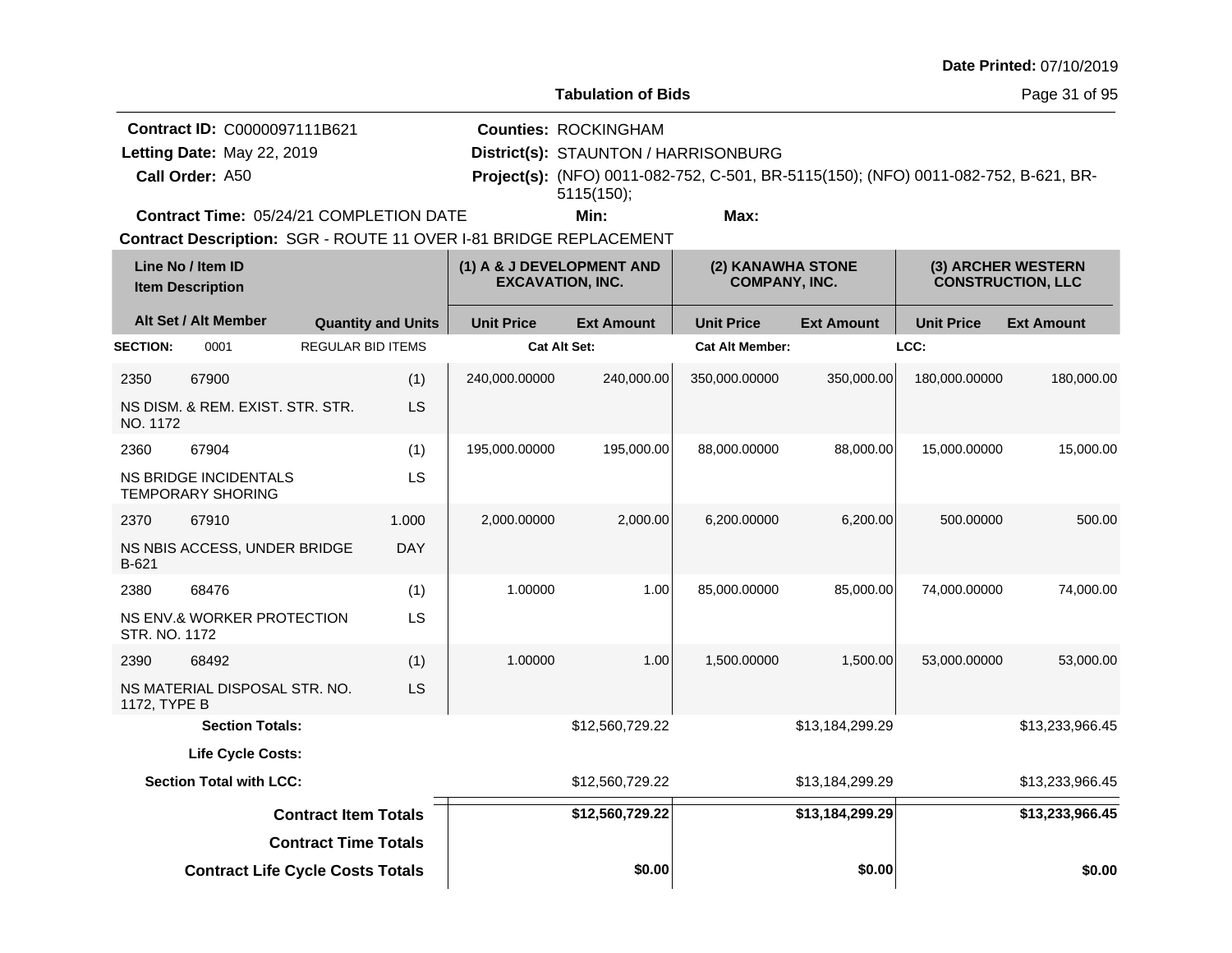**Tabulation of Bids**

Page 31 of 95

|                 | <b>Contract ID: C0000097111B621</b>            | <b>Counties: ROCKINGHAM</b>          |      |                                                                                            |  |
|-----------------|------------------------------------------------|--------------------------------------|------|--------------------------------------------------------------------------------------------|--|
|                 | Letting Date: May 22, 2019                     | District(s): STAUNTON / HARRISONBURG |      |                                                                                            |  |
| Call Order: A50 |                                                |                                      |      | <b>Project(s):</b> (NFO) 0011-082-752, C-501, BR-5115(150); (NFO) 0011-082-752, B-621, BR- |  |
|                 |                                                | $5115(150)$ :                        |      |                                                                                            |  |
|                 | <b>Contract Time: 05/24/21 COMPLETION DATE</b> | Min:                                 | Max: |                                                                                            |  |

**Contract Time:** 05/24/21 COMPLETION DATE

|                 | Line No / Item ID<br><b>Item Description</b>             |                             |                           |                     | (1) A & J DEVELOPMENT AND<br><b>EXCAVATION, INC.</b> |                        | (2) KANAWHA STONE<br><b>COMPANY, INC.</b> |                   | (3) ARCHER WESTERN<br><b>CONSTRUCTION, LLC</b> |
|-----------------|----------------------------------------------------------|-----------------------------|---------------------------|---------------------|------------------------------------------------------|------------------------|-------------------------------------------|-------------------|------------------------------------------------|
|                 | Alt Set / Alt Member                                     |                             | <b>Quantity and Units</b> | <b>Unit Price</b>   | <b>Ext Amount</b>                                    | <b>Unit Price</b>      | <b>Ext Amount</b>                         | <b>Unit Price</b> | <b>Ext Amount</b>                              |
| <b>SECTION:</b> | 0001                                                     | <b>REGULAR BID ITEMS</b>    |                           | <b>Cat Alt Set:</b> |                                                      | <b>Cat Alt Member:</b> |                                           | LCC:              |                                                |
| 2350            | 67900                                                    |                             | (1)                       | 240,000.00000       | 240,000.00                                           | 350,000.00000          | 350,000.00                                | 180,000.00000     | 180,000.00                                     |
| NO. 1172        | NS DISM, & REM, EXIST, STR, STR.                         |                             | LS                        |                     |                                                      |                        |                                           |                   |                                                |
| 2360            | 67904                                                    |                             | (1)                       | 195,000.00000       | 195,000.00                                           | 88,000.00000           | 88,000.00                                 | 15,000.00000      | 15,000.00                                      |
|                 | <b>NS BRIDGE INCIDENTALS</b><br><b>TEMPORARY SHORING</b> |                             | LS                        |                     |                                                      |                        |                                           |                   |                                                |
| 2370            | 67910                                                    |                             | 1.000                     | 2,000.00000         | 2,000.00                                             | 6,200.00000            | 6,200.00                                  | 500.00000         | 500.00                                         |
| B-621           | NS NBIS ACCESS, UNDER BRIDGE                             |                             | <b>DAY</b>                |                     |                                                      |                        |                                           |                   |                                                |
| 2380            | 68476                                                    |                             | (1)                       | 1.00000             | 1.00                                                 | 85,000.00000           | 85,000.00                                 | 74,000.00000      | 74,000.00                                      |
| STR. NO. 1172   | NS ENV.& WORKER PROTECTION                               |                             | <b>LS</b>                 |                     |                                                      |                        |                                           |                   |                                                |
| 2390            | 68492                                                    |                             | (1)                       | 1.00000             | 1.00                                                 | 1.500.00000            | 1.500.00                                  | 53,000.00000      | 53,000.00                                      |
| 1172, TYPE B    | NS MATERIAL DISPOSAL STR. NO.                            |                             | LS                        |                     |                                                      |                        |                                           |                   |                                                |
|                 | <b>Section Totals:</b>                                   |                             |                           |                     | \$12,560,729.22                                      |                        | \$13,184,299.29                           |                   | \$13,233,966.45                                |
|                 | Life Cycle Costs:                                        |                             |                           |                     |                                                      |                        |                                           |                   |                                                |
|                 | <b>Section Total with LCC:</b>                           |                             |                           |                     | \$12,560,729.22                                      |                        | \$13,184,299.29                           |                   | \$13,233,966.45                                |
|                 |                                                          | <b>Contract Item Totals</b> |                           |                     | \$12,560,729.22                                      |                        | \$13,184,299.29                           |                   | \$13,233,966.45                                |
|                 |                                                          | <b>Contract Time Totals</b> |                           |                     |                                                      |                        |                                           |                   |                                                |
|                 | <b>Contract Life Cycle Costs Totals</b>                  |                             |                           |                     | \$0.00                                               |                        | \$0.00                                    |                   | \$0.00                                         |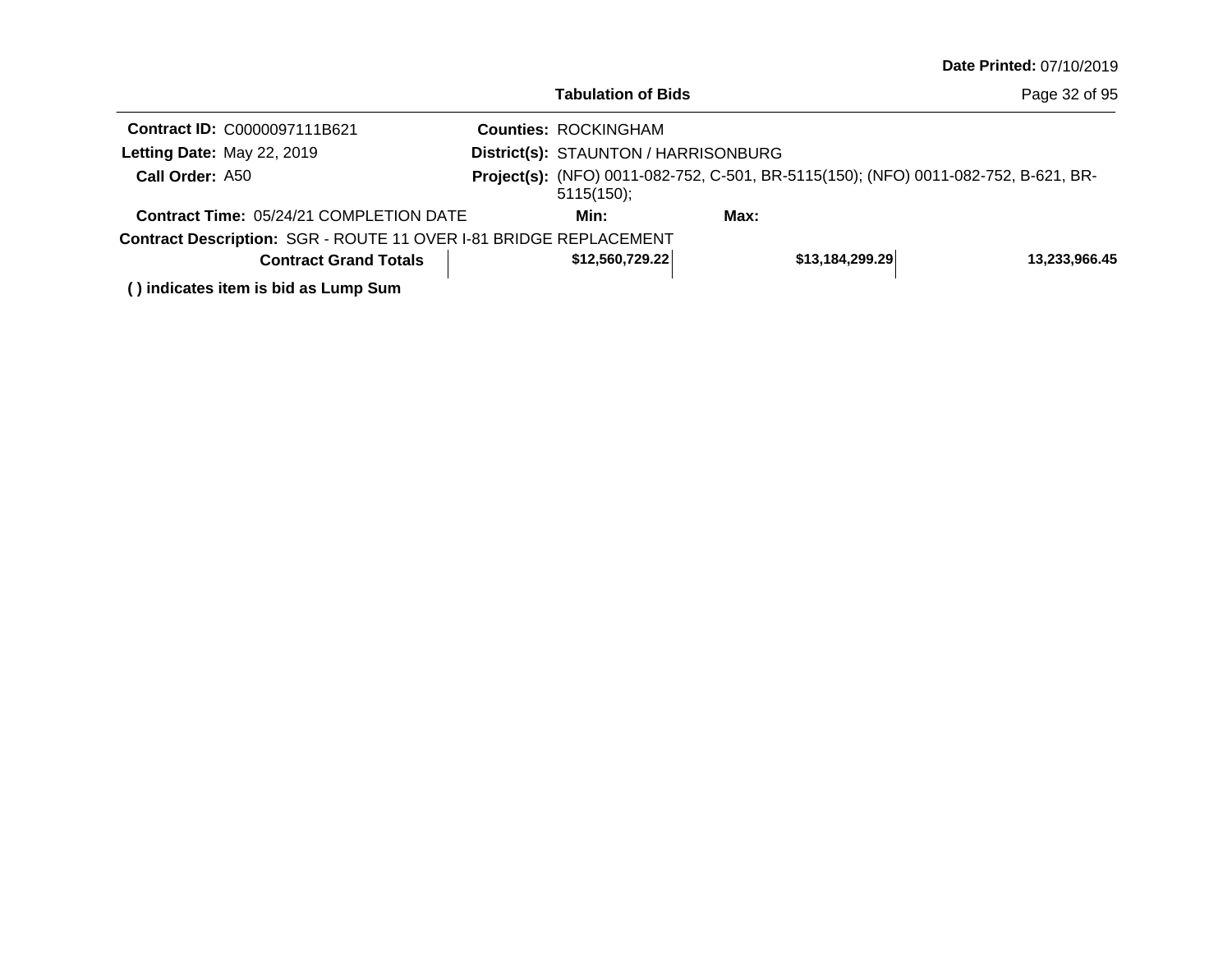|                                                                   | <b>Tabulation of Bids</b>            |                                                                                     | Page 32 of 95 |
|-------------------------------------------------------------------|--------------------------------------|-------------------------------------------------------------------------------------|---------------|
| Contract ID: C0000097111B621                                      | <b>Counties: ROCKINGHAM</b>          |                                                                                     |               |
| Letting Date: May 22, 2019                                        | District(s): STAUNTON / HARRISONBURG |                                                                                     |               |
| Call Order: A50                                                   | $5115(150)$ ;                        | Project(s): (NFO) 0011-082-752, C-501, BR-5115(150); (NFO) 0011-082-752, B-621, BR- |               |
| <b>Contract Time: 05/24/21 COMPLETION DATE</b>                    | Min:                                 | Max:                                                                                |               |
| Contract Description: SGR - ROUTE 11 OVER I-81 BRIDGE REPLACEMENT |                                      |                                                                                     |               |
| <b>Contract Grand Totals</b>                                      | \$12,560,729.22                      | \$13,184,299.29                                                                     | 13,233,966.45 |
|                                                                   |                                      |                                                                                     |               |

**( ) indicates item is bid as Lump Sum**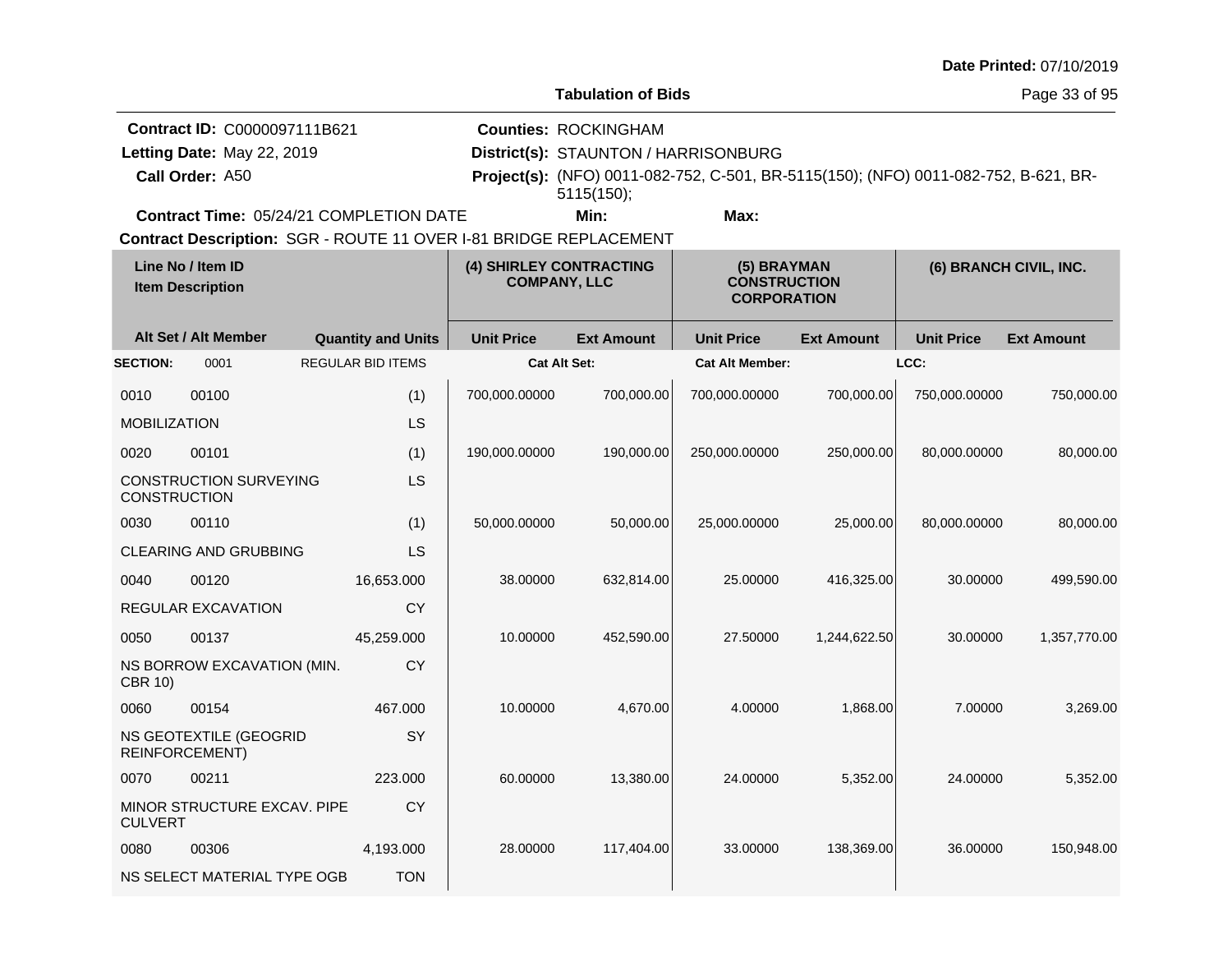|                                                                                                                                                                     |                                                                               |                                                          |                     |                                                                                   |                                                                                     |                   |                   | Date Printed: 07/10/2019 |
|---------------------------------------------------------------------------------------------------------------------------------------------------------------------|-------------------------------------------------------------------------------|----------------------------------------------------------|---------------------|-----------------------------------------------------------------------------------|-------------------------------------------------------------------------------------|-------------------|-------------------|--------------------------|
|                                                                                                                                                                     |                                                                               |                                                          |                     | <b>Tabulation of Bids</b>                                                         |                                                                                     |                   |                   | Page 33 of 95            |
|                                                                                                                                                                     | Contract ID: C0000097111B621<br>Letting Date: May 22, 2019<br>Call Order: A50 |                                                          |                     | <b>Counties: ROCKINGHAM</b><br>District(s): STAUNTON / HARRISONBURG<br>5115(150); | Project(s): (NFO) 0011-082-752, C-501, BR-5115(150); (NFO) 0011-082-752, B-621, BR- |                   |                   |                          |
|                                                                                                                                                                     | <b>Contract Time: 05/24/21 COMPLETION DATE</b>                                |                                                          |                     | Min:                                                                              | Max:                                                                                |                   |                   |                          |
| Contract Description: SGR - ROUTE 11 OVER I-81 BRIDGE REPLACEMENT<br>Line No / Item ID<br>(4) SHIRLEY CONTRACTING<br><b>COMPANY, LLC</b><br><b>Item Description</b> |                                                                               | (5) BRAYMAN<br><b>CONSTRUCTION</b><br><b>CORPORATION</b> |                     |                                                                                   | (6) BRANCH CIVIL, INC.                                                              |                   |                   |                          |
|                                                                                                                                                                     | Alt Set / Alt Member                                                          | <b>Quantity and Units</b>                                | <b>Unit Price</b>   | <b>Ext Amount</b>                                                                 | <b>Unit Price</b>                                                                   | <b>Ext Amount</b> | <b>Unit Price</b> | <b>Ext Amount</b>        |
| <b>SECTION:</b>                                                                                                                                                     | 0001                                                                          | <b>REGULAR BID ITEMS</b>                                 | <b>Cat Alt Set:</b> |                                                                                   | <b>Cat Alt Member:</b>                                                              |                   | LCC:              |                          |
| 0010                                                                                                                                                                | 00100                                                                         | (1)                                                      | 700,000.00000       | 700,000.00                                                                        | 700,000.00000                                                                       | 700,000.00        | 750,000.00000     | 750,000.00               |
| <b>MOBILIZATION</b>                                                                                                                                                 |                                                                               | LS                                                       |                     |                                                                                   |                                                                                     |                   |                   |                          |
| 0020                                                                                                                                                                | 00101                                                                         | (1)                                                      | 190,000.00000       | 190,000.00                                                                        | 250,000.00000                                                                       | 250,000.00        | 80,000.00000      | 80,000.00                |
| <b>CONSTRUCTION</b>                                                                                                                                                 | <b>CONSTRUCTION SURVEYING</b>                                                 | LS                                                       |                     |                                                                                   |                                                                                     |                   |                   |                          |
| 0030                                                                                                                                                                | 00110                                                                         | (1)                                                      | 50,000.00000        | 50,000.00                                                                         | 25,000.00000                                                                        | 25,000.00         | 80,000.00000      | 80,000.00                |
|                                                                                                                                                                     | <b>CLEARING AND GRUBBING</b>                                                  | <b>LS</b>                                                |                     |                                                                                   |                                                                                     |                   |                   |                          |
| 0040                                                                                                                                                                | 00120                                                                         | 16,653.000                                               | 38.00000            | 632,814.00                                                                        | 25.00000                                                                            | 416,325.00        | 30.00000          | 499,590.00               |
|                                                                                                                                                                     | REGULAR EXCAVATION                                                            | CY                                                       |                     |                                                                                   |                                                                                     |                   |                   |                          |
| 0050                                                                                                                                                                | 00137                                                                         | 45,259.000                                               | 10.00000            | 452,590.00                                                                        | 27.50000                                                                            | 1,244,622.50      | 30.00000          | 1,357,770.00             |
| <b>CBR 10)</b>                                                                                                                                                      | NS BORROW EXCAVATION (MIN.                                                    | CY                                                       |                     |                                                                                   |                                                                                     |                   |                   |                          |
| 0060                                                                                                                                                                | 00154                                                                         | 467.000                                                  | 10.00000            | 4,670.00                                                                          | 4.00000                                                                             | 1,868.00          | 7.00000           | 3,269.00                 |
|                                                                                                                                                                     | NS GEOTEXTILE (GEOGRID<br>REINFORCEMENT)                                      | SY                                                       |                     |                                                                                   |                                                                                     |                   |                   |                          |
| 0070                                                                                                                                                                | 00211                                                                         | 223.000                                                  | 60.00000            | 13,380.00                                                                         | 24.00000                                                                            | 5,352.00          | 24.00000          | 5,352.00                 |
| <b>CULVERT</b>                                                                                                                                                      | MINOR STRUCTURE EXCAV. PIPE                                                   | <b>CY</b>                                                |                     |                                                                                   |                                                                                     |                   |                   |                          |
| 0080                                                                                                                                                                | 00306                                                                         | 4,193.000                                                | 28.00000            | 117,404.00                                                                        | 33.00000                                                                            | 138,369.00        | 36.00000          | 150,948.00               |
|                                                                                                                                                                     | NS SELECT MATERIAL TYPE OGB                                                   | <b>TON</b>                                               |                     |                                                                                   |                                                                                     |                   |                   |                          |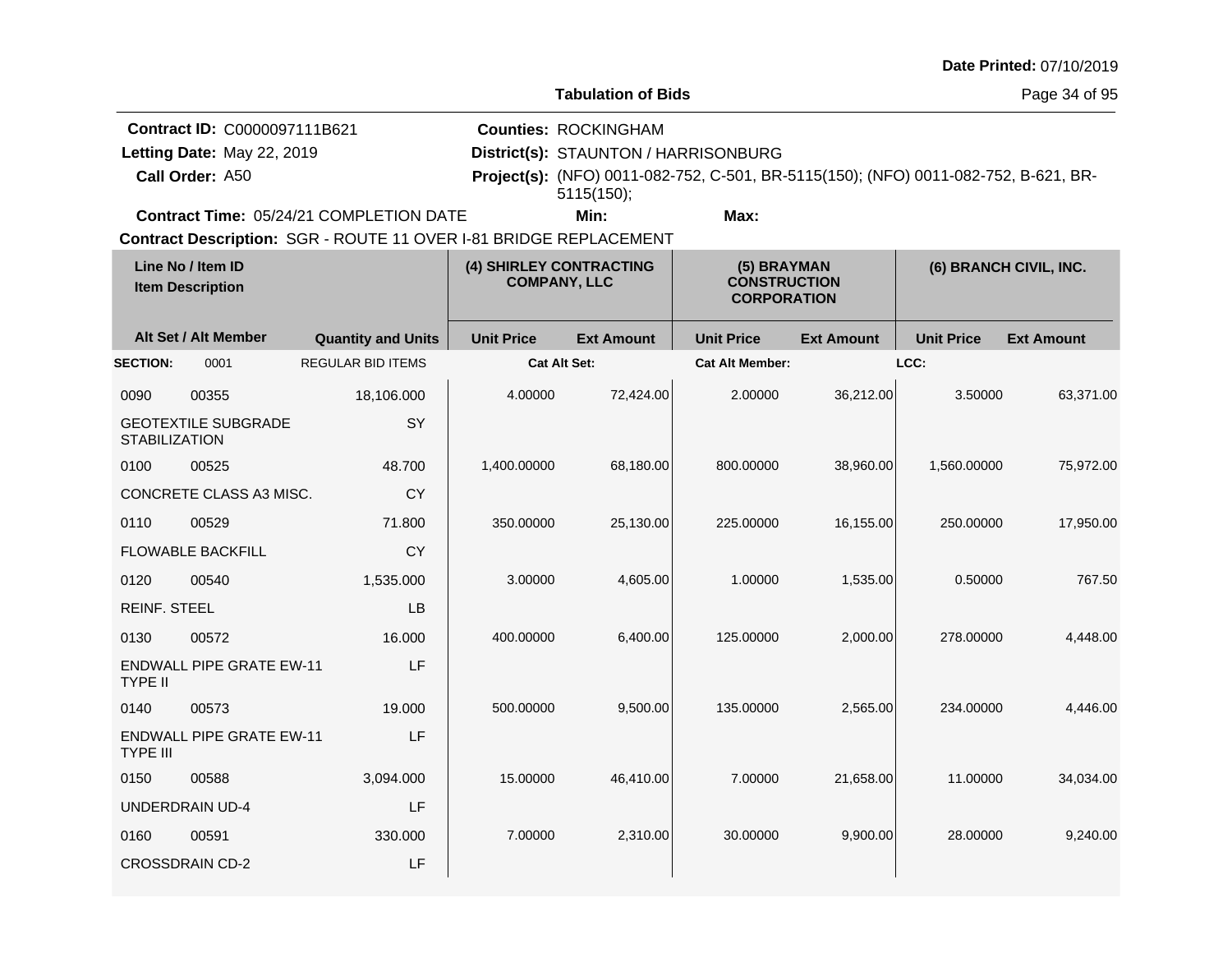| <b>Date Printed: 07/10/2019</b> |  |
|---------------------------------|--|
|---------------------------------|--|

**Contract ID:** C0000097111B621

**Call Order:** Letting Date: May 22, 2019

**Letting Date:** May 22, 2019 **District(s): STAUNTON / HARRISONBURG** 

**Counties:** ROCKINGHAM

A50 **Project(s):** (NFO) 0011-082-752, C-501, BR-5115(150); (NFO) 0011-082-752, B-621, BR-5115(150);

**Contract Time:** 05/24/21 COMPLETION DATE

**Min: Max:**

|                      | Line No / Item ID<br><b>Item Description</b> |                           |                     | (4) SHIRLEY CONTRACTING<br><b>COMPANY, LLC</b> |                        | (5) BRAYMAN<br><b>CONSTRUCTION</b><br><b>CORPORATION</b> |                   | (6) BRANCH CIVIL, INC. |  |
|----------------------|----------------------------------------------|---------------------------|---------------------|------------------------------------------------|------------------------|----------------------------------------------------------|-------------------|------------------------|--|
|                      | Alt Set / Alt Member                         | <b>Quantity and Units</b> | <b>Unit Price</b>   | <b>Ext Amount</b>                              | <b>Unit Price</b>      | <b>Ext Amount</b>                                        | <b>Unit Price</b> | <b>Ext Amount</b>      |  |
| <b>SECTION:</b>      | 0001                                         | <b>REGULAR BID ITEMS</b>  | <b>Cat Alt Set:</b> |                                                | <b>Cat Alt Member:</b> |                                                          | LCC:              |                        |  |
| 0090                 | 00355                                        | 18,106.000                | 4.00000             | 72,424.00                                      | 2.00000                | 36,212.00                                                | 3.50000           | 63,371.00              |  |
| <b>STABILIZATION</b> | <b>GEOTEXTILE SUBGRADE</b>                   | SY                        |                     |                                                |                        |                                                          |                   |                        |  |
| 0100                 | 00525                                        | 48.700                    | 1,400.00000         | 68,180.00                                      | 800.00000              | 38,960.00                                                | 1,560.00000       | 75,972.00              |  |
|                      | CONCRETE CLASS A3 MISC.                      | <b>CY</b>                 |                     |                                                |                        |                                                          |                   |                        |  |
| 0110                 | 00529                                        | 71.800                    | 350.00000           | 25,130.00                                      | 225.00000              | 16,155.00                                                | 250.00000         | 17,950.00              |  |
|                      | <b>FLOWABLE BACKFILL</b>                     | <b>CY</b>                 |                     |                                                |                        |                                                          |                   |                        |  |
| 0120                 | 00540                                        | 1,535.000                 | 3.00000             | 4,605.00                                       | 1.00000                | 1,535.00                                                 | 0.50000           | 767.50                 |  |
| <b>REINF. STEEL</b>  |                                              | LB                        |                     |                                                |                        |                                                          |                   |                        |  |
| 0130                 | 00572                                        | 16.000                    | 400.00000           | 6,400.00                                       | 125.00000              | 2,000.00                                                 | 278.00000         | 4,448.00               |  |
| <b>TYPE II</b>       | <b>ENDWALL PIPE GRATE EW-11</b>              | LF                        |                     |                                                |                        |                                                          |                   |                        |  |
| 0140                 | 00573                                        | 19.000                    | 500.00000           | 9,500.00                                       | 135.00000              | 2,565.00                                                 | 234.00000         | 4,446.00               |  |
| <b>TYPE III</b>      | <b>ENDWALL PIPE GRATE EW-11</b>              | LF                        |                     |                                                |                        |                                                          |                   |                        |  |
| 0150                 | 00588                                        | 3,094.000                 | 15.00000            | 46,410.00                                      | 7.00000                | 21,658.00                                                | 11.00000          | 34,034.00              |  |
|                      | <b>UNDERDRAIN UD-4</b>                       | LF                        |                     |                                                |                        |                                                          |                   |                        |  |
| 0160                 | 00591                                        | 330.000                   | 7.00000             | 2,310.00                                       | 30.00000               | 9,900.00                                                 | 28.00000          | 9,240.00               |  |
|                      | <b>CROSSDRAIN CD-2</b>                       | LF                        |                     |                                                |                        |                                                          |                   |                        |  |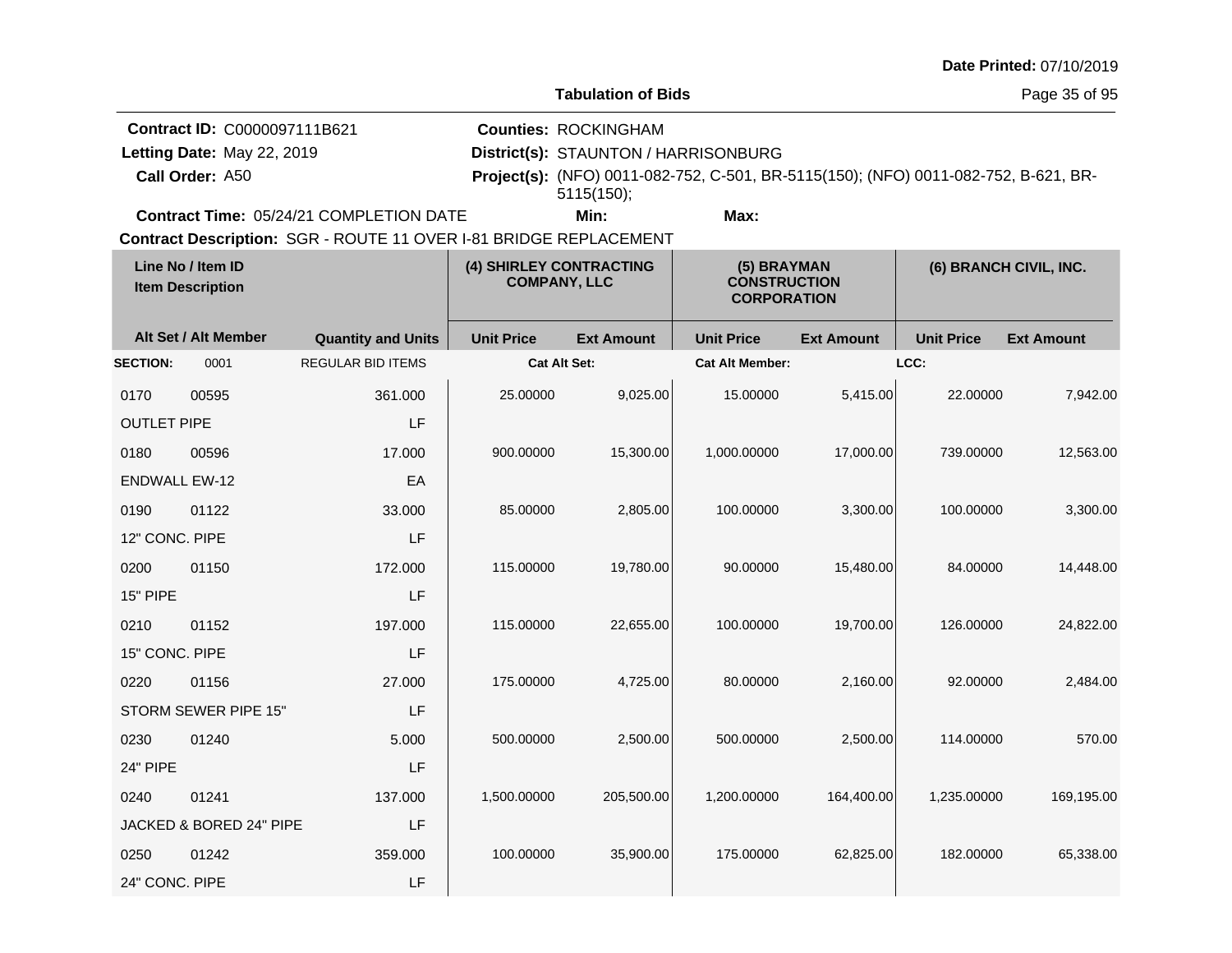| Date Printed: 07/10/2019 |  |  |
|--------------------------|--|--|
|--------------------------|--|--|

**Tabulation of Bids**

Page 35 of 95

| <b>Contract ID: C0000097111B621</b>            | <b>Counties: ROCKINGHAM</b>          |      |  |                                                                                            |
|------------------------------------------------|--------------------------------------|------|--|--------------------------------------------------------------------------------------------|
| Letting Date: May 22, 2019                     | District(s): STAUNTON / HARRISONBURG |      |  |                                                                                            |
| Call Order: A50                                | 5115(150);                           |      |  | <b>Project(s):</b> (NFO) 0011-082-752, C-501, BR-5115(150); (NFO) 0011-082-752, B-621, BR- |
| <b>Contract Time: 05/24/21 COMPLETION DATE</b> | Min:                                 | Max: |  |                                                                                            |

| Line No / Item ID<br><b>Item Description</b> |                         | (4) SHIRLEY CONTRACTING<br><b>COMPANY, LLC</b> |                     | (5) BRAYMAN<br><b>CONSTRUCTION</b><br><b>CORPORATION</b> |                        | (6) BRANCH CIVIL, INC. |                   |                   |
|----------------------------------------------|-------------------------|------------------------------------------------|---------------------|----------------------------------------------------------|------------------------|------------------------|-------------------|-------------------|
|                                              | Alt Set / Alt Member    | <b>Quantity and Units</b>                      | <b>Unit Price</b>   | <b>Ext Amount</b>                                        | <b>Unit Price</b>      | <b>Ext Amount</b>      | <b>Unit Price</b> | <b>Ext Amount</b> |
| <b>SECTION:</b>                              | 0001                    | <b>REGULAR BID ITEMS</b>                       | <b>Cat Alt Set:</b> |                                                          | <b>Cat Alt Member:</b> |                        | LCC:              |                   |
| 0170                                         | 00595                   | 361.000                                        | 25.00000            | 9,025.00                                                 | 15.00000               | 5,415.00               | 22.00000          | 7,942.00          |
| <b>OUTLET PIPE</b>                           |                         | LF                                             |                     |                                                          |                        |                        |                   |                   |
| 0180                                         | 00596                   | 17.000                                         | 900.00000           | 15,300.00                                                | 1,000.00000            | 17,000.00              | 739.00000         | 12,563.00         |
| <b>ENDWALL EW-12</b>                         |                         | EA                                             |                     |                                                          |                        |                        |                   |                   |
| 0190                                         | 01122                   | 33.000                                         | 85.00000            | 2,805.00                                                 | 100.00000              | 3,300.00               | 100.00000         | 3,300.00          |
| 12" CONC. PIPE                               |                         | LF                                             |                     |                                                          |                        |                        |                   |                   |
| 0200                                         | 01150                   | 172.000                                        | 115.00000           | 19,780.00                                                | 90.00000               | 15,480.00              | 84.00000          | 14,448.00         |
| 15" PIPE                                     |                         | LF                                             |                     |                                                          |                        |                        |                   |                   |
| 0210                                         | 01152                   | 197.000                                        | 115.00000           | 22,655.00                                                | 100.00000              | 19,700.00              | 126.00000         | 24,822.00         |
| 15" CONC. PIPE                               |                         | LF                                             |                     |                                                          |                        |                        |                   |                   |
| 0220                                         | 01156                   | 27.000                                         | 175.00000           | 4,725.00                                                 | 80.00000               | 2,160.00               | 92.00000          | 2,484.00          |
|                                              | STORM SEWER PIPE 15"    | LF                                             |                     |                                                          |                        |                        |                   |                   |
| 0230                                         | 01240                   | 5.000                                          | 500.00000           | 2,500.00                                                 | 500.00000              | 2,500.00               | 114.00000         | 570.00            |
| 24" PIPE                                     |                         | LF                                             |                     |                                                          |                        |                        |                   |                   |
| 0240                                         | 01241                   | 137.000                                        | 1,500.00000         | 205,500.00                                               | 1,200.00000            | 164,400.00             | 1,235.00000       | 169,195.00        |
|                                              | JACKED & BORED 24" PIPE | LF                                             |                     |                                                          |                        |                        |                   |                   |
| 0250                                         | 01242                   | 359.000                                        | 100.00000           | 35,900.00                                                | 175.00000              | 62,825.00              | 182.00000         | 65,338.00         |
| 24" CONC. PIPE                               |                         | LF                                             |                     |                                                          |                        |                        |                   |                   |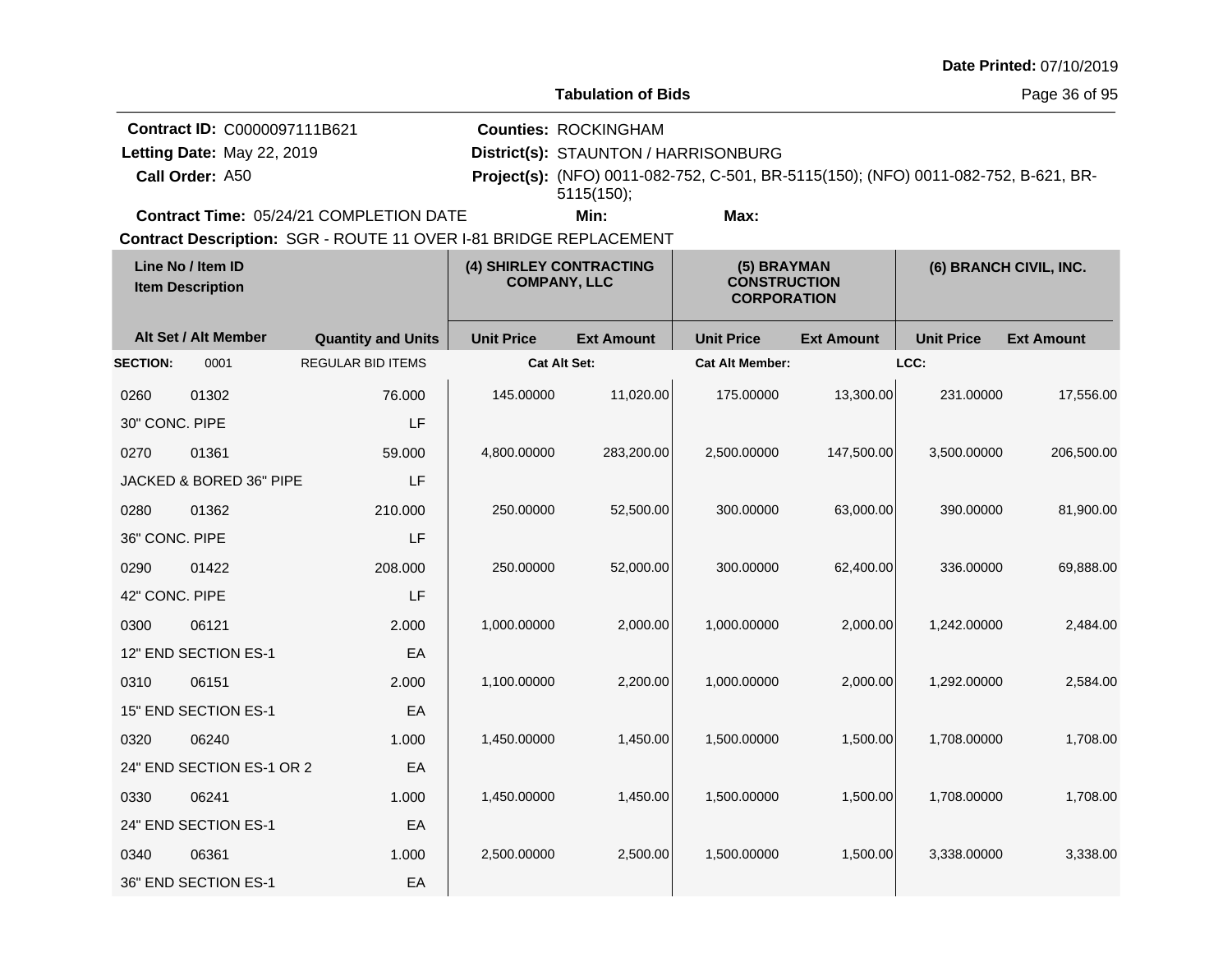| Date Printed: 07/10/2019 |  |
|--------------------------|--|
|--------------------------|--|

Page 36 of 95

|                                                                   | <b>Contract ID: C0000097111B621</b>            |  | <b>Counties: ROCKINGHAM</b>          |      |                                                                                            |
|-------------------------------------------------------------------|------------------------------------------------|--|--------------------------------------|------|--------------------------------------------------------------------------------------------|
| Letting Date: May 22, 2019                                        |                                                |  | District(s): STAUNTON / HARRISONBURG |      |                                                                                            |
| <b>Call Order: A50</b>                                            |                                                |  | 5115(150);                           |      | <b>Project(s):</b> (NFO) 0011-082-752, C-501, BR-5115(150); (NFO) 0011-082-752, B-621, BR- |
|                                                                   | <b>Contract Time: 05/24/21 COMPLETION DATE</b> |  | Min:                                 | Max: |                                                                                            |
| Contract Description: SGR - ROUTE 11 OVER I-81 BRIDGE REPLACEMENT |                                                |  |                                      |      |                                                                                            |

| Line No / Item ID<br><b>Item Description</b> |                           | (4) SHIRLEY CONTRACTING<br><b>COMPANY, LLC</b> |                   | (5) BRAYMAN<br><b>CONSTRUCTION</b><br><b>CORPORATION</b> |                        | (6) BRANCH CIVIL, INC. |                   |                   |
|----------------------------------------------|---------------------------|------------------------------------------------|-------------------|----------------------------------------------------------|------------------------|------------------------|-------------------|-------------------|
|                                              | Alt Set / Alt Member      | <b>Quantity and Units</b>                      | <b>Unit Price</b> | <b>Ext Amount</b>                                        | <b>Unit Price</b>      | <b>Ext Amount</b>      | <b>Unit Price</b> | <b>Ext Amount</b> |
| <b>SECTION:</b>                              | 0001                      | <b>REGULAR BID ITEMS</b>                       | Cat Alt Set:      |                                                          | <b>Cat Alt Member:</b> |                        | LCC:              |                   |
| 0260                                         | 01302                     | 76.000                                         | 145.00000         | 11,020.00                                                | 175.00000              | 13,300.00              | 231.00000         | 17,556.00         |
| 30" CONC. PIPE                               |                           | LF                                             |                   |                                                          |                        |                        |                   |                   |
| 0270                                         | 01361                     | 59,000                                         | 4,800.00000       | 283,200.00                                               | 2,500.00000            | 147,500.00             | 3,500.00000       | 206,500.00        |
|                                              | JACKED & BORED 36" PIPE   | LF                                             |                   |                                                          |                        |                        |                   |                   |
| 0280                                         | 01362                     | 210.000                                        | 250.00000         | 52,500.00                                                | 300.00000              | 63,000.00              | 390.00000         | 81,900.00         |
| 36" CONC. PIPE                               |                           | LF                                             |                   |                                                          |                        |                        |                   |                   |
| 0290                                         | 01422                     | 208.000                                        | 250.00000         | 52,000.00                                                | 300.00000              | 62,400.00              | 336.00000         | 69,888.00         |
| 42" CONC. PIPE                               |                           | LF                                             |                   |                                                          |                        |                        |                   |                   |
| 0300                                         | 06121                     | 2.000                                          | 1,000.00000       | 2,000.00                                                 | 1,000.00000            | 2,000.00               | 1,242.00000       | 2,484.00          |
|                                              | 12" END SECTION ES-1      | EA                                             |                   |                                                          |                        |                        |                   |                   |
| 0310                                         | 06151                     | 2.000                                          | 1,100.00000       | 2,200.00                                                 | 1,000.00000            | 2,000.00               | 1,292.00000       | 2,584.00          |
|                                              | 15" END SECTION ES-1      | EA                                             |                   |                                                          |                        |                        |                   |                   |
| 0320                                         | 06240                     | 1.000                                          | 1,450.00000       | 1,450.00                                                 | 1,500.00000            | 1,500.00               | 1,708.00000       | 1,708.00          |
|                                              | 24" END SECTION ES-1 OR 2 | EA                                             |                   |                                                          |                        |                        |                   |                   |
| 0330                                         | 06241                     | 1.000                                          | 1,450.00000       | 1,450.00                                                 | 1,500.00000            | 1,500.00               | 1,708.00000       | 1,708.00          |
|                                              | 24" END SECTION ES-1      | EA                                             |                   |                                                          |                        |                        |                   |                   |
| 0340                                         | 06361                     | 1.000                                          | 2,500.00000       | 2,500.00                                                 | 1,500.00000            | 1,500.00               | 3,338.00000       | 3,338.00          |
|                                              | 36" END SECTION ES-1      | EA                                             |                   |                                                          |                        |                        |                   |                   |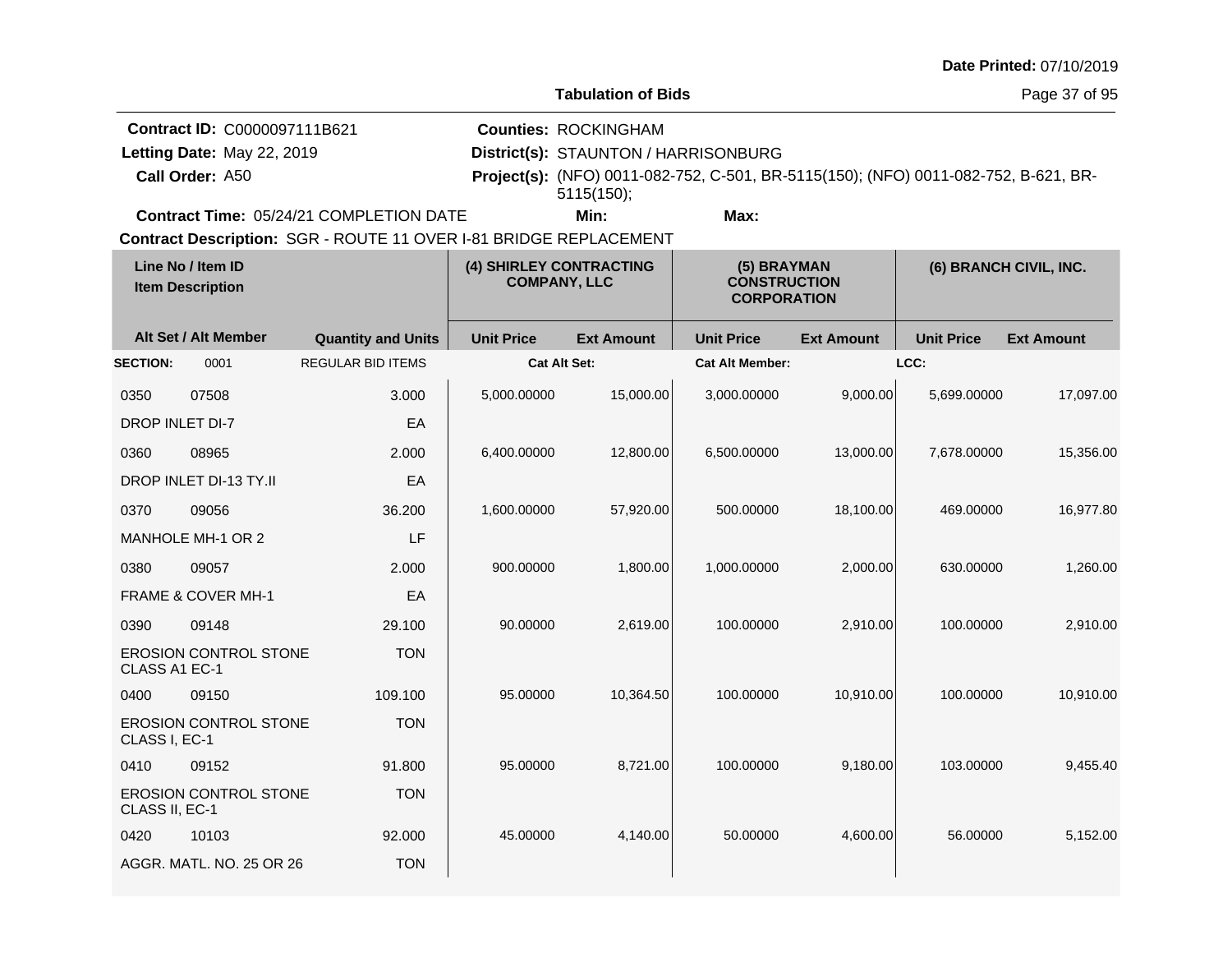| Date Printed: 07/10/2019 |  |
|--------------------------|--|
|--------------------------|--|

Page 37 of 95

|                            | <b>Contract ID: C0000097111B621</b>                               |  | <b>Counties: ROCKINGHAM</b>          |                                                                                            |  |  |  |  |
|----------------------------|-------------------------------------------------------------------|--|--------------------------------------|--------------------------------------------------------------------------------------------|--|--|--|--|
| Letting Date: May 22, 2019 |                                                                   |  | District(s): STAUNTON / HARRISONBURG |                                                                                            |  |  |  |  |
| Call Order: A50            |                                                                   |  | $5115(150)$ ;                        | <b>Project(s):</b> (NFO) 0011-082-752, C-501, BR-5115(150); (NFO) 0011-082-752, B-621, BR- |  |  |  |  |
|                            | <b>Contract Time: 05/24/21 COMPLETION DATE</b>                    |  | Min:                                 | Max:                                                                                       |  |  |  |  |
|                            | Contract Description: SGR - ROUTE 11 OVER I-81 BRIDGE REPLACEMENT |  |                                      |                                                                                            |  |  |  |  |

| Line No / Item ID<br><b>Item Description</b> |                              | (4) SHIRLEY CONTRACTING<br><b>COMPANY, LLC</b> |                     | (5) BRAYMAN<br><b>CONSTRUCTION</b><br><b>CORPORATION</b> |                        | (6) BRANCH CIVIL, INC. |                   |                   |
|----------------------------------------------|------------------------------|------------------------------------------------|---------------------|----------------------------------------------------------|------------------------|------------------------|-------------------|-------------------|
|                                              | Alt Set / Alt Member         | <b>Quantity and Units</b>                      | <b>Unit Price</b>   | <b>Ext Amount</b>                                        | <b>Unit Price</b>      | <b>Ext Amount</b>      | <b>Unit Price</b> | <b>Ext Amount</b> |
| <b>SECTION:</b>                              | 0001                         | <b>REGULAR BID ITEMS</b>                       | <b>Cat Alt Set:</b> |                                                          | <b>Cat Alt Member:</b> |                        | LCC:              |                   |
| 0350                                         | 07508                        | 3.000                                          | 5,000.00000         | 15,000.00                                                | 3,000.00000            | 9,000.00               | 5,699.00000       | 17,097.00         |
| <b>DROP INLET DI-7</b>                       |                              | EA                                             |                     |                                                          |                        |                        |                   |                   |
| 0360                                         | 08965                        | 2.000                                          | 6,400.00000         | 12,800.00                                                | 6,500.00000            | 13,000.00              | 7,678.00000       | 15,356.00         |
|                                              | DROP INLET DI-13 TY.II       | EA                                             |                     |                                                          |                        |                        |                   |                   |
| 0370                                         | 09056                        | 36.200                                         | 1,600.00000         | 57,920.00                                                | 500.00000              | 18,100.00              | 469.00000         | 16,977.80         |
|                                              | MANHOLE MH-1 OR 2            | LF                                             |                     |                                                          |                        |                        |                   |                   |
| 0380                                         | 09057                        | 2.000                                          | 900.00000           | 1,800.00                                                 | 1,000.00000            | 2,000.00               | 630.00000         | 1,260.00          |
|                                              | FRAME & COVER MH-1           | EA                                             |                     |                                                          |                        |                        |                   |                   |
| 0390                                         | 09148                        | 29.100                                         | 90.00000            | 2,619.00                                                 | 100.00000              | 2,910.00               | 100.00000         | 2,910.00          |
| CLASS A1 EC-1                                | <b>EROSION CONTROL STONE</b> | <b>TON</b>                                     |                     |                                                          |                        |                        |                   |                   |
| 0400                                         | 09150                        | 109.100                                        | 95.00000            | 10,364.50                                                | 100.00000              | 10,910.00              | 100.00000         | 10,910.00         |
| CLASS I, EC-1                                | <b>EROSION CONTROL STONE</b> | <b>TON</b>                                     |                     |                                                          |                        |                        |                   |                   |
| 0410                                         | 09152                        | 91.800                                         | 95.00000            | 8,721.00                                                 | 100.00000              | 9,180.00               | 103.00000         | 9,455.40          |
| CLASS II, EC-1                               | <b>EROSION CONTROL STONE</b> | <b>TON</b>                                     |                     |                                                          |                        |                        |                   |                   |
| 0420                                         | 10103                        | 92.000                                         | 45.00000            | 4,140.00                                                 | 50.00000               | 4,600.00               | 56.00000          | 5,152.00          |
|                                              | AGGR, MATL, NO. 25 OR 26     | <b>TON</b>                                     |                     |                                                          |                        |                        |                   |                   |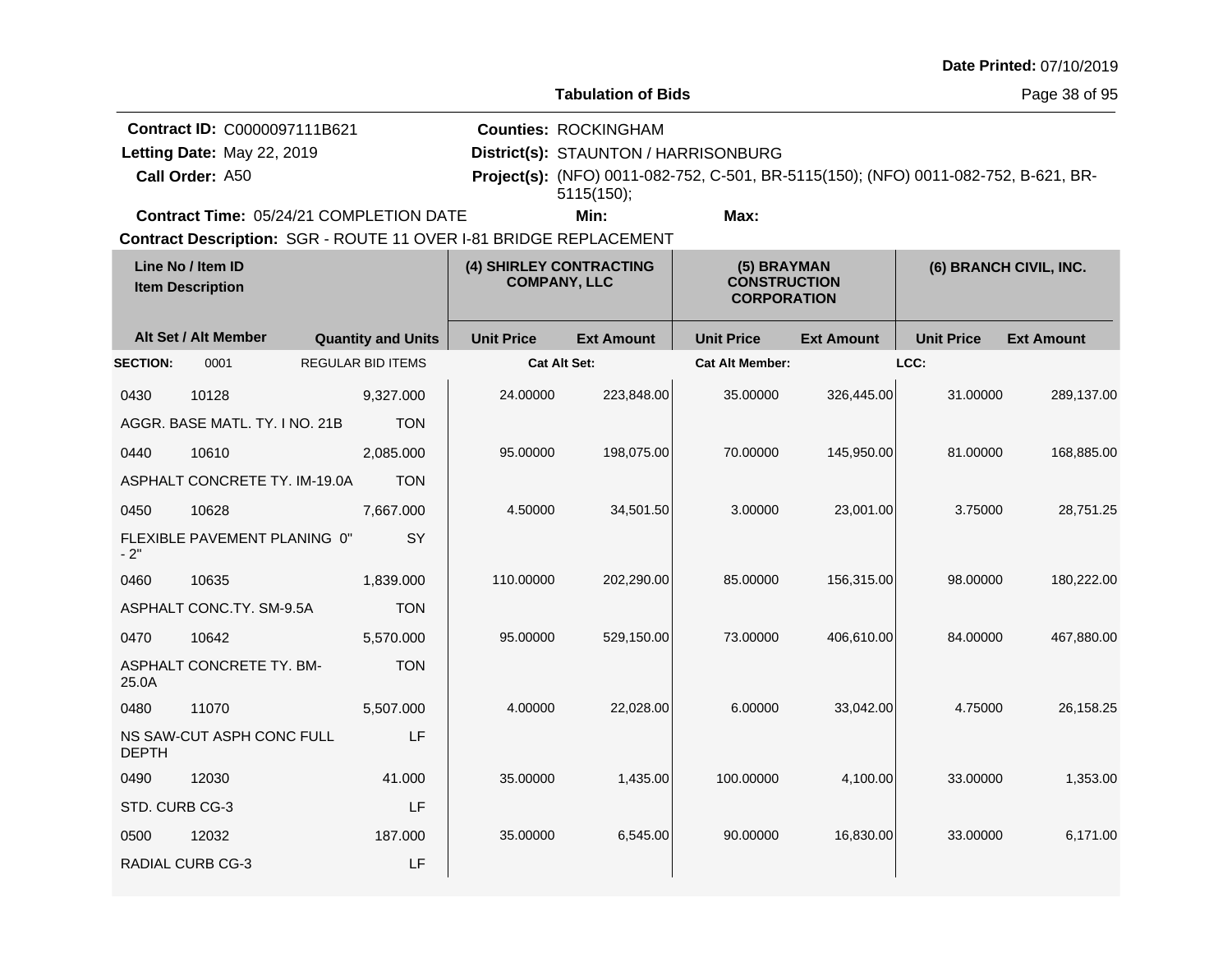| Date Printed: 07/10/2019 |  |
|--------------------------|--|
|--------------------------|--|

Page 38 of 95

| <b>Contract ID: C0000097111B621</b>            | <b>Counties: ROCKINGHAM</b>          |      |                                                                                            |
|------------------------------------------------|--------------------------------------|------|--------------------------------------------------------------------------------------------|
| Letting Date: May 22, 2019                     | District(s): STAUNTON / HARRISONBURG |      |                                                                                            |
| Call Order: A50                                | $5115(150)$ :                        |      | <b>Project(s):</b> (NFO) 0011-082-752, C-501, BR-5115(150); (NFO) 0011-082-752, B-621, BR- |
| <b>Contract Time: 05/24/21 COMPLETION DATE</b> | Min:                                 | Max: |                                                                                            |

| Line No / Item ID<br><b>Item Description</b> |                                | (4) SHIRLEY CONTRACTING<br><b>COMPANY, LLC</b> |                     | (5) BRAYMAN<br><b>CONSTRUCTION</b><br><b>CORPORATION</b> |                        | (6) BRANCH CIVIL, INC. |                   |                   |
|----------------------------------------------|--------------------------------|------------------------------------------------|---------------------|----------------------------------------------------------|------------------------|------------------------|-------------------|-------------------|
|                                              | Alt Set / Alt Member           | <b>Quantity and Units</b>                      | <b>Unit Price</b>   | <b>Ext Amount</b>                                        | <b>Unit Price</b>      | <b>Ext Amount</b>      | <b>Unit Price</b> | <b>Ext Amount</b> |
| <b>SECTION:</b>                              | 0001                           | <b>REGULAR BID ITEMS</b>                       | <b>Cat Alt Set:</b> |                                                          | <b>Cat Alt Member:</b> |                        | LCC:              |                   |
| 0430                                         | 10128                          | 9,327.000                                      | 24.00000            | 223,848.00                                               | 35.00000               | 326,445.00             | 31.00000          | 289,137.00        |
|                                              | AGGR. BASE MATL. TY. I NO. 21B | <b>TON</b>                                     |                     |                                                          |                        |                        |                   |                   |
| 0440                                         | 10610                          | 2,085.000                                      | 95.00000            | 198,075.00                                               | 70.00000               | 145,950.00             | 81.00000          | 168,885.00        |
|                                              | ASPHALT CONCRETE TY. IM-19.0A  | <b>TON</b>                                     |                     |                                                          |                        |                        |                   |                   |
| 0450                                         | 10628                          | 7,667.000                                      | 4.50000             | 34,501.50                                                | 3.00000                | 23,001.00              | 3.75000           | 28,751.25         |
| $-2"$                                        | FLEXIBLE PAVEMENT PLANING 0"   | SY                                             |                     |                                                          |                        |                        |                   |                   |
| 0460                                         | 10635                          | 1,839.000                                      | 110.00000           | 202,290.00                                               | 85.00000               | 156,315.00             | 98.00000          | 180,222.00        |
|                                              | ASPHALT CONC.TY. SM-9.5A       | <b>TON</b>                                     |                     |                                                          |                        |                        |                   |                   |
| 0470                                         | 10642                          | 5,570.000                                      | 95.00000            | 529,150.00                                               | 73.00000               | 406,610.00             | 84.00000          | 467,880.00        |
| 25.0A                                        | ASPHALT CONCRETE TY, BM-       | <b>TON</b>                                     |                     |                                                          |                        |                        |                   |                   |
| 0480                                         | 11070                          | 5,507.000                                      | 4.00000             | 22,028.00                                                | 6.00000                | 33,042.00              | 4.75000           | 26.158.25         |
| <b>DEPTH</b>                                 | NS SAW-CUT ASPH CONC FULL      | LF                                             |                     |                                                          |                        |                        |                   |                   |
| 0490                                         | 12030                          | 41.000                                         | 35.00000            | 1,435.00                                                 | 100.00000              | 4,100.00               | 33.00000          | 1,353.00          |
| STD. CURB CG-3                               |                                | LF                                             |                     |                                                          |                        |                        |                   |                   |
| 0500                                         | 12032                          | 187.000                                        | 35.00000            | 6,545.00                                                 | 90.00000               | 16,830.00              | 33.00000          | 6,171.00          |
|                                              | <b>RADIAL CURB CG-3</b>        | LF                                             |                     |                                                          |                        |                        |                   |                   |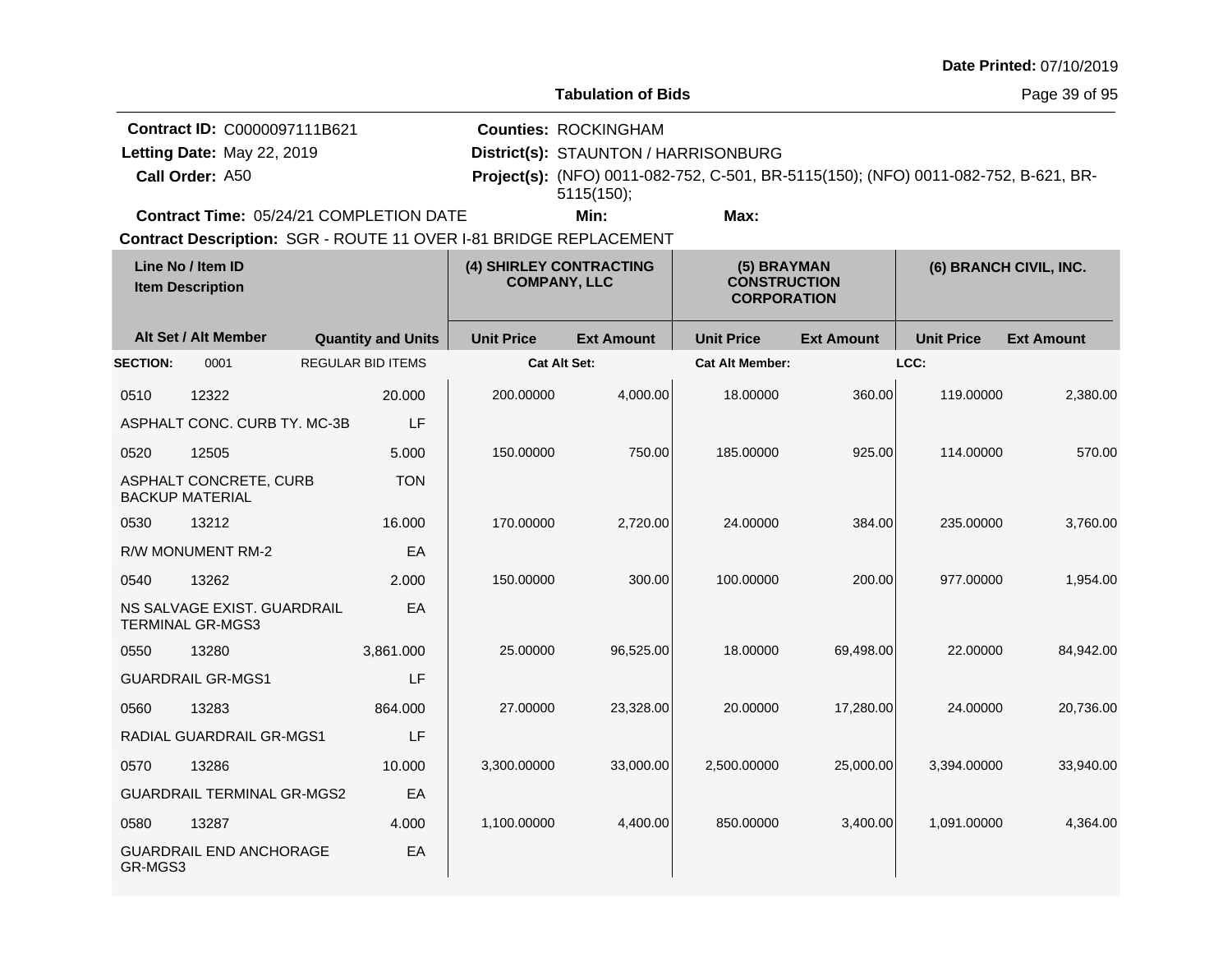|                                                                               |                                                        |                                                                   |                         |                                                                                   |                                                                                     |                   |                   | Date Printed: 07/10/2019 |
|-------------------------------------------------------------------------------|--------------------------------------------------------|-------------------------------------------------------------------|-------------------------|-----------------------------------------------------------------------------------|-------------------------------------------------------------------------------------|-------------------|-------------------|--------------------------|
|                                                                               |                                                        |                                                                   |                         | <b>Tabulation of Bids</b>                                                         |                                                                                     |                   |                   | Page 39 of 95            |
| Contract ID: C0000097111B621<br>Letting Date: May 22, 2019<br>Call Order: A50 |                                                        |                                                                   |                         | <b>Counties: ROCKINGHAM</b><br>District(s): STAUNTON / HARRISONBURG<br>5115(150); | Project(s): (NFO) 0011-082-752, C-501, BR-5115(150); (NFO) 0011-082-752, B-621, BR- |                   |                   |                          |
|                                                                               |                                                        | Contract Time: 05/24/21 COMPLETION DATE                           |                         | Min:                                                                              | Max:                                                                                |                   |                   |                          |
|                                                                               |                                                        | Contract Description: SGR - ROUTE 11 OVER I-81 BRIDGE REPLACEMENT |                         |                                                                                   |                                                                                     |                   |                   |                          |
|                                                                               | Line No / Item ID<br><b>Item Description</b>           |                                                                   | (4) SHIRLEY CONTRACTING | <b>COMPANY, LLC</b>                                                               | (5) BRAYMAN<br><b>CONSTRUCTION</b><br><b>CORPORATION</b>                            |                   |                   | (6) BRANCH CIVIL, INC.   |
|                                                                               | Alt Set / Alt Member                                   | <b>Quantity and Units</b>                                         | <b>Unit Price</b>       | <b>Ext Amount</b>                                                                 | <b>Unit Price</b>                                                                   | <b>Ext Amount</b> | <b>Unit Price</b> | <b>Ext Amount</b>        |
| <b>SECTION:</b>                                                               | 0001                                                   | <b>REGULAR BID ITEMS</b>                                          |                         | <b>Cat Alt Set:</b>                                                               | <b>Cat Alt Member:</b>                                                              |                   | LCC:              |                          |
| 0510                                                                          | 12322                                                  | 20.000                                                            | 200.00000               | 4,000.00                                                                          | 18.00000                                                                            | 360.00            | 119,00000         | 2,380.00                 |
|                                                                               | ASPHALT CONC. CURB TY. MC-3B                           | LF                                                                |                         |                                                                                   |                                                                                     |                   |                   |                          |
| 0520                                                                          | 12505                                                  | 5.000                                                             | 150,00000               | 750.00                                                                            | 185.00000                                                                           | 925.00            | 114.00000         | 570.00                   |
|                                                                               | ASPHALT CONCRETE, CURB<br><b>BACKUP MATERIAL</b>       | <b>TON</b>                                                        |                         |                                                                                   |                                                                                     |                   |                   |                          |
| 0530                                                                          | 13212                                                  | 16.000                                                            | 170.00000               | 2,720.00                                                                          | 24.00000                                                                            | 384.00            | 235.00000         | 3,760.00                 |
|                                                                               | R/W MONUMENT RM-2                                      | EA                                                                |                         |                                                                                   |                                                                                     |                   |                   |                          |
| 0540                                                                          | 13262                                                  | 2.000                                                             | 150.00000               | 300.00                                                                            | 100.00000                                                                           | 200.00            | 977.00000         | 1,954.00                 |
|                                                                               | NS SALVAGE EXIST. GUARDRAIL<br><b>TERMINAL GR-MGS3</b> | EA                                                                |                         |                                                                                   |                                                                                     |                   |                   |                          |
| 0550                                                                          | 13280                                                  | 3,861.000                                                         | 25.00000                | 96,525.00                                                                         | 18.00000                                                                            | 69,498.00         | 22.00000          | 84,942.00                |
|                                                                               | <b>GUARDRAIL GR-MGS1</b>                               | LF                                                                |                         |                                                                                   |                                                                                     |                   |                   |                          |
| 0560                                                                          | 13283                                                  | 864.000                                                           | 27.00000                | 23,328.00                                                                         | 20,00000                                                                            | 17,280.00         | 24.00000          | 20,736.00                |
|                                                                               | RADIAL GUARDRAIL GR-MGS1                               | LF                                                                |                         |                                                                                   |                                                                                     |                   |                   |                          |
| 0570                                                                          | 13286                                                  | 10.000                                                            | 3,300.00000             | 33,000.00                                                                         | 2,500.00000                                                                         | 25,000.00         | 3,394.00000       | 33,940.00                |
|                                                                               | <b>GUARDRAIL TERMINAL GR-MGS2</b>                      | EA                                                                |                         |                                                                                   |                                                                                     |                   |                   |                          |
| 0580                                                                          | 13287                                                  | 4.000                                                             | 1,100.00000             | 4,400.00                                                                          | 850.00000                                                                           | 3,400.00          | 1,091.00000       | 4,364.00                 |
| GR-MGS3                                                                       | <b>GUARDRAIL END ANCHORAGE</b>                         | EA                                                                |                         |                                                                                   |                                                                                     |                   |                   |                          |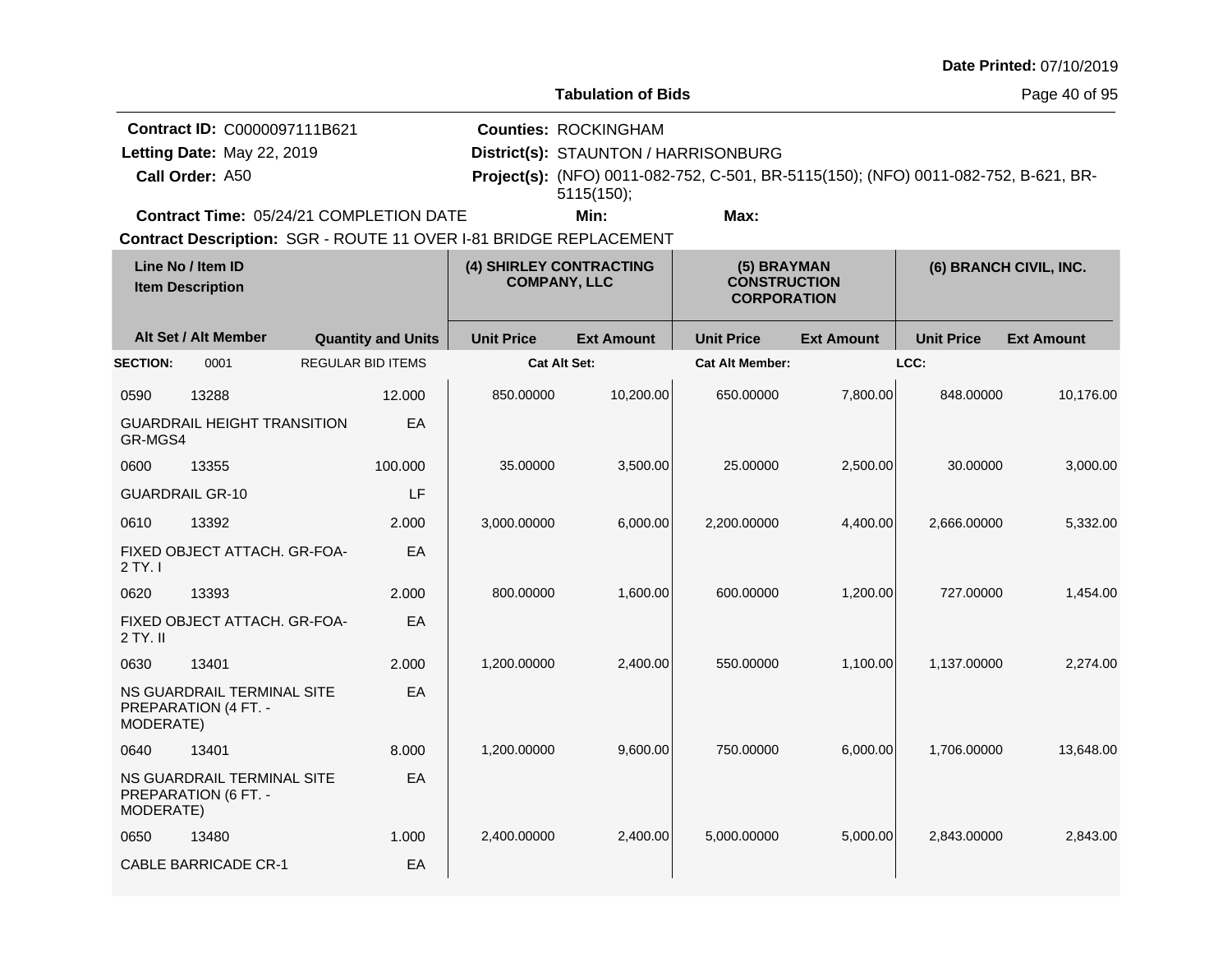|  | <b>Date Printed: 07/10/2019</b> |
|--|---------------------------------|
|--|---------------------------------|

**Counties:** ROCKINGHAM

**Contract ID:** C0000097111B621

Letting Date: May 22, 2019

**Call Order:**

**Letting Date:** May 22, 2019 **District(s): STAUNTON / HARRISONBURG** 

A50 **Project(s):** (NFO) 0011-082-752, C-501, BR-5115(150); (NFO) 0011-082-752, B-621, BR-**Min: Max:** 5115(150);

**Contract Time:** 05/24/21 COMPLETION DATE

| Line No / Item ID<br><b>Item Description</b> |                                                    | (4) SHIRLEY CONTRACTING<br><b>COMPANY, LLC</b> |                     | (5) BRAYMAN<br><b>CONSTRUCTION</b><br><b>CORPORATION</b> |                        | (6) BRANCH CIVIL, INC. |                   |                   |
|----------------------------------------------|----------------------------------------------------|------------------------------------------------|---------------------|----------------------------------------------------------|------------------------|------------------------|-------------------|-------------------|
|                                              | Alt Set / Alt Member                               | <b>Quantity and Units</b>                      | <b>Unit Price</b>   | <b>Ext Amount</b>                                        | <b>Unit Price</b>      | <b>Ext Amount</b>      | <b>Unit Price</b> | <b>Ext Amount</b> |
| <b>SECTION:</b>                              | 0001                                               | <b>REGULAR BID ITEMS</b>                       | <b>Cat Alt Set:</b> |                                                          | <b>Cat Alt Member:</b> |                        | LCC:              |                   |
| 0590                                         | 13288                                              | 12.000                                         | 850.00000           | 10,200.00                                                | 650.00000              | 7,800.00               | 848.00000         | 10,176.00         |
| GR-MGS4                                      | <b>GUARDRAIL HEIGHT TRANSITION</b>                 | EA                                             |                     |                                                          |                        |                        |                   |                   |
| 0600                                         | 13355                                              | 100.000                                        | 35.00000            | 3,500.00                                                 | 25,00000               | 2,500.00               | 30.00000          | 3,000.00          |
| <b>GUARDRAIL GR-10</b>                       |                                                    | LF                                             |                     |                                                          |                        |                        |                   |                   |
| 0610                                         | 13392                                              | 2.000                                          | 3,000.00000         | 6,000.00                                                 | 2,200.00000            | 4,400.00               | 2,666.00000       | 5,332.00          |
| $2$ TY. I                                    | FIXED OBJECT ATTACH. GR-FOA-                       | EA                                             |                     |                                                          |                        |                        |                   |                   |
| 0620                                         | 13393                                              | 2.000                                          | 800.00000           | 1,600.00                                                 | 600.00000              | 1,200.00               | 727.00000         | 1,454.00          |
| 2 TY. II                                     | FIXED OBJECT ATTACH. GR-FOA-                       | EA                                             |                     |                                                          |                        |                        |                   |                   |
| 0630                                         | 13401                                              | 2.000                                          | 1,200.00000         | 2,400.00                                                 | 550.00000              | 1,100.00               | 1,137.00000       | 2,274.00          |
| MODERATE)                                    | NS GUARDRAIL TERMINAL SITE<br>PREPARATION (4 FT. - | EA                                             |                     |                                                          |                        |                        |                   |                   |
| 0640                                         | 13401                                              | 8.000                                          | 1,200.00000         | 9,600.00                                                 | 750.00000              | 6,000.00               | 1.706.00000       | 13,648.00         |
| MODERATE)                                    | NS GUARDRAIL TERMINAL SITE<br>PREPARATION (6 FT. - | EA                                             |                     |                                                          |                        |                        |                   |                   |
| 0650                                         | 13480                                              | 1.000                                          | 2,400.00000         | 2,400.00                                                 | 5,000.00000            | 5,000.00               | 2,843.00000       | 2,843.00          |
|                                              | <b>CABLE BARRICADE CR-1</b>                        | EA                                             |                     |                                                          |                        |                        |                   |                   |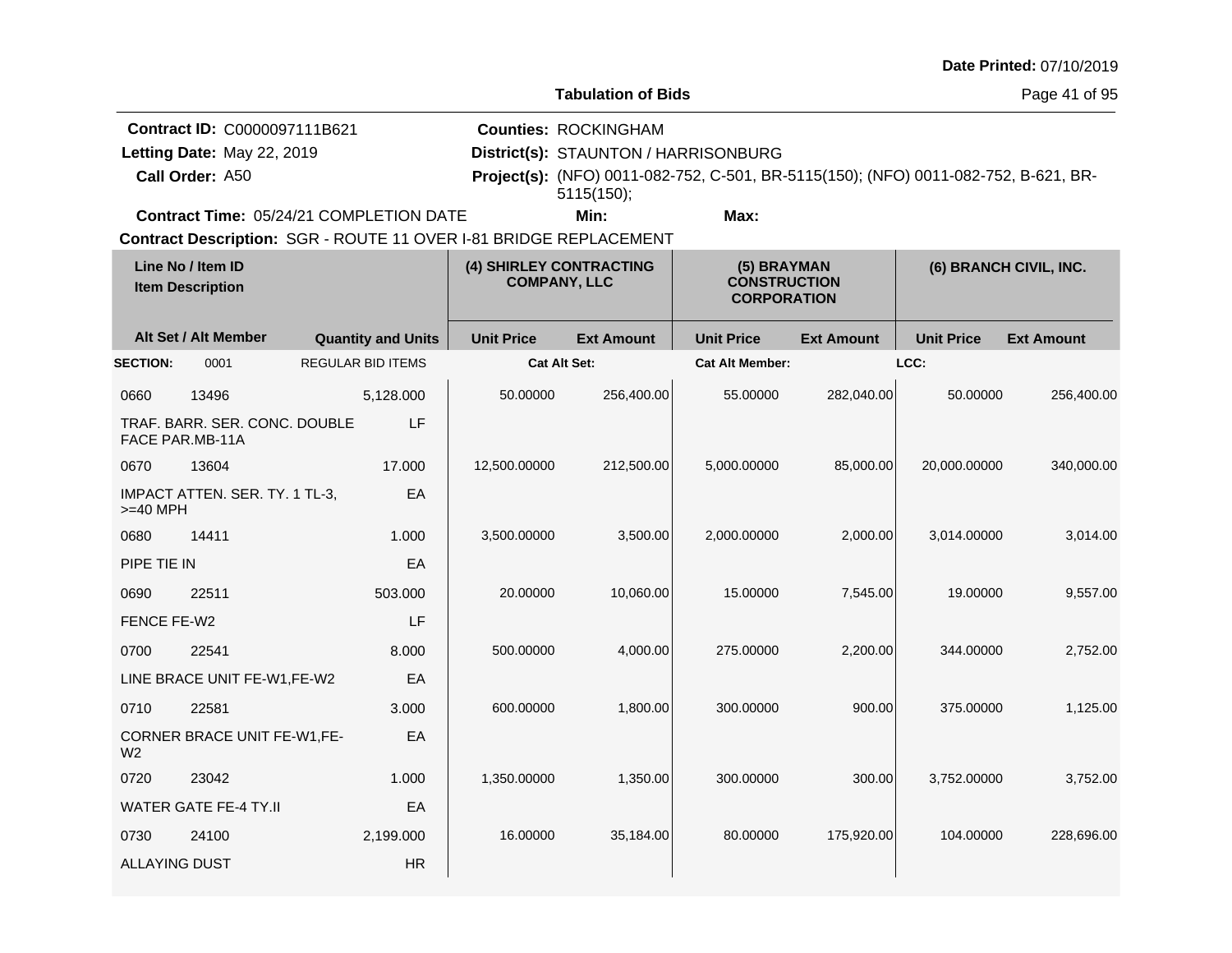|  |  | <b>Date Printed: 07/10/2019</b> |
|--|--|---------------------------------|
|--|--|---------------------------------|

Page 41 of 95

|                 | Contract ID: C0000097111B621                   | <b>Counties: ROCKINGHAM</b>          |      |                                                                                            |  |
|-----------------|------------------------------------------------|--------------------------------------|------|--------------------------------------------------------------------------------------------|--|
|                 | Letting Date: May 22, 2019                     | District(s): STAUNTON / HARRISONBURG |      |                                                                                            |  |
| Call Order: A50 |                                                | 5115(150);                           |      | <b>Project(s):</b> (NFO) 0011-082-752, C-501, BR-5115(150); (NFO) 0011-082-752, B-621, BR- |  |
|                 | <b>Contract Time: 05/24/21 COMPLETION DATE</b> | Min:                                 | Max: |                                                                                            |  |

| Line No / Item ID<br><b>Item Description</b> |                                | (4) SHIRLEY CONTRACTING<br><b>COMPANY, LLC</b> |                     | (5) BRAYMAN<br><b>CONSTRUCTION</b><br><b>CORPORATION</b> |                        | (6) BRANCH CIVIL, INC. |                   |                   |
|----------------------------------------------|--------------------------------|------------------------------------------------|---------------------|----------------------------------------------------------|------------------------|------------------------|-------------------|-------------------|
|                                              | Alt Set / Alt Member           | <b>Quantity and Units</b>                      | <b>Unit Price</b>   | <b>Ext Amount</b>                                        | <b>Unit Price</b>      | <b>Ext Amount</b>      | <b>Unit Price</b> | <b>Ext Amount</b> |
| <b>SECTION:</b>                              | 0001                           | <b>REGULAR BID ITEMS</b>                       | <b>Cat Alt Set:</b> |                                                          | <b>Cat Alt Member:</b> |                        | LCC:              |                   |
| 0660                                         | 13496                          | 5,128.000                                      | 50.00000            | 256,400.00                                               | 55.00000               | 282,040.00             | 50.00000          | 256,400.00        |
| <b>FACE PAR.MB-11A</b>                       | TRAF. BARR. SER. CONC. DOUBLE  | LF                                             |                     |                                                          |                        |                        |                   |                   |
| 0670                                         | 13604                          | 17.000                                         | 12,500.00000        | 212,500.00                                               | 5,000.00000            | 85,000.00              | 20,000.00000      | 340,000.00        |
| $>=$ 40 MPH                                  | IMPACT ATTEN. SER. TY. 1 TL-3, | EA                                             |                     |                                                          |                        |                        |                   |                   |
| 0680                                         | 14411                          | 1.000                                          | 3,500.00000         | 3,500.00                                                 | 2,000.00000            | 2,000.00               | 3,014.00000       | 3,014.00          |
| PIPE TIE IN                                  |                                | EA                                             |                     |                                                          |                        |                        |                   |                   |
| 0690                                         | 22511                          | 503.000                                        | 20.00000            | 10,060.00                                                | 15.00000               | 7,545.00               | 19.00000          | 9,557.00          |
| FENCE FE-W2                                  |                                | LF                                             |                     |                                                          |                        |                        |                   |                   |
| 0700                                         | 22541                          | 8.000                                          | 500.00000           | 4,000.00                                                 | 275.00000              | 2,200.00               | 344.00000         | 2,752.00          |
|                                              | LINE BRACE UNIT FE-W1,FE-W2    | EA                                             |                     |                                                          |                        |                        |                   |                   |
| 0710                                         | 22581                          | 3.000                                          | 600.00000           | 1,800.00                                                 | 300.00000              | 900.00                 | 375.00000         | 1,125.00          |
| W <sub>2</sub>                               | CORNER BRACE UNIT FE-W1,FE-    | EA                                             |                     |                                                          |                        |                        |                   |                   |
| 0720                                         | 23042                          | 1.000                                          | 1,350.00000         | 1,350.00                                                 | 300.00000              | 300.00                 | 3,752.00000       | 3,752.00          |
|                                              | <b>WATER GATE FE-4 TY.II</b>   | EA                                             |                     |                                                          |                        |                        |                   |                   |
| 0730                                         | 24100                          | 2,199.000                                      | 16.00000            | 35,184.00                                                | 80.00000               | 175,920.00             | 104.00000         | 228,696.00        |
| <b>ALLAYING DUST</b>                         |                                | <b>HR</b>                                      |                     |                                                          |                        |                        |                   |                   |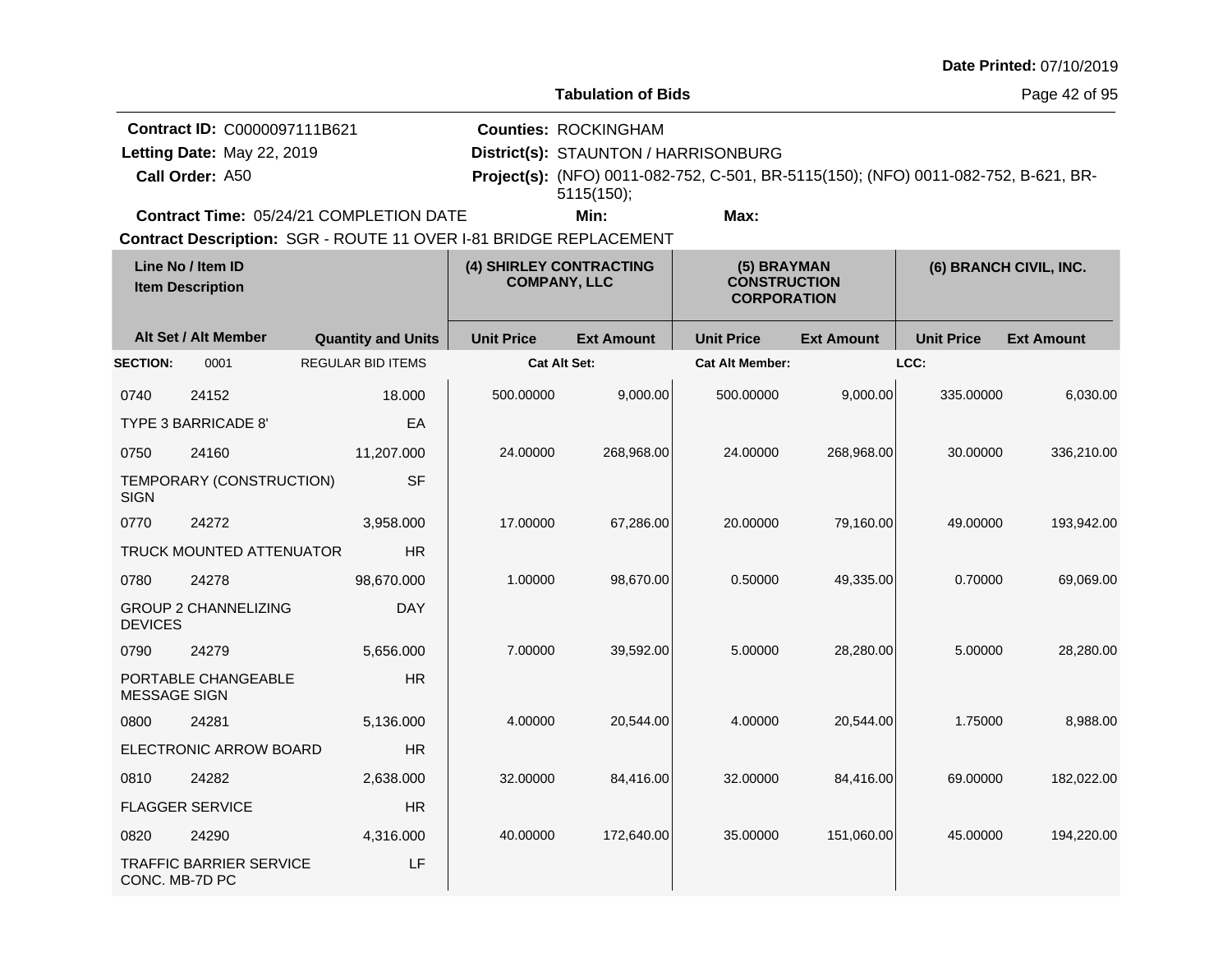| <b>Date Printed: 07/10/2019</b> |  |
|---------------------------------|--|
|---------------------------------|--|

Page 42 of 95

|                                                                   | <b>Contract ID: C0000097111B621</b>            |  | <b>Counties: ROCKINGHAM</b>          |      |                                                                                            |  |  |
|-------------------------------------------------------------------|------------------------------------------------|--|--------------------------------------|------|--------------------------------------------------------------------------------------------|--|--|
| Letting Date: May 22, 2019                                        |                                                |  | District(s): STAUNTON / HARRISONBURG |      |                                                                                            |  |  |
| <b>Call Order: A50</b>                                            |                                                |  | 5115(150);                           |      | <b>Project(s):</b> (NFO) 0011-082-752, C-501, BR-5115(150); (NFO) 0011-082-752, B-621, BR- |  |  |
|                                                                   | <b>Contract Time: 05/24/21 COMPLETION DATE</b> |  | Min:                                 | Max: |                                                                                            |  |  |
| Contract Description: SGR - ROUTE 11 OVER I-81 BRIDGE REPLACEMENT |                                                |  |                                      |      |                                                                                            |  |  |

| Line No / Item ID<br><b>Item Description</b>            |                                | (4) SHIRLEY CONTRACTING<br><b>COMPANY, LLC</b> |                     | (5) BRAYMAN<br><b>CONSTRUCTION</b><br><b>CORPORATION</b> |                        | (6) BRANCH CIVIL, INC. |                   |                   |
|---------------------------------------------------------|--------------------------------|------------------------------------------------|---------------------|----------------------------------------------------------|------------------------|------------------------|-------------------|-------------------|
|                                                         | Alt Set / Alt Member           | <b>Quantity and Units</b>                      | <b>Unit Price</b>   | <b>Ext Amount</b>                                        | <b>Unit Price</b>      | <b>Ext Amount</b>      | <b>Unit Price</b> | <b>Ext Amount</b> |
| <b>SECTION:</b>                                         | 0001                           | <b>REGULAR BID ITEMS</b>                       | <b>Cat Alt Set:</b> |                                                          | <b>Cat Alt Member:</b> |                        | LCC:              |                   |
| 0740                                                    | 24152                          | 18.000                                         | 500.00000           | 9,000.00                                                 | 500.00000              | 9,000.00               | 335.00000         | 6,030.00          |
|                                                         | TYPE 3 BARRICADE 8'            | EA                                             |                     |                                                          |                        |                        |                   |                   |
| 0750                                                    | 24160                          | 11,207.000                                     | 24.00000            | 268,968.00                                               | 24.00000               | 268,968.00             | 30.00000          | 336,210.00        |
| <b>SIGN</b>                                             | TEMPORARY (CONSTRUCTION)       | <b>SF</b>                                      |                     |                                                          |                        |                        |                   |                   |
| 0770                                                    | 24272                          | 3,958.000                                      | 17.00000            | 67,286.00                                                | 20.00000               | 79,160.00              | 49.00000          | 193,942.00        |
|                                                         | TRUCK MOUNTED ATTENUATOR       | <b>HR</b>                                      |                     |                                                          |                        |                        |                   |                   |
| 0780                                                    | 24278                          | 98,670.000                                     | 1.00000             | 98,670.00                                                | 0.50000                | 49,335.00              | 0.70000           | 69,069.00         |
| <b>DEVICES</b>                                          | <b>GROUP 2 CHANNELIZING</b>    | <b>DAY</b>                                     |                     |                                                          |                        |                        |                   |                   |
| 0790                                                    | 24279                          | 5,656.000                                      | 7.00000             | 39,592.00                                                | 5.00000                | 28,280.00              | 5.00000           | 28,280.00         |
| PORTABLE CHANGEABLE<br><b>HR</b><br><b>MESSAGE SIGN</b> |                                |                                                |                     |                                                          |                        |                        |                   |                   |
| 0800                                                    | 24281                          | 5,136.000                                      | 4.00000             | 20,544.00                                                | 4.00000                | 20,544.00              | 1.75000           | 8,988.00          |
|                                                         | ELECTRONIC ARROW BOARD         | <b>HR</b>                                      |                     |                                                          |                        |                        |                   |                   |
| 0810                                                    | 24282                          | 2,638.000                                      | 32.00000            | 84,416.00                                                | 32.00000               | 84,416.00              | 69.00000          | 182,022.00        |
| <b>FLAGGER SERVICE</b><br><b>HR</b>                     |                                |                                                |                     |                                                          |                        |                        |                   |                   |
| 0820                                                    | 24290                          | 4,316.000                                      | 40.00000            | 172,640.00                                               | 35.00000               | 151,060.00             | 45.00000          | 194,220.00        |
| CONC. MB-7D PC                                          | <b>TRAFFIC BARRIER SERVICE</b> | LF                                             |                     |                                                          |                        |                        |                   |                   |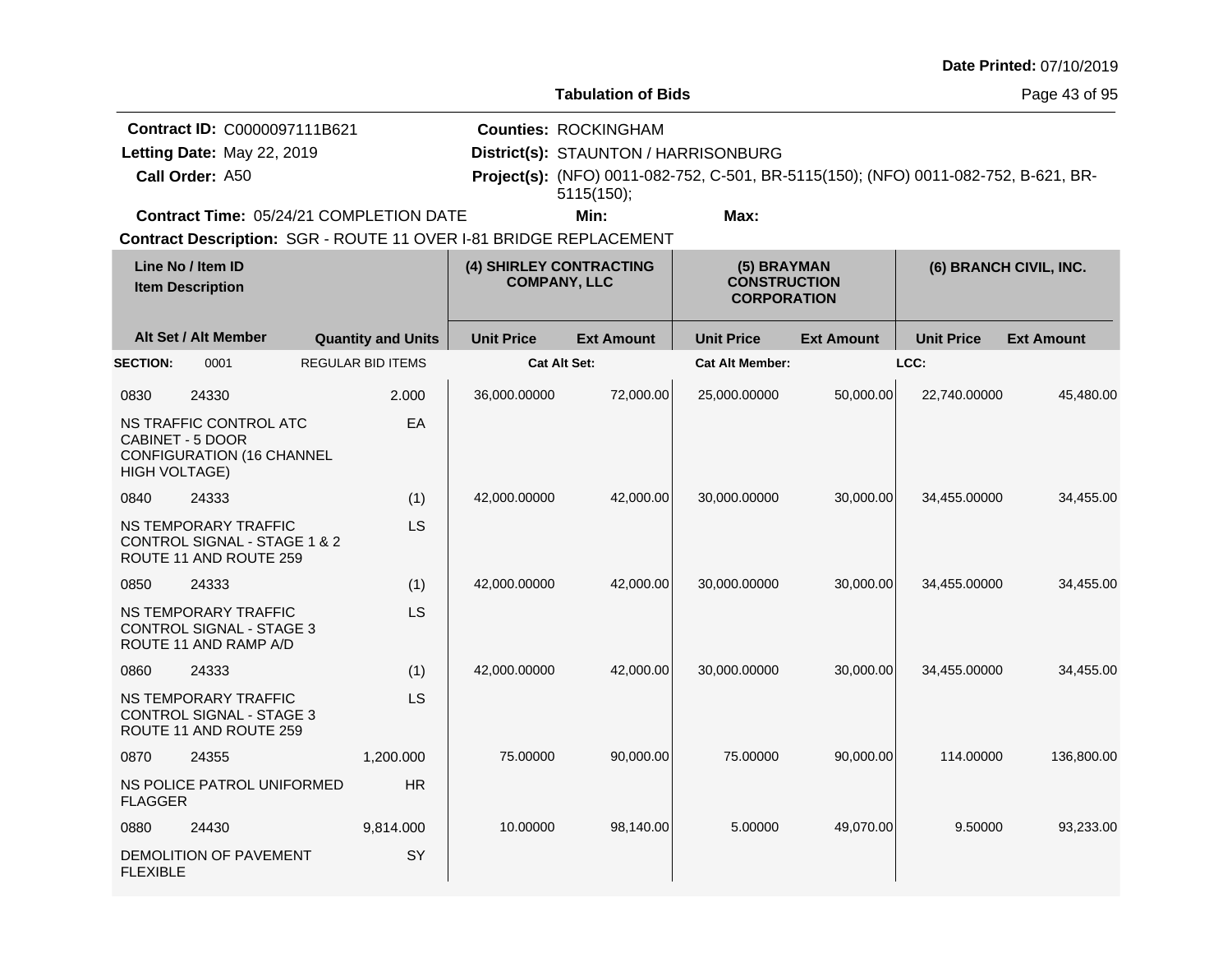|                                                |                                                                                   |                                                                   |                   |                                                                                   |                                                                                     |                   |                        | Date Printed: 07/10/2019 |
|------------------------------------------------|-----------------------------------------------------------------------------------|-------------------------------------------------------------------|-------------------|-----------------------------------------------------------------------------------|-------------------------------------------------------------------------------------|-------------------|------------------------|--------------------------|
|                                                |                                                                                   |                                                                   |                   | <b>Tabulation of Bids</b>                                                         |                                                                                     |                   |                        | Page 43 of 95            |
|                                                | Contract ID: C0000097111B621<br>Letting Date: May 22, 2019<br>Call Order: A50     |                                                                   |                   | <b>Counties: ROCKINGHAM</b><br>District(s): STAUNTON / HARRISONBURG<br>5115(150); | Project(s): (NFO) 0011-082-752, C-501, BR-5115(150); (NFO) 0011-082-752, B-621, BR- |                   |                        |                          |
| <b>Contract Time: 05/24/21 COMPLETION DATE</b> |                                                                                   |                                                                   | Min:              | Max:                                                                              |                                                                                     |                   |                        |                          |
|                                                |                                                                                   | Contract Description: SGR - ROUTE 11 OVER I-81 BRIDGE REPLACEMENT |                   |                                                                                   |                                                                                     |                   |                        |                          |
|                                                | Line No / Item ID<br><b>Item Description</b>                                      |                                                                   |                   | (4) SHIRLEY CONTRACTING<br><b>COMPANY, LLC</b>                                    | (5) BRAYMAN<br><b>CONSTRUCTION</b><br><b>CORPORATION</b>                            |                   | (6) BRANCH CIVIL, INC. |                          |
|                                                | Alt Set / Alt Member                                                              | <b>Quantity and Units</b>                                         | <b>Unit Price</b> | <b>Ext Amount</b>                                                                 | <b>Unit Price</b>                                                                   | <b>Ext Amount</b> | <b>Unit Price</b>      | <b>Ext Amount</b>        |
| <b>SECTION:</b>                                | 0001                                                                              | <b>REGULAR BID ITEMS</b>                                          |                   | Cat Alt Set:                                                                      | <b>Cat Alt Member:</b>                                                              |                   | LCC:                   |                          |
| 0830                                           | 24330                                                                             | 2.000                                                             | 36,000.00000      | 72,000.00                                                                         | 25,000.00000                                                                        | 50,000.00         | 22,740.00000           | 45,480.00                |
| <b>HIGH VOLTAGE)</b>                           | NS TRAFFIC CONTROL ATC<br>CABINET - 5 DOOR<br><b>CONFIGURATION (16 CHANNEL</b>    | EA                                                                |                   |                                                                                   |                                                                                     |                   |                        |                          |
| 0840                                           | 24333                                                                             | (1)                                                               | 42,000.00000      | 42,000.00                                                                         | 30,000.00000                                                                        | 30,000.00         | 34,455.00000           | 34,455.00                |
|                                                | NS TEMPORARY TRAFFIC<br>CONTROL SIGNAL - STAGE 1 & 2<br>ROUTE 11 AND ROUTE 259    | LS                                                                |                   |                                                                                   |                                                                                     |                   |                        |                          |
| 0850                                           | 24333                                                                             | (1)                                                               | 42,000.00000      | 42,000.00                                                                         | 30,000.00000                                                                        | 30,000.00         | 34,455.00000           | 34,455.00                |
|                                                | NS TEMPORARY TRAFFIC<br><b>CONTROL SIGNAL - STAGE 3</b><br>ROUTE 11 AND RAMP A/D  | LS                                                                |                   |                                                                                   |                                                                                     |                   |                        |                          |
| 0860                                           | 24333                                                                             | (1)                                                               | 42,000.00000      | 42,000.00                                                                         | 30,000.00000                                                                        | 30,000.00         | 34,455.00000           | 34,455.00                |
|                                                | NS TEMPORARY TRAFFIC<br><b>CONTROL SIGNAL - STAGE 3</b><br>ROUTE 11 AND ROUTE 259 | LS                                                                |                   |                                                                                   |                                                                                     |                   |                        |                          |
| 0870                                           | 24355                                                                             | 1,200.000                                                         | 75.00000          | 90,000.00                                                                         | 75.00000                                                                            | 90,000.00         | 114.00000              | 136,800.00               |
| <b>FLAGGER</b>                                 | NS POLICE PATROL UNIFORMED                                                        | <b>HR</b>                                                         |                   |                                                                                   |                                                                                     |                   |                        |                          |
| 0880                                           | 24430                                                                             | 9,814.000                                                         | 10.00000          | 98,140.00                                                                         | 5.00000                                                                             | 49,070.00         | 9.50000                | 93,233.00                |
| <b>FLEXIBLE</b>                                | DEMOLITION OF PAVEMENT                                                            | SY                                                                |                   |                                                                                   |                                                                                     |                   |                        |                          |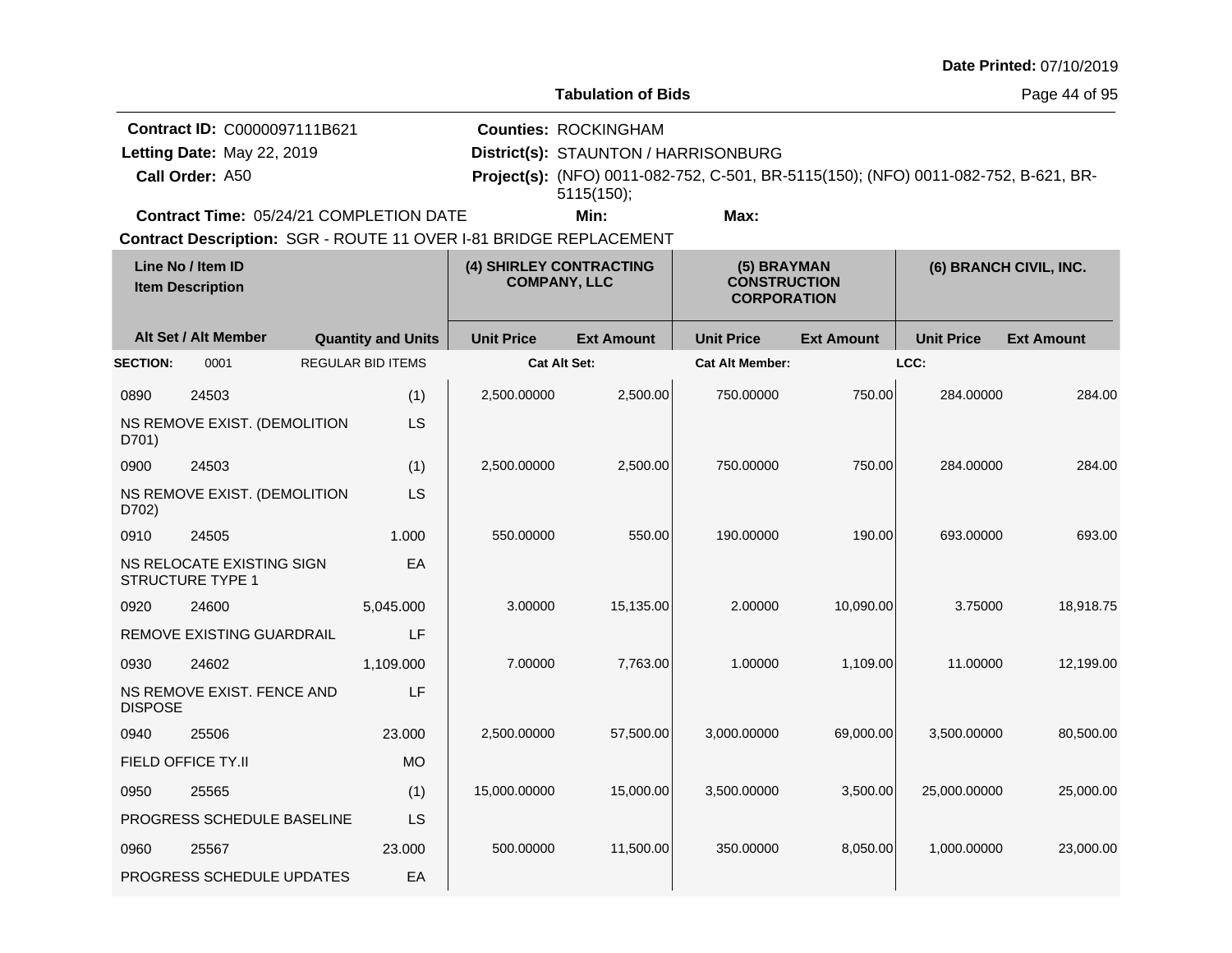|                 |                                                                               |                           |                                                |                                                                                   |                                                                                     |                   |                   | Date Printed: 07/10/2019 |
|-----------------|-------------------------------------------------------------------------------|---------------------------|------------------------------------------------|-----------------------------------------------------------------------------------|-------------------------------------------------------------------------------------|-------------------|-------------------|--------------------------|
|                 |                                                                               |                           |                                                | <b>Tabulation of Bids</b>                                                         |                                                                                     |                   |                   | Page 44 of 95            |
|                 | Contract ID: C0000097111B621<br>Letting Date: May 22, 2019<br>Call Order: A50 |                           |                                                | <b>Counties: ROCKINGHAM</b><br>District(s): STAUNTON / HARRISONBURG<br>5115(150); | Project(s): (NFO) 0011-082-752, C-501, BR-5115(150); (NFO) 0011-082-752, B-621, BR- |                   |                   |                          |
|                 | <b>Contract Time: 05/24/21 COMPLETION DATE</b>                                |                           |                                                | Min:                                                                              | Max:                                                                                |                   |                   |                          |
|                 | Contract Description: SGR - ROUTE 11 OVER I-81 BRIDGE REPLACEMENT             |                           |                                                |                                                                                   |                                                                                     |                   |                   |                          |
|                 | Line No / Item ID<br><b>Item Description</b>                                  |                           | (4) SHIRLEY CONTRACTING<br><b>COMPANY, LLC</b> |                                                                                   | (5) BRAYMAN<br><b>CONSTRUCTION</b><br><b>CORPORATION</b>                            |                   |                   | (6) BRANCH CIVIL, INC.   |
|                 | Alt Set / Alt Member                                                          | <b>Quantity and Units</b> | <b>Unit Price</b>                              | <b>Ext Amount</b>                                                                 | <b>Unit Price</b>                                                                   | <b>Ext Amount</b> | <b>Unit Price</b> | <b>Ext Amount</b>        |
| <b>SECTION:</b> | 0001                                                                          | <b>REGULAR BID ITEMS</b>  |                                                | <b>Cat Alt Set:</b>                                                               | <b>Cat Alt Member:</b>                                                              |                   | LCC:              |                          |
| 0890            | 24503                                                                         | (1)                       | 2,500.00000                                    | 2,500.00                                                                          | 750.00000                                                                           | 750.00            | 284.00000         | 284.00                   |
| D701)           | NS REMOVE EXIST. (DEMOLITION                                                  | <b>LS</b>                 |                                                |                                                                                   |                                                                                     |                   |                   |                          |
| 0900            | 24503                                                                         | (1)                       | 2,500.00000                                    | 2,500.00                                                                          | 750.00000                                                                           | 750.00            | 284.00000         | 284.00                   |
| D702)           | NS REMOVE EXIST. (DEMOLITION                                                  | <b>LS</b>                 |                                                |                                                                                   |                                                                                     |                   |                   |                          |
| 0910            | 24505                                                                         | 1.000                     | 550.00000                                      | 550.00                                                                            | 190.00000                                                                           | 190.00            | 693.00000         | 693.00                   |
|                 | NS RELOCATE EXISTING SIGN<br><b>STRUCTURE TYPE 1</b>                          | EA                        |                                                |                                                                                   |                                                                                     |                   |                   |                          |
| 0920            | 24600                                                                         | 5,045.000                 | 3.00000                                        | 15,135.00                                                                         | 2.00000                                                                             | 10,090.00         | 3.75000           | 18,918.75                |
|                 | <b>REMOVE EXISTING GUARDRAIL</b>                                              | LF                        |                                                |                                                                                   |                                                                                     |                   |                   |                          |
| 0930            | 24602                                                                         | 1,109.000                 | 7.00000                                        | 7,763.00                                                                          | 1.00000                                                                             | 1,109.00          | 11.00000          | 12,199.00                |
| <b>DISPOSE</b>  | NS REMOVE EXIST. FENCE AND                                                    | LF                        |                                                |                                                                                   |                                                                                     |                   |                   |                          |
| 0940            | 25506                                                                         | 23.000                    | 2,500.00000                                    | 57,500.00                                                                         | 3,000.00000                                                                         | 69,000.00         | 3,500.00000       | 80,500.00                |
|                 | FIELD OFFICE TY.II                                                            | MO                        |                                                |                                                                                   |                                                                                     |                   |                   |                          |
| 0950            | 25565                                                                         | (1)                       | 15,000.00000                                   | 15,000.00                                                                         | 3,500.00000                                                                         | 3,500.00          | 25,000.00000      | 25,000.00                |
|                 | PROGRESS SCHEDULE BASELINE                                                    | LS                        |                                                |                                                                                   |                                                                                     |                   |                   |                          |
| 0960            | 25567                                                                         | 23.000                    | 500.00000                                      | 11,500.00                                                                         | 350.00000                                                                           | 8,050.00          | 1,000.00000       | 23,000.00                |
|                 | PROGRESS SCHEDULE UPDATES                                                     | EA                        |                                                |                                                                                   |                                                                                     |                   |                   |                          |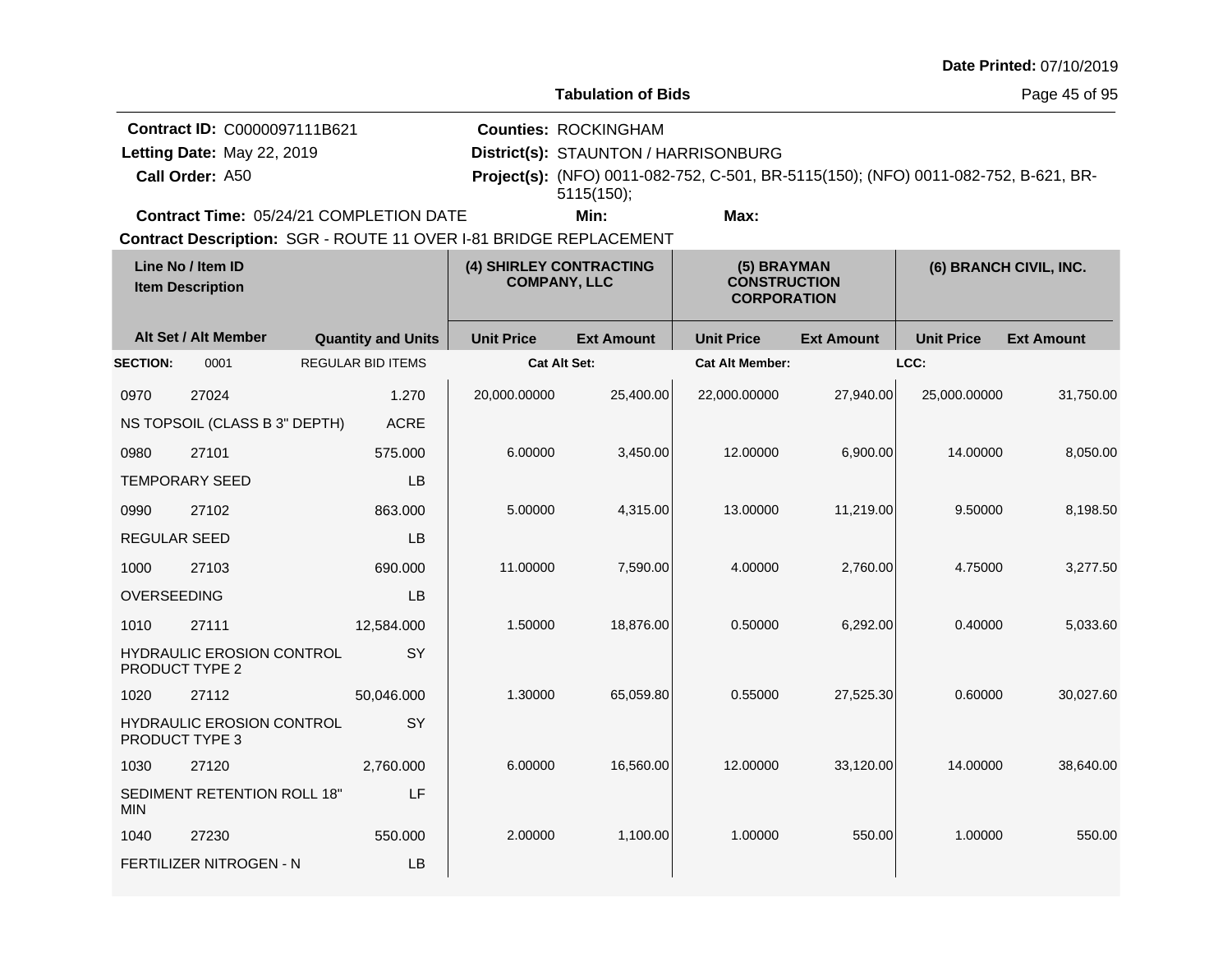|                     |                                                                   |                           |                                                |                                      |                                                                                     |                   |                   | Date Printed: 07/10/2019 |
|---------------------|-------------------------------------------------------------------|---------------------------|------------------------------------------------|--------------------------------------|-------------------------------------------------------------------------------------|-------------------|-------------------|--------------------------|
|                     |                                                                   |                           |                                                | <b>Tabulation of Bids</b>            |                                                                                     |                   |                   | Page 45 of 95            |
|                     | Contract ID: C0000097111B621                                      |                           |                                                | <b>Counties: ROCKINGHAM</b>          |                                                                                     |                   |                   |                          |
|                     | Letting Date: May 22, 2019                                        |                           |                                                | District(s): STAUNTON / HARRISONBURG |                                                                                     |                   |                   |                          |
|                     | Call Order: A50                                                   |                           |                                                | 5115(150);                           | Project(s): (NFO) 0011-082-752, C-501, BR-5115(150); (NFO) 0011-082-752, B-621, BR- |                   |                   |                          |
|                     | Contract Time: 05/24/21 COMPLETION DATE                           |                           |                                                | Min:                                 | Max:                                                                                |                   |                   |                          |
|                     | Contract Description: SGR - ROUTE 11 OVER I-81 BRIDGE REPLACEMENT |                           |                                                |                                      |                                                                                     |                   |                   |                          |
|                     | Line No / Item ID<br><b>Item Description</b>                      |                           | (4) SHIRLEY CONTRACTING<br><b>COMPANY, LLC</b> |                                      | (5) BRAYMAN<br><b>CONSTRUCTION</b><br><b>CORPORATION</b>                            |                   |                   | (6) BRANCH CIVIL, INC.   |
|                     | Alt Set / Alt Member                                              | <b>Quantity and Units</b> | <b>Unit Price</b>                              | <b>Ext Amount</b>                    | <b>Unit Price</b>                                                                   | <b>Ext Amount</b> | <b>Unit Price</b> | <b>Ext Amount</b>        |
| <b>SECTION:</b>     | 0001                                                              | <b>REGULAR BID ITEMS</b>  | <b>Cat Alt Set:</b>                            |                                      | <b>Cat Alt Member:</b>                                                              |                   | LCC:              |                          |
| 0970                | 27024                                                             | 1.270                     | 20,000.00000                                   | 25,400.00                            | 22,000.00000                                                                        | 27,940.00         | 25,000.00000      | 31,750.00                |
|                     | NS TOPSOIL (CLASS B 3" DEPTH)                                     | <b>ACRE</b>               |                                                |                                      |                                                                                     |                   |                   |                          |
| 0980                | 27101                                                             | 575.000                   | 6.00000                                        | 3,450.00                             | 12.00000                                                                            | 6,900.00          | 14.00000          | 8,050.00                 |
|                     | <b>TEMPORARY SEED</b>                                             | LВ                        |                                                |                                      |                                                                                     |                   |                   |                          |
| 0990                | 27102                                                             | 863.000                   | 5.00000                                        | 4,315.00                             | 13.00000                                                                            | 11,219.00         | 9.50000           | 8,198.50                 |
| <b>REGULAR SEED</b> |                                                                   | <b>LB</b>                 |                                                |                                      |                                                                                     |                   |                   |                          |
| 1000                | 27103                                                             | 690.000                   | 11.00000                                       | 7,590.00                             | 4.00000                                                                             | 2,760.00          | 4.75000           | 3,277.50                 |
| OVERSEEDING         |                                                                   | <b>LB</b>                 |                                                |                                      |                                                                                     |                   |                   |                          |
| 1010                | 27111                                                             | 12,584.000                | 1.50000                                        | 18,876.00                            | 0.50000                                                                             | 6,292.00          | 0.40000           | 5,033.60                 |
|                     | <b>HYDRAULIC EROSION CONTROL</b><br><b>PRODUCT TYPE 2</b>         | <b>SY</b>                 |                                                |                                      |                                                                                     |                   |                   |                          |
| 1020                | 27112                                                             | 50,046.000                | 1.30000                                        | 65,059.80                            | 0.55000                                                                             | 27,525.30         | 0.60000           | 30,027.60                |
|                     | <b>HYDRAULIC EROSION CONTROL</b><br><b>PRODUCT TYPE 3</b>         | SY                        |                                                |                                      |                                                                                     |                   |                   |                          |
| 1030                | 27120                                                             | 2,760.000                 | 6.00000                                        | 16,560.00                            | 12.00000                                                                            | 33,120.00         | 14.00000          | 38,640.00                |
| MIN.                | SEDIMENT RETENTION ROLL 18"                                       | LF                        |                                                |                                      |                                                                                     |                   |                   |                          |
| 1040                | 27230                                                             | 550.000                   | 2.00000                                        | 1,100.00                             | 1.00000                                                                             | 550.00            | 1.00000           | 550.00                   |

FERTILIZER NITROGEN - N

LB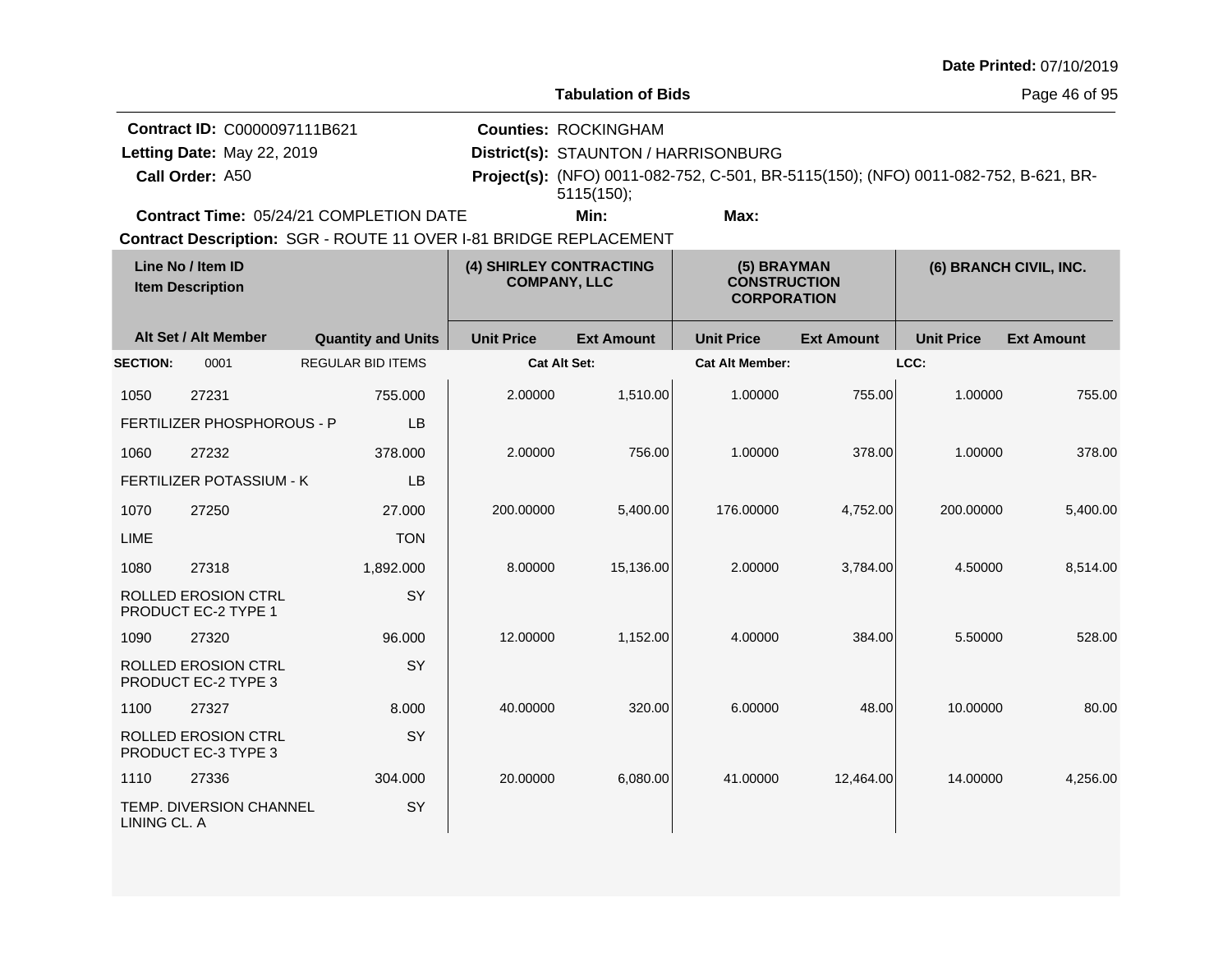| Date Printed: 07/10/2019 |  |
|--------------------------|--|
|--------------------------|--|

| Tabulation of Bids |  |
|--------------------|--|
|--------------------|--|

Page 46 of 95

| <b>Contract ID: C0000097111B621</b>            | <b>Counties: ROCKINGHAM</b>                                                                |      |  |  |
|------------------------------------------------|--------------------------------------------------------------------------------------------|------|--|--|
| Letting Date: May 22, 2019                     | District(s): STAUNTON / HARRISONBURG                                                       |      |  |  |
| Call Order: A50                                | <b>Project(s):</b> (NFO) 0011-082-752, C-501, BR-5115(150); (NFO) 0011-082-752, B-621, BR- |      |  |  |
|                                                | 5115(150);                                                                                 |      |  |  |
| <b>Contract Time: 05/24/21 COMPLETION DATE</b> | Min:                                                                                       | Max: |  |  |

| Line No / Item ID<br><b>Item Description</b> |                                                          | (4) SHIRLEY CONTRACTING<br><b>COMPANY, LLC</b> |                     | (5) BRAYMAN<br><b>CONSTRUCTION</b><br><b>CORPORATION</b> |                        | (6) BRANCH CIVIL, INC. |                   |                   |
|----------------------------------------------|----------------------------------------------------------|------------------------------------------------|---------------------|----------------------------------------------------------|------------------------|------------------------|-------------------|-------------------|
|                                              | Alt Set / Alt Member                                     | <b>Quantity and Units</b>                      | <b>Unit Price</b>   | <b>Ext Amount</b>                                        | <b>Unit Price</b>      | <b>Ext Amount</b>      | <b>Unit Price</b> | <b>Ext Amount</b> |
| <b>SECTION:</b>                              | 0001                                                     | <b>REGULAR BID ITEMS</b>                       | <b>Cat Alt Set:</b> |                                                          | <b>Cat Alt Member:</b> |                        | LCC:              |                   |
| 1050                                         | 27231                                                    | 755.000                                        | 2.00000             | 1,510.00                                                 | 1.00000                | 755.00                 | 1.00000           | 755.00            |
|                                              | FERTILIZER PHOSPHOROUS - P                               | LB                                             |                     |                                                          |                        |                        |                   |                   |
| 1060                                         | 27232                                                    | 378,000                                        | 2.00000             | 756.00                                                   | 1.00000                | 378.00                 | 1.00000           | 378.00            |
|                                              | FERTILIZER POTASSIUM - K                                 | LB                                             |                     |                                                          |                        |                        |                   |                   |
| 1070                                         | 27250                                                    | 27.000                                         | 200.00000           | 5,400.00                                                 | 176.00000              | 4,752.00               | 200.00000         | 5,400.00          |
| <b>LIME</b>                                  |                                                          | <b>TON</b>                                     |                     |                                                          |                        |                        |                   |                   |
| 1080                                         | 27318                                                    | 1,892.000                                      | 8.00000             | 15,136.00                                                | 2.00000                | 3,784.00               | 4.50000           | 8,514.00          |
|                                              | ROLLED EROSION CTRL<br>PRODUCT EC-2 TYPE 1               | SY                                             |                     |                                                          |                        |                        |                   |                   |
| 1090                                         | 27320                                                    | 96.000                                         | 12.00000            | 1,152.00                                                 | 4.00000                | 384.00                 | 5.50000           | 528.00            |
|                                              | <b>ROLLED EROSION CTRL</b><br>PRODUCT EC-2 TYPE 3        | SY                                             |                     |                                                          |                        |                        |                   |                   |
| 1100                                         | 27327                                                    | 8.000                                          | 40.00000            | 320.00                                                   | 6.00000                | 48.00                  | 10.00000          | 80.00             |
|                                              | <b>ROLLED EROSION CTRL</b><br><b>PRODUCT EC-3 TYPE 3</b> | SY                                             |                     |                                                          |                        |                        |                   |                   |
| 1110                                         | 27336                                                    | 304.000                                        | 20.00000            | 6,080.00                                                 | 41.00000               | 12,464.00              | 14.00000          | 4,256.00          |
| LINING CL. A                                 | TEMP. DIVERSION CHANNEL                                  | SY                                             |                     |                                                          |                        |                        |                   |                   |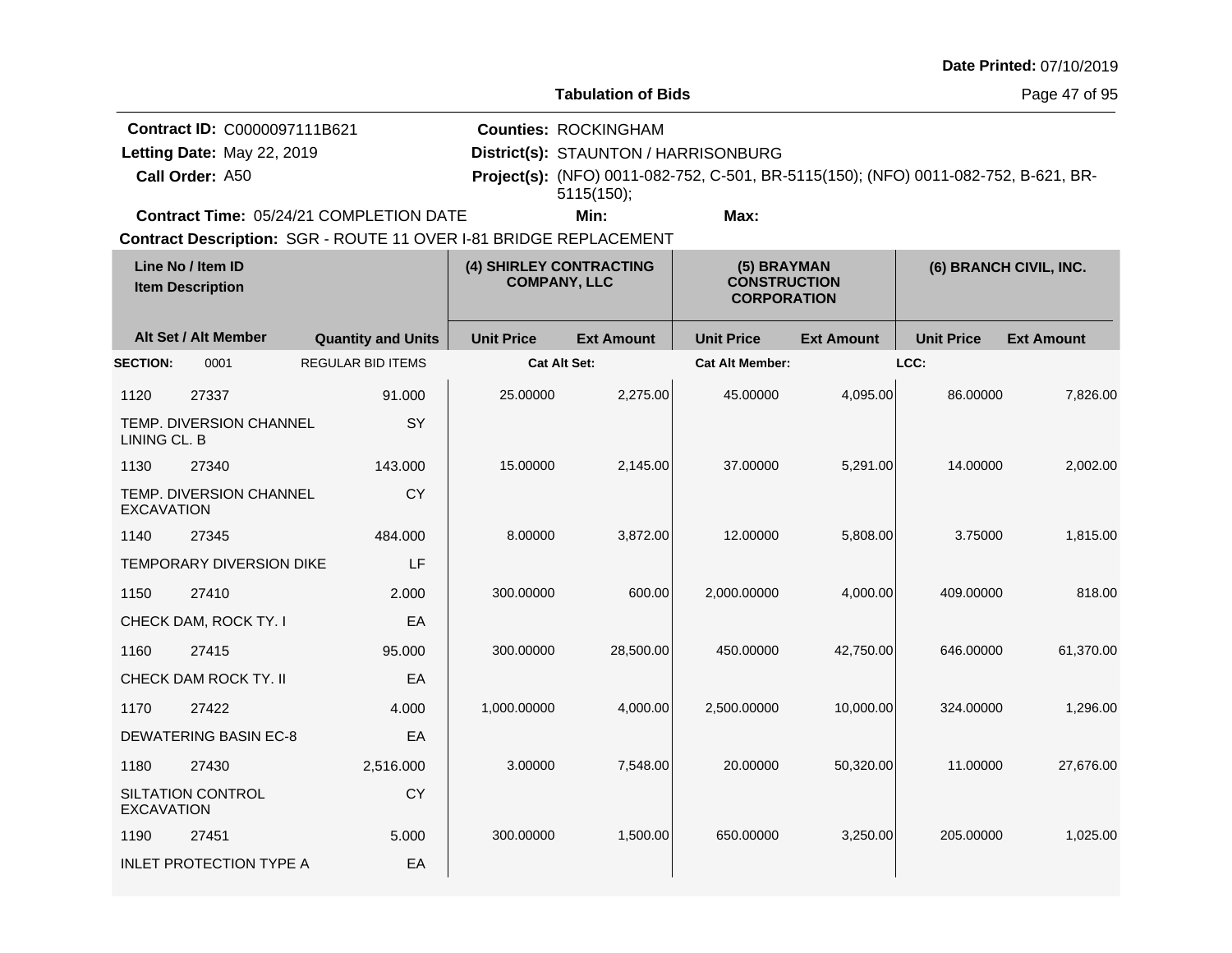| Date Printed: 07/10/2019 |  |
|--------------------------|--|
|--------------------------|--|

Page 47 of 95

| Contract ID: C0000097111B621            | <b>Counties: ROCKINGHAM</b>          |                                                                                            |  |
|-----------------------------------------|--------------------------------------|--------------------------------------------------------------------------------------------|--|
| Letting Date: May 22, 2019              | District(s): STAUNTON / HARRISONBURG |                                                                                            |  |
| <b>Call Order: A50</b>                  | 5115(150)                            | <b>Project(s):</b> (NFO) 0011-082-752, C-501, BR-5115(150); (NFO) 0011-082-752, B-621, BR- |  |
| Contract Time: 05/24/21 COMPLETION DATE | Min:                                 | Max:                                                                                       |  |

|                   | Line No / Item ID<br><b>Item Description</b> |                           |                     | (4) SHIRLEY CONTRACTING<br>(5) BRAYMAN<br><b>COMPANY, LLC</b><br><b>CONSTRUCTION</b><br><b>CORPORATION</b> |                        |                   |                   | (6) BRANCH CIVIL, INC. |
|-------------------|----------------------------------------------|---------------------------|---------------------|------------------------------------------------------------------------------------------------------------|------------------------|-------------------|-------------------|------------------------|
|                   | Alt Set / Alt Member                         | <b>Quantity and Units</b> | <b>Unit Price</b>   | <b>Ext Amount</b>                                                                                          | <b>Unit Price</b>      | <b>Ext Amount</b> | <b>Unit Price</b> | <b>Ext Amount</b>      |
| <b>SECTION:</b>   | 0001                                         | REGULAR BID ITEMS         | <b>Cat Alt Set:</b> |                                                                                                            | <b>Cat Alt Member:</b> |                   | LCC:              |                        |
| 1120              | 27337                                        | 91.000                    | 25.00000            | 2,275.00                                                                                                   | 45.00000               | 4,095.00          | 86.00000          | 7,826.00               |
| LINING CL. B      | TEMP. DIVERSION CHANNEL                      | SY                        |                     |                                                                                                            |                        |                   |                   |                        |
| 1130              | 27340                                        | 143.000                   | 15.00000            | 2,145.00                                                                                                   | 37.00000               | 5,291.00          | 14.00000          | 2,002.00               |
| <b>EXCAVATION</b> | TEMP. DIVERSION CHANNEL                      | CY                        |                     |                                                                                                            |                        |                   |                   |                        |
| 1140              | 27345                                        | 484.000                   | 8.00000             | 3,872.00                                                                                                   | 12.00000               | 5,808.00          | 3.75000           | 1,815.00               |
|                   | <b>TEMPORARY DIVERSION DIKE</b>              | LF                        |                     |                                                                                                            |                        |                   |                   |                        |
| 1150              | 27410                                        | 2.000                     | 300.00000           | 600.00                                                                                                     | 2,000.00000            | 4,000.00          | 409.00000         | 818.00                 |
|                   | CHECK DAM, ROCK TY. I                        | EA                        |                     |                                                                                                            |                        |                   |                   |                        |
| 1160              | 27415                                        | 95,000                    | 300.00000           | 28,500.00                                                                                                  | 450.00000              | 42,750.00         | 646.00000         | 61,370.00              |
|                   | CHECK DAM ROCK TY. II                        | EA                        |                     |                                                                                                            |                        |                   |                   |                        |
| 1170              | 27422                                        | 4.000                     | 1,000.00000         | 4,000.00                                                                                                   | 2,500.00000            | 10,000.00         | 324.00000         | 1,296.00               |
|                   | <b>DEWATERING BASIN EC-8</b>                 | EA                        |                     |                                                                                                            |                        |                   |                   |                        |
| 1180              | 27430                                        | 2,516.000                 | 3.00000             | 7,548.00                                                                                                   | 20.00000               | 50,320.00         | 11.00000          | 27,676.00              |
| <b>EXCAVATION</b> | SILTATION CONTROL                            | CY                        |                     |                                                                                                            |                        |                   |                   |                        |
| 1190              | 27451                                        | 5.000                     | 300.00000           | 1,500.00                                                                                                   | 650.00000              | 3,250.00          | 205.00000         | 1,025.00               |
|                   | <b>INLET PROTECTION TYPE A</b>               | EA                        |                     |                                                                                                            |                        |                   |                   |                        |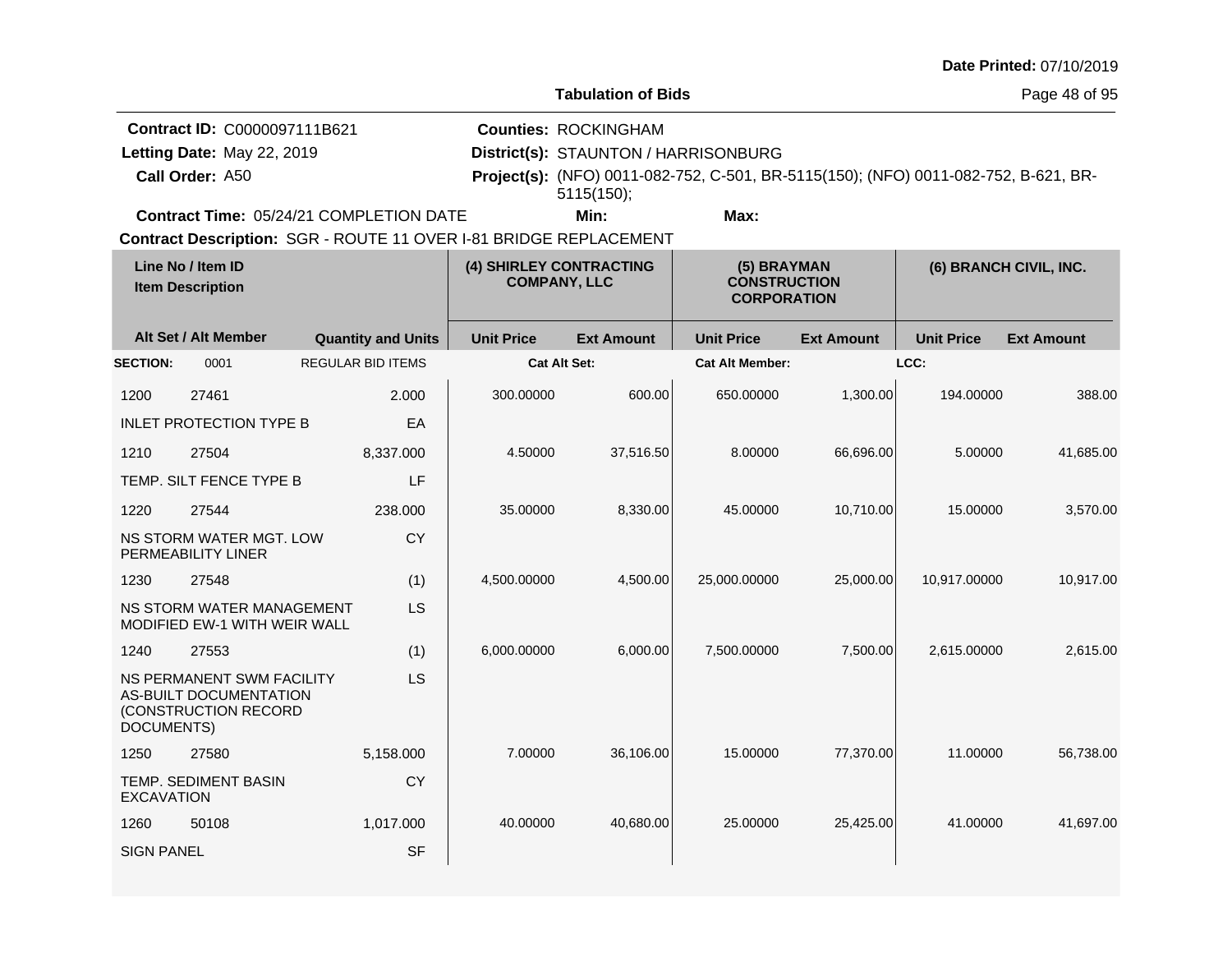| Date Printed: 07/10/2019 |  |
|--------------------------|--|
|--------------------------|--|

المنازل

Page 48 of 95

| <b>Contract ID: C0000097111B621</b>                                    | <b>Counties: ROCKINGHAM</b>          |      |                                                                                     |  |  |
|------------------------------------------------------------------------|--------------------------------------|------|-------------------------------------------------------------------------------------|--|--|
| Letting Date: May 22, 2019                                             | District(s): STAUNTON / HARRISONBURG |      |                                                                                     |  |  |
| <b>Call Order: A50</b>                                                 | 5115(150)                            |      | Project(s): (NFO) 0011-082-752, C-501, BR-5115(150); (NFO) 0011-082-752, B-621, BR- |  |  |
| <b>Contract Time: 05/24/21 COMPLETION DATE</b>                         | Min:                                 | Max: |                                                                                     |  |  |
| <b>Contract Benerations: COD, DOUTE 44 OVED LOA DRIBOE BEDLACEMENT</b> |                                      |      |                                                                                     |  |  |

| Line No / Item ID<br><b>Item Description</b> |                                                                             |                           | (4) SHIRLEY CONTRACTING<br><b>COMPANY, LLC</b> |                   | (5) BRAYMAN<br><b>CONSTRUCTION</b><br><b>CORPORATION</b> | (6) BRANCH CIVIL, INC. |                   |                   |
|----------------------------------------------|-----------------------------------------------------------------------------|---------------------------|------------------------------------------------|-------------------|----------------------------------------------------------|------------------------|-------------------|-------------------|
|                                              | Alt Set / Alt Member                                                        | <b>Quantity and Units</b> | <b>Unit Price</b>                              | <b>Ext Amount</b> | <b>Unit Price</b>                                        | <b>Ext Amount</b>      | <b>Unit Price</b> | <b>Ext Amount</b> |
| <b>SECTION:</b>                              | 0001                                                                        | <b>REGULAR BID ITEMS</b>  | <b>Cat Alt Set:</b>                            |                   | <b>Cat Alt Member:</b>                                   |                        | LCC:              |                   |
| 1200                                         | 27461                                                                       | 2.000                     | 300.00000                                      | 600.00            | 650.00000                                                | 1,300.00               | 194.00000         | 388.00            |
|                                              | <b>INLET PROTECTION TYPE B</b>                                              | EA                        |                                                |                   |                                                          |                        |                   |                   |
| 1210                                         | 27504                                                                       | 8,337.000                 | 4.50000                                        | 37,516.50         | 8.00000                                                  | 66,696.00              | 5.00000           | 41,685.00         |
|                                              | TEMP. SILT FENCE TYPE B                                                     | LF                        |                                                |                   |                                                          |                        |                   |                   |
| 1220                                         | 27544                                                                       | 238,000                   | 35.00000                                       | 8,330.00          | 45.00000                                                 | 10,710.00              | 15.00000          | 3,570.00          |
|                                              | NS STORM WATER MGT. LOW<br>PERMEABILITY LINER                               | <b>CY</b>                 |                                                |                   |                                                          |                        |                   |                   |
| 1230                                         | 27548                                                                       | (1)                       | 4,500.00000                                    | 4,500.00          | 25,000.00000                                             | 25,000.00              | 10,917.00000      | 10,917.00         |
|                                              | NS STORM WATER MANAGEMENT<br><b>MODIFIED EW-1 WITH WEIR WALL</b>            | LS                        |                                                |                   |                                                          |                        |                   |                   |
| 1240                                         | 27553                                                                       | (1)                       | 6,000.00000                                    | 6,000.00          | 7,500.00000                                              | 7,500.00               | 2,615.00000       | 2,615.00          |
| DOCUMENTS)                                   | NS PERMANENT SWM FACILITY<br>AS-BUILT DOCUMENTATION<br>(CONSTRUCTION RECORD | <b>LS</b>                 |                                                |                   |                                                          |                        |                   |                   |
| 1250                                         | 27580                                                                       | 5,158.000                 | 7.00000                                        | 36,106.00         | 15.00000                                                 | 77,370.00              | 11.00000          | 56,738.00         |
| <b>EXCAVATION</b>                            | <b>TEMP, SEDIMENT BASIN</b>                                                 | <b>CY</b>                 |                                                |                   |                                                          |                        |                   |                   |
| 1260                                         | 50108                                                                       | 1,017.000                 | 40.00000                                       | 40,680.00         | 25.00000                                                 | 25,425.00              | 41.00000          | 41,697.00         |
| <b>SIGN PANEL</b>                            |                                                                             | <b>SF</b>                 |                                                |                   |                                                          |                        |                   |                   |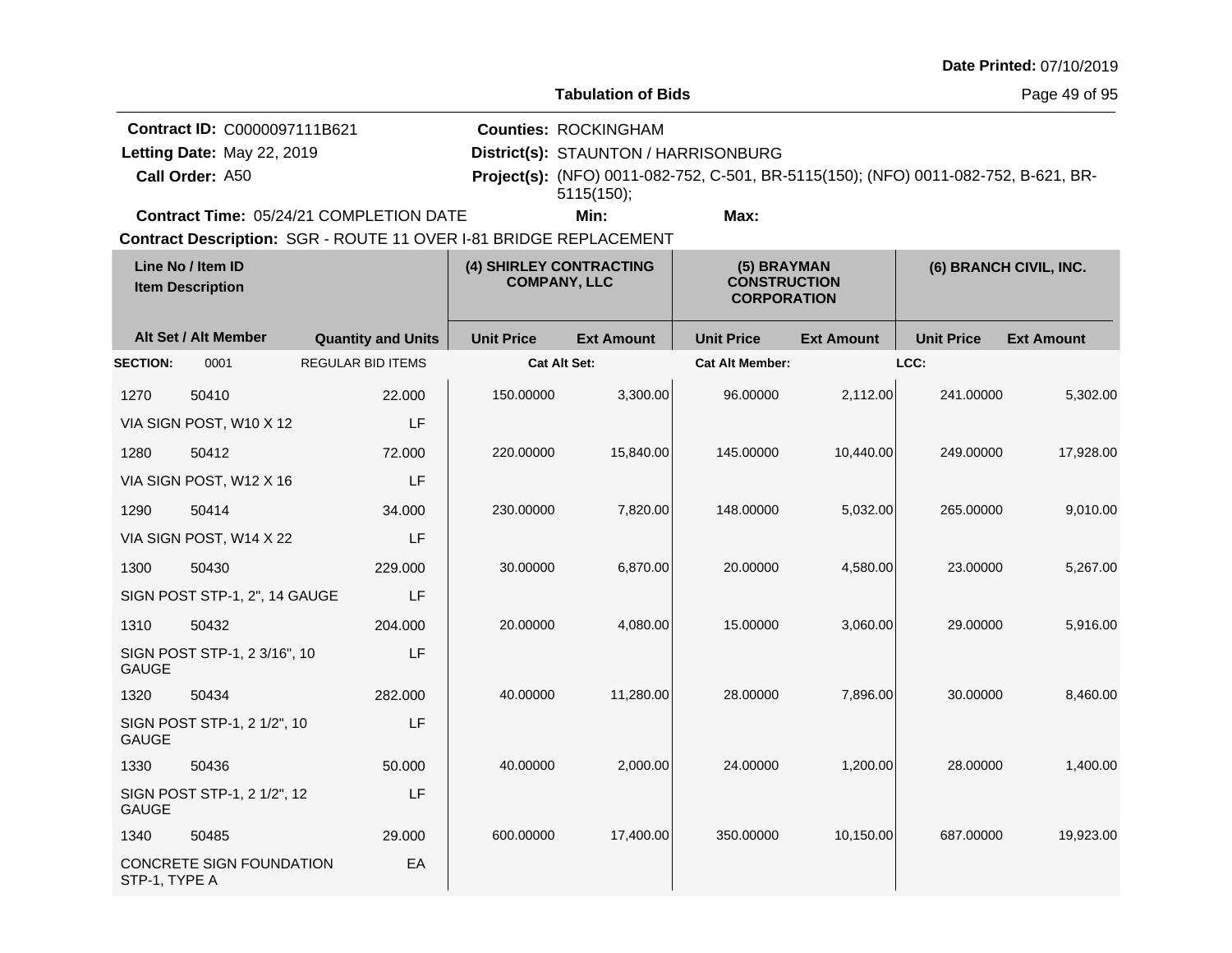| Date Printed: 07/10/2019 |  |  |
|--------------------------|--|--|
|--------------------------|--|--|

**Tabulation of Bids**

Page 49 of 95

| Contract ID: C0000097111B621                   | <b>Counties: ROCKINGHAM</b>          |      |  |                                                                                            |
|------------------------------------------------|--------------------------------------|------|--|--------------------------------------------------------------------------------------------|
| Letting Date: May 22, 2019                     | District(s): STAUNTON / HARRISONBURG |      |  |                                                                                            |
| Call Order: A50                                | $5115(150)$ ;                        |      |  | <b>Project(s):</b> (NFO) 0011-082-752, C-501, BR-5115(150); (NFO) 0011-082-752, B-621, BR- |
| <b>Contract Time: 05/24/21 COMPLETION DATE</b> | Min:                                 | Max: |  |                                                                                            |
|                                                |                                      |      |  |                                                                                            |

| Line No / Item ID<br><b>Item Description</b> |                               | (4) SHIRLEY CONTRACTING<br><b>COMPANY, LLC</b> |                     | (5) BRAYMAN<br><b>CONSTRUCTION</b><br><b>CORPORATION</b> |                        | (6) BRANCH CIVIL, INC. |                   |                   |
|----------------------------------------------|-------------------------------|------------------------------------------------|---------------------|----------------------------------------------------------|------------------------|------------------------|-------------------|-------------------|
|                                              | Alt Set / Alt Member          | <b>Quantity and Units</b>                      | <b>Unit Price</b>   | <b>Ext Amount</b>                                        | <b>Unit Price</b>      | <b>Ext Amount</b>      | <b>Unit Price</b> | <b>Ext Amount</b> |
| <b>SECTION:</b>                              | 0001                          | <b>REGULAR BID ITEMS</b>                       | <b>Cat Alt Set:</b> |                                                          | <b>Cat Alt Member:</b> |                        | LCC:              |                   |
| 1270                                         | 50410                         | 22,000                                         | 150.00000           | 3,300.00                                                 | 96.00000               | 2,112.00               | 241.00000         | 5,302.00          |
|                                              | VIA SIGN POST, W10 X 12       | LF                                             |                     |                                                          |                        |                        |                   |                   |
| 1280                                         | 50412                         | 72,000                                         | 220.00000           | 15,840.00                                                | 145.00000              | 10,440.00              | 249.00000         | 17,928.00         |
|                                              | VIA SIGN POST, W12 X 16       | LF                                             |                     |                                                          |                        |                        |                   |                   |
| 1290                                         | 50414                         | 34.000                                         | 230.00000           | 7,820.00                                                 | 148.00000              | 5,032.00               | 265.00000         | 9,010.00          |
|                                              | VIA SIGN POST, W14 X 22       | LF                                             |                     |                                                          |                        |                        |                   |                   |
| 1300                                         | 50430                         | 229,000                                        | 30.00000            | 6,870.00                                                 | 20.00000               | 4,580.00               | 23.00000          | 5,267.00          |
|                                              | SIGN POST STP-1, 2", 14 GAUGE | LF                                             |                     |                                                          |                        |                        |                   |                   |
| 1310                                         | 50432                         | 204.000                                        | 20.00000            | 4,080.00                                                 | 15.00000               | 3,060.00               | 29.00000          | 5,916.00          |
| <b>GAUGE</b>                                 | SIGN POST STP-1, 2 3/16", 10  | LF                                             |                     |                                                          |                        |                        |                   |                   |
| 1320                                         | 50434                         | 282.000                                        | 40.00000            | 11,280.00                                                | 28.00000               | 7,896.00               | 30.00000          | 8,460.00          |
| <b>GAUGE</b>                                 | SIGN POST STP-1, 2 1/2", 10   | LF                                             |                     |                                                          |                        |                        |                   |                   |
| 1330                                         | 50436                         | 50.000                                         | 40.00000            | 2,000.00                                                 | 24.00000               | 1,200.00               | 28.00000          | 1,400.00          |
| <b>GAUGE</b>                                 | SIGN POST STP-1, 2 1/2", 12   | LF                                             |                     |                                                          |                        |                        |                   |                   |
| 1340                                         | 50485                         | 29,000                                         | 600.00000           | 17,400.00                                                | 350.00000              | 10,150.00              | 687.00000         | 19,923.00         |
| STP-1, TYPE A                                | CONCRETE SIGN FOUNDATION      | EA                                             |                     |                                                          |                        |                        |                   |                   |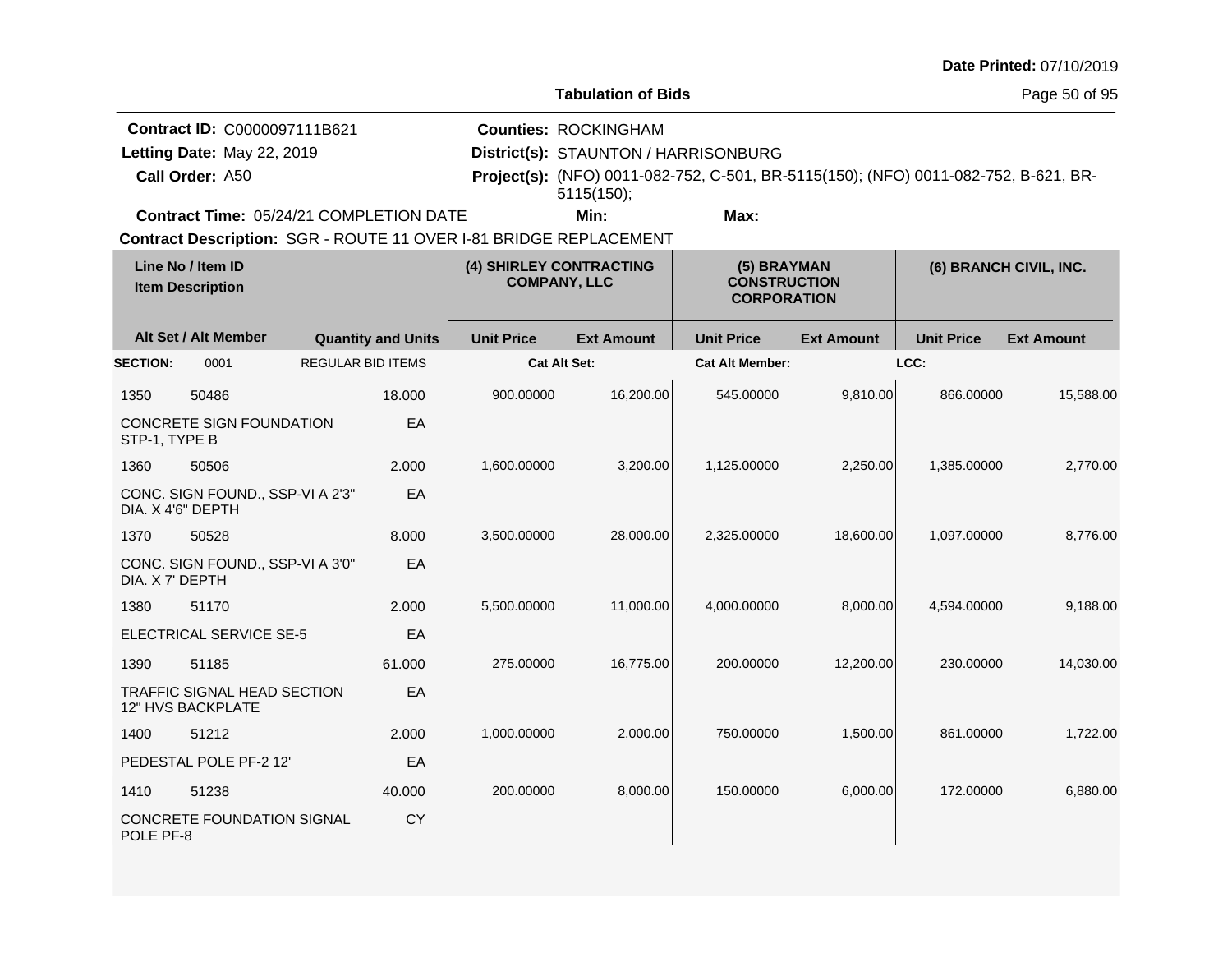|                                     |                                      | <b>Date Printed: 07/10/2019</b> |
|-------------------------------------|--------------------------------------|---------------------------------|
|                                     | <b>Tabulation of Bids</b>            | Page 50 of 95                   |
| <b>Contract ID: C0000097111B621</b> | <b>Counties: ROCKINGHAM</b>          |                                 |
| Letting Date: May 22, 2019          | District(s): STAUNTON / HARRISONBURG |                                 |

**Contract Time:** 05/24/21 COMPLETION DATE

**Call Order:**

Letting Date: May 22, 2019

**Min: Max:**

A50 **Project(s):** (NFO) 0011-082-752, C-501, BR-5115(150); (NFO) 0011-082-752, B-621, BR-

**Contract Description: SGR - ROUTE 11 OVER I-81 BRIDGE REPLACEMENT** 

| Line No / Item ID<br><b>Item Description</b> |                                                         | (4) SHIRLEY CONTRACTING<br><b>COMPANY, LLC</b> |           | (5) BRAYMAN<br><b>CONSTRUCTION</b><br><b>CORPORATION</b> |                   | (6) BRANCH CIVIL, INC. |                   |                   |                   |
|----------------------------------------------|---------------------------------------------------------|------------------------------------------------|-----------|----------------------------------------------------------|-------------------|------------------------|-------------------|-------------------|-------------------|
|                                              | Alt Set / Alt Member                                    | <b>Quantity and Units</b>                      |           | <b>Unit Price</b>                                        | <b>Ext Amount</b> | <b>Unit Price</b>      | <b>Ext Amount</b> | <b>Unit Price</b> | <b>Ext Amount</b> |
| <b>SECTION:</b>                              | 0001                                                    | <b>REGULAR BID ITEMS</b>                       |           | <b>Cat Alt Set:</b>                                      |                   | <b>Cat Alt Member:</b> |                   | LCC:              |                   |
| 1350                                         | 50486                                                   |                                                | 18.000    | 900.00000                                                | 16,200.00         | 545.00000              | 9,810.00          | 866.00000         | 15,588.00         |
| STP-1, TYPE B                                | <b>CONCRETE SIGN FOUNDATION</b>                         |                                                | EA        |                                                          |                   |                        |                   |                   |                   |
| 1360                                         | 50506                                                   |                                                | 2.000     | 1,600.00000                                              | 3,200.00          | 1,125.00000            | 2,250.00          | 1,385.00000       | 2,770.00          |
| DIA, X 4'6" DEPTH                            | CONC. SIGN FOUND., SSP-VI A 2'3"                        |                                                | EA        |                                                          |                   |                        |                   |                   |                   |
| 1370                                         | 50528                                                   |                                                | 8.000     | 3,500.00000                                              | 28,000.00         | 2,325.00000            | 18,600.00         | 1,097.00000       | 8,776.00          |
| DIA. X 7' DEPTH                              | CONC. SIGN FOUND., SSP-VI A 3'0"                        |                                                | EA        |                                                          |                   |                        |                   |                   |                   |
| 1380                                         | 51170                                                   |                                                | 2.000     | 5,500.00000                                              | 11,000.00         | 4,000.00000            | 8,000.00          | 4,594.00000       | 9,188.00          |
|                                              | ELECTRICAL SERVICE SE-5                                 |                                                | EA        |                                                          |                   |                        |                   |                   |                   |
| 1390                                         | 51185                                                   |                                                | 61.000    | 275.00000                                                | 16,775.00         | 200.00000              | 12,200.00         | 230.00000         | 14,030.00         |
|                                              | <b>TRAFFIC SIGNAL HEAD SECTION</b><br>12" HVS BACKPLATE |                                                | EA        |                                                          |                   |                        |                   |                   |                   |
| 1400                                         | 51212                                                   |                                                | 2.000     | 1,000.00000                                              | 2,000.00          | 750.00000              | 1,500.00          | 861.00000         | 1,722.00          |
|                                              | PEDESTAL POLE PF-2 12'                                  |                                                | EA        |                                                          |                   |                        |                   |                   |                   |
| 1410                                         | 51238                                                   |                                                | 40.000    | 200.00000                                                | 8,000.00          | 150.00000              | 6,000.00          | 172.00000         | 6,880.00          |
| POLE PF-8                                    | CONCRETE FOUNDATION SIGNAL                              |                                                | <b>CY</b> |                                                          |                   |                        |                   |                   |                   |

5115(150);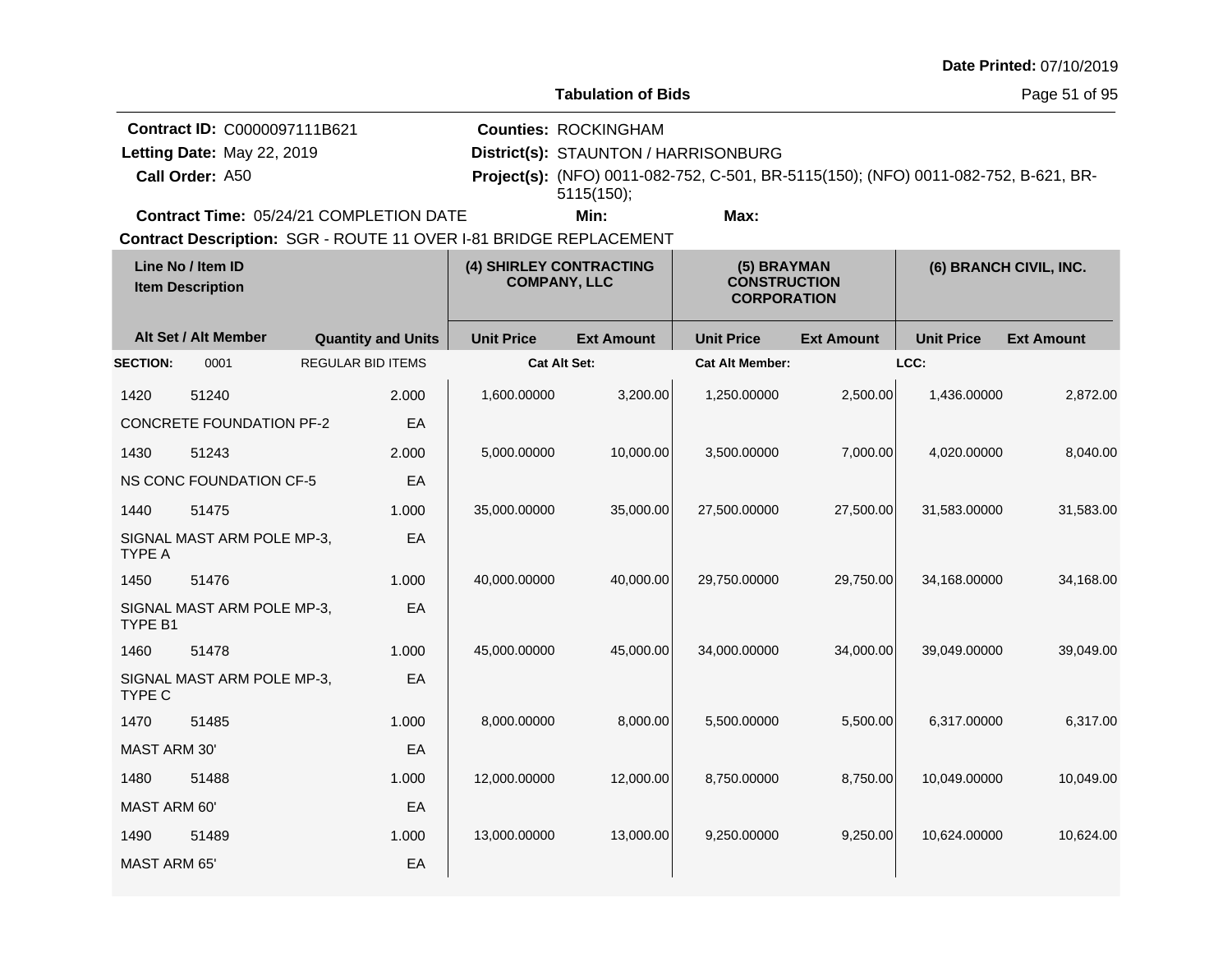|                     |                                                                               |                                                                   |                                                |                                                                                   |                                                                                     |                   |                   | Date Printed: 07/10/2019 |
|---------------------|-------------------------------------------------------------------------------|-------------------------------------------------------------------|------------------------------------------------|-----------------------------------------------------------------------------------|-------------------------------------------------------------------------------------|-------------------|-------------------|--------------------------|
|                     |                                                                               |                                                                   |                                                | <b>Tabulation of Bids</b>                                                         |                                                                                     |                   |                   | Page 51 of 95            |
|                     | Contract ID: C0000097111B621<br>Letting Date: May 22, 2019<br>Call Order: A50 |                                                                   |                                                | <b>Counties: ROCKINGHAM</b><br>District(s): STAUNTON / HARRISONBURG<br>5115(150); | Project(s): (NFO) 0011-082-752, C-501, BR-5115(150); (NFO) 0011-082-752, B-621, BR- |                   |                   |                          |
|                     |                                                                               | Contract Time: 05/24/21 COMPLETION DATE                           |                                                | Min:                                                                              | Max:                                                                                |                   |                   |                          |
|                     |                                                                               | Contract Description: SGR - ROUTE 11 OVER I-81 BRIDGE REPLACEMENT |                                                |                                                                                   |                                                                                     |                   |                   |                          |
|                     | Line No / Item ID<br><b>Item Description</b>                                  |                                                                   | (4) SHIRLEY CONTRACTING<br><b>COMPANY, LLC</b> |                                                                                   | (5) BRAYMAN<br><b>CONSTRUCTION</b><br><b>CORPORATION</b>                            |                   |                   | (6) BRANCH CIVIL, INC.   |
|                     | Alt Set / Alt Member                                                          | <b>Quantity and Units</b>                                         | <b>Unit Price</b>                              | <b>Ext Amount</b>                                                                 | <b>Unit Price</b>                                                                   | <b>Ext Amount</b> | <b>Unit Price</b> | <b>Ext Amount</b>        |
| <b>SECTION:</b>     | 0001                                                                          | <b>REGULAR BID ITEMS</b>                                          |                                                | <b>Cat Alt Set:</b>                                                               | <b>Cat Alt Member:</b>                                                              |                   | LCC:              |                          |
| 1420                | 51240                                                                         | 2.000                                                             | 1,600.00000                                    | 3,200.00                                                                          | 1,250.00000                                                                         | 2,500.00          | 1,436.00000       | 2,872.00                 |
|                     | <b>CONCRETE FOUNDATION PF-2</b>                                               | EA                                                                |                                                |                                                                                   |                                                                                     |                   |                   |                          |
| 1430                | 51243                                                                         | 2.000                                                             | 5,000.00000                                    | 10,000.00                                                                         | 3,500.00000                                                                         | 7,000.00          | 4,020.00000       | 8,040.00                 |
|                     | <b>NS CONC FOUNDATION CF-5</b>                                                | EA                                                                |                                                |                                                                                   |                                                                                     |                   |                   |                          |
| 1440                | 51475                                                                         | 1.000                                                             | 35,000.00000                                   | 35,000.00                                                                         | 27,500.00000                                                                        | 27,500.00         | 31,583.00000      | 31,583.00                |
| <b>TYPE A</b>       | SIGNAL MAST ARM POLE MP-3,                                                    | EA                                                                |                                                |                                                                                   |                                                                                     |                   |                   |                          |
| 1450                | 51476                                                                         | 1.000                                                             | 40,000.00000                                   | 40,000.00                                                                         | 29,750.00000                                                                        | 29,750.00         | 34,168.00000      | 34,168.00                |
| TYPE B1             | SIGNAL MAST ARM POLE MP-3,                                                    | EA                                                                |                                                |                                                                                   |                                                                                     |                   |                   |                          |
| 1460                | 51478                                                                         | 1.000                                                             | 45,000.00000                                   | 45,000.00                                                                         | 34,000.00000                                                                        | 34,000.00         | 39,049.00000      | 39,049.00                |
| <b>TYPE C</b>       | SIGNAL MAST ARM POLE MP-3,                                                    | EA                                                                |                                                |                                                                                   |                                                                                     |                   |                   |                          |
| 1470                | 51485                                                                         | 1.000                                                             | 8,000.00000                                    | 8,000.00                                                                          | 5.500.00000                                                                         | 5,500.00          | 6,317.00000       | 6,317.00                 |
| MAST ARM 30'        |                                                                               | EA                                                                |                                                |                                                                                   |                                                                                     |                   |                   |                          |
| 1480                | 51488                                                                         | 1.000                                                             | 12,000.00000                                   | 12,000.00                                                                         | 8,750.00000                                                                         | 8,750.00          | 10,049.00000      | 10,049.00                |
| MAST ARM 60'        |                                                                               | EA                                                                |                                                |                                                                                   |                                                                                     |                   |                   |                          |
| 1490                | 51489                                                                         | 1.000                                                             | 13,000.00000                                   | 13,000.00                                                                         | 9,250.00000                                                                         | 9,250.00          | 10,624.00000      | 10,624.00                |
| <b>MAST ARM 65'</b> |                                                                               | EA                                                                |                                                |                                                                                   |                                                                                     |                   |                   |                          |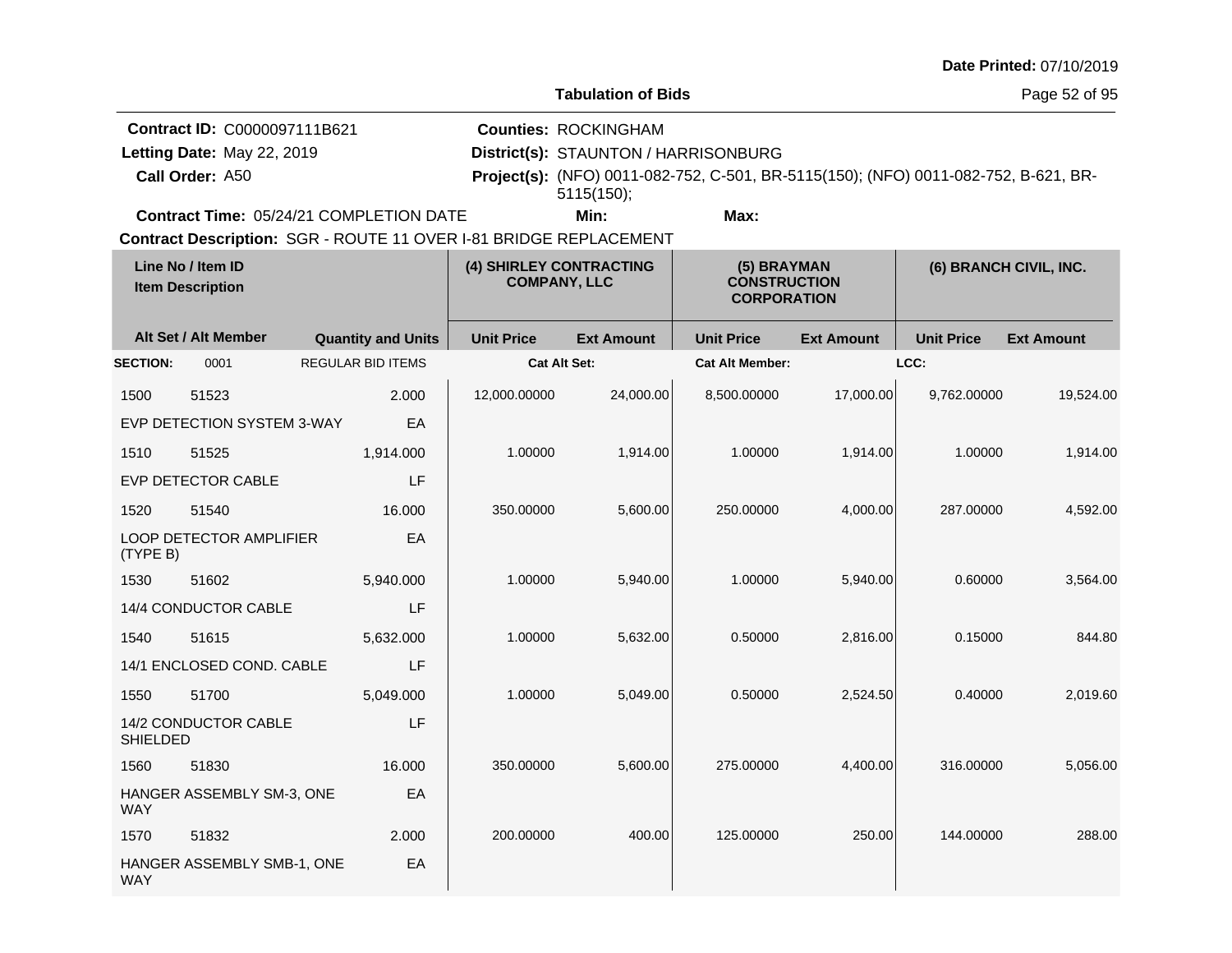|                 |                                              |                                                                   |                                                |                                      |                                                                                     |                   |                   | <b>Date Printed: 07/10/2019</b> |
|-----------------|----------------------------------------------|-------------------------------------------------------------------|------------------------------------------------|--------------------------------------|-------------------------------------------------------------------------------------|-------------------|-------------------|---------------------------------|
|                 |                                              |                                                                   |                                                | <b>Tabulation of Bids</b>            |                                                                                     |                   |                   | Page 52 of 95                   |
|                 | Contract ID: C0000097111B621                 |                                                                   |                                                | <b>Counties: ROCKINGHAM</b>          |                                                                                     |                   |                   |                                 |
|                 | Letting Date: May 22, 2019                   |                                                                   |                                                | District(s): STAUNTON / HARRISONBURG |                                                                                     |                   |                   |                                 |
|                 | Call Order: A50                              |                                                                   |                                                | 5115(150);                           | Project(s): (NFO) 0011-082-752, C-501, BR-5115(150); (NFO) 0011-082-752, B-621, BR- |                   |                   |                                 |
|                 |                                              | Contract Time: 05/24/21 COMPLETION DATE                           |                                                | Min:                                 | Max:                                                                                |                   |                   |                                 |
|                 |                                              | Contract Description: SGR - ROUTE 11 OVER I-81 BRIDGE REPLACEMENT |                                                |                                      |                                                                                     |                   |                   |                                 |
|                 | Line No / Item ID<br><b>Item Description</b> |                                                                   | (4) SHIRLEY CONTRACTING<br><b>COMPANY, LLC</b> |                                      | (5) BRAYMAN<br><b>CONSTRUCTION</b><br><b>CORPORATION</b>                            |                   |                   | (6) BRANCH CIVIL, INC.          |
|                 | Alt Set / Alt Member                         | <b>Quantity and Units</b>                                         | <b>Unit Price</b>                              | <b>Ext Amount</b>                    | <b>Unit Price</b>                                                                   | <b>Ext Amount</b> | <b>Unit Price</b> | <b>Ext Amount</b>               |
| <b>SECTION:</b> | 0001                                         | <b>REGULAR BID ITEMS</b>                                          |                                                | <b>Cat Alt Set:</b>                  | <b>Cat Alt Member:</b>                                                              |                   | LCC:              |                                 |
| 1500            | 51523                                        | 2.000                                                             | 12,000.00000                                   | 24,000.00                            | 8,500.00000                                                                         | 17,000.00         | 9,762.00000       | 19,524.00                       |
|                 | EVP DETECTION SYSTEM 3-WAY                   | EA                                                                |                                                |                                      |                                                                                     |                   |                   |                                 |
| 1510            | 51525                                        | 1,914.000                                                         | 1.00000                                        | 1,914.00                             | 1.00000                                                                             | 1,914.00          | 1.00000           | 1,914.00                        |
|                 | <b>EVP DETECTOR CABLE</b>                    | LF                                                                |                                                |                                      |                                                                                     |                   |                   |                                 |
| 1520            | 51540                                        | 16.000                                                            | 350.00000                                      | 5,600.00                             | 250.00000                                                                           | 4,000.00          | 287.00000         | 4,592.00                        |
| (TYPE B)        | LOOP DETECTOR AMPLIFIER                      | EA                                                                |                                                |                                      |                                                                                     |                   |                   |                                 |
| 1530            | 51602                                        | 5,940.000                                                         | 1.00000                                        | 5,940.00                             | 1.00000                                                                             | 5,940.00          | 0.60000           | 3,564.00                        |
|                 | 14/4 CONDUCTOR CABLE                         | LF                                                                |                                                |                                      |                                                                                     |                   |                   |                                 |
| 1540            | 51615                                        | 5,632.000                                                         | 1.00000                                        | 5,632.00                             | 0.50000                                                                             | 2,816.00          | 0.15000           | 844.80                          |
|                 | 14/1 ENCLOSED COND. CABLE                    | LF                                                                |                                                |                                      |                                                                                     |                   |                   |                                 |
| 1550            | 51700                                        | 5,049.000                                                         | 1.00000                                        | 5,049.00                             | 0.50000                                                                             | 2,524.50          | 0.40000           | 2,019.60                        |
| <b>SHIELDED</b> | 14/2 CONDUCTOR CABLE                         | LF                                                                |                                                |                                      |                                                                                     |                   |                   |                                 |
| 1560            | 51830                                        | 16.000                                                            | 350.00000                                      | 5,600.00                             | 275.00000                                                                           | 4,400.00          | 316.00000         | 5,056.00                        |
| <b>WAY</b>      | HANGER ASSEMBLY SM-3, ONE                    | EA                                                                |                                                |                                      |                                                                                     |                   |                   |                                 |
| 1570            | 51832                                        | 2.000                                                             | 200.00000                                      | 400.00                               | 125.00000                                                                           | 250.00            | 144.00000         | 288.00                          |

WAY

HANGER ASSEMBLY SMB-1, ONE

EA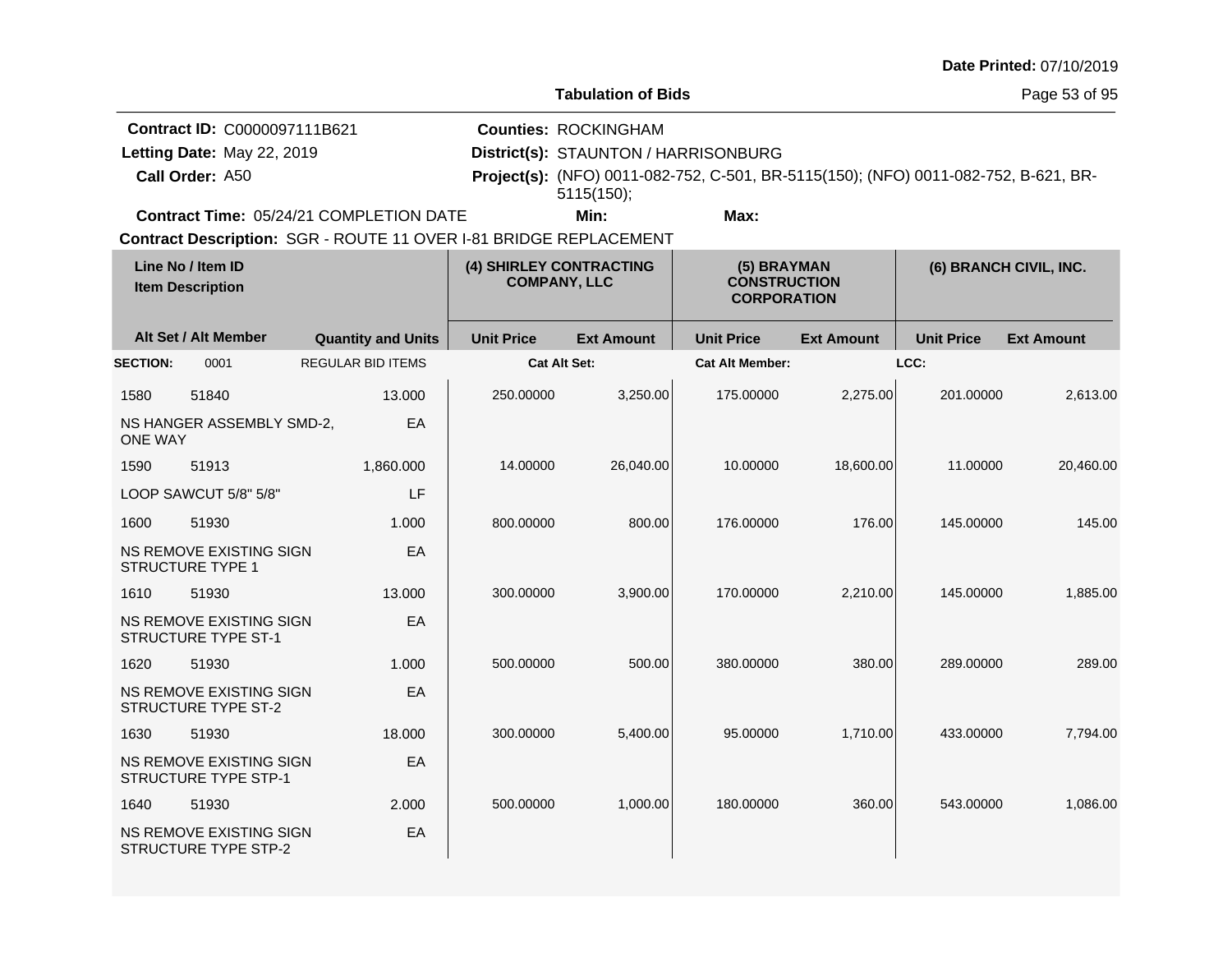| <b>Date Printed: 07/10/2019</b> |  |
|---------------------------------|--|
|---------------------------------|--|

Page 53 of 95

| Contract ID: C0000097111B621                   | <b>Counties: ROCKINGHAM</b>          |      |                                                                                            |
|------------------------------------------------|--------------------------------------|------|--------------------------------------------------------------------------------------------|
| Letting Date: May 22, 2019                     | District(s): STAUNTON / HARRISONBURG |      |                                                                                            |
| Call Order: A50                                |                                      |      | <b>Project(s):</b> (NFO) 0011-082-752, C-501, BR-5115(150); (NFO) 0011-082-752, B-621, BR- |
|                                                | 5115(150)                            |      |                                                                                            |
| <b>Contract Time: 05/24/21 COMPLETION DATE</b> | Min:                                 | Max: |                                                                                            |

| Line No / Item ID<br><b>Item Description</b> |                                                              | (4) SHIRLEY CONTRACTING<br><b>COMPANY, LLC</b> |                     | (5) BRAYMAN<br><b>CONSTRUCTION</b><br><b>CORPORATION</b> |                        | (6) BRANCH CIVIL, INC. |                   |                   |
|----------------------------------------------|--------------------------------------------------------------|------------------------------------------------|---------------------|----------------------------------------------------------|------------------------|------------------------|-------------------|-------------------|
|                                              | Alt Set / Alt Member                                         | <b>Quantity and Units</b>                      | <b>Unit Price</b>   | <b>Ext Amount</b>                                        | <b>Unit Price</b>      | <b>Ext Amount</b>      | <b>Unit Price</b> | <b>Ext Amount</b> |
| <b>SECTION:</b>                              | 0001                                                         | <b>REGULAR BID ITEMS</b>                       | <b>Cat Alt Set:</b> |                                                          | <b>Cat Alt Member:</b> |                        | LCC:              |                   |
| 1580                                         | 51840                                                        | 13.000                                         | 250.00000           | 3,250.00                                                 | 175.00000              | 2,275.00               | 201.00000         | 2,613.00          |
| <b>ONE WAY</b>                               | NS HANGER ASSEMBLY SMD-2,                                    | EA                                             |                     |                                                          |                        |                        |                   |                   |
| 1590                                         | 51913                                                        | 1,860.000                                      | 14.00000            | 26,040.00                                                | 10.00000               | 18,600.00              | 11.00000          | 20,460.00         |
|                                              | LOOP SAWCUT 5/8" 5/8"                                        | LF                                             |                     |                                                          |                        |                        |                   |                   |
| 1600                                         | 51930                                                        | 1.000                                          | 800.00000           | 800.00                                                   | 176,00000              | 176.00                 | 145.00000         | 145.00            |
|                                              | NS REMOVE EXISTING SIGN<br><b>STRUCTURE TYPE 1</b>           | EA                                             |                     |                                                          |                        |                        |                   |                   |
| 1610                                         | 51930                                                        | 13.000                                         | 300.00000           | 3,900.00                                                 | 170.00000              | 2,210.00               | 145.00000         | 1,885.00          |
|                                              | <b>NS REMOVE EXISTING SIGN</b><br><b>STRUCTURE TYPE ST-1</b> | EA                                             |                     |                                                          |                        |                        |                   |                   |
| 1620                                         | 51930                                                        | 1.000                                          | 500.00000           | 500.00                                                   | 380.00000              | 380.00                 | 289.00000         | 289.00            |
|                                              | NS REMOVE EXISTING SIGN<br><b>STRUCTURE TYPE ST-2</b>        | EA                                             |                     |                                                          |                        |                        |                   |                   |
| 1630                                         | 51930                                                        | 18.000                                         | 300.00000           | 5,400.00                                                 | 95.00000               | 1,710.00               | 433.00000         | 7,794.00          |
|                                              | NS REMOVE EXISTING SIGN<br>STRUCTURE TYPE STP-1              | EA                                             |                     |                                                          |                        |                        |                   |                   |
| 1640                                         | 51930                                                        | 2.000                                          | 500.00000           | 1,000.00                                                 | 180.00000              | 360.00                 | 543.00000         | 1,086.00          |
|                                              | NS REMOVE EXISTING SIGN<br><b>STRUCTURE TYPE STP-2</b>       | EA                                             |                     |                                                          |                        |                        |                   |                   |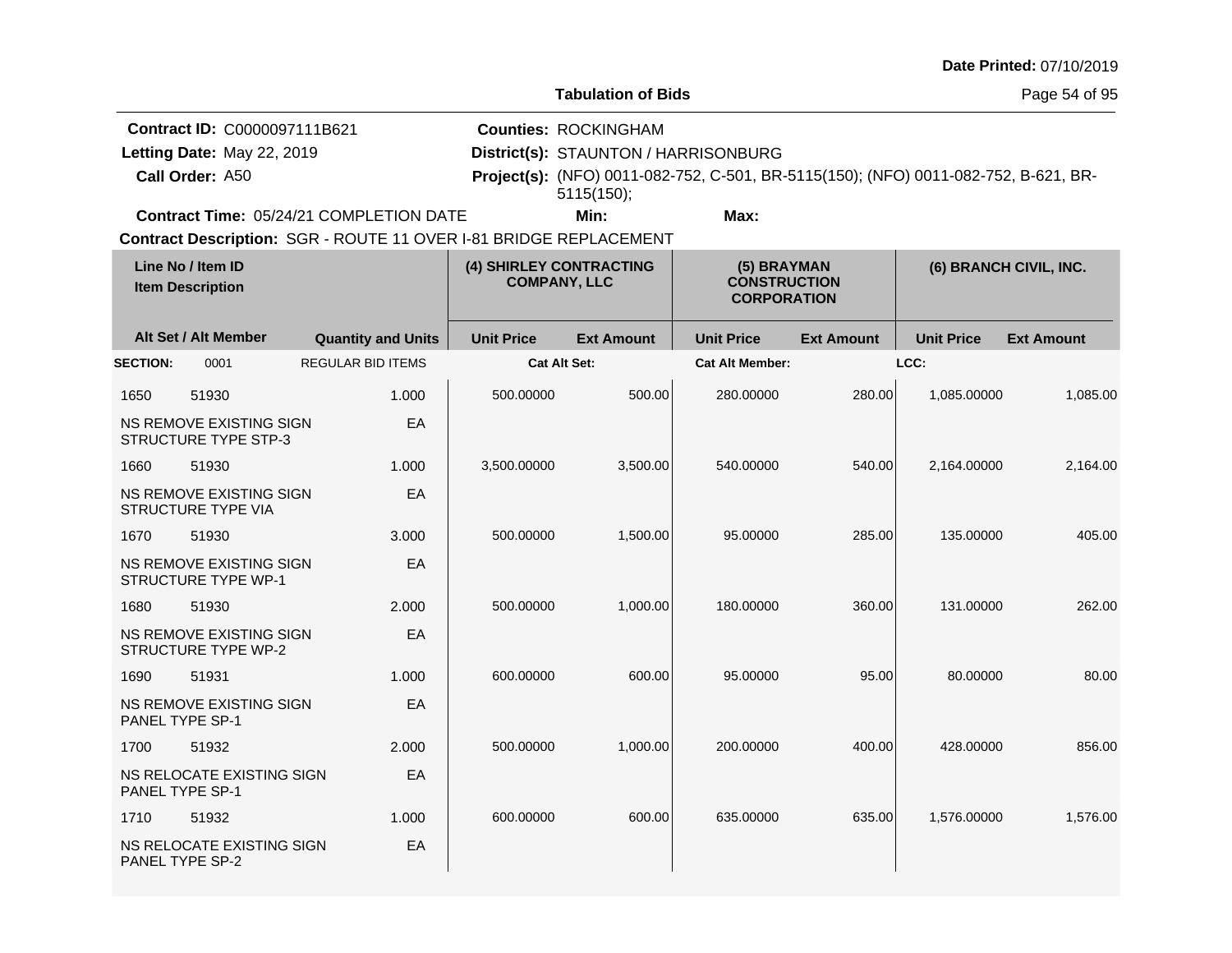| <b>Date Printed: 07/10/2019</b> |  |
|---------------------------------|--|
|---------------------------------|--|

Page 54 of 95

**Call Order: Letting Date:** May 22, 2019 **District(s): STAUNTON / HARRISONBURG Contract ID:** C0000097111B621 **Counties:** ROCKINGHAM A50 **Project(s):** (NFO) 0011-082-752, C-501, BR-5115(150); (NFO) 0011-082-752, B-621, BR-**Contract Time:** 05/24/21 COMPLETION DATE Letting Date: May 22, 2019 **Min: Max:** 5115(150);

| Line No / Item ID<br><b>Item Description</b> |                                                        | (4) SHIRLEY CONTRACTING<br><b>COMPANY, LLC</b> |                     | (5) BRAYMAN<br><b>CONSTRUCTION</b><br><b>CORPORATION</b> |                        | (6) BRANCH CIVIL, INC. |                   |                   |
|----------------------------------------------|--------------------------------------------------------|------------------------------------------------|---------------------|----------------------------------------------------------|------------------------|------------------------|-------------------|-------------------|
|                                              | Alt Set / Alt Member                                   | <b>Quantity and Units</b>                      | <b>Unit Price</b>   | <b>Ext Amount</b>                                        | <b>Unit Price</b>      | <b>Ext Amount</b>      | <b>Unit Price</b> | <b>Ext Amount</b> |
| <b>SECTION:</b>                              | 0001                                                   | <b>REGULAR BID ITEMS</b>                       | <b>Cat Alt Set:</b> |                                                          | <b>Cat Alt Member:</b> |                        | LCC:              |                   |
| 1650                                         | 51930                                                  | 1.000                                          | 500.00000           | 500.00                                                   | 280.00000              | 280.00                 | 1,085.00000       | 1,085.00          |
|                                              | NS REMOVE EXISTING SIGN<br><b>STRUCTURE TYPE STP-3</b> | EA                                             |                     |                                                          |                        |                        |                   |                   |
| 1660                                         | 51930                                                  | 1.000                                          | 3,500.00000         | 3,500.00                                                 | 540.00000              | 540.00                 | 2,164.00000       | 2,164.00          |
|                                              | <b>NS REMOVE EXISTING SIGN</b><br>STRUCTURE TYPE VIA   | EA                                             |                     |                                                          |                        |                        |                   |                   |
| 1670                                         | 51930                                                  | 3.000                                          | 500.00000           | 1,500.00                                                 | 95.00000               | 285.00                 | 135.00000         | 405.00            |
|                                              | NS REMOVE EXISTING SIGN<br>STRUCTURE TYPE WP-1         | EA                                             |                     |                                                          |                        |                        |                   |                   |
| 1680                                         | 51930                                                  | 2.000                                          | 500.00000           | 1,000.00                                                 | 180.00000              | 360.00                 | 131.00000         | 262.00            |
|                                              | NS REMOVE EXISTING SIGN<br>STRUCTURE TYPE WP-2         | EA                                             |                     |                                                          |                        |                        |                   |                   |
| 1690                                         | 51931                                                  | 1.000                                          | 600.00000           | 600.00                                                   | 95.00000               | 95.00                  | 80.00000          | 80.00             |
| PANEL TYPE SP-1                              | NS REMOVE EXISTING SIGN                                | EA                                             |                     |                                                          |                        |                        |                   |                   |
| 1700                                         | 51932                                                  | 2.000                                          | 500.00000           | 1,000.00                                                 | 200.00000              | 400.00                 | 428.00000         | 856.00            |
| PANEL TYPE SP-1                              | NS RELOCATE EXISTING SIGN                              | EA                                             |                     |                                                          |                        |                        |                   |                   |
| 1710                                         | 51932                                                  | 1.000                                          | 600.00000           | 600.00                                                   | 635.00000              | 635.00                 | 1,576.00000       | 1,576.00          |
| PANEL TYPE SP-2                              | NS RELOCATE EXISTING SIGN                              | EA                                             |                     |                                                          |                        |                        |                   |                   |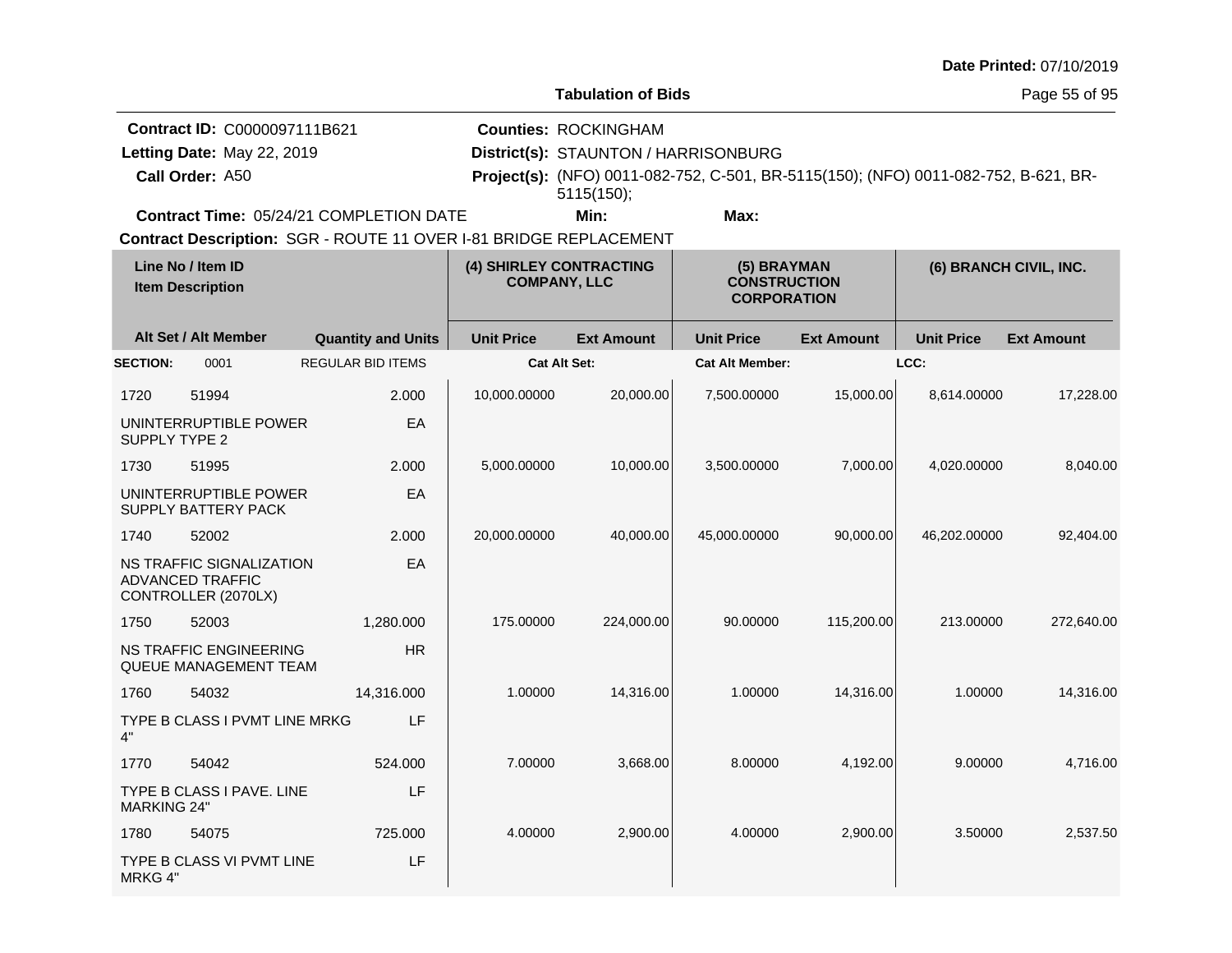|                    |                                                                               |                                                                   |                   |                                                                                   |                                                                                     |                   |                   | Date Printed: 07/10/2019 |
|--------------------|-------------------------------------------------------------------------------|-------------------------------------------------------------------|-------------------|-----------------------------------------------------------------------------------|-------------------------------------------------------------------------------------|-------------------|-------------------|--------------------------|
|                    |                                                                               |                                                                   |                   | <b>Tabulation of Bids</b>                                                         |                                                                                     |                   |                   | Page 55 of 95            |
|                    | Contract ID: C0000097111B621<br>Letting Date: May 22, 2019<br>Call Order: A50 |                                                                   |                   | <b>Counties: ROCKINGHAM</b><br>District(s): STAUNTON / HARRISONBURG<br>5115(150); | Project(s): (NFO) 0011-082-752, C-501, BR-5115(150); (NFO) 0011-082-752, B-621, BR- |                   |                   |                          |
|                    |                                                                               | Contract Time: 05/24/21 COMPLETION DATE                           |                   | Min:                                                                              | Max:                                                                                |                   |                   |                          |
|                    |                                                                               | Contract Description: SGR - ROUTE 11 OVER I-81 BRIDGE REPLACEMENT |                   |                                                                                   |                                                                                     |                   |                   |                          |
|                    | Line No / Item ID<br><b>Item Description</b>                                  |                                                                   |                   | (4) SHIRLEY CONTRACTING<br><b>COMPANY, LLC</b>                                    | (5) BRAYMAN<br><b>CONSTRUCTION</b><br><b>CORPORATION</b>                            |                   |                   | (6) BRANCH CIVIL, INC.   |
|                    | Alt Set / Alt Member                                                          | <b>Quantity and Units</b>                                         | <b>Unit Price</b> | <b>Ext Amount</b>                                                                 | <b>Unit Price</b>                                                                   | <b>Ext Amount</b> | <b>Unit Price</b> | <b>Ext Amount</b>        |
| <b>SECTION:</b>    | 0001                                                                          | <b>REGULAR BID ITEMS</b>                                          |                   | <b>Cat Alt Set:</b>                                                               | <b>Cat Alt Member:</b>                                                              |                   | LCC:              |                          |
| 1720               | 51994                                                                         | 2.000                                                             | 10,000.00000      | 20,000.00                                                                         | 7,500.00000                                                                         | 15,000.00         | 8,614.00000       | 17,228.00                |
| SUPPLY TYPE 2      | UNINTERRUPTIBLE POWER                                                         | EA                                                                |                   |                                                                                   |                                                                                     |                   |                   |                          |
| 1730               | 51995                                                                         | 2.000                                                             | 5,000.00000       | 10,000.00                                                                         | 3,500.00000                                                                         | 7,000.00          | 4,020.00000       | 8,040.00                 |
|                    | UNINTERRUPTIBLE POWER<br>SUPPLY BATTERY PACK                                  | EA                                                                |                   |                                                                                   |                                                                                     |                   |                   |                          |
| 1740               | 52002                                                                         | 2.000                                                             | 20,000.00000      | 40,000.00                                                                         | 45,000.00000                                                                        | 90,000.00         | 46,202.00000      | 92,404.00                |
|                    | NS TRAFFIC SIGNALIZATION<br><b>ADVANCED TRAFFIC</b><br>CONTROLLER (2070LX)    | EA                                                                |                   |                                                                                   |                                                                                     |                   |                   |                          |
| 1750               | 52003                                                                         | 1,280.000                                                         | 175.00000         | 224,000.00                                                                        | 90.00000                                                                            | 115,200.00        | 213.00000         | 272,640.00               |
|                    | <b>NS TRAFFIC ENGINEERING</b><br>QUEUE MANAGEMENT TEAM                        | <b>HR</b>                                                         |                   |                                                                                   |                                                                                     |                   |                   |                          |
| 1760               | 54032                                                                         | 14,316.000                                                        | 1.00000           | 14,316.00                                                                         | 1.00000                                                                             | 14,316.00         | 1.00000           | 14,316.00                |
| 4"                 | TYPE B CLASS I PVMT LINE MRKG                                                 | LF                                                                |                   |                                                                                   |                                                                                     |                   |                   |                          |
| 1770               | 54042                                                                         | 524.000                                                           | 7.00000           | 3,668.00                                                                          | 8.00000                                                                             | 4,192.00          | 9.00000           | 4,716.00                 |
| <b>MARKING 24"</b> | TYPE B CLASS I PAVE. LINE                                                     | LF                                                                |                   |                                                                                   |                                                                                     |                   |                   |                          |
| 1780               | 54075                                                                         | 725.000                                                           | 4.00000           | 2,900.00                                                                          | 4.00000                                                                             | 2,900.00          | 3.50000           | 2,537.50                 |
| MRKG 4"            | TYPE B CLASS VI PVMT LINE                                                     | LF                                                                |                   |                                                                                   |                                                                                     |                   |                   |                          |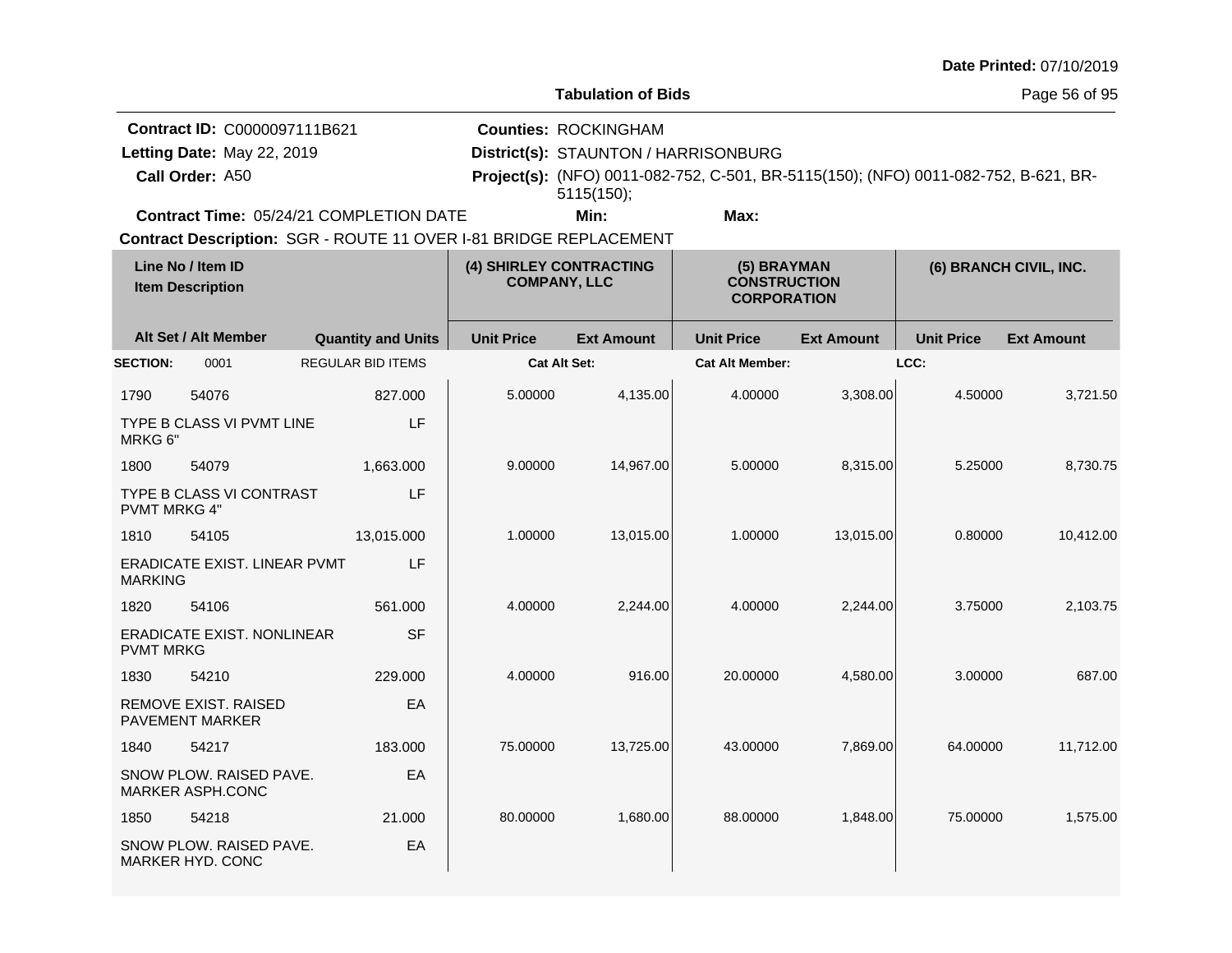| Date Printed: 07/10/2019 |  |  |
|--------------------------|--|--|
|--------------------------|--|--|

**Tabulation of Bids**

Page 56 of 95

**Call Order: Letting Date:** May 22, 2019 **District(s): STAUNTON / HARRISONBURG Contract ID:** C0000097111B621 **Counties:** ROCKINGHAM A50 **Project(s):** (NFO) 0011-082-752, C-501, BR-5115(150); (NFO) 0011-082-752, B-621, BR-**Contract Time:** 05/24/21 COMPLETION DATE Letting Date: May 22, 2019 **Min: Max:** 5115(150);

| Line No / Item ID<br><b>Item Description</b> |                                                       | (4) SHIRLEY CONTRACTING<br><b>COMPANY, LLC</b> |                     | (5) BRAYMAN<br><b>CONSTRUCTION</b><br><b>CORPORATION</b> |                        | (6) BRANCH CIVIL, INC. |                   |                   |
|----------------------------------------------|-------------------------------------------------------|------------------------------------------------|---------------------|----------------------------------------------------------|------------------------|------------------------|-------------------|-------------------|
|                                              | Alt Set / Alt Member                                  | <b>Quantity and Units</b>                      | <b>Unit Price</b>   | <b>Ext Amount</b>                                        | <b>Unit Price</b>      | <b>Ext Amount</b>      | <b>Unit Price</b> | <b>Ext Amount</b> |
| <b>SECTION:</b>                              | 0001                                                  | <b>REGULAR BID ITEMS</b>                       | <b>Cat Alt Set:</b> |                                                          | <b>Cat Alt Member:</b> |                        | LCC:              |                   |
| 1790                                         | 54076                                                 | 827.000                                        | 5.00000             | 4,135.00                                                 | 4.00000                | 3,308.00               | 4.50000           | 3,721.50          |
| MRKG 6"                                      | TYPE B CLASS VI PVMT LINE                             | LF                                             |                     |                                                          |                        |                        |                   |                   |
| 1800                                         | 54079                                                 | 1,663.000                                      | 9.00000             | 14,967.00                                                | 5.00000                | 8,315.00               | 5.25000           | 8,730.75          |
| <b>PVMT MRKG 4"</b>                          | TYPE B CLASS VI CONTRAST                              | LF                                             |                     |                                                          |                        |                        |                   |                   |
| 1810                                         | 54105                                                 | 13,015.000                                     | 1.00000             | 13,015.00                                                | 1.00000                | 13,015.00              | 0.80000           | 10,412.00         |
| <b>MARKING</b>                               | <b>ERADICATE EXIST, LINEAR PVMT</b>                   | LF                                             |                     |                                                          |                        |                        |                   |                   |
| 1820                                         | 54106                                                 | 561.000                                        | 4.00000             | 2,244.00                                                 | 4.00000                | 2,244.00               | 3.75000           | 2,103.75          |
| <b>PVMT MRKG</b>                             | <b>ERADICATE EXIST, NONLINEAR</b>                     | <b>SF</b>                                      |                     |                                                          |                        |                        |                   |                   |
| 1830                                         | 54210                                                 | 229.000                                        | 4.00000             | 916.00                                                   | 20.00000               | 4,580.00               | 3.00000           | 687.00            |
|                                              | <b>REMOVE EXIST, RAISED</b><br><b>PAVEMENT MARKER</b> | EA                                             |                     |                                                          |                        |                        |                   |                   |
| 1840                                         | 54217                                                 | 183.000                                        | 75.00000            | 13,725.00                                                | 43.00000               | 7,869.00               | 64.00000          | 11,712.00         |
|                                              | SNOW PLOW. RAISED PAVE.<br><b>MARKER ASPH.CONC</b>    | EA                                             |                     |                                                          |                        |                        |                   |                   |
| 1850                                         | 54218                                                 | 21.000                                         | 80.00000            | 1,680.00                                                 | 88.00000               | 1,848.00               | 75.00000          | 1,575.00          |
|                                              | SNOW PLOW. RAISED PAVE.<br>MARKER HYD. CONC           | EA                                             |                     |                                                          |                        |                        |                   |                   |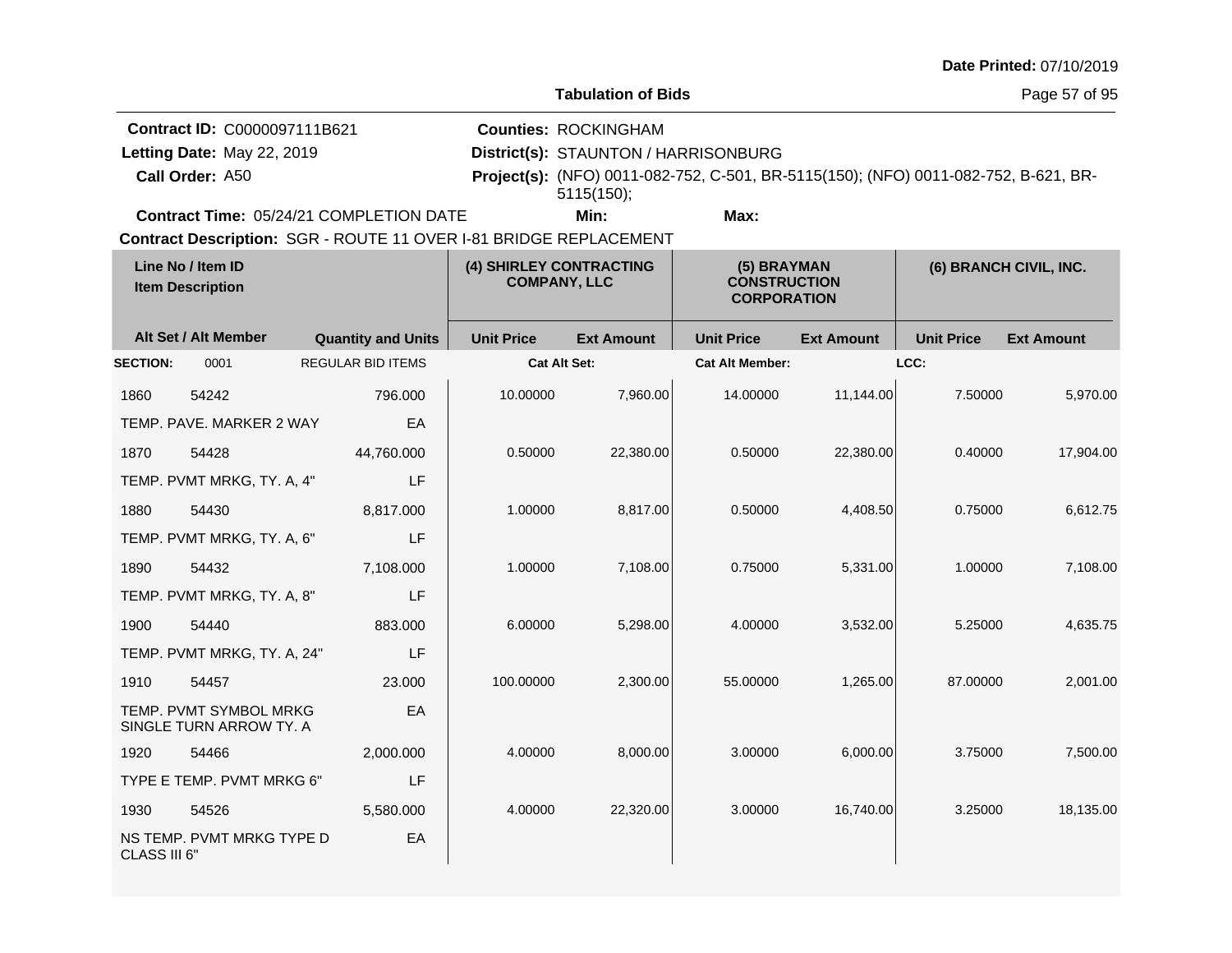| Date Printed: 07/10/2019 |  |
|--------------------------|--|
|--------------------------|--|

Page 57 of 95

| <b>Contract ID: C0000097111B621</b>                               | <b>Counties: ROCKINGHAM</b>          |                                                                                            |
|-------------------------------------------------------------------|--------------------------------------|--------------------------------------------------------------------------------------------|
| Letting Date: May 22, 2019                                        | District(s): STAUNTON / HARRISONBURG |                                                                                            |
| Call Order: A50                                                   | 5115(150)                            | <b>Project(s):</b> (NFO) 0011-082-752, C-501, BR-5115(150); (NFO) 0011-082-752, B-621, BR- |
| <b>Contract Time: 05/24/21 COMPLETION DATE</b>                    | Min:                                 | Max:                                                                                       |
| Contract Description: SGR - ROUTE 11 OVER I-81 BRIDGE REPLACEMENT |                                      |                                                                                            |

| Line No / Item ID<br><b>Item Description</b> |                                                   | (4) SHIRLEY CONTRACTING<br><b>COMPANY, LLC</b> |                     | (5) BRAYMAN<br><b>CONSTRUCTION</b><br><b>CORPORATION</b> |                        | (6) BRANCH CIVIL, INC. |                   |                   |
|----------------------------------------------|---------------------------------------------------|------------------------------------------------|---------------------|----------------------------------------------------------|------------------------|------------------------|-------------------|-------------------|
|                                              | Alt Set / Alt Member                              | <b>Quantity and Units</b>                      | <b>Unit Price</b>   | <b>Ext Amount</b>                                        | <b>Unit Price</b>      | <b>Ext Amount</b>      | <b>Unit Price</b> | <b>Ext Amount</b> |
| <b>SECTION:</b>                              | 0001                                              | <b>REGULAR BID ITEMS</b>                       | <b>Cat Alt Set:</b> |                                                          | <b>Cat Alt Member:</b> |                        | LCC:              |                   |
| 1860                                         | 54242                                             | 796.000                                        | 10.00000            | 7,960.00                                                 | 14.00000               | 11,144.00              | 7.50000           | 5,970.00          |
|                                              | TEMP. PAVE. MARKER 2 WAY                          | EA                                             |                     |                                                          |                        |                        |                   |                   |
| 1870                                         | 54428                                             | 44,760.000                                     | 0.50000             | 22,380.00                                                | 0.50000                | 22,380.00              | 0.40000           | 17,904.00         |
|                                              | TEMP. PVMT MRKG, TY. A, 4"                        | LF                                             |                     |                                                          |                        |                        |                   |                   |
| 1880                                         | 54430                                             | 8,817.000                                      | 1.00000             | 8,817.00                                                 | 0.50000                | 4,408.50               | 0.75000           | 6,612.75          |
|                                              | TEMP. PVMT MRKG, TY. A, 6"                        | LF                                             |                     |                                                          |                        |                        |                   |                   |
| 1890                                         | 54432                                             | 7,108.000                                      | 1.00000             | 7,108.00                                                 | 0.75000                | 5,331.00               | 1.00000           | 7,108.00          |
|                                              | TEMP. PVMT MRKG, TY. A, 8"                        | LF                                             |                     |                                                          |                        |                        |                   |                   |
| 1900                                         | 54440                                             | 883,000                                        | 6.00000             | 5,298.00                                                 | 4.00000                | 3,532.00               | 5.25000           | 4,635.75          |
|                                              | TEMP. PVMT MRKG, TY. A, 24"                       | LF                                             |                     |                                                          |                        |                        |                   |                   |
| 1910                                         | 54457                                             | 23,000                                         | 100.00000           | 2,300.00                                                 | 55.00000               | 1,265.00               | 87.00000          | 2,001.00          |
|                                              | TEMP. PVMT SYMBOL MRKG<br>SINGLE TURN ARROW TY. A | EA                                             |                     |                                                          |                        |                        |                   |                   |
| 1920                                         | 54466                                             | 2,000.000                                      | 4.00000             | 8,000.00                                                 | 3.00000                | 6,000.00               | 3.75000           | 7,500.00          |
|                                              | TYPE E TEMP. PVMT MRKG 6"                         | LF                                             |                     |                                                          |                        |                        |                   |                   |
| 1930                                         | 54526                                             | 5,580.000                                      | 4.00000             | 22,320.00                                                | 3.00000                | 16,740.00              | 3.25000           | 18,135.00         |
| CLASS III 6"                                 | NS TEMP. PVMT MRKG TYPE D                         | EA                                             |                     |                                                          |                        |                        |                   |                   |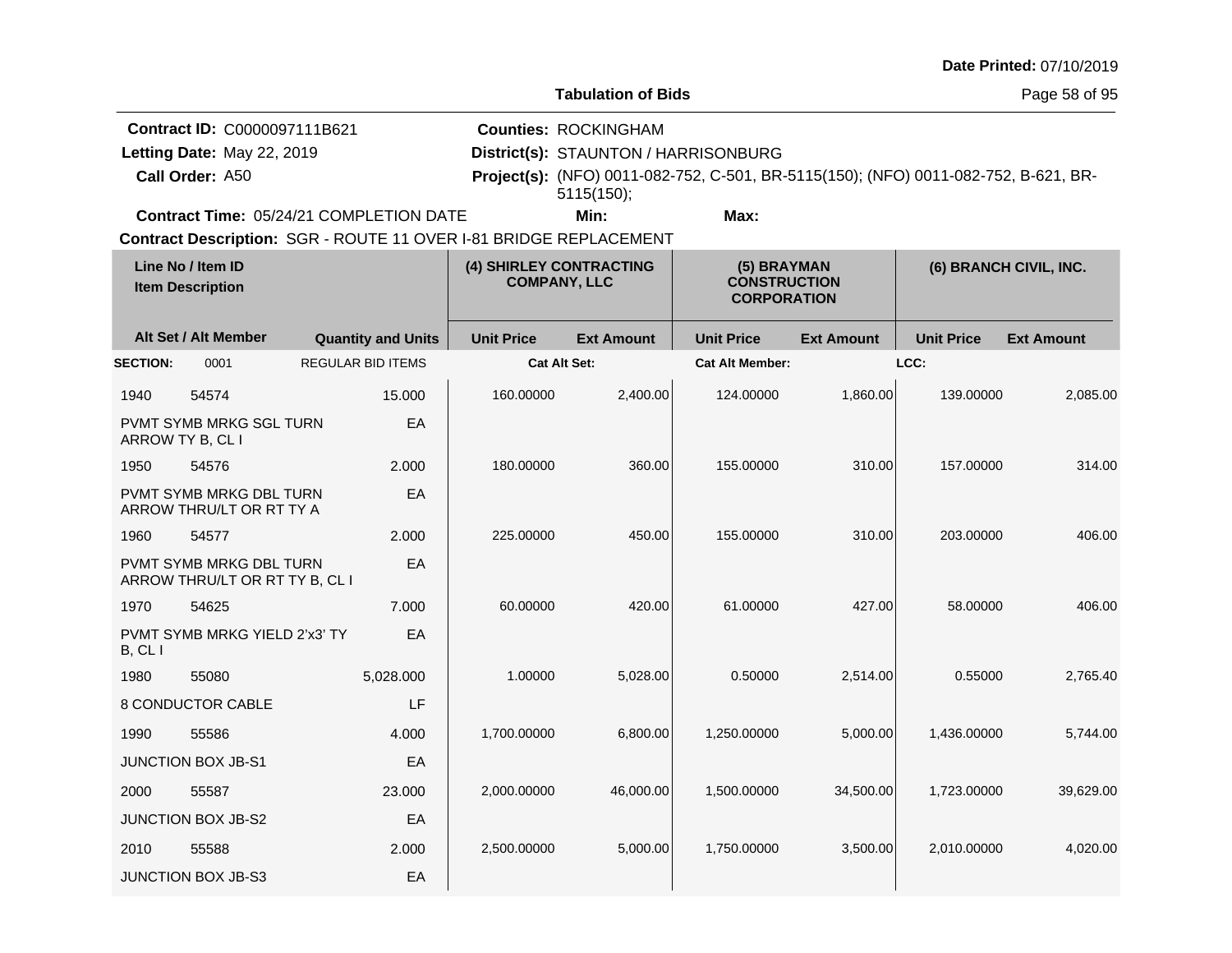| Date Printed: 07/10/2019 |  |
|--------------------------|--|
|--------------------------|--|

**Counties:** ROCKINGHAM

**Contract ID:** C0000097111B621

**Call Order:** Letting Date: May 22, 2019

**Letting Date:** May 22, 2019 **District(s): STAUNTON / HARRISONBURG** 

A50 **Project(s):** (NFO) 0011-082-752, C-501, BR-5115(150); (NFO) 0011-082-752, B-621, BR-5115(150);

**Contract Time:** 05/24/21 COMPLETION DATE

**Min: Max:**

| Line No / Item ID<br><b>Item Description</b> |                                                           | (4) SHIRLEY CONTRACTING<br><b>COMPANY, LLC</b> |                     | (5) BRAYMAN<br><b>CONSTRUCTION</b><br><b>CORPORATION</b> |                        | (6) BRANCH CIVIL, INC. |                   |                   |
|----------------------------------------------|-----------------------------------------------------------|------------------------------------------------|---------------------|----------------------------------------------------------|------------------------|------------------------|-------------------|-------------------|
|                                              | Alt Set / Alt Member                                      | <b>Quantity and Units</b>                      | <b>Unit Price</b>   | <b>Ext Amount</b>                                        | <b>Unit Price</b>      | <b>Ext Amount</b>      | <b>Unit Price</b> | <b>Ext Amount</b> |
| <b>SECTION:</b>                              | 0001                                                      | <b>REGULAR BID ITEMS</b>                       | <b>Cat Alt Set:</b> |                                                          | <b>Cat Alt Member:</b> |                        | LCC:              |                   |
| 1940                                         | 54574                                                     | 15.000                                         | 160.00000           | 2,400.00                                                 | 124.00000              | 1,860.00               | 139.00000         | 2,085.00          |
|                                              | <b>PVMT SYMB MRKG SGL TURN</b><br>ARROW TY B, CL I        | EA                                             |                     |                                                          |                        |                        |                   |                   |
| 1950                                         | 54576                                                     | 2.000                                          | 180.00000           | 360.00                                                   | 155.00000              | 310.00                 | 157.00000         | 314.00            |
|                                              | PVMT SYMB MRKG DBL TURN<br>ARROW THRU/LT OR RT TY A       | EA                                             |                     |                                                          |                        |                        |                   |                   |
| 1960                                         | 54577                                                     | 2.000                                          | 225.00000           | 450.00                                                   | 155.00000              | 310.00                 | 203.00000         | 406.00            |
|                                              | PVMT SYMB MRKG DBL TURN<br>ARROW THRU/LT OR RT TY B, CL I | EA                                             |                     |                                                          |                        |                        |                   |                   |
| 1970                                         | 54625                                                     | 7.000                                          | 60.00000            | 420.00                                                   | 61.00000               | 427.00                 | 58.00000          | 406.00            |
| B, CL                                        | PVMT SYMB MRKG YIELD 2'x3' TY                             | EA                                             |                     |                                                          |                        |                        |                   |                   |
| 1980                                         | 55080                                                     | 5,028.000                                      | 1.00000             | 5,028.00                                                 | 0.50000                | 2,514.00               | 0.55000           | 2,765.40          |
|                                              | <b>8 CONDUCTOR CABLE</b>                                  | LF                                             |                     |                                                          |                        |                        |                   |                   |
| 1990                                         | 55586                                                     | 4.000                                          | 1,700.00000         | 6,800.00                                                 | 1,250.00000            | 5,000.00               | 1,436.00000       | 5,744.00          |
|                                              | <b>JUNCTION BOX JB-S1</b>                                 | EA                                             |                     |                                                          |                        |                        |                   |                   |
| 2000                                         | 55587                                                     | 23,000                                         | 2,000.00000         | 46.000.00                                                | 1.500.00000            | 34,500.00              | 1.723.00000       | 39,629.00         |
|                                              | JUNCTION BOX JB-S2                                        | EA                                             |                     |                                                          |                        |                        |                   |                   |
| 2010                                         | 55588                                                     | 2.000                                          | 2,500.00000         | 5,000.00                                                 | 1,750.00000            | 3,500.00               | 2,010.00000       | 4,020.00          |
|                                              | <b>JUNCTION BOX JB-S3</b>                                 | EA                                             |                     |                                                          |                        |                        |                   |                   |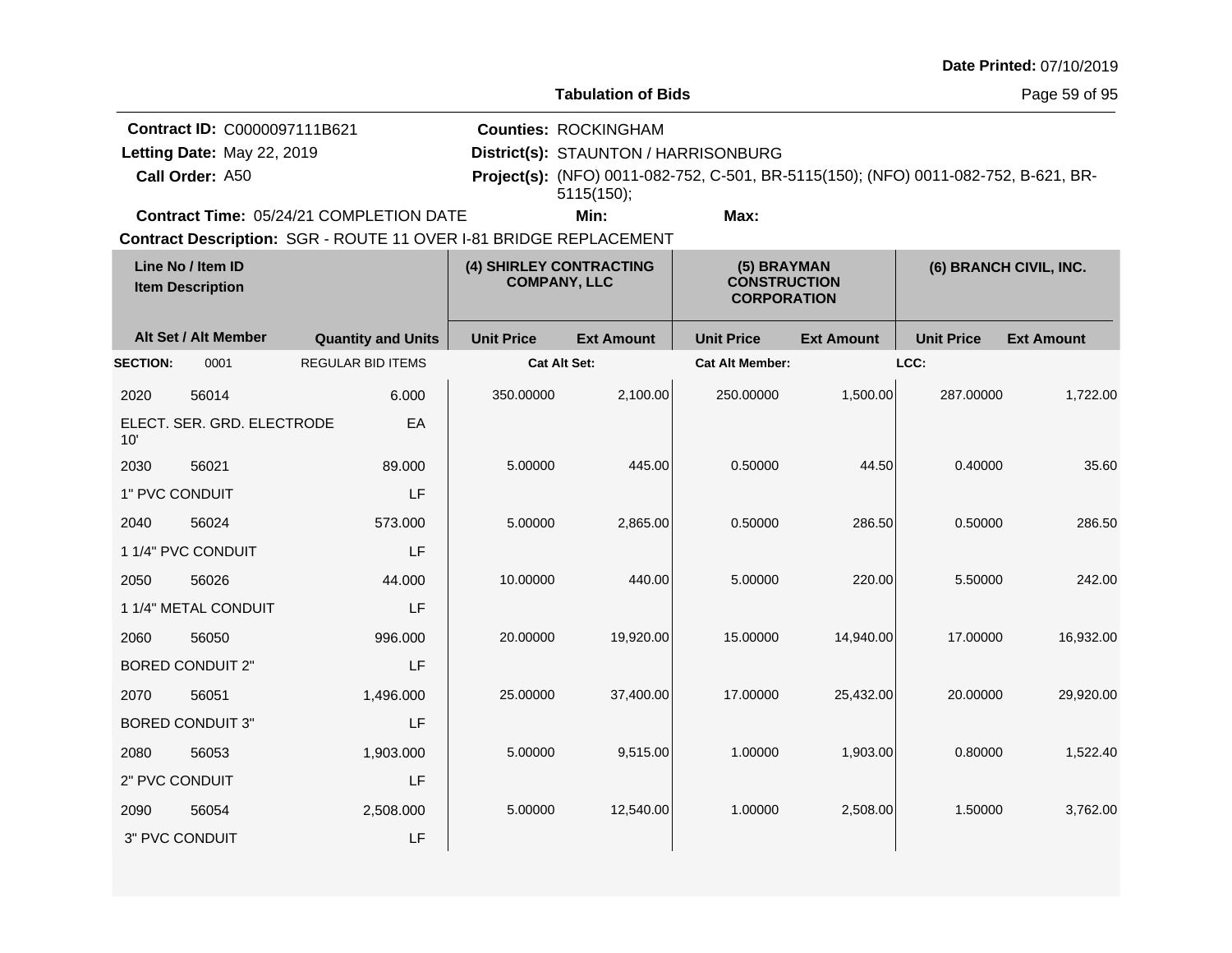| <b>Date Printed: 07/10/2019</b> |  |
|---------------------------------|--|
|---------------------------------|--|

Page 59 of 95

| Contract ID: C0000097111B621                   | <b>Counties: ROCKINGHAM</b>                                                                |      |  |  |
|------------------------------------------------|--------------------------------------------------------------------------------------------|------|--|--|
| Letting Date: May 22, 2019                     | District(s): STAUNTON / HARRISONBURG                                                       |      |  |  |
| Call Order: A50                                | <b>Project(s):</b> (NFO) 0011-082-752, C-501, BR-5115(150); (NFO) 0011-082-752, B-621, BR- |      |  |  |
|                                                | 5115(150);                                                                                 |      |  |  |
| <b>Contract Time: 05/24/21 COMPLETION DATE</b> | Min:                                                                                       | Max: |  |  |

| Line No / Item ID<br><b>Item Description</b> |                            | (4) SHIRLEY CONTRACTING<br><b>COMPANY, LLC</b> |                     | (5) BRAYMAN<br><b>CONSTRUCTION</b><br><b>CORPORATION</b> |                        | (6) BRANCH CIVIL, INC. |                   |                   |
|----------------------------------------------|----------------------------|------------------------------------------------|---------------------|----------------------------------------------------------|------------------------|------------------------|-------------------|-------------------|
|                                              | Alt Set / Alt Member       | <b>Quantity and Units</b>                      | <b>Unit Price</b>   | <b>Ext Amount</b>                                        | <b>Unit Price</b>      | <b>Ext Amount</b>      | <b>Unit Price</b> | <b>Ext Amount</b> |
| <b>SECTION:</b>                              | 0001                       | <b>REGULAR BID ITEMS</b>                       | <b>Cat Alt Set:</b> |                                                          | <b>Cat Alt Member:</b> |                        | LCC:              |                   |
| 2020                                         | 56014                      | 6.000                                          | 350.00000           | 2,100.00                                                 | 250.00000              | 1,500.00               | 287.00000         | 1,722.00          |
| 10'                                          | ELECT. SER. GRD. ELECTRODE | EA                                             |                     |                                                          |                        |                        |                   |                   |
| 2030                                         | 56021                      | 89.000                                         | 5.00000             | 445.00                                                   | 0.50000                | 44.50                  | 0.40000           | 35.60             |
| 1" PVC CONDUIT                               |                            | LF                                             |                     |                                                          |                        |                        |                   |                   |
| 2040                                         | 56024                      | 573.000                                        | 5.00000             | 2,865.00                                                 | 0.50000                | 286.50                 | 0.50000           | 286.50            |
|                                              | 1 1/4" PVC CONDUIT         | LF                                             |                     |                                                          |                        |                        |                   |                   |
| 2050                                         | 56026                      | 44.000                                         | 10.00000            | 440.00                                                   | 5.00000                | 220.00                 | 5.50000           | 242.00            |
|                                              | 1 1/4" METAL CONDUIT       | LF                                             |                     |                                                          |                        |                        |                   |                   |
| 2060                                         | 56050                      | 996.000                                        | 20.00000            | 19,920.00                                                | 15.00000               | 14,940.00              | 17.00000          | 16,932.00         |
|                                              | <b>BORED CONDUIT 2"</b>    | LF                                             |                     |                                                          |                        |                        |                   |                   |
| 2070                                         | 56051                      | 1,496.000                                      | 25.00000            | 37,400.00                                                | 17.00000               | 25,432.00              | 20.00000          | 29,920.00         |
|                                              | <b>BORED CONDUIT 3"</b>    | LF                                             |                     |                                                          |                        |                        |                   |                   |
| 2080                                         | 56053                      | 1,903.000                                      | 5.00000             | 9,515.00                                                 | 1.00000                | 1,903.00               | 0.80000           | 1,522.40          |
| 2" PVC CONDUIT                               |                            | LF                                             |                     |                                                          |                        |                        |                   |                   |
| 2090                                         | 56054                      | 2,508.000                                      | 5.00000             | 12,540.00                                                | 1.00000                | 2,508.00               | 1.50000           | 3,762.00          |
| 3" PVC CONDUIT                               |                            | LF                                             |                     |                                                          |                        |                        |                   |                   |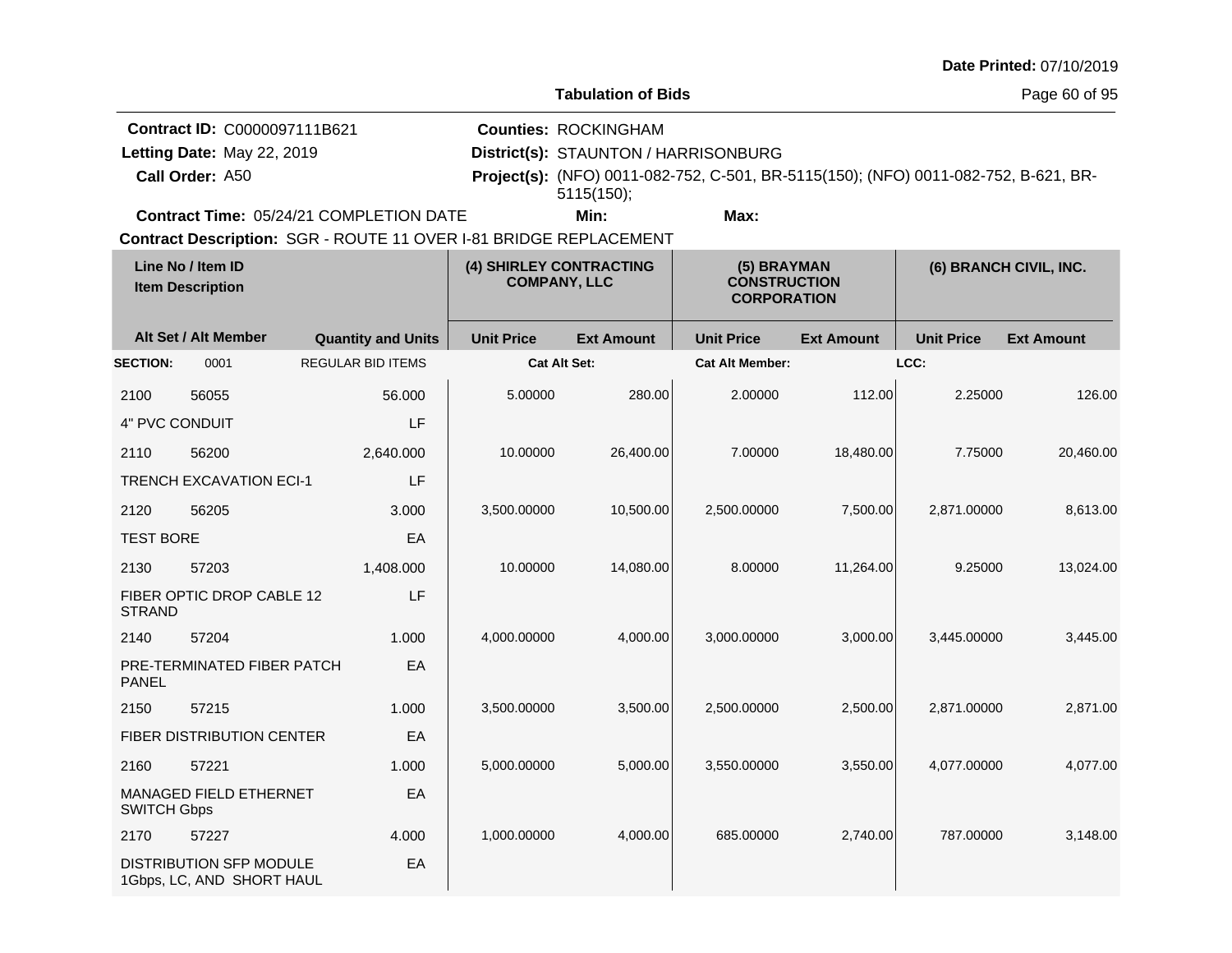| Date Printed: 07/10/2019 |  |  |
|--------------------------|--|--|
|--------------------------|--|--|

 $\mathbf{I}$ 

**Tabulation of Bids**

Page 60 of 95

| Contract ID: C0000097111B621                   | <b>Counties: ROCKINGHAM</b>          |      |                                                                                            |  |  |
|------------------------------------------------|--------------------------------------|------|--------------------------------------------------------------------------------------------|--|--|
| Letting Date: May 22, 2019                     | District(s): STAUNTON / HARRISONBURG |      |                                                                                            |  |  |
| Call Order: A50                                |                                      |      | <b>Project(s):</b> (NFO) 0011-082-752, C-501, BR-5115(150); (NFO) 0011-082-752, B-621, BR- |  |  |
|                                                | 5115(150);                           |      |                                                                                            |  |  |
| <b>Contract Time: 05/24/21 COMPLETION DATE</b> | Min:                                 | Max: |                                                                                            |  |  |

SGR - ROUTE 11 OVER I-81 BRIDGE REPLACEMENT **Contract Description:**

| Line No / Item ID<br><b>Item Description</b> |                                                             | (4) SHIRLEY CONTRACTING<br><b>COMPANY, LLC</b> |                     | (5) BRAYMAN<br><b>CONSTRUCTION</b><br><b>CORPORATION</b> |                        | (6) BRANCH CIVIL, INC. |                   |                   |
|----------------------------------------------|-------------------------------------------------------------|------------------------------------------------|---------------------|----------------------------------------------------------|------------------------|------------------------|-------------------|-------------------|
|                                              | Alt Set / Alt Member                                        | <b>Quantity and Units</b>                      | <b>Unit Price</b>   | <b>Ext Amount</b>                                        | <b>Unit Price</b>      | <b>Ext Amount</b>      | <b>Unit Price</b> | <b>Ext Amount</b> |
| <b>SECTION:</b>                              | 0001                                                        | <b>REGULAR BID ITEMS</b>                       | <b>Cat Alt Set:</b> |                                                          | <b>Cat Alt Member:</b> |                        | LCC:              |                   |
| 2100                                         | 56055                                                       | 56,000                                         | 5.00000             | 280.00                                                   | 2.00000                | 112.00                 | 2.25000           | 126.00            |
| 4" PVC CONDUIT                               |                                                             | LF                                             |                     |                                                          |                        |                        |                   |                   |
| 2110                                         | 56200                                                       | 2,640.000                                      | 10.00000            | 26,400.00                                                | 7.00000                | 18,480.00              | 7.75000           | 20,460.00         |
|                                              | <b>TRENCH EXCAVATION ECI-1</b>                              | LF                                             |                     |                                                          |                        |                        |                   |                   |
| 2120                                         | 56205                                                       | 3.000                                          | 3,500.00000         | 10,500.00                                                | 2,500.00000            | 7,500.00               | 2.871.00000       | 8,613.00          |
| <b>TEST BORE</b>                             |                                                             | EA                                             |                     |                                                          |                        |                        |                   |                   |
| 2130                                         | 57203                                                       | 1,408.000                                      | 10.00000            | 14,080.00                                                | 8.00000                | 11,264.00              | 9.25000           | 13,024.00         |
| <b>STRAND</b>                                | FIBER OPTIC DROP CABLE 12                                   | LF                                             |                     |                                                          |                        |                        |                   |                   |
| 2140                                         | 57204                                                       | 1.000                                          | 4,000.00000         | 4,000.00                                                 | 3,000.00000            | 3,000.00               | 3,445.00000       | 3,445.00          |
| <b>PANEL</b>                                 | PRE-TERMINATED FIBER PATCH                                  | EA                                             |                     |                                                          |                        |                        |                   |                   |
| 2150                                         | 57215                                                       | 1.000                                          | 3,500.00000         | 3,500.00                                                 | 2,500.00000            | 2,500.00               | 2,871.00000       | 2,871.00          |
|                                              | FIBER DISTRIBUTION CENTER                                   | EA                                             |                     |                                                          |                        |                        |                   |                   |
| 2160                                         | 57221                                                       | 1.000                                          | 5,000.00000         | 5,000.00                                                 | 3,550.00000            | 3,550.00               | 4,077.00000       | 4,077.00          |
| <b>SWITCH Gbps</b>                           | MANAGED FIELD ETHERNET                                      | EA                                             |                     |                                                          |                        |                        |                   |                   |
| 2170                                         | 57227                                                       | 4.000                                          | 1,000.00000         | 4,000.00                                                 | 685.00000              | 2,740.00               | 787.00000         | 3,148.00          |
|                                              | <b>DISTRIBUTION SFP MODULE</b><br>1Gbps, LC, AND SHORT HAUL | EA                                             |                     |                                                          |                        |                        |                   |                   |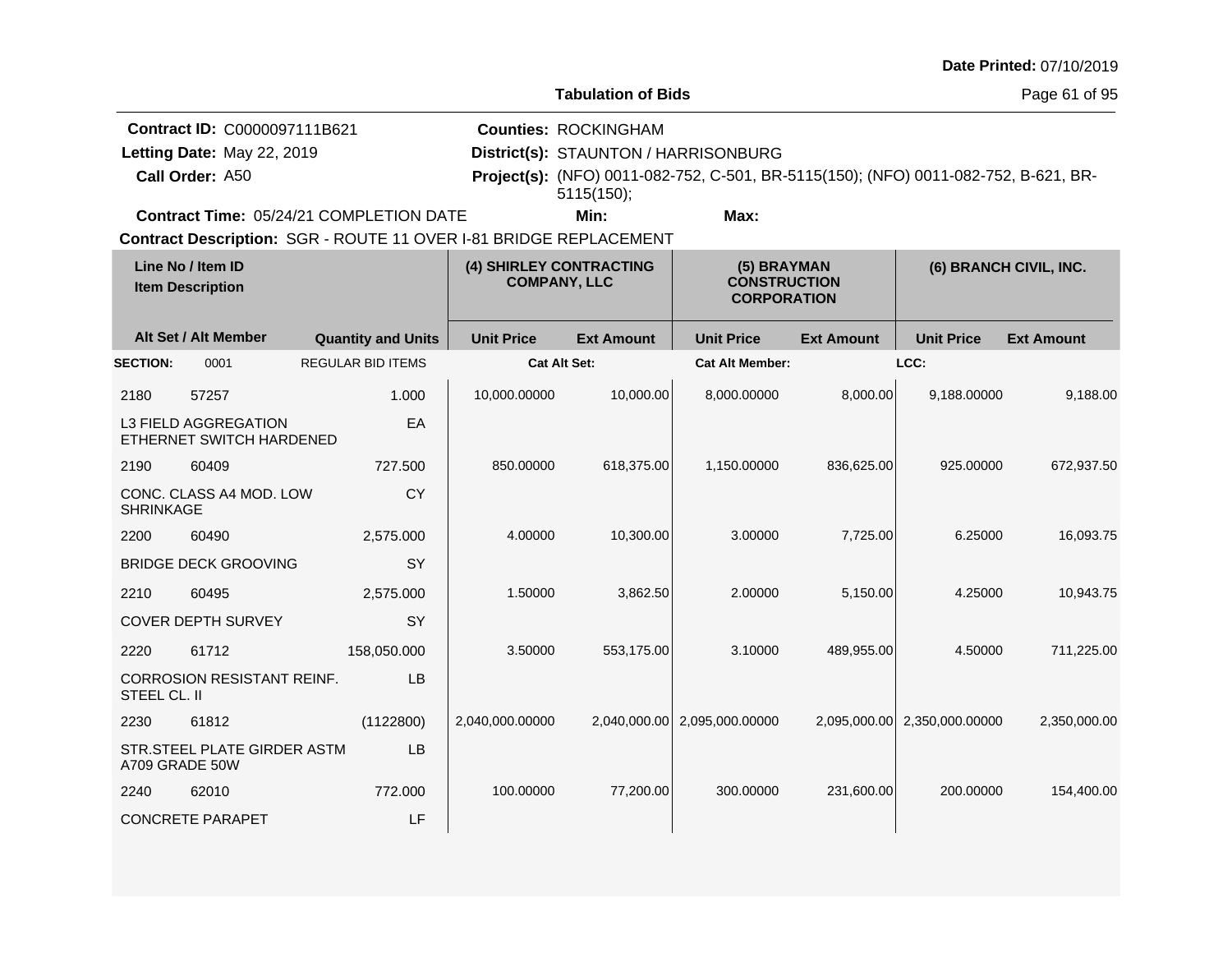|                                              |                                                                               |                                                                   |                                                |                                           |                                                                                                                             |                   |                              | Date Printed: 07/10/2019 |
|----------------------------------------------|-------------------------------------------------------------------------------|-------------------------------------------------------------------|------------------------------------------------|-------------------------------------------|-----------------------------------------------------------------------------------------------------------------------------|-------------------|------------------------------|--------------------------|
|                                              |                                                                               |                                                                   |                                                | <b>Tabulation of Bids</b>                 |                                                                                                                             |                   |                              | Page 61 of 95            |
|                                              | Contract ID: C0000097111B621<br>Letting Date: May 22, 2019<br>Call Order: A50 |                                                                   |                                                | <b>Counties: ROCKINGHAM</b><br>5115(150); | District(s): STAUNTON / HARRISONBURG<br>Project(s): (NFO) 0011-082-752, C-501, BR-5115(150); (NFO) 0011-082-752, B-621, BR- |                   |                              |                          |
|                                              |                                                                               | Contract Time: 05/24/21 COMPLETION DATE                           |                                                | Min:                                      | Max:                                                                                                                        |                   |                              |                          |
|                                              |                                                                               | Contract Description: SGR - ROUTE 11 OVER I-81 BRIDGE REPLACEMENT |                                                |                                           |                                                                                                                             |                   |                              |                          |
| Line No / Item ID<br><b>Item Description</b> |                                                                               |                                                                   | (4) SHIRLEY CONTRACTING<br><b>COMPANY, LLC</b> |                                           | (5) BRAYMAN<br><b>CONSTRUCTION</b><br><b>CORPORATION</b>                                                                    |                   | (6) BRANCH CIVIL, INC.       |                          |
|                                              | Alt Set / Alt Member                                                          | <b>Quantity and Units</b>                                         | <b>Unit Price</b>                              | <b>Ext Amount</b>                         | <b>Unit Price</b>                                                                                                           | <b>Ext Amount</b> | <b>Unit Price</b>            | <b>Ext Amount</b>        |
| <b>SECTION:</b>                              | 0001                                                                          | <b>REGULAR BID ITEMS</b>                                          | <b>Cat Alt Set:</b>                            |                                           | <b>Cat Alt Member:</b>                                                                                                      |                   | LCC:                         |                          |
| 2180                                         | 57257                                                                         | 1.000                                                             | 10,000.00000                                   | 10,000.00                                 | 8,000.00000                                                                                                                 | 8,000.00          | 9,188.00000                  | 9,188.00                 |
|                                              | L3 FIELD AGGREGATION<br>ETHERNET SWITCH HARDENED                              | EA                                                                |                                                |                                           |                                                                                                                             |                   |                              |                          |
| 2190                                         | 60409                                                                         | 727.500                                                           | 850.00000                                      | 618,375.00                                | 1,150.00000                                                                                                                 | 836,625.00        | 925.00000                    | 672,937.50               |
| <b>SHRINKAGE</b>                             | CONC. CLASS A4 MOD. LOW                                                       | <b>CY</b>                                                         |                                                |                                           |                                                                                                                             |                   |                              |                          |
| 2200                                         | 60490                                                                         | 2,575.000                                                         | 4.00000                                        | 10,300.00                                 | 3.00000                                                                                                                     | 7,725.00          | 6.25000                      | 16,093.75                |
|                                              | <b>BRIDGE DECK GROOVING</b>                                                   | <b>SY</b>                                                         |                                                |                                           |                                                                                                                             |                   |                              |                          |
| 2210                                         | 60495                                                                         | 2,575.000                                                         | 1.50000                                        | 3,862.50                                  | 2.00000                                                                                                                     | 5,150.00          | 4.25000                      | 10,943.75                |
|                                              | <b>COVER DEPTH SURVEY</b>                                                     | SY                                                                |                                                |                                           |                                                                                                                             |                   |                              |                          |
| 2220                                         | 61712                                                                         | 158,050.000                                                       | 3.50000                                        | 553,175.00                                | 3.10000                                                                                                                     | 489,955.00        | 4.50000                      | 711,225.00               |
| STEEL CL. II                                 | CORROSION RESISTANT REINF.                                                    | <b>LB</b>                                                         |                                                |                                           |                                                                                                                             |                   |                              |                          |
| 2230                                         | 61812                                                                         | (1122800)                                                         | 2,040,000.00000                                | 2,040,000.00                              | 2,095,000.00000                                                                                                             |                   | 2,095,000.00 2,350,000.00000 | 2,350,000.00             |
| A709 GRADE 50W                               | STR.STEEL PLATE GIRDER ASTM                                                   | LB.                                                               |                                                |                                           |                                                                                                                             |                   |                              |                          |
| 2240                                         | 62010                                                                         | 772,000                                                           | 100.00000                                      | 77,200.00                                 | 300.00000                                                                                                                   | 231,600.00        | 200.00000                    | 154,400.00               |
|                                              | <b>CONCRETE PARAPET</b>                                                       | LF                                                                |                                                |                                           |                                                                                                                             |                   |                              |                          |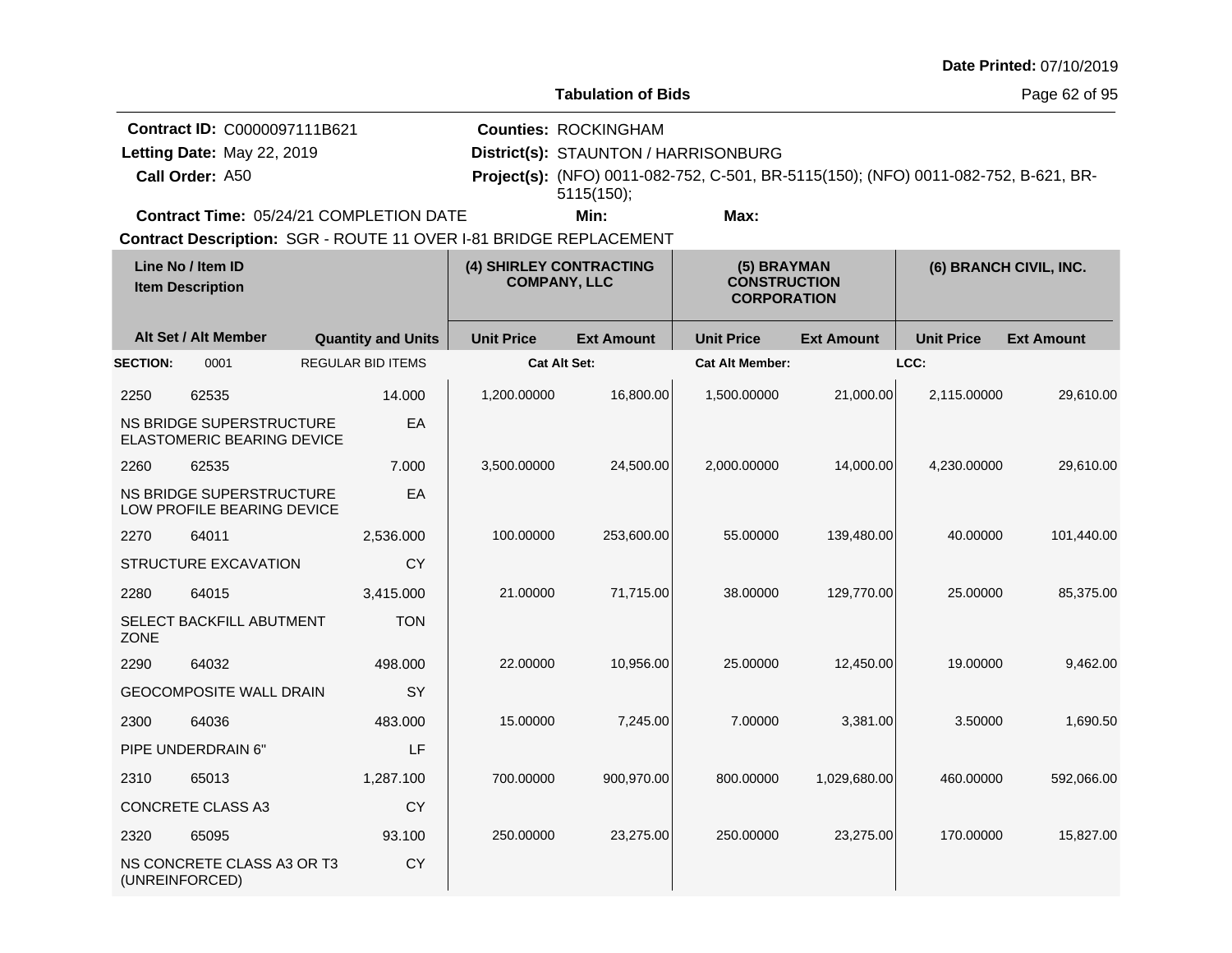|                 |                                                                               |                                                                   |                                                |                                                                                   |                                                                                     |                   |                   | Date Printed: 07/10/2019 |
|-----------------|-------------------------------------------------------------------------------|-------------------------------------------------------------------|------------------------------------------------|-----------------------------------------------------------------------------------|-------------------------------------------------------------------------------------|-------------------|-------------------|--------------------------|
|                 |                                                                               |                                                                   |                                                | <b>Tabulation of Bids</b>                                                         |                                                                                     |                   |                   | Page 62 of 95            |
|                 | Contract ID: C0000097111B621<br>Letting Date: May 22, 2019<br>Call Order: A50 |                                                                   |                                                | <b>Counties: ROCKINGHAM</b><br>District(s): STAUNTON / HARRISONBURG<br>5115(150); | Project(s): (NFO) 0011-082-752, C-501, BR-5115(150); (NFO) 0011-082-752, B-621, BR- |                   |                   |                          |
|                 |                                                                               | <b>Contract Time: 05/24/21 COMPLETION DATE</b>                    |                                                | Min:                                                                              | Max:                                                                                |                   |                   |                          |
|                 |                                                                               | Contract Description: SGR - ROUTE 11 OVER I-81 BRIDGE REPLACEMENT |                                                |                                                                                   |                                                                                     |                   |                   |                          |
|                 | Line No / Item ID<br><b>Item Description</b>                                  |                                                                   | (4) SHIRLEY CONTRACTING<br><b>COMPANY, LLC</b> |                                                                                   | (5) BRAYMAN<br><b>CONSTRUCTION</b><br><b>CORPORATION</b>                            |                   |                   | (6) BRANCH CIVIL, INC.   |
|                 | Alt Set / Alt Member                                                          | <b>Quantity and Units</b>                                         | <b>Unit Price</b>                              | <b>Ext Amount</b>                                                                 | <b>Unit Price</b>                                                                   | <b>Ext Amount</b> | <b>Unit Price</b> | <b>Ext Amount</b>        |
| <b>SECTION:</b> | 0001                                                                          | <b>REGULAR BID ITEMS</b>                                          |                                                | <b>Cat Alt Set:</b>                                                               | <b>Cat Alt Member:</b>                                                              |                   | LCC:              |                          |
| 2250            | 62535                                                                         | 14.000                                                            | 1,200.00000                                    | 16,800.00                                                                         | 1,500.00000                                                                         | 21,000.00         | 2.115.00000       | 29,610.00                |
|                 | <b>NS BRIDGE SUPERSTRUCTURE</b><br><b>ELASTOMERIC BEARING DEVICE</b>          | EA                                                                |                                                |                                                                                   |                                                                                     |                   |                   |                          |
| 2260            | 62535                                                                         | 7.000                                                             | 3,500.00000                                    | 24,500.00                                                                         | 2,000.00000                                                                         | 14,000.00         | 4,230.00000       | 29,610.00                |
|                 | <b>NS BRIDGE SUPERSTRUCTURE</b><br>LOW PROFILE BEARING DEVICE                 | EA                                                                |                                                |                                                                                   |                                                                                     |                   |                   |                          |
| 2270            | 64011                                                                         | 2,536.000                                                         | 100.00000                                      | 253,600.00                                                                        | 55.00000                                                                            | 139,480.00        | 40.00000          | 101,440.00               |
|                 | STRUCTURE EXCAVATION                                                          | <b>CY</b>                                                         |                                                |                                                                                   |                                                                                     |                   |                   |                          |
| 2280            | 64015                                                                         | 3,415.000                                                         | 21.00000                                       | 71,715.00                                                                         | 38.00000                                                                            | 129,770.00        | 25.00000          | 85,375.00                |
| <b>ZONE</b>     | SELECT BACKFILL ABUTMENT                                                      | <b>TON</b>                                                        |                                                |                                                                                   |                                                                                     |                   |                   |                          |
| 2290            | 64032                                                                         | 498.000                                                           | 22.00000                                       | 10,956.00                                                                         | 25.00000                                                                            | 12,450.00         | 19.00000          | 9,462.00                 |
|                 | <b>GEOCOMPOSITE WALL DRAIN</b>                                                | <b>SY</b>                                                         |                                                |                                                                                   |                                                                                     |                   |                   |                          |
| 2300            | 64036                                                                         | 483.000                                                           | 15.00000                                       | 7,245.00                                                                          | 7.00000                                                                             | 3,381.00          | 3.50000           | 1,690.50                 |
|                 | PIPE UNDERDRAIN 6"                                                            | LF                                                                |                                                |                                                                                   |                                                                                     |                   |                   |                          |
| 2310            | 65013                                                                         | 1,287.100                                                         | 700.00000                                      | 900,970.00                                                                        | 800.00000                                                                           | 1,029,680.00      | 460.00000         | 592,066.00               |
|                 | CONCRETE CLASS A3                                                             | CY                                                                |                                                |                                                                                   |                                                                                     |                   |                   |                          |
| 2320            | 65095                                                                         | 93.100                                                            | 250.00000                                      | 23,275.00                                                                         | 250.00000                                                                           | 23,275.00         | 170.00000         | 15,827.00                |
|                 | NS CONCRETE CLASS A3 OR T3<br>(UNREINFORCED)                                  | CY                                                                |                                                |                                                                                   |                                                                                     |                   |                   |                          |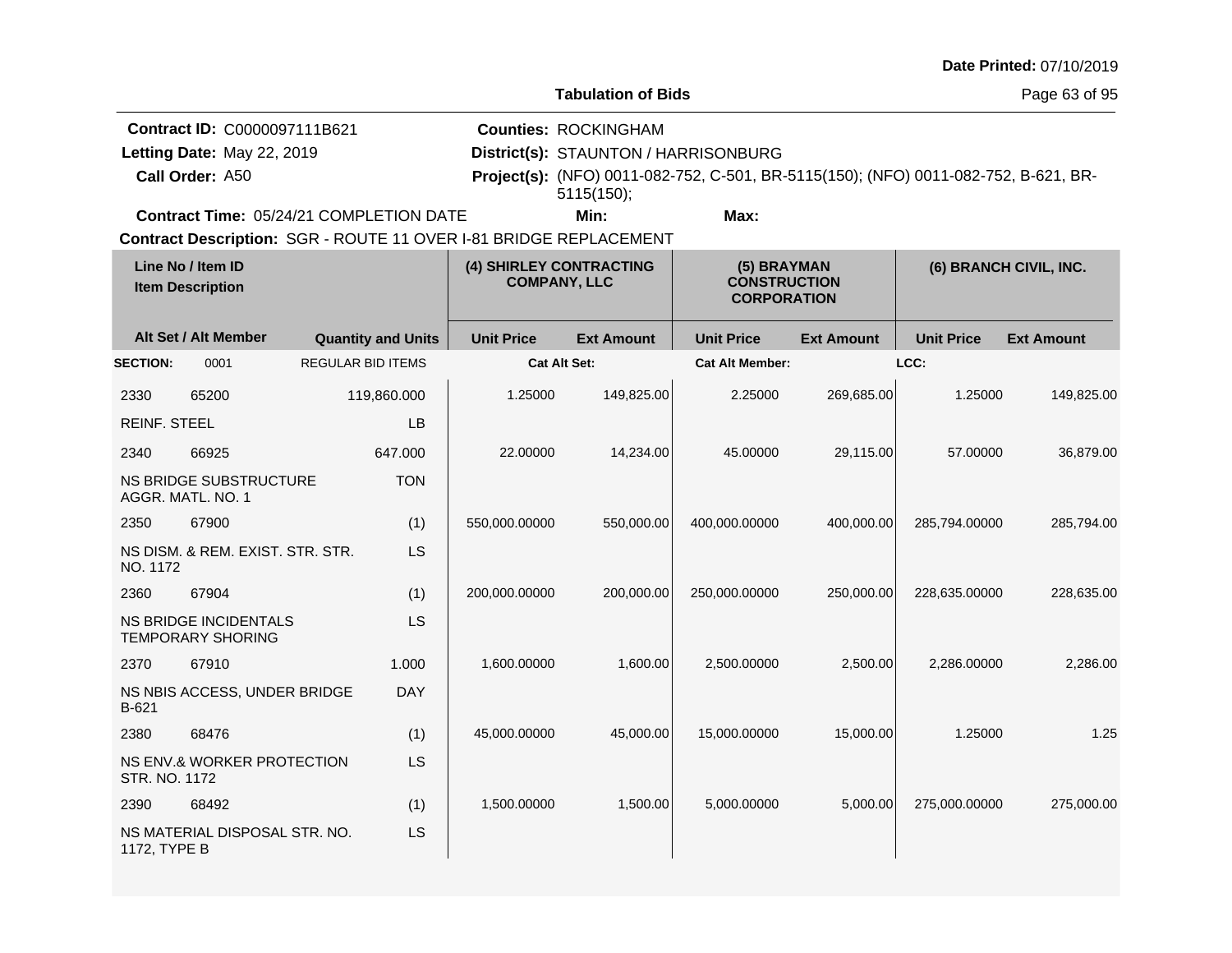| Date Printed: 07/10/2019 |  |
|--------------------------|--|
|--------------------------|--|

Page 63 of 95

| Contract ID: C0000097111B621                   | <b>Counties: ROCKINGHAM</b>          |      |                                                                                            |  |
|------------------------------------------------|--------------------------------------|------|--------------------------------------------------------------------------------------------|--|
| Letting Date: May 22, 2019                     | District(s): STAUNTON / HARRISONBURG |      |                                                                                            |  |
| <b>Call Order: A50</b>                         | $5115(150)$ ;                        |      | <b>Project(s):</b> (NFO) 0011-082-752, C-501, BR-5115(150); (NFO) 0011-082-752, B-621, BR- |  |
| <b>Contract Time: 05/24/21 COMPLETION DATE</b> | Min:                                 | Max: |                                                                                            |  |
|                                                |                                      |      |                                                                                            |  |

| Line No / Item ID<br><b>Item Description</b> |                                                          | (4) SHIRLEY CONTRACTING<br><b>COMPANY, LLC</b> |                     | (5) BRAYMAN<br><b>CONSTRUCTION</b><br><b>CORPORATION</b> |                        | (6) BRANCH CIVIL, INC. |                   |                   |
|----------------------------------------------|----------------------------------------------------------|------------------------------------------------|---------------------|----------------------------------------------------------|------------------------|------------------------|-------------------|-------------------|
|                                              | Alt Set / Alt Member                                     | <b>Quantity and Units</b>                      | <b>Unit Price</b>   | <b>Ext Amount</b>                                        | <b>Unit Price</b>      | <b>Ext Amount</b>      | <b>Unit Price</b> | <b>Ext Amount</b> |
| <b>SECTION:</b>                              | 0001                                                     | <b>REGULAR BID ITEMS</b>                       | <b>Cat Alt Set:</b> |                                                          | <b>Cat Alt Member:</b> |                        | LCC:              |                   |
| 2330                                         | 65200                                                    | 119,860.000                                    | 1.25000             | 149,825.00                                               | 2.25000                | 269,685.00             | 1.25000           | 149,825.00        |
| <b>REINF. STEEL</b>                          |                                                          | LB                                             |                     |                                                          |                        |                        |                   |                   |
| 2340                                         | 66925                                                    | 647.000                                        | 22.00000            | 14,234.00                                                | 45.00000               | 29,115.00              | 57.00000          | 36,879.00         |
|                                              | NS BRIDGE SUBSTRUCTURE<br>AGGR. MATL. NO. 1              | <b>TON</b>                                     |                     |                                                          |                        |                        |                   |                   |
| 2350                                         | 67900                                                    | (1)                                            | 550,000.00000       | 550,000.00                                               | 400,000.00000          | 400,000.00             | 285,794.00000     | 285,794.00        |
| NO. 1172                                     | NS DISM. & REM. EXIST. STR. STR.                         | LS                                             |                     |                                                          |                        |                        |                   |                   |
| 2360                                         | 67904                                                    | (1)                                            | 200,000.00000       | 200,000.00                                               | 250,000.00000          | 250,000.00             | 228,635.00000     | 228,635.00        |
|                                              | <b>NS BRIDGE INCIDENTALS</b><br><b>TEMPORARY SHORING</b> | LS                                             |                     |                                                          |                        |                        |                   |                   |
| 2370                                         | 67910                                                    | 1.000                                          | 1,600.00000         | 1,600.00                                                 | 2.500.00000            | 2,500.00               | 2.286.00000       | 2,286.00          |
| B-621                                        | NS NBIS ACCESS, UNDER BRIDGE                             | <b>DAY</b>                                     |                     |                                                          |                        |                        |                   |                   |
| 2380                                         | 68476                                                    | (1)                                            | 45,000.00000        | 45,000.00                                                | 15,000.00000           | 15,000.00              | 1.25000           | 1.25              |
| STR. NO. 1172                                | NS ENV.& WORKER PROTECTION                               | LS                                             |                     |                                                          |                        |                        |                   |                   |
| 2390                                         | 68492                                                    | (1)                                            | 1,500.00000         | 1,500.00                                                 | 5,000.00000            | 5,000.00               | 275,000.00000     | 275,000.00        |
| 1172, TYPE B                                 | NS MATERIAL DISPOSAL STR. NO.                            | LS                                             |                     |                                                          |                        |                        |                   |                   |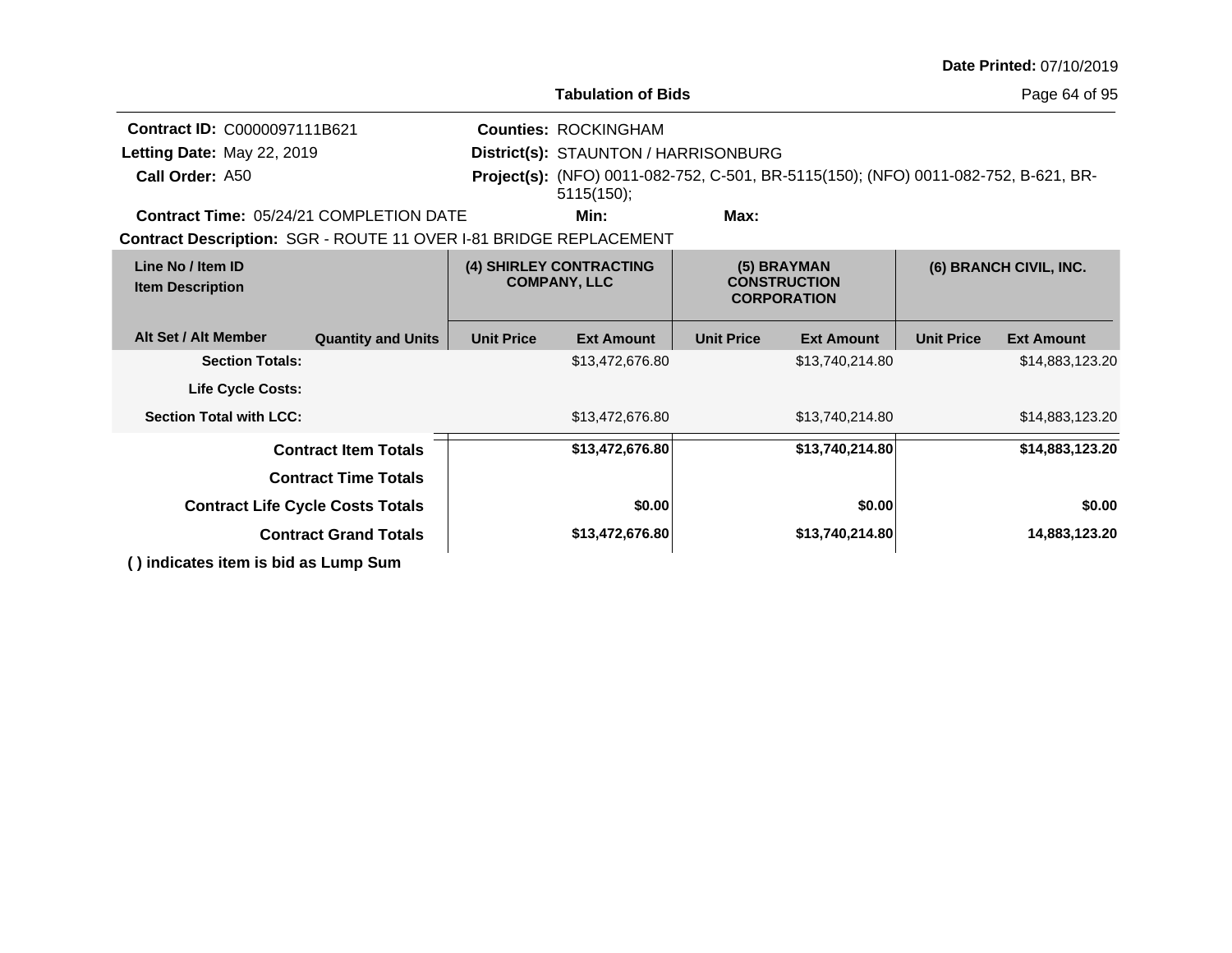|                                                                   |                                         |                   |                                                                                                   |                                                          |                   |                        | Date Printed: 07/10/2019 |  |
|-------------------------------------------------------------------|-----------------------------------------|-------------------|---------------------------------------------------------------------------------------------------|----------------------------------------------------------|-------------------|------------------------|--------------------------|--|
|                                                                   |                                         |                   | <b>Tabulation of Bids</b>                                                                         |                                                          |                   |                        | Page 64 of 95            |  |
| Contract ID: C0000097111B621                                      |                                         |                   | <b>Counties: ROCKINGHAM</b>                                                                       |                                                          |                   |                        |                          |  |
| Letting Date: May 22, 2019                                        |                                         |                   |                                                                                                   | District(s): STAUNTON / HARRISONBURG                     |                   |                        |                          |  |
| Call Order: A50                                                   |                                         |                   | Project(s): (NFO) 0011-082-752, C-501, BR-5115(150); (NFO) 0011-082-752, B-621, BR-<br>5115(150); |                                                          |                   |                        |                          |  |
| <b>Contract Time: 05/24/21 COMPLETION DATE</b>                    |                                         |                   | Min:                                                                                              | Max:                                                     |                   |                        |                          |  |
| Contract Description: SGR - ROUTE 11 OVER I-81 BRIDGE REPLACEMENT |                                         |                   |                                                                                                   |                                                          |                   |                        |                          |  |
| Line No / Item ID<br><b>Item Description</b>                      |                                         |                   | (4) SHIRLEY CONTRACTING<br><b>COMPANY, LLC</b>                                                    | (5) BRAYMAN<br><b>CONSTRUCTION</b><br><b>CORPORATION</b> |                   | (6) BRANCH CIVIL, INC. |                          |  |
| Alt Set / Alt Member                                              | <b>Quantity and Units</b>               | <b>Unit Price</b> | <b>Ext Amount</b>                                                                                 | <b>Unit Price</b>                                        | <b>Ext Amount</b> | <b>Unit Price</b>      | <b>Ext Amount</b>        |  |
| <b>Section Totals:</b>                                            |                                         |                   | \$13,472,676.80                                                                                   |                                                          | \$13,740,214.80   |                        | \$14,883,123.20          |  |
| Life Cycle Costs:                                                 |                                         |                   |                                                                                                   |                                                          |                   |                        |                          |  |
| <b>Section Total with LCC:</b>                                    |                                         |                   | \$13,472,676.80                                                                                   |                                                          | \$13,740,214.80   |                        | \$14,883,123.20          |  |
|                                                                   | <b>Contract Item Totals</b>             |                   | \$13,472,676.80                                                                                   |                                                          | \$13,740,214.80   |                        | \$14,883,123.20          |  |
|                                                                   | <b>Contract Time Totals</b>             |                   |                                                                                                   |                                                          |                   |                        |                          |  |
|                                                                   | <b>Contract Life Cycle Costs Totals</b> |                   | \$0.00                                                                                            |                                                          | \$0.00            |                        | \$0.00                   |  |
|                                                                   | <b>Contract Grand Totals</b>            |                   | \$13,472,676.80                                                                                   |                                                          | \$13,740,214.80   |                        | 14,883,123.20            |  |
| () indicates item is bid as Lump Sum                              |                                         |                   |                                                                                                   |                                                          |                   |                        |                          |  |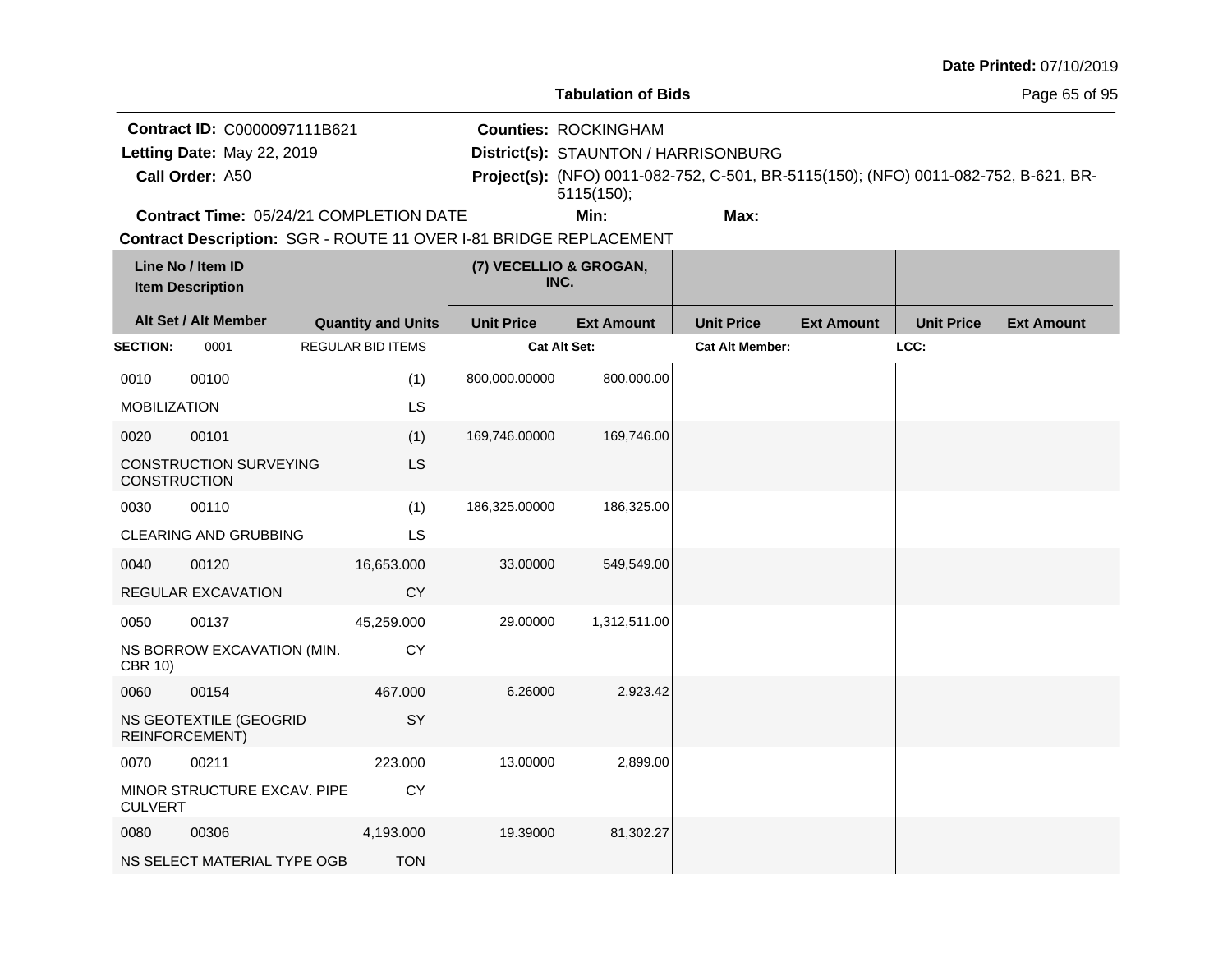|                     |                                                                   |                           |                                | <b>Tabulation of Bids</b>            |                                                                                     |                   |                   | Page 65 of 95     |
|---------------------|-------------------------------------------------------------------|---------------------------|--------------------------------|--------------------------------------|-------------------------------------------------------------------------------------|-------------------|-------------------|-------------------|
|                     | Contract ID: C0000097111B621                                      |                           |                                | <b>Counties: ROCKINGHAM</b>          |                                                                                     |                   |                   |                   |
|                     | Letting Date: May 22, 2019                                        |                           |                                | District(s): STAUNTON / HARRISONBURG |                                                                                     |                   |                   |                   |
|                     | Call Order: A50                                                   |                           |                                | 5115(150);                           | Project(s): (NFO) 0011-082-752, C-501, BR-5115(150); (NFO) 0011-082-752, B-621, BR- |                   |                   |                   |
|                     | Contract Time: 05/24/21 COMPLETION DATE                           |                           |                                | Min:                                 | Max:                                                                                |                   |                   |                   |
|                     | Contract Description: SGR - ROUTE 11 OVER I-81 BRIDGE REPLACEMENT |                           |                                |                                      |                                                                                     |                   |                   |                   |
|                     | Line No / Item ID<br><b>Item Description</b>                      |                           | (7) VECELLIO & GROGAN,<br>INC. |                                      |                                                                                     |                   |                   |                   |
|                     | Alt Set / Alt Member                                              | <b>Quantity and Units</b> | <b>Unit Price</b>              | <b>Ext Amount</b>                    | <b>Unit Price</b>                                                                   | <b>Ext Amount</b> | <b>Unit Price</b> | <b>Ext Amount</b> |
| <b>SECTION:</b>     | 0001                                                              | <b>REGULAR BID ITEMS</b>  | <b>Cat Alt Set:</b>            |                                      | <b>Cat Alt Member:</b>                                                              |                   | LCC:              |                   |
| 0010                | 00100                                                             | (1)                       | 800,000.00000                  | 800,000.00                           |                                                                                     |                   |                   |                   |
| <b>MOBILIZATION</b> |                                                                   | LS                        |                                |                                      |                                                                                     |                   |                   |                   |
| 0020                | 00101                                                             | (1)                       | 169,746.00000                  | 169,746.00                           |                                                                                     |                   |                   |                   |
| <b>CONSTRUCTION</b> | <b>CONSTRUCTION SURVEYING</b>                                     | LS                        |                                |                                      |                                                                                     |                   |                   |                   |
| 0030                | 00110                                                             | (1)                       | 186,325.00000                  | 186,325.00                           |                                                                                     |                   |                   |                   |
|                     | CLEARING AND GRUBBING                                             | LS.                       |                                |                                      |                                                                                     |                   |                   |                   |
| 0040                | 00120                                                             | 16,653.000                | 33.00000                       | 549,549.00                           |                                                                                     |                   |                   |                   |
|                     | REGULAR EXCAVATION                                                | <b>CY</b>                 |                                |                                      |                                                                                     |                   |                   |                   |
| 0050                | 00137                                                             | 45,259.000                | 29.00000                       | 1,312,511.00                         |                                                                                     |                   |                   |                   |
| <b>CBR 10)</b>      | NS BORROW EXCAVATION (MIN.                                        | CY                        |                                |                                      |                                                                                     |                   |                   |                   |
| 0060                | 00154                                                             | 467.000                   | 6.26000                        | 2,923.42                             |                                                                                     |                   |                   |                   |
|                     | NS GEOTEXTILE (GEOGRID<br>REINFORCEMENT)                          | SY                        |                                |                                      |                                                                                     |                   |                   |                   |
| 0070                | 00211                                                             | 223,000                   | 13.00000                       | 2,899.00                             |                                                                                     |                   |                   |                   |
| <b>CULVERT</b>      | MINOR STRUCTURE EXCAV. PIPE                                       | CY                        |                                |                                      |                                                                                     |                   |                   |                   |
| 0080                | 00306                                                             | 4,193.000                 | 19.39000                       | 81,302.27                            |                                                                                     |                   |                   |                   |

NS SELECT MATERIAL TYPE OGB

**TON**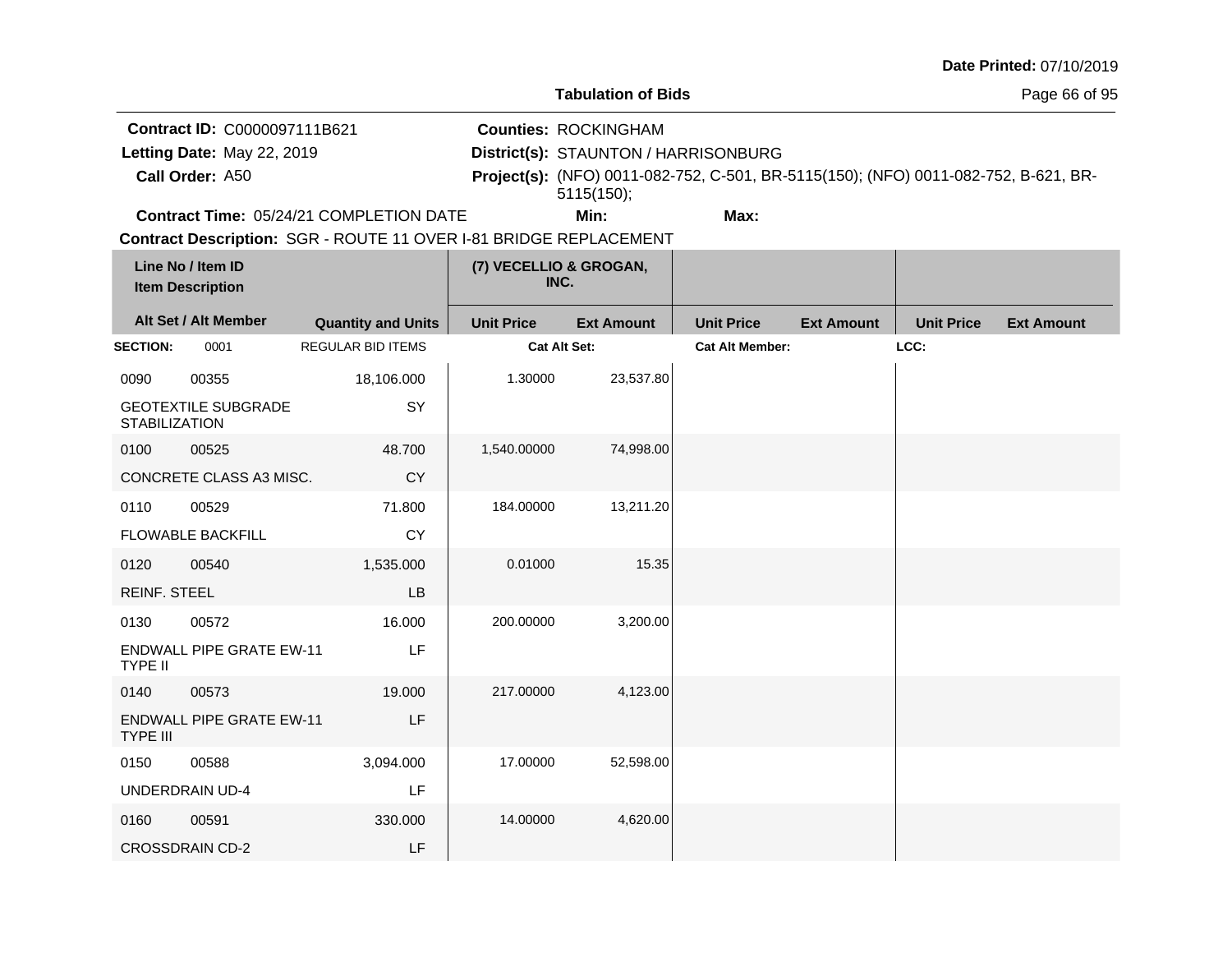| <b>Date Printed: 07/10/2019</b> |  |
|---------------------------------|--|
|---------------------------------|--|

Page 66 of 95

**Contract ID:** C0000097111B621

**Call Order:**

Letting Date: May 22, 2019

**Letting Date:** May 22, 2019 **District(s): STAUNTON / HARRISONBURG** 

**Counties:** ROCKINGHAM

A50 **Project(s):** (NFO) 0011-082-752, C-501, BR-5115(150); (NFO) 0011-082-752, B-621, BR-5115(150);

**Contract Time:** 05/24/21 COMPLETION DATE

**Min: Max:**

| Line No / Item ID<br><b>Item Description</b> |                                 | (7) VECELLIO & GROGAN,<br>INC. |                     |                   |                        |                   |                   |                   |
|----------------------------------------------|---------------------------------|--------------------------------|---------------------|-------------------|------------------------|-------------------|-------------------|-------------------|
|                                              | Alt Set / Alt Member            | <b>Quantity and Units</b>      | <b>Unit Price</b>   | <b>Ext Amount</b> | <b>Unit Price</b>      | <b>Ext Amount</b> | <b>Unit Price</b> | <b>Ext Amount</b> |
| <b>SECTION:</b>                              | 0001                            | <b>REGULAR BID ITEMS</b>       | <b>Cat Alt Set:</b> |                   | <b>Cat Alt Member:</b> |                   | LCC:              |                   |
| 0090                                         | 00355                           | 18,106.000                     | 1.30000             | 23,537.80         |                        |                   |                   |                   |
| <b>STABILIZATION</b>                         | <b>GEOTEXTILE SUBGRADE</b>      | SY                             |                     |                   |                        |                   |                   |                   |
| 0100                                         | 00525                           | 48.700                         | 1,540.00000         | 74,998.00         |                        |                   |                   |                   |
|                                              | CONCRETE CLASS A3 MISC.         | <b>CY</b>                      |                     |                   |                        |                   |                   |                   |
| 0110                                         | 00529                           | 71.800                         | 184.00000           | 13,211.20         |                        |                   |                   |                   |
|                                              | <b>FLOWABLE BACKFILL</b>        | <b>CY</b>                      |                     |                   |                        |                   |                   |                   |
| 0120                                         | 00540                           | 1,535.000                      | 0.01000             | 15.35             |                        |                   |                   |                   |
| <b>REINF. STEEL</b>                          |                                 | LB                             |                     |                   |                        |                   |                   |                   |
| 0130                                         | 00572                           | 16.000                         | 200.00000           | 3,200.00          |                        |                   |                   |                   |
| <b>TYPE II</b>                               | <b>ENDWALL PIPE GRATE EW-11</b> | LF                             |                     |                   |                        |                   |                   |                   |
| 0140                                         | 00573                           | 19.000                         | 217.00000           | 4,123.00          |                        |                   |                   |                   |
| <b>TYPE III</b>                              | <b>ENDWALL PIPE GRATE EW-11</b> | LF                             |                     |                   |                        |                   |                   |                   |
| 0150                                         | 00588                           | 3,094.000                      | 17.00000            | 52,598.00         |                        |                   |                   |                   |
|                                              | <b>UNDERDRAIN UD-4</b>          | LF                             |                     |                   |                        |                   |                   |                   |
| 0160                                         | 00591                           | 330.000                        | 14.00000            | 4,620.00          |                        |                   |                   |                   |
|                                              | <b>CROSSDRAIN CD-2</b>          | LF                             |                     |                   |                        |                   |                   |                   |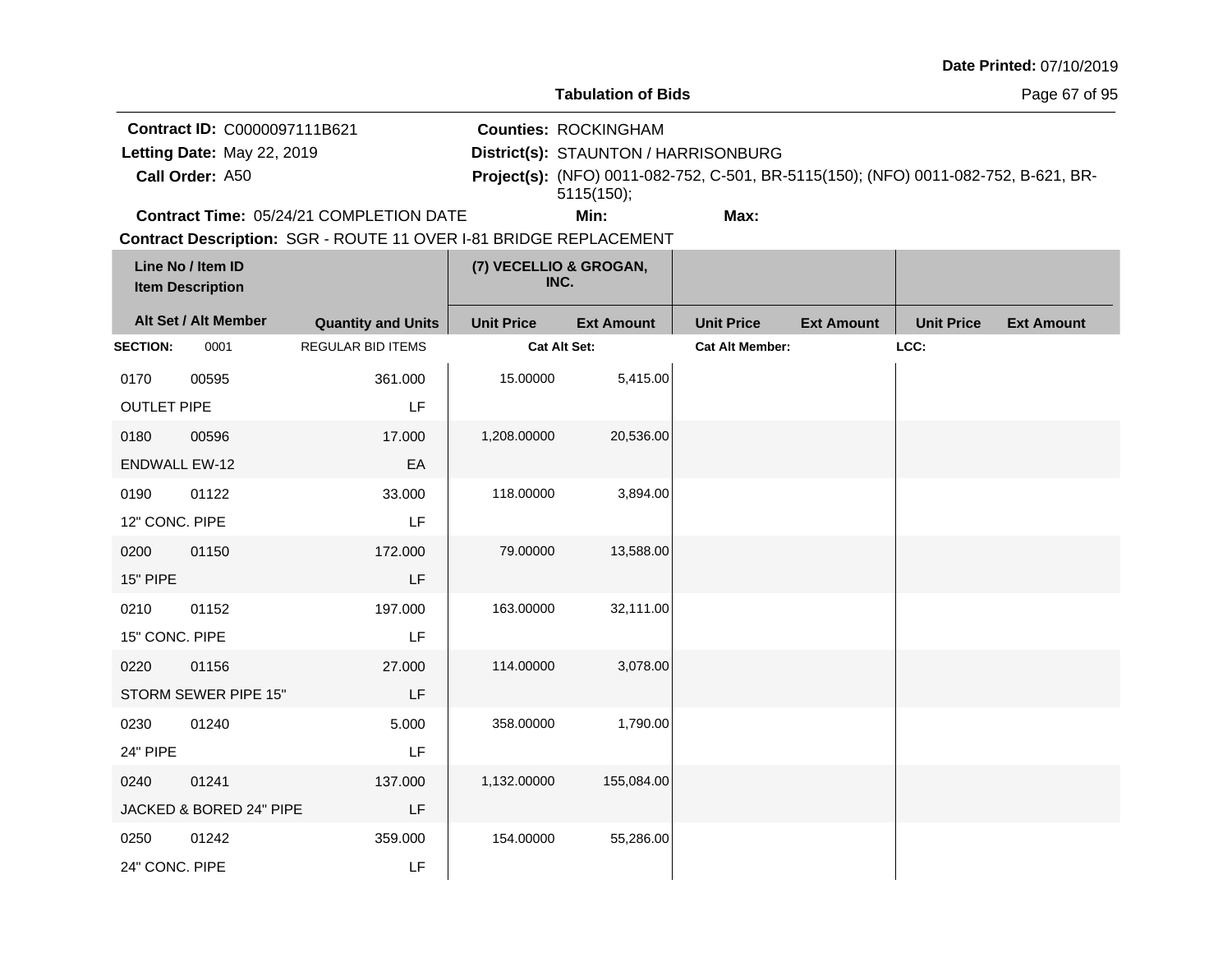| Date Printed: 07/10/2019 |  |
|--------------------------|--|
|--------------------------|--|

**Tabulation of Bids**

Page 67 of 95

**Contract ID:** C0000097111B621

**Call Order:**

Letting Date: May 22, 2019

**Letting Date:** May 22, 2019 **District(s): STAUNTON / HARRISONBURG** 

**Counties:** ROCKINGHAM

A50 **Project(s):** (NFO) 0011-082-752, C-501, BR-5115(150); (NFO) 0011-082-752, B-621, BR-5115(150);

**Contract Time:** 05/24/21 COMPLETION DATE

**Min: Max:**

| Line No / Item ID<br><b>Item Description</b> |                         | (7) VECELLIO & GROGAN,<br>INC. |                   |                   |                        |                   |                   |                   |
|----------------------------------------------|-------------------------|--------------------------------|-------------------|-------------------|------------------------|-------------------|-------------------|-------------------|
|                                              | Alt Set / Alt Member    | <b>Quantity and Units</b>      | <b>Unit Price</b> | <b>Ext Amount</b> | <b>Unit Price</b>      | <b>Ext Amount</b> | <b>Unit Price</b> | <b>Ext Amount</b> |
| <b>SECTION:</b>                              | 0001                    | <b>REGULAR BID ITEMS</b>       | Cat Alt Set:      |                   | <b>Cat Alt Member:</b> |                   | LCC:              |                   |
| 0170                                         | 00595                   | 361.000                        | 15.00000          | 5,415.00          |                        |                   |                   |                   |
| <b>OUTLET PIPE</b>                           |                         | LF                             |                   |                   |                        |                   |                   |                   |
| 0180                                         | 00596                   | 17.000                         | 1,208.00000       | 20,536.00         |                        |                   |                   |                   |
| <b>ENDWALL EW-12</b>                         |                         | EA                             |                   |                   |                        |                   |                   |                   |
| 0190                                         | 01122                   | 33.000                         | 118.00000         | 3,894.00          |                        |                   |                   |                   |
| 12" CONC. PIPE                               |                         | LF                             |                   |                   |                        |                   |                   |                   |
| 0200                                         | 01150                   | 172.000                        | 79.00000          | 13,588.00         |                        |                   |                   |                   |
| 15" PIPE                                     |                         | LF                             |                   |                   |                        |                   |                   |                   |
| 0210                                         | 01152                   | 197.000                        | 163.00000         | 32,111.00         |                        |                   |                   |                   |
| 15" CONC. PIPE                               |                         | LF                             |                   |                   |                        |                   |                   |                   |
| 0220                                         | 01156                   | 27.000                         | 114.00000         | 3,078.00          |                        |                   |                   |                   |
|                                              | STORM SEWER PIPE 15"    | LF                             |                   |                   |                        |                   |                   |                   |
| 0230                                         | 01240                   | 5.000                          | 358.00000         | 1,790.00          |                        |                   |                   |                   |
| 24" PIPE                                     |                         | LF                             |                   |                   |                        |                   |                   |                   |
| 0240                                         | 01241                   | 137.000                        | 1,132.00000       | 155,084.00        |                        |                   |                   |                   |
|                                              | JACKED & BORED 24" PIPE | LF                             |                   |                   |                        |                   |                   |                   |
| 0250                                         | 01242                   | 359.000                        | 154.00000         | 55,286.00         |                        |                   |                   |                   |
| 24" CONC. PIPE                               |                         | LF                             |                   |                   |                        |                   |                   |                   |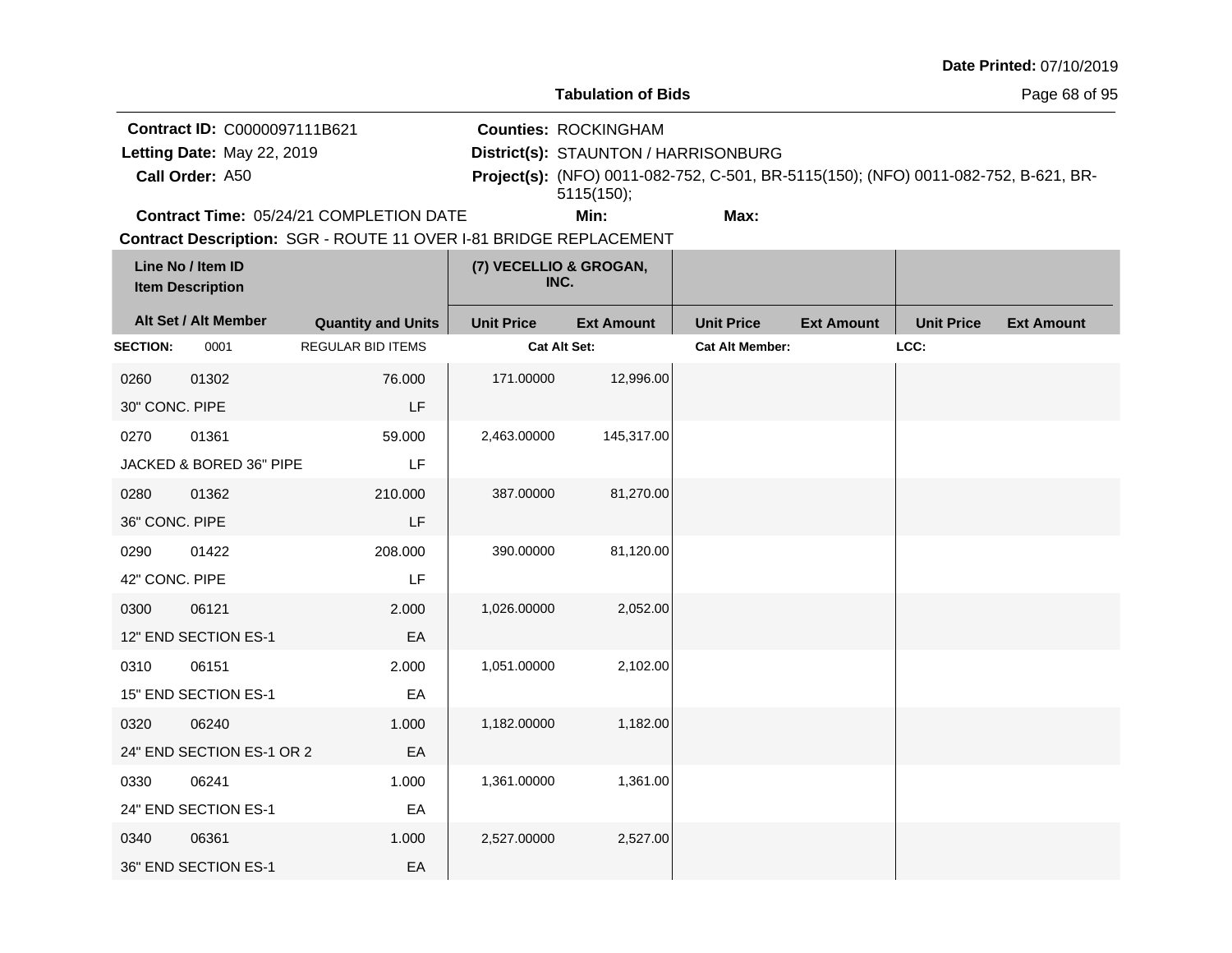|                                                                               |                                              |                                                                   |                                                                                                                                                                          |                           |                        |                   |                   | Date Printed: 07/10/2019 |  |
|-------------------------------------------------------------------------------|----------------------------------------------|-------------------------------------------------------------------|--------------------------------------------------------------------------------------------------------------------------------------------------------------------------|---------------------------|------------------------|-------------------|-------------------|--------------------------|--|
|                                                                               |                                              |                                                                   |                                                                                                                                                                          | <b>Tabulation of Bids</b> |                        |                   | Page 68 of 95     |                          |  |
| Contract ID: C0000097111B621<br>Letting Date: May 22, 2019<br>Call Order: A50 |                                              |                                                                   | <b>Counties: ROCKINGHAM</b><br>District(s): STAUNTON / HARRISONBURG<br>Project(s): (NFO) 0011-082-752, C-501, BR-5115(150); (NFO) 0011-082-752, B-621, BR-<br>5115(150); |                           |                        |                   |                   |                          |  |
|                                                                               |                                              | Contract Time: 05/24/21 COMPLETION DATE                           |                                                                                                                                                                          | Min:                      | Max:                   |                   |                   |                          |  |
|                                                                               |                                              | Contract Description: SGR - ROUTE 11 OVER I-81 BRIDGE REPLACEMENT |                                                                                                                                                                          |                           |                        |                   |                   |                          |  |
|                                                                               | Line No / Item ID<br><b>Item Description</b> |                                                                   | (7) VECELLIO & GROGAN,<br>INC.                                                                                                                                           |                           |                        |                   |                   |                          |  |
|                                                                               | Alt Set / Alt Member                         | <b>Quantity and Units</b>                                         | <b>Unit Price</b>                                                                                                                                                        | <b>Ext Amount</b>         | <b>Unit Price</b>      | <b>Ext Amount</b> | <b>Unit Price</b> | <b>Ext Amount</b>        |  |
| <b>SECTION:</b>                                                               | 0001                                         | REGULAR BID ITEMS                                                 |                                                                                                                                                                          | Cat Alt Set:              | <b>Cat Alt Member:</b> |                   | LCC:              |                          |  |
| 0260                                                                          | 01302                                        | 76.000                                                            | 171.00000                                                                                                                                                                | 12,996.00                 |                        |                   |                   |                          |  |
| 30" CONC. PIPE                                                                |                                              | LF                                                                |                                                                                                                                                                          |                           |                        |                   |                   |                          |  |
| 0270                                                                          | 01361                                        | 59.000                                                            | 2,463.00000                                                                                                                                                              | 145,317.00                |                        |                   |                   |                          |  |
|                                                                               | JACKED & BORED 36" PIPE                      | LF                                                                |                                                                                                                                                                          |                           |                        |                   |                   |                          |  |
| 0280                                                                          | 01362                                        | 210.000                                                           | 387.00000                                                                                                                                                                | 81,270.00                 |                        |                   |                   |                          |  |
| 36" CONC. PIPE                                                                |                                              | LF                                                                |                                                                                                                                                                          |                           |                        |                   |                   |                          |  |
| 0290                                                                          | 01422                                        | 208.000                                                           | 390.00000                                                                                                                                                                | 81,120.00                 |                        |                   |                   |                          |  |
| 42" CONC. PIPE                                                                |                                              | LF                                                                |                                                                                                                                                                          |                           |                        |                   |                   |                          |  |
| 0300                                                                          | 06121                                        | 2.000                                                             | 1,026.00000                                                                                                                                                              | 2,052.00                  |                        |                   |                   |                          |  |
|                                                                               | 12" END SECTION ES-1                         | EA                                                                |                                                                                                                                                                          |                           |                        |                   |                   |                          |  |
| 0310                                                                          | 06151                                        | 2.000                                                             | 1,051.00000                                                                                                                                                              | 2,102.00                  |                        |                   |                   |                          |  |
|                                                                               | 15" END SECTION ES-1                         | EA                                                                |                                                                                                                                                                          |                           |                        |                   |                   |                          |  |
| 0320                                                                          | 06240                                        | 1.000                                                             | 1,182.00000                                                                                                                                                              | 1,182.00                  |                        |                   |                   |                          |  |
|                                                                               | 24" END SECTION ES-1 OR 2                    | EA                                                                |                                                                                                                                                                          |                           |                        |                   |                   |                          |  |
| 0330                                                                          | 06241                                        | 1.000                                                             | 1,361.00000                                                                                                                                                              | 1,361.00                  |                        |                   |                   |                          |  |
|                                                                               | 24" END SECTION ES-1                         | EA                                                                |                                                                                                                                                                          |                           |                        |                   |                   |                          |  |
| 0340                                                                          | 06361                                        | 1.000                                                             | 2,527.00000                                                                                                                                                              | 2,527.00                  |                        |                   |                   |                          |  |
|                                                                               | 36" END SECTION ES-1                         | EA                                                                |                                                                                                                                                                          |                           |                        |                   |                   |                          |  |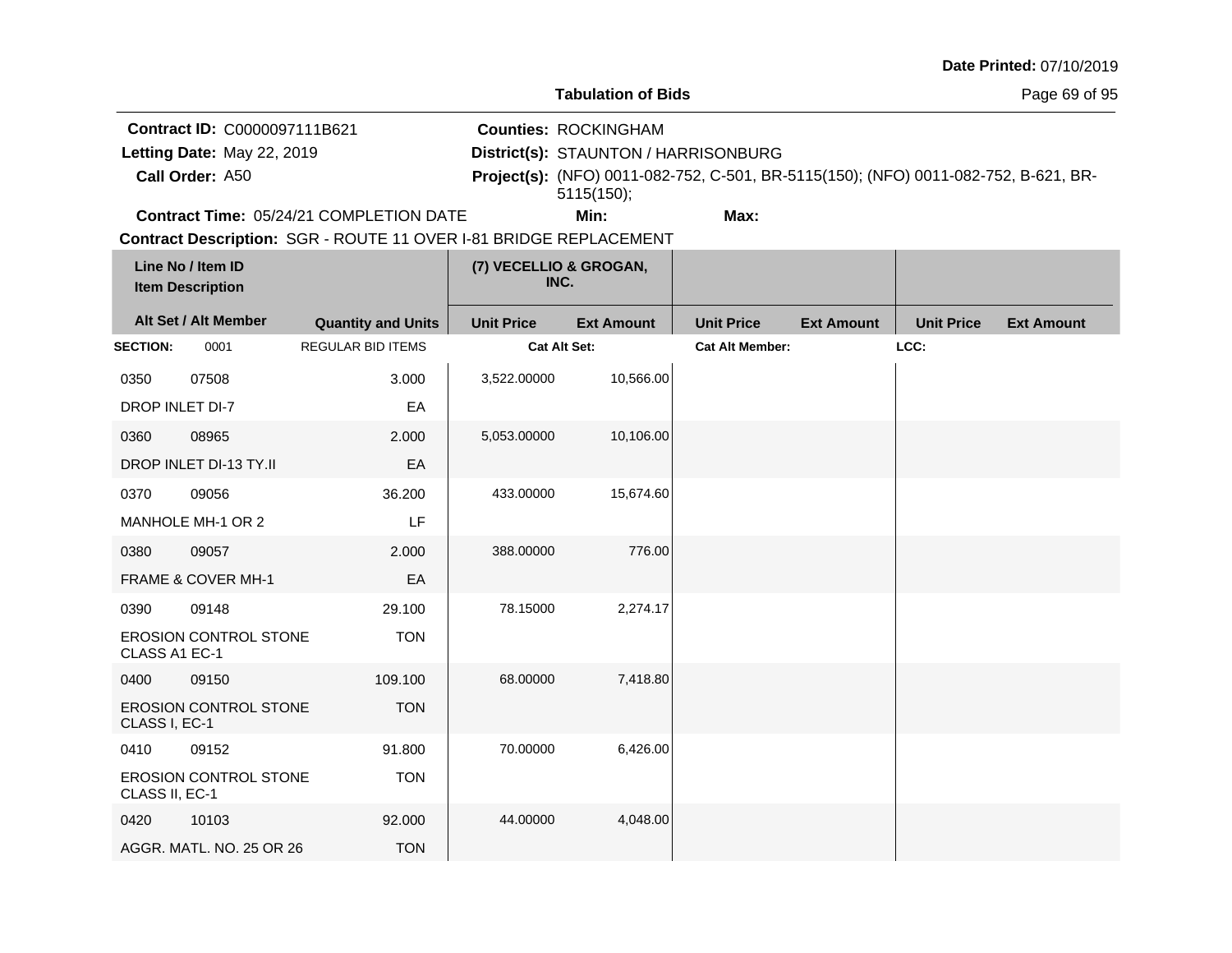| <b>Date Printed: 07/10/2019</b> |  |
|---------------------------------|--|
|---------------------------------|--|

**Tabulation of Bids**

Page 69 of 95

**Contract ID:** C0000097111B621

**Call Order:**

Letting Date: May 22, 2019

**Letting Date:** May 22, 2019 **District(s): STAUNTON / HARRISONBURG** 

**Counties:** ROCKINGHAM

A50 **Project(s):** (NFO) 0011-082-752, C-501, BR-5115(150); (NFO) 0011-082-752, B-621, BR-5115(150);

**Contract Time:** 05/24/21 COMPLETION DATE

**Min: Max:**

| Line No / Item ID<br><b>Item Description</b> |                              |                           | (7) VECELLIO & GROGAN,<br>INC. |                   |                        |                   |                   |                   |
|----------------------------------------------|------------------------------|---------------------------|--------------------------------|-------------------|------------------------|-------------------|-------------------|-------------------|
|                                              | Alt Set / Alt Member         | <b>Quantity and Units</b> | <b>Unit Price</b>              | <b>Ext Amount</b> | <b>Unit Price</b>      | <b>Ext Amount</b> | <b>Unit Price</b> | <b>Ext Amount</b> |
| <b>SECTION:</b>                              | 0001                         | <b>REGULAR BID ITEMS</b>  | Cat Alt Set:                   |                   | <b>Cat Alt Member:</b> |                   | LCC:              |                   |
| 0350                                         | 07508                        | 3.000                     | 3,522.00000                    | 10,566.00         |                        |                   |                   |                   |
| DROP INLET DI-7                              |                              | EA                        |                                |                   |                        |                   |                   |                   |
| 0360                                         | 08965                        | 2.000                     | 5,053.00000                    | 10,106.00         |                        |                   |                   |                   |
|                                              | DROP INLET DI-13 TY.II       | EA                        |                                |                   |                        |                   |                   |                   |
| 0370                                         | 09056                        | 36.200                    | 433.00000                      | 15,674.60         |                        |                   |                   |                   |
|                                              | MANHOLE MH-1 OR 2            | <b>LF</b>                 |                                |                   |                        |                   |                   |                   |
| 0380                                         | 09057                        | 2.000                     | 388.00000                      | 776.00            |                        |                   |                   |                   |
|                                              | FRAME & COVER MH-1           | EA                        |                                |                   |                        |                   |                   |                   |
| 0390                                         | 09148                        | 29.100                    | 78.15000                       | 2,274.17          |                        |                   |                   |                   |
| CLASS A1 EC-1                                | <b>EROSION CONTROL STONE</b> | <b>TON</b>                |                                |                   |                        |                   |                   |                   |
| 0400                                         | 09150                        | 109.100                   | 68.00000                       | 7,418.80          |                        |                   |                   |                   |
| CLASS I, EC-1                                | <b>EROSION CONTROL STONE</b> | <b>TON</b>                |                                |                   |                        |                   |                   |                   |
| 0410                                         | 09152                        | 91.800                    | 70.00000                       | 6,426.00          |                        |                   |                   |                   |
| CLASS II, EC-1                               | <b>EROSION CONTROL STONE</b> | <b>TON</b>                |                                |                   |                        |                   |                   |                   |
| 0420                                         | 10103                        | 92.000                    | 44.00000                       | 4,048.00          |                        |                   |                   |                   |
|                                              | AGGR. MATL. NO. 25 OR 26     | <b>TON</b>                |                                |                   |                        |                   |                   |                   |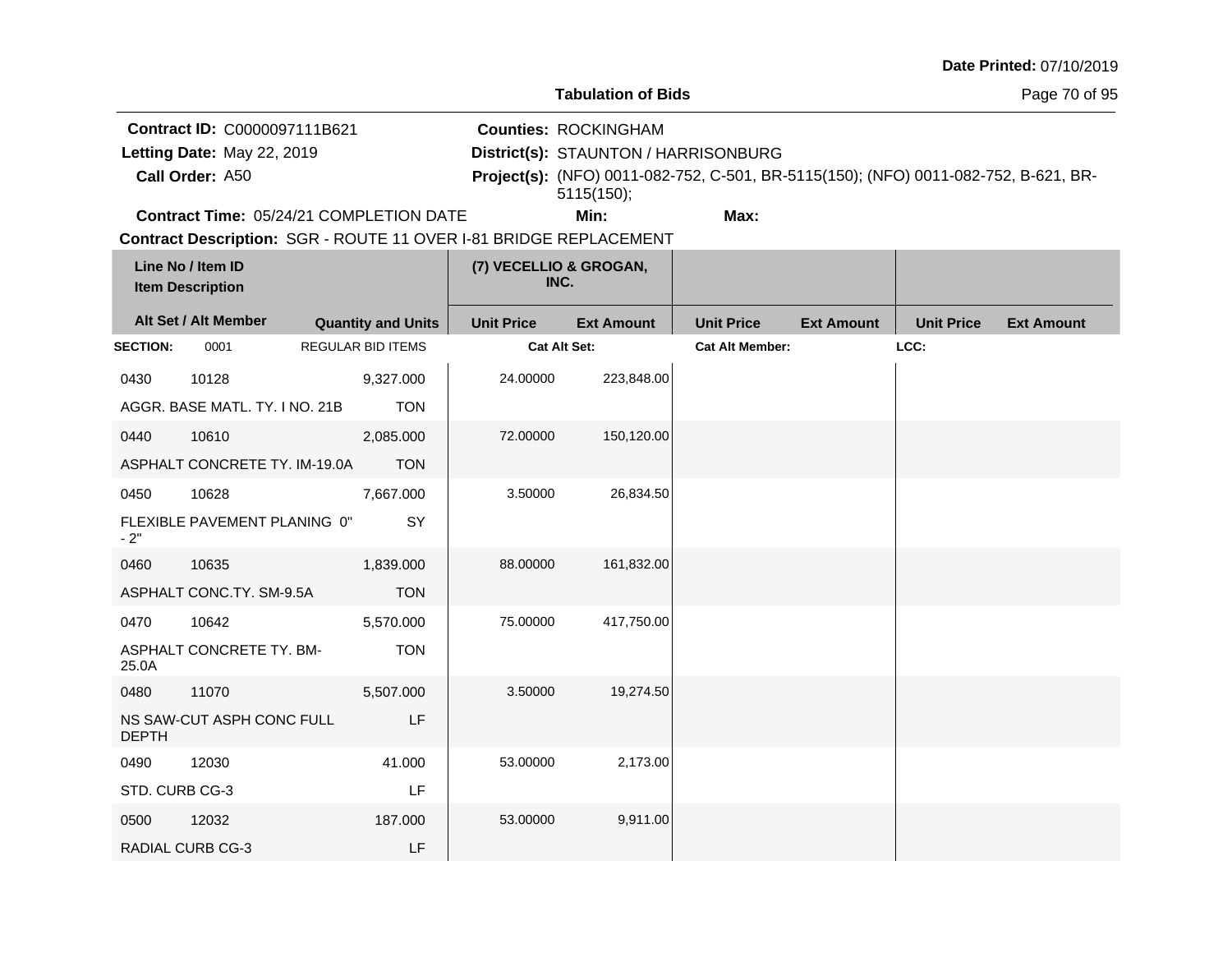| <b>Date Printed: 07/10/2019</b> |  |
|---------------------------------|--|
|---------------------------------|--|

Page 70 of 95

**Contract ID:** C0000097111B621 Letting Date: May 22, 2019

**Call Order:**

**Letting Date:** May 22, 2019 **District(s): STAUNTON / HARRISONBURG** 

**Counties:** ROCKINGHAM

A50 **Project(s):** (NFO) 0011-082-752, C-501, BR-5115(150); (NFO) 0011-082-752, B-621, BR-5115(150);

**Contract Time:** 05/24/21 COMPLETION DATE

**Min: Max:**

| Line No / Item ID<br><b>Item Description</b> |                                | (7) VECELLIO & GROGAN,<br>INC. |                   |                   |                        |                   |                   |                   |
|----------------------------------------------|--------------------------------|--------------------------------|-------------------|-------------------|------------------------|-------------------|-------------------|-------------------|
|                                              | Alt Set / Alt Member           | <b>Quantity and Units</b>      | <b>Unit Price</b> | <b>Ext Amount</b> | <b>Unit Price</b>      | <b>Ext Amount</b> | <b>Unit Price</b> | <b>Ext Amount</b> |
| <b>SECTION:</b>                              | 0001                           | <b>REGULAR BID ITEMS</b>       | Cat Alt Set:      |                   | <b>Cat Alt Member:</b> |                   | LCC:              |                   |
| 0430                                         | 10128                          | 9,327.000                      | 24.00000          | 223,848.00        |                        |                   |                   |                   |
|                                              | AGGR. BASE MATL. TY. I NO. 21B | <b>TON</b>                     |                   |                   |                        |                   |                   |                   |
| 0440                                         | 10610                          | 2,085.000                      | 72.00000          | 150,120.00        |                        |                   |                   |                   |
|                                              | ASPHALT CONCRETE TY. IM-19.0A  | <b>TON</b>                     |                   |                   |                        |                   |                   |                   |
| 0450                                         | 10628                          | 7,667.000                      | 3.50000           | 26,834.50         |                        |                   |                   |                   |
| $-2"$                                        | FLEXIBLE PAVEMENT PLANING 0"   | SY                             |                   |                   |                        |                   |                   |                   |
| 0460                                         | 10635                          | 1,839.000                      | 88.00000          | 161,832.00        |                        |                   |                   |                   |
|                                              | ASPHALT CONC.TY. SM-9.5A       | <b>TON</b>                     |                   |                   |                        |                   |                   |                   |
| 0470                                         | 10642                          | 5,570.000                      | 75.00000          | 417,750.00        |                        |                   |                   |                   |
| 25.0A                                        | ASPHALT CONCRETE TY. BM-       | <b>TON</b>                     |                   |                   |                        |                   |                   |                   |
| 0480                                         | 11070                          | 5,507.000                      | 3.50000           | 19,274.50         |                        |                   |                   |                   |
| <b>DEPTH</b>                                 | NS SAW-CUT ASPH CONC FULL      | LF                             |                   |                   |                        |                   |                   |                   |
| 0490                                         | 12030                          | 41.000                         | 53.00000          | 2,173.00          |                        |                   |                   |                   |
| STD. CURB CG-3                               |                                | LF                             |                   |                   |                        |                   |                   |                   |
| 0500                                         | 12032                          | 187.000                        | 53.00000          | 9,911.00          |                        |                   |                   |                   |
|                                              | <b>RADIAL CURB CG-3</b>        | LF                             |                   |                   |                        |                   |                   |                   |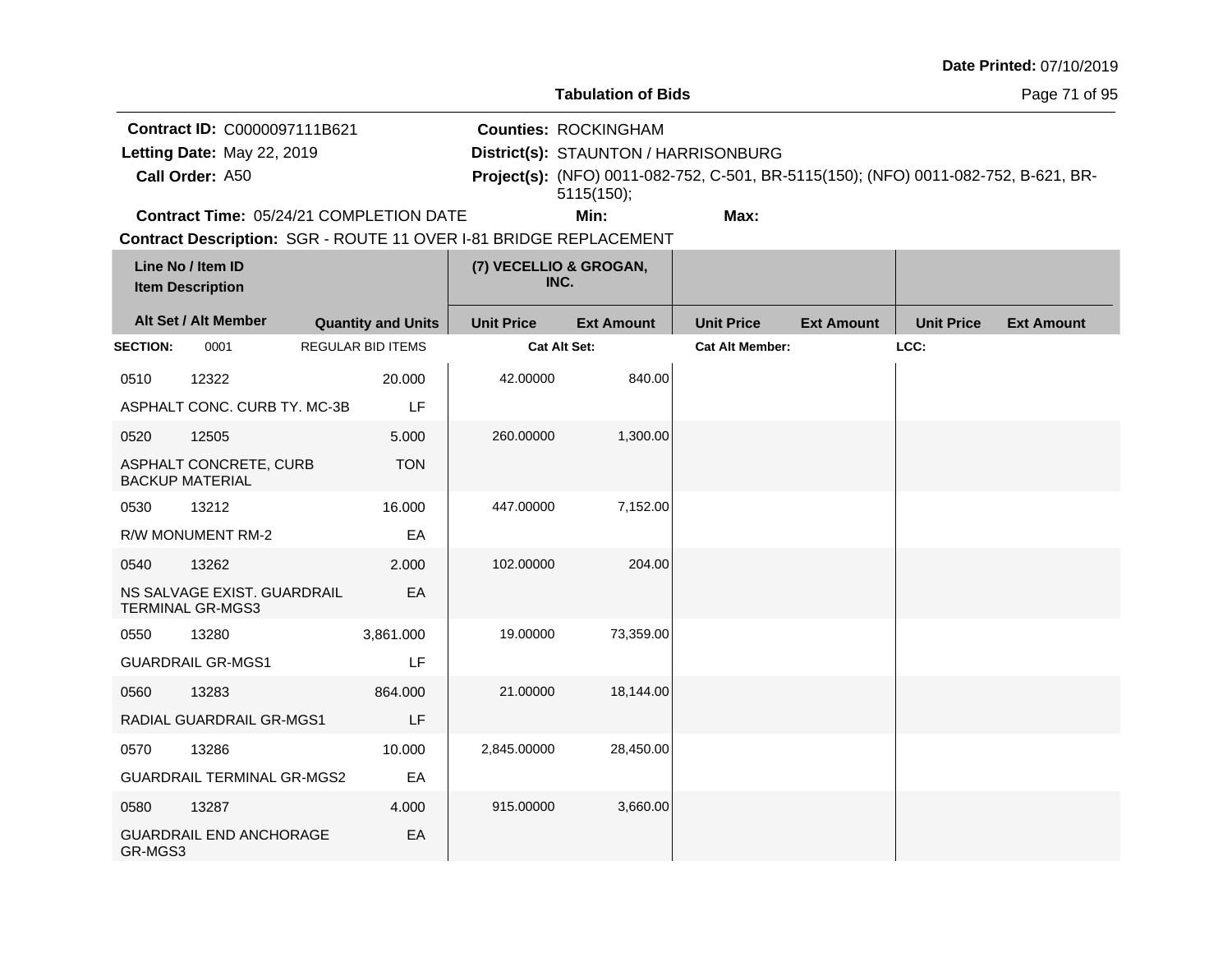| <b>Date Printed: 07/10/2019</b> |  |
|---------------------------------|--|
|---------------------------------|--|

Page 71 of 95

**Contract ID:** C0000097111B621

**Call Order:**

Letting Date: May 22, 2019

**Letting Date:** May 22, 2019 **District(s): STAUNTON / HARRISONBURG** 

**Counties:** ROCKINGHAM

A50 **Project(s):** (NFO) 0011-082-752, C-501, BR-5115(150); (NFO) 0011-082-752, B-621, BR-5115(150);

**Contract Time:** 05/24/21 COMPLETION DATE

**Min: Max:**

| Line No / Item ID<br><b>Item Description</b> |                                                        | (7) VECELLIO & GROGAN,<br>INC. |                   |                   |                        |                   |                   |                   |
|----------------------------------------------|--------------------------------------------------------|--------------------------------|-------------------|-------------------|------------------------|-------------------|-------------------|-------------------|
|                                              | Alt Set / Alt Member                                   | <b>Quantity and Units</b>      | <b>Unit Price</b> | <b>Ext Amount</b> | <b>Unit Price</b>      | <b>Ext Amount</b> | <b>Unit Price</b> | <b>Ext Amount</b> |
| <b>SECTION:</b>                              | 0001                                                   | <b>REGULAR BID ITEMS</b>       | Cat Alt Set:      |                   | <b>Cat Alt Member:</b> |                   | LCC:              |                   |
| 0510                                         | 12322                                                  | 20.000                         | 42.00000          | 840.00            |                        |                   |                   |                   |
|                                              | ASPHALT CONC. CURB TY. MC-3B                           | LF                             |                   |                   |                        |                   |                   |                   |
| 0520                                         | 12505                                                  | 5.000                          | 260.00000         | 1,300.00          |                        |                   |                   |                   |
|                                              | ASPHALT CONCRETE, CURB<br><b>BACKUP MATERIAL</b>       | <b>TON</b>                     |                   |                   |                        |                   |                   |                   |
| 0530                                         | 13212                                                  | 16.000                         | 447.00000         | 7,152.00          |                        |                   |                   |                   |
|                                              | R/W MONUMENT RM-2                                      | EA                             |                   |                   |                        |                   |                   |                   |
| 0540                                         | 13262                                                  | 2.000                          | 102.00000         | 204.00            |                        |                   |                   |                   |
|                                              | NS SALVAGE EXIST. GUARDRAIL<br><b>TERMINAL GR-MGS3</b> | EA                             |                   |                   |                        |                   |                   |                   |
| 0550                                         | 13280                                                  | 3,861.000                      | 19.00000          | 73,359.00         |                        |                   |                   |                   |
|                                              | <b>GUARDRAIL GR-MGS1</b>                               | LF                             |                   |                   |                        |                   |                   |                   |
| 0560                                         | 13283                                                  | 864.000                        | 21.00000          | 18,144.00         |                        |                   |                   |                   |
|                                              | RADIAL GUARDRAIL GR-MGS1                               | LF                             |                   |                   |                        |                   |                   |                   |
| 0570                                         | 13286                                                  | 10.000                         | 2,845.00000       | 28,450.00         |                        |                   |                   |                   |
|                                              | <b>GUARDRAIL TERMINAL GR-MGS2</b>                      | EA                             |                   |                   |                        |                   |                   |                   |
| 0580                                         | 13287                                                  | 4.000                          | 915.00000         | 3,660.00          |                        |                   |                   |                   |
| GR-MGS3                                      | <b>GUARDRAIL END ANCHORAGE</b>                         | EA                             |                   |                   |                        |                   |                   |                   |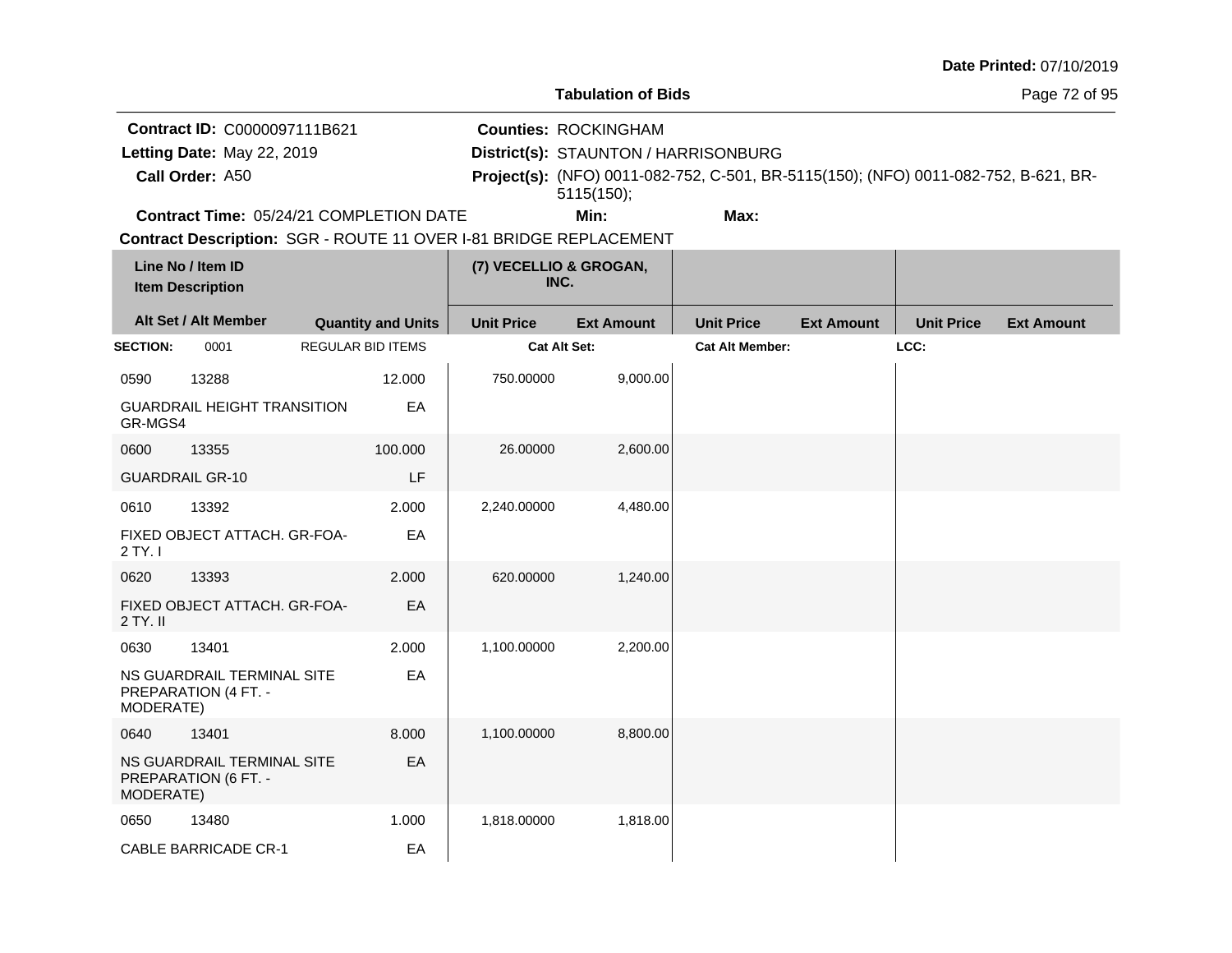|                                                                               |                                                    |  |                           |                                                                                   |                                                                                     |                        |                   |                   | Date Printed: 07/10/2019 |
|-------------------------------------------------------------------------------|----------------------------------------------------|--|---------------------------|-----------------------------------------------------------------------------------|-------------------------------------------------------------------------------------|------------------------|-------------------|-------------------|--------------------------|
|                                                                               |                                                    |  |                           |                                                                                   | <b>Tabulation of Bids</b>                                                           |                        |                   |                   | Page 72 of 95            |
| Contract ID: C0000097111B621<br>Letting Date: May 22, 2019<br>Call Order: A50 |                                                    |  |                           | <b>Counties: ROCKINGHAM</b><br>District(s): STAUNTON / HARRISONBURG<br>5115(150); | Project(s): (NFO) 0011-082-752, C-501, BR-5115(150); (NFO) 0011-082-752, B-621, BR- |                        |                   |                   |                          |
|                                                                               | <b>Contract Time: 05/24/21 COMPLETION DATE</b>     |  |                           |                                                                                   | Min:                                                                                | Max:                   |                   |                   |                          |
|                                                                               |                                                    |  |                           |                                                                                   | Contract Description: SGR - ROUTE 11 OVER I-81 BRIDGE REPLACEMENT                   |                        |                   |                   |                          |
|                                                                               | Line No / Item ID<br><b>Item Description</b>       |  |                           |                                                                                   | (7) VECELLIO & GROGAN,<br>INC.                                                      |                        |                   |                   |                          |
|                                                                               | Alt Set / Alt Member                               |  | <b>Quantity and Units</b> | <b>Unit Price</b>                                                                 | <b>Ext Amount</b>                                                                   | <b>Unit Price</b>      | <b>Ext Amount</b> | <b>Unit Price</b> | <b>Ext Amount</b>        |
| <b>SECTION:</b>                                                               | 0001                                               |  | <b>REGULAR BID ITEMS</b>  |                                                                                   | <b>Cat Alt Set:</b>                                                                 | <b>Cat Alt Member:</b> |                   | LCC:              |                          |
| 0590                                                                          | 13288                                              |  | 12.000                    | 750.00000                                                                         | 9,000.00                                                                            |                        |                   |                   |                          |
| GR-MGS4                                                                       | <b>GUARDRAIL HEIGHT TRANSITION</b>                 |  | EA                        |                                                                                   |                                                                                     |                        |                   |                   |                          |
| 0600                                                                          | 13355                                              |  | 100.000                   | 26.00000                                                                          | 2,600.00                                                                            |                        |                   |                   |                          |
|                                                                               | <b>GUARDRAIL GR-10</b>                             |  | LF                        |                                                                                   |                                                                                     |                        |                   |                   |                          |
| 0610                                                                          | 13392                                              |  | 2.000                     | 2,240.00000                                                                       | 4,480.00                                                                            |                        |                   |                   |                          |
| 2 TY. I                                                                       | FIXED OBJECT ATTACH, GR-FOA-                       |  | EA                        |                                                                                   |                                                                                     |                        |                   |                   |                          |
| 0620                                                                          | 13393                                              |  | 2.000                     | 620.00000                                                                         | 1,240.00                                                                            |                        |                   |                   |                          |
| $2$ TY. II                                                                    | FIXED OBJECT ATTACH. GR-FOA-                       |  | EA                        |                                                                                   |                                                                                     |                        |                   |                   |                          |
| 0630                                                                          | 13401                                              |  | 2.000                     | 1,100.00000                                                                       | 2,200.00                                                                            |                        |                   |                   |                          |
| MODERATE)                                                                     | NS GUARDRAIL TERMINAL SITE<br>PREPARATION (4 FT. - |  | EA                        |                                                                                   |                                                                                     |                        |                   |                   |                          |
| 0640                                                                          | 13401                                              |  | 8.000                     | 1,100.00000                                                                       | 8,800.00                                                                            |                        |                   |                   |                          |
| MODERATE)                                                                     | NS GUARDRAIL TERMINAL SITE<br>PREPARATION (6 FT. - |  | EA                        |                                                                                   |                                                                                     |                        |                   |                   |                          |
| 0650                                                                          | 13480                                              |  | 1.000                     | 1,818.00000                                                                       | 1,818.00                                                                            |                        |                   |                   |                          |
|                                                                               | <b>CABLE BARRICADE CR-1</b>                        |  | EA                        |                                                                                   |                                                                                     |                        |                   |                   |                          |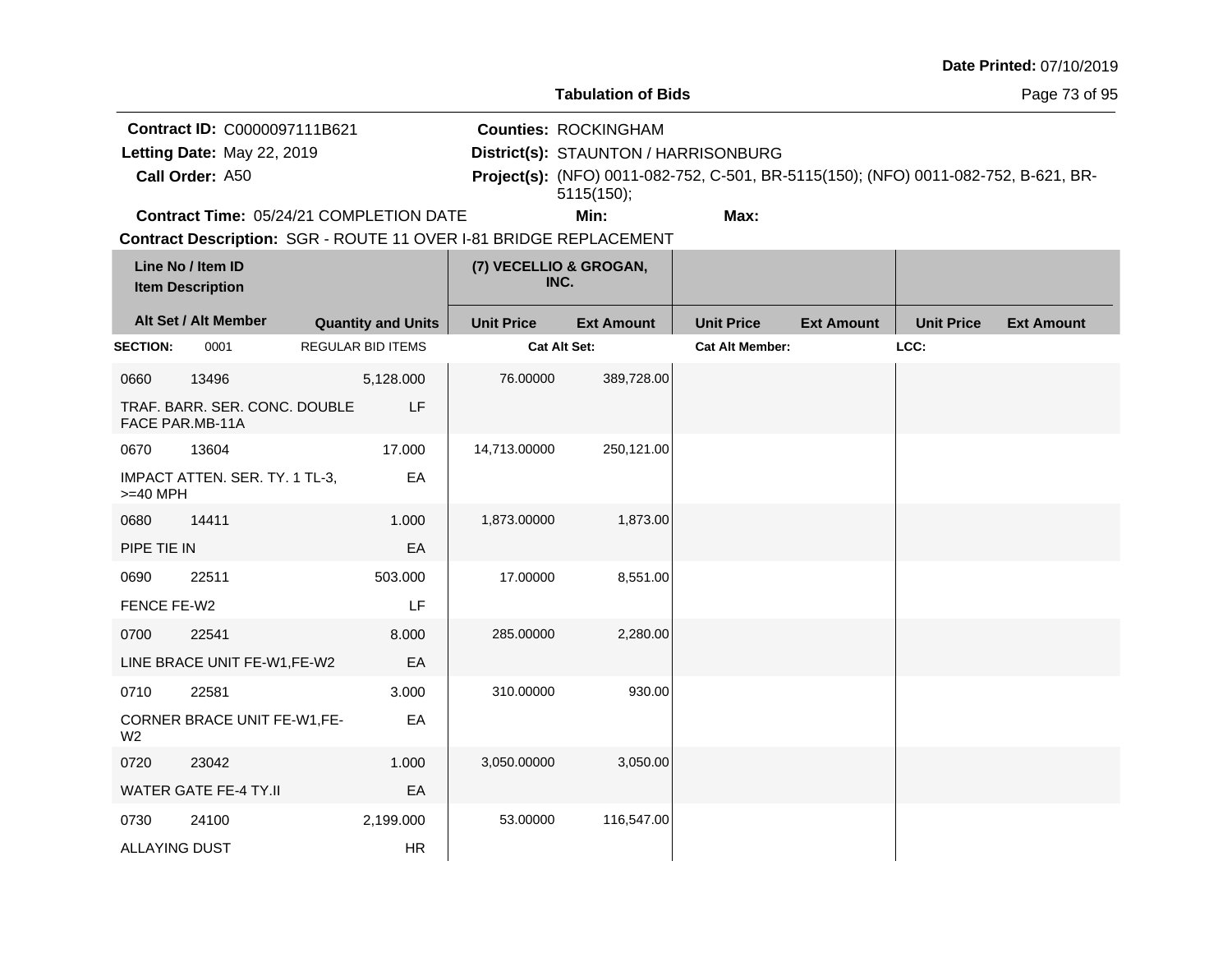|                                                                               |                                                                   |                           |           |                   |                                                                                                                                                                          |                        |                   |                   | Date Printed: 07/10/2019 |
|-------------------------------------------------------------------------------|-------------------------------------------------------------------|---------------------------|-----------|-------------------|--------------------------------------------------------------------------------------------------------------------------------------------------------------------------|------------------------|-------------------|-------------------|--------------------------|
|                                                                               |                                                                   |                           |           |                   | <b>Tabulation of Bids</b>                                                                                                                                                |                        |                   |                   | Page 73 of 95            |
| Contract ID: C0000097111B621<br>Letting Date: May 22, 2019<br>Call Order: A50 |                                                                   |                           |           |                   | <b>Counties: ROCKINGHAM</b><br>District(s): STAUNTON / HARRISONBURG<br>Project(s): (NFO) 0011-082-752, C-501, BR-5115(150); (NFO) 0011-082-752, B-621, BR-<br>5115(150); |                        |                   |                   |                          |
|                                                                               | Contract Time: 05/24/21 COMPLETION DATE                           |                           |           |                   | Min:                                                                                                                                                                     | Max:                   |                   |                   |                          |
|                                                                               | Contract Description: SGR - ROUTE 11 OVER I-81 BRIDGE REPLACEMENT |                           |           |                   |                                                                                                                                                                          |                        |                   |                   |                          |
|                                                                               | Line No / Item ID<br><b>Item Description</b>                      |                           |           |                   | (7) VECELLIO & GROGAN,<br>INC.                                                                                                                                           |                        |                   |                   |                          |
|                                                                               | Alt Set / Alt Member                                              | <b>Quantity and Units</b> |           | <b>Unit Price</b> | <b>Ext Amount</b>                                                                                                                                                        | <b>Unit Price</b>      | <b>Ext Amount</b> | <b>Unit Price</b> | <b>Ext Amount</b>        |
| <b>SECTION:</b>                                                               | 0001                                                              | <b>REGULAR BID ITEMS</b>  |           |                   | Cat Alt Set:                                                                                                                                                             | <b>Cat Alt Member:</b> |                   | LCC:              |                          |
| 0660                                                                          | 13496                                                             |                           | 5,128.000 | 76.00000          | 389,728.00                                                                                                                                                               |                        |                   |                   |                          |
|                                                                               | TRAF. BARR. SER. CONC. DOUBLE<br>FACE PAR.MB-11A                  |                           | LF        |                   |                                                                                                                                                                          |                        |                   |                   |                          |
| 0670                                                                          | 13604                                                             |                           | 17.000    | 14,713.00000      | 250,121.00                                                                                                                                                               |                        |                   |                   |                          |
| >=40 MPH                                                                      | IMPACT ATTEN. SER. TY. 1 TL-3,                                    |                           | EA        |                   |                                                                                                                                                                          |                        |                   |                   |                          |
| 0680                                                                          | 14411                                                             |                           | 1.000     | 1,873.00000       | 1,873.00                                                                                                                                                                 |                        |                   |                   |                          |
| PIPE TIE IN                                                                   |                                                                   |                           | EA        |                   |                                                                                                                                                                          |                        |                   |                   |                          |
| 0690                                                                          | 22511                                                             |                           | 503.000   | 17.00000          | 8,551.00                                                                                                                                                                 |                        |                   |                   |                          |
| FENCE FE-W2                                                                   |                                                                   |                           | LF        |                   |                                                                                                                                                                          |                        |                   |                   |                          |
| 0700                                                                          | 22541                                                             |                           | 8.000     | 285.00000         | 2,280.00                                                                                                                                                                 |                        |                   |                   |                          |
|                                                                               | LINE BRACE UNIT FE-W1,FE-W2                                       |                           | EA        |                   |                                                                                                                                                                          |                        |                   |                   |                          |
| 0710                                                                          | 22581                                                             |                           | 3.000     | 310.00000         | 930.00                                                                                                                                                                   |                        |                   |                   |                          |
| W <sub>2</sub>                                                                | CORNER BRACE UNIT FE-W1,FE-                                       |                           | EA        |                   |                                                                                                                                                                          |                        |                   |                   |                          |
| 0720                                                                          | 23042                                                             |                           | 1.000     | 3,050.00000       | 3,050.00                                                                                                                                                                 |                        |                   |                   |                          |
|                                                                               | <b>WATER GATE FE-4 TY.II</b>                                      |                           | EA        |                   |                                                                                                                                                                          |                        |                   |                   |                          |
| 0730                                                                          | 24100                                                             |                           | 2,199.000 | 53.00000          | 116,547.00                                                                                                                                                               |                        |                   |                   |                          |
| <b>ALLAYING DUST</b>                                                          |                                                                   |                           | <b>HR</b> |                   |                                                                                                                                                                          |                        |                   |                   |                          |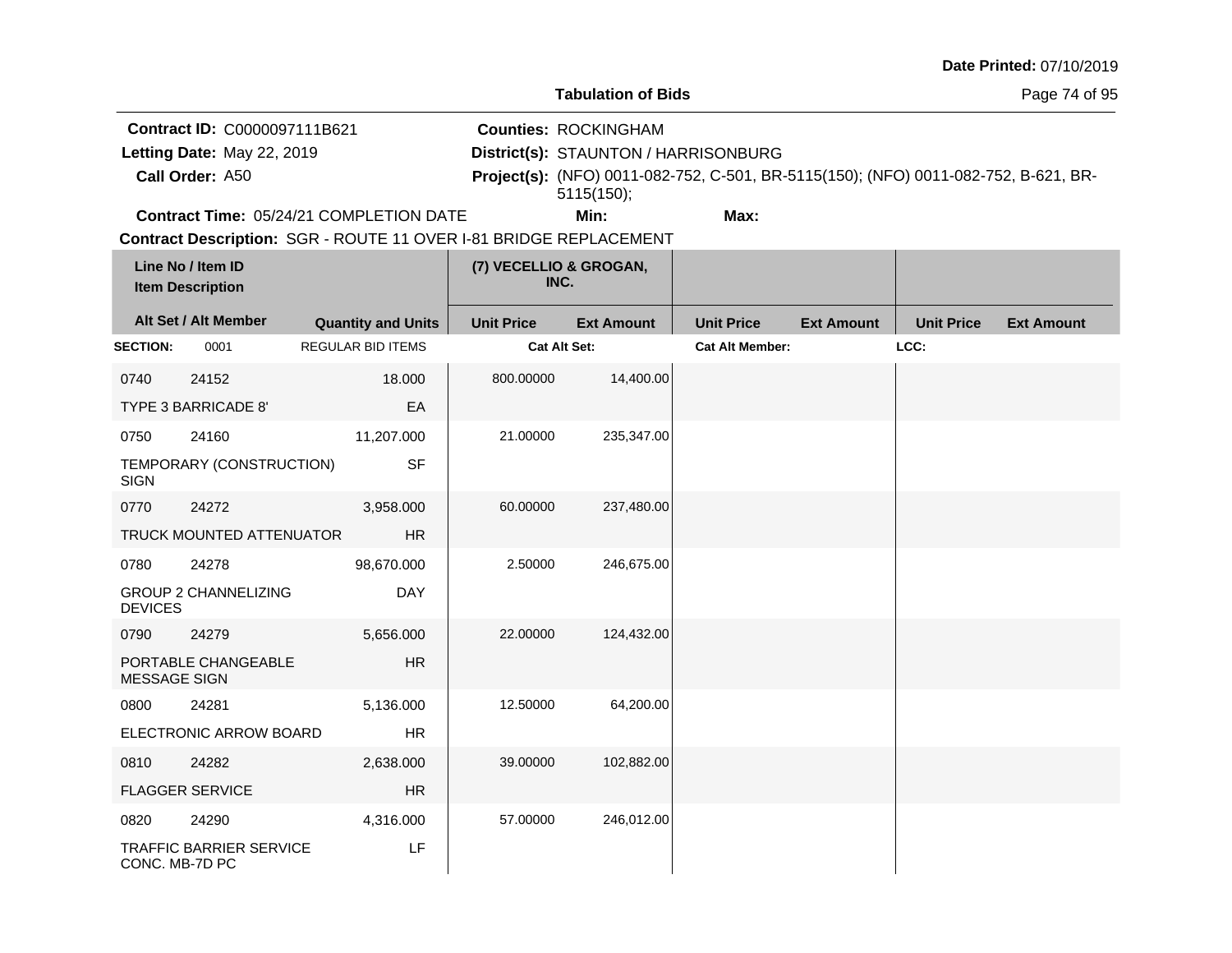|                                                                               |                                              |                                                                   |                   |                                                                                   |                                                                                     |                   |                   | Date Printed: 07/10/2019 |
|-------------------------------------------------------------------------------|----------------------------------------------|-------------------------------------------------------------------|-------------------|-----------------------------------------------------------------------------------|-------------------------------------------------------------------------------------|-------------------|-------------------|--------------------------|
|                                                                               |                                              |                                                                   |                   | <b>Tabulation of Bids</b>                                                         |                                                                                     |                   | Page 74 of 95     |                          |
| Contract ID: C0000097111B621<br>Letting Date: May 22, 2019<br>Call Order: A50 |                                              |                                                                   |                   | <b>Counties: ROCKINGHAM</b><br>District(s): STAUNTON / HARRISONBURG<br>5115(150); | Project(s): (NFO) 0011-082-752, C-501, BR-5115(150); (NFO) 0011-082-752, B-621, BR- |                   |                   |                          |
|                                                                               |                                              | Contract Time: 05/24/21 COMPLETION DATE                           |                   | Min:                                                                              | Max:                                                                                |                   |                   |                          |
|                                                                               | Line No / Item ID<br><b>Item Description</b> | Contract Description: SGR - ROUTE 11 OVER I-81 BRIDGE REPLACEMENT |                   | (7) VECELLIO & GROGAN,<br>INC.                                                    |                                                                                     |                   |                   |                          |
|                                                                               | Alt Set / Alt Member                         | <b>Quantity and Units</b>                                         | <b>Unit Price</b> | <b>Ext Amount</b>                                                                 | <b>Unit Price</b>                                                                   | <b>Ext Amount</b> | <b>Unit Price</b> | <b>Ext Amount</b>        |
| <b>SECTION:</b>                                                               | 0001                                         | <b>REGULAR BID ITEMS</b>                                          |                   | Cat Alt Set:                                                                      | <b>Cat Alt Member:</b>                                                              |                   | LCC:              |                          |
| 0740                                                                          | 24152<br>TYPE 3 BARRICADE 8'                 | 18.000<br>EA                                                      | 800.00000         | 14,400.00                                                                         |                                                                                     |                   |                   |                          |
| 0750<br><b>SIGN</b>                                                           | 24160<br>TEMPORARY (CONSTRUCTION)            | 11,207.000<br><b>SF</b>                                           | 21.00000          | 235,347.00                                                                        |                                                                                     |                   |                   |                          |
| 0770                                                                          | 24272<br>TRUCK MOUNTED ATTENUATOR            | 3,958.000<br><b>HR</b>                                            | 60.00000          | 237,480.00                                                                        |                                                                                     |                   |                   |                          |
| 0780<br><b>DEVICES</b>                                                        | 24278<br><b>GROUP 2 CHANNELIZING</b>         | 98,670.000<br>DAY                                                 | 2.50000           | 246,675.00                                                                        |                                                                                     |                   |                   |                          |
| 0790<br><b>MESSAGE SIGN</b>                                                   | 24279<br>PORTABLE CHANGEABLE                 | 5,656.000<br><b>HR</b>                                            | 22.00000          | 124,432.00                                                                        |                                                                                     |                   |                   |                          |
| 0800                                                                          | 24281<br>ELECTRONIC ARROW BOARD              | 5,136.000<br><b>HR</b>                                            | 12.50000          | 64,200.00                                                                         |                                                                                     |                   |                   |                          |
| 0810                                                                          | 24282<br><b>FLAGGER SERVICE</b>              | 2,638.000<br><b>HR</b>                                            | 39.00000          | 102,882.00                                                                        |                                                                                     |                   |                   |                          |
| 0820<br>CONC. MB-7D PC                                                        | 24290<br><b>TRAFFIC BARRIER SERVICE</b>      | 4,316.000<br>LF                                                   | 57.00000          | 246,012.00                                                                        |                                                                                     |                   |                   |                          |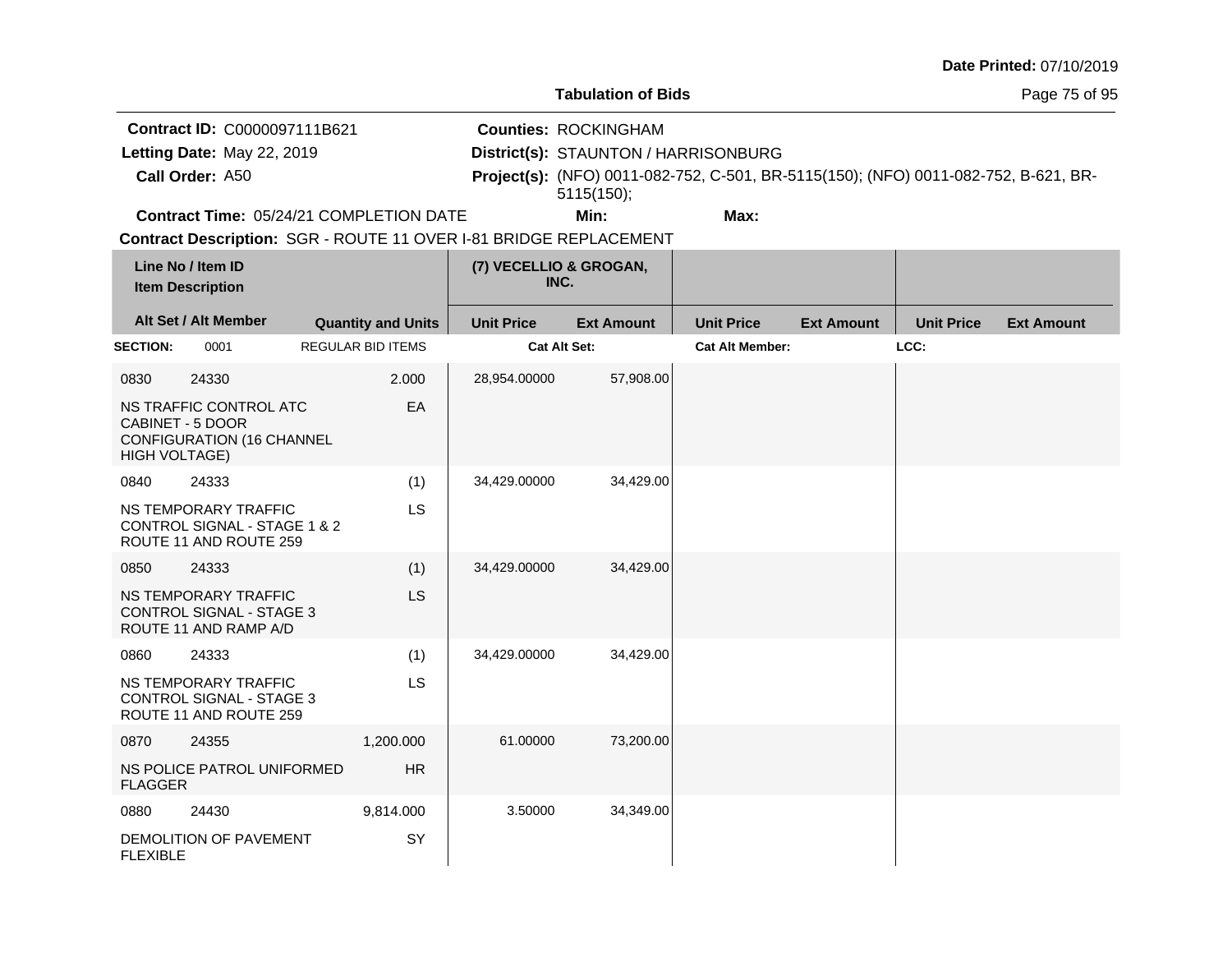|                                                                                                                   |                                                                                            |                                         |                   |                                                                                                                                                                          |                        |                   |                   | Date Printed: 07/10/2019 |
|-------------------------------------------------------------------------------------------------------------------|--------------------------------------------------------------------------------------------|-----------------------------------------|-------------------|--------------------------------------------------------------------------------------------------------------------------------------------------------------------------|------------------------|-------------------|-------------------|--------------------------|
|                                                                                                                   | <b>Tabulation of Bids</b>                                                                  |                                         |                   |                                                                                                                                                                          |                        |                   |                   | Page 75 of 95            |
| Contract ID: C0000097111B621<br>Letting Date: May 22, 2019<br>Call Order: A50                                     |                                                                                            |                                         |                   | <b>Counties: ROCKINGHAM</b><br>District(s): STAUNTON / HARRISONBURG<br>Project(s): (NFO) 0011-082-752, C-501, BR-5115(150); (NFO) 0011-082-752, B-621, BR-<br>5115(150); |                        |                   |                   |                          |
|                                                                                                                   |                                                                                            | Contract Time: 05/24/21 COMPLETION DATE |                   | Min:                                                                                                                                                                     | Max:                   |                   |                   |                          |
| Contract Description: SGR - ROUTE 11 OVER I-81 BRIDGE REPLACEMENT<br>Line No / Item ID<br><b>Item Description</b> |                                                                                            | (7) VECELLIO & GROGAN,<br>INC.          |                   |                                                                                                                                                                          |                        |                   |                   |                          |
|                                                                                                                   | Alt Set / Alt Member                                                                       | <b>Quantity and Units</b>               | <b>Unit Price</b> | <b>Ext Amount</b>                                                                                                                                                        | <b>Unit Price</b>      | <b>Ext Amount</b> | <b>Unit Price</b> | <b>Ext Amount</b>        |
| <b>SECTION:</b>                                                                                                   | 0001                                                                                       | <b>REGULAR BID ITEMS</b>                |                   | Cat Alt Set:                                                                                                                                                             | <b>Cat Alt Member:</b> |                   | LCC:              |                          |
| 0830<br><b>HIGH VOLTAGE)</b>                                                                                      | 24330<br>NS TRAFFIC CONTROL ATC<br>CABINET - 5 DOOR<br><b>CONFIGURATION (16 CHANNEL</b>    | 2.000<br>EA                             | 28,954.00000      | 57,908.00                                                                                                                                                                |                        |                   |                   |                          |
| 0840                                                                                                              | 24333<br>NS TEMPORARY TRAFFIC<br>CONTROL SIGNAL - STAGE 1 & 2<br>ROUTE 11 AND ROUTE 259    | (1)<br>LS                               | 34,429.00000      | 34,429.00                                                                                                                                                                |                        |                   |                   |                          |
| 0850                                                                                                              | 24333<br>NS TEMPORARY TRAFFIC<br><b>CONTROL SIGNAL - STAGE 3</b><br>ROUTE 11 AND RAMP A/D  | (1)<br>LS                               | 34,429.00000      | 34,429.00                                                                                                                                                                |                        |                   |                   |                          |
| 0860                                                                                                              | 24333<br>NS TEMPORARY TRAFFIC<br><b>CONTROL SIGNAL - STAGE 3</b><br>ROUTE 11 AND ROUTE 259 | (1)<br>LS                               | 34,429.00000      | 34,429.00                                                                                                                                                                |                        |                   |                   |                          |
| 0870<br><b>FLAGGER</b>                                                                                            | 24355<br>NS POLICE PATROL UNIFORMED                                                        | 1,200.000<br><b>HR</b>                  | 61.00000          | 73,200.00                                                                                                                                                                |                        |                   |                   |                          |
| 0880<br><b>FLEXIBLE</b>                                                                                           | 24430<br>DEMOLITION OF PAVEMENT                                                            | 9,814.000<br>SY                         | 3.50000           | 34,349.00                                                                                                                                                                |                        |                   |                   |                          |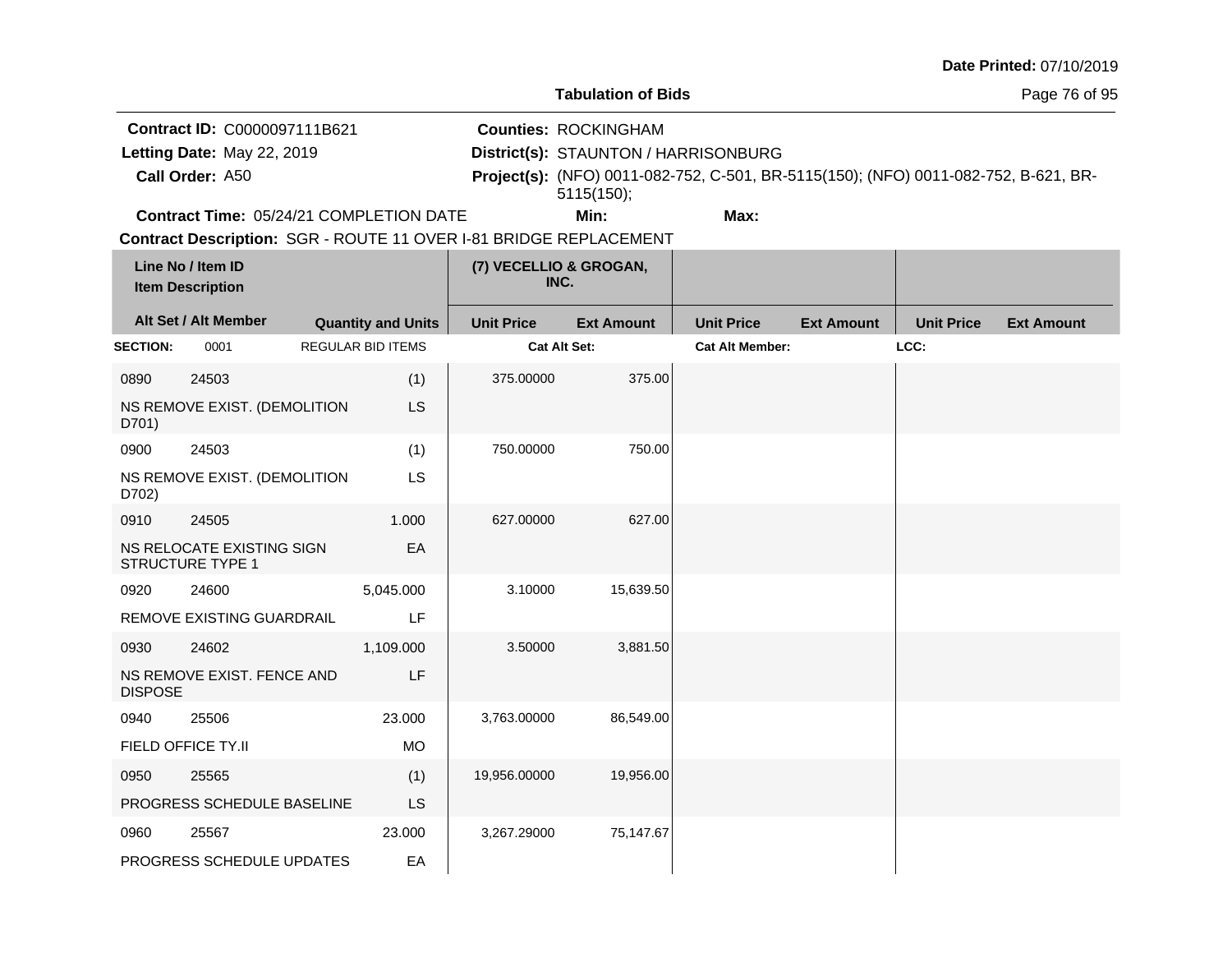|                                                                                                                   |                                                      |                           |                                |                                                                                                                                                                          |                        |                   |                   | Date Printed: 07/10/2019 |  |
|-------------------------------------------------------------------------------------------------------------------|------------------------------------------------------|---------------------------|--------------------------------|--------------------------------------------------------------------------------------------------------------------------------------------------------------------------|------------------------|-------------------|-------------------|--------------------------|--|
|                                                                                                                   |                                                      |                           | <b>Tabulation of Bids</b>      |                                                                                                                                                                          |                        |                   | Page 76 of 95     |                          |  |
| Contract ID: C0000097111B621<br>Letting Date: May 22, 2019<br>Call Order: A50                                     |                                                      |                           |                                | <b>Counties: ROCKINGHAM</b><br>District(s): STAUNTON / HARRISONBURG<br>Project(s): (NFO) 0011-082-752, C-501, BR-5115(150); (NFO) 0011-082-752, B-621, BR-<br>5115(150); |                        |                   |                   |                          |  |
|                                                                                                                   | Contract Time: 05/24/21 COMPLETION DATE              |                           |                                | Min:                                                                                                                                                                     | Max:                   |                   |                   |                          |  |
| Contract Description: SGR - ROUTE 11 OVER I-81 BRIDGE REPLACEMENT<br>Line No / Item ID<br><b>Item Description</b> |                                                      |                           | (7) VECELLIO & GROGAN,<br>INC. |                                                                                                                                                                          |                        |                   |                   |                          |  |
|                                                                                                                   | Alt Set / Alt Member                                 | <b>Quantity and Units</b> | <b>Unit Price</b>              | <b>Ext Amount</b>                                                                                                                                                        | <b>Unit Price</b>      | <b>Ext Amount</b> | <b>Unit Price</b> | <b>Ext Amount</b>        |  |
| <b>SECTION:</b>                                                                                                   | 0001                                                 | <b>REGULAR BID ITEMS</b>  |                                | Cat Alt Set:                                                                                                                                                             | <b>Cat Alt Member:</b> |                   | LCC:              |                          |  |
| 0890                                                                                                              | 24503                                                | (1)                       | 375.00000                      | 375.00                                                                                                                                                                   |                        |                   |                   |                          |  |
| D701)                                                                                                             | NS REMOVE EXIST. (DEMOLITION                         | <b>LS</b>                 |                                |                                                                                                                                                                          |                        |                   |                   |                          |  |
| 0900                                                                                                              | 24503                                                | (1)                       | 750.00000                      | 750.00                                                                                                                                                                   |                        |                   |                   |                          |  |
| D702)                                                                                                             | NS REMOVE EXIST. (DEMOLITION                         | LS                        |                                |                                                                                                                                                                          |                        |                   |                   |                          |  |
| 0910                                                                                                              | 24505                                                | 1.000                     | 627.00000                      | 627.00                                                                                                                                                                   |                        |                   |                   |                          |  |
|                                                                                                                   | NS RELOCATE EXISTING SIGN<br><b>STRUCTURE TYPE 1</b> | EA                        |                                |                                                                                                                                                                          |                        |                   |                   |                          |  |
| 0920                                                                                                              | 24600                                                | 5,045.000                 | 3.10000                        | 15,639.50                                                                                                                                                                |                        |                   |                   |                          |  |
|                                                                                                                   | REMOVE EXISTING GUARDRAIL                            | LF                        |                                |                                                                                                                                                                          |                        |                   |                   |                          |  |
| 0930                                                                                                              | 24602                                                | 1,109.000                 | 3.50000                        | 3,881.50                                                                                                                                                                 |                        |                   |                   |                          |  |
| <b>DISPOSE</b>                                                                                                    | NS REMOVE EXIST. FENCE AND                           | LF                        |                                |                                                                                                                                                                          |                        |                   |                   |                          |  |
| 0940                                                                                                              | 25506                                                | 23.000                    | 3,763.00000                    | 86,549.00                                                                                                                                                                |                        |                   |                   |                          |  |
|                                                                                                                   | FIELD OFFICE TY.II                                   | <b>MO</b>                 |                                |                                                                                                                                                                          |                        |                   |                   |                          |  |
| 0950                                                                                                              | 25565                                                | (1)                       | 19,956.00000                   | 19,956.00                                                                                                                                                                |                        |                   |                   |                          |  |
| PROGRESS SCHEDULE BASELINE                                                                                        |                                                      | <b>LS</b>                 |                                |                                                                                                                                                                          |                        |                   |                   |                          |  |
| 0960                                                                                                              | 25567                                                | 23.000                    | 3,267.29000                    | 75,147.67                                                                                                                                                                |                        |                   |                   |                          |  |
|                                                                                                                   | PROGRESS SCHEDULE UPDATES                            | EA                        |                                |                                                                                                                                                                          |                        |                   |                   |                          |  |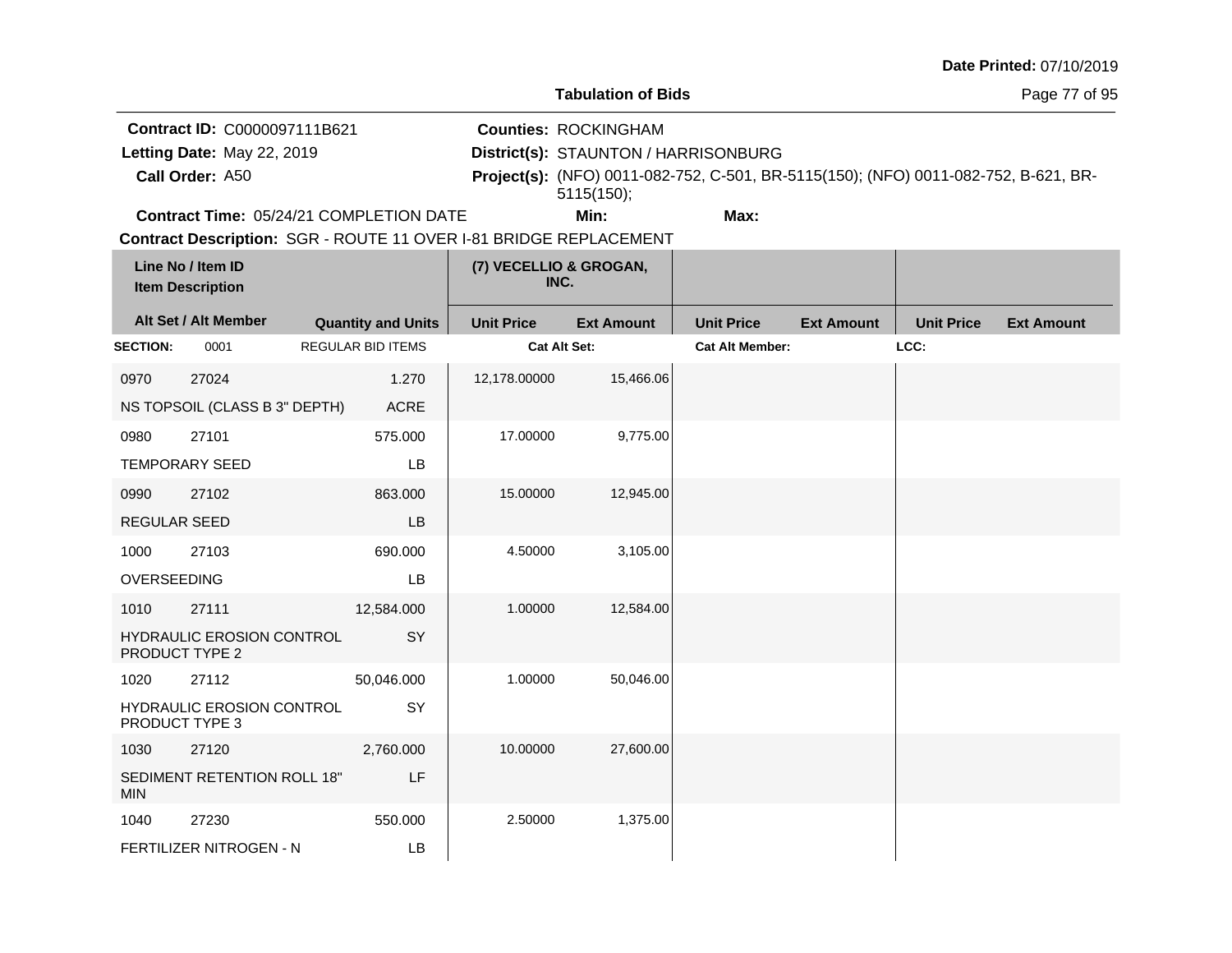|                                                    |                                                                   |                           |                                |                                      |                                                                                     |                   |                   | Date Printed: 07/10/2019 |
|----------------------------------------------------|-------------------------------------------------------------------|---------------------------|--------------------------------|--------------------------------------|-------------------------------------------------------------------------------------|-------------------|-------------------|--------------------------|
|                                                    |                                                                   |                           |                                | <b>Tabulation of Bids</b>            |                                                                                     |                   |                   | Page 77 of 95            |
| Contract ID: C0000097111B621                       |                                                                   |                           |                                | <b>Counties: ROCKINGHAM</b>          |                                                                                     |                   |                   |                          |
|                                                    | Letting Date: May 22, 2019                                        |                           |                                | District(s): STAUNTON / HARRISONBURG |                                                                                     |                   |                   |                          |
|                                                    | Call Order: A50                                                   |                           |                                | 5115(150);                           | Project(s): (NFO) 0011-082-752, C-501, BR-5115(150); (NFO) 0011-082-752, B-621, BR- |                   |                   |                          |
|                                                    | Contract Time: 05/24/21 COMPLETION DATE                           |                           |                                | Min:                                 | Max:                                                                                |                   |                   |                          |
|                                                    | Contract Description: SGR - ROUTE 11 OVER I-81 BRIDGE REPLACEMENT |                           |                                |                                      |                                                                                     |                   |                   |                          |
| Line No / Item ID<br><b>Item Description</b>       |                                                                   |                           | (7) VECELLIO & GROGAN,<br>INC. |                                      |                                                                                     |                   |                   |                          |
|                                                    | Alt Set / Alt Member                                              | <b>Quantity and Units</b> | <b>Unit Price</b>              | <b>Ext Amount</b>                    | <b>Unit Price</b>                                                                   | <b>Ext Amount</b> | <b>Unit Price</b> | <b>Ext Amount</b>        |
| <b>SECTION:</b>                                    | 0001                                                              | REGULAR BID ITEMS         | Cat Alt Set:                   |                                      | <b>Cat Alt Member:</b>                                                              |                   | LCC:              |                          |
| 0970                                               | 27024                                                             | 1.270                     | 12,178.00000                   | 15,466.06                            |                                                                                     |                   |                   |                          |
|                                                    | NS TOPSOIL (CLASS B 3" DEPTH)                                     | <b>ACRE</b>               |                                |                                      |                                                                                     |                   |                   |                          |
| 0980                                               | 27101                                                             | 575.000                   | 17.00000                       | 9,775.00                             |                                                                                     |                   |                   |                          |
|                                                    | <b>TEMPORARY SEED</b>                                             | LВ                        |                                |                                      |                                                                                     |                   |                   |                          |
| 0990                                               | 27102                                                             | 863.000                   | 15.00000                       | 12,945.00                            |                                                                                     |                   |                   |                          |
| REGULAR SEED                                       |                                                                   | LB                        |                                |                                      |                                                                                     |                   |                   |                          |
| 1000                                               | 27103                                                             | 690.000                   | 4.50000                        | 3,105.00                             |                                                                                     |                   |                   |                          |
| <b>OVERSEEDING</b>                                 |                                                                   | LВ                        |                                |                                      |                                                                                     |                   |                   |                          |
| 1010                                               | 27111                                                             | 12,584.000                | 1.00000                        | 12,584.00                            |                                                                                     |                   |                   |                          |
|                                                    | HYDRAULIC EROSION CONTROL<br>PRODUCT TYPE 2                       | SY                        |                                |                                      |                                                                                     |                   |                   |                          |
| 1020                                               | 27112                                                             | 50,046.000                | 1.00000                        | 50,046.00                            |                                                                                     |                   |                   |                          |
| HYDRAULIC EROSION CONTROL<br><b>PRODUCT TYPE 3</b> |                                                                   | SY                        |                                |                                      |                                                                                     |                   |                   |                          |
| 1030                                               | 27120                                                             | 2,760.000                 | 10.00000                       | 27,600.00                            |                                                                                     |                   |                   |                          |
| SEDIMENT RETENTION ROLL 18"<br><b>MIN</b>          |                                                                   | LF                        |                                |                                      |                                                                                     |                   |                   |                          |
| 1040                                               | 27230                                                             | 550.000                   | 2.50000                        | 1,375.00                             |                                                                                     |                   |                   |                          |
|                                                    | FERTILIZER NITROGEN - N                                           | LB                        |                                |                                      |                                                                                     |                   |                   |                          |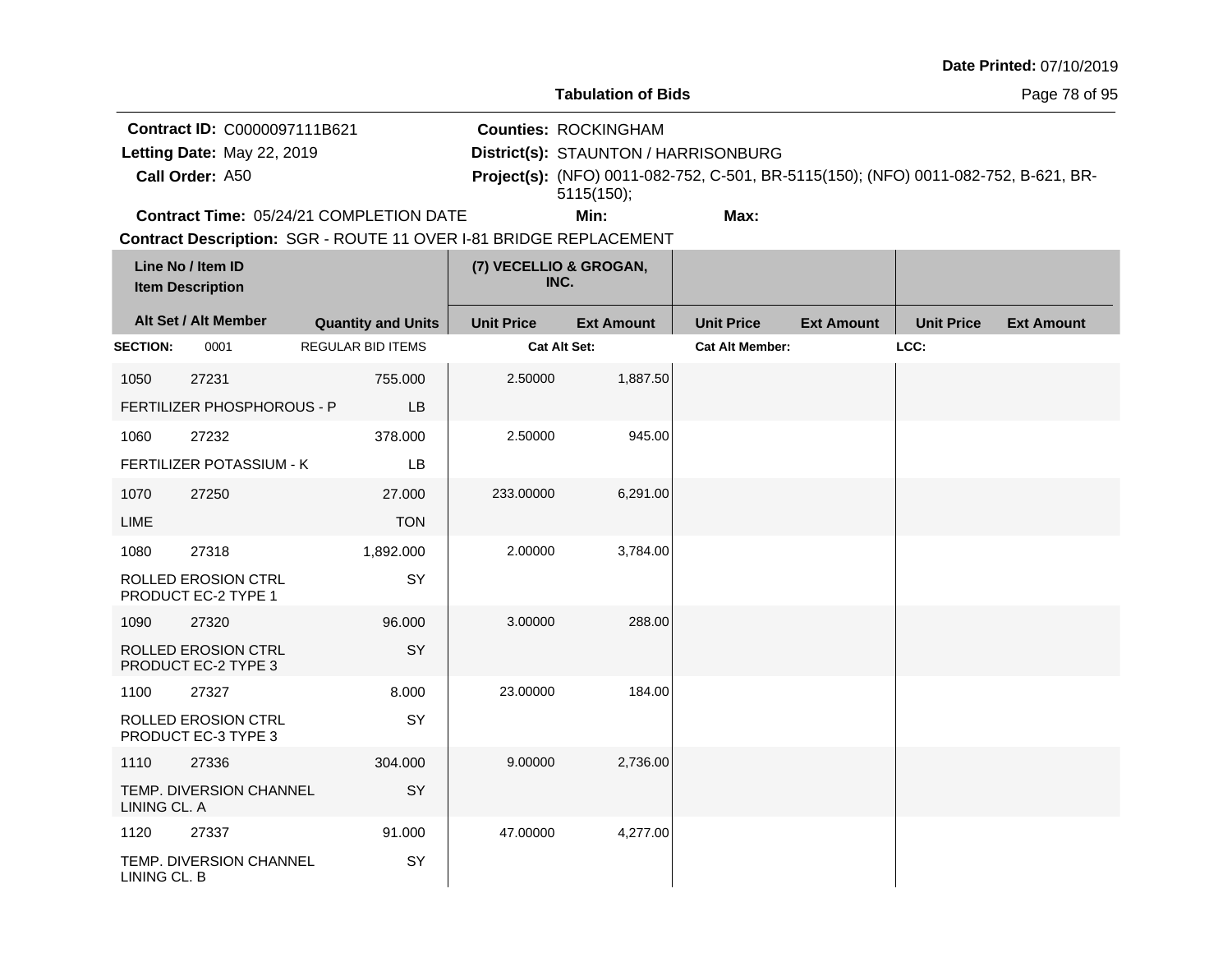|                                                                                                                   |                                                     |                                         |                   |                                                                                                                                                                          |                        |                   |                   | Date Printed: 07/10/2019 |
|-------------------------------------------------------------------------------------------------------------------|-----------------------------------------------------|-----------------------------------------|-------------------|--------------------------------------------------------------------------------------------------------------------------------------------------------------------------|------------------------|-------------------|-------------------|--------------------------|
| <b>Tabulation of Bids</b>                                                                                         |                                                     |                                         |                   |                                                                                                                                                                          |                        |                   |                   | Page 78 of 95            |
| Contract ID: C0000097111B621<br>Letting Date: May 22, 2019<br>Call Order: A50                                     |                                                     |                                         |                   | <b>Counties: ROCKINGHAM</b><br>District(s): STAUNTON / HARRISONBURG<br>Project(s): (NFO) 0011-082-752, C-501, BR-5115(150); (NFO) 0011-082-752, B-621, BR-<br>5115(150); |                        |                   |                   |                          |
|                                                                                                                   |                                                     | Contract Time: 05/24/21 COMPLETION DATE |                   | Min:                                                                                                                                                                     | Max:                   |                   |                   |                          |
| Contract Description: SGR - ROUTE 11 OVER I-81 BRIDGE REPLACEMENT<br>Line No / Item ID<br><b>Item Description</b> |                                                     | (7) VECELLIO & GROGAN,<br>INC.          |                   |                                                                                                                                                                          |                        |                   |                   |                          |
|                                                                                                                   | Alt Set / Alt Member                                | <b>Quantity and Units</b>               | <b>Unit Price</b> | <b>Ext Amount</b>                                                                                                                                                        | <b>Unit Price</b>      | <b>Ext Amount</b> | <b>Unit Price</b> | <b>Ext Amount</b>        |
| <b>SECTION:</b>                                                                                                   | 0001                                                | REGULAR BID ITEMS                       |                   | Cat Alt Set:                                                                                                                                                             | <b>Cat Alt Member:</b> |                   | LCC:              |                          |
| 1050                                                                                                              | 27231<br>FERTILIZER PHOSPHOROUS - P                 | 755,000<br>LB                           | 2.50000           | 1,887.50                                                                                                                                                                 |                        |                   |                   |                          |
| 1060                                                                                                              | 27232<br>FERTILIZER POTASSIUM - K                   | 378.000<br>LB                           | 2.50000           | 945.00                                                                                                                                                                   |                        |                   |                   |                          |
| 1070<br>LIME                                                                                                      | 27250                                               | 27.000<br><b>TON</b>                    | 233.00000         | 6,291.00                                                                                                                                                                 |                        |                   |                   |                          |
| 1080                                                                                                              | 27318<br>ROLLED EROSION CTRL<br>PRODUCT EC-2 TYPE 1 | 1,892.000<br>SY                         | 2.00000           | 3,784.00                                                                                                                                                                 |                        |                   |                   |                          |
| 1090                                                                                                              | 27320<br>ROLLED EROSION CTRL<br>PRODUCT EC-2 TYPE 3 | 96.000<br>SY                            | 3.00000           | 288.00                                                                                                                                                                   |                        |                   |                   |                          |
| 1100                                                                                                              | 27327                                               | 8.000                                   | 23.00000          | 184.00                                                                                                                                                                   |                        |                   |                   |                          |
|                                                                                                                   | ROLLED EROSION CTRL<br>PRODUCT EC-3 TYPE 3          | SY                                      |                   |                                                                                                                                                                          |                        |                   |                   |                          |
| 1110                                                                                                              | 27336                                               | 304.000                                 | 9.00000           | 2,736.00                                                                                                                                                                 |                        |                   |                   |                          |
| LINING CL. A                                                                                                      | TEMP. DIVERSION CHANNEL                             | SY                                      |                   |                                                                                                                                                                          |                        |                   |                   |                          |
| 1120                                                                                                              | 27337                                               | 91.000                                  | 47.00000          | 4,277.00                                                                                                                                                                 |                        |                   |                   |                          |
| LINING CL. B                                                                                                      | TEMP. DIVERSION CHANNEL                             | SY                                      |                   |                                                                                                                                                                          |                        |                   |                   |                          |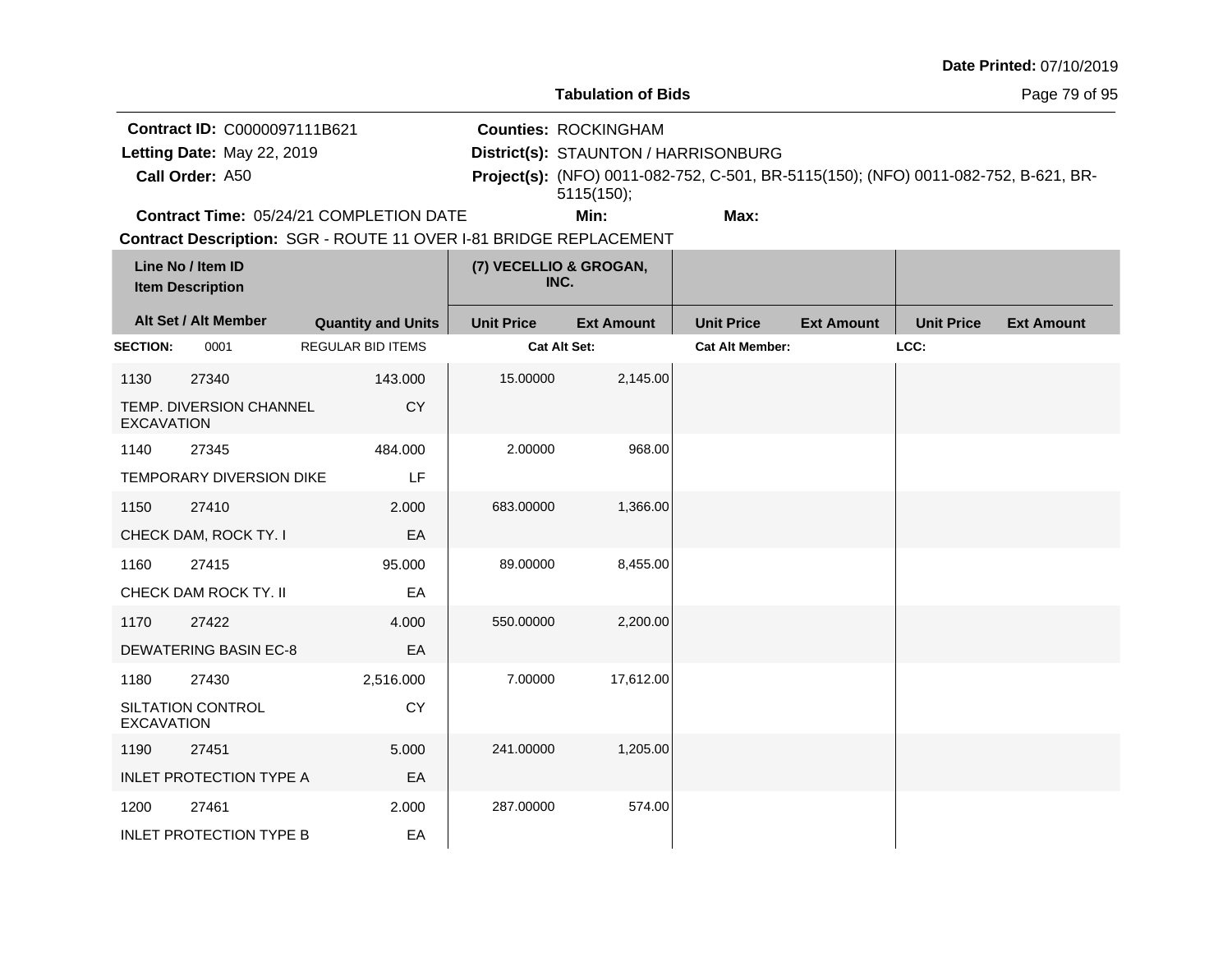|                   |                                              |                                                                   |                   |                                      |                                                                                     |                   |                   | Date Printed: 07/10/2019 |
|-------------------|----------------------------------------------|-------------------------------------------------------------------|-------------------|--------------------------------------|-------------------------------------------------------------------------------------|-------------------|-------------------|--------------------------|
|                   |                                              |                                                                   |                   | <b>Tabulation of Bids</b>            |                                                                                     |                   |                   | Page 79 of 95            |
|                   | Contract ID: C0000097111B621                 |                                                                   |                   | <b>Counties: ROCKINGHAM</b>          |                                                                                     |                   |                   |                          |
|                   | Letting Date: May 22, 2019                   |                                                                   |                   | District(s): STAUNTON / HARRISONBURG |                                                                                     |                   |                   |                          |
|                   | Call Order: A50                              |                                                                   |                   | 5115(150);                           | Project(s): (NFO) 0011-082-752, C-501, BR-5115(150); (NFO) 0011-082-752, B-621, BR- |                   |                   |                          |
|                   |                                              | Contract Time: 05/24/21 COMPLETION DATE                           |                   | Min:                                 | Max:                                                                                |                   |                   |                          |
|                   |                                              | Contract Description: SGR - ROUTE 11 OVER I-81 BRIDGE REPLACEMENT |                   |                                      |                                                                                     |                   |                   |                          |
|                   | Line No / Item ID<br><b>Item Description</b> |                                                                   |                   | (7) VECELLIO & GROGAN,<br>INC.       |                                                                                     |                   |                   |                          |
|                   | Alt Set / Alt Member                         | <b>Quantity and Units</b>                                         | <b>Unit Price</b> | <b>Ext Amount</b>                    | <b>Unit Price</b>                                                                   | <b>Ext Amount</b> | <b>Unit Price</b> | <b>Ext Amount</b>        |
| <b>SECTION:</b>   | 0001                                         | <b>REGULAR BID ITEMS</b>                                          |                   | Cat Alt Set:                         | <b>Cat Alt Member:</b>                                                              |                   | LCC:              |                          |
| 1130              | 27340                                        | 143.000                                                           | 15.00000          | 2,145.00                             |                                                                                     |                   |                   |                          |
| <b>EXCAVATION</b> | TEMP. DIVERSION CHANNEL                      | CY                                                                |                   |                                      |                                                                                     |                   |                   |                          |
| 1140              | 27345                                        | 484.000                                                           | 2.00000           | 968.00                               |                                                                                     |                   |                   |                          |
|                   | <b>TEMPORARY DIVERSION DIKE</b>              | LF                                                                |                   |                                      |                                                                                     |                   |                   |                          |
| 1150              | 27410                                        | 2.000                                                             | 683.00000         | 1,366.00                             |                                                                                     |                   |                   |                          |
|                   | CHECK DAM, ROCK TY. I                        | EA                                                                |                   |                                      |                                                                                     |                   |                   |                          |
| 1160              | 27415                                        | 95.000                                                            | 89.00000          | 8,455.00                             |                                                                                     |                   |                   |                          |
|                   | CHECK DAM ROCK TY. II                        | EA                                                                |                   |                                      |                                                                                     |                   |                   |                          |
| 1170              | 27422                                        | 4.000                                                             | 550.00000         | 2,200.00                             |                                                                                     |                   |                   |                          |
|                   | <b>DEWATERING BASIN EC-8</b>                 | EA                                                                |                   |                                      |                                                                                     |                   |                   |                          |
| 1180              | 27430                                        | 2,516.000                                                         | 7.00000           | 17,612.00                            |                                                                                     |                   |                   |                          |
| <b>EXCAVATION</b> | SILTATION CONTROL                            | <b>CY</b>                                                         |                   |                                      |                                                                                     |                   |                   |                          |
| 1190              | 27451                                        | 5.000                                                             | 241.00000         | 1,205.00                             |                                                                                     |                   |                   |                          |
|                   | <b>INLET PROTECTION TYPE A</b>               | EA                                                                |                   |                                      |                                                                                     |                   |                   |                          |
| 1200              | 27461                                        | 2.000                                                             | 287.00000         | 574.00                               |                                                                                     |                   |                   |                          |
|                   | <b>INLET PROTECTION TYPE B</b>               | EA                                                                |                   |                                      |                                                                                     |                   |                   |                          |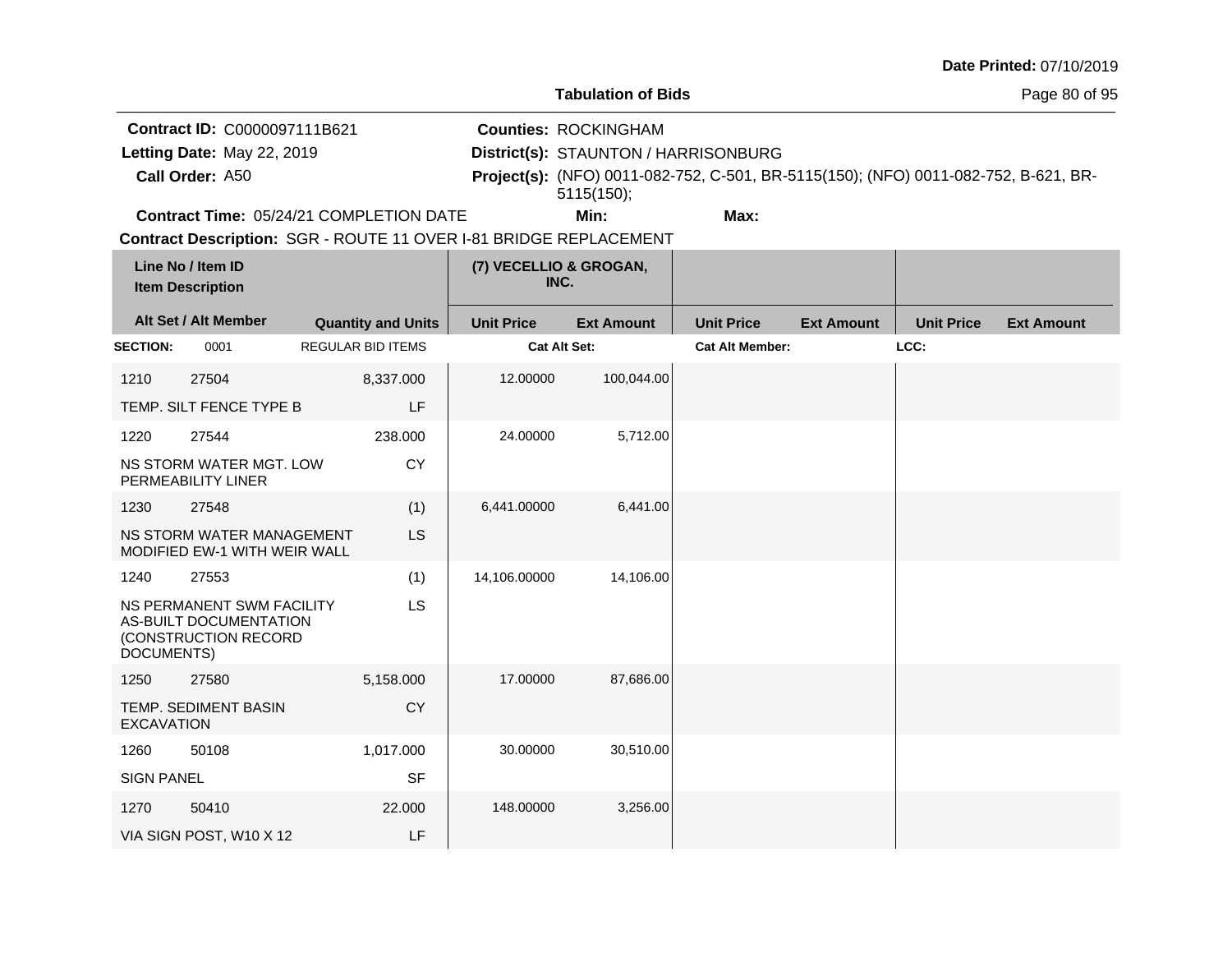|                   |                                                                             |                           |                   |                                      |                                                                                     |                   |                   | Date Printed: 07/10/2019 |
|-------------------|-----------------------------------------------------------------------------|---------------------------|-------------------|--------------------------------------|-------------------------------------------------------------------------------------|-------------------|-------------------|--------------------------|
|                   |                                                                             |                           |                   | <b>Tabulation of Bids</b>            |                                                                                     |                   |                   | Page 80 of 95            |
|                   | Contract ID: C0000097111B621                                                |                           |                   | <b>Counties: ROCKINGHAM</b>          |                                                                                     |                   |                   |                          |
|                   | Letting Date: May 22, 2019                                                  |                           |                   | District(s): STAUNTON / HARRISONBURG |                                                                                     |                   |                   |                          |
|                   | Call Order: A50                                                             |                           |                   | 5115(150);                           | Project(s): (NFO) 0011-082-752, C-501, BR-5115(150); (NFO) 0011-082-752, B-621, BR- |                   |                   |                          |
|                   | Contract Time: 05/24/21 COMPLETION DATE                                     |                           |                   | Min:                                 | Max:                                                                                |                   |                   |                          |
|                   | Contract Description: SGR - ROUTE 11 OVER I-81 BRIDGE REPLACEMENT           |                           |                   |                                      |                                                                                     |                   |                   |                          |
|                   | Line No / Item ID<br><b>Item Description</b>                                |                           |                   | (7) VECELLIO & GROGAN,<br>INC.       |                                                                                     |                   |                   |                          |
|                   | Alt Set / Alt Member                                                        | <b>Quantity and Units</b> | <b>Unit Price</b> | <b>Ext Amount</b>                    | <b>Unit Price</b>                                                                   | <b>Ext Amount</b> | <b>Unit Price</b> | <b>Ext Amount</b>        |
| <b>SECTION:</b>   | 0001                                                                        | <b>REGULAR BID ITEMS</b>  |                   | Cat Alt Set:                         | <b>Cat Alt Member:</b>                                                              |                   | LCC:              |                          |
| 1210              | 27504                                                                       | 8,337.000                 | 12.00000          | 100,044.00                           |                                                                                     |                   |                   |                          |
|                   | TEMP. SILT FENCE TYPE B                                                     | LF                        |                   |                                      |                                                                                     |                   |                   |                          |
| 1220              | 27544                                                                       | 238.000                   | 24.00000          | 5,712.00                             |                                                                                     |                   |                   |                          |
|                   | NS STORM WATER MGT. LOW<br>PERMEABILITY LINER                               | <b>CY</b>                 |                   |                                      |                                                                                     |                   |                   |                          |
| 1230              | 27548                                                                       | (1)                       | 6,441.00000       | 6,441.00                             |                                                                                     |                   |                   |                          |
|                   | NS STORM WATER MANAGEMENT<br><b>MODIFIED EW-1 WITH WEIR WALL</b>            | LS                        |                   |                                      |                                                                                     |                   |                   |                          |
| 1240              | 27553                                                                       | (1)                       | 14,106.00000      | 14,106.00                            |                                                                                     |                   |                   |                          |
| DOCUMENTS)        | NS PERMANENT SWM FACILITY<br>AS-BUILT DOCUMENTATION<br>(CONSTRUCTION RECORD | <b>LS</b>                 |                   |                                      |                                                                                     |                   |                   |                          |
| 1250              | 27580                                                                       | 5,158.000                 | 17.00000          | 87,686.00                            |                                                                                     |                   |                   |                          |
| <b>EXCAVATION</b> | <b>TEMP. SEDIMENT BASIN</b>                                                 | <b>CY</b>                 |                   |                                      |                                                                                     |                   |                   |                          |
| 1260              | 50108                                                                       | 1,017.000                 | 30.00000          | 30,510.00                            |                                                                                     |                   |                   |                          |
| <b>SIGN PANEL</b> |                                                                             | <b>SF</b>                 |                   |                                      |                                                                                     |                   |                   |                          |
| 1270              | 50410                                                                       | 22.000                    | 148.00000         | 3,256.00                             |                                                                                     |                   |                   |                          |
|                   | VIA SIGN POST, W10 X 12                                                     | LF                        |                   |                                      |                                                                                     |                   |                   |                          |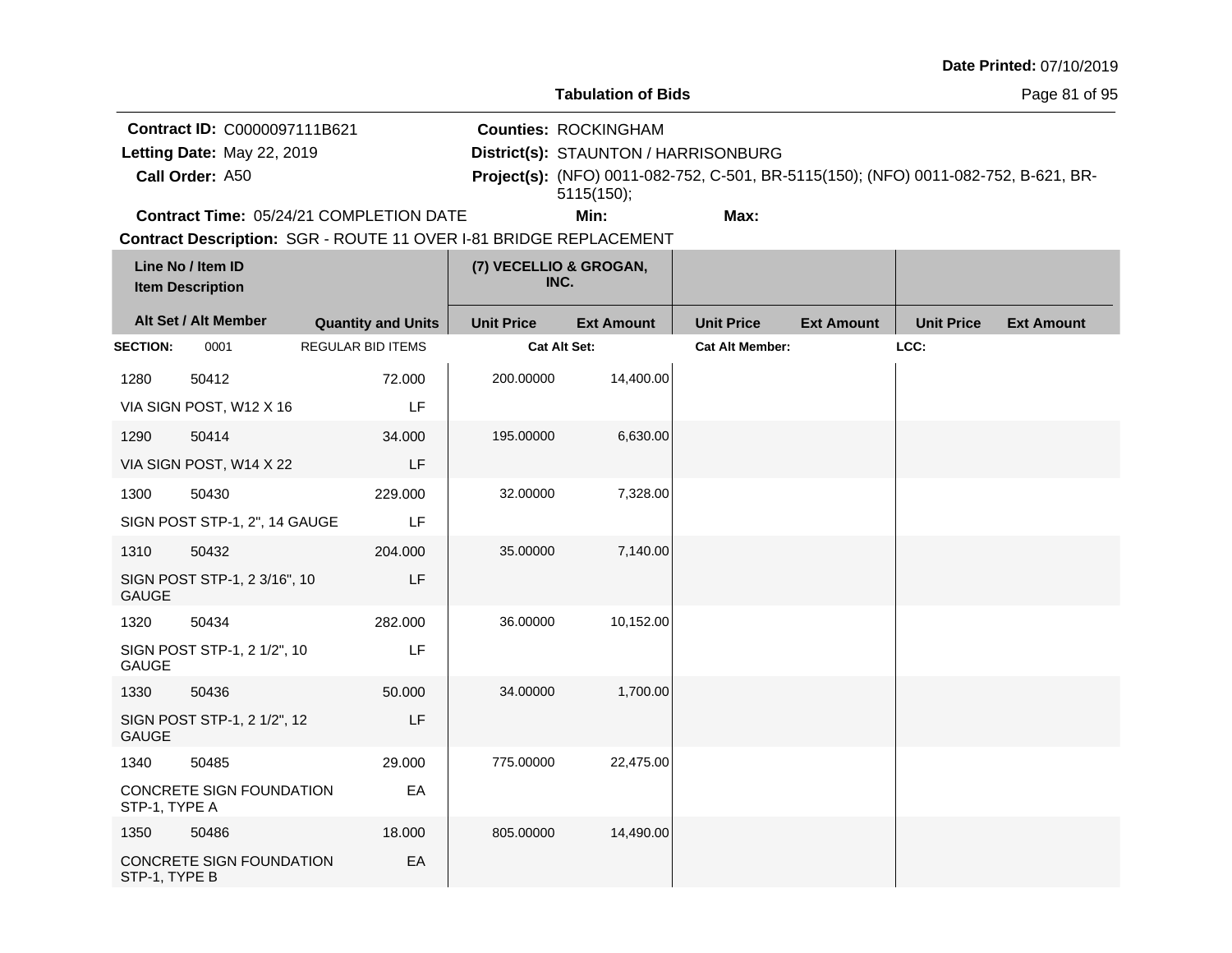|  |  | <b>Date Printed: 07/10/2019</b> |
|--|--|---------------------------------|
|--|--|---------------------------------|

Page 81 of 95

**Contract ID:** C0000097111B621

**Call Order:**

Letting Date: May 22, 2019

**Letting Date:** May 22, 2019 **District(s): STAUNTON / HARRISONBURG** 

**Counties:** ROCKINGHAM

A50 **Project(s):** (NFO) 0011-082-752, C-501, BR-5115(150); (NFO) 0011-082-752, B-621, BR-5115(150);

**Contract Time:** 05/24/21 COMPLETION DATE

**Min: Max:**

|                 | Line No / Item ID<br><b>Item Description</b> |                           | (7) VECELLIO & GROGAN,<br>INC. |                   |                        |                   |                   |                   |
|-----------------|----------------------------------------------|---------------------------|--------------------------------|-------------------|------------------------|-------------------|-------------------|-------------------|
|                 | Alt Set / Alt Member                         | <b>Quantity and Units</b> | <b>Unit Price</b>              | <b>Ext Amount</b> | <b>Unit Price</b>      | <b>Ext Amount</b> | <b>Unit Price</b> | <b>Ext Amount</b> |
| <b>SECTION:</b> | 0001                                         | <b>REGULAR BID ITEMS</b>  | Cat Alt Set:                   |                   | <b>Cat Alt Member:</b> |                   | LCC:              |                   |
| 1280            | 50412                                        | 72.000                    | 200.00000                      | 14,400.00         |                        |                   |                   |                   |
|                 | VIA SIGN POST, W12 X 16                      | LF                        |                                |                   |                        |                   |                   |                   |
| 1290            | 50414                                        | 34.000                    | 195.00000                      | 6,630.00          |                        |                   |                   |                   |
|                 | VIA SIGN POST, W14 X 22                      | LF                        |                                |                   |                        |                   |                   |                   |
| 1300            | 50430                                        | 229.000                   | 32.00000                       | 7,328.00          |                        |                   |                   |                   |
|                 | SIGN POST STP-1, 2", 14 GAUGE                | LF                        |                                |                   |                        |                   |                   |                   |
| 1310            | 50432                                        | 204.000                   | 35.00000                       | 7,140.00          |                        |                   |                   |                   |
| <b>GAUGE</b>    | SIGN POST STP-1, 2 3/16", 10                 | LF                        |                                |                   |                        |                   |                   |                   |
| 1320            | 50434                                        | 282.000                   | 36.00000                       | 10,152.00         |                        |                   |                   |                   |
| <b>GAUGE</b>    | SIGN POST STP-1, 2 1/2", 10                  | LF                        |                                |                   |                        |                   |                   |                   |
| 1330            | 50436                                        | 50.000                    | 34.00000                       | 1,700.00          |                        |                   |                   |                   |
| <b>GAUGE</b>    | SIGN POST STP-1, 2 1/2", 12                  | LF                        |                                |                   |                        |                   |                   |                   |
| 1340            | 50485                                        | 29.000                    | 775.00000                      | 22,475.00         |                        |                   |                   |                   |
| STP-1, TYPE A   | CONCRETE SIGN FOUNDATION                     | EA                        |                                |                   |                        |                   |                   |                   |
| 1350            | 50486                                        | 18.000                    | 805.00000                      | 14,490.00         |                        |                   |                   |                   |
| STP-1, TYPE B   | CONCRETE SIGN FOUNDATION                     | EA                        |                                |                   |                        |                   |                   |                   |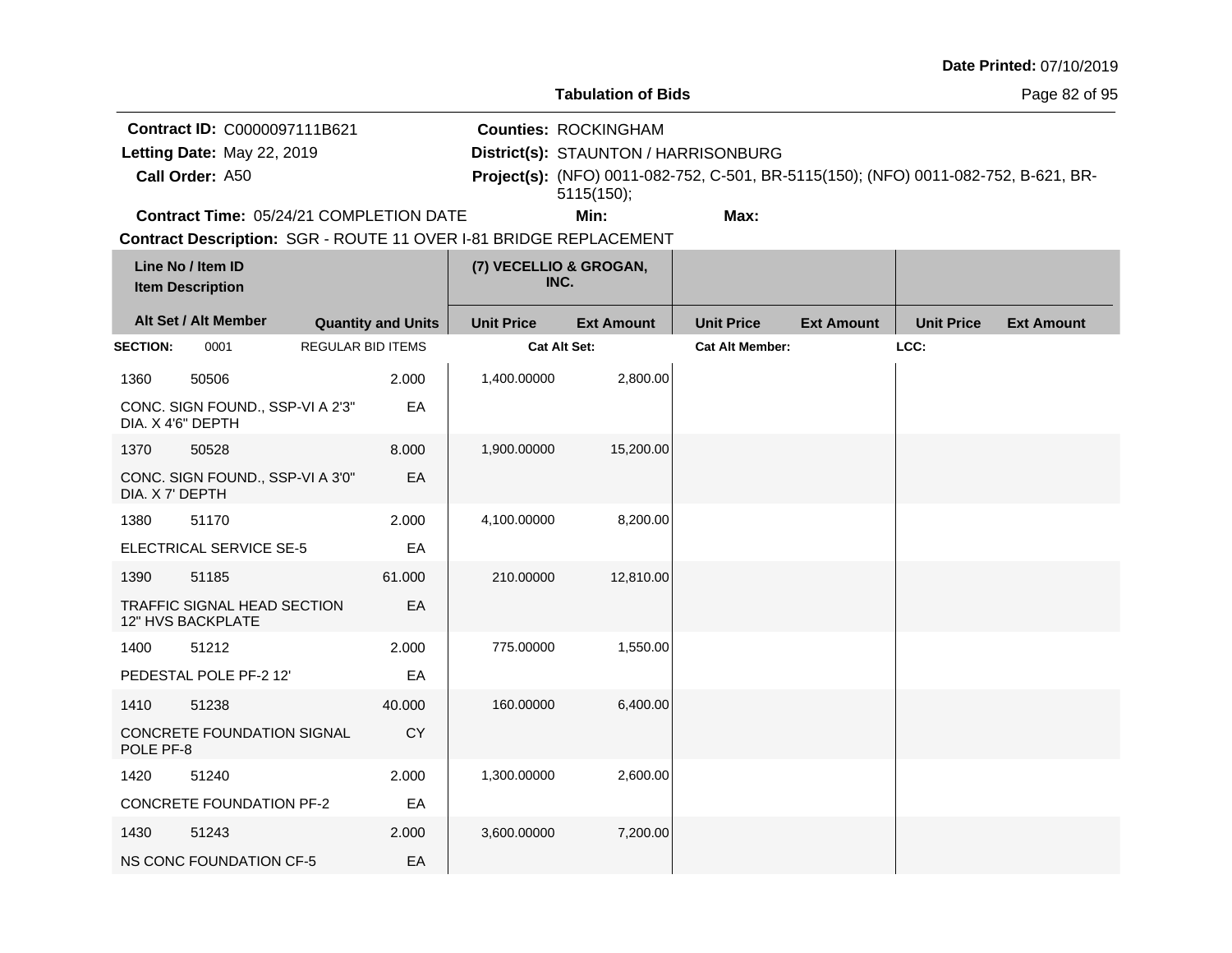|  |  | <b>Date Printed: 07/10/2019</b> |
|--|--|---------------------------------|
|--|--|---------------------------------|

**Contract ID:** C0000097111B621

**Call Order:**

Letting Date: May 22, 2019

**Letting Date:** May 22, 2019 **District(s): STAUNTON / HARRISONBURG** 

**Counties:** ROCKINGHAM

A50 **Project(s):** (NFO) 0011-082-752, C-501, BR-5115(150); (NFO) 0011-082-752, B-621, BR-5115(150);

**Contract Time:** 05/24/21 COMPLETION DATE

**Min: Max:**

|                   | Line No / Item ID<br><b>Item Description</b>            |                          |                           | (7) VECELLIO & GROGAN,<br>INC. |                   |                        |                   |                   |                   |
|-------------------|---------------------------------------------------------|--------------------------|---------------------------|--------------------------------|-------------------|------------------------|-------------------|-------------------|-------------------|
|                   | Alt Set / Alt Member                                    |                          | <b>Quantity and Units</b> | <b>Unit Price</b>              | <b>Ext Amount</b> | <b>Unit Price</b>      | <b>Ext Amount</b> | <b>Unit Price</b> | <b>Ext Amount</b> |
| <b>SECTION:</b>   | 0001                                                    | <b>REGULAR BID ITEMS</b> |                           | Cat Alt Set:                   |                   | <b>Cat Alt Member:</b> |                   | LCC:              |                   |
| 1360              | 50506                                                   |                          | 2.000                     | 1,400.00000                    | 2,800.00          |                        |                   |                   |                   |
| DIA. X 4'6" DEPTH | CONC. SIGN FOUND., SSP-VI A 2'3"                        |                          | EA                        |                                |                   |                        |                   |                   |                   |
| 1370              | 50528                                                   |                          | 8.000                     | 1,900.00000                    | 15,200.00         |                        |                   |                   |                   |
| DIA. X 7' DEPTH   | CONC. SIGN FOUND., SSP-VI A 3'0"                        |                          | EA                        |                                |                   |                        |                   |                   |                   |
| 1380              | 51170                                                   |                          | 2.000                     | 4,100.00000                    | 8,200.00          |                        |                   |                   |                   |
|                   | ELECTRICAL SERVICE SE-5                                 |                          | EA                        |                                |                   |                        |                   |                   |                   |
| 1390              | 51185                                                   |                          | 61.000                    | 210.00000                      | 12,810.00         |                        |                   |                   |                   |
|                   | TRAFFIC SIGNAL HEAD SECTION<br><b>12" HVS BACKPLATE</b> |                          | EA                        |                                |                   |                        |                   |                   |                   |
| 1400              | 51212                                                   |                          | 2.000                     | 775.00000                      | 1,550.00          |                        |                   |                   |                   |
|                   | PEDESTAL POLE PF-2 12'                                  |                          | EA                        |                                |                   |                        |                   |                   |                   |
| 1410              | 51238                                                   |                          | 40.000                    | 160.00000                      | 6,400.00          |                        |                   |                   |                   |
| POLE PF-8         | CONCRETE FOUNDATION SIGNAL                              |                          | <b>CY</b>                 |                                |                   |                        |                   |                   |                   |
| 1420              | 51240                                                   |                          | 2.000                     | 1,300.00000                    | 2,600.00          |                        |                   |                   |                   |
|                   | <b>CONCRETE FOUNDATION PF-2</b>                         |                          | EA                        |                                |                   |                        |                   |                   |                   |
| 1430              | 51243                                                   |                          | 2.000                     | 3,600.00000                    | 7,200.00          |                        |                   |                   |                   |
|                   | NS CONC FOUNDATION CF-5                                 |                          | EA                        |                                |                   |                        |                   |                   |                   |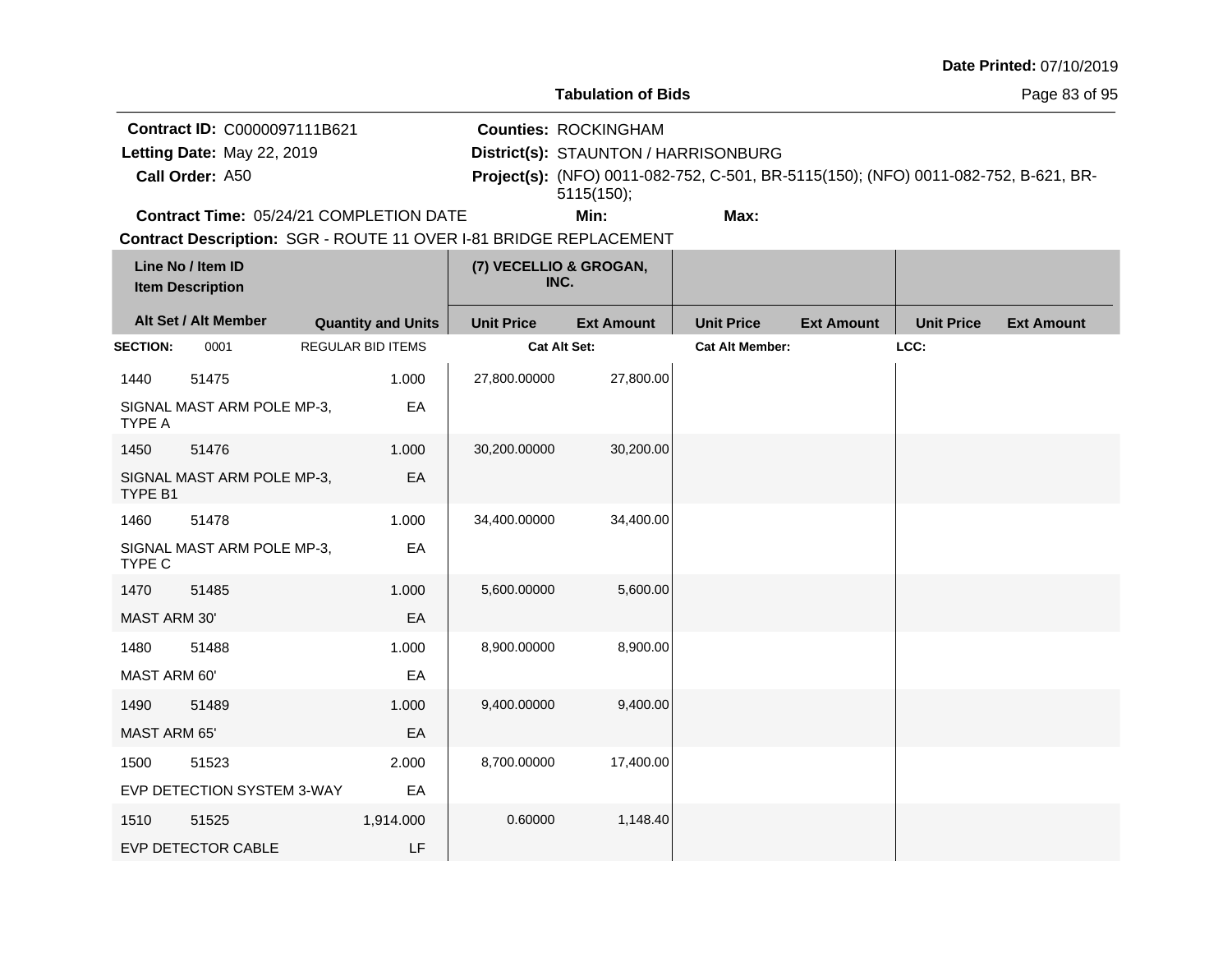| Date Printed: 07/10/2019 |  |
|--------------------------|--|
|--------------------------|--|

Page 83 of 95

**Contract ID:** C0000097111B621

**Call Order:**

Letting Date: May 22, 2019

**Letting Date:** May 22, 2019 **District(s): STAUNTON / HARRISONBURG** 

**Counties:** ROCKINGHAM

A50 **Project(s):** (NFO) 0011-082-752, C-501, BR-5115(150); (NFO) 0011-082-752, B-621, BR-5115(150);

**Contract Time:** 05/24/21 COMPLETION DATE

**Min: Max:**

|                     | Line No / Item ID<br><b>Item Description</b> |                           | (7) VECELLIO & GROGAN,<br>INC. |                   |                        |                   |                   |                   |
|---------------------|----------------------------------------------|---------------------------|--------------------------------|-------------------|------------------------|-------------------|-------------------|-------------------|
|                     | Alt Set / Alt Member                         | <b>Quantity and Units</b> | <b>Unit Price</b>              | <b>Ext Amount</b> | <b>Unit Price</b>      | <b>Ext Amount</b> | <b>Unit Price</b> | <b>Ext Amount</b> |
| <b>SECTION:</b>     | 0001                                         | <b>REGULAR BID ITEMS</b>  | <b>Cat Alt Set:</b>            |                   | <b>Cat Alt Member:</b> |                   | LCC:              |                   |
| 1440                | 51475                                        | 1.000                     | 27,800.00000                   | 27,800.00         |                        |                   |                   |                   |
| TYPE A              | SIGNAL MAST ARM POLE MP-3,                   | EA                        |                                |                   |                        |                   |                   |                   |
| 1450                | 51476                                        | 1.000                     | 30,200.00000                   | 30,200.00         |                        |                   |                   |                   |
| TYPE B1             | SIGNAL MAST ARM POLE MP-3,                   | EA                        |                                |                   |                        |                   |                   |                   |
| 1460                | 51478                                        | 1.000                     | 34,400.00000                   | 34,400.00         |                        |                   |                   |                   |
| TYPE C              | SIGNAL MAST ARM POLE MP-3,                   | EA                        |                                |                   |                        |                   |                   |                   |
| 1470                | 51485                                        | 1.000                     | 5,600.00000                    | 5,600.00          |                        |                   |                   |                   |
| MAST ARM 30'        |                                              | EA                        |                                |                   |                        |                   |                   |                   |
| 1480                | 51488                                        | 1.000                     | 8,900.00000                    | 8,900.00          |                        |                   |                   |                   |
| MAST ARM 60'        |                                              | EA                        |                                |                   |                        |                   |                   |                   |
| 1490                | 51489                                        | 1.000                     | 9,400.00000                    | 9,400.00          |                        |                   |                   |                   |
| <b>MAST ARM 65'</b> |                                              | EA                        |                                |                   |                        |                   |                   |                   |
| 1500                | 51523                                        | 2.000                     | 8,700.00000                    | 17,400.00         |                        |                   |                   |                   |
|                     | EVP DETECTION SYSTEM 3-WAY                   | EA                        |                                |                   |                        |                   |                   |                   |
| 1510                | 51525                                        | 1,914.000                 | 0.60000                        | 1,148.40          |                        |                   |                   |                   |
|                     | EVP DETECTOR CABLE                           | LF                        |                                |                   |                        |                   |                   |                   |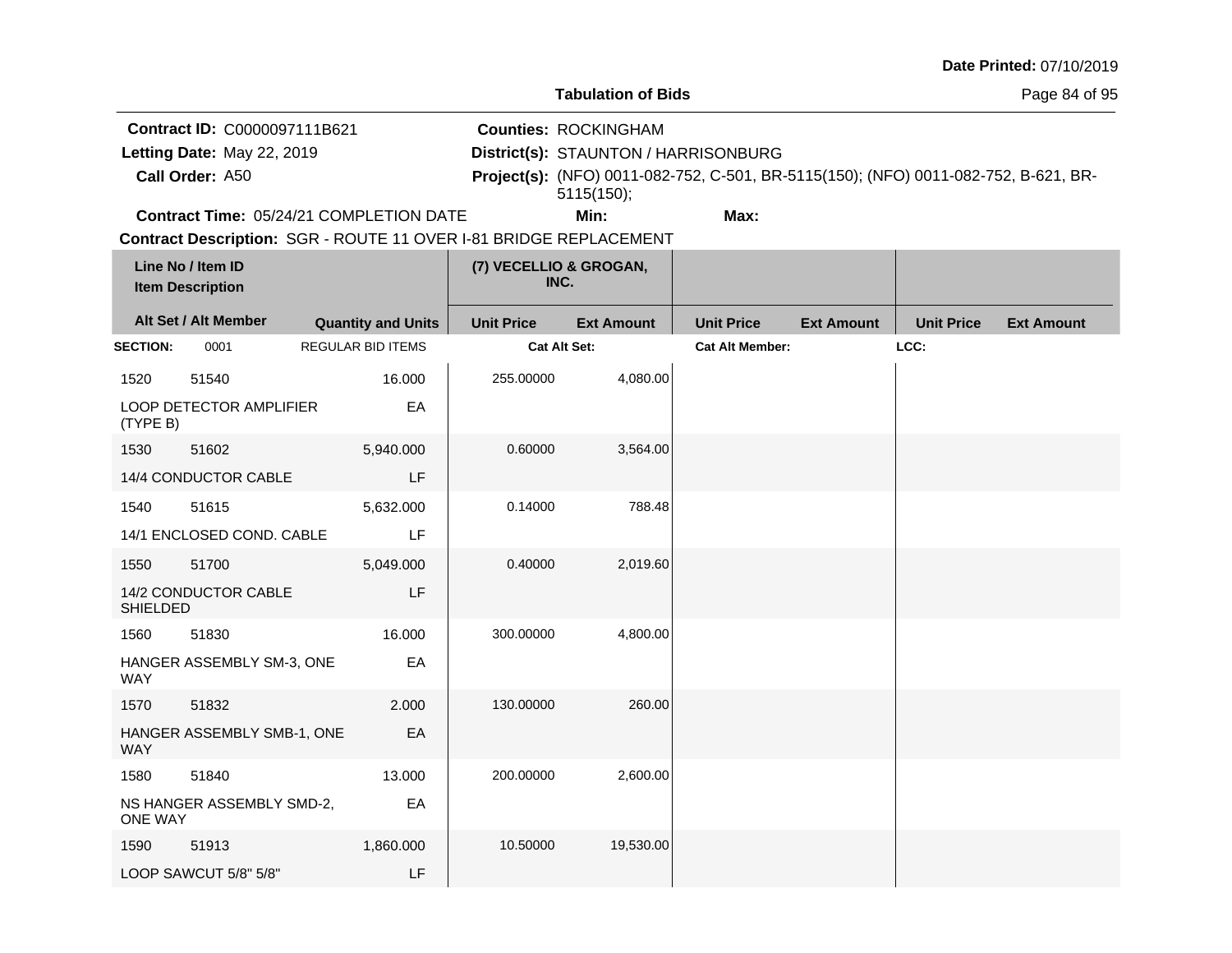|  | Date Printed: 07/10/2019 |
|--|--------------------------|
|  |                          |

**Contract ID:** C0000097111B621

**Call Order:**

Letting Date: May 22, 2019

**Letting Date:** May 22, 2019 **District(s): STAUNTON / HARRISONBURG** 

**Counties:** ROCKINGHAM

A50 **Project(s):** (NFO) 0011-082-752, C-501, BR-5115(150); (NFO) 0011-082-752, B-621, BR-5115(150);

**Contract Time:** 05/24/21 COMPLETION DATE

**Min: Max:**

|                 | Line No / Item ID<br><b>Item Description</b> |                           | (7) VECELLIO & GROGAN,<br>INC. |                   |                        |                   |                   |                   |
|-----------------|----------------------------------------------|---------------------------|--------------------------------|-------------------|------------------------|-------------------|-------------------|-------------------|
|                 | Alt Set / Alt Member                         | <b>Quantity and Units</b> | <b>Unit Price</b>              | <b>Ext Amount</b> | <b>Unit Price</b>      | <b>Ext Amount</b> | <b>Unit Price</b> | <b>Ext Amount</b> |
| <b>SECTION:</b> | 0001                                         | <b>REGULAR BID ITEMS</b>  | Cat Alt Set:                   |                   | <b>Cat Alt Member:</b> |                   | LCC:              |                   |
| 1520            | 51540                                        | 16.000                    | 255.00000                      | 4,080.00          |                        |                   |                   |                   |
| (TYPE B)        | LOOP DETECTOR AMPLIFIER                      | EA                        |                                |                   |                        |                   |                   |                   |
| 1530            | 51602                                        | 5,940.000                 | 0.60000                        | 3,564.00          |                        |                   |                   |                   |
|                 | 14/4 CONDUCTOR CABLE                         | LF                        |                                |                   |                        |                   |                   |                   |
| 1540            | 51615                                        | 5,632.000                 | 0.14000                        | 788.48            |                        |                   |                   |                   |
|                 | 14/1 ENCLOSED COND. CABLE                    | LF                        |                                |                   |                        |                   |                   |                   |
| 1550            | 51700                                        | 5,049.000                 | 0.40000                        | 2,019.60          |                        |                   |                   |                   |
| <b>SHIELDED</b> | 14/2 CONDUCTOR CABLE                         | LF                        |                                |                   |                        |                   |                   |                   |
| 1560            | 51830                                        | 16.000                    | 300.00000                      | 4,800.00          |                        |                   |                   |                   |
| <b>WAY</b>      | HANGER ASSEMBLY SM-3, ONE                    | EA                        |                                |                   |                        |                   |                   |                   |
| 1570            | 51832                                        | 2.000                     | 130.00000                      | 260.00            |                        |                   |                   |                   |
| <b>WAY</b>      | HANGER ASSEMBLY SMB-1, ONE                   | EA                        |                                |                   |                        |                   |                   |                   |
| 1580            | 51840                                        | 13.000                    | 200.00000                      | 2,600.00          |                        |                   |                   |                   |
| <b>ONE WAY</b>  | NS HANGER ASSEMBLY SMD-2,                    | EA                        |                                |                   |                        |                   |                   |                   |
| 1590            | 51913                                        | 1,860.000                 | 10.50000                       | 19,530.00         |                        |                   |                   |                   |
|                 | LOOP SAWCUT 5/8" 5/8"                        | LF                        |                                |                   |                        |                   |                   |                   |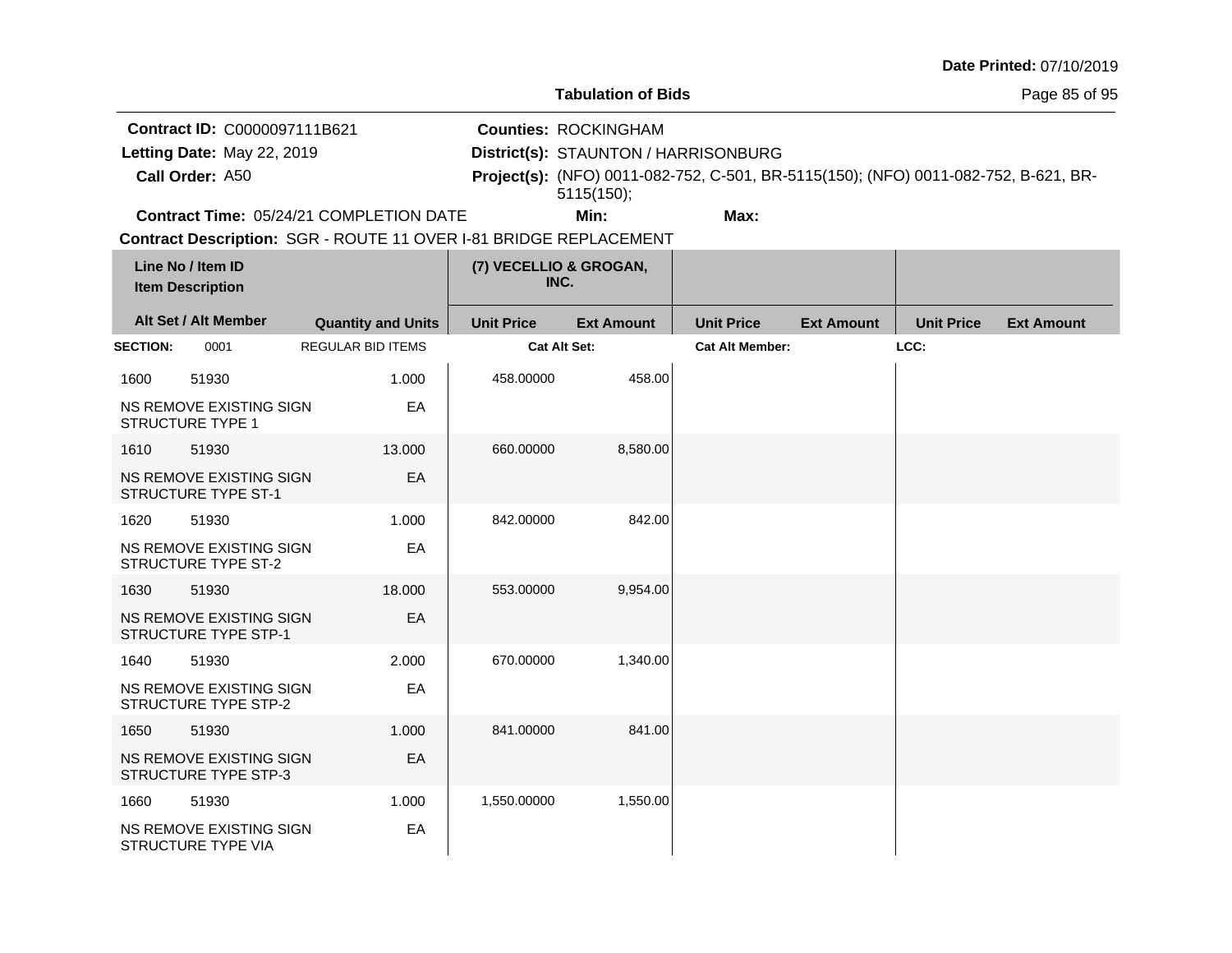| <b>Date Printed: 07/10/2019</b> |  |
|---------------------------------|--|
|---------------------------------|--|

Page 85 of 95

**Contract ID:** C0000097111B621

**Call Order:**

Letting Date: May 22, 2019

**Letting Date:** May 22, 2019 **District(s): STAUNTON / HARRISONBURG** 

**Counties:** ROCKINGHAM

A50 **Project(s):** (NFO) 0011-082-752, C-501, BR-5115(150); (NFO) 0011-082-752, B-621, BR-5115(150);

**Contract Time:** 05/24/21 COMPLETION DATE

**Min: Max:**

|                 | Line No / Item ID<br><b>Item Description</b>           |                           | (7) VECELLIO & GROGAN,<br>INC. |                   |                        |                   |                   |                   |
|-----------------|--------------------------------------------------------|---------------------------|--------------------------------|-------------------|------------------------|-------------------|-------------------|-------------------|
|                 | Alt Set / Alt Member                                   | <b>Quantity and Units</b> | <b>Unit Price</b>              | <b>Ext Amount</b> | <b>Unit Price</b>      | <b>Ext Amount</b> | <b>Unit Price</b> | <b>Ext Amount</b> |
| <b>SECTION:</b> | 0001                                                   | <b>REGULAR BID ITEMS</b>  | Cat Alt Set:                   |                   | <b>Cat Alt Member:</b> |                   | LCC:              |                   |
| 1600            | 51930                                                  | 1.000                     | 458.00000                      | 458.00            |                        |                   |                   |                   |
|                 | NS REMOVE EXISTING SIGN<br><b>STRUCTURE TYPE 1</b>     | EA                        |                                |                   |                        |                   |                   |                   |
| 1610            | 51930                                                  | 13.000                    | 660.00000                      | 8,580.00          |                        |                   |                   |                   |
|                 | NS REMOVE EXISTING SIGN<br>STRUCTURE TYPE ST-1         | EA                        |                                |                   |                        |                   |                   |                   |
| 1620            | 51930                                                  | 1.000                     | 842.00000                      | 842.00            |                        |                   |                   |                   |
|                 | NS REMOVE EXISTING SIGN<br><b>STRUCTURE TYPE ST-2</b>  | EA                        |                                |                   |                        |                   |                   |                   |
| 1630            | 51930                                                  | 18.000                    | 553.00000                      | 9,954.00          |                        |                   |                   |                   |
|                 | NS REMOVE EXISTING SIGN<br><b>STRUCTURE TYPE STP-1</b> | EA                        |                                |                   |                        |                   |                   |                   |
| 1640            | 51930                                                  | 2.000                     | 670.00000                      | 1,340.00          |                        |                   |                   |                   |
|                 | NS REMOVE EXISTING SIGN<br>STRUCTURE TYPE STP-2        | EA                        |                                |                   |                        |                   |                   |                   |
| 1650            | 51930                                                  | 1.000                     | 841.00000                      | 841.00            |                        |                   |                   |                   |
|                 | NS REMOVE EXISTING SIGN<br><b>STRUCTURE TYPE STP-3</b> | EA                        |                                |                   |                        |                   |                   |                   |
| 1660            | 51930                                                  | 1.000                     | 1,550.00000                    | 1,550.00          |                        |                   |                   |                   |
|                 | NS REMOVE EXISTING SIGN<br>STRUCTURE TYPE VIA          | EA                        |                                |                   |                        |                   |                   |                   |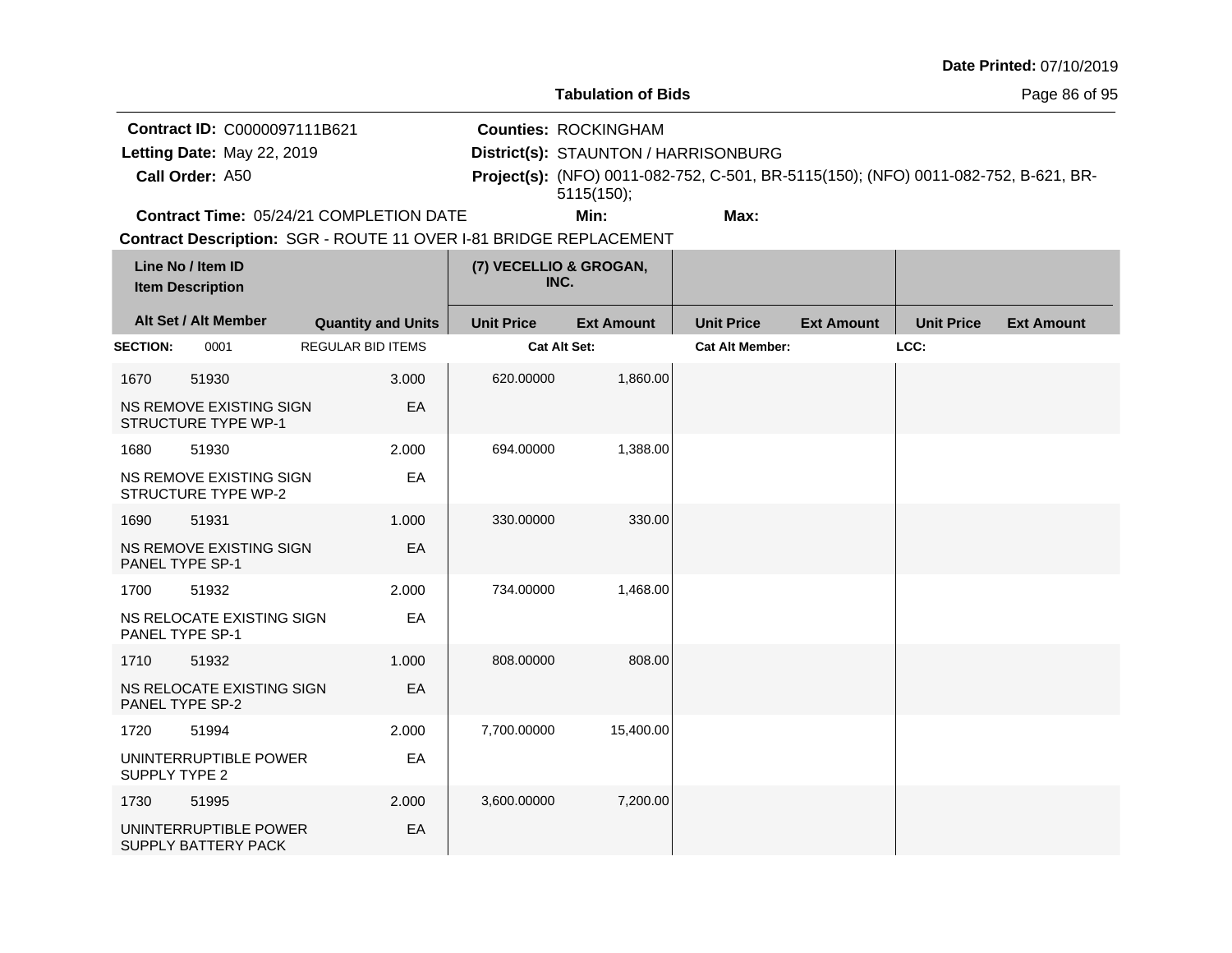|                 |                                                       |                                                                   |    |                   |                                      |                                                                                     |                   |                   | Date Printed: 07/10/2019 |
|-----------------|-------------------------------------------------------|-------------------------------------------------------------------|----|-------------------|--------------------------------------|-------------------------------------------------------------------------------------|-------------------|-------------------|--------------------------|
|                 |                                                       |                                                                   |    |                   | <b>Tabulation of Bids</b>            |                                                                                     |                   |                   | Page 86 of 95            |
|                 | Contract ID: C0000097111B621                          |                                                                   |    |                   | <b>Counties: ROCKINGHAM</b>          |                                                                                     |                   |                   |                          |
|                 | Letting Date: May 22, 2019                            |                                                                   |    |                   | District(s): STAUNTON / HARRISONBURG |                                                                                     |                   |                   |                          |
|                 | Call Order: A50                                       |                                                                   |    |                   | 5115(150);                           | Project(s): (NFO) 0011-082-752, C-501, BR-5115(150); (NFO) 0011-082-752, B-621, BR- |                   |                   |                          |
|                 |                                                       | Contract Time: 05/24/21 COMPLETION DATE                           |    |                   | Min:                                 | Max:                                                                                |                   |                   |                          |
|                 |                                                       | Contract Description: SGR - ROUTE 11 OVER I-81 BRIDGE REPLACEMENT |    |                   |                                      |                                                                                     |                   |                   |                          |
|                 | Line No / Item ID<br><b>Item Description</b>          |                                                                   |    |                   | (7) VECELLIO & GROGAN,<br>INC.       |                                                                                     |                   |                   |                          |
|                 | Alt Set / Alt Member                                  | <b>Quantity and Units</b>                                         |    | <b>Unit Price</b> | <b>Ext Amount</b>                    | <b>Unit Price</b>                                                                   | <b>Ext Amount</b> | <b>Unit Price</b> | <b>Ext Amount</b>        |
| <b>SECTION:</b> | 0001                                                  | <b>REGULAR BID ITEMS</b>                                          |    |                   | Cat Alt Set:                         | <b>Cat Alt Member:</b>                                                              |                   | LCC:              |                          |
| 1670            | 51930                                                 | 3.000                                                             |    | 620.00000         | 1,860.00                             |                                                                                     |                   |                   |                          |
|                 | NS REMOVE EXISTING SIGN<br><b>STRUCTURE TYPE WP-1</b> |                                                                   | EA |                   |                                      |                                                                                     |                   |                   |                          |
| 1680            | 51930                                                 | 2.000                                                             |    | 694.00000         | 1,388.00                             |                                                                                     |                   |                   |                          |
|                 | NS REMOVE EXISTING SIGN<br><b>STRUCTURE TYPE WP-2</b> |                                                                   | EA |                   |                                      |                                                                                     |                   |                   |                          |
| 1690            | 51931                                                 | 1.000                                                             |    | 330.00000         | 330.00                               |                                                                                     |                   |                   |                          |
|                 | NS REMOVE EXISTING SIGN<br>PANEL TYPE SP-1            |                                                                   | EA |                   |                                      |                                                                                     |                   |                   |                          |
| 1700            | 51932                                                 | 2.000                                                             |    | 734.00000         | 1,468.00                             |                                                                                     |                   |                   |                          |
|                 | NS RELOCATE EXISTING SIGN<br>PANEL TYPE SP-1          |                                                                   | EA |                   |                                      |                                                                                     |                   |                   |                          |
| 1710            | 51932                                                 | 1.000                                                             |    | 808.00000         | 808.00                               |                                                                                     |                   |                   |                          |
|                 | NS RELOCATE EXISTING SIGN<br>PANEL TYPE SP-2          |                                                                   | EA |                   |                                      |                                                                                     |                   |                   |                          |
| 1720            | 51994                                                 | 2.000                                                             |    | 7,700.00000       | 15,400.00                            |                                                                                     |                   |                   |                          |
| SUPPLY TYPE 2   | UNINTERRUPTIBLE POWER                                 |                                                                   | EA |                   |                                      |                                                                                     |                   |                   |                          |
| 1730            | 51995                                                 | 2.000                                                             |    | 3,600.00000       | 7,200.00                             |                                                                                     |                   |                   |                          |
|                 | UNINTERRUPTIBLE POWER<br>SUPPLY BATTERY PACK          |                                                                   | EA |                   |                                      |                                                                                     |                   |                   |                          |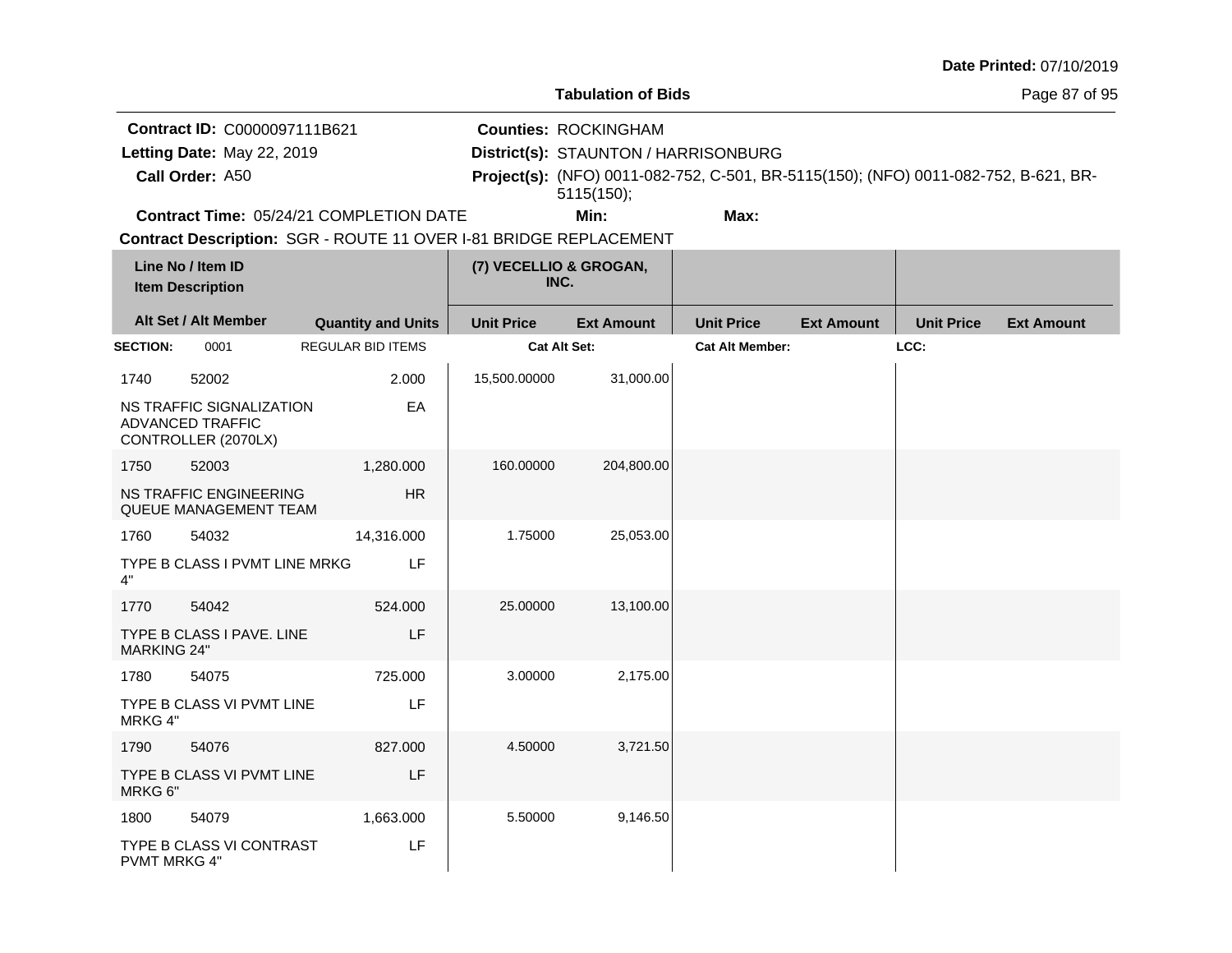| <b>Date Printed: 07/10/2019</b> |  |
|---------------------------------|--|
|---------------------------------|--|

**Contract ID:** C0000097111B621

**Call Order:**

Letting Date: May 22, 2019

**Letting Date:** May 22, 2019 **District(s): STAUNTON / HARRISONBURG** 

**Counties:** ROCKINGHAM

A50 **Project(s):** (NFO) 0011-082-752, C-501, BR-5115(150); (NFO) 0011-082-752, B-621, BR-5115(150);

**Contract Time:** 05/24/21 COMPLETION DATE

**Min: Max:**

|                    | Line No / Item ID<br><b>Item Description</b>                               |                           |            | (7) VECELLIO & GROGAN,<br>INC. |                   |                        |                   |                   |                   |
|--------------------|----------------------------------------------------------------------------|---------------------------|------------|--------------------------------|-------------------|------------------------|-------------------|-------------------|-------------------|
|                    | Alt Set / Alt Member                                                       | <b>Quantity and Units</b> |            | <b>Unit Price</b>              | <b>Ext Amount</b> | <b>Unit Price</b>      | <b>Ext Amount</b> | <b>Unit Price</b> | <b>Ext Amount</b> |
| <b>SECTION:</b>    | 0001                                                                       | <b>REGULAR BID ITEMS</b>  |            | <b>Cat Alt Set:</b>            |                   | <b>Cat Alt Member:</b> |                   | LCC:              |                   |
| 1740               | 52002                                                                      |                           | 2.000      | 15,500.00000                   | 31,000.00         |                        |                   |                   |                   |
|                    | NS TRAFFIC SIGNALIZATION<br><b>ADVANCED TRAFFIC</b><br>CONTROLLER (2070LX) |                           | EA         |                                |                   |                        |                   |                   |                   |
| 1750               | 52003                                                                      |                           | 1,280.000  | 160.00000                      | 204,800.00        |                        |                   |                   |                   |
|                    | <b>NS TRAFFIC ENGINEERING</b><br>QUEUE MANAGEMENT TEAM                     |                           | <b>HR</b>  |                                |                   |                        |                   |                   |                   |
| 1760               | 54032                                                                      |                           | 14,316.000 | 1.75000                        | 25,053.00         |                        |                   |                   |                   |
| 4"                 | TYPE B CLASS I PVMT LINE MRKG                                              |                           | LF         |                                |                   |                        |                   |                   |                   |
| 1770               | 54042                                                                      |                           | 524.000    | 25.00000                       | 13,100.00         |                        |                   |                   |                   |
| <b>MARKING 24"</b> | TYPE B CLASS I PAVE. LINE                                                  |                           | LF         |                                |                   |                        |                   |                   |                   |
| 1780               | 54075                                                                      |                           | 725.000    | 3.00000                        | 2,175.00          |                        |                   |                   |                   |
| MRKG 4"            | TYPE B CLASS VI PVMT LINE                                                  |                           | LF         |                                |                   |                        |                   |                   |                   |
| 1790               | 54076                                                                      |                           | 827.000    | 4.50000                        | 3,721.50          |                        |                   |                   |                   |
| MRKG 6"            | TYPE B CLASS VI PVMT LINE                                                  |                           | LF         |                                |                   |                        |                   |                   |                   |
| 1800               | 54079                                                                      |                           | 1,663.000  | 5.50000                        | 9,146.50          |                        |                   |                   |                   |
| PVMT MRKG 4"       | TYPE B CLASS VI CONTRAST                                                   |                           | LF         |                                |                   |                        |                   |                   |                   |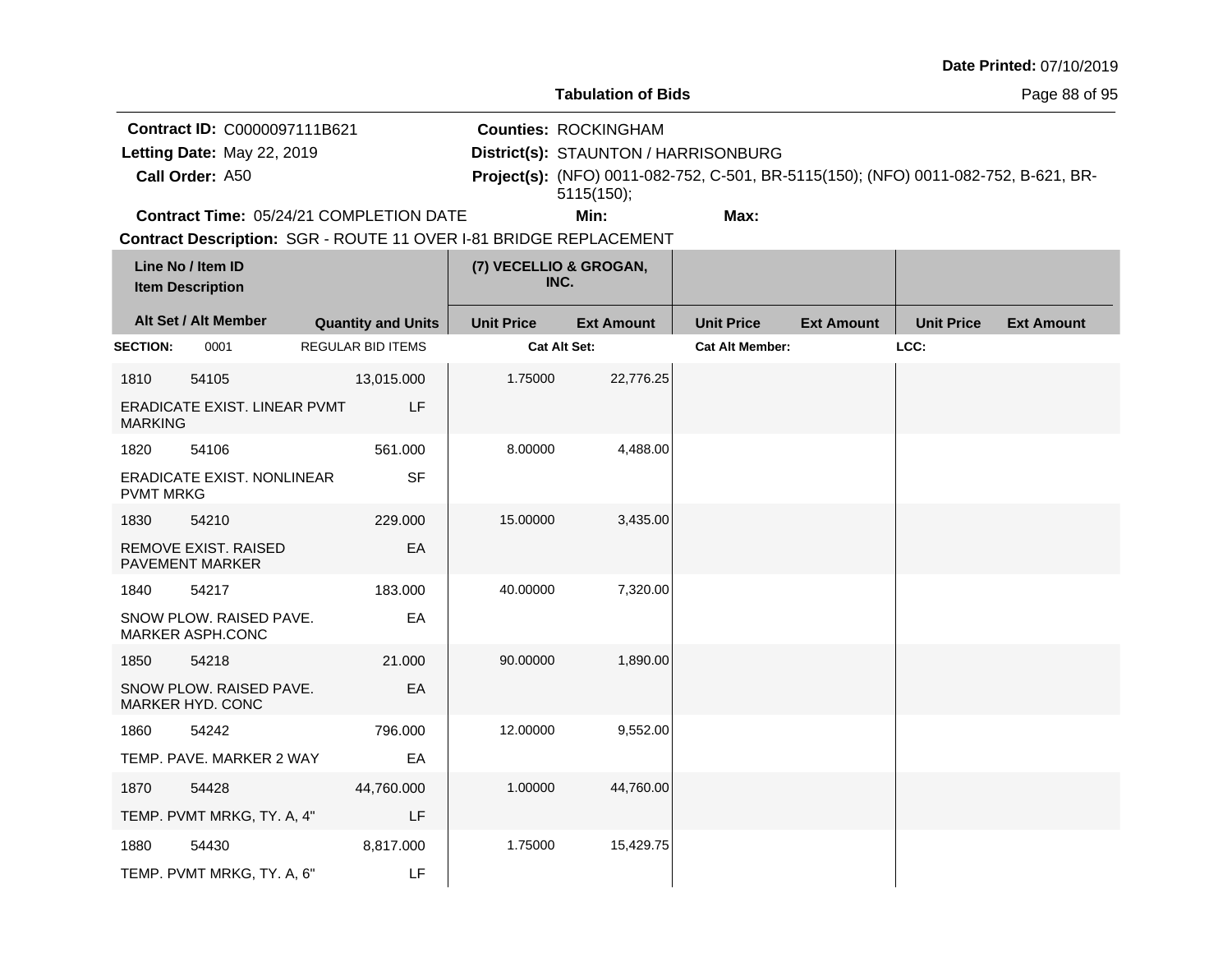|                                                                               |                                                         |                                                                   |                                                                                   |                                                                                     |                        |                   |                   | Date Printed: 07/10/2019 |
|-------------------------------------------------------------------------------|---------------------------------------------------------|-------------------------------------------------------------------|-----------------------------------------------------------------------------------|-------------------------------------------------------------------------------------|------------------------|-------------------|-------------------|--------------------------|
|                                                                               |                                                         |                                                                   |                                                                                   | <b>Tabulation of Bids</b>                                                           |                        |                   |                   | Page 88 of 95            |
| Contract ID: C0000097111B621<br>Letting Date: May 22, 2019<br>Call Order: A50 |                                                         |                                                                   | <b>Counties: ROCKINGHAM</b><br>District(s): STAUNTON / HARRISONBURG<br>5115(150); | Project(s): (NFO) 0011-082-752, C-501, BR-5115(150); (NFO) 0011-082-752, B-621, BR- |                        |                   |                   |                          |
|                                                                               |                                                         | <b>Contract Time: 05/24/21 COMPLETION DATE</b>                    |                                                                                   | Min:                                                                                | Max:                   |                   |                   |                          |
|                                                                               | Line No / Item ID<br><b>Item Description</b>            | Contract Description: SGR - ROUTE 11 OVER I-81 BRIDGE REPLACEMENT | (7) VECELLIO & GROGAN,<br>INC.                                                    |                                                                                     |                        |                   |                   |                          |
|                                                                               | Alt Set / Alt Member                                    | <b>Quantity and Units</b>                                         | <b>Unit Price</b>                                                                 | <b>Ext Amount</b>                                                                   | <b>Unit Price</b>      | <b>Ext Amount</b> | <b>Unit Price</b> | <b>Ext Amount</b>        |
| <b>SECTION:</b>                                                               | 0001                                                    | <b>REGULAR BID ITEMS</b>                                          |                                                                                   | Cat Alt Set:                                                                        | <b>Cat Alt Member:</b> |                   | LCC:              |                          |
| 1810<br><b>MARKING</b>                                                        | 54105<br>ERADICATE EXIST. LINEAR PVMT                   | 13,015.000<br>LF                                                  | 1.75000                                                                           | 22,776.25                                                                           |                        |                   |                   |                          |
| 1820<br><b>PVMT MRKG</b>                                                      | 54106<br><b>ERADICATE EXIST. NONLINEAR</b>              | 561.000<br><b>SF</b>                                              | 8.00000                                                                           | 4,488.00                                                                            |                        |                   |                   |                          |
| 1830                                                                          | 54210<br>REMOVE EXIST. RAISED<br><b>PAVEMENT MARKER</b> | 229.000<br>EA                                                     | 15.00000                                                                          | 3,435.00                                                                            |                        |                   |                   |                          |
| 1840                                                                          | 54217<br>SNOW PLOW. RAISED PAVE.<br>MARKER ASPH.CONC    | 183.000<br>EA                                                     | 40.00000                                                                          | 7,320.00                                                                            |                        |                   |                   |                          |
| 1850                                                                          | 54218<br>SNOW PLOW. RAISED PAVE.<br>MARKER HYD. CONC    | 21.000<br>EA                                                      | 90.00000                                                                          | 1,890.00                                                                            |                        |                   |                   |                          |
| 1860                                                                          | 54242<br>TEMP. PAVE. MARKER 2 WAY                       | 796.000<br>EA                                                     | 12.00000                                                                          | 9,552.00                                                                            |                        |                   |                   |                          |
| 1870                                                                          | 54428<br>TEMP. PVMT MRKG, TY. A, 4"                     | 44,760.000<br>LF                                                  | 1.00000                                                                           | 44,760.00                                                                           |                        |                   |                   |                          |
| 1880                                                                          | 54430<br>TEMP. PVMT MRKG, TY. A, 6"                     | 8,817.000<br>LF                                                   | 1.75000                                                                           | 15,429.75                                                                           |                        |                   |                   |                          |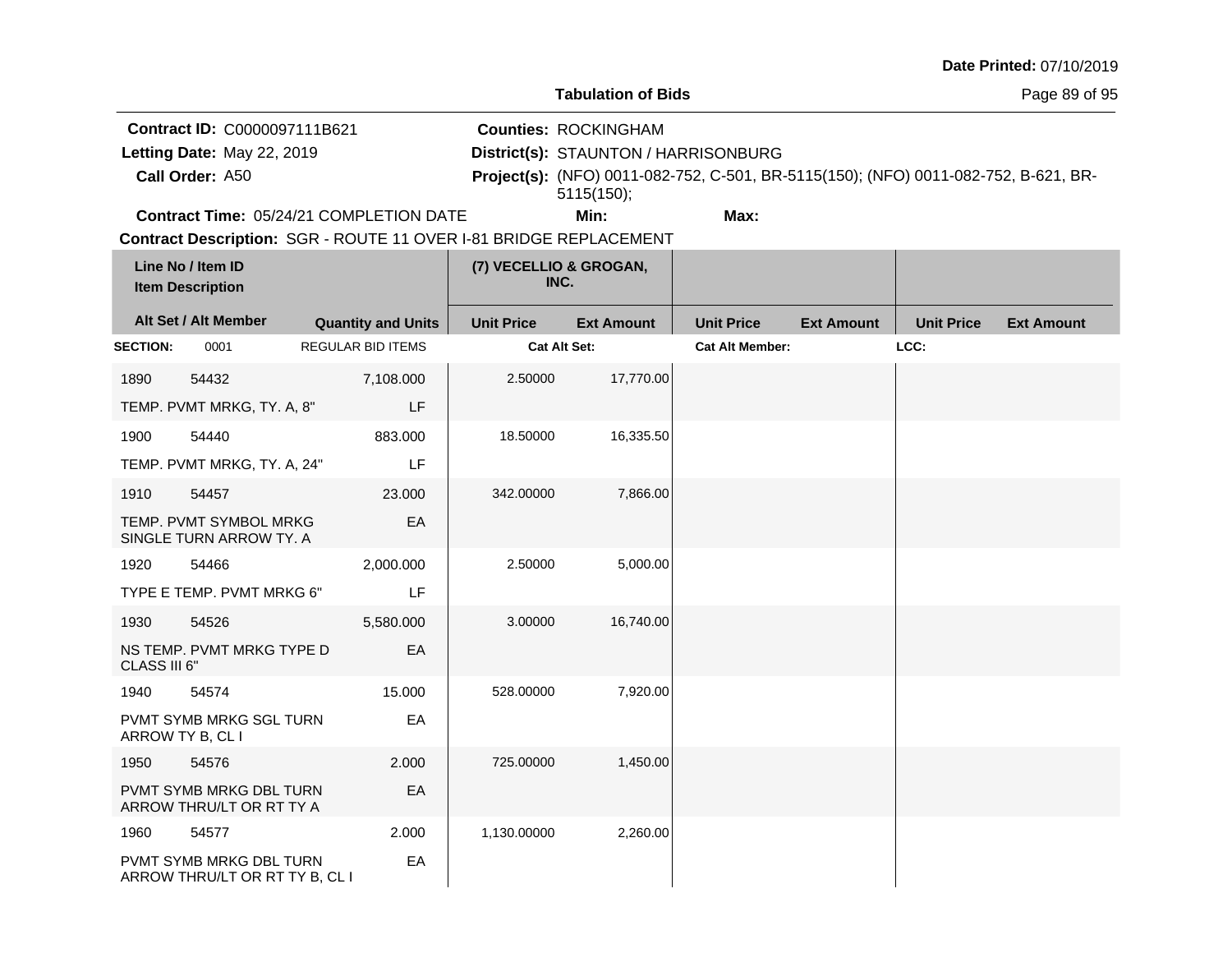|                                                                               |                                                                    |                                                                                                                     |                                |                                                                                   |                        |                                                                                     |                   | Date Printed: 07/10/2019 |  |
|-------------------------------------------------------------------------------|--------------------------------------------------------------------|---------------------------------------------------------------------------------------------------------------------|--------------------------------|-----------------------------------------------------------------------------------|------------------------|-------------------------------------------------------------------------------------|-------------------|--------------------------|--|
|                                                                               |                                                                    |                                                                                                                     |                                | <b>Tabulation of Bids</b>                                                         |                        |                                                                                     |                   | Page 89 of 95            |  |
| Contract ID: C0000097111B621<br>Letting Date: May 22, 2019<br>Call Order: A50 |                                                                    |                                                                                                                     |                                | <b>Counties: ROCKINGHAM</b><br>District(s): STAUNTON / HARRISONBURG<br>5115(150); |                        | Project(s): (NFO) 0011-082-752, C-501, BR-5115(150); (NFO) 0011-082-752, B-621, BR- |                   |                          |  |
|                                                                               |                                                                    | <b>Contract Time: 05/24/21 COMPLETION DATE</b><br>Contract Description: SGR - ROUTE 11 OVER I-81 BRIDGE REPLACEMENT |                                | Min:                                                                              | Max:                   |                                                                                     |                   |                          |  |
|                                                                               | Line No / Item ID<br><b>Item Description</b>                       |                                                                                                                     | (7) VECELLIO & GROGAN,<br>INC. |                                                                                   |                        |                                                                                     |                   |                          |  |
|                                                                               | Alt Set / Alt Member                                               | <b>Quantity and Units</b>                                                                                           | <b>Unit Price</b>              | <b>Ext Amount</b>                                                                 | <b>Unit Price</b>      | <b>Ext Amount</b>                                                                   | <b>Unit Price</b> | <b>Ext Amount</b>        |  |
| <b>SECTION:</b>                                                               | 0001                                                               | <b>REGULAR BID ITEMS</b>                                                                                            |                                | Cat Alt Set:                                                                      | <b>Cat Alt Member:</b> |                                                                                     | LCC:              |                          |  |
| 1890                                                                          | 54432<br>TEMP. PVMT MRKG, TY. A, 8"                                | 7,108.000<br>LF                                                                                                     | 2.50000                        | 17,770.00                                                                         |                        |                                                                                     |                   |                          |  |
| 1900                                                                          | 54440<br>TEMP. PVMT MRKG, TY. A, 24"                               | 883.000<br>LF                                                                                                       | 18.50000                       | 16,335.50                                                                         |                        |                                                                                     |                   |                          |  |
| 1910                                                                          | 54457<br>TEMP. PVMT SYMBOL MRKG<br>SINGLE TURN ARROW TY. A         | 23.000<br>EA                                                                                                        | 342.00000                      | 7,866.00                                                                          |                        |                                                                                     |                   |                          |  |
| 1920                                                                          | 54466<br>TYPE E TEMP. PVMT MRKG 6"                                 | 2,000.000<br>LF                                                                                                     | 2.50000                        | 5,000.00                                                                          |                        |                                                                                     |                   |                          |  |
| 1930<br>CLASS III 6"                                                          | 54526<br>NS TEMP. PVMT MRKG TYPE D                                 | 5,580.000<br>EA                                                                                                     | 3.00000                        | 16,740.00                                                                         |                        |                                                                                     |                   |                          |  |
| 1940                                                                          | 54574<br>PVMT SYMB MRKG SGL TURN<br>ARROW TY B, CL I               | 15.000<br>EA                                                                                                        | 528.00000                      | 7,920.00                                                                          |                        |                                                                                     |                   |                          |  |
| 1950                                                                          | 54576<br>PVMT SYMB MRKG DBL TURN<br>ARROW THRU/LT OR RT TY A       | 2.000<br>EA                                                                                                         | 725.00000                      | 1,450.00                                                                          |                        |                                                                                     |                   |                          |  |
| 1960                                                                          | 54577<br>PVMT SYMB MRKG DBL TURN<br>ARROW THRU/LT OR RT TY B, CL I | 2.000<br>EA                                                                                                         | 1,130.00000                    | 2,260.00                                                                          |                        |                                                                                     |                   |                          |  |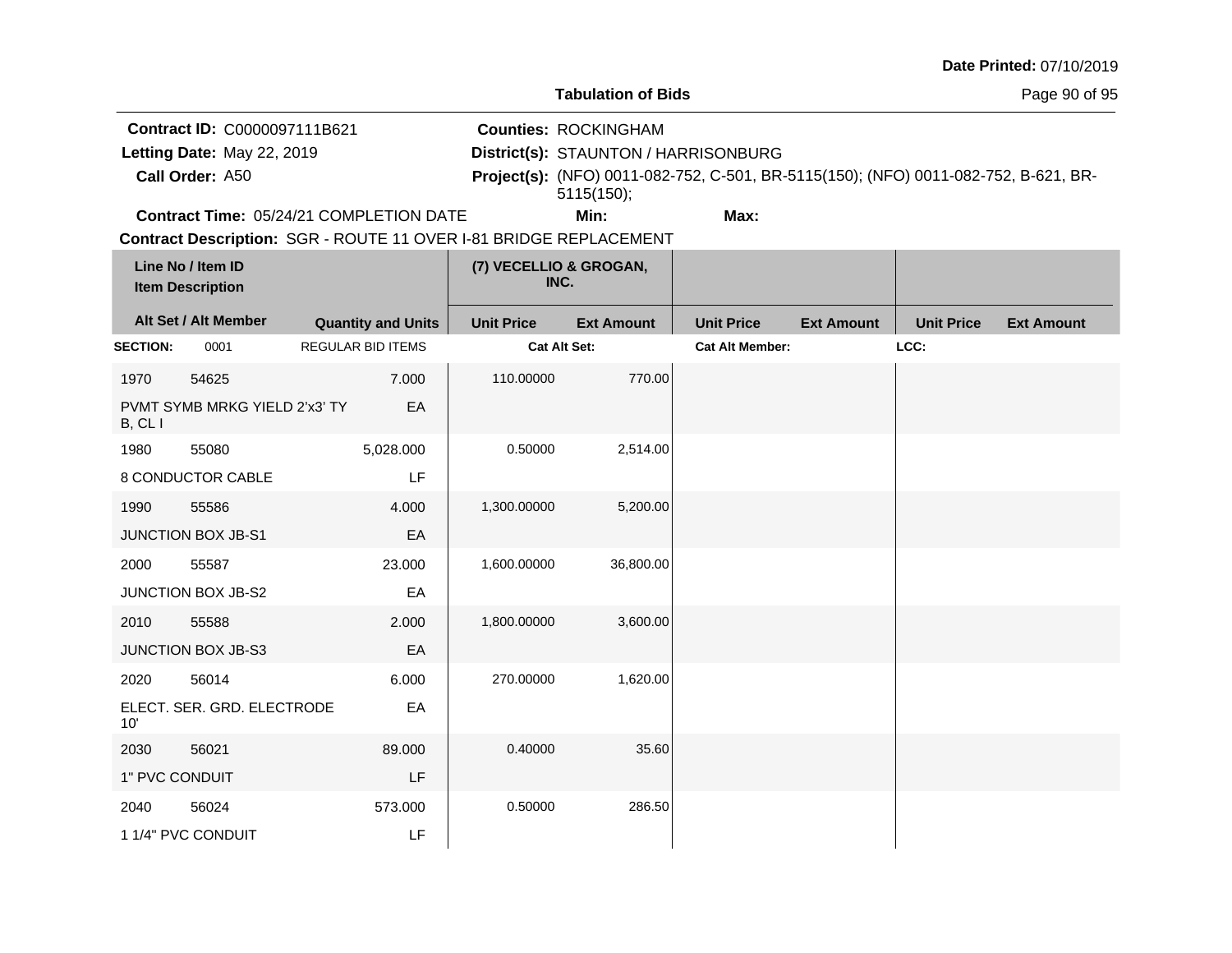|                 |                                              |                                                                   |                   |                                      |                                                                                     |                   |                   | Date Printed: 07/10/2019 |
|-----------------|----------------------------------------------|-------------------------------------------------------------------|-------------------|--------------------------------------|-------------------------------------------------------------------------------------|-------------------|-------------------|--------------------------|
|                 |                                              |                                                                   |                   | <b>Tabulation of Bids</b>            |                                                                                     |                   |                   | Page 90 of 95            |
|                 | Contract ID: C0000097111B621                 |                                                                   |                   | <b>Counties: ROCKINGHAM</b>          |                                                                                     |                   |                   |                          |
|                 | Letting Date: May 22, 2019                   |                                                                   |                   | District(s): STAUNTON / HARRISONBURG |                                                                                     |                   |                   |                          |
|                 | Call Order: A50                              |                                                                   |                   | 5115(150);                           | Project(s): (NFO) 0011-082-752, C-501, BR-5115(150); (NFO) 0011-082-752, B-621, BR- |                   |                   |                          |
|                 |                                              | Contract Time: 05/24/21 COMPLETION DATE                           |                   | Min:                                 | Max:                                                                                |                   |                   |                          |
|                 |                                              | Contract Description: SGR - ROUTE 11 OVER I-81 BRIDGE REPLACEMENT |                   |                                      |                                                                                     |                   |                   |                          |
|                 | Line No / Item ID<br><b>Item Description</b> |                                                                   |                   | (7) VECELLIO & GROGAN,<br>INC.       |                                                                                     |                   |                   |                          |
|                 | Alt Set / Alt Member                         | <b>Quantity and Units</b>                                         | <b>Unit Price</b> | <b>Ext Amount</b>                    | <b>Unit Price</b>                                                                   | <b>Ext Amount</b> | <b>Unit Price</b> | <b>Ext Amount</b>        |
| <b>SECTION:</b> | 0001                                         | <b>REGULAR BID ITEMS</b>                                          |                   | <b>Cat Alt Set:</b>                  | <b>Cat Alt Member:</b>                                                              |                   | LCC:              |                          |
| 1970            | 54625                                        | 7.000                                                             | 110.00000         | 770.00                               |                                                                                     |                   |                   |                          |
| B, CLI          | PVMT SYMB MRKG YIELD 2'x3' TY                | EA                                                                |                   |                                      |                                                                                     |                   |                   |                          |
| 1980            | 55080                                        | 5,028.000                                                         | 0.50000           | 2,514.00                             |                                                                                     |                   |                   |                          |
|                 | 8 CONDUCTOR CABLE                            | LF                                                                |                   |                                      |                                                                                     |                   |                   |                          |
| 1990            | 55586                                        | 4.000                                                             | 1,300.00000       | 5,200.00                             |                                                                                     |                   |                   |                          |
|                 | <b>JUNCTION BOX JB-S1</b>                    | EA                                                                |                   |                                      |                                                                                     |                   |                   |                          |
| 2000            | 55587                                        | 23.000                                                            | 1,600.00000       | 36,800.00                            |                                                                                     |                   |                   |                          |
|                 | <b>JUNCTION BOX JB-S2</b>                    | EA                                                                |                   |                                      |                                                                                     |                   |                   |                          |
| 2010            | 55588                                        | 2.000                                                             | 1,800.00000       | 3,600.00                             |                                                                                     |                   |                   |                          |
|                 | JUNCTION BOX JB-S3                           | EA                                                                |                   |                                      |                                                                                     |                   |                   |                          |
| 2020            | 56014                                        | 6.000                                                             | 270.00000         | 1,620.00                             |                                                                                     |                   |                   |                          |
| 10'             | ELECT. SER. GRD. ELECTRODE                   | EA                                                                |                   |                                      |                                                                                     |                   |                   |                          |
| 2030            | 56021                                        | 89,000                                                            | 0.40000           | 35.60                                |                                                                                     |                   |                   |                          |
| 1" PVC CONDUIT  |                                              | LF                                                                |                   |                                      |                                                                                     |                   |                   |                          |
| 2040            | 56024                                        | 573.000                                                           | 0.50000           | 286.50                               |                                                                                     |                   |                   |                          |
|                 | 1 1/4" PVC CONDUIT                           | LF                                                                |                   |                                      |                                                                                     |                   |                   |                          |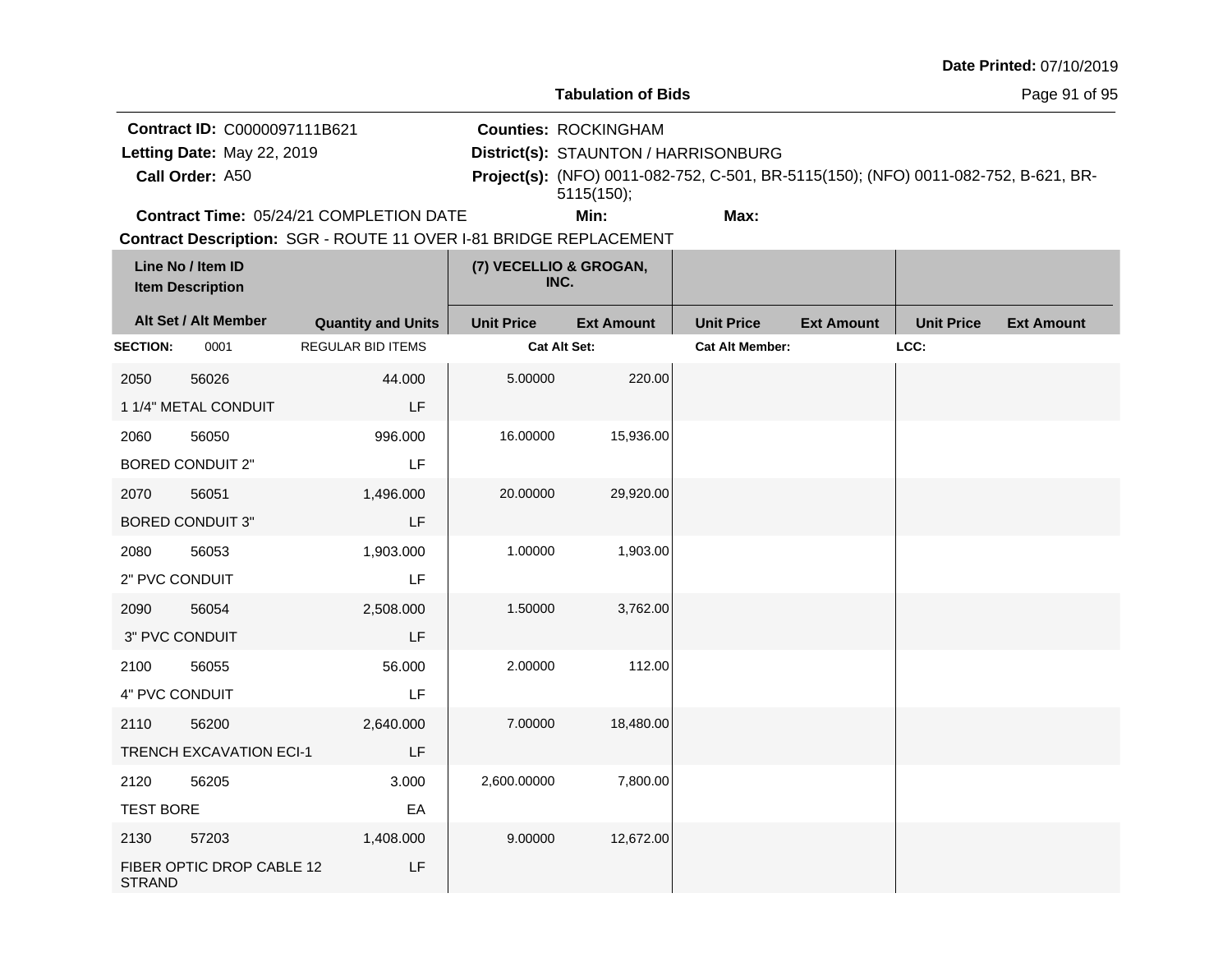|                                                                               |                                              |                                                                                                              |                                | <b>Tabulation of Bids</b>                                                         |                                                                                     |                   |                   | Page 91 of 95     |
|-------------------------------------------------------------------------------|----------------------------------------------|--------------------------------------------------------------------------------------------------------------|--------------------------------|-----------------------------------------------------------------------------------|-------------------------------------------------------------------------------------|-------------------|-------------------|-------------------|
| Contract ID: C0000097111B621<br>Letting Date: May 22, 2019<br>Call Order: A50 |                                              |                                                                                                              |                                | <b>Counties: ROCKINGHAM</b><br>District(s): STAUNTON / HARRISONBURG<br>5115(150); | Project(s): (NFO) 0011-082-752, C-501, BR-5115(150); (NFO) 0011-082-752, B-621, BR- |                   |                   |                   |
|                                                                               |                                              | Contract Time: 05/24/21 COMPLETION DATE<br>Contract Description: SGR - ROUTE 11 OVER I-81 BRIDGE REPLACEMENT |                                | Min:                                                                              | Max:                                                                                |                   |                   |                   |
|                                                                               | Line No / Item ID<br><b>Item Description</b> |                                                                                                              | (7) VECELLIO & GROGAN,<br>INC. |                                                                                   |                                                                                     |                   |                   |                   |
|                                                                               | Alt Set / Alt Member                         | <b>Quantity and Units</b>                                                                                    | <b>Unit Price</b>              | <b>Ext Amount</b>                                                                 | <b>Unit Price</b>                                                                   | <b>Ext Amount</b> | <b>Unit Price</b> | <b>Ext Amount</b> |
| <b>SECTION:</b>                                                               | 0001                                         | <b>REGULAR BID ITEMS</b>                                                                                     | <b>Cat Alt Set:</b>            |                                                                                   | <b>Cat Alt Member:</b>                                                              |                   | LCC:              |                   |
| 2050                                                                          | 56026<br>1 1/4" METAL CONDUIT                | 44.000<br>LF                                                                                                 | 5.00000                        | 220.00                                                                            |                                                                                     |                   |                   |                   |
| 2060                                                                          | 56050<br><b>BORED CONDUIT 2"</b>             | 996.000<br>LF                                                                                                | 16.00000                       | 15,936.00                                                                         |                                                                                     |                   |                   |                   |
| 2070                                                                          | 56051<br><b>BORED CONDUIT 3"</b>             | 1,496.000<br>LF                                                                                              | 20.00000                       | 29,920.00                                                                         |                                                                                     |                   |                   |                   |
| 2080<br>2" PVC CONDUIT                                                        | 56053                                        | 1,903.000<br>LF                                                                                              | 1.00000                        | 1,903.00                                                                          |                                                                                     |                   |                   |                   |
| 2090                                                                          | 56054<br>3" PVC CONDUIT                      | 2,508.000<br>LF                                                                                              | 1.50000                        | 3,762.00                                                                          |                                                                                     |                   |                   |                   |
| 2100<br>4" PVC CONDUIT                                                        | 56055                                        | 56.000<br>LF                                                                                                 | 2.00000                        | 112.00                                                                            |                                                                                     |                   |                   |                   |
| 2110                                                                          | 56200<br><b>TRENCH EXCAVATION ECI-1</b>      | 2,640.000<br>LF                                                                                              | 7.00000                        | 18,480.00                                                                         |                                                                                     |                   |                   |                   |
| 2120<br><b>TEST BORE</b>                                                      | 56205                                        | 3.000<br>EA                                                                                                  | 2,600.00000                    | 7,800.00                                                                          |                                                                                     |                   |                   |                   |
| 2130<br><b>STRAND</b>                                                         | 57203<br>FIBER OPTIC DROP CABLE 12           | 1,408.000<br>LF                                                                                              | 9.00000                        | 12,672.00                                                                         |                                                                                     |                   |                   |                   |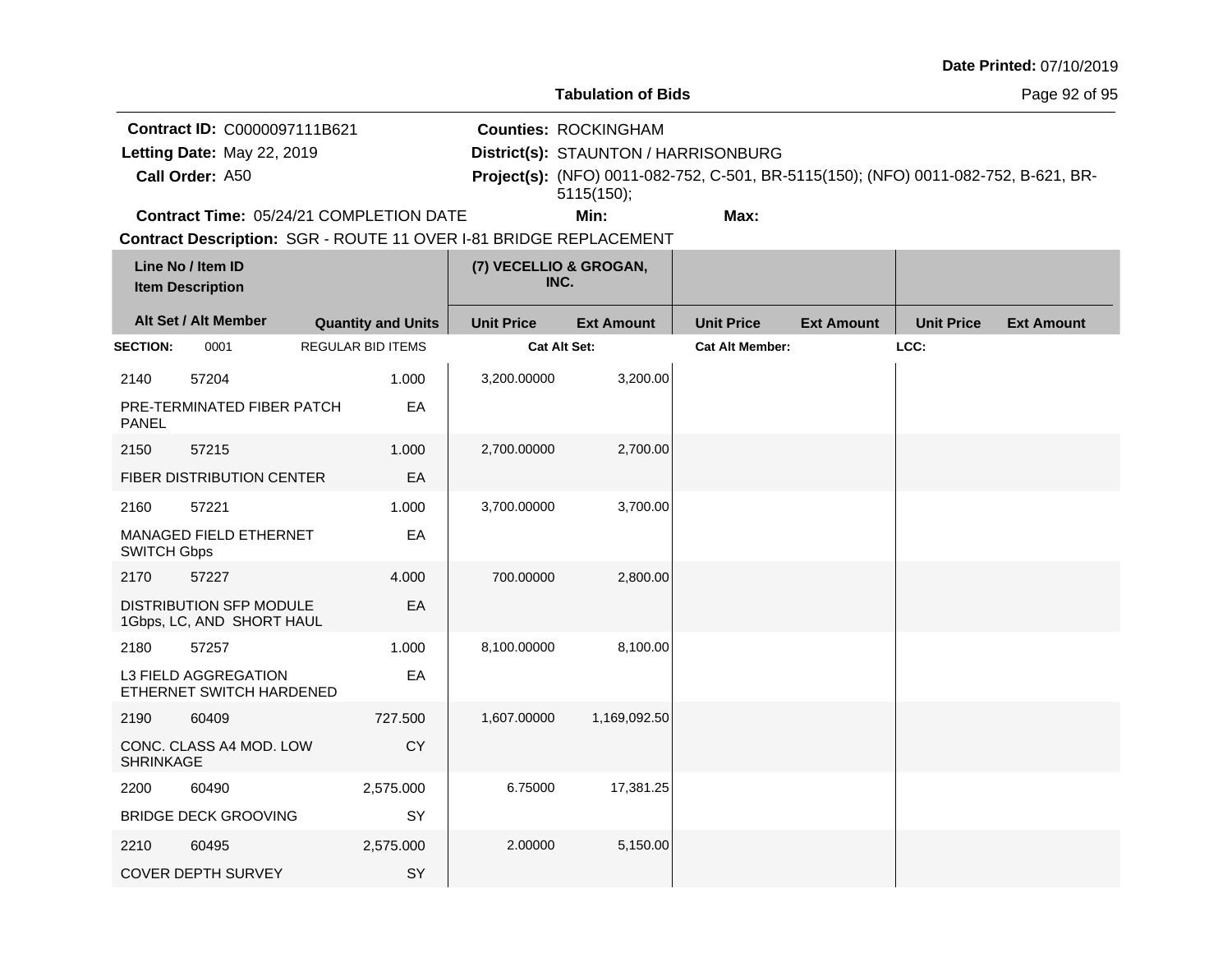| <b>Date Printed: 07/10/2019</b> |  |
|---------------------------------|--|
|---------------------------------|--|

**Contract ID:** C0000097111B621

**Call Order:**

Letting Date: May 22, 2019

**Letting Date:** May 22, 2019 **District(s): STAUNTON / HARRISONBURG** 

**Counties:** ROCKINGHAM

A50 **Project(s):** (NFO) 0011-082-752, C-501, BR-5115(150); (NFO) 0011-082-752, B-621, BR-5115(150);

**Contract Time:** 05/24/21 COMPLETION DATE

**Min: Max:**

|                    | Line No / Item ID<br><b>Item Description</b>                |                           | (7) VECELLIO & GROGAN,<br>INC. |                   |                        |                   |                   |                   |
|--------------------|-------------------------------------------------------------|---------------------------|--------------------------------|-------------------|------------------------|-------------------|-------------------|-------------------|
|                    | Alt Set / Alt Member                                        | <b>Quantity and Units</b> | <b>Unit Price</b>              | <b>Ext Amount</b> | <b>Unit Price</b>      | <b>Ext Amount</b> | <b>Unit Price</b> | <b>Ext Amount</b> |
| <b>SECTION:</b>    | 0001                                                        | <b>REGULAR BID ITEMS</b>  | Cat Alt Set:                   |                   | <b>Cat Alt Member:</b> |                   | LCC:              |                   |
| 2140               | 57204                                                       | 1.000                     | 3,200.00000                    | 3,200.00          |                        |                   |                   |                   |
| <b>PANEL</b>       | PRE-TERMINATED FIBER PATCH                                  | EA                        |                                |                   |                        |                   |                   |                   |
| 2150               | 57215                                                       | 1.000                     | 2,700.00000                    | 2,700.00          |                        |                   |                   |                   |
|                    | <b>FIBER DISTRIBUTION CENTER</b>                            | EA                        |                                |                   |                        |                   |                   |                   |
| 2160               | 57221                                                       | 1.000                     | 3,700.00000                    | 3,700.00          |                        |                   |                   |                   |
| <b>SWITCH Gbps</b> | MANAGED FIELD ETHERNET                                      | EA                        |                                |                   |                        |                   |                   |                   |
| 2170               | 57227                                                       | 4.000                     | 700.00000                      | 2,800.00          |                        |                   |                   |                   |
|                    | <b>DISTRIBUTION SFP MODULE</b><br>1Gbps, LC, AND SHORT HAUL | EA                        |                                |                   |                        |                   |                   |                   |
| 2180               | 57257                                                       | 1.000                     | 8,100.00000                    | 8,100.00          |                        |                   |                   |                   |
|                    | L3 FIELD AGGREGATION<br>ETHERNET SWITCH HARDENED            | EA                        |                                |                   |                        |                   |                   |                   |
| 2190               | 60409                                                       | 727.500                   | 1,607.00000                    | 1,169,092.50      |                        |                   |                   |                   |
| <b>SHRINKAGE</b>   | CONC. CLASS A4 MOD. LOW                                     | <b>CY</b>                 |                                |                   |                        |                   |                   |                   |
| 2200               | 60490                                                       | 2,575.000                 | 6.75000                        | 17,381.25         |                        |                   |                   |                   |
|                    | <b>BRIDGE DECK GROOVING</b>                                 | SY                        |                                |                   |                        |                   |                   |                   |
| 2210               | 60495                                                       | 2,575.000                 | 2.00000                        | 5,150.00          |                        |                   |                   |                   |
|                    | <b>COVER DEPTH SURVEY</b>                                   | SY                        |                                |                   |                        |                   |                   |                   |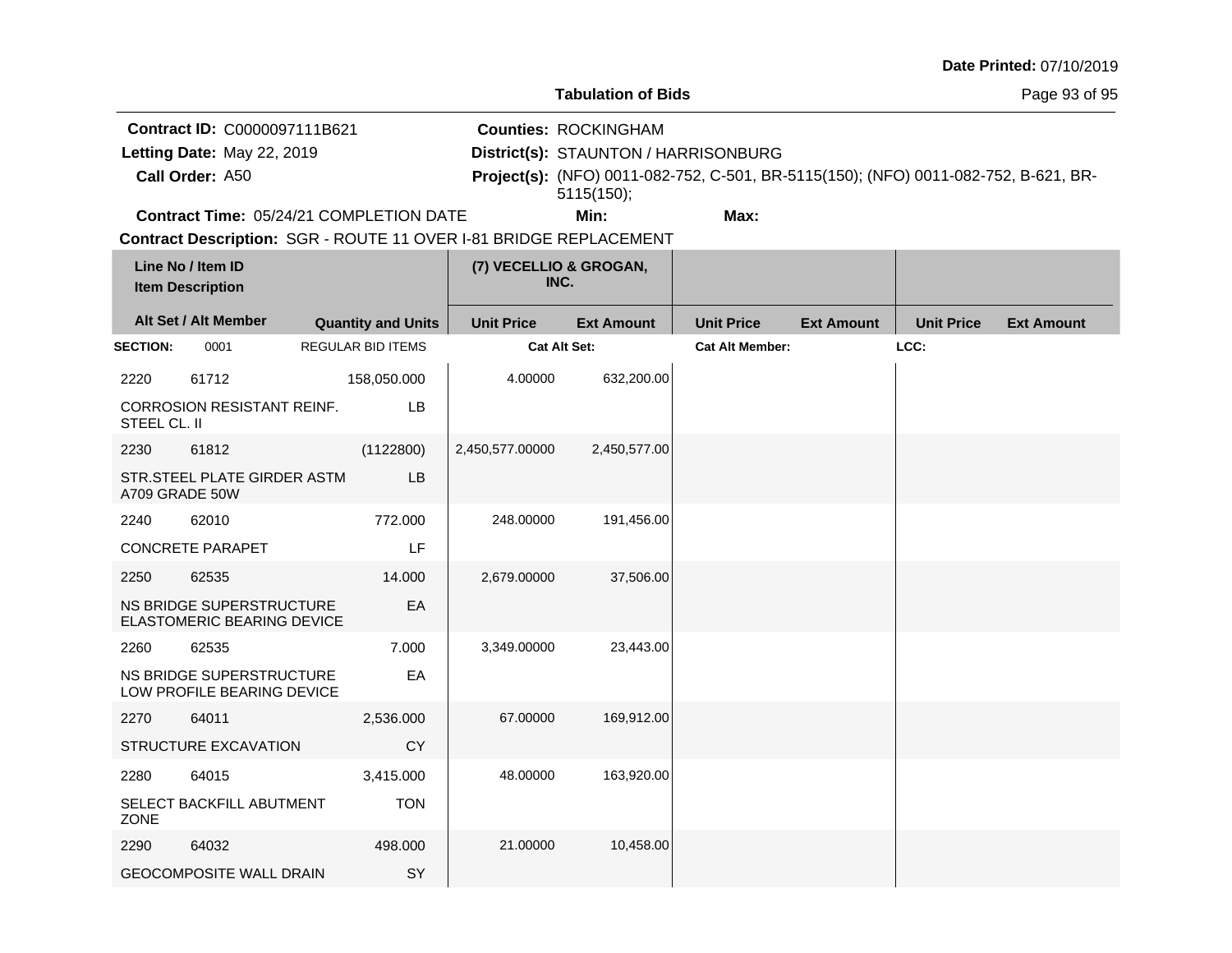| Date Printed: 07/10/2019 |  |
|--------------------------|--|
|--------------------------|--|

Page 93 of 95

**Contract ID:** C0000097111B621

**Call Order:**

Letting Date: May 22, 2019

**Letting Date:** May 22, 2019 **District(s): STAUNTON / HARRISONBURG** 

**Counties:** ROCKINGHAM

A50 **Project(s):** (NFO) 0011-082-752, C-501, BR-5115(150); (NFO) 0011-082-752, B-621, BR-5115(150);

**Contract Time:** 05/24/21 COMPLETION DATE

**Min: Max:**

|                 | Line No / Item ID<br><b>Item Description</b>           |                           | (7) VECELLIO & GROGAN,<br>INC. |                   |                        |                   |                   |                   |
|-----------------|--------------------------------------------------------|---------------------------|--------------------------------|-------------------|------------------------|-------------------|-------------------|-------------------|
|                 | Alt Set / Alt Member                                   | <b>Quantity and Units</b> | <b>Unit Price</b>              | <b>Ext Amount</b> | <b>Unit Price</b>      | <b>Ext Amount</b> | <b>Unit Price</b> | <b>Ext Amount</b> |
| <b>SECTION:</b> | 0001                                                   | <b>REGULAR BID ITEMS</b>  | <b>Cat Alt Set:</b>            |                   | <b>Cat Alt Member:</b> |                   | LCC:              |                   |
| 2220            | 61712                                                  | 158,050.000               | 4.00000                        | 632,200.00        |                        |                   |                   |                   |
| STEEL CL. II    | CORROSION RESISTANT REINF.                             | LB                        |                                |                   |                        |                   |                   |                   |
| 2230            | 61812                                                  | (1122800)                 | 2,450,577.00000                | 2,450,577.00      |                        |                   |                   |                   |
| A709 GRADE 50W  | STR.STEEL PLATE GIRDER ASTM                            | LB                        |                                |                   |                        |                   |                   |                   |
| 2240            | 62010                                                  | 772.000                   | 248.00000                      | 191,456.00        |                        |                   |                   |                   |
|                 | <b>CONCRETE PARAPET</b>                                | LF                        |                                |                   |                        |                   |                   |                   |
| 2250            | 62535                                                  | 14.000                    | 2,679.00000                    | 37,506.00         |                        |                   |                   |                   |
|                 | NS BRIDGE SUPERSTRUCTURE<br>ELASTOMERIC BEARING DEVICE | EA                        |                                |                   |                        |                   |                   |                   |
| 2260            | 62535                                                  | 7.000                     | 3,349.00000                    | 23,443.00         |                        |                   |                   |                   |
|                 | NS BRIDGE SUPERSTRUCTURE<br>LOW PROFILE BEARING DEVICE | EA                        |                                |                   |                        |                   |                   |                   |
| 2270            | 64011                                                  | 2,536.000                 | 67.00000                       | 169,912.00        |                        |                   |                   |                   |
|                 | <b>STRUCTURE EXCAVATION</b>                            | <b>CY</b>                 |                                |                   |                        |                   |                   |                   |
| 2280            | 64015                                                  | 3,415.000                 | 48.00000                       | 163,920.00        |                        |                   |                   |                   |
| ZONE            | SELECT BACKFILL ABUTMENT                               | <b>TON</b>                |                                |                   |                        |                   |                   |                   |
| 2290            | 64032                                                  | 498,000                   | 21.00000                       | 10,458.00         |                        |                   |                   |                   |
|                 | <b>GEOCOMPOSITE WALL DRAIN</b>                         | SY                        |                                |                   |                        |                   |                   |                   |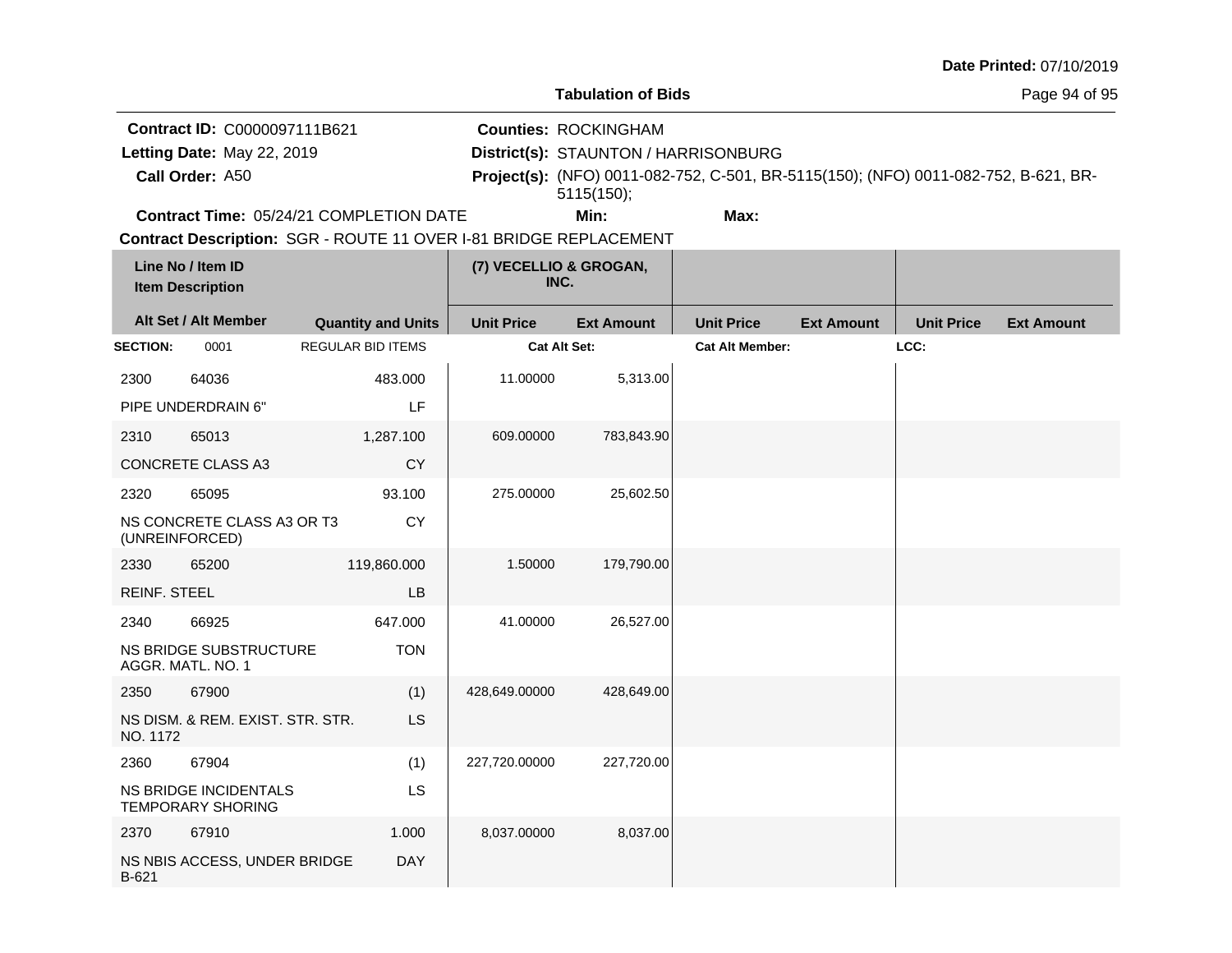|  |  | <b>Date Printed: 07/10/2019</b> |
|--|--|---------------------------------|
|--|--|---------------------------------|

Page 94 of 95

**Contract ID:** C0000097111B621 Letting Date: May 22, 2019

**Call Order:**

**Letting Date:** May 22, 2019 **District(s): STAUNTON / HARRISONBURG** 

**Counties:** ROCKINGHAM

A50 **Project(s):** (NFO) 0011-082-752, C-501, BR-5115(150); (NFO) 0011-082-752, B-621, BR-5115(150);

**Contract Time:** 05/24/21 COMPLETION DATE

**Min: Max:**

|                     | Line No / Item ID<br><b>Item Description</b>      |                           | (7) VECELLIO & GROGAN,<br>INC. |                   |                        |                   |                   |                   |
|---------------------|---------------------------------------------------|---------------------------|--------------------------------|-------------------|------------------------|-------------------|-------------------|-------------------|
|                     | Alt Set / Alt Member                              | <b>Quantity and Units</b> | <b>Unit Price</b>              | <b>Ext Amount</b> | <b>Unit Price</b>      | <b>Ext Amount</b> | <b>Unit Price</b> | <b>Ext Amount</b> |
| <b>SECTION:</b>     | 0001                                              | <b>REGULAR BID ITEMS</b>  | Cat Alt Set:                   |                   | <b>Cat Alt Member:</b> |                   | LCC:              |                   |
| 2300                | 64036                                             | 483.000                   | 11.00000                       | 5,313.00          |                        |                   |                   |                   |
|                     | PIPE UNDERDRAIN 6"                                | LF                        |                                |                   |                        |                   |                   |                   |
| 2310                | 65013                                             | 1,287.100                 | 609.00000                      | 783,843.90        |                        |                   |                   |                   |
|                     | CONCRETE CLASS A3                                 | <b>CY</b>                 |                                |                   |                        |                   |                   |                   |
| 2320                | 65095                                             | 93.100                    | 275.00000                      | 25,602.50         |                        |                   |                   |                   |
| (UNREINFORCED)      | NS CONCRETE CLASS A3 OR T3                        | <b>CY</b>                 |                                |                   |                        |                   |                   |                   |
| 2330                | 65200                                             | 119,860.000               | 1.50000                        | 179,790.00        |                        |                   |                   |                   |
| <b>REINF. STEEL</b> |                                                   | <b>LB</b>                 |                                |                   |                        |                   |                   |                   |
| 2340                | 66925                                             | 647.000                   | 41.00000                       | 26,527.00         |                        |                   |                   |                   |
|                     | NS BRIDGE SUBSTRUCTURE<br>AGGR. MATL. NO. 1       | <b>TON</b>                |                                |                   |                        |                   |                   |                   |
| 2350                | 67900                                             | (1)                       | 428,649.00000                  | 428,649.00        |                        |                   |                   |                   |
| NO. 1172            | NS DISM. & REM. EXIST. STR. STR.                  | LS                        |                                |                   |                        |                   |                   |                   |
| 2360                | 67904                                             | (1)                       | 227,720.00000                  | 227,720.00        |                        |                   |                   |                   |
|                     | NS BRIDGE INCIDENTALS<br><b>TEMPORARY SHORING</b> | LS                        |                                |                   |                        |                   |                   |                   |
| 2370                | 67910                                             | 1.000                     | 8,037.00000                    | 8,037.00          |                        |                   |                   |                   |
| B-621               | NS NBIS ACCESS, UNDER BRIDGE                      | <b>DAY</b>                |                                |                   |                        |                   |                   |                   |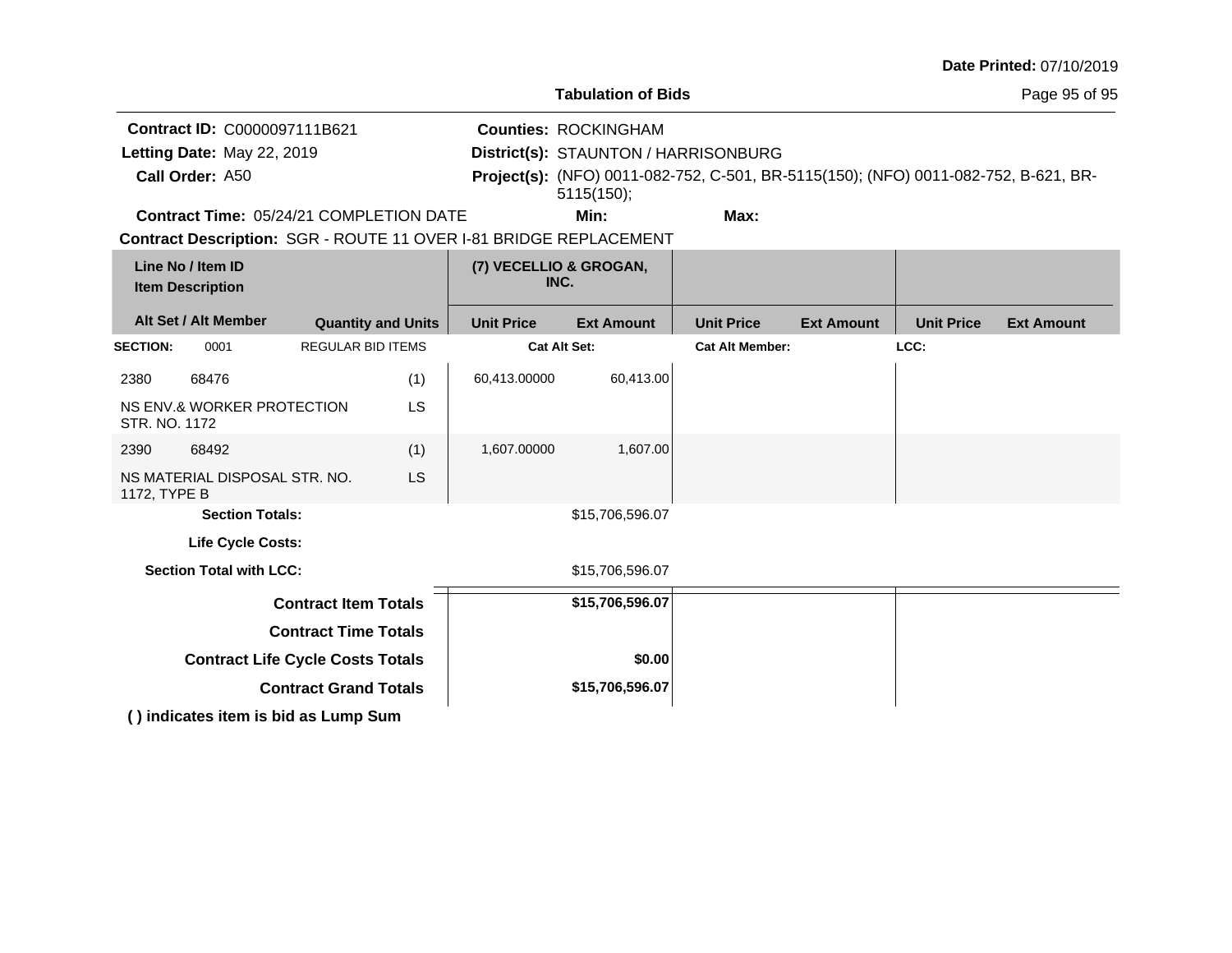|                                                                   |                                         |                                |                     |                                      |                                                                                     |                   |                   | Date Printed: 07/10/2019 |
|-------------------------------------------------------------------|-----------------------------------------|--------------------------------|---------------------|--------------------------------------|-------------------------------------------------------------------------------------|-------------------|-------------------|--------------------------|
|                                                                   |                                         |                                |                     | <b>Tabulation of Bids</b>            |                                                                                     |                   |                   | Page 95 of 95            |
| Contract ID: C0000097111B621                                      |                                         |                                |                     | <b>Counties: ROCKINGHAM</b>          |                                                                                     |                   |                   |                          |
| Letting Date: May 22, 2019                                        |                                         |                                |                     | District(s): STAUNTON / HARRISONBURG |                                                                                     |                   |                   |                          |
| Call Order: A50                                                   |                                         |                                |                     | 5115(150);                           | Project(s): (NFO) 0011-082-752, C-501, BR-5115(150); (NFO) 0011-082-752, B-621, BR- |                   |                   |                          |
| Contract Time: 05/24/21 COMPLETION DATE                           |                                         |                                |                     | Min:                                 | Max:                                                                                |                   |                   |                          |
| Contract Description: SGR - ROUTE 11 OVER I-81 BRIDGE REPLACEMENT |                                         |                                |                     |                                      |                                                                                     |                   |                   |                          |
| Line No / Item ID<br><b>Item Description</b>                      |                                         | (7) VECELLIO & GROGAN,<br>INC. |                     |                                      |                                                                                     |                   |                   |                          |
| Alt Set / Alt Member                                              | <b>Quantity and Units</b>               |                                | <b>Unit Price</b>   | <b>Ext Amount</b>                    | <b>Unit Price</b>                                                                   | <b>Ext Amount</b> | <b>Unit Price</b> | <b>Ext Amount</b>        |
| <b>SECTION:</b><br>0001                                           | <b>REGULAR BID ITEMS</b>                |                                | <b>Cat Alt Set:</b> |                                      | <b>Cat Alt Member:</b>                                                              |                   | LCC:              |                          |
| 2380<br>68476                                                     |                                         | (1)                            | 60,413.00000        | 60,413.00                            |                                                                                     |                   |                   |                          |
| NS ENV.& WORKER PROTECTION<br>STR. NO. 1172                       |                                         | <b>LS</b>                      |                     |                                      |                                                                                     |                   |                   |                          |
| 2390<br>68492                                                     |                                         | (1)                            | 1,607.00000         | 1,607.00                             |                                                                                     |                   |                   |                          |
| NS MATERIAL DISPOSAL STR. NO.<br>1172, TYPE B                     |                                         | <b>LS</b>                      |                     |                                      |                                                                                     |                   |                   |                          |
| <b>Section Totals:</b>                                            |                                         |                                |                     | \$15,706,596.07                      |                                                                                     |                   |                   |                          |
| <b>Life Cycle Costs:</b>                                          |                                         |                                |                     |                                      |                                                                                     |                   |                   |                          |
| <b>Section Total with LCC:</b>                                    |                                         |                                |                     | \$15,706,596.07                      |                                                                                     |                   |                   |                          |
|                                                                   | <b>Contract Item Totals</b>             |                                |                     | \$15,706,596.07                      |                                                                                     |                   |                   |                          |
|                                                                   | <b>Contract Time Totals</b>             |                                |                     |                                      |                                                                                     |                   |                   |                          |
|                                                                   | <b>Contract Life Cycle Costs Totals</b> |                                |                     | \$0.00                               |                                                                                     |                   |                   |                          |
|                                                                   | <b>Contract Grand Totals</b>            |                                |                     | \$15,706,596.07                      |                                                                                     |                   |                   |                          |
| () indicates item is bid as Lump Sum                              |                                         |                                |                     |                                      |                                                                                     |                   |                   |                          |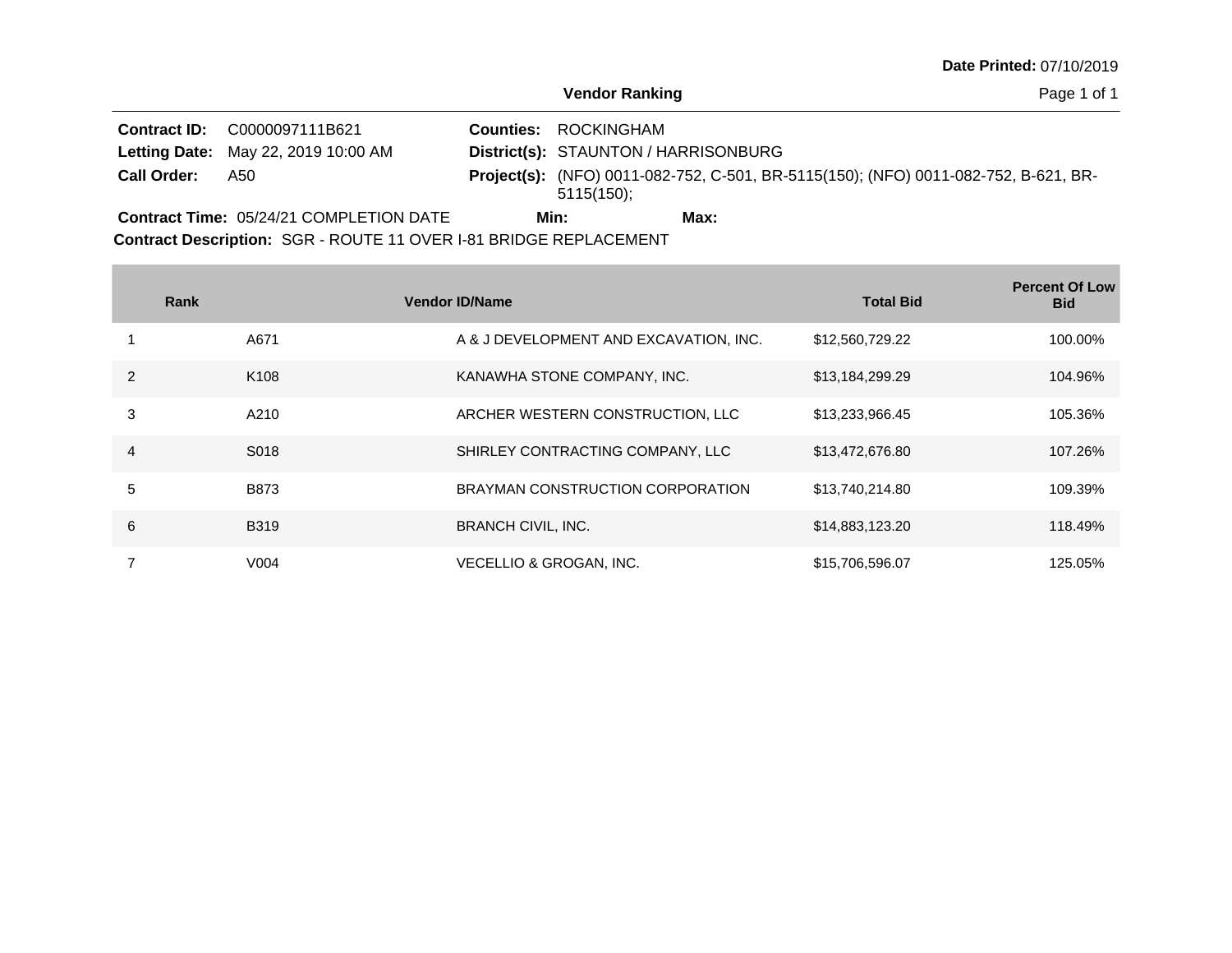**Vendor Ranking**

Page 1 of 1

|                    | <b>Contract ID: C0000097111B621</b>        | <b>Counties: ROCKINGHAM</b>                                                                              |
|--------------------|--------------------------------------------|----------------------------------------------------------------------------------------------------------|
|                    | <b>Letting Date:</b> May 22, 2019 10:00 AM | District(s): STAUNTON / HARRISONBURG                                                                     |
| <b>Call Order:</b> | A50                                        | <b>Project(s):</b> (NFO) 0011-082-752, C-501, BR-5115(150); (NFO) 0011-082-752, B-621, BR-<br>5115(150); |
|                    | Contract Time: 05/24/21 COMPLETION DATE    | Min:<br>Max:                                                                                             |

**Contract Description: SGR - ROUTE 11 OVER I-81 BRIDGE REPLACEMENT** 

**Contract Contract** 

|   | Rank             | <b>Vendor ID/Name</b>                  | <b>Total Bid</b> | <b>Percent Of Low</b><br><b>Bid</b> |
|---|------------------|----------------------------------------|------------------|-------------------------------------|
|   | A671             | A & J DEVELOPMENT AND EXCAVATION, INC. | \$12,560,729.22  | 100.00%                             |
| 2 | K <sub>108</sub> | KANAWHA STONE COMPANY, INC.            | \$13,184,299.29  | 104.96%                             |
| 3 | A210             | ARCHER WESTERN CONSTRUCTION, LLC       | \$13,233,966.45  | 105.36%                             |
| 4 | S018             | SHIRLEY CONTRACTING COMPANY, LLC       | \$13,472,676.80  | 107.26%                             |
| 5 | <b>B873</b>      | BRAYMAN CONSTRUCTION CORPORATION       | \$13,740,214.80  | 109.39%                             |
| 6 | <b>B319</b>      | <b>BRANCH CIVIL, INC.</b>              | \$14,883,123.20  | 118.49%                             |
|   | V <sub>004</sub> | VECELLIO & GROGAN, INC.                | \$15,706,596.07  | 125.05%                             |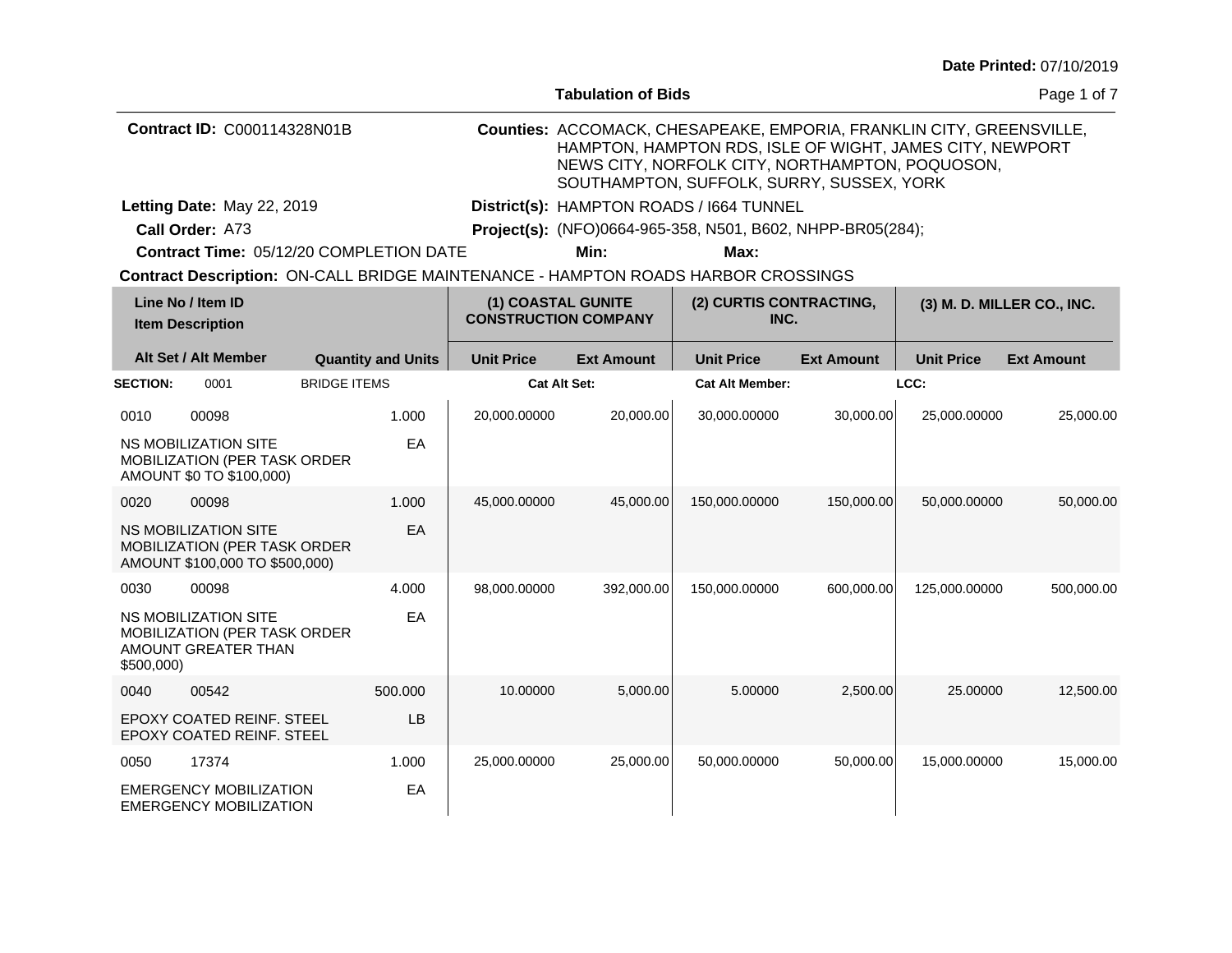|                 |                                                                                               |                     |                           |                                                   | <b>Tabulation of Bids</b> |                                                                                                                                                                                                                                  |                   |                   | Page 1 of 7                |
|-----------------|-----------------------------------------------------------------------------------------------|---------------------|---------------------------|---------------------------------------------------|---------------------------|----------------------------------------------------------------------------------------------------------------------------------------------------------------------------------------------------------------------------------|-------------------|-------------------|----------------------------|
|                 | Contract ID: C000114328N01B                                                                   |                     |                           |                                                   |                           | Counties: ACCOMACK, CHESAPEAKE, EMPORIA, FRANKLIN CITY, GREENSVILLE,<br>HAMPTON, HAMPTON RDS, ISLE OF WIGHT, JAMES CITY, NEWPORT<br>NEWS CITY, NORFOLK CITY, NORTHAMPTON, POQUOSON,<br>SOUTHAMPTON, SUFFOLK, SURRY, SUSSEX, YORK |                   |                   |                            |
|                 | Letting Date: May 22, 2019                                                                    |                     |                           |                                                   |                           | District(s): HAMPTON ROADS / 1664 TUNNEL                                                                                                                                                                                         |                   |                   |                            |
|                 | Call Order: A73                                                                               |                     |                           |                                                   |                           | Project(s): (NFO)0664-965-358, N501, B602, NHPP-BR05(284);                                                                                                                                                                       |                   |                   |                            |
|                 | Contract Time: 05/12/20 COMPLETION DATE                                                       |                     |                           |                                                   | Min:                      | Max:                                                                                                                                                                                                                             |                   |                   |                            |
|                 |                                                                                               |                     |                           |                                                   |                           | Contract Description: ON-CALL BRIDGE MAINTENANCE - HAMPTON ROADS HARBOR CROSSINGS                                                                                                                                                |                   |                   |                            |
|                 | Line No / Item ID<br><b>Item Description</b>                                                  |                     |                           | (1) COASTAL GUNITE<br><b>CONSTRUCTION COMPANY</b> |                           | (2) CURTIS CONTRACTING,<br>INC.                                                                                                                                                                                                  |                   |                   | (3) M. D. MILLER CO., INC. |
|                 | Alt Set / Alt Member                                                                          |                     | <b>Quantity and Units</b> | <b>Unit Price</b>                                 | <b>Ext Amount</b>         | <b>Unit Price</b>                                                                                                                                                                                                                | <b>Ext Amount</b> | <b>Unit Price</b> | <b>Ext Amount</b>          |
| <b>SECTION:</b> | 0001                                                                                          | <b>BRIDGE ITEMS</b> |                           | <b>Cat Alt Set:</b>                               |                           | <b>Cat Alt Member:</b>                                                                                                                                                                                                           |                   | LCC:              |                            |
| 0010            | 00098                                                                                         |                     | 1.000                     | 20,000.00000                                      | 20,000.00                 | 30,000.00000                                                                                                                                                                                                                     | 30,000.00         | 25,000.00000      | 25,000.00                  |
|                 | <b>NS MOBILIZATION SITE</b><br>MOBILIZATION (PER TASK ORDER<br>AMOUNT \$0 TO \$100,000)       |                     | EA                        |                                                   |                           |                                                                                                                                                                                                                                  |                   |                   |                            |
| 0020            | 00098                                                                                         |                     | 1.000                     | 45,000.00000                                      | 45,000.00                 | 150,000.00000                                                                                                                                                                                                                    | 150,000.00        | 50.000.00000      | 50,000.00                  |
|                 | <b>NS MOBILIZATION SITE</b><br>MOBILIZATION (PER TASK ORDER<br>AMOUNT \$100,000 TO \$500,000) |                     | EA                        |                                                   |                           |                                                                                                                                                                                                                                  |                   |                   |                            |
| 0030            | 00098                                                                                         |                     | 4.000                     | 98,000.00000                                      | 392,000.00                | 150,000.00000                                                                                                                                                                                                                    | 600,000.00        | 125,000.00000     | 500,000.00                 |
| \$500,000)      | NS MOBILIZATION SITE<br>MOBILIZATION (PER TASK ORDER<br>AMOUNT GREATER THAN                   |                     | EA                        |                                                   |                           |                                                                                                                                                                                                                                  |                   |                   |                            |
| 0040            | 00542                                                                                         |                     | 500.000                   | 10.00000                                          | 5,000.00                  | 5.00000                                                                                                                                                                                                                          | 2,500.00          | 25.00000          | 12,500.00                  |
|                 | EPOXY COATED REINF. STEEL<br>EPOXY COATED REINF. STEEL                                        |                     | LB                        |                                                   |                           |                                                                                                                                                                                                                                  |                   |                   |                            |
| 0050            | 17374                                                                                         |                     | 1.000                     | 25,000.00000                                      | 25,000.00                 | 50,000.00000                                                                                                                                                                                                                     | 50,000.00         | 15,000.00000      | 15,000.00                  |
|                 | <b>EMERGENCY MOBILIZATION</b><br><b>EMERGENCY MOBILIZATION</b>                                |                     | EA                        |                                                   |                           |                                                                                                                                                                                                                                  |                   |                   |                            |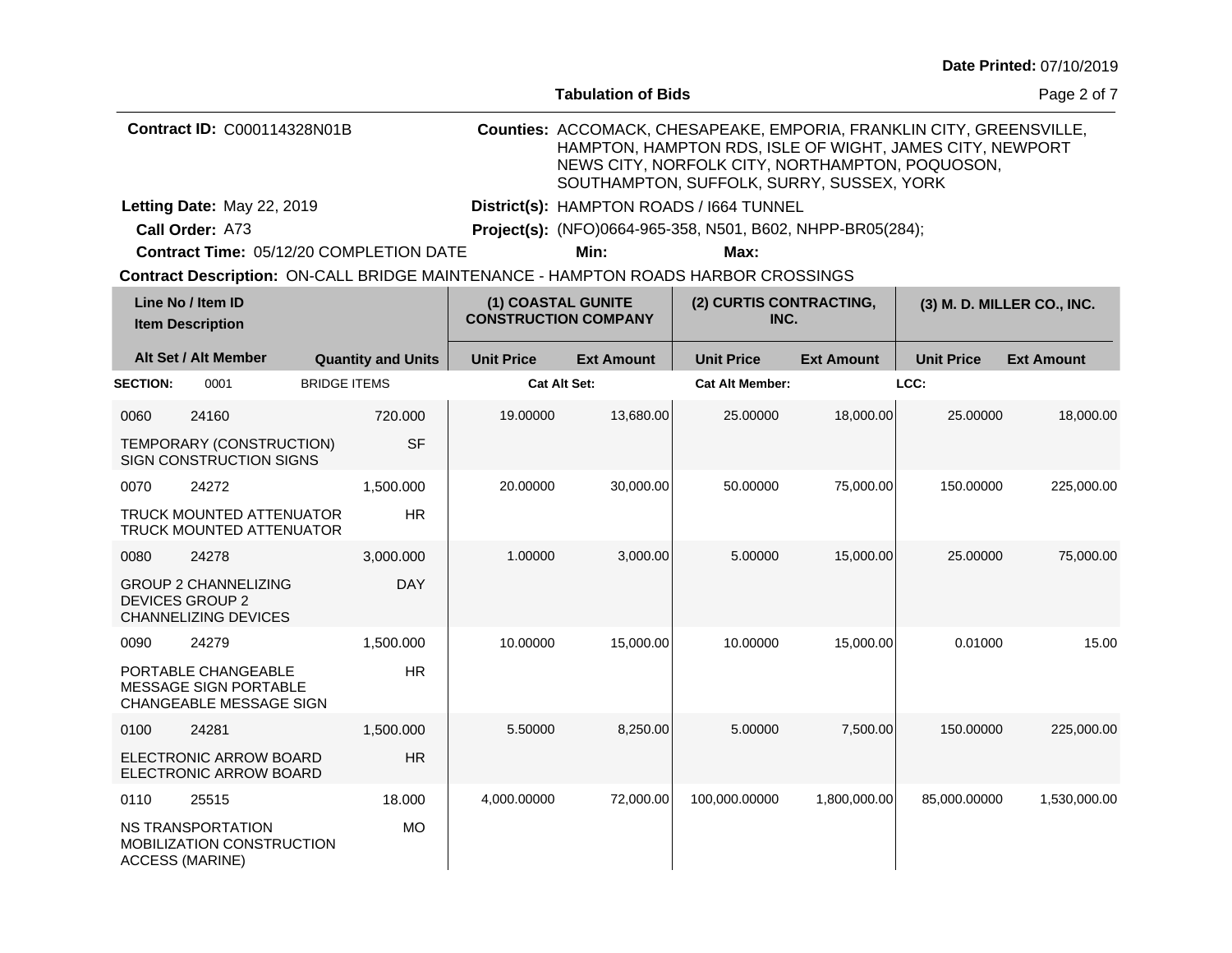| Date Printed: 07/10/2019 |  |
|--------------------------|--|
|--------------------------|--|

|                                    |                                                                                      |                     |                           |                                                   | <b>Tabulation of Bids</b> |                                                                                                                                                                                                                                  |                   |                   | Page 2 of 7                |
|------------------------------------|--------------------------------------------------------------------------------------|---------------------|---------------------------|---------------------------------------------------|---------------------------|----------------------------------------------------------------------------------------------------------------------------------------------------------------------------------------------------------------------------------|-------------------|-------------------|----------------------------|
| <b>Contract ID: C000114328N01B</b> |                                                                                      |                     |                           |                                                   |                           | Counties: ACCOMACK, CHESAPEAKE, EMPORIA, FRANKLIN CITY, GREENSVILLE,<br>HAMPTON, HAMPTON RDS, ISLE OF WIGHT, JAMES CITY, NEWPORT<br>NEWS CITY, NORFOLK CITY, NORTHAMPTON, POQUOSON,<br>SOUTHAMPTON, SUFFOLK, SURRY, SUSSEX, YORK |                   |                   |                            |
|                                    | Letting Date: May 22, 2019                                                           |                     |                           |                                                   |                           | District(s): HAMPTON ROADS / 1664 TUNNEL                                                                                                                                                                                         |                   |                   |                            |
|                                    | Call Order: A73                                                                      |                     |                           |                                                   |                           | Project(s): (NFO)0664-965-358, N501, B602, NHPP-BR05(284);                                                                                                                                                                       |                   |                   |                            |
|                                    | Contract Time: 05/12/20 COMPLETION DATE                                              |                     |                           |                                                   | Min:                      | Max:                                                                                                                                                                                                                             |                   |                   |                            |
|                                    |                                                                                      |                     |                           |                                                   |                           | Contract Description: ON-CALL BRIDGE MAINTENANCE - HAMPTON ROADS HARBOR CROSSINGS                                                                                                                                                |                   |                   |                            |
|                                    | Line No / Item ID<br><b>Item Description</b>                                         |                     |                           | (1) COASTAL GUNITE<br><b>CONSTRUCTION COMPANY</b> |                           | (2) CURTIS CONTRACTING,<br>INC.                                                                                                                                                                                                  |                   |                   | (3) M. D. MILLER CO., INC. |
|                                    | Alt Set / Alt Member                                                                 |                     | <b>Quantity and Units</b> | <b>Unit Price</b>                                 | <b>Ext Amount</b>         | <b>Unit Price</b>                                                                                                                                                                                                                | <b>Ext Amount</b> | <b>Unit Price</b> | <b>Ext Amount</b>          |
| <b>SECTION:</b>                    | 0001                                                                                 | <b>BRIDGE ITEMS</b> |                           | <b>Cat Alt Set:</b>                               |                           | <b>Cat Alt Member:</b>                                                                                                                                                                                                           |                   | LCC:              |                            |
| 0060                               | 24160                                                                                |                     | 720.000                   | 19.00000                                          | 13,680.00                 | 25.00000                                                                                                                                                                                                                         | 18,000.00         | 25.00000          | 18,000.00                  |
|                                    | TEMPORARY (CONSTRUCTION)<br><b>SIGN CONSTRUCTION SIGNS</b>                           |                     | <b>SF</b>                 |                                                   |                           |                                                                                                                                                                                                                                  |                   |                   |                            |
| 0070                               | 24272                                                                                |                     | 1,500.000                 | 20.00000                                          | 30,000.00                 | 50.00000                                                                                                                                                                                                                         | 75,000.00         | 150.00000         | 225,000.00                 |
|                                    | TRUCK MOUNTED ATTENUATOR<br><b>TRUCK MOUNTED ATTENUATOR</b>                          |                     | <b>HR</b>                 |                                                   |                           |                                                                                                                                                                                                                                  |                   |                   |                            |
| 0080                               | 24278                                                                                |                     | 3,000.000                 | 1.00000                                           | 3,000.00                  | 5.00000                                                                                                                                                                                                                          | 15,000.00         | 25.00000          | 75,000.00                  |
|                                    | <b>GROUP 2 CHANNELIZING</b><br><b>DEVICES GROUP 2</b><br><b>CHANNELIZING DEVICES</b> |                     | <b>DAY</b>                |                                                   |                           |                                                                                                                                                                                                                                  |                   |                   |                            |
| 0090                               | 24279                                                                                |                     | 1,500.000                 | 10.00000                                          | 15,000.00                 | 10.00000                                                                                                                                                                                                                         | 15,000.00         | 0.01000           | 15.00                      |
|                                    | PORTABLE CHANGEABLE<br>MESSAGE SIGN PORTABLE<br>CHANGEABLE MESSAGE SIGN              |                     | <b>HR</b>                 |                                                   |                           |                                                                                                                                                                                                                                  |                   |                   |                            |
| 0100                               | 24281                                                                                |                     | 1,500.000                 | 5.50000                                           | 8,250.00                  | 5.00000                                                                                                                                                                                                                          | 7,500.00          | 150.00000         | 225,000.00                 |
|                                    | <b>ELECTRONIC ARROW BOARD</b><br>ELECTRONIC ARROW BOARD                              |                     | HR                        |                                                   |                           |                                                                                                                                                                                                                                  |                   |                   |                            |
| 0110                               | 25515                                                                                |                     | 18.000                    | 4,000.00000                                       | 72,000.00                 | 100,000.00000                                                                                                                                                                                                                    | 1,800,000.00      | 85,000.00000      | 1,530,000.00               |
|                                    | NS TRANSPORTATION                                                                    |                     | <b>MO</b>                 |                                                   |                           |                                                                                                                                                                                                                                  |                   |                   |                            |

NS TRANSPORTATION MOBILIZATION CONSTRUCTION ACCESS (MARINE)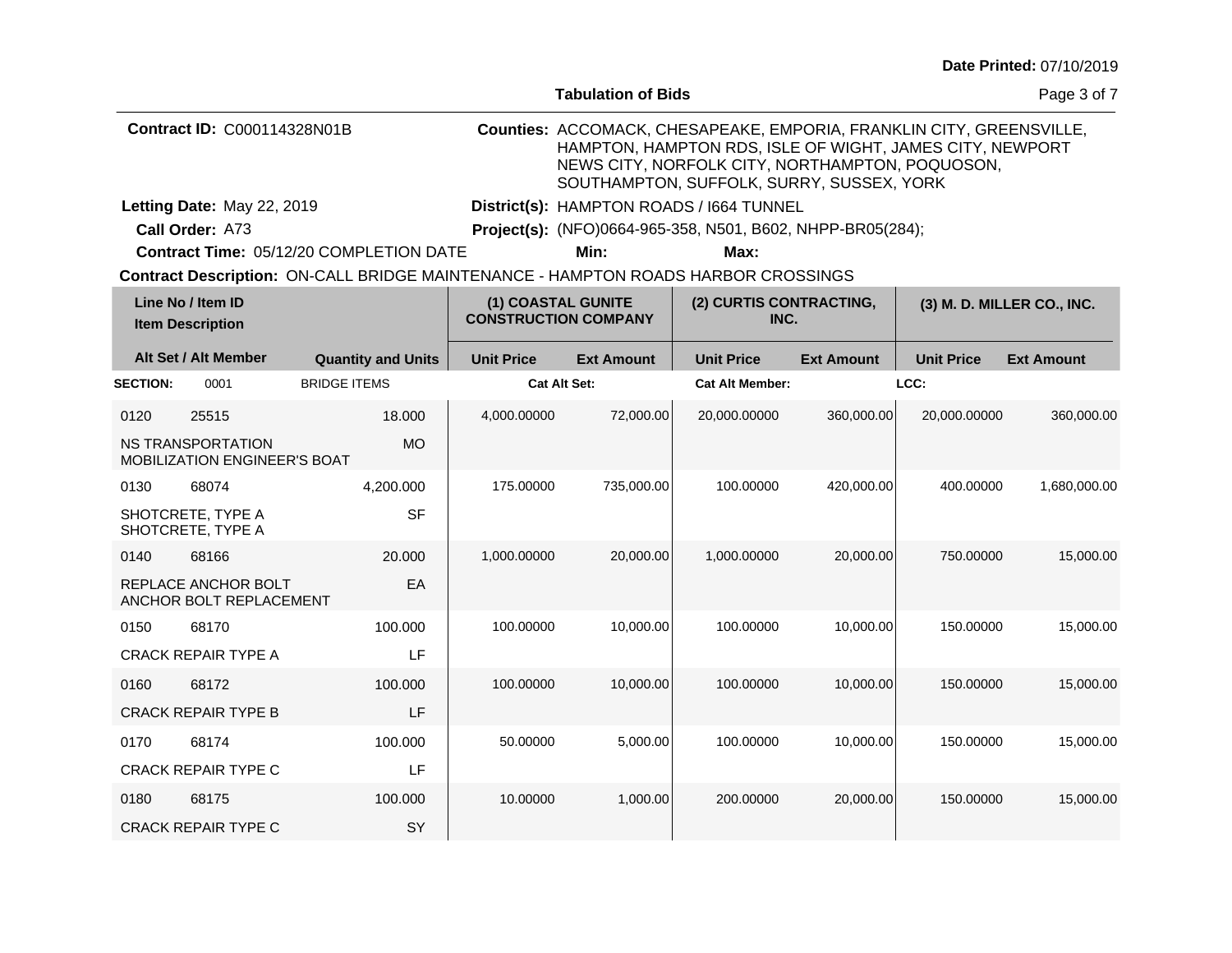| Date Printed: 07/10/2019 |  |
|--------------------------|--|
|--------------------------|--|

|                                    |                                                   |                     |                           |                                                   | <b>Tabulation of Bids</b> |                                                                                                                                                                                                                                  |                   |                            | Page 3 of 7       |
|------------------------------------|---------------------------------------------------|---------------------|---------------------------|---------------------------------------------------|---------------------------|----------------------------------------------------------------------------------------------------------------------------------------------------------------------------------------------------------------------------------|-------------------|----------------------------|-------------------|
| <b>Contract ID: C000114328N01B</b> |                                                   |                     |                           |                                                   |                           | Counties: ACCOMACK, CHESAPEAKE, EMPORIA, FRANKLIN CITY, GREENSVILLE,<br>HAMPTON, HAMPTON RDS, ISLE OF WIGHT, JAMES CITY, NEWPORT<br>NEWS CITY, NORFOLK CITY, NORTHAMPTON, POQUOSON,<br>SOUTHAMPTON, SUFFOLK, SURRY, SUSSEX, YORK |                   |                            |                   |
|                                    | Letting Date: May 22, 2019                        |                     |                           |                                                   |                           | District(s): HAMPTON ROADS / 1664 TUNNEL                                                                                                                                                                                         |                   |                            |                   |
|                                    | Call Order: A73                                   |                     |                           |                                                   |                           | Project(s): (NFO)0664-965-358, N501, B602, NHPP-BR05(284);                                                                                                                                                                       |                   |                            |                   |
|                                    | Contract Time: 05/12/20 COMPLETION DATE           |                     |                           |                                                   | Min:                      | Max:                                                                                                                                                                                                                             |                   |                            |                   |
|                                    |                                                   |                     |                           |                                                   |                           | Contract Description: ON-CALL BRIDGE MAINTENANCE - HAMPTON ROADS HARBOR CROSSINGS                                                                                                                                                |                   |                            |                   |
|                                    | Line No / Item ID<br><b>Item Description</b>      |                     |                           | (1) COASTAL GUNITE<br><b>CONSTRUCTION COMPANY</b> |                           | (2) CURTIS CONTRACTING,<br>INC.                                                                                                                                                                                                  |                   | (3) M. D. MILLER CO., INC. |                   |
|                                    | Alt Set / Alt Member                              |                     | <b>Quantity and Units</b> | <b>Unit Price</b>                                 | <b>Ext Amount</b>         | <b>Unit Price</b>                                                                                                                                                                                                                | <b>Ext Amount</b> | <b>Unit Price</b>          | <b>Ext Amount</b> |
| <b>SECTION:</b>                    | 0001                                              | <b>BRIDGE ITEMS</b> |                           | <b>Cat Alt Set:</b>                               |                           | <b>Cat Alt Member:</b>                                                                                                                                                                                                           |                   | LCC:                       |                   |
| 0120                               | 25515                                             |                     | 18.000                    | 4,000.00000                                       | 72,000.00                 | 20,000.00000                                                                                                                                                                                                                     | 360,000.00        | 20,000.00000               | 360,000.00        |
|                                    | NS TRANSPORTATION<br>MOBILIZATION ENGINEER'S BOAT |                     | MO.                       |                                                   |                           |                                                                                                                                                                                                                                  |                   |                            |                   |
| 0130                               | 68074                                             |                     | 4,200.000                 | 175.00000                                         | 735,000.00                | 100.00000                                                                                                                                                                                                                        | 420,000.00        | 400.00000                  | 1,680,000.00      |
|                                    | SHOTCRETE, TYPE A<br>SHOTCRETE, TYPE A            |                     | <b>SF</b>                 |                                                   |                           |                                                                                                                                                                                                                                  |                   |                            |                   |
| 0140                               | 68166                                             |                     | 20,000                    | 1,000.00000                                       | 20,000.00                 | 1,000.00000                                                                                                                                                                                                                      | 20,000.00         | 750.00000                  | 15,000.00         |
|                                    | REPLACE ANCHOR BOLT<br>ANCHOR BOLT REPLACEMENT    |                     | EA                        |                                                   |                           |                                                                                                                                                                                                                                  |                   |                            |                   |
| 0150                               | 68170                                             |                     | 100.000                   | 100.00000                                         | 10,000.00                 | 100.00000                                                                                                                                                                                                                        | 10,000.00         | 150.00000                  | 15,000.00         |
|                                    | <b>CRACK REPAIR TYPE A</b>                        |                     | LF                        |                                                   |                           |                                                                                                                                                                                                                                  |                   |                            |                   |
| 0160                               | 68172                                             |                     | 100.000                   | 100.00000                                         | 10,000.00                 | 100.00000                                                                                                                                                                                                                        | 10,000.00         | 150.00000                  | 15,000.00         |
|                                    | <b>CRACK REPAIR TYPE B</b>                        |                     | LF                        |                                                   |                           |                                                                                                                                                                                                                                  |                   |                            |                   |
| 0170                               | 68174                                             |                     | 100.000                   | 50.00000                                          | 5,000.00                  | 100.00000                                                                                                                                                                                                                        | 10,000.00         | 150,00000                  | 15,000.00         |
|                                    | <b>CRACK REPAIR TYPE C</b>                        |                     | LF                        |                                                   |                           |                                                                                                                                                                                                                                  |                   |                            |                   |
| 0180                               | 68175                                             |                     | 100.000                   | 10.00000                                          | 1,000.00                  | 200.00000                                                                                                                                                                                                                        | 20,000.00         | 150.00000                  | 15,000.00         |
|                                    | <b>CRACK REPAIR TYPE C</b>                        |                     | SY                        |                                                   |                           |                                                                                                                                                                                                                                  |                   |                            |                   |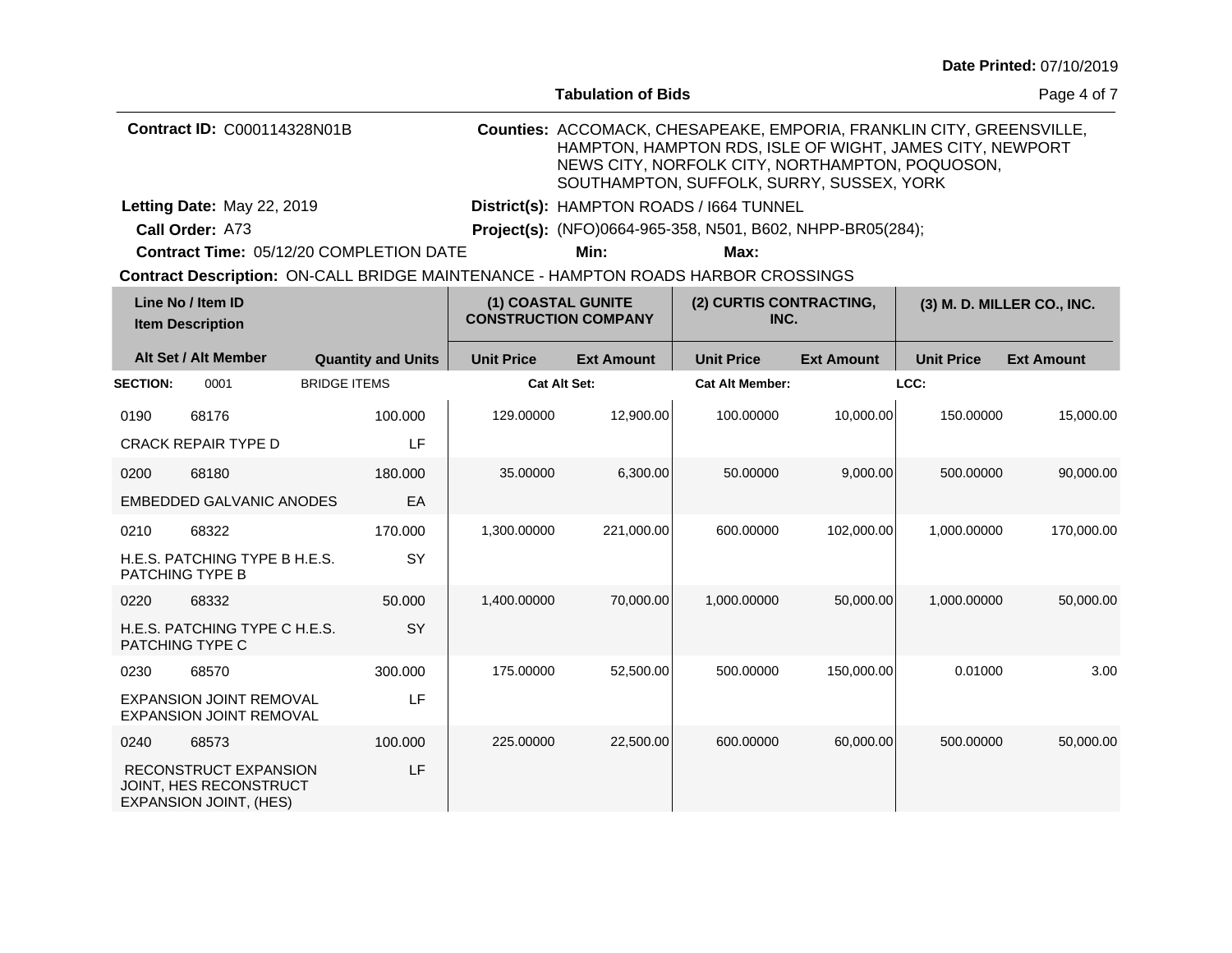| Date Printed: 07/10/2019 |  |
|--------------------------|--|
|--------------------------|--|

|                                              |                                                                  |                                                                                   |                     | <b>Tabulation of Bids</b>                         |                                                                                                                                                                                                                                  |                                 |                            | Page 4 of 7       |
|----------------------------------------------|------------------------------------------------------------------|-----------------------------------------------------------------------------------|---------------------|---------------------------------------------------|----------------------------------------------------------------------------------------------------------------------------------------------------------------------------------------------------------------------------------|---------------------------------|----------------------------|-------------------|
|                                              | <b>Contract ID: C000114328N01B</b>                               |                                                                                   |                     |                                                   | Counties: ACCOMACK, CHESAPEAKE, EMPORIA, FRANKLIN CITY, GREENSVILLE,<br>HAMPTON, HAMPTON RDS, ISLE OF WIGHT, JAMES CITY, NEWPORT<br>NEWS CITY, NORFOLK CITY, NORTHAMPTON, POQUOSON,<br>SOUTHAMPTON, SUFFOLK, SURRY, SUSSEX, YORK |                                 |                            |                   |
|                                              | Letting Date: May 22, 2019                                       |                                                                                   |                     |                                                   | District(s): HAMPTON ROADS / 1664 TUNNEL                                                                                                                                                                                         |                                 |                            |                   |
|                                              | Call Order: A73                                                  |                                                                                   |                     |                                                   | Project(s): (NFO)0664-965-358, N501, B602, NHPP-BR05(284);                                                                                                                                                                       |                                 |                            |                   |
|                                              |                                                                  | <b>Contract Time: 05/12/20 COMPLETION DATE</b>                                    |                     | Min:                                              | Max:                                                                                                                                                                                                                             |                                 |                            |                   |
|                                              |                                                                  | Contract Description: ON-CALL BRIDGE MAINTENANCE - HAMPTON ROADS HARBOR CROSSINGS |                     |                                                   |                                                                                                                                                                                                                                  |                                 |                            |                   |
| Line No / Item ID<br><b>Item Description</b> |                                                                  |                                                                                   |                     | (1) COASTAL GUNITE<br><b>CONSTRUCTION COMPANY</b> |                                                                                                                                                                                                                                  | (2) CURTIS CONTRACTING,<br>INC. | (3) M. D. MILLER CO., INC. |                   |
|                                              | Alt Set / Alt Member                                             | <b>Quantity and Units</b>                                                         | <b>Unit Price</b>   | <b>Ext Amount</b>                                 | <b>Unit Price</b>                                                                                                                                                                                                                | <b>Ext Amount</b>               | <b>Unit Price</b>          | <b>Ext Amount</b> |
| <b>SECTION:</b>                              | 0001                                                             | <b>BRIDGE ITEMS</b>                                                               | <b>Cat Alt Set:</b> |                                                   | <b>Cat Alt Member:</b>                                                                                                                                                                                                           |                                 | LCC:                       |                   |
| 0190                                         | 68176                                                            | 100.000                                                                           | 129.00000           | 12,900.00                                         | 100.00000                                                                                                                                                                                                                        | 10,000.00                       | 150,00000                  | 15,000.00         |
|                                              | <b>CRACK REPAIR TYPE D</b>                                       | LF                                                                                |                     |                                                   |                                                                                                                                                                                                                                  |                                 |                            |                   |
| 0200                                         | 68180                                                            | 180.000                                                                           | 35.00000            | 6,300.00                                          | 50.00000                                                                                                                                                                                                                         | 9,000.00                        | 500.00000                  | 90,000.00         |
|                                              | <b>EMBEDDED GALVANIC ANODES</b>                                  | EA                                                                                |                     |                                                   |                                                                                                                                                                                                                                  |                                 |                            |                   |
| 0210                                         | 68322                                                            | 170.000                                                                           | 1,300.00000         | 221,000.00                                        | 600.00000                                                                                                                                                                                                                        | 102,000.00                      | 1,000.00000                | 170,000.00        |
|                                              | H.E.S. PATCHING TYPE B H.E.S.<br>PATCHING TYPE B                 | SY                                                                                |                     |                                                   |                                                                                                                                                                                                                                  |                                 |                            |                   |
| 0220                                         | 68332                                                            | 50.000                                                                            | 1,400.00000         | 70,000.00                                         | 1,000.00000                                                                                                                                                                                                                      | 50,000.00                       | 1,000.00000                | 50,000.00         |
|                                              | H.E.S. PATCHING TYPE C H.E.S.<br>PATCHING TYPE C                 | SY                                                                                |                     |                                                   |                                                                                                                                                                                                                                  |                                 |                            |                   |
| 0230                                         | 68570                                                            | 300.000                                                                           | 175.00000           | 52,500.00                                         | 500.00000                                                                                                                                                                                                                        | 150,000.00                      | 0.01000                    | 3.00              |
|                                              | <b>EXPANSION JOINT REMOVAL</b><br><b>EXPANSION JOINT REMOVAL</b> | LF                                                                                |                     |                                                   |                                                                                                                                                                                                                                  |                                 |                            |                   |
| 0240                                         | 68573                                                            | 100,000                                                                           | 225.00000           | 22,500.00                                         | 600.00000                                                                                                                                                                                                                        | 60,000.00                       | 500.00000                  | 50,000.00         |
|                                              | RECONSTRUCT EXPANSION                                            | LF                                                                                |                     |                                                   |                                                                                                                                                                                                                                  |                                 |                            |                   |

JOINT, HES RECONSTRUCT EXPANSION JOINT, (HES)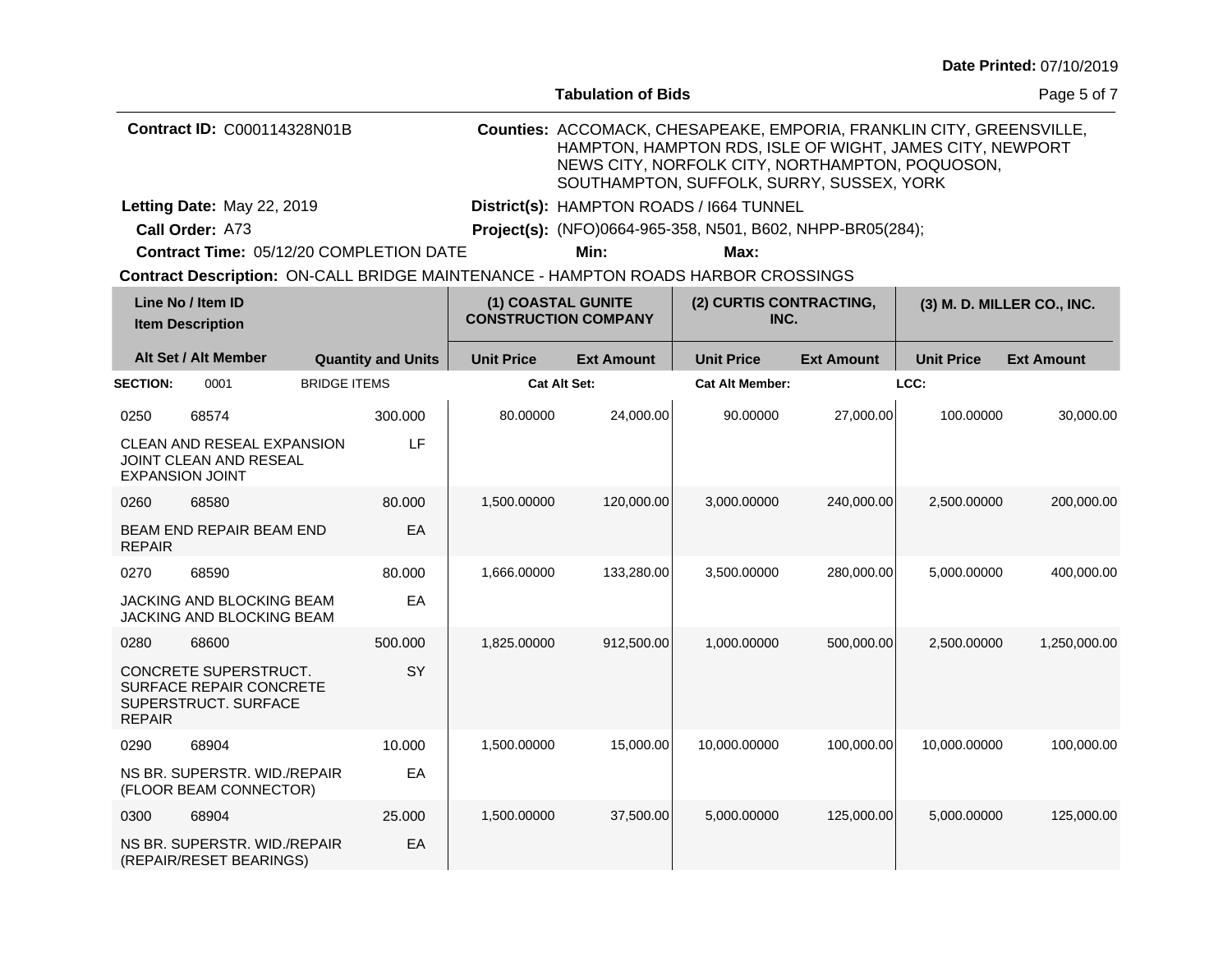|                                              |                                                                                       |                                                   |                           |                                 | <b>Tabulation of Bids</b>                                                                                                                                                                                                        |                                                                                   |                   |                   | Page 5 of 7       |
|----------------------------------------------|---------------------------------------------------------------------------------------|---------------------------------------------------|---------------------------|---------------------------------|----------------------------------------------------------------------------------------------------------------------------------------------------------------------------------------------------------------------------------|-----------------------------------------------------------------------------------|-------------------|-------------------|-------------------|
| <b>Contract ID: C000114328N01B</b>           |                                                                                       |                                                   |                           |                                 | Counties: ACCOMACK, CHESAPEAKE, EMPORIA, FRANKLIN CITY, GREENSVILLE,<br>HAMPTON, HAMPTON RDS, ISLE OF WIGHT, JAMES CITY, NEWPORT<br>NEWS CITY, NORFOLK CITY, NORTHAMPTON, POQUOSON,<br>SOUTHAMPTON, SUFFOLK, SURRY, SUSSEX, YORK |                                                                                   |                   |                   |                   |
|                                              | Letting Date: May 22, 2019                                                            |                                                   |                           |                                 |                                                                                                                                                                                                                                  | District(s): HAMPTON ROADS / 1664 TUNNEL                                          |                   |                   |                   |
|                                              | Call Order: A73                                                                       |                                                   |                           |                                 |                                                                                                                                                                                                                                  | <b>Project(s):</b> (NFO)0664-965-358, N501, B602, NHPP-BR05(284);                 |                   |                   |                   |
|                                              | <b>Contract Time: 05/12/20 COMPLETION DATE</b>                                        |                                                   |                           |                                 | Min:                                                                                                                                                                                                                             | Max:                                                                              |                   |                   |                   |
|                                              |                                                                                       |                                                   |                           |                                 |                                                                                                                                                                                                                                  | Contract Description: ON-CALL BRIDGE MAINTENANCE - HAMPTON ROADS HARBOR CROSSINGS |                   |                   |                   |
| Line No / Item ID<br><b>Item Description</b> |                                                                                       | (1) COASTAL GUNITE<br><b>CONSTRUCTION COMPANY</b> |                           | (2) CURTIS CONTRACTING,<br>INC. |                                                                                                                                                                                                                                  | (3) M. D. MILLER CO., INC.                                                        |                   |                   |                   |
|                                              | Alt Set / Alt Member                                                                  |                                                   | <b>Quantity and Units</b> | <b>Unit Price</b>               | <b>Ext Amount</b>                                                                                                                                                                                                                | <b>Unit Price</b>                                                                 | <b>Ext Amount</b> | <b>Unit Price</b> | <b>Ext Amount</b> |
| <b>SECTION:</b>                              | 0001                                                                                  | <b>BRIDGE ITEMS</b>                               |                           | Cat Alt Set:                    |                                                                                                                                                                                                                                  | <b>Cat Alt Member:</b>                                                            |                   | LCC:              |                   |
| 0250                                         | 68574                                                                                 |                                                   | 300.000                   | 80.00000                        | 24,000.00                                                                                                                                                                                                                        | 90.00000                                                                          | 27,000.00         | 100.00000         | 30,000.00         |
|                                              | CLEAN AND RESEAL EXPANSION<br><b>JOINT CLEAN AND RESEAL</b><br><b>EXPANSION JOINT</b> |                                                   | LF                        |                                 |                                                                                                                                                                                                                                  |                                                                                   |                   |                   |                   |
| 0260                                         | 68580                                                                                 |                                                   | 80,000                    | 1.500.00000                     | 120,000.00                                                                                                                                                                                                                       | 3,000.00000                                                                       | 240,000.00        | 2,500.00000       | 200,000.00        |
| <b>REPAIR</b>                                | BEAM END REPAIR BEAM END                                                              |                                                   | EA                        |                                 |                                                                                                                                                                                                                                  |                                                                                   |                   |                   |                   |
| 0270                                         | 68590                                                                                 |                                                   | 80,000                    | 1.666.00000                     | 133,280.00                                                                                                                                                                                                                       | 3,500.00000                                                                       | 280,000.00        | 5,000.00000       | 400,000.00        |
|                                              | <b>JACKING AND BLOCKING BEAM</b><br>JACKING AND BLOCKING BEAM                         |                                                   | EA                        |                                 |                                                                                                                                                                                                                                  |                                                                                   |                   |                   |                   |
| 0280                                         | 68600                                                                                 |                                                   | 500.000                   | 1,825.00000                     | 912,500.00                                                                                                                                                                                                                       | 1,000.00000                                                                       | 500,000.00        | 2,500.00000       | 1,250,000.00      |
|                                              | CONCRETE SUPERSTRUCT.<br>SURFACE REPAIR CONCRETE<br>SUPERSTRUCT. SURFACE              |                                                   | <b>SY</b>                 |                                 |                                                                                                                                                                                                                                  |                                                                                   |                   |                   |                   |

1,500.00000 15,000.00 10,000.0000 100,000.00 10,000.0000 100,000.00

1,500.00000 37,500.00 5,000.00000 125,000.00 5,000.00000 125,000.00

REPAIR

0290 68904

0300 68904

NS BR. SUPERSTR. WID./REPAIR (FLOOR BEAM CONNECTOR)

NS BR. SUPERSTR. WID./REPAIR (REPAIR/RESET BEARINGS)

10.000 EA

25.000 EA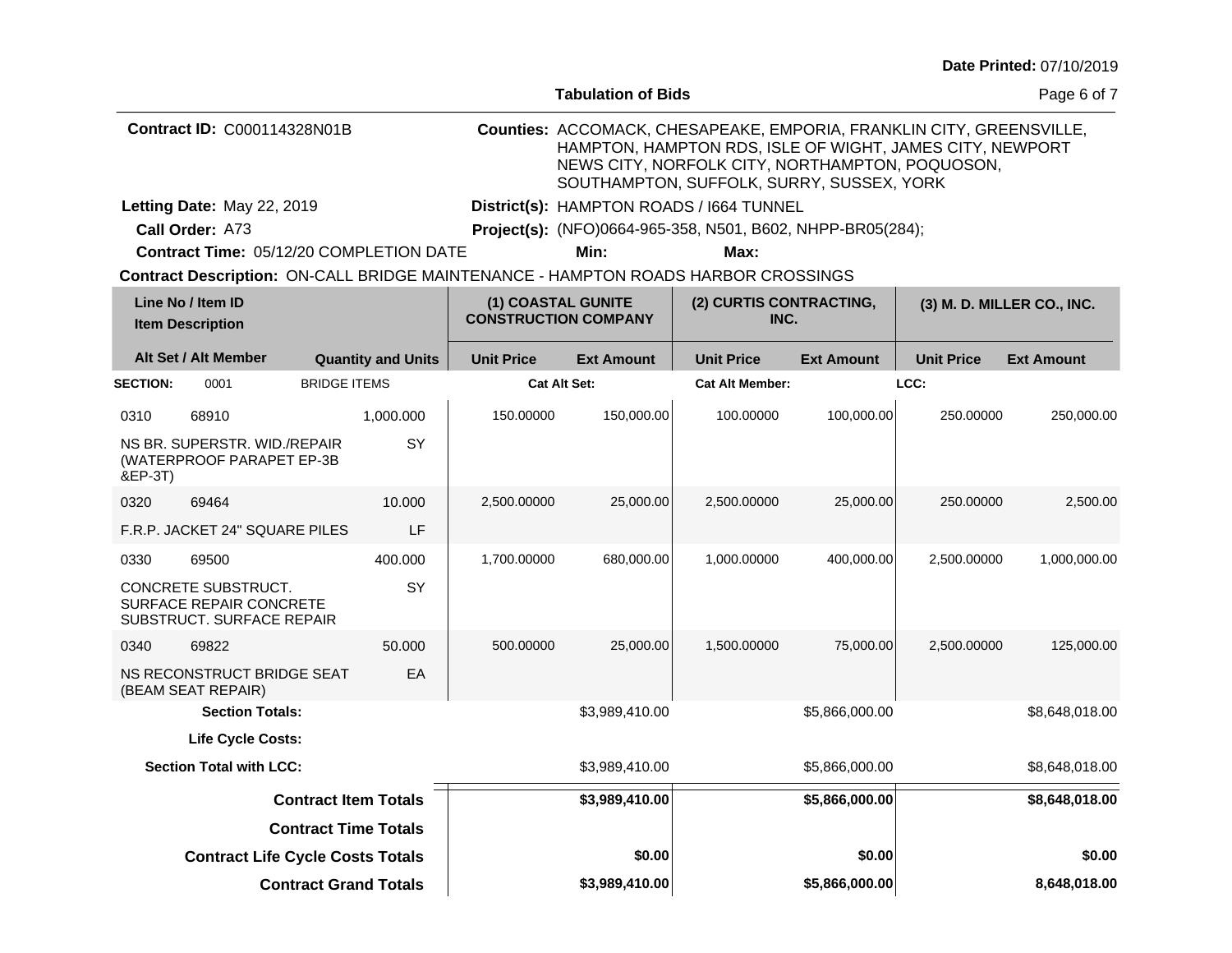|  | Date Printed: 07/10/2019 |
|--|--------------------------|
|--|--------------------------|

|                                    |                                                                                    |                     |                             |                                                   | <b>Tabulation of Bids</b>                |                                                                                                                                                                                                                                  |                   |                            | Page 6 of 7       |  |
|------------------------------------|------------------------------------------------------------------------------------|---------------------|-----------------------------|---------------------------------------------------|------------------------------------------|----------------------------------------------------------------------------------------------------------------------------------------------------------------------------------------------------------------------------------|-------------------|----------------------------|-------------------|--|
| <b>Contract ID: C000114328N01B</b> |                                                                                    |                     |                             |                                                   |                                          | Counties: ACCOMACK, CHESAPEAKE, EMPORIA, FRANKLIN CITY, GREENSVILLE,<br>HAMPTON, HAMPTON RDS, ISLE OF WIGHT, JAMES CITY, NEWPORT<br>NEWS CITY, NORFOLK CITY, NORTHAMPTON, POQUOSON,<br>SOUTHAMPTON, SUFFOLK, SURRY, SUSSEX, YORK |                   |                            |                   |  |
| Letting Date: May 22, 2019         |                                                                                    |                     |                             |                                                   | District(s): HAMPTON ROADS / 1664 TUNNEL |                                                                                                                                                                                                                                  |                   |                            |                   |  |
|                                    | Call Order: A73                                                                    |                     |                             |                                                   |                                          | Project(s): (NFO)0664-965-358, N501, B602, NHPP-BR05(284);                                                                                                                                                                       |                   |                            |                   |  |
|                                    | Contract Time: 05/12/20 COMPLETION DATE                                            |                     |                             |                                                   | Min:                                     | Max:                                                                                                                                                                                                                             |                   |                            |                   |  |
|                                    |                                                                                    |                     |                             |                                                   |                                          | Contract Description: ON-CALL BRIDGE MAINTENANCE - HAMPTON ROADS HARBOR CROSSINGS                                                                                                                                                |                   |                            |                   |  |
|                                    | Line No / Item ID<br><b>Item Description</b>                                       |                     |                             | (1) COASTAL GUNITE<br><b>CONSTRUCTION COMPANY</b> |                                          | (2) CURTIS CONTRACTING,<br>INC.                                                                                                                                                                                                  |                   | (3) M. D. MILLER CO., INC. |                   |  |
|                                    | Alt Set / Alt Member                                                               |                     | <b>Quantity and Units</b>   | <b>Unit Price</b>                                 | <b>Ext Amount</b>                        | <b>Unit Price</b>                                                                                                                                                                                                                | <b>Ext Amount</b> | <b>Unit Price</b>          | <b>Ext Amount</b> |  |
| <b>SECTION:</b>                    | 0001                                                                               | <b>BRIDGE ITEMS</b> |                             | <b>Cat Alt Set:</b>                               |                                          | <b>Cat Alt Member:</b>                                                                                                                                                                                                           |                   | LCC:                       |                   |  |
| 0310                               | 68910                                                                              |                     | 1,000.000                   | 150.00000                                         | 150,000.00                               | 100.00000                                                                                                                                                                                                                        | 100,000.00        | 250.00000                  | 250,000.00        |  |
| &EP-3T)                            | NS BR. SUPERSTR. WID./REPAIR<br>(WATERPROOF PARAPET EP-3B                          |                     | SY                          |                                                   |                                          |                                                                                                                                                                                                                                  |                   |                            |                   |  |
| 0320                               | 69464                                                                              |                     | 10.000                      | 2,500.00000                                       | 25,000.00                                | 2,500.00000                                                                                                                                                                                                                      | 25,000.00         | 250.00000                  | 2,500.00          |  |
|                                    | F.R.P. JACKET 24" SQUARE PILES                                                     |                     | LF                          |                                                   |                                          |                                                                                                                                                                                                                                  |                   |                            |                   |  |
| 0330                               | 69500                                                                              |                     | 400.000                     | 1,700.00000                                       | 680,000.00                               | 1,000.00000                                                                                                                                                                                                                      | 400,000.00        | 2,500.00000                | 1,000,000.00      |  |
|                                    | CONCRETE SUBSTRUCT.<br><b>SURFACE REPAIR CONCRETE</b><br>SUBSTRUCT. SURFACE REPAIR |                     | <b>SY</b>                   |                                                   |                                          |                                                                                                                                                                                                                                  |                   |                            |                   |  |
| 0340                               | 69822                                                                              |                     | 50.000                      | 500.00000                                         | 25,000.00                                | 1,500.00000                                                                                                                                                                                                                      | 75,000.00         | 2,500.00000                | 125,000.00        |  |
|                                    | NS RECONSTRUCT BRIDGE SEAT<br>(BEAM SEAT REPAIR)                                   |                     | EA                          |                                                   |                                          |                                                                                                                                                                                                                                  |                   |                            |                   |  |
|                                    | <b>Section Totals:</b>                                                             |                     |                             |                                                   | \$3,989,410.00                           |                                                                                                                                                                                                                                  | \$5,866,000.00    |                            | \$8,648,018.00    |  |
| Life Cycle Costs:                  |                                                                                    |                     |                             |                                                   |                                          |                                                                                                                                                                                                                                  |                   |                            |                   |  |
|                                    | <b>Section Total with LCC:</b>                                                     |                     |                             |                                                   | \$3,989,410.00                           |                                                                                                                                                                                                                                  | \$5,866,000.00    |                            | \$8,648,018.00    |  |
|                                    |                                                                                    |                     | <b>Contract Item Totals</b> |                                                   | \$3,989,410.00                           |                                                                                                                                                                                                                                  | \$5,866,000.00    |                            | \$8,648,018.00    |  |
|                                    |                                                                                    |                     | <b>Contract Time Totals</b> |                                                   |                                          |                                                                                                                                                                                                                                  |                   |                            |                   |  |

**\$3,989,410.00**

**Contract Life Cycle Costs Totals \$0.00 \$0.00 \$0.00**

**Contract Grand Totals \$5,866,000.00 8,648,018.00**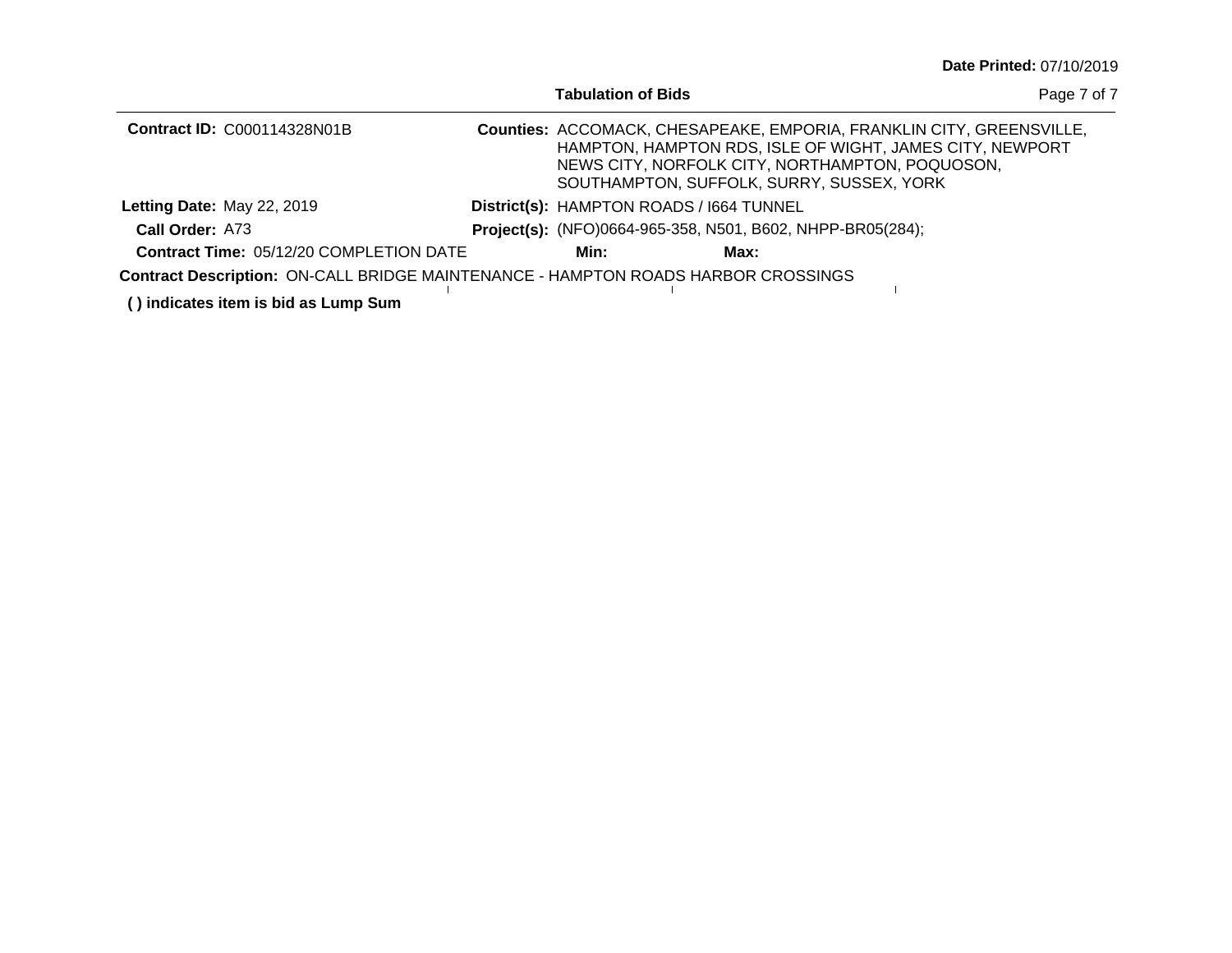|                                                                                   | <b>Tabulation of Bids</b> |                                                                                              |                                                                                                                                  | Page 7 of 7 |
|-----------------------------------------------------------------------------------|---------------------------|----------------------------------------------------------------------------------------------|----------------------------------------------------------------------------------------------------------------------------------|-------------|
| <b>Contract ID: C000114328N01B</b>                                                |                           | NEWS CITY, NORFOLK CITY, NORTHAMPTON, POQUOSON,<br>SOUTHAMPTON, SUFFOLK, SURRY, SUSSEX, YORK | Counties: ACCOMACK, CHESAPEAKE, EMPORIA, FRANKLIN CITY, GREENSVILLE,<br>HAMPTON, HAMPTON RDS, ISLE OF WIGHT, JAMES CITY, NEWPORT |             |
| Letting Date: May 22, 2019                                                        |                           | District(s): HAMPTON ROADS / 1664 TUNNEL                                                     |                                                                                                                                  |             |
| Call Order: A73                                                                   |                           | <b>Project(s):</b> (NFO)0664-965-358, N501, B602, NHPP-BR05(284);                            |                                                                                                                                  |             |
| <b>Contract Time: 05/12/20 COMPLETION DATE</b>                                    | Min:                      | Max:                                                                                         |                                                                                                                                  |             |
| Contract Description: ON-CALL BRIDGE MAINTENANCE - HAMPTON ROADS HARBOR CROSSINGS |                           |                                                                                              |                                                                                                                                  |             |
| () indicates item is bid as Lump Sum                                              |                           |                                                                                              |                                                                                                                                  |             |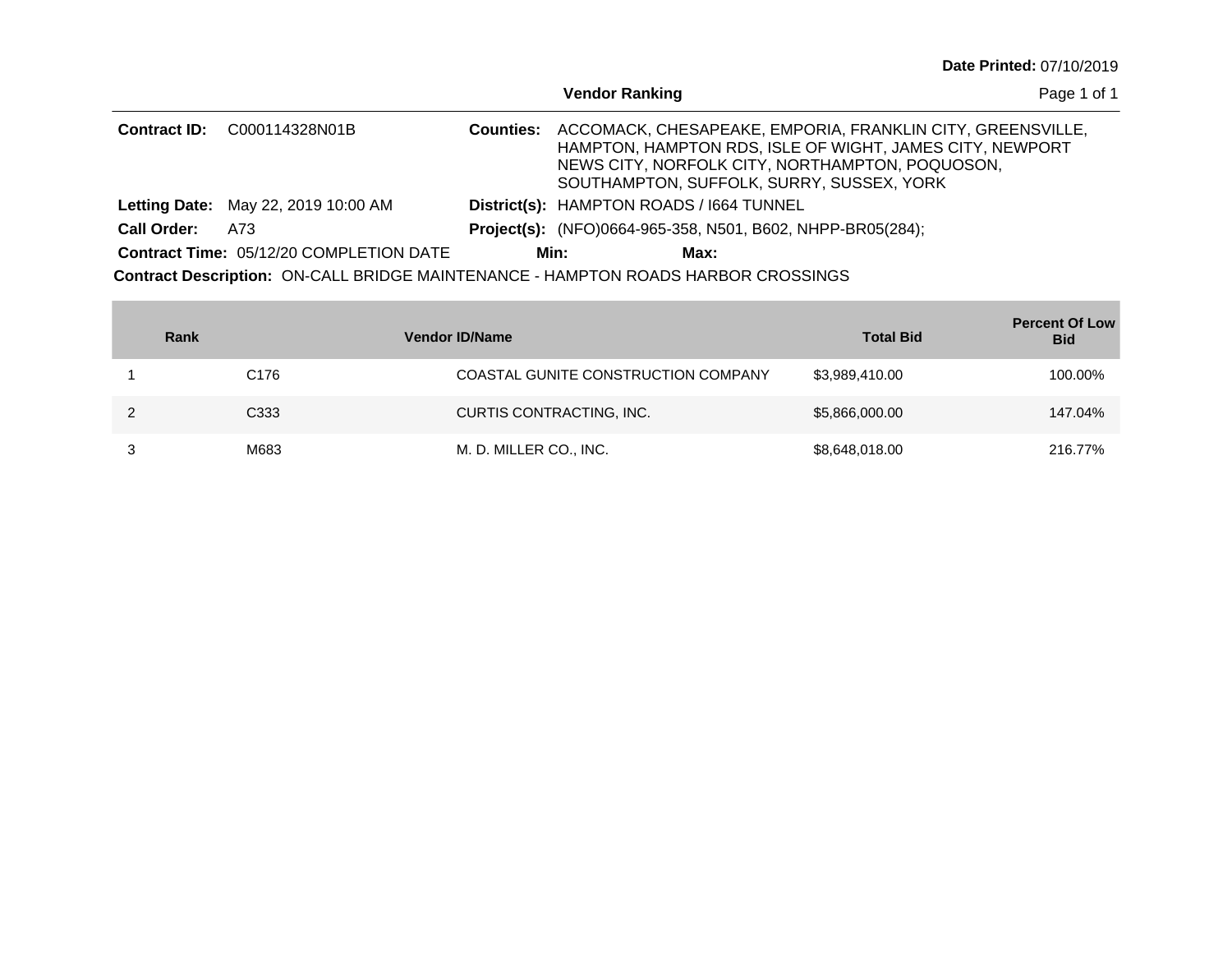|                     |                                                                                          |                  | <b>Vendor Ranking</b>                                             |                                                                                                                                                                                                                        | Page 1 of 1 |
|---------------------|------------------------------------------------------------------------------------------|------------------|-------------------------------------------------------------------|------------------------------------------------------------------------------------------------------------------------------------------------------------------------------------------------------------------------|-------------|
| <b>Contract ID:</b> | C000114328N01B                                                                           | <b>Counties:</b> |                                                                   | ACCOMACK, CHESAPEAKE, EMPORIA, FRANKLIN CITY, GREENSVILLE,<br>HAMPTON, HAMPTON RDS, ISLE OF WIGHT, JAMES CITY, NEWPORT<br>NEWS CITY, NORFOLK CITY, NORTHAMPTON, POQUOSON,<br>SOUTHAMPTON, SUFFOLK, SURRY, SUSSEX, YORK |             |
|                     | <b>Letting Date: May 22, 2019 10:00 AM</b>                                               |                  | District(s): HAMPTON ROADS / 1664 TUNNEL                          |                                                                                                                                                                                                                        |             |
| <b>Call Order:</b>  | A73                                                                                      |                  | <b>Project(s):</b> (NFO)0664-965-358, N501, B602, NHPP-BR05(284); |                                                                                                                                                                                                                        |             |
|                     | <b>Contract Time: 05/12/20 COMPLETION DATE</b>                                           |                  | Min:<br>Max:                                                      |                                                                                                                                                                                                                        |             |
|                     | <b>Contract Description: ON-CALL BRIDGE MAINTENANCE - HAMPTON ROADS HARBOR CROSSINGS</b> |                  |                                                                   |                                                                                                                                                                                                                        |             |

| Rank |                  | <b>Vendor ID/Name</b>               | <b>Total Bid</b> | <b>Percent Of Low</b><br><b>Bid</b> |
|------|------------------|-------------------------------------|------------------|-------------------------------------|
|      | C <sub>176</sub> | COASTAL GUNITE CONSTRUCTION COMPANY | \$3,989,410.00   | 100.00%                             |
|      | C <sub>333</sub> | CURTIS CONTRACTING, INC.            | \$5,866,000.00   | 147.04%                             |
|      | M683             | M. D. MILLER CO., INC.              | \$8,648,018.00   | 216.77%                             |

and the control of the control of the control of the control of the control of the control of the control of the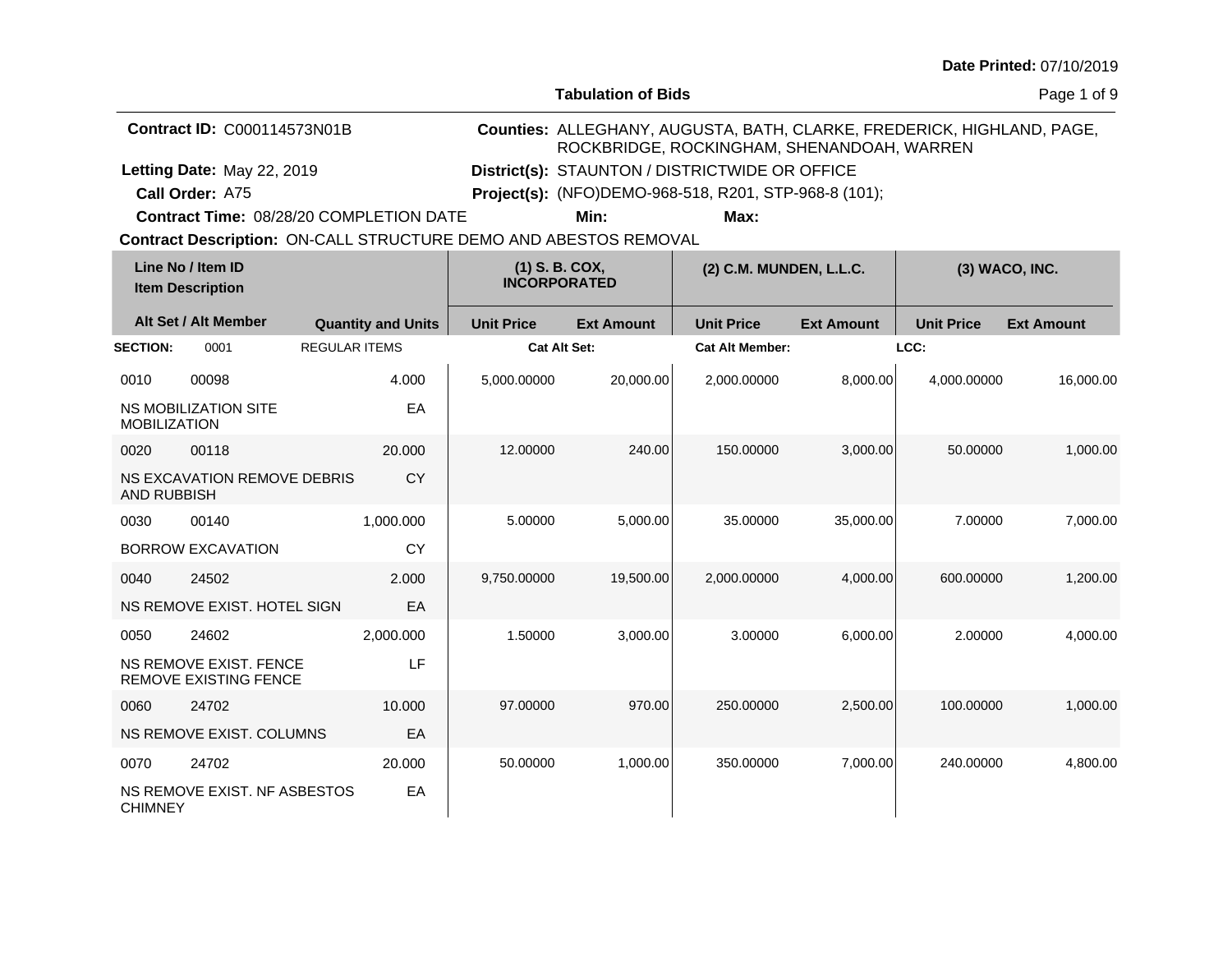**Tabulation of Bids**

Page 1 of 9

| <b>Contract ID: C000114573N01B</b> |                                                        |                                                                  | Counties: ALLEGHANY, AUGUSTA, BATH, CLARKE, FREDERICK, HIGHLAND, PAGE,<br>ROCKBRIDGE, ROCKINGHAM, SHENANDOAH, WARREN |                                       |                                                       |                         |                   |                   |  |
|------------------------------------|--------------------------------------------------------|------------------------------------------------------------------|----------------------------------------------------------------------------------------------------------------------|---------------------------------------|-------------------------------------------------------|-------------------------|-------------------|-------------------|--|
|                                    | Letting Date: May 22, 2019                             |                                                                  | District(s): STAUNTON / DISTRICTWIDE OR OFFICE                                                                       |                                       |                                                       |                         |                   |                   |  |
|                                    | Call Order: A75                                        |                                                                  |                                                                                                                      |                                       | Project(s): (NFO)DEMO-968-518, R201, STP-968-8 (101); |                         |                   |                   |  |
|                                    |                                                        | Contract Time: 08/28/20 COMPLETION DATE                          |                                                                                                                      | Min:                                  | Max:                                                  |                         |                   |                   |  |
|                                    |                                                        | Contract Description: ON-CALL STRUCTURE DEMO AND ABESTOS REMOVAL |                                                                                                                      |                                       |                                                       |                         |                   |                   |  |
|                                    | Line No / Item ID<br><b>Item Description</b>           |                                                                  |                                                                                                                      | (1) S. B. COX,<br><b>INCORPORATED</b> |                                                       | (2) C.M. MUNDEN, L.L.C. |                   | (3) WACO, INC.    |  |
|                                    | Alt Set / Alt Member                                   | <b>Quantity and Units</b>                                        | <b>Unit Price</b>                                                                                                    | <b>Ext Amount</b>                     | <b>Unit Price</b>                                     | <b>Ext Amount</b>       | <b>Unit Price</b> | <b>Ext Amount</b> |  |
| <b>SECTION:</b>                    | 0001                                                   | <b>REGULAR ITEMS</b>                                             | Cat Alt Set:                                                                                                         |                                       | <b>Cat Alt Member:</b>                                |                         | LCC:              |                   |  |
| 0010                               | 00098                                                  | 4.000                                                            | 5,000.00000                                                                                                          | 20,000.00                             | 2,000.00000                                           | 8,000.00                | 4,000.00000       | 16,000.00         |  |
| <b>MOBILIZATION</b>                | <b>NS MOBILIZATION SITE</b>                            | EA                                                               |                                                                                                                      |                                       |                                                       |                         |                   |                   |  |
| 0020                               | 00118                                                  | 20,000                                                           | 12.00000                                                                                                             | 240.00                                | 150.00000                                             | 3,000.00                | 50.00000          | 1,000.00          |  |
| AND RUBBISH                        | <b>NS EXCAVATION REMOVE DEBRIS</b>                     | <b>CY</b>                                                        |                                                                                                                      |                                       |                                                       |                         |                   |                   |  |
| 0030                               | 00140                                                  | 1,000.000                                                        | 5.00000                                                                                                              | 5,000.00                              | 35.00000                                              | 35,000.00               | 7.00000           | 7,000.00          |  |
|                                    | <b>BORROW EXCAVATION</b>                               | <b>CY</b>                                                        |                                                                                                                      |                                       |                                                       |                         |                   |                   |  |
| 0040                               | 24502                                                  | 2.000                                                            | 9,750.00000                                                                                                          | 19,500.00                             | 2,000.00000                                           | 4,000.00                | 600.00000         | 1,200.00          |  |
|                                    | NS REMOVE EXIST. HOTEL SIGN                            | EA                                                               |                                                                                                                      |                                       |                                                       |                         |                   |                   |  |
| 0050                               | 24602                                                  | 2,000.000                                                        | 1.50000                                                                                                              | 3,000.00                              | 3.00000                                               | 6,000.00                | 2.00000           | 4,000.00          |  |
|                                    | NS REMOVE EXIST. FENCE<br><b>REMOVE EXISTING FENCE</b> | LF                                                               |                                                                                                                      |                                       |                                                       |                         |                   |                   |  |
| 0060                               | 24702                                                  | 10.000                                                           | 97.00000                                                                                                             | 970.00                                | 250.00000                                             | 2,500.00                | 100.00000         | 1,000.00          |  |
|                                    | NS REMOVE EXIST. COLUMNS                               | EA                                                               |                                                                                                                      |                                       |                                                       |                         |                   |                   |  |
| 0070                               | 24702                                                  | 20.000                                                           | 50.00000                                                                                                             | 1,000.00                              | 350.00000                                             | 7,000.00                | 240.00000         | 4,800.00          |  |
| <b>CHIMNEY</b>                     | NS REMOVE EXIST. NF ASBESTOS                           | EA                                                               |                                                                                                                      |                                       |                                                       |                         |                   |                   |  |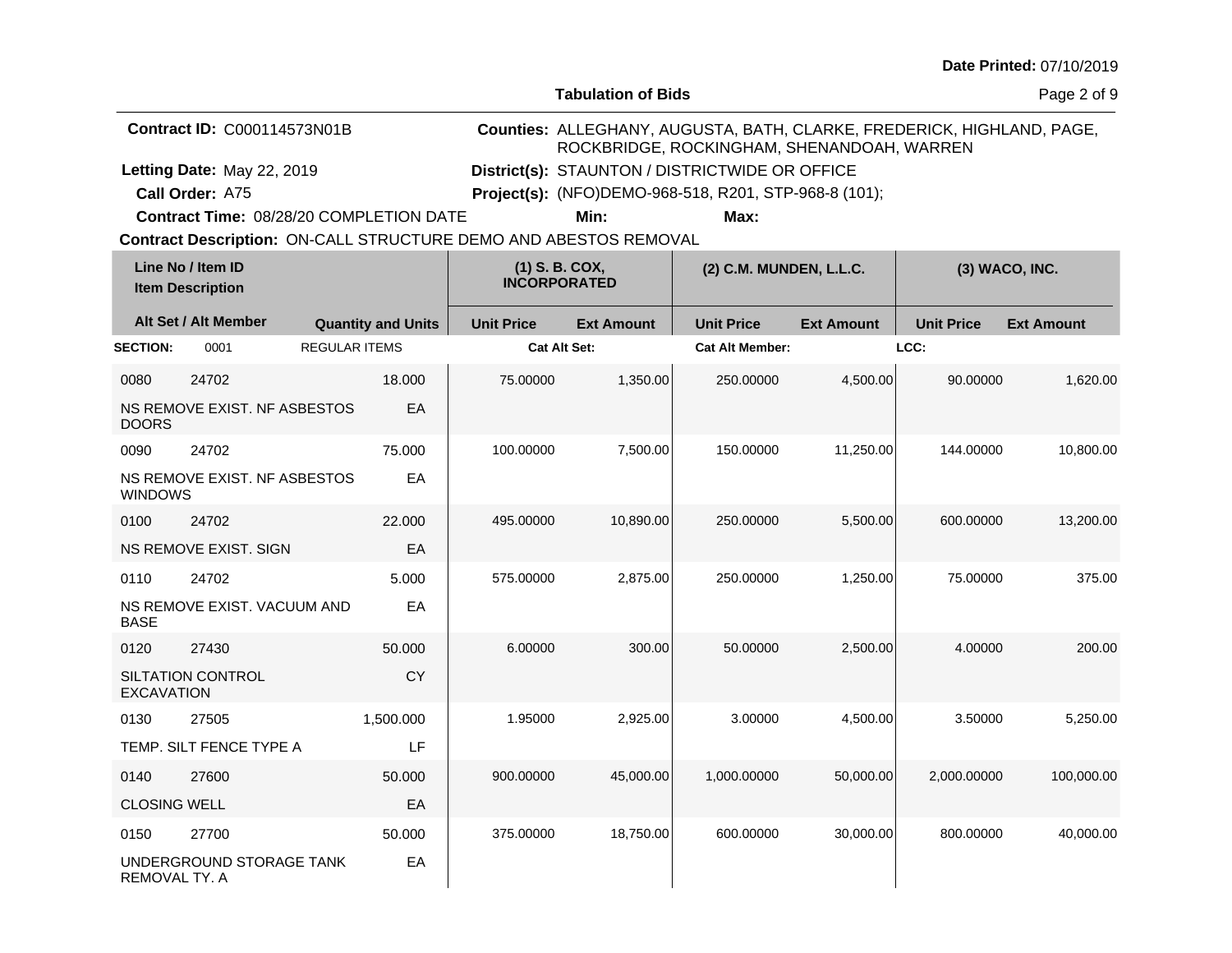| Date Printed: 07/10/2019 |  |
|--------------------------|--|
|--------------------------|--|

**Tabulation of Bids**

| <b>Contract ID: C000114573N01B</b> |                                                                  |                           |                                       |                                                       | Counties: ALLEGHANY, AUGUSTA, BATH, CLARKE, FREDERICK, HIGHLAND, PAGE,<br>ROCKBRIDGE, ROCKINGHAM, SHENANDOAH, WARREN |                   |                   |                   |  |
|------------------------------------|------------------------------------------------------------------|---------------------------|---------------------------------------|-------------------------------------------------------|----------------------------------------------------------------------------------------------------------------------|-------------------|-------------------|-------------------|--|
|                                    | Letting Date: May 22, 2019                                       |                           |                                       | District(s): STAUNTON / DISTRICTWIDE OR OFFICE        |                                                                                                                      |                   |                   |                   |  |
|                                    | Call Order: A75                                                  |                           |                                       | Project(s): (NFO)DEMO-968-518, R201, STP-968-8 (101); |                                                                                                                      |                   |                   |                   |  |
|                                    | Contract Time: 08/28/20 COMPLETION DATE                          |                           |                                       | Min:                                                  | Max:                                                                                                                 |                   |                   |                   |  |
|                                    | Contract Description: ON-CALL STRUCTURE DEMO AND ABESTOS REMOVAL |                           |                                       |                                                       |                                                                                                                      |                   |                   |                   |  |
|                                    | Line No / Item ID<br><b>Item Description</b>                     |                           | (1) S. B. COX,<br><b>INCORPORATED</b> |                                                       | (2) C.M. MUNDEN, L.L.C.                                                                                              |                   |                   | (3) WACO, INC.    |  |
|                                    | Alt Set / Alt Member                                             | <b>Quantity and Units</b> | <b>Unit Price</b>                     | <b>Ext Amount</b>                                     | <b>Unit Price</b>                                                                                                    | <b>Ext Amount</b> | <b>Unit Price</b> | <b>Ext Amount</b> |  |
| <b>SECTION:</b>                    | 0001                                                             | <b>REGULAR ITEMS</b>      | Cat Alt Set:                          |                                                       | <b>Cat Alt Member:</b>                                                                                               |                   | LCC:              |                   |  |
| 0080                               | 24702                                                            | 18,000                    | 75.00000                              | 1,350.00                                              | 250.00000                                                                                                            | 4,500.00          | 90.00000          | 1,620.00          |  |
| <b>DOORS</b>                       | NS REMOVE EXIST. NF ASBESTOS                                     | EA                        |                                       |                                                       |                                                                                                                      |                   |                   |                   |  |
| 0090                               | 24702                                                            | 75.000                    | 100.00000                             | 7,500.00                                              | 150.00000                                                                                                            | 11,250.00         | 144.00000         | 10,800.00         |  |
| <b>WINDOWS</b>                     | NS REMOVE EXIST. NF ASBESTOS                                     | EA                        |                                       |                                                       |                                                                                                                      |                   |                   |                   |  |
| 0100                               | 24702                                                            | 22,000                    | 495.00000                             | 10,890.00                                             | 250.00000                                                                                                            | 5,500.00          | 600.00000         | 13,200.00         |  |
|                                    | NS REMOVE EXIST. SIGN                                            | EA                        |                                       |                                                       |                                                                                                                      |                   |                   |                   |  |
| 0110                               | 24702                                                            | 5.000                     | 575.00000                             | 2,875.00                                              | 250.00000                                                                                                            | 1,250.00          | 75.00000          | 375.00            |  |
| <b>BASE</b>                        | NS REMOVE EXIST, VACUUM AND                                      | EA                        |                                       |                                                       |                                                                                                                      |                   |                   |                   |  |
| 0120                               | 27430                                                            | 50.000                    | 6.00000                               | 300.00                                                | 50.00000                                                                                                             | 2,500.00          | 4.00000           | 200.00            |  |
| <b>EXCAVATION</b>                  | SILTATION CONTROL                                                | <b>CY</b>                 |                                       |                                                       |                                                                                                                      |                   |                   |                   |  |
| 0130                               | 27505                                                            | 1,500.000                 | 1.95000                               | 2,925.00                                              | 3.00000                                                                                                              | 4,500.00          | 3.50000           | 5,250.00          |  |
|                                    | TEMP. SILT FENCE TYPE A                                          | LF                        |                                       |                                                       |                                                                                                                      |                   |                   |                   |  |
| 0140                               | 27600                                                            | 50.000                    | 900.00000                             | 45,000.00                                             | 1,000.00000                                                                                                          | 50,000.00         | 2,000.00000       | 100,000.00        |  |
| <b>CLOSING WELL</b>                |                                                                  | EA                        |                                       |                                                       |                                                                                                                      |                   |                   |                   |  |
| 0150                               | 27700                                                            | 50.000                    | 375.00000                             | 18,750.00                                             | 600.00000                                                                                                            | 30,000.00         | 800.00000         | 40,000.00         |  |
| REMOVAL TY. A                      | UNDERGROUND STORAGE TANK                                         | EA                        |                                       |                                                       |                                                                                                                      |                   |                   |                   |  |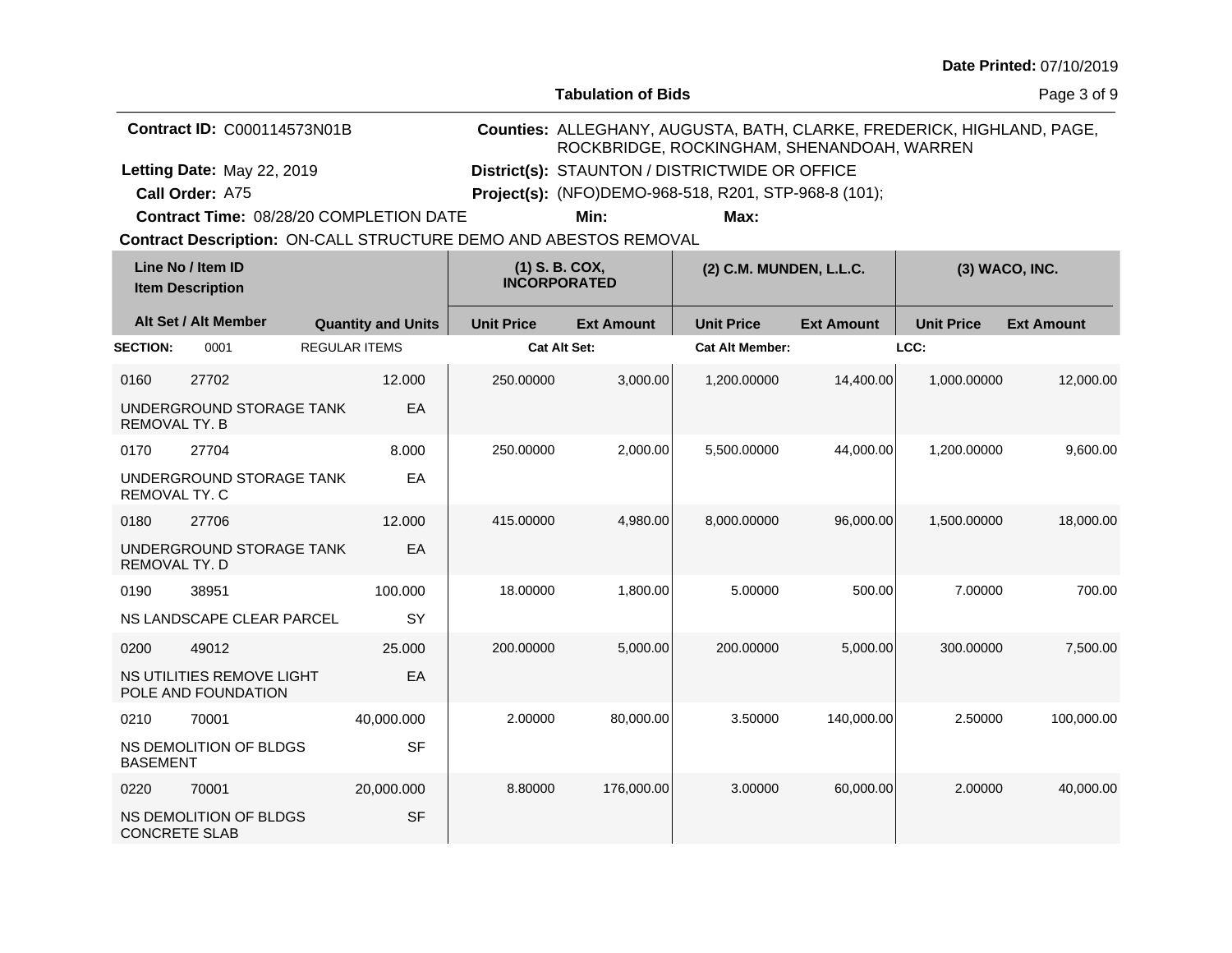| Date Printed: 07/10/2019 |  |
|--------------------------|--|
|--------------------------|--|

**Tabulation of Bids**

|                      | <b>Contract ID: C000114573N01B</b>                               |                           | Counties: ALLEGHANY, AUGUSTA, BATH, CLARKE, FREDERICK, HIGHLAND, PAGE,<br>ROCKBRIDGE, ROCKINGHAM, SHENANDOAH, WARREN |                                                       |                         |                   |                   |                   |  |  |
|----------------------|------------------------------------------------------------------|---------------------------|----------------------------------------------------------------------------------------------------------------------|-------------------------------------------------------|-------------------------|-------------------|-------------------|-------------------|--|--|
|                      | Letting Date: May 22, 2019                                       |                           | District(s): STAUNTON / DISTRICTWIDE OR OFFICE                                                                       |                                                       |                         |                   |                   |                   |  |  |
|                      | Call Order: A75                                                  |                           |                                                                                                                      | Project(s): (NFO)DEMO-968-518, R201, STP-968-8 (101); |                         |                   |                   |                   |  |  |
|                      | Contract Time: 08/28/20 COMPLETION DATE                          |                           |                                                                                                                      | Min:                                                  | Max:                    |                   |                   |                   |  |  |
|                      | Contract Description: ON-CALL STRUCTURE DEMO AND ABESTOS REMOVAL |                           |                                                                                                                      |                                                       |                         |                   |                   |                   |  |  |
|                      | Line No / Item ID<br><b>Item Description</b>                     |                           | $(1)$ S. B. COX,<br><b>INCORPORATED</b>                                                                              |                                                       | (2) C.M. MUNDEN, L.L.C. |                   |                   | (3) WACO, INC.    |  |  |
|                      | Alt Set / Alt Member                                             | <b>Quantity and Units</b> | <b>Unit Price</b>                                                                                                    | <b>Ext Amount</b>                                     | <b>Unit Price</b>       | <b>Ext Amount</b> | <b>Unit Price</b> | <b>Ext Amount</b> |  |  |
| <b>SECTION:</b>      | 0001                                                             | <b>REGULAR ITEMS</b>      |                                                                                                                      | <b>Cat Alt Set:</b>                                   | <b>Cat Alt Member:</b>  |                   | LCC:              |                   |  |  |
| 0160                 | 27702                                                            | 12.000                    | 250,00000                                                                                                            | 3,000.00                                              | 1,200.00000             | 14,400.00         | 1,000.00000       | 12,000.00         |  |  |
| REMOVAL TY. B        | UNDERGROUND STORAGE TANK                                         | EA                        |                                                                                                                      |                                                       |                         |                   |                   |                   |  |  |
| 0170                 | 27704                                                            | 8.000                     | 250.00000                                                                                                            | 2,000.00                                              | 5,500.00000             | 44,000.00         | 1,200.00000       | 9,600.00          |  |  |
| <b>REMOVAL TY, C</b> | UNDERGROUND STORAGE TANK                                         | EA                        |                                                                                                                      |                                                       |                         |                   |                   |                   |  |  |
| 0180                 | 27706                                                            | 12.000                    | 415.00000                                                                                                            | 4,980.00                                              | 8,000.00000             | 96,000.00         | 1.500.00000       | 18,000.00         |  |  |
| REMOVAL TY. D        | UNDERGROUND STORAGE TANK                                         | EA                        |                                                                                                                      |                                                       |                         |                   |                   |                   |  |  |
| 0190                 | 38951                                                            | 100.000                   | 18.00000                                                                                                             | 1,800.00                                              | 5.00000                 | 500.00            | 7.00000           | 700.00            |  |  |
|                      | NS LANDSCAPE CLEAR PARCEL                                        | SY                        |                                                                                                                      |                                                       |                         |                   |                   |                   |  |  |
| 0200                 | 49012                                                            | 25,000                    | 200.00000                                                                                                            | 5,000.00                                              | 200.00000               | 5,000.00          | 300.00000         | 7,500.00          |  |  |
|                      | NS UTILITIES REMOVE LIGHT<br>POLE AND FOUNDATION                 | EA                        |                                                                                                                      |                                                       |                         |                   |                   |                   |  |  |
| 0210                 | 70001                                                            | 40,000.000                | 2.00000                                                                                                              | 80,000.00                                             | 3.50000                 | 140,000.00        | 2.50000           | 100,000.00        |  |  |
| <b>BASEMENT</b>      | NS DEMOLITION OF BLDGS                                           | <b>SF</b>                 |                                                                                                                      |                                                       |                         |                   |                   |                   |  |  |
| 0220                 | 70001                                                            | 20,000.000                | 8.80000                                                                                                              | 176,000.00                                            | 3.00000                 | 60,000.00         | 2.00000           | 40,000.00         |  |  |
| <b>CONCRETE SLAB</b> | NS DEMOLITION OF BLDGS                                           | <b>SF</b>                 |                                                                                                                      |                                                       |                         |                   |                   |                   |  |  |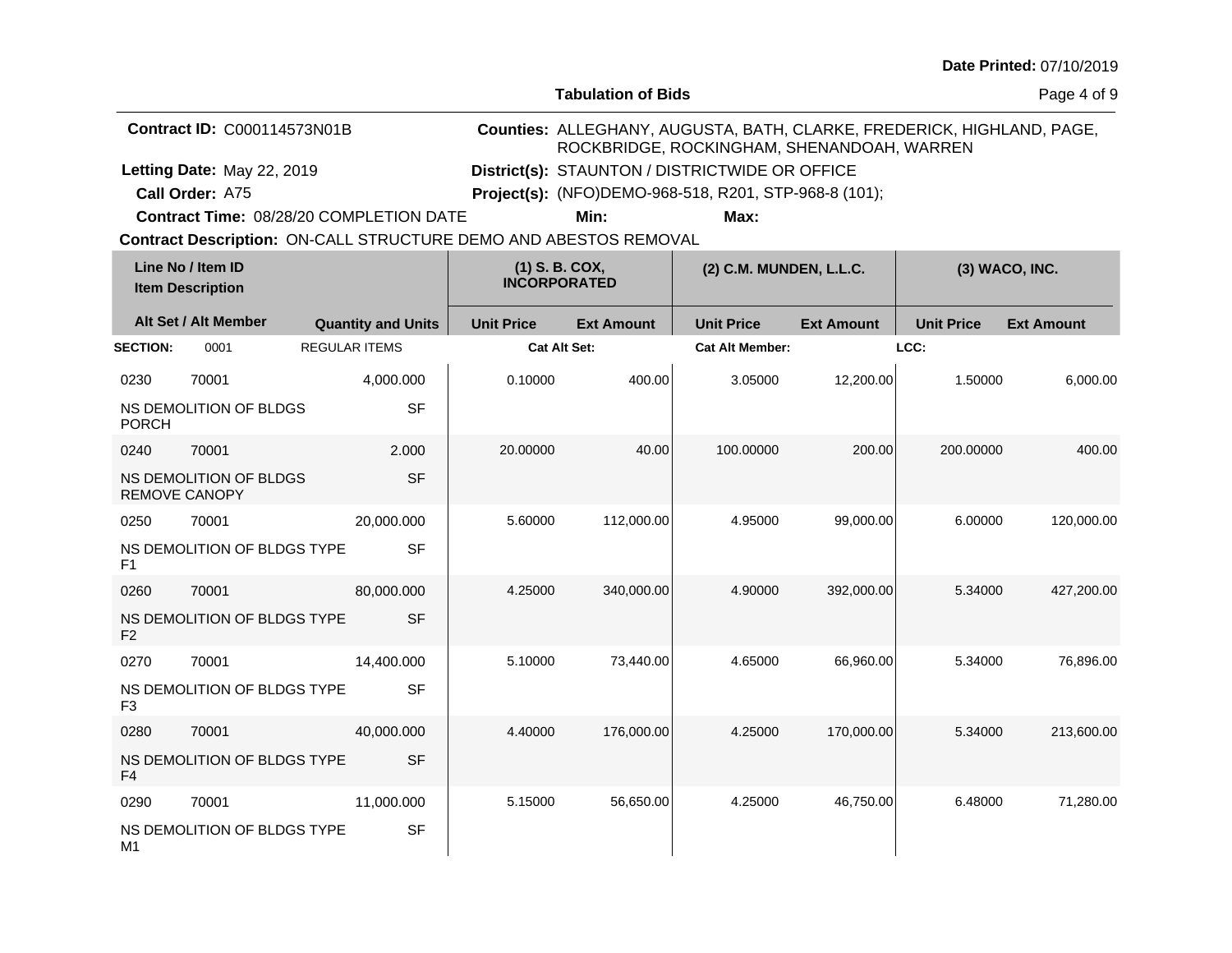**Tabulation of Bids**

Page 4 of 9

|                                              | <b>Contract ID: C000114573N01B</b>                                      | <b>Counties: ALLEGHANY, AUGUSTA, BATH, CLARKE, FREDERICK, HIGHLAND, PAGE,</b><br>ROCKBRIDGE, ROCKINGHAM, SHENANDOAH, WARREN |                                                                    |                   |                                                       |                   |                   |                   |
|----------------------------------------------|-------------------------------------------------------------------------|-----------------------------------------------------------------------------------------------------------------------------|--------------------------------------------------------------------|-------------------|-------------------------------------------------------|-------------------|-------------------|-------------------|
|                                              | Letting Date: May 22, 2019                                              |                                                                                                                             |                                                                    |                   | District(s): STAUNTON / DISTRICTWIDE OR OFFICE        |                   |                   |                   |
|                                              | Call Order: A75                                                         |                                                                                                                             |                                                                    |                   | Project(s): (NFO)DEMO-968-518, R201, STP-968-8 (101); |                   |                   |                   |
|                                              |                                                                         | <b>Contract Time: 08/28/20 COMPLETION DATE</b>                                                                              |                                                                    | Min:              | Max:                                                  |                   |                   |                   |
|                                              | <b>Contract Description: ON-CALL STRUCTURE DEMO AND ABESTOS REMOVAL</b> |                                                                                                                             |                                                                    |                   |                                                       |                   |                   |                   |
| Line No / Item ID<br><b>Item Description</b> |                                                                         |                                                                                                                             | $(1)$ S. B. COX,<br>(2) C.M. MUNDEN, L.L.C.<br><b>INCORPORATED</b> |                   | $(3)$ WACO, INC.                                      |                   |                   |                   |
|                                              | Alt Set / Alt Member                                                    | <b>Quantity and Units</b>                                                                                                   | <b>Unit Price</b>                                                  | <b>Ext Amount</b> | <b>Unit Price</b>                                     | <b>Ext Amount</b> | <b>Unit Price</b> | <b>Ext Amount</b> |
| <b>SECTION:</b>                              | 0001                                                                    | <b>REGULAR ITEMS</b>                                                                                                        |                                                                    | Cat Alt Set:      | <b>Cat Alt Member:</b>                                |                   | LCC:              |                   |
| 0230                                         | 70001                                                                   | 4.000.000                                                                                                                   | 0.10000                                                            | 400.00            | 3.05000                                               | 12,200,00         | 1.50000           | 6.000.00          |
| <b>PORCH</b>                                 | NS DEMOLITION OF BLDGS                                                  | <b>SF</b>                                                                                                                   |                                                                    |                   |                                                       |                   |                   |                   |
| 0240                                         | 70001                                                                   | 2.000                                                                                                                       | 20,00000                                                           | 40.00             | 100.00000                                             | 200.00            | 200,00000         | 400.00            |
|                                              | MO DEMOUTION OF BLDCC                                                   | $\sim$ $\sim$                                                                                                               |                                                                    |                   |                                                       |                   |                   |                   |

| <b>PORCH</b>         |                             | ັ          |          |            |           |            |           |            |
|----------------------|-----------------------------|------------|----------|------------|-----------|------------|-----------|------------|
| 0240                 | 70001                       | 2.000      | 20.00000 | 40.00      | 100.00000 | 200.00     | 200.00000 | 400.00     |
| <b>REMOVE CANOPY</b> | NS DEMOLITION OF BLDGS      | <b>SF</b>  |          |            |           |            |           |            |
| 0250                 | 70001                       | 20,000.000 | 5.60000  | 112,000.00 | 4.95000   | 99,000.00  | 6.00000   | 120,000.00 |
| F <sub>1</sub>       | NS DEMOLITION OF BLDGS TYPE | <b>SF</b>  |          |            |           |            |           |            |
| 0260                 | 70001                       | 80,000.000 | 4.25000  | 340,000.00 | 4.90000   | 392,000.00 | 5.34000   | 427,200.00 |
| F <sub>2</sub>       | NS DEMOLITION OF BLDGS TYPE | <b>SF</b>  |          |            |           |            |           |            |
| 0270                 | 70001                       | 14,400.000 | 5.10000  | 73,440.00  | 4.65000   | 66,960.00  | 5.34000   | 76,896.00  |
| F <sub>3</sub>       | NS DEMOLITION OF BLDGS TYPE | <b>SF</b>  |          |            |           |            |           |            |
| 0280                 | 70001                       | 40,000.000 | 4.40000  | 176,000.00 | 4.25000   | 170,000.00 | 5.34000   | 213,600.00 |
| F <sub>4</sub>       | NS DEMOLITION OF BLDGS TYPE | <b>SF</b>  |          |            |           |            |           |            |
| 0290                 | 70001                       | 11,000.000 | 5.15000  | 56,650.00  | 4.25000   | 46,750.00  | 6.48000   | 71,280.00  |
| M1                   | NS DEMOLITION OF BLDGS TYPE | <b>SF</b>  |          |            |           |            |           |            |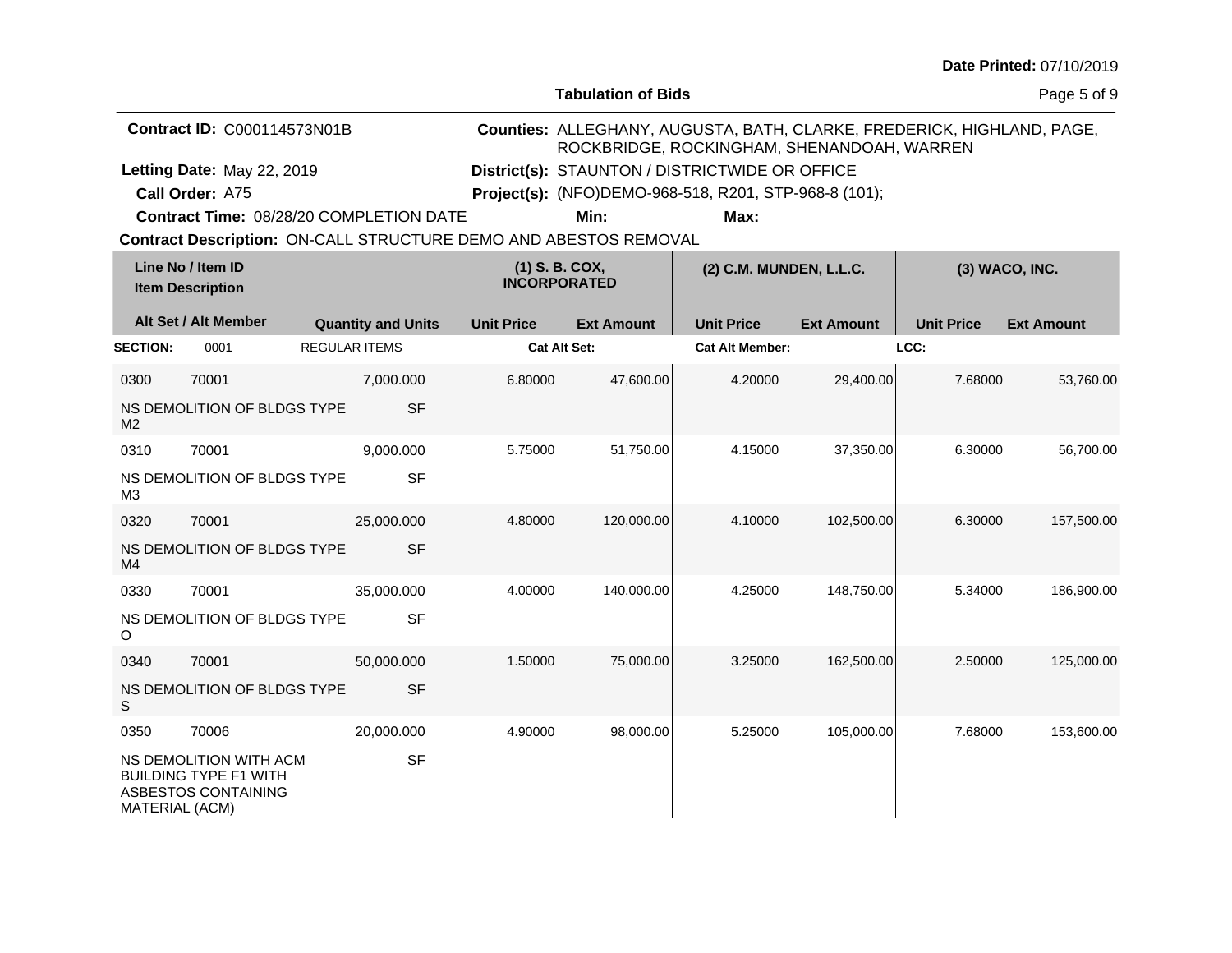| <b>Date Printed: 07/10/2019</b> |  |
|---------------------------------|--|
|---------------------------------|--|

**Tabulation of Bids**

Page 5 of 9

| <b>Contract ID: C000114573N01B</b> |                                                                               |                           |                                         | Counties: ALLEGHANY, AUGUSTA, BATH, CLARKE, FREDERICK, HIGHLAND, PAGE,<br>ROCKBRIDGE, ROCKINGHAM, SHENANDOAH, WARREN |                                                       |                   |                   |                   |  |  |
|------------------------------------|-------------------------------------------------------------------------------|---------------------------|-----------------------------------------|----------------------------------------------------------------------------------------------------------------------|-------------------------------------------------------|-------------------|-------------------|-------------------|--|--|
|                                    | Letting Date: May 22, 2019                                                    |                           |                                         | District(s): STAUNTON / DISTRICTWIDE OR OFFICE                                                                       |                                                       |                   |                   |                   |  |  |
|                                    | Call Order: A75                                                               |                           |                                         |                                                                                                                      | Project(s): (NFO)DEMO-968-518, R201, STP-968-8 (101); |                   |                   |                   |  |  |
|                                    | <b>Contract Time: 08/28/20 COMPLETION DATE</b>                                |                           |                                         | Min:                                                                                                                 | Max:                                                  |                   |                   |                   |  |  |
|                                    | Contract Description: ON-CALL STRUCTURE DEMO AND ABESTOS REMOVAL              |                           |                                         |                                                                                                                      |                                                       |                   |                   |                   |  |  |
|                                    | Line No / Item ID<br><b>Item Description</b>                                  |                           | $(1)$ S. B. COX,<br><b>INCORPORATED</b> |                                                                                                                      | (2) C.M. MUNDEN, L.L.C.                               |                   |                   | (3) WACO, INC.    |  |  |
|                                    | Alt Set / Alt Member                                                          | <b>Quantity and Units</b> | <b>Unit Price</b>                       | <b>Ext Amount</b>                                                                                                    | <b>Unit Price</b>                                     | <b>Ext Amount</b> | <b>Unit Price</b> | <b>Ext Amount</b> |  |  |
| <b>SECTION:</b>                    | 0001                                                                          | <b>REGULAR ITEMS</b>      |                                         | <b>Cat Alt Set:</b>                                                                                                  | <b>Cat Alt Member:</b>                                |                   | LCC:              |                   |  |  |
| 0300                               | 70001                                                                         | 7,000.000                 | 6.80000                                 | 47,600.00                                                                                                            | 4.20000                                               | 29,400.00         | 7.68000           | 53,760.00         |  |  |
| M <sub>2</sub>                     | NS DEMOLITION OF BLDGS TYPE                                                   | <b>SF</b>                 |                                         |                                                                                                                      |                                                       |                   |                   |                   |  |  |
| 0310                               | 70001                                                                         | 9,000.000                 | 5.75000                                 | 51,750.00                                                                                                            | 4.15000                                               | 37,350.00         | 6.30000           | 56,700.00         |  |  |
| M <sub>3</sub>                     | NS DEMOLITION OF BLDGS TYPE                                                   | <b>SF</b>                 |                                         |                                                                                                                      |                                                       |                   |                   |                   |  |  |
| 0320                               | 70001                                                                         | 25,000.000                | 4.80000                                 | 120,000.00                                                                                                           | 4.10000                                               | 102,500.00        | 6.30000           | 157,500.00        |  |  |
| M4                                 | NS DEMOLITION OF BLDGS TYPE                                                   | <b>SF</b>                 |                                         |                                                                                                                      |                                                       |                   |                   |                   |  |  |
| 0330                               | 70001                                                                         | 35,000.000                | 4.00000                                 | 140,000.00                                                                                                           | 4.25000                                               | 148,750.00        | 5.34000           | 186,900.00        |  |  |
| O                                  | NS DEMOLITION OF BLDGS TYPE                                                   | <b>SF</b>                 |                                         |                                                                                                                      |                                                       |                   |                   |                   |  |  |
| 0340                               | 70001                                                                         | 50,000.000                | 1.50000                                 | 75,000.00                                                                                                            | 3.25000                                               | 162,500.00        | 2.50000           | 125,000.00        |  |  |
| S                                  | NS DEMOLITION OF BLDGS TYPE                                                   | <b>SF</b>                 |                                         |                                                                                                                      |                                                       |                   |                   |                   |  |  |
| 0350                               | 70006                                                                         | 20,000.000                | 4.90000                                 | 98,000.00                                                                                                            | 5.25000                                               | 105,000.00        | 7.68000           | 153,600.00        |  |  |
| MATERIAL (ACM)                     | NS DEMOLITION WITH ACM<br><b>BUILDING TYPE F1 WITH</b><br>ASBESTOS CONTAINING | <b>SF</b>                 |                                         |                                                                                                                      |                                                       |                   |                   |                   |  |  |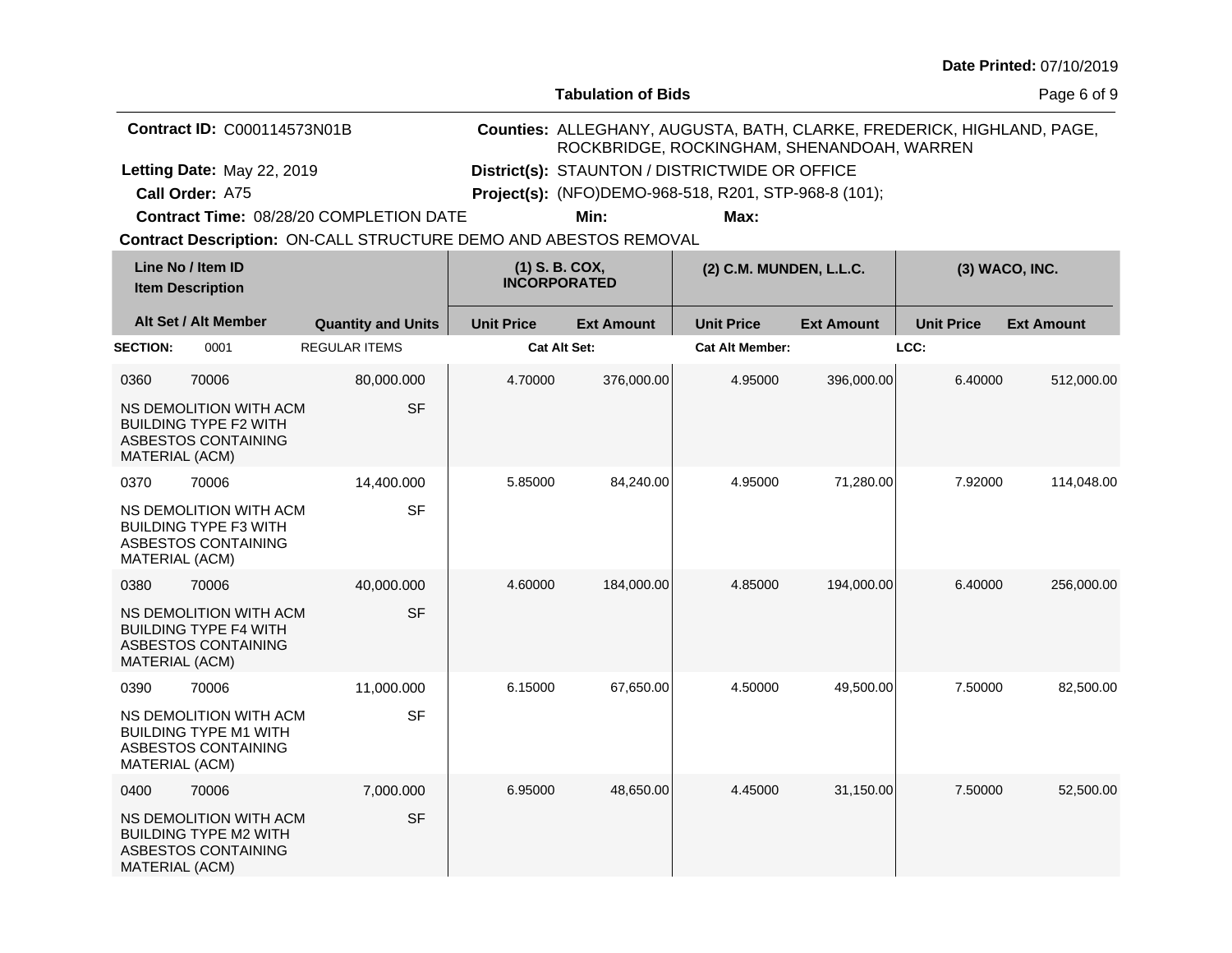| Date Printed: 07/10/2019 |  |
|--------------------------|--|
|--------------------------|--|

**Tabulation of Bids**

Page 6 of 9

|                 | <b>Contract ID: C000114573N01B</b>                                            |                                                                  | Counties: ALLEGHANY, AUGUSTA, BATH, CLARKE, FREDERICK, HIGHLAND, PAGE,<br>ROCKBRIDGE, ROCKINGHAM, SHENANDOAH, WARREN |                                                |                                                              |                   |                   |                   |  |
|-----------------|-------------------------------------------------------------------------------|------------------------------------------------------------------|----------------------------------------------------------------------------------------------------------------------|------------------------------------------------|--------------------------------------------------------------|-------------------|-------------------|-------------------|--|
|                 | Letting Date: May 22, 2019                                                    |                                                                  |                                                                                                                      | District(s): STAUNTON / DISTRICTWIDE OR OFFICE |                                                              |                   |                   |                   |  |
|                 | Call Order: A75                                                               |                                                                  |                                                                                                                      |                                                | <b>Project(s):</b> (NFO)DEMO-968-518, R201, STP-968-8 (101); |                   |                   |                   |  |
|                 |                                                                               | Contract Time: 08/28/20 COMPLETION DATE                          |                                                                                                                      | Min:                                           | Max:                                                         |                   |                   |                   |  |
|                 |                                                                               | Contract Description: ON-CALL STRUCTURE DEMO AND ABESTOS REMOVAL |                                                                                                                      |                                                |                                                              |                   |                   |                   |  |
|                 | Line No / Item ID<br><b>Item Description</b>                                  |                                                                  | (1) S. B. COX,<br><b>INCORPORATED</b>                                                                                |                                                | (2) C.M. MUNDEN, L.L.C.                                      |                   |                   | (3) WACO, INC.    |  |
|                 | Alt Set / Alt Member                                                          | <b>Quantity and Units</b>                                        | <b>Unit Price</b>                                                                                                    | <b>Ext Amount</b>                              | <b>Unit Price</b>                                            | <b>Ext Amount</b> | <b>Unit Price</b> | <b>Ext Amount</b> |  |
| <b>SECTION:</b> | 0001                                                                          | <b>REGULAR ITEMS</b>                                             | <b>Cat Alt Set:</b>                                                                                                  |                                                | <b>Cat Alt Member:</b>                                       |                   | LCC:              |                   |  |
| 0360            | 70006                                                                         | 80,000.000                                                       | 4.70000                                                                                                              | 376,000.00                                     | 4.95000                                                      | 396,000.00        | 6.40000           | 512,000.00        |  |
| MATERIAL (ACM)  | NS DEMOLITION WITH ACM<br><b>BUILDING TYPE F2 WITH</b><br>ASBESTOS CONTAINING | <b>SF</b>                                                        |                                                                                                                      |                                                |                                                              |                   |                   |                   |  |
| 0370            | 70006                                                                         | 14,400.000                                                       | 5.85000                                                                                                              | 84,240.00                                      | 4.95000                                                      | 71,280.00         | 7.92000           | 114,048.00        |  |
| MATERIAL (ACM)  | NS DEMOLITION WITH ACM<br><b>BUILDING TYPE F3 WITH</b><br>ASBESTOS CONTAINING | <b>SF</b>                                                        |                                                                                                                      |                                                |                                                              |                   |                   |                   |  |
| 0380            | 70006                                                                         | 40,000.000                                                       | 4.60000                                                                                                              | 184,000.00                                     | 4.85000                                                      | 194,000.00        | 6.40000           | 256,000.00        |  |
| MATERIAL (ACM)  | NS DEMOLITION WITH ACM<br><b>BUILDING TYPE F4 WITH</b><br>ASBESTOS CONTAINING | <b>SF</b>                                                        |                                                                                                                      |                                                |                                                              |                   |                   |                   |  |
| 0390            | 70006                                                                         | 11,000.000                                                       | 6.15000                                                                                                              | 67,650.00                                      | 4.50000                                                      | 49,500.00         | 7.50000           | 82,500.00         |  |
| MATERIAL (ACM)  | NS DEMOLITION WITH ACM<br><b>BUILDING TYPE M1 WITH</b><br>ASBESTOS CONTAINING | <b>SF</b>                                                        |                                                                                                                      |                                                |                                                              |                   |                   |                   |  |
| 0400            | 70006                                                                         | 7,000.000                                                        | 6.95000                                                                                                              | 48,650.00                                      | 4.45000                                                      | 31,150.00         | 7.50000           | 52,500.00         |  |
| MATERIAL (ACM)  | NS DEMOLITION WITH ACM<br><b>BUILDING TYPE M2 WITH</b><br>ASBESTOS CONTAINING | <b>SF</b>                                                        |                                                                                                                      |                                                |                                                              |                   |                   |                   |  |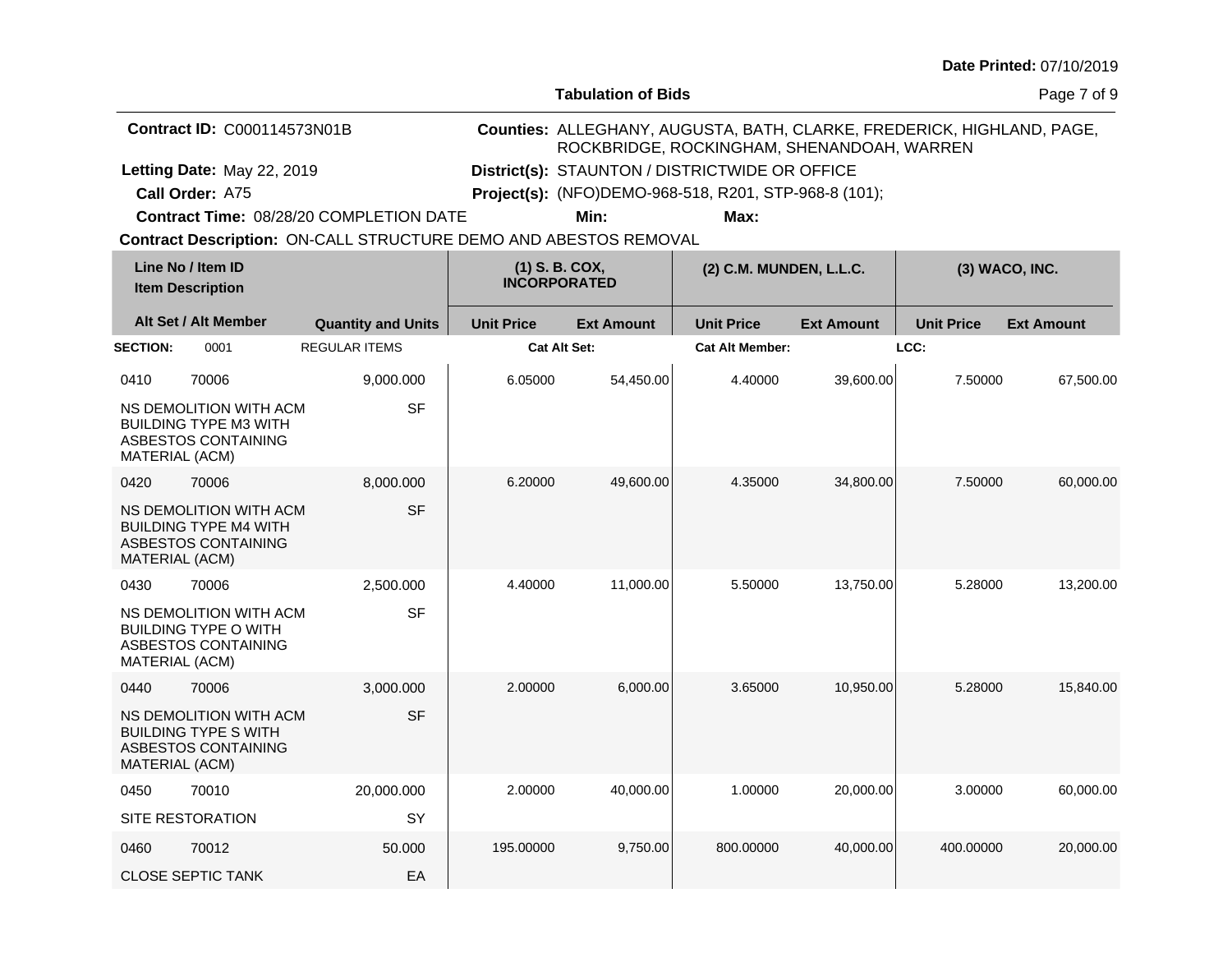**Tabulation of Bids**

Page 7 of 9

|                 | <b>Contract ID: C000114573N01B</b>                                                                    |                                                                  | Counties: ALLEGHANY, AUGUSTA, BATH, CLARKE, FREDERICK, HIGHLAND, PAGE,<br>ROCKBRIDGE, ROCKINGHAM, SHENANDOAH, WARREN |                   |                                                       |                   |                   |                   |  |
|-----------------|-------------------------------------------------------------------------------------------------------|------------------------------------------------------------------|----------------------------------------------------------------------------------------------------------------------|-------------------|-------------------------------------------------------|-------------------|-------------------|-------------------|--|
|                 | Letting Date: May 22, 2019                                                                            |                                                                  |                                                                                                                      |                   | District(s): STAUNTON / DISTRICTWIDE OR OFFICE        |                   |                   |                   |  |
|                 | Call Order: A75                                                                                       |                                                                  |                                                                                                                      |                   | Project(s): (NFO)DEMO-968-518, R201, STP-968-8 (101); |                   |                   |                   |  |
|                 |                                                                                                       | Contract Time: 08/28/20 COMPLETION DATE                          |                                                                                                                      | Min:              | Max:                                                  |                   |                   |                   |  |
|                 |                                                                                                       | Contract Description: ON-CALL STRUCTURE DEMO AND ABESTOS REMOVAL |                                                                                                                      |                   |                                                       |                   |                   |                   |  |
|                 | Line No / Item ID<br><b>Item Description</b>                                                          |                                                                  | (1) S. B. COX,<br><b>INCORPORATED</b>                                                                                |                   | (2) C.M. MUNDEN, L.L.C.                               |                   |                   | (3) WACO, INC.    |  |
|                 | Alt Set / Alt Member                                                                                  | <b>Quantity and Units</b>                                        | <b>Unit Price</b>                                                                                                    | <b>Ext Amount</b> | <b>Unit Price</b>                                     | <b>Ext Amount</b> | <b>Unit Price</b> | <b>Ext Amount</b> |  |
| <b>SECTION:</b> | 0001                                                                                                  | <b>REGULAR ITEMS</b>                                             | Cat Alt Set:                                                                                                         |                   | <b>Cat Alt Member:</b>                                |                   | LCC:              |                   |  |
| 0410            | 70006                                                                                                 | 9,000.000                                                        | 6.05000                                                                                                              | 54,450.00         | 4.40000                                               | 39,600.00         | 7.50000           | 67,500.00         |  |
|                 | NS DEMOLITION WITH ACM<br><b>BUILDING TYPE M3 WITH</b><br>ASBESTOS CONTAINING<br>MATERIAL (ACM)       | <b>SF</b>                                                        |                                                                                                                      |                   |                                                       |                   |                   |                   |  |
| 0420            | 70006                                                                                                 | 8.000.000                                                        | 6.20000                                                                                                              | 49,600.00         | 4.35000                                               | 34,800.00         | 7.50000           | 60,000.00         |  |
|                 | NS DEMOLITION WITH ACM<br><b>BUILDING TYPE M4 WITH</b><br>ASBESTOS CONTAINING<br>MATERIAL (ACM)       | <b>SF</b>                                                        |                                                                                                                      |                   |                                                       |                   |                   |                   |  |
| 0430            | 70006                                                                                                 | 2,500.000                                                        | 4.40000                                                                                                              | 11,000.00         | 5.50000                                               | 13,750.00         | 5.28000           | 13,200.00         |  |
|                 | NS DEMOLITION WITH ACM<br><b>BUILDING TYPE O WITH</b><br>ASBESTOS CONTAINING<br>MATERIAL (ACM)        | <b>SF</b>                                                        |                                                                                                                      |                   |                                                       |                   |                   |                   |  |
| 0440            | 70006                                                                                                 | 3,000.000                                                        | 2.00000                                                                                                              | 6,000.00          | 3.65000                                               | 10,950.00         | 5.28000           | 15,840.00         |  |
|                 | NS DEMOLITION WITH ACM<br><b>BUILDING TYPE S WITH</b><br>ASBESTOS CONTAINING<br><b>MATERIAL (ACM)</b> | <b>SF</b>                                                        |                                                                                                                      |                   |                                                       |                   |                   |                   |  |
| 0450            | 70010                                                                                                 | 20,000.000                                                       | 2.00000                                                                                                              | 40,000.00         | 1.00000                                               | 20,000.00         | 3.00000           | 60,000.00         |  |
|                 | <b>SITE RESTORATION</b>                                                                               | SY                                                               |                                                                                                                      |                   |                                                       |                   |                   |                   |  |
| 0460            | 70012                                                                                                 | 50.000                                                           | 195.00000                                                                                                            | 9,750.00          | 800.00000                                             | 40.000.00         | 400.00000         | 20,000,00         |  |

CLOSE SEPTIC TANK

EA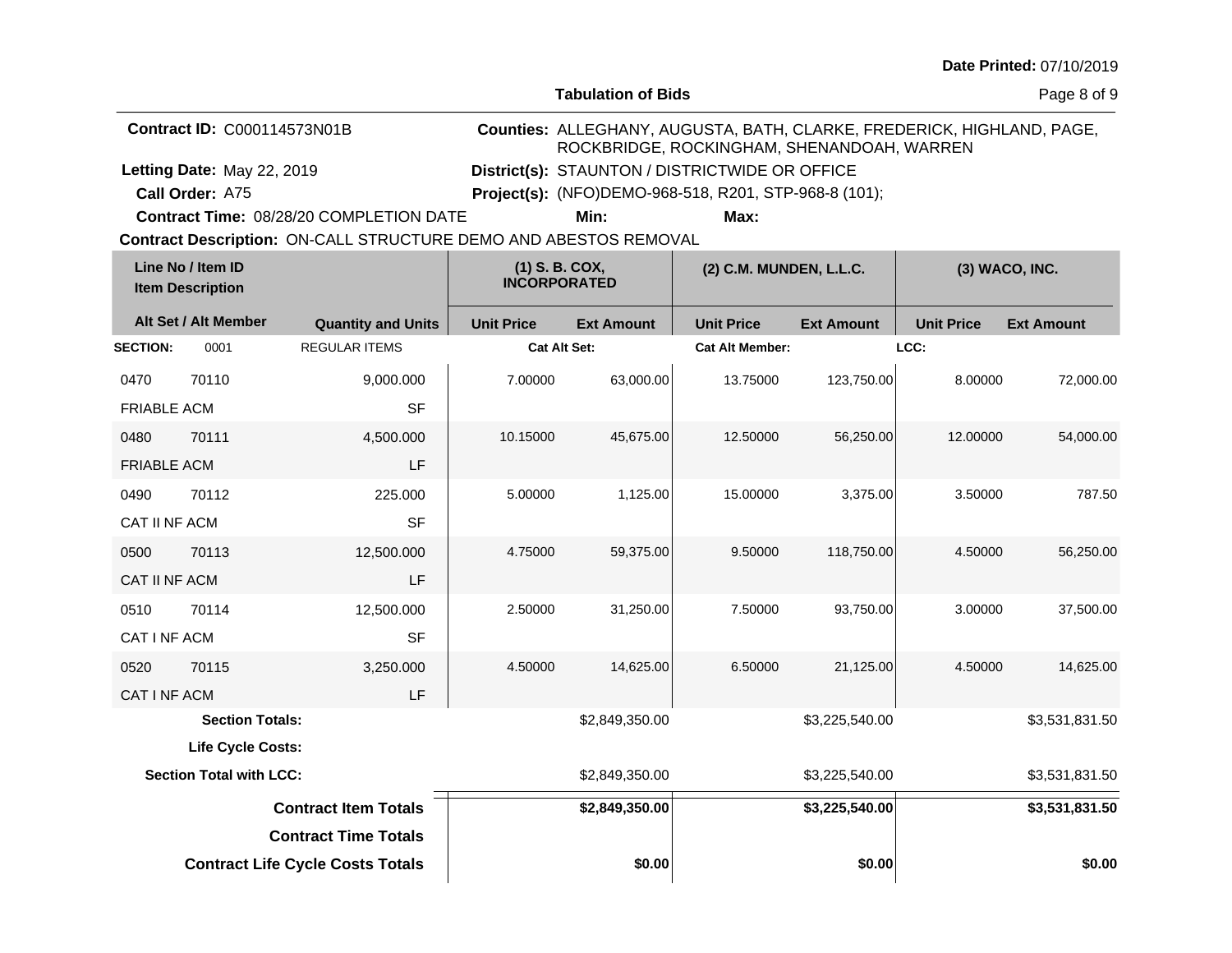| Date Printed: 07/10/2019 |  |  |
|--------------------------|--|--|
|--------------------------|--|--|

**Tabulation of Bids**

Page 8 of 9

| <b>Contract ID: C000114573N01B</b>      |                                                | Counties: ALLEGHANY, AUGUSTA, BATH, CLARKE, FREDERICK, HIGHLAND, PAGE,<br>ROCKBRIDGE, ROCKINGHAM, SHENANDOAH, WARREN |  |
|-----------------------------------------|------------------------------------------------|----------------------------------------------------------------------------------------------------------------------|--|
| Letting Date: May 22, 2019              | District(s): STAUNTON / DISTRICTWIDE OR OFFICE |                                                                                                                      |  |
| Call Order: A75                         |                                                | <b>Project(s):</b> (NFO)DEMO-968-518, R201, STP-968-8 (101);                                                         |  |
| Contract Time: 08/28/20 COMPLETION DATE | Min:                                           | Max:                                                                                                                 |  |

**Contract Description: ON-CALL STRUCTURE DEMO AND ABESTOS REMOVAL** 

| Line No / Item ID<br><b>Item Description</b> |                                | (1) S. B. COX,<br><b>INCORPORATED</b>   |                     |                   | (2) C.M. MUNDEN, L.L.C.<br>(3) WACO, INC. |                   |                   |                   |
|----------------------------------------------|--------------------------------|-----------------------------------------|---------------------|-------------------|-------------------------------------------|-------------------|-------------------|-------------------|
|                                              | Alt Set / Alt Member           | <b>Quantity and Units</b>               | <b>Unit Price</b>   | <b>Ext Amount</b> | <b>Unit Price</b>                         | <b>Ext Amount</b> | <b>Unit Price</b> | <b>Ext Amount</b> |
| <b>SECTION:</b>                              | 0001                           | <b>REGULAR ITEMS</b>                    | <b>Cat Alt Set:</b> |                   | <b>Cat Alt Member:</b>                    |                   | LCC:              |                   |
| 0470                                         | 70110                          | 9,000.000                               | 7.00000             | 63,000.00         | 13.75000                                  | 123,750.00        | 8.00000           | 72,000.00         |
| <b>FRIABLE ACM</b>                           |                                | <b>SF</b>                               |                     |                   |                                           |                   |                   |                   |
| 0480                                         | 70111                          | 4,500.000                               | 10.15000            | 45,675.00         | 12.50000                                  | 56,250.00         | 12.00000          | 54,000.00         |
| <b>FRIABLE ACM</b>                           |                                | LF                                      |                     |                   |                                           |                   |                   |                   |
| 0490                                         | 70112                          | 225.000                                 | 5.00000             | 1,125.00          | 15.00000                                  | 3,375.00          | 3.50000           | 787.50            |
| CAT II NF ACM                                |                                | <b>SF</b>                               |                     |                   |                                           |                   |                   |                   |
| 0500                                         | 70113                          | 12,500.000                              | 4.75000             | 59,375.00         | 9.50000                                   | 118,750.00        | 4.50000           | 56,250.00         |
| CAT II NF ACM                                |                                | LF                                      |                     |                   |                                           |                   |                   |                   |
| 0510                                         | 70114                          | 12,500.000                              | 2.50000             | 31,250.00         | 7.50000                                   | 93,750.00         | 3.00000           | 37,500.00         |
| CAT I NF ACM                                 |                                | <b>SF</b>                               |                     |                   |                                           |                   |                   |                   |
| 0520                                         | 70115                          | 3,250.000                               | 4.50000             | 14,625.00         | 6.50000                                   | 21,125.00         | 4.50000           | 14,625.00         |
| CAT I NF ACM                                 |                                | LF                                      |                     |                   |                                           |                   |                   |                   |
|                                              | <b>Section Totals:</b>         |                                         |                     | \$2,849,350.00    |                                           | \$3,225,540.00    |                   | \$3,531,831.50    |
|                                              | Life Cycle Costs:              |                                         |                     |                   |                                           |                   |                   |                   |
|                                              | <b>Section Total with LCC:</b> |                                         |                     | \$2,849,350.00    |                                           | \$3,225,540.00    |                   | \$3,531,831.50    |
|                                              |                                | <b>Contract Item Totals</b>             |                     | \$2,849,350.00    |                                           | \$3,225,540.00    |                   | \$3,531,831.50    |
|                                              |                                | <b>Contract Time Totals</b>             |                     |                   |                                           |                   |                   |                   |
|                                              |                                | <b>Contract Life Cycle Costs Totals</b> |                     | \$0.00            |                                           | \$0.00            |                   | \$0.00            |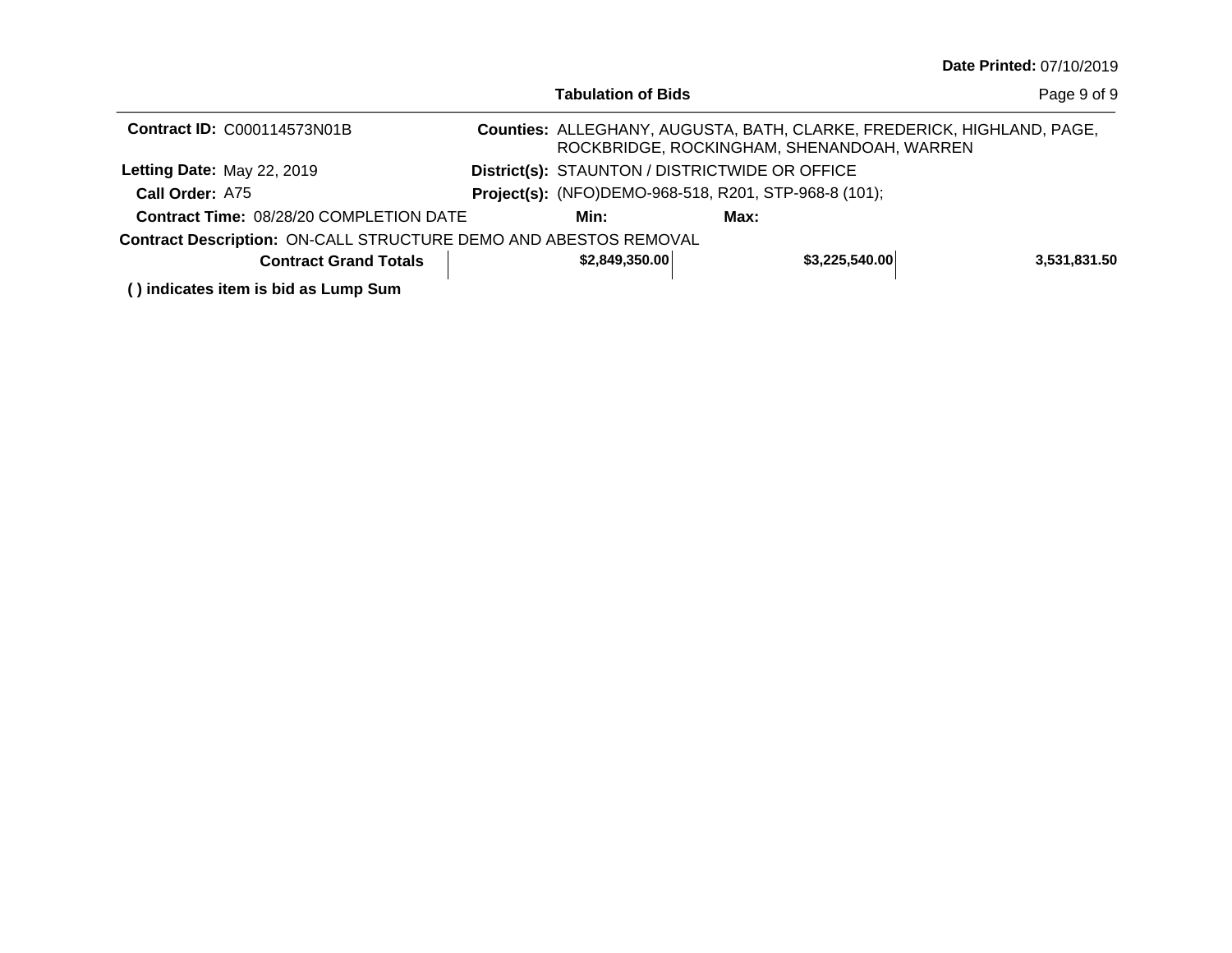|                                                                  | <b>Tabulation of Bids</b>                                    |      |                                                                                                                      | Page 9 of 9  |
|------------------------------------------------------------------|--------------------------------------------------------------|------|----------------------------------------------------------------------------------------------------------------------|--------------|
| <b>Contract ID: C000114573N01B</b>                               |                                                              |      | Counties: ALLEGHANY, AUGUSTA, BATH, CLARKE, FREDERICK, HIGHLAND, PAGE,<br>ROCKBRIDGE, ROCKINGHAM, SHENANDOAH, WARREN |              |
| Letting Date: May 22, 2019                                       | District(s): STAUNTON / DISTRICTWIDE OR OFFICE               |      |                                                                                                                      |              |
| Call Order: A75                                                  | <b>Project(s):</b> (NFO)DEMO-968-518, R201, STP-968-8 (101); |      |                                                                                                                      |              |
| <b>Contract Time: 08/28/20 COMPLETION DATE</b>                   | Min:                                                         | Max: |                                                                                                                      |              |
| Contract Description: ON-CALL STRUCTURE DEMO AND ABESTOS REMOVAL |                                                              |      |                                                                                                                      |              |
| <b>Contract Grand Totals</b>                                     | \$2,849,350.00                                               |      | \$3,225,540.00                                                                                                       | 3,531,831.50 |
| () indicates item is bid as Lump Sum                             |                                                              |      |                                                                                                                      |              |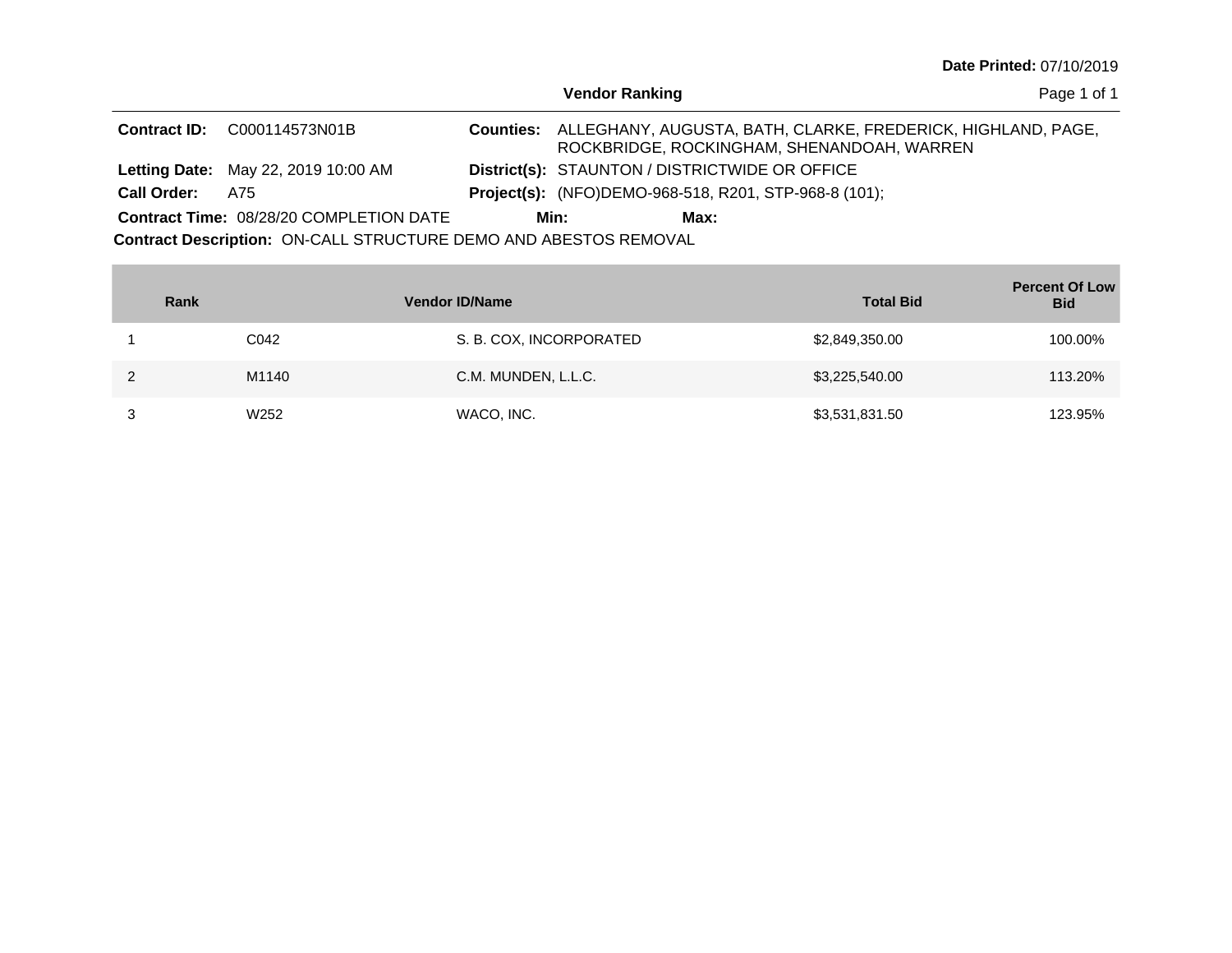| Date Printed: 07/10/2019 |  |
|--------------------------|--|
|--------------------------|--|

|                                                                         |                                                |  | <b>Vendor Ranking</b>                                        |      |                                                                                                                      | Page 1 of 1 |
|-------------------------------------------------------------------------|------------------------------------------------|--|--------------------------------------------------------------|------|----------------------------------------------------------------------------------------------------------------------|-------------|
|                                                                         | <b>Contract ID:</b> C000114573N01B             |  |                                                              |      | Counties: ALLEGHANY, AUGUSTA, BATH, CLARKE, FREDERICK, HIGHLAND, PAGE,<br>ROCKBRIDGE, ROCKINGHAM, SHENANDOAH, WARREN |             |
|                                                                         | <b>Letting Date: May 22, 2019 10:00 AM</b>     |  | <b>District(s): STAUNTON / DISTRICTWIDE OR OFFICE</b>        |      |                                                                                                                      |             |
| <b>Call Order:</b>                                                      | A75                                            |  | <b>Project(s):</b> (NFO)DEMO-968-518, R201, STP-968-8 (101); |      |                                                                                                                      |             |
|                                                                         | <b>Contract Time: 08/28/20 COMPLETION DATE</b> |  | Min:                                                         | Max: |                                                                                                                      |             |
| <b>Contract Description: ON-CALL STRUCTURE DEMO AND ABESTOS REMOVAL</b> |                                                |  |                                                              |      |                                                                                                                      |             |

| Rank |                  | <b>Vendor ID/Name</b>   | <b>Total Bid</b> | <b>Percent Of Low</b><br><b>Bid</b> |
|------|------------------|-------------------------|------------------|-------------------------------------|
|      | C042             | S. B. COX, INCORPORATED | \$2,849,350.00   | 100.00%                             |
|      | M1140            | C.M. MUNDEN, L.L.C.     | \$3,225,540.00   | 113.20%                             |
|      | W <sub>252</sub> | WACO, INC.              | \$3,531,831.50   | 123.95%                             |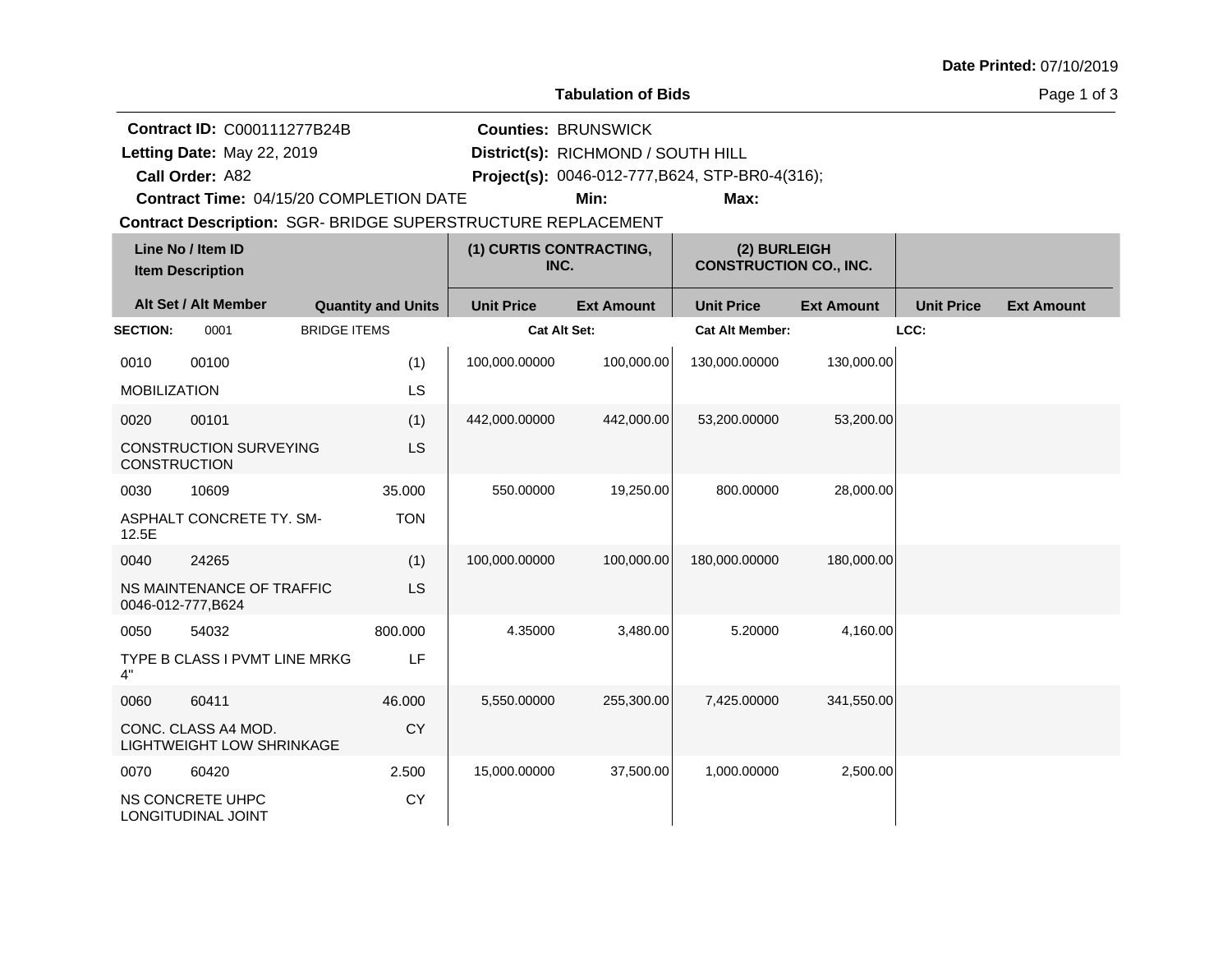# **Tabulation of Bids**

Page 1 of 3

|                     | <b>Contract ID: C000111277B24B</b>                                  |                     |                           | <b>Counties: BRUNSWICK</b>      |                                                 |                                               |                   |                   |                   |  |  |
|---------------------|---------------------------------------------------------------------|---------------------|---------------------------|---------------------------------|-------------------------------------------------|-----------------------------------------------|-------------------|-------------------|-------------------|--|--|
|                     | Letting Date: May 22, 2019                                          |                     |                           |                                 | District(s): RICHMOND / SOUTH HILL              |                                               |                   |                   |                   |  |  |
|                     | Call Order: A82                                                     |                     |                           |                                 | Project(s): 0046-012-777, B624, STP-BR0-4(316); |                                               |                   |                   |                   |  |  |
|                     | Contract Time: 04/15/20 COMPLETION DATE                             |                     |                           |                                 | Min:                                            | Max:                                          |                   |                   |                   |  |  |
|                     | <b>Contract Description: SGR- BRIDGE SUPERSTRUCTURE REPLACEMENT</b> |                     |                           |                                 |                                                 |                                               |                   |                   |                   |  |  |
|                     | Line No / Item ID<br><b>Item Description</b>                        |                     |                           | (1) CURTIS CONTRACTING,<br>INC. |                                                 | (2) BURLEIGH<br><b>CONSTRUCTION CO., INC.</b> |                   |                   |                   |  |  |
|                     | Alt Set / Alt Member                                                |                     | <b>Quantity and Units</b> | <b>Unit Price</b>               | <b>Ext Amount</b>                               | <b>Unit Price</b>                             | <b>Ext Amount</b> | <b>Unit Price</b> | <b>Ext Amount</b> |  |  |
| <b>SECTION:</b>     | 0001                                                                | <b>BRIDGE ITEMS</b> |                           | Cat Alt Set:                    |                                                 | <b>Cat Alt Member:</b>                        |                   | LCC:              |                   |  |  |
| 0010                | 00100                                                               |                     | (1)                       | 100,000.00000                   | 100,000.00                                      | 130,000.00000                                 | 130,000.00        |                   |                   |  |  |
| <b>MOBILIZATION</b> |                                                                     |                     | LS                        |                                 |                                                 |                                               |                   |                   |                   |  |  |
| 0020                | 00101                                                               |                     | (1)                       | 442,000.00000                   | 442,000.00                                      | 53,200.00000                                  | 53,200.00         |                   |                   |  |  |
| <b>CONSTRUCTION</b> | <b>CONSTRUCTION SURVEYING</b>                                       |                     | LS                        |                                 |                                                 |                                               |                   |                   |                   |  |  |
| 0030                | 10609                                                               |                     | 35.000                    | 550.00000                       | 19,250.00                                       | 800.00000                                     | 28,000.00         |                   |                   |  |  |
| 12.5E               | ASPHALT CONCRETE TY. SM-                                            |                     | <b>TON</b>                |                                 |                                                 |                                               |                   |                   |                   |  |  |
| 0040                | 24265                                                               |                     | (1)                       | 100,000.00000                   | 100,000.00                                      | 180,000.00000                                 | 180,000.00        |                   |                   |  |  |
|                     | NS MAINTENANCE OF TRAFFIC<br>0046-012-777, B624                     |                     | LS                        |                                 |                                                 |                                               |                   |                   |                   |  |  |
| 0050                | 54032                                                               |                     | 800.000                   | 4.35000                         | 3,480.00                                        | 5.20000                                       | 4,160.00          |                   |                   |  |  |
| 4"                  | TYPE B CLASS I PVMT LINE MRKG                                       |                     | LF                        |                                 |                                                 |                                               |                   |                   |                   |  |  |
| 0060                | 60411                                                               |                     | 46.000                    | 5,550.00000                     | 255,300.00                                      | 7,425.00000                                   | 341,550.00        |                   |                   |  |  |
|                     | CONC. CLASS A4 MOD.<br>LIGHTWEIGHT LOW SHRINKAGE                    |                     | <b>CY</b>                 |                                 |                                                 |                                               |                   |                   |                   |  |  |
| 0070                | 60420                                                               |                     | 2.500                     | 15,000.00000                    | 37,500.00                                       | 1,000.00000                                   | 2,500.00          |                   |                   |  |  |
|                     | NS CONCRETE UHPC<br>LONGITUDINAL JOINT                              |                     | CY                        |                                 |                                                 |                                               |                   |                   |                   |  |  |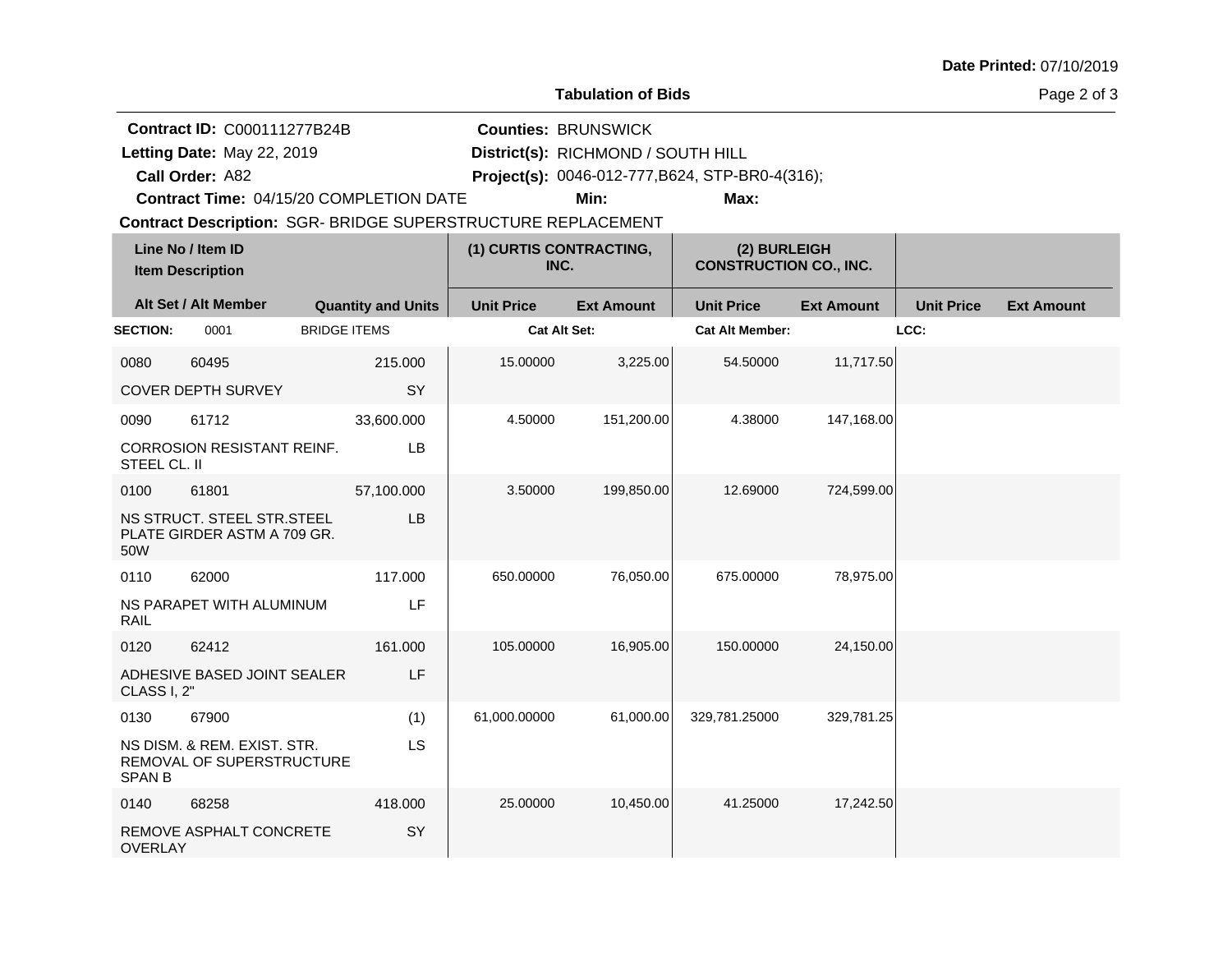# **Tabulation of Bids**

Page 2 of 3

|                 |                                                              |                           |                                 |                                    |                                                 | <b>Contract ID: C000111277B24B</b><br><b>Counties: BRUNSWICK</b> |                   |                   |  |  |  |  |  |  |
|-----------------|--------------------------------------------------------------|---------------------------|---------------------------------|------------------------------------|-------------------------------------------------|------------------------------------------------------------------|-------------------|-------------------|--|--|--|--|--|--|
|                 | Letting Date: May 22, 2019                                   |                           |                                 | District(s): RICHMOND / SOUTH HILL |                                                 |                                                                  |                   |                   |  |  |  |  |  |  |
|                 | Call Order: A82                                              |                           |                                 |                                    | Project(s): 0046-012-777, B624, STP-BR0-4(316); |                                                                  |                   |                   |  |  |  |  |  |  |
|                 | Contract Time: 04/15/20 COMPLETION DATE                      |                           |                                 | Min:                               | Max:                                            |                                                                  |                   |                   |  |  |  |  |  |  |
|                 | Contract Description: SGR- BRIDGE SUPERSTRUCTURE REPLACEMENT |                           |                                 |                                    |                                                 |                                                                  |                   |                   |  |  |  |  |  |  |
|                 | Line No / Item ID<br><b>Item Description</b>                 |                           | (1) CURTIS CONTRACTING,<br>INC. |                                    | (2) BURLEIGH<br><b>CONSTRUCTION CO., INC.</b>   |                                                                  |                   |                   |  |  |  |  |  |  |
|                 | Alt Set / Alt Member                                         | <b>Quantity and Units</b> | <b>Unit Price</b>               | <b>Ext Amount</b>                  | <b>Unit Price</b>                               | <b>Ext Amount</b>                                                | <b>Unit Price</b> | <b>Ext Amount</b> |  |  |  |  |  |  |
| <b>SECTION:</b> | 0001                                                         | <b>BRIDGE ITEMS</b>       | <b>Cat Alt Set:</b>             |                                    | <b>Cat Alt Member:</b>                          |                                                                  | LCC:              |                   |  |  |  |  |  |  |
| 0080            | 60495                                                        | 215.000                   | 15.00000                        | 3,225.00                           | 54.50000                                        | 11,717.50                                                        |                   |                   |  |  |  |  |  |  |
|                 | COVER DEPTH SURVEY                                           | SY                        |                                 |                                    |                                                 |                                                                  |                   |                   |  |  |  |  |  |  |
| 0090            | 61712                                                        | 33,600.000                | 4.50000                         | 151,200.00                         | 4.38000                                         | 147,168.00                                                       |                   |                   |  |  |  |  |  |  |
| STEEL CL. II    | <b>CORROSION RESISTANT REINF.</b>                            | LB                        |                                 |                                    |                                                 |                                                                  |                   |                   |  |  |  |  |  |  |
| 0100            | 61801                                                        | 57,100.000                | 3.50000                         | 199,850.00                         | 12.69000                                        | 724,599.00                                                       |                   |                   |  |  |  |  |  |  |
| 50W             | NS STRUCT. STEEL STR.STEEL<br>PLATE GIRDER ASTM A 709 GR.    | LB                        |                                 |                                    |                                                 |                                                                  |                   |                   |  |  |  |  |  |  |
| 0110            | 62000                                                        | 117.000                   | 650.00000                       | 76,050.00                          | 675.00000                                       | 78,975.00                                                        |                   |                   |  |  |  |  |  |  |
| RAIL            | NS PARAPET WITH ALUMINUM                                     | LF                        |                                 |                                    |                                                 |                                                                  |                   |                   |  |  |  |  |  |  |
| 0120            | 62412                                                        | 161.000                   | 105.00000                       | 16,905.00                          | 150.00000                                       | 24,150.00                                                        |                   |                   |  |  |  |  |  |  |
| CLASS I, 2"     | ADHESIVE BASED JOINT SEALER                                  | LF                        |                                 |                                    |                                                 |                                                                  |                   |                   |  |  |  |  |  |  |
| 0130            | 67900                                                        | (1)                       | 61,000.00000                    | 61,000.00                          | 329,781.25000                                   | 329,781.25                                                       |                   |                   |  |  |  |  |  |  |
| <b>SPAN B</b>   | NS DISM. & REM. EXIST. STR.<br>REMOVAL OF SUPERSTRUCTURE     | LS                        |                                 |                                    |                                                 |                                                                  |                   |                   |  |  |  |  |  |  |
| 0140            | 68258                                                        | 418,000                   | 25.00000                        | 10,450.00                          | 41.25000                                        | 17,242.50                                                        |                   |                   |  |  |  |  |  |  |
| <b>OVERLAY</b>  | REMOVE ASPHALT CONCRETE                                      | SY                        |                                 |                                    |                                                 |                                                                  |                   |                   |  |  |  |  |  |  |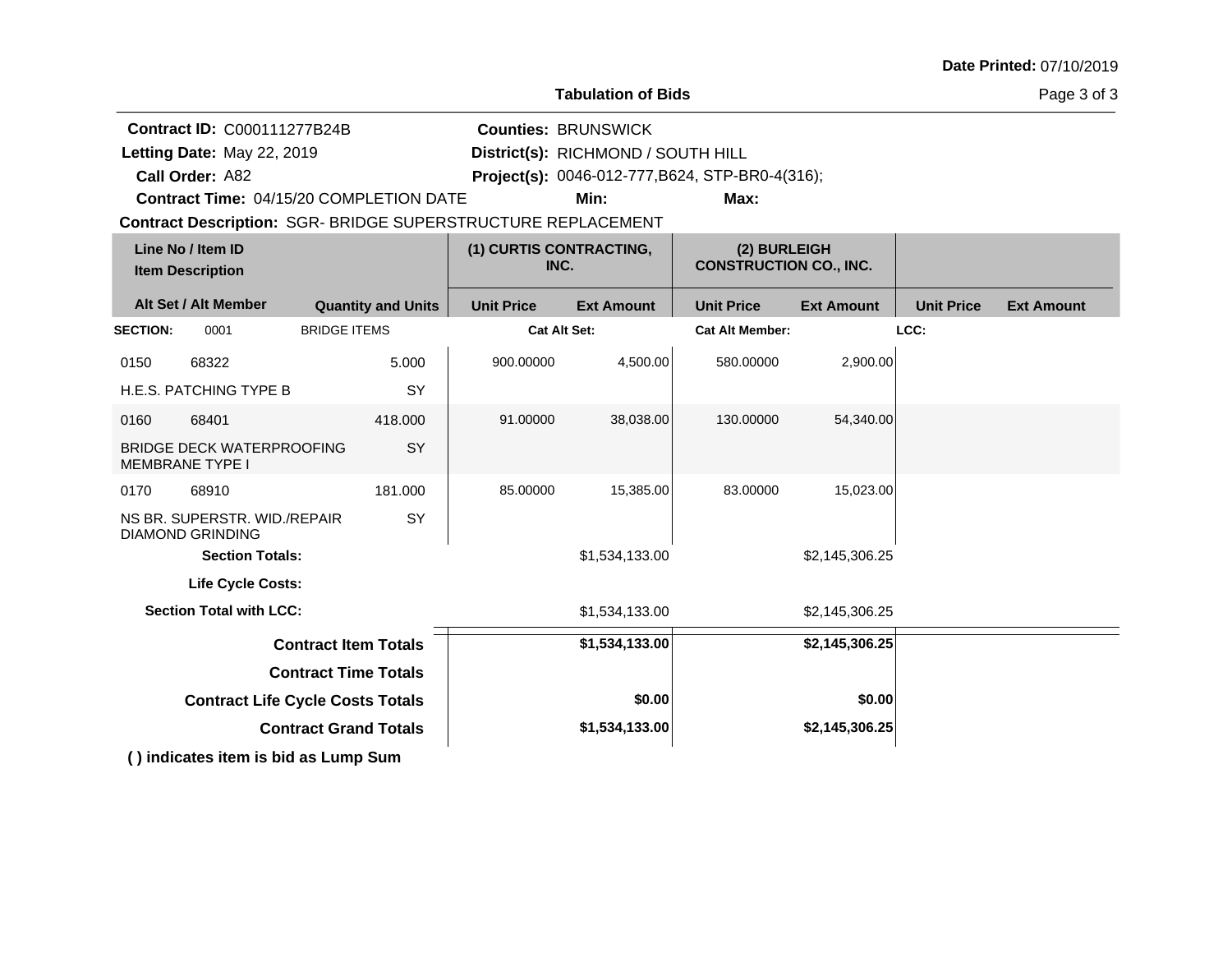| Date Printed: 07/10/2019 |  |
|--------------------------|--|
|--------------------------|--|

**Tabulation of Bids**

|                 | <b>Contract ID: C000111277B24B</b>                         |                                                                     |                                                 | <b>Counties: BRUNSWICK</b>         |                        |                                               |                   |                   |
|-----------------|------------------------------------------------------------|---------------------------------------------------------------------|-------------------------------------------------|------------------------------------|------------------------|-----------------------------------------------|-------------------|-------------------|
|                 | Letting Date: May 22, 2019                                 |                                                                     |                                                 | District(s): RICHMOND / SOUTH HILL |                        |                                               |                   |                   |
|                 | Call Order: A82                                            |                                                                     | Project(s): 0046-012-777, B624, STP-BR0-4(316); |                                    |                        |                                               |                   |                   |
|                 |                                                            | Contract Time: 04/15/20 COMPLETION DATE                             |                                                 | Min:                               | Max:                   |                                               |                   |                   |
|                 |                                                            | <b>Contract Description: SGR- BRIDGE SUPERSTRUCTURE REPLACEMENT</b> |                                                 |                                    |                        |                                               |                   |                   |
|                 | Line No / Item ID<br><b>Item Description</b>               |                                                                     |                                                 | (1) CURTIS CONTRACTING,<br>INC.    |                        | (2) BURLEIGH<br><b>CONSTRUCTION CO., INC.</b> |                   |                   |
|                 | Alt Set / Alt Member                                       | <b>Quantity and Units</b>                                           | <b>Unit Price</b>                               | <b>Ext Amount</b>                  | <b>Unit Price</b>      | <b>Ext Amount</b>                             | <b>Unit Price</b> | <b>Ext Amount</b> |
| <b>SECTION:</b> | 0001                                                       | <b>BRIDGE ITEMS</b>                                                 | <b>Cat Alt Set:</b>                             |                                    | <b>Cat Alt Member:</b> |                                               | LCC:              |                   |
| 0150            | 68322                                                      | 5.000                                                               | 900.00000                                       | 4,500.00                           | 580.00000              | 2,900.00                                      |                   |                   |
|                 | H.E.S. PATCHING TYPE B                                     | SY                                                                  |                                                 |                                    |                        |                                               |                   |                   |
| 0160            | 68401                                                      | 418.000                                                             | 91.00000                                        | 38,038.00                          | 130.00000              | 54,340.00                                     |                   |                   |
|                 | <b>BRIDGE DECK WATERPROOFING</b><br><b>MEMBRANE TYPE I</b> | SY                                                                  |                                                 |                                    |                        |                                               |                   |                   |
| 0170            | 68910                                                      | 181.000                                                             | 85.00000                                        | 15,385.00                          | 83.00000               | 15,023.00                                     |                   |                   |
|                 | NS BR. SUPERSTR. WID./REPAIR<br><b>DIAMOND GRINDING</b>    | SY                                                                  |                                                 |                                    |                        |                                               |                   |                   |
|                 | <b>Section Totals:</b>                                     |                                                                     |                                                 | \$1,534,133.00                     |                        | \$2,145,306.25                                |                   |                   |
|                 | Life Cycle Costs:                                          |                                                                     |                                                 |                                    |                        |                                               |                   |                   |
|                 | <b>Section Total with LCC:</b>                             |                                                                     |                                                 | \$1,534,133.00                     |                        | \$2,145,306.25                                |                   |                   |
|                 |                                                            | <b>Contract Item Totals</b>                                         |                                                 | \$1,534,133.00                     |                        | \$2,145,306.25                                |                   |                   |
|                 |                                                            | <b>Contract Time Totals</b>                                         |                                                 |                                    |                        |                                               |                   |                   |
|                 | <b>Contract Life Cycle Costs Totals</b>                    |                                                                     |                                                 | \$0.00                             |                        | \$0.00                                        |                   |                   |
|                 |                                                            | <b>Contract Grand Totals</b>                                        |                                                 | \$1,534,133.00                     |                        | \$2,145,306.25                                |                   |                   |
|                 |                                                            | () indicates item is bid as Lump Sum                                |                                                 |                                    |                        |                                               |                   |                   |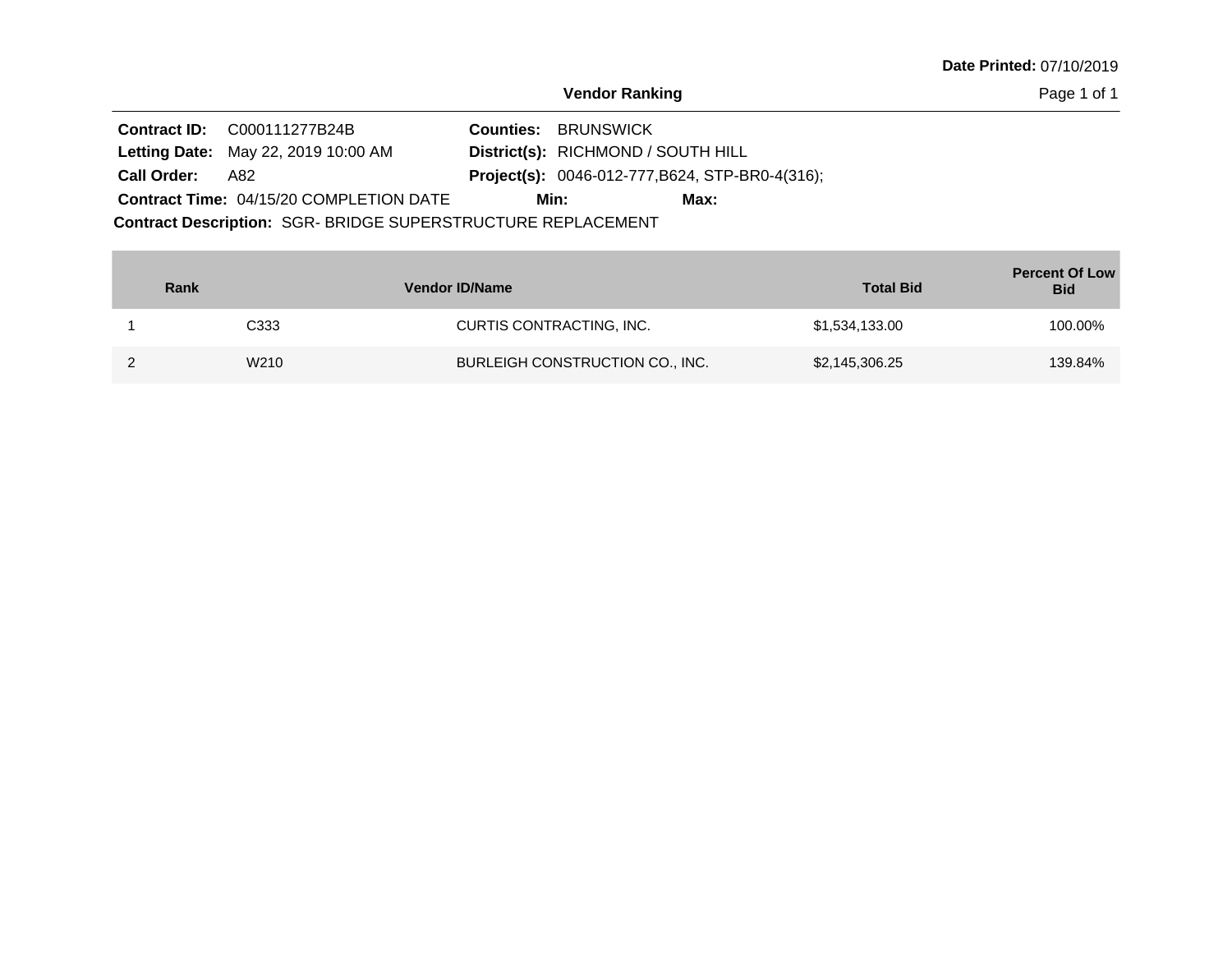Page 1 of 1

|                    | <b>Contract ID: C000111277B24B</b>                           | <b>Counties: BRUNSWICK</b>                             |      |
|--------------------|--------------------------------------------------------------|--------------------------------------------------------|------|
|                    | <b>Letting Date: May 22, 2019 10:00 AM</b>                   | District(s): RICHMOND / SOUTH HILL                     |      |
| <b>Call Order:</b> | A82                                                          | <b>Project(s):</b> 0046-012-777, B624, STP-BR0-4(316); |      |
|                    | <b>Contract Time: 04/15/20 COMPLETION DATE</b>               | Min:                                                   | Max: |
|                    | Contract Description: SGR- BRIDGE SUPERSTRUCTURE REPLACEMENT |                                                        |      |

| Rank |      | <b>Vendor ID/Name</b>           | <b>Total Bid</b> | <b>Percent Of Low</b><br><b>Bid</b> |
|------|------|---------------------------------|------------------|-------------------------------------|
|      | C333 | CURTIS CONTRACTING, INC.        | \$1,534,133.00   | 100.00%                             |
|      | W210 | BURLEIGH CONSTRUCTION CO., INC. | \$2,145,306.25   | 139.84%                             |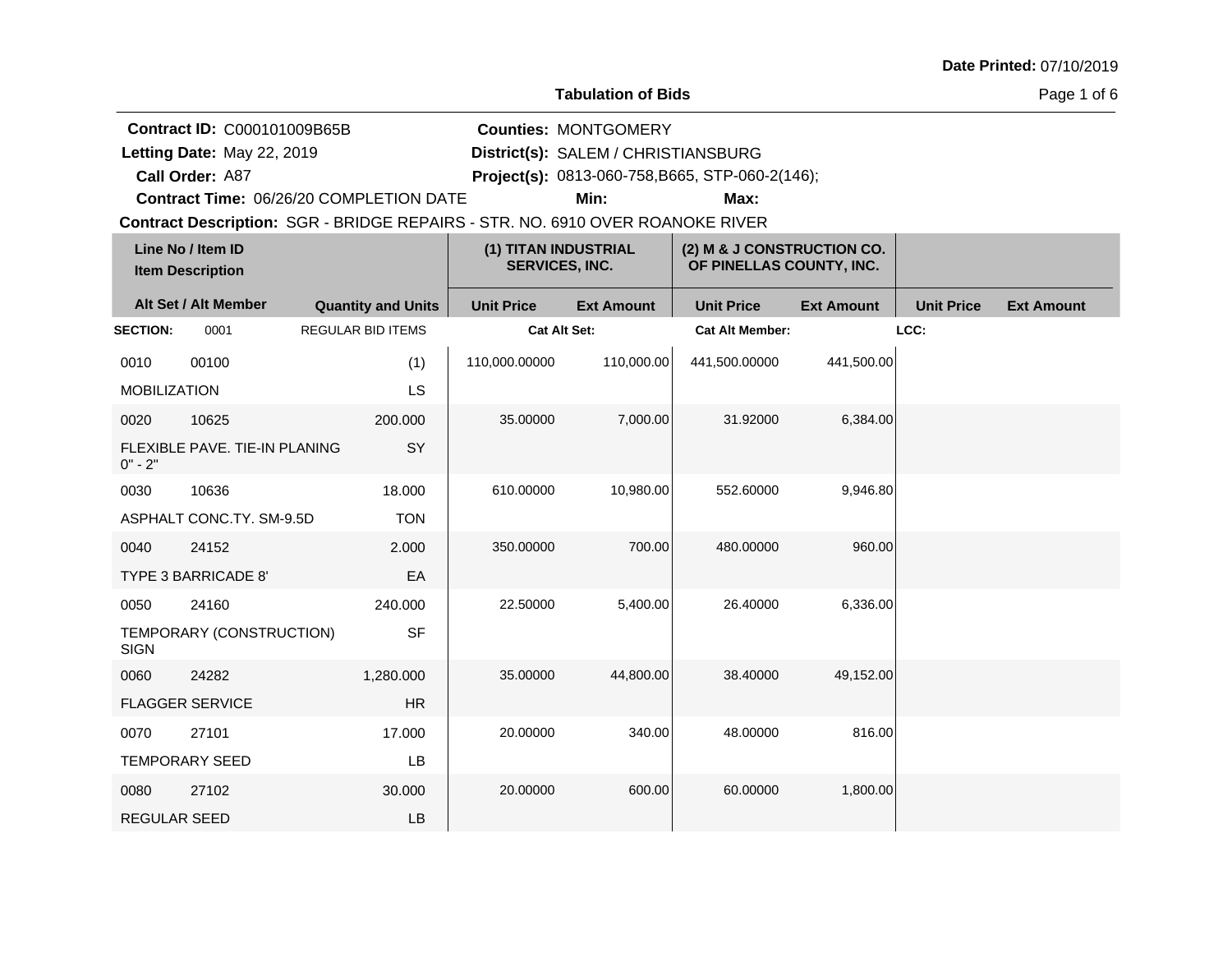#### **Tabulation of Bids**

**Counties:** MONTGOMERY

Page 1 of 6

**Contract ID:** C000101009B65B

**Letting Date:** May 22, 2019 **District(s):** SALEM / CHRISTIANSBURG Letting Date: May 22, 2019

**Call Order:**

A87 **Project(s):** 0813-060-758,B665, STP-060-2(146);

**Contract Time:** 06/26/20 COMPLETION DATE

**Min: Max:**

| Line No / Item ID<br><b>Item Description</b> |                                      |                           | (1) TITAN INDUSTRIAL<br><b>SERVICES, INC.</b> |                   | (2) M & J CONSTRUCTION CO.<br>OF PINELLAS COUNTY, INC. |                   |                   |                   |
|----------------------------------------------|--------------------------------------|---------------------------|-----------------------------------------------|-------------------|--------------------------------------------------------|-------------------|-------------------|-------------------|
|                                              | Alt Set / Alt Member                 | <b>Quantity and Units</b> | <b>Unit Price</b>                             | <b>Ext Amount</b> | <b>Unit Price</b>                                      | <b>Ext Amount</b> | <b>Unit Price</b> | <b>Ext Amount</b> |
| <b>SECTION:</b>                              | 0001                                 | <b>REGULAR BID ITEMS</b>  | <b>Cat Alt Set:</b>                           |                   | <b>Cat Alt Member:</b>                                 |                   | LCC:              |                   |
| 0010                                         | 00100                                | (1)                       | 110,000.00000                                 | 110,000.00        | 441,500.00000                                          | 441,500.00        |                   |                   |
| <b>MOBILIZATION</b>                          |                                      | LS                        |                                               |                   |                                                        |                   |                   |                   |
| 0020                                         | 10625                                | 200.000                   | 35.00000                                      | 7,000.00          | 31.92000                                               | 6,384.00          |                   |                   |
| $0" - 2"$                                    | <b>FLEXIBLE PAVE, TIE-IN PLANING</b> | SY                        |                                               |                   |                                                        |                   |                   |                   |
| 0030                                         | 10636                                | 18.000                    | 610.00000                                     | 10,980.00         | 552.60000                                              | 9,946.80          |                   |                   |
|                                              | ASPHALT CONC.TY. SM-9.5D             | <b>TON</b>                |                                               |                   |                                                        |                   |                   |                   |
| 0040                                         | 24152                                | 2.000                     | 350.00000                                     | 700.00            | 480.00000                                              | 960.00            |                   |                   |
|                                              | <b>TYPE 3 BARRICADE 8'</b>           | EA                        |                                               |                   |                                                        |                   |                   |                   |
| 0050                                         | 24160                                | 240.000                   | 22.50000                                      | 5,400.00          | 26.40000                                               | 6,336.00          |                   |                   |
| <b>SIGN</b>                                  | TEMPORARY (CONSTRUCTION)             | <b>SF</b>                 |                                               |                   |                                                        |                   |                   |                   |
| 0060                                         | 24282                                | 1,280.000                 | 35.00000                                      | 44,800.00         | 38.40000                                               | 49,152.00         |                   |                   |
|                                              | <b>FLAGGER SERVICE</b>               | <b>HR</b>                 |                                               |                   |                                                        |                   |                   |                   |
| 0070                                         | 27101                                | 17.000                    | 20.00000                                      | 340.00            | 48.00000                                               | 816.00            |                   |                   |
|                                              | <b>TEMPORARY SEED</b>                | LB                        |                                               |                   |                                                        |                   |                   |                   |
| 0080                                         | 27102                                | 30.000                    | 20.00000                                      | 600.00            | 60.00000                                               | 1,800.00          |                   |                   |
| <b>REGULAR SEED</b>                          |                                      | LB                        |                                               |                   |                                                        |                   |                   |                   |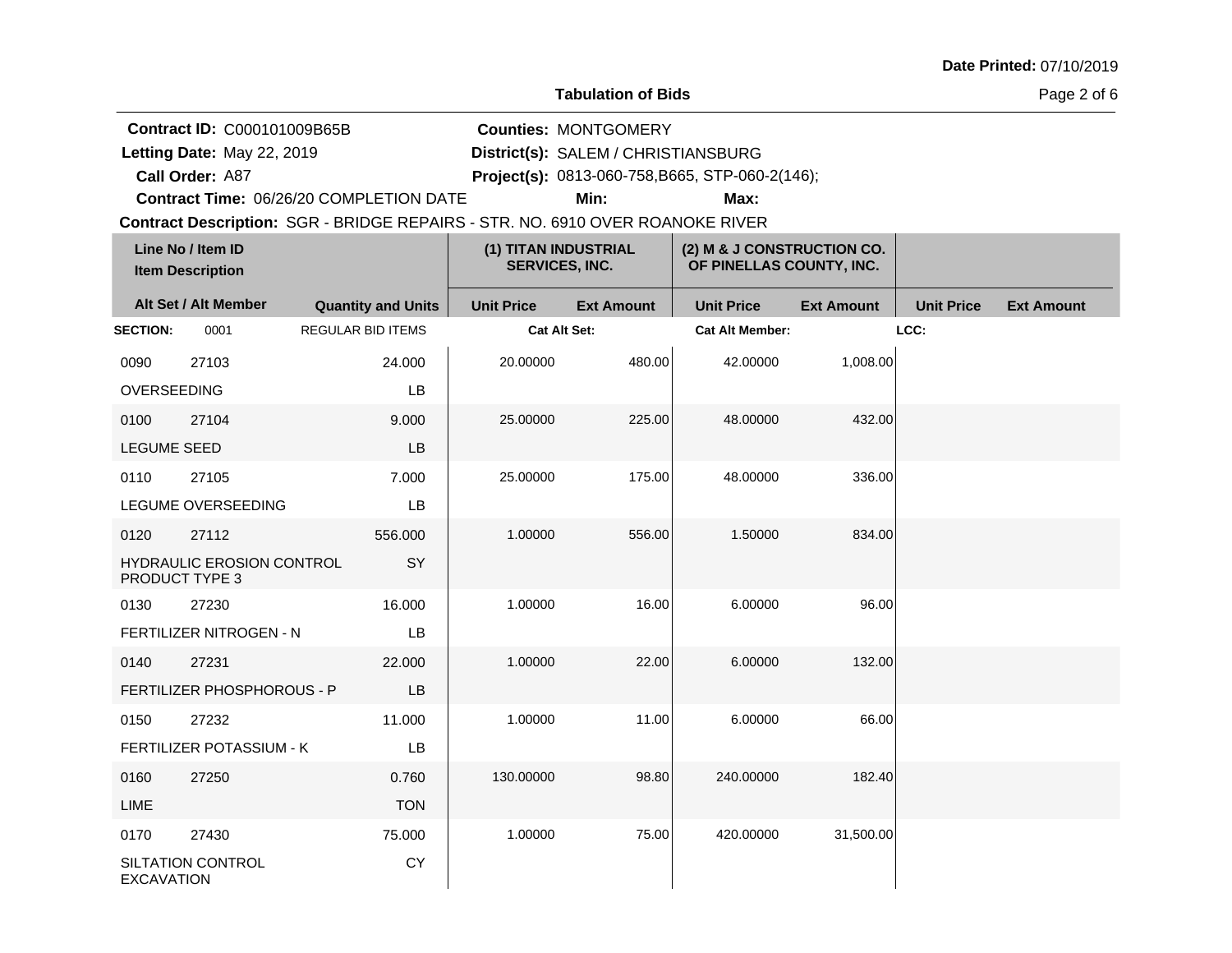#### **Tabulation of Bids**

Page 2 of 6

**Contract ID:** C000101009B65B

**Letting Date:** May 22, 2019 **District(s):** SALEM / CHRISTIANSBURG Letting Date: May 22, 2019

**Call Order:**

A87 **Project(s):** 0813-060-758,B665, STP-060-2(146);

**Counties:** MONTGOMERY

**Contract Time:** 06/26/20 COMPLETION DATE

**Min: Max:**

|                    | Line No / Item ID<br><b>Item Description</b>       |                           | (1) TITAN INDUSTRIAL<br><b>SERVICES, INC.</b> |                   | (2) M & J CONSTRUCTION CO.<br>OF PINELLAS COUNTY, INC. |                   |                   |                   |
|--------------------|----------------------------------------------------|---------------------------|-----------------------------------------------|-------------------|--------------------------------------------------------|-------------------|-------------------|-------------------|
|                    | Alt Set / Alt Member                               | <b>Quantity and Units</b> | <b>Unit Price</b>                             | <b>Ext Amount</b> | <b>Unit Price</b>                                      | <b>Ext Amount</b> | <b>Unit Price</b> | <b>Ext Amount</b> |
| <b>SECTION:</b>    | 0001                                               | REGULAR BID ITEMS         | <b>Cat Alt Set:</b>                           |                   | <b>Cat Alt Member:</b>                                 |                   | LCC:              |                   |
| 0090               | 27103                                              | 24.000                    | 20.00000                                      | 480.00            | 42.00000                                               | 1,008.00          |                   |                   |
| <b>OVERSEEDING</b> |                                                    | LB                        |                                               |                   |                                                        |                   |                   |                   |
| 0100               | 27104                                              | 9.000                     | 25.00000                                      | 225.00            | 48.00000                                               | 432.00            |                   |                   |
| <b>LEGUME SEED</b> |                                                    | LB                        |                                               |                   |                                                        |                   |                   |                   |
| 0110               | 27105                                              | 7.000                     | 25.00000                                      | 175.00            | 48.00000                                               | 336.00            |                   |                   |
|                    | LEGUME OVERSEEDING                                 | LB                        |                                               |                   |                                                        |                   |                   |                   |
| 0120               | 27112                                              | 556.000                   | 1.00000                                       | 556.00            | 1.50000                                                | 834.00            |                   |                   |
|                    | <b>HYDRAULIC EROSION CONTROL</b><br>PRODUCT TYPE 3 | SY                        |                                               |                   |                                                        |                   |                   |                   |
| 0130               | 27230                                              | 16.000                    | 1.00000                                       | 16.00             | 6.00000                                                | 96.00             |                   |                   |
|                    | FERTILIZER NITROGEN - N                            | LB                        |                                               |                   |                                                        |                   |                   |                   |
| 0140               | 27231                                              | 22,000                    | 1.00000                                       | 22.00             | 6.00000                                                | 132.00            |                   |                   |
|                    | FERTILIZER PHOSPHOROUS - P                         | <b>LB</b>                 |                                               |                   |                                                        |                   |                   |                   |
| 0150               | 27232                                              | 11.000                    | 1.00000                                       | 11.00             | 6.00000                                                | 66.00             |                   |                   |
|                    | <b>FERTILIZER POTASSIUM - K</b>                    | <b>LB</b>                 |                                               |                   |                                                        |                   |                   |                   |
| 0160               | 27250                                              | 0.760                     | 130.00000                                     | 98.80             | 240.00000                                              | 182.40            |                   |                   |
| LIME               |                                                    | <b>TON</b>                |                                               |                   |                                                        |                   |                   |                   |
| 0170               | 27430                                              | 75.000                    | 1.00000                                       | 75.00             | 420.00000                                              | 31,500.00         |                   |                   |
| <b>EXCAVATION</b>  | SILTATION CONTROL                                  | CY                        |                                               |                   |                                                        |                   |                   |                   |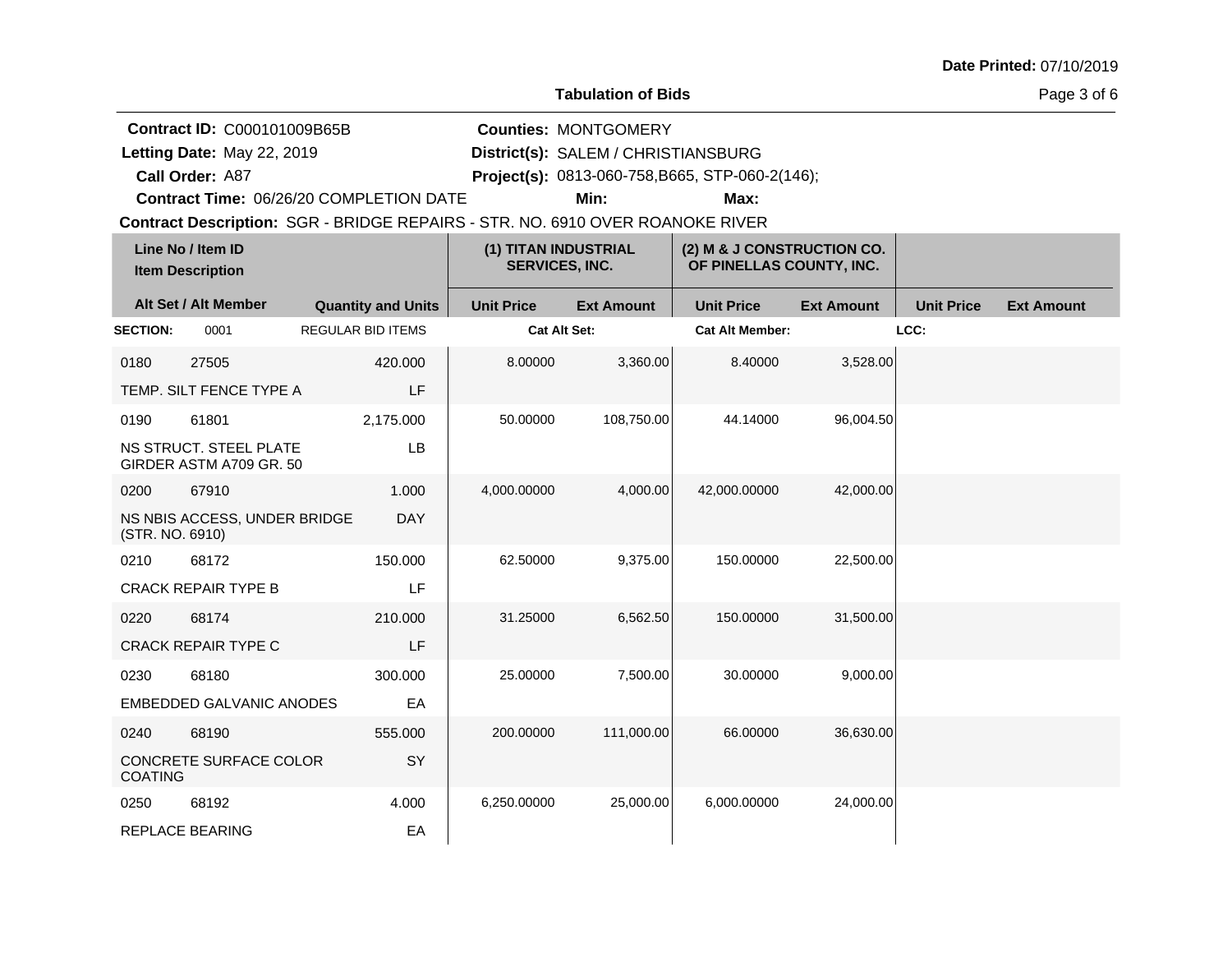#### **Tabulation of Bids**

Page 3 of 6

**Contract ID:** C000101009B65B

**Contract Time:** 06/26/20 COMPLETION DATE

**Letting Date:** May 22, 2019 **District(s):** SALEM / CHRISTIANSBURG

**Call Order:**

Letting Date: May 22, 2019

A87 **Project(s):** 0813-060-758,B665, STP-060-2(146);

**Min: Max:**

**Counties:** MONTGOMERY

| Line No / Item ID<br><b>Item Description</b> |                                                   |                           | (1) TITAN INDUSTRIAL<br><b>SERVICES, INC.</b> |                   | (2) M & J CONSTRUCTION CO.<br>OF PINELLAS COUNTY, INC. |                   |                   |                   |
|----------------------------------------------|---------------------------------------------------|---------------------------|-----------------------------------------------|-------------------|--------------------------------------------------------|-------------------|-------------------|-------------------|
|                                              | Alt Set / Alt Member                              | <b>Quantity and Units</b> | <b>Unit Price</b>                             | <b>Ext Amount</b> | <b>Unit Price</b>                                      | <b>Ext Amount</b> | <b>Unit Price</b> | <b>Ext Amount</b> |
| <b>SECTION:</b>                              | 0001                                              | <b>REGULAR BID ITEMS</b>  | <b>Cat Alt Set:</b>                           |                   | <b>Cat Alt Member:</b>                                 |                   | LCC:              |                   |
| 0180                                         | 27505                                             | 420.000                   | 8.00000                                       | 3,360.00          | 8.40000                                                | 3,528.00          |                   |                   |
|                                              | TEMP. SILT FENCE TYPE A                           | LF                        |                                               |                   |                                                        |                   |                   |                   |
| 0190                                         | 61801                                             | 2,175.000                 | 50.00000                                      | 108,750.00        | 44.14000                                               | 96,004.50         |                   |                   |
|                                              | NS STRUCT. STEEL PLATE<br>GIRDER ASTM A709 GR. 50 | LB                        |                                               |                   |                                                        |                   |                   |                   |
| 0200                                         | 67910                                             | 1.000                     | 4,000.00000                                   | 4,000.00          | 42,000.00000                                           | 42,000.00         |                   |                   |
| (STR. NO. 6910)                              | NS NBIS ACCESS, UNDER BRIDGE                      | <b>DAY</b>                |                                               |                   |                                                        |                   |                   |                   |
| 0210                                         | 68172                                             | 150.000                   | 62.50000                                      | 9,375.00          | 150.00000                                              | 22,500.00         |                   |                   |
|                                              | <b>CRACK REPAIR TYPE B</b>                        | LF                        |                                               |                   |                                                        |                   |                   |                   |
| 0220                                         | 68174                                             | 210.000                   | 31.25000                                      | 6,562.50          | 150.00000                                              | 31,500.00         |                   |                   |
|                                              | <b>CRACK REPAIR TYPE C</b>                        | LF                        |                                               |                   |                                                        |                   |                   |                   |
| 0230                                         | 68180                                             | 300.000                   | 25.00000                                      | 7,500.00          | 30.00000                                               | 9,000.00          |                   |                   |
|                                              | <b>EMBEDDED GALVANIC ANODES</b>                   | EA                        |                                               |                   |                                                        |                   |                   |                   |
| 0240                                         | 68190                                             | 555.000                   | 200.00000                                     | 111,000.00        | 66.00000                                               | 36,630.00         |                   |                   |
| <b>COATING</b>                               | CONCRETE SURFACE COLOR                            | SY                        |                                               |                   |                                                        |                   |                   |                   |
| 0250                                         | 68192                                             | 4.000                     | 6,250.00000                                   | 25,000.00         | 6,000.00000                                            | 24,000.00         |                   |                   |
|                                              | <b>REPLACE BEARING</b>                            | EA                        |                                               |                   |                                                        |                   |                   |                   |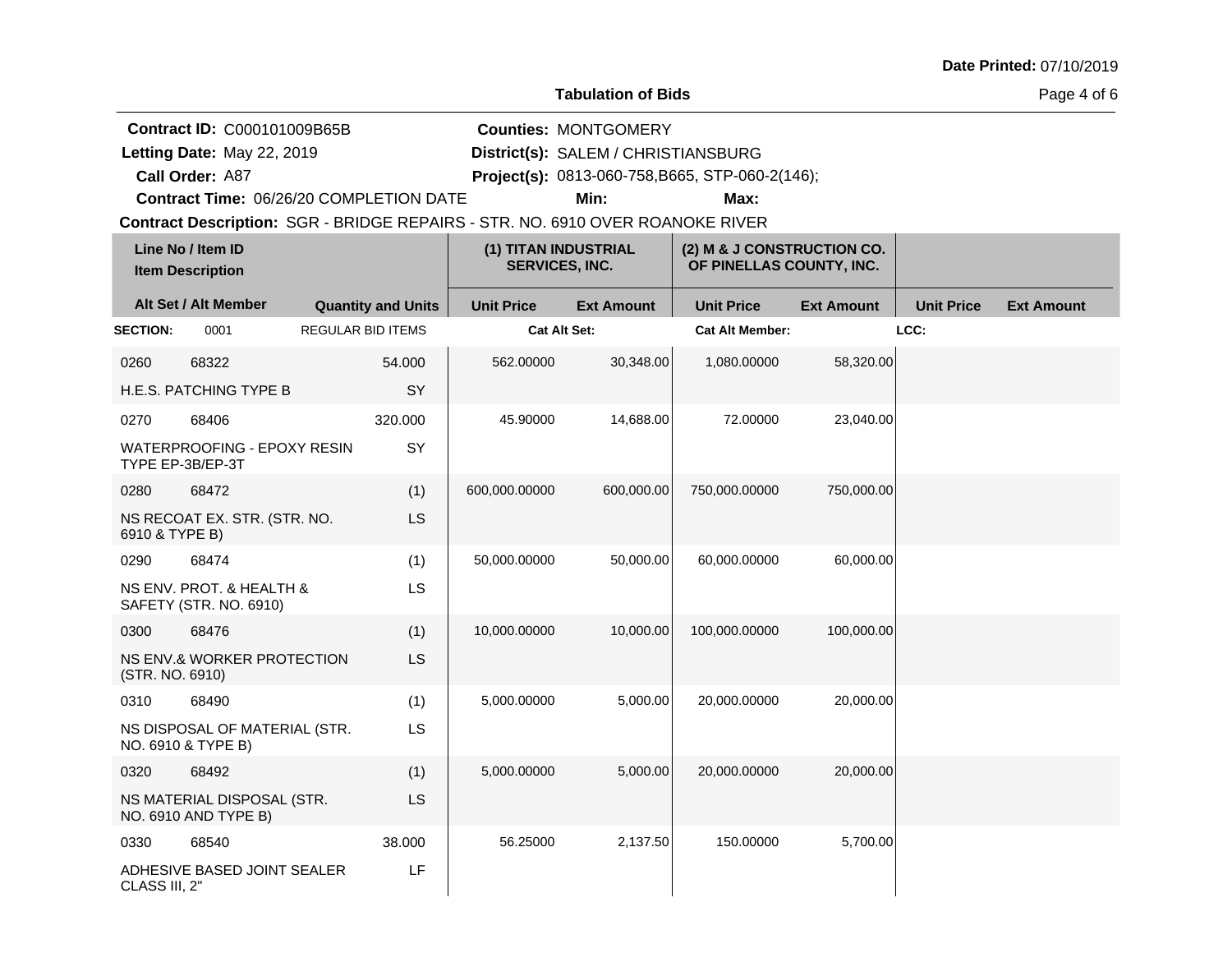#### **Tabulation of Bids**

Page 4 of 6

**Contract ID:** C000101009B65B

**Contract Time:** 06/26/20 COMPLETION DATE

**Letting Date:** May 22, 2019 **District(s):** SALEM / CHRISTIANSBURG Letting Date: May 22, 2019

**Call Order:**

A87 **Project(s):** 0813-060-758,B665, STP-060-2(146);

**Min: Max:**

**Counties:** MONTGOMERY

|                 | Line No / Item ID<br><b>Item Description</b>           |                           | (1) TITAN INDUSTRIAL<br><b>SERVICES, INC.</b> |                   | (2) M & J CONSTRUCTION CO.<br>OF PINELLAS COUNTY, INC. |                   |                   |                   |
|-----------------|--------------------------------------------------------|---------------------------|-----------------------------------------------|-------------------|--------------------------------------------------------|-------------------|-------------------|-------------------|
|                 | Alt Set / Alt Member                                   | <b>Quantity and Units</b> | <b>Unit Price</b>                             | <b>Ext Amount</b> | <b>Unit Price</b>                                      | <b>Ext Amount</b> | <b>Unit Price</b> | <b>Ext Amount</b> |
| <b>SECTION:</b> | 0001                                                   | <b>REGULAR BID ITEMS</b>  | <b>Cat Alt Set:</b>                           |                   | <b>Cat Alt Member:</b>                                 |                   | LCC:              |                   |
| 0260            | 68322                                                  | 54.000                    | 562.00000                                     | 30,348.00         | 1,080.00000                                            | 58,320.00         |                   |                   |
|                 | <b>H.E.S. PATCHING TYPE B</b>                          | <b>SY</b>                 |                                               |                   |                                                        |                   |                   |                   |
| 0270            | 68406                                                  | 320.000                   | 45.90000                                      | 14,688.00         | 72.00000                                               | 23,040.00         |                   |                   |
|                 | <b>WATERPROOFING - EPOXY RESIN</b><br>TYPE EP-3B/EP-3T | <b>SY</b>                 |                                               |                   |                                                        |                   |                   |                   |
| 0280            | 68472                                                  | (1)                       | 600,000.00000                                 | 600,000.00        | 750,000.00000                                          | 750,000.00        |                   |                   |
| 6910 & TYPE B)  | NS RECOAT EX. STR. (STR. NO.                           | <b>LS</b>                 |                                               |                   |                                                        |                   |                   |                   |
| 0290            | 68474                                                  | (1)                       | 50,000.00000                                  | 50,000.00         | 60,000.00000                                           | 60,000.00         |                   |                   |
|                 | NS ENV. PROT. & HEALTH &<br>SAFETY (STR. NO. 6910)     | <b>LS</b>                 |                                               |                   |                                                        |                   |                   |                   |
| 0300            | 68476                                                  | (1)                       | 10,000.00000                                  | 10,000.00         | 100,000.00000                                          | 100,000.00        |                   |                   |
| (STR. NO. 6910) | NS ENV.& WORKER PROTECTION                             | <b>LS</b>                 |                                               |                   |                                                        |                   |                   |                   |
| 0310            | 68490                                                  | (1)                       | 5,000.00000                                   | 5,000.00          | 20,000.00000                                           | 20,000.00         |                   |                   |
|                 | NS DISPOSAL OF MATERIAL (STR.<br>NO. 6910 & TYPE B)    | <b>LS</b>                 |                                               |                   |                                                        |                   |                   |                   |
| 0320            | 68492                                                  | (1)                       | 5,000.00000                                   | 5,000.00          | 20,000.00000                                           | 20,000.00         |                   |                   |
|                 | NS MATERIAL DISPOSAL (STR.<br>NO. 6910 AND TYPE B)     | <b>LS</b>                 |                                               |                   |                                                        |                   |                   |                   |
| 0330            | 68540                                                  | 38.000                    | 56.25000                                      | 2,137.50          | 150.00000                                              | 5,700.00          |                   |                   |
| CLASS III, 2"   | ADHESIVE BASED JOINT SEALER                            | LF.                       |                                               |                   |                                                        |                   |                   |                   |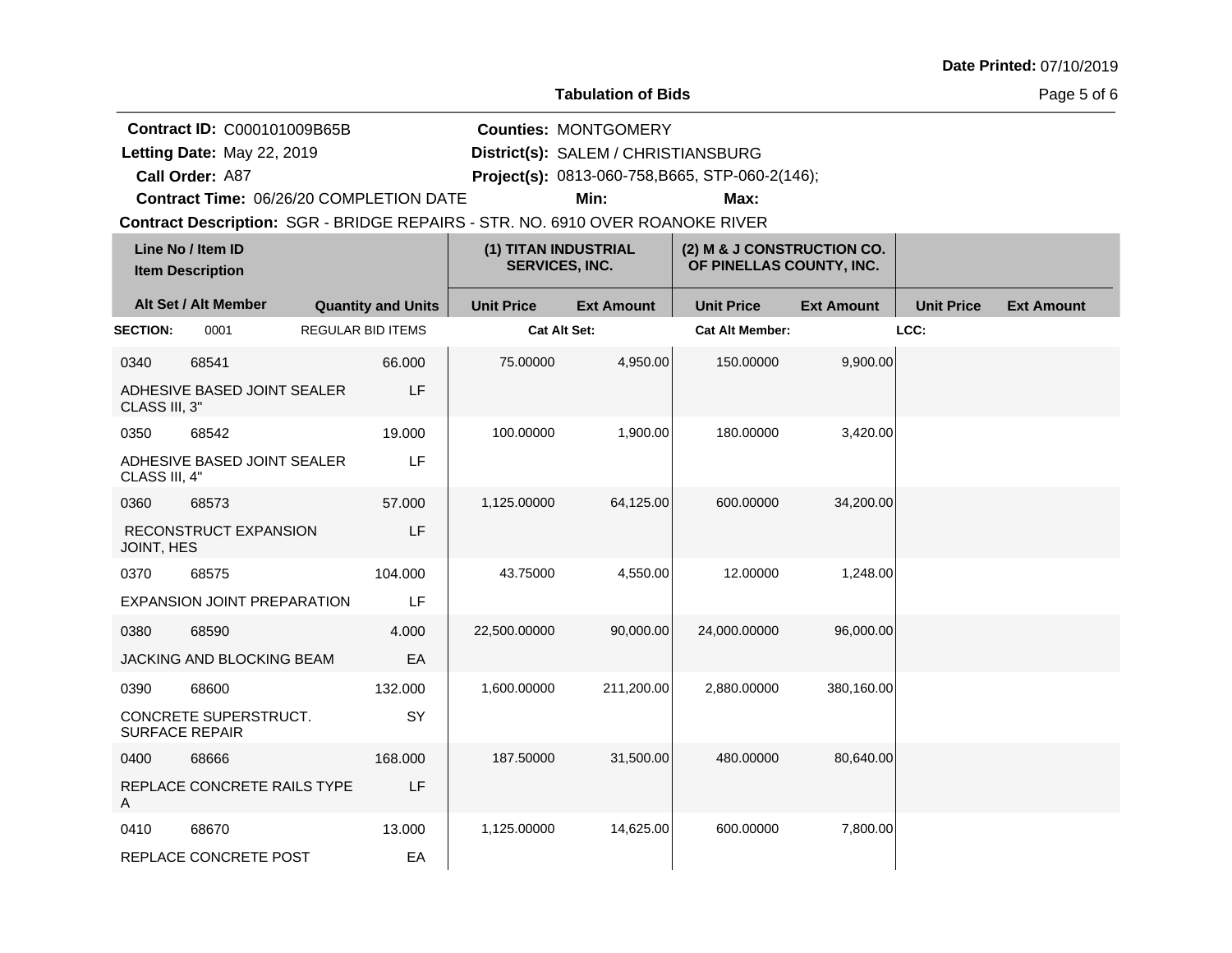#### **Tabulation of Bids**

Page 5 of 6

**Contract ID:** C000101009B65B

Letting Date: May 22, 2019

**Call Order:**

**Letting Date:** May 22, 2019 **District(s):** SALEM / CHRISTIANSBURG

**Counties:** MONTGOMERY

A87 **Project(s):** 0813-060-758,B665, STP-060-2(146);

**Contract Time:** 06/26/20 COMPLETION DATE

**Min: Max:**

| Line No / Item ID<br><b>Item Description</b> |                                                |                           | (1) TITAN INDUSTRIAL<br><b>SERVICES, INC.</b> |                   | (2) M & J CONSTRUCTION CO.<br>OF PINELLAS COUNTY, INC. |                   |                   |                   |
|----------------------------------------------|------------------------------------------------|---------------------------|-----------------------------------------------|-------------------|--------------------------------------------------------|-------------------|-------------------|-------------------|
|                                              | Alt Set / Alt Member                           | <b>Quantity and Units</b> | <b>Unit Price</b>                             | <b>Ext Amount</b> | <b>Unit Price</b>                                      | <b>Ext Amount</b> | <b>Unit Price</b> | <b>Ext Amount</b> |
| <b>SECTION:</b>                              | 0001                                           | <b>REGULAR BID ITEMS</b>  | <b>Cat Alt Set:</b>                           |                   | <b>Cat Alt Member:</b>                                 |                   | LCC:              |                   |
| 0340                                         | 68541                                          | 66.000                    | 75.00000                                      | 4,950.00          | 150.00000                                              | 9,900.00          |                   |                   |
| CLASS III, 3"                                | ADHESIVE BASED JOINT SEALER                    | LF                        |                                               |                   |                                                        |                   |                   |                   |
| 0350                                         | 68542                                          | 19.000                    | 100.00000                                     | 1,900.00          | 180.00000                                              | 3,420.00          |                   |                   |
| CLASS III, 4"                                | ADHESIVE BASED JOINT SEALER                    | LF                        |                                               |                   |                                                        |                   |                   |                   |
| 0360                                         | 68573                                          | 57.000                    | 1,125.00000                                   | 64,125.00         | 600.00000                                              | 34,200.00         |                   |                   |
| JOINT, HES                                   | RECONSTRUCT EXPANSION                          | LF                        |                                               |                   |                                                        |                   |                   |                   |
| 0370                                         | 68575                                          | 104.000                   | 43.75000                                      | 4,550.00          | 12.00000                                               | 1,248.00          |                   |                   |
|                                              | EXPANSION JOINT PREPARATION                    | LF                        |                                               |                   |                                                        |                   |                   |                   |
| 0380                                         | 68590                                          | 4.000                     | 22,500.00000                                  | 90,000.00         | 24,000.00000                                           | 96,000.00         |                   |                   |
|                                              | JACKING AND BLOCKING BEAM                      | EA                        |                                               |                   |                                                        |                   |                   |                   |
| 0390                                         | 68600                                          | 132.000                   | 1,600.00000                                   | 211,200.00        | 2,880.00000                                            | 380,160.00        |                   |                   |
|                                              | CONCRETE SUPERSTRUCT.<br><b>SURFACE REPAIR</b> | SY                        |                                               |                   |                                                        |                   |                   |                   |
| 0400                                         | 68666                                          | 168,000                   | 187.50000                                     | 31,500.00         | 480.00000                                              | 80,640.00         |                   |                   |
| A                                            | REPLACE CONCRETE RAILS TYPE                    | LF                        |                                               |                   |                                                        |                   |                   |                   |
| 0410                                         | 68670                                          | 13.000                    | 1,125.00000                                   | 14,625.00         | 600.00000                                              | 7,800.00          |                   |                   |
|                                              | REPLACE CONCRETE POST                          | EA                        |                                               |                   |                                                        |                   |                   |                   |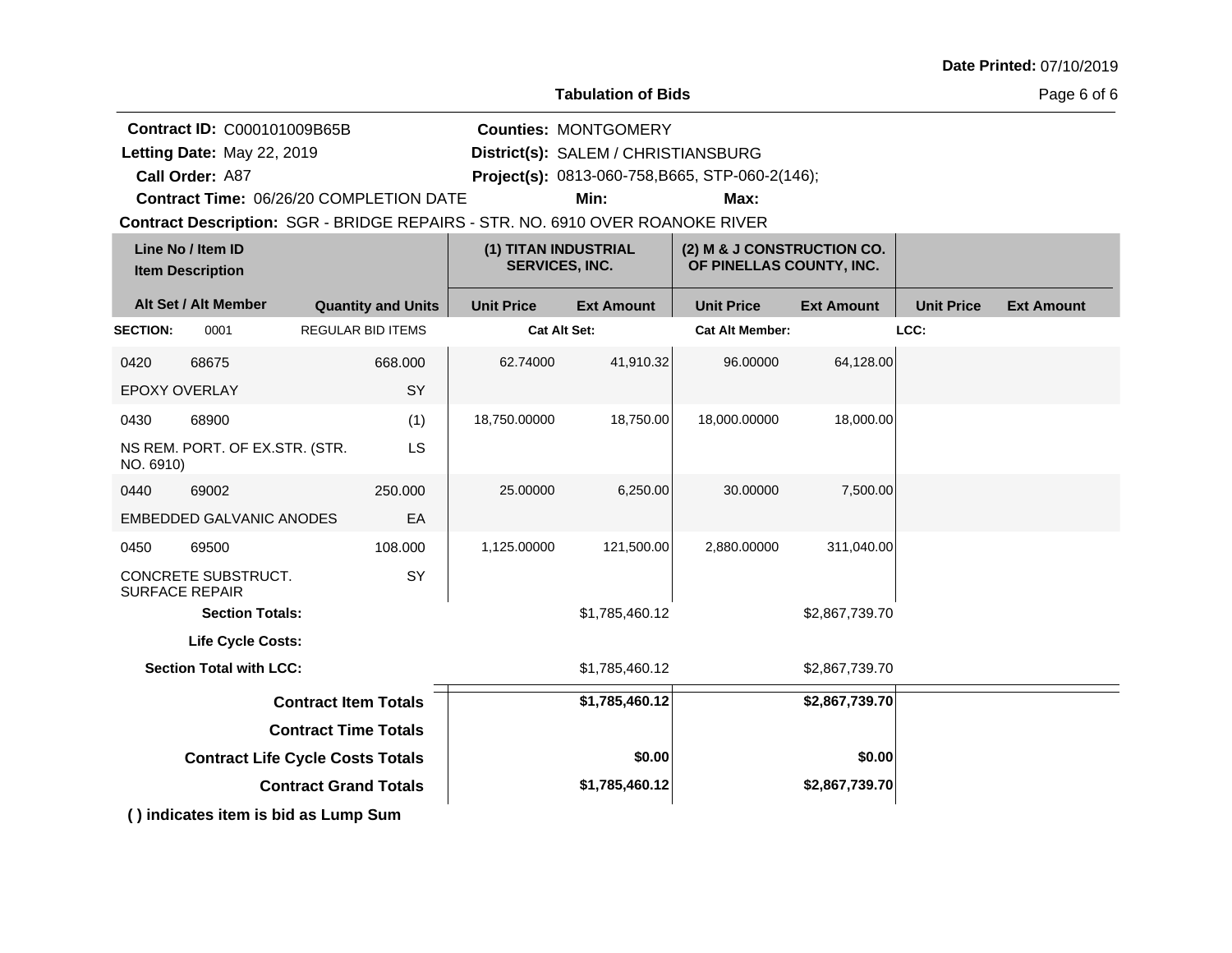#### **Tabulation of Bids**

Page 6 of 6

**Contract ID:** C000101009B65B

Letting Date: May 22, 2019

**Call Order:**

**Letting Date:** May 22, 2019 **District(s):** SALEM / CHRISTIANSBURG **Counties:** MONTGOMERY

A87 **Project(s):** 0813-060-758,B665, STP-060-2(146);

**Contract Time:** 06/26/20 COMPLETION DATE

**Min: Max:**

**Contract Description: SGR - BRIDGE REPAIRS - STR. NO. 6910 OVER ROANOKE RIVER** 

| Line No / Item ID<br><b>Item Description</b> |                                              |                              | (1) TITAN INDUSTRIAL<br><b>SERVICES, INC.</b> |                     | (2) M & J CONSTRUCTION CO.<br>OF PINELLAS COUNTY, INC. |                   |                   |                   |
|----------------------------------------------|----------------------------------------------|------------------------------|-----------------------------------------------|---------------------|--------------------------------------------------------|-------------------|-------------------|-------------------|
|                                              | Alt Set / Alt Member                         | <b>Quantity and Units</b>    | <b>Unit Price</b>                             | <b>Ext Amount</b>   | <b>Unit Price</b>                                      | <b>Ext Amount</b> | <b>Unit Price</b> | <b>Ext Amount</b> |
| <b>SECTION:</b>                              | 0001                                         | <b>REGULAR BID ITEMS</b>     |                                               | <b>Cat Alt Set:</b> | <b>Cat Alt Member:</b>                                 |                   | LCC:              |                   |
| 0420                                         | 68675                                        | 668,000                      | 62.74000                                      | 41,910.32           | 96.00000                                               | 64,128.00         |                   |                   |
| <b>EPOXY OVERLAY</b>                         |                                              | SY                           |                                               |                     |                                                        |                   |                   |                   |
| 0430                                         | 68900                                        | (1)                          | 18,750.00000                                  | 18,750.00           | 18,000.00000                                           | 18,000.00         |                   |                   |
| NO. 6910)                                    | NS REM. PORT. OF EX.STR. (STR.               | <b>LS</b>                    |                                               |                     |                                                        |                   |                   |                   |
| 0440                                         | 69002                                        | 250.000                      | 25.00000                                      | 6,250.00            | 30.00000                                               | 7,500.00          |                   |                   |
|                                              | <b>EMBEDDED GALVANIC ANODES</b>              | EA                           |                                               |                     |                                                        |                   |                   |                   |
| 0450                                         | 69500                                        | 108.000                      | 1,125.00000                                   | 121,500.00          | 2,880.00000                                            | 311,040.00        |                   |                   |
|                                              | CONCRETE SUBSTRUCT.<br><b>SURFACE REPAIR</b> | SY                           |                                               |                     |                                                        |                   |                   |                   |
|                                              | <b>Section Totals:</b>                       |                              |                                               | \$1,785,460.12      |                                                        | \$2,867,739.70    |                   |                   |
|                                              | Life Cycle Costs:                            |                              |                                               |                     |                                                        |                   |                   |                   |
|                                              | <b>Section Total with LCC:</b>               |                              |                                               | \$1,785,460.12      |                                                        | \$2,867,739.70    |                   |                   |
|                                              |                                              | <b>Contract Item Totals</b>  |                                               | \$1,785,460.12      |                                                        | \$2,867,739.70    |                   |                   |
| <b>Contract Time Totals</b>                  |                                              |                              |                                               |                     |                                                        |                   |                   |                   |
| <b>Contract Life Cycle Costs Totals</b>      |                                              |                              | \$0.00                                        |                     | \$0.00                                                 |                   |                   |                   |
|                                              |                                              | <b>Contract Grand Totals</b> |                                               | \$1,785,460.12      |                                                        | \$2,867,739.70    |                   |                   |
|                                              |                                              |                              |                                               |                     |                                                        |                   |                   |                   |

**( ) indicates item is bid as Lump Sum**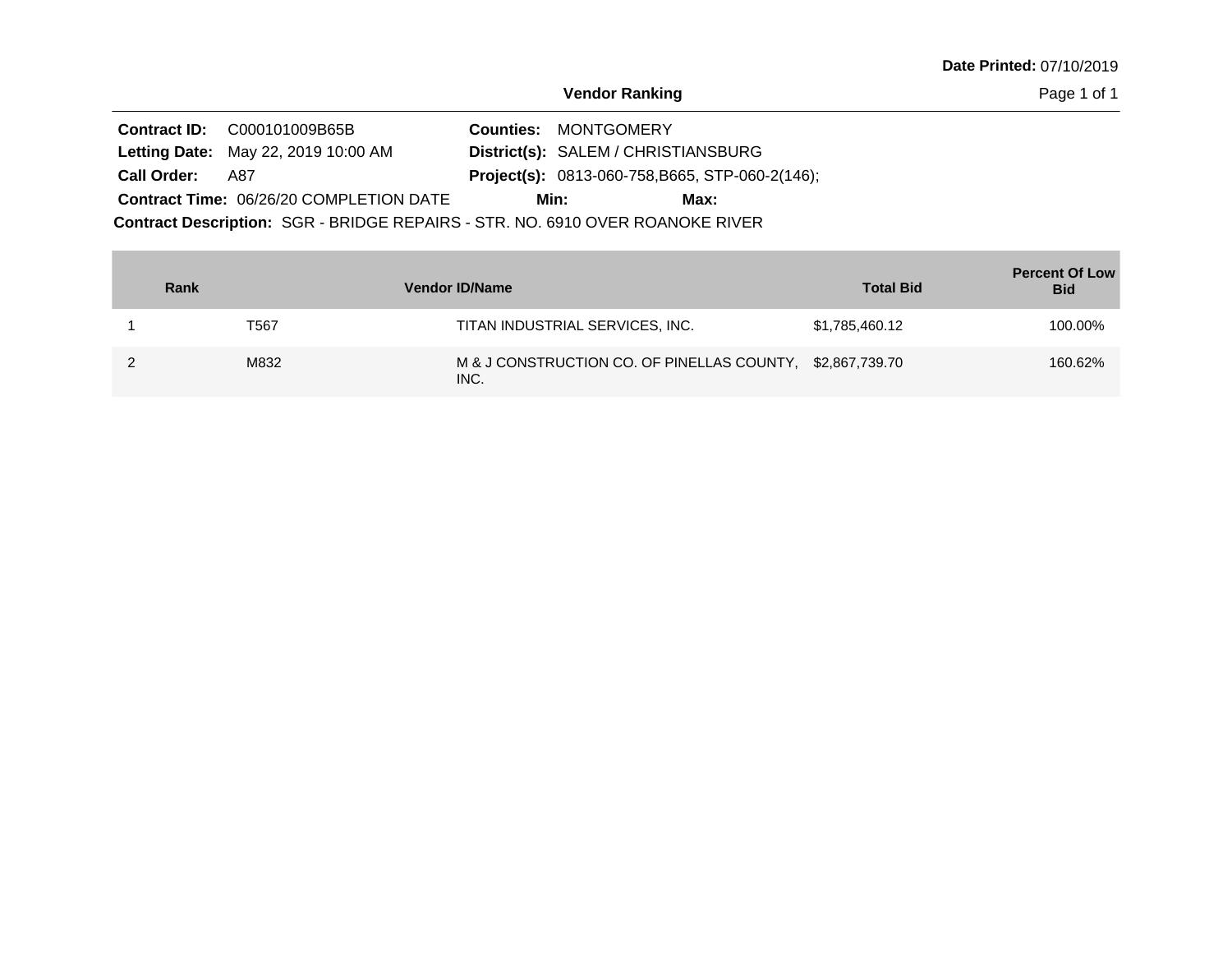Page 1 of 1

|                                                                               | <b>Contract ID:</b> C000101009B65B             |  | <b>Counties: MONTGOMERY</b>                            |
|-------------------------------------------------------------------------------|------------------------------------------------|--|--------------------------------------------------------|
|                                                                               | <b>Letting Date: May 22, 2019 10:00 AM</b>     |  | District(s): SALEM / CHRISTIANSBURG                    |
| <b>Call Order:</b>                                                            | - A87                                          |  | <b>Project(s):</b> 0813-060-758, B665, STP-060-2(146); |
|                                                                               | <b>Contract Time: 06/26/20 COMPLETION DATE</b> |  | Min:<br>Max:                                           |
| Contract Description: SGR - BRIDGE REPAIRS - STR. NO. 6910 OVER ROANOKE RIVER |                                                |  |                                                        |

| Rank | <b>Vendor ID/Name</b>                                             | <b>Total Bid</b> | <b>Percent Of Low</b><br><b>Bid</b> |
|------|-------------------------------------------------------------------|------------------|-------------------------------------|
| T567 | TITAN INDUSTRIAL SERVICES, INC.                                   | \$1,785,460.12   | 100.00%                             |
| M832 | M & J CONSTRUCTION CO. OF PINELLAS COUNTY, \$2,867,739.70<br>INC. |                  | 160.62%                             |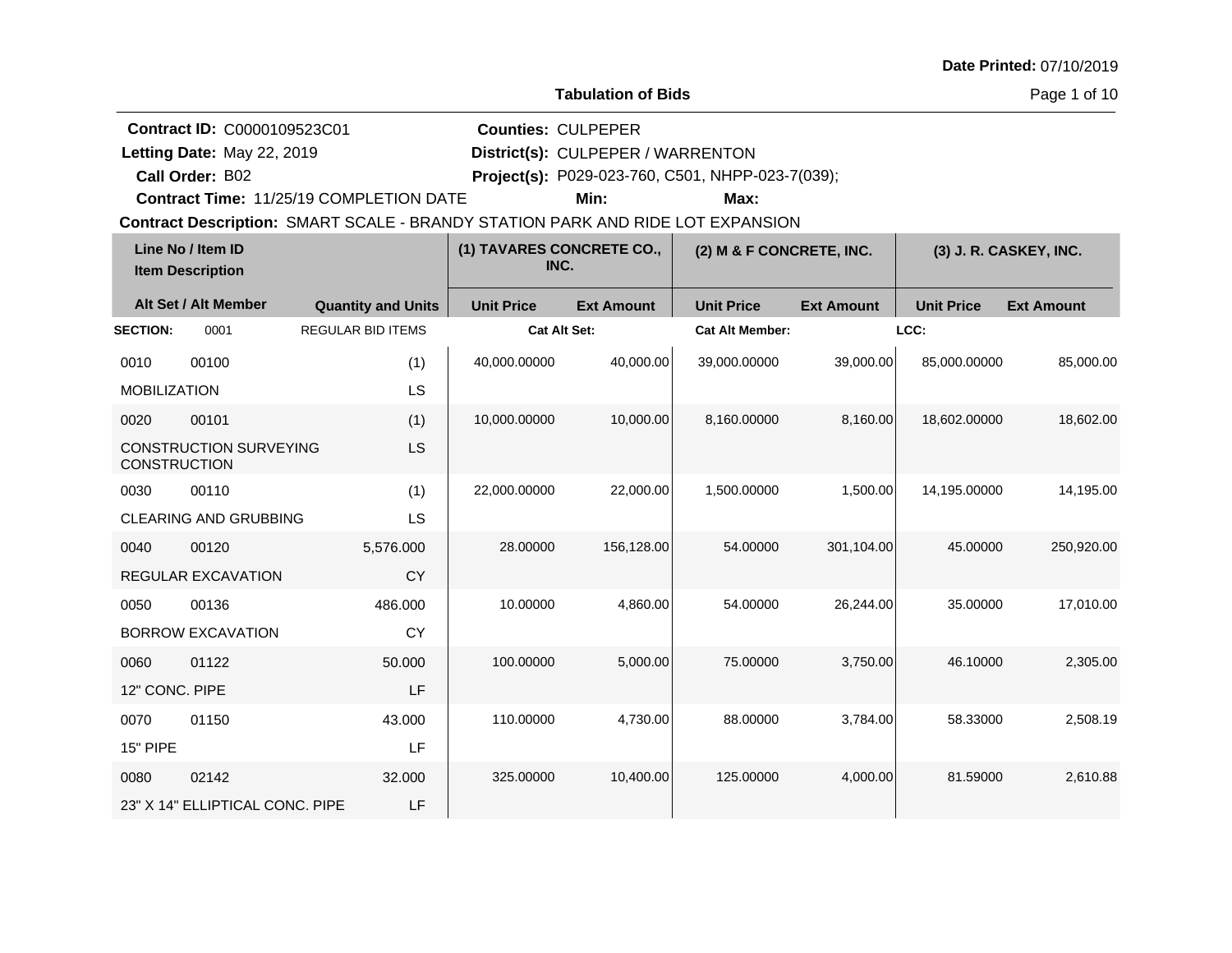|  |  | Date Printed: 07/10/2019 |
|--|--|--------------------------|
|--|--|--------------------------|

**Contract ID:** C0000109523C01

**Call Order:**

Letting Date: May 22, 2019

**Letting Date:** May 22, 2019 **District(s): CULPEPER / WARRENTON** 

**Counties:** CULPEPER

B02 **Project(s):** P029-023-760, C501, NHPP-023-7(039);

**Contract Time:** 11/25/19 COMPLETION DATE

**Min: Max:**

**Contract Description: SMART SCALE - BRANDY STATION PARK AND RIDE LOT EXPANSION** 

|                     | Line No / Item ID<br><b>Item Description</b> |                           | (1) TAVARES CONCRETE CO.,<br>INC. |                   | (2) M & F CONCRETE, INC. |                   |                   | (3) J. R. CASKEY, INC. |
|---------------------|----------------------------------------------|---------------------------|-----------------------------------|-------------------|--------------------------|-------------------|-------------------|------------------------|
|                     | Alt Set / Alt Member                         | <b>Quantity and Units</b> | <b>Unit Price</b>                 | <b>Ext Amount</b> | <b>Unit Price</b>        | <b>Ext Amount</b> | <b>Unit Price</b> | <b>Ext Amount</b>      |
| <b>SECTION:</b>     | 0001                                         | <b>REGULAR BID ITEMS</b>  | <b>Cat Alt Set:</b>               |                   | <b>Cat Alt Member:</b>   |                   | LCC:              |                        |
| 0010                | 00100                                        | (1)                       | 40,000.00000                      | 40,000.00         | 39,000.00000             | 39,000.00         | 85,000.00000      | 85,000.00              |
| <b>MOBILIZATION</b> |                                              | LS                        |                                   |                   |                          |                   |                   |                        |
| 0020                | 00101                                        | (1)                       | 10,000.00000                      | 10,000.00         | 8,160.00000              | 8,160.00          | 18,602.00000      | 18,602.00              |
| <b>CONSTRUCTION</b> | <b>CONSTRUCTION SURVEYING</b>                | LS                        |                                   |                   |                          |                   |                   |                        |
| 0030                | 00110                                        | (1)                       | 22,000.00000                      | 22,000.00         | 1,500.00000              | 1,500.00          | 14,195.00000      | 14,195.00              |
|                     | <b>CLEARING AND GRUBBING</b>                 | LS                        |                                   |                   |                          |                   |                   |                        |
| 0040                | 00120                                        | 5,576.000                 | 28.00000                          | 156,128.00        | 54.00000                 | 301,104.00        | 45.00000          | 250,920.00             |
|                     | REGULAR EXCAVATION                           | <b>CY</b>                 |                                   |                   |                          |                   |                   |                        |
| 0050                | 00136                                        | 486.000                   | 10.00000                          | 4,860.00          | 54.00000                 | 26,244.00         | 35.00000          | 17,010.00              |
|                     | <b>BORROW EXCAVATION</b>                     | <b>CY</b>                 |                                   |                   |                          |                   |                   |                        |
| 0060                | 01122                                        | 50.000                    | 100.00000                         | 5,000.00          | 75.00000                 | 3,750.00          | 46.10000          | 2,305.00               |
| 12" CONC, PIPE      |                                              | LF                        |                                   |                   |                          |                   |                   |                        |
| 0070                | 01150                                        | 43.000                    | 110.00000                         | 4,730.00          | 88.00000                 | 3,784.00          | 58.33000          | 2,508.19               |
| 15" PIPE            |                                              | LF                        |                                   |                   |                          |                   |                   |                        |
| 0080                | 02142                                        | 32.000                    | 325.00000                         | 10,400.00         | 125.00000                | 4,000.00          | 81.59000          | 2,610.88               |
|                     | 23" X 14" ELLIPTICAL CONC. PIPE              | LF                        |                                   |                   |                          |                   |                   |                        |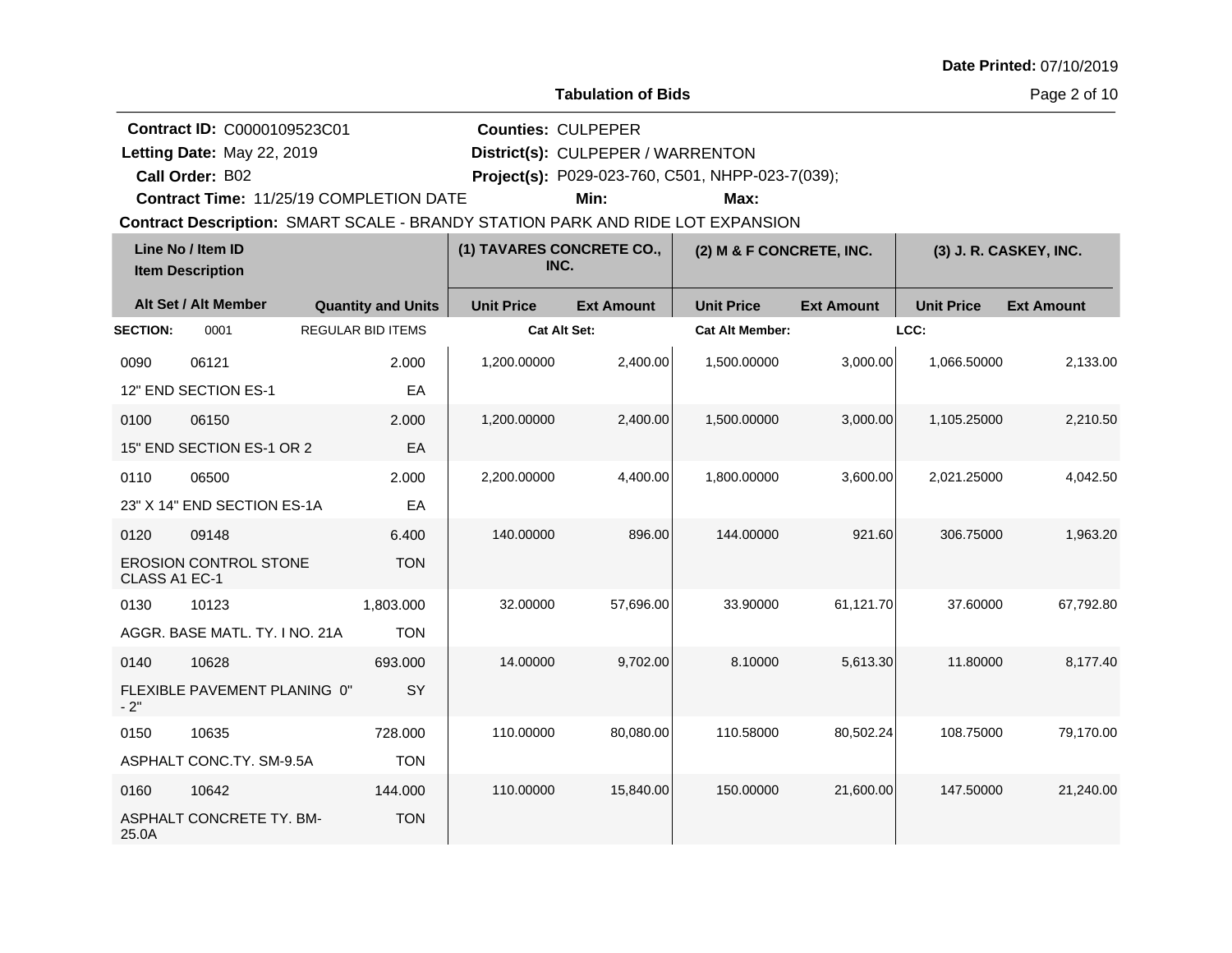Page 2 of 10

**Quantity and Units Unit Price Alt Set / Alt Member Ext Amount Ext Amount Line No / Item ID Unit Price Ext Amount Unit Price Item Description (1) TAVARES CONCRETE CO., INC. (2) M & F CONCRETE, INC. (3) J. R. CASKEY, INC. SECTION:** 0001 REGULAR BID ITEMS **Cat Alt Set: Cat Alt Member: LCC:** 0090 06121 12" END SECTION ES-1 2.000 EA 1,200.00000 2,400.00 1,500.00000 3,000.00 1,066.50000 2,133.00 0100 06150 15" END SECTION ES-1 OR 2 2.000 EA 1,200.00000 2,400.00 1,500.00000 3,000.00 1,105.25000 2,210.50 0110 06500 23" X 14" END SECTION ES-1A 2.000 EA 2,200.00000 4,400.00 1,800.00000 3,600.00 2,021.25000 4,042.50 0120 09148 EROSION CONTROL STONE CLASS A1 EC-1 6.400 **TON** 140.00000 896.00 144.00000 921.60 306.75000 1,963.20 0130 10123 AGGR. BASE MATL. TY. I NO. 21A 1,803.000 TON 32.00000 57,696.00 33.90000 61,121.70 37.60000 67,792.80 0140 10628 FLEXIBLE PAVEMENT PLANING 0"  $-2"$ 693.000 **SY** 14.00000 9,702.00 8.10000 5,613.30 11.80000 8,177.40 0150 10635 ASPHALT CONC.TY. SM-9.5A 728.000 TON 110.00000 80,080.00 110.58000 80,502.24 108.75000 79,170.00 0160 10642 ASPHALT CONCRETE TY. BM-25.0A 144.000 **TON** 110.00000 15,840.00 150.00000 21,600.00 147.50000 21,240.00 **Contract Description: SMART SCALE - BRANDY STATION PARK AND RIDE LOT EXPANSION Call Order: Letting Date:** May 22, 2019 **District(s): CULPEPER / WARRENTON Contract ID:** C0000109523C01 **Counties:** CULPEPER B02 **Project(s):** P029-023-760, C501, NHPP-023-7(039);**Contract Time:** 11/25/19 COMPLETION DATE Letting Date: May 22, 2019 **Min: Max:**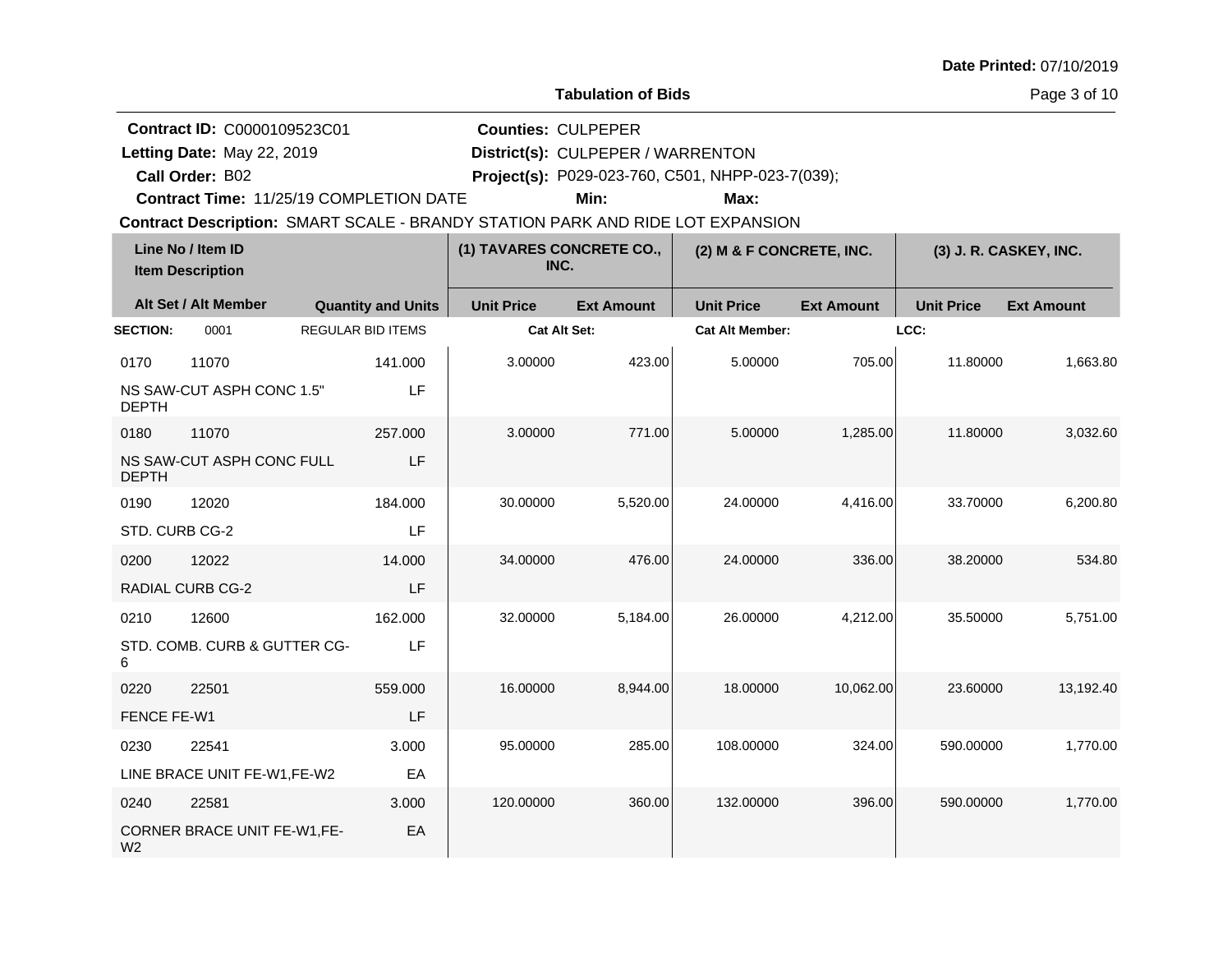|  |  | Date Printed: 07/10/2019 |
|--|--|--------------------------|
|--|--|--------------------------|

**Contract ID:** C0000109523C01

**Call Order:**

Letting Date: May 22, 2019

**Letting Date:** May 22, 2019 **District(s): CULPEPER / WARRENTON** 

**Counties:** CULPEPER

B02 **Project(s):** P029-023-760, C501, NHPP-023-7(039);

**Contract Time:** 11/25/19 COMPLETION DATE

**Min: Max:**

**Contract Description: SMART SCALE - BRANDY STATION PARK AND RIDE LOT EXPANSION** 

|                 | Line No / Item ID<br><b>Item Description</b> |                           | (1) TAVARES CONCRETE CO.,<br>INC. |                   | (2) M & F CONCRETE, INC. |                   |                   | (3) J. R. CASKEY, INC. |
|-----------------|----------------------------------------------|---------------------------|-----------------------------------|-------------------|--------------------------|-------------------|-------------------|------------------------|
|                 | Alt Set / Alt Member                         | <b>Quantity and Units</b> | <b>Unit Price</b>                 | <b>Ext Amount</b> | <b>Unit Price</b>        | <b>Ext Amount</b> | <b>Unit Price</b> | <b>Ext Amount</b>      |
| <b>SECTION:</b> | 0001                                         | <b>REGULAR BID ITEMS</b>  | Cat Alt Set:                      |                   | <b>Cat Alt Member:</b>   |                   | LCC:              |                        |
| 0170            | 11070                                        | 141.000                   | 3.00000                           | 423.00            | 5.00000                  | 705.00            | 11.80000          | 1,663.80               |
| <b>DEPTH</b>    | NS SAW-CUT ASPH CONC 1.5"                    | LF                        |                                   |                   |                          |                   |                   |                        |
| 0180            | 11070                                        | 257.000                   | 3.00000                           | 771.00            | 5.00000                  | 1,285.00          | 11.80000          | 3,032.60               |
| <b>DEPTH</b>    | NS SAW-CUT ASPH CONC FULL                    | LF                        |                                   |                   |                          |                   |                   |                        |
| 0190            | 12020                                        | 184.000                   | 30.00000                          | 5,520.00          | 24.00000                 | 4,416.00          | 33.70000          | 6,200.80               |
| STD. CURB CG-2  |                                              | LF                        |                                   |                   |                          |                   |                   |                        |
| 0200            | 12022                                        | 14.000                    | 34.00000                          | 476.00            | 24.00000                 | 336.00            | 38.20000          | 534.80                 |
|                 | <b>RADIAL CURB CG-2</b>                      | LF                        |                                   |                   |                          |                   |                   |                        |
| 0210            | 12600                                        | 162.000                   | 32.00000                          | 5,184.00          | 26.00000                 | 4,212.00          | 35.50000          | 5,751.00               |
| 6               | STD. COMB. CURB & GUTTER CG-                 | LF                        |                                   |                   |                          |                   |                   |                        |
| 0220            | 22501                                        | 559.000                   | 16.00000                          | 8,944.00          | 18.00000                 | 10,062.00         | 23.60000          | 13,192.40              |
| FENCE FE-W1     |                                              | LF                        |                                   |                   |                          |                   |                   |                        |
| 0230            | 22541                                        | 3.000                     | 95.00000                          | 285.00            | 108.00000                | 324.00            | 590.00000         | 1,770.00               |
|                 | LINE BRACE UNIT FE-W1,FE-W2                  | EA                        |                                   |                   |                          |                   |                   |                        |
| 0240            | 22581                                        | 3.000                     | 120.00000                         | 360.00            | 132.00000                | 396.00            | 590.00000         | 1,770.00               |
| W <sub>2</sub>  | CORNER BRACE UNIT FE-W1,FE-                  | EA                        |                                   |                   |                          |                   |                   |                        |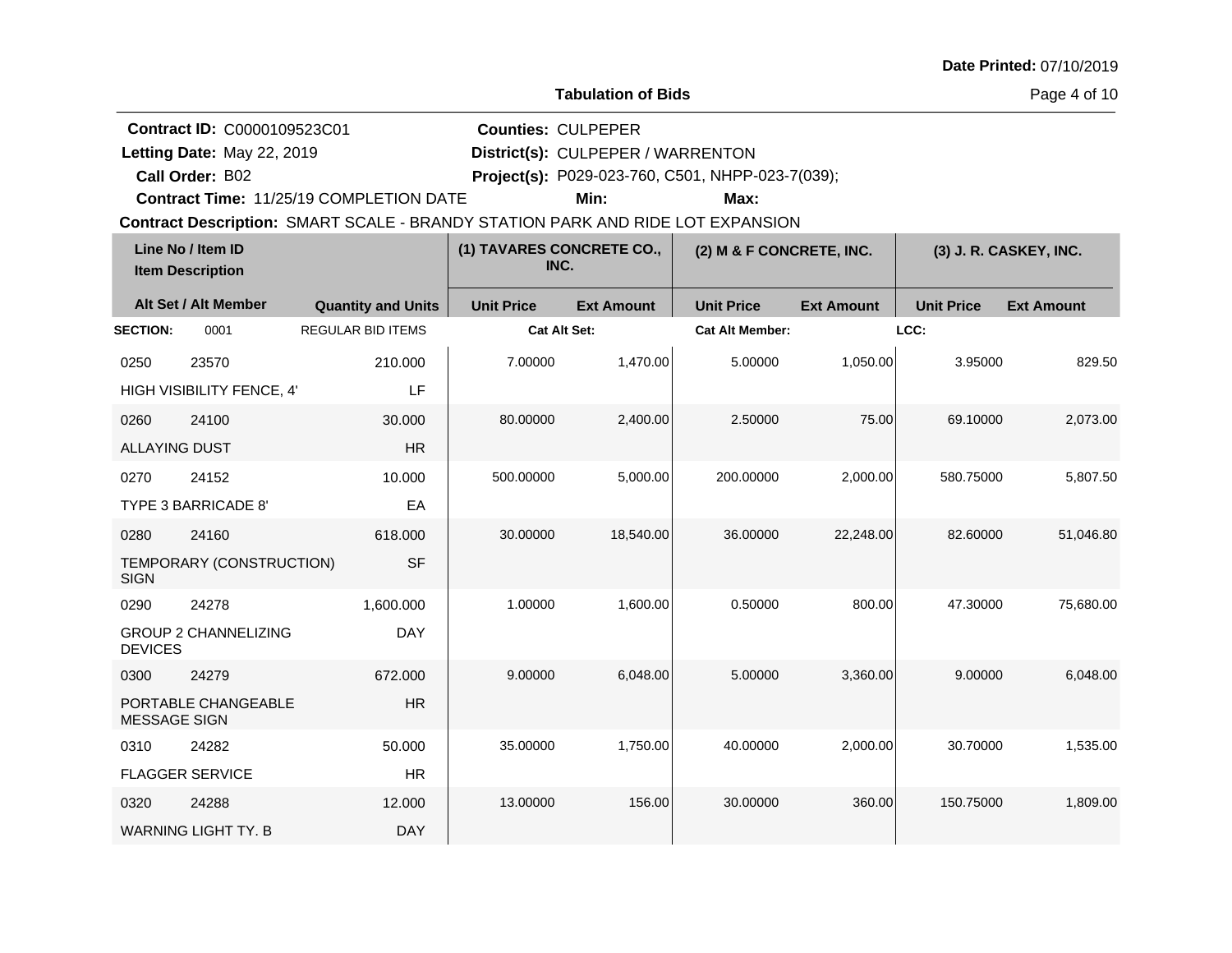|  |  | Date Printed: 07/10/2019 |
|--|--|--------------------------|
|--|--|--------------------------|

**Contract ID:** C0000109523C01

**Call Order:**

Letting Date: May 22, 2019

**Letting Date:** May 22, 2019 **District(s): CULPEPER / WARRENTON** 

**Counties:** CULPEPER

B02 **Project(s):** P029-023-760, C501, NHPP-023-7(039);

**Contract Time:** 11/25/19 COMPLETION DATE

**Min: Max:**

**Contract Description: SMART SCALE - BRANDY STATION PARK AND RIDE LOT EXPANSION** 

|                      | Line No / Item ID<br><b>Item Description</b> |                           | (1) TAVARES CONCRETE CO.,<br>INC. |                   | (2) M & F CONCRETE, INC. |                   |                   | (3) J. R. CASKEY, INC. |
|----------------------|----------------------------------------------|---------------------------|-----------------------------------|-------------------|--------------------------|-------------------|-------------------|------------------------|
|                      | Alt Set / Alt Member                         | <b>Quantity and Units</b> | <b>Unit Price</b>                 | <b>Ext Amount</b> | <b>Unit Price</b>        | <b>Ext Amount</b> | <b>Unit Price</b> | <b>Ext Amount</b>      |
| <b>SECTION:</b>      | 0001                                         | <b>REGULAR BID ITEMS</b>  | <b>Cat Alt Set:</b>               |                   | <b>Cat Alt Member:</b>   |                   | LCC:              |                        |
| 0250                 | 23570                                        | 210.000                   | 7.00000                           | 1,470.00          | 5.00000                  | 1,050.00          | 3.95000           | 829.50                 |
|                      | HIGH VISIBILITY FENCE, 4'                    | LF                        |                                   |                   |                          |                   |                   |                        |
| 0260                 | 24100                                        | 30.000                    | 80.00000                          | 2,400.00          | 2.50000                  | 75.00             | 69.10000          | 2,073.00               |
| <b>ALLAYING DUST</b> |                                              | <b>HR</b>                 |                                   |                   |                          |                   |                   |                        |
| 0270                 | 24152                                        | 10.000                    | 500.00000                         | 5,000.00          | 200.00000                | 2,000.00          | 580.75000         | 5,807.50               |
|                      | TYPE 3 BARRICADE 8'                          | EA                        |                                   |                   |                          |                   |                   |                        |
| 0280                 | 24160                                        | 618.000                   | 30.00000                          | 18,540.00         | 36.00000                 | 22,248.00         | 82.60000          | 51,046.80              |
| <b>SIGN</b>          | TEMPORARY (CONSTRUCTION)                     | <b>SF</b>                 |                                   |                   |                          |                   |                   |                        |
| 0290                 | 24278                                        | 1,600.000                 | 1.00000                           | 1,600.00          | 0.50000                  | 800.00            | 47.30000          | 75,680.00              |
| <b>DEVICES</b>       | <b>GROUP 2 CHANNELIZING</b>                  | <b>DAY</b>                |                                   |                   |                          |                   |                   |                        |
| 0300                 | 24279                                        | 672.000                   | 9.00000                           | 6,048.00          | 5.00000                  | 3,360.00          | 9.00000           | 6,048.00               |
| <b>MESSAGE SIGN</b>  | PORTABLE CHANGEABLE                          | <b>HR</b>                 |                                   |                   |                          |                   |                   |                        |
| 0310                 | 24282                                        | 50.000                    | 35.00000                          | 1,750.00          | 40.00000                 | 2,000.00          | 30.70000          | 1,535.00               |
|                      | <b>FLAGGER SERVICE</b>                       | <b>HR</b>                 |                                   |                   |                          |                   |                   |                        |
| 0320                 | 24288                                        | 12.000                    | 13.00000                          | 156.00            | 30.00000                 | 360.00            | 150.75000         | 1,809.00               |
|                      | <b>WARNING LIGHT TY, B</b>                   | <b>DAY</b>                |                                   |                   |                          |                   |                   |                        |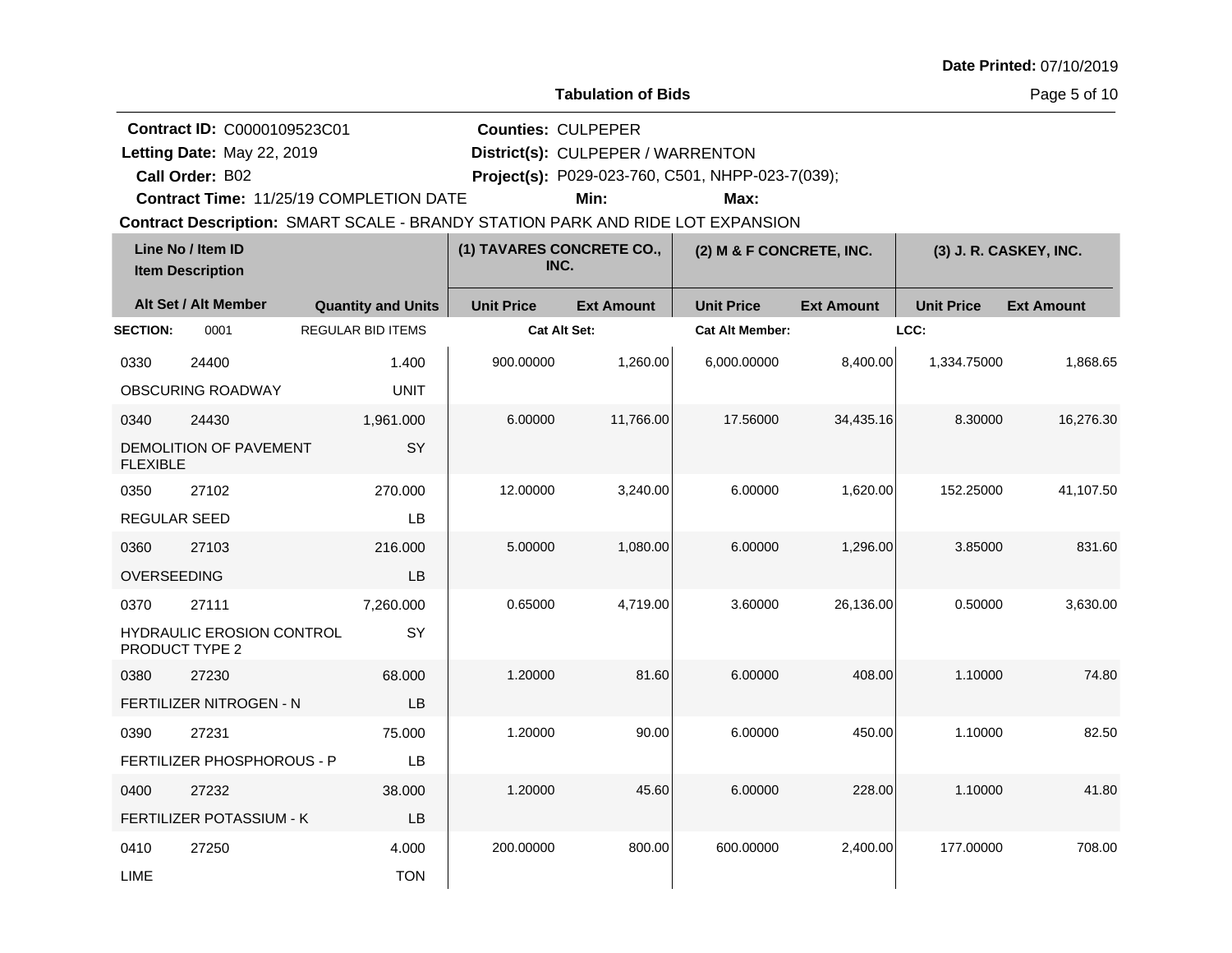|  |  | Date Printed: 07/10/2019 |
|--|--|--------------------------|
|--|--|--------------------------|

Page 5 of 10

**Quantity and Units Unit Price Alt Set / Alt Member Ext Amount Ext Amount Line No / Item ID Unit Price Ext Amount Unit Price Item Description (1) TAVARES CONCRETE CO., INC. (2) M & F CONCRETE, INC. (3) J. R. CASKEY, INC. SECTION:** 0001 REGULAR BID ITEMS **Cat Alt Set: Cat Alt Member: LCC:** 0330 24400 OBSCURING ROADWAY 1.400 UNIT 900.00000 1,260.00 6,000.00000 8,400.00 1,334.75000 1,868.65 0340 24430 DEMOLITION OF PAVEMENT FLEXIBLE 1,961.000 **SY** 6.00000 11,766.00 17.56000 34,435.16 8.30000 16,276.30 0350 27102 REGULAR SEED 270.000 LB 12.00000 3,240.00 6.00000 1,620.00 152.25000 41,107.50 0360 27103 OVERSEEDING 216.000 LB 5.00000 1,080.00 6.00000 1,296.00 3.85000 831.60 0370 27111 HYDRAULIC EROSION CONTROL PRODUCT TYPE 2 7,260.000 **SY**  $0.65000 \hspace{1cm} 4,719.00 \hspace{1cm} 3.60000 \hspace{1cm} 26,136.00 \hspace{1cm} 0.50000 \hspace{1cm} 3,630.00$ 0380 27230 FERTILIZER NITROGEN - N 68.000 LB 1.20000 81.60 6.00000 408.00 1.10000 74.80 0390 27231 FERTILIZER PHOSPHOROUS - P 75.000 LB 1.20000 90.00 6.00000 450.00 1.10000 82.50 0400 27232 FERTILIZER POTASSIUM - K 38.000 LB 1.20000 45.60 6.00000 228.00 1.10000 41.80 0410 27250 LIME 4.000 **TON** 200.00000 800.00 600.00000 2,400.00 177.00000 708.00 **Contract Description: SMART SCALE - BRANDY STATION PARK AND RIDE LOT EXPANSION Call Order: Letting Date:** May 22, 2019 **District(s): CULPEPER / WARRENTON Contract ID:** C0000109523C01 **Counties:** CULPEPER B02 **Project(s):** P029-023-760, C501, NHPP-023-7(039);**Contract Time:** 11/25/19 COMPLETION DATE Letting Date: May 22, 2019 **Min: Max:**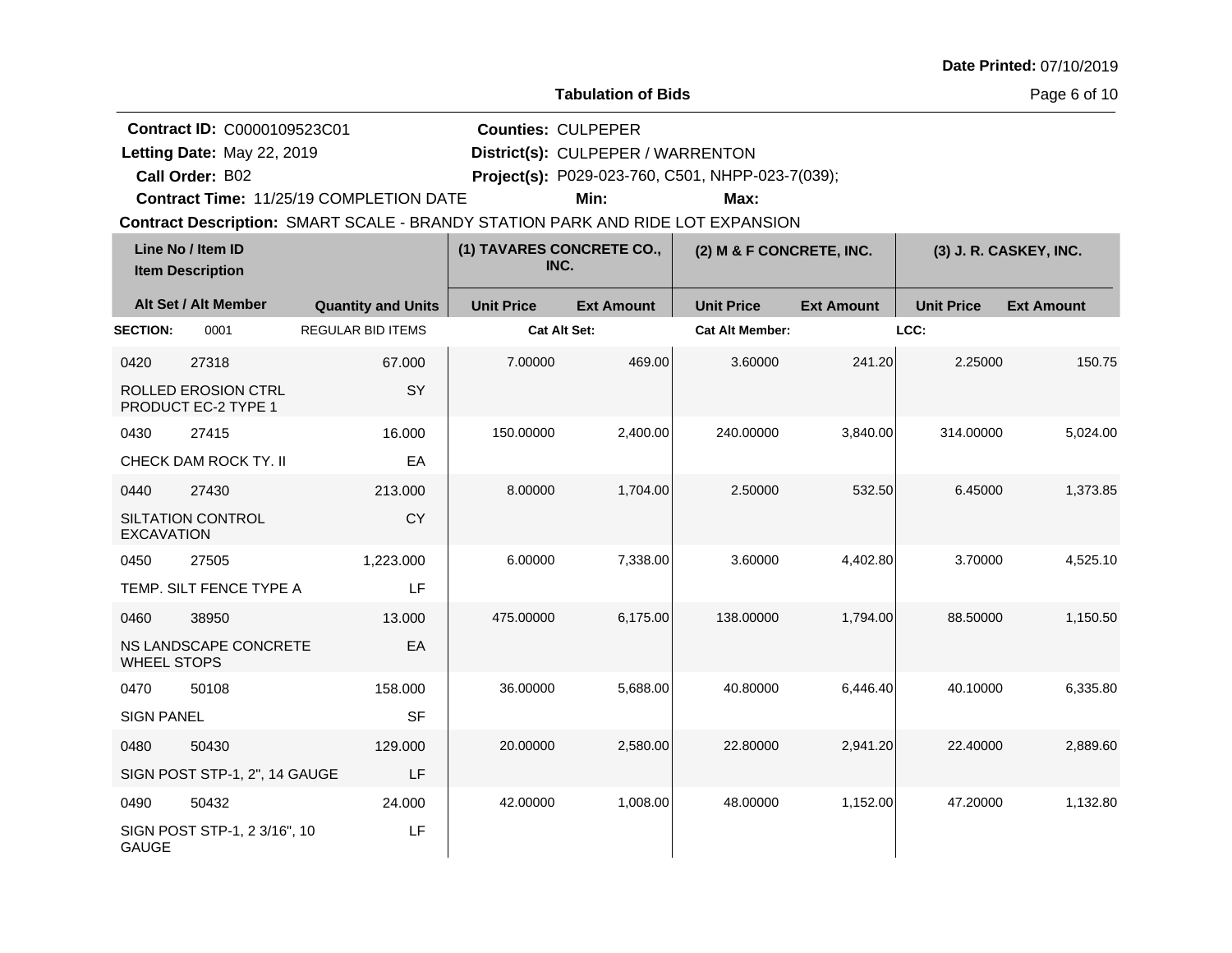|  |  | Date Printed: 07/10/2019 |
|--|--|--------------------------|
|--|--|--------------------------|

Page 6 of 10

**Quantity and Units Unit Price Alt Set / Alt Member Ext Amount Ext Amount Line No / Item ID Unit Price Ext Amount Unit Price Item Description (1) TAVARES CONCRETE CO., INC. (2) M & F CONCRETE, INC. (3) J. R. CASKEY, INC. SECTION:** 0001 REGULAR BID ITEMS **Cat Alt Set: Cat Alt Member: LCC:** 0420 27318 ROLLED EROSION CTRL PRODUCT EC-2 TYPE 1 67.000 **SY** 7.00000 469.00 3.60000 241.20 2.25000 150.75 0430 27415 CHECK DAM ROCK TY. II 16.000 EA 150.00000 2,400.00 240.00000 3,840.00 314.00000 5,024.00 0440 27430 SILTATION CONTROL EXCAVATION 213.000 CY 8.00000 1,704.00 2.50000 532.50 6.45000 1,373.85 0450 27505 TEMP. SILT FENCE TYPE A 1,223.000 LF 6.00000 7,338.00 3.60000 4,402.80 3.70000 4,525.10 0460 38950 NS LANDSCAPE CONCRETE WHEEL STOPS 13.000 EA 475.00000 6,175.00 138.00000 1,794.00 88.50000 1,150.50 0470 50108 SIGN PANEL 158.000 **SF** 36.00000 5,688.00 40.80000 6,446.40 40.10000 6,335.80 0480 50430 SIGN POST STP-1, 2", 14 GAUGE 129.000 LF 20.00000 2,580.00 22.80000 2,941.20 22.40000 2,889.60 0490 50432 SIGN POST STP-1, 2 3/16", 10 GAUGE 24.000 LF 42.00000 1,008.00 48.00000 1,152.00 47.20000 1,132.80 **Contract Description: SMART SCALE - BRANDY STATION PARK AND RIDE LOT EXPANSION Call Order: Letting Date:** May 22, 2019 **District(s): CULPEPER / WARRENTON Contract ID:** C0000109523C01 **Counties:** CULPEPER B02 **Project(s):** P029-023-760, C501, NHPP-023-7(039);**Contract Time:** 11/25/19 COMPLETION DATE Letting Date: May 22, 2019 **Min: Max:**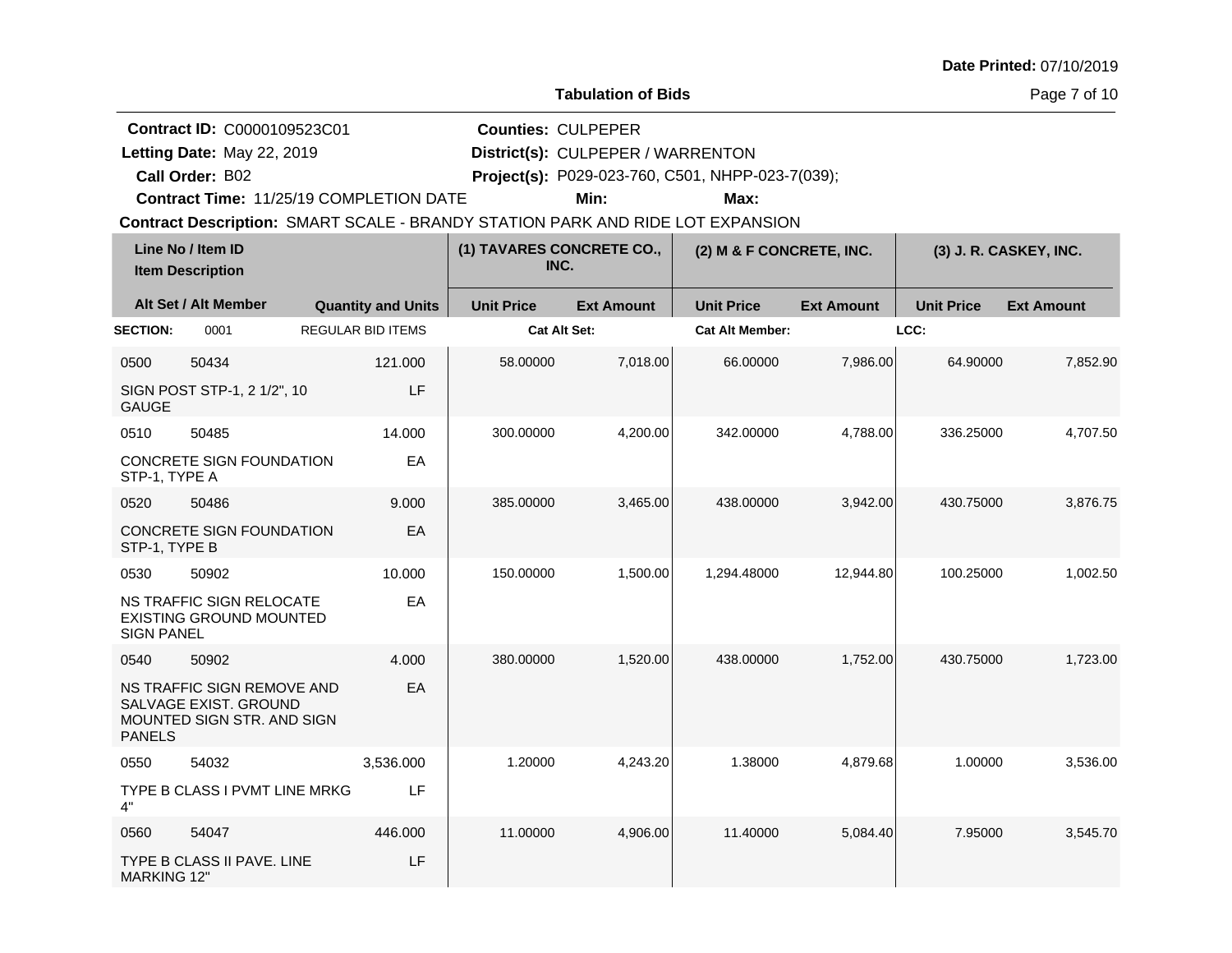| <b>Date Printed: 07/10/2019</b> |  |
|---------------------------------|--|
|---------------------------------|--|

**Quantity and Units Unit Price Alt Set / Alt Member Ext Amount Ext Amount Line No / Item ID Unit Price Ext Amount Unit Price Item Description (1) TAVARES CONCRETE CO., INC. (2) M & F CONCRETE, INC. (3) J. R. CASKEY, INC. SECTION:** 0001 REGULAR BID ITEMS **Cat Alt Set: Cat Alt Member: LCC:** 0500 50434 SIGN POST STP-1, 2 1/2", 10 GAUGE 121.000 LF 58.00000 7,018.00 66.00000 7,986.00 64.90000 7,852.90 0510 50485 CONCRETE SIGN FOUNDATION STP-1, TYPE A 14.000 EA 300.00000 4,200.00 342.00000 4,788.00 336.25000 4,707.50 0520 50486 CONCRETE SIGN FOUNDATION STP-1, TYPE B 9.000 EA 385.00000 3,465.00 438.00000 3,942.00 430.75000 3,876.75 0530 50902 NS TRAFFIC SIGN RELOCATE EXISTING GROUND MOUNTED SIGN PANEL 10.000 EA 150.00000 1,500.00 1,294.48000 12,944.80 100.25000 1,002.50 0540 50902 NS TRAFFIC SIGN REMOVE AND SALVAGE EXIST. GROUND MOUNTED SIGN STR. AND SIGN PANELS 4.000 EA 380.00000 1,520.00 438.00000 1,752.00 430.75000 1,723.00 0550 54032 TYPE B CLASS I PVMT LINE MRKG 4" 3,536.000 LF 1.20000 4,243.20 1.38000 4,879.68 1.00000 3,536.00 0560 54047 TYPE B CLASS II PAVE. LINE MARKING 12" 446.000 LF 11.00000 4,906.00 11.40000 5,084.40 7.95000 3,545.70 **Contract Description: SMART SCALE - BRANDY STATION PARK AND RIDE LOT EXPANSION Call Order: Letting Date:** May 22, 2019 **District(s): CULPEPER / WARRENTON Contract ID:** C0000109523C01 **Counties:** CULPEPER B02 **Project(s):** P029-023-760, C501, NHPP-023-7(039);**Contract Time:** 11/25/19 COMPLETION DATE Letting Date: May 22, 2019 **Min: Max:**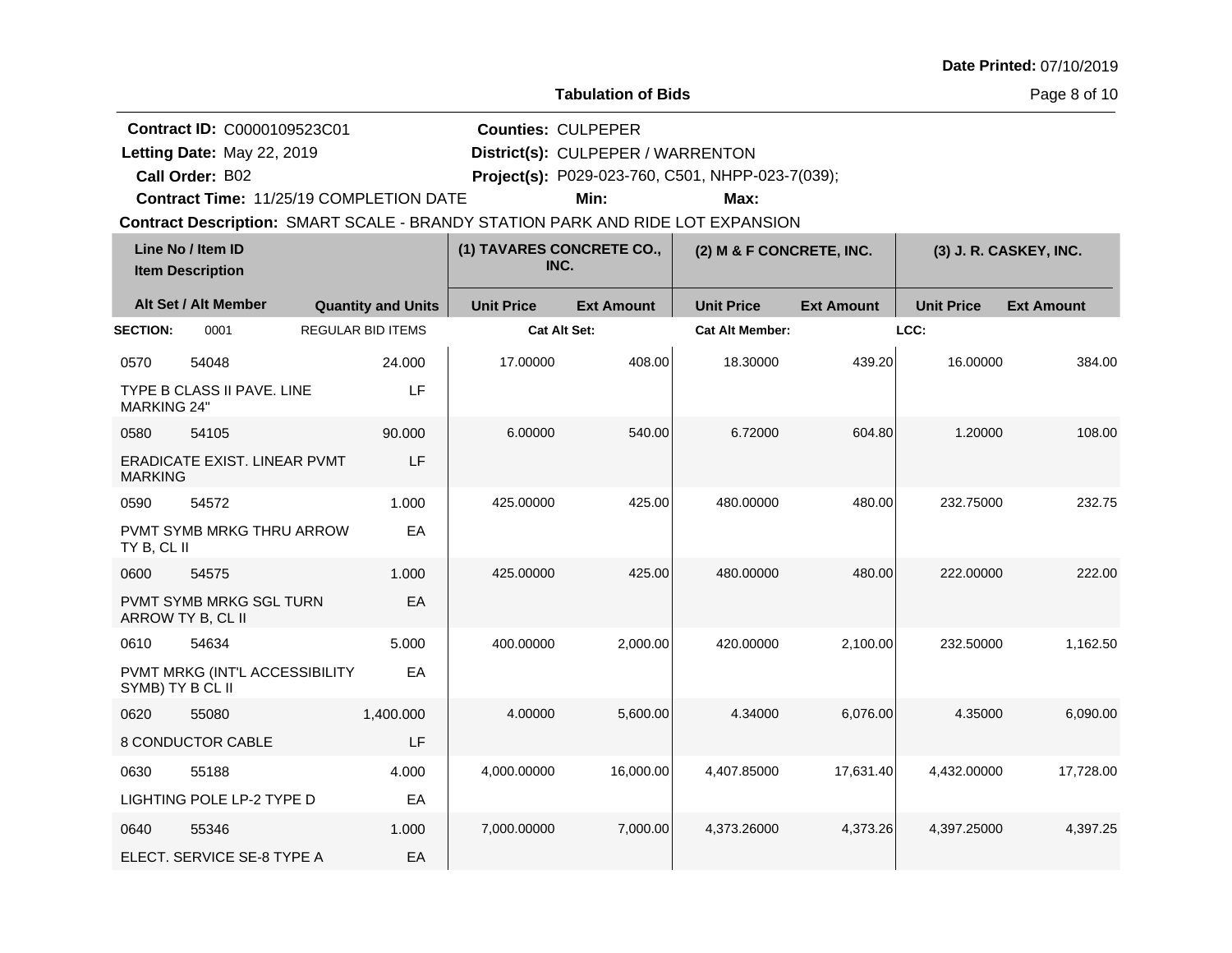| <b>Date Printed: 07/10/2019</b> |  |
|---------------------------------|--|
|---------------------------------|--|

**Contract ID:** C0000109523C01

**Call Order:**

Letting Date: May 22, 2019

**Letting Date:** May 22, 2019 **District(s): CULPEPER / WARRENTON** 

**Counties:** CULPEPER

B02 **Project(s):** P029-023-760, C501, NHPP-023-7(039);

**Contract Time:** 11/25/19 COMPLETION DATE

**Min: Max:**

**Contract Description: SMART SCALE - BRANDY STATION PARK AND RIDE LOT EXPANSION** 

| Line No / Item ID<br><b>Item Description</b> |                                              | (1) TAVARES CONCRETE CO.,<br>INC. |                   | (2) M & F CONCRETE, INC. |                        | (3) J. R. CASKEY, INC. |                   |                   |
|----------------------------------------------|----------------------------------------------|-----------------------------------|-------------------|--------------------------|------------------------|------------------------|-------------------|-------------------|
|                                              | Alt Set / Alt Member                         | <b>Quantity and Units</b>         | <b>Unit Price</b> | <b>Ext Amount</b>        | <b>Unit Price</b>      | <b>Ext Amount</b>      | <b>Unit Price</b> | <b>Ext Amount</b> |
| <b>SECTION:</b>                              | 0001                                         | <b>REGULAR BID ITEMS</b>          | Cat Alt Set:      |                          | <b>Cat Alt Member:</b> |                        | LCC:              |                   |
| 0570                                         | 54048                                        | 24.000                            | 17.00000          | 408.00                   | 18.30000               | 439.20                 | 16.00000          | 384.00            |
| <b>MARKING 24"</b>                           | TYPE B CLASS II PAVE, LINE                   | LF                                |                   |                          |                        |                        |                   |                   |
| 0580                                         | 54105                                        | 90.000                            | 6.00000           | 540.00                   | 6.72000                | 604.80                 | 1.20000           | 108.00            |
| <b>MARKING</b>                               | ERADICATE EXIST. LINEAR PVMT                 | LF                                |                   |                          |                        |                        |                   |                   |
| 0590                                         | 54572                                        | 1.000                             | 425.00000         | 425.00                   | 480.00000              | 480.00                 | 232.75000         | 232.75            |
| TY B, CL II                                  | PVMT SYMB MRKG THRU ARROW                    | EA                                |                   |                          |                        |                        |                   |                   |
| 0600                                         | 54575                                        | 1.000                             | 425.00000         | 425.00                   | 480.00000              | 480.00                 | 222.00000         | 222.00            |
|                                              | PVMT SYMB MRKG SGL TURN<br>ARROW TY B, CL II | EA                                |                   |                          |                        |                        |                   |                   |
| 0610                                         | 54634                                        | 5.000                             | 400.00000         | 2,000.00                 | 420.00000              | 2,100.00               | 232.50000         | 1,162.50          |
| SYMB) TY B CL II                             | PVMT MRKG (INT'L ACCESSIBILITY               | EA                                |                   |                          |                        |                        |                   |                   |
| 0620                                         | 55080                                        | 1,400.000                         | 4.00000           | 5,600.00                 | 4.34000                | 6,076.00               | 4.35000           | 6,090.00          |
|                                              | 8 CONDUCTOR CABLE                            | LF                                |                   |                          |                        |                        |                   |                   |
| 0630                                         | 55188                                        | 4.000                             | 4,000.00000       | 16,000.00                | 4,407.85000            | 17,631.40              | 4,432.00000       | 17,728.00         |
|                                              | LIGHTING POLE LP-2 TYPE D                    | EA                                |                   |                          |                        |                        |                   |                   |
| 0640                                         | 55346                                        | 1.000                             | 7,000.00000       | 7,000.00                 | 4,373.26000            | 4,373.26               | 4,397.25000       | 4,397.25          |
|                                              | ELECT. SERVICE SE-8 TYPE A                   | EA                                |                   |                          |                        |                        |                   |                   |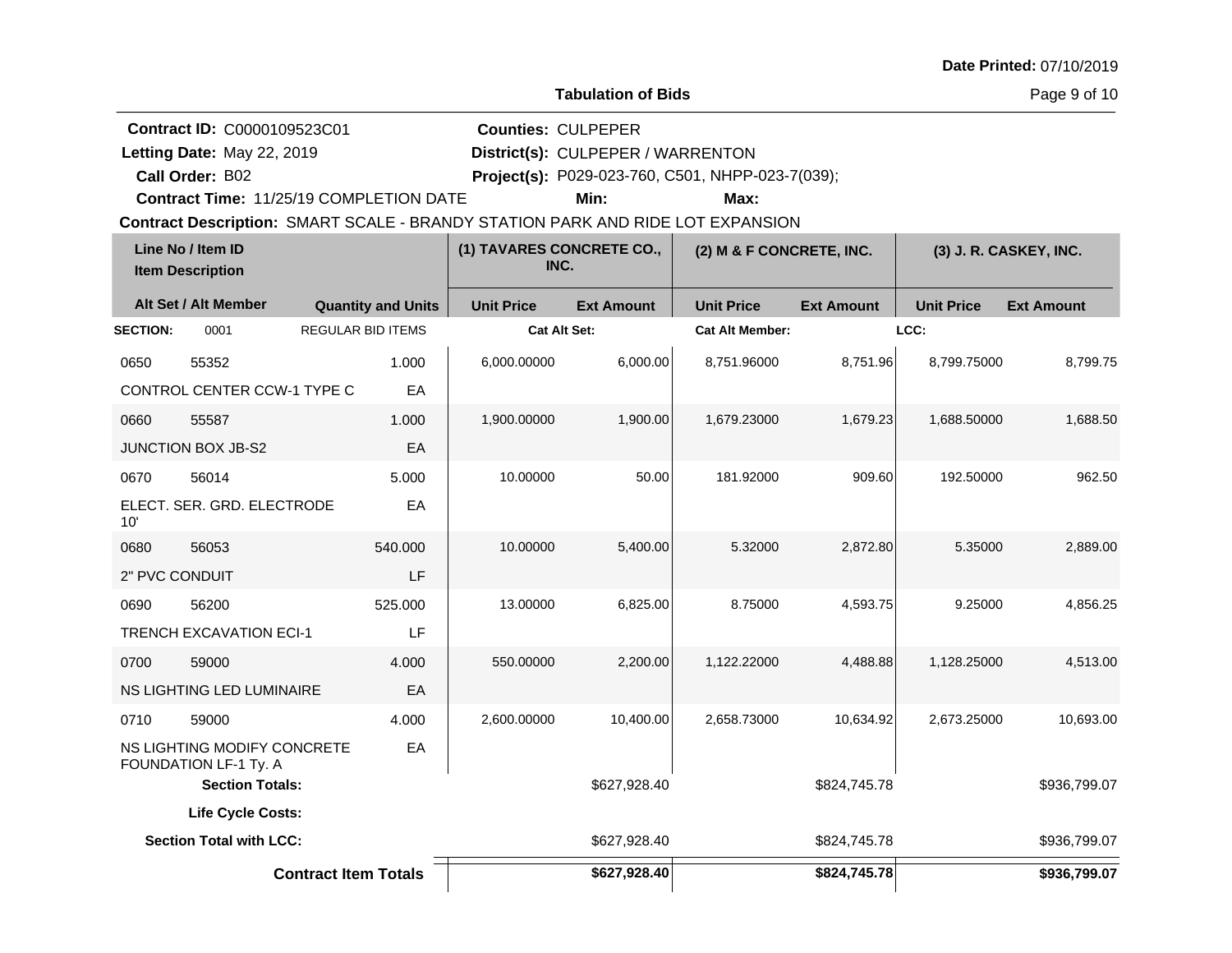| <b>Date Printed: 07/10/2019</b> |  |
|---------------------------------|--|
|---------------------------------|--|

**Contract ID:** C0000109523C01

**Call Order:**

Letting Date: May 22, 2019

**Letting Date:** May 22, 2019 **District(s):** CULPEPER / WARRENTON

**Counties:** CULPEPER

B02 **Project(s):** P029-023-760, C501, NHPP-023-7(039);

**Contract Time:** 11/25/19 COMPLETION DATE

**Min: Max:**

**Contract Description: SMART SCALE - BRANDY STATION PARK AND RIDE LOT EXPANSION** 

| Line No / Item ID<br><b>Item Description</b> |                                                      | (1) TAVARES CONCRETE CO.,<br>INC. |                     | (2) M & F CONCRETE, INC. |                        | (3) J. R. CASKEY, INC. |                   |                   |
|----------------------------------------------|------------------------------------------------------|-----------------------------------|---------------------|--------------------------|------------------------|------------------------|-------------------|-------------------|
|                                              | Alt Set / Alt Member                                 | <b>Quantity and Units</b>         | <b>Unit Price</b>   | <b>Ext Amount</b>        | <b>Unit Price</b>      | <b>Ext Amount</b>      | <b>Unit Price</b> | <b>Ext Amount</b> |
| <b>SECTION:</b>                              | 0001                                                 | <b>REGULAR BID ITEMS</b>          | <b>Cat Alt Set:</b> |                          | <b>Cat Alt Member:</b> |                        | LCC:              |                   |
| 0650                                         | 55352                                                | 1.000                             | 6,000.00000         | 6,000.00                 | 8,751.96000            | 8,751.96               | 8,799.75000       | 8,799.75          |
|                                              | CONTROL CENTER CCW-1 TYPE C                          | EA                                |                     |                          |                        |                        |                   |                   |
| 0660                                         | 55587                                                | 1.000                             | 1,900.00000         | 1,900.00                 | 1,679.23000            | 1,679.23               | 1,688.50000       | 1,688.50          |
|                                              | <b>JUNCTION BOX JB-S2</b>                            | EA                                |                     |                          |                        |                        |                   |                   |
| 0670                                         | 56014                                                | 5.000                             | 10.00000            | 50.00                    | 181.92000              | 909.60                 | 192.50000         | 962.50            |
| 10'                                          | ELECT. SER. GRD. ELECTRODE                           | EA                                |                     |                          |                        |                        |                   |                   |
| 0680                                         | 56053                                                | 540.000                           | 10.00000            | 5,400.00                 | 5.32000                | 2,872.80               | 5.35000           | 2,889.00          |
| 2" PVC CONDUIT                               |                                                      | LF                                |                     |                          |                        |                        |                   |                   |
| 0690                                         | 56200                                                | 525.000                           | 13.00000            | 6,825.00                 | 8.75000                | 4,593.75               | 9.25000           | 4,856.25          |
|                                              | <b>TRENCH EXCAVATION ECI-1</b>                       | LF                                |                     |                          |                        |                        |                   |                   |
| 0700                                         | 59000                                                | 4.000                             | 550.00000           | 2,200.00                 | 1,122.22000            | 4,488.88               | 1,128.25000       | 4,513.00          |
|                                              | NS LIGHTING LED LUMINAIRE                            | EA                                |                     |                          |                        |                        |                   |                   |
| 0710                                         | 59000                                                | 4.000                             | 2,600.00000         | 10,400.00                | 2,658.73000            | 10,634.92              | 2,673.25000       | 10,693.00         |
|                                              | NS LIGHTING MODIFY CONCRETE<br>FOUNDATION LF-1 Ty. A | EA                                |                     |                          |                        |                        |                   |                   |
|                                              | <b>Section Totals:</b>                               |                                   |                     | \$627,928.40             |                        | \$824,745.78           |                   | \$936,799.07      |
|                                              | Life Cycle Costs:                                    |                                   |                     |                          |                        |                        |                   |                   |
|                                              | <b>Section Total with LCC:</b>                       |                                   |                     | \$627,928.40             |                        | \$824,745.78           |                   | \$936,799.07      |
|                                              |                                                      | <b>Contract Item Totals</b>       |                     | \$627,928.40             |                        | \$824,745.78           |                   | \$936,799.07      |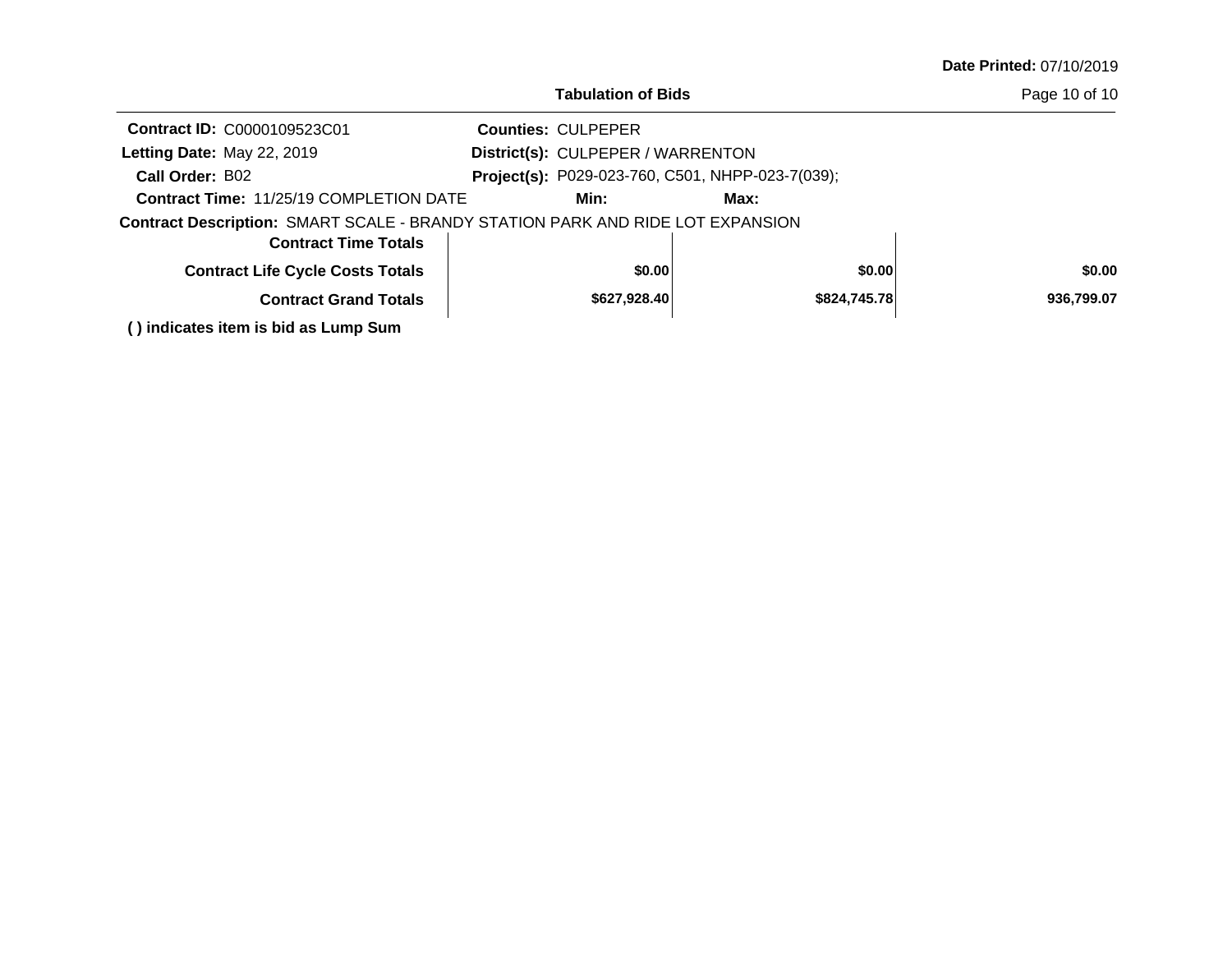|                                                                                | <b>Tabulation of Bids</b>         |                                                  |              | Page 10 of 10 |
|--------------------------------------------------------------------------------|-----------------------------------|--------------------------------------------------|--------------|---------------|
| <b>Contract ID: C0000109523C01</b>                                             | <b>Counties: CULPEPER</b>         |                                                  |              |               |
| Letting Date: May 22, 2019                                                     | District(s): CULPEPER / WARRENTON |                                                  |              |               |
| Call Order: B02                                                                |                                   | Project(s): P029-023-760, C501, NHPP-023-7(039); |              |               |
| <b>Contract Time: 11/25/19 COMPLETION DATE</b>                                 | Min:                              | Max:                                             |              |               |
| Contract Description: SMART SCALE - BRANDY STATION PARK AND RIDE LOT EXPANSION |                                   |                                                  |              |               |
| <b>Contract Time Totals</b>                                                    |                                   |                                                  |              |               |
| <b>Contract Life Cycle Costs Totals</b>                                        | \$0.00                            |                                                  | \$0.00       | \$0.00        |
| <b>Contract Grand Totals</b>                                                   | \$627,928.40                      |                                                  | \$824,745.78 | 936,799.07    |
|                                                                                |                                   |                                                  |              |               |

**( ) indicates item is bid as Lump Sum**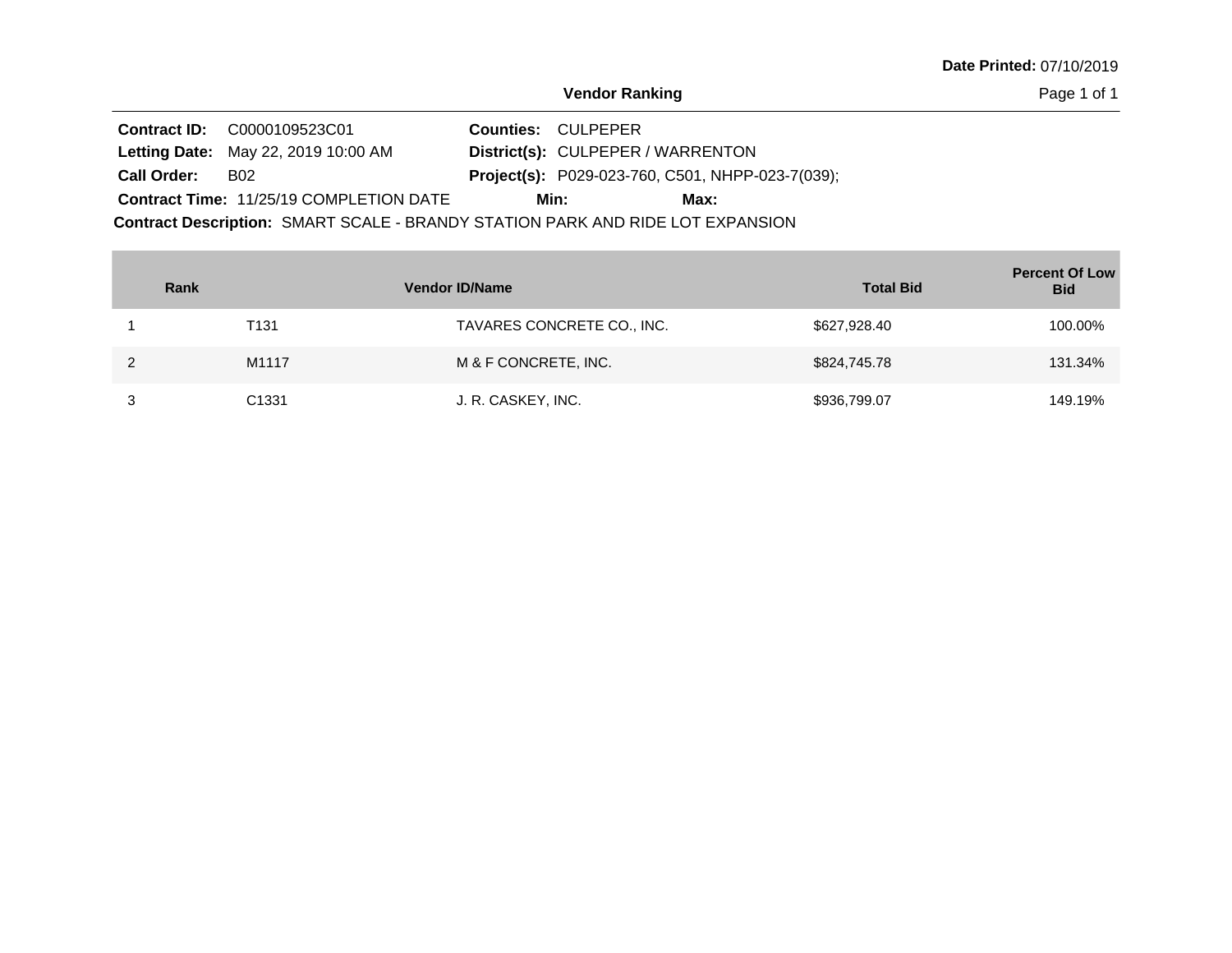Page 1 of 1

**Contract ID:** C0000109523C01 **Contract Description: SMART SCALE - BRANDY STATION PARK AND RIDE LOT EXPANSION** Letting Date: May 22, 2019 10:00 AM **District(s): CULPEPER / WARRENTON District(s):** Contract Time: 11/25/19 COMPLETION DATE P029-023-760, C501, NHPP-023-7(039); **Call Order: Project(s): Counties: CULPEPER** B02 **Min: Max:**

| Rank |                   | <b>Vendor ID/Name</b>      | <b>Total Bid</b> | <b>Percent Of Low</b><br><b>Bid</b> |
|------|-------------------|----------------------------|------------------|-------------------------------------|
|      | T131              | TAVARES CONCRETE CO., INC. | \$627,928.40     | 100.00%                             |
|      | M1117             | M & F CONCRETE, INC.       | \$824,745.78     | 131.34%                             |
|      | C <sub>1331</sub> | J. R. CASKEY, INC.         | \$936,799.07     | 149.19%                             |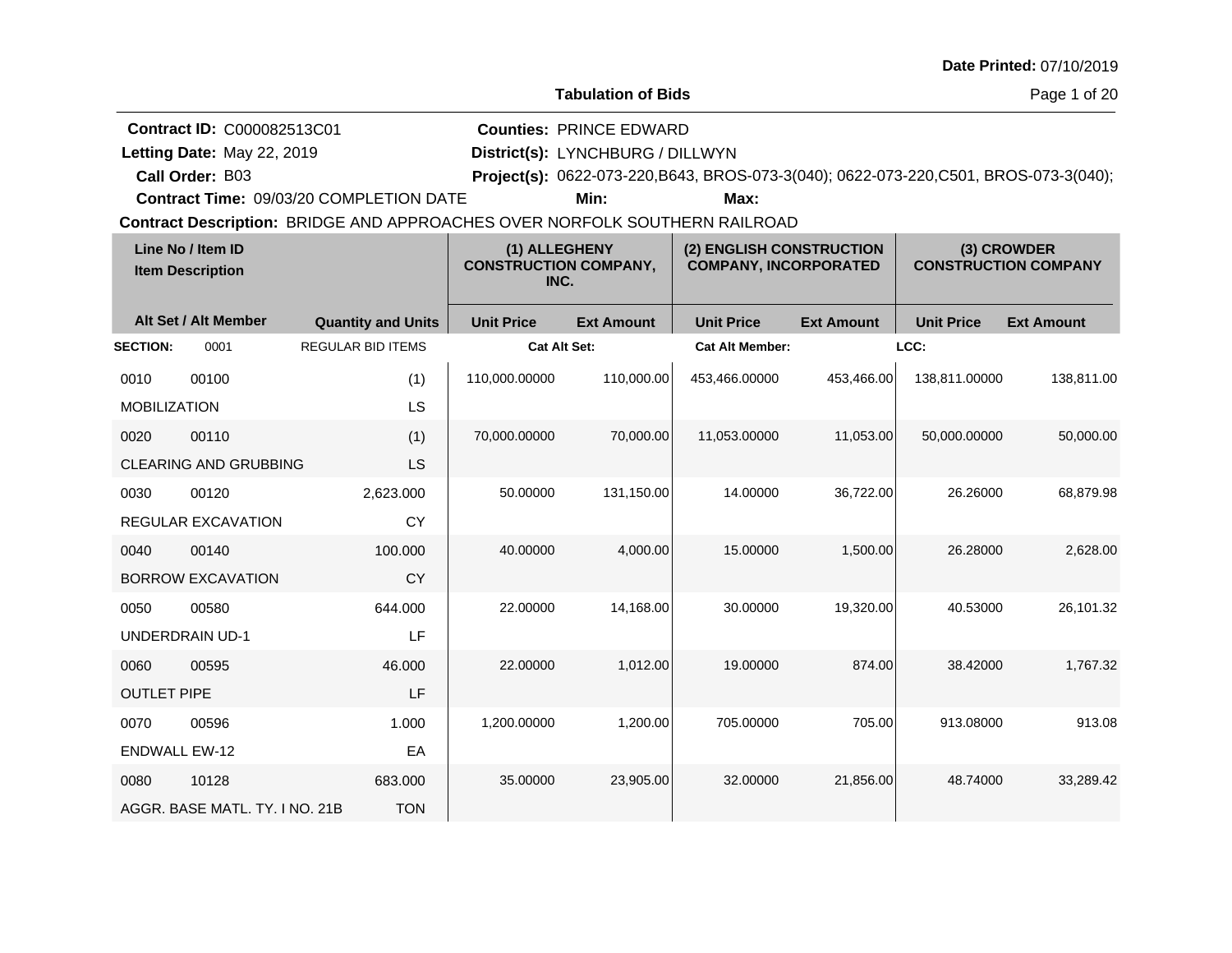|  |  | <b>Date Printed: 07/10/2019</b> |
|--|--|---------------------------------|
|--|--|---------------------------------|

**Letting Date:** May 22, 2019 **District(s):** LYNCHBURG / DILLWYN

**Counties:** PRINCE EDWARD

**Call Order:**

Letting Date: May 22, 2019

B03 **Project(s):** 0622-073-220,B643, BROS-073-3(040); 0622-073-220,C501, BROS-073-3(040);

**Contract Time:** 09/03/20 COMPLETION DATE

**Min: Max:**

| Line No / Item ID<br><b>Item Description</b> |                                | (1) ALLEGHENY<br><b>CONSTRUCTION COMPANY,</b><br>INC. |                   | (2) ENGLISH CONSTRUCTION<br><b>COMPANY, INCORPORATED</b> |                        | (3) CROWDER<br><b>CONSTRUCTION COMPANY</b> |                   |                   |
|----------------------------------------------|--------------------------------|-------------------------------------------------------|-------------------|----------------------------------------------------------|------------------------|--------------------------------------------|-------------------|-------------------|
|                                              | Alt Set / Alt Member           | <b>Quantity and Units</b>                             | <b>Unit Price</b> | <b>Ext Amount</b>                                        | <b>Unit Price</b>      | <b>Ext Amount</b>                          | <b>Unit Price</b> | <b>Ext Amount</b> |
| <b>SECTION:</b>                              | 0001                           | <b>REGULAR BID ITEMS</b>                              | Cat Alt Set:      |                                                          | <b>Cat Alt Member:</b> |                                            | LCC:              |                   |
| 0010                                         | 00100                          | (1)                                                   | 110,000.00000     | 110,000.00                                               | 453,466.00000          | 453.466.00                                 | 138,811.00000     | 138,811.00        |
| <b>MOBILIZATION</b>                          |                                | LS                                                    |                   |                                                          |                        |                                            |                   |                   |
| 0020                                         | 00110                          | (1)                                                   | 70,000.00000      | 70,000.00                                                | 11,053.00000           | 11,053.00                                  | 50,000.00000      | 50,000.00         |
|                                              | <b>CLEARING AND GRUBBING</b>   | <b>LS</b>                                             |                   |                                                          |                        |                                            |                   |                   |
| 0030                                         | 00120                          | 2,623.000                                             | 50.00000          | 131,150.00                                               | 14.00000               | 36,722.00                                  | 26.26000          | 68,879.98         |
|                                              | REGULAR EXCAVATION             | CY                                                    |                   |                                                          |                        |                                            |                   |                   |
| 0040                                         | 00140                          | 100.000                                               | 40.00000          | 4,000.00                                                 | 15.00000               | 1,500.00                                   | 26.28000          | 2,628.00          |
|                                              | <b>BORROW EXCAVATION</b>       | CY                                                    |                   |                                                          |                        |                                            |                   |                   |
| 0050                                         | 00580                          | 644.000                                               | 22.00000          | 14,168.00                                                | 30.00000               | 19,320.00                                  | 40.53000          | 26,101.32         |
|                                              | <b>UNDERDRAIN UD-1</b>         | LF                                                    |                   |                                                          |                        |                                            |                   |                   |
| 0060                                         | 00595                          | 46.000                                                | 22.00000          | 1,012.00                                                 | 19.00000               | 874.00                                     | 38.42000          | 1,767.32          |
| <b>OUTLET PIPE</b>                           |                                | LF                                                    |                   |                                                          |                        |                                            |                   |                   |
| 0070                                         | 00596                          | 1.000                                                 | 1,200.00000       | 1,200.00                                                 | 705.00000              | 705.00                                     | 913.08000         | 913.08            |
| <b>ENDWALL EW-12</b>                         |                                | EA                                                    |                   |                                                          |                        |                                            |                   |                   |
| 0080                                         | 10128                          | 683.000                                               | 35.00000          | 23,905.00                                                | 32.00000               | 21,856.00                                  | 48.74000          | 33,289.42         |
|                                              | AGGR. BASE MATL, TY, I NO. 21B | <b>TON</b>                                            |                   |                                                          |                        |                                            |                   |                   |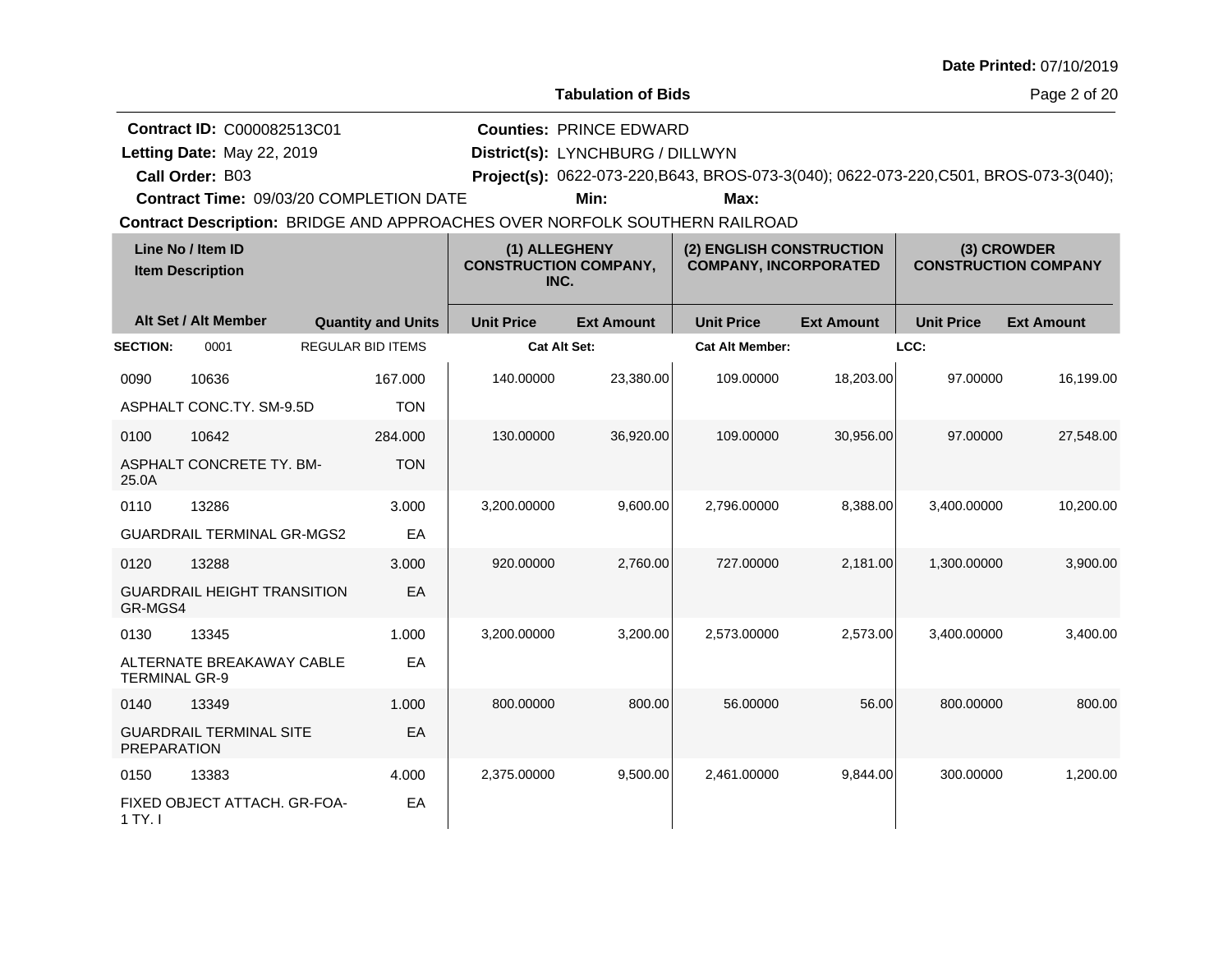| Date Printed: 07/10/2019 |  |
|--------------------------|--|
|--------------------------|--|

Page 2 of 20

**Contract ID:** C000082513C01

**Letting Date:** May 22, 2019 **District(s):** LYNCHBURG / DILLWYN

**Counties:** PRINCE EDWARD

**Call Order:**

Letting Date: May 22, 2019

B03 **Project(s):** 0622-073-220,B643, BROS-073-3(040); 0622-073-220,C501, BROS-073-3(040);

**Contract Time:** 09/03/20 COMPLETION DATE

**Min: Max:**

| Line No / Item ID<br><b>Item Description</b> |                                    | (1) ALLEGHENY<br><b>CONSTRUCTION COMPANY,</b><br>INC. |                   | (2) ENGLISH CONSTRUCTION<br><b>COMPANY, INCORPORATED</b> |                        | (3) CROWDER<br><b>CONSTRUCTION COMPANY</b> |                   |                   |
|----------------------------------------------|------------------------------------|-------------------------------------------------------|-------------------|----------------------------------------------------------|------------------------|--------------------------------------------|-------------------|-------------------|
|                                              | Alt Set / Alt Member               | <b>Quantity and Units</b>                             | <b>Unit Price</b> | <b>Ext Amount</b>                                        | <b>Unit Price</b>      | <b>Ext Amount</b>                          | <b>Unit Price</b> | <b>Ext Amount</b> |
| <b>SECTION:</b>                              | 0001                               | <b>REGULAR BID ITEMS</b>                              |                   | <b>Cat Alt Set:</b>                                      | <b>Cat Alt Member:</b> |                                            | LCC:              |                   |
| 0090                                         | 10636                              | 167.000                                               | 140.00000         | 23,380.00                                                | 109.00000              | 18,203.00                                  | 97.00000          | 16,199.00         |
|                                              | ASPHALT CONC.TY. SM-9.5D           | <b>TON</b>                                            |                   |                                                          |                        |                                            |                   |                   |
| 0100                                         | 10642                              | 284.000                                               | 130.00000         | 36,920.00                                                | 109.00000              | 30,956.00                                  | 97.00000          | 27,548.00         |
| 25.0A                                        | ASPHALT CONCRETE TY, BM-           | <b>TON</b>                                            |                   |                                                          |                        |                                            |                   |                   |
| 0110                                         | 13286                              | 3.000                                                 | 3,200.00000       | 9,600.00                                                 | 2,796.00000            | 8,388.00                                   | 3,400.00000       | 10,200.00         |
|                                              | <b>GUARDRAIL TERMINAL GR-MGS2</b>  | EA                                                    |                   |                                                          |                        |                                            |                   |                   |
| 0120                                         | 13288                              | 3.000                                                 | 920.00000         | 2,760.00                                                 | 727.00000              | 2,181.00                                   | 1,300.00000       | 3,900.00          |
| GR-MGS4                                      | <b>GUARDRAIL HEIGHT TRANSITION</b> | EA                                                    |                   |                                                          |                        |                                            |                   |                   |
| 0130                                         | 13345                              | 1.000                                                 | 3,200.00000       | 3,200.00                                                 | 2,573.00000            | 2,573.00                                   | 3,400.00000       | 3,400.00          |
| <b>TERMINAL GR-9</b>                         | ALTERNATE BREAKAWAY CABLE          | EA                                                    |                   |                                                          |                        |                                            |                   |                   |
| 0140                                         | 13349                              | 1.000                                                 | 800.00000         | 800.00                                                   | 56.00000               | 56.00                                      | 800.00000         | 800.00            |
| <b>PREPARATION</b>                           | <b>GUARDRAIL TERMINAL SITE</b>     | EA                                                    |                   |                                                          |                        |                                            |                   |                   |
| 0150                                         | 13383                              | 4.000                                                 | 2,375.00000       | 9,500.00                                                 | 2,461.00000            | 9,844.00                                   | 300.00000         | 1,200.00          |
| 1 TY. I                                      | FIXED OBJECT ATTACH. GR-FOA-       | EA                                                    |                   |                                                          |                        |                                            |                   |                   |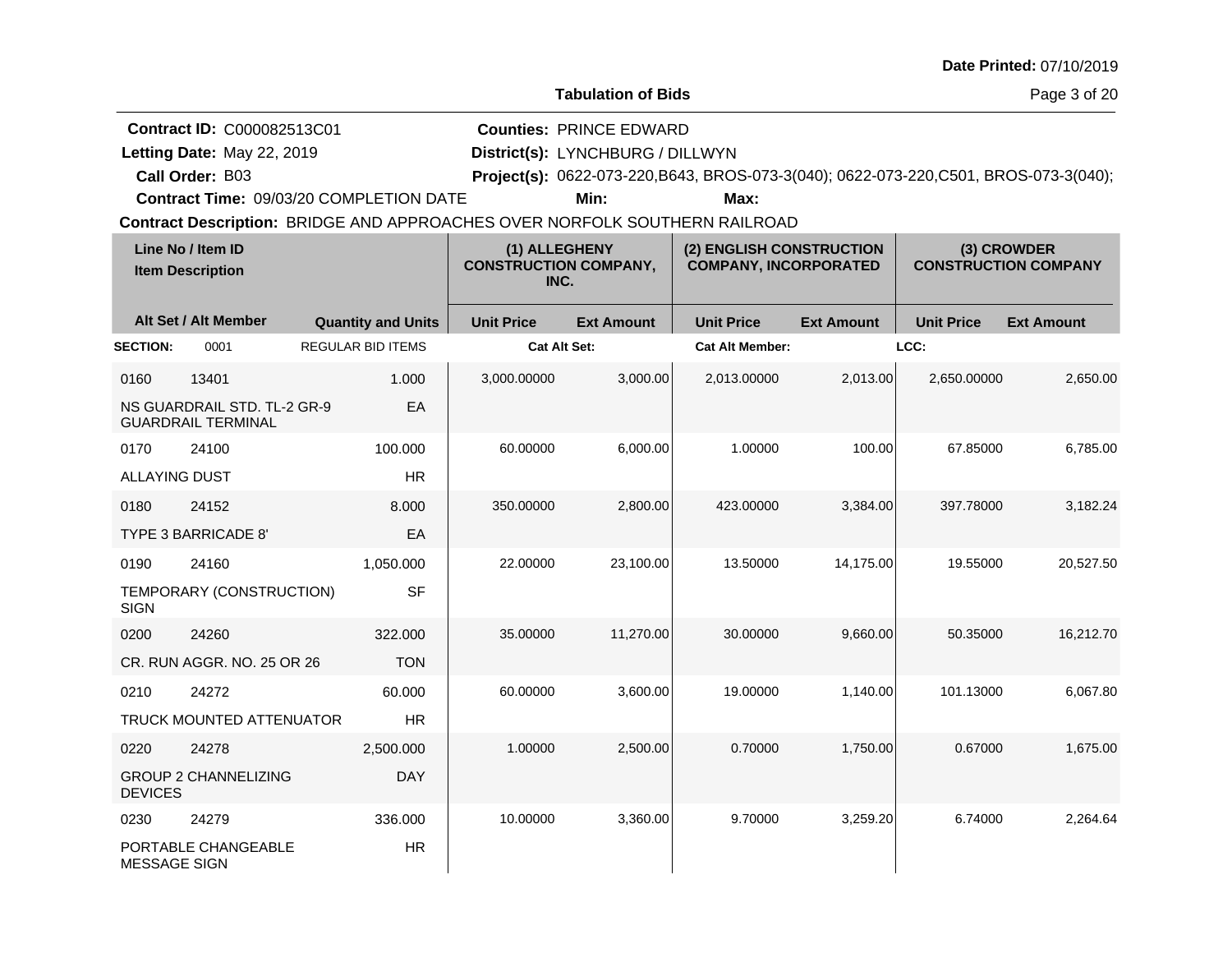|                                                                                                          |                                                                            |                   |                                                       |                                                          |                   |                                            | Date Printed: 07/10/2019 |  |  |  |
|----------------------------------------------------------------------------------------------------------|----------------------------------------------------------------------------|-------------------|-------------------------------------------------------|----------------------------------------------------------|-------------------|--------------------------------------------|--------------------------|--|--|--|
|                                                                                                          |                                                                            |                   | <b>Tabulation of Bids</b>                             |                                                          |                   |                                            | Page 3 of 20             |  |  |  |
| <b>Contract ID: C000082513C01</b>                                                                        |                                                                            |                   | <b>Counties: PRINCE EDWARD</b>                        |                                                          |                   |                                            |                          |  |  |  |
| Letting Date: May 22, 2019                                                                               | District(s): LYNCHBURG / DILLWYN                                           |                   |                                                       |                                                          |                   |                                            |                          |  |  |  |
| Project(s): 0622-073-220, B643, BROS-073-3(040); 0622-073-220, C501, BROS-073-3(040);<br>Call Order: B03 |                                                                            |                   |                                                       |                                                          |                   |                                            |                          |  |  |  |
| <b>Contract Time: 09/03/20 COMPLETION DATE</b><br>Min:<br>Max:                                           |                                                                            |                   |                                                       |                                                          |                   |                                            |                          |  |  |  |
|                                                                                                          | Contract Description: BRIDGE AND APPROACHES OVER NORFOLK SOUTHERN RAILROAD |                   |                                                       |                                                          |                   |                                            |                          |  |  |  |
| Line No / Item ID<br><b>Item Description</b>                                                             |                                                                            |                   | (1) ALLEGHENY<br><b>CONSTRUCTION COMPANY.</b><br>INC. | (2) ENGLISH CONSTRUCTION<br><b>COMPANY, INCORPORATED</b> |                   | (3) CROWDER<br><b>CONSTRUCTION COMPANY</b> |                          |  |  |  |
| Alt Set / Alt Member                                                                                     | <b>Quantity and Units</b>                                                  | <b>Unit Price</b> | <b>Ext Amount</b>                                     | <b>Unit Price</b>                                        | <b>Ext Amount</b> | <b>Unit Price</b>                          | <b>Ext Amount</b>        |  |  |  |
| <b>ECTION:</b><br>0001                                                                                   | <b>REGULAR BID ITEMS</b>                                                   |                   | Cat Alt Set:                                          | <b>Cat Alt Member:</b>                                   |                   | LCC:                                       |                          |  |  |  |
|                                                                                                          |                                                                            |                   |                                                       |                                                          |                   |                                            |                          |  |  |  |

| Line No / Item ID<br><b>Item Description</b> |                                                          | (1) ALLEGHENY<br><b>CONSTRUCTION COMPANY,</b><br>INC. |                     | (2) ENGLISH CONSTRUCTION<br><b>COMPANY, INCORPORATED</b> |                        | (3) CROWDER<br><b>CONSTRUCTION COMPANY</b> |                   |                   |
|----------------------------------------------|----------------------------------------------------------|-------------------------------------------------------|---------------------|----------------------------------------------------------|------------------------|--------------------------------------------|-------------------|-------------------|
|                                              | Alt Set / Alt Member                                     | <b>Quantity and Units</b>                             | <b>Unit Price</b>   | <b>Ext Amount</b>                                        | <b>Unit Price</b>      | <b>Ext Amount</b>                          | <b>Unit Price</b> | <b>Ext Amount</b> |
| <b>SECTION:</b>                              | 0001                                                     | <b>REGULAR BID ITEMS</b>                              | <b>Cat Alt Set:</b> |                                                          | <b>Cat Alt Member:</b> |                                            | LCC:              |                   |
| 0160                                         | 13401                                                    | 1.000                                                 | 3,000.00000         | 3,000.00                                                 | 2,013.00000            | 2,013.00                                   | 2,650.00000       | 2,650.00          |
|                                              | NS GUARDRAIL STD. TL-2 GR-9<br><b>GUARDRAIL TERMINAL</b> | EA                                                    |                     |                                                          |                        |                                            |                   |                   |
| 0170                                         | 24100                                                    | 100.000                                               | 60.00000            | 6,000.00                                                 | 1.00000                | 100.00                                     | 67.85000          | 6,785.00          |
| <b>ALLAYING DUST</b>                         |                                                          | <b>HR</b>                                             |                     |                                                          |                        |                                            |                   |                   |
| 0180                                         | 24152                                                    | 8.000                                                 | 350.00000           | 2,800.00                                                 | 423.00000              | 3,384.00                                   | 397.78000         | 3,182.24          |
|                                              | TYPE 3 BARRICADE 8'                                      | EA                                                    |                     |                                                          |                        |                                            |                   |                   |
| 0190                                         | 24160                                                    | 1,050.000                                             | 22.00000            | 23,100.00                                                | 13.50000               | 14,175.00                                  | 19.55000          | 20,527.50         |
| <b>SIGN</b>                                  | TEMPORARY (CONSTRUCTION)                                 | <b>SF</b>                                             |                     |                                                          |                        |                                            |                   |                   |
| 0200                                         | 24260                                                    | 322.000                                               | 35.00000            | 11,270.00                                                | 30.00000               | 9,660.00                                   | 50.35000          | 16,212.70         |
|                                              | CR. RUN AGGR, NO. 25 OR 26                               | <b>TON</b>                                            |                     |                                                          |                        |                                            |                   |                   |
| 0210                                         | 24272                                                    | 60.000                                                | 60.00000            | 3,600.00                                                 | 19.00000               | 1,140.00                                   | 101.13000         | 6,067.80          |
|                                              | <b>TRUCK MOUNTED ATTENUATOR</b>                          | <b>HR</b>                                             |                     |                                                          |                        |                                            |                   |                   |
| 0220                                         | 24278                                                    | 2,500.000                                             | 1.00000             | 2,500.00                                                 | 0.70000                | 1,750.00                                   | 0.67000           | 1,675.00          |
| <b>DEVICES</b>                               | <b>GROUP 2 CHANNELIZING</b>                              | <b>DAY</b>                                            |                     |                                                          |                        |                                            |                   |                   |
| 0230                                         | 24279                                                    | 336.000                                               | 10.00000            | 3,360.00                                                 | 9.70000                | 3,259.20                                   | 6.74000           | 2,264.64          |
| <b>MESSAGE SIGN</b>                          | PORTABLE CHANGEABLE                                      | <b>HR</b>                                             |                     |                                                          |                        |                                            |                   |                   |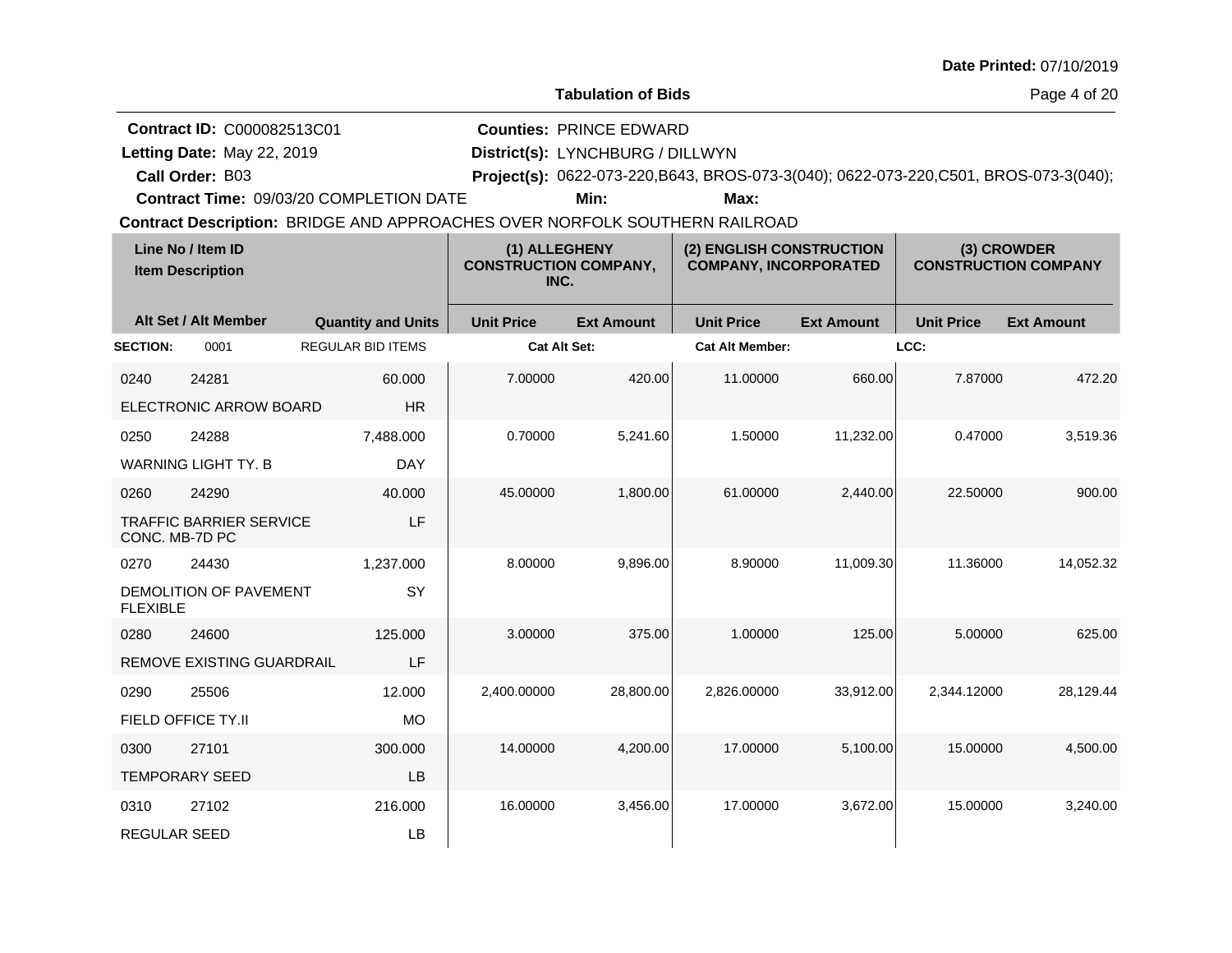|  |  | <b>Date Printed: 07/10/2019</b> |
|--|--|---------------------------------|
|--|--|---------------------------------|

**Letting Date:** May 22, 2019 **District(s):** LYNCHBURG / DILLWYN

**Call Order:**

Letting Date: May 22, 2019

B03 **Project(s):** 0622-073-220,B643, BROS-073-3(040); 0622-073-220,C501, BROS-073-3(040);

**Counties:** PRINCE EDWARD

**Contract Time:** 09/03/20 COMPLETION DATE

**Min: Max:**

|                     | Line No / Item ID<br><b>Item Description</b> |                           | (1) ALLEGHENY<br><b>CONSTRUCTION COMPANY,</b><br>INC. |                   | (2) ENGLISH CONSTRUCTION<br><b>COMPANY, INCORPORATED</b> |                   | (3) CROWDER<br><b>CONSTRUCTION COMPANY</b> |                   |
|---------------------|----------------------------------------------|---------------------------|-------------------------------------------------------|-------------------|----------------------------------------------------------|-------------------|--------------------------------------------|-------------------|
|                     | Alt Set / Alt Member                         | <b>Quantity and Units</b> | <b>Unit Price</b>                                     | <b>Ext Amount</b> | <b>Unit Price</b>                                        | <b>Ext Amount</b> | <b>Unit Price</b>                          | <b>Ext Amount</b> |
| <b>SECTION:</b>     | 0001                                         | <b>REGULAR BID ITEMS</b>  | <b>Cat Alt Set:</b>                                   |                   | <b>Cat Alt Member:</b>                                   |                   | LCC:                                       |                   |
| 0240                | 24281                                        | 60.000                    | 7.00000                                               | 420.00            | 11.00000                                                 | 660.00            | 7.87000                                    | 472.20            |
|                     | ELECTRONIC ARROW BOARD                       | <b>HR</b>                 |                                                       |                   |                                                          |                   |                                            |                   |
| 0250                | 24288                                        | 7,488.000                 | 0.70000                                               | 5,241.60          | 1.50000                                                  | 11,232.00         | 0.47000                                    | 3,519.36          |
|                     | <b>WARNING LIGHT TY, B</b>                   | <b>DAY</b>                |                                                       |                   |                                                          |                   |                                            |                   |
| 0260                | 24290                                        | 40.000                    | 45.00000                                              | 1,800.00          | 61.00000                                                 | 2,440.00          | 22,50000                                   | 900.00            |
| CONC. MB-7D PC      | <b>TRAFFIC BARRIER SERVICE</b>               | LF                        |                                                       |                   |                                                          |                   |                                            |                   |
| 0270                | 24430                                        | 1,237.000                 | 8.00000                                               | 9,896.00          | 8.90000                                                  | 11,009.30         | 11.36000                                   | 14,052.32         |
| <b>FLEXIBLE</b>     | DEMOLITION OF PAVEMENT                       | SY                        |                                                       |                   |                                                          |                   |                                            |                   |
| 0280                | 24600                                        | 125,000                   | 3.00000                                               | 375.00            | 1.00000                                                  | 125.00            | 5.00000                                    | 625.00            |
|                     | <b>REMOVE EXISTING GUARDRAIL</b>             | LF                        |                                                       |                   |                                                          |                   |                                            |                   |
| 0290                | 25506                                        | 12.000                    | 2,400.00000                                           | 28,800.00         | 2,826.00000                                              | 33,912.00         | 2,344.12000                                | 28,129.44         |
|                     | FIELD OFFICE TY.II                           | <b>MO</b>                 |                                                       |                   |                                                          |                   |                                            |                   |
| 0300                | 27101                                        | 300.000                   | 14.00000                                              | 4,200.00          | 17.00000                                                 | 5,100.00          | 15.00000                                   | 4,500.00          |
|                     | <b>TEMPORARY SEED</b>                        | LB                        |                                                       |                   |                                                          |                   |                                            |                   |
| 0310                | 27102                                        | 216.000                   | 16.00000                                              | 3,456.00          | 17.00000                                                 | 3,672.00          | 15.00000                                   | 3,240.00          |
| <b>REGULAR SEED</b> |                                              | LB                        |                                                       |                   |                                                          |                   |                                            |                   |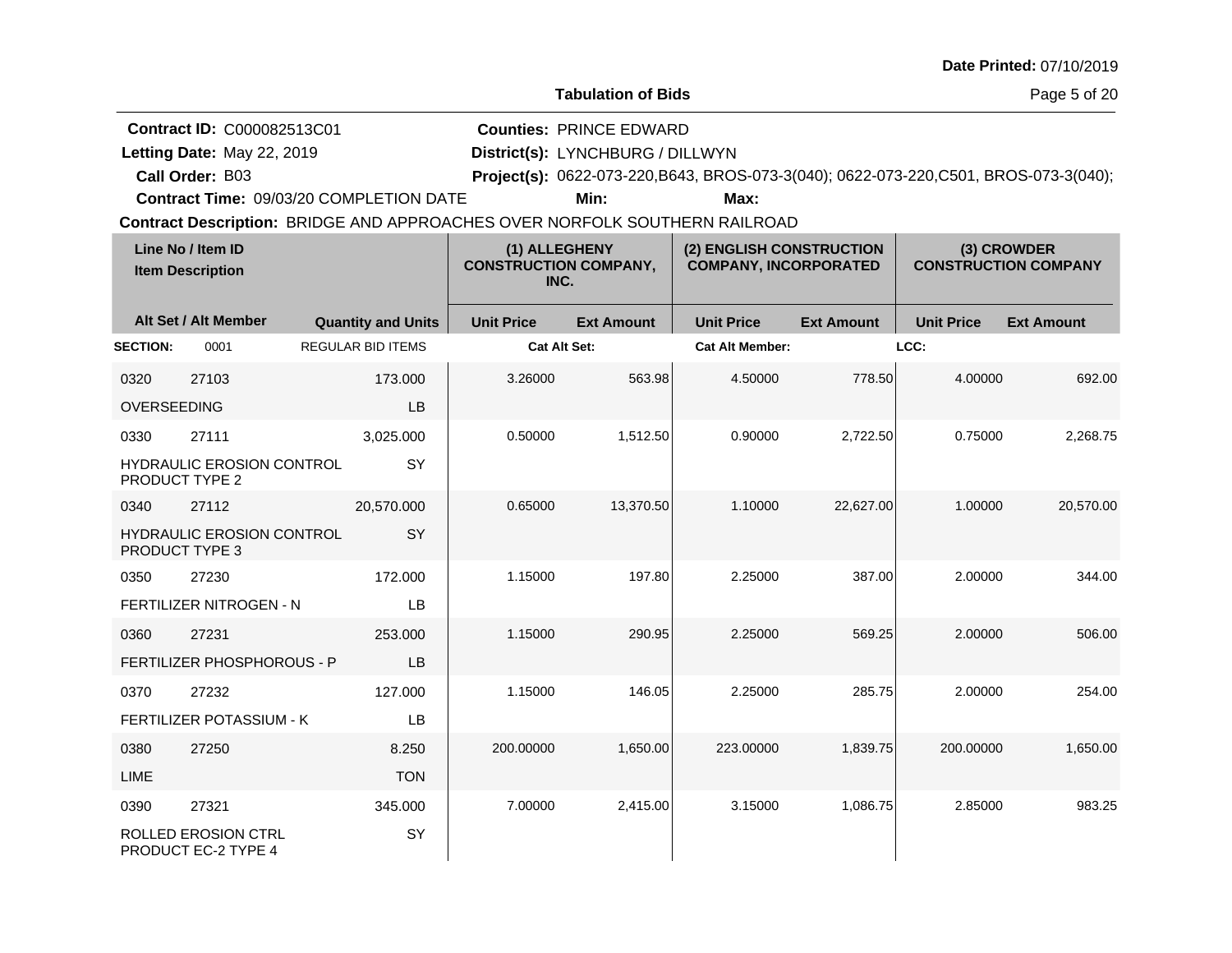| <b>Date Printed: 07/10/2019</b> |  |
|---------------------------------|--|
|---------------------------------|--|

**Letting Date:** May 22, 2019 **District(s):** LYNCHBURG / DILLWYN

**Call Order:**

Letting Date: May 22, 2019

B03 **Project(s):** 0622-073-220,B643, BROS-073-3(040); 0622-073-220,C501, BROS-073-3(040);

**Counties:** PRINCE EDWARD

**Contract Time:** 09/03/20 COMPLETION DATE

**Min: Max:**

|                 | Line No / Item ID<br><b>Item Description</b>              |                           | (1) ALLEGHENY<br><b>CONSTRUCTION COMPANY,</b><br>INC. |                   | (2) ENGLISH CONSTRUCTION<br><b>COMPANY, INCORPORATED</b> |                   |                   | (3) CROWDER<br><b>CONSTRUCTION COMPANY</b> |
|-----------------|-----------------------------------------------------------|---------------------------|-------------------------------------------------------|-------------------|----------------------------------------------------------|-------------------|-------------------|--------------------------------------------|
|                 | Alt Set / Alt Member                                      | <b>Quantity and Units</b> | <b>Unit Price</b>                                     | <b>Ext Amount</b> | <b>Unit Price</b>                                        | <b>Ext Amount</b> | <b>Unit Price</b> | <b>Ext Amount</b>                          |
| <b>SECTION:</b> | 0001                                                      | <b>REGULAR BID ITEMS</b>  | Cat Alt Set:                                          |                   | <b>Cat Alt Member:</b>                                   |                   | LCC:              |                                            |
| 0320            | 27103                                                     | 173.000                   | 3.26000                                               | 563.98            | 4.50000                                                  | 778.50            | 4.00000           | 692.00                                     |
| OVERSEEDING     |                                                           | LB                        |                                                       |                   |                                                          |                   |                   |                                            |
| 0330            | 27111                                                     | 3,025.000                 | 0.50000                                               | 1,512.50          | 0.90000                                                  | 2,722.50          | 0.75000           | 2,268.75                                   |
|                 | <b>HYDRAULIC EROSION CONTROL</b><br><b>PRODUCT TYPE 2</b> | SY                        |                                                       |                   |                                                          |                   |                   |                                            |
| 0340            | 27112                                                     | 20,570.000                | 0.65000                                               | 13,370.50         | 1.10000                                                  | 22,627.00         | 1.00000           | 20,570.00                                  |
|                 | HYDRAULIC EROSION CONTROL<br>PRODUCT TYPE 3               | SY                        |                                                       |                   |                                                          |                   |                   |                                            |
| 0350            | 27230                                                     | 172.000                   | 1.15000                                               | 197.80            | 2.25000                                                  | 387.00            | 2.00000           | 344.00                                     |
|                 | FERTILIZER NITROGEN - N                                   | LB                        |                                                       |                   |                                                          |                   |                   |                                            |
| 0360            | 27231                                                     | 253.000                   | 1.15000                                               | 290.95            | 2.25000                                                  | 569.25            | 2.00000           | 506.00                                     |
|                 | <b>FERTILIZER PHOSPHOROUS - P</b>                         | LB                        |                                                       |                   |                                                          |                   |                   |                                            |
| 0370            | 27232                                                     | 127.000                   | 1.15000                                               | 146.05            | 2.25000                                                  | 285.75            | 2.00000           | 254.00                                     |
|                 | <b>FERTILIZER POTASSIUM - K</b>                           | LB                        |                                                       |                   |                                                          |                   |                   |                                            |
| 0380            | 27250                                                     | 8.250                     | 200.00000                                             | 1,650.00          | 223.00000                                                | 1,839.75          | 200.00000         | 1,650.00                                   |
| <b>LIME</b>     |                                                           | <b>TON</b>                |                                                       |                   |                                                          |                   |                   |                                            |
| 0390            | 27321                                                     | 345.000                   | 7.00000                                               | 2,415.00          | 3.15000                                                  | 1,086.75          | 2.85000           | 983.25                                     |
|                 | <b>ROLLED EROSION CTRL</b><br>PRODUCT EC-2 TYPE 4         | SY                        |                                                       |                   |                                                          |                   |                   |                                            |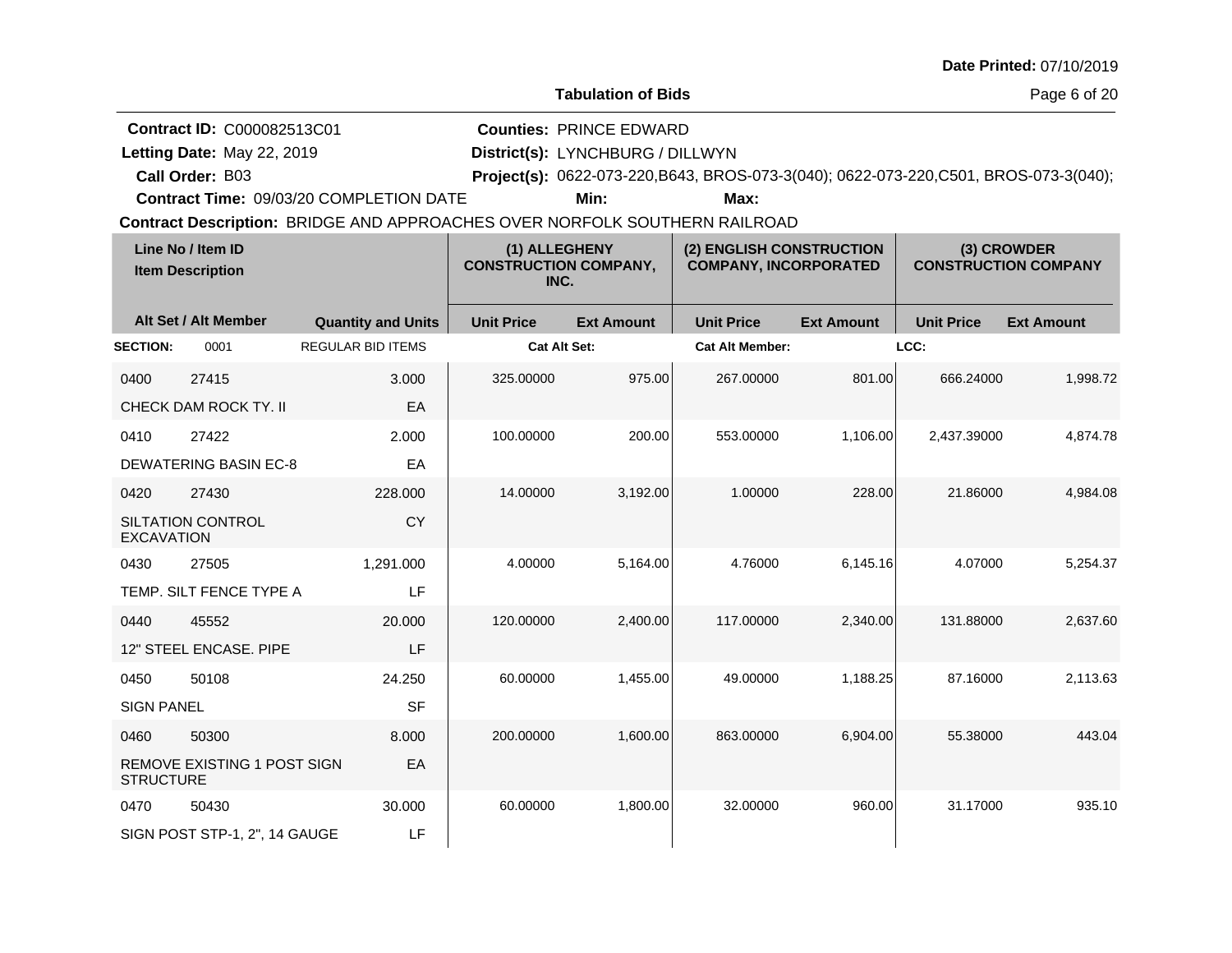| <b>Date Printed: 07/10/2019</b> |  |
|---------------------------------|--|
|---------------------------------|--|

Letting Date: May 22, 2019

**Letting Date:** May 22, 2019 **District(s):** LYNCHBURG / DILLWYN

**Call Order:**

B03 **Project(s):** 0622-073-220,B643, BROS-073-3(040); 0622-073-220,C501, BROS-073-3(040);

**Counties:** PRINCE EDWARD

**Contract Time:** 09/03/20 COMPLETION DATE

**Min: Max:**

|                   | Line No / Item ID<br>(1) ALLEGHENY<br><b>CONSTRUCTION COMPANY,</b><br><b>Item Description</b><br>INC. |                           | (2) ENGLISH CONSTRUCTION<br><b>COMPANY, INCORPORATED</b> |                   | (3) CROWDER<br><b>CONSTRUCTION COMPANY</b> |                   |                   |                   |
|-------------------|-------------------------------------------------------------------------------------------------------|---------------------------|----------------------------------------------------------|-------------------|--------------------------------------------|-------------------|-------------------|-------------------|
|                   | Alt Set / Alt Member                                                                                  | <b>Quantity and Units</b> | <b>Unit Price</b>                                        | <b>Ext Amount</b> | <b>Unit Price</b>                          | <b>Ext Amount</b> | <b>Unit Price</b> | <b>Ext Amount</b> |
| <b>SECTION:</b>   | 0001                                                                                                  | <b>REGULAR BID ITEMS</b>  | <b>Cat Alt Set:</b>                                      |                   | <b>Cat Alt Member:</b>                     |                   | LCC:              |                   |
| 0400              | 27415                                                                                                 | 3.000                     | 325.00000                                                | 975.00            | 267.00000                                  | 801.00            | 666.24000         | 1,998.72          |
|                   | CHECK DAM ROCK TY. II                                                                                 | EA                        |                                                          |                   |                                            |                   |                   |                   |
| 0410              | 27422                                                                                                 | 2.000                     | 100.00000                                                | 200.00            | 553.00000                                  | 1,106.00          | 2,437.39000       | 4,874.78          |
|                   | <b>DEWATERING BASIN EC-8</b>                                                                          | EA                        |                                                          |                   |                                            |                   |                   |                   |
| 0420              | 27430                                                                                                 | 228,000                   | 14.00000                                                 | 3,192.00          | 1.00000                                    | 228.00            | 21.86000          | 4,984.08          |
| <b>EXCAVATION</b> | <b>SILTATION CONTROL</b>                                                                              | <b>CY</b>                 |                                                          |                   |                                            |                   |                   |                   |
| 0430              | 27505                                                                                                 | 1,291.000                 | 4.00000                                                  | 5,164.00          | 4.76000                                    | 6,145.16          | 4.07000           | 5,254.37          |
|                   | TEMP. SILT FENCE TYPE A                                                                               | LF                        |                                                          |                   |                                            |                   |                   |                   |
| 0440              | 45552                                                                                                 | 20.000                    | 120.00000                                                | 2,400.00          | 117,00000                                  | 2,340.00          | 131.88000         | 2,637.60          |
|                   | 12" STEEL ENCASE. PIPE                                                                                | LF                        |                                                          |                   |                                            |                   |                   |                   |
| 0450              | 50108                                                                                                 | 24.250                    | 60.00000                                                 | 1,455.00          | 49.00000                                   | 1,188.25          | 87.16000          | 2,113.63          |
| <b>SIGN PANEL</b> |                                                                                                       | <b>SF</b>                 |                                                          |                   |                                            |                   |                   |                   |
| 0460              | 50300                                                                                                 | 8.000                     | 200.00000                                                | 1,600.00          | 863.00000                                  | 6,904.00          | 55.38000          | 443.04            |
| <b>STRUCTURE</b>  | REMOVE EXISTING 1 POST SIGN                                                                           | EA                        |                                                          |                   |                                            |                   |                   |                   |
| 0470              | 50430                                                                                                 | 30.000                    | 60.00000                                                 | 1,800.00          | 32,00000                                   | 960.00            | 31.17000          | 935.10            |
|                   | SIGN POST STP-1, 2", 14 GAUGE                                                                         | LF                        |                                                          |                   |                                            |                   |                   |                   |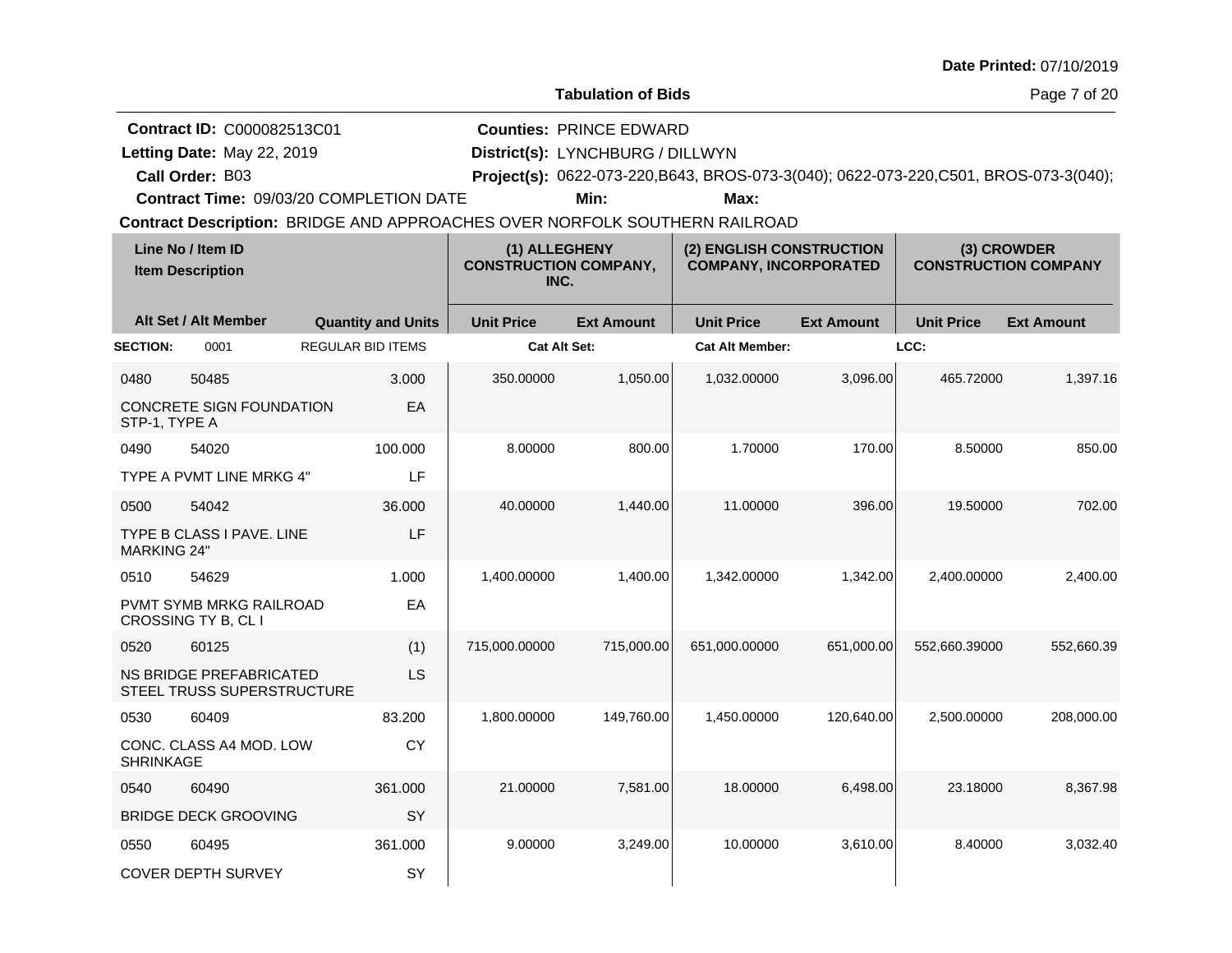|                            |                                                                                    |                                                                                                                       |                                                       |                                                                            |                                                                                               |                   |                   | Date Printed: 07/10/2019                   |
|----------------------------|------------------------------------------------------------------------------------|-----------------------------------------------------------------------------------------------------------------------|-------------------------------------------------------|----------------------------------------------------------------------------|-----------------------------------------------------------------------------------------------|-------------------|-------------------|--------------------------------------------|
|                            |                                                                                    |                                                                                                                       |                                                       | <b>Tabulation of Bids</b>                                                  |                                                                                               |                   |                   | Page 7 of 20                               |
|                            | <b>Contract ID: C000082513C01</b><br>Letting Date: May 22, 2019<br>Call Order: B03 | Contract Time: 09/03/20 COMPLETION DATE<br>Contract Description: BRIDGE AND APPROACHES OVER NORFOLK SOUTHERN RAILROAD |                                                       | <b>Counties: PRINCE EDWARD</b><br>District(s): LYNCHBURG / DILLWYN<br>Min: | Project(s): 0622-073-220, B643, BROS-073-3(040); 0622-073-220, C501, BROS-073-3(040);<br>Max: |                   |                   |                                            |
|                            | Line No / Item ID<br><b>Item Description</b>                                       |                                                                                                                       | (1) ALLEGHENY<br><b>CONSTRUCTION COMPANY,</b><br>INC. |                                                                            | (2) ENGLISH CONSTRUCTION<br><b>COMPANY, INCORPORATED</b>                                      |                   |                   | (3) CROWDER<br><b>CONSTRUCTION COMPANY</b> |
|                            | Alt Set / Alt Member                                                               | <b>Quantity and Units</b>                                                                                             | <b>Unit Price</b>                                     | <b>Ext Amount</b>                                                          | <b>Unit Price</b>                                                                             | <b>Ext Amount</b> | <b>Unit Price</b> | <b>Ext Amount</b>                          |
| <b>SECTION:</b>            | 0001                                                                               | <b>REGULAR BID ITEMS</b>                                                                                              |                                                       | <b>Cat Alt Set:</b>                                                        | <b>Cat Alt Member:</b>                                                                        |                   | LCC:              |                                            |
| 0480<br>STP-1, TYPE A      | 50485<br>CONCRETE SIGN FOUNDATION                                                  | 3.000<br>EA                                                                                                           | 350.00000                                             | 1,050.00                                                                   | 1,032.00000                                                                                   | 3,096.00          | 465.72000         | 1,397.16                                   |
| 0490                       | 54020<br>TYPE A PVMT LINE MRKG 4"                                                  | 100.000<br>LF                                                                                                         | 8.00000                                               | 800.00                                                                     | 1.70000                                                                                       | 170.00            | 8.50000           | 850.00                                     |
| 0500<br><b>MARKING 24"</b> | 54042<br>TYPE B CLASS I PAVE. LINE                                                 | 36.000<br>LF                                                                                                          | 40.00000                                              | 1,440.00                                                                   | 11.00000                                                                                      | 396.00            | 19.50000          | 702.00                                     |
| 0510                       | 54629<br>PVMT SYMB MRKG RAILROAD<br>CROSSING TY B, CL I                            | 1.000<br>EA                                                                                                           | 1,400.00000                                           | 1,400.00                                                                   | 1,342.00000                                                                                   | 1,342.00          | 2,400.00000       | 2,400.00                                   |
| 0520                       | 60125<br>NS BRIDGE PREFABRICATED<br>STEEL TRUSS SUPERSTRUCTURE                     | (1)<br><b>LS</b>                                                                                                      | 715,000.00000                                         | 715,000.00                                                                 | 651,000.00000                                                                                 | 651,000.00        | 552,660.39000     | 552,660.39                                 |
| 0530                       | 60409                                                                              | 83.200                                                                                                                | 1,800.00000                                           | 149,760.00                                                                 | 1,450.00000                                                                                   | 120,640.00        | 2,500.00000       | 208,000.00                                 |
| <b>SHRINKAGE</b>           | CONC. CLASS A4 MOD. LOW                                                            | <b>CY</b>                                                                                                             |                                                       |                                                                            |                                                                                               |                   |                   |                                            |
| 0540                       | 60490                                                                              | 361.000                                                                                                               | 21.00000                                              | 7,581.00                                                                   | 18.00000                                                                                      | 6,498.00          | 23.18000          | 8,367.98                                   |
|                            | <b>BRIDGE DECK GROOVING</b>                                                        | SY                                                                                                                    |                                                       |                                                                            |                                                                                               |                   |                   |                                            |
| 0550                       | 60495<br><b>COVER DEPTH SURVEY</b>                                                 | 361.000<br>SY                                                                                                         | 9.00000                                               | 3,249.00                                                                   | 10.00000                                                                                      | 3,610.00          | 8.40000           | 3,032.40                                   |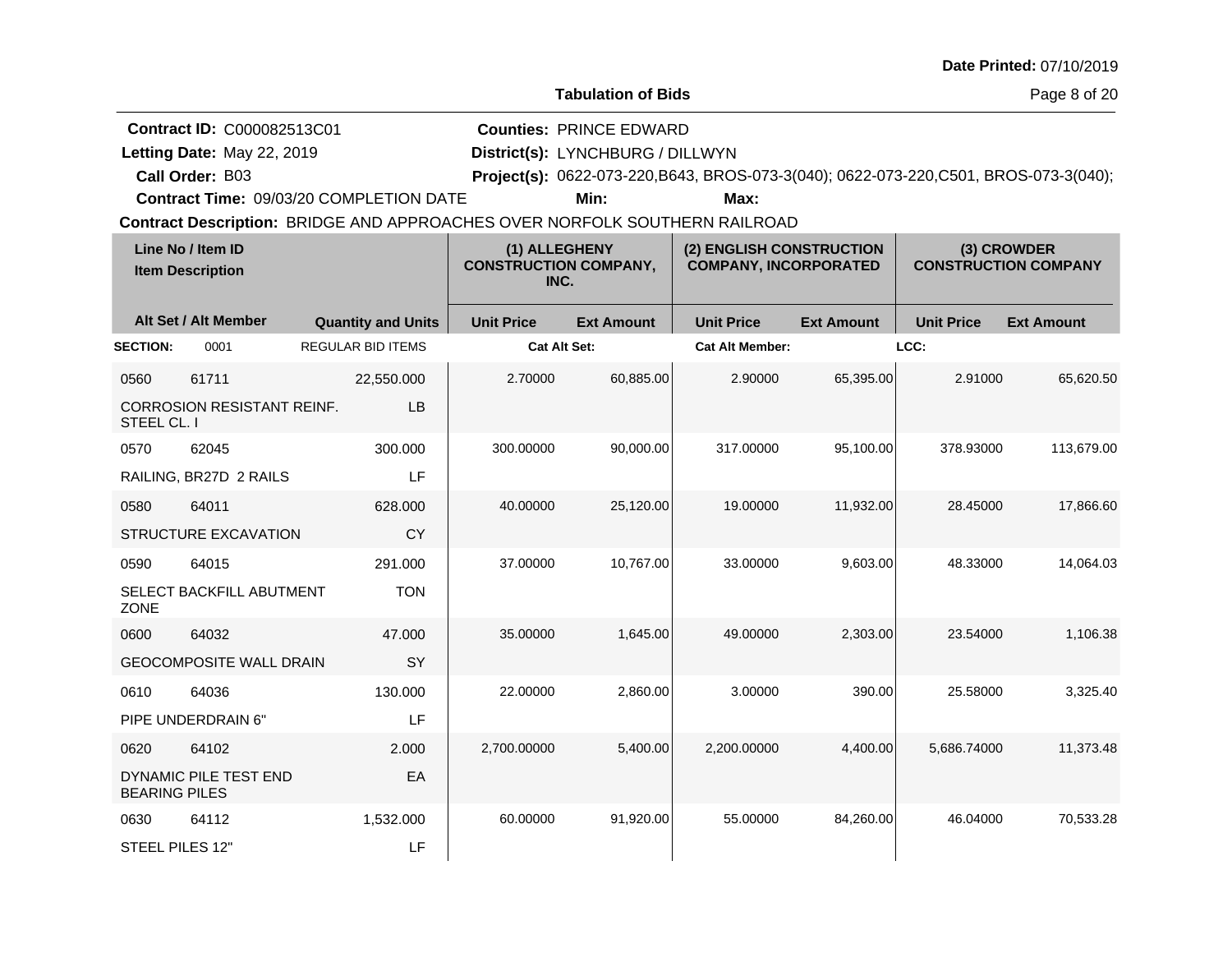| Date Printed: 07/10/2019 |  |
|--------------------------|--|
|--------------------------|--|

**Letting Date:** May 22, 2019 **District(s):** LYNCHBURG / DILLWYN

**Counties:** PRINCE EDWARD

**Call Order:**

Letting Date: May 22, 2019

B03 **Project(s):** 0622-073-220,B643, BROS-073-3(040); 0622-073-220,C501, BROS-073-3(040);

**Contract Time:** 09/03/20 COMPLETION DATE

**Min: Max:**

|                      | Line No / Item ID<br>(1) ALLEGHENY<br><b>CONSTRUCTION COMPANY,</b><br><b>Item Description</b><br>INC. |                           | (2) ENGLISH CONSTRUCTION<br><b>COMPANY, INCORPORATED</b> |                   | (3) CROWDER<br><b>CONSTRUCTION COMPANY</b> |                   |                   |                   |
|----------------------|-------------------------------------------------------------------------------------------------------|---------------------------|----------------------------------------------------------|-------------------|--------------------------------------------|-------------------|-------------------|-------------------|
|                      | Alt Set / Alt Member                                                                                  | <b>Quantity and Units</b> | <b>Unit Price</b>                                        | <b>Ext Amount</b> | <b>Unit Price</b>                          | <b>Ext Amount</b> | <b>Unit Price</b> | <b>Ext Amount</b> |
| <b>SECTION:</b>      | 0001                                                                                                  | <b>REGULAR BID ITEMS</b>  | Cat Alt Set:                                             |                   | <b>Cat Alt Member:</b>                     |                   | LCC:              |                   |
| 0560                 | 61711                                                                                                 | 22,550.000                | 2.70000                                                  | 60,885.00         | 2.90000                                    | 65,395.00         | 2.91000           | 65,620.50         |
| STEEL CL. I          | <b>CORROSION RESISTANT REINF.</b>                                                                     | LB                        |                                                          |                   |                                            |                   |                   |                   |
| 0570                 | 62045                                                                                                 | 300.000                   | 300.00000                                                | 90,000.00         | 317.00000                                  | 95,100.00         | 378.93000         | 113,679.00        |
|                      | RAILING, BR27D 2 RAILS                                                                                | LF                        |                                                          |                   |                                            |                   |                   |                   |
| 0580                 | 64011                                                                                                 | 628,000                   | 40.00000                                                 | 25,120.00         | 19.00000                                   | 11,932.00         | 28.45000          | 17,866.60         |
|                      | STRUCTURE EXCAVATION                                                                                  | <b>CY</b>                 |                                                          |                   |                                            |                   |                   |                   |
| 0590                 | 64015                                                                                                 | 291.000                   | 37.00000                                                 | 10,767.00         | 33.00000                                   | 9,603.00          | 48.33000          | 14,064.03         |
| <b>ZONE</b>          | SELECT BACKFILL ABUTMENT                                                                              | <b>TON</b>                |                                                          |                   |                                            |                   |                   |                   |
| 0600                 | 64032                                                                                                 | 47.000                    | 35.00000                                                 | 1.645.00          | 49.00000                                   | 2,303.00          | 23.54000          | 1.106.38          |
|                      | <b>GEOCOMPOSITE WALL DRAIN</b>                                                                        | SY                        |                                                          |                   |                                            |                   |                   |                   |
| 0610                 | 64036                                                                                                 | 130.000                   | 22.00000                                                 | 2,860.00          | 3.00000                                    | 390.00            | 25.58000          | 3,325.40          |
|                      | PIPE UNDERDRAIN 6"                                                                                    | LF                        |                                                          |                   |                                            |                   |                   |                   |
| 0620                 | 64102                                                                                                 | 2.000                     | 2,700.00000                                              | 5,400.00          | 2,200.00000                                | 4,400.00          | 5,686.74000       | 11,373.48         |
| <b>BEARING PILES</b> | DYNAMIC PILE TEST END                                                                                 | EA                        |                                                          |                   |                                            |                   |                   |                   |
| 0630                 | 64112                                                                                                 | 1,532.000                 | 60.00000                                                 | 91,920.00         | 55.00000                                   | 84,260.00         | 46.04000          | 70,533.28         |
| STEEL PILES 12"      |                                                                                                       | LF                        |                                                          |                   |                                            |                   |                   |                   |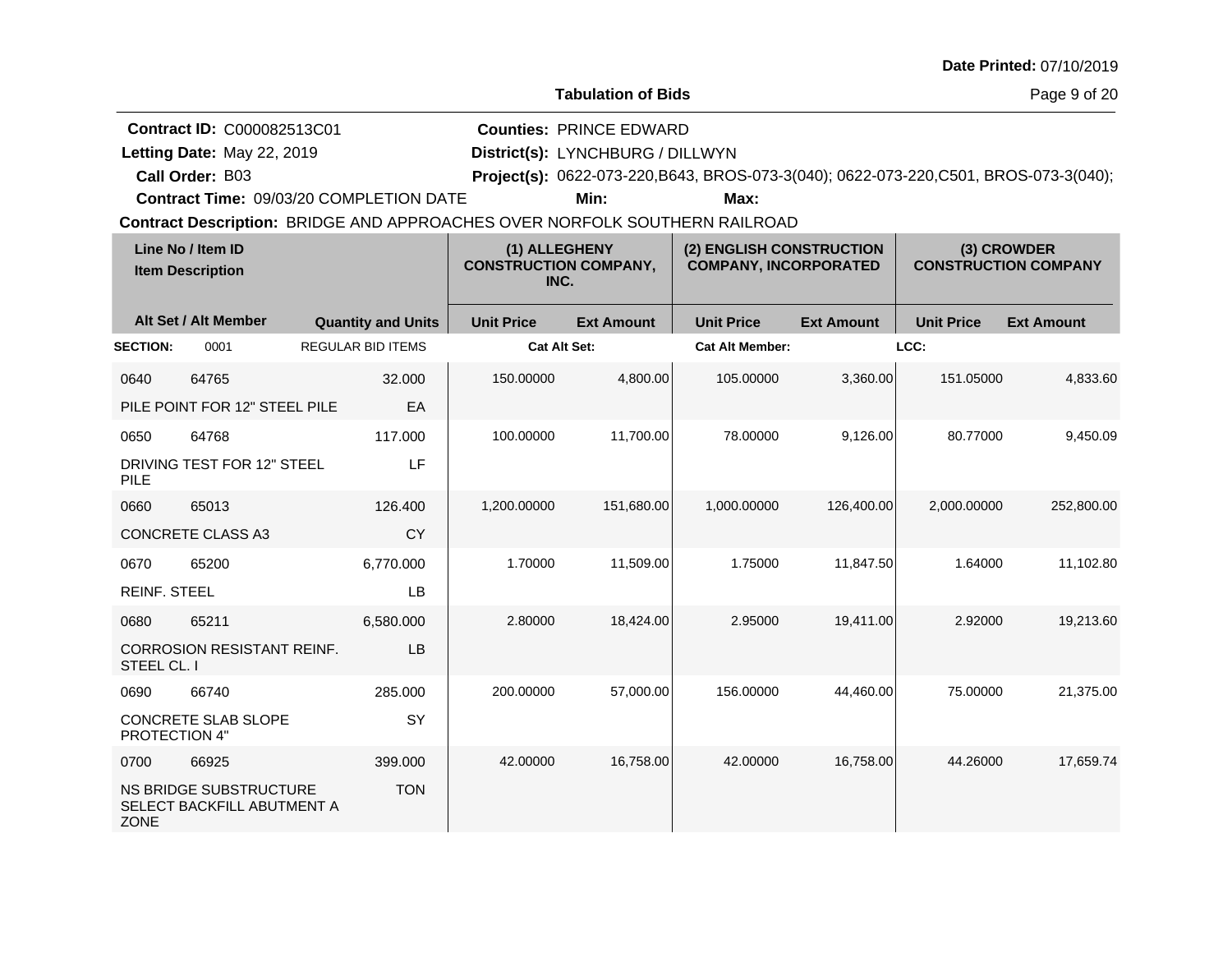|                             |                                                                             |                                                                                                                       |                                                       |                                                                            |                                                                                               |                   |                   | Date Printed: 07/10/2019                   |
|-----------------------------|-----------------------------------------------------------------------------|-----------------------------------------------------------------------------------------------------------------------|-------------------------------------------------------|----------------------------------------------------------------------------|-----------------------------------------------------------------------------------------------|-------------------|-------------------|--------------------------------------------|
|                             |                                                                             |                                                                                                                       |                                                       | <b>Tabulation of Bids</b>                                                  |                                                                                               |                   |                   | Page 9 of 20                               |
|                             | Contract ID: C000082513C01<br>Letting Date: May 22, 2019<br>Call Order: B03 | Contract Time: 09/03/20 COMPLETION DATE<br>Contract Description: BRIDGE AND APPROACHES OVER NORFOLK SOUTHERN RAILROAD |                                                       | <b>Counties: PRINCE EDWARD</b><br>District(s): LYNCHBURG / DILLWYN<br>Min: | Project(s): 0622-073-220, B643, BROS-073-3(040); 0622-073-220, C501, BROS-073-3(040);<br>Max: |                   |                   |                                            |
|                             | Line No / Item ID<br><b>Item Description</b>                                |                                                                                                                       | (1) ALLEGHENY<br><b>CONSTRUCTION COMPANY,</b><br>INC. |                                                                            | (2) ENGLISH CONSTRUCTION<br><b>COMPANY, INCORPORATED</b>                                      |                   |                   | (3) CROWDER<br><b>CONSTRUCTION COMPANY</b> |
|                             | Alt Set / Alt Member                                                        | <b>Quantity and Units</b>                                                                                             | <b>Unit Price</b>                                     | <b>Ext Amount</b>                                                          | <b>Unit Price</b>                                                                             | <b>Ext Amount</b> | <b>Unit Price</b> | <b>Ext Amount</b>                          |
| <b>SECTION:</b>             | 0001                                                                        | <b>REGULAR BID ITEMS</b>                                                                                              | <b>Cat Alt Set:</b>                                   |                                                                            | <b>Cat Alt Member:</b>                                                                        |                   | LCC:              |                                            |
| 0640                        | 64765<br>PILE POINT FOR 12" STEEL PILE                                      | 32.000<br>EА                                                                                                          | 150.00000                                             | 4,800.00                                                                   | 105.00000                                                                                     | 3,360.00          | 151.05000         | 4,833.60                                   |
| 0650<br><b>PILE</b>         | 64768<br>DRIVING TEST FOR 12" STEEL                                         | 117.000<br>LF                                                                                                         | 100.00000                                             | 11,700.00                                                                  | 78.00000                                                                                      | 9,126.00          | 80.77000          | 9,450.09                                   |
| 0660                        | 65013<br>CONCRETE CLASS A3                                                  | 126,400<br>CY                                                                                                         | 1,200.00000                                           | 151,680.00                                                                 | 1,000.00000                                                                                   | 126,400.00        | 2,000.00000       | 252,800.00                                 |
| 0670<br><b>REINF. STEEL</b> | 65200                                                                       | 6,770.000<br>LB                                                                                                       | 1.70000                                               | 11,509.00                                                                  | 1.75000                                                                                       | 11,847.50         | 1.64000           | 11,102.80                                  |
| 0680<br>STEEL CL. I         | 65211<br><b>CORROSION RESISTANT REINF.</b>                                  | 6,580.000<br>LB                                                                                                       | 2.80000                                               | 18,424.00                                                                  | 2.95000                                                                                       | 19,411.00         | 2.92000           | 19,213.60                                  |
| 0690<br>PROTECTION 4"       | 66740<br>CONCRETE SLAB SLOPE                                                | 285.000<br>SY                                                                                                         | 200.00000                                             | 57,000.00                                                                  | 156.00000                                                                                     | 44,460.00         | 75.00000          | 21,375.00                                  |
| 0700<br><b>ZONE</b>         | 66925<br>NS BRIDGE SUBSTRUCTURE<br>SELECT BACKFILL ABUTMENT A               | 399.000<br><b>TON</b>                                                                                                 | 42.00000                                              | 16,758.00                                                                  | 42.00000                                                                                      | 16,758.00         | 44.26000          | 17,659.74                                  |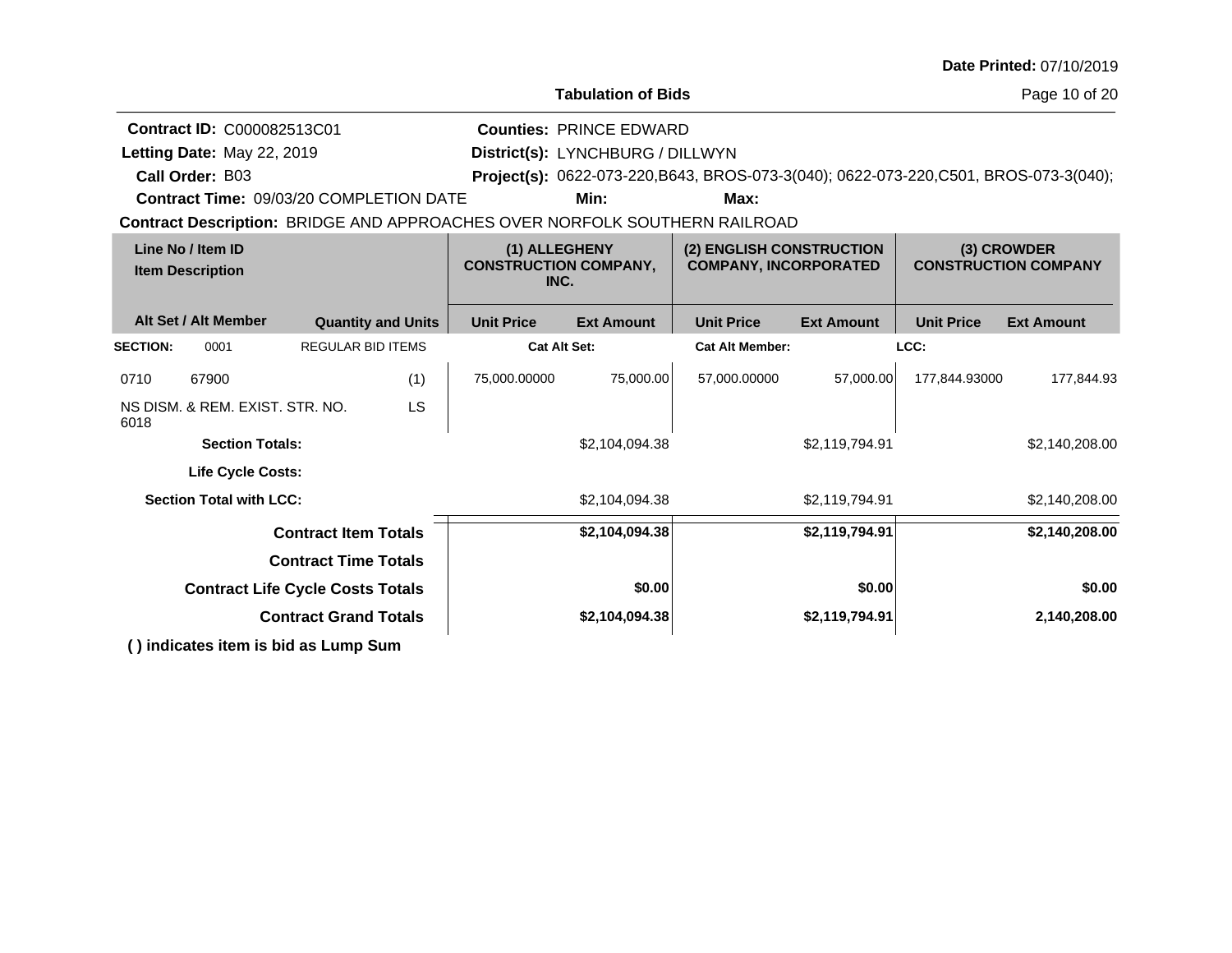|                                                                                                       |                                                | Date Printed: 07/10/2019                                                                                                                                                                                                                                                                                                                             |
|-------------------------------------------------------------------------------------------------------|------------------------------------------------|------------------------------------------------------------------------------------------------------------------------------------------------------------------------------------------------------------------------------------------------------------------------------------------------------------------------------------------------------|
|                                                                                                       |                                                | Page 10 of 20                                                                                                                                                                                                                                                                                                                                        |
|                                                                                                       |                                                |                                                                                                                                                                                                                                                                                                                                                      |
|                                                                                                       |                                                |                                                                                                                                                                                                                                                                                                                                                      |
|                                                                                                       |                                                |                                                                                                                                                                                                                                                                                                                                                      |
| Min:                                                                                                  | Max:                                           |                                                                                                                                                                                                                                                                                                                                                      |
|                                                                                                       |                                                |                                                                                                                                                                                                                                                                                                                                                      |
| Line No / Item ID<br>(1) ALLEGHENY<br><b>CONSTRUCTION COMPANY,</b><br><b>Item Description</b><br>INC. |                                                | (3) CROWDER<br><b>CONSTRUCTION COMPANY</b>                                                                                                                                                                                                                                                                                                           |
| <b>Unit Price</b><br><b>Ext Amount</b>                                                                | <b>Unit Price</b><br><b>Ext Amount</b>         | <b>Unit Price</b><br><b>Ext Amount</b>                                                                                                                                                                                                                                                                                                               |
| <b>Cat Alt Set:</b>                                                                                   | <b>Cat Alt Member:</b>                         | LCC:                                                                                                                                                                                                                                                                                                                                                 |
| 75,000.00<br>75,000.00000                                                                             | 57,000.00000<br>57,000.00                      | 177,844.93000<br>177,844.93                                                                                                                                                                                                                                                                                                                          |
|                                                                                                       |                                                |                                                                                                                                                                                                                                                                                                                                                      |
| \$2,104,094.38                                                                                        | \$2,119,794.91                                 | \$2,140,208.00                                                                                                                                                                                                                                                                                                                                       |
|                                                                                                       |                                                |                                                                                                                                                                                                                                                                                                                                                      |
| \$2,104,094.38                                                                                        | \$2,119,794.91                                 | \$2,140,208.00                                                                                                                                                                                                                                                                                                                                       |
| \$2,104,094.38                                                                                        | \$2,119,794.91                                 | \$2,140,208.00                                                                                                                                                                                                                                                                                                                                       |
|                                                                                                       |                                                |                                                                                                                                                                                                                                                                                                                                                      |
| \$0.00                                                                                                | \$0.00                                         | \$0.00                                                                                                                                                                                                                                                                                                                                               |
| <b>Contract Life Cycle Costs Totals</b><br><b>Contract Grand Totals</b><br>\$2,104,094.38             |                                                | 2,140,208.00                                                                                                                                                                                                                                                                                                                                         |
|                                                                                                       | <b>Contract Time: 09/03/20 COMPLETION DATE</b> | <b>Tabulation of Bids</b><br><b>Counties: PRINCE EDWARD</b><br>District(s): LYNCHBURG / DILLWYN<br>Project(s): 0622-073-220, B643, BROS-073-3(040); 0622-073-220, C501, BROS-073-3(040);<br>Contract Description: BRIDGE AND APPROACHES OVER NORFOLK SOUTHERN RAILROAD<br>(2) ENGLISH CONSTRUCTION<br><b>COMPANY, INCORPORATED</b><br>\$2,119,794.91 |

**( ) indicates item is bid as Lump Sum**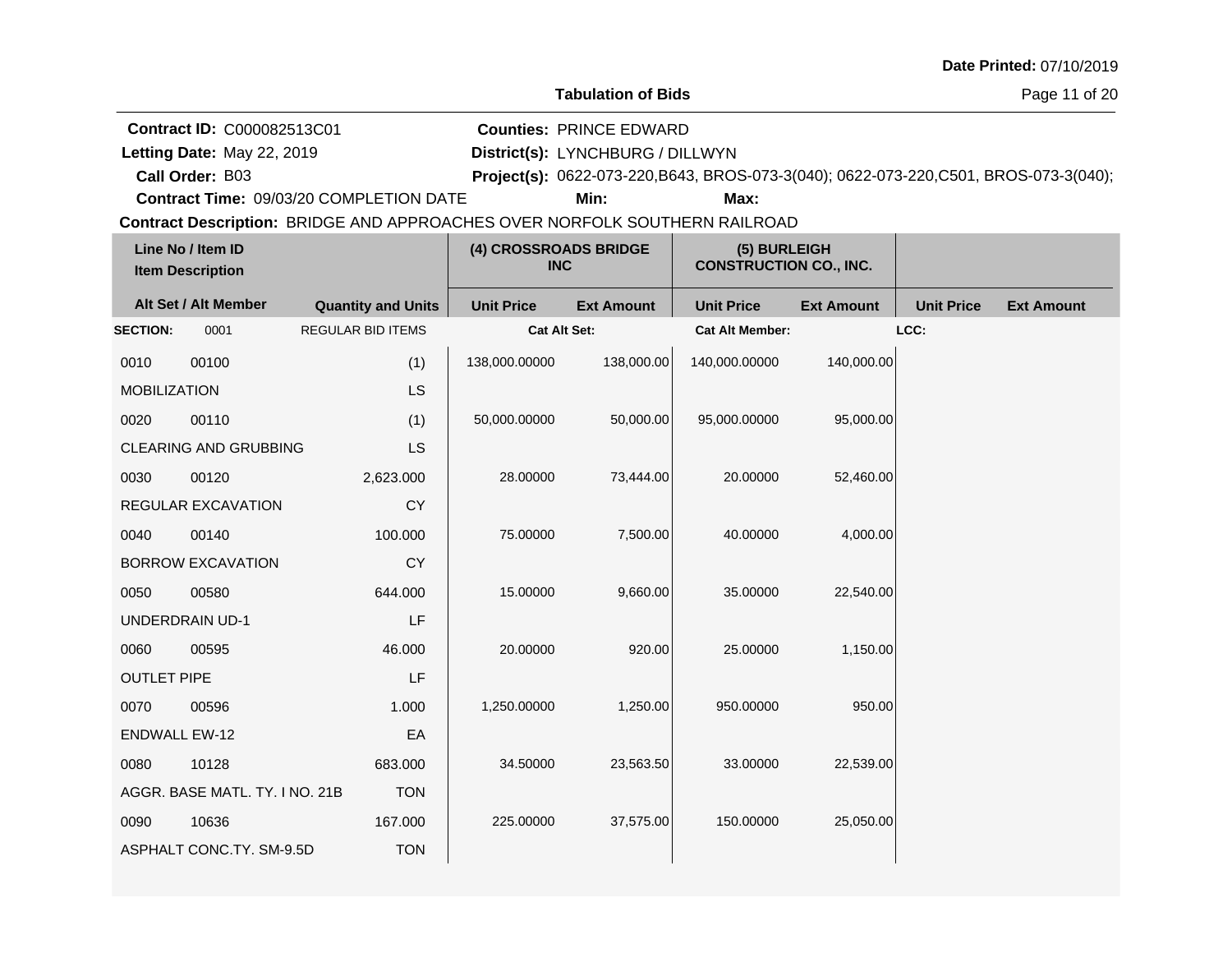| Date Printed: 07/10/2019 |  |
|--------------------------|--|
|--------------------------|--|

Letting Date: May 22, 2019

**Call Order:**

**Letting Date:** May 22, 2019 **District(s):** LYNCHBURG / DILLWYN **Counties:** PRINCE EDWARD

B03 **Project(s):** 0622-073-220,B643, BROS-073-3(040); 0622-073-220,C501, BROS-073-3(040);

**Contract Time:** 09/03/20 COMPLETION DATE

**Min: Max:**

| Line No / Item ID<br><b>Item Description</b> |                                | (4) CROSSROADS BRIDGE<br><b>INC</b> |                     | (5) BURLEIGH<br><b>CONSTRUCTION CO., INC.</b> |                        |                   |                   |                   |
|----------------------------------------------|--------------------------------|-------------------------------------|---------------------|-----------------------------------------------|------------------------|-------------------|-------------------|-------------------|
|                                              | Alt Set / Alt Member           | <b>Quantity and Units</b>           | <b>Unit Price</b>   | <b>Ext Amount</b>                             | <b>Unit Price</b>      | <b>Ext Amount</b> | <b>Unit Price</b> | <b>Ext Amount</b> |
| <b>SECTION:</b>                              | 0001                           | <b>REGULAR BID ITEMS</b>            | <b>Cat Alt Set:</b> |                                               | <b>Cat Alt Member:</b> |                   | LCC:              |                   |
| 0010                                         | 00100                          | (1)                                 | 138,000.00000       | 138,000.00                                    | 140,000.00000          | 140,000.00        |                   |                   |
| <b>MOBILIZATION</b>                          |                                | LS                                  |                     |                                               |                        |                   |                   |                   |
| 0020                                         | 00110                          | (1)                                 | 50,000.00000        | 50,000.00                                     | 95,000.00000           | 95,000.00         |                   |                   |
|                                              | <b>CLEARING AND GRUBBING</b>   | LS                                  |                     |                                               |                        |                   |                   |                   |
| 0030                                         | 00120                          | 2,623.000                           | 28.00000            | 73,444.00                                     | 20.00000               | 52,460.00         |                   |                   |
|                                              | REGULAR EXCAVATION             | CY                                  |                     |                                               |                        |                   |                   |                   |
| 0040                                         | 00140                          | 100.000                             | 75.00000            | 7,500.00                                      | 40.00000               | 4,000.00          |                   |                   |
|                                              | <b>BORROW EXCAVATION</b>       | <b>CY</b>                           |                     |                                               |                        |                   |                   |                   |
| 0050                                         | 00580                          | 644.000                             | 15.00000            | 9,660.00                                      | 35.00000               | 22,540.00         |                   |                   |
|                                              | <b>UNDERDRAIN UD-1</b>         | LF                                  |                     |                                               |                        |                   |                   |                   |
| 0060                                         | 00595                          | 46.000                              | 20.00000            | 920.00                                        | 25.00000               | 1,150.00          |                   |                   |
| <b>OUTLET PIPE</b>                           |                                | LF                                  |                     |                                               |                        |                   |                   |                   |
| 0070                                         | 00596                          | 1.000                               | 1,250.00000         | 1,250.00                                      | 950.00000              | 950.00            |                   |                   |
| <b>ENDWALL EW-12</b>                         |                                | EA                                  |                     |                                               |                        |                   |                   |                   |
| 0080                                         | 10128                          | 683.000                             | 34.50000            | 23,563.50                                     | 33.00000               | 22,539.00         |                   |                   |
|                                              | AGGR. BASE MATL. TY. I NO. 21B | <b>TON</b>                          |                     |                                               |                        |                   |                   |                   |
| 0090                                         | 10636                          | 167.000                             | 225.00000           | 37,575.00                                     | 150.00000              | 25,050.00         |                   |                   |
|                                              | ASPHALT CONC.TY. SM-9.5D       | <b>TON</b>                          |                     |                                               |                        |                   |                   |                   |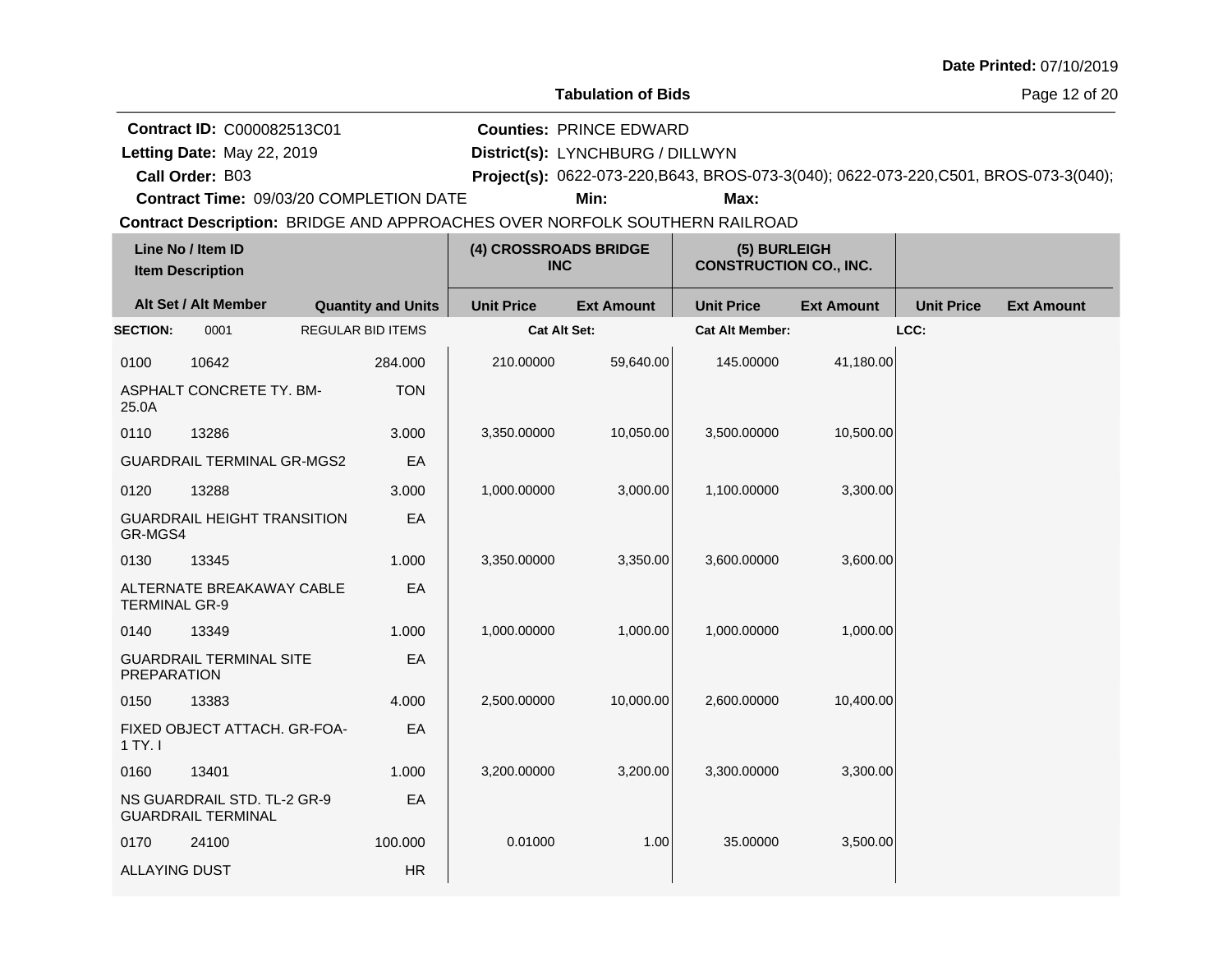| Date Printed: 07/10/2019 |  |  |
|--------------------------|--|--|
|--------------------------|--|--|

**Letting Date:** May 22, 2019 **District(s):** LYNCHBURG / DILLWYN **Counties:** PRINCE EDWARD

**Call Order:** Letting Date: May 22, 2019

B03 **Project(s):** 0622-073-220,B643, BROS-073-3(040); 0622-073-220,C501, BROS-073-3(040);

**Contract Time:** 09/03/20 COMPLETION DATE

**Min: Max:**

| Line No / Item ID<br><b>Item Description</b> |                                    |                           | (4) CROSSROADS BRIDGE<br><b>INC</b> |                   | (5) BURLEIGH<br><b>CONSTRUCTION CO., INC.</b> |                   |                   |                   |
|----------------------------------------------|------------------------------------|---------------------------|-------------------------------------|-------------------|-----------------------------------------------|-------------------|-------------------|-------------------|
| Alt Set / Alt Member                         |                                    | <b>Quantity and Units</b> | <b>Unit Price</b>                   | <b>Ext Amount</b> | <b>Unit Price</b>                             | <b>Ext Amount</b> | <b>Unit Price</b> | <b>Ext Amount</b> |
| <b>SECTION:</b>                              | 0001                               | <b>REGULAR BID ITEMS</b>  | <b>Cat Alt Set:</b>                 |                   | <b>Cat Alt Member:</b>                        |                   | LCC:              |                   |
| 0100                                         | 10642                              | 284.000                   | 210.00000                           | 59,640.00         | 145.00000                                     | 41,180.00         |                   |                   |
| 25.0A                                        | ASPHALT CONCRETE TY. BM-           | <b>TON</b>                |                                     |                   |                                               |                   |                   |                   |
| 0110                                         | 13286                              | 3.000                     | 3,350.00000                         | 10,050.00         | 3,500.00000                                   | 10,500.00         |                   |                   |
|                                              | <b>GUARDRAIL TERMINAL GR-MGS2</b>  | EA                        |                                     |                   |                                               |                   |                   |                   |
| 0120                                         | 13288                              | 3.000                     | 1,000.00000                         | 3,000.00          | 1,100.00000                                   | 3,300.00          |                   |                   |
| GR-MGS4                                      | <b>GUARDRAIL HEIGHT TRANSITION</b> | EA                        |                                     |                   |                                               |                   |                   |                   |
| 0130                                         | 13345                              | 1.000                     | 3,350.00000                         | 3,350.00          | 3,600.00000                                   | 3,600.00          |                   |                   |
| <b>TERMINAL GR-9</b>                         | ALTERNATE BREAKAWAY CABLE          | EA                        |                                     |                   |                                               |                   |                   |                   |
| 0140                                         | 13349                              | 1.000                     | 1,000.00000                         | 1,000.00          | 1,000.00000                                   | 1,000.00          |                   |                   |
| <b>PREPARATION</b>                           | <b>GUARDRAIL TERMINAL SITE</b>     | EA                        |                                     |                   |                                               |                   |                   |                   |
| 0150                                         | 13383                              | 4.000                     | 2,500.00000                         | 10,000.00         | 2,600.00000                                   | 10,400.00         |                   |                   |
| 1 TY. I                                      | FIXED OBJECT ATTACH. GR-FOA-       | EA                        |                                     |                   |                                               |                   |                   |                   |
| 0160                                         | 13401                              | 1.000                     | 3,200.00000                         | 3,200.00          | 3,300.00000                                   | 3,300.00          |                   |                   |
| <b>GUARDRAIL TERMINAL</b>                    | NS GUARDRAIL STD. TL-2 GR-9        | EA                        |                                     |                   |                                               |                   |                   |                   |
| 0170                                         | 24100                              | 100.000                   | 0.01000                             | 1.00              | 35.00000                                      | 3,500.00          |                   |                   |
| <b>ALLAYING DUST</b>                         |                                    | <b>HR</b>                 |                                     |                   |                                               |                   |                   |                   |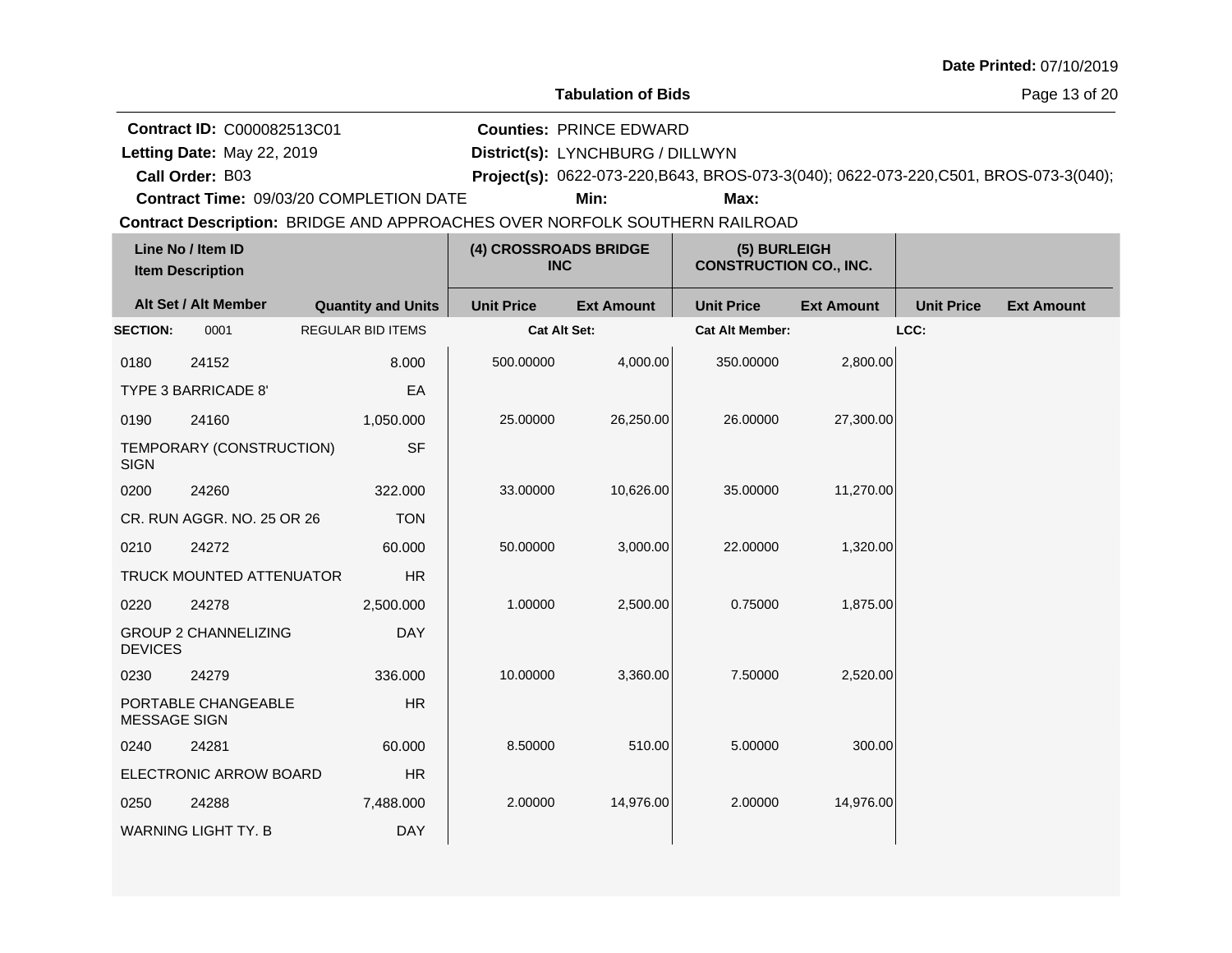Page 13 of 20

**Contract ID:** C000082513C01

Letting Date: May 22, 2019

**Letting Date:** May 22, 2019 **District(s):** LYNCHBURG / DILLWYN **Counties:** PRINCE EDWARD

**Call Order:** B03 **Project(s):** 0622-073-220,B643, BROS-073-3(040); 0622-073-220,C501, BROS-073-3(040);

**Contract Time:** 09/03/20 COMPLETION DATE

**Min: Max:**

| Line No / Item ID<br><b>Item Description</b> |                             | (4) CROSSROADS BRIDGE<br><b>INC</b> |                   | (5) BURLEIGH<br><b>CONSTRUCTION CO., INC.</b> |                        |                   |                   |                   |
|----------------------------------------------|-----------------------------|-------------------------------------|-------------------|-----------------------------------------------|------------------------|-------------------|-------------------|-------------------|
|                                              | Alt Set / Alt Member        | <b>Quantity and Units</b>           | <b>Unit Price</b> | <b>Ext Amount</b>                             | <b>Unit Price</b>      | <b>Ext Amount</b> | <b>Unit Price</b> | <b>Ext Amount</b> |
| <b>SECTION:</b>                              | 0001                        | <b>REGULAR BID ITEMS</b>            | Cat Alt Set:      |                                               | <b>Cat Alt Member:</b> |                   | LCC:              |                   |
| 0180                                         | 24152                       | 8.000                               | 500.00000         | 4,000.00                                      | 350.00000              | 2,800.00          |                   |                   |
|                                              | TYPE 3 BARRICADE 8'         | EA                                  |                   |                                               |                        |                   |                   |                   |
| 0190                                         | 24160                       | 1,050.000                           | 25.00000          | 26,250.00                                     | 26.00000               | 27,300.00         |                   |                   |
| <b>SIGN</b>                                  | TEMPORARY (CONSTRUCTION)    | <b>SF</b>                           |                   |                                               |                        |                   |                   |                   |
| 0200                                         | 24260                       | 322.000                             | 33.00000          | 10,626.00                                     | 35.00000               | 11,270.00         |                   |                   |
|                                              | CR. RUN AGGR. NO. 25 OR 26  | <b>TON</b>                          |                   |                                               |                        |                   |                   |                   |
| 0210                                         | 24272                       | 60.000                              | 50.00000          | 3,000.00                                      | 22.00000               | 1,320.00          |                   |                   |
|                                              | TRUCK MOUNTED ATTENUATOR    | <b>HR</b>                           |                   |                                               |                        |                   |                   |                   |
| 0220                                         | 24278                       | 2,500.000                           | 1.00000           | 2,500.00                                      | 0.75000                | 1,875.00          |                   |                   |
| <b>DEVICES</b>                               | <b>GROUP 2 CHANNELIZING</b> | <b>DAY</b>                          |                   |                                               |                        |                   |                   |                   |
| 0230                                         | 24279                       | 336.000                             | 10.00000          | 3,360.00                                      | 7.50000                | 2,520.00          |                   |                   |
| MESSAGE SIGN                                 | PORTABLE CHANGEABLE         | HR                                  |                   |                                               |                        |                   |                   |                   |
| 0240                                         | 24281                       | 60.000                              | 8.50000           | 510.00                                        | 5.00000                | 300.00            |                   |                   |
|                                              | ELECTRONIC ARROW BOARD      | HR                                  |                   |                                               |                        |                   |                   |                   |
| 0250                                         | 24288                       | 7,488.000                           | 2.00000           | 14,976.00                                     | 2.00000                | 14,976.00         |                   |                   |
|                                              | <b>WARNING LIGHT TY. B</b>  | <b>DAY</b>                          |                   |                                               |                        |                   |                   |                   |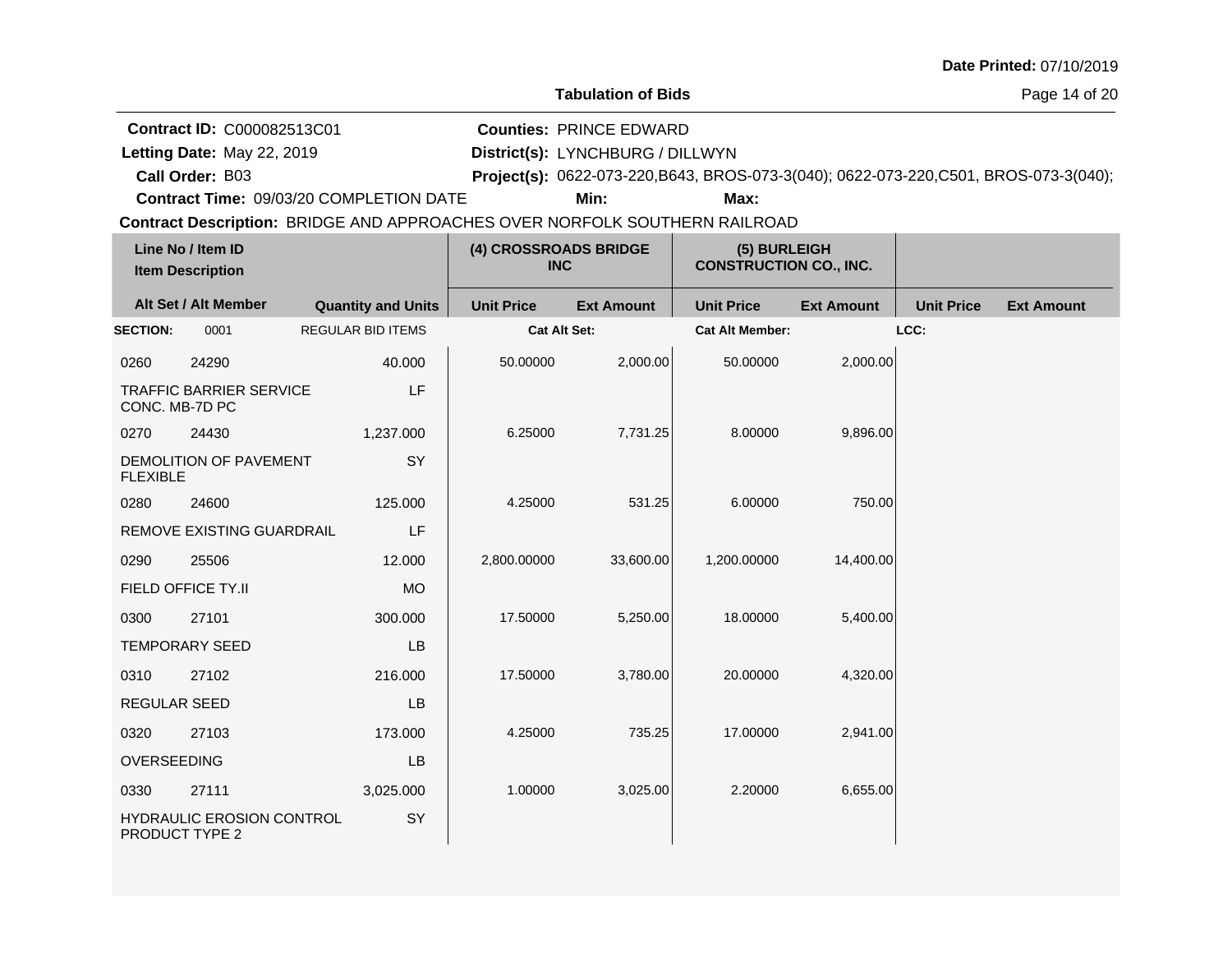| Date Printed: 07/10/2019 |  |  |
|--------------------------|--|--|
|--------------------------|--|--|

Letting Date: May 22, 2019

**Call Order:**

**Letting Date:** May 22, 2019 **District(s):** LYNCHBURG / DILLWYN **Counties:** PRINCE EDWARD

B03 **Project(s):** 0622-073-220,B643, BROS-073-3(040); 0622-073-220,C501, BROS-073-3(040);

**Contract Time:** 09/03/20 COMPLETION DATE

**Min: Max:**

| Line No / Item ID<br><b>Item Description</b> |                                | (4) CROSSROADS BRIDGE<br><b>INC</b> |                     | (5) BURLEIGH<br><b>CONSTRUCTION CO., INC.</b> |                        |                   |                   |                   |
|----------------------------------------------|--------------------------------|-------------------------------------|---------------------|-----------------------------------------------|------------------------|-------------------|-------------------|-------------------|
|                                              | Alt Set / Alt Member           | <b>Quantity and Units</b>           | <b>Unit Price</b>   | <b>Ext Amount</b>                             | <b>Unit Price</b>      | <b>Ext Amount</b> | <b>Unit Price</b> | <b>Ext Amount</b> |
| <b>SECTION:</b>                              | 0001                           | <b>REGULAR BID ITEMS</b>            | <b>Cat Alt Set:</b> |                                               | <b>Cat Alt Member:</b> |                   | LCC:              |                   |
| 0260                                         | 24290                          | 40.000                              | 50.00000            | 2,000.00                                      | 50.00000               | 2,000.00          |                   |                   |
| CONC. MB-7D PC                               | <b>TRAFFIC BARRIER SERVICE</b> | LF                                  |                     |                                               |                        |                   |                   |                   |
| 0270                                         | 24430                          | 1,237.000                           | 6.25000             | 7,731.25                                      | 8.00000                | 9,896.00          |                   |                   |
| <b>FLEXIBLE</b>                              | DEMOLITION OF PAVEMENT         | SY                                  |                     |                                               |                        |                   |                   |                   |
| 0280                                         | 24600                          | 125.000                             | 4.25000             | 531.25                                        | 6.00000                | 750.00            |                   |                   |
|                                              | REMOVE EXISTING GUARDRAIL      | LF                                  |                     |                                               |                        |                   |                   |                   |
| 0290                                         | 25506                          | 12.000                              | 2,800.00000         | 33,600.00                                     | 1.200.00000            | 14,400.00         |                   |                   |
| FIELD OFFICE TY.II                           |                                | <b>MO</b>                           |                     |                                               |                        |                   |                   |                   |
| 0300                                         | 27101                          | 300.000                             | 17.50000            | 5,250.00                                      | 18.00000               | 5,400.00          |                   |                   |
| <b>TEMPORARY SEED</b>                        |                                | LB                                  |                     |                                               |                        |                   |                   |                   |
| 0310                                         | 27102                          | 216.000                             | 17.50000            | 3,780.00                                      | 20.00000               | 4,320.00          |                   |                   |
| <b>REGULAR SEED</b>                          |                                | <b>LB</b>                           |                     |                                               |                        |                   |                   |                   |
| 0320                                         | 27103                          | 173.000                             | 4.25000             | 735.25                                        | 17.00000               | 2,941.00          |                   |                   |
| OVERSEEDING                                  |                                | <b>LB</b>                           |                     |                                               |                        |                   |                   |                   |
| 0330                                         | 27111                          | 3,025.000                           | 1.00000             | 3,025.00                                      | 2.20000                | 6,655.00          |                   |                   |
| PRODUCT TYPE 2                               | HYDRAULIC EROSION CONTROL      | SY                                  |                     |                                               |                        |                   |                   |                   |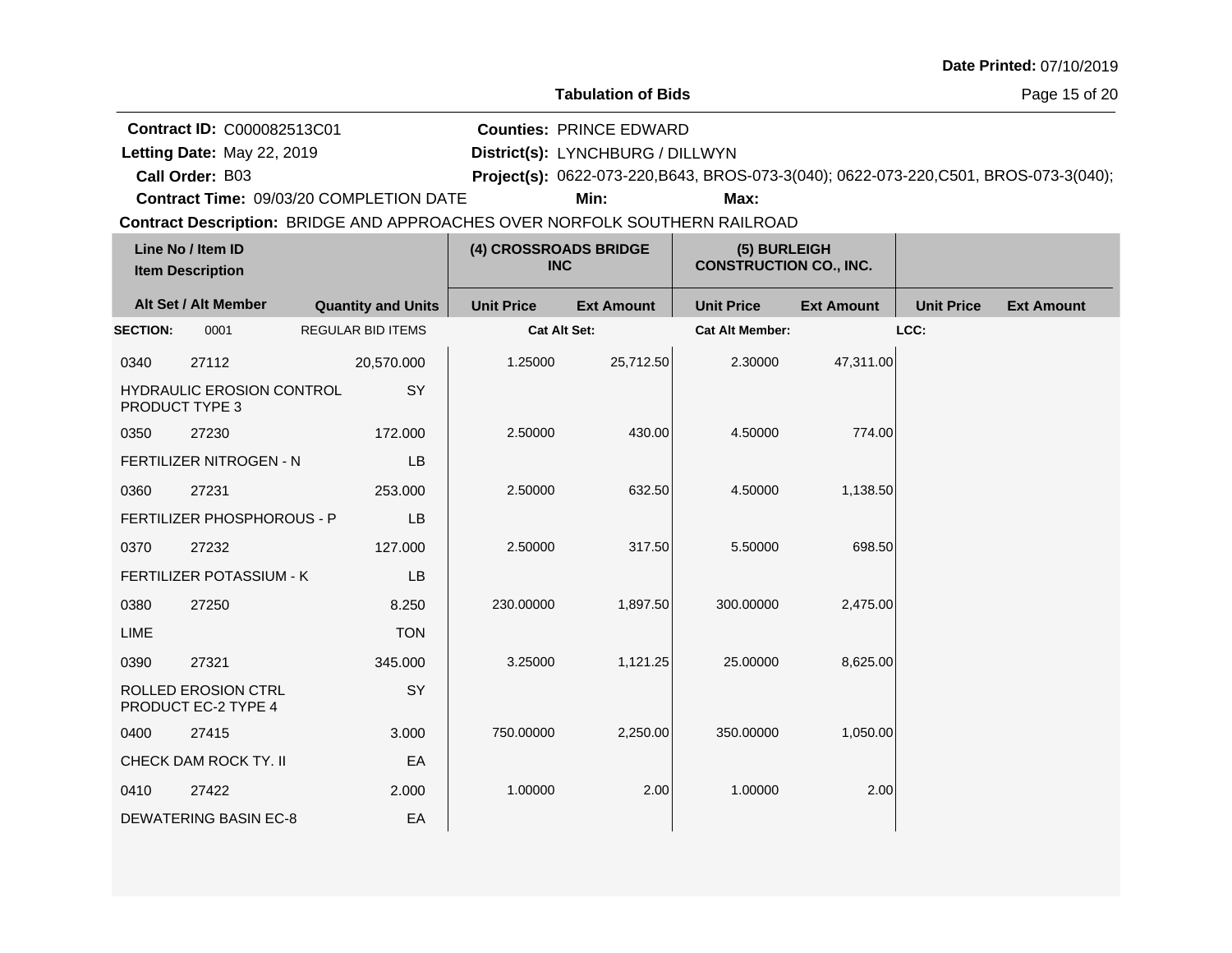**Contract ID:** C000082513C01

Letting Date: May 22, 2019

**Call Order:**

**Letting Date:** May 22, 2019 **District(s):** LYNCHBURG / DILLWYN **Counties:** PRINCE EDWARD

B03 **Project(s):** 0622-073-220,B643, BROS-073-3(040); 0622-073-220,C501, BROS-073-3(040);

**Contract Time:** 09/03/20 COMPLETION DATE

**Min: Max:**

| Line No / Item ID<br><b>Item Description</b> |                                                    | (4) CROSSROADS BRIDGE<br><b>INC</b> |                     | (5) BURLEIGH<br><b>CONSTRUCTION CO., INC.</b> |                        |                   |                   |                   |
|----------------------------------------------|----------------------------------------------------|-------------------------------------|---------------------|-----------------------------------------------|------------------------|-------------------|-------------------|-------------------|
|                                              | Alt Set / Alt Member                               | <b>Quantity and Units</b>           | <b>Unit Price</b>   | <b>Ext Amount</b>                             | <b>Unit Price</b>      | <b>Ext Amount</b> | <b>Unit Price</b> | <b>Ext Amount</b> |
| <b>SECTION:</b>                              | 0001                                               | <b>REGULAR BID ITEMS</b>            | <b>Cat Alt Set:</b> |                                               | <b>Cat Alt Member:</b> |                   | LCC:              |                   |
| 0340                                         | 27112                                              | 20,570.000                          | 1.25000             | 25,712.50                                     | 2.30000                | 47,311.00         |                   |                   |
|                                              | <b>HYDRAULIC EROSION CONTROL</b><br>PRODUCT TYPE 3 | SY                                  |                     |                                               |                        |                   |                   |                   |
| 0350                                         | 27230                                              | 172.000                             | 2.50000             | 430.00                                        | 4.50000                | 774.00            |                   |                   |
|                                              | FERTILIZER NITROGEN - N                            | LB                                  |                     |                                               |                        |                   |                   |                   |
| 0360                                         | 27231                                              | 253.000                             | 2.50000             | 632.50                                        | 4.50000                | 1,138.50          |                   |                   |
|                                              | FERTILIZER PHOSPHOROUS - P                         | LB                                  |                     |                                               |                        |                   |                   |                   |
| 0370                                         | 27232                                              | 127.000                             | 2.50000             | 317.50                                        | 5.50000                | 698.50            |                   |                   |
|                                              | FERTILIZER POTASSIUM - K                           | LB                                  |                     |                                               |                        |                   |                   |                   |
| 0380                                         | 27250                                              | 8.250                               | 230.00000           | 1,897.50                                      | 300.00000              | 2,475.00          |                   |                   |
| LIME                                         |                                                    | <b>TON</b>                          |                     |                                               |                        |                   |                   |                   |
| 0390                                         | 27321                                              | 345.000                             | 3.25000             | 1,121.25                                      | 25.00000               | 8,625.00          |                   |                   |
|                                              | <b>ROLLED EROSION CTRL</b><br>PRODUCT EC-2 TYPE 4  | SY                                  |                     |                                               |                        |                   |                   |                   |
| 0400                                         | 27415                                              | 3.000                               | 750.00000           | 2,250.00                                      | 350.00000              | 1,050.00          |                   |                   |
|                                              | CHECK DAM ROCK TY. II                              | EA                                  |                     |                                               |                        |                   |                   |                   |
| 0410                                         | 27422                                              | 2.000                               | 1.00000             | 2.00                                          | 1.00000                | 2.00              |                   |                   |
|                                              | <b>DEWATERING BASIN EC-8</b>                       | EA                                  |                     |                                               |                        |                   |                   |                   |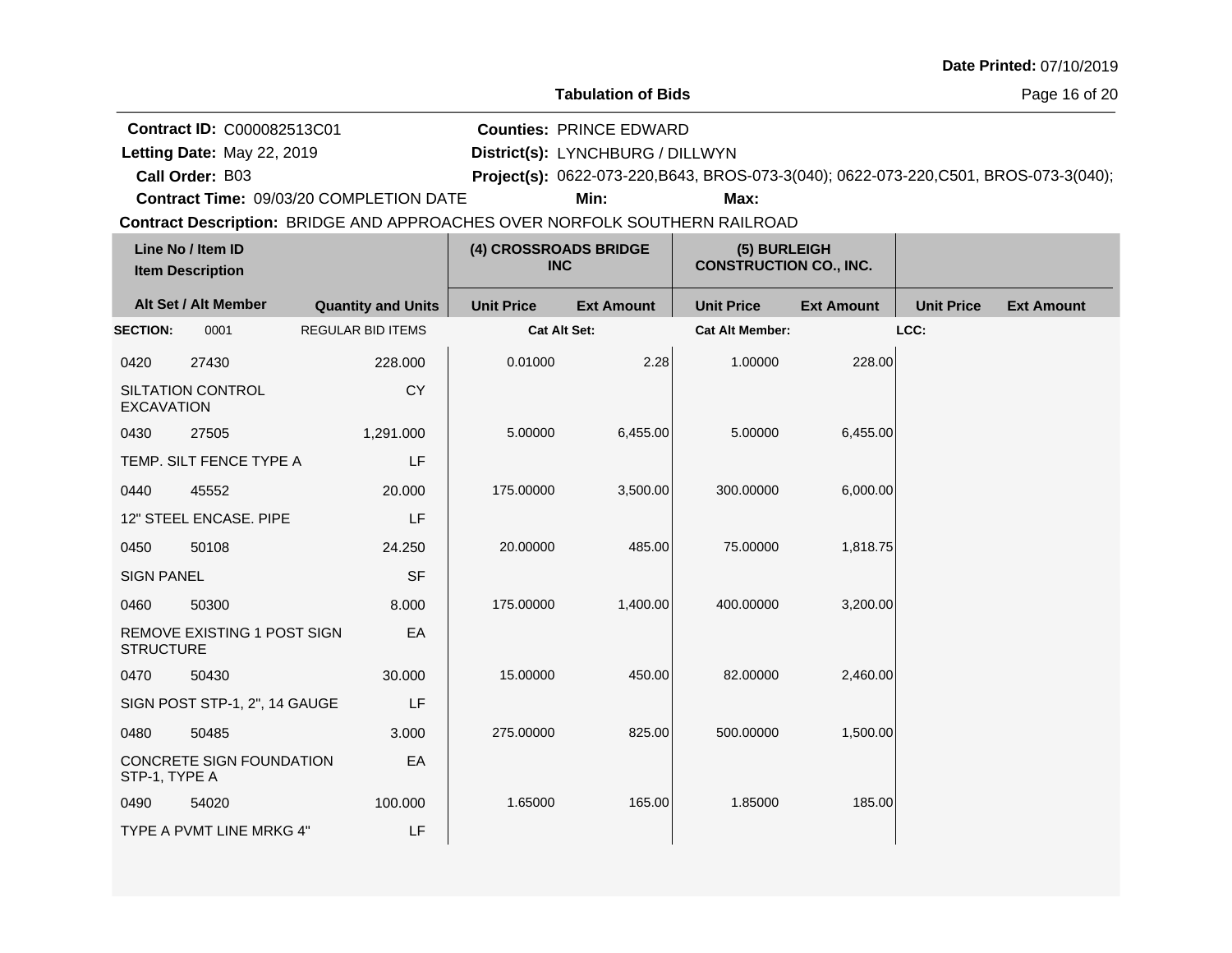**Contract ID:** C000082513C01

Letting Date: May 22, 2019

**Call Order:**

**Letting Date:** May 22, 2019 **District(s):** LYNCHBURG / DILLWYN **Counties:** PRINCE EDWARD

B03 **Project(s):** 0622-073-220,B643, BROS-073-3(040); 0622-073-220,C501, BROS-073-3(040);

**Contract Time:** 09/03/20 COMPLETION DATE

**Min: Max:**

| Line No / Item ID<br><b>Item Description</b> |                               | (4) CROSSROADS BRIDGE<br><b>INC</b> |                     | (5) BURLEIGH<br><b>CONSTRUCTION CO., INC.</b> |                        |                   |                   |                   |
|----------------------------------------------|-------------------------------|-------------------------------------|---------------------|-----------------------------------------------|------------------------|-------------------|-------------------|-------------------|
|                                              | Alt Set / Alt Member          | <b>Quantity and Units</b>           | <b>Unit Price</b>   | <b>Ext Amount</b>                             | <b>Unit Price</b>      | <b>Ext Amount</b> | <b>Unit Price</b> | <b>Ext Amount</b> |
| <b>SECTION:</b>                              | 0001                          | <b>REGULAR BID ITEMS</b>            | <b>Cat Alt Set:</b> |                                               | <b>Cat Alt Member:</b> |                   | LCC:              |                   |
| 0420                                         | 27430                         | 228.000                             | 0.01000             | 2.28                                          | 1.00000                | 228.00            |                   |                   |
| <b>EXCAVATION</b>                            | SILTATION CONTROL             | <b>CY</b>                           |                     |                                               |                        |                   |                   |                   |
| 0430                                         | 27505                         | 1,291.000                           | 5.00000             | 6,455.00                                      | 5.00000                | 6,455.00          |                   |                   |
|                                              | TEMP. SILT FENCE TYPE A       | LF                                  |                     |                                               |                        |                   |                   |                   |
| 0440                                         | 45552                         | 20.000                              | 175.00000           | 3,500.00                                      | 300.00000              | 6,000.00          |                   |                   |
|                                              | 12" STEEL ENCASE. PIPE        | LF                                  |                     |                                               |                        |                   |                   |                   |
| 0450                                         | 50108                         | 24.250                              | 20.00000            | 485.00                                        | 75.00000               | 1,818.75          |                   |                   |
| <b>SIGN PANEL</b>                            |                               | <b>SF</b>                           |                     |                                               |                        |                   |                   |                   |
| 0460                                         | 50300                         | 8.000                               | 175.00000           | 1,400.00                                      | 400.00000              | 3,200.00          |                   |                   |
| <b>STRUCTURE</b>                             | REMOVE EXISTING 1 POST SIGN   | EA                                  |                     |                                               |                        |                   |                   |                   |
| 0470                                         | 50430                         | 30.000                              | 15.00000            | 450.00                                        | 82.00000               | 2,460.00          |                   |                   |
|                                              | SIGN POST STP-1, 2", 14 GAUGE | LF                                  |                     |                                               |                        |                   |                   |                   |
| 0480                                         | 50485                         | 3.000                               | 275.00000           | 825.00                                        | 500.00000              | 1,500.00          |                   |                   |
| STP-1, TYPE A                                | CONCRETE SIGN FOUNDATION      | EA                                  |                     |                                               |                        |                   |                   |                   |
| 0490                                         | 54020                         | 100.000                             | 1.65000             | 165.00                                        | 1.85000                | 185.00            |                   |                   |
|                                              | TYPE A PVMT LINE MRKG 4"      | LF                                  |                     |                                               |                        |                   |                   |                   |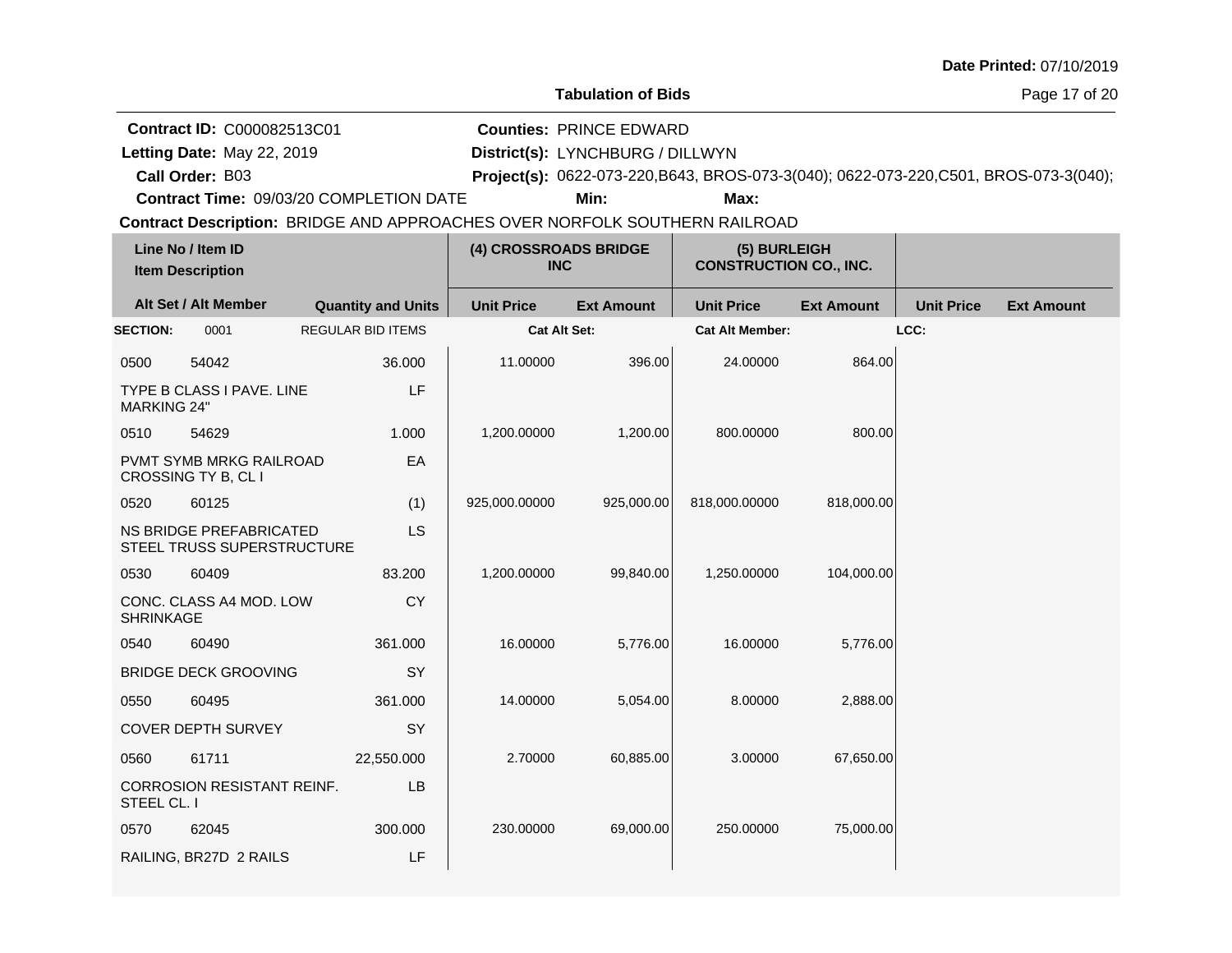| Date Printed: 07/10/2019 |  |
|--------------------------|--|
|--------------------------|--|

**Contract ID:** C000082513C01

Letting Date: May 22, 2019

**Letting Date:** May 22, 2019 **District(s):** LYNCHBURG / DILLWYN

**Counties:** PRINCE EDWARD

**Call Order:**

B03 **Project(s):** 0622-073-220,B643, BROS-073-3(040); 0622-073-220,C501, BROS-073-3(040);

**Contract Time:** 09/03/20 COMPLETION DATE

**Min: Max:**

|                    | Line No / Item ID<br><b>Item Description</b>          |                           | (4) CROSSROADS BRIDGE<br><b>INC</b> |                   | (5) BURLEIGH<br><b>CONSTRUCTION CO., INC.</b> |                   |                   |                   |
|--------------------|-------------------------------------------------------|---------------------------|-------------------------------------|-------------------|-----------------------------------------------|-------------------|-------------------|-------------------|
|                    | Alt Set / Alt Member                                  | <b>Quantity and Units</b> | <b>Unit Price</b>                   | <b>Ext Amount</b> | <b>Unit Price</b>                             | <b>Ext Amount</b> | <b>Unit Price</b> | <b>Ext Amount</b> |
| <b>SECTION:</b>    | 0001                                                  | <b>REGULAR BID ITEMS</b>  | <b>Cat Alt Set:</b>                 |                   | <b>Cat Alt Member:</b>                        |                   | LCC:              |                   |
| 0500               | 54042                                                 | 36.000                    | 11.00000                            | 396.00            | 24.00000                                      | 864.00            |                   |                   |
| <b>MARKING 24"</b> | TYPE B CLASS I PAVE. LINE                             | LF                        |                                     |                   |                                               |                   |                   |                   |
| 0510               | 54629                                                 | 1.000                     | 1,200.00000                         | 1,200.00          | 800.00000                                     | 800.00            |                   |                   |
|                    | PVMT SYMB MRKG RAILROAD<br>CROSSING TY B, CL I        | EA                        |                                     |                   |                                               |                   |                   |                   |
| 0520               | 60125                                                 | (1)                       | 925,000.00000                       | 925,000.00        | 818,000.00000                                 | 818,000.00        |                   |                   |
|                    | NS BRIDGE PREFABRICATED<br>STEEL TRUSS SUPERSTRUCTURE | <b>LS</b>                 |                                     |                   |                                               |                   |                   |                   |
| 0530               | 60409                                                 | 83.200                    | 1,200.00000                         | 99,840.00         | 1,250.00000                                   | 104,000.00        |                   |                   |
| <b>SHRINKAGE</b>   | CONC. CLASS A4 MOD. LOW                               | CY                        |                                     |                   |                                               |                   |                   |                   |
| 0540               | 60490                                                 | 361.000                   | 16.00000                            | 5,776.00          | 16.00000                                      | 5,776.00          |                   |                   |
|                    | <b>BRIDGE DECK GROOVING</b>                           | SY                        |                                     |                   |                                               |                   |                   |                   |
| 0550               | 60495                                                 | 361.000                   | 14.00000                            | 5,054.00          | 8.00000                                       | 2,888.00          |                   |                   |
|                    | COVER DEPTH SURVEY                                    | SY                        |                                     |                   |                                               |                   |                   |                   |
| 0560               | 61711                                                 | 22,550.000                | 2.70000                             | 60,885.00         | 3.00000                                       | 67,650.00         |                   |                   |
| STEEL CL. I        | <b>CORROSION RESISTANT REINF.</b>                     | LB                        |                                     |                   |                                               |                   |                   |                   |
| 0570               | 62045                                                 | 300.000                   | 230.00000                           | 69,000.00         | 250.00000                                     | 75,000.00         |                   |                   |
|                    | RAILING, BR27D 2 RAILS                                | LF                        |                                     |                   |                                               |                   |                   |                   |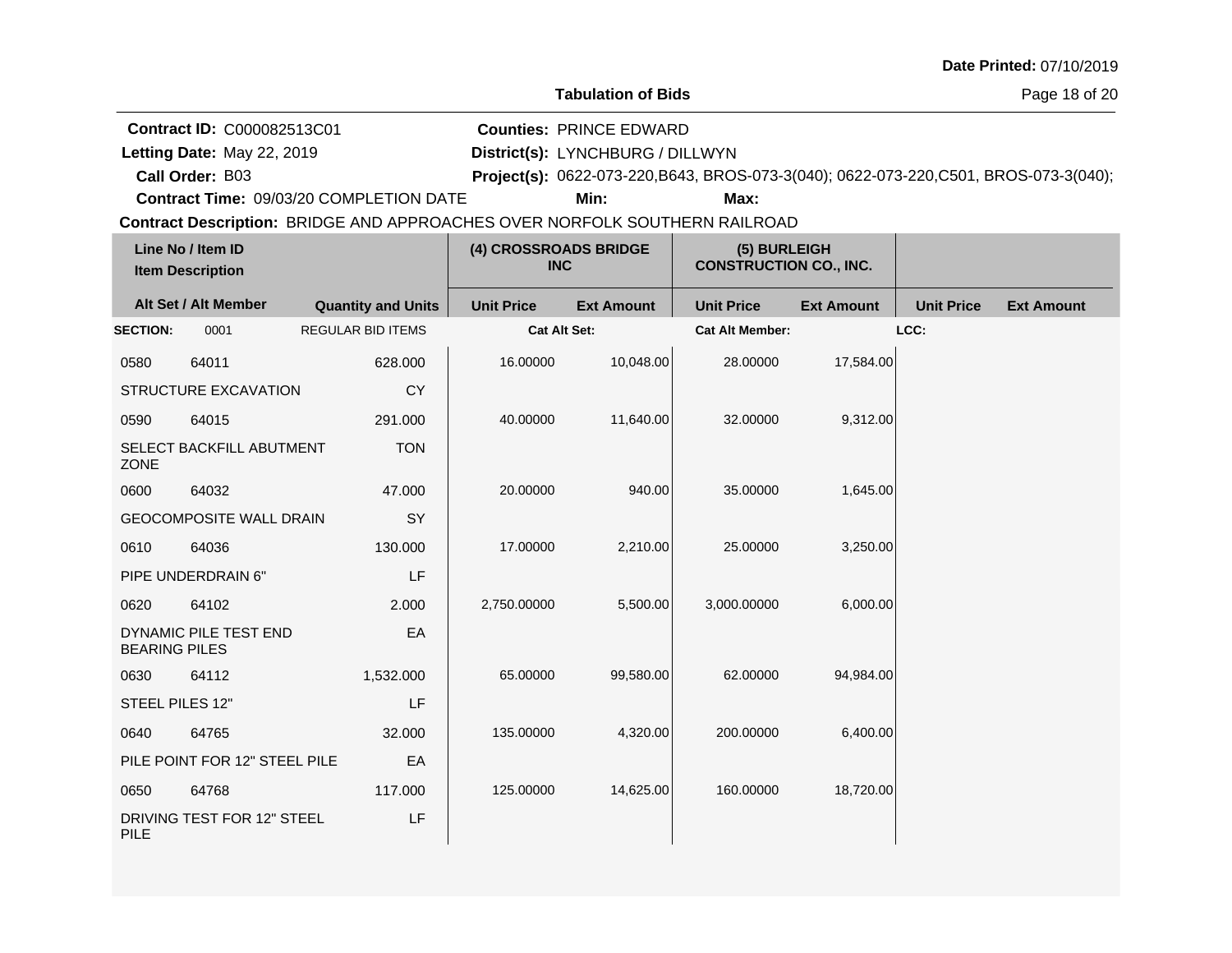| Date Printed: 07/10/2019 |  |  |
|--------------------------|--|--|
|--------------------------|--|--|

**Contract ID:** C000082513C01

**Letting Date:** May 22, 2019 **District(s):** LYNCHBURG / DILLWYN **Counties:** PRINCE EDWARD

**Call Order:**

Letting Date: May 22, 2019

B03 **Project(s):** 0622-073-220,B643, BROS-073-3(040); 0622-073-220,C501, BROS-073-3(040);

**Contract Time:** 09/03/20 COMPLETION DATE

**Min: Max:**

| Line No / Item ID<br><b>Item Description</b> |                                | (4) CROSSROADS BRIDGE<br><b>INC</b> |                   | (5) BURLEIGH<br><b>CONSTRUCTION CO., INC.</b> |                        |                   |                   |                   |
|----------------------------------------------|--------------------------------|-------------------------------------|-------------------|-----------------------------------------------|------------------------|-------------------|-------------------|-------------------|
|                                              | Alt Set / Alt Member           | <b>Quantity and Units</b>           | <b>Unit Price</b> | <b>Ext Amount</b>                             | <b>Unit Price</b>      | <b>Ext Amount</b> | <b>Unit Price</b> | <b>Ext Amount</b> |
| <b>SECTION:</b>                              | 0001                           | <b>REGULAR BID ITEMS</b>            | Cat Alt Set:      |                                               | <b>Cat Alt Member:</b> |                   | LCC:              |                   |
| 0580                                         | 64011                          | 628.000                             | 16.00000          | 10,048.00                                     | 28.00000               | 17,584.00         |                   |                   |
|                                              | STRUCTURE EXCAVATION           | <b>CY</b>                           |                   |                                               |                        |                   |                   |                   |
| 0590                                         | 64015                          | 291.000                             | 40.00000          | 11,640.00                                     | 32.00000               | 9,312.00          |                   |                   |
| <b>ZONE</b>                                  | SELECT BACKFILL ABUTMENT       | <b>TON</b>                          |                   |                                               |                        |                   |                   |                   |
| 0600                                         | 64032                          | 47.000                              | 20.00000          | 940.00                                        | 35.00000               | 1,645.00          |                   |                   |
|                                              | <b>GEOCOMPOSITE WALL DRAIN</b> | SY                                  |                   |                                               |                        |                   |                   |                   |
| 0610                                         | 64036                          | 130.000                             | 17.00000          | 2,210.00                                      | 25.00000               | 3,250.00          |                   |                   |
|                                              | PIPE UNDERDRAIN 6"             | LF                                  |                   |                                               |                        |                   |                   |                   |
| 0620                                         | 64102                          | 2.000                               | 2,750.00000       | 5,500.00                                      | 3,000.00000            | 6,000.00          |                   |                   |
| <b>BEARING PILES</b>                         | DYNAMIC PILE TEST END          | EA                                  |                   |                                               |                        |                   |                   |                   |
| 0630                                         | 64112                          | 1,532.000                           | 65.00000          | 99,580.00                                     | 62.00000               | 94,984.00         |                   |                   |
| STEEL PILES 12"                              |                                | LF                                  |                   |                                               |                        |                   |                   |                   |
| 0640                                         | 64765                          | 32.000                              | 135.00000         | 4,320.00                                      | 200.00000              | 6,400.00          |                   |                   |
|                                              | PILE POINT FOR 12" STEEL PILE  | EA                                  |                   |                                               |                        |                   |                   |                   |
| 0650                                         | 64768                          | 117.000                             | 125.00000         | 14,625.00                                     | 160.00000              | 18,720.00         |                   |                   |
| <b>PILE</b>                                  | DRIVING TEST FOR 12" STEEL     | LF                                  |                   |                                               |                        |                   |                   |                   |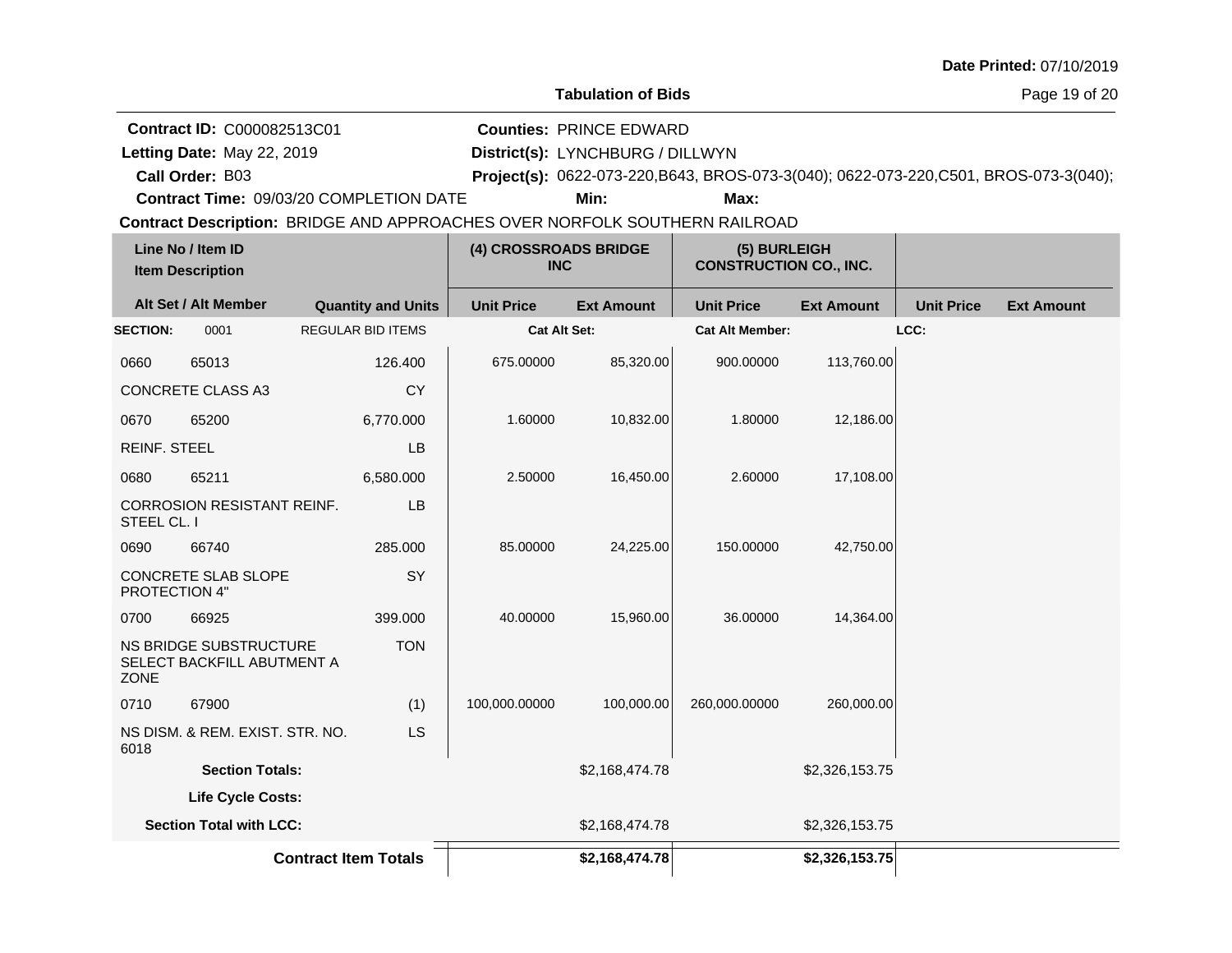| Date Printed: 07/10/2019 |  |  |
|--------------------------|--|--|
|--------------------------|--|--|

**Contract ID:** C000082513C01

Letting Date: May 22, 2019

**Call Order:**

**Letting Date:** May 22, 2019 **District(s):** LYNCHBURG / DILLWYN **Counties:** PRINCE EDWARD

B03 **Project(s):** 0622-073-220,B643, BROS-073-3(040); 0622-073-220,C501, BROS-073-3(040);

**Contract Time:** 09/03/20 COMPLETION DATE

**Min: Max:**

| Line No / Item ID<br><b>Item Description</b> |                                                      | (4) CROSSROADS BRIDGE<br><b>INC</b> |                   | (5) BURLEIGH<br><b>CONSTRUCTION CO., INC.</b> |                        |                   |                   |                   |
|----------------------------------------------|------------------------------------------------------|-------------------------------------|-------------------|-----------------------------------------------|------------------------|-------------------|-------------------|-------------------|
|                                              | Alt Set / Alt Member                                 | <b>Quantity and Units</b>           | <b>Unit Price</b> | <b>Ext Amount</b>                             | <b>Unit Price</b>      | <b>Ext Amount</b> | <b>Unit Price</b> | <b>Ext Amount</b> |
| <b>SECTION:</b>                              | 0001                                                 | <b>REGULAR BID ITEMS</b>            | Cat Alt Set:      |                                               | <b>Cat Alt Member:</b> |                   | LCC:              |                   |
| 0660                                         | 65013                                                | 126.400                             | 675.00000         | 85,320.00                                     | 900.00000              | 113,760.00        |                   |                   |
|                                              | <b>CONCRETE CLASS A3</b>                             | <b>CY</b>                           |                   |                                               |                        |                   |                   |                   |
| 0670                                         | 65200                                                | 6,770.000                           | 1.60000           | 10,832.00                                     | 1.80000                | 12,186.00         |                   |                   |
| <b>REINF. STEEL</b>                          |                                                      | <b>LB</b>                           |                   |                                               |                        |                   |                   |                   |
| 0680                                         | 65211                                                | 6,580.000                           | 2.50000           | 16,450.00                                     | 2.60000                | 17,108.00         |                   |                   |
| STEEL CL. I                                  | <b>CORROSION RESISTANT REINF.</b>                    | <b>LB</b>                           |                   |                                               |                        |                   |                   |                   |
| 0690                                         | 66740                                                | 285.000                             | 85.00000          | 24,225.00                                     | 150.00000              | 42,750.00         |                   |                   |
| PROTECTION 4"                                | CONCRETE SLAB SLOPE                                  | SY                                  |                   |                                               |                        |                   |                   |                   |
| 0700                                         | 66925                                                | 399.000                             | 40.00000          | 15,960.00                                     | 36.00000               | 14,364.00         |                   |                   |
| ZONE                                         | NS BRIDGE SUBSTRUCTURE<br>SELECT BACKFILL ABUTMENT A | <b>TON</b>                          |                   |                                               |                        |                   |                   |                   |
| 0710                                         | 67900                                                | (1)                                 | 100,000.00000     | 100,000.00                                    | 260,000.00000          | 260,000.00        |                   |                   |
| 6018                                         | NS DISM. & REM. EXIST. STR. NO.                      | LS                                  |                   |                                               |                        |                   |                   |                   |
|                                              | <b>Section Totals:</b>                               |                                     |                   | \$2,168,474.78                                |                        | \$2,326,153.75    |                   |                   |
|                                              | Life Cycle Costs:                                    |                                     |                   |                                               |                        |                   |                   |                   |
|                                              | <b>Section Total with LCC:</b>                       |                                     |                   | \$2,168,474.78                                |                        | \$2,326,153.75    |                   |                   |
|                                              |                                                      | <b>Contract Item Totals</b>         |                   | \$2,168,474.78                                |                        | \$2,326,153.75    |                   |                   |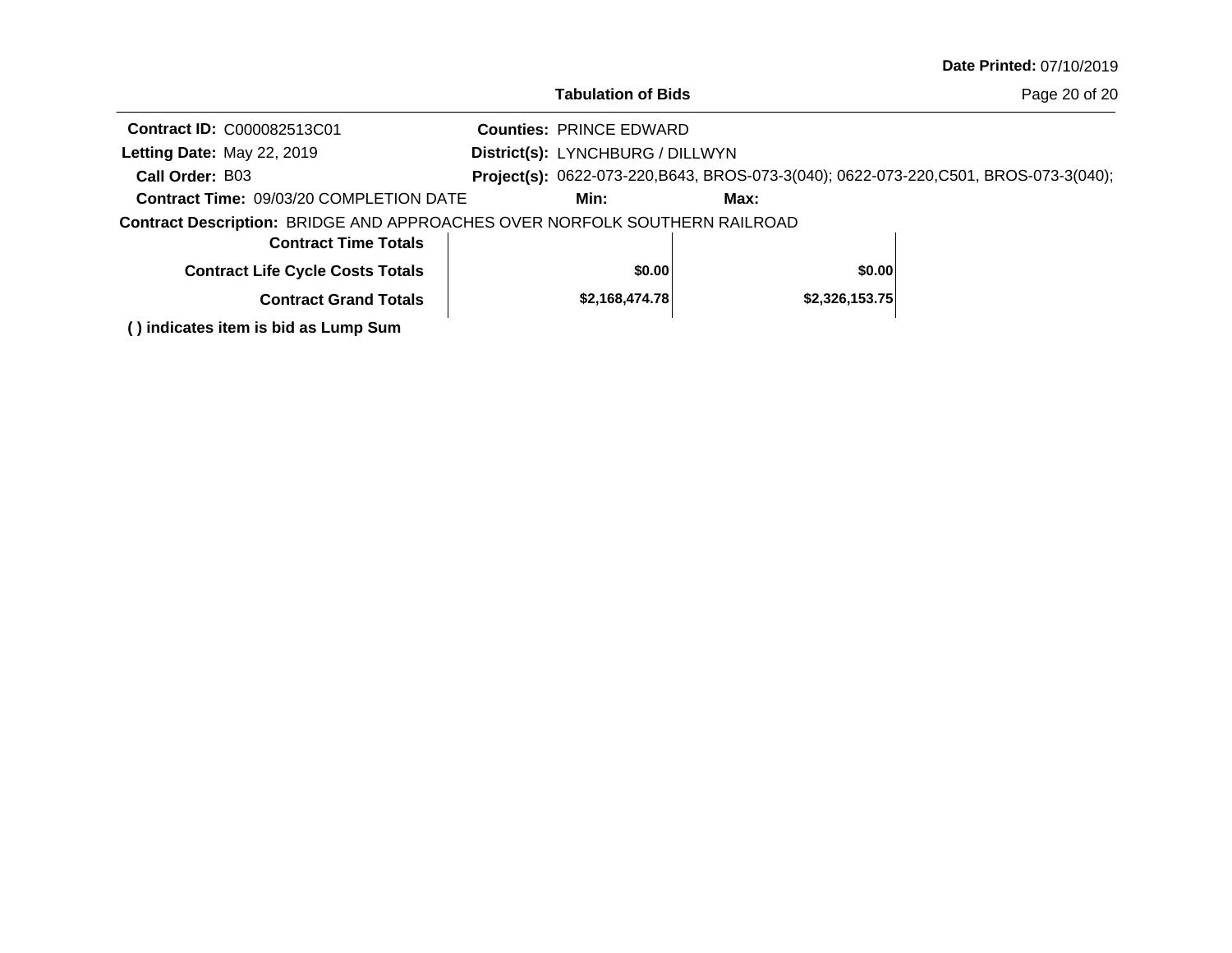|                                                                            | <b>Tabulation of Bids</b>        |      |                | Page 20 of 20                                                                         |
|----------------------------------------------------------------------------|----------------------------------|------|----------------|---------------------------------------------------------------------------------------|
| <b>Contract ID: C000082513C01</b>                                          | <b>Counties: PRINCE EDWARD</b>   |      |                |                                                                                       |
| Letting Date: May 22, 2019                                                 | District(s): LYNCHBURG / DILLWYN |      |                |                                                                                       |
| Call Order: B03                                                            |                                  |      |                | Project(s): 0622-073-220, B643, BROS-073-3(040); 0622-073-220, C501, BROS-073-3(040); |
| <b>Contract Time: 09/03/20 COMPLETION DATE</b>                             | Min:                             | Max: |                |                                                                                       |
| Contract Description: BRIDGE AND APPROACHES OVER NORFOLK SOUTHERN RAILROAD |                                  |      |                |                                                                                       |
| <b>Contract Time Totals</b>                                                |                                  |      |                |                                                                                       |
| <b>Contract Life Cycle Costs Totals</b>                                    | \$0.00                           |      | \$0.00         |                                                                                       |
| <b>Contract Grand Totals</b>                                               | \$2,168,474.78                   |      | \$2,326,153.75 |                                                                                       |
| () indicates item is bid as Lump Sum                                       |                                  |      |                |                                                                                       |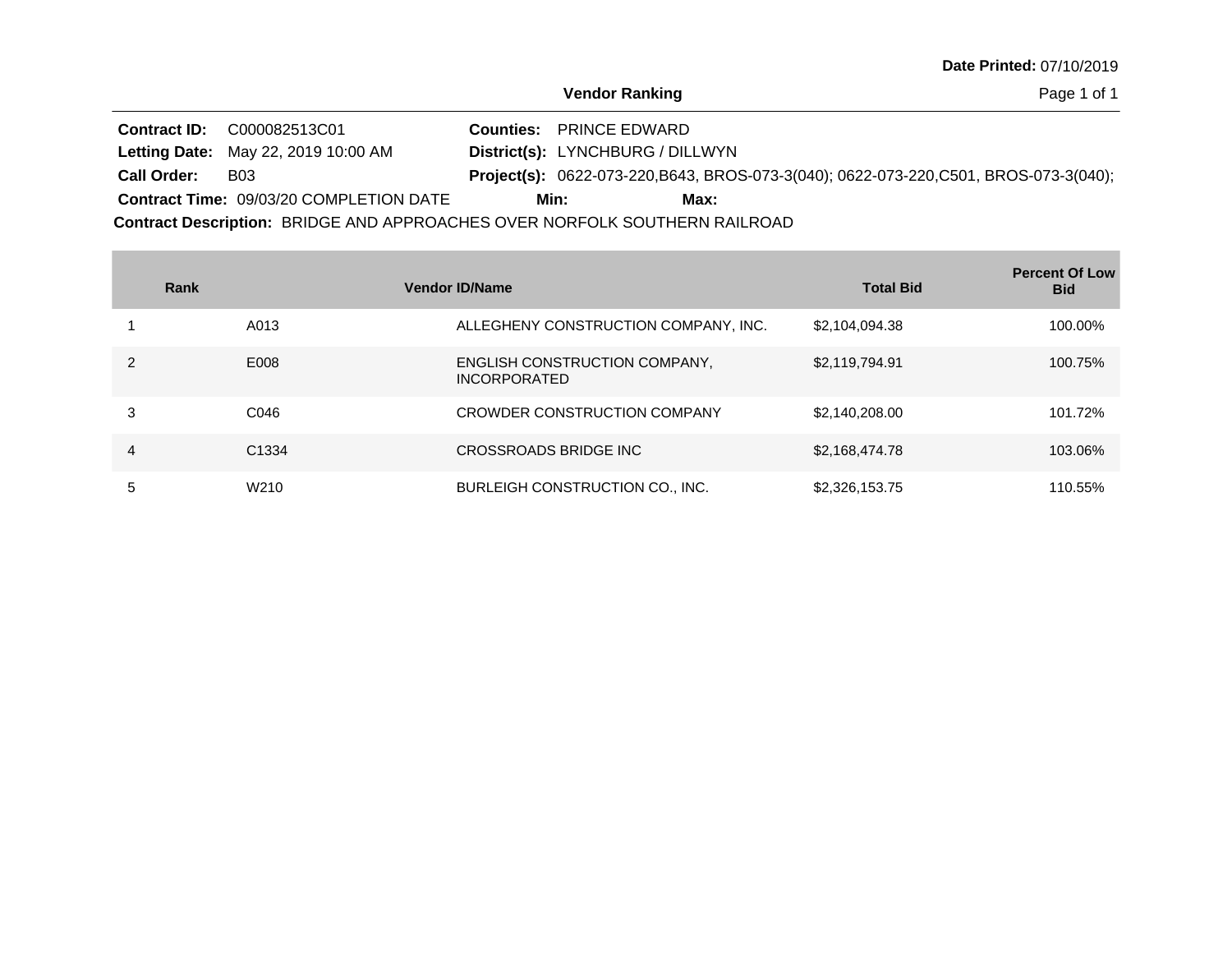Page 1 of 1

|                    | <b>Contract ID: C000082513C01</b>              | <b>Counties: PRINCE EDWARD</b>          |      |                                                                                              |
|--------------------|------------------------------------------------|-----------------------------------------|------|----------------------------------------------------------------------------------------------|
|                    | <b>Letting Date: May 22, 2019 10:00 AM</b>     | <b>District(s): LYNCHBURG / DILLWYN</b> |      |                                                                                              |
| <b>Call Order:</b> | <b>B03</b>                                     |                                         |      | <b>Project(s):</b> 0622-073-220, B643, BROS-073-3(040); 0622-073-220, C501, BROS-073-3(040); |
|                    | <b>Contract Time: 09/03/20 COMPLETION DATE</b> | Min:                                    | Max: |                                                                                              |

|   | Rank              | <b>Vendor ID/Name</b>                                | <b>Total Bid</b> | <b>Percent Of Low</b><br><b>Bid</b> |
|---|-------------------|------------------------------------------------------|------------------|-------------------------------------|
|   | A013              | ALLEGHENY CONSTRUCTION COMPANY, INC.                 | \$2,104,094.38   | 100.00%                             |
|   | E008              | ENGLISH CONSTRUCTION COMPANY.<br><b>INCORPORATED</b> | \$2,119,794.91   | 100.75%                             |
| 3 | C046              | CROWDER CONSTRUCTION COMPANY                         | \$2,140,208.00   | 101.72%                             |
| 4 | C <sub>1334</sub> | CROSSROADS BRIDGE INC                                | \$2,168,474.78   | 103.06%                             |
| 5 | W <sub>210</sub>  | BURLEIGH CONSTRUCTION CO., INC.                      | \$2,326,153.75   | 110.55%                             |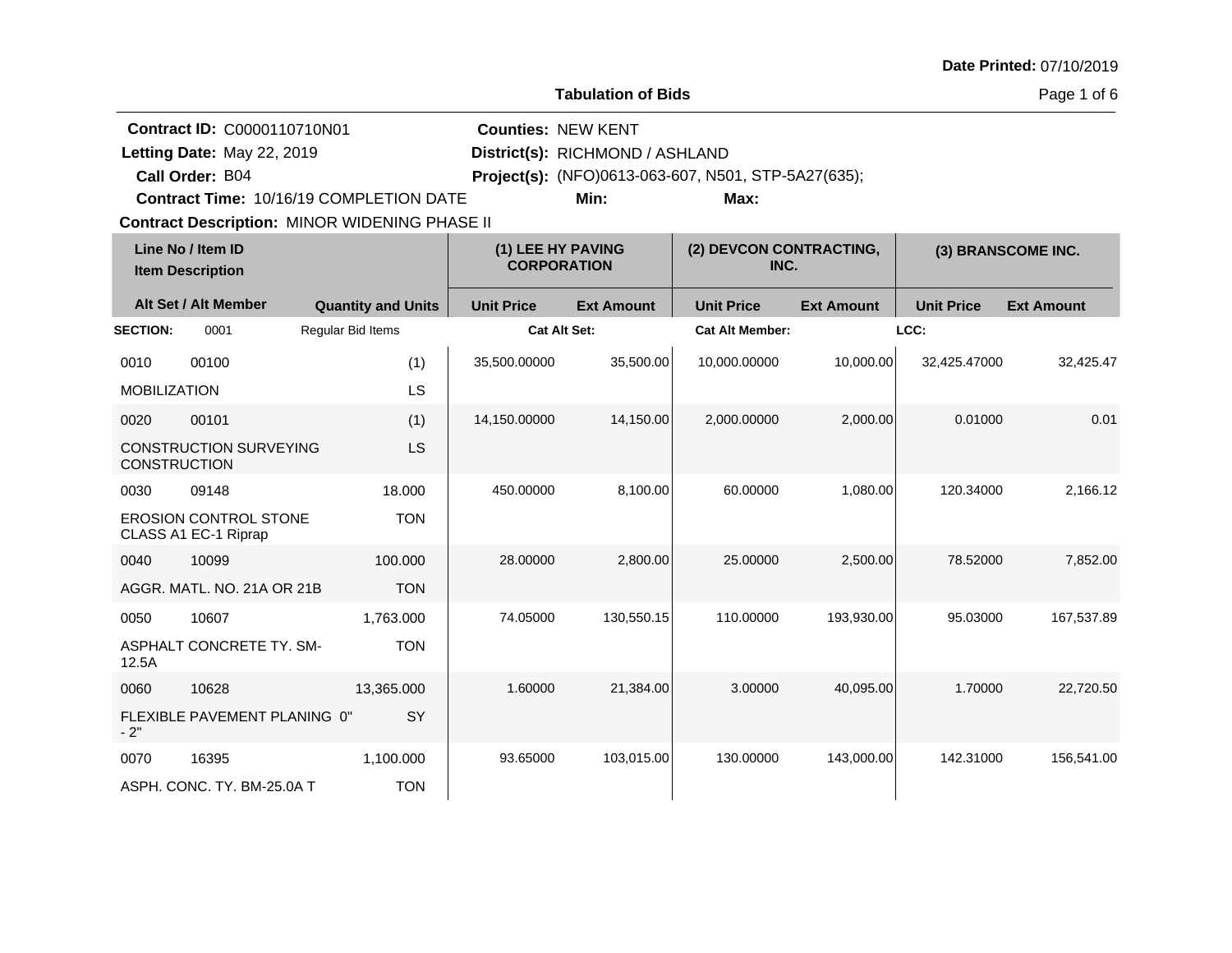| <b>Date Printed: 07/10/2019</b> |  |
|---------------------------------|--|
|---------------------------------|--|

**Tabulation of Bids**

Page 1 of 6

**Quantity and Units Unit Price Alt Set / Alt Member Ext Amount Ext Amount Line No / Item ID Unit Price Ext Amount Unit Price Item Description (1) LEE HY PAVING CORPORATION (2) DEVCON CONTRACTING, INC. (3) BRANSCOME INC. SECTION:** 0001 Regular Bid Items **Cat Alt Set: Cat Alt Member: LCC:** 0010 00100 MOBILIZATION (1) LS 35,500.00000 35,500.00 10,000.00000 10,000.00 32,425.47000 32,425.47 0020 00101 CONSTRUCTION SURVEYING **CONSTRUCTION** (1) LS 14,150.0000 14,150.00 2,000.0000 2,000.00 0.01000 0.01 0030 09148 EROSION CONTROL STONE CLASS A1 EC-1 Riprap 18.000 TON 450.00000 8,100.00 60.00000 1,080.00 120.34000 2,166.12 0040 10099 AGGR. MATL. NO. 21A OR 21B 100.000 **TON** 28.00000 2,800.00 25.00000 2,500.00 78.52000 7,852.00 0050 10607 ASPHALT CONCRETE TY. SM-12.5A 1,763.000 TON 74.05000 130,550.15 110.00000 193,930.00 95.03000 167,537.89 0060 10628 FLEXIBLE PAVEMENT PLANING 0"  $-2"$ 13,365.000 **SY** 1.60000 21,384.00 3.00000 40,095.00 1.70000 22,720.50 0070 16395 ASPH. CONC. TY. BM-25.0A T 1,100.000 TON 93.65000 103,015.00 130.00000 143,000.00 142.31000 156,541.00 **Contract Description: MINOR WIDENING PHASE II Call Order: Letting Date:** May 22, 2019 **District(s): RICHMOND / ASHLAND Contract ID:** C0000110710N01 **Counties:** NEW KENT B04 **Project(s):** (NFO)0613-063-607, N501, STP-5A27(635);**Contract Time:** 10/16/19 COMPLETION DATE Letting Date: May 22, 2019 **Min: Max:**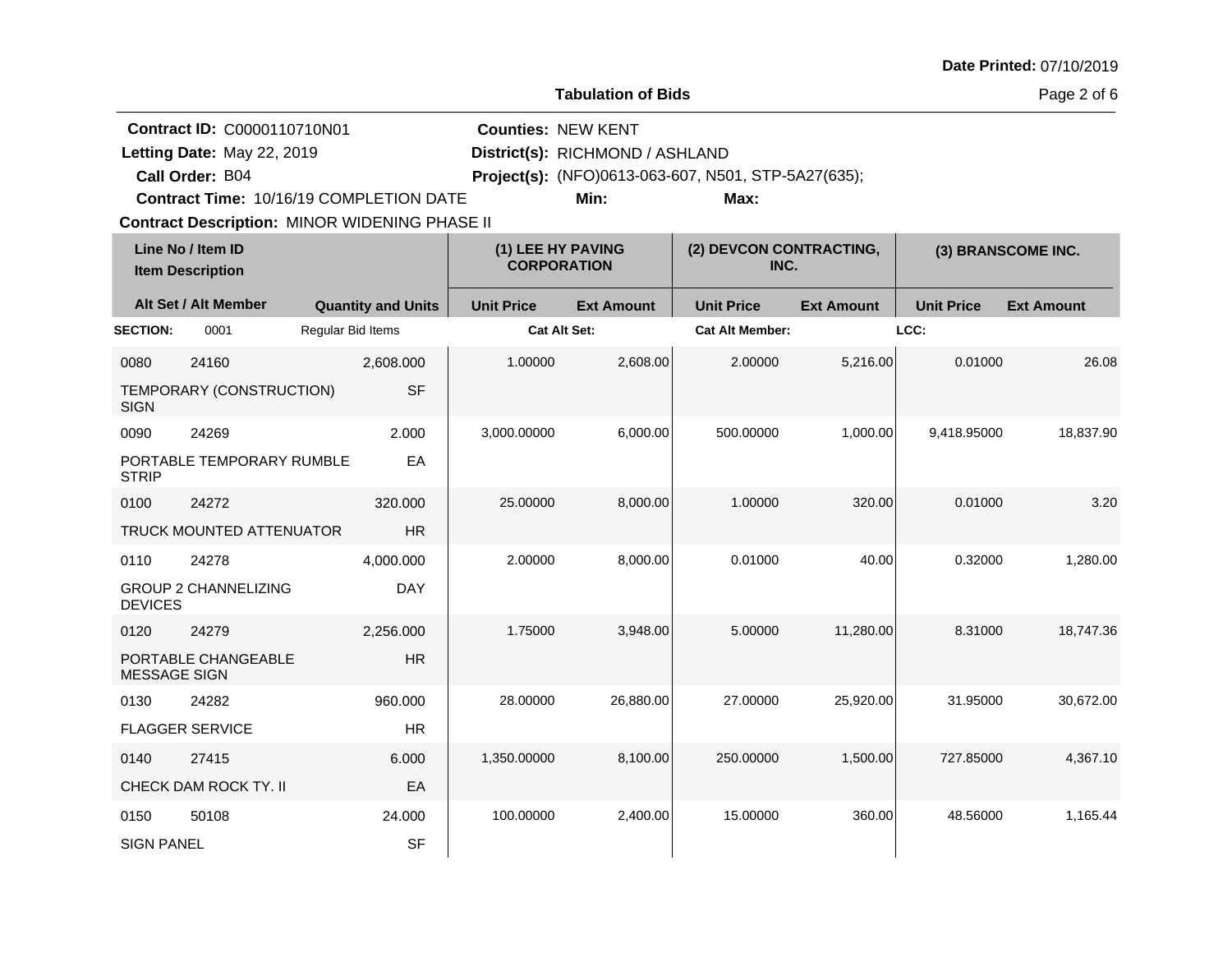|                             |                                                                                                                                                                                 |                   |                           |                                         | <b>Tabulation of Bids</b>               |                                                             |                   |                   | Page 2 of 6        |
|-----------------------------|---------------------------------------------------------------------------------------------------------------------------------------------------------------------------------|-------------------|---------------------------|-----------------------------------------|-----------------------------------------|-------------------------------------------------------------|-------------------|-------------------|--------------------|
|                             | Contract ID: C0000110710N01<br>Letting Date: May 22, 2019<br>Call Order: B04<br>Contract Time: 10/16/19 COMPLETION DATE<br><b>Contract Description: MINOR WIDENING PHASE II</b> |                   |                           | <b>Counties: NEW KENT</b>               | District(s): RICHMOND / ASHLAND<br>Min: | Project(s): (NFO)0613-063-607, N501, STP-5A27(635);<br>Max: |                   |                   |                    |
|                             | Line No / Item ID<br><b>Item Description</b>                                                                                                                                    |                   |                           | (1) LEE HY PAVING<br><b>CORPORATION</b> |                                         | (2) DEVCON CONTRACTING,<br>INC.                             |                   |                   | (3) BRANSCOME INC. |
|                             | Alt Set / Alt Member                                                                                                                                                            |                   | <b>Quantity and Units</b> | <b>Unit Price</b>                       | <b>Ext Amount</b>                       | <b>Unit Price</b>                                           | <b>Ext Amount</b> | <b>Unit Price</b> | <b>Ext Amount</b>  |
| <b>SECTION:</b>             | 0001                                                                                                                                                                            | Regular Bid Items |                           |                                         | <b>Cat Alt Set:</b>                     | <b>Cat Alt Member:</b>                                      |                   | LCC:              |                    |
| 0080<br><b>SIGN</b>         | 24160<br>TEMPORARY (CONSTRUCTION)                                                                                                                                               |                   | 2,608.000<br><b>SF</b>    | 1.00000                                 | 2,608.00                                | 2.00000                                                     | 5,216.00          | 0.01000           | 26.08              |
| 0090<br><b>STRIP</b>        | 24269<br>PORTABLE TEMPORARY RUMBLE                                                                                                                                              |                   | 2.000<br>EA               | 3,000.00000                             | 6,000.00                                | 500.00000                                                   | 1,000.00          | 9,418.95000       | 18,837.90          |
| 0100                        | 24272<br>TRUCK MOUNTED ATTENUATOR                                                                                                                                               |                   | 320,000<br><b>HR</b>      | 25.00000                                | 8,000.00                                | 1.00000                                                     | 320.00            | 0.01000           | 3.20               |
| 0110<br><b>DEVICES</b>      | 24278<br><b>GROUP 2 CHANNELIZING</b>                                                                                                                                            |                   | 4,000.000<br><b>DAY</b>   | 2.00000                                 | 8,000.00                                | 0.01000                                                     | 40.00             | 0.32000           | 1,280.00           |
| 0120<br><b>MESSAGE SIGN</b> | 24279<br>PORTABLE CHANGEABLE                                                                                                                                                    |                   | 2,256.000<br><b>HR</b>    | 1.75000                                 | 3,948.00                                | 5.00000                                                     | 11,280.00         | 8.31000           | 18,747.36          |
| 0130                        | 24282<br><b>FLAGGER SERVICE</b>                                                                                                                                                 |                   | 960.000<br>HR.            | 28.00000                                | 26,880.00                               | 27.00000                                                    | 25,920.00         | 31.95000          | 30.672.00          |
| 0140                        | 27415<br>CHECK DAM ROCK TY. II                                                                                                                                                  |                   | 6.000<br>EA               | 1,350.00000                             | 8,100.00                                | 250.00000                                                   | 1,500.00          | 727.85000         | 4,367.10           |
| 0150<br><b>SIGN PANEL</b>   | 50108                                                                                                                                                                           |                   | 24.000<br><b>SF</b>       | 100.00000                               | 2,400.00                                | 15.00000                                                    | 360.00            | 48.56000          | 1,165.44           |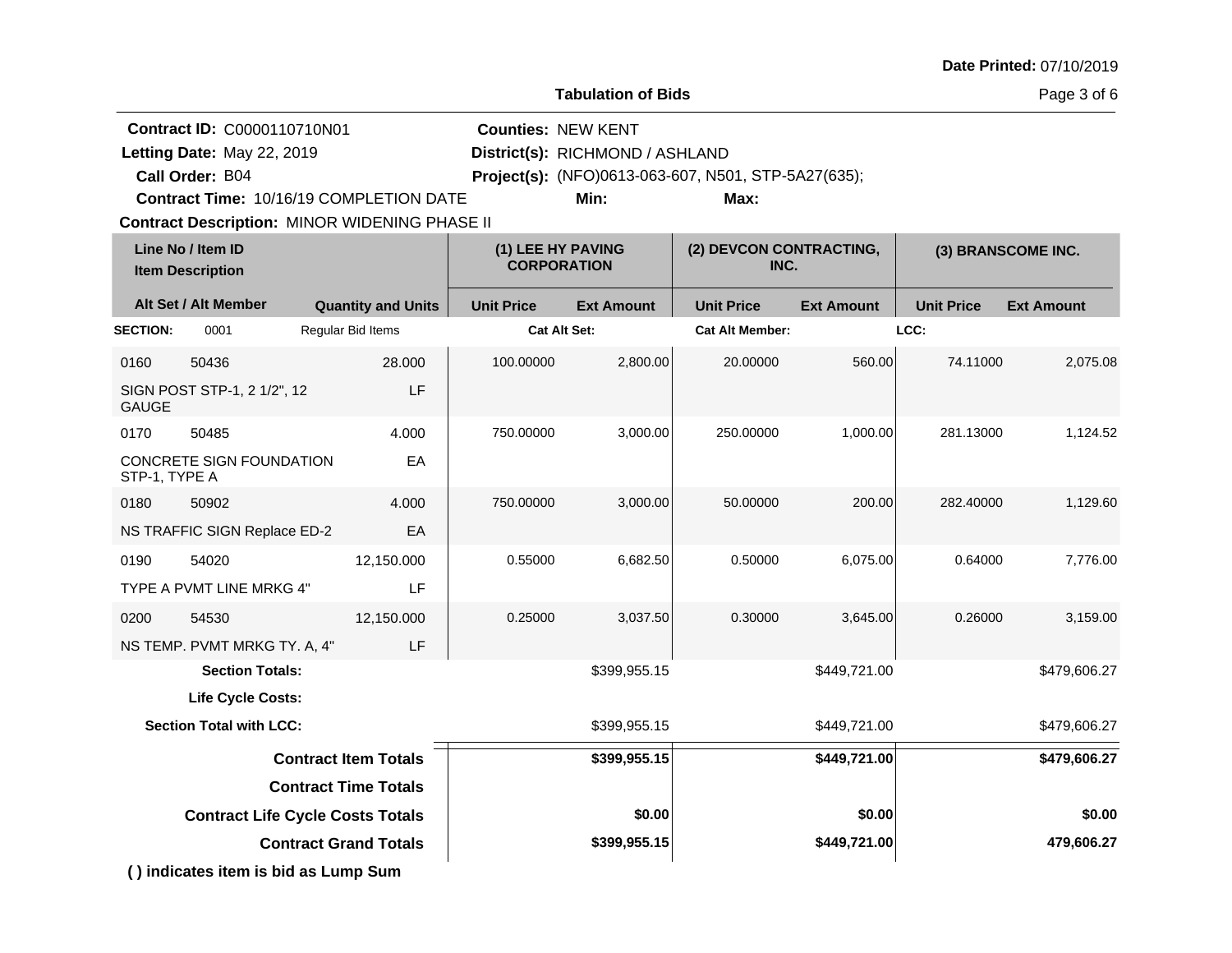|  |  | Date Printed: 07/10/2019 |
|--|--|--------------------------|
|--|--|--------------------------|

**Tabulation of Bids**

Page 3 of 6

|                 | Contract ID: C0000110710N01          |                                                                                                 | <b>Counties: NEW KENT</b> |                                         |                                                     |                   |                   |                    |
|-----------------|--------------------------------------|-------------------------------------------------------------------------------------------------|---------------------------|-----------------------------------------|-----------------------------------------------------|-------------------|-------------------|--------------------|
|                 | Letting Date: May 22, 2019           |                                                                                                 |                           | District(s): RICHMOND / ASHLAND         |                                                     |                   |                   |                    |
|                 | Call Order: B04                      |                                                                                                 |                           |                                         | Project(s): (NFO)0613-063-607, N501, STP-5A27(635); |                   |                   |                    |
|                 |                                      | Contract Time: 10/16/19 COMPLETION DATE<br><b>Contract Description: MINOR WIDENING PHASE II</b> |                           | Min:                                    | Max:                                                |                   |                   |                    |
|                 | Line No / Item ID                    |                                                                                                 |                           |                                         | (2) DEVCON CONTRACTING,                             |                   |                   |                    |
|                 | <b>Item Description</b>              |                                                                                                 |                           | (1) LEE HY PAVING<br><b>CORPORATION</b> | INC.                                                |                   |                   | (3) BRANSCOME INC. |
|                 | Alt Set / Alt Member                 | <b>Quantity and Units</b>                                                                       | <b>Unit Price</b>         | <b>Ext Amount</b>                       | <b>Unit Price</b>                                   | <b>Ext Amount</b> | <b>Unit Price</b> | <b>Ext Amount</b>  |
| <b>SECTION:</b> | 0001                                 | Regular Bid Items                                                                               |                           | Cat Alt Set:                            | <b>Cat Alt Member:</b>                              |                   | LCC:              |                    |
| 0160            | 50436                                | 28,000                                                                                          | 100.00000                 | 2,800.00                                | 20.00000                                            | 560.00            | 74.11000          | 2,075.08           |
| <b>GAUGE</b>    | SIGN POST STP-1, 2 1/2", 12          | LF                                                                                              |                           |                                         |                                                     |                   |                   |                    |
| 0170            | 50485                                | 4.000                                                                                           | 750.00000                 | 3,000.00                                | 250.00000                                           | 1.000.00          | 281.13000         | 1,124.52           |
| STP-1, TYPE A   | CONCRETE SIGN FOUNDATION             | EA                                                                                              |                           |                                         |                                                     |                   |                   |                    |
| 0180            | 50902                                | 4.000                                                                                           | 750.00000                 | 3,000.00                                | 50.00000                                            | 200.00            | 282.40000         | 1,129.60           |
|                 | NS TRAFFIC SIGN Replace ED-2         | EА                                                                                              |                           |                                         |                                                     |                   |                   |                    |
| 0190            | 54020                                | 12,150.000                                                                                      | 0.55000                   | 6,682.50                                | 0.50000                                             | 6,075.00          | 0.64000           | 7,776.00           |
|                 | TYPE A PVMT LINE MRKG 4"             | LF                                                                                              |                           |                                         |                                                     |                   |                   |                    |
| 0200            | 54530                                | 12,150.000                                                                                      | 0.25000                   | 3,037.50                                | 0.30000                                             | 3,645.00          | 0.26000           | 3,159.00           |
|                 | NS TEMP. PVMT MRKG TY. A, 4"         | LF                                                                                              |                           |                                         |                                                     |                   |                   |                    |
|                 | <b>Section Totals:</b>               |                                                                                                 |                           | \$399,955.15                            |                                                     | \$449,721.00      |                   | \$479,606.27       |
|                 | Life Cycle Costs:                    |                                                                                                 |                           |                                         |                                                     |                   |                   |                    |
|                 | <b>Section Total with LCC:</b>       |                                                                                                 |                           | \$399,955.15                            |                                                     | \$449,721.00      |                   | \$479,606.27       |
|                 |                                      | <b>Contract Item Totals</b>                                                                     |                           | \$399,955.15                            |                                                     | \$449,721.00      |                   | \$479,606.27       |
|                 |                                      | <b>Contract Time Totals</b>                                                                     |                           |                                         |                                                     |                   |                   |                    |
|                 |                                      | <b>Contract Life Cycle Costs Totals</b>                                                         |                           | \$0.00                                  |                                                     | \$0.00            |                   | \$0.00             |
|                 |                                      | <b>Contract Grand Totals</b>                                                                    |                           | \$399,955.15                            |                                                     | \$449,721.00      |                   | 479,606.27         |
|                 | () indicates item is bid as Lump Sum |                                                                                                 |                           |                                         |                                                     |                   |                   |                    |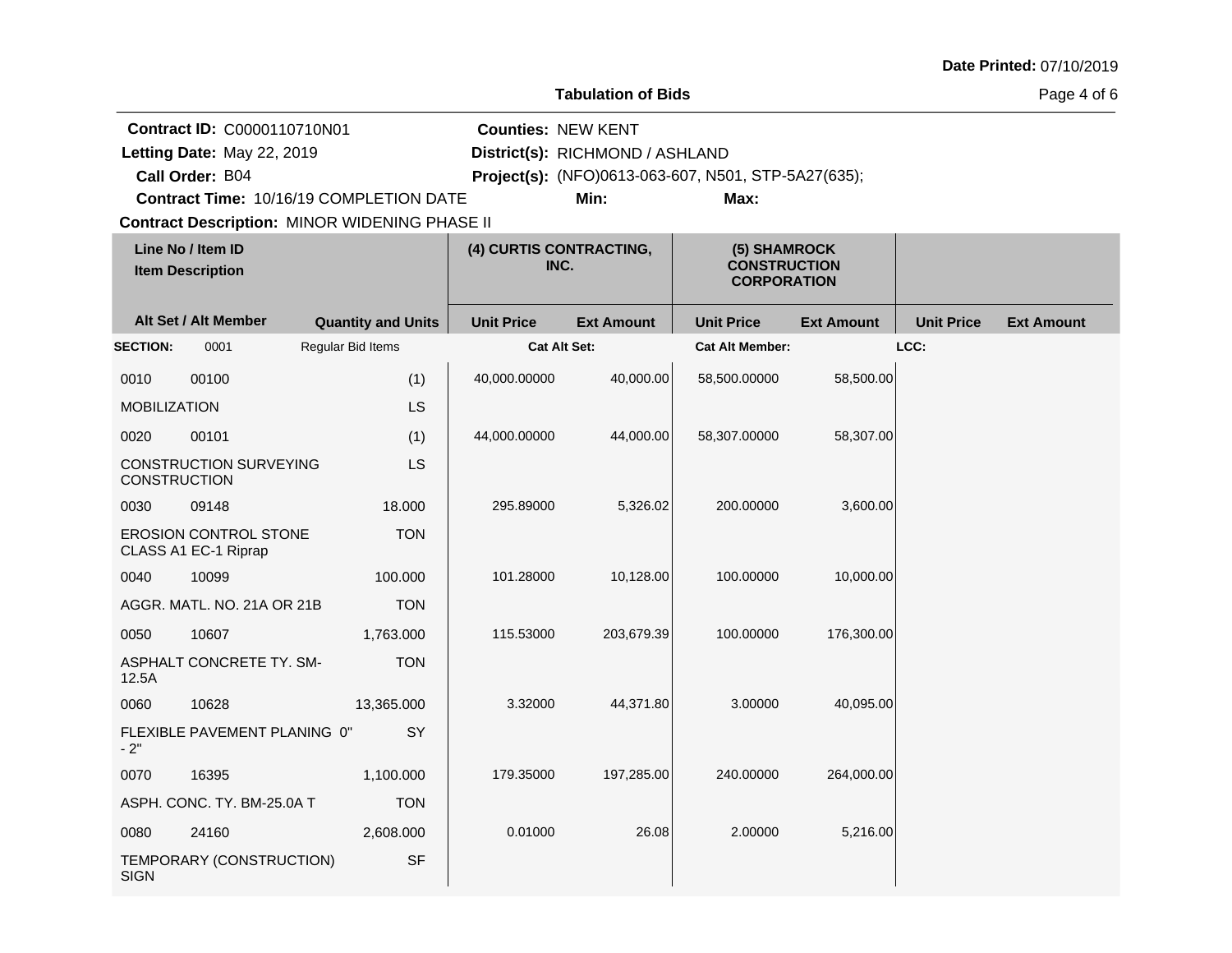| Date Printed: 07/10/2019 |  |
|--------------------------|--|
|--------------------------|--|

Page 4 of 6

|                            | Contract ID: C0000110710N01                          |                           | <b>Counties: NEW KENT</b>       |                                 |                                                           |                   |                   |                   |
|----------------------------|------------------------------------------------------|---------------------------|---------------------------------|---------------------------------|-----------------------------------------------------------|-------------------|-------------------|-------------------|
| Letting Date: May 22, 2019 |                                                      |                           |                                 | District(s): RICHMOND / ASHLAND |                                                           |                   |                   |                   |
|                            | Call Order: B04                                      |                           |                                 |                                 | Project(s): (NFO)0613-063-607, N501, STP-5A27(635);       |                   |                   |                   |
|                            | Contract Time: 10/16/19 COMPLETION DATE              |                           |                                 | Min:                            | Max:                                                      |                   |                   |                   |
|                            | <b>Contract Description: MINOR WIDENING PHASE II</b> |                           |                                 |                                 |                                                           |                   |                   |                   |
|                            | Line No / Item ID<br><b>Item Description</b>         |                           | (4) CURTIS CONTRACTING,<br>INC. |                                 | (5) SHAMROCK<br><b>CONSTRUCTION</b><br><b>CORPORATION</b> |                   |                   |                   |
|                            | Alt Set / Alt Member                                 | <b>Quantity and Units</b> | <b>Unit Price</b>               | <b>Ext Amount</b>               | <b>Unit Price</b>                                         | <b>Ext Amount</b> | <b>Unit Price</b> | <b>Ext Amount</b> |
| <b>SECTION:</b>            | 0001                                                 | Regular Bid Items         | <b>Cat Alt Set:</b>             |                                 | <b>Cat Alt Member:</b>                                    |                   | LCC:              |                   |
| 0010                       | 00100                                                | (1)                       | 40,000.00000                    | 40,000.00                       | 58,500.00000                                              | 58,500.00         |                   |                   |
| <b>MOBILIZATION</b>        |                                                      | LS                        |                                 |                                 |                                                           |                   |                   |                   |
| 0020                       | 00101                                                | (1)                       | 44,000.00000                    | 44,000.00                       | 58,307.00000                                              | 58,307.00         |                   |                   |
| <b>CONSTRUCTION</b>        | CONSTRUCTION SURVEYING                               | LS                        |                                 |                                 |                                                           |                   |                   |                   |
| 0030                       | 09148                                                | 18.000                    | 295.89000                       | 5,326.02                        | 200.00000                                                 | 3,600.00          |                   |                   |
|                            | <b>EROSION CONTROL STONE</b><br>CLASS A1 EC-1 Riprap | <b>TON</b>                |                                 |                                 |                                                           |                   |                   |                   |
| 0040                       | 10099                                                | 100.000                   | 101.28000                       | 10,128.00                       | 100.00000                                                 | 10,000.00         |                   |                   |
|                            | AGGR. MATL. NO. 21A OR 21B                           | <b>TON</b>                |                                 |                                 |                                                           |                   |                   |                   |
| 0050                       | 10607                                                | 1,763.000                 | 115.53000                       | 203,679.39                      | 100.00000                                                 | 176,300.00        |                   |                   |
| 12.5A                      | ASPHALT CONCRETE TY. SM-                             | <b>TON</b>                |                                 |                                 |                                                           |                   |                   |                   |
| 0060                       | 10628                                                | 13,365.000                | 3.32000                         | 44,371.80                       | 3.00000                                                   | 40,095.00         |                   |                   |
| $-2"$                      | FLEXIBLE PAVEMENT PLANING 0"                         | SY                        |                                 |                                 |                                                           |                   |                   |                   |
| 0070                       | 16395                                                | 1,100.000                 | 179.35000                       | 197,285.00                      | 240.00000                                                 | 264,000.00        |                   |                   |
|                            | ASPH. CONC. TY. BM-25.0A T                           | <b>TON</b>                |                                 |                                 |                                                           |                   |                   |                   |
| 0080                       | 24160                                                | 2,608.000                 | 0.01000                         | 26.08                           | 2.00000                                                   | 5,216.00          |                   |                   |
| <b>SIGN</b>                | TEMPORARY (CONSTRUCTION)                             | <b>SF</b>                 |                                 |                                 |                                                           |                   |                   |                   |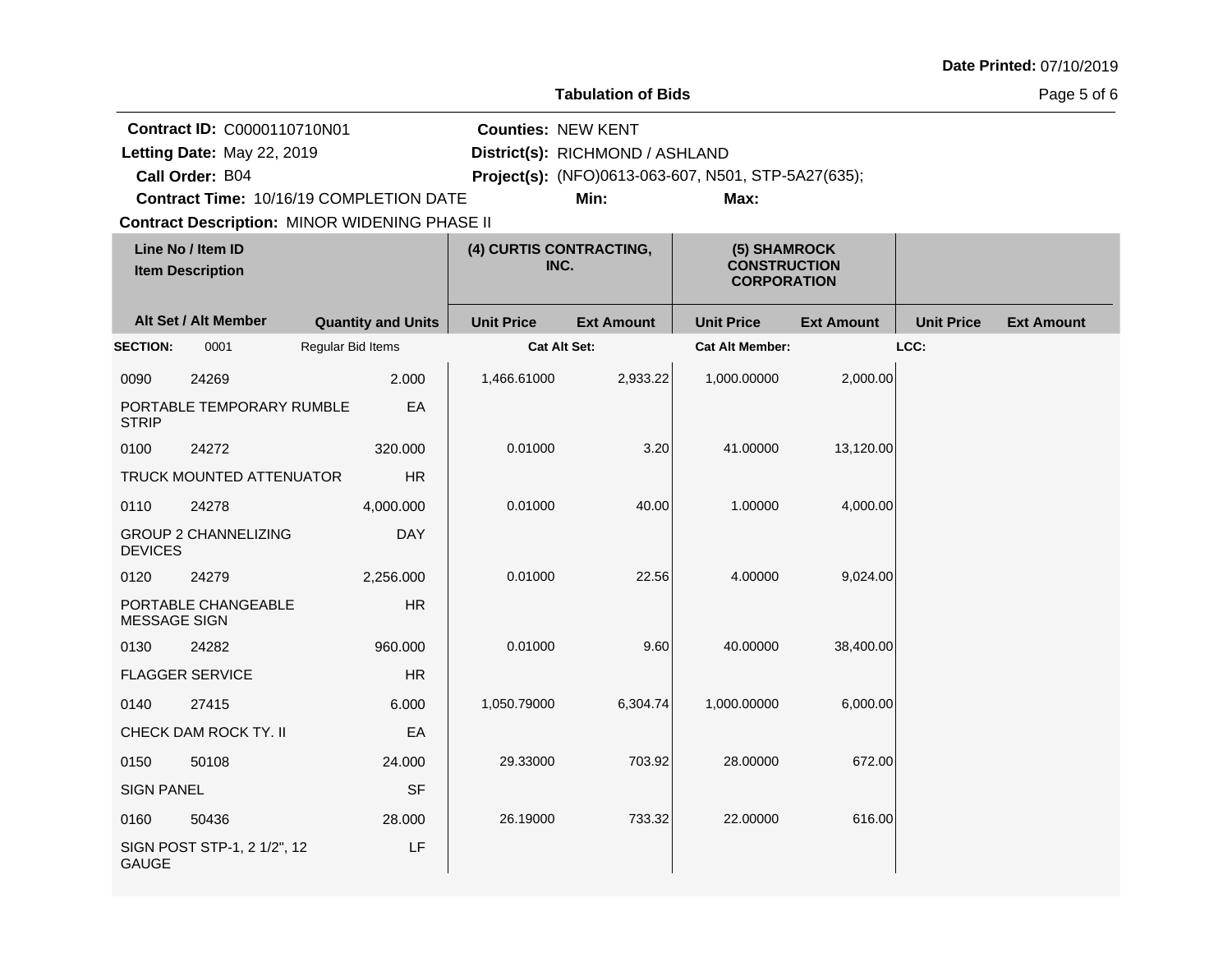| Date Printed: 07/10/2019 |  |
|--------------------------|--|
|--------------------------|--|

|                            | Contract ID: C0000110710N01                  |                                                      | <b>Counties: NEW KENT</b>       |                                 |                                                           |                   |                   |                   |
|----------------------------|----------------------------------------------|------------------------------------------------------|---------------------------------|---------------------------------|-----------------------------------------------------------|-------------------|-------------------|-------------------|
| Letting Date: May 22, 2019 |                                              |                                                      |                                 | District(s): RICHMOND / ASHLAND |                                                           |                   |                   |                   |
|                            | Call Order: B04                              |                                                      |                                 |                                 | Project(s): (NFO)0613-063-607, N501, STP-5A27(635);       |                   |                   |                   |
|                            |                                              | Contract Time: 10/16/19 COMPLETION DATE              |                                 | Min:                            | Max:                                                      |                   |                   |                   |
|                            |                                              | <b>Contract Description: MINOR WIDENING PHASE II</b> |                                 |                                 |                                                           |                   |                   |                   |
|                            | Line No / Item ID<br><b>Item Description</b> |                                                      | (4) CURTIS CONTRACTING,<br>INC. |                                 | (5) SHAMROCK<br><b>CONSTRUCTION</b><br><b>CORPORATION</b> |                   |                   |                   |
|                            | Alt Set / Alt Member                         | <b>Quantity and Units</b>                            | <b>Unit Price</b>               | <b>Ext Amount</b>               | <b>Unit Price</b>                                         | <b>Ext Amount</b> | <b>Unit Price</b> | <b>Ext Amount</b> |
| <b>SECTION:</b>            | 0001                                         | Regular Bid Items                                    | <b>Cat Alt Set:</b>             |                                 | <b>Cat Alt Member:</b>                                    |                   | LCC:              |                   |
| 0090                       | 24269                                        | 2.000                                                | 1,466.61000                     | 2,933.22                        | 1,000.00000                                               | 2,000.00          |                   |                   |
| <b>STRIP</b>               | PORTABLE TEMPORARY RUMBLE                    | EA                                                   |                                 |                                 |                                                           |                   |                   |                   |
| 0100                       | 24272                                        | 320.000                                              | 0.01000                         | 3.20                            | 41.00000                                                  | 13,120.00         |                   |                   |
|                            | TRUCK MOUNTED ATTENUATOR                     | HR                                                   |                                 |                                 |                                                           |                   |                   |                   |
| 0110                       | 24278                                        | 4,000.000                                            | 0.01000                         | 40.00                           | 1.00000                                                   | 4,000.00          |                   |                   |
| <b>DEVICES</b>             | <b>GROUP 2 CHANNELIZING</b>                  | <b>DAY</b>                                           |                                 |                                 |                                                           |                   |                   |                   |
| 0120                       | 24279                                        | 2,256.000                                            | 0.01000                         | 22.56                           | 4.00000                                                   | 9,024.00          |                   |                   |
| <b>MESSAGE SIGN</b>        | PORTABLE CHANGEABLE                          | <b>HR</b>                                            |                                 |                                 |                                                           |                   |                   |                   |
| 0130                       | 24282                                        | 960.000                                              | 0.01000                         | 9.60                            | 40.00000                                                  | 38,400.00         |                   |                   |
|                            | <b>FLAGGER SERVICE</b>                       | HR                                                   |                                 |                                 |                                                           |                   |                   |                   |
| 0140                       | 27415                                        | 6.000                                                | 1,050.79000                     | 6,304.74                        | 1,000.00000                                               | 6,000.00          |                   |                   |
|                            | CHECK DAM ROCK TY. II                        | EA                                                   |                                 |                                 |                                                           |                   |                   |                   |
| 0150                       | 50108                                        | 24.000                                               | 29.33000                        | 703.92                          | 28.00000                                                  | 672.00            |                   |                   |
| <b>SIGN PANEL</b>          |                                              | <b>SF</b>                                            |                                 |                                 |                                                           |                   |                   |                   |
| 0160                       | 50436                                        | 28.000                                               | 26.19000                        | 733.32                          | 22.00000                                                  | 616.00            |                   |                   |
| <b>GAUGE</b>               | SIGN POST STP-1, 2 1/2", 12                  | LF                                                   |                                 |                                 |                                                           |                   |                   |                   |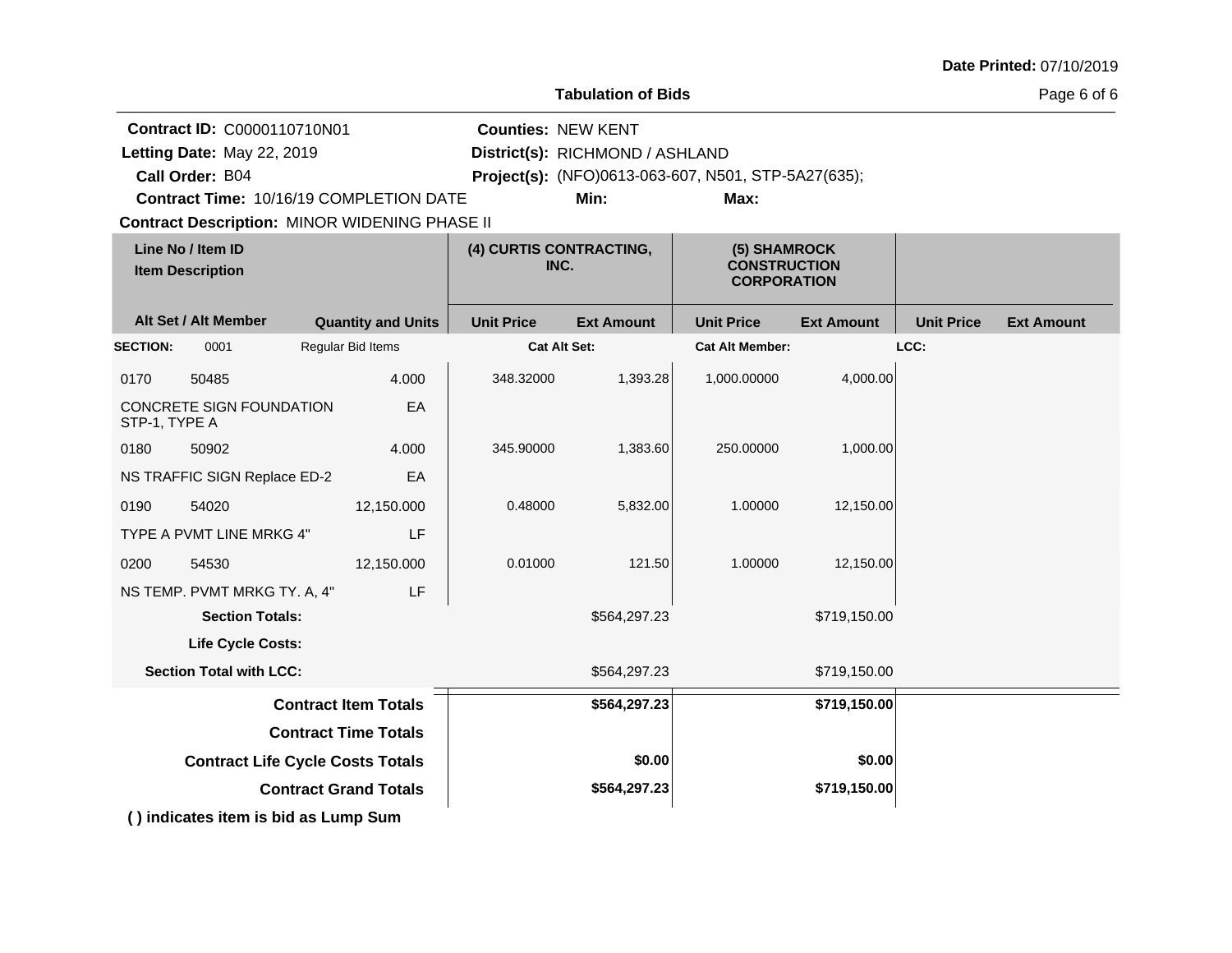|                 | <b>Tabulation of Bids</b>                                                                                               |  |                              |                                 |                                         |                                                             |                   |                   | Page 6 of 6       |
|-----------------|-------------------------------------------------------------------------------------------------------------------------|--|------------------------------|---------------------------------|-----------------------------------------|-------------------------------------------------------------|-------------------|-------------------|-------------------|
|                 | Contract ID: C0000110710N01<br>Letting Date: May 22, 2019<br>Call Order: B04<br>Contract Time: 10/16/19 COMPLETION DATE |  |                              | <b>Counties: NEW KENT</b>       | District(s): RICHMOND / ASHLAND<br>Min: | Project(s): (NFO)0613-063-607, N501, STP-5A27(635);<br>Max: |                   |                   |                   |
|                 | <b>Contract Description: MINOR WIDENING PHASE II</b>                                                                    |  |                              |                                 |                                         |                                                             |                   |                   |                   |
|                 | Line No / Item ID<br><b>Item Description</b>                                                                            |  |                              | (4) CURTIS CONTRACTING,<br>INC. |                                         | (5) SHAMROCK<br><b>CONSTRUCTION</b><br><b>CORPORATION</b>   |                   |                   |                   |
|                 | Alt Set / Alt Member                                                                                                    |  | <b>Quantity and Units</b>    | <b>Unit Price</b>               | <b>Ext Amount</b>                       | <b>Unit Price</b>                                           | <b>Ext Amount</b> | <b>Unit Price</b> | <b>Ext Amount</b> |
| <b>SECTION:</b> | 0001                                                                                                                    |  | Regular Bid Items            | <b>Cat Alt Set:</b>             |                                         | <b>Cat Alt Member:</b>                                      |                   | LCC:              |                   |
| 0170            | 50485                                                                                                                   |  | 4.000                        | 348.32000                       | 1,393.28                                | 1,000.00000                                                 | 4,000.00          |                   |                   |
| STP-1, TYPE A   | CONCRETE SIGN FOUNDATION                                                                                                |  | EA                           |                                 |                                         |                                                             |                   |                   |                   |
| 0180            | 50902                                                                                                                   |  | 4.000                        | 345.90000                       | 1,383.60                                | 250.00000                                                   | 1,000.00          |                   |                   |
|                 | NS TRAFFIC SIGN Replace ED-2                                                                                            |  | EA                           |                                 |                                         |                                                             |                   |                   |                   |
| 0190            | 54020                                                                                                                   |  | 12,150.000                   | 0.48000                         | 5,832.00                                | 1.00000                                                     | 12,150.00         |                   |                   |
|                 | TYPE A PVMT LINE MRKG 4"                                                                                                |  | LF                           |                                 |                                         |                                                             |                   |                   |                   |
| 0200            | 54530                                                                                                                   |  | 12,150.000                   | 0.01000                         | 121.50                                  | 1.00000                                                     | 12,150.00         |                   |                   |
|                 | NS TEMP. PVMT MRKG TY. A, 4"                                                                                            |  | LF                           |                                 |                                         |                                                             |                   |                   |                   |
|                 | <b>Section Totals:</b>                                                                                                  |  |                              |                                 | \$564,297.23                            |                                                             | \$719,150.00      |                   |                   |
|                 | <b>Life Cycle Costs:</b>                                                                                                |  |                              |                                 |                                         |                                                             |                   |                   |                   |
|                 | <b>Section Total with LCC:</b>                                                                                          |  |                              |                                 | \$564,297.23                            |                                                             | \$719,150.00      |                   |                   |
|                 |                                                                                                                         |  | <b>Contract Item Totals</b>  |                                 | \$564,297.23                            |                                                             | \$719,150.00      |                   |                   |
|                 |                                                                                                                         |  | <b>Contract Time Totals</b>  |                                 |                                         |                                                             |                   |                   |                   |
|                 | <b>Contract Life Cycle Costs Totals</b>                                                                                 |  |                              |                                 | \$0.00                                  |                                                             | \$0.00            |                   |                   |
|                 |                                                                                                                         |  | <b>Contract Grand Totals</b> |                                 | \$564,297.23                            |                                                             | \$719,150.00      |                   |                   |

**( ) indicates item is bid as Lump Sum**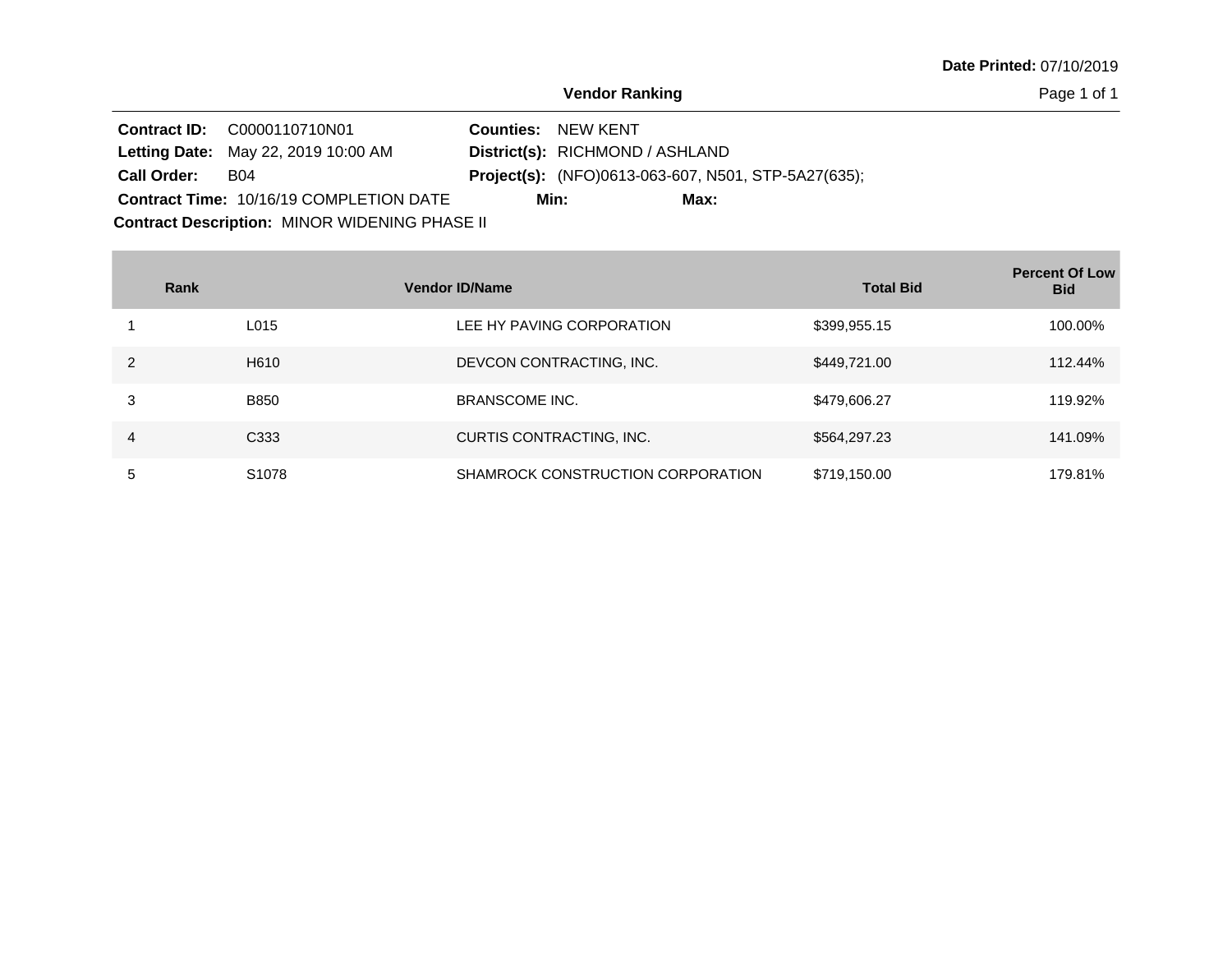Page 1 of 1

|                    | <b>Contract ID: C0000110710N01</b>         | <b>Counties: NEW KENT</b>                                  |
|--------------------|--------------------------------------------|------------------------------------------------------------|
|                    | <b>Letting Date: May 22, 2019 10:00 AM</b> | District(s): RICHMOND / ASHLAND                            |
| <b>Call Order:</b> | <b>B04</b>                                 | <b>Project(s):</b> (NFO)0613-063-607, N501, STP-5A27(635); |
|                    | Contract Time: 10/16/19 COMPLETION DATE    | Min:<br>Max:                                               |

**Contract Description: MINOR WIDENING PHASE II** 

**Contract Contract** 

|   | Rank              | <b>Vendor ID/Name</b>             | <b>Total Bid</b> | <b>Percent Of Low</b><br><b>Bid</b> |
|---|-------------------|-----------------------------------|------------------|-------------------------------------|
|   | L015              | LEE HY PAVING CORPORATION         | \$399,955.15     | 100.00%                             |
| 2 | H <sub>6</sub> 10 | DEVCON CONTRACTING, INC.          | \$449,721.00     | 112.44%                             |
| 3 | B850              | <b>BRANSCOME INC.</b>             | \$479,606.27     | 119.92%                             |
| 4 | C <sub>333</sub>  | CURTIS CONTRACTING, INC.          | \$564,297.23     | 141.09%                             |
| 5 | S <sub>1078</sub> | SHAMROCK CONSTRUCTION CORPORATION | \$719,150.00     | 179.81%                             |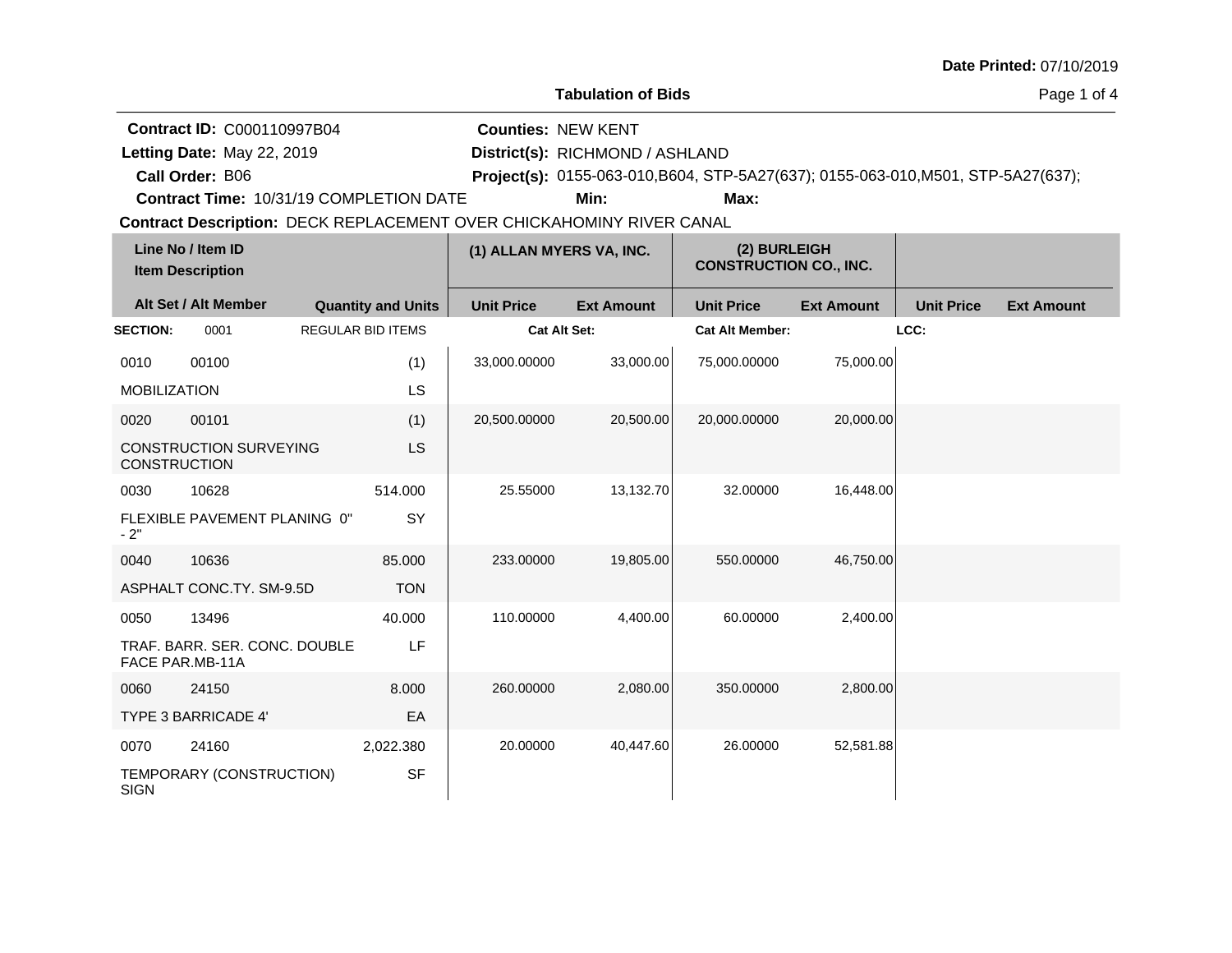|                     |                                                                                    |                                                                                                                 |                           |                                         |                                                                                           |                   |                   | Date Printed: 07/10/2019 |
|---------------------|------------------------------------------------------------------------------------|-----------------------------------------------------------------------------------------------------------------|---------------------------|-----------------------------------------|-------------------------------------------------------------------------------------------|-------------------|-------------------|--------------------------|
|                     |                                                                                    |                                                                                                                 |                           | <b>Tabulation of Bids</b>               |                                                                                           |                   |                   | Page 1 of 4              |
|                     | <b>Contract ID: C000110997B04</b><br>Letting Date: May 22, 2019<br>Call Order: B06 | Contract Time: 10/31/19 COMPLETION DATE<br>Contract Description: DECK REPLACEMENT OVER CHICKAHOMINY RIVER CANAL | <b>Counties: NEW KENT</b> | District(s): RICHMOND / ASHLAND<br>Min: | Project(s): 0155-063-010, B604, STP-5A27(637); 0155-063-010, M501, STP-5A27(637);<br>Max: |                   |                   |                          |
|                     | Line No / Item ID<br><b>Item Description</b>                                       |                                                                                                                 | (1) ALLAN MYERS VA, INC.  |                                         | (2) BURLEIGH<br><b>CONSTRUCTION CO., INC.</b>                                             |                   |                   |                          |
|                     | Alt Set / Alt Member                                                               | <b>Quantity and Units</b>                                                                                       | <b>Unit Price</b>         | <b>Ext Amount</b>                       | <b>Unit Price</b>                                                                         | <b>Ext Amount</b> | <b>Unit Price</b> | <b>Ext Amount</b>        |
| <b>SECTION:</b>     | 0001                                                                               | <b>REGULAR BID ITEMS</b>                                                                                        | <b>Cat Alt Set:</b>       |                                         | <b>Cat Alt Member:</b>                                                                    |                   | LCC:              |                          |
| 0010                | 00100                                                                              | (1)                                                                                                             | 33,000.00000              | 33,000.00                               | 75,000.00000                                                                              | 75,000.00         |                   |                          |
| <b>MOBILIZATION</b> |                                                                                    | LS                                                                                                              |                           |                                         |                                                                                           |                   |                   |                          |
| 0020                | 00101                                                                              | (1)                                                                                                             | 20,500.00000              | 20,500.00                               | 20,000.00000                                                                              | 20,000.00         |                   |                          |
| <b>CONSTRUCTION</b> | <b>CONSTRUCTION SURVEYING</b>                                                      | LS                                                                                                              |                           |                                         |                                                                                           |                   |                   |                          |
| 0030                | 10628                                                                              | 514.000                                                                                                         | 25.55000                  | 13,132.70                               | 32.00000                                                                                  | 16,448.00         |                   |                          |
| $-2"$               | FLEXIBLE PAVEMENT PLANING 0"                                                       | SY                                                                                                              |                           |                                         |                                                                                           |                   |                   |                          |
| 0040                | 10636                                                                              | 85.000                                                                                                          | 233.00000                 | 19,805.00                               | 550.00000                                                                                 | 46,750.00         |                   |                          |
|                     | ASPHALT CONC.TY. SM-9.5D                                                           | <b>TON</b>                                                                                                      |                           |                                         |                                                                                           |                   |                   |                          |
| 0050                | 13496                                                                              | 40.000                                                                                                          | 110.00000                 | 4,400.00                                | 60.00000                                                                                  | 2,400.00          |                   |                          |
|                     | TRAF. BARR. SER. CONC. DOUBLE<br>FACE PAR.MB-11A                                   | LF                                                                                                              |                           |                                         |                                                                                           |                   |                   |                          |
| 0060                | 24150                                                                              | 8.000                                                                                                           | 260.00000                 | 2,080.00                                | 350,00000                                                                                 | 2,800.00          |                   |                          |
|                     | TYPE 3 BARRICADE 4'                                                                | EA                                                                                                              |                           |                                         |                                                                                           |                   |                   |                          |
| 0070                | 24160                                                                              | 2,022.380                                                                                                       | 20.00000                  | 40,447.60                               | 26.00000                                                                                  | 52,581.88         |                   |                          |
| <b>SIGN</b>         | TEMPORARY (CONSTRUCTION)                                                           | <b>SF</b>                                                                                                       |                           |                                         |                                                                                           |                   |                   |                          |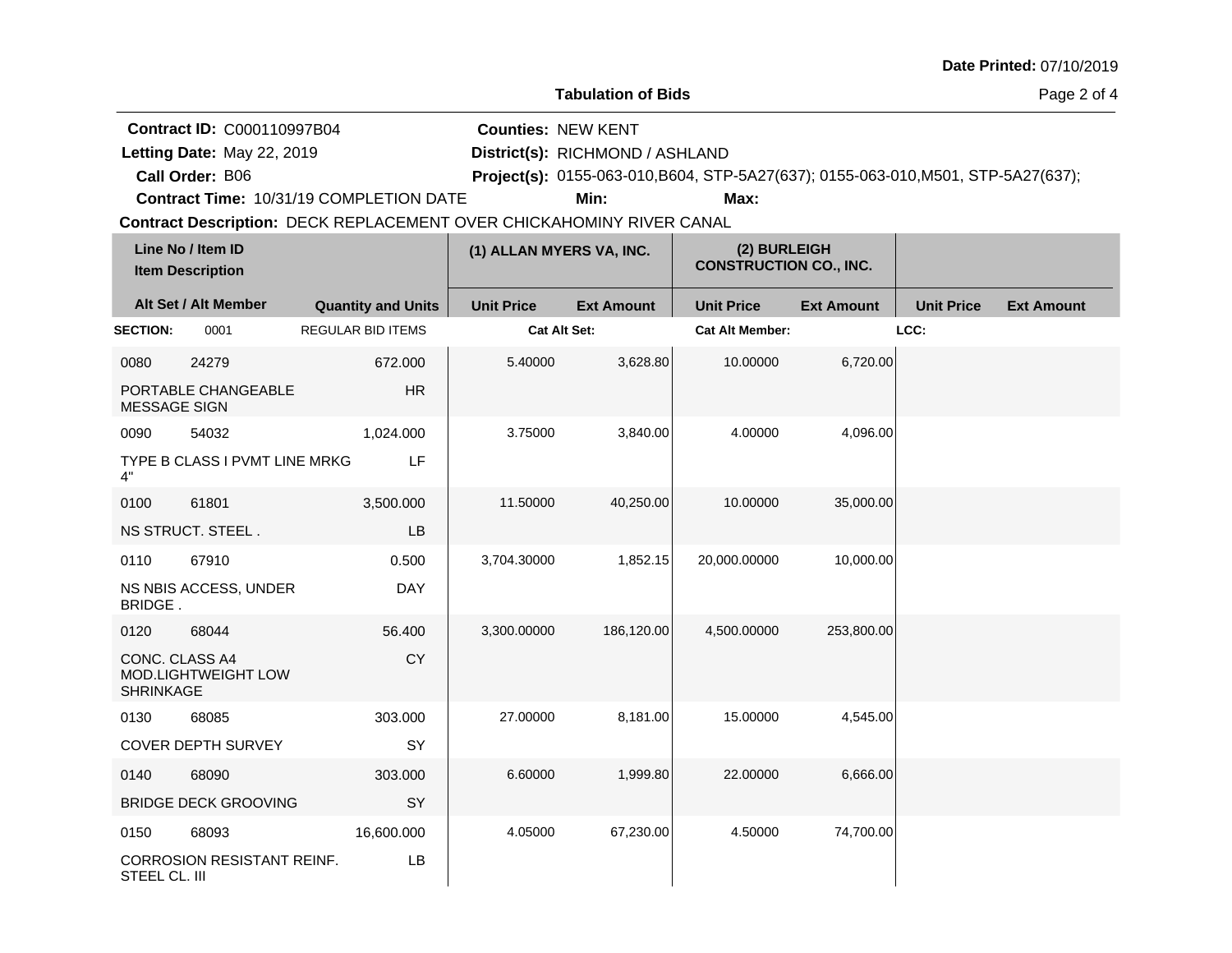|                                    |                                                                                    |                                                                                                                 |                           |                                         |                                                                                           |                   |                   | Date Printed: 07/10/2019 |
|------------------------------------|------------------------------------------------------------------------------------|-----------------------------------------------------------------------------------------------------------------|---------------------------|-----------------------------------------|-------------------------------------------------------------------------------------------|-------------------|-------------------|--------------------------|
|                                    |                                                                                    |                                                                                                                 |                           | <b>Tabulation of Bids</b>               |                                                                                           |                   |                   | Page 2 of 4              |
|                                    | <b>Contract ID: C000110997B04</b><br>Letting Date: May 22, 2019<br>Call Order: B06 | Contract Time: 10/31/19 COMPLETION DATE<br>Contract Description: DECK REPLACEMENT OVER CHICKAHOMINY RIVER CANAL | <b>Counties: NEW KENT</b> | District(s): RICHMOND / ASHLAND<br>Min: | Project(s): 0155-063-010, B604, STP-5A27(637); 0155-063-010, M501, STP-5A27(637);<br>Max: |                   |                   |                          |
|                                    | Line No / Item ID<br><b>Item Description</b>                                       |                                                                                                                 | (1) ALLAN MYERS VA, INC.  |                                         | (2) BURLEIGH<br><b>CONSTRUCTION CO., INC.</b>                                             |                   |                   |                          |
|                                    | Alt Set / Alt Member                                                               | <b>Quantity and Units</b>                                                                                       | <b>Unit Price</b>         | <b>Ext Amount</b>                       | <b>Unit Price</b>                                                                         | <b>Ext Amount</b> | <b>Unit Price</b> | <b>Ext Amount</b>        |
| <b>SECTION:</b>                    | 0001                                                                               | <b>REGULAR BID ITEMS</b>                                                                                        | Cat Alt Set:              |                                         | <b>Cat Alt Member:</b>                                                                    |                   | LCC:              |                          |
| 0080                               | 24279                                                                              | 672,000                                                                                                         | 5.40000                   | 3,628.80                                | 10.00000                                                                                  | 6,720.00          |                   |                          |
| <b>MESSAGE SIGN</b>                | PORTABLE CHANGEABLE                                                                | <b>HR</b>                                                                                                       |                           |                                         |                                                                                           |                   |                   |                          |
| 0090                               | 54032                                                                              | 1,024.000                                                                                                       | 3.75000                   | 3,840.00                                | 4.00000                                                                                   | 4,096.00          |                   |                          |
| 4"                                 | TYPE B CLASS I PVMT LINE MRKG                                                      | LF                                                                                                              |                           |                                         |                                                                                           |                   |                   |                          |
| 0100                               | 61801                                                                              | 3,500.000                                                                                                       | 11.50000                  | 40,250.00                               | 10.00000                                                                                  | 35,000.00         |                   |                          |
|                                    | NS STRUCT. STEEL.                                                                  | LB                                                                                                              |                           |                                         |                                                                                           |                   |                   |                          |
| 0110                               | 67910                                                                              | 0.500                                                                                                           | 3,704.30000               | 1,852.15                                | 20,000.00000                                                                              | 10,000.00         |                   |                          |
| BRIDGE.                            | NS NBIS ACCESS, UNDER                                                              | <b>DAY</b>                                                                                                      |                           |                                         |                                                                                           |                   |                   |                          |
| 0120                               | 68044                                                                              | 56.400                                                                                                          | 3,300.00000               | 186,120.00                              | 4,500.00000                                                                               | 253,800.00        |                   |                          |
| CONC. CLASS A4<br><b>SHRINKAGE</b> | MOD.LIGHTWEIGHT LOW                                                                | CY                                                                                                              |                           |                                         |                                                                                           |                   |                   |                          |
| 0130                               | 68085                                                                              | 303.000                                                                                                         | 27.00000                  | 8,181.00                                | 15.00000                                                                                  | 4,545.00          |                   |                          |
|                                    | <b>COVER DEPTH SURVEY</b>                                                          | SY                                                                                                              |                           |                                         |                                                                                           |                   |                   |                          |
| 0140                               | 68090                                                                              | 303.000                                                                                                         | 6.60000                   | 1,999.80                                | 22.00000                                                                                  | 6,666.00          |                   |                          |
|                                    | <b>BRIDGE DECK GROOVING</b>                                                        | SY                                                                                                              |                           |                                         |                                                                                           |                   |                   |                          |
| 0150                               | 68093                                                                              | 16,600.000                                                                                                      | 4.05000                   | 67,230.00                               | 4.50000                                                                                   | 74,700.00         |                   |                          |
| STEEL CL. III                      | CORROSION RESISTANT REINF.                                                         | LB                                                                                                              |                           |                                         |                                                                                           |                   |                   |                          |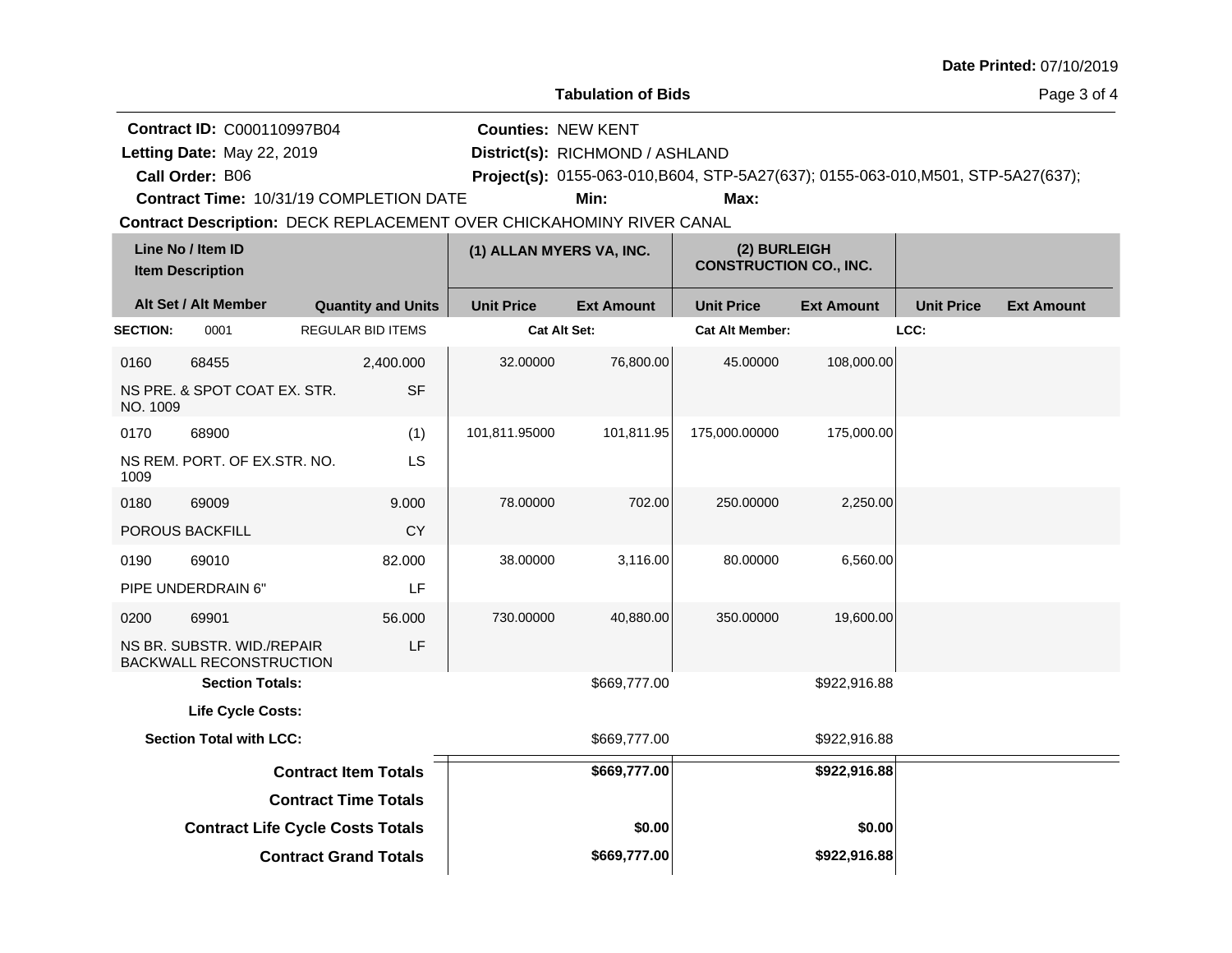|                 |                                                                                    |                                                                                                                 |                           |                                         |                                                                                           |                   |                   | Date Printed: 07/10/2019 |
|-----------------|------------------------------------------------------------------------------------|-----------------------------------------------------------------------------------------------------------------|---------------------------|-----------------------------------------|-------------------------------------------------------------------------------------------|-------------------|-------------------|--------------------------|
|                 |                                                                                    |                                                                                                                 |                           | <b>Tabulation of Bids</b>               |                                                                                           |                   |                   | Page 3 of 4              |
|                 | <b>Contract ID: C000110997B04</b><br>Letting Date: May 22, 2019<br>Call Order: B06 | Contract Time: 10/31/19 COMPLETION DATE<br>Contract Description: DECK REPLACEMENT OVER CHICKAHOMINY RIVER CANAL | <b>Counties: NEW KENT</b> | District(s): RICHMOND / ASHLAND<br>Min: | Project(s): 0155-063-010, B604, STP-5A27(637); 0155-063-010, M501, STP-5A27(637);<br>Max: |                   |                   |                          |
|                 | Line No / Item ID<br><b>Item Description</b>                                       |                                                                                                                 | (1) ALLAN MYERS VA, INC.  |                                         | (2) BURLEIGH<br><b>CONSTRUCTION CO., INC.</b>                                             |                   |                   |                          |
|                 | Alt Set / Alt Member                                                               | <b>Quantity and Units</b>                                                                                       | <b>Unit Price</b>         | <b>Ext Amount</b>                       | <b>Unit Price</b>                                                                         | <b>Ext Amount</b> | <b>Unit Price</b> | <b>Ext Amount</b>        |
| <b>SECTION:</b> | 0001                                                                               | <b>REGULAR BID ITEMS</b>                                                                                        | <b>Cat Alt Set:</b>       |                                         | <b>Cat Alt Member:</b>                                                                    |                   | LCC:              |                          |
| 0160            | 68455                                                                              | 2,400.000                                                                                                       | 32.00000                  | 76,800.00                               | 45.00000                                                                                  | 108,000.00        |                   |                          |
| NO. 1009        | NS PRE. & SPOT COAT EX. STR.                                                       | <b>SF</b>                                                                                                       |                           |                                         |                                                                                           |                   |                   |                          |
| 0170            | 68900                                                                              | (1)                                                                                                             | 101,811.95000             | 101,811.95                              | 175,000.00000                                                                             | 175,000.00        |                   |                          |
| 1009            | NS REM. PORT. OF EX.STR. NO.                                                       | LS                                                                                                              |                           |                                         |                                                                                           |                   |                   |                          |
| 0180            | 69009                                                                              | 9.000                                                                                                           | 78.00000                  | 702.00                                  | 250.00000                                                                                 | 2,250.00          |                   |                          |
|                 | <b>POROUS BACKFILL</b>                                                             | <b>CY</b>                                                                                                       |                           |                                         |                                                                                           |                   |                   |                          |
| 0190            | 69010                                                                              | 82.000                                                                                                          | 38.00000                  | 3,116.00                                | 80.00000                                                                                  | 6,560.00          |                   |                          |
|                 | PIPE UNDERDRAIN 6"                                                                 | LF                                                                                                              |                           |                                         |                                                                                           |                   |                   |                          |
| 0200            | 69901                                                                              | 56.000                                                                                                          | 730.00000                 | 40,880.00                               | 350.00000                                                                                 | 19,600.00         |                   |                          |
|                 | NS BR. SUBSTR. WID./REPAIR<br>BACKWALL RECONSTRUCTION                              | LF                                                                                                              |                           |                                         |                                                                                           |                   |                   |                          |
|                 | <b>Section Totals:</b>                                                             |                                                                                                                 |                           | \$669,777.00                            |                                                                                           | \$922,916.88      |                   |                          |
|                 | <b>Life Cycle Costs:</b>                                                           |                                                                                                                 |                           |                                         |                                                                                           |                   |                   |                          |
|                 | <b>Section Total with LCC:</b>                                                     |                                                                                                                 |                           | \$669,777.00                            |                                                                                           | \$922,916.88      |                   |                          |
|                 |                                                                                    | <b>Contract Item Totals</b>                                                                                     |                           | \$669,777.00                            |                                                                                           | \$922,916.88      |                   |                          |
|                 |                                                                                    | <b>Contract Time Totals</b>                                                                                     |                           |                                         |                                                                                           |                   |                   |                          |
|                 |                                                                                    | <b>Contract Life Cycle Costs Totals</b>                                                                         |                           | \$0.00                                  |                                                                                           | \$0.00            |                   |                          |
|                 |                                                                                    | <b>Contract Grand Totals</b>                                                                                    |                           | \$669,777.00                            |                                                                                           | \$922,916.88      |                   |                          |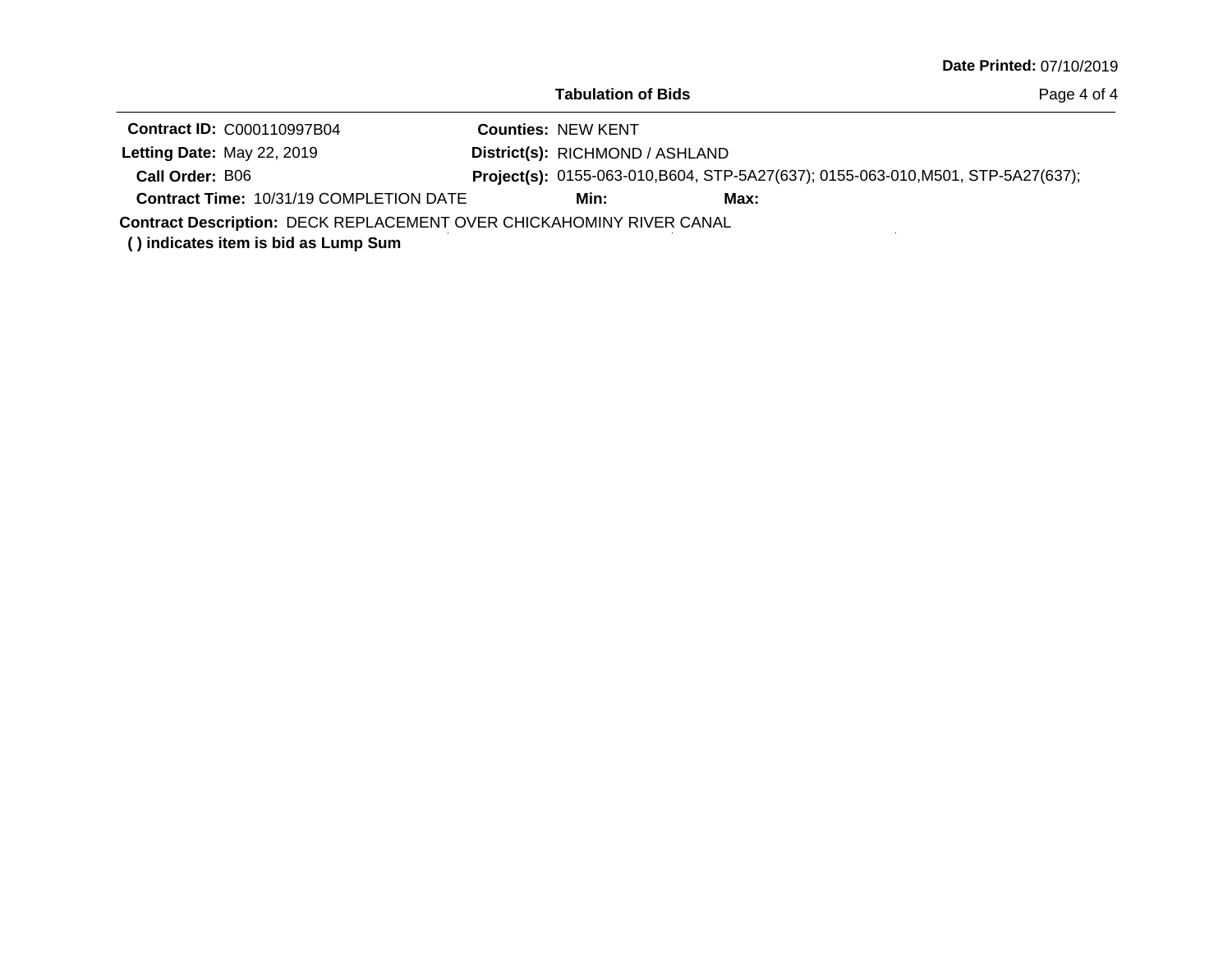| <b>Tabulation of Bids</b> |  |
|---------------------------|--|
|---------------------------|--|

| <b>Contract ID: C000110997B04</b>                                           |  | <b>Counties: NEW KENT</b>       |                                                                                   |  |  |  |  |
|-----------------------------------------------------------------------------|--|---------------------------------|-----------------------------------------------------------------------------------|--|--|--|--|
| Letting Date: May 22, 2019                                                  |  | District(s): RICHMOND / ASHLAND |                                                                                   |  |  |  |  |
| Call Order: B06                                                             |  |                                 | Project(s): 0155-063-010, B604, STP-5A27(637); 0155-063-010, M501, STP-5A27(637); |  |  |  |  |
| <b>Contract Time: 10/31/19 COMPLETION DATE</b>                              |  | Min:                            | Max:                                                                              |  |  |  |  |
| <b>Contract Description: DECK REPLACEMENT OVER CHICKAHOMINY RIVER CANAL</b> |  |                                 |                                                                                   |  |  |  |  |

**( ) indicates item is bid as Lump Sum**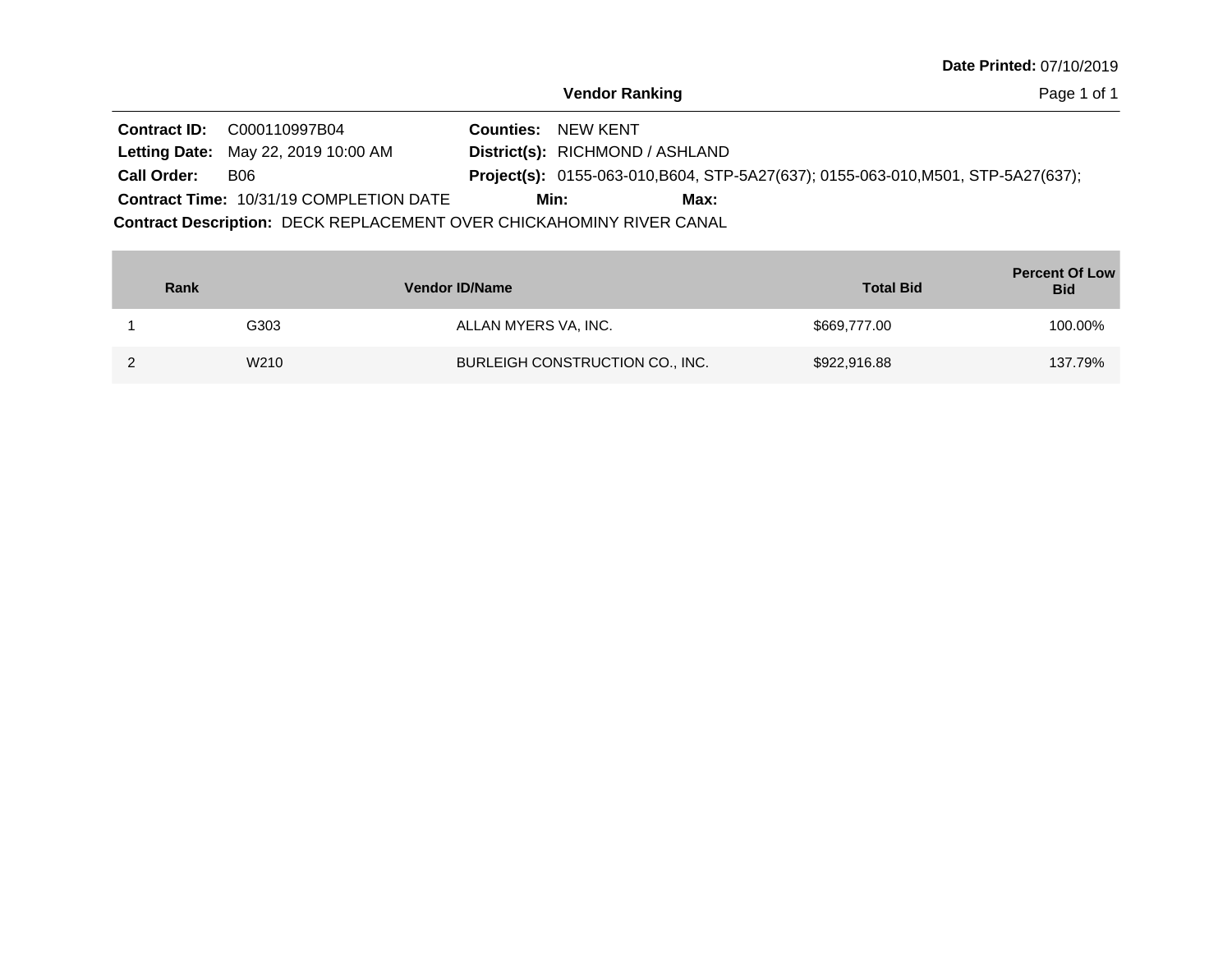Page 1 of 1

|                    | <b>Contract ID: C000110997B04</b>                                           |  | <b>Counties: NEW KENT</b>                                                                |  |  |  |  |  |
|--------------------|-----------------------------------------------------------------------------|--|------------------------------------------------------------------------------------------|--|--|--|--|--|
|                    | <b>Letting Date: May 22, 2019 10:00 AM</b>                                  |  | District(s): RICHMOND / ASHLAND                                                          |  |  |  |  |  |
| <b>Call Order:</b> | B06                                                                         |  | <b>Project(s):</b> 0155-063-010, B604, STP-5A27(637); 0155-063-010, M501, STP-5A27(637); |  |  |  |  |  |
|                    | <b>Contract Time: 10/31/19 COMPLETION DATE</b>                              |  | Min:<br>Max:                                                                             |  |  |  |  |  |
|                    | <b>Contract Description: DECK REPLACEMENT OVER CHICKAHOMINY RIVER CANAL</b> |  |                                                                                          |  |  |  |  |  |

| Rank |      | <b>Vendor ID/Name</b>           | <b>Total Bid</b> | <b>Percent Of Low</b><br><b>Bid</b> |
|------|------|---------------------------------|------------------|-------------------------------------|
|      | G303 | ALLAN MYERS VA, INC.            | \$669,777.00     | 100.00%                             |
|      | W210 | BURLEIGH CONSTRUCTION CO., INC. | \$922,916.88     | 137.79%                             |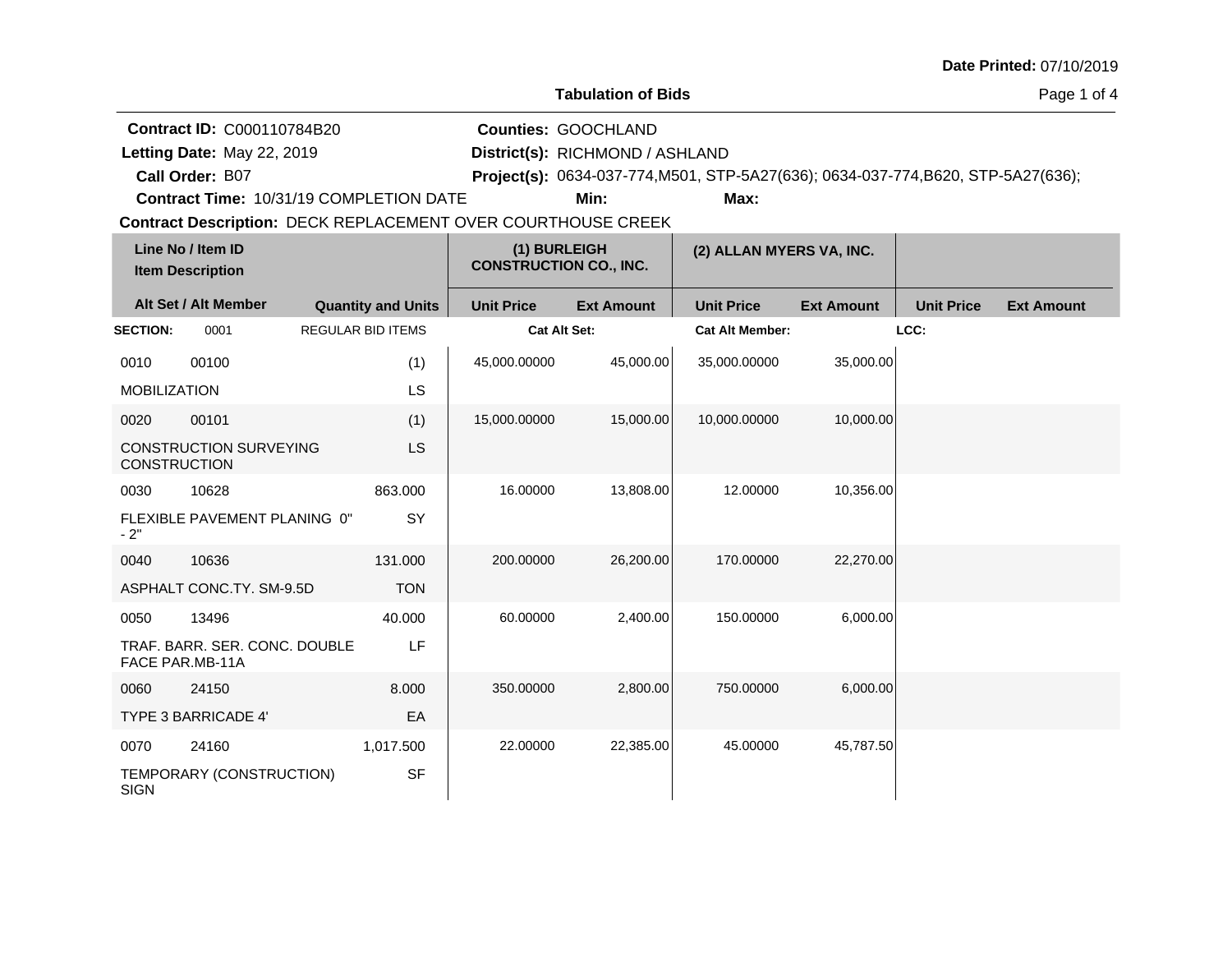|  |  | <b>Date Printed: 07/10/2019</b> |
|--|--|---------------------------------|
|--|--|---------------------------------|

|                     | <b>Contract ID: C000110784B20</b>                            |                           |                                               | <b>Counties: GOOCHLAND</b>      |                                                                                   |                   |                   |                   |
|---------------------|--------------------------------------------------------------|---------------------------|-----------------------------------------------|---------------------------------|-----------------------------------------------------------------------------------|-------------------|-------------------|-------------------|
|                     | Letting Date: May 22, 2019                                   |                           |                                               | District(s): RICHMOND / ASHLAND |                                                                                   |                   |                   |                   |
|                     | Call Order: B07                                              |                           |                                               |                                 | Project(s): 0634-037-774, M501, STP-5A27(636); 0634-037-774, B620, STP-5A27(636); |                   |                   |                   |
|                     | Contract Time: 10/31/19 COMPLETION DATE                      |                           |                                               | Min:                            | Max:                                                                              |                   |                   |                   |
|                     | Contract Description: DECK REPLACEMENT OVER COURTHOUSE CREEK |                           |                                               |                                 |                                                                                   |                   |                   |                   |
|                     | Line No / Item ID<br><b>Item Description</b>                 |                           | (1) BURLEIGH<br><b>CONSTRUCTION CO., INC.</b> |                                 | (2) ALLAN MYERS VA, INC.                                                          |                   |                   |                   |
|                     | Alt Set / Alt Member                                         | <b>Quantity and Units</b> | <b>Unit Price</b>                             | <b>Ext Amount</b>               | <b>Unit Price</b>                                                                 | <b>Ext Amount</b> | <b>Unit Price</b> | <b>Ext Amount</b> |
| <b>SECTION:</b>     | 0001                                                         | <b>REGULAR BID ITEMS</b>  | <b>Cat Alt Set:</b>                           |                                 | <b>Cat Alt Member:</b>                                                            |                   | LCC:              |                   |
| 0010                | 00100                                                        | (1)                       | 45,000.00000                                  | 45,000.00                       | 35,000.00000                                                                      | 35,000.00         |                   |                   |
| <b>MOBILIZATION</b> |                                                              | LS                        |                                               |                                 |                                                                                   |                   |                   |                   |
| 0020                | 00101                                                        | (1)                       | 15,000.00000                                  | 15,000.00                       | 10,000.00000                                                                      | 10,000.00         |                   |                   |
| <b>CONSTRUCTION</b> | <b>CONSTRUCTION SURVEYING</b>                                | <b>LS</b>                 |                                               |                                 |                                                                                   |                   |                   |                   |
| 0030                | 10628                                                        | 863.000                   | 16.00000                                      | 13,808.00                       | 12.00000                                                                          | 10,356.00         |                   |                   |
| $-2"$               | FLEXIBLE PAVEMENT PLANING 0"                                 | SY                        |                                               |                                 |                                                                                   |                   |                   |                   |
| 0040                | 10636                                                        | 131.000                   | 200.00000                                     | 26,200.00                       | 170.00000                                                                         | 22,270.00         |                   |                   |
|                     | ASPHALT CONC.TY. SM-9.5D                                     | <b>TON</b>                |                                               |                                 |                                                                                   |                   |                   |                   |
| 0050                | 13496                                                        | 40.000                    | 60.00000                                      | 2,400.00                        | 150.00000                                                                         | 6,000.00          |                   |                   |
|                     | TRAF. BARR. SER. CONC. DOUBLE<br>FACE PAR.MB-11A             | LF                        |                                               |                                 |                                                                                   |                   |                   |                   |
| 0060                | 24150                                                        | 8.000                     | 350.00000                                     | 2,800.00                        | 750.00000                                                                         | 6,000.00          |                   |                   |
|                     | TYPE 3 BARRICADE 4'                                          | EA                        |                                               |                                 |                                                                                   |                   |                   |                   |
| 0070                | 24160                                                        | 1,017.500                 | 22.00000                                      | 22,385.00                       | 45.00000                                                                          | 45,787.50         |                   |                   |
| <b>SIGN</b>         | TEMPORARY (CONSTRUCTION)                                     | <b>SF</b>                 |                                               |                                 |                                                                                   |                   |                   |                   |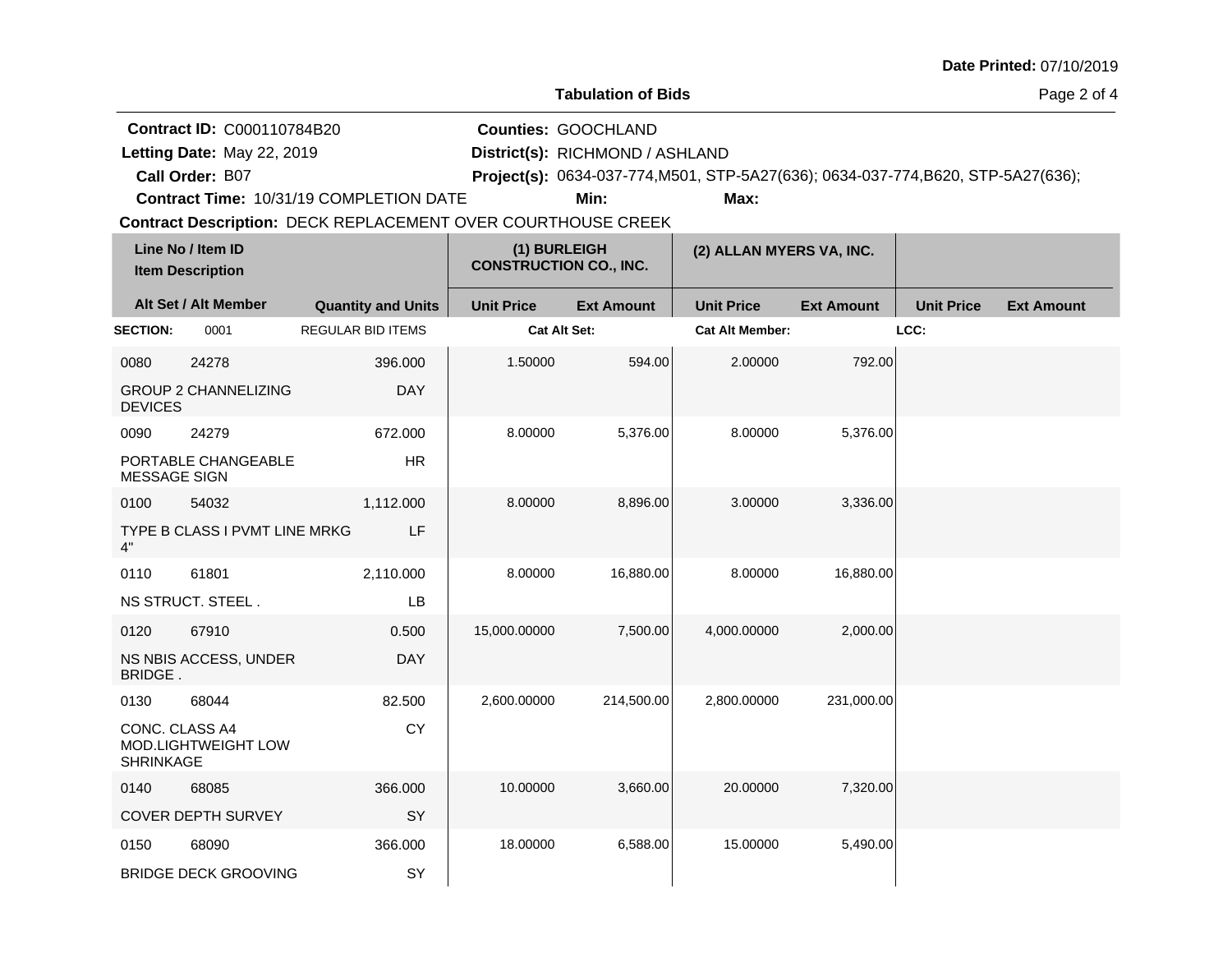|  |  | Date Printed: 07/10/2019 |
|--|--|--------------------------|
|--|--|--------------------------|

|                                    | <b>Contract ID: C000110784B20</b> |                                                                                                         |                               | <b>Counties: GOOCHLAND</b>      |                                                                                   |                   |                   |                   |
|------------------------------------|-----------------------------------|---------------------------------------------------------------------------------------------------------|-------------------------------|---------------------------------|-----------------------------------------------------------------------------------|-------------------|-------------------|-------------------|
|                                    | Letting Date: May 22, 2019        |                                                                                                         |                               | District(s): RICHMOND / ASHLAND |                                                                                   |                   |                   |                   |
|                                    | Call Order: B07                   |                                                                                                         |                               |                                 | Project(s): 0634-037-774, M501, STP-5A27(636); 0634-037-774, B620, STP-5A27(636); |                   |                   |                   |
|                                    |                                   | Contract Time: 10/31/19 COMPLETION DATE<br>Contract Description: DECK REPLACEMENT OVER COURTHOUSE CREEK |                               | Min:                            | Max:                                                                              |                   |                   |                   |
|                                    | Line No / Item ID                 |                                                                                                         | (1) BURLEIGH                  |                                 |                                                                                   |                   |                   |                   |
|                                    | <b>Item Description</b>           |                                                                                                         | <b>CONSTRUCTION CO., INC.</b> |                                 | (2) ALLAN MYERS VA, INC.                                                          |                   |                   |                   |
|                                    | Alt Set / Alt Member              | <b>Quantity and Units</b>                                                                               | <b>Unit Price</b>             | <b>Ext Amount</b>               | <b>Unit Price</b>                                                                 | <b>Ext Amount</b> | <b>Unit Price</b> | <b>Ext Amount</b> |
| <b>SECTION:</b>                    | 0001                              | <b>REGULAR BID ITEMS</b>                                                                                |                               | <b>Cat Alt Set:</b>             | <b>Cat Alt Member:</b>                                                            |                   | LCC:              |                   |
| 0080                               | 24278                             | 396.000                                                                                                 | 1.50000                       | 594.00                          | 2.00000                                                                           | 792.00            |                   |                   |
| <b>DEVICES</b>                     | <b>GROUP 2 CHANNELIZING</b>       | <b>DAY</b>                                                                                              |                               |                                 |                                                                                   |                   |                   |                   |
| 0090                               | 24279                             | 672.000                                                                                                 | 8.00000                       | 5,376.00                        | 8.00000                                                                           | 5,376.00          |                   |                   |
| <b>MESSAGE SIGN</b>                | PORTABLE CHANGEABLE               | <b>HR</b>                                                                                               |                               |                                 |                                                                                   |                   |                   |                   |
| 0100                               | 54032                             | 1,112.000                                                                                               | 8.00000                       | 8,896.00                        | 3.00000                                                                           | 3,336.00          |                   |                   |
| 4"                                 | TYPE B CLASS I PVMT LINE MRKG     | LF                                                                                                      |                               |                                 |                                                                                   |                   |                   |                   |
| 0110                               | 61801                             | 2,110.000                                                                                               | 8.00000                       | 16,880.00                       | 8.00000                                                                           | 16,880.00         |                   |                   |
|                                    | NS STRUCT. STEEL.                 | LB                                                                                                      |                               |                                 |                                                                                   |                   |                   |                   |
| 0120                               | 67910                             | 0.500                                                                                                   | 15,000.00000                  | 7,500.00                        | 4,000.00000                                                                       | 2,000.00          |                   |                   |
| <b>BRIDGE.</b>                     | NS NBIS ACCESS, UNDER             | <b>DAY</b>                                                                                              |                               |                                 |                                                                                   |                   |                   |                   |
| 0130                               | 68044                             | 82.500                                                                                                  | 2,600.00000                   | 214,500.00                      | 2,800.00000                                                                       | 231,000.00        |                   |                   |
| CONC. CLASS A4<br><b>SHRINKAGE</b> | MOD.LIGHTWEIGHT LOW               | <b>CY</b>                                                                                               |                               |                                 |                                                                                   |                   |                   |                   |
| 0140                               | 68085                             | 366,000                                                                                                 | 10.00000                      | 3,660.00                        | 20.00000                                                                          | 7,320.00          |                   |                   |
|                                    | <b>COVER DEPTH SURVEY</b>         | SY                                                                                                      |                               |                                 |                                                                                   |                   |                   |                   |
| 0150                               | 68090                             | 366.000                                                                                                 | 18.00000                      | 6,588.00                        | 15.00000                                                                          | 5,490.00          |                   |                   |
|                                    | <b>BRIDGE DECK GROOVING</b>       | SY                                                                                                      |                               |                                 |                                                                                   |                   |                   |                   |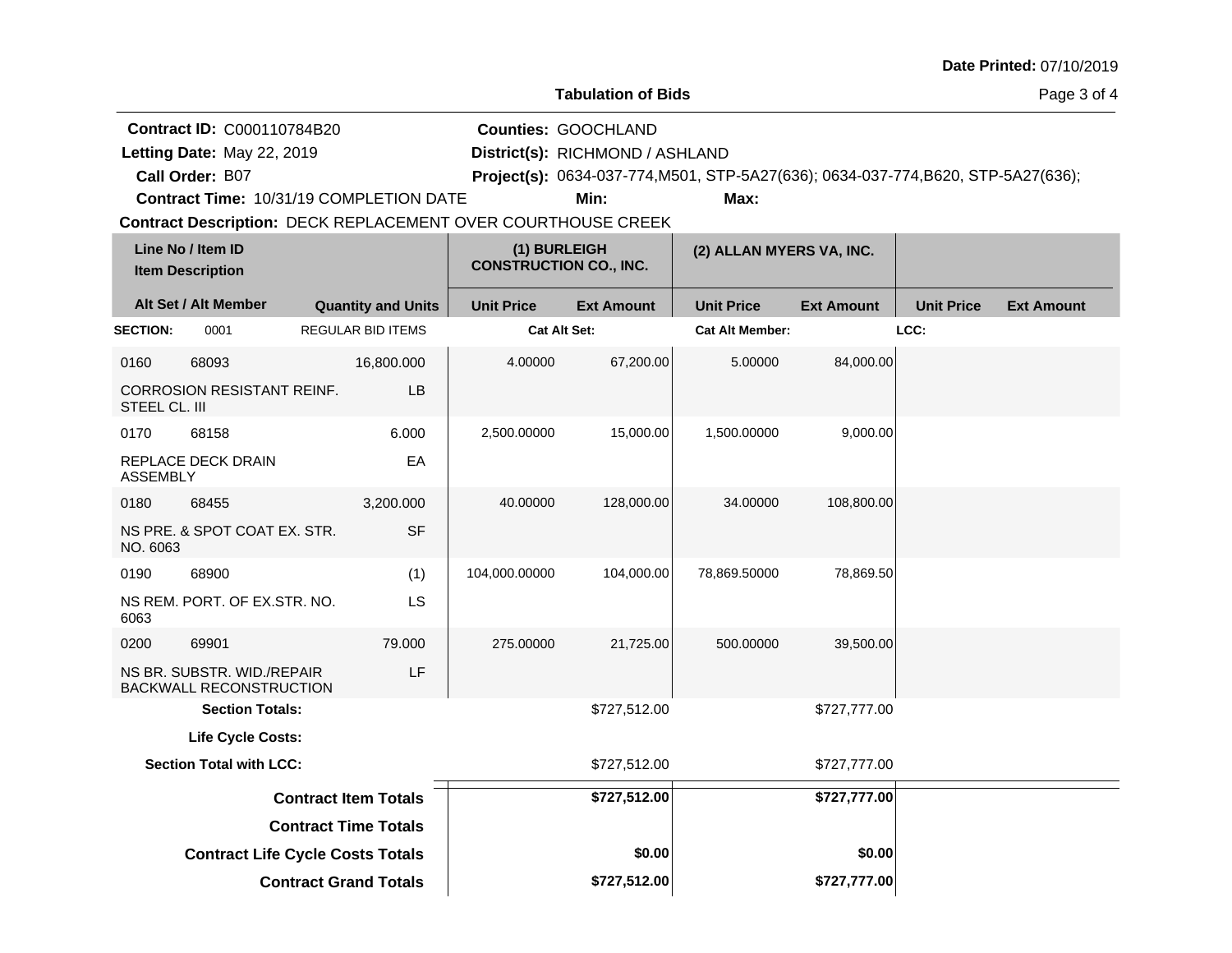|                         |                                                                                                                                                                                               |                                                            |                                               |                                                                       |                                                                                           |                   |                   | Date Printed: 07/10/2019 |
|-------------------------|-----------------------------------------------------------------------------------------------------------------------------------------------------------------------------------------------|------------------------------------------------------------|-----------------------------------------------|-----------------------------------------------------------------------|-------------------------------------------------------------------------------------------|-------------------|-------------------|--------------------------|
|                         |                                                                                                                                                                                               |                                                            |                                               | <b>Tabulation of Bids</b>                                             |                                                                                           |                   |                   | Page 3 of 4              |
|                         | <b>Contract ID: C000110784B20</b><br>Letting Date: May 22, 2019<br>Call Order: B07<br>Contract Time: 10/31/19 COMPLETION DATE<br>Contract Description: DECK REPLACEMENT OVER COURTHOUSE CREEK |                                                            |                                               | <b>Counties: GOOCHLAND</b><br>District(s): RICHMOND / ASHLAND<br>Min: | Project(s): 0634-037-774, M501, STP-5A27(636); 0634-037-774, B620, STP-5A27(636);<br>Max: |                   |                   |                          |
|                         | Line No / Item ID<br><b>Item Description</b>                                                                                                                                                  |                                                            | (1) BURLEIGH<br><b>CONSTRUCTION CO., INC.</b> |                                                                       | (2) ALLAN MYERS VA, INC.                                                                  |                   |                   |                          |
|                         | Alt Set / Alt Member                                                                                                                                                                          | <b>Quantity and Units</b>                                  | <b>Unit Price</b>                             | <b>Ext Amount</b>                                                     | <b>Unit Price</b>                                                                         | <b>Ext Amount</b> | <b>Unit Price</b> | <b>Ext Amount</b>        |
| <b>SECTION:</b>         | 0001                                                                                                                                                                                          | <b>REGULAR BID ITEMS</b>                                   | Cat Alt Set:                                  |                                                                       | <b>Cat Alt Member:</b>                                                                    |                   | LCC:              |                          |
| 0160                    | 68093<br><b>CORROSION RESISTANT REINF.</b>                                                                                                                                                    | 16,800.000<br><b>LB</b>                                    | 4.00000                                       | 67,200.00                                                             | 5.00000                                                                                   | 84,000.00         |                   |                          |
| STEEL CL. III           |                                                                                                                                                                                               |                                                            |                                               |                                                                       |                                                                                           |                   |                   |                          |
| 0170<br><b>ASSEMBLY</b> | 68158<br>REPLACE DECK DRAIN                                                                                                                                                                   | 6.000<br>EA                                                | 2,500.00000                                   | 15,000.00                                                             | 1,500.00000                                                                               | 9,000.00          |                   |                          |
| 0180<br>NO. 6063        | 68455<br>NS PRE. & SPOT COAT EX. STR.                                                                                                                                                         | 3,200.000<br><b>SF</b>                                     | 40.00000                                      | 128,000.00                                                            | 34.00000                                                                                  | 108,800.00        |                   |                          |
| 0190<br>6063            | 68900<br>NS REM. PORT. OF EX.STR. NO.                                                                                                                                                         | (1)<br>LS                                                  | 104,000.00000                                 | 104,000.00                                                            | 78,869.50000                                                                              | 78,869.50         |                   |                          |
| 0200                    | 69901<br>NS BR. SUBSTR. WID./REPAIR<br><b>BACKWALL RECONSTRUCTION</b>                                                                                                                         | 79.000<br>LF                                               | 275.00000                                     | 21,725.00                                                             | 500.00000                                                                                 | 39,500.00         |                   |                          |
|                         | <b>Section Totals:</b>                                                                                                                                                                        |                                                            |                                               | \$727,512.00                                                          |                                                                                           | \$727,777.00      |                   |                          |
|                         | Life Cycle Costs:                                                                                                                                                                             |                                                            |                                               |                                                                       |                                                                                           |                   |                   |                          |
|                         | <b>Section Total with LCC:</b>                                                                                                                                                                |                                                            |                                               | \$727,512.00                                                          |                                                                                           | \$727,777.00      |                   |                          |
|                         |                                                                                                                                                                                               | <b>Contract Item Totals</b><br><b>Contract Time Totals</b> |                                               | \$727,512.00                                                          |                                                                                           | \$727,777.00      |                   |                          |
|                         | <b>Contract Life Cycle Costs Totals</b>                                                                                                                                                       |                                                            |                                               | \$0.00                                                                |                                                                                           | \$0.00            |                   |                          |
|                         |                                                                                                                                                                                               | <b>Contract Grand Totals</b>                               |                                               | \$727,512.00                                                          |                                                                                           | \$727,777.00      |                   |                          |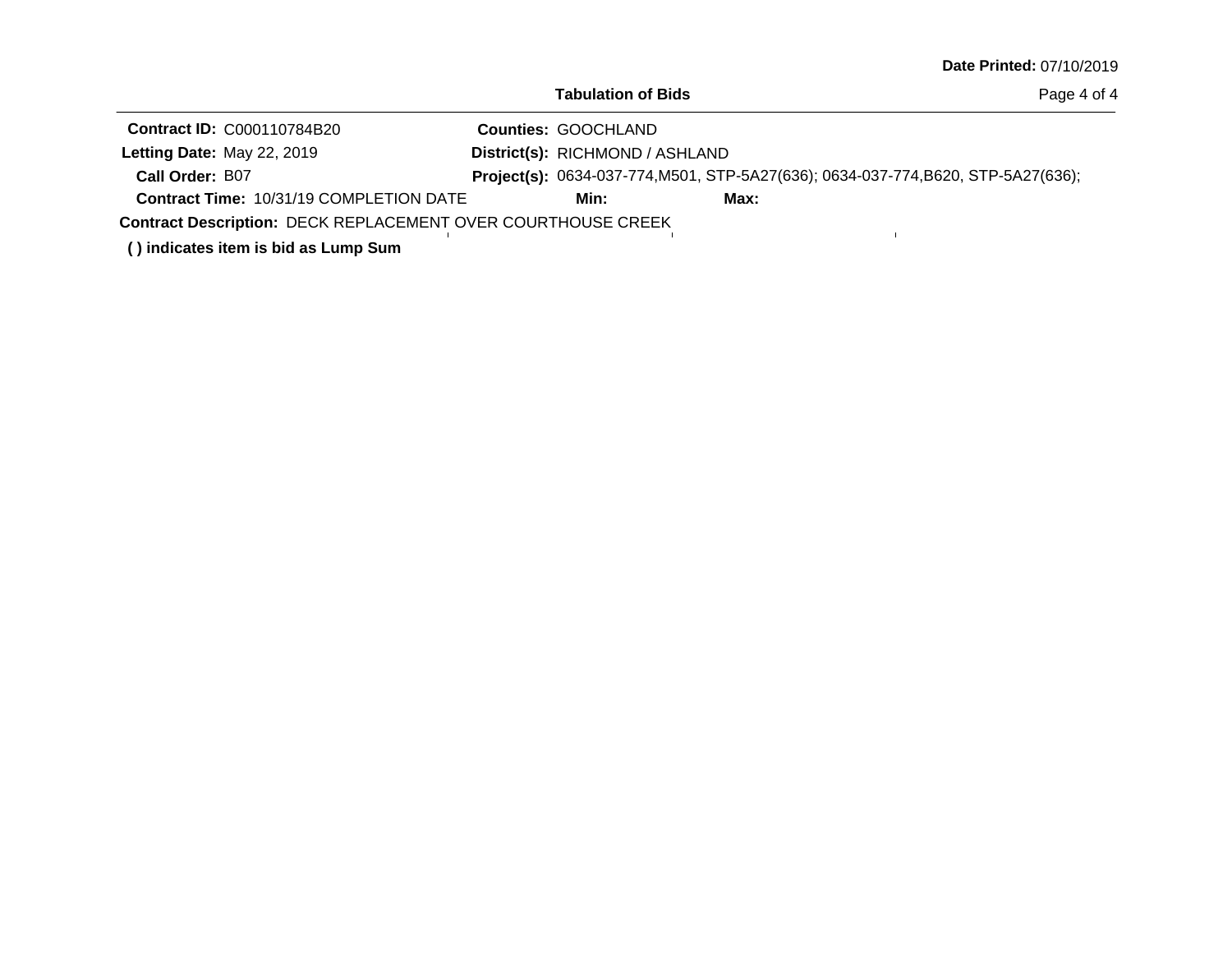|  |  | Date Printed: 07/10/2019 |  |
|--|--|--------------------------|--|
|--|--|--------------------------|--|

 $\mathbf{L}^{\dagger}$ 

Page 4 of 4

| <b>Contract ID: C000110784B20</b>              |  | <b>Counties: GOOCHLAND</b>      |                                                                                   |  |  |  |
|------------------------------------------------|--|---------------------------------|-----------------------------------------------------------------------------------|--|--|--|
| Letting Date: May 22, 2019                     |  | District(s): RICHMOND / ASHLAND |                                                                                   |  |  |  |
| Call Order: B07                                |  |                                 | Project(s): 0634-037-774, M501, STP-5A27(636); 0634-037-774, B620, STP-5A27(636); |  |  |  |
| <b>Contract Time: 10/31/19 COMPLETION DATE</b> |  | Min:                            | Max:                                                                              |  |  |  |
|                                                |  |                                 |                                                                                   |  |  |  |

Contract Description: DECK REPLACEMENT OVER COURTHOUSE CREEK

**( ) indicates item is bid as Lump Sum**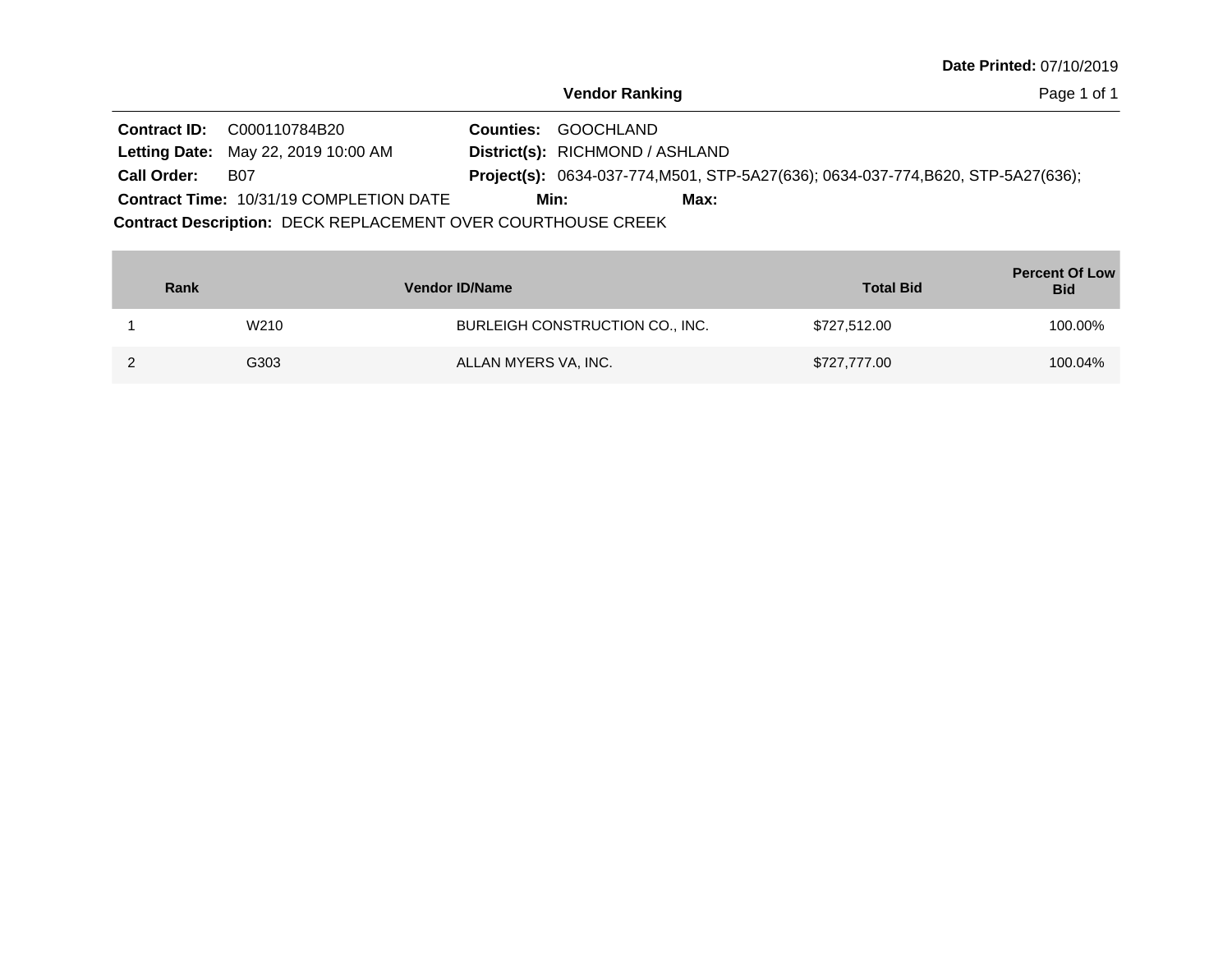Page 1 of 1

|                                                              | <b>Contract ID:</b> C000110784B20              |  | <b>Counties: GOOCHLAND</b>      |      |                                                                                   |  |  |
|--------------------------------------------------------------|------------------------------------------------|--|---------------------------------|------|-----------------------------------------------------------------------------------|--|--|
|                                                              | <b>Letting Date: May 22, 2019 10:00 AM</b>     |  | District(s): RICHMOND / ASHLAND |      |                                                                                   |  |  |
| <b>Call Order:</b>                                           | B07                                            |  |                                 |      | Project(s): 0634-037-774, M501, STP-5A27(636); 0634-037-774, B620, STP-5A27(636); |  |  |
|                                                              | <b>Contract Time: 10/31/19 COMPLETION DATE</b> |  | Min:                            | Max: |                                                                                   |  |  |
| Contract Description: DECK REPLACEMENT OVER COURTHOUSE CREEK |                                                |  |                                 |      |                                                                                   |  |  |

| Rank | <b>Vendor ID/Name</b>           | <b>Total Bid</b> | <b>Percent Of Low</b><br><b>Bid</b> |
|------|---------------------------------|------------------|-------------------------------------|
| W210 | BURLEIGH CONSTRUCTION CO., INC. | \$727,512.00     | 100.00%                             |
| G303 | ALLAN MYERS VA, INC.            | \$727,777.00     | 100.04%                             |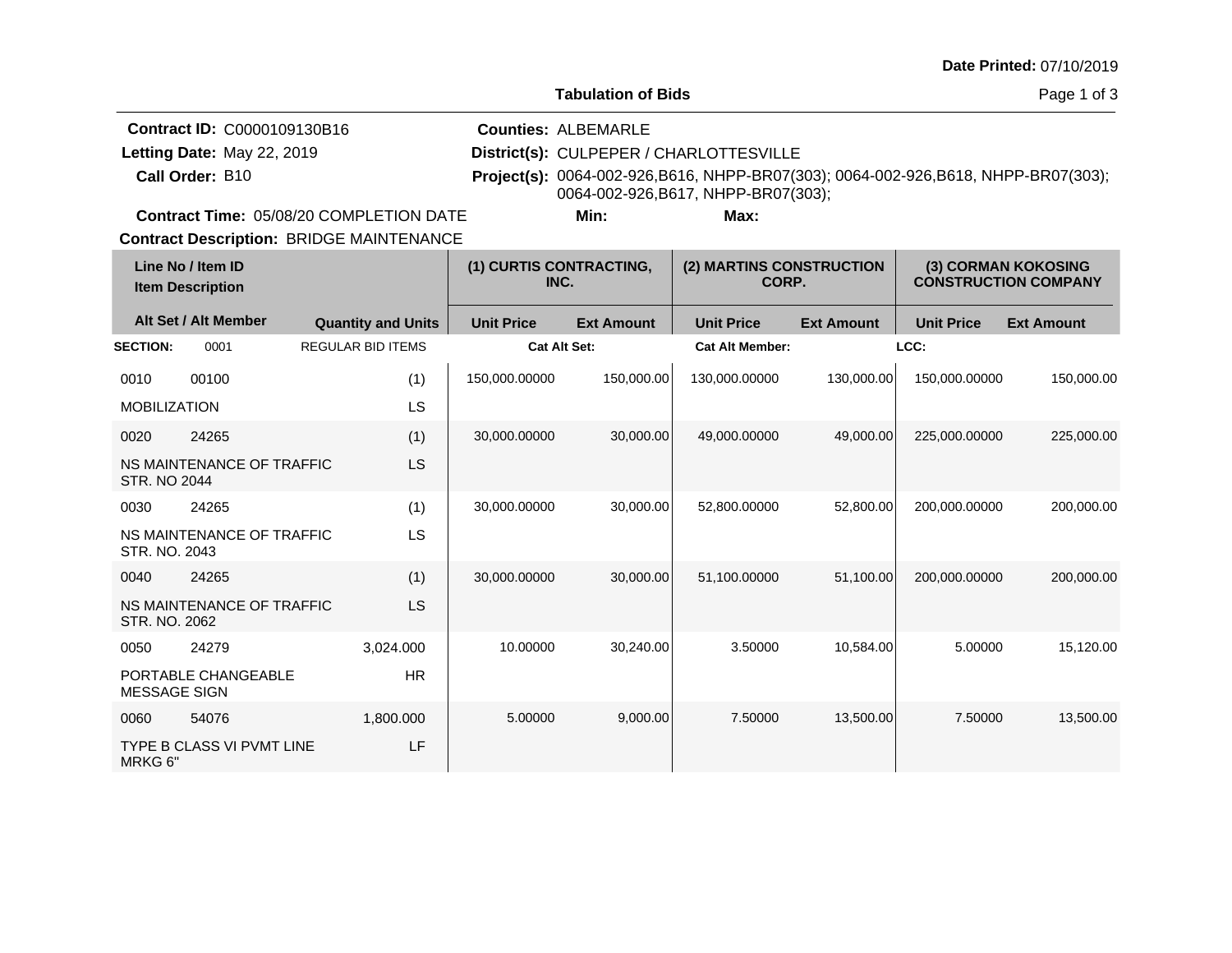|  | Date Printed: 07/10/2019 |
|--|--------------------------|
|--|--------------------------|

|                 | <b>Contract ID: C0000109130B16</b>             | <b>Counties: ALBEMARLE</b>              |      |                                                                                     |  |
|-----------------|------------------------------------------------|-----------------------------------------|------|-------------------------------------------------------------------------------------|--|
|                 | Letting Date: May 22, 2019                     | District(s): CULPEPER / CHARLOTTESVILLE |      |                                                                                     |  |
| Call Order: B10 |                                                | 0064-002-926, B617, NHPP-BR07(303);     |      | Project(s): 0064-002-926, B616, NHPP-BR07(303); 0064-002-926, B618, NHPP-BR07(303); |  |
|                 |                                                |                                         |      |                                                                                     |  |
|                 | <b>Contract Time: 05/08/20 COMPLETION DATE</b> | Min:                                    | Max: |                                                                                     |  |

**Contract Description: BRIDGE MAINTENANCE** 

| Line No / Item ID<br><b>Item Description</b> |                           | (1) CURTIS CONTRACTING,<br>INC. |                     | (2) MARTINS CONSTRUCTION<br>CORP. |                        | (3) CORMAN KOKOSING<br><b>CONSTRUCTION COMPANY</b> |                   |                   |
|----------------------------------------------|---------------------------|---------------------------------|---------------------|-----------------------------------|------------------------|----------------------------------------------------|-------------------|-------------------|
|                                              | Alt Set / Alt Member      | <b>Quantity and Units</b>       | <b>Unit Price</b>   | <b>Ext Amount</b>                 | <b>Unit Price</b>      | <b>Ext Amount</b>                                  | <b>Unit Price</b> | <b>Ext Amount</b> |
| <b>SECTION:</b>                              | 0001                      | <b>REGULAR BID ITEMS</b>        | <b>Cat Alt Set:</b> |                                   | <b>Cat Alt Member:</b> |                                                    | LCC:              |                   |
| 0010                                         | 00100                     | (1)                             | 150,000.00000       | 150,000.00                        | 130,000.00000          | 130,000.00                                         | 150,000.00000     | 150,000.00        |
| <b>MOBILIZATION</b>                          |                           | LS                              |                     |                                   |                        |                                                    |                   |                   |
| 0020                                         | 24265                     | (1)                             | 30,000.00000        | 30,000.00                         | 49,000.00000           | 49,000.00                                          | 225,000.00000     | 225,000.00        |
| <b>STR. NO 2044</b>                          | NS MAINTENANCE OF TRAFFIC | <b>LS</b>                       |                     |                                   |                        |                                                    |                   |                   |
| 0030                                         | 24265                     | (1)                             | 30,000.00000        | 30,000.00                         | 52,800.00000           | 52,800.00                                          | 200,000.00000     | 200,000.00        |
| STR. NO. 2043                                | NS MAINTENANCE OF TRAFFIC | LS                              |                     |                                   |                        |                                                    |                   |                   |
| 0040                                         | 24265                     | (1)                             | 30,000.00000        | 30.000.00                         | 51.100.00000           | 51.100.00                                          | 200.000.00000     | 200,000.00        |
| STR. NO. 2062                                | NS MAINTENANCE OF TRAFFIC | <b>LS</b>                       |                     |                                   |                        |                                                    |                   |                   |
| 0050                                         | 24279                     | 3,024.000                       | 10.00000            | 30,240.00                         | 3.50000                | 10,584.00                                          | 5.00000           | 15,120.00         |
| <b>MESSAGE SIGN</b>                          | PORTABLE CHANGEABLE       | <b>HR</b>                       |                     |                                   |                        |                                                    |                   |                   |
| 0060                                         | 54076                     | 1,800.000                       | 5.00000             | 9,000.00                          | 7.50000                | 13,500.00                                          | 7.50000           | 13,500.00         |
| MRKG 6"                                      | TYPE B CLASS VI PVMT LINE | LF                              |                     |                                   |                        |                                                    |                   |                   |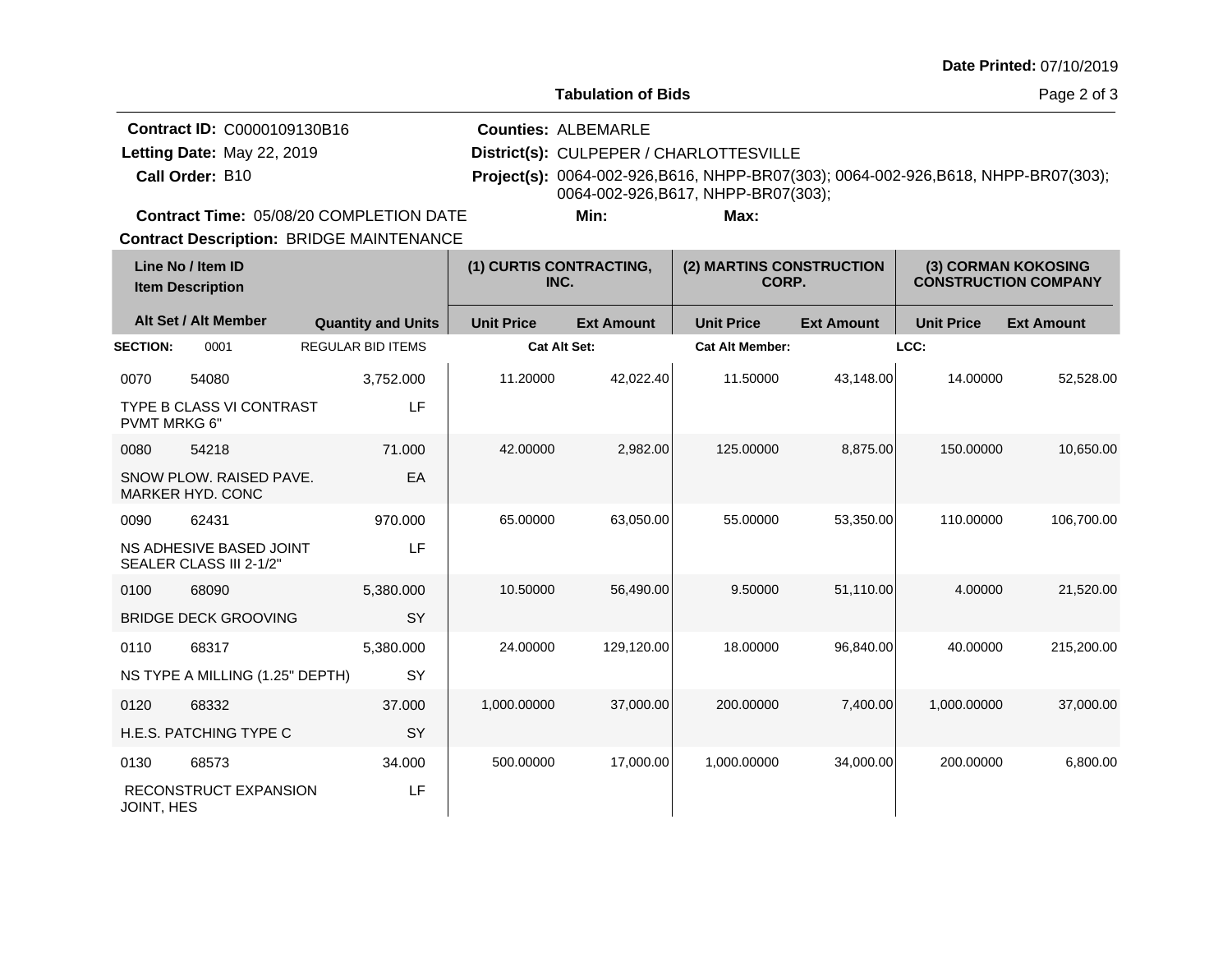|                 | <b>Contract ID: C0000109130B16</b>      | <b>Counties: ALBEMARLE</b>              |      |                                                                                            |  |
|-----------------|-----------------------------------------|-----------------------------------------|------|--------------------------------------------------------------------------------------------|--|
|                 | Letting Date: May 22, 2019              | District(s): CULPEPER / CHARLOTTESVILLE |      |                                                                                            |  |
| Call Order: B10 |                                         |                                         |      | <b>Project(s):</b> 0064-002-926, B616, NHPP-BR07(303); 0064-002-926, B618, NHPP-BR07(303); |  |
|                 |                                         | 0064-002-926, B617, NHPP-BR07(303);     |      |                                                                                            |  |
|                 | Contract Time: 05/08/20 COMPLETION DATE | Min:                                    | Max: |                                                                                            |  |

**Contract Description: BRIDGE MAINTENANCE** 

| Line No / Item ID<br><b>Item Description</b> |                                                    | (1) CURTIS CONTRACTING,<br>INC. |                   | (2) MARTINS CONSTRUCTION<br>CORP. |                        | (3) CORMAN KOKOSING<br><b>CONSTRUCTION COMPANY</b> |                   |                   |
|----------------------------------------------|----------------------------------------------------|---------------------------------|-------------------|-----------------------------------|------------------------|----------------------------------------------------|-------------------|-------------------|
|                                              | Alt Set / Alt Member                               | <b>Quantity and Units</b>       | <b>Unit Price</b> | <b>Ext Amount</b>                 | <b>Unit Price</b>      | <b>Ext Amount</b>                                  | <b>Unit Price</b> | <b>Ext Amount</b> |
| <b>SECTION:</b>                              | 0001                                               | <b>REGULAR BID ITEMS</b>        | Cat Alt Set:      |                                   | <b>Cat Alt Member:</b> |                                                    | LCC:              |                   |
| 0070                                         | 54080                                              | 3,752.000                       | 11.20000          | 42,022.40                         | 11.50000               | 43,148.00                                          | 14.00000          | 52,528.00         |
| <b>PVMT MRKG 6"</b>                          | <b>TYPE B CLASS VI CONTRAST</b>                    | LF                              |                   |                                   |                        |                                                    |                   |                   |
| 0080                                         | 54218                                              | 71.000                          | 42.00000          | 2,982.00                          | 125.00000              | 8,875.00                                           | 150.00000         | 10,650.00         |
|                                              | SNOW PLOW, RAISED PAVE.<br><b>MARKER HYD, CONC</b> | EA                              |                   |                                   |                        |                                                    |                   |                   |
| 0090                                         | 62431                                              | 970.000                         | 65.00000          | 63,050.00                         | 55.00000               | 53,350.00                                          | 110.00000         | 106,700.00        |
|                                              | NS ADHESIVE BASED JOINT<br>SEALER CLASS III 2-1/2" | LF                              |                   |                                   |                        |                                                    |                   |                   |
| 0100                                         | 68090                                              | 5,380.000                       | 10.50000          | 56,490.00                         | 9.50000                | 51,110.00                                          | 4.00000           | 21,520.00         |
|                                              | <b>BRIDGE DECK GROOVING</b>                        | <b>SY</b>                       |                   |                                   |                        |                                                    |                   |                   |
| 0110                                         | 68317                                              | 5,380.000                       | 24.00000          | 129,120.00                        | 18.00000               | 96,840.00                                          | 40.00000          | 215,200.00        |
|                                              | NS TYPE A MILLING (1.25" DEPTH)                    | SY                              |                   |                                   |                        |                                                    |                   |                   |
| 0120                                         | 68332                                              | 37,000                          | 1,000.00000       | 37,000.00                         | 200.00000              | 7,400.00                                           | 1,000.00000       | 37,000.00         |
|                                              | H.E.S. PATCHING TYPE C                             | <b>SY</b>                       |                   |                                   |                        |                                                    |                   |                   |
| 0130                                         | 68573                                              | 34.000                          | 500.00000         | 17,000.00                         | 1,000.00000            | 34,000.00                                          | 200.00000         | 6,800.00          |
| <b>JOINT, HES</b>                            | RECONSTRUCT EXPANSION                              | LF                              |                   |                                   |                        |                                                    |                   |                   |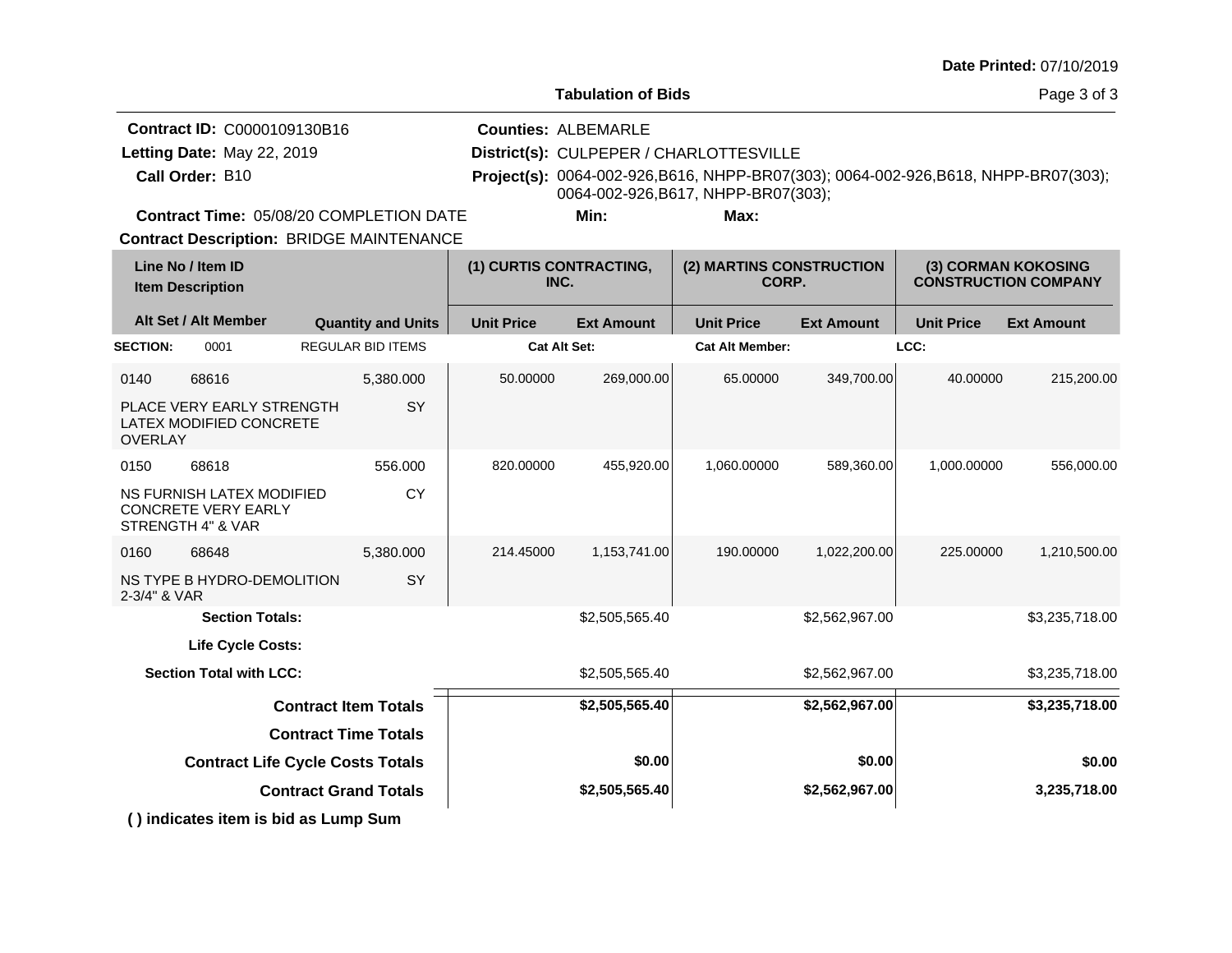| Date Printed: 07/10/2019 |  |
|--------------------------|--|
|--------------------------|--|

 $\mathbf{I}$ 

| <b>Contract ID: C0000109130B16</b>             | <b>Counties: ALBEMARLE</b>              |      |                                                                                            |
|------------------------------------------------|-----------------------------------------|------|--------------------------------------------------------------------------------------------|
| Letting Date: May 22, 2019                     | District(s): CULPEPER / CHARLOTTESVILLE |      |                                                                                            |
| Call Order: B10                                | 0064-002-926, B617, NHPP-BR07(303);     |      | <b>Project(s):</b> 0064-002-926, B616, NHPP-BR07(303); 0064-002-926, B618, NHPP-BR07(303); |
| <b>Contract Time: 05/08/20 COMPLETION DATE</b> | Min:                                    | Max: |                                                                                            |

٠.

**Contract Description: BRIDGE MAINTENANCE** 

| Line No / Item ID<br><b>Item Description</b>    |                                                      |                           | (1) CURTIS CONTRACTING,<br>INC. |                   | (2) MARTINS CONSTRUCTION<br>CORP. |                   | (3) CORMAN KOKOSING<br><b>CONSTRUCTION COMPANY</b> |                   |
|-------------------------------------------------|------------------------------------------------------|---------------------------|---------------------------------|-------------------|-----------------------------------|-------------------|----------------------------------------------------|-------------------|
| Alt Set / Alt Member                            |                                                      | <b>Quantity and Units</b> | <b>Unit Price</b>               | <b>Ext Amount</b> | <b>Unit Price</b>                 | <b>Ext Amount</b> | <b>Unit Price</b>                                  | <b>Ext Amount</b> |
| <b>SECTION:</b>                                 | 0001                                                 | <b>REGULAR BID ITEMS</b>  | <b>Cat Alt Set:</b>             |                   | <b>Cat Alt Member:</b>            |                   | LCC:                                               |                   |
| 0140<br>68616                                   |                                                      | 5,380.000                 | 50.00000                        | 269,000.00        | 65.00000                          | 349,700.00        | 40.00000                                           | 215,200.00        |
| <b>OVERLAY</b>                                  | PLACE VERY EARLY STRENGTH<br>LATEX MODIFIED CONCRETE | SY                        |                                 |                   |                                   |                   |                                                    |                   |
| 68618<br>0150                                   |                                                      | 556.000                   | 820.00000                       | 455,920.00        | 1,060.00000                       | 589,360.00        | 1,000.00000                                        | 556,000.00        |
| <b>CONCRETE VERY EARLY</b><br>STRENGTH 4" & VAR | NS FURNISH LATEX MODIFIED                            | <b>CY</b>                 |                                 |                   |                                   |                   |                                                    |                   |
| 68648<br>0160                                   |                                                      | 5,380.000                 | 214.45000                       | 1,153,741.00      | 190.00000                         | 1,022,200.00      | 225.00000                                          | 1,210,500.00      |
| 2-3/4" & VAR                                    | NS TYPE B HYDRO-DEMOLITION                           | SY                        |                                 |                   |                                   |                   |                                                    |                   |
|                                                 | <b>Section Totals:</b>                               |                           |                                 | \$2,505,565.40    |                                   | \$2,562,967.00    |                                                    | \$3,235,718.00    |
|                                                 | <b>Life Cycle Costs:</b>                             |                           |                                 |                   |                                   |                   |                                                    |                   |
|                                                 | <b>Section Total with LCC:</b>                       |                           |                                 | \$2,505,565.40    |                                   | \$2,562,967.00    |                                                    | \$3,235,718.00    |
|                                                 | <b>Contract Item Totals</b>                          |                           |                                 | \$2,505,565.40    |                                   | \$2,562,967.00    |                                                    | \$3,235,718.00    |
|                                                 | <b>Contract Time Totals</b>                          |                           |                                 |                   |                                   |                   |                                                    |                   |
|                                                 | <b>Contract Life Cycle Costs Totals</b>              |                           |                                 | \$0.00            |                                   | \$0.00            |                                                    | \$0.00            |
|                                                 | <b>Contract Grand Totals</b>                         |                           |                                 | \$2,505,565.40    |                                   | \$2,562,967.00    |                                                    | 3,235,718.00      |
|                                                 | () indicates item is bid as Lump Sum                 |                           |                                 |                   |                                   |                   |                                                    |                   |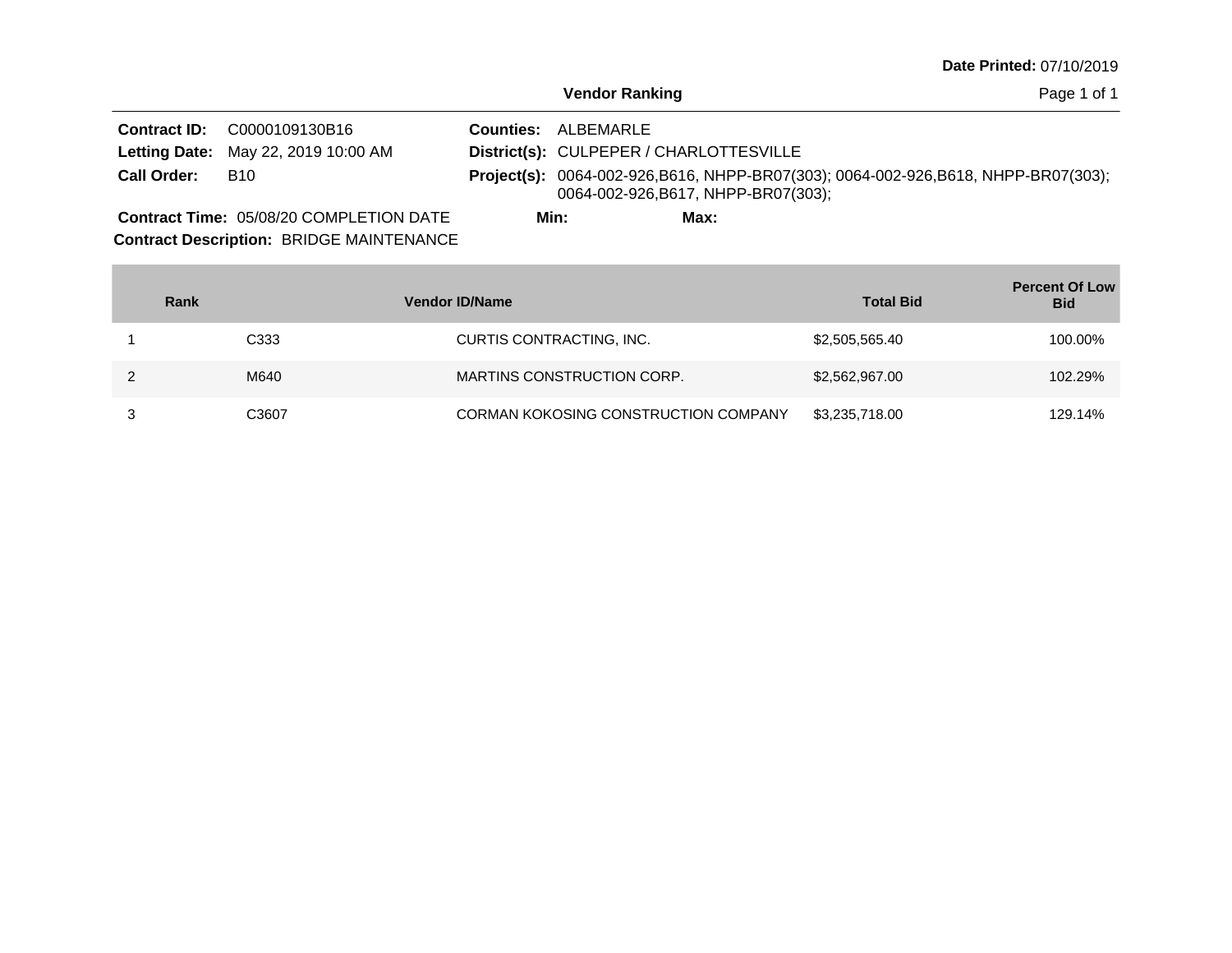Page 1 of 1

|                    | <b>Contract ID: C0000109130B16</b>             |      | <b>Counties: ALBEMARLE</b>              |      |                                                                                            |  |  |  |
|--------------------|------------------------------------------------|------|-----------------------------------------|------|--------------------------------------------------------------------------------------------|--|--|--|
|                    | <b>Letting Date: May 22, 2019 10:00 AM</b>     |      | District(s): CULPEPER / CHARLOTTESVILLE |      |                                                                                            |  |  |  |
| <b>Call Order:</b> | B10                                            |      |                                         |      | <b>Project(s):</b> 0064-002-926, B616, NHPP-BR07(303); 0064-002-926, B618, NHPP-BR07(303); |  |  |  |
|                    | 0064-002-926, B617, NHPP-BR07(303);            |      |                                         |      |                                                                                            |  |  |  |
|                    | <b>Contract Time: 05/08/20 COMPLETION DATE</b> | Min: |                                         | Max: |                                                                                            |  |  |  |

**Contract Description: BRIDGE MAINTENANCE** 

**Contract Contract** 

| Rank             | <b>Vendor ID/Name</b>                       | <b>Total Bid</b> | <b>Percent Of Low</b><br><b>Bid</b> |
|------------------|---------------------------------------------|------------------|-------------------------------------|
| C <sub>333</sub> | CURTIS CONTRACTING, INC.                    | \$2,505,565.40   | 100.00%                             |
| M640             | MARTINS CONSTRUCTION CORP.                  | \$2,562,967,00   | 102.29%                             |
| C3607            | <b>CORMAN KOKOSING CONSTRUCTION COMPANY</b> | \$3,235,718.00   | 129.14%                             |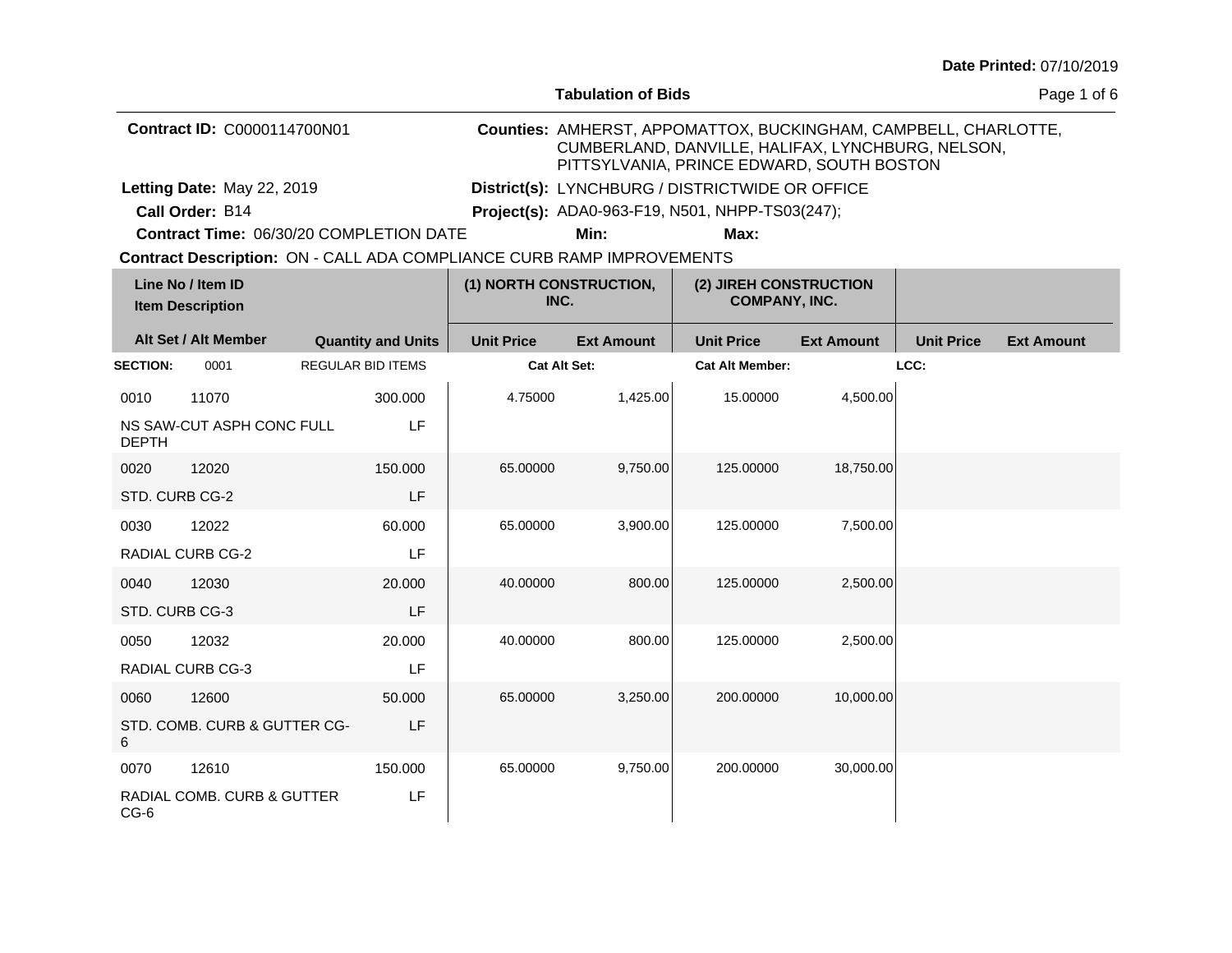| Date Printed: 07/10/2019 |  |
|--------------------------|--|
|--------------------------|--|

|                             |                                              |  |                           |                                                                       | <b>Tabulation of Bids</b> |                                                                                                                                                                   |                   |                   | Page 1 of 6       |
|-----------------------------|----------------------------------------------|--|---------------------------|-----------------------------------------------------------------------|---------------------------|-------------------------------------------------------------------------------------------------------------------------------------------------------------------|-------------------|-------------------|-------------------|
| Contract ID: C0000114700N01 |                                              |  |                           |                                                                       |                           | Counties: AMHERST, APPOMATTOX, BUCKINGHAM, CAMPBELL, CHARLOTTE,<br>CUMBERLAND, DANVILLE, HALIFAX, LYNCHBURG, NELSON,<br>PITTSYLVANIA, PRINCE EDWARD, SOUTH BOSTON |                   |                   |                   |
|                             | Letting Date: May 22, 2019                   |  |                           |                                                                       |                           | District(s): LYNCHBURG / DISTRICTWIDE OR OFFICE                                                                                                                   |                   |                   |                   |
|                             | Call Order: B14                              |  |                           |                                                                       |                           | <b>Project(s): ADA0-963-F19, N501, NHPP-TS03(247);</b>                                                                                                            |                   |                   |                   |
|                             | Contract Time: 06/30/20 COMPLETION DATE      |  |                           |                                                                       | Min:                      | Max:                                                                                                                                                              |                   |                   |                   |
|                             |                                              |  |                           | Contract Description: ON - CALL ADA COMPLIANCE CURB RAMP IMPROVEMENTS |                           |                                                                                                                                                                   |                   |                   |                   |
|                             | Line No / Item ID<br><b>Item Description</b> |  |                           | (1) NORTH CONSTRUCTION,<br>INC.                                       |                           | (2) JIREH CONSTRUCTION<br><b>COMPANY, INC.</b>                                                                                                                    |                   |                   |                   |
|                             | Alt Set / Alt Member                         |  | <b>Quantity and Units</b> | <b>Unit Price</b>                                                     | <b>Ext Amount</b>         | <b>Unit Price</b>                                                                                                                                                 | <b>Ext Amount</b> | <b>Unit Price</b> | <b>Ext Amount</b> |
| <b>SECTION:</b>             | 0001                                         |  | <b>REGULAR BID ITEMS</b>  | <b>Cat Alt Set:</b>                                                   |                           | <b>Cat Alt Member:</b>                                                                                                                                            |                   | LCC:              |                   |
| 0010                        | 11070                                        |  | 300.000                   | 4.75000                                                               | 1,425.00                  | 15.00000                                                                                                                                                          | 4,500.00          |                   |                   |
| <b>DEPTH</b>                | NS SAW-CUT ASPH CONC FULL                    |  | LF                        |                                                                       |                           |                                                                                                                                                                   |                   |                   |                   |
| 0020                        | 12020                                        |  | 150,000                   | 65.00000                                                              | 9,750.00                  | 125.00000                                                                                                                                                         | 18,750.00         |                   |                   |
| STD. CURB CG-2              |                                              |  | LF                        |                                                                       |                           |                                                                                                                                                                   |                   |                   |                   |
| 0030                        | 12022                                        |  | 60.000                    | 65.00000                                                              | 3,900.00                  | 125.00000                                                                                                                                                         | 7,500.00          |                   |                   |
|                             | RADIAL CURB CG-2                             |  | LF                        |                                                                       |                           |                                                                                                                                                                   |                   |                   |                   |
| 0040                        | 12030                                        |  | 20.000                    | 40.00000                                                              | 800.00                    | 125.00000                                                                                                                                                         | 2,500.00          |                   |                   |
| STD. CURB CG-3              |                                              |  | LF                        |                                                                       |                           |                                                                                                                                                                   |                   |                   |                   |
| 0050                        | 12032                                        |  | 20.000                    | 40.00000                                                              | 800.00                    | 125.00000                                                                                                                                                         | 2,500.00          |                   |                   |
|                             | RADIAL CURB CG-3                             |  | LF                        |                                                                       |                           |                                                                                                                                                                   |                   |                   |                   |
| 0060                        | 12600                                        |  | 50.000                    | 65.00000                                                              | 3,250.00                  | 200.00000                                                                                                                                                         | 10,000.00         |                   |                   |
| 6                           | STD. COMB. CURB & GUTTER CG-                 |  | LF                        |                                                                       |                           |                                                                                                                                                                   |                   |                   |                   |
| 0070                        | 12610                                        |  | 150.000                   | 65.00000                                                              | 9,750.00                  | 200.00000                                                                                                                                                         | 30,000.00         |                   |                   |
| $CG-6$                      | RADIAL COMB. CURB & GUTTER                   |  | LF                        |                                                                       |                           |                                                                                                                                                                   |                   |                   |                   |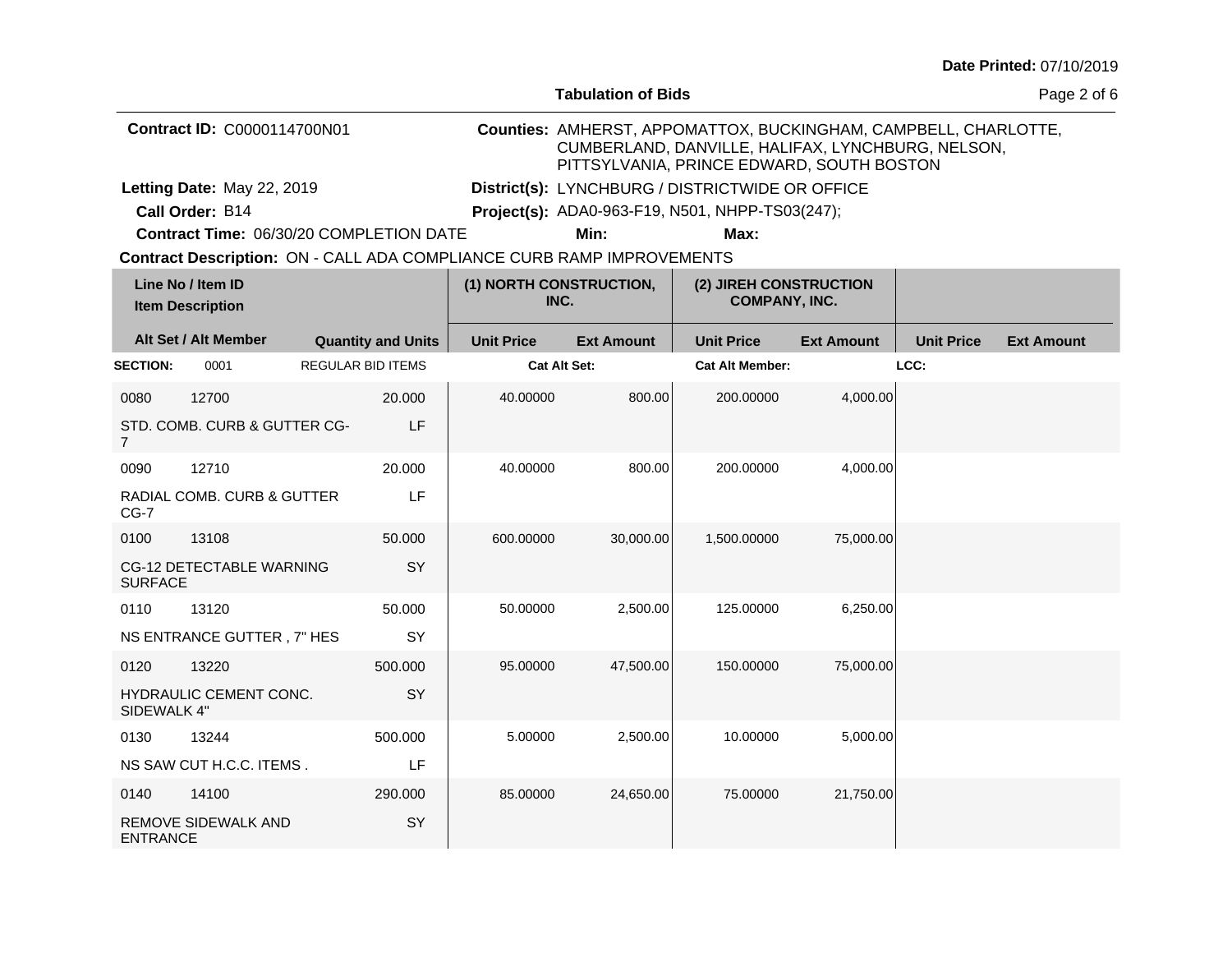| Date Printed: 07/10/2019 |  |
|--------------------------|--|
|--------------------------|--|

|                                    |                                                                       |                          |                           |                   | <b>Tabulation of Bids</b> |                                                                                                                                                                   |                   |                   | Page 2 of 6       |
|------------------------------------|-----------------------------------------------------------------------|--------------------------|---------------------------|-------------------|---------------------------|-------------------------------------------------------------------------------------------------------------------------------------------------------------------|-------------------|-------------------|-------------------|
| <b>Contract ID: C0000114700N01</b> |                                                                       |                          |                           |                   |                           | Counties: AMHERST, APPOMATTOX, BUCKINGHAM, CAMPBELL, CHARLOTTE,<br>CUMBERLAND, DANVILLE, HALIFAX, LYNCHBURG, NELSON,<br>PITTSYLVANIA, PRINCE EDWARD, SOUTH BOSTON |                   |                   |                   |
|                                    | Letting Date: May 22, 2019                                            |                          |                           |                   |                           | District(s): LYNCHBURG / DISTRICTWIDE OR OFFICE                                                                                                                   |                   |                   |                   |
|                                    | Call Order: B14                                                       |                          |                           |                   |                           | <b>Project(s): ADA0-963-F19, N501, NHPP-TS03(247);</b>                                                                                                            |                   |                   |                   |
|                                    | Contract Time: 06/30/20 COMPLETION DATE                               |                          |                           |                   | Min:                      | Max:                                                                                                                                                              |                   |                   |                   |
|                                    | Contract Description: ON - CALL ADA COMPLIANCE CURB RAMP IMPROVEMENTS |                          |                           |                   |                           |                                                                                                                                                                   |                   |                   |                   |
|                                    | Line No / Item ID<br><b>Item Description</b>                          |                          |                           | INC.              | (1) NORTH CONSTRUCTION,   | (2) JIREH CONSTRUCTION<br><b>COMPANY, INC.</b>                                                                                                                    |                   |                   |                   |
|                                    | Alt Set / Alt Member                                                  |                          | <b>Quantity and Units</b> | <b>Unit Price</b> | <b>Ext Amount</b>         | <b>Unit Price</b>                                                                                                                                                 | <b>Ext Amount</b> | <b>Unit Price</b> | <b>Ext Amount</b> |
| <b>SECTION:</b>                    | 0001                                                                  | <b>REGULAR BID ITEMS</b> |                           |                   | <b>Cat Alt Set:</b>       | <b>Cat Alt Member:</b>                                                                                                                                            |                   | LCC:              |                   |
| 0080                               | 12700                                                                 |                          | 20,000                    | 40.00000          | 800.00                    | 200.00000                                                                                                                                                         | 4,000.00          |                   |                   |
| 7                                  | STD. COMB. CURB & GUTTER CG-                                          |                          | LF                        |                   |                           |                                                                                                                                                                   |                   |                   |                   |
| 0090                               | 12710                                                                 |                          | 20.000                    | 40.00000          | 800.00                    | 200.00000                                                                                                                                                         | 4,000.00          |                   |                   |
| $CG-7$                             | RADIAL COMB. CURB & GUTTER                                            |                          | LF                        |                   |                           |                                                                                                                                                                   |                   |                   |                   |
| 0100                               | 13108                                                                 |                          | 50,000                    | 600.00000         | 30,000.00                 | 1,500.00000                                                                                                                                                       | 75,000.00         |                   |                   |
| <b>SURFACE</b>                     | CG-12 DETECTABLE WARNING                                              |                          | SY                        |                   |                           |                                                                                                                                                                   |                   |                   |                   |
| 0110                               | 13120                                                                 |                          | 50.000                    | 50.00000          | 2,500.00                  | 125.00000                                                                                                                                                         | 6,250.00          |                   |                   |
|                                    | NS ENTRANCE GUTTER, 7" HES                                            |                          | SY                        |                   |                           |                                                                                                                                                                   |                   |                   |                   |
| 0120                               | 13220                                                                 |                          | 500,000                   | 95.00000          | 47,500.00                 | 150.00000                                                                                                                                                         | 75,000.00         |                   |                   |
| SIDEWALK 4"                        | HYDRAULIC CEMENT CONC.                                                |                          | SY                        |                   |                           |                                                                                                                                                                   |                   |                   |                   |
| 0130                               | 13244                                                                 |                          | 500.000                   | 5.00000           | 2,500.00                  | 10.00000                                                                                                                                                          | 5,000.00          |                   |                   |
|                                    | NS SAW CUT H.C.C. ITEMS.                                              |                          | LF                        |                   |                           |                                                                                                                                                                   |                   |                   |                   |
| 0140                               | 14100                                                                 |                          | 290.000                   | 85.00000          | 24,650.00                 | 75.00000                                                                                                                                                          | 21,750.00         |                   |                   |
| <b>ENTRANCE</b>                    | <b>REMOVE SIDEWALK AND</b>                                            |                          | SY                        |                   |                           |                                                                                                                                                                   |                   |                   |                   |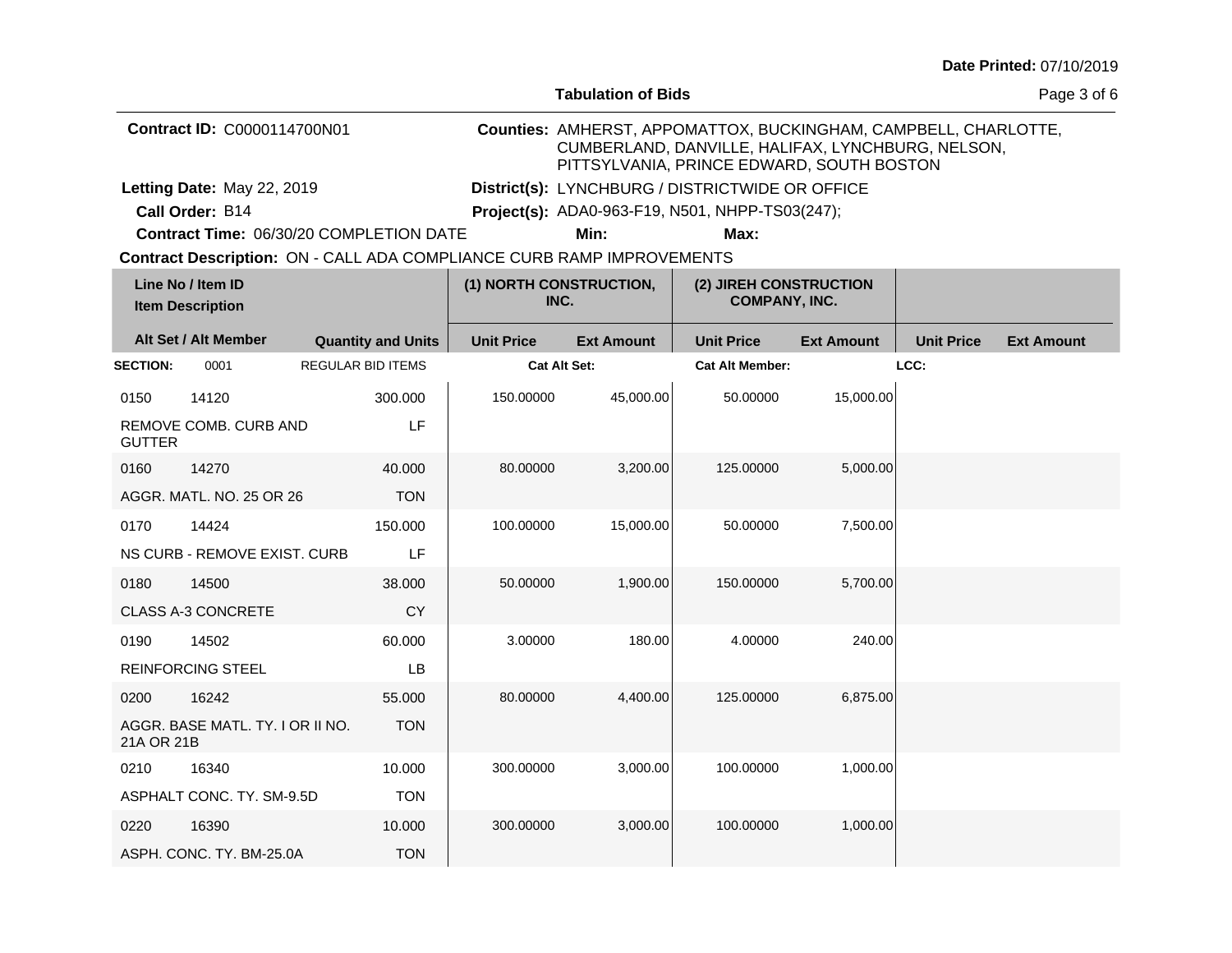| Date Printed: 07/10/2019 |  |
|--------------------------|--|
|--------------------------|--|

|                 |                                              |                                                                       |                   | <b>Tabulation of Bids</b> |                                                                                                                                                                   |                   |                   | Page 3 of 6       |
|-----------------|----------------------------------------------|-----------------------------------------------------------------------|-------------------|---------------------------|-------------------------------------------------------------------------------------------------------------------------------------------------------------------|-------------------|-------------------|-------------------|
|                 | <b>Contract ID: C0000114700N01</b>           |                                                                       |                   |                           | Counties: AMHERST, APPOMATTOX, BUCKINGHAM, CAMPBELL, CHARLOTTE,<br>CUMBERLAND, DANVILLE, HALIFAX, LYNCHBURG, NELSON,<br>PITTSYLVANIA, PRINCE EDWARD, SOUTH BOSTON |                   |                   |                   |
|                 | Letting Date: May 22, 2019                   |                                                                       |                   |                           | District(s): LYNCHBURG / DISTRICTWIDE OR OFFICE                                                                                                                   |                   |                   |                   |
|                 | Call Order: B14                              |                                                                       |                   |                           | Project(s): ADA0-963-F19, N501, NHPP-TS03(247);                                                                                                                   |                   |                   |                   |
|                 |                                              | Contract Time: 06/30/20 COMPLETION DATE                               |                   | Min:                      | Max:                                                                                                                                                              |                   |                   |                   |
|                 |                                              | Contract Description: ON - CALL ADA COMPLIANCE CURB RAMP IMPROVEMENTS |                   |                           |                                                                                                                                                                   |                   |                   |                   |
|                 | Line No / Item ID<br><b>Item Description</b> |                                                                       | INC.              | (1) NORTH CONSTRUCTION,   | (2) JIREH CONSTRUCTION<br><b>COMPANY, INC.</b>                                                                                                                    |                   |                   |                   |
|                 | Alt Set / Alt Member                         | <b>Quantity and Units</b>                                             | <b>Unit Price</b> | <b>Ext Amount</b>         | <b>Unit Price</b>                                                                                                                                                 | <b>Ext Amount</b> | <b>Unit Price</b> | <b>Ext Amount</b> |
| <b>SECTION:</b> | 0001                                         | <b>REGULAR BID ITEMS</b>                                              |                   | <b>Cat Alt Set:</b>       | <b>Cat Alt Member:</b>                                                                                                                                            |                   | LCC:              |                   |
| 0150            | 14120                                        | 300.000                                                               | 150.00000         | 45,000.00                 | 50.00000                                                                                                                                                          | 15,000.00         |                   |                   |
| <b>GUTTER</b>   | REMOVE COMB. CURB AND                        | LF                                                                    |                   |                           |                                                                                                                                                                   |                   |                   |                   |
| 0160            | 14270                                        | 40.000                                                                | 80.00000          | 3,200.00                  | 125.00000                                                                                                                                                         | 5,000.00          |                   |                   |
|                 | AGGR, MATL, NO. 25 OR 26                     | <b>TON</b>                                                            |                   |                           |                                                                                                                                                                   |                   |                   |                   |
| 0170            | 14424                                        | 150.000                                                               | 100.00000         | 15,000.00                 | 50.00000                                                                                                                                                          | 7,500.00          |                   |                   |
|                 | NS CURB - REMOVE EXIST, CURB                 | LF                                                                    |                   |                           |                                                                                                                                                                   |                   |                   |                   |
| 0180            | 14500                                        | 38.000                                                                | 50.00000          | 1,900.00                  | 150.00000                                                                                                                                                         | 5.700.00          |                   |                   |
|                 | <b>CLASS A-3 CONCRETE</b>                    | CY                                                                    |                   |                           |                                                                                                                                                                   |                   |                   |                   |
| 0190            | 14502                                        | 60.000                                                                | 3.00000           | 180.00                    | 4.00000                                                                                                                                                           | 240.00            |                   |                   |
|                 | <b>REINFORCING STEEL</b>                     | <b>LB</b>                                                             |                   |                           |                                                                                                                                                                   |                   |                   |                   |
| 0200            | 16242                                        | 55.000                                                                | 80.00000          | 4,400.00                  | 125.00000                                                                                                                                                         | 6,875.00          |                   |                   |
| 21A OR 21B      | AGGR. BASE MATL. TY. I OR II NO.             | <b>TON</b>                                                            |                   |                           |                                                                                                                                                                   |                   |                   |                   |
| 0210            | 16340                                        | 10.000                                                                | 300.00000         | 3,000.00                  | 100.00000                                                                                                                                                         | 1,000.00          |                   |                   |
|                 | ASPHALT CONC. TY. SM-9.5D                    | <b>TON</b>                                                            |                   |                           |                                                                                                                                                                   |                   |                   |                   |
| 0220            | 16390                                        | 10.000                                                                | 300.00000         | 3,000.00                  | 100.00000                                                                                                                                                         | 1,000.00          |                   |                   |
|                 | ASPH. CONC. TY. BM-25.0A                     | <b>TON</b>                                                            |                   |                           |                                                                                                                                                                   |                   |                   |                   |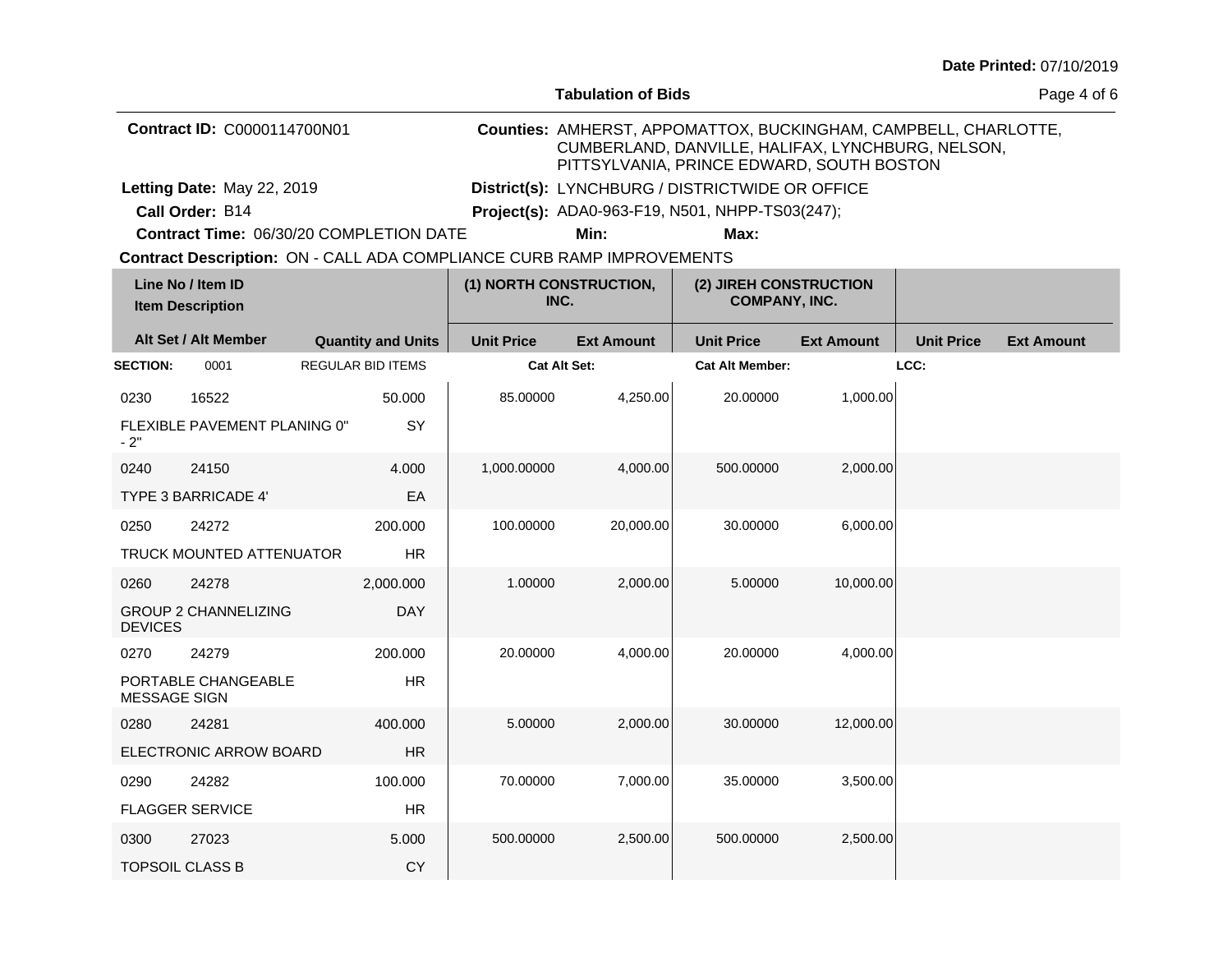| Date Printed: 07/10/2019 |  |
|--------------------------|--|
|--------------------------|--|

|                             |                                                                       |  |                           |                                 | <b>Tabulation of Bids</b> |                                                                                                                                                                   |                   |                   | Page 4 of 6       |
|-----------------------------|-----------------------------------------------------------------------|--|---------------------------|---------------------------------|---------------------------|-------------------------------------------------------------------------------------------------------------------------------------------------------------------|-------------------|-------------------|-------------------|
| Contract ID: C0000114700N01 |                                                                       |  |                           |                                 |                           | Counties: AMHERST, APPOMATTOX, BUCKINGHAM, CAMPBELL, CHARLOTTE,<br>CUMBERLAND, DANVILLE, HALIFAX, LYNCHBURG, NELSON,<br>PITTSYLVANIA, PRINCE EDWARD, SOUTH BOSTON |                   |                   |                   |
|                             | Letting Date: May 22, 2019                                            |  |                           |                                 |                           | District(s): LYNCHBURG / DISTRICTWIDE OR OFFICE                                                                                                                   |                   |                   |                   |
|                             | Call Order: B14                                                       |  |                           |                                 |                           | Project(s): ADA0-963-F19, N501, NHPP-TS03(247);                                                                                                                   |                   |                   |                   |
|                             | Contract Time: 06/30/20 COMPLETION DATE                               |  |                           |                                 | Min:                      | Max:                                                                                                                                                              |                   |                   |                   |
|                             | Contract Description: ON - CALL ADA COMPLIANCE CURB RAMP IMPROVEMENTS |  |                           |                                 |                           |                                                                                                                                                                   |                   |                   |                   |
|                             | Line No / Item ID<br><b>Item Description</b>                          |  |                           | (1) NORTH CONSTRUCTION,<br>INC. |                           | (2) JIREH CONSTRUCTION<br><b>COMPANY, INC.</b>                                                                                                                    |                   |                   |                   |
|                             | Alt Set / Alt Member                                                  |  | <b>Quantity and Units</b> | <b>Unit Price</b>               | <b>Ext Amount</b>         | <b>Unit Price</b>                                                                                                                                                 | <b>Ext Amount</b> | <b>Unit Price</b> | <b>Ext Amount</b> |
| <b>SECTION:</b>             | 0001                                                                  |  | <b>REGULAR BID ITEMS</b>  | <b>Cat Alt Set:</b>             |                           | <b>Cat Alt Member:</b>                                                                                                                                            |                   | LCC:              |                   |
| 0230                        | 16522                                                                 |  | 50.000                    | 85.00000                        | 4,250.00                  | 20.00000                                                                                                                                                          | 1,000.00          |                   |                   |
| $-2"$                       | FLEXIBLE PAVEMENT PLANING 0"                                          |  | <b>SY</b>                 |                                 |                           |                                                                                                                                                                   |                   |                   |                   |
| 0240                        | 24150                                                                 |  | 4.000                     | 1,000.00000                     | 4,000.00                  | 500.00000                                                                                                                                                         | 2,000.00          |                   |                   |
|                             | <b>TYPE 3 BARRICADE 4'</b>                                            |  | EA                        |                                 |                           |                                                                                                                                                                   |                   |                   |                   |
| 0250                        | 24272                                                                 |  | 200.000                   | 100.00000                       | 20,000.00                 | 30.00000                                                                                                                                                          | 6,000.00          |                   |                   |
|                             | <b>TRUCK MOUNTED ATTENUATOR</b>                                       |  | <b>HR</b>                 |                                 |                           |                                                                                                                                                                   |                   |                   |                   |
| 0260                        | 24278                                                                 |  | 2,000.000                 | 1.00000                         | 2,000.00                  | 5.00000                                                                                                                                                           | 10,000.00         |                   |                   |
| <b>DEVICES</b>              | <b>GROUP 2 CHANNELIZING</b>                                           |  | <b>DAY</b>                |                                 |                           |                                                                                                                                                                   |                   |                   |                   |
| 0270                        | 24279                                                                 |  | 200.000                   | 20.00000                        | 4,000.00                  | 20.00000                                                                                                                                                          | 4,000.00          |                   |                   |
| <b>MESSAGE SIGN</b>         | PORTABLE CHANGEABLE                                                   |  | <b>HR</b>                 |                                 |                           |                                                                                                                                                                   |                   |                   |                   |
| 0280                        | 24281                                                                 |  | 400.000                   | 5.00000                         | 2,000.00                  | 30.00000                                                                                                                                                          | 12,000.00         |                   |                   |
|                             | ELECTRONIC ARROW BOARD                                                |  | HR                        |                                 |                           |                                                                                                                                                                   |                   |                   |                   |
| 0290                        | 24282                                                                 |  | 100.000                   | 70.00000                        | 7,000.00                  | 35.00000                                                                                                                                                          | 3,500.00          |                   |                   |
|                             | <b>FLAGGER SERVICE</b>                                                |  | <b>HR</b>                 |                                 |                           |                                                                                                                                                                   |                   |                   |                   |
| 0300                        | 27023                                                                 |  | 5.000                     | 500.00000                       | 2,500.00                  | 500.00000                                                                                                                                                         | 2,500.00          |                   |                   |
|                             | <b>TOPSOIL CLASS B</b>                                                |  | CY                        |                                 |                           |                                                                                                                                                                   |                   |                   |                   |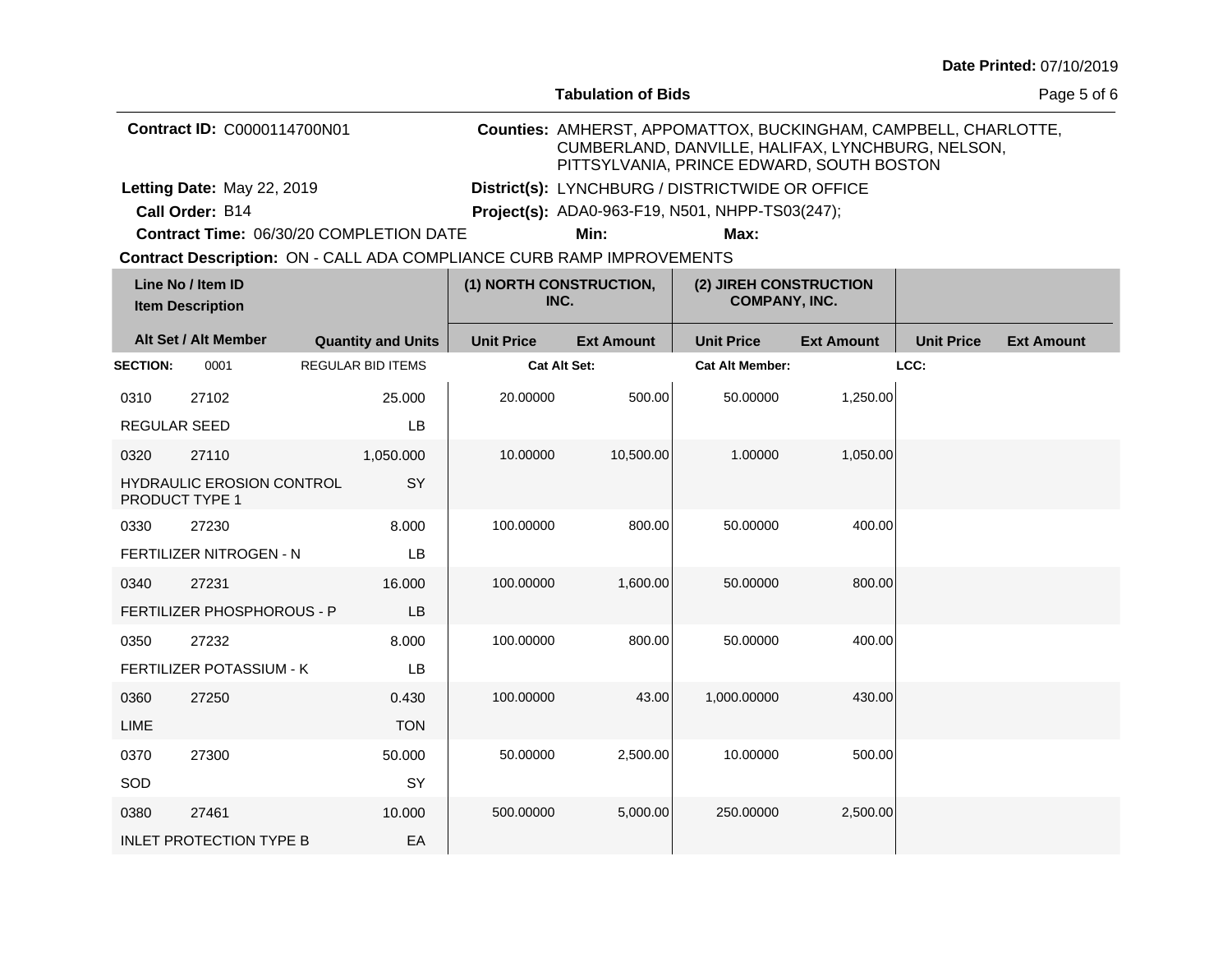| Date Printed: 07/10/2019 |  |
|--------------------------|--|
|--------------------------|--|

|                                    |                                                           |  |                           |                   | <b>Tabulation of Bids</b>                                             |                                                                                                                                                                   |                   |                   | Page 5 of 6       |
|------------------------------------|-----------------------------------------------------------|--|---------------------------|-------------------|-----------------------------------------------------------------------|-------------------------------------------------------------------------------------------------------------------------------------------------------------------|-------------------|-------------------|-------------------|
| <b>Contract ID: C0000114700N01</b> |                                                           |  |                           |                   |                                                                       | Counties: AMHERST, APPOMATTOX, BUCKINGHAM, CAMPBELL, CHARLOTTE,<br>CUMBERLAND, DANVILLE, HALIFAX, LYNCHBURG, NELSON,<br>PITTSYLVANIA, PRINCE EDWARD, SOUTH BOSTON |                   |                   |                   |
|                                    | Letting Date: May 22, 2019                                |  |                           |                   |                                                                       | District(s): LYNCHBURG / DISTRICTWIDE OR OFFICE                                                                                                                   |                   |                   |                   |
|                                    | Call Order: B14                                           |  |                           |                   |                                                                       | Project(s): ADA0-963-F19, N501, NHPP-TS03(247);                                                                                                                   |                   |                   |                   |
|                                    | Contract Time: 06/30/20 COMPLETION DATE                   |  |                           |                   | Min:                                                                  | Max:                                                                                                                                                              |                   |                   |                   |
|                                    |                                                           |  |                           |                   | Contract Description: ON - CALL ADA COMPLIANCE CURB RAMP IMPROVEMENTS |                                                                                                                                                                   |                   |                   |                   |
|                                    | Line No / Item ID<br><b>Item Description</b>              |  |                           |                   | (1) NORTH CONSTRUCTION,<br>INC.                                       | (2) JIREH CONSTRUCTION<br><b>COMPANY, INC.</b>                                                                                                                    |                   |                   |                   |
|                                    | Alt Set / Alt Member                                      |  | <b>Quantity and Units</b> | <b>Unit Price</b> | <b>Ext Amount</b>                                                     | <b>Unit Price</b>                                                                                                                                                 | <b>Ext Amount</b> | <b>Unit Price</b> | <b>Ext Amount</b> |
| <b>SECTION:</b>                    | 0001                                                      |  | <b>REGULAR BID ITEMS</b>  |                   | <b>Cat Alt Set:</b>                                                   | <b>Cat Alt Member:</b>                                                                                                                                            |                   | LCC:              |                   |
| 0310                               | 27102                                                     |  | 25.000                    | 20.00000          | 500.00                                                                | 50.00000                                                                                                                                                          | 1,250.00          |                   |                   |
| <b>REGULAR SEED</b>                |                                                           |  | LB                        |                   |                                                                       |                                                                                                                                                                   |                   |                   |                   |
| 0320                               | 27110                                                     |  | 1,050.000                 | 10.00000          | 10,500.00                                                             | 1.00000                                                                                                                                                           | 1,050.00          |                   |                   |
|                                    | <b>HYDRAULIC EROSION CONTROL</b><br><b>PRODUCT TYPE 1</b> |  | SY                        |                   |                                                                       |                                                                                                                                                                   |                   |                   |                   |
| 0330                               | 27230                                                     |  | 8.000                     | 100.00000         | 800.00                                                                | 50.00000                                                                                                                                                          | 400.00            |                   |                   |
|                                    | FERTILIZER NITROGEN - N                                   |  | LB                        |                   |                                                                       |                                                                                                                                                                   |                   |                   |                   |
| 0340                               | 27231                                                     |  | 16.000                    | 100.00000         | 1,600.00                                                              | 50.00000                                                                                                                                                          | 800.00            |                   |                   |
|                                    | FERTILIZER PHOSPHOROUS - P                                |  | <b>LB</b>                 |                   |                                                                       |                                                                                                                                                                   |                   |                   |                   |
| 0350                               | 27232                                                     |  | 8.000                     | 100.00000         | 800.00                                                                | 50.00000                                                                                                                                                          | 400.00            |                   |                   |
|                                    | FERTILIZER POTASSIUM - K                                  |  | LB                        |                   |                                                                       |                                                                                                                                                                   |                   |                   |                   |
| 0360                               | 27250                                                     |  | 0.430                     | 100.00000         | 43.00                                                                 | 1,000.00000                                                                                                                                                       | 430.00            |                   |                   |
| LIME                               |                                                           |  | <b>TON</b>                |                   |                                                                       |                                                                                                                                                                   |                   |                   |                   |
| 0370                               | 27300                                                     |  | 50.000                    | 50.00000          | 2,500.00                                                              | 10.00000                                                                                                                                                          | 500.00            |                   |                   |
| SOD                                |                                                           |  | <b>SY</b>                 |                   |                                                                       |                                                                                                                                                                   |                   |                   |                   |
| 0380                               | 27461                                                     |  | 10.000                    | 500.00000         | 5,000.00                                                              | 250,00000                                                                                                                                                         | 2,500.00          |                   |                   |
|                                    | <b>INLET PROTECTION TYPE B</b>                            |  | EA                        |                   |                                                                       |                                                                                                                                                                   |                   |                   |                   |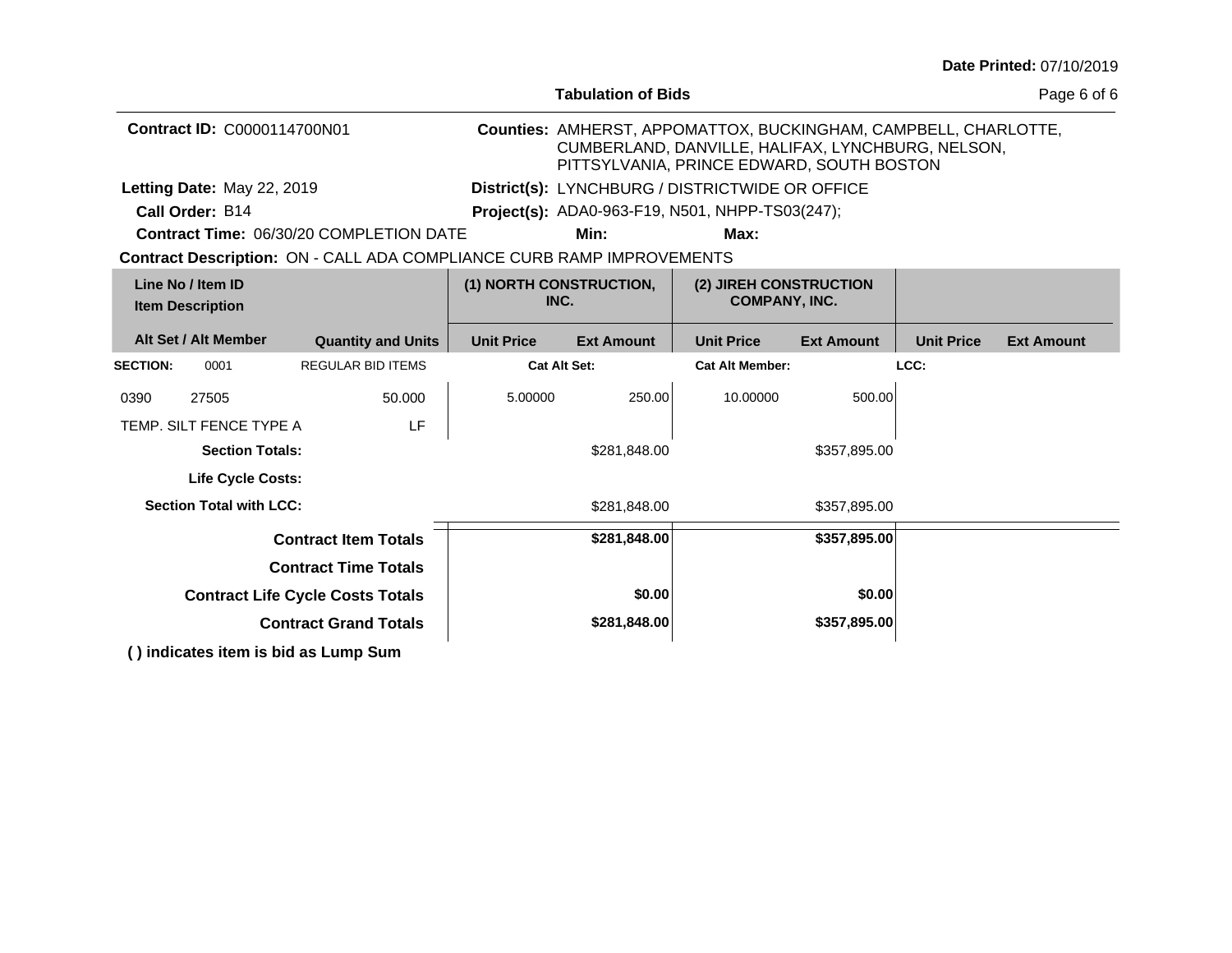|                                                                       |                                                |                                                                                                                                                                   |                                                 |                                                |                   |                   | Date Printed: 07/10/2019 |
|-----------------------------------------------------------------------|------------------------------------------------|-------------------------------------------------------------------------------------------------------------------------------------------------------------------|-------------------------------------------------|------------------------------------------------|-------------------|-------------------|--------------------------|
|                                                                       |                                                |                                                                                                                                                                   | <b>Tabulation of Bids</b>                       |                                                |                   |                   | Page 6 of 6              |
| <b>Contract ID: C0000114700N01</b>                                    |                                                | Counties: AMHERST, APPOMATTOX, BUCKINGHAM, CAMPBELL, CHARLOTTE,<br>CUMBERLAND, DANVILLE, HALIFAX, LYNCHBURG, NELSON,<br>PITTSYLVANIA, PRINCE EDWARD, SOUTH BOSTON |                                                 |                                                |                   |                   |                          |
| Letting Date: May 22, 2019                                            |                                                | District(s): LYNCHBURG / DISTRICTWIDE OR OFFICE                                                                                                                   |                                                 |                                                |                   |                   |                          |
| Call Order: B14                                                       |                                                |                                                                                                                                                                   | Project(s): ADA0-963-F19, N501, NHPP-TS03(247); |                                                |                   |                   |                          |
|                                                                       | <b>Contract Time: 06/30/20 COMPLETION DATE</b> |                                                                                                                                                                   | Min:                                            | Max:                                           |                   |                   |                          |
| Contract Description: ON - CALL ADA COMPLIANCE CURB RAMP IMPROVEMENTS |                                                |                                                                                                                                                                   |                                                 |                                                |                   |                   |                          |
| Line No / Item ID<br><b>Item Description</b>                          |                                                | (1) NORTH CONSTRUCTION,<br>INC.                                                                                                                                   |                                                 | (2) JIREH CONSTRUCTION<br><b>COMPANY, INC.</b> |                   |                   |                          |
| Alt Set / Alt Member                                                  | <b>Quantity and Units</b>                      | <b>Unit Price</b>                                                                                                                                                 | <b>Ext Amount</b>                               | <b>Unit Price</b>                              | <b>Ext Amount</b> | <b>Unit Price</b> | <b>Ext Amount</b>        |
| <b>SECTION:</b><br>0001                                               | <b>REGULAR BID ITEMS</b>                       |                                                                                                                                                                   | <b>Cat Alt Set:</b>                             | <b>Cat Alt Member:</b>                         |                   | LCC:              |                          |
| 0390<br>27505                                                         | 50.000                                         | 5.00000                                                                                                                                                           | 250.00                                          | 10.00000                                       | 500.00            |                   |                          |
| TEMP. SILT FENCE TYPE A                                               | LF                                             |                                                                                                                                                                   |                                                 |                                                |                   |                   |                          |
| <b>Section Totals:</b>                                                |                                                | \$281,848.00                                                                                                                                                      |                                                 | \$357,895.00                                   |                   |                   |                          |
| Life Cycle Costs:                                                     |                                                |                                                                                                                                                                   |                                                 |                                                |                   |                   |                          |
| <b>Section Total with LCC:</b>                                        |                                                | \$281,848.00                                                                                                                                                      |                                                 | \$357,895.00                                   |                   |                   |                          |
|                                                                       | <b>Contract Item Totals</b>                    |                                                                                                                                                                   | \$281,848.00                                    |                                                | \$357,895.00      |                   |                          |
| <b>Contract Time Totals</b>                                           |                                                |                                                                                                                                                                   |                                                 |                                                |                   |                   |                          |
| <b>Contract Life Cycle Costs Totals</b>                               |                                                | \$0.00                                                                                                                                                            |                                                 | \$0.00                                         |                   |                   |                          |
| <b>Contract Grand Totals</b>                                          |                                                | \$281,848.00                                                                                                                                                      |                                                 | \$357,895.00                                   |                   |                   |                          |
| () indicates item is bid as Lump Sum                                  |                                                |                                                                                                                                                                   |                                                 |                                                |                   |                   |                          |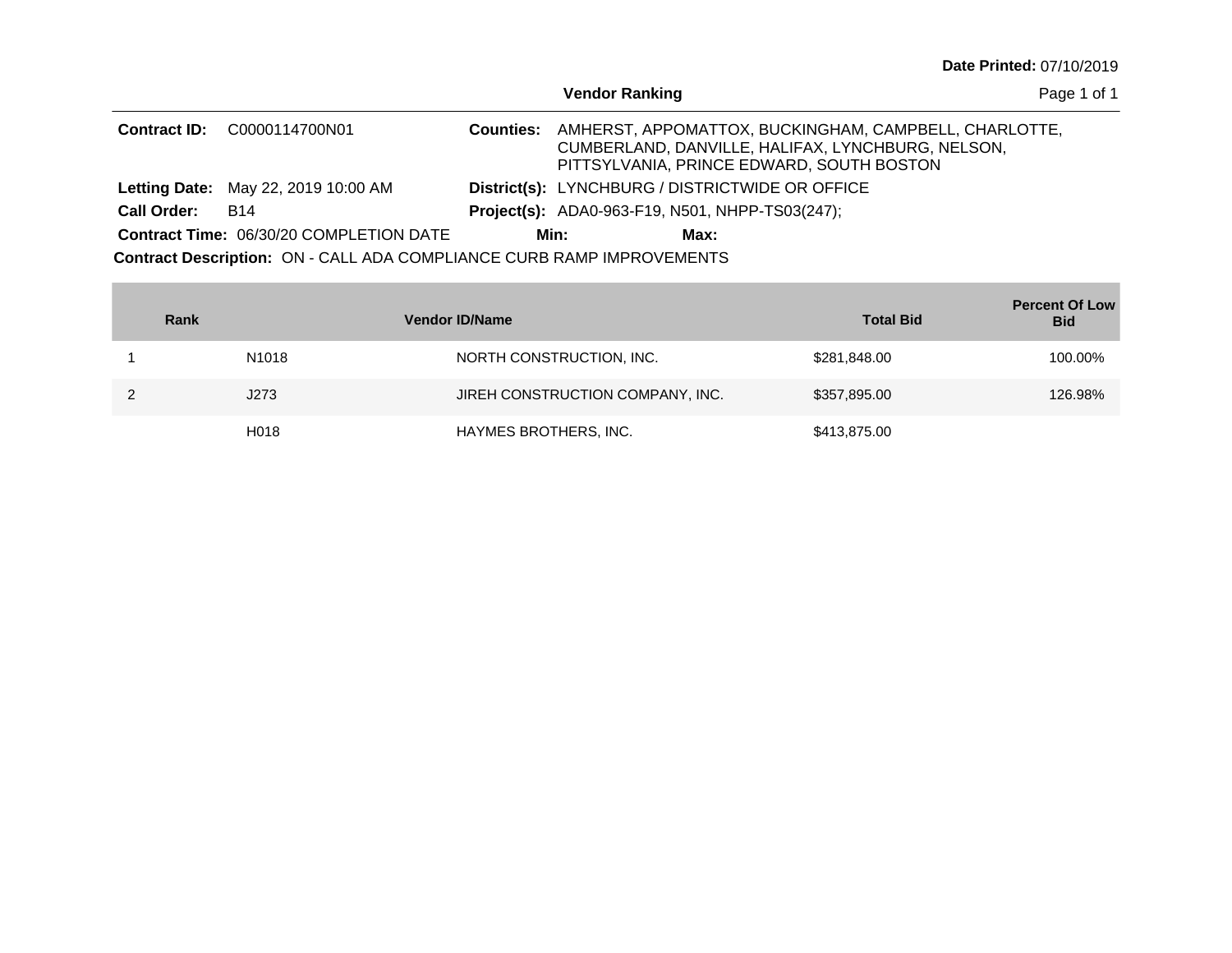| <b>Date Printed: 07/10/2019</b> |  |
|---------------------------------|--|
|---------------------------------|--|

|                                                |                                                                       |                  | <b>Vendor Ranking</b>                                                                                                                                   | Page 1 of 1 |
|------------------------------------------------|-----------------------------------------------------------------------|------------------|---------------------------------------------------------------------------------------------------------------------------------------------------------|-------------|
| <b>Contract ID:</b>                            | C0000114700N01                                                        | <b>Counties:</b> | AMHERST, APPOMATTOX, BUCKINGHAM, CAMPBELL, CHARLOTTE,<br>CUMBERLAND, DANVILLE, HALIFAX, LYNCHBURG, NELSON,<br>PITTSYLVANIA, PRINCE EDWARD, SOUTH BOSTON |             |
|                                                | <b>Letting Date: May 22, 2019 10:00 AM</b>                            |                  | District(s): LYNCHBURG / DISTRICTWIDE OR OFFICE                                                                                                         |             |
| <b>Call Order:</b>                             | <b>B14</b>                                                            |                  | <b>Project(s):</b> ADA0-963-F19, N501, NHPP-TS03(247);                                                                                                  |             |
| <b>Contract Time: 06/30/20 COMPLETION DATE</b> |                                                                       |                  | Min:<br>Max:                                                                                                                                            |             |
|                                                | Contract Description: ON - CALL ADA COMPLIANCE CURB RAMP IMPROVEMENTS |                  |                                                                                                                                                         |             |

| Rank |                   | <b>Vendor ID/Name</b>            | <b>Total Bid</b> | <b>Percent Of Low</b><br><b>Bid</b> |
|------|-------------------|----------------------------------|------------------|-------------------------------------|
|      | N1018             | NORTH CONSTRUCTION, INC.         | \$281,848.00     | 100.00%                             |
|      | J273              | JIREH CONSTRUCTION COMPANY, INC. | \$357,895.00     | 126.98%                             |
|      | H <sub>0</sub> 18 | HAYMES BROTHERS, INC.            | \$413,875.00     |                                     |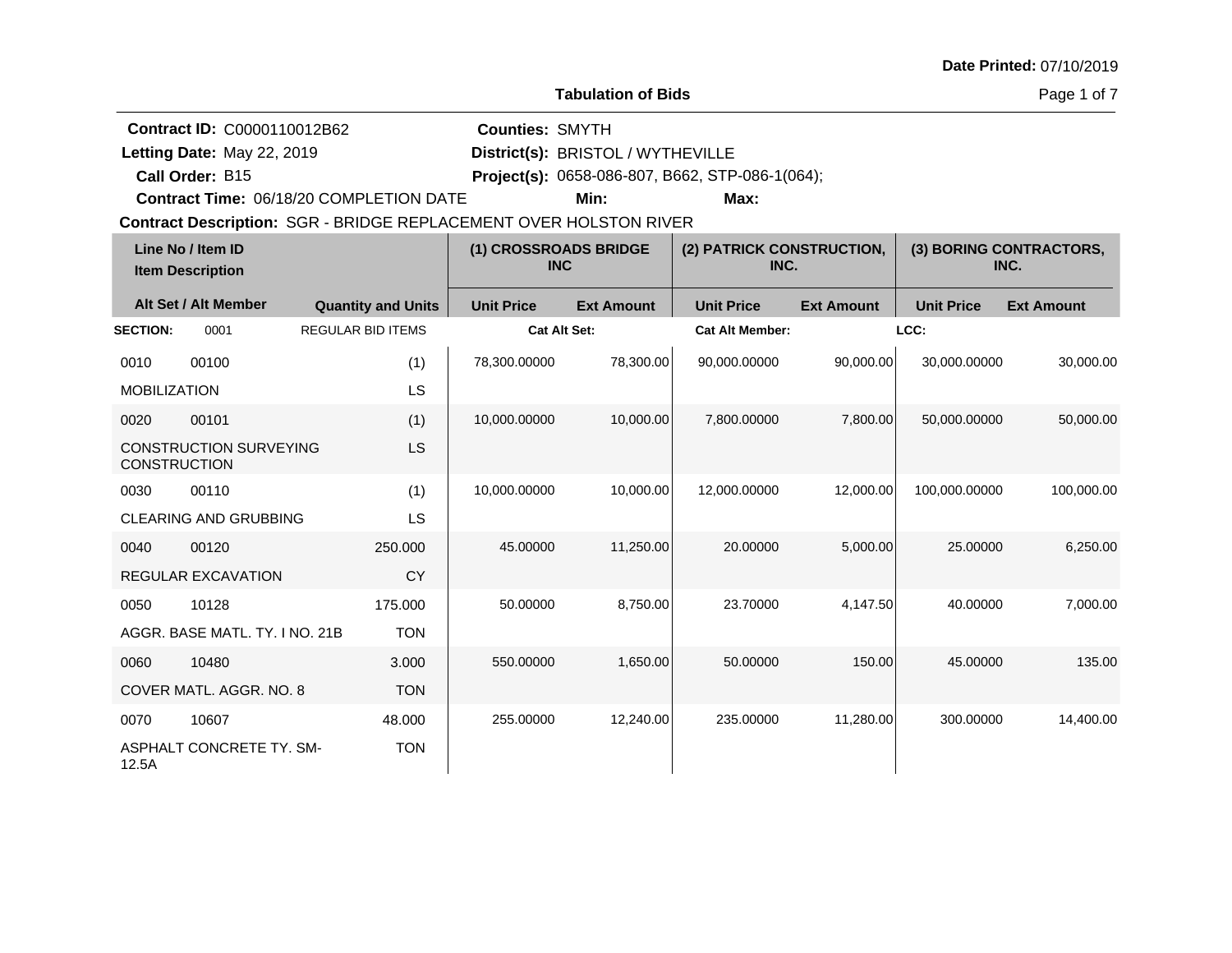**Tabulation of Bids**

Page 1 of 7

|                            | Contract ID: C0000110012B62                  |                                                                   | <b>Counties: SMYTH</b>              |                   |                                                 |                   |                   |                                 |
|----------------------------|----------------------------------------------|-------------------------------------------------------------------|-------------------------------------|-------------------|-------------------------------------------------|-------------------|-------------------|---------------------------------|
| Letting Date: May 22, 2019 |                                              | District(s): BRISTOL / WYTHEVILLE                                 |                                     |                   |                                                 |                   |                   |                                 |
| Call Order: B15            |                                              |                                                                   |                                     |                   | Project(s): 0658-086-807, B662, STP-086-1(064); |                   |                   |                                 |
|                            |                                              | <b>Contract Time: 06/18/20 COMPLETION DATE</b>                    |                                     | Min:              | Max:                                            |                   |                   |                                 |
|                            |                                              | Contract Description: SGR - BRIDGE REPLACEMENT OVER HOLSTON RIVER |                                     |                   |                                                 |                   |                   |                                 |
|                            | Line No / Item ID<br><b>Item Description</b> |                                                                   | (1) CROSSROADS BRIDGE<br><b>INC</b> |                   | (2) PATRICK CONSTRUCTION,<br>INC.               |                   |                   | (3) BORING CONTRACTORS,<br>INC. |
|                            | Alt Set / Alt Member                         | <b>Quantity and Units</b>                                         | <b>Unit Price</b>                   | <b>Ext Amount</b> | <b>Unit Price</b>                               | <b>Ext Amount</b> | <b>Unit Price</b> | <b>Ext Amount</b>               |
| <b>SECTION:</b>            | 0001                                         | <b>REGULAR BID ITEMS</b>                                          | <b>Cat Alt Set:</b>                 |                   | <b>Cat Alt Member:</b>                          |                   | LCC:              |                                 |
| 0010                       | 00100                                        | (1)                                                               | 78,300.00000                        | 78,300.00         | 90,000.00000                                    | 90,000.00         | 30,000.00000      | 30,000.00                       |
| <b>MOBILIZATION</b>        |                                              | LS                                                                |                                     |                   |                                                 |                   |                   |                                 |
| 0020                       | 00101                                        | (1)                                                               | 10,000.00000                        | 10,000.00         | 7,800.00000                                     | 7,800.00          | 50,000.00000      | 50,000.00                       |
| <b>CONSTRUCTION</b>        | <b>CONSTRUCTION SURVEYING</b>                | LS                                                                |                                     |                   |                                                 |                   |                   |                                 |
| 0030                       | 00110                                        | (1)                                                               | 10,000.00000                        | 10,000.00         | 12,000.00000                                    | 12,000.00         | 100,000.00000     | 100,000.00                      |
|                            | <b>CLEARING AND GRUBBING</b>                 | LS                                                                |                                     |                   |                                                 |                   |                   |                                 |
| 0040                       | 00120                                        | 250.000                                                           | 45.00000                            | 11,250.00         | 20.00000                                        | 5,000.00          | 25.00000          | 6,250.00                        |
|                            | <b>REGULAR EXCAVATION</b>                    | <b>CY</b>                                                         |                                     |                   |                                                 |                   |                   |                                 |
| 0050                       | 10128                                        | 175.000                                                           | 50.00000                            | 8,750.00          | 23.70000                                        | 4,147.50          | 40.00000          | 7,000.00                        |
|                            | AGGR. BASE MATL. TY. I NO. 21B               | <b>TON</b>                                                        |                                     |                   |                                                 |                   |                   |                                 |
| 0060                       | 10480                                        | 3.000                                                             | 550.00000                           | 1,650.00          | 50.00000                                        | 150.00            | 45.00000          | 135.00                          |
|                            | COVER MATL. AGGR. NO. 8                      | <b>TON</b>                                                        |                                     |                   |                                                 |                   |                   |                                 |
| 0070                       | 10607                                        | 48.000                                                            | 255.00000                           | 12,240.00         | 235.00000                                       | 11,280.00         | 300.00000         | 14,400.00                       |
| 12.5A                      | ASPHALT CONCRETE TY. SM-                     | <b>TON</b>                                                        |                                     |                   |                                                 |                   |                   |                                 |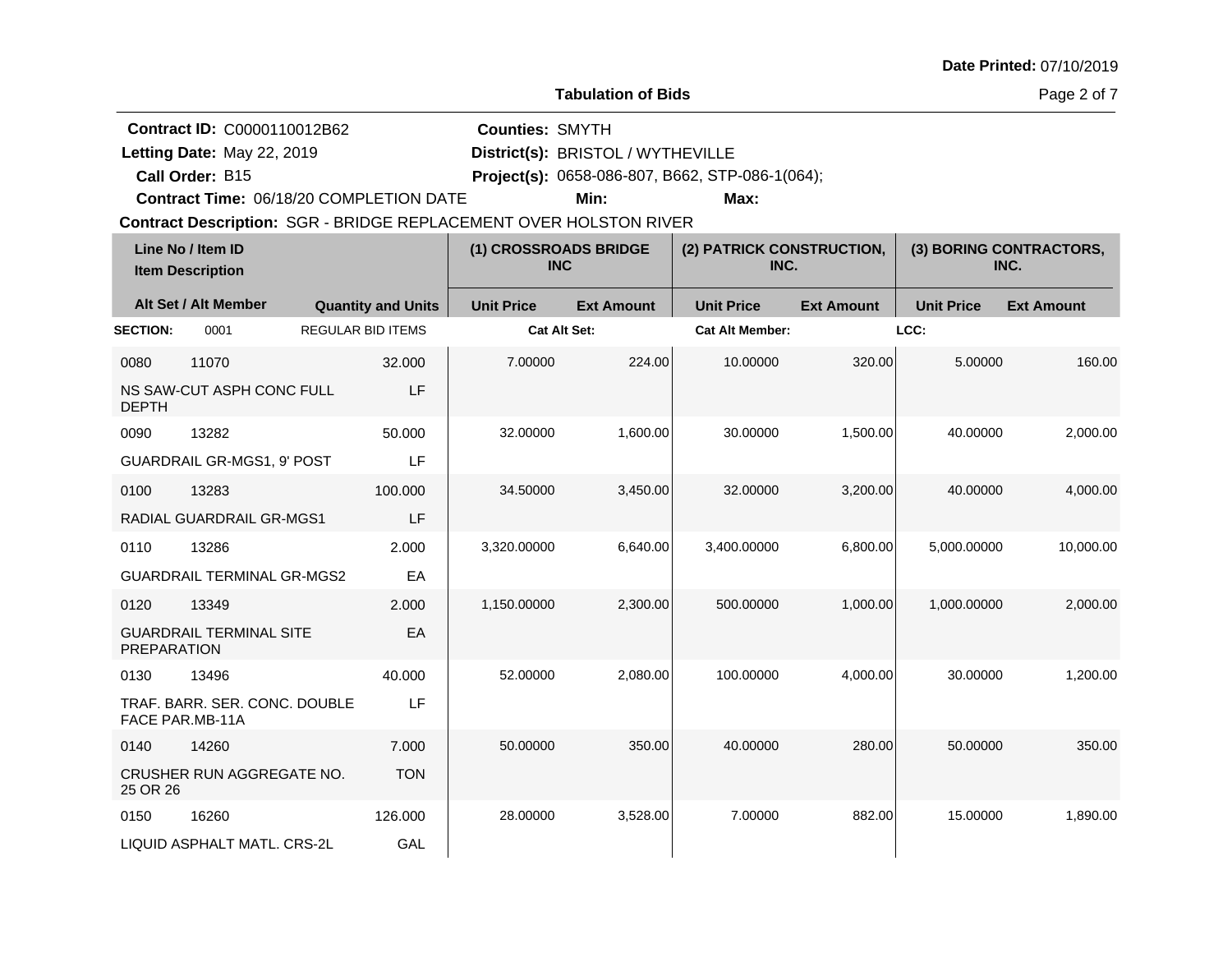**Tabulation of Bids**

Page 2 of 7

| Contract ID: C0000110012B62<br>Letting Date: May 22, 2019         |                           | <b>Counties: SMYTH</b>              | District(s): BRISTOL / WYTHEVILLE |                                                 |                                   |                   |                                 |  |
|-------------------------------------------------------------------|---------------------------|-------------------------------------|-----------------------------------|-------------------------------------------------|-----------------------------------|-------------------|---------------------------------|--|
| Call Order: B15                                                   |                           |                                     |                                   | Project(s): 0658-086-807, B662, STP-086-1(064); |                                   |                   |                                 |  |
| Contract Time: 06/18/20 COMPLETION DATE                           |                           |                                     | Min:                              | Max:                                            |                                   |                   |                                 |  |
| Contract Description: SGR - BRIDGE REPLACEMENT OVER HOLSTON RIVER |                           |                                     |                                   |                                                 |                                   |                   |                                 |  |
| Line No / Item ID<br><b>Item Description</b>                      |                           | (1) CROSSROADS BRIDGE<br><b>INC</b> |                                   |                                                 | (2) PATRICK CONSTRUCTION,<br>INC. |                   | (3) BORING CONTRACTORS,<br>INC. |  |
| Alt Set / Alt Member                                              | <b>Quantity and Units</b> | <b>Unit Price</b>                   | <b>Ext Amount</b>                 | <b>Unit Price</b>                               | <b>Ext Amount</b>                 | <b>Unit Price</b> | <b>Ext Amount</b>               |  |
| <b>SECTION:</b><br>0001                                           | <b>REGULAR BID ITEMS</b>  |                                     | <b>Cat Alt Set:</b>               | <b>Cat Alt Member:</b>                          |                                   | LCC:              |                                 |  |
| 0080<br>11070                                                     | 32.000                    | 7.00000                             | 224.00                            | 10.00000                                        | 320.00                            | 5.00000           | 160.00                          |  |
| NS SAW-CUT ASPH CONC FULL<br><b>DEPTH</b>                         | LF                        |                                     |                                   |                                                 |                                   |                   |                                 |  |
| 0090<br>13282                                                     | 50.000                    | 32.00000                            | 1,600.00                          | 30.00000                                        | 1,500.00                          | 40.00000          | 2,000.00                        |  |
| <b>GUARDRAIL GR-MGS1, 9' POST</b>                                 | LF                        |                                     |                                   |                                                 |                                   |                   |                                 |  |
| 13283<br>0100                                                     | 100.000                   | 34.50000                            | 3,450.00                          | 32.00000                                        | 3,200.00                          | 40.00000          | 4,000.00                        |  |
| RADIAL GUARDRAIL GR-MGS1                                          | LF                        |                                     |                                   |                                                 |                                   |                   |                                 |  |
| 0110<br>13286                                                     | 2.000                     | 3,320.00000                         | 6,640.00                          | 3,400.00000                                     | 6,800.00                          | 5,000.00000       | 10,000.00                       |  |
| <b>GUARDRAIL TERMINAL GR-MGS2</b>                                 | EA                        |                                     |                                   |                                                 |                                   |                   |                                 |  |
| 0120<br>13349                                                     | 2.000                     | 1,150.00000                         | 2,300.00                          | 500.00000                                       | 1,000.00                          | 1,000.00000       | 2,000.00                        |  |
| <b>GUARDRAIL TERMINAL SITE</b><br><b>PREPARATION</b>              | EA                        |                                     |                                   |                                                 |                                   |                   |                                 |  |
| 0130<br>13496                                                     | 40.000                    | 52.00000                            | 2,080.00                          | 100.00000                                       | 4,000.00                          | 30.00000          | 1,200.00                        |  |
| TRAF. BARR. SER. CONC. DOUBLE<br>FACE PAR.MB-11A                  | LF                        |                                     |                                   |                                                 |                                   |                   |                                 |  |
| 0140<br>14260                                                     | 7.000                     | 50.00000                            | 350.00                            | 40.00000                                        | 280.00                            | 50.00000          | 350.00                          |  |
| CRUSHER RUN AGGREGATE NO.<br>25 OR 26                             | <b>TON</b>                |                                     |                                   |                                                 |                                   |                   |                                 |  |
| 16260<br>0150                                                     | 126.000                   | 28.00000                            | 3,528.00                          | 7.00000                                         | 882.00                            | 15.00000          | 1,890.00                        |  |
| LIQUID ASPHALT MATL, CRS-2L                                       | GAL                       |                                     |                                   |                                                 |                                   |                   |                                 |  |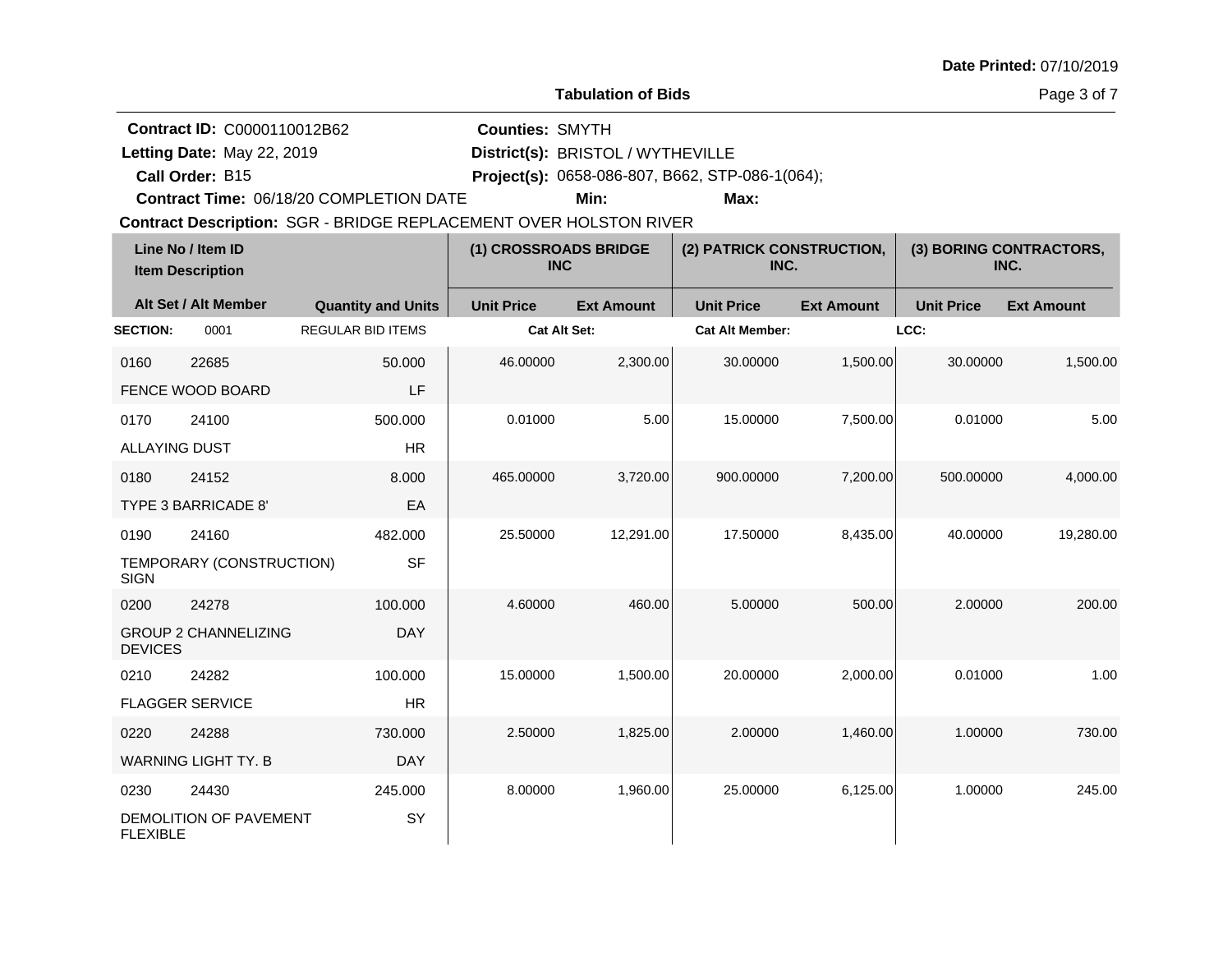**Tabulation of Bids**

Page 3 of 7

**Quantity and Units Unit Price Alt Set / Alt Member Ext Amount Ext Amount Line No / Item ID Unit Price Ext Amount Unit Price Item Description (1) CROSSROADS BRIDGE INC (2) PATRICK CONSTRUCTION, INC. (3) BORING CONTRACTORS, INC. SECTION:** 0001 REGULAR BID ITEMS **Cat Alt Set: Cat Alt Member: LCC:** 0160 22685 FENCE WOOD BOARD 50.000 LF 46.00000 2,300.00 30.00000 1,500.00 30.00000 1,500.00 0170 24100 ALLAYING DUST 500.000 HR  $0.01000$  5.00 5.00 5.00000 7,500.00 5.00 0180 24152 TYPE 3 BARRICADE 8' 8.000 EA 465.00000 3,720.00 900.00000 7,200.00 500.00000 4,000.00 0190 24160 TEMPORARY (CONSTRUCTION) **SIGN** 482.000 SF 25.50000 12,291.00 17.50000 8,435.00 40.00000 19,280.00 0200 24278 GROUP 2 CHANNELIZING **DEVICES** 100.000 DAY 4.60000 460.00 5.00000 500.00 2.00000 200.00 0210 24282 FLAGGER SERVICE 100.000 HR 15.00000 1,500.00 20.00000 2,000.00 0.01000 1.00 0220 24288 WARNING LIGHT TY. B 730.000 DAY 2.50000 1,825.00 2.00000 1,460.00 1.00000 730.00 0230 24430 DEMOLITION OF PAVEMENT FLEXIBLE 245.000 **SY** 8.00000 1,960.00 25.00000 6,125.00 1.00000 245.00 Contract Description: SGR - BRIDGE REPLACEMENT OVER HOLSTON RIVER **Call Order: Letting Date:** May 22, 2019 **District(s): BRISTOL** / WYTHEVILLE **Contract ID:** C0000110012B62 **Counties:** SMYTH B15 **Project(s):** 0658-086-807, B662, STP-086-1(064);**Contract Time:** 06/18/20 COMPLETION DATE Letting Date: May 22, 2019 **Min: Max:**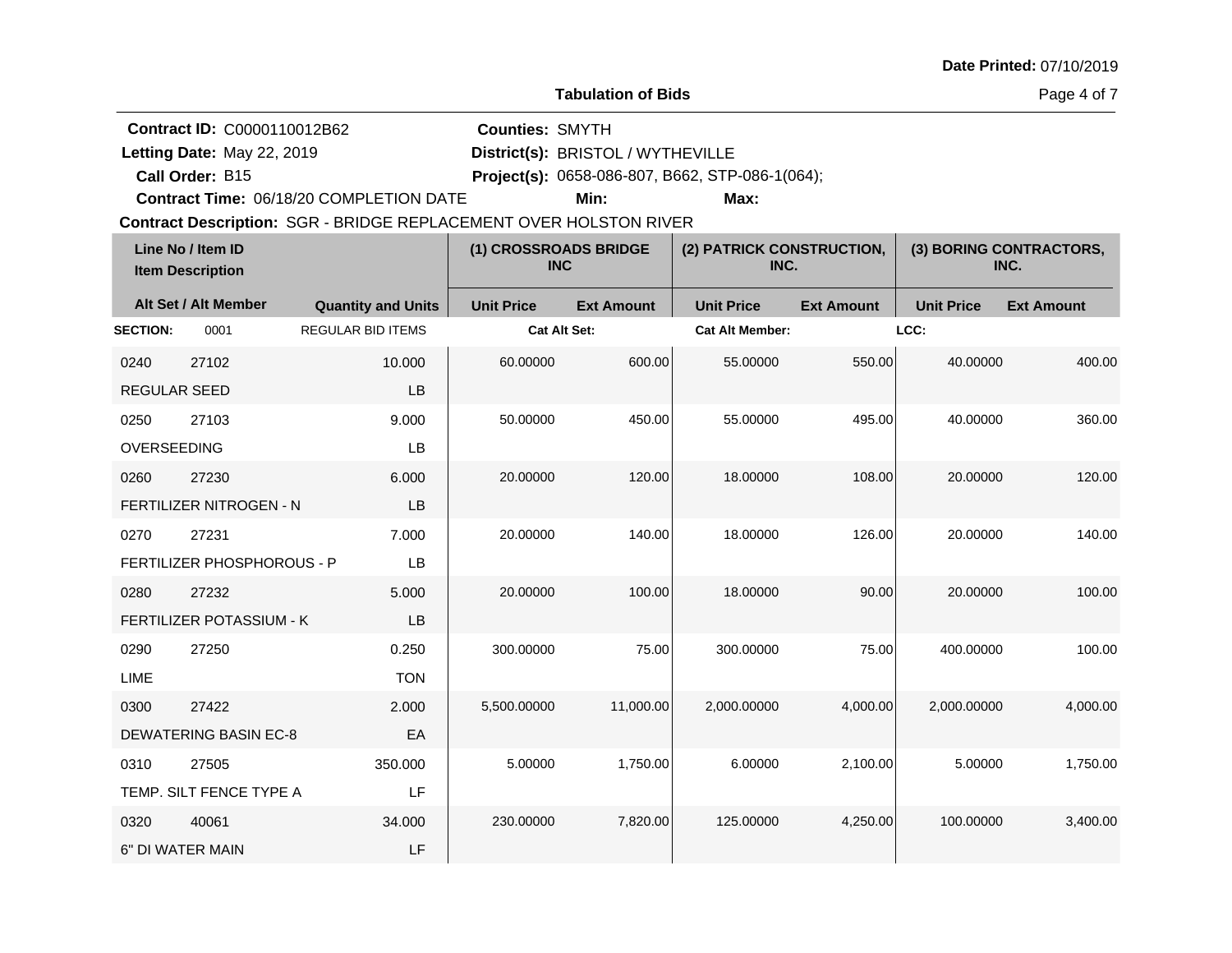**Tabulation of Bids**

Page 4 of 7

**Quantity and Units Unit Price Alt Set / Alt Member Ext Amount Ext Amount Line No / Item ID Unit Price Ext Amount Unit Price Item Description (1) CROSSROADS BRIDGE INC (2) PATRICK CONSTRUCTION, INC. (3) BORING CONTRACTORS, INC. SECTION:** 0001 REGULAR BID ITEMS **Cat Alt Set: Cat Alt Member: LCC:** 0240 27102 REGULAR SEED 10.000 LB 60.00000 600.00 55.00000 550.00 40.00000 400.00 0250 27103 OVERSEEDING 9.000 LB 50.00000 450.00 55.00000 495.00 40.00000 360.00 0260 27230 FERTILIZER NITROGEN - N 6.000 LB 20.00000 120.00 18.00000 108.00 20.00000 120.00 0270 27231 FERTILIZER PHOSPHOROUS - P 7.000 LB 20.00000 140.00 18.00000 126.00 20.00000 140.00 0280 27232 FERTILIZER POTASSIUM - K 5.000 LB 20.00000 100.00 18.00000 90.00 20.00000 100.00 0290 27250 LIME 0.250 **TON** 300.00000 75.00 300.00000 75.00 400.00000 100.00 0300 27422 DEWATERING BASIN EC-8 2.000 EA 5,500.00000 11,000.00 2,000.00000 4,000.00 2,000.00000 4,000.00 0310 27505 TEMP. SILT FENCE TYPE A 350.000 LF 5.00000 1,750.00 6.00000 2,100.00 5.00000 1,750.00 0320 40061 6" DI WATER MAIN 34.000 LF 230.00000 7,820.00 125.00000 4,250.00 100.00000 3,400.00 Contract Description: SGR - BRIDGE REPLACEMENT OVER HOLSTON RIVER **Call Order: Letting Date:** May 22, 2019 **District(s): BRISTOL** / WYTHEVILLE **Contract ID:** C0000110012B62 **Counties:** SMYTH B15 **Project(s):** 0658-086-807, B662, STP-086-1(064);**Contract Time:** 06/18/20 COMPLETION DATE Letting Date: May 22, 2019 **Min: Max:**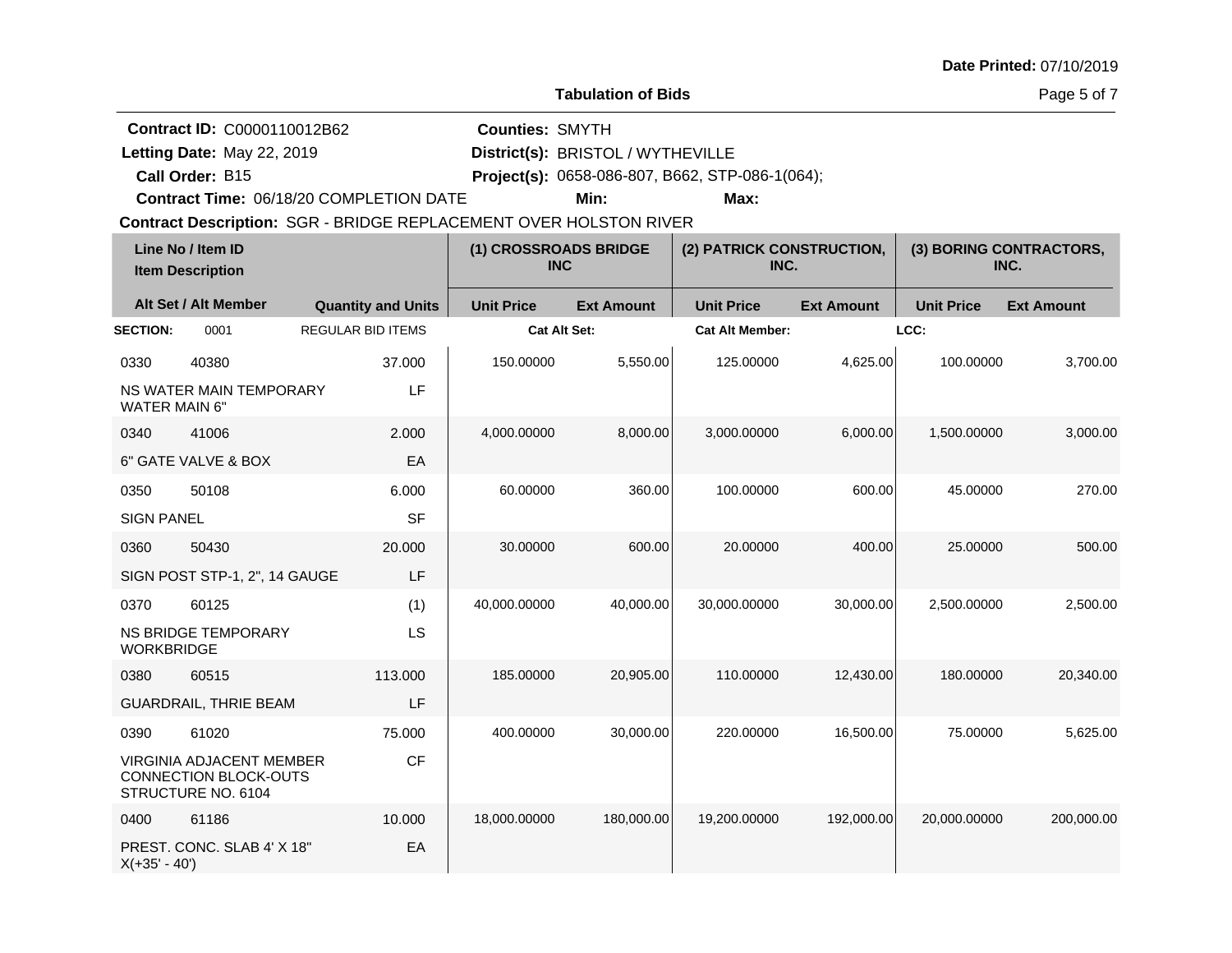**Tabulation of Bids**

Page 5 of 7

| Contract ID: C0000110012B62                                             |                           | <b>Counties: SMYTH</b> |                                     |                                                 |                   |                                 |                   |
|-------------------------------------------------------------------------|---------------------------|------------------------|-------------------------------------|-------------------------------------------------|-------------------|---------------------------------|-------------------|
| Letting Date: May 22, 2019                                              |                           |                        | District(s): BRISTOL / WYTHEVILLE   |                                                 |                   |                                 |                   |
| Call Order: B15                                                         |                           |                        |                                     | Project(s): 0658-086-807, B662, STP-086-1(064); |                   |                                 |                   |
| Contract Time: 06/18/20 COMPLETION DATE                                 |                           |                        | Min:                                | Max:                                            |                   |                                 |                   |
| Contract Description: SGR - BRIDGE REPLACEMENT OVER HOLSTON RIVER       |                           |                        |                                     |                                                 |                   |                                 |                   |
| Line No / Item ID<br><b>Item Description</b>                            |                           |                        | (1) CROSSROADS BRIDGE<br><b>INC</b> | (2) PATRICK CONSTRUCTION,<br>INC.               |                   | (3) BORING CONTRACTORS,<br>INC. |                   |
| Alt Set / Alt Member                                                    | <b>Quantity and Units</b> | <b>Unit Price</b>      | <b>Ext Amount</b>                   | <b>Unit Price</b>                               | <b>Ext Amount</b> | <b>Unit Price</b>               | <b>Ext Amount</b> |
| 0001<br><b>SECTION:</b>                                                 | <b>REGULAR BID ITEMS</b>  |                        | Cat Alt Set:                        | <b>Cat Alt Member:</b>                          |                   | LCC:                            |                   |
| 0330<br>40380                                                           | 37,000                    | 150.00000              | 5,550.00                            | 125.00000                                       | 4,625.00          | 100.00000                       | 3,700.00          |
| NS WATER MAIN TEMPORARY<br><b>WATER MAIN 6"</b>                         | LF                        |                        |                                     |                                                 |                   |                                 |                   |
| 0340<br>41006                                                           | 2.000                     | 4,000.00000            | 8,000.00                            | 3,000.00000                                     | 6,000.00          | 1,500.00000                     | 3,000.00          |
| 6" GATE VALVE & BOX                                                     | EA                        |                        |                                     |                                                 |                   |                                 |                   |
| 50108<br>0350                                                           | 6.000                     | 60.00000               | 360.00                              | 100.00000                                       | 600.00            | 45.00000                        | 270.00            |
| <b>SIGN PANEL</b>                                                       | <b>SF</b>                 |                        |                                     |                                                 |                   |                                 |                   |
| 0360<br>50430                                                           | 20.000                    | 30.00000               | 600.00                              | 20.00000                                        | 400.00            | 25.00000                        | 500.00            |
| SIGN POST STP-1, 2", 14 GAUGE                                           | LF                        |                        |                                     |                                                 |                   |                                 |                   |
| 60125<br>0370                                                           | (1)                       | 40,000.00000           | 40,000.00                           | 30,000.00000                                    | 30,000.00         | 2,500.00000                     | 2,500.00          |
| <b>NS BRIDGE TEMPORARY</b><br><b>WORKBRIDGE</b>                         | LS                        |                        |                                     |                                                 |                   |                                 |                   |
| 0380<br>60515                                                           | 113.000                   | 185.00000              | 20,905.00                           | 110.00000                                       | 12,430.00         | 180.00000                       | 20,340.00         |
| <b>GUARDRAIL, THRIE BEAM</b>                                            | LF                        |                        |                                     |                                                 |                   |                                 |                   |
| 0390<br>61020                                                           | 75.000                    | 400.00000              | 30,000.00                           | 220.00000                                       | 16,500.00         | 75.00000                        | 5,625.00          |
| VIRGINIA ADJACENT MEMBER<br>CONNECTION BLOCK-OUTS<br>STRUCTURE NO. 6104 | CF                        |                        |                                     |                                                 |                   |                                 |                   |
| 0400<br>61186                                                           | 10.000                    | 18,000.00000           | 180,000.00                          | 19,200.00000                                    | 192,000.00        | 20,000.00000                    | 200,000.00        |
| PREST. CONC. SLAB 4' X 18"<br>$X(+35' - 40')$                           | EA                        |                        |                                     |                                                 |                   |                                 |                   |
|                                                                         |                           |                        |                                     |                                                 |                   |                                 |                   |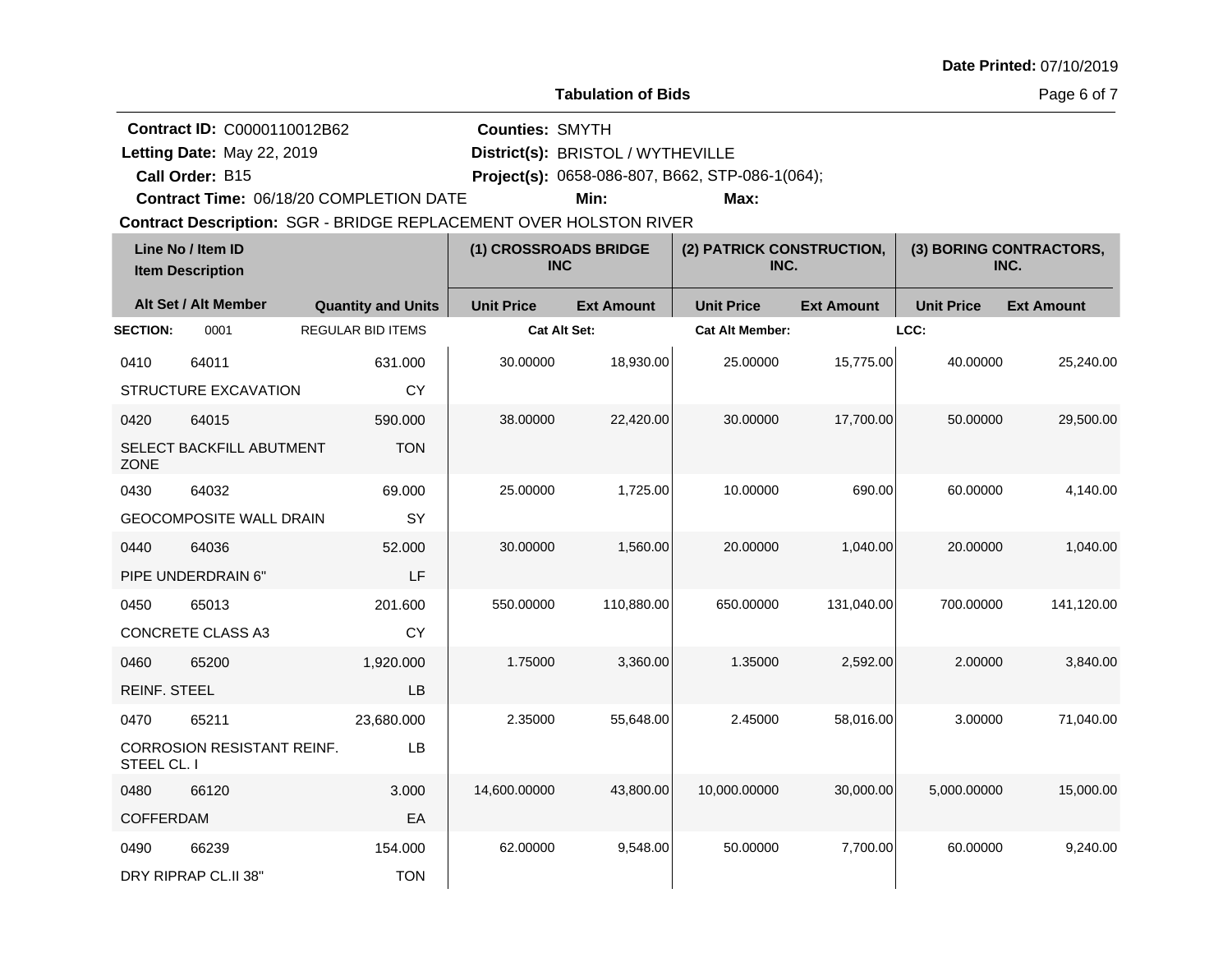**Tabulation of Bids**

Page 6 of 7

|                     | Contract ID: C0000110012B62                  |                                                                   | <b>Counties: SMYTH</b>              |                                   |                                                 |                   |                                 |                   |  |  |
|---------------------|----------------------------------------------|-------------------------------------------------------------------|-------------------------------------|-----------------------------------|-------------------------------------------------|-------------------|---------------------------------|-------------------|--|--|
|                     | Letting Date: May 22, 2019                   |                                                                   |                                     | District(s): BRISTOL / WYTHEVILLE |                                                 |                   |                                 |                   |  |  |
|                     | Call Order: B15                              |                                                                   |                                     |                                   | Project(s): 0658-086-807, B662, STP-086-1(064); |                   |                                 |                   |  |  |
|                     |                                              | Contract Time: 06/18/20 COMPLETION DATE                           |                                     | Min:                              | Max:                                            |                   |                                 |                   |  |  |
|                     |                                              | Contract Description: SGR - BRIDGE REPLACEMENT OVER HOLSTON RIVER |                                     |                                   |                                                 |                   |                                 |                   |  |  |
|                     | Line No / Item ID<br><b>Item Description</b> |                                                                   | (1) CROSSROADS BRIDGE<br><b>INC</b> |                                   | (2) PATRICK CONSTRUCTION,<br>INC.               |                   | (3) BORING CONTRACTORS,<br>INC. |                   |  |  |
|                     | Alt Set / Alt Member                         | <b>Quantity and Units</b>                                         | <b>Unit Price</b>                   | <b>Ext Amount</b>                 | <b>Unit Price</b>                               | <b>Ext Amount</b> | <b>Unit Price</b>               | <b>Ext Amount</b> |  |  |
| <b>SECTION:</b>     | 0001                                         | <b>REGULAR BID ITEMS</b>                                          | Cat Alt Set:                        |                                   | <b>Cat Alt Member:</b>                          |                   | LCC:                            |                   |  |  |
| 0410                | 64011                                        | 631.000                                                           | 30.00000                            | 18,930.00                         | 25.00000                                        | 15,775.00         | 40.00000                        | 25,240.00         |  |  |
|                     | STRUCTURE EXCAVATION                         | <b>CY</b>                                                         |                                     |                                   |                                                 |                   |                                 |                   |  |  |
| 0420                | 64015                                        | 590.000                                                           | 38.00000                            | 22,420.00                         | 30.00000                                        | 17,700.00         | 50.00000                        | 29,500.00         |  |  |
| <b>ZONE</b>         | SELECT BACKFILL ABUTMENT                     | <b>TON</b>                                                        |                                     |                                   |                                                 |                   |                                 |                   |  |  |
| 0430                | 64032                                        | 69.000                                                            | 25.00000                            | 1,725.00                          | 10.00000                                        | 690.00            | 60.00000                        | 4,140.00          |  |  |
|                     | <b>GEOCOMPOSITE WALL DRAIN</b>               | SY                                                                |                                     |                                   |                                                 |                   |                                 |                   |  |  |
| 0440                | 64036                                        | 52,000                                                            | 30.00000                            | 1,560.00                          | 20.00000                                        | 1,040.00          | 20.00000                        | 1,040.00          |  |  |
|                     | PIPE UNDERDRAIN 6"                           | LF                                                                |                                     |                                   |                                                 |                   |                                 |                   |  |  |
| 0450                | 65013                                        | 201.600                                                           | 550.00000                           | 110,880.00                        | 650.00000                                       | 131,040.00        | 700.00000                       | 141,120.00        |  |  |
|                     | CONCRETE CLASS A3                            | <b>CY</b>                                                         |                                     |                                   |                                                 |                   |                                 |                   |  |  |
| 0460                | 65200                                        | 1,920.000                                                         | 1.75000                             | 3,360.00                          | 1.35000                                         | 2,592.00          | 2.00000                         | 3,840.00          |  |  |
| <b>REINF. STEEL</b> |                                              | LB                                                                |                                     |                                   |                                                 |                   |                                 |                   |  |  |
| 0470                | 65211                                        | 23,680.000                                                        | 2.35000                             | 55,648.00                         | 2.45000                                         | 58,016.00         | 3.00000                         | 71,040.00         |  |  |
| STEEL CL. I         | CORROSION RESISTANT REINF.                   | LB                                                                |                                     |                                   |                                                 |                   |                                 |                   |  |  |
| 0480                | 66120                                        | 3.000                                                             | 14,600.00000                        | 43,800.00                         | 10,000.00000                                    | 30,000.00         | 5,000.00000                     | 15,000.00         |  |  |
| <b>COFFERDAM</b>    |                                              | EA                                                                |                                     |                                   |                                                 |                   |                                 |                   |  |  |
| 0490                | 66239                                        | 154.000                                                           | 62.00000                            | 9,548.00                          | 50.00000                                        | 7,700.00          | 60.00000                        | 9,240.00          |  |  |
|                     | DRY RIPRAP CL.II 38"                         | <b>TON</b>                                                        |                                     |                                   |                                                 |                   |                                 |                   |  |  |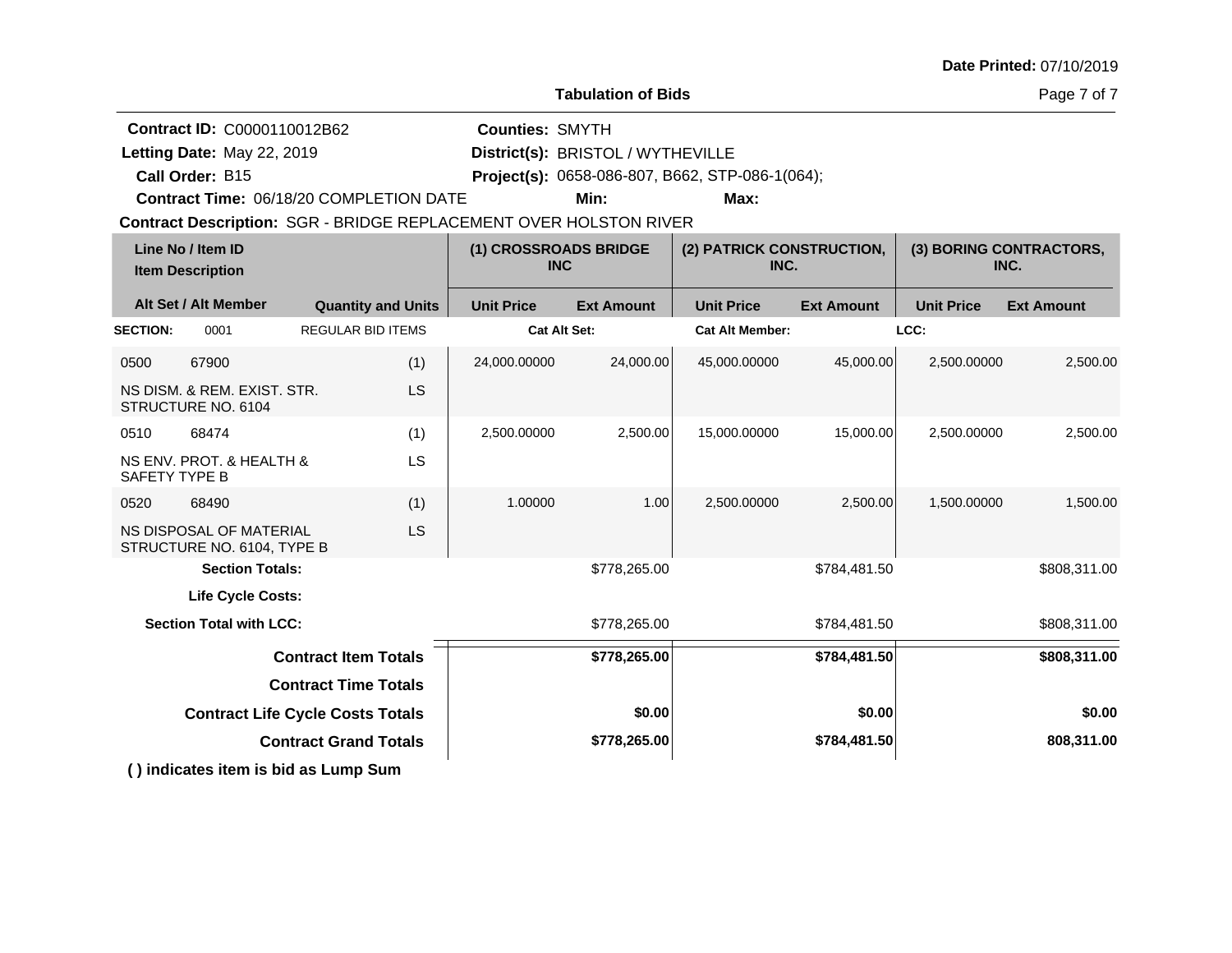| Date Printed: 07/10/2019 |  |
|--------------------------|--|
|--------------------------|--|

**Tabulation of Bids**

Page 7 of 7

|                                              | Contract ID: C0000110012B62                           |                                     |                           | <b>Counties: SMYTH</b>                                            |                   |                                                 |                   |                   |                   |  |
|----------------------------------------------|-------------------------------------------------------|-------------------------------------|---------------------------|-------------------------------------------------------------------|-------------------|-------------------------------------------------|-------------------|-------------------|-------------------|--|
|                                              | Letting Date: May 22, 2019                            |                                     |                           | District(s): BRISTOL / WYTHEVILLE                                 |                   |                                                 |                   |                   |                   |  |
|                                              | Call Order: B15                                       |                                     |                           |                                                                   |                   | Project(s): 0658-086-807, B662, STP-086-1(064); |                   |                   |                   |  |
|                                              | <b>Contract Time: 06/18/20 COMPLETION DATE</b>        |                                     |                           |                                                                   | Min:              | Max:                                            |                   |                   |                   |  |
|                                              |                                                       |                                     |                           | Contract Description: SGR - BRIDGE REPLACEMENT OVER HOLSTON RIVER |                   |                                                 |                   |                   |                   |  |
| Line No / Item ID<br><b>Item Description</b> |                                                       | (1) CROSSROADS BRIDGE<br><b>INC</b> |                           | (2) PATRICK CONSTRUCTION,<br>INC.                                 |                   | (3) BORING CONTRACTORS,<br>INC.                 |                   |                   |                   |  |
|                                              | Alt Set / Alt Member                                  |                                     | <b>Quantity and Units</b> | <b>Unit Price</b>                                                 | <b>Ext Amount</b> | <b>Unit Price</b>                               | <b>Ext Amount</b> | <b>Unit Price</b> | <b>Ext Amount</b> |  |
| <b>SECTION:</b>                              | 0001                                                  | <b>REGULAR BID ITEMS</b>            |                           | <b>Cat Alt Set:</b>                                               |                   | <b>Cat Alt Member:</b>                          |                   | LCC:              |                   |  |
| 0500                                         | 67900                                                 |                                     | (1)                       | 24,000.00000                                                      | 24,000.00         | 45,000.00000                                    | 45,000.00         | 2,500.00000       | 2,500.00          |  |
|                                              | NS DISM. & REM. EXIST. STR.<br>STRUCTURE NO. 6104     |                                     | <b>LS</b>                 |                                                                   |                   |                                                 |                   |                   |                   |  |
| 0510                                         | 68474                                                 |                                     | (1)                       | 2,500.00000                                                       | 2,500.00          | 15,000.00000                                    | 15,000.00         | 2,500.00000       | 2,500.00          |  |
| SAFETY TYPE B                                | NS ENV. PROT. & HEALTH &                              |                                     | LS                        |                                                                   |                   |                                                 |                   |                   |                   |  |
| 0520                                         | 68490                                                 |                                     | (1)                       | 1.00000                                                           | 1.00              | 2,500.00000                                     | 2,500.00          | 1,500.00000       | 1,500.00          |  |
|                                              | NS DISPOSAL OF MATERIAL<br>STRUCTURE NO. 6104, TYPE B |                                     | LS                        |                                                                   |                   |                                                 |                   |                   |                   |  |
|                                              | <b>Section Totals:</b>                                |                                     |                           |                                                                   | \$778,265.00      |                                                 | \$784,481.50      |                   | \$808,311.00      |  |
|                                              | <b>Life Cycle Costs:</b>                              |                                     |                           |                                                                   |                   |                                                 |                   |                   |                   |  |
|                                              | <b>Section Total with LCC:</b>                        |                                     |                           |                                                                   | \$778,265.00      |                                                 | \$784,481.50      |                   | \$808,311.00      |  |
|                                              |                                                       | <b>Contract Item Totals</b>         |                           |                                                                   | \$778,265.00      |                                                 | \$784,481.50      |                   | \$808,311.00      |  |
|                                              |                                                       | <b>Contract Time Totals</b>         |                           |                                                                   |                   |                                                 |                   |                   |                   |  |
|                                              | <b>Contract Life Cycle Costs Totals</b>               |                                     |                           |                                                                   | \$0.00            |                                                 | \$0.00            |                   | \$0.00            |  |
|                                              |                                                       | <b>Contract Grand Totals</b>        |                           |                                                                   | \$778,265.00      |                                                 | \$784,481.50      |                   | 808,311.00        |  |
|                                              | () indicates item is bid as Lump Sum                  |                                     |                           |                                                                   |                   |                                                 |                   |                   |                   |  |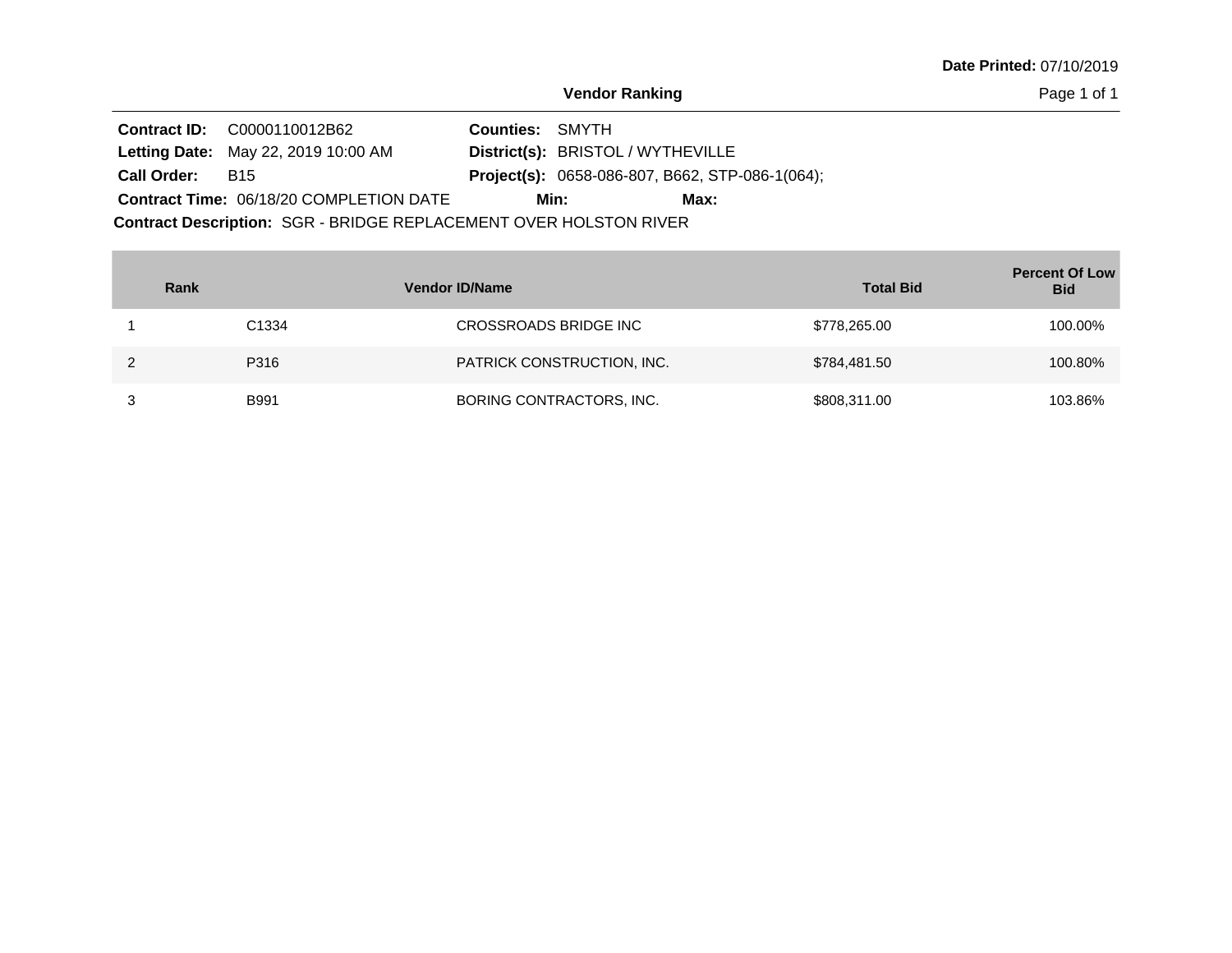Page 1 of 1

|             | <b>Contract ID:</b> C0000110012B62                                | <b>Counties: SMYTH</b> |                                                        |  |  |  |  |  |
|-------------|-------------------------------------------------------------------|------------------------|--------------------------------------------------------|--|--|--|--|--|
|             | <b>Letting Date: May 22, 2019 10:00 AM</b>                        |                        | District(s): BRISTOL / WYTHEVILLE                      |  |  |  |  |  |
| Call Order: | B <sub>15</sub>                                                   |                        | <b>Project(s):</b> 0658-086-807, B662, STP-086-1(064); |  |  |  |  |  |
|             | Contract Time: 06/18/20 COMPLETION DATE                           |                        | Min:<br>Max:                                           |  |  |  |  |  |
|             | Contract Description: SGR - BRIDGE REPLACEMENT OVER HOLSTON RIVER |                        |                                                        |  |  |  |  |  |

| Rank |                   | <b>Vendor ID/Name</b>      | <b>Total Bid</b> | <b>Percent Of Low</b><br><b>Bid</b> |
|------|-------------------|----------------------------|------------------|-------------------------------------|
|      | C <sub>1334</sub> | CROSSROADS BRIDGE INC      | \$778,265.00     | 100.00%                             |
|      | P316              | PATRICK CONSTRUCTION, INC. | \$784,481.50     | 100.80%                             |
|      | <b>B991</b>       | BORING CONTRACTORS, INC.   | \$808,311.00     | 103.86%                             |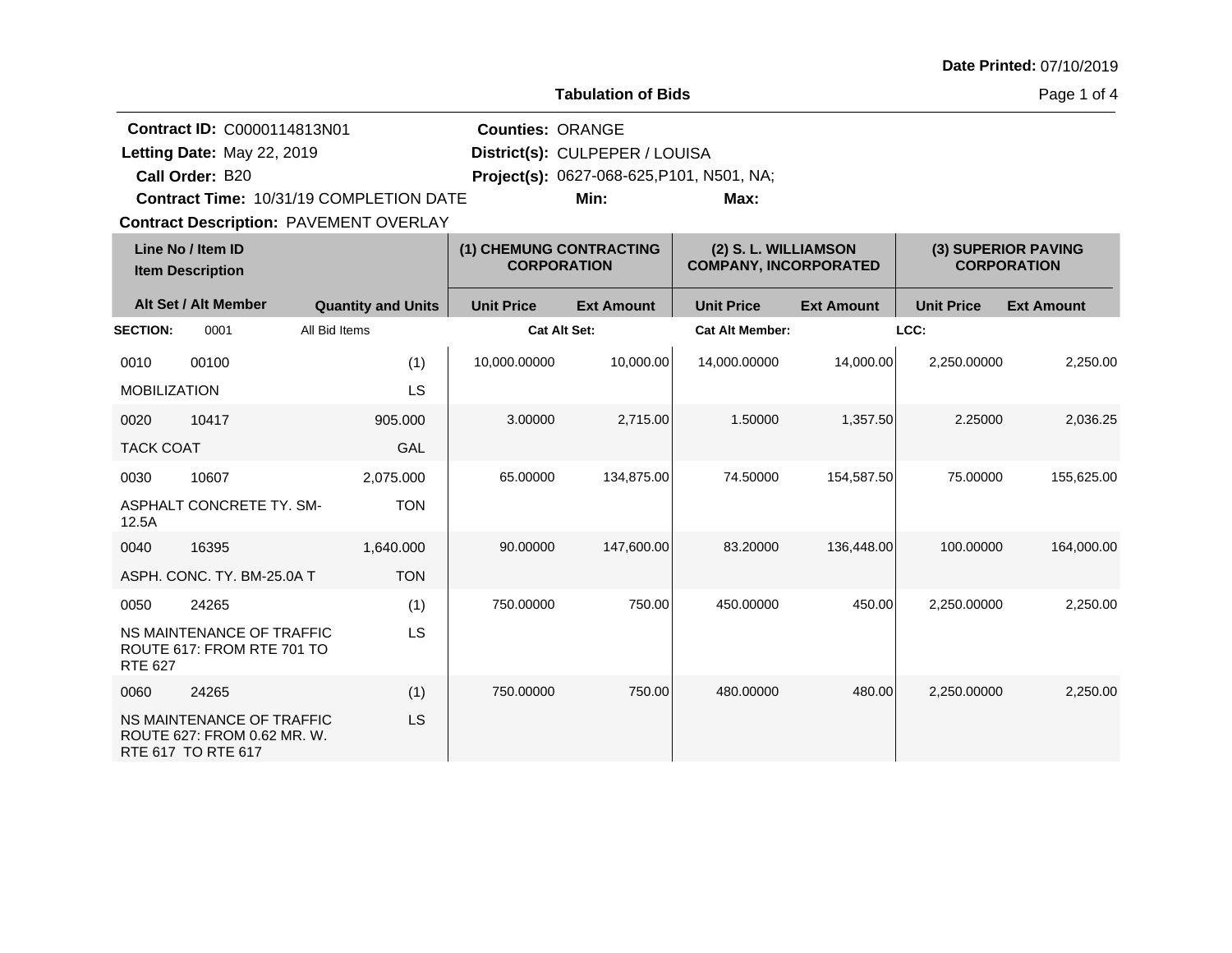| Date Printed: 07/10/2019 |  |
|--------------------------|--|
|--------------------------|--|

**Tabulation of Bids**

Page 1 of 4

|                     | <b>Contract ID: C0000114813N01</b>                                             |                                                | <b>Counties: ORANGE</b>                       |                                           |                                                      |                   |                                           |                   |
|---------------------|--------------------------------------------------------------------------------|------------------------------------------------|-----------------------------------------------|-------------------------------------------|------------------------------------------------------|-------------------|-------------------------------------------|-------------------|
|                     | Letting Date: May 22, 2019                                                     |                                                |                                               | District(s): CULPEPER / LOUISA            |                                                      |                   |                                           |                   |
|                     | Call Order: B20                                                                |                                                |                                               | Project(s): 0627-068-625, P101, N501, NA; |                                                      |                   |                                           |                   |
|                     |                                                                                | <b>Contract Time: 10/31/19 COMPLETION DATE</b> |                                               | Min:                                      | Max:                                                 |                   |                                           |                   |
|                     |                                                                                | <b>Contract Description: PAVEMENT OVERLAY</b>  |                                               |                                           |                                                      |                   |                                           |                   |
|                     | Line No / Item ID<br><b>Item Description</b>                                   |                                                | (1) CHEMUNG CONTRACTING<br><b>CORPORATION</b> |                                           | (2) S. L. WILLIAMSON<br><b>COMPANY, INCORPORATED</b> |                   | (3) SUPERIOR PAVING<br><b>CORPORATION</b> |                   |
|                     | Alt Set / Alt Member                                                           | <b>Quantity and Units</b>                      | <b>Unit Price</b>                             | <b>Ext Amount</b>                         | <b>Unit Price</b>                                    | <b>Ext Amount</b> | <b>Unit Price</b>                         | <b>Ext Amount</b> |
| <b>SECTION:</b>     | 0001                                                                           | All Bid Items                                  | <b>Cat Alt Set:</b>                           |                                           | <b>Cat Alt Member:</b>                               |                   | LCC:                                      |                   |
| 0010                | 00100                                                                          | (1)                                            | 10,000.00000                                  | 10,000.00                                 | 14,000.00000                                         | 14,000.00         | 2,250.00000                               | 2,250.00          |
| <b>MOBILIZATION</b> |                                                                                | LS                                             |                                               |                                           |                                                      |                   |                                           |                   |
| 0020                | 10417                                                                          | 905.000                                        | 3.00000                                       | 2,715.00                                  | 1.50000                                              | 1,357.50          | 2.25000                                   | 2,036.25          |
| <b>TACK COAT</b>    |                                                                                | <b>GAL</b>                                     |                                               |                                           |                                                      |                   |                                           |                   |
| 0030                | 10607                                                                          | 2,075.000                                      | 65.00000                                      | 134,875.00                                | 74.50000                                             | 154,587.50        | 75.00000                                  | 155,625.00        |
| 12.5A               | ASPHALT CONCRETE TY. SM-                                                       | <b>TON</b>                                     |                                               |                                           |                                                      |                   |                                           |                   |
| 0040                | 16395                                                                          | 1,640.000                                      | 90.00000                                      | 147,600.00                                | 83.20000                                             | 136,448.00        | 100.00000                                 | 164,000.00        |
|                     | ASPH. CONC. TY. BM-25.0A T                                                     | <b>TON</b>                                     |                                               |                                           |                                                      |                   |                                           |                   |
| 0050                | 24265                                                                          | (1)                                            | 750.00000                                     | 750.00                                    | 450.00000                                            | 450.00            | 2,250.00000                               | 2,250.00          |
| <b>RTE 627</b>      | NS MAINTENANCE OF TRAFFIC<br>ROUTE 617: FROM RTE 701 TO                        | LS                                             |                                               |                                           |                                                      |                   |                                           |                   |
| 0060                | 24265                                                                          | (1)                                            | 750.00000                                     | 750.00                                    | 480.00000                                            | 480.00            | 2,250.00000                               | 2,250.00          |
|                     | NS MAINTENANCE OF TRAFFIC<br>ROUTE 627: FROM 0.62 MR. W.<br>RTE 617 TO RTE 617 | LS                                             |                                               |                                           |                                                      |                   |                                           |                   |
|                     |                                                                                |                                                |                                               |                                           |                                                      |                   |                                           |                   |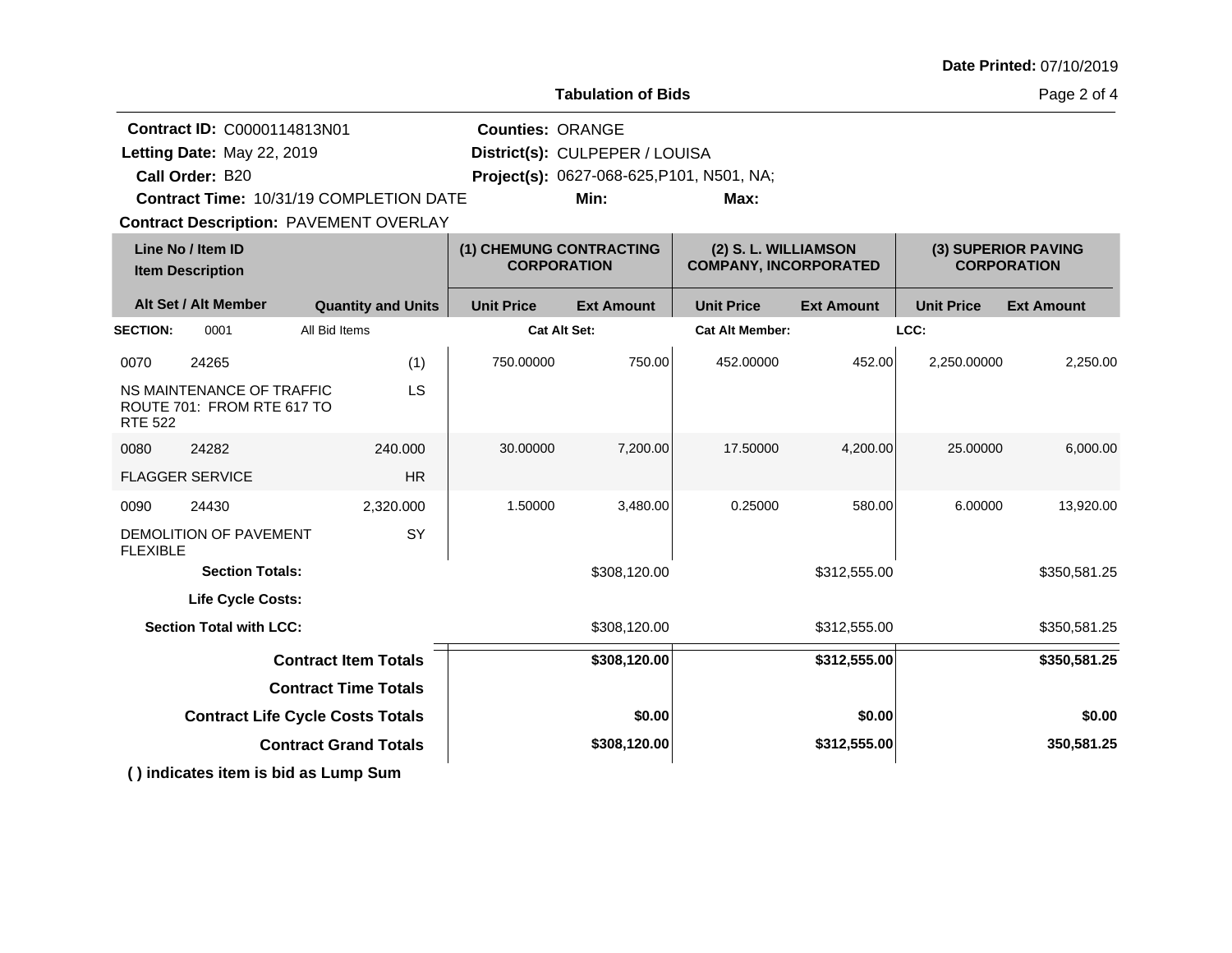| <b>Date Printed: 07/10/2019</b> |  |
|---------------------------------|--|
|---------------------------------|--|

**Tabulation of Bids**

Page 2 of 4

|                 | Contract ID: C0000114813N01<br>Letting Date: May 22, 2019<br>Call Order: B20<br>Contract Time: 10/31/19 COMPLETION DATE<br><b>Contract Description: PAVEMENT OVERLAY</b> |                              |                           | <b>Counties: ORANGE</b>                       | District(s): CULPEPER / LOUISA<br>Project(s): 0627-068-625, P101, N501, NA;<br>Min: | Max:                                                 |                   |                   |                                           |
|-----------------|--------------------------------------------------------------------------------------------------------------------------------------------------------------------------|------------------------------|---------------------------|-----------------------------------------------|-------------------------------------------------------------------------------------|------------------------------------------------------|-------------------|-------------------|-------------------------------------------|
|                 | Line No / Item ID<br><b>Item Description</b>                                                                                                                             |                              |                           | (1) CHEMUNG CONTRACTING<br><b>CORPORATION</b> |                                                                                     | (2) S. L. WILLIAMSON<br><b>COMPANY, INCORPORATED</b> |                   |                   | (3) SUPERIOR PAVING<br><b>CORPORATION</b> |
|                 | Alt Set / Alt Member                                                                                                                                                     |                              | <b>Quantity and Units</b> | <b>Unit Price</b>                             | <b>Ext Amount</b>                                                                   | <b>Unit Price</b>                                    | <b>Ext Amount</b> | <b>Unit Price</b> | <b>Ext Amount</b>                         |
| <b>SECTION:</b> | 0001                                                                                                                                                                     | All Bid Items                |                           |                                               | <b>Cat Alt Set:</b>                                                                 | <b>Cat Alt Member:</b>                               |                   | LCC:              |                                           |
| 0070            | 24265                                                                                                                                                                    |                              | (1)                       | 750.00000                                     | 750.00                                                                              | 452.00000                                            | 452.00            | 2,250.00000       | 2,250.00                                  |
| <b>RTE 522</b>  | NS MAINTENANCE OF TRAFFIC<br>ROUTE 701: FROM RTE 617 TO                                                                                                                  |                              | LS                        |                                               |                                                                                     |                                                      |                   |                   |                                           |
| 0080            | 24282                                                                                                                                                                    |                              | 240.000                   | 30.00000                                      | 7,200.00                                                                            | 17.50000                                             | 4,200.00          | 25.00000          | 6,000.00                                  |
|                 | <b>FLAGGER SERVICE</b>                                                                                                                                                   |                              | <b>HR</b>                 |                                               |                                                                                     |                                                      |                   |                   |                                           |
| 0090            | 24430                                                                                                                                                                    |                              | 2,320.000                 | 1.50000                                       | 3,480.00                                                                            | 0.25000                                              | 580.00            | 6.00000           | 13,920.00                                 |
| <b>FLEXIBLE</b> | DEMOLITION OF PAVEMENT                                                                                                                                                   |                              | SY                        |                                               |                                                                                     |                                                      |                   |                   |                                           |
|                 | <b>Section Totals:</b>                                                                                                                                                   |                              |                           |                                               | \$308,120.00                                                                        |                                                      | \$312,555.00      |                   | \$350,581.25                              |
|                 | <b>Life Cycle Costs:</b>                                                                                                                                                 |                              |                           |                                               |                                                                                     |                                                      |                   |                   |                                           |
|                 | <b>Section Total with LCC:</b>                                                                                                                                           |                              |                           |                                               | \$308,120.00                                                                        |                                                      | \$312,555.00      |                   | \$350,581.25                              |
|                 |                                                                                                                                                                          | <b>Contract Item Totals</b>  |                           |                                               | \$308,120.00                                                                        |                                                      | \$312,555.00      |                   | \$350,581.25                              |
|                 |                                                                                                                                                                          | <b>Contract Time Totals</b>  |                           |                                               |                                                                                     |                                                      |                   |                   |                                           |
|                 | <b>Contract Life Cycle Costs Totals</b>                                                                                                                                  |                              |                           |                                               | \$0.00                                                                              |                                                      | \$0.00            |                   | \$0.00                                    |
|                 |                                                                                                                                                                          | <b>Contract Grand Totals</b> |                           |                                               | \$308,120.00                                                                        |                                                      | \$312,555.00      |                   | 350,581.25                                |
|                 | () indicates item is bid as Lump Sum                                                                                                                                     |                              |                           |                                               |                                                                                     |                                                      |                   |                   |                                           |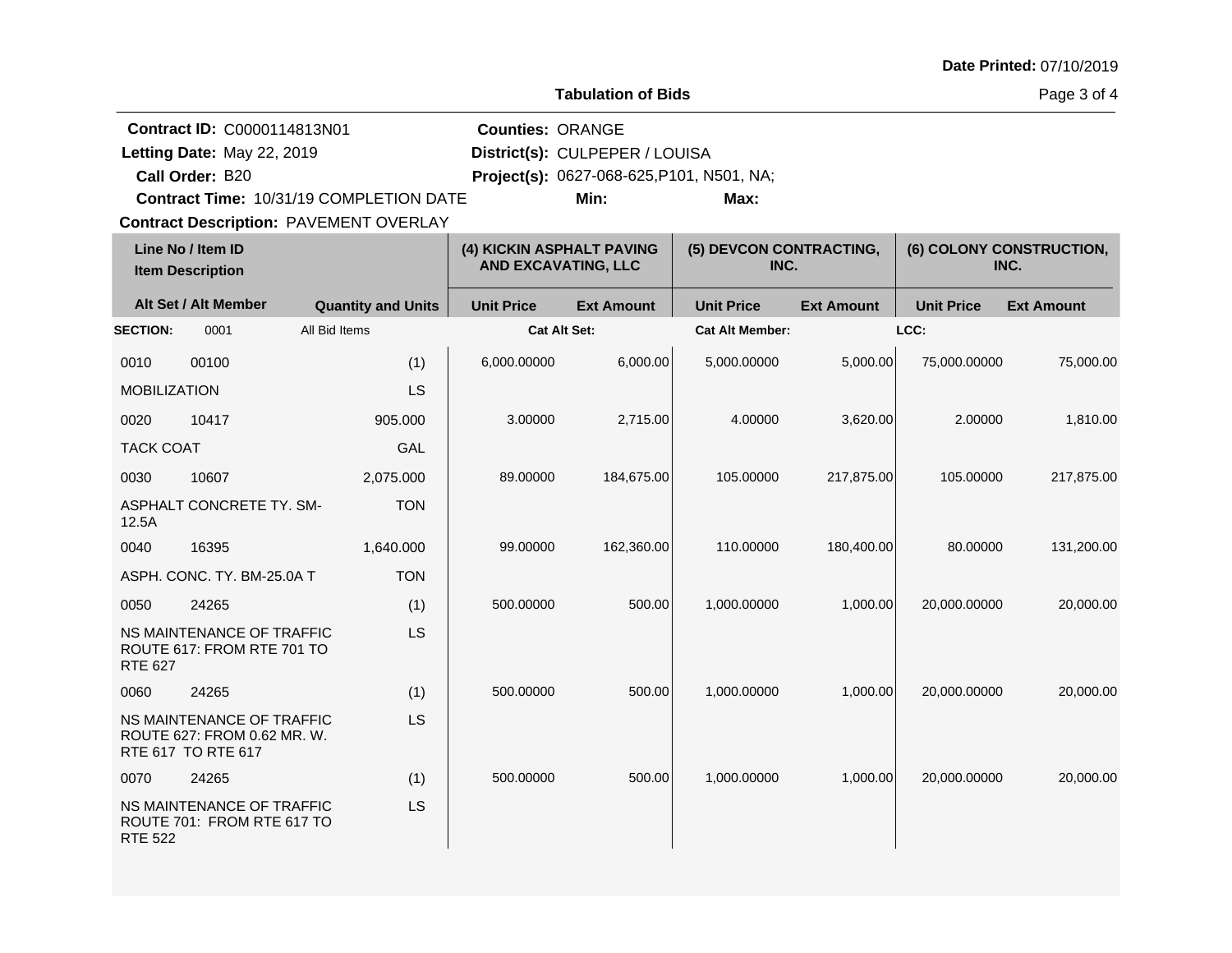Page 3 of 4

**Line No / Item ID (4) KICKIN ASPHALT PAVING (5) DEVCON CONTRACTING, (6) COLONY CONSTRUCTION, Contract Description: PAVEMENT OVERLAY Call Order: Letting Date:** May 22, 2019 **District(s): CULPEPER / LOUISA Contract ID:** C0000114813N01 **Counties:** ORANGE B20 **Project(s):** 0627-068-625,P101, N501, NA;**Contract Time:** 10/31/19 COMPLETION DATE Letting Date: May 22, 2019 **Min: Max:**

|                     | <b>Item Description</b>                                                        |                           | <b>AND EXCAVATING, LLC</b> |                   | INC.                   |                   | INC.              |                   |  |
|---------------------|--------------------------------------------------------------------------------|---------------------------|----------------------------|-------------------|------------------------|-------------------|-------------------|-------------------|--|
|                     | Alt Set / Alt Member                                                           | <b>Quantity and Units</b> | <b>Unit Price</b>          | <b>Ext Amount</b> | <b>Unit Price</b>      | <b>Ext Amount</b> | <b>Unit Price</b> | <b>Ext Amount</b> |  |
| <b>SECTION:</b>     | 0001                                                                           | All Bid Items             | Cat Alt Set:               |                   | <b>Cat Alt Member:</b> |                   | LCC:              |                   |  |
| 0010                | 00100                                                                          | (1)                       | 6,000.00000                | 6,000.00          | 5,000.00000            | 5,000.00          | 75,000.00000      | 75,000.00         |  |
| <b>MOBILIZATION</b> |                                                                                | LS                        |                            |                   |                        |                   |                   |                   |  |
| 0020                | 10417                                                                          | 905.000                   | 3.00000                    | 2,715.00          | 4.00000                | 3,620.00          | 2.00000           | 1,810.00          |  |
| <b>TACK COAT</b>    |                                                                                | GAL                       |                            |                   |                        |                   |                   |                   |  |
| 0030                | 10607                                                                          | 2,075.000                 | 89.00000                   | 184,675.00        | 105.00000              | 217,875.00        | 105.00000         | 217,875.00        |  |
| 12.5A               | ASPHALT CONCRETE TY. SM-                                                       | <b>TON</b>                |                            |                   |                        |                   |                   |                   |  |
| 0040                | 16395                                                                          | 1,640.000                 | 99.00000                   | 162,360.00        | 110.00000              | 180,400.00        | 80.00000          | 131,200.00        |  |
|                     | ASPH. CONC. TY. BM-25.0A T                                                     | <b>TON</b>                |                            |                   |                        |                   |                   |                   |  |
| 0050                | 24265                                                                          | (1)                       | 500.00000                  | 500.00            | 1,000.00000            | 1,000.00          | 20,000.00000      | 20,000.00         |  |
| <b>RTE 627</b>      | NS MAINTENANCE OF TRAFFIC<br>ROUTE 617: FROM RTE 701 TO                        | <b>LS</b>                 |                            |                   |                        |                   |                   |                   |  |
| 0060                | 24265                                                                          | (1)                       | 500.00000                  | 500.00            | 1,000.00000            | 1,000.00          | 20,000.00000      | 20,000.00         |  |
|                     | NS MAINTENANCE OF TRAFFIC<br>ROUTE 627: FROM 0.62 MR. W.<br>RTE 617 TO RTE 617 | <b>LS</b>                 |                            |                   |                        |                   |                   |                   |  |
| 0070                | 24265                                                                          | (1)                       | 500.00000                  | 500.00            | 1,000.00000            | 1,000.00          | 20,000.00000      | 20,000.00         |  |
| <b>RTE 522</b>      | NS MAINTENANCE OF TRAFFIC<br>ROUTE 701: FROM RTE 617 TO                        | LS                        |                            |                   |                        |                   |                   |                   |  |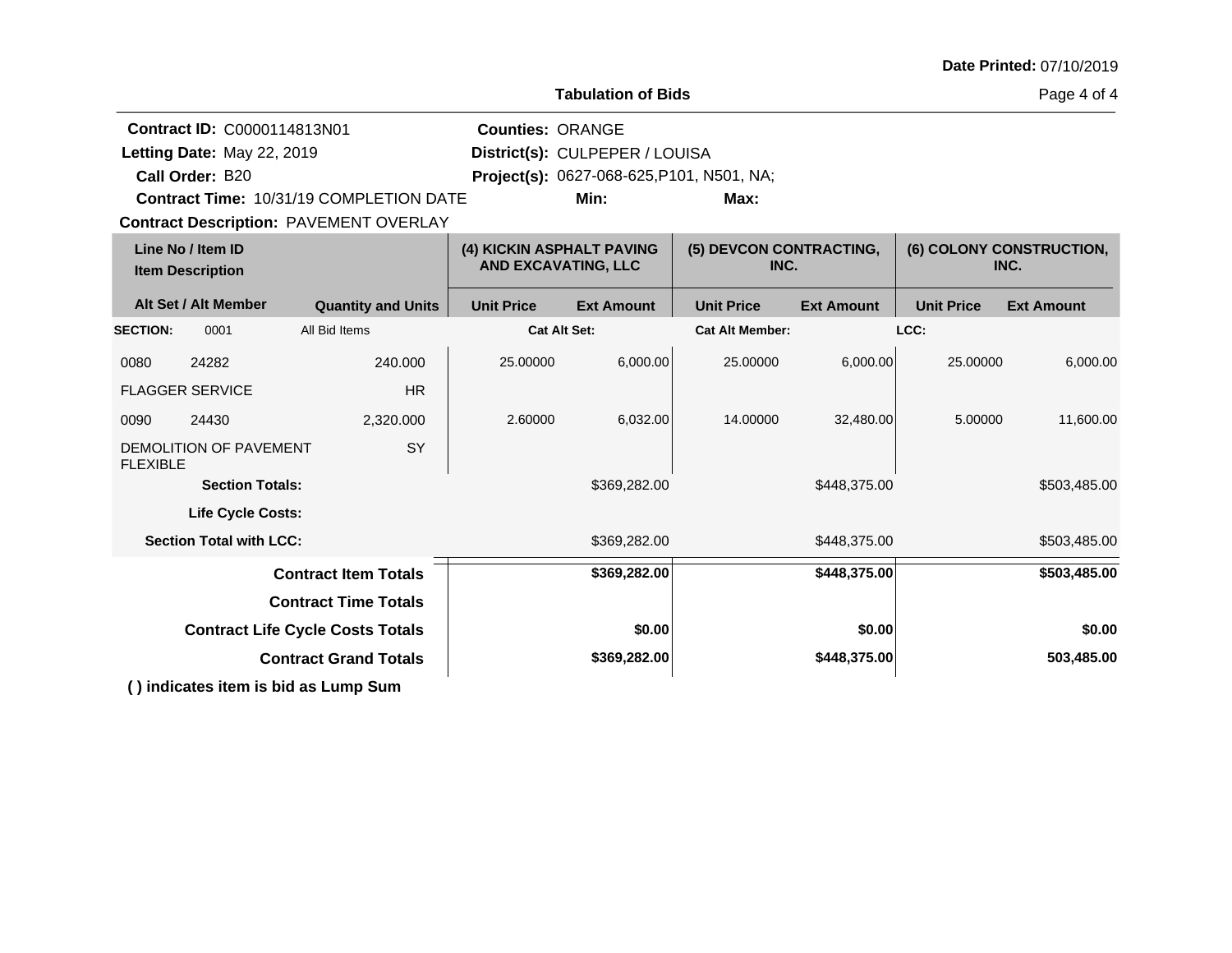| Date Printed: 07/10/2019 |  |
|--------------------------|--|
|--------------------------|--|

Page 4 of 4

|                 | <b>Contract ID: C0000114813N01</b><br>Letting Date: May 22, 2019<br>Call Order: B20 | <b>Contract Time: 10/31/19 COMPLETION DATE</b><br><b>Contract Description: PAVEMENT OVERLAY</b> | <b>Counties: ORANGE</b>                                 | District(s): CULPEPER / LOUISA<br>Project(s): 0627-068-625, P101, N501, NA;<br>Min: | Max:                            |                   |                   |                                  |
|-----------------|-------------------------------------------------------------------------------------|-------------------------------------------------------------------------------------------------|---------------------------------------------------------|-------------------------------------------------------------------------------------|---------------------------------|-------------------|-------------------|----------------------------------|
|                 | Line No / Item ID<br><b>Item Description</b>                                        |                                                                                                 | (4) KICKIN ASPHALT PAVING<br><b>AND EXCAVATING, LLC</b> |                                                                                     | (5) DEVCON CONTRACTING,<br>INC. |                   |                   | (6) COLONY CONSTRUCTION,<br>INC. |
|                 | Alt Set / Alt Member                                                                | <b>Quantity and Units</b>                                                                       | <b>Unit Price</b>                                       | <b>Ext Amount</b>                                                                   | <b>Unit Price</b>               | <b>Ext Amount</b> | <b>Unit Price</b> | <b>Ext Amount</b>                |
| <b>SECTION:</b> | 0001                                                                                | All Bid Items                                                                                   | <b>Cat Alt Set:</b>                                     |                                                                                     | <b>Cat Alt Member:</b>          |                   | LCC:              |                                  |
| 0080            | 24282                                                                               | 240.000                                                                                         | 25.00000                                                | 6,000.00                                                                            | 25.00000                        | 6,000.00          | 25.00000          | 6,000.00                         |
|                 | <b>FLAGGER SERVICE</b>                                                              | <b>HR</b>                                                                                       |                                                         |                                                                                     |                                 |                   |                   |                                  |
| 0090            | 24430                                                                               | 2,320.000                                                                                       | 2.60000                                                 | 6,032.00                                                                            | 14.00000                        | 32,480.00         | 5.00000           | 11,600.00                        |
| <b>FLEXIBLE</b> | DEMOLITION OF PAVEMENT                                                              | SY                                                                                              |                                                         |                                                                                     |                                 |                   |                   |                                  |
|                 | <b>Section Totals:</b>                                                              |                                                                                                 |                                                         | \$369,282.00                                                                        |                                 | \$448,375.00      |                   | \$503,485.00                     |
|                 | <b>Life Cycle Costs:</b>                                                            |                                                                                                 |                                                         |                                                                                     |                                 |                   |                   |                                  |
|                 | <b>Section Total with LCC:</b>                                                      |                                                                                                 |                                                         | \$369,282.00                                                                        |                                 | \$448,375.00      |                   | \$503,485.00                     |
|                 |                                                                                     | <b>Contract Item Totals</b>                                                                     |                                                         | \$369,282.00                                                                        |                                 | \$448,375.00      |                   | \$503,485.00                     |
|                 |                                                                                     | <b>Contract Time Totals</b>                                                                     |                                                         |                                                                                     |                                 |                   |                   |                                  |
|                 |                                                                                     | <b>Contract Life Cycle Costs Totals</b>                                                         |                                                         | \$0.00                                                                              |                                 | \$0.00            |                   | \$0.00                           |
|                 |                                                                                     | <b>Contract Grand Totals</b>                                                                    |                                                         | \$369,282.00                                                                        |                                 | \$448,375.00      |                   | 503,485.00                       |
|                 |                                                                                     | () indicates item is bid as Lump Sum                                                            |                                                         |                                                                                     |                                 |                   |                   |                                  |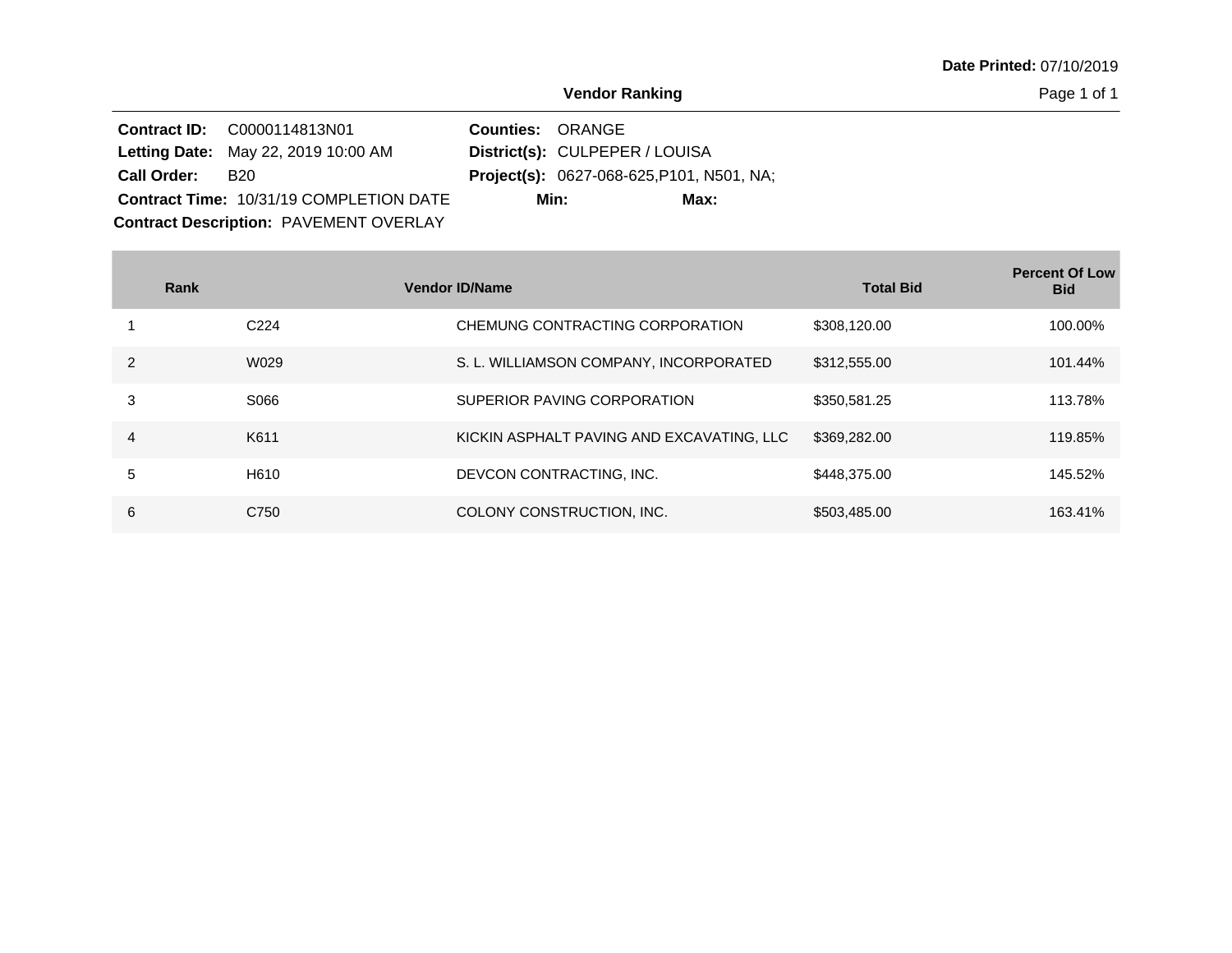Page 1 of 1

|                    | <b>Contract ID: C0000114813N01</b>             | <b>Counties: ORANGE</b> |                                                  |
|--------------------|------------------------------------------------|-------------------------|--------------------------------------------------|
|                    | <b>Letting Date:</b> May 22, 2019 10:00 AM     |                         | District(s): CULPEPER / LOUISA                   |
| <b>Call Order:</b> | B <sub>20</sub>                                |                         | <b>Project(s):</b> 0627-068-625, P101, N501, NA; |
|                    | <b>Contract Time: 10/31/19 COMPLETION DATE</b> |                         | Min:<br>Max:                                     |
|                    | <b>Contract Description: PAVEMENT OVERLAY</b>  |                         |                                                  |

|               | Rank             | <b>Vendor ID/Name</b>                     | <b>Total Bid</b> | <b>Percent Of Low</b><br><b>Bid</b> |
|---------------|------------------|-------------------------------------------|------------------|-------------------------------------|
|               | C <sub>224</sub> | CHEMUNG CONTRACTING CORPORATION           | \$308,120.00     | 100.00%                             |
| $\mathcal{P}$ | W029             | S. L. WILLIAMSON COMPANY, INCORPORATED    | \$312,555.00     | 101.44%                             |
| 3             | S066             | SUPERIOR PAVING CORPORATION               | \$350,581.25     | 113.78%                             |
| 4             | K611             | KICKIN ASPHALT PAVING AND EXCAVATING, LLC | \$369,282.00     | 119.85%                             |
| 5             | H610             | DEVCON CONTRACTING, INC.                  | \$448,375,00     | 145.52%                             |
| 6             | C750             | COLONY CONSTRUCTION, INC.                 | \$503,485.00     | 163.41%                             |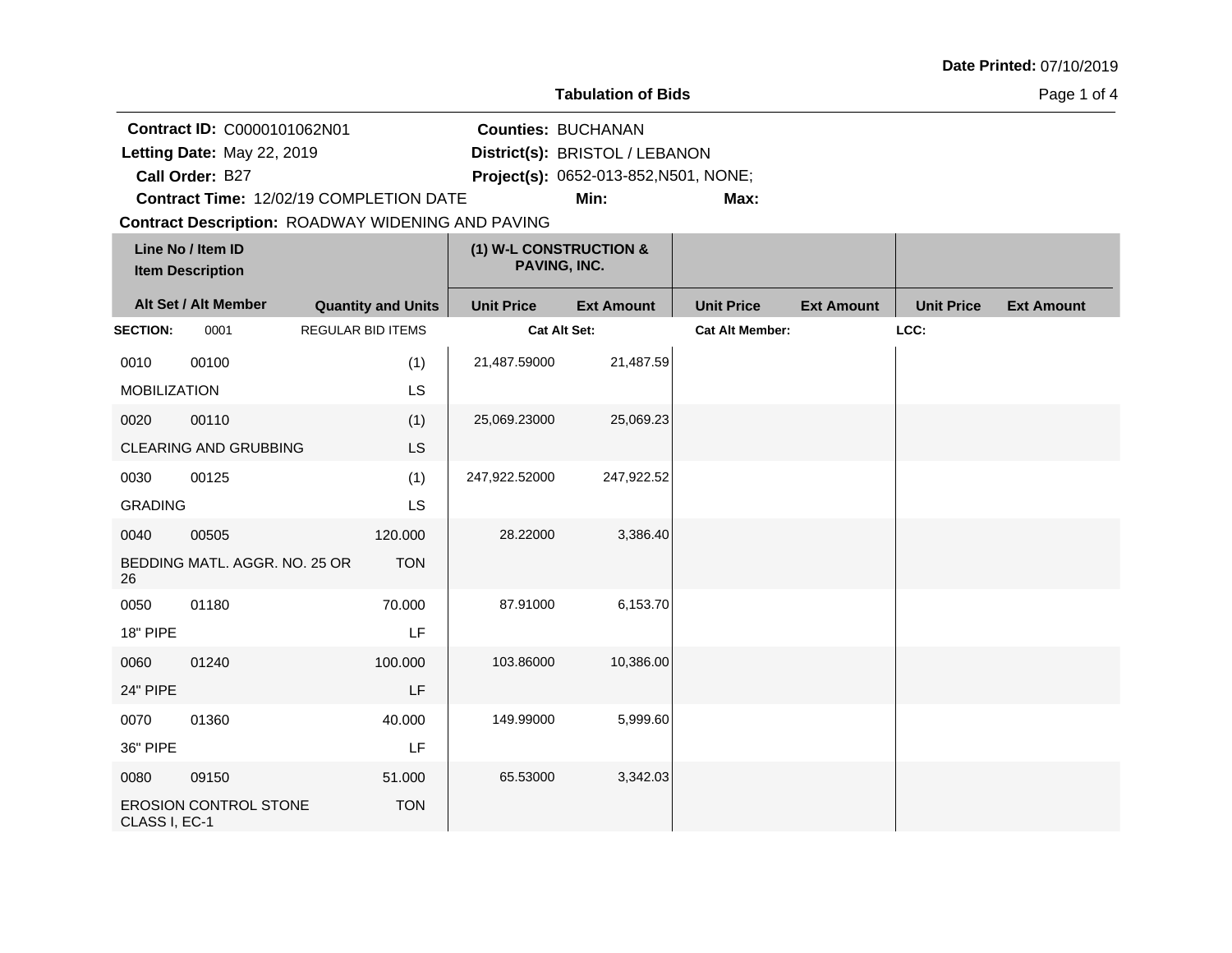|                                                                              |                                                                                                     |                          |                           |                                                                         | <b>Tabulation of Bids</b> |                        |                   |                   | Page 1 of 4       |
|------------------------------------------------------------------------------|-----------------------------------------------------------------------------------------------------|--------------------------|---------------------------|-------------------------------------------------------------------------|---------------------------|------------------------|-------------------|-------------------|-------------------|
| Contract ID: C0000101062N01<br>Letting Date: May 22, 2019<br>Call Order: B27 |                                                                                                     |                          | <b>Counties: BUCHANAN</b> | District(s): BRISTOL / LEBANON<br>Project(s): 0652-013-852, N501, NONE; |                           |                        |                   |                   |                   |
|                                                                              | Contract Time: 12/02/19 COMPLETION DATE<br><b>Contract Description: ROADWAY WIDENING AND PAVING</b> |                          |                           |                                                                         | Min:                      | Max:                   |                   |                   |                   |
|                                                                              | Line No / Item ID<br><b>Item Description</b>                                                        |                          |                           | (1) W-L CONSTRUCTION &<br>PAVING, INC.                                  |                           |                        |                   |                   |                   |
|                                                                              | Alt Set / Alt Member                                                                                |                          | <b>Quantity and Units</b> | <b>Unit Price</b>                                                       | <b>Ext Amount</b>         | <b>Unit Price</b>      | <b>Ext Amount</b> | <b>Unit Price</b> | <b>Ext Amount</b> |
| <b>SECTION:</b>                                                              | 0001                                                                                                | <b>REGULAR BID ITEMS</b> |                           | <b>Cat Alt Set:</b>                                                     |                           | <b>Cat Alt Member:</b> |                   | LCC:              |                   |
| 0010<br><b>MOBILIZATION</b>                                                  | 00100                                                                                               |                          | (1)<br>LS                 | 21,487.59000                                                            | 21,487.59                 |                        |                   |                   |                   |
| 0020                                                                         | 00110                                                                                               |                          | (1)                       | 25,069.23000                                                            | 25,069.23                 |                        |                   |                   |                   |
|                                                                              | <b>CLEARING AND GRUBBING</b>                                                                        |                          | <b>LS</b>                 |                                                                         |                           |                        |                   |                   |                   |
| 0030                                                                         | 00125                                                                                               |                          | (1)                       | 247,922.52000                                                           | 247,922.52                |                        |                   |                   |                   |
| <b>GRADING</b>                                                               |                                                                                                     |                          | LS                        |                                                                         |                           |                        |                   |                   |                   |
| 0040                                                                         | 00505                                                                                               |                          | 120.000                   | 28.22000                                                                | 3,386.40                  |                        |                   |                   |                   |
| 26                                                                           | BEDDING MATL. AGGR. NO. 25 OR                                                                       |                          | <b>TON</b>                |                                                                         |                           |                        |                   |                   |                   |
| 0050                                                                         | 01180                                                                                               |                          | 70.000                    | 87.91000                                                                | 6,153.70                  |                        |                   |                   |                   |
| 18" PIPE                                                                     |                                                                                                     |                          | LF                        |                                                                         |                           |                        |                   |                   |                   |
| 0060                                                                         | 01240                                                                                               |                          | 100.000                   | 103.86000                                                               | 10,386.00                 |                        |                   |                   |                   |
| 24" PIPE                                                                     |                                                                                                     |                          | LF                        |                                                                         |                           |                        |                   |                   |                   |
| 0070                                                                         | 01360                                                                                               |                          | 40.000                    | 149.99000                                                               | 5,999.60                  |                        |                   |                   |                   |
| 36" PIPE                                                                     |                                                                                                     |                          | LF                        |                                                                         |                           |                        |                   |                   |                   |
| 0080                                                                         | 09150                                                                                               |                          | 51.000                    | 65.53000                                                                | 3,342.03                  |                        |                   |                   |                   |
| CLASS I, EC-1                                                                | EROSION CONTROL STONE                                                                               |                          | <b>TON</b>                |                                                                         |                           |                        |                   |                   |                   |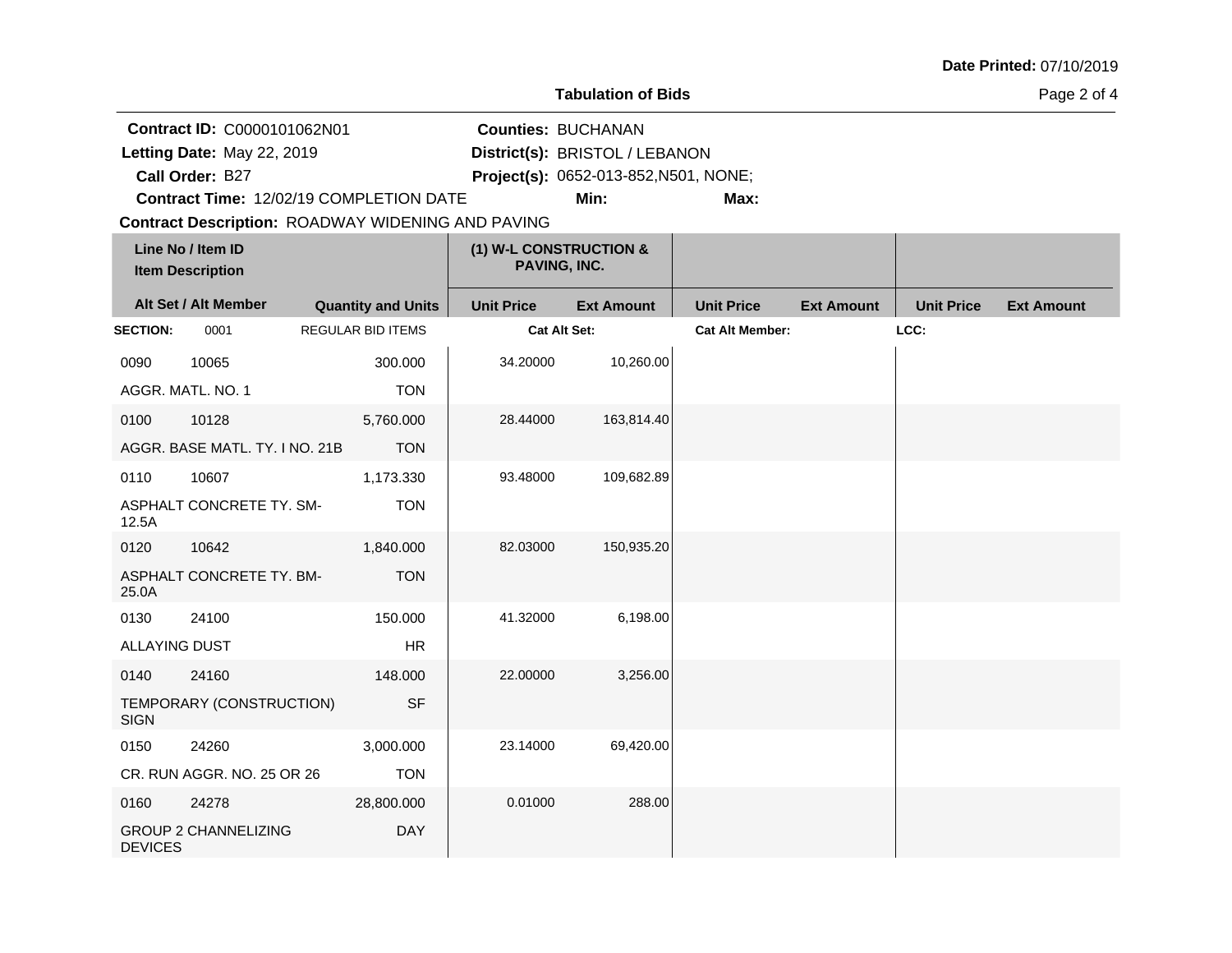|                                                                              |                                              |  |                           |                                                          | <b>Tabulation of Bids</b>                                               |                        |                   |                   | Page 2 of 4       |
|------------------------------------------------------------------------------|----------------------------------------------|--|---------------------------|----------------------------------------------------------|-------------------------------------------------------------------------|------------------------|-------------------|-------------------|-------------------|
| Contract ID: C0000101062N01<br>Letting Date: May 22, 2019<br>Call Order: B27 |                                              |  |                           | <b>Counties: BUCHANAN</b>                                | District(s): BRISTOL / LEBANON<br>Project(s): 0652-013-852, N501, NONE; |                        |                   |                   |                   |
|                                                                              | Contract Time: 12/02/19 COMPLETION DATE      |  |                           | <b>Contract Description: ROADWAY WIDENING AND PAVING</b> | Min:                                                                    | Max:                   |                   |                   |                   |
|                                                                              | Line No / Item ID<br><b>Item Description</b> |  |                           | (1) W-L CONSTRUCTION &<br>PAVING, INC.                   |                                                                         |                        |                   |                   |                   |
|                                                                              | Alt Set / Alt Member                         |  | <b>Quantity and Units</b> | <b>Unit Price</b>                                        | <b>Ext Amount</b>                                                       | <b>Unit Price</b>      | <b>Ext Amount</b> | <b>Unit Price</b> | <b>Ext Amount</b> |
| <b>SECTION:</b>                                                              | 0001                                         |  | <b>REGULAR BID ITEMS</b>  |                                                          | <b>Cat Alt Set:</b>                                                     | <b>Cat Alt Member:</b> |                   | LCC:              |                   |
| 0090                                                                         | 10065                                        |  | 300.000                   | 34.20000                                                 | 10,260.00                                                               |                        |                   |                   |                   |
|                                                                              | AGGR. MATL. NO. 1                            |  | <b>TON</b>                |                                                          |                                                                         |                        |                   |                   |                   |
| 0100                                                                         | 10128                                        |  | 5,760.000                 | 28.44000                                                 | 163,814.40                                                              |                        |                   |                   |                   |
|                                                                              | AGGR. BASE MATL. TY. I NO. 21B               |  | <b>TON</b>                |                                                          |                                                                         |                        |                   |                   |                   |
| 0110                                                                         | 10607                                        |  | 1,173.330                 | 93.48000                                                 | 109,682.89                                                              |                        |                   |                   |                   |
| 12.5A                                                                        | ASPHALT CONCRETE TY. SM-                     |  | <b>TON</b>                |                                                          |                                                                         |                        |                   |                   |                   |
| 0120                                                                         | 10642                                        |  | 1,840.000                 | 82.03000                                                 | 150,935.20                                                              |                        |                   |                   |                   |
| 25.0A                                                                        | ASPHALT CONCRETE TY. BM-                     |  | <b>TON</b>                |                                                          |                                                                         |                        |                   |                   |                   |
| 0130                                                                         | 24100                                        |  | 150.000                   | 41.32000                                                 | 6,198.00                                                                |                        |                   |                   |                   |
| <b>ALLAYING DUST</b>                                                         |                                              |  | <b>HR</b>                 |                                                          |                                                                         |                        |                   |                   |                   |
| 0140                                                                         | 24160                                        |  | 148,000                   | 22.00000                                                 | 3,256.00                                                                |                        |                   |                   |                   |
| <b>SIGN</b>                                                                  | TEMPORARY (CONSTRUCTION)                     |  | <b>SF</b>                 |                                                          |                                                                         |                        |                   |                   |                   |
| 0150                                                                         | 24260                                        |  | 3,000.000                 | 23.14000                                                 | 69,420.00                                                               |                        |                   |                   |                   |
|                                                                              | CR. RUN AGGR. NO. 25 OR 26                   |  | <b>TON</b>                |                                                          |                                                                         |                        |                   |                   |                   |
| 0160                                                                         | 24278                                        |  | 28,800.000                | 0.01000                                                  | 288.00                                                                  |                        |                   |                   |                   |
| <b>DEVICES</b>                                                               | <b>GROUP 2 CHANNELIZING</b>                  |  | <b>DAY</b>                |                                                          |                                                                         |                        |                   |                   |                   |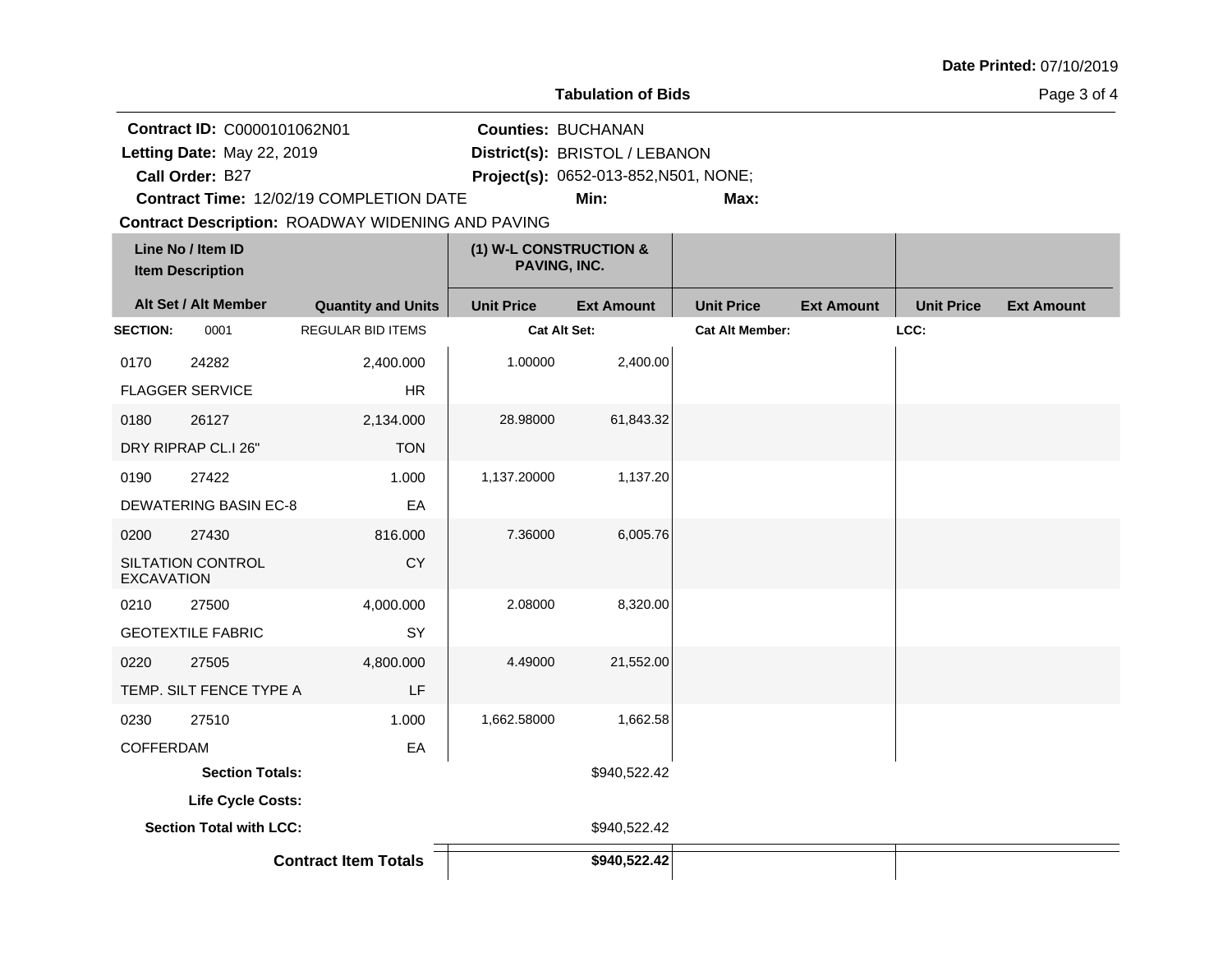|                   |                                                                              |                                                          |                           | <b>Tabulation of Bids</b>                                                       |                        |                   |                   | Page 3 of 4       |
|-------------------|------------------------------------------------------------------------------|----------------------------------------------------------|---------------------------|---------------------------------------------------------------------------------|------------------------|-------------------|-------------------|-------------------|
|                   | Contract ID: C0000101062N01<br>Letting Date: May 22, 2019<br>Call Order: B27 | Contract Time: 12/02/19 COMPLETION DATE                  | <b>Counties: BUCHANAN</b> | District(s): BRISTOL / LEBANON<br>Project(s): 0652-013-852, N501, NONE;<br>Min: | Max:                   |                   |                   |                   |
|                   | Line No / Item ID                                                            | <b>Contract Description: ROADWAY WIDENING AND PAVING</b> | (1) W-L CONSTRUCTION &    |                                                                                 |                        |                   |                   |                   |
|                   | <b>Item Description</b>                                                      |                                                          | PAVING, INC.              |                                                                                 |                        |                   |                   |                   |
|                   | Alt Set / Alt Member                                                         | <b>Quantity and Units</b>                                | <b>Unit Price</b>         | <b>Ext Amount</b>                                                               | <b>Unit Price</b>      | <b>Ext Amount</b> | <b>Unit Price</b> | <b>Ext Amount</b> |
| <b>SECTION:</b>   | 0001                                                                         | <b>REGULAR BID ITEMS</b>                                 | <b>Cat Alt Set:</b>       |                                                                                 | <b>Cat Alt Member:</b> |                   | LCC:              |                   |
| 0170              | 24282                                                                        | 2,400.000                                                | 1.00000                   | 2,400.00                                                                        |                        |                   |                   |                   |
|                   | <b>FLAGGER SERVICE</b>                                                       | <b>HR</b>                                                |                           |                                                                                 |                        |                   |                   |                   |
| 0180              | 26127                                                                        | 2,134.000                                                | 28.98000                  | 61,843.32                                                                       |                        |                   |                   |                   |
|                   | DRY RIPRAP CL.I 26"                                                          | <b>TON</b>                                               |                           |                                                                                 |                        |                   |                   |                   |
| 0190              | 27422                                                                        | 1.000                                                    | 1,137.20000               | 1,137.20                                                                        |                        |                   |                   |                   |
|                   | <b>DEWATERING BASIN EC-8</b>                                                 | EA                                                       |                           |                                                                                 |                        |                   |                   |                   |
| 0200              | 27430                                                                        | 816,000                                                  | 7.36000                   | 6,005.76                                                                        |                        |                   |                   |                   |
| <b>EXCAVATION</b> | SILTATION CONTROL                                                            | CY                                                       |                           |                                                                                 |                        |                   |                   |                   |
| 0210              | 27500                                                                        | 4,000.000                                                | 2.08000                   | 8,320.00                                                                        |                        |                   |                   |                   |
|                   | <b>GEOTEXTILE FABRIC</b>                                                     | SY                                                       |                           |                                                                                 |                        |                   |                   |                   |
| 0220              | 27505                                                                        | 4,800.000                                                | 4.49000                   | 21,552.00                                                                       |                        |                   |                   |                   |
|                   | TEMP. SILT FENCE TYPE A                                                      | LF                                                       |                           |                                                                                 |                        |                   |                   |                   |
| 0230              | 27510                                                                        | 1.000                                                    | 1,662.58000               | 1,662.58                                                                        |                        |                   |                   |                   |
| <b>COFFERDAM</b>  |                                                                              | EA                                                       |                           |                                                                                 |                        |                   |                   |                   |
|                   | <b>Section Totals:</b>                                                       |                                                          |                           | \$940,522.42                                                                    |                        |                   |                   |                   |
|                   | Life Cycle Costs:                                                            |                                                          |                           |                                                                                 |                        |                   |                   |                   |
|                   | <b>Section Total with LCC:</b>                                               |                                                          |                           | \$940,522.42                                                                    |                        |                   |                   |                   |
|                   |                                                                              | <b>Contract Item Totals</b>                              |                           | \$940,522.42                                                                    |                        |                   |                   |                   |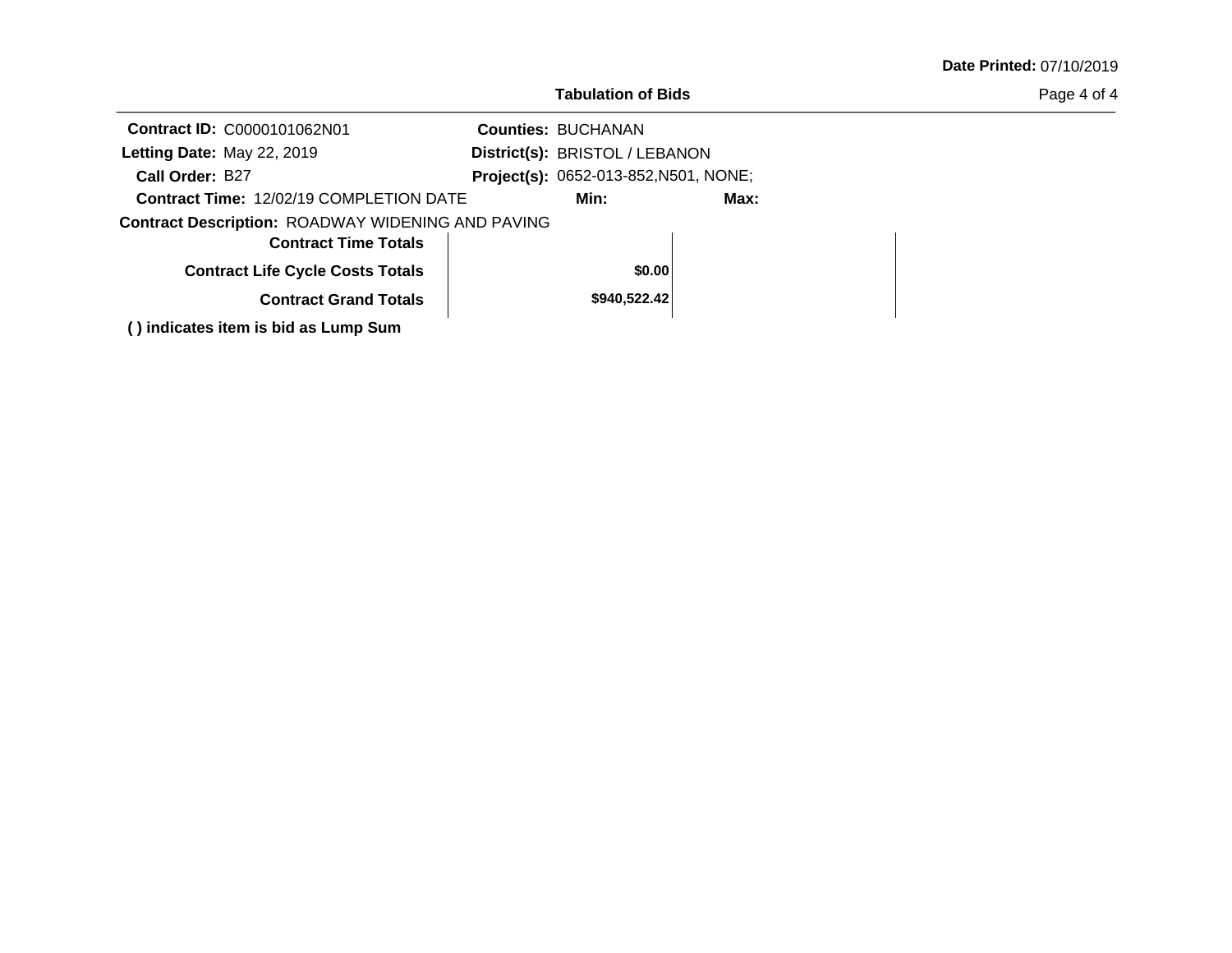|                                                          | <b>Tabulation of Bids</b>             |      | Page 4 of 4 |
|----------------------------------------------------------|---------------------------------------|------|-------------|
| Contract ID: C0000101062N01                              | <b>Counties: BUCHANAN</b>             |      |             |
| Letting Date: May 22, 2019                               | District(s): BRISTOL / LEBANON        |      |             |
| Call Order: B27                                          | Project(s): 0652-013-852, N501, NONE; |      |             |
| <b>Contract Time: 12/02/19 COMPLETION DATE</b>           | Min:                                  | Max: |             |
| <b>Contract Description: ROADWAY WIDENING AND PAVING</b> |                                       |      |             |
| <b>Contract Time Totals</b>                              |                                       |      |             |
| <b>Contract Life Cycle Costs Totals</b>                  | \$0.00                                |      |             |
| <b>Contract Grand Totals</b>                             | \$940,522.42                          |      |             |
| () indicates item is bid as Lump Sum                     |                                       |      |             |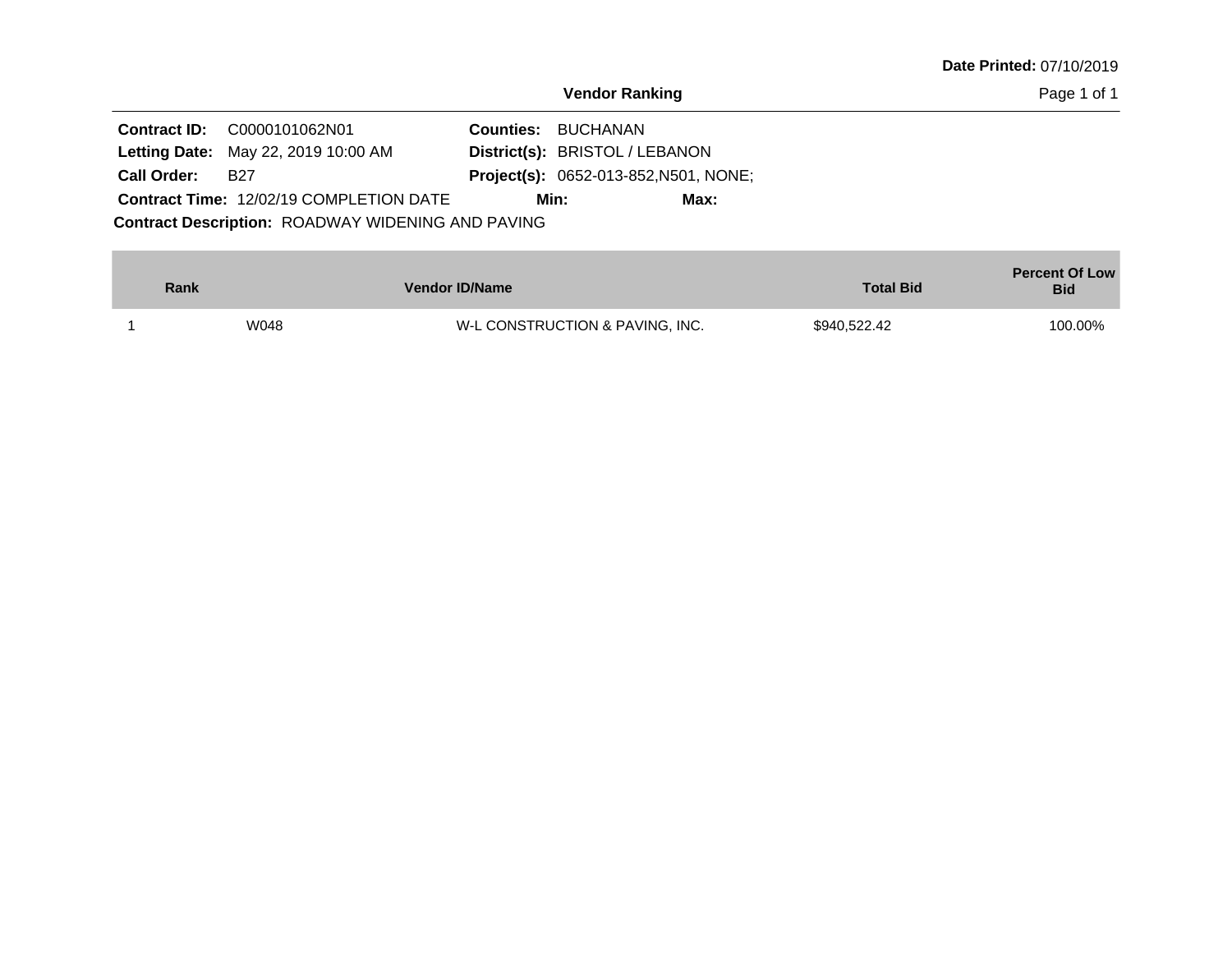|                                            |                                | <b>Date Printed: 07/10/2019</b> |
|--------------------------------------------|--------------------------------|---------------------------------|
|                                            | <b>Vendor Ranking</b>          | Page 1 of 1                     |
| Contract ID: C0000101062N01                | <b>Counties: BUCHANAN</b>      |                                 |
| <b>Letting Date:</b> May 22, 2019 10:00 AM | District(s): BRISTOL / LEBANON |                                 |

Contract Description: ROADWAY WIDENING AND PAVING Contract Time: 12/02/19 COMPLETION DATE 0652-013-852,N501, NONE; **Call Order: Project(s):** B27 **Min: Max:**

| Rank | <b>Vendor ID/Name</b>           | <b>Total Bid</b> | <b>Percent Of Low</b><br><b>Bid</b> |
|------|---------------------------------|------------------|-------------------------------------|
| W048 | W-L CONSTRUCTION & PAVING, INC. | \$940,522.42     | 100.00%                             |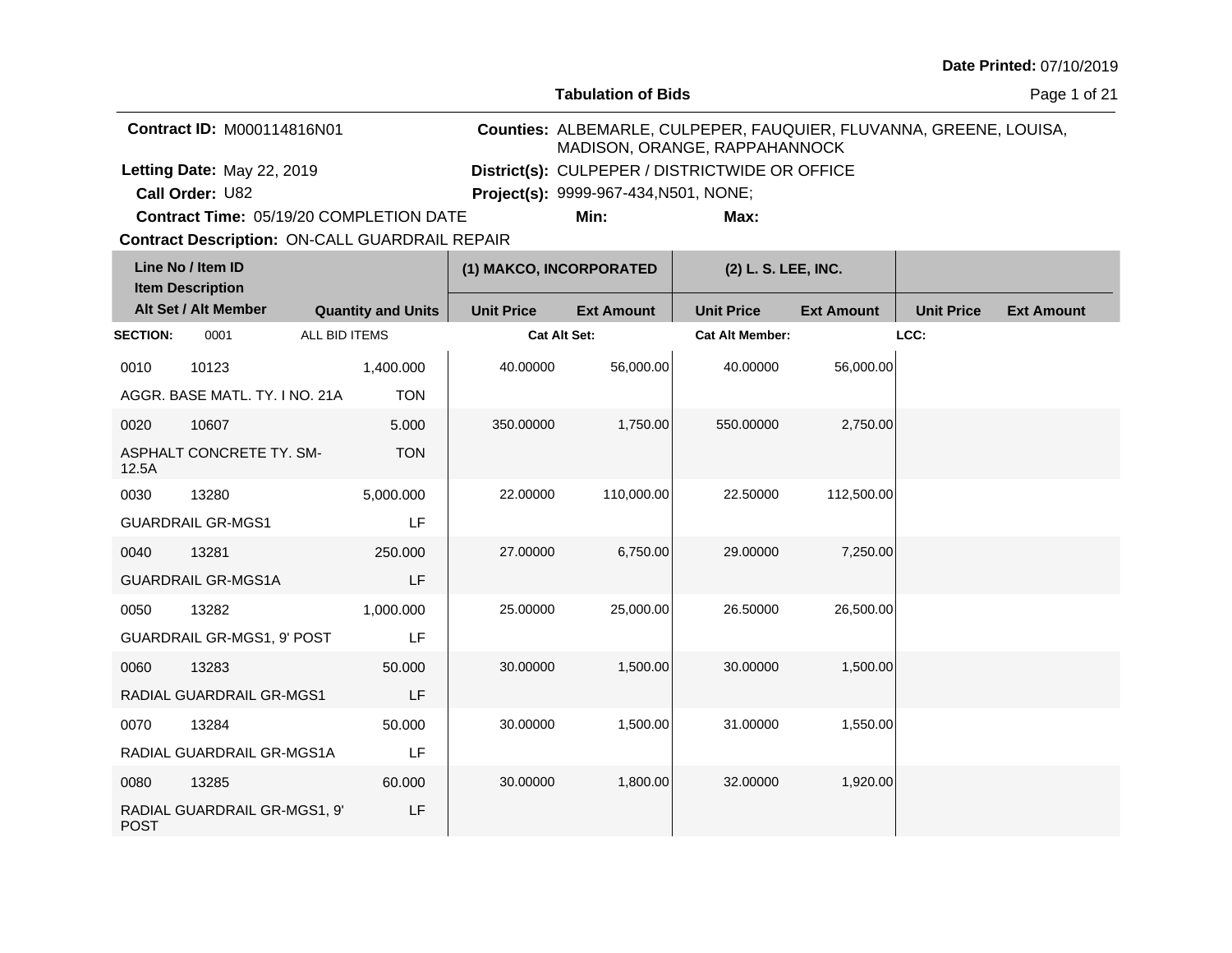**Tabulation of Bids**

Page 1 of 21

| <b>Contract ID: M000114816N01</b>       | MADISON, ORANGE, RAPPAHANNOCK                  |      | Counties: ALBEMARLE, CULPEPER, FAUQUIER, FLUVANNA, GREENE, LOUISA, |
|-----------------------------------------|------------------------------------------------|------|--------------------------------------------------------------------|
| Letting Date: May 22, 2019              | District(s): CULPEPER / DISTRICTWIDE OR OFFICE |      |                                                                    |
| <b>Call Order: U82</b>                  | <b>Project(s):</b> 9999-967-434, N501, NONE;   |      |                                                                    |
| Contract Time: 05/19/20 COMPLETION DATE | Min:                                           | Max: |                                                                    |

**Contract Time:** 05/19/20 COMPLETION DATE

| Line No / Item ID<br><b>Item Description</b> |                                |                           | (1) MAKCO, INCORPORATED |                   | (2) L. S. LEE, INC.    |                   |                   |                   |
|----------------------------------------------|--------------------------------|---------------------------|-------------------------|-------------------|------------------------|-------------------|-------------------|-------------------|
|                                              | Alt Set / Alt Member           | <b>Quantity and Units</b> | <b>Unit Price</b>       | <b>Ext Amount</b> | <b>Unit Price</b>      | <b>Ext Amount</b> | <b>Unit Price</b> | <b>Ext Amount</b> |
| <b>SECTION:</b>                              | 0001                           | ALL BID ITEMS             | <b>Cat Alt Set:</b>     |                   | <b>Cat Alt Member:</b> |                   | LCC:              |                   |
| 0010                                         | 10123                          | 1,400.000                 | 40.00000                | 56,000.00         | 40.00000               | 56,000.00         |                   |                   |
|                                              | AGGR, BASE MATL, TY, I NO, 21A | <b>TON</b>                |                         |                   |                        |                   |                   |                   |
| 0020                                         | 10607                          | 5.000                     | 350.00000               | 1,750.00          | 550.00000              | 2,750.00          |                   |                   |
| 12.5A                                        | ASPHALT CONCRETE TY. SM-       | <b>TON</b>                |                         |                   |                        |                   |                   |                   |
| 0030                                         | 13280                          | 5,000.000                 | 22,00000                | 110,000.00        | 22,50000               | 112,500.00        |                   |                   |
|                                              | <b>GUARDRAIL GR-MGS1</b>       | LF                        |                         |                   |                        |                   |                   |                   |
| 0040                                         | 13281                          | 250.000                   | 27.00000                | 6,750.00          | 29.00000               | 7,250.00          |                   |                   |
|                                              | <b>GUARDRAIL GR-MGS1A</b>      | LF                        |                         |                   |                        |                   |                   |                   |
| 0050                                         | 13282                          | 1,000.000                 | 25.00000                | 25,000.00         | 26.50000               | 26,500.00         |                   |                   |
|                                              | GUARDRAIL GR-MGS1, 9' POST     | LF                        |                         |                   |                        |                   |                   |                   |
| 0060                                         | 13283                          | 50.000                    | 30.00000                | 1,500.00          | 30.00000               | 1,500.00          |                   |                   |
|                                              | RADIAL GUARDRAIL GR-MGS1       | LF                        |                         |                   |                        |                   |                   |                   |
| 0070                                         | 13284                          | 50.000                    | 30.00000                | 1,500.00          | 31.00000               | 1,550.00          |                   |                   |
|                                              | RADIAL GUARDRAIL GR-MGS1A      | LF                        |                         |                   |                        |                   |                   |                   |
| 0080                                         | 13285                          | 60.000                    | 30.00000                | 1,800.00          | 32.00000               | 1,920.00          |                   |                   |
| <b>POST</b>                                  | RADIAL GUARDRAIL GR-MGS1, 9'   | LF                        |                         |                   |                        |                   |                   |                   |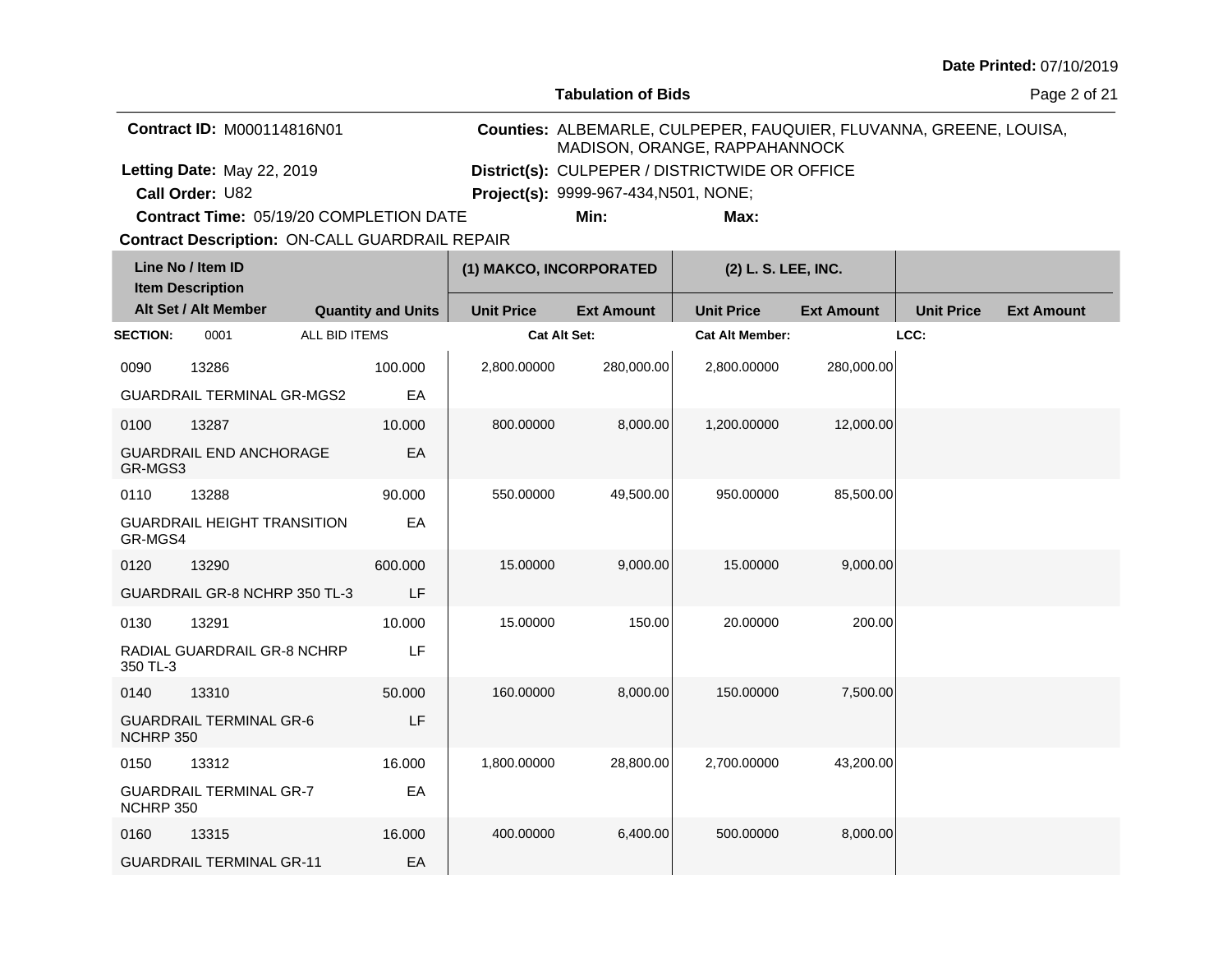**Tabulation of Bids**

Page 2 of 21

| <b>Contract ID: M000114816N01</b>       | MADISON, ORANGE, RAPPAHANNOCK                  |      | Counties: ALBEMARLE, CULPEPER, FAUQUIER, FLUVANNA, GREENE, LOUISA, |
|-----------------------------------------|------------------------------------------------|------|--------------------------------------------------------------------|
| Letting Date: May 22, 2019              | District(s): CULPEPER / DISTRICTWIDE OR OFFICE |      |                                                                    |
| <b>Call Order: U82</b>                  | <b>Project(s): 9999-967-434, N501, NONE;</b>   |      |                                                                    |
| Contract Time: 05/19/20 COMPLETION DATE | Min:                                           | Max: |                                                                    |

**Contract Time:** 05/19/20 COMPLETION DATE

|                 | Line No / Item ID<br><b>Item Description</b> |                           | (1) MAKCO, INCORPORATED |                   | (2) L. S. LEE, INC.    |                   |                   |                   |
|-----------------|----------------------------------------------|---------------------------|-------------------------|-------------------|------------------------|-------------------|-------------------|-------------------|
|                 | Alt Set / Alt Member                         | <b>Quantity and Units</b> | <b>Unit Price</b>       | <b>Ext Amount</b> | <b>Unit Price</b>      | <b>Ext Amount</b> | <b>Unit Price</b> | <b>Ext Amount</b> |
| <b>SECTION:</b> | 0001                                         | ALL BID ITEMS             | Cat Alt Set:            |                   | <b>Cat Alt Member:</b> |                   | LCC:              |                   |
| 0090            | 13286                                        | 100.000                   | 2,800.00000             | 280,000.00        | 2,800.00000            | 280,000.00        |                   |                   |
|                 | <b>GUARDRAIL TERMINAL GR-MGS2</b>            | EA                        |                         |                   |                        |                   |                   |                   |
| 0100            | 13287                                        | 10.000                    | 800.00000               | 8,000.00          | 1,200.00000            | 12,000.00         |                   |                   |
| GR-MGS3         | <b>GUARDRAIL END ANCHORAGE</b>               | EA                        |                         |                   |                        |                   |                   |                   |
| 0110            | 13288                                        | 90.000                    | 550.00000               | 49,500.00         | 950.00000              | 85,500.00         |                   |                   |
| GR-MGS4         | <b>GUARDRAIL HEIGHT TRANSITION</b>           | EA                        |                         |                   |                        |                   |                   |                   |
| 0120            | 13290                                        | 600.000                   | 15.00000                | 9,000.00          | 15.00000               | 9,000.00          |                   |                   |
|                 | GUARDRAIL GR-8 NCHRP 350 TL-3                | LF                        |                         |                   |                        |                   |                   |                   |
| 0130            | 13291                                        | 10.000                    | 15.00000                | 150.00            | 20.00000               | 200.00            |                   |                   |
| 350 TL-3        | RADIAL GUARDRAIL GR-8 NCHRP                  | LF                        |                         |                   |                        |                   |                   |                   |
| 0140            | 13310                                        | 50.000                    | 160.00000               | 8,000.00          | 150.00000              | 7.500.00          |                   |                   |
| NCHRP 350       | <b>GUARDRAIL TERMINAL GR-6</b>               | LF                        |                         |                   |                        |                   |                   |                   |
| 0150            | 13312                                        | 16.000                    | 1,800.00000             | 28,800.00         | 2,700.00000            | 43,200.00         |                   |                   |
| NCHRP 350       | <b>GUARDRAIL TERMINAL GR-7</b>               | EA                        |                         |                   |                        |                   |                   |                   |
| 0160            | 13315                                        | 16.000                    | 400.00000               | 6,400.00          | 500.00000              | 8,000.00          |                   |                   |
|                 | <b>GUARDRAIL TERMINAL GR-11</b>              | EA                        |                         |                   |                        |                   |                   |                   |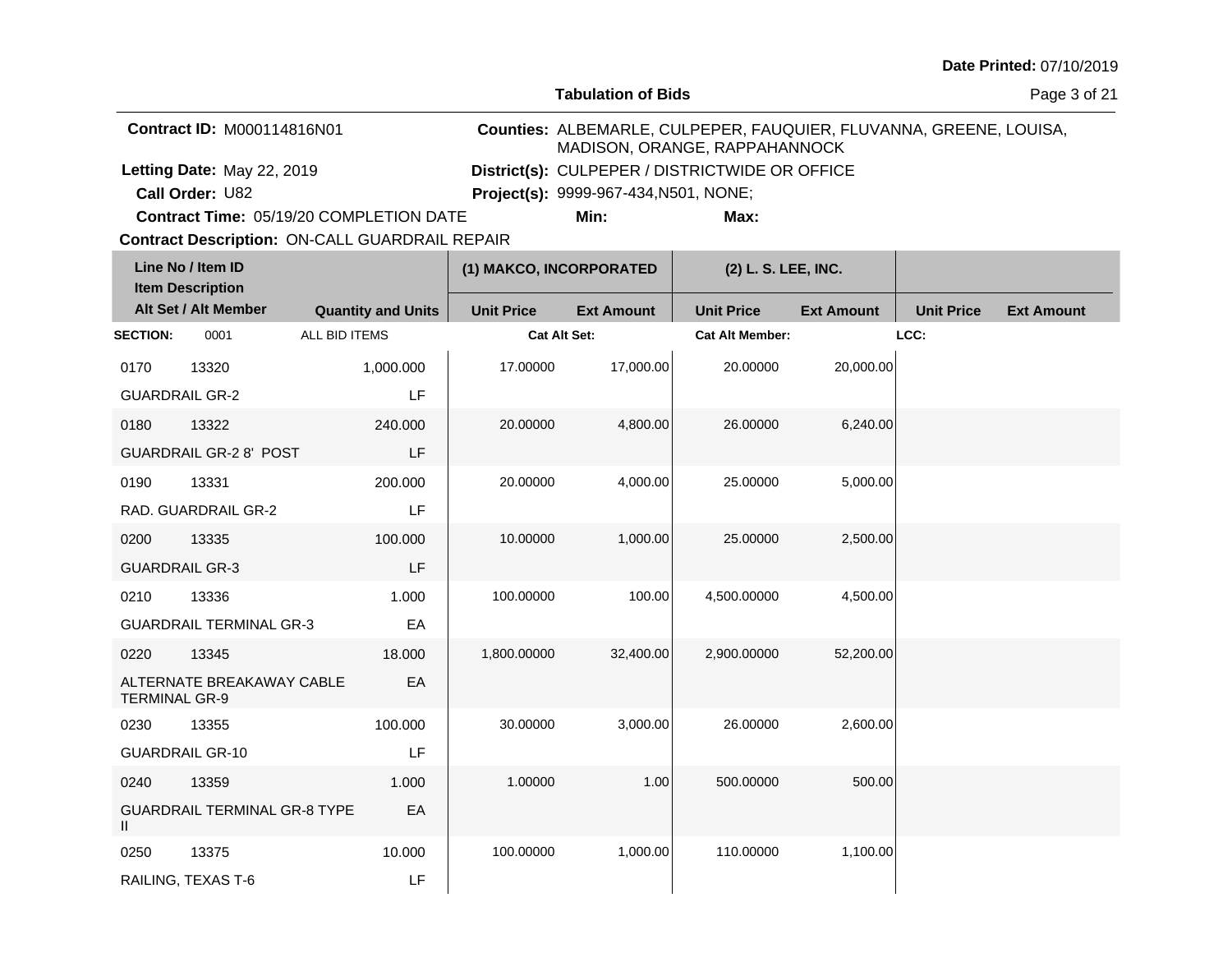**Tabulation of Bids**

Page 3 of 21

| <b>Contract ID: M000114816N01</b>              | MADISON, ORANGE, RAPPAHANNOCK                  |      | Counties: ALBEMARLE, CULPEPER, FAUQUIER, FLUVANNA, GREENE, LOUISA, |
|------------------------------------------------|------------------------------------------------|------|--------------------------------------------------------------------|
| Letting Date: May 22, 2019                     | District(s): CULPEPER / DISTRICTWIDE OR OFFICE |      |                                                                    |
| <b>Call Order: U82</b>                         | <b>Project(s): 9999-967-434, N501, NONE;</b>   |      |                                                                    |
| <b>Contract Time: 05/19/20 COMPLETION DATE</b> | Min:                                           | Max: |                                                                    |

**Contract Time:** 05/19/20 COMPLETION DATE

| Line No / Item ID<br><b>Item Description</b> |                                     | (1) MAKCO, INCORPORATED   |                     | (2) L. S. LEE, INC. |                        |                   |                   |                   |
|----------------------------------------------|-------------------------------------|---------------------------|---------------------|---------------------|------------------------|-------------------|-------------------|-------------------|
|                                              | Alt Set / Alt Member                | <b>Quantity and Units</b> | <b>Unit Price</b>   | <b>Ext Amount</b>   | <b>Unit Price</b>      | <b>Ext Amount</b> | <b>Unit Price</b> | <b>Ext Amount</b> |
| <b>SECTION:</b>                              | 0001                                | ALL BID ITEMS             | <b>Cat Alt Set:</b> |                     | <b>Cat Alt Member:</b> |                   | LCC:              |                   |
| 0170                                         | 13320                               | 1,000.000                 | 17.00000            | 17,000.00           | 20.00000               | 20,000.00         |                   |                   |
| <b>GUARDRAIL GR-2</b>                        |                                     | LF                        |                     |                     |                        |                   |                   |                   |
| 0180                                         | 13322                               | 240.000                   | 20.00000            | 4,800.00            | 26.00000               | 6,240.00          |                   |                   |
|                                              | <b>GUARDRAIL GR-2 8' POST</b>       | LF                        |                     |                     |                        |                   |                   |                   |
| 0190                                         | 13331                               | 200.000                   | 20.00000            | 4,000.00            | 25.00000               | 5,000.00          |                   |                   |
|                                              | RAD. GUARDRAIL GR-2                 | LF                        |                     |                     |                        |                   |                   |                   |
| 0200                                         | 13335                               | 100.000                   | 10.00000            | 1,000.00            | 25.00000               | 2,500.00          |                   |                   |
| <b>GUARDRAIL GR-3</b>                        |                                     | LF                        |                     |                     |                        |                   |                   |                   |
| 0210                                         | 13336                               | 1.000                     | 100.00000           | 100.00              | 4,500.00000            | 4,500.00          |                   |                   |
|                                              | <b>GUARDRAIL TERMINAL GR-3</b>      | EA                        |                     |                     |                        |                   |                   |                   |
| 0220                                         | 13345                               | 18.000                    | 1,800.00000         | 32,400.00           | 2,900.00000            | 52,200.00         |                   |                   |
| <b>TERMINAL GR-9</b>                         | ALTERNATE BREAKAWAY CABLE           | EA                        |                     |                     |                        |                   |                   |                   |
| 0230                                         | 13355                               | 100.000                   | 30.00000            | 3,000.00            | 26.00000               | 2,600.00          |                   |                   |
|                                              | <b>GUARDRAIL GR-10</b>              | LF                        |                     |                     |                        |                   |                   |                   |
| 0240                                         | 13359                               | 1.000                     | 1.00000             | 1.00                | 500.00000              | 500.00            |                   |                   |
| Ш                                            | <b>GUARDRAIL TERMINAL GR-8 TYPE</b> | EA                        |                     |                     |                        |                   |                   |                   |
| 0250                                         | 13375                               | 10.000                    | 100.00000           | 1,000.00            | 110.00000              | 1,100.00          |                   |                   |
|                                              | RAILING, TEXAS T-6                  | LF                        |                     |                     |                        |                   |                   |                   |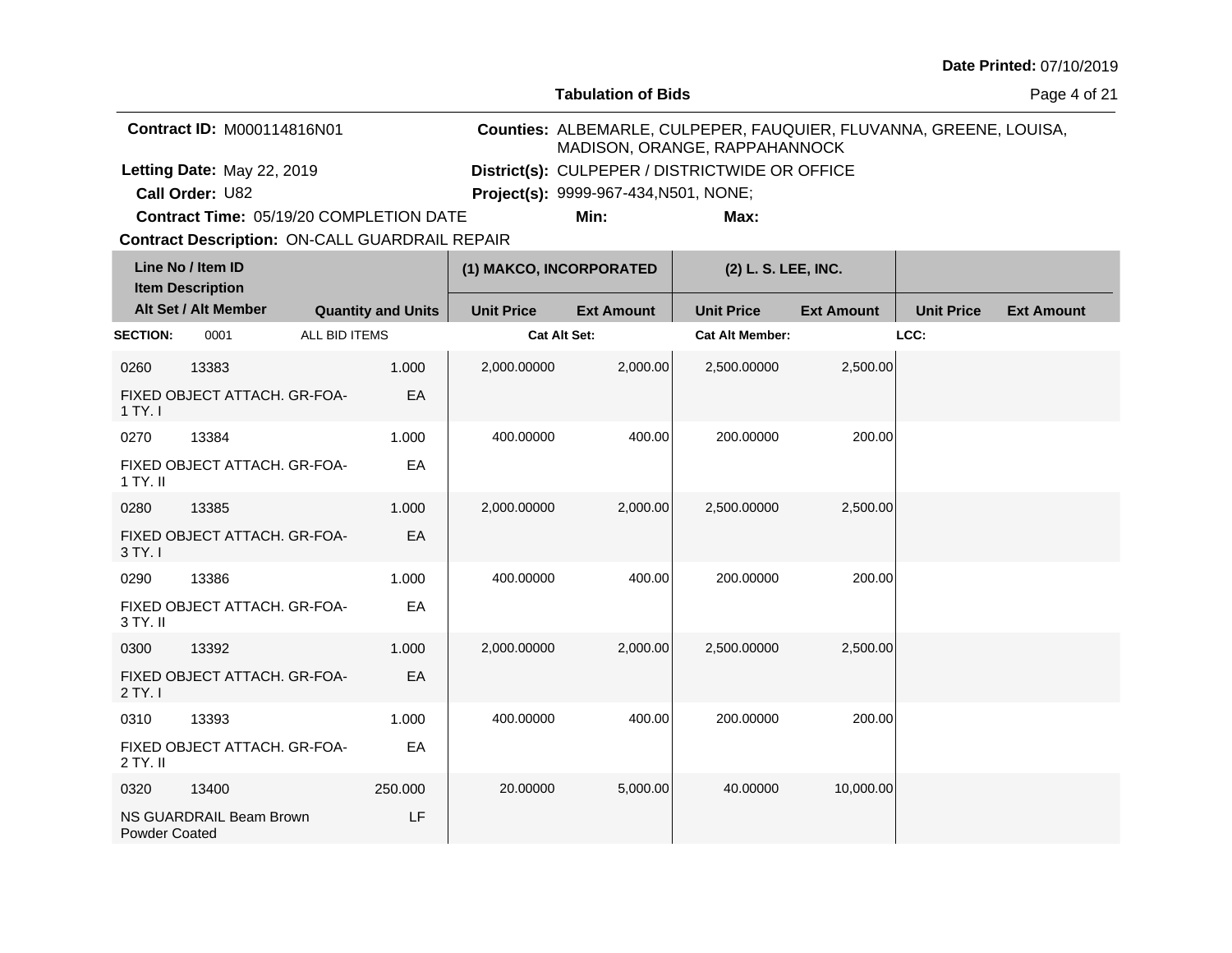**Tabulation of Bids**

Page 4 of 21

| <b>Contract ID: M000114816N01</b>              | MADISON, ORANGE, RAPPAHANNOCK                  |      | Counties: ALBEMARLE, CULPEPER, FAUQUIER, FLUVANNA, GREENE, LOUISA, |
|------------------------------------------------|------------------------------------------------|------|--------------------------------------------------------------------|
| Letting Date: May 22, 2019                     | District(s): CULPEPER / DISTRICTWIDE OR OFFICE |      |                                                                    |
| Call Order: U82                                | <b>Project(s):</b> 9999-967-434, N501, NONE;   |      |                                                                    |
| <b>Contract Time: 05/19/20 COMPLETION DATE</b> | Min:                                           | Max: |                                                                    |

**Contract Time:** 05/19/20 COMPLETION DATE

| Line No / Item ID<br><b>Item Description</b> |                              |               |                           | (1) MAKCO, INCORPORATED |                   | (2) L. S. LEE, INC.    |                   |                   |                   |
|----------------------------------------------|------------------------------|---------------|---------------------------|-------------------------|-------------------|------------------------|-------------------|-------------------|-------------------|
|                                              | Alt Set / Alt Member         |               | <b>Quantity and Units</b> | <b>Unit Price</b>       | <b>Ext Amount</b> | <b>Unit Price</b>      | <b>Ext Amount</b> | <b>Unit Price</b> | <b>Ext Amount</b> |
| <b>SECTION:</b>                              | 0001                         | ALL BID ITEMS |                           | <b>Cat Alt Set:</b>     |                   | <b>Cat Alt Member:</b> |                   | LCC:              |                   |
| 0260                                         | 13383                        |               | 1.000                     | 2,000.00000             | 2,000.00          | 2,500.00000            | 2,500.00          |                   |                   |
| 1 TY. I                                      | FIXED OBJECT ATTACH, GR-FOA- |               | EA                        |                         |                   |                        |                   |                   |                   |
| 0270                                         | 13384                        |               | 1.000                     | 400.00000               | 400.00            | 200.00000              | 200.00            |                   |                   |
| 1 TY. II                                     | FIXED OBJECT ATTACH. GR-FOA- |               | EA                        |                         |                   |                        |                   |                   |                   |
| 0280                                         | 13385                        |               | 1.000                     | 2,000.00000             | 2,000.00          | 2,500.00000            | 2,500.00          |                   |                   |
| 3 TY. I                                      | FIXED OBJECT ATTACH. GR-FOA- |               | EA                        |                         |                   |                        |                   |                   |                   |
| 0290                                         | 13386                        |               | 1.000                     | 400.00000               | 400.00            | 200.00000              | 200.00            |                   |                   |
| 3 TY. II                                     | FIXED OBJECT ATTACH. GR-FOA- |               | EA                        |                         |                   |                        |                   |                   |                   |
| 0300                                         | 13392                        |               | 1.000                     | 2,000.00000             | 2,000.00          | 2,500.00000            | 2,500.00          |                   |                   |
| 2 TY. I                                      | FIXED OBJECT ATTACH. GR-FOA- |               | EA                        |                         |                   |                        |                   |                   |                   |
| 0310                                         | 13393                        |               | 1.000                     | 400.00000               | 400.00            | 200.00000              | 200.00            |                   |                   |
| 2 TY. II                                     | FIXED OBJECT ATTACH. GR-FOA- |               | EA                        |                         |                   |                        |                   |                   |                   |
| 0320                                         | 13400                        |               | 250.000                   | 20.00000                | 5,000.00          | 40.00000               | 10,000.00         |                   |                   |
| <b>Powder Coated</b>                         | NS GUARDRAIL Beam Brown      |               | LF                        |                         |                   |                        |                   |                   |                   |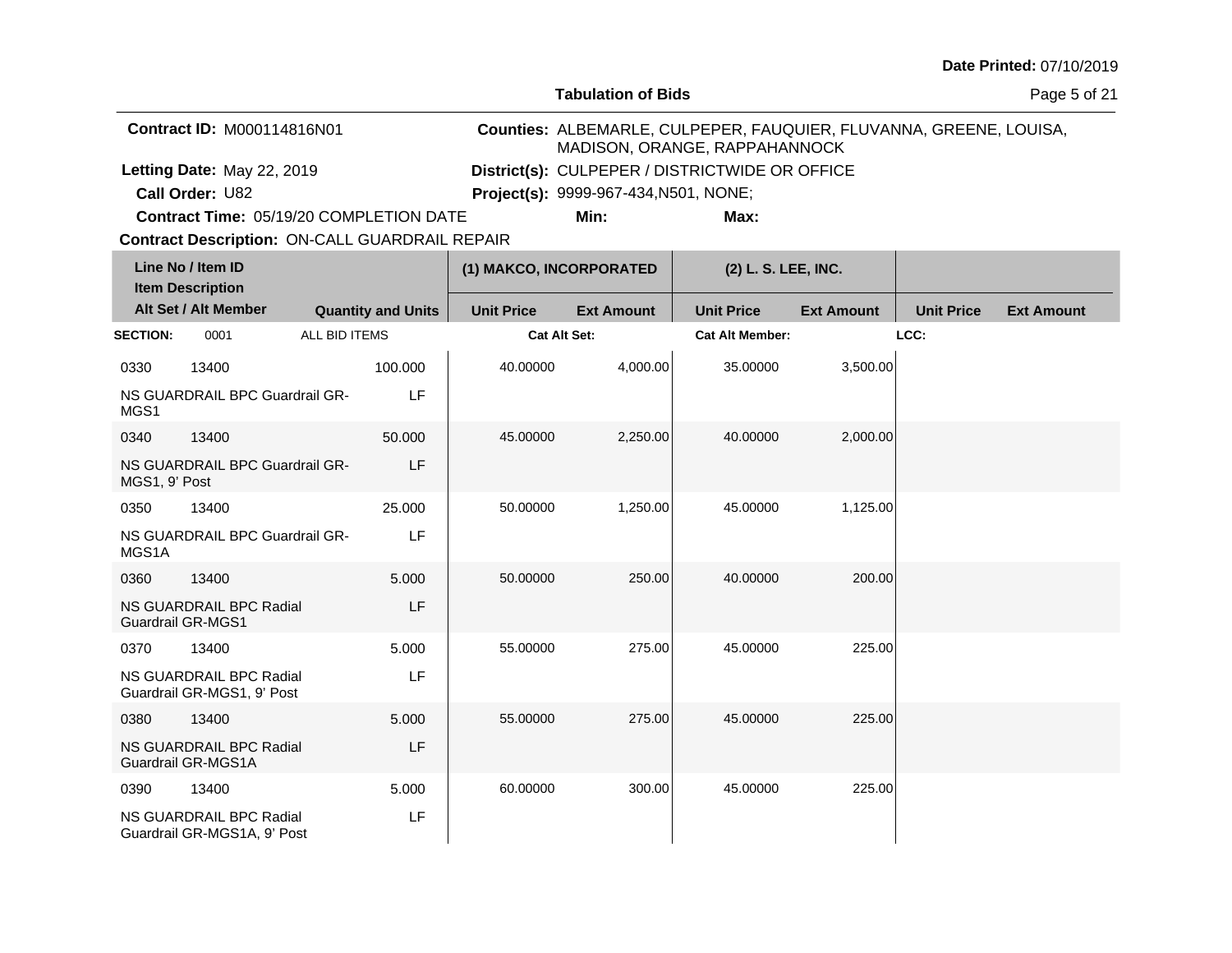**Tabulation of Bids**

Page 5 of 21

| <b>Contract ID: M000114816N01</b>              | MADISON, ORANGE, RAPPAHANNOCK                  |      | Counties: ALBEMARLE, CULPEPER, FAUQUIER, FLUVANNA, GREENE, LOUISA, |
|------------------------------------------------|------------------------------------------------|------|--------------------------------------------------------------------|
| Letting Date: May 22, 2019                     | District(s): CULPEPER / DISTRICTWIDE OR OFFICE |      |                                                                    |
| <b>Call Order: U82</b>                         | <b>Project(s): 9999-967-434, N501, NONE;</b>   |      |                                                                    |
| <b>Contract Time: 05/19/20 COMPLETION DATE</b> | Min:                                           | Max: |                                                                    |

**Contract Time:** 05/19/20 COMPLETION DATE

| Line No / Item ID<br><b>Item Description</b> |                                                        |               | (1) MAKCO, INCORPORATED   |                     | (2) L. S. LEE, INC. |                        |                   |                   |                   |
|----------------------------------------------|--------------------------------------------------------|---------------|---------------------------|---------------------|---------------------|------------------------|-------------------|-------------------|-------------------|
|                                              | Alt Set / Alt Member                                   |               | <b>Quantity and Units</b> | <b>Unit Price</b>   | <b>Ext Amount</b>   | <b>Unit Price</b>      | <b>Ext Amount</b> | <b>Unit Price</b> | <b>Ext Amount</b> |
| <b>SECTION:</b>                              | 0001                                                   | ALL BID ITEMS |                           | <b>Cat Alt Set:</b> |                     | <b>Cat Alt Member:</b> |                   | LCC:              |                   |
| 0330                                         | 13400                                                  |               | 100.000                   | 40.00000            | 4,000.00            | 35.00000               | 3,500.00          |                   |                   |
| MGS1                                         | NS GUARDRAIL BPC Guardrail GR-                         |               | LF                        |                     |                     |                        |                   |                   |                   |
| 0340                                         | 13400                                                  |               | 50.000                    | 45.00000            | 2,250.00            | 40.00000               | 2,000.00          |                   |                   |
| MGS1, 9' Post                                | NS GUARDRAIL BPC Guardrail GR-                         |               | LF                        |                     |                     |                        |                   |                   |                   |
| 0350                                         | 13400                                                  |               | 25.000                    | 50.00000            | 1,250.00            | 45.00000               | 1,125.00          |                   |                   |
| MGS1A                                        | NS GUARDRAIL BPC Guardrail GR-                         |               | LF                        |                     |                     |                        |                   |                   |                   |
| 0360                                         | 13400                                                  |               | 5.000                     | 50.00000            | 250.00              | 40.00000               | 200.00            |                   |                   |
|                                              | NS GUARDRAIL BPC Radial<br><b>Guardrail GR-MGS1</b>    |               | LF                        |                     |                     |                        |                   |                   |                   |
| 0370                                         | 13400                                                  |               | 5.000                     | 55.00000            | 275.00              | 45.00000               | 225.00            |                   |                   |
|                                              | NS GUARDRAIL BPC Radial<br>Guardrail GR-MGS1, 9' Post  |               | LF                        |                     |                     |                        |                   |                   |                   |
| 0380                                         | 13400                                                  |               | 5.000                     | 55.00000            | 275.00              | 45.00000               | 225.00            |                   |                   |
|                                              | NS GUARDRAIL BPC Radial<br>Guardrail GR-MGS1A          |               | LF                        |                     |                     |                        |                   |                   |                   |
| 0390                                         | 13400                                                  |               | 5.000                     | 60.00000            | 300.00              | 45.00000               | 225.00            |                   |                   |
|                                              | NS GUARDRAIL BPC Radial<br>Guardrail GR-MGS1A, 9' Post |               | LF                        |                     |                     |                        |                   |                   |                   |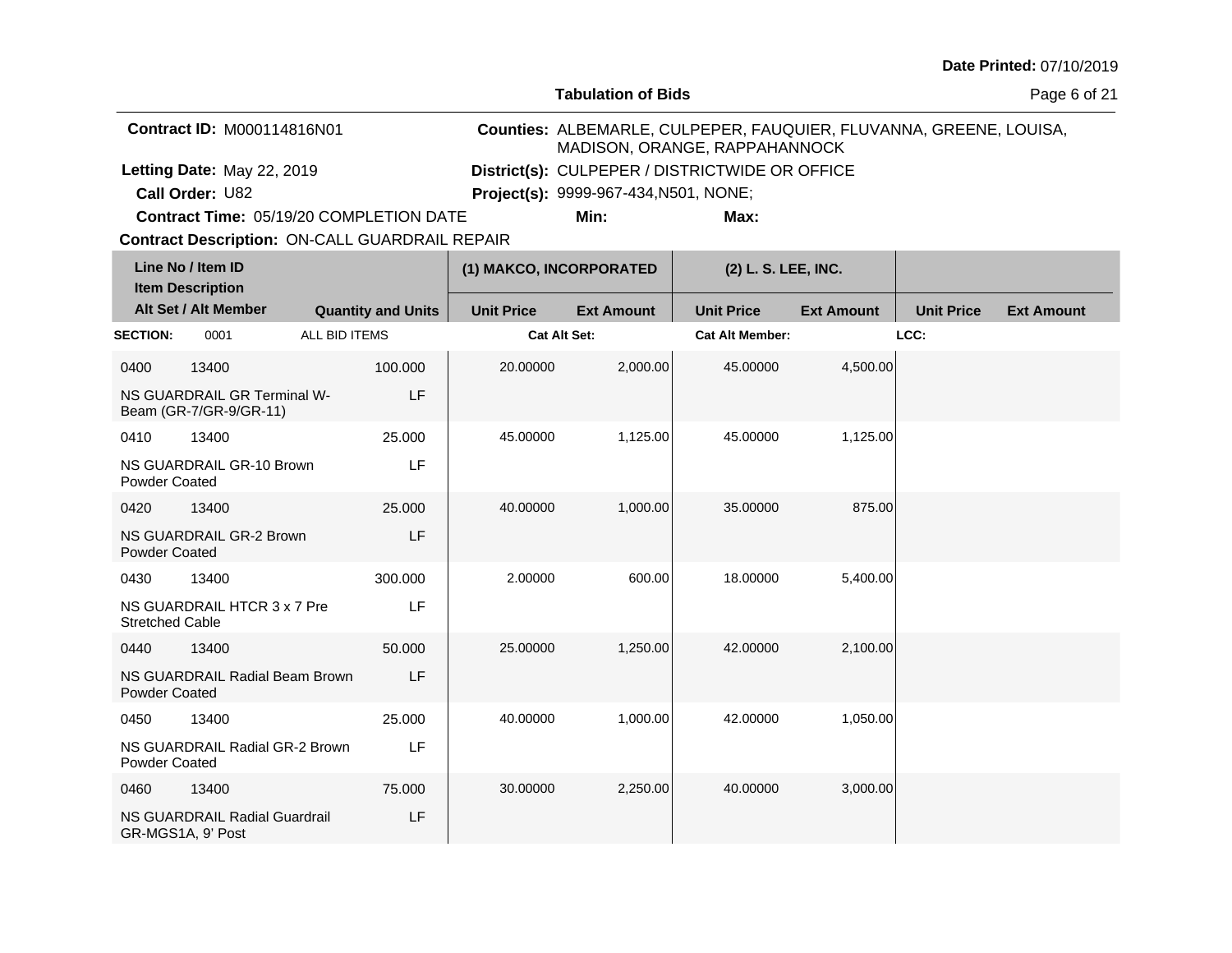**Tabulation of Bids**

Page 6 of 21

| <b>Contract ID: M000114816N01</b>              | MADISON, ORANGE, RAPPAHANNOCK                  |      | Counties: ALBEMARLE, CULPEPER, FAUQUIER, FLUVANNA, GREENE, LOUISA, |
|------------------------------------------------|------------------------------------------------|------|--------------------------------------------------------------------|
| Letting Date: May 22, 2019                     | District(s): CULPEPER / DISTRICTWIDE OR OFFICE |      |                                                                    |
| <b>Call Order: U82</b>                         | <b>Project(s): 9999-967-434, N501, NONE;</b>   |      |                                                                    |
| <b>Contract Time: 05/19/20 COMPLETION DATE</b> | Min:                                           | Max: |                                                                    |

**Contract Time:** 05/19/20 COMPLETION DATE

| Line No / Item ID<br><b>Item Description</b> |                                                       |                           | (1) MAKCO, INCORPORATED |                   | (2) L. S. LEE, INC.    |                   |                   |                   |
|----------------------------------------------|-------------------------------------------------------|---------------------------|-------------------------|-------------------|------------------------|-------------------|-------------------|-------------------|
|                                              | Alt Set / Alt Member                                  | <b>Quantity and Units</b> | <b>Unit Price</b>       | <b>Ext Amount</b> | <b>Unit Price</b>      | <b>Ext Amount</b> | <b>Unit Price</b> | <b>Ext Amount</b> |
| <b>SECTION:</b>                              | 0001                                                  | ALL BID ITEMS             | <b>Cat Alt Set:</b>     |                   | <b>Cat Alt Member:</b> |                   | LCC:              |                   |
| 0400                                         | 13400                                                 | 100.000                   | 20.00000                | 2,000.00          | 45.00000               | 4,500.00          |                   |                   |
|                                              | NS GUARDRAIL GR Terminal W-<br>Beam (GR-7/GR-9/GR-11) | LF                        |                         |                   |                        |                   |                   |                   |
| 0410                                         | 13400                                                 | 25.000                    | 45.00000                | 1,125.00          | 45.00000               | 1,125.00          |                   |                   |
| <b>Powder Coated</b>                         | NS GUARDRAIL GR-10 Brown                              | LF                        |                         |                   |                        |                   |                   |                   |
| 0420                                         | 13400                                                 | 25,000                    | 40.00000                | 1,000.00          | 35,00000               | 875.00            |                   |                   |
| Powder Coated                                | NS GUARDRAIL GR-2 Brown                               | LF                        |                         |                   |                        |                   |                   |                   |
| 0430                                         | 13400                                                 | 300.000                   | 2.00000                 | 600.00            | 18.00000               | 5,400.00          |                   |                   |
| <b>Stretched Cable</b>                       | NS GUARDRAIL HTCR 3 x 7 Pre                           | LF                        |                         |                   |                        |                   |                   |                   |
| 0440                                         | 13400                                                 | 50.000                    | 25.00000                | 1,250.00          | 42.00000               | 2,100.00          |                   |                   |
| <b>Powder Coated</b>                         | NS GUARDRAIL Radial Beam Brown                        | LF                        |                         |                   |                        |                   |                   |                   |
| 0450                                         | 13400                                                 | 25.000                    | 40.00000                | 1,000.00          | 42.00000               | 1,050.00          |                   |                   |
| <b>Powder Coated</b>                         | NS GUARDRAIL Radial GR-2 Brown                        | LF                        |                         |                   |                        |                   |                   |                   |
| 0460                                         | 13400                                                 | 75.000                    | 30.00000                | 2,250.00          | 40.00000               | 3,000.00          |                   |                   |
|                                              | NS GUARDRAIL Radial Guardrail<br>GR-MGS1A, 9' Post    | LF                        |                         |                   |                        |                   |                   |                   |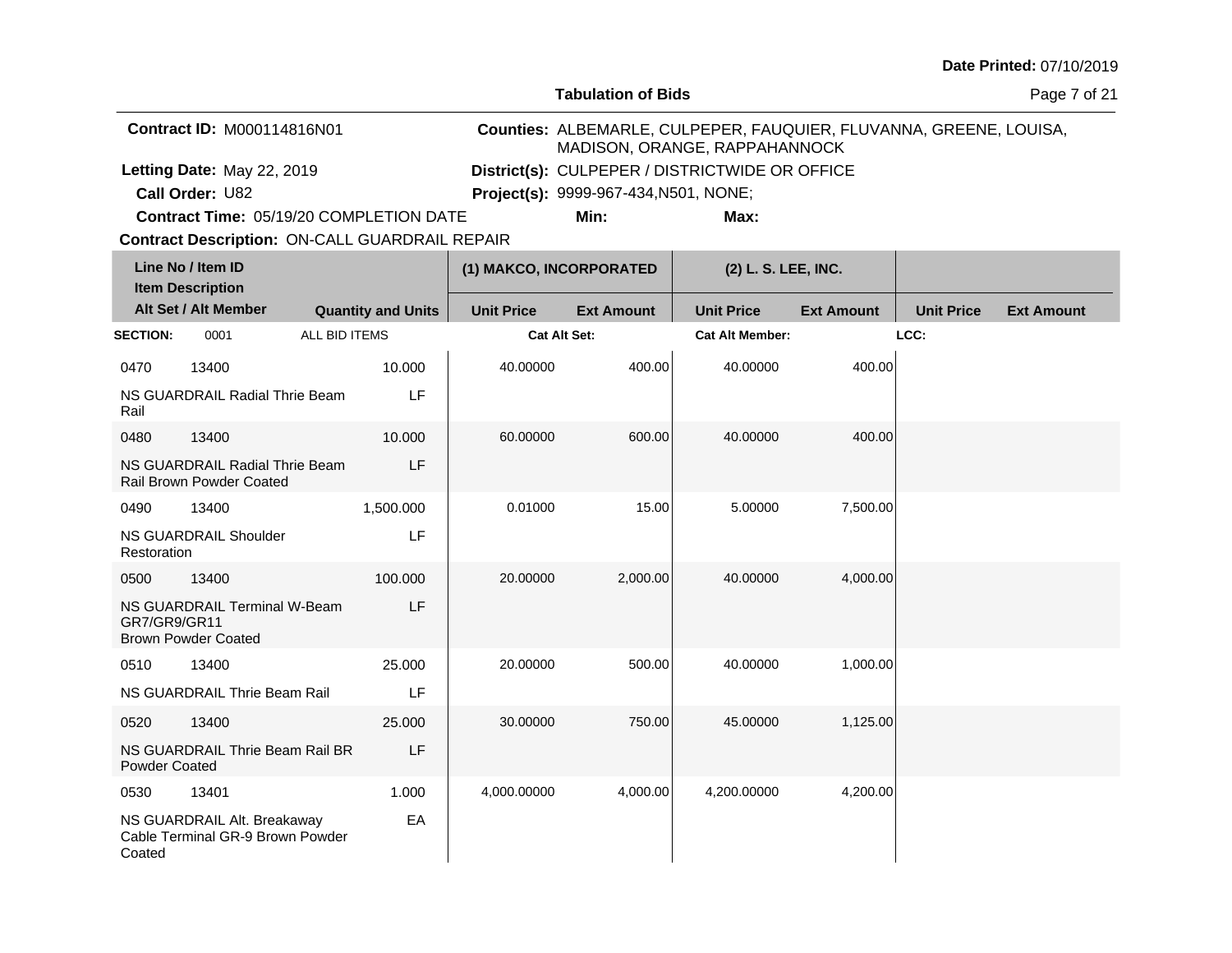**Tabulation of Bids**

Page 7 of 21

| <b>Contract ID: M000114816N01</b>       | MADISON, ORANGE, RAPPAHANNOCK                  |      | Counties: ALBEMARLE, CULPEPER, FAUQUIER, FLUVANNA, GREENE, LOUISA, |
|-----------------------------------------|------------------------------------------------|------|--------------------------------------------------------------------|
| Letting Date: May 22, 2019              | District(s): CULPEPER / DISTRICTWIDE OR OFFICE |      |                                                                    |
| <b>Call Order: U82</b>                  | <b>Project(s):</b> 9999-967-434, N501, NONE;   |      |                                                                    |
| Contract Time: 05/19/20 COMPLETION DATE | Min:                                           | Max: |                                                                    |

**Contract Time:** 05/19/20 COMPLETION DATE

|                 | Line No / Item ID<br><b>Item Description</b>                      |                           | (1) MAKCO, INCORPORATED |                   | (2) L. S. LEE, INC.    |                   |                   |                   |
|-----------------|-------------------------------------------------------------------|---------------------------|-------------------------|-------------------|------------------------|-------------------|-------------------|-------------------|
|                 | Alt Set / Alt Member                                              | <b>Quantity and Units</b> | <b>Unit Price</b>       | <b>Ext Amount</b> | <b>Unit Price</b>      | <b>Ext Amount</b> | <b>Unit Price</b> | <b>Ext Amount</b> |
| <b>SECTION:</b> | 0001                                                              | ALL BID ITEMS             | <b>Cat Alt Set:</b>     |                   | <b>Cat Alt Member:</b> |                   | LCC:              |                   |
| 0470            | 13400                                                             | 10.000                    | 40.00000                | 400.00            | 40.00000               | 400.00            |                   |                   |
| Rail            | NS GUARDRAIL Radial Thrie Beam                                    | LF                        |                         |                   |                        |                   |                   |                   |
| 0480            | 13400                                                             | 10.000                    | 60.00000                | 600.00            | 40.00000               | 400.00            |                   |                   |
|                 | NS GUARDRAIL Radial Thrie Beam<br><b>Rail Brown Powder Coated</b> | LF                        |                         |                   |                        |                   |                   |                   |
| 0490            | 13400                                                             | 1,500.000                 | 0.01000                 | 15.00             | 5.00000                | 7,500.00          |                   |                   |
| Restoration     | <b>NS GUARDRAIL Shoulder</b>                                      | LF                        |                         |                   |                        |                   |                   |                   |
| 0500            | 13400                                                             | 100.000                   | 20.00000                | 2,000.00          | 40.00000               | 4,000.00          |                   |                   |
| GR7/GR9/GR11    | NS GUARDRAIL Terminal W-Beam<br><b>Brown Powder Coated</b>        | LF                        |                         |                   |                        |                   |                   |                   |
| 0510            | 13400                                                             | 25.000                    | 20.00000                | 500.00            | 40.00000               | 1,000.00          |                   |                   |
|                 | NS GUARDRAIL Thrie Beam Rail                                      | LF                        |                         |                   |                        |                   |                   |                   |
| 0520            | 13400                                                             | 25.000                    | 30.00000                | 750.00            | 45.00000               | 1,125.00          |                   |                   |
| Powder Coated   | NS GUARDRAIL Thrie Beam Rail BR                                   | LF                        |                         |                   |                        |                   |                   |                   |
| 0530            | 13401                                                             | 1.000                     | 4,000.00000             | 4,000.00          | 4,200.00000            | 4,200.00          |                   |                   |
| Coated          | NS GUARDRAIL Alt. Breakaway<br>Cable Terminal GR-9 Brown Powder   | EA                        |                         |                   |                        |                   |                   |                   |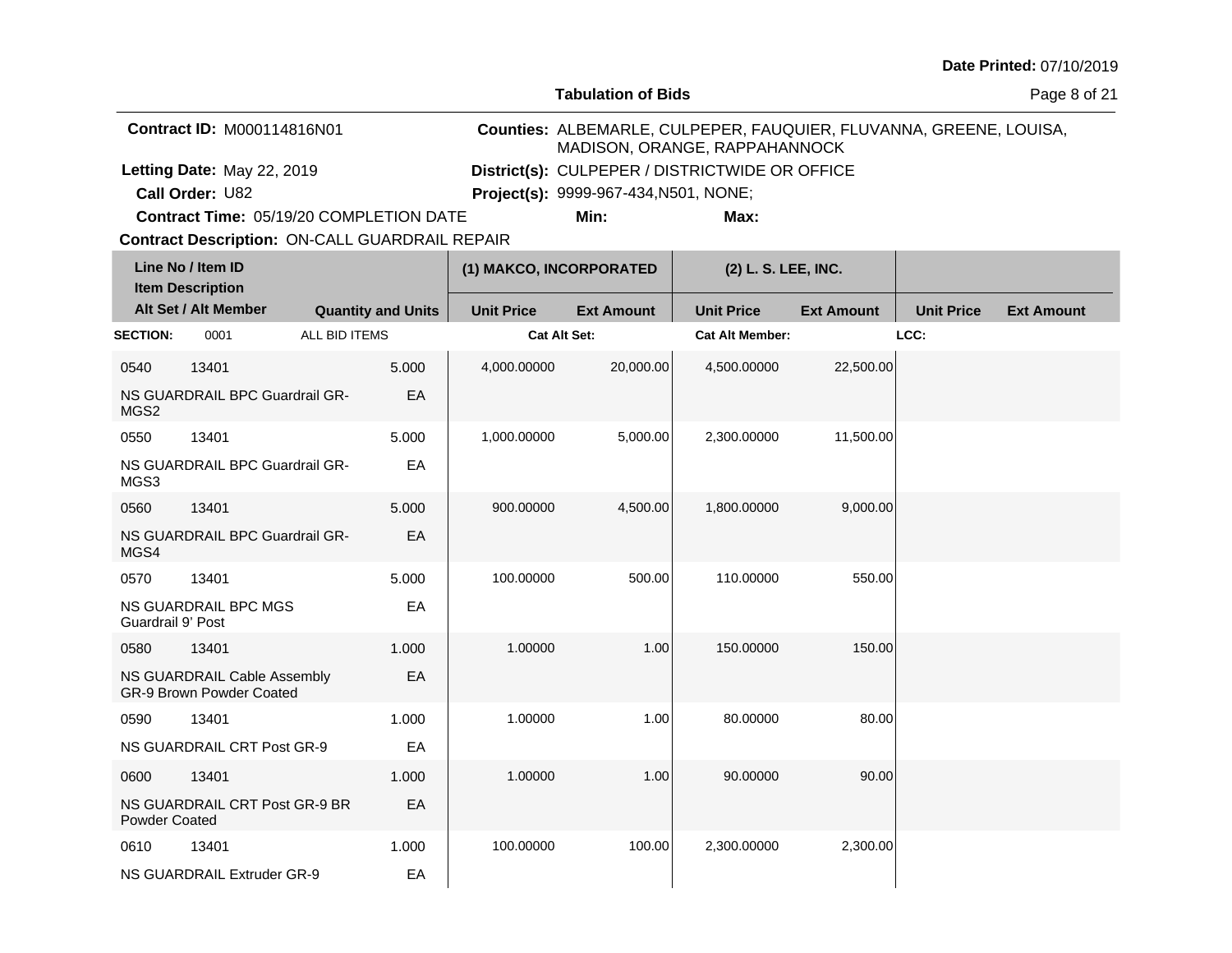**Tabulation of Bids**

Page 8 of 21

| <b>Contract ID: M000114816N01</b>              | MADISON, ORANGE, RAPPAHANNOCK                  |      | Counties: ALBEMARLE, CULPEPER, FAUQUIER, FLUVANNA, GREENE, LOUISA, |
|------------------------------------------------|------------------------------------------------|------|--------------------------------------------------------------------|
| Letting Date: May 22, 2019                     | District(s): CULPEPER / DISTRICTWIDE OR OFFICE |      |                                                                    |
| <b>Call Order: U82</b>                         | <b>Project(s):</b> 9999-967-434, N501, NONE;   |      |                                                                    |
| <b>Contract Time: 05/19/20 COMPLETION DATE</b> | Min:                                           | Max: |                                                                    |

**Contract Time:** 05/19/20 COMPLETION DATE

|                   | Line No / Item ID<br>(1) MAKCO, INCORPORATED<br><b>Item Description</b> |               |                           | (2) L. S. LEE, INC. |                   |                        |                   |                   |                   |
|-------------------|-------------------------------------------------------------------------|---------------|---------------------------|---------------------|-------------------|------------------------|-------------------|-------------------|-------------------|
|                   | Alt Set / Alt Member                                                    |               | <b>Quantity and Units</b> | <b>Unit Price</b>   | <b>Ext Amount</b> | <b>Unit Price</b>      | <b>Ext Amount</b> | <b>Unit Price</b> | <b>Ext Amount</b> |
| <b>SECTION:</b>   | 0001                                                                    | ALL BID ITEMS |                           | <b>Cat Alt Set:</b> |                   | <b>Cat Alt Member:</b> |                   | LCC:              |                   |
| 0540              | 13401                                                                   |               | 5.000                     | 4,000.00000         | 20,000.00         | 4,500.00000            | 22,500.00         |                   |                   |
| MGS2              | NS GUARDRAIL BPC Guardrail GR-                                          |               | EA                        |                     |                   |                        |                   |                   |                   |
| 0550              | 13401                                                                   |               | 5.000                     | 1,000.00000         | 5,000.00          | 2,300.00000            | 11,500.00         |                   |                   |
| MGS3              | NS GUARDRAIL BPC Guardrail GR-                                          |               | EA                        |                     |                   |                        |                   |                   |                   |
| 0560              | 13401                                                                   |               | 5.000                     | 900.00000           | 4,500.00          | 1,800.00000            | 9,000.00          |                   |                   |
| MGS4              | NS GUARDRAIL BPC Guardrail GR-                                          |               | EA                        |                     |                   |                        |                   |                   |                   |
| 0570              | 13401                                                                   |               | 5.000                     | 100.00000           | 500.00            | 110.00000              | 550.00            |                   |                   |
| Guardrail 9' Post | <b>NS GUARDRAIL BPC MGS</b>                                             |               | EA                        |                     |                   |                        |                   |                   |                   |
| 0580              | 13401                                                                   |               | 1.000                     | 1.00000             | 1.00              | 150.00000              | 150.00            |                   |                   |
|                   | NS GUARDRAIL Cable Assembly<br>GR-9 Brown Powder Coated                 |               | EA                        |                     |                   |                        |                   |                   |                   |
| 0590              | 13401                                                                   |               | 1.000                     | 1.00000             | 1.00              | 80.00000               | 80.00             |                   |                   |
|                   | NS GUARDRAIL CRT Post GR-9                                              |               | EA                        |                     |                   |                        |                   |                   |                   |
| 0600              | 13401                                                                   |               | 1.000                     | 1.00000             | 1.00              | 90.00000               | 90.00             |                   |                   |
| Powder Coated     | NS GUARDRAIL CRT Post GR-9 BR                                           |               | EA                        |                     |                   |                        |                   |                   |                   |
| 0610              | 13401                                                                   |               | 1.000                     | 100.00000           | 100.00            | 2,300.00000            | 2,300.00          |                   |                   |
|                   | NS GUARDRAIL Extruder GR-9                                              |               | EA                        |                     |                   |                        |                   |                   |                   |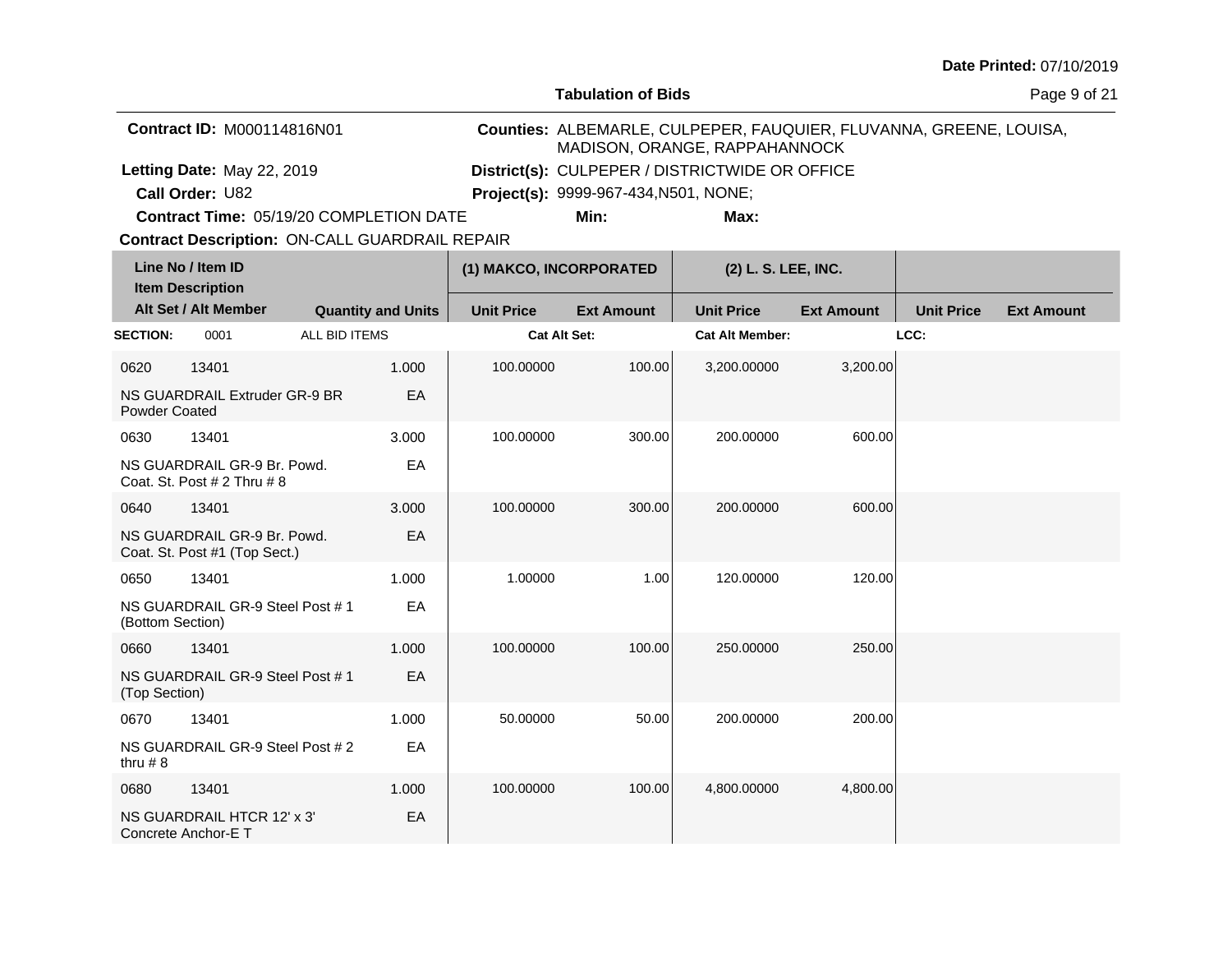**Tabulation of Bids**

Page 9 of 21

| <b>Contract ID: M000114816N01</b>              | MADISON, ORANGE, RAPPAHANNOCK                  |      | Counties: ALBEMARLE, CULPEPER, FAUQUIER, FLUVANNA, GREENE, LOUISA, |
|------------------------------------------------|------------------------------------------------|------|--------------------------------------------------------------------|
| Letting Date: May 22, 2019                     | District(s): CULPEPER / DISTRICTWIDE OR OFFICE |      |                                                                    |
| <b>Call Order: U82</b>                         | <b>Project(s):</b> 9999-967-434, N501, NONE;   |      |                                                                    |
| <b>Contract Time: 05/19/20 COMPLETION DATE</b> | Min:                                           | Max: |                                                                    |

**Contract Time:** 05/19/20 COMPLETION DATE

| Line No / Item ID<br><b>Item Description</b> |                                                                |                           | (1) MAKCO, INCORPORATED |                     | (2) L. S. LEE, INC. |                        |                   |                   |                   |
|----------------------------------------------|----------------------------------------------------------------|---------------------------|-------------------------|---------------------|---------------------|------------------------|-------------------|-------------------|-------------------|
|                                              | Alt Set / Alt Member                                           | <b>Quantity and Units</b> |                         | <b>Unit Price</b>   | <b>Ext Amount</b>   | <b>Unit Price</b>      | <b>Ext Amount</b> | <b>Unit Price</b> | <b>Ext Amount</b> |
| <b>SECTION:</b>                              | 0001                                                           | ALL BID ITEMS             |                         | <b>Cat Alt Set:</b> |                     | <b>Cat Alt Member:</b> |                   | LCC:              |                   |
| 0620                                         | 13401                                                          |                           | 1.000                   | 100.00000           | 100.00              | 3,200.00000            | 3,200.00          |                   |                   |
| <b>Powder Coated</b>                         | NS GUARDRAIL Extruder GR-9 BR                                  |                           | EA                      |                     |                     |                        |                   |                   |                   |
| 0630                                         | 13401                                                          |                           | 3.000                   | 100.00000           | 300.00              | 200.00000              | 600.00            |                   |                   |
|                                              | NS GUARDRAIL GR-9 Br. Powd.<br>Coat. St. Post $# 2$ Thru $# 8$ |                           | EA                      |                     |                     |                        |                   |                   |                   |
| 0640                                         | 13401                                                          |                           | 3.000                   | 100.00000           | 300.00              | 200.00000              | 600.00            |                   |                   |
|                                              | NS GUARDRAIL GR-9 Br. Powd.<br>Coat. St. Post #1 (Top Sect.)   |                           | EA                      |                     |                     |                        |                   |                   |                   |
| 0650                                         | 13401                                                          |                           | 1.000                   | 1.00000             | 1.00                | 120.00000              | 120.00            |                   |                   |
| (Bottom Section)                             | NS GUARDRAIL GR-9 Steel Post #1                                |                           | EA                      |                     |                     |                        |                   |                   |                   |
| 0660                                         | 13401                                                          |                           | 1.000                   | 100.00000           | 100.00              | 250.00000              | 250.00            |                   |                   |
| (Top Section)                                | NS GUARDRAIL GR-9 Steel Post #1                                |                           | EA                      |                     |                     |                        |                   |                   |                   |
| 0670                                         | 13401                                                          |                           | 1.000                   | 50.00000            | 50.00               | 200.00000              | 200.00            |                   |                   |
| thru $# 8$                                   | NS GUARDRAIL GR-9 Steel Post # 2                               |                           | EA                      |                     |                     |                        |                   |                   |                   |
| 0680                                         | 13401                                                          |                           | 1.000                   | 100.00000           | 100.00              | 4,800.00000            | 4,800.00          |                   |                   |
|                                              | NS GUARDRAIL HTCR 12' x 3'<br>Concrete Anchor-E T              |                           | EA                      |                     |                     |                        |                   |                   |                   |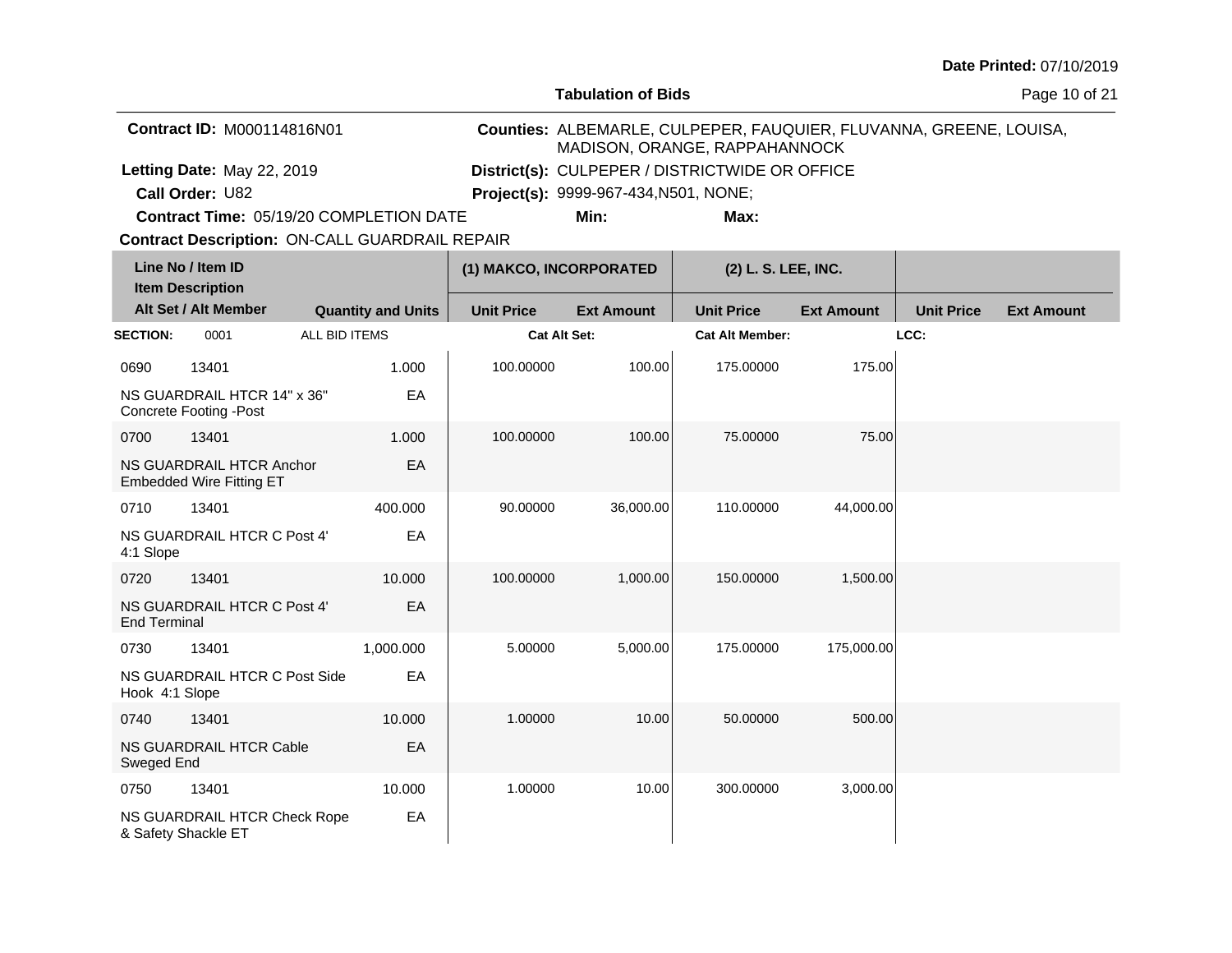**Tabulation of Bids**

Page 10 of 21

| <b>Contract ID: M000114816N01</b>              |                                              | MADISON, ORANGE, RAPPAHANNOCK                  | Counties: ALBEMARLE, CULPEPER, FAUQUIER, FLUVANNA, GREENE, LOUISA, |
|------------------------------------------------|----------------------------------------------|------------------------------------------------|--------------------------------------------------------------------|
| Letting Date: May 22, 2019                     |                                              | District(s): CULPEPER / DISTRICTWIDE OR OFFICE |                                                                    |
| <b>Call Order: U82</b>                         | <b>Project(s): 9999-967-434, N501, NONE;</b> |                                                |                                                                    |
| <b>Contract Time: 05/19/20 COMPLETION DATE</b> | Min:                                         | Max:                                           |                                                                    |

**Contract Time:** 05/19/20 COMPLETION DATE

|                     | Line No / Item ID<br><b>Item Description</b>                 |                           | (1) MAKCO, INCORPORATED |                   | (2) L. S. LEE, INC.    |                   |                   |                   |
|---------------------|--------------------------------------------------------------|---------------------------|-------------------------|-------------------|------------------------|-------------------|-------------------|-------------------|
|                     | Alt Set / Alt Member                                         | <b>Quantity and Units</b> | <b>Unit Price</b>       | <b>Ext Amount</b> | <b>Unit Price</b>      | <b>Ext Amount</b> | <b>Unit Price</b> | <b>Ext Amount</b> |
| <b>SECTION:</b>     | 0001                                                         | ALL BID ITEMS             | <b>Cat Alt Set:</b>     |                   | <b>Cat Alt Member:</b> |                   | LCC:              |                   |
| 0690                | 13401                                                        | 1.000                     | 100.00000               | 100.00            | 175.00000              | 175.00            |                   |                   |
|                     | NS GUARDRAIL HTCR 14" x 36"<br><b>Concrete Footing -Post</b> | EA                        |                         |                   |                        |                   |                   |                   |
| 0700                | 13401                                                        | 1.000                     | 100.00000               | 100.00            | 75.00000               | 75.00             |                   |                   |
|                     | NS GUARDRAIL HTCR Anchor<br><b>Embedded Wire Fitting ET</b>  | EA                        |                         |                   |                        |                   |                   |                   |
| 0710                | 13401                                                        | 400.000                   | 90.00000                | 36,000.00         | 110.00000              | 44,000.00         |                   |                   |
| 4:1 Slope           | NS GUARDRAIL HTCR C Post 4'                                  | EA                        |                         |                   |                        |                   |                   |                   |
| 0720                | 13401                                                        | 10.000                    | 100.00000               | 1,000.00          | 150.00000              | 1,500.00          |                   |                   |
| <b>End Terminal</b> | NS GUARDRAIL HTCR C Post 4'                                  | EA                        |                         |                   |                        |                   |                   |                   |
| 0730                | 13401                                                        | 1,000.000                 | 5.00000                 | 5,000.00          | 175.00000              | 175,000.00        |                   |                   |
| Hook 4:1 Slope      | NS GUARDRAIL HTCR C Post Side                                | EA                        |                         |                   |                        |                   |                   |                   |
| 0740                | 13401                                                        | 10.000                    | 1.00000                 | 10.00             | 50.00000               | 500.00            |                   |                   |
| Sweged End          | NS GUARDRAIL HTCR Cable                                      | EA                        |                         |                   |                        |                   |                   |                   |
| 0750                | 13401                                                        | 10.000                    | 1.00000                 | 10.00             | 300.00000              | 3,000.00          |                   |                   |
|                     | NS GUARDRAIL HTCR Check Rope<br>& Safety Shackle ET          | EA                        |                         |                   |                        |                   |                   |                   |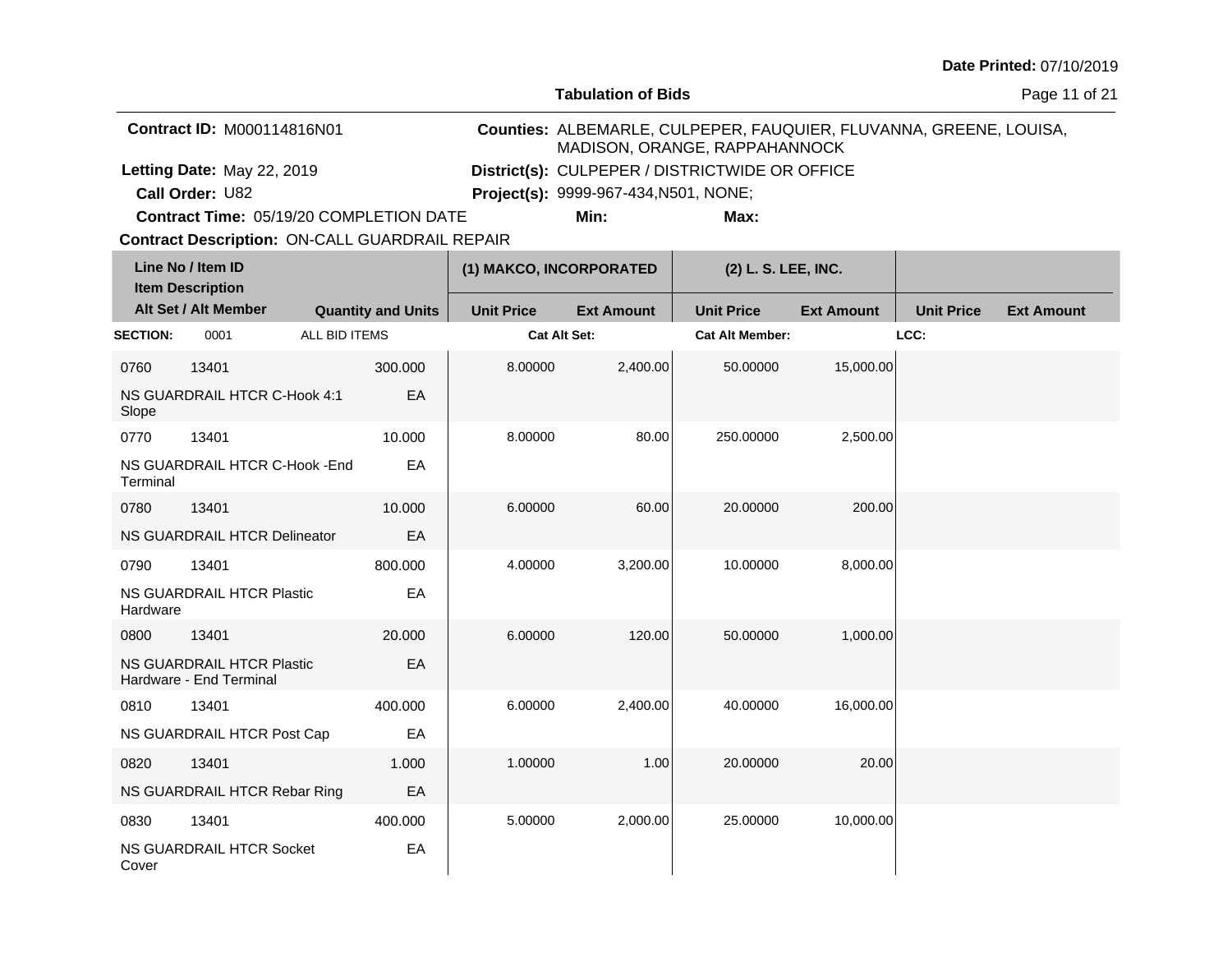**Tabulation of Bids**

Page 11 of 21

| <b>Contract ID: M000114816N01</b>              | MADISON, ORANGE, RAPPAHANNOCK                  |      | Counties: ALBEMARLE, CULPEPER, FAUQUIER, FLUVANNA, GREENE, LOUISA, |
|------------------------------------------------|------------------------------------------------|------|--------------------------------------------------------------------|
| Letting Date: May 22, 2019                     | District(s): CULPEPER / DISTRICTWIDE OR OFFICE |      |                                                                    |
| <b>Call Order: U82</b>                         | <b>Project(s): 9999-967-434, N501, NONE;</b>   |      |                                                                    |
| <b>Contract Time: 05/19/20 COMPLETION DATE</b> | Min:                                           | Max: |                                                                    |

**Contract Time:** 05/19/20 COMPLETION DATE

| Line No / Item ID<br><b>Item Description</b> |                                                             |                           | (1) MAKCO, INCORPORATED |                   | (2) L. S. LEE, INC.    |                   |                   |                   |
|----------------------------------------------|-------------------------------------------------------------|---------------------------|-------------------------|-------------------|------------------------|-------------------|-------------------|-------------------|
|                                              | Alt Set / Alt Member                                        | <b>Quantity and Units</b> | <b>Unit Price</b>       | <b>Ext Amount</b> | <b>Unit Price</b>      | <b>Ext Amount</b> | <b>Unit Price</b> | <b>Ext Amount</b> |
| <b>SECTION:</b>                              | 0001                                                        | ALL BID ITEMS             | <b>Cat Alt Set:</b>     |                   | <b>Cat Alt Member:</b> |                   | LCC:              |                   |
| 0760                                         | 13401                                                       | 300.000                   | 8.00000                 | 2,400.00          | 50.00000               | 15,000.00         |                   |                   |
| Slope                                        | NS GUARDRAIL HTCR C-Hook 4:1                                | EA                        |                         |                   |                        |                   |                   |                   |
| 0770                                         | 13401                                                       | 10.000                    | 8.00000                 | 80.00             | 250.00000              | 2,500.00          |                   |                   |
| Terminal                                     | NS GUARDRAIL HTCR C-Hook - End                              | EA                        |                         |                   |                        |                   |                   |                   |
| 0780                                         | 13401                                                       | 10.000                    | 6.00000                 | 60.00             | 20.00000               | 200.00            |                   |                   |
|                                              | NS GUARDRAIL HTCR Delineator                                | EA                        |                         |                   |                        |                   |                   |                   |
| 0790                                         | 13401                                                       | 800.000                   | 4.00000                 | 3,200.00          | 10.00000               | 8,000.00          |                   |                   |
| Hardware                                     | NS GUARDRAIL HTCR Plastic                                   | EA                        |                         |                   |                        |                   |                   |                   |
| 0800                                         | 13401                                                       | 20.000                    | 6.00000                 | 120.00            | 50.00000               | 1,000.00          |                   |                   |
|                                              | <b>NS GUARDRAIL HTCR Plastic</b><br>Hardware - End Terminal | EA                        |                         |                   |                        |                   |                   |                   |
| 0810                                         | 13401                                                       | 400.000                   | 6.00000                 | 2,400.00          | 40.00000               | 16,000.00         |                   |                   |
|                                              | NS GUARDRAIL HTCR Post Cap                                  | EA                        |                         |                   |                        |                   |                   |                   |
| 0820                                         | 13401                                                       | 1.000                     | 1.00000                 | 1.00              | 20.00000               | 20.00             |                   |                   |
|                                              | NS GUARDRAIL HTCR Rebar Ring                                | EA                        |                         |                   |                        |                   |                   |                   |
| 0830                                         | 13401                                                       | 400.000                   | 5.00000                 | 2,000.00          | 25.00000               | 10,000.00         |                   |                   |
| Cover                                        | <b>NS GUARDRAIL HTCR Socket</b>                             | EA                        |                         |                   |                        |                   |                   |                   |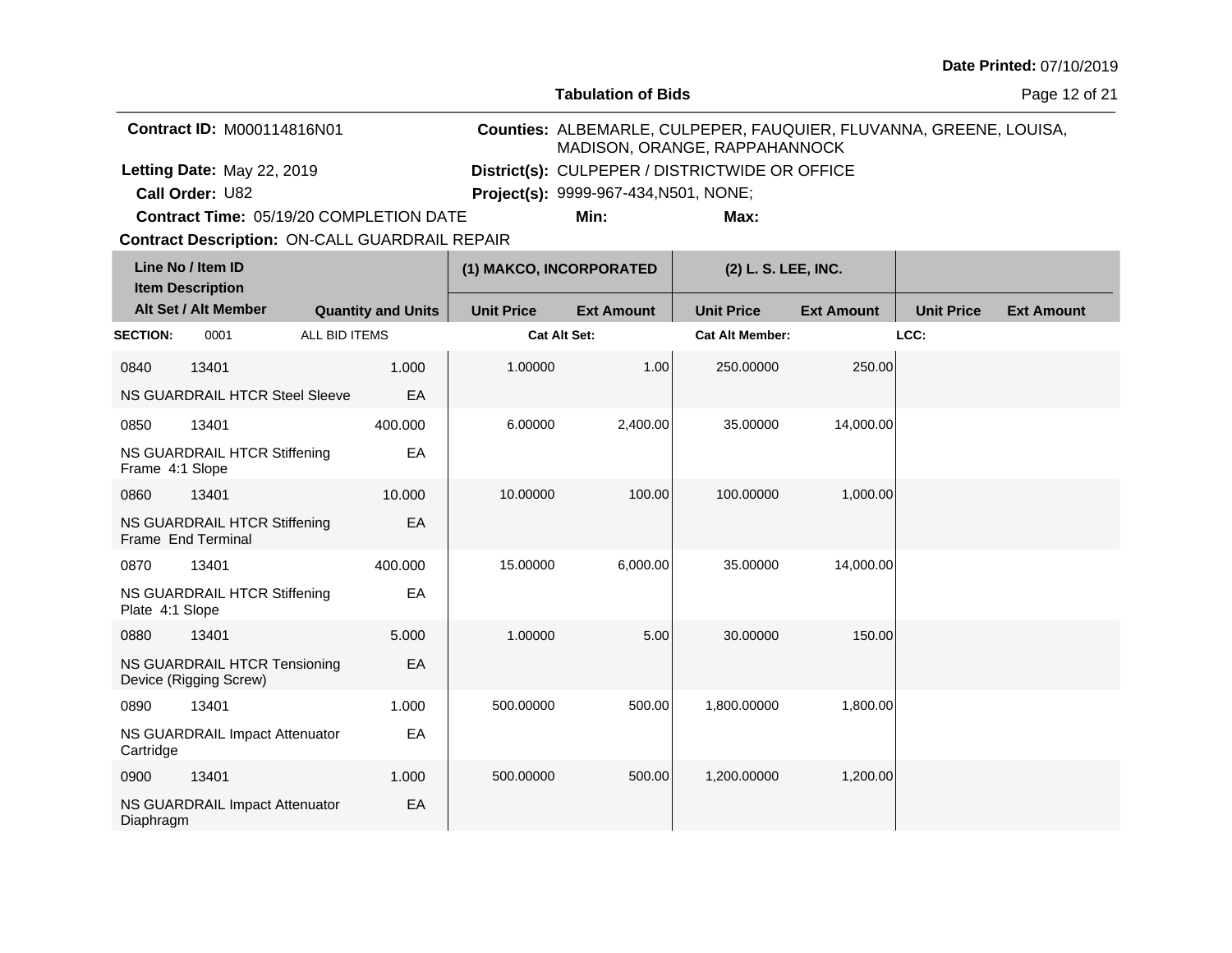**Tabulation of Bids**

Page 12 of 21

| <b>Contract ID: M000114816N01</b>              | MADISON, ORANGE, RAPPAHANNOCK                  |      | Counties: ALBEMARLE, CULPEPER, FAUQUIER, FLUVANNA, GREENE, LOUISA, |
|------------------------------------------------|------------------------------------------------|------|--------------------------------------------------------------------|
| Letting Date: May 22, 2019                     | District(s): CULPEPER / DISTRICTWIDE OR OFFICE |      |                                                                    |
| <b>Call Order: U82</b>                         | <b>Project(s): 9999-967-434, N501, NONE;</b>   |      |                                                                    |
| <b>Contract Time: 05/19/20 COMPLETION DATE</b> | Min:                                           | Max: |                                                                    |

**Contract Time:** 05/19/20 COMPLETION DATE

| Line No / Item ID<br><b>Item Description</b> |                                                        |               |                           | (1) MAKCO, INCORPORATED |                   | (2) L. S. LEE, INC.    |                   |                   |                   |
|----------------------------------------------|--------------------------------------------------------|---------------|---------------------------|-------------------------|-------------------|------------------------|-------------------|-------------------|-------------------|
|                                              | Alt Set / Alt Member                                   |               | <b>Quantity and Units</b> | <b>Unit Price</b>       | <b>Ext Amount</b> | <b>Unit Price</b>      | <b>Ext Amount</b> | <b>Unit Price</b> | <b>Ext Amount</b> |
| <b>SECTION:</b>                              | 0001                                                   | ALL BID ITEMS |                           | <b>Cat Alt Set:</b>     |                   | <b>Cat Alt Member:</b> |                   | LCC:              |                   |
| 0840                                         | 13401                                                  |               | 1.000                     | 1.00000                 | 1.00              | 250.00000              | 250.00            |                   |                   |
|                                              | <b>NS GUARDRAIL HTCR Steel Sleeve</b>                  |               | EA                        |                         |                   |                        |                   |                   |                   |
| 0850                                         | 13401                                                  |               | 400.000                   | 6.00000                 | 2,400.00          | 35.00000               | 14,000.00         |                   |                   |
| Frame 4:1 Slope                              | NS GUARDRAIL HTCR Stiffening                           |               | EA                        |                         |                   |                        |                   |                   |                   |
| 0860                                         | 13401                                                  |               | 10.000                    | 10.00000                | 100.00            | 100.00000              | 1,000.00          |                   |                   |
|                                              | NS GUARDRAIL HTCR Stiffening<br>Frame End Terminal     |               | EA                        |                         |                   |                        |                   |                   |                   |
| 0870                                         | 13401                                                  |               | 400.000                   | 15.00000                | 6,000.00          | 35.00000               | 14,000.00         |                   |                   |
| Plate 4:1 Slope                              | NS GUARDRAIL HTCR Stiffening                           |               | EA                        |                         |                   |                        |                   |                   |                   |
| 0880                                         | 13401                                                  |               | 5.000                     | 1.00000                 | 5.00              | 30.00000               | 150.00            |                   |                   |
|                                              | NS GUARDRAIL HTCR Tensioning<br>Device (Rigging Screw) |               | EA                        |                         |                   |                        |                   |                   |                   |
| 0890                                         | 13401                                                  |               | 1.000                     | 500.00000               | 500.00            | 1,800.00000            | 1,800.00          |                   |                   |
| Cartridge                                    | NS GUARDRAIL Impact Attenuator                         |               | EA                        |                         |                   |                        |                   |                   |                   |
| 0900                                         | 13401                                                  |               | 1.000                     | 500.00000               | 500.00            | 1,200.00000            | 1,200.00          |                   |                   |
| Diaphragm                                    | NS GUARDRAIL Impact Attenuator                         |               | EA                        |                         |                   |                        |                   |                   |                   |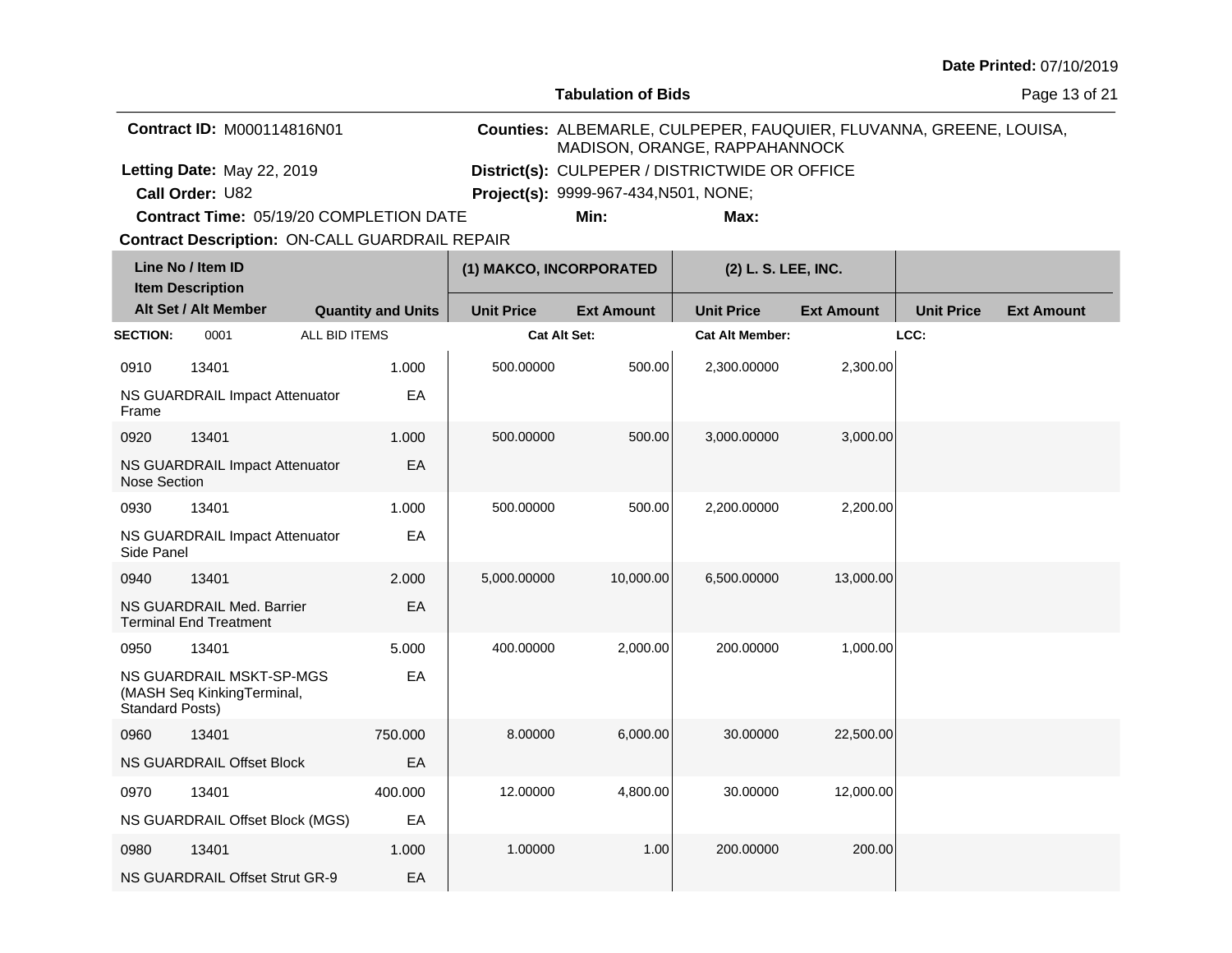**Tabulation of Bids**

Page 13 of 21

| <b>Contract ID: M000114816N01</b>              |                                              | MADISON, ORANGE, RAPPAHANNOCK                  | Counties: ALBEMARLE, CULPEPER, FAUQUIER, FLUVANNA, GREENE, LOUISA, |
|------------------------------------------------|----------------------------------------------|------------------------------------------------|--------------------------------------------------------------------|
| Letting Date: May 22, 2019                     |                                              | District(s): CULPEPER / DISTRICTWIDE OR OFFICE |                                                                    |
| <b>Call Order: U82</b>                         | <b>Project(s): 9999-967-434, N501, NONE;</b> |                                                |                                                                    |
| <b>Contract Time: 05/19/20 COMPLETION DATE</b> | Min:                                         | Max:                                           |                                                                    |

**Contract Time:** 05/19/20 COMPLETION DATE

|                        | Line No / Item ID<br><b>Item Description</b>               |                           | (1) MAKCO, INCORPORATED |                   | (2) L. S. LEE, INC.    |                   |                   |                   |
|------------------------|------------------------------------------------------------|---------------------------|-------------------------|-------------------|------------------------|-------------------|-------------------|-------------------|
|                        | Alt Set / Alt Member                                       | <b>Quantity and Units</b> | <b>Unit Price</b>       | <b>Ext Amount</b> | <b>Unit Price</b>      | <b>Ext Amount</b> | <b>Unit Price</b> | <b>Ext Amount</b> |
| <b>SECTION:</b>        | 0001                                                       | ALL BID ITEMS             | <b>Cat Alt Set:</b>     |                   | <b>Cat Alt Member:</b> |                   | LCC:              |                   |
| 0910                   | 13401                                                      | 1.000                     | 500.00000               | 500.00            | 2,300.00000            | 2,300.00          |                   |                   |
| Frame                  | NS GUARDRAIL Impact Attenuator                             | EA                        |                         |                   |                        |                   |                   |                   |
| 0920                   | 13401                                                      | 1.000                     | 500.00000               | 500.00            | 3,000.00000            | 3,000.00          |                   |                   |
| <b>Nose Section</b>    | NS GUARDRAIL Impact Attenuator                             | EA                        |                         |                   |                        |                   |                   |                   |
| 0930                   | 13401                                                      | 1.000                     | 500.00000               | 500.00            | 2,200.00000            | 2,200.00          |                   |                   |
| Side Panel             | NS GUARDRAIL Impact Attenuator                             | EA                        |                         |                   |                        |                   |                   |                   |
| 0940                   | 13401                                                      | 2.000                     | 5,000.00000             | 10,000.00         | 6,500.00000            | 13,000.00         |                   |                   |
|                        | NS GUARDRAIL Med. Barrier<br><b>Terminal End Treatment</b> | EA                        |                         |                   |                        |                   |                   |                   |
| 0950                   | 13401                                                      | 5.000                     | 400.00000               | 2,000.00          | 200.00000              | 1,000.00          |                   |                   |
| <b>Standard Posts)</b> | NS GUARDRAIL MSKT-SP-MGS<br>(MASH Seq KinkingTerminal,     | EA                        |                         |                   |                        |                   |                   |                   |
| 0960                   | 13401                                                      | 750,000                   | 8.00000                 | 6,000.00          | 30.00000               | 22,500.00         |                   |                   |
|                        | NS GUARDRAIL Offset Block                                  | EA                        |                         |                   |                        |                   |                   |                   |
| 0970                   | 13401                                                      | 400.000                   | 12.00000                | 4,800.00          | 30.00000               | 12,000.00         |                   |                   |
|                        | NS GUARDRAIL Offset Block (MGS)                            | EA                        |                         |                   |                        |                   |                   |                   |
| 0980                   | 13401                                                      | 1.000                     | 1.00000                 | 1.00              | 200.00000              | 200.00            |                   |                   |
|                        | NS GUARDRAIL Offset Strut GR-9                             | EA                        |                         |                   |                        |                   |                   |                   |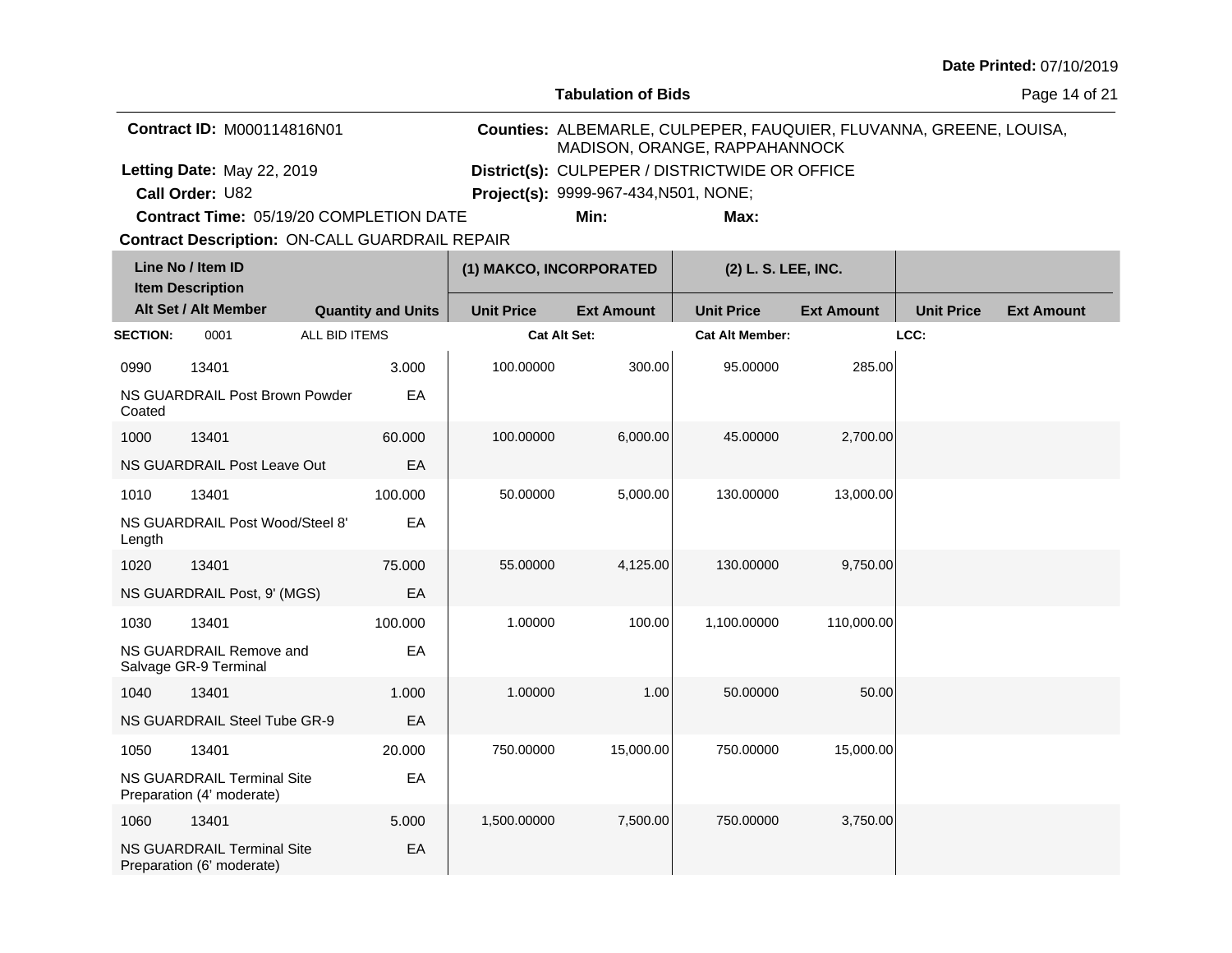**Tabulation of Bids**

Page 14 of 21

| <b>Contract ID: M000114816N01</b>              |                                              | MADISON, ORANGE, RAPPAHANNOCK                  | Counties: ALBEMARLE, CULPEPER, FAUQUIER, FLUVANNA, GREENE, LOUISA, |
|------------------------------------------------|----------------------------------------------|------------------------------------------------|--------------------------------------------------------------------|
| Letting Date: May 22, 2019                     |                                              | District(s): CULPEPER / DISTRICTWIDE OR OFFICE |                                                                    |
| <b>Call Order: U82</b>                         | <b>Project(s): 9999-967-434, N501, NONE;</b> |                                                |                                                                    |
| <b>Contract Time: 05/19/20 COMPLETION DATE</b> | Min:                                         | Max:                                           |                                                                    |

**Contract Time:** 05/19/20 COMPLETION DATE

|                 | Line No / Item ID<br><b>Item Description</b>            |                           | (1) MAKCO, INCORPORATED |                   | (2) L. S. LEE, INC.    |                   |                   |                   |
|-----------------|---------------------------------------------------------|---------------------------|-------------------------|-------------------|------------------------|-------------------|-------------------|-------------------|
|                 | Alt Set / Alt Member                                    | <b>Quantity and Units</b> | <b>Unit Price</b>       | <b>Ext Amount</b> | <b>Unit Price</b>      | <b>Ext Amount</b> | <b>Unit Price</b> | <b>Ext Amount</b> |
| <b>SECTION:</b> | 0001                                                    | ALL BID ITEMS             | <b>Cat Alt Set:</b>     |                   | <b>Cat Alt Member:</b> |                   | LCC:              |                   |
| 0990            | 13401                                                   | 3.000                     | 100.00000               | 300.00            | 95.00000               | 285.00            |                   |                   |
| Coated          | NS GUARDRAIL Post Brown Powder                          | EA                        |                         |                   |                        |                   |                   |                   |
| 1000            | 13401                                                   | 60.000                    | 100.00000               | 6,000.00          | 45.00000               | 2,700.00          |                   |                   |
|                 | NS GUARDRAIL Post Leave Out                             | EA                        |                         |                   |                        |                   |                   |                   |
| 1010            | 13401                                                   | 100.000                   | 50.00000                | 5,000.00          | 130.00000              | 13,000.00         |                   |                   |
| Length          | NS GUARDRAIL Post Wood/Steel 8'                         | EA                        |                         |                   |                        |                   |                   |                   |
| 1020            | 13401                                                   | 75.000                    | 55.00000                | 4,125.00          | 130.00000              | 9,750.00          |                   |                   |
|                 | NS GUARDRAIL Post, 9' (MGS)                             | EA                        |                         |                   |                        |                   |                   |                   |
| 1030            | 13401                                                   | 100.000                   | 1.00000                 | 100.00            | 1,100.00000            | 110,000.00        |                   |                   |
|                 | NS GUARDRAIL Remove and<br>Salvage GR-9 Terminal        | EA                        |                         |                   |                        |                   |                   |                   |
| 1040            | 13401                                                   | 1.000                     | 1.00000                 | 1.00              | 50.00000               | 50.00             |                   |                   |
|                 | NS GUARDRAIL Steel Tube GR-9                            | EA                        |                         |                   |                        |                   |                   |                   |
| 1050            | 13401                                                   | 20,000                    | 750.00000               | 15,000.00         | 750.00000              | 15,000.00         |                   |                   |
|                 | NS GUARDRAIL Terminal Site<br>Preparation (4' moderate) | EA                        |                         |                   |                        |                   |                   |                   |
| 1060            | 13401                                                   | 5.000                     | 1,500.00000             | 7,500.00          | 750.00000              | 3,750.00          |                   |                   |
|                 | NS GUARDRAIL Terminal Site<br>Preparation (6' moderate) | EA                        |                         |                   |                        |                   |                   |                   |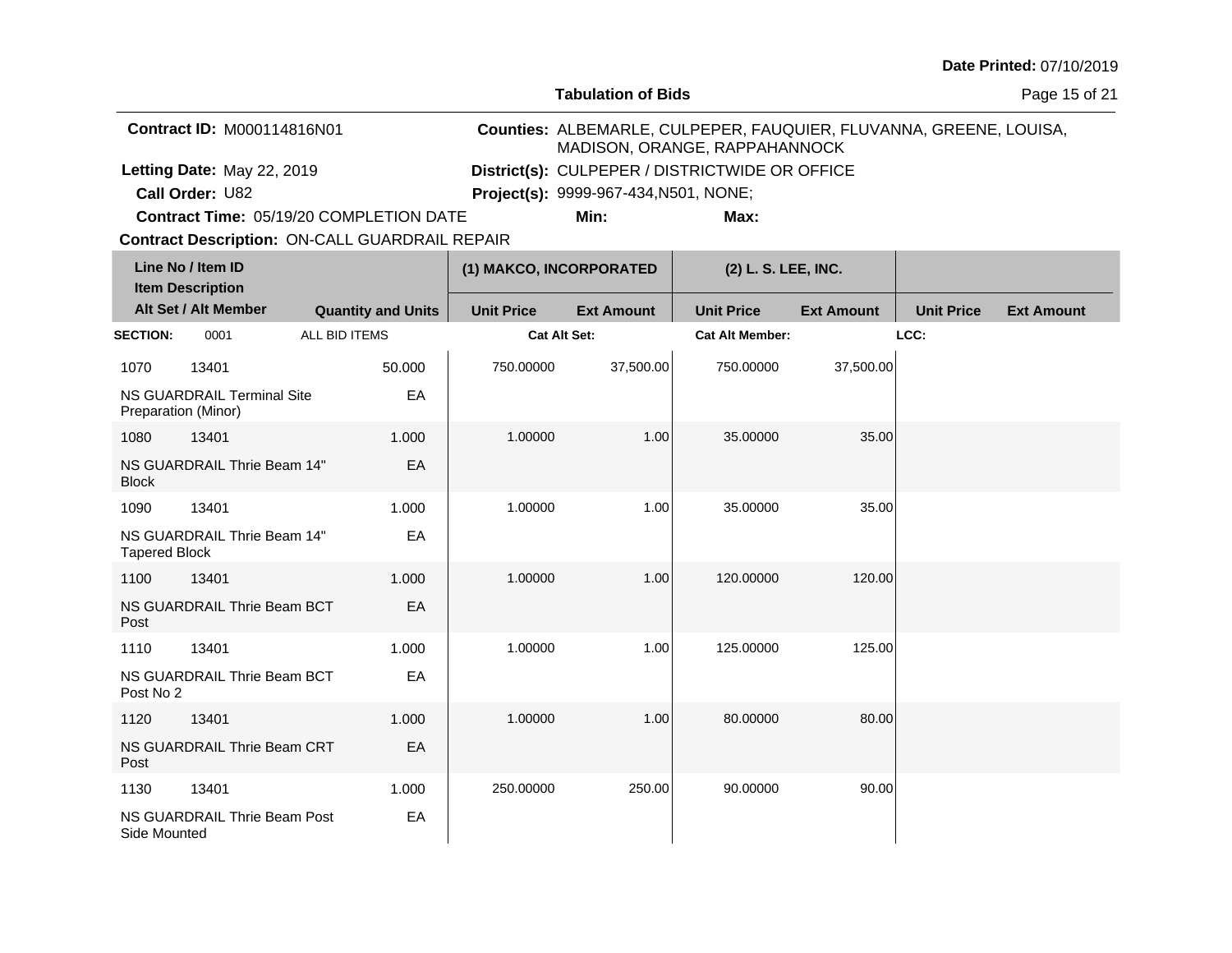**Tabulation of Bids**

Page 15 of 21

| <b>Contract ID: M000114816N01</b>              |                                              | MADISON, ORANGE, RAPPAHANNOCK                  | Counties: ALBEMARLE, CULPEPER, FAUQUIER, FLUVANNA, GREENE, LOUISA, |
|------------------------------------------------|----------------------------------------------|------------------------------------------------|--------------------------------------------------------------------|
| Letting Date: May 22, 2019                     |                                              | District(s): CULPEPER / DISTRICTWIDE OR OFFICE |                                                                    |
| <b>Call Order: U82</b>                         | <b>Project(s): 9999-967-434, N501, NONE;</b> |                                                |                                                                    |
| <b>Contract Time: 05/19/20 COMPLETION DATE</b> | Min:                                         | Max:                                           |                                                                    |

**Contract Time:** 05/19/20 COMPLETION DATE

| Line No / Item ID<br><b>Item Description</b> |                                                   |                           | (1) MAKCO, INCORPORATED |                   | (2) L. S. LEE, INC.    |                   |                   |                   |
|----------------------------------------------|---------------------------------------------------|---------------------------|-------------------------|-------------------|------------------------|-------------------|-------------------|-------------------|
|                                              | Alt Set / Alt Member                              | <b>Quantity and Units</b> | <b>Unit Price</b>       | <b>Ext Amount</b> | <b>Unit Price</b>      | <b>Ext Amount</b> | <b>Unit Price</b> | <b>Ext Amount</b> |
| <b>SECTION:</b>                              | 0001                                              | ALL BID ITEMS             | <b>Cat Alt Set:</b>     |                   | <b>Cat Alt Member:</b> |                   | LCC:              |                   |
| 1070                                         | 13401                                             | 50.000                    | 750.00000               | 37,500.00         | 750.00000              | 37,500.00         |                   |                   |
|                                              | NS GUARDRAIL Terminal Site<br>Preparation (Minor) | EA                        |                         |                   |                        |                   |                   |                   |
| 1080                                         | 13401                                             | 1.000                     | 1.00000                 | 1.00              | 35.00000               | 35.00             |                   |                   |
| <b>Block</b>                                 | NS GUARDRAIL Thrie Beam 14"                       | EA                        |                         |                   |                        |                   |                   |                   |
| 1090                                         | 13401                                             | 1.000                     | 1.00000                 | 1.00              | 35.00000               | 35.00             |                   |                   |
| <b>Tapered Block</b>                         | NS GUARDRAIL Thrie Beam 14"                       | EA                        |                         |                   |                        |                   |                   |                   |
| 1100                                         | 13401                                             | 1.000                     | 1.00000                 | 1.00              | 120.00000              | 120.00            |                   |                   |
| Post                                         | NS GUARDRAIL Thrie Beam BCT                       | EA                        |                         |                   |                        |                   |                   |                   |
| 1110                                         | 13401                                             | 1.000                     | 1.00000                 | 1.00              | 125.00000              | 125.00            |                   |                   |
| Post No 2                                    | NS GUARDRAIL Thrie Beam BCT                       | EA                        |                         |                   |                        |                   |                   |                   |
| 1120                                         | 13401                                             | 1.000                     | 1.00000                 | 1.00              | 80.00000               | 80.00             |                   |                   |
| Post                                         | NS GUARDRAIL Thrie Beam CRT                       | EA                        |                         |                   |                        |                   |                   |                   |
| 1130                                         | 13401                                             | 1.000                     | 250.00000               | 250.00            | 90.00000               | 90.00             |                   |                   |
| Side Mounted                                 | NS GUARDRAIL Thrie Beam Post                      | EA                        |                         |                   |                        |                   |                   |                   |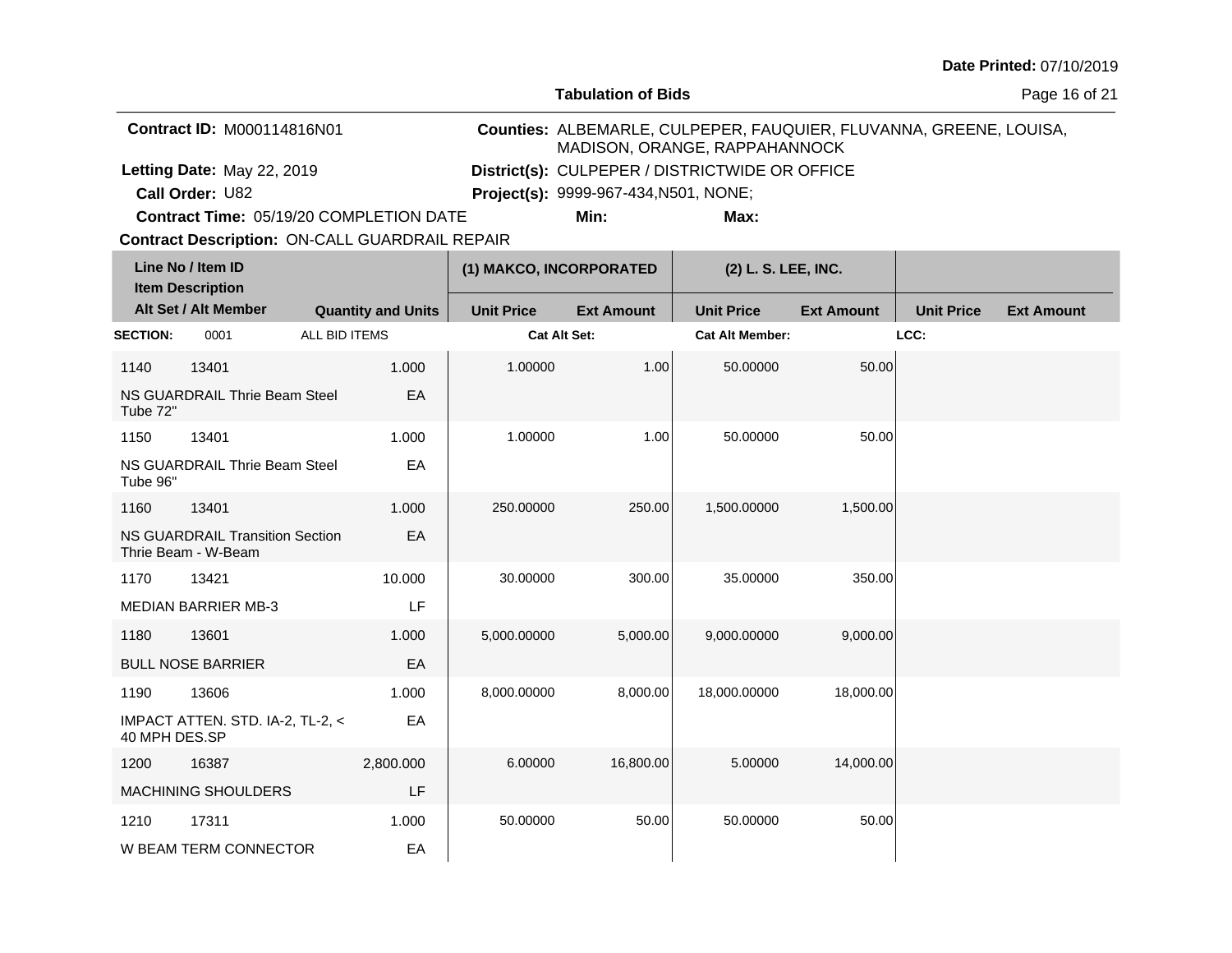**Tabulation of Bids**

Page 16 of 21

| <b>Contract ID: M000114816N01</b>              | MADISON, ORANGE, RAPPAHANNOCK                  |      | Counties: ALBEMARLE, CULPEPER, FAUQUIER, FLUVANNA, GREENE, LOUISA, |
|------------------------------------------------|------------------------------------------------|------|--------------------------------------------------------------------|
| Letting Date: May 22, 2019                     | District(s): CULPEPER / DISTRICTWIDE OR OFFICE |      |                                                                    |
| <b>Call Order: U82</b>                         | <b>Project(s):</b> 9999-967-434, N501, NONE;   |      |                                                                    |
| <b>Contract Time: 05/19/20 COMPLETION DATE</b> | Min:                                           | Max: |                                                                    |

**Contract Time:** 05/19/20 COMPLETION DATE

| Line No / Item ID<br><b>Item Description</b> |                                                               |                           | (1) MAKCO, INCORPORATED |                   | (2) L. S. LEE, INC.    |                   |                   |                   |
|----------------------------------------------|---------------------------------------------------------------|---------------------------|-------------------------|-------------------|------------------------|-------------------|-------------------|-------------------|
|                                              | Alt Set / Alt Member                                          | <b>Quantity and Units</b> | <b>Unit Price</b>       | <b>Ext Amount</b> | <b>Unit Price</b>      | <b>Ext Amount</b> | <b>Unit Price</b> | <b>Ext Amount</b> |
| <b>SECTION:</b>                              | 0001                                                          | ALL BID ITEMS             | <b>Cat Alt Set:</b>     |                   | <b>Cat Alt Member:</b> |                   | LCC:              |                   |
| 1140                                         | 13401                                                         | 1.000                     | 1.00000                 | 1.00              | 50.00000               | 50.00             |                   |                   |
| Tube 72"                                     | NS GUARDRAIL Thrie Beam Steel                                 | EA                        |                         |                   |                        |                   |                   |                   |
| 1150                                         | 13401                                                         | 1.000                     | 1.00000                 | 1.00              | 50.00000               | 50.00             |                   |                   |
| Tube 96"                                     | NS GUARDRAIL Thrie Beam Steel                                 | EA                        |                         |                   |                        |                   |                   |                   |
| 1160                                         | 13401                                                         | 1.000                     | 250.00000               | 250.00            | 1,500.00000            | 1,500.00          |                   |                   |
|                                              | <b>NS GUARDRAIL Transition Section</b><br>Thrie Beam - W-Beam | EA                        |                         |                   |                        |                   |                   |                   |
| 1170                                         | 13421                                                         | 10.000                    | 30.00000                | 300.00            | 35.00000               | 350.00            |                   |                   |
|                                              | <b>MEDIAN BARRIER MB-3</b>                                    | LF                        |                         |                   |                        |                   |                   |                   |
| 1180                                         | 13601                                                         | 1.000                     | 5,000.00000             | 5,000.00          | 9,000.00000            | 9,000.00          |                   |                   |
|                                              | <b>BULL NOSE BARRIER</b>                                      | EA                        |                         |                   |                        |                   |                   |                   |
| 1190                                         | 13606                                                         | 1.000                     | 8,000.00000             | 8,000.00          | 18,000.00000           | 18,000.00         |                   |                   |
| 40 MPH DES.SP                                | IMPACT ATTEN. STD. IA-2, TL-2, <                              | EA                        |                         |                   |                        |                   |                   |                   |
| 1200                                         | 16387                                                         | 2,800.000                 | 6.00000                 | 16,800.00         | 5.00000                | 14,000.00         |                   |                   |
|                                              | <b>MACHINING SHOULDERS</b>                                    | LF                        |                         |                   |                        |                   |                   |                   |
| 1210                                         | 17311                                                         | 1.000                     | 50.00000                | 50.00             | 50.00000               | 50.00             |                   |                   |
|                                              | W BEAM TERM CONNECTOR                                         | EA                        |                         |                   |                        |                   |                   |                   |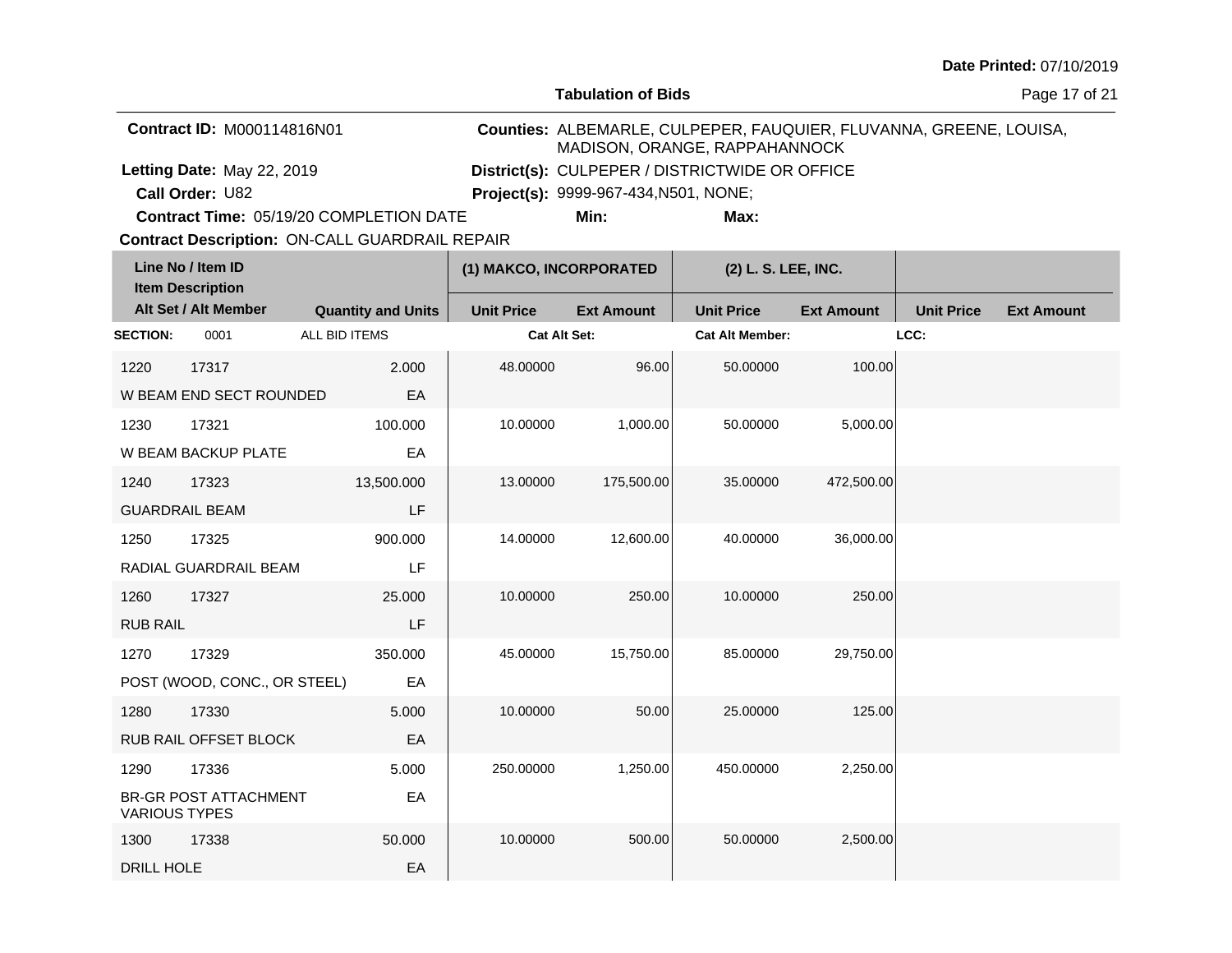**Tabulation of Bids**

Page 17 of 21

| <b>Contract ID: M000114816N01</b>       | MADISON, ORANGE, RAPPAHANNOCK                  |      | Counties: ALBEMARLE, CULPEPER, FAUQUIER, FLUVANNA, GREENE, LOUISA, |
|-----------------------------------------|------------------------------------------------|------|--------------------------------------------------------------------|
| Letting Date: May 22, 2019              | District(s): CULPEPER / DISTRICTWIDE OR OFFICE |      |                                                                    |
| <b>Call Order: U82</b>                  | <b>Project(s): 9999-967-434, N501, NONE;</b>   |      |                                                                    |
| Contract Time: 05/19/20 COMPLETION DATE | Min:                                           | Max: |                                                                    |

**Contract Time:** 05/19/20 COMPLETION DATE

| Line No / Item ID<br><b>Item Description</b> |                              | (1) MAKCO, INCORPORATED   |                     | (2) L. S. LEE, INC. |                        |                   |                   |                   |
|----------------------------------------------|------------------------------|---------------------------|---------------------|---------------------|------------------------|-------------------|-------------------|-------------------|
|                                              | Alt Set / Alt Member         | <b>Quantity and Units</b> | <b>Unit Price</b>   | <b>Ext Amount</b>   | <b>Unit Price</b>      | <b>Ext Amount</b> | <b>Unit Price</b> | <b>Ext Amount</b> |
| <b>SECTION:</b>                              | 0001                         | ALL BID ITEMS             | <b>Cat Alt Set:</b> |                     | <b>Cat Alt Member:</b> |                   | LCC:              |                   |
| 1220                                         | 17317                        | 2.000                     | 48.00000            | 96.00               | 50.00000               | 100.00            |                   |                   |
|                                              | W BEAM END SECT ROUNDED      | EA                        |                     |                     |                        |                   |                   |                   |
| 1230                                         | 17321                        | 100.000                   | 10.00000            | 1,000.00            | 50.00000               | 5,000.00          |                   |                   |
|                                              | W BEAM BACKUP PLATE          | EA                        |                     |                     |                        |                   |                   |                   |
| 1240                                         | 17323                        | 13,500.000                | 13.00000            | 175,500.00          | 35.00000               | 472,500.00        |                   |                   |
|                                              | <b>GUARDRAIL BEAM</b>        | LF                        |                     |                     |                        |                   |                   |                   |
| 1250                                         | 17325                        | 900.000                   | 14.00000            | 12,600.00           | 40.00000               | 36,000.00         |                   |                   |
|                                              | RADIAL GUARDRAIL BEAM        | LF                        |                     |                     |                        |                   |                   |                   |
| 1260                                         | 17327                        | 25.000                    | 10.00000            | 250.00              | 10.00000               | 250.00            |                   |                   |
| <b>RUB RAIL</b>                              |                              | LF                        |                     |                     |                        |                   |                   |                   |
| 1270                                         | 17329                        | 350.000                   | 45.00000            | 15,750.00           | 85.00000               | 29,750.00         |                   |                   |
|                                              | POST (WOOD, CONC., OR STEEL) | EA                        |                     |                     |                        |                   |                   |                   |
| 1280                                         | 17330                        | 5.000                     | 10.00000            | 50.00               | 25.00000               | 125.00            |                   |                   |
|                                              | RUB RAIL OFFSET BLOCK        | EA                        |                     |                     |                        |                   |                   |                   |
| 1290                                         | 17336                        | 5.000                     | 250.00000           | 1,250.00            | 450.00000              | 2,250.00          |                   |                   |
| <b>VARIOUS TYPES</b>                         | <b>BR-GR POST ATTACHMENT</b> | EA                        |                     |                     |                        |                   |                   |                   |
| 1300                                         | 17338                        | 50.000                    | 10.00000            | 500.00              | 50.00000               | 2,500.00          |                   |                   |
| DRILL HOLE                                   |                              | EA                        |                     |                     |                        |                   |                   |                   |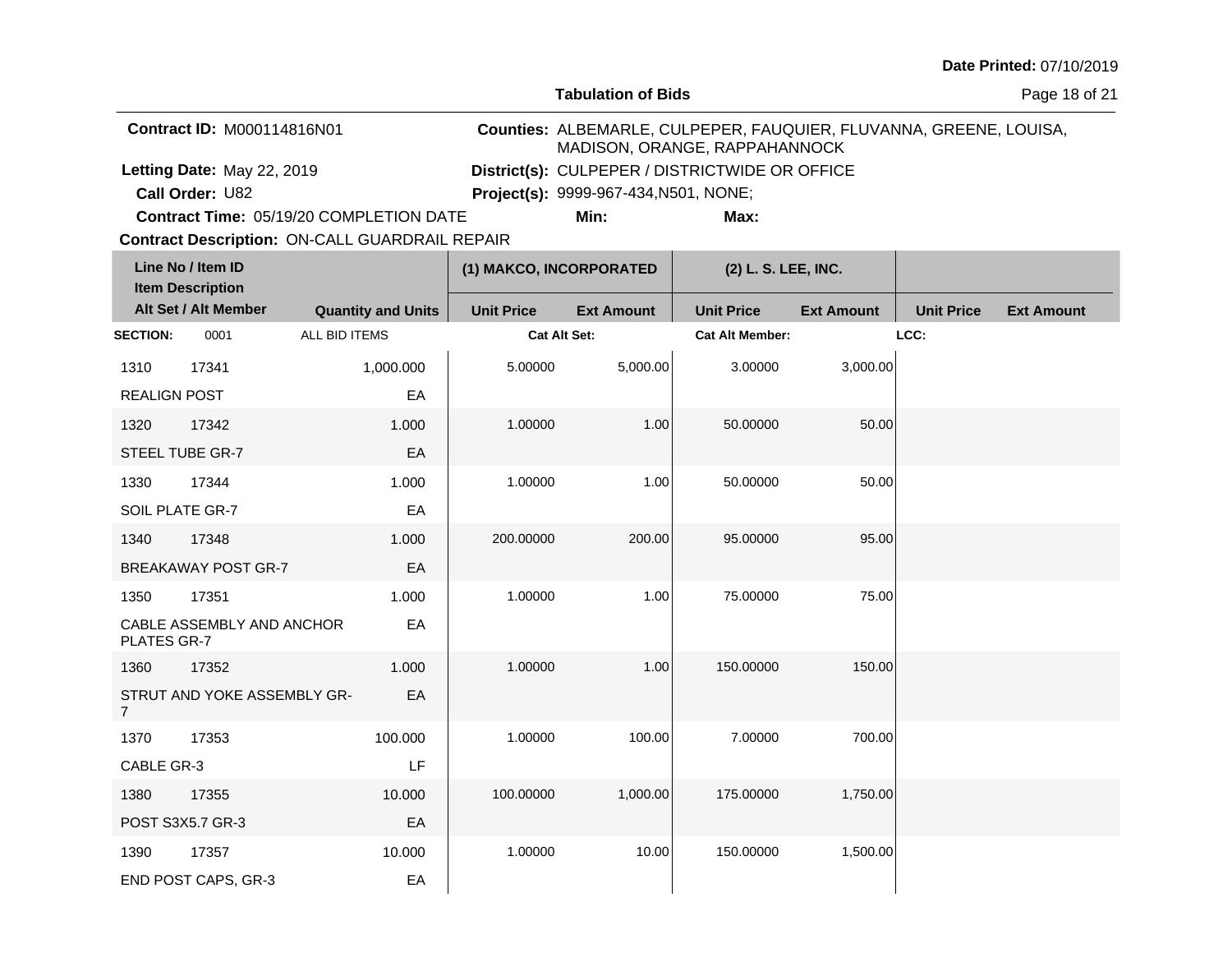**Tabulation of Bids**

Page 18 of 21

| <b>Contract ID: M000114816N01</b>              | MADISON, ORANGE, RAPPAHANNOCK                  |      | Counties: ALBEMARLE, CULPEPER, FAUQUIER, FLUVANNA, GREENE, LOUISA, |
|------------------------------------------------|------------------------------------------------|------|--------------------------------------------------------------------|
| Letting Date: May 22, 2019                     | District(s): CULPEPER / DISTRICTWIDE OR OFFICE |      |                                                                    |
| Call Order: U82                                | <b>Project(s): 9999-967-434, N501, NONE;</b>   |      |                                                                    |
| <b>Contract Time: 05/19/20 COMPLETION DATE</b> | Min:                                           | Max: |                                                                    |

**Contract Time:** 05/19/20 COMPLETION DATE

| Line No / Item ID<br><b>Item Description</b> |                             |                           | (1) MAKCO, INCORPORATED |                   | (2) L. S. LEE, INC.    |                   |                   |                   |
|----------------------------------------------|-----------------------------|---------------------------|-------------------------|-------------------|------------------------|-------------------|-------------------|-------------------|
|                                              | Alt Set / Alt Member        | <b>Quantity and Units</b> | <b>Unit Price</b>       | <b>Ext Amount</b> | <b>Unit Price</b>      | <b>Ext Amount</b> | <b>Unit Price</b> | <b>Ext Amount</b> |
| <b>SECTION:</b>                              | 0001                        | ALL BID ITEMS             | Cat Alt Set:            |                   | <b>Cat Alt Member:</b> |                   | LCC:              |                   |
| 1310                                         | 17341                       | 1,000.000                 | 5.00000                 | 5,000.00          | 3.00000                | 3,000.00          |                   |                   |
| <b>REALIGN POST</b>                          |                             | EA                        |                         |                   |                        |                   |                   |                   |
| 1320                                         | 17342                       | 1.000                     | 1.00000                 | 1.00              | 50.00000               | 50.00             |                   |                   |
|                                              | STEEL TUBE GR-7             | EA                        |                         |                   |                        |                   |                   |                   |
| 1330                                         | 17344                       | 1.000                     | 1.00000                 | 1.00              | 50.00000               | 50.00             |                   |                   |
| SOIL PLATE GR-7                              |                             | EA                        |                         |                   |                        |                   |                   |                   |
| 1340                                         | 17348                       | 1.000                     | 200.00000               | 200.00            | 95.00000               | 95.00             |                   |                   |
|                                              | <b>BREAKAWAY POST GR-7</b>  | EA                        |                         |                   |                        |                   |                   |                   |
| 1350                                         | 17351                       | 1.000                     | 1.00000                 | 1.00              | 75.00000               | 75.00             |                   |                   |
| PLATES GR-7                                  | CABLE ASSEMBLY AND ANCHOR   | EA                        |                         |                   |                        |                   |                   |                   |
| 1360                                         | 17352                       | 1.000                     | 1.00000                 | 1.00              | 150.00000              | 150.00            |                   |                   |
| $\overline{7}$                               | STRUT AND YOKE ASSEMBLY GR- | EA                        |                         |                   |                        |                   |                   |                   |
| 1370                                         | 17353                       | 100.000                   | 1.00000                 | 100.00            | 7.00000                | 700.00            |                   |                   |
| CABLE GR-3                                   |                             | LF                        |                         |                   |                        |                   |                   |                   |
| 1380                                         | 17355                       | 10.000                    | 100.00000               | 1,000.00          | 175.00000              | 1,750.00          |                   |                   |
|                                              | POST S3X5.7 GR-3            | EA                        |                         |                   |                        |                   |                   |                   |
| 1390                                         | 17357                       | 10.000                    | 1.00000                 | 10.00             | 150.00000              | 1,500.00          |                   |                   |
|                                              | END POST CAPS, GR-3         | EA                        |                         |                   |                        |                   |                   |                   |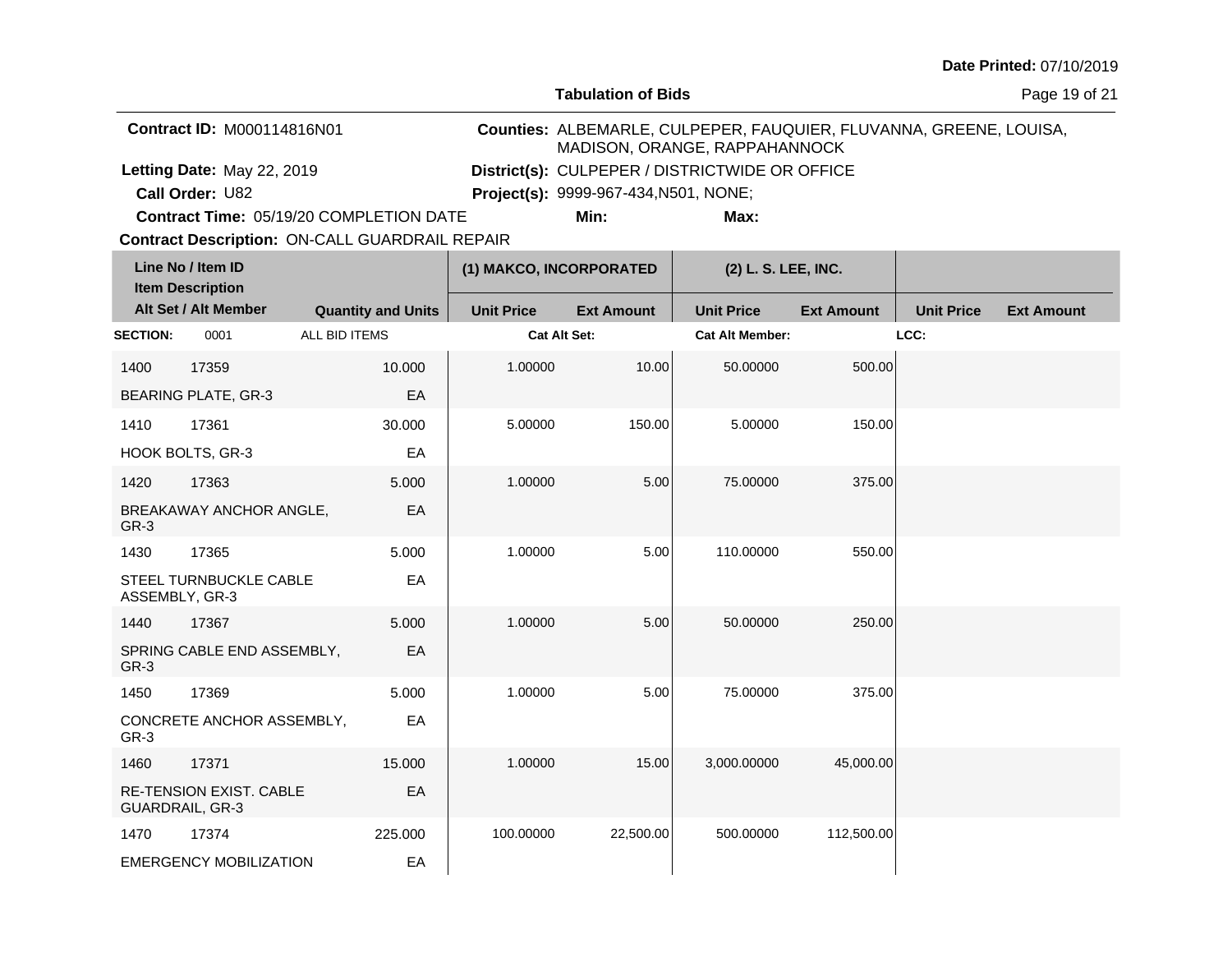**Tabulation of Bids**

Page 19 of 21

| <b>Contract ID: M000114816N01</b>              | MADISON, ORANGE, RAPPAHANNOCK                  |      | Counties: ALBEMARLE, CULPEPER, FAUQUIER, FLUVANNA, GREENE, LOUISA, |
|------------------------------------------------|------------------------------------------------|------|--------------------------------------------------------------------|
| Letting Date: May 22, 2019                     | District(s): CULPEPER / DISTRICTWIDE OR OFFICE |      |                                                                    |
| <b>Call Order: U82</b>                         | <b>Project(s):</b> 9999-967-434, N501, NONE;   |      |                                                                    |
| <b>Contract Time: 05/19/20 COMPLETION DATE</b> | Min:                                           | Max: |                                                                    |

**Contract Time:** 05/19/20 COMPLETION DATE

| Line No / Item ID<br><b>Item Description</b> |                                                   |                           | (1) MAKCO, INCORPORATED |                   | (2) L. S. LEE, INC.    |                   |                   |                   |
|----------------------------------------------|---------------------------------------------------|---------------------------|-------------------------|-------------------|------------------------|-------------------|-------------------|-------------------|
|                                              | Alt Set / Alt Member                              | <b>Quantity and Units</b> | <b>Unit Price</b>       | <b>Ext Amount</b> | <b>Unit Price</b>      | <b>Ext Amount</b> | <b>Unit Price</b> | <b>Ext Amount</b> |
| <b>SECTION:</b>                              | 0001                                              | ALL BID ITEMS             | Cat Alt Set:            |                   | <b>Cat Alt Member:</b> |                   | LCC:              |                   |
| 1400                                         | 17359                                             | 10.000                    | 1.00000                 | 10.00             | 50.00000               | 500.00            |                   |                   |
|                                              | <b>BEARING PLATE, GR-3</b>                        | EA                        |                         |                   |                        |                   |                   |                   |
| 1410                                         | 17361                                             | 30.000                    | 5.00000                 | 150.00            | 5.00000                | 150.00            |                   |                   |
|                                              | HOOK BOLTS, GR-3                                  | EA                        |                         |                   |                        |                   |                   |                   |
| 1420                                         | 17363                                             | 5.000                     | 1.00000                 | 5.00              | 75.00000               | 375.00            |                   |                   |
| GR-3                                         | BREAKAWAY ANCHOR ANGLE,                           | EA                        |                         |                   |                        |                   |                   |                   |
| 1430                                         | 17365                                             | 5.000                     | 1.00000                 | 5.00              | 110.00000              | 550.00            |                   |                   |
| ASSEMBLY, GR-3                               | STEEL TURNBUCKLE CABLE                            | EA                        |                         |                   |                        |                   |                   |                   |
| 1440                                         | 17367                                             | 5.000                     | 1.00000                 | 5.00              | 50.00000               | 250.00            |                   |                   |
| GR-3                                         | SPRING CABLE END ASSEMBLY,                        | EA                        |                         |                   |                        |                   |                   |                   |
| 1450                                         | 17369                                             | 5.000                     | 1.00000                 | 5.00              | 75.00000               | 375.00            |                   |                   |
| GR-3                                         | CONCRETE ANCHOR ASSEMBLY,                         | EA                        |                         |                   |                        |                   |                   |                   |
| 1460                                         | 17371                                             | 15.000                    | 1.00000                 | 15.00             | 3,000.00000            | 45,000.00         |                   |                   |
|                                              | RE-TENSION EXIST. CABLE<br><b>GUARDRAIL, GR-3</b> | EA                        |                         |                   |                        |                   |                   |                   |
| 1470                                         | 17374                                             | 225.000                   | 100.00000               | 22,500.00         | 500.00000              | 112,500.00        |                   |                   |
|                                              | <b>EMERGENCY MOBILIZATION</b>                     | EA                        |                         |                   |                        |                   |                   |                   |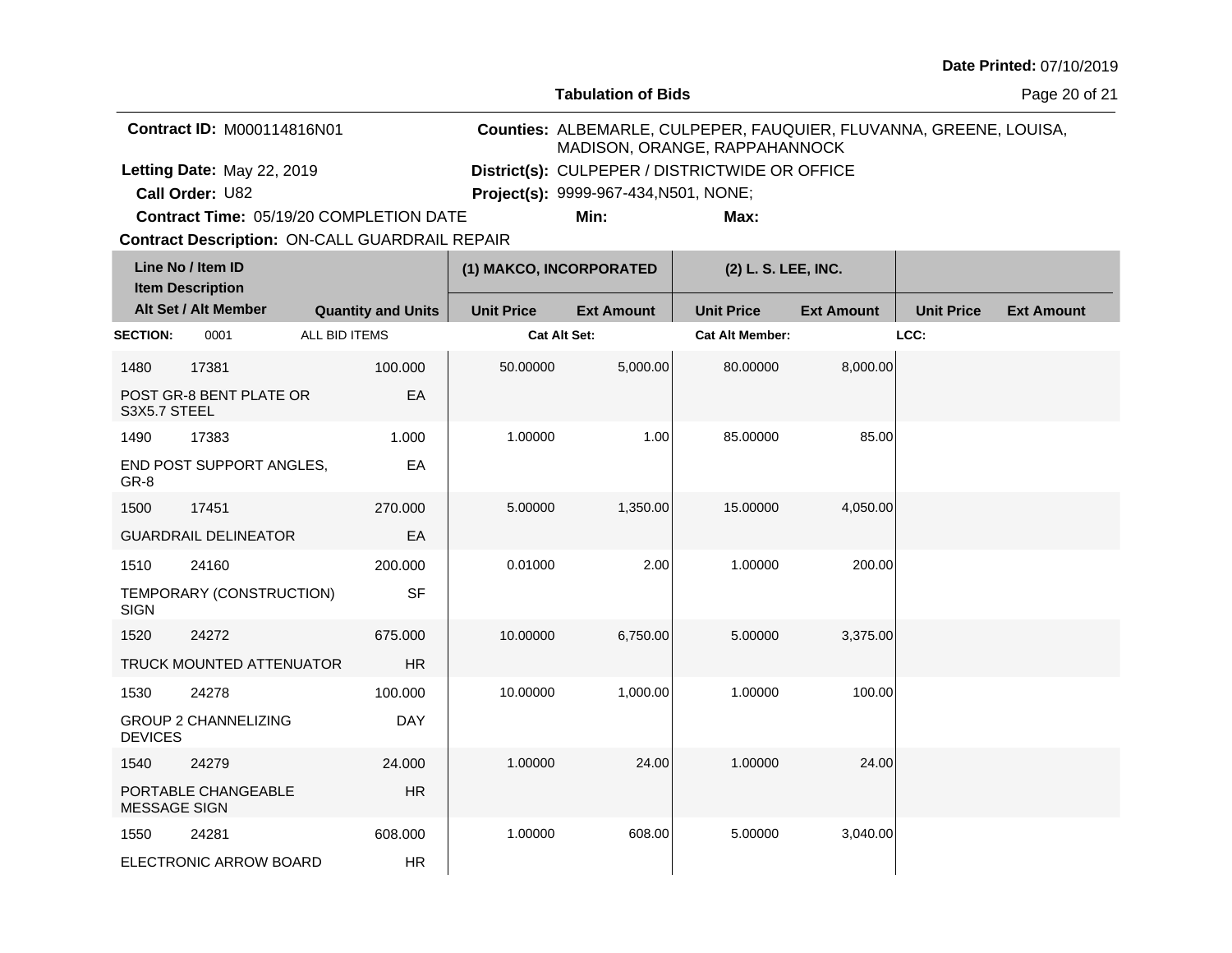**Tabulation of Bids**

Page 20 of 21

| <b>Contract ID: M000114816N01</b>       | MADISON, ORANGE, RAPPAHANNOCK                  |      | Counties: ALBEMARLE, CULPEPER, FAUQUIER, FLUVANNA, GREENE, LOUISA, |
|-----------------------------------------|------------------------------------------------|------|--------------------------------------------------------------------|
| Letting Date: May 22, 2019              | District(s): CULPEPER / DISTRICTWIDE OR OFFICE |      |                                                                    |
| <b>Call Order: U82</b>                  | <b>Project(s): 9999-967-434, N501, NONE;</b>   |      |                                                                    |
| Contract Time: 05/19/20 COMPLETION DATE | Min:                                           | Max: |                                                                    |

**Contract Time:** 05/19/20 COMPLETION DATE

**Contract Description: ON-CALL GUARDRAIL REPAIR** 

|                     | Line No / Item ID<br><b>Item Description</b> |                           |                     | (1) MAKCO, INCORPORATED |                        | (2) L. S. LEE, INC. |                   |                   |
|---------------------|----------------------------------------------|---------------------------|---------------------|-------------------------|------------------------|---------------------|-------------------|-------------------|
|                     | Alt Set / Alt Member                         | <b>Quantity and Units</b> | <b>Unit Price</b>   | <b>Ext Amount</b>       | <b>Unit Price</b>      | <b>Ext Amount</b>   | <b>Unit Price</b> | <b>Ext Amount</b> |
| <b>SECTION:</b>     | 0001                                         | ALL BID ITEMS             | <b>Cat Alt Set:</b> |                         | <b>Cat Alt Member:</b> |                     | LCC:              |                   |
| 1480                | 17381                                        | 100.000                   | 50.00000            | 5,000.00                | 80.00000               | 8,000.00            |                   |                   |
| S3X5.7 STEEL        | POST GR-8 BENT PLATE OR                      | EA                        |                     |                         |                        |                     |                   |                   |
| 1490                | 17383                                        | 1.000                     | 1.00000             | 1.00                    | 85.00000               | 85.00               |                   |                   |
| GR-8                | END POST SUPPORT ANGLES,                     | EA                        |                     |                         |                        |                     |                   |                   |
| 1500                | 17451                                        | 270,000                   | 5.00000             | 1,350.00                | 15.00000               | 4,050.00            |                   |                   |
|                     | <b>GUARDRAIL DELINEATOR</b>                  | EA                        |                     |                         |                        |                     |                   |                   |
| 1510                | 24160                                        | 200.000                   | 0.01000             | 2.00                    | 1.00000                | 200.00              |                   |                   |
| <b>SIGN</b>         | TEMPORARY (CONSTRUCTION)                     | <b>SF</b>                 |                     |                         |                        |                     |                   |                   |
| 1520                | 24272                                        | 675.000                   | 10.00000            | 6,750.00                | 5.00000                | 3,375.00            |                   |                   |
|                     | TRUCK MOUNTED ATTENUATOR                     | <b>HR</b>                 |                     |                         |                        |                     |                   |                   |
| 1530                | 24278                                        | 100.000                   | 10.00000            | 1,000.00                | 1.00000                | 100.00              |                   |                   |
| <b>DEVICES</b>      | <b>GROUP 2 CHANNELIZING</b>                  | <b>DAY</b>                |                     |                         |                        |                     |                   |                   |
| 1540                | 24279                                        | 24.000                    | 1.00000             | 24.00                   | 1.00000                | 24.00               |                   |                   |
| <b>MESSAGE SIGN</b> | PORTABLE CHANGEABLE                          | HR                        |                     |                         |                        |                     |                   |                   |
| 1550                | 24281                                        | 608.000                   | 1.00000             | 608.00                  | 5.00000                | 3,040.00            |                   |                   |
|                     | ELECTRONIC ARROW BOARD                       | HR                        |                     |                         |                        |                     |                   |                   |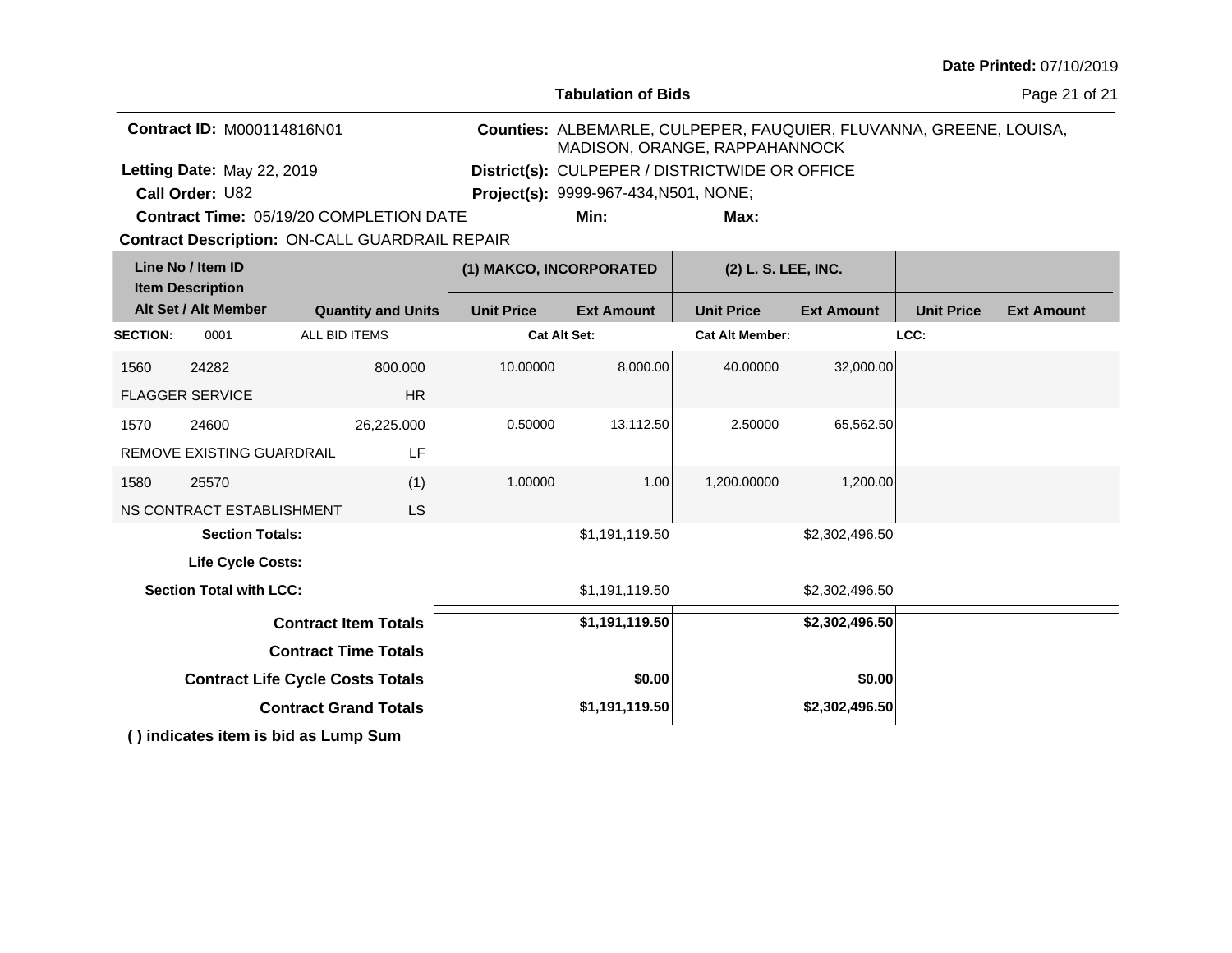**Tabulation of Bids**

Page 21 of 21

| <b>Contract ID: M000114816N01</b>              | MADISON, ORANGE, RAPPAHANNOCK                  |      | Counties: ALBEMARLE, CULPEPER, FAUQUIER, FLUVANNA, GREENE, LOUISA, |
|------------------------------------------------|------------------------------------------------|------|--------------------------------------------------------------------|
| Letting Date: May 22, 2019                     | District(s): CULPEPER / DISTRICTWIDE OR OFFICE |      |                                                                    |
| <b>Call Order: U82</b>                         | <b>Project(s):</b> 9999-967-434, N501, NONE;   |      |                                                                    |
| <b>Contract Time: 05/19/20 COMPLETION DATE</b> | Min:                                           | Max: |                                                                    |

**Contract Description: ON-CALL GUARDRAIL REPAIR Contract Time:** 05/19/20 COMPLETION DATE

|                                                   | Line No / Item ID<br><b>Item Description</b> |                             |                   | (1) MAKCO, INCORPORATED |                   | (2) L. S. LEE, INC.    |                   |                   |  |
|---------------------------------------------------|----------------------------------------------|-----------------------------|-------------------|-------------------------|-------------------|------------------------|-------------------|-------------------|--|
| Alt Set / Alt Member<br><b>Quantity and Units</b> |                                              |                             | <b>Unit Price</b> | <b>Ext Amount</b>       | <b>Unit Price</b> | <b>Ext Amount</b>      | <b>Unit Price</b> | <b>Ext Amount</b> |  |
| <b>SECTION:</b>                                   | 0001                                         | ALL BID ITEMS               |                   | <b>Cat Alt Set:</b>     |                   | <b>Cat Alt Member:</b> |                   | LCC:              |  |
| 1560                                              | 24282                                        |                             | 800,000           | 10.00000                | 8,000.00          | 40.00000               | 32,000.00         |                   |  |
|                                                   | <b>FLAGGER SERVICE</b>                       |                             | <b>HR</b>         |                         |                   |                        |                   |                   |  |
| 1570                                              | 24600                                        |                             | 26,225.000        | 0.50000                 | 13,112.50         | 2.50000                | 65,562.50         |                   |  |
|                                                   | REMOVE EXISTING GUARDRAIL                    |                             | LF                |                         |                   |                        |                   |                   |  |
| 1580                                              | 25570                                        |                             | (1)               | 1.00000                 | 1.00              | 1,200.00000            | 1,200.00          |                   |  |
|                                                   | NS CONTRACT ESTABLISHMENT                    |                             | <b>LS</b>         |                         |                   |                        |                   |                   |  |
|                                                   | <b>Section Totals:</b>                       |                             |                   |                         | \$1,191,119.50    |                        | \$2,302,496.50    |                   |  |
|                                                   | <b>Life Cycle Costs:</b>                     |                             |                   |                         |                   |                        |                   |                   |  |
|                                                   | <b>Section Total with LCC:</b>               |                             |                   |                         | \$1,191,119.50    |                        | \$2,302,496.50    |                   |  |
|                                                   |                                              | <b>Contract Item Totals</b> |                   |                         | \$1,191,119.50    |                        | \$2,302,496.50    |                   |  |
| <b>Contract Time Totals</b>                       |                                              |                             |                   |                         |                   |                        |                   |                   |  |
| <b>Contract Life Cycle Costs Totals</b>           |                                              |                             |                   | \$0.00                  |                   | \$0.00                 |                   |                   |  |
| <b>Contract Grand Totals</b>                      |                                              |                             |                   | \$1,191,119.50          |                   | \$2,302,496.50         |                   |                   |  |
|                                                   | () indicates item is bid as Lump Sum         |                             |                   |                         |                   |                        |                   |                   |  |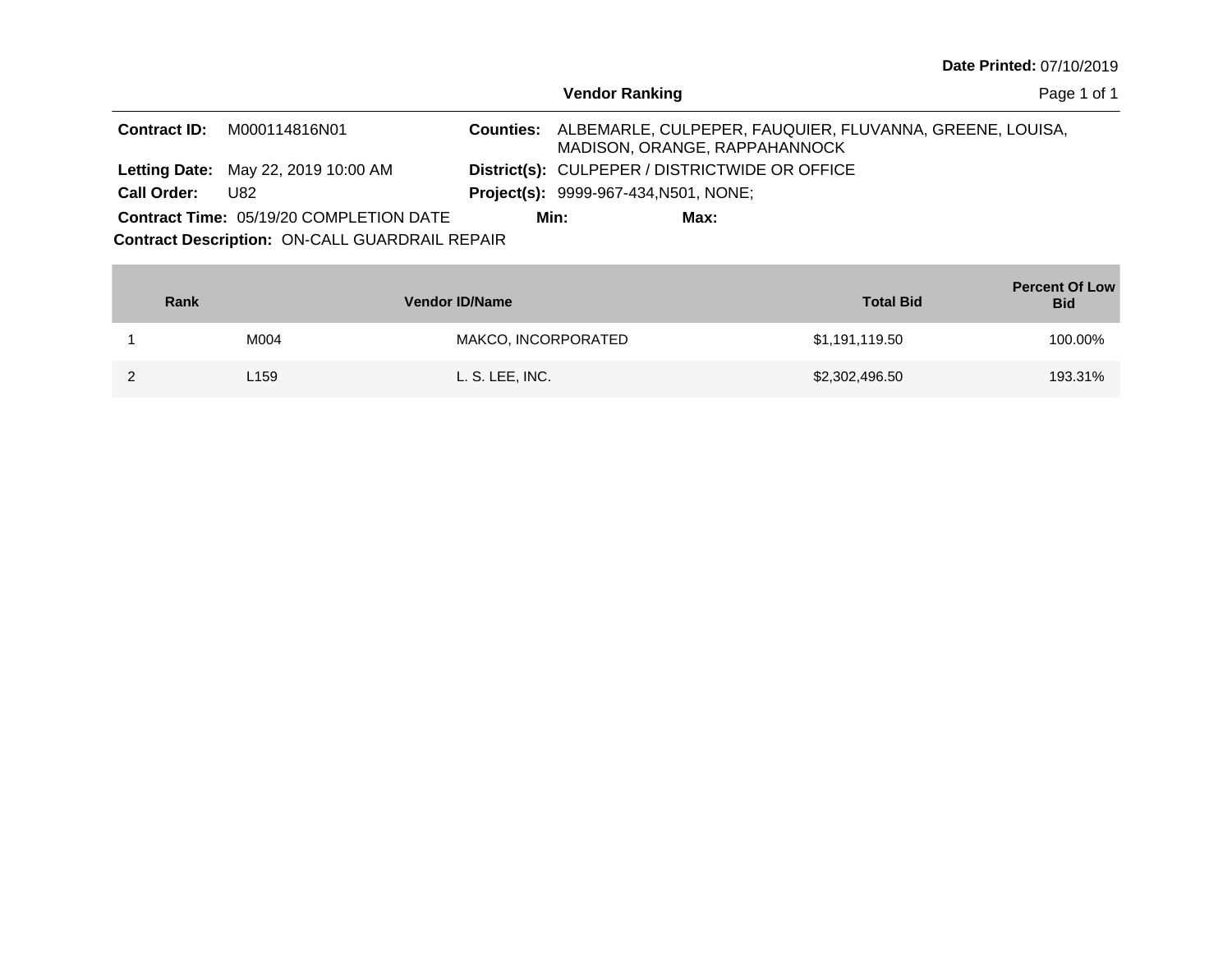| Date Printed: 07/10/2019 |  |
|--------------------------|--|
|--------------------------|--|

| <b>Vendor Ranking</b> |  |
|-----------------------|--|
|-----------------------|--|

Page 1 of 1

| <b>Contract ID:</b> | M000114816N01                                  | MADISON, ORANGE, RAPPAHANNOCK                  |      | Counties: ALBEMARLE, CULPEPER, FAUQUIER, FLUVANNA, GREENE, LOUISA, |  |
|---------------------|------------------------------------------------|------------------------------------------------|------|--------------------------------------------------------------------|--|
|                     | <b>Letting Date: May 22, 2019 10:00 AM</b>     | District(s): CULPEPER / DISTRICTWIDE OR OFFICE |      |                                                                    |  |
| <b>Call Order:</b>  | U82                                            | <b>Project(s):</b> 9999-967-434, N501, NONE;   |      |                                                                    |  |
|                     | <b>Contract Time: 05/19/20 COMPLETION DATE</b> | Min:                                           | Max: |                                                                    |  |

**Contract Description: ON-CALL GUARDRAIL REPAIR** 

|   | <b>Rank</b>      | <b>Vendor ID/Name</b> | <b>Total Bid</b> | <b>Percent Of Low</b><br><b>Bid</b> |
|---|------------------|-----------------------|------------------|-------------------------------------|
|   | M004             | MAKCO, INCORPORATED   | \$1,191,119.50   | 100.00%                             |
| ົ | L <sub>159</sub> | L. S. LEE, INC.       | \$2,302,496.50   | 193.31%                             |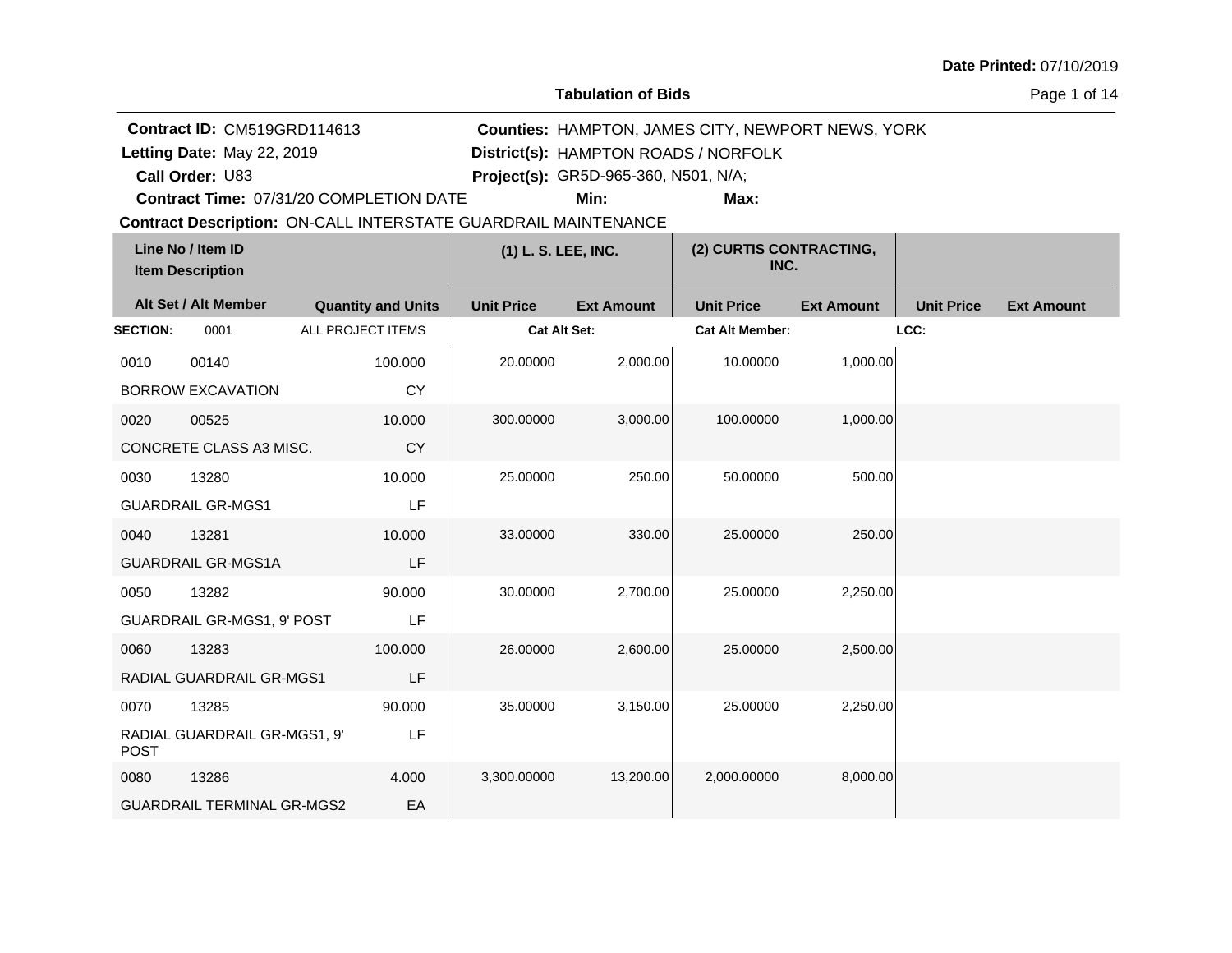**Tabulation of Bids**

Page 1 of 14

|                 | <b>Contract ID: CM519GRD114613</b>           |                                                                       |                     | <b>Counties: HAMPTON, JAMES CITY, NEWPORT NEWS, YORK</b> |                                 |                   |                   |                   |  |
|-----------------|----------------------------------------------|-----------------------------------------------------------------------|---------------------|----------------------------------------------------------|---------------------------------|-------------------|-------------------|-------------------|--|
|                 | Letting Date: May 22, 2019                   |                                                                       |                     | District(s): HAMPTON ROADS / NORFOLK                     |                                 |                   |                   |                   |  |
|                 | Call Order: U83                              |                                                                       |                     | Project(s): GR5D-965-360, N501, N/A;                     |                                 |                   |                   |                   |  |
|                 |                                              | Contract Time: 07/31/20 COMPLETION DATE                               |                     | Min:                                                     | Max:                            |                   |                   |                   |  |
|                 |                                              | <b>Contract Description: ON-CALL INTERSTATE GUARDRAIL MAINTENANCE</b> |                     |                                                          |                                 |                   |                   |                   |  |
|                 | Line No / Item ID<br><b>Item Description</b> |                                                                       | (1) L. S. LEE, INC. |                                                          | (2) CURTIS CONTRACTING,<br>INC. |                   |                   |                   |  |
|                 | Alt Set / Alt Member                         | <b>Quantity and Units</b>                                             | <b>Unit Price</b>   | <b>Ext Amount</b>                                        | <b>Unit Price</b>               | <b>Ext Amount</b> | <b>Unit Price</b> | <b>Ext Amount</b> |  |
| <b>SECTION:</b> | 0001                                         | ALL PROJECT ITEMS                                                     | <b>Cat Alt Set:</b> |                                                          | <b>Cat Alt Member:</b>          |                   | LCC:              |                   |  |
| 0010            | 00140                                        | 100.000                                                               | 20.00000            | 2,000.00                                                 | 10.00000                        | 1,000.00          |                   |                   |  |
|                 | <b>BORROW EXCAVATION</b>                     | <b>CY</b>                                                             |                     |                                                          |                                 |                   |                   |                   |  |
| 0020            | 00525                                        | 10.000                                                                | 300.00000           | 3,000.00                                                 | 100.00000                       | 1,000.00          |                   |                   |  |
|                 | CONCRETE CLASS A3 MISC.                      | <b>CY</b>                                                             |                     |                                                          |                                 |                   |                   |                   |  |
| 0030            | 13280                                        | 10.000                                                                | 25.00000            | 250.00                                                   | 50.00000                        | 500.00            |                   |                   |  |
|                 | <b>GUARDRAIL GR-MGS1</b>                     | LF                                                                    |                     |                                                          |                                 |                   |                   |                   |  |
| 0040            | 13281                                        | 10.000                                                                | 33.00000            | 330.00                                                   | 25.00000                        | 250.00            |                   |                   |  |
|                 | <b>GUARDRAIL GR-MGS1A</b>                    | LF                                                                    |                     |                                                          |                                 |                   |                   |                   |  |
| 0050            | 13282                                        | 90.000                                                                | 30.00000            | 2,700.00                                                 | 25.00000                        | 2,250.00          |                   |                   |  |
|                 | GUARDRAIL GR-MGS1, 9' POST                   | LF                                                                    |                     |                                                          |                                 |                   |                   |                   |  |
| 0060            | 13283                                        | 100.000                                                               | 26.00000            | 2,600.00                                                 | 25.00000                        | 2,500.00          |                   |                   |  |
|                 | RADIAL GUARDRAIL GR-MGS1                     | LF                                                                    |                     |                                                          |                                 |                   |                   |                   |  |
| 0070            | 13285                                        | 90.000                                                                | 35.00000            | 3,150.00                                                 | 25.00000                        | 2,250.00          |                   |                   |  |
| <b>POST</b>     | RADIAL GUARDRAIL GR-MGS1, 9'                 | LF                                                                    |                     |                                                          |                                 |                   |                   |                   |  |
| 0080            | 13286                                        | 4.000                                                                 | 3,300.00000         | 13,200.00                                                | 2,000.00000                     | 8,000.00          |                   |                   |  |
|                 | <b>GUARDRAIL TERMINAL GR-MGS2</b>            | EA                                                                    |                     |                                                          |                                 |                   |                   |                   |  |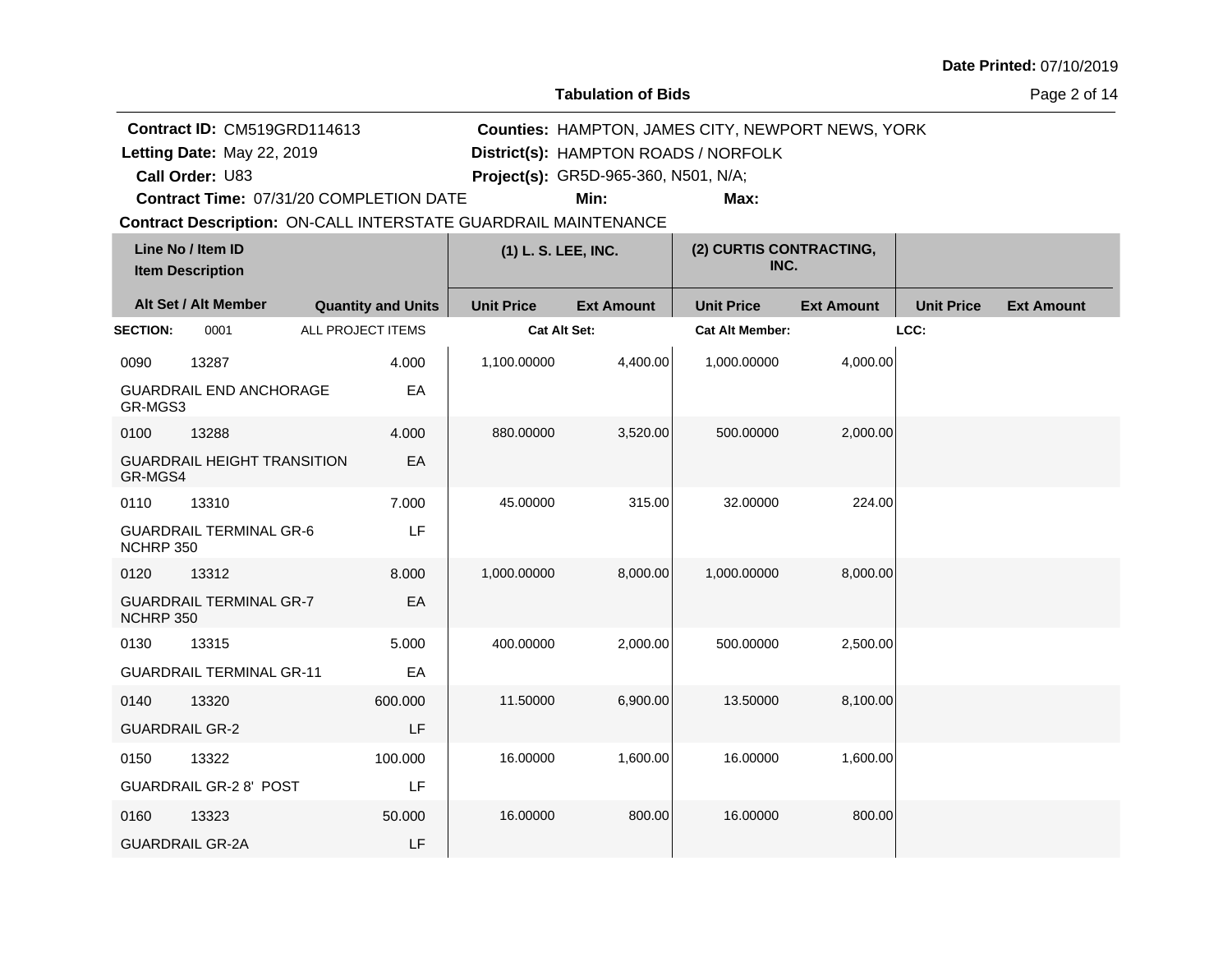**Tabulation of Bids**

Page 2 of 14

|                            | <b>Contract ID: CM519GRD114613</b>                             |                           |         |                     | Counties: HAMPTON, JAMES CITY, NEWPORT NEWS, YORK |                                      |                   |                   |                   |  |
|----------------------------|----------------------------------------------------------------|---------------------------|---------|---------------------|---------------------------------------------------|--------------------------------------|-------------------|-------------------|-------------------|--|
| Letting Date: May 22, 2019 |                                                                |                           |         |                     |                                                   | District(s): HAMPTON ROADS / NORFOLK |                   |                   |                   |  |
|                            | Call Order: U83                                                |                           |         |                     | Project(s): GR5D-965-360, N501, N/A;              |                                      |                   |                   |                   |  |
|                            | Contract Time: 07/31/20 COMPLETION DATE                        |                           |         |                     | Min:                                              | Max:                                 |                   |                   |                   |  |
|                            | Contract Description: ON-CALL INTERSTATE GUARDRAIL MAINTENANCE |                           |         |                     |                                                   |                                      |                   |                   |                   |  |
|                            | Line No / Item ID<br><b>Item Description</b>                   |                           |         | (1) L. S. LEE, INC. |                                                   | (2) CURTIS CONTRACTING,<br>INC.      |                   |                   |                   |  |
|                            | Alt Set / Alt Member                                           | <b>Quantity and Units</b> |         | <b>Unit Price</b>   | <b>Ext Amount</b>                                 | <b>Unit Price</b>                    | <b>Ext Amount</b> | <b>Unit Price</b> | <b>Ext Amount</b> |  |
| <b>SECTION:</b>            | 0001                                                           | ALL PROJECT ITEMS         |         | Cat Alt Set:        |                                                   | <b>Cat Alt Member:</b>               |                   | LCC:              |                   |  |
| 0090                       | 13287                                                          |                           | 4.000   | 1,100.00000         | 4,400.00                                          | 1,000.00000                          | 4,000.00          |                   |                   |  |
| GR-MGS3                    | <b>GUARDRAIL END ANCHORAGE</b>                                 |                           | EA      |                     |                                                   |                                      |                   |                   |                   |  |
| 0100                       | 13288                                                          |                           | 4.000   | 880.00000           | 3,520.00                                          | 500.00000                            | 2,000.00          |                   |                   |  |
| GR-MGS4                    | <b>GUARDRAIL HEIGHT TRANSITION</b>                             |                           | EA      |                     |                                                   |                                      |                   |                   |                   |  |
| 0110                       | 13310                                                          |                           | 7.000   | 45.00000            | 315.00                                            | 32.00000                             | 224.00            |                   |                   |  |
| NCHRP 350                  | <b>GUARDRAIL TERMINAL GR-6</b>                                 |                           | LF      |                     |                                                   |                                      |                   |                   |                   |  |
| 0120                       | 13312                                                          |                           | 8.000   | 1,000.00000         | 8,000.00                                          | 1,000.00000                          | 8,000.00          |                   |                   |  |
| NCHRP 350                  | <b>GUARDRAIL TERMINAL GR-7</b>                                 |                           | EA      |                     |                                                   |                                      |                   |                   |                   |  |
| 0130                       | 13315                                                          |                           | 5.000   | 400.00000           | 2,000.00                                          | 500.00000                            | 2,500.00          |                   |                   |  |
|                            | <b>GUARDRAIL TERMINAL GR-11</b>                                |                           | EA      |                     |                                                   |                                      |                   |                   |                   |  |
| 0140                       | 13320                                                          |                           | 600.000 | 11.50000            | 6,900.00                                          | 13.50000                             | 8,100.00          |                   |                   |  |
| <b>GUARDRAIL GR-2</b>      |                                                                |                           | LF      |                     |                                                   |                                      |                   |                   |                   |  |
| 0150                       | 13322                                                          |                           | 100.000 | 16.00000            | 1,600.00                                          | 16.00000                             | 1,600.00          |                   |                   |  |
|                            | <b>GUARDRAIL GR-2 8' POST</b>                                  |                           | LF      |                     |                                                   |                                      |                   |                   |                   |  |
| 0160                       | 13323                                                          |                           | 50.000  | 16.00000            | 800.00                                            | 16.00000                             | 800.00            |                   |                   |  |
|                            | <b>GUARDRAIL GR-2A</b>                                         |                           | LF      |                     |                                                   |                                      |                   |                   |                   |  |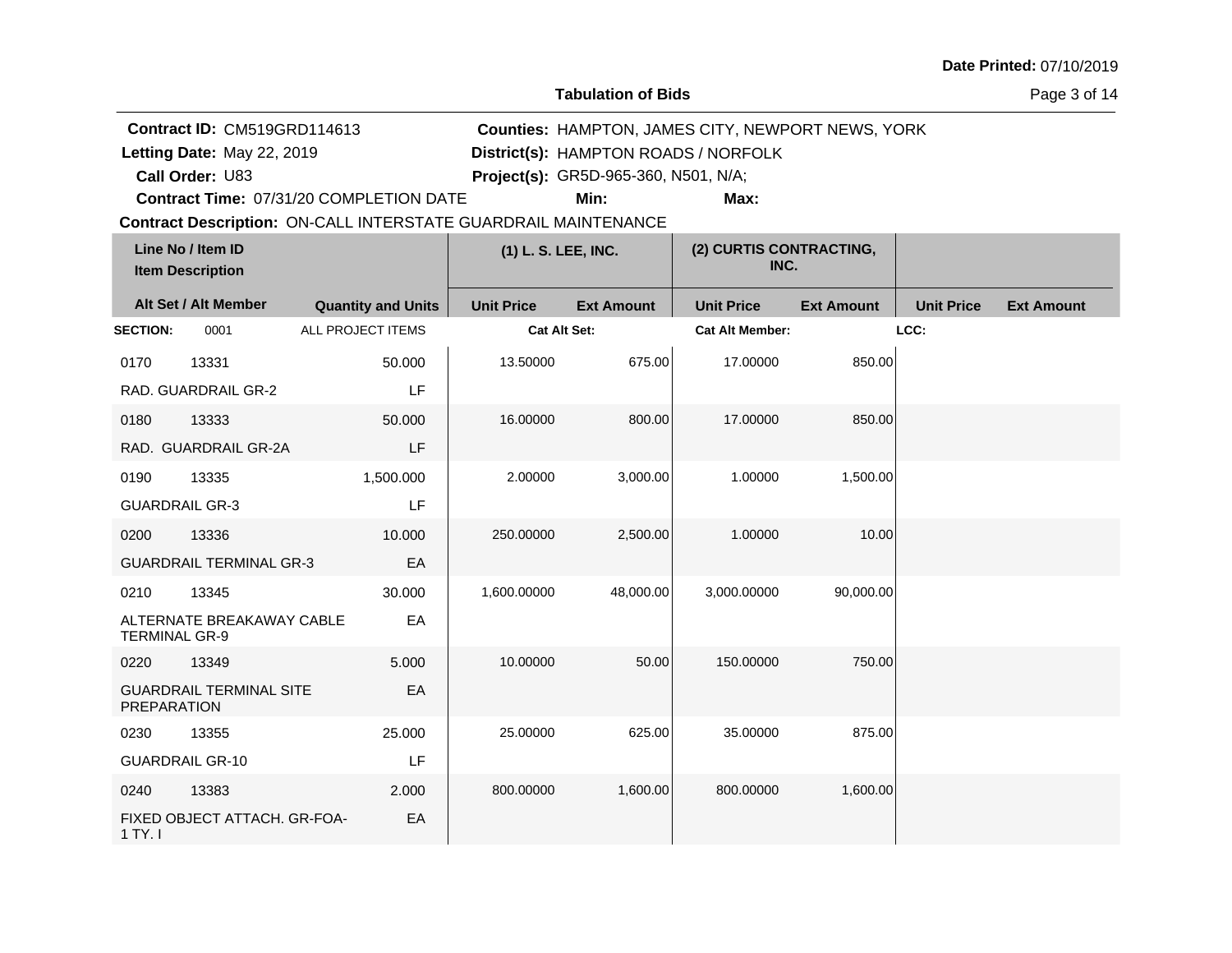**Tabulation of Bids**

Page 3 of 14

|                            | Contract ID: CM519GRD114613                  |                                                                |                     | <b>Counties: HAMPTON, JAMES CITY, NEWPORT NEWS, YORK</b> |                                      |                   |                   |                   |  |
|----------------------------|----------------------------------------------|----------------------------------------------------------------|---------------------|----------------------------------------------------------|--------------------------------------|-------------------|-------------------|-------------------|--|
| Letting Date: May 22, 2019 |                                              |                                                                |                     |                                                          | District(s): HAMPTON ROADS / NORFOLK |                   |                   |                   |  |
|                            | Call Order: U83                              |                                                                |                     | Project(s): GR5D-965-360, N501, N/A;                     |                                      |                   |                   |                   |  |
|                            |                                              | Contract Time: 07/31/20 COMPLETION DATE                        |                     | Min:                                                     | Max:                                 |                   |                   |                   |  |
|                            |                                              | Contract Description: ON-CALL INTERSTATE GUARDRAIL MAINTENANCE |                     |                                                          |                                      |                   |                   |                   |  |
|                            | Line No / Item ID<br><b>Item Description</b> |                                                                | (1) L. S. LEE, INC. |                                                          | (2) CURTIS CONTRACTING,<br>INC.      |                   |                   |                   |  |
|                            | Alt Set / Alt Member                         | <b>Quantity and Units</b>                                      | <b>Unit Price</b>   | <b>Ext Amount</b>                                        | <b>Unit Price</b>                    | <b>Ext Amount</b> | <b>Unit Price</b> | <b>Ext Amount</b> |  |
| <b>SECTION:</b>            | 0001                                         | ALL PROJECT ITEMS                                              | <b>Cat Alt Set:</b> |                                                          | <b>Cat Alt Member:</b>               |                   | LCC:              |                   |  |
| 0170                       | 13331                                        | 50.000                                                         | 13.50000            | 675.00                                                   | 17.00000                             | 850.00            |                   |                   |  |
|                            | RAD. GUARDRAIL GR-2                          | LF                                                             |                     |                                                          |                                      |                   |                   |                   |  |
| 0180                       | 13333                                        | 50.000                                                         | 16.00000            | 800.00                                                   | 17.00000                             | 850.00            |                   |                   |  |
|                            | RAD. GUARDRAIL GR-2A                         | LF                                                             |                     |                                                          |                                      |                   |                   |                   |  |
| 0190                       | 13335                                        | 1,500.000                                                      | 2.00000             | 3,000.00                                                 | 1.00000                              | 1,500.00          |                   |                   |  |
| <b>GUARDRAIL GR-3</b>      |                                              | LF                                                             |                     |                                                          |                                      |                   |                   |                   |  |
| 0200                       | 13336                                        | 10.000                                                         | 250.00000           | 2,500.00                                                 | 1.00000                              | 10.00             |                   |                   |  |
|                            | <b>GUARDRAIL TERMINAL GR-3</b>               | EA                                                             |                     |                                                          |                                      |                   |                   |                   |  |
| 0210                       | 13345                                        | 30.000                                                         | 1,600.00000         | 48,000.00                                                | 3,000.00000                          | 90,000.00         |                   |                   |  |
| <b>TERMINAL GR-9</b>       | ALTERNATE BREAKAWAY CABLE                    | EA                                                             |                     |                                                          |                                      |                   |                   |                   |  |
| 0220                       | 13349                                        | 5.000                                                          | 10.00000            | 50.00                                                    | 150,00000                            | 750.00            |                   |                   |  |
| <b>PREPARATION</b>         | <b>GUARDRAIL TERMINAL SITE</b>               | EA                                                             |                     |                                                          |                                      |                   |                   |                   |  |
| 0230                       | 13355                                        | 25.000                                                         | 25.00000            | 625.00                                                   | 35.00000                             | 875.00            |                   |                   |  |
|                            | <b>GUARDRAIL GR-10</b>                       | LF                                                             |                     |                                                          |                                      |                   |                   |                   |  |
| 0240                       | 13383                                        | 2.000                                                          | 800.00000           | 1,600.00                                                 | 800.00000                            | 1,600.00          |                   |                   |  |
| 1 TY. I                    | FIXED OBJECT ATTACH. GR-FOA-                 | EA                                                             |                     |                                                          |                                      |                   |                   |                   |  |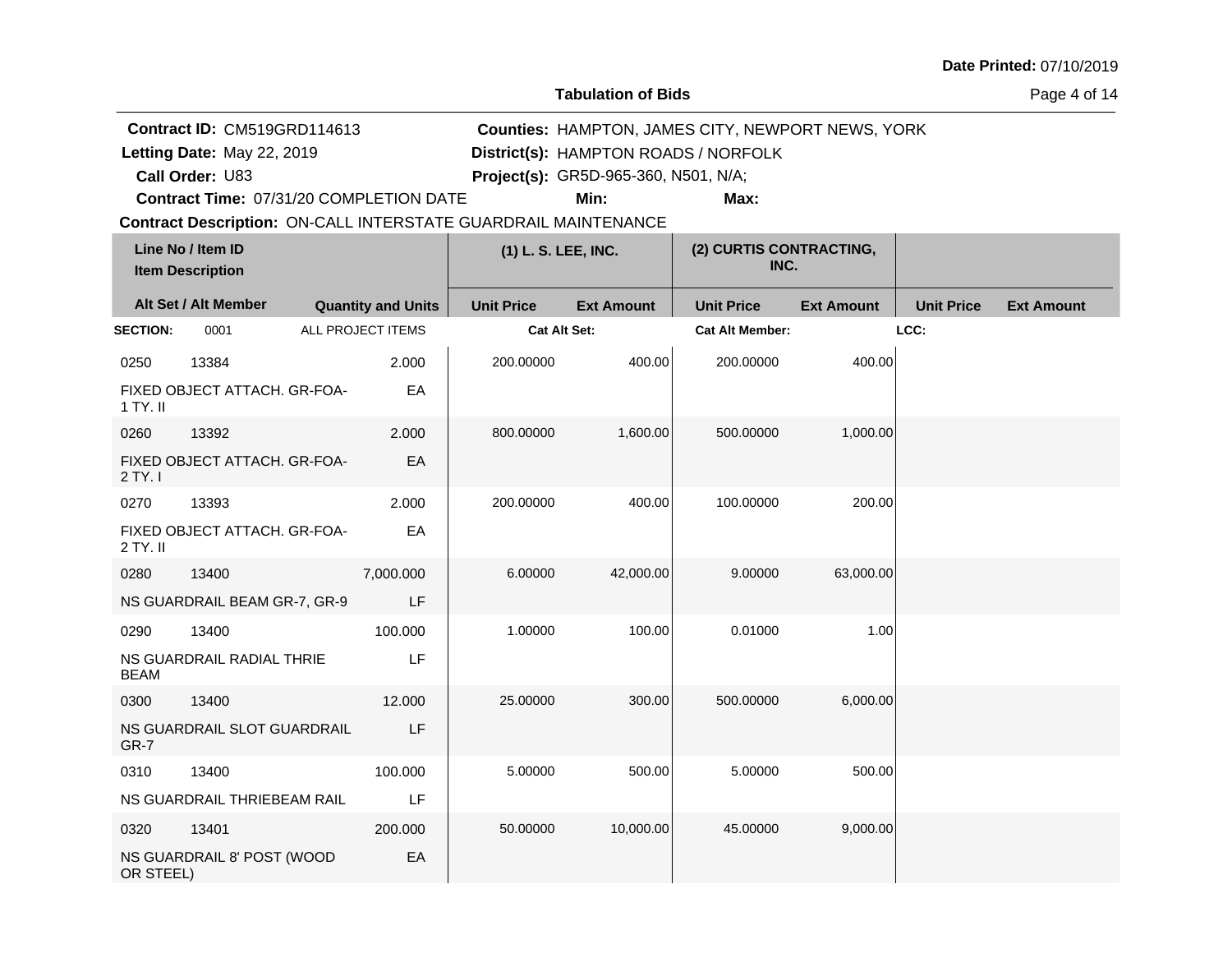**Tabulation of Bids**

Page 4 of 14

|                 | <b>Contract ID: CM519GRD114613</b>                                    |                           | Counties: HAMPTON, JAMES CITY, NEWPORT NEWS, YORK |                                      |                                      |                   |                   |                   |
|-----------------|-----------------------------------------------------------------------|---------------------------|---------------------------------------------------|--------------------------------------|--------------------------------------|-------------------|-------------------|-------------------|
|                 | Letting Date: May 22, 2019                                            |                           |                                                   |                                      | District(s): HAMPTON ROADS / NORFOLK |                   |                   |                   |
|                 | Call Order: U83                                                       |                           |                                                   | Project(s): GR5D-965-360, N501, N/A; |                                      |                   |                   |                   |
|                 | Contract Time: 07/31/20 COMPLETION DATE                               |                           |                                                   | Min:                                 | Max:                                 |                   |                   |                   |
|                 | <b>Contract Description: ON-CALL INTERSTATE GUARDRAIL MAINTENANCE</b> |                           |                                                   |                                      |                                      |                   |                   |                   |
|                 | Line No / Item ID<br><b>Item Description</b>                          |                           | (1) L. S. LEE, INC.                               |                                      | (2) CURTIS CONTRACTING,<br>INC.      |                   |                   |                   |
|                 | Alt Set / Alt Member                                                  | <b>Quantity and Units</b> | <b>Unit Price</b>                                 | <b>Ext Amount</b>                    | <b>Unit Price</b>                    | <b>Ext Amount</b> | <b>Unit Price</b> | <b>Ext Amount</b> |
| <b>SECTION:</b> | 0001                                                                  | ALL PROJECT ITEMS         | <b>Cat Alt Set:</b>                               |                                      | <b>Cat Alt Member:</b>               |                   | LCC:              |                   |
| 0250            | 13384                                                                 | 2.000                     | 200.00000                                         | 400.00                               | 200.00000                            | 400.00            |                   |                   |
| 1 TY. II        | FIXED OBJECT ATTACH, GR-FOA-                                          | EA                        |                                                   |                                      |                                      |                   |                   |                   |
| 0260            | 13392                                                                 | 2.000                     | 800.00000                                         | 1,600.00                             | 500.00000                            | 1,000.00          |                   |                   |
| 2 TY. I         | FIXED OBJECT ATTACH. GR-FOA-                                          | EA                        |                                                   |                                      |                                      |                   |                   |                   |
| 0270            | 13393                                                                 | 2.000                     | 200.00000                                         | 400.00                               | 100.00000                            | 200.00            |                   |                   |
| 2 TY. II        | FIXED OBJECT ATTACH. GR-FOA-                                          | EA                        |                                                   |                                      |                                      |                   |                   |                   |
| 0280            | 13400                                                                 | 7,000.000                 | 6.00000                                           | 42,000.00                            | 9.00000                              | 63,000.00         |                   |                   |
|                 | NS GUARDRAIL BEAM GR-7, GR-9                                          | LF                        |                                                   |                                      |                                      |                   |                   |                   |
| 0290            | 13400                                                                 | 100.000                   | 1.00000                                           | 100.00                               | 0.01000                              | 1.00              |                   |                   |
| <b>BEAM</b>     | NS GUARDRAIL RADIAL THRIE                                             | LF                        |                                                   |                                      |                                      |                   |                   |                   |
| 0300            | 13400                                                                 | 12.000                    | 25.00000                                          | 300.00                               | 500.00000                            | 6.000.00          |                   |                   |
| GR-7            | NS GUARDRAIL SLOT GUARDRAIL                                           | LF                        |                                                   |                                      |                                      |                   |                   |                   |
| 0310            | 13400                                                                 | 100.000                   | 5.00000                                           | 500.00                               | 5.00000                              | 500.00            |                   |                   |
|                 | NS GUARDRAIL THRIEBEAM RAIL                                           | LF                        |                                                   |                                      |                                      |                   |                   |                   |
| 0320            | 13401                                                                 | 200.000                   | 50.00000                                          | 10,000.00                            | 45.00000                             | 9,000.00          |                   |                   |
| OR STEEL)       | NS GUARDRAIL 8' POST (WOOD                                            | EA                        |                                                   |                                      |                                      |                   |                   |                   |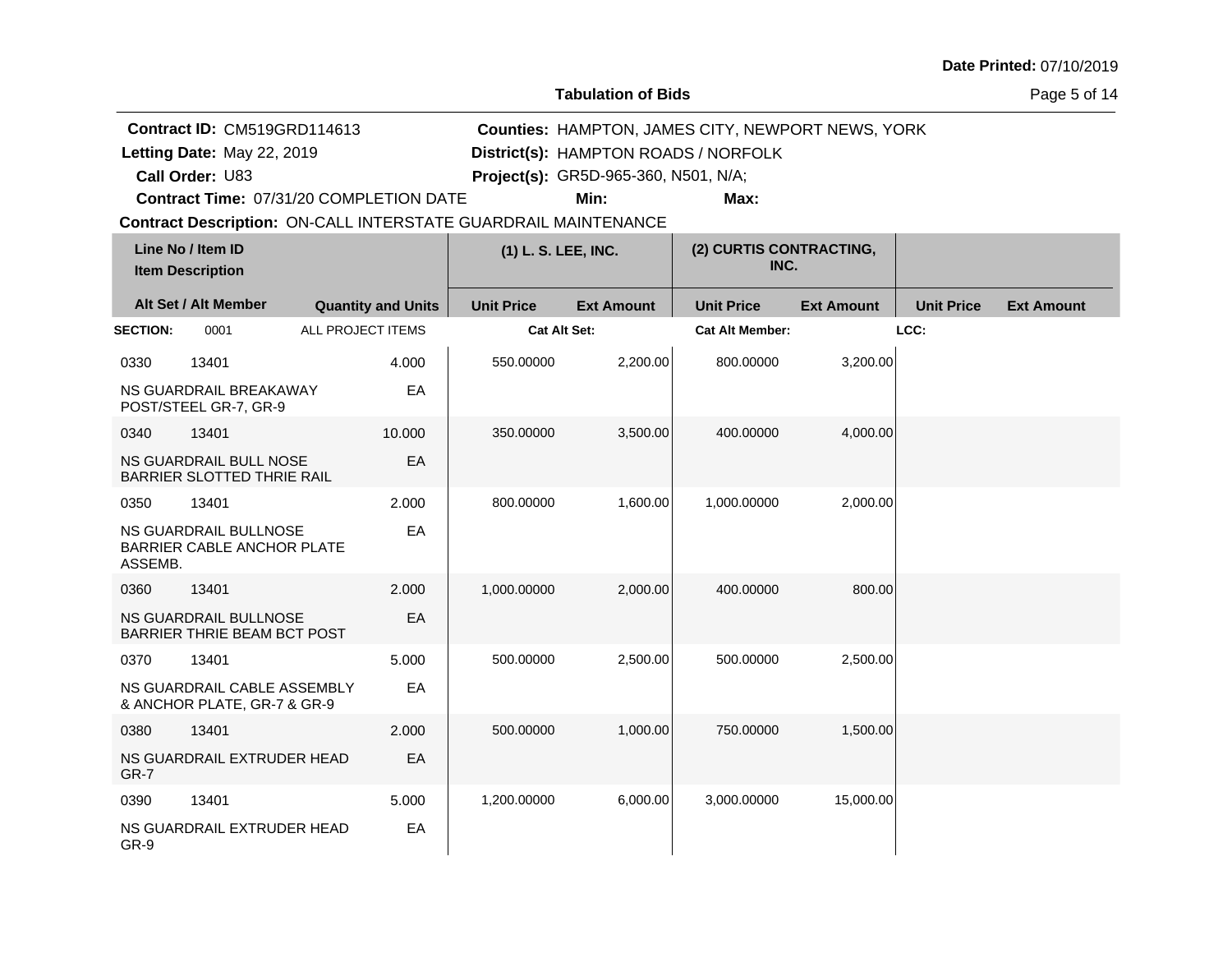**Tabulation of Bids**

Page 5 of 14

|                 | Contract ID: CM519GRD114613<br>Counties: HAMPTON, JAMES CITY, NEWPORT NEWS, YORK |                           |        |                     |                                      |                                      |                   |                   |                   |
|-----------------|----------------------------------------------------------------------------------|---------------------------|--------|---------------------|--------------------------------------|--------------------------------------|-------------------|-------------------|-------------------|
|                 | Letting Date: May 22, 2019                                                       |                           |        |                     |                                      | District(s): HAMPTON ROADS / NORFOLK |                   |                   |                   |
|                 | Call Order: U83                                                                  |                           |        |                     | Project(s): GR5D-965-360, N501, N/A; |                                      |                   |                   |                   |
|                 | Contract Time: 07/31/20 COMPLETION DATE                                          |                           |        |                     | Min:                                 | Max:                                 |                   |                   |                   |
|                 | <b>Contract Description: ON-CALL INTERSTATE GUARDRAIL MAINTENANCE</b>            |                           |        |                     |                                      |                                      |                   |                   |                   |
|                 | Line No / Item ID<br><b>Item Description</b>                                     |                           |        | (1) L. S. LEE, INC. |                                      | (2) CURTIS CONTRACTING,<br>INC.      |                   |                   |                   |
|                 | Alt Set / Alt Member                                                             | <b>Quantity and Units</b> |        | <b>Unit Price</b>   | <b>Ext Amount</b>                    | <b>Unit Price</b>                    | <b>Ext Amount</b> | <b>Unit Price</b> | <b>Ext Amount</b> |
| <b>SECTION:</b> | 0001                                                                             | ALL PROJECT ITEMS         |        | <b>Cat Alt Set:</b> |                                      | <b>Cat Alt Member:</b>               |                   | LCC:              |                   |
| 0330            | 13401                                                                            |                           | 4.000  | 550.00000           | 2,200.00                             | 800.00000                            | 3,200.00          |                   |                   |
|                 | NS GUARDRAIL BREAKAWAY<br>POST/STEEL GR-7, GR-9                                  |                           | EA     |                     |                                      |                                      |                   |                   |                   |
| 0340            | 13401                                                                            |                           | 10.000 | 350.00000           | 3,500.00                             | 400.00000                            | 4,000.00          |                   |                   |
|                 | NS GUARDRAIL BULL NOSE<br>BARRIER SLOTTED THRIE RAIL                             |                           | EA     |                     |                                      |                                      |                   |                   |                   |
| 0350            | 13401                                                                            |                           | 2.000  | 800.00000           | 1,600.00                             | 1,000.00000                          | 2,000.00          |                   |                   |
| ASSEMB.         | NS GUARDRAIL BULLNOSE<br>BARRIER CABLE ANCHOR PLATE                              |                           | EA     |                     |                                      |                                      |                   |                   |                   |
| 0360            | 13401                                                                            |                           | 2.000  | 1,000.00000         | 2,000.00                             | 400.00000                            | 800.00            |                   |                   |
|                 | NS GUARDRAIL BULLNOSE<br><b>BARRIER THRIE BEAM BCT POST</b>                      |                           | EA     |                     |                                      |                                      |                   |                   |                   |
| 0370            | 13401                                                                            |                           | 5.000  | 500.00000           | 2,500.00                             | 500.00000                            | 2,500.00          |                   |                   |
|                 | NS GUARDRAIL CABLE ASSEMBLY<br>& ANCHOR PLATE, GR-7 & GR-9                       |                           | EA     |                     |                                      |                                      |                   |                   |                   |
| 0380            | 13401                                                                            |                           | 2.000  | 500.00000           | 1,000.00                             | 750,00000                            | 1,500.00          |                   |                   |
| GR-7            | NS GUARDRAIL EXTRUDER HEAD                                                       |                           | EA     |                     |                                      |                                      |                   |                   |                   |
| 0390            | 13401                                                                            |                           | 5.000  | 1,200.00000         | 6,000.00                             | 3,000.00000                          | 15,000.00         |                   |                   |
| GR-9            | NS GUARDRAIL EXTRUDER HEAD                                                       |                           | EA     |                     |                                      |                                      |                   |                   |                   |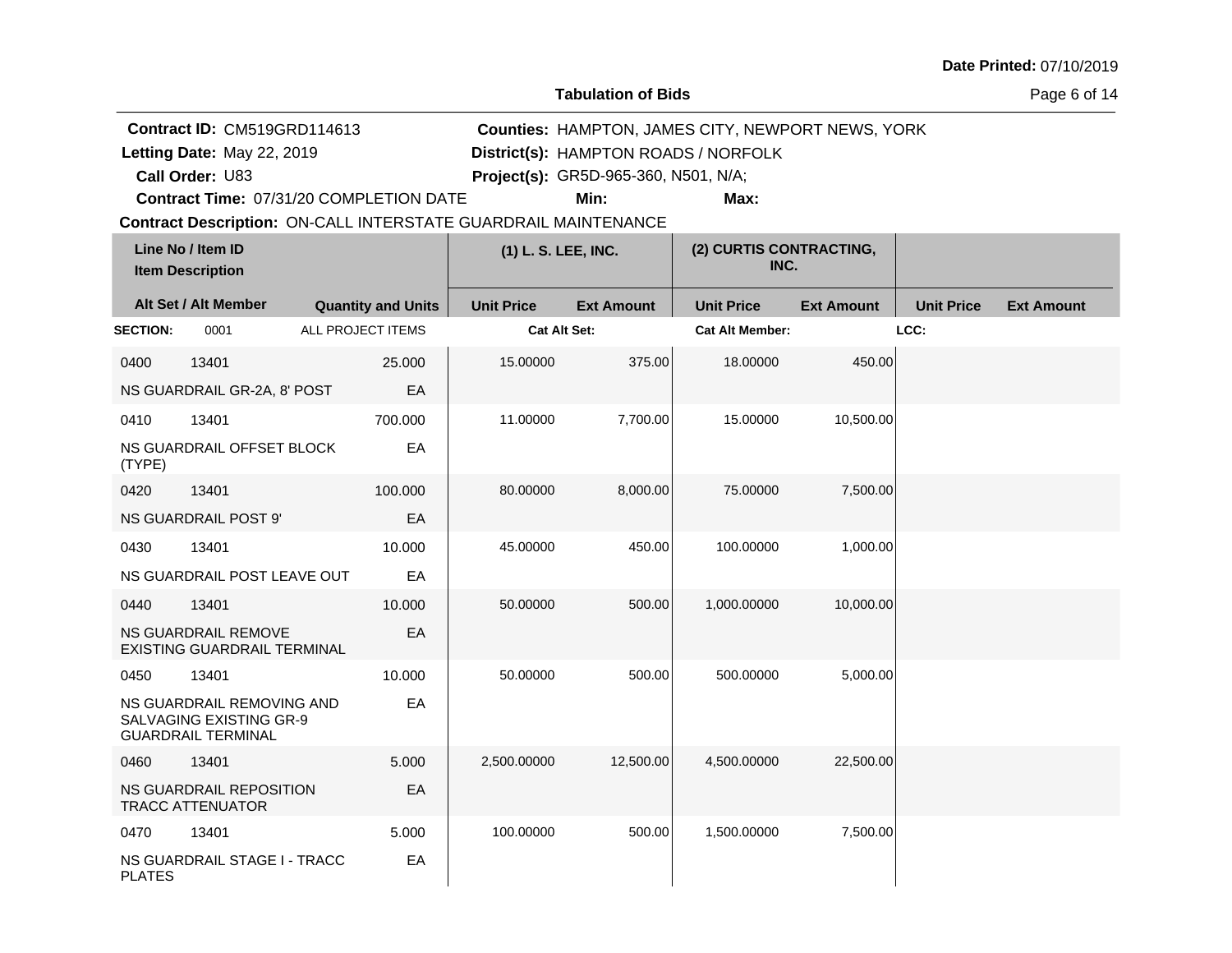**Tabulation of Bids**

Page 6 of 14

|                 | Contract ID: CM519GRD114613                                                       |                                                                       |                     | Counties: HAMPTON, JAMES CITY, NEWPORT NEWS, YORK |                                      |                   |                   |                   |  |
|-----------------|-----------------------------------------------------------------------------------|-----------------------------------------------------------------------|---------------------|---------------------------------------------------|--------------------------------------|-------------------|-------------------|-------------------|--|
|                 | Letting Date: May 22, 2019                                                        |                                                                       |                     |                                                   | District(s): HAMPTON ROADS / NORFOLK |                   |                   |                   |  |
|                 | Call Order: U83                                                                   |                                                                       |                     | Project(s): GR5D-965-360, N501, N/A;              |                                      |                   |                   |                   |  |
|                 |                                                                                   | Contract Time: 07/31/20 COMPLETION DATE                               |                     | Min:                                              | Max:                                 |                   |                   |                   |  |
|                 |                                                                                   | <b>Contract Description: ON-CALL INTERSTATE GUARDRAIL MAINTENANCE</b> |                     |                                                   |                                      |                   |                   |                   |  |
|                 | Line No / Item ID<br><b>Item Description</b>                                      |                                                                       | (1) L. S. LEE, INC. |                                                   | (2) CURTIS CONTRACTING,<br>INC.      |                   |                   |                   |  |
|                 | Alt Set / Alt Member                                                              | <b>Quantity and Units</b>                                             | <b>Unit Price</b>   | <b>Ext Amount</b>                                 | <b>Unit Price</b>                    | <b>Ext Amount</b> | <b>Unit Price</b> | <b>Ext Amount</b> |  |
| <b>SECTION:</b> | 0001                                                                              | ALL PROJECT ITEMS                                                     | Cat Alt Set:        |                                                   | <b>Cat Alt Member:</b>               |                   | LCC:              |                   |  |
| 0400            | 13401                                                                             | 25.000                                                                | 15.00000            | 375.00                                            | 18.00000                             | 450.00            |                   |                   |  |
|                 | NS GUARDRAIL GR-2A, 8' POST                                                       | EА                                                                    |                     |                                                   |                                      |                   |                   |                   |  |
| 0410            | 13401                                                                             | 700.000                                                               | 11.00000            | 7,700.00                                          | 15.00000                             | 10,500.00         |                   |                   |  |
| (TYPE)          | NS GUARDRAIL OFFSET BLOCK                                                         | EA                                                                    |                     |                                                   |                                      |                   |                   |                   |  |
| 0420            | 13401                                                                             | 100.000                                                               | 80.00000            | 8,000.00                                          | 75.00000                             | 7,500.00          |                   |                   |  |
|                 | NS GUARDRAIL POST 9'                                                              | EA                                                                    |                     |                                                   |                                      |                   |                   |                   |  |
| 0430            | 13401                                                                             | 10.000                                                                | 45.00000            | 450.00                                            | 100.00000                            | 1,000.00          |                   |                   |  |
|                 | NS GUARDRAIL POST LEAVE OUT                                                       | EA                                                                    |                     |                                                   |                                      |                   |                   |                   |  |
| 0440            | 13401                                                                             | 10.000                                                                | 50.00000            | 500.00                                            | 1,000.00000                          | 10,000.00         |                   |                   |  |
|                 | NS GUARDRAIL REMOVE<br><b>EXISTING GUARDRAIL TERMINAL</b>                         | EА                                                                    |                     |                                                   |                                      |                   |                   |                   |  |
| 0450            | 13401                                                                             | 10.000                                                                | 50.00000            | 500.00                                            | 500.00000                            | 5,000.00          |                   |                   |  |
|                 | NS GUARDRAIL REMOVING AND<br>SALVAGING EXISTING GR-9<br><b>GUARDRAIL TERMINAL</b> | EA                                                                    |                     |                                                   |                                      |                   |                   |                   |  |
| 0460            | 13401                                                                             | 5.000                                                                 | 2,500.00000         | 12,500.00                                         | 4,500.00000                          | 22,500.00         |                   |                   |  |
|                 | NS GUARDRAIL REPOSITION<br><b>TRACC ATTENUATOR</b>                                | EA                                                                    |                     |                                                   |                                      |                   |                   |                   |  |
| 0470            | 13401                                                                             | 5.000                                                                 | 100.00000           | 500.00                                            | 1,500.00000                          | 7,500.00          |                   |                   |  |
| <b>PLATES</b>   | NS GUARDRAIL STAGE I - TRACC                                                      | EА                                                                    |                     |                                                   |                                      |                   |                   |                   |  |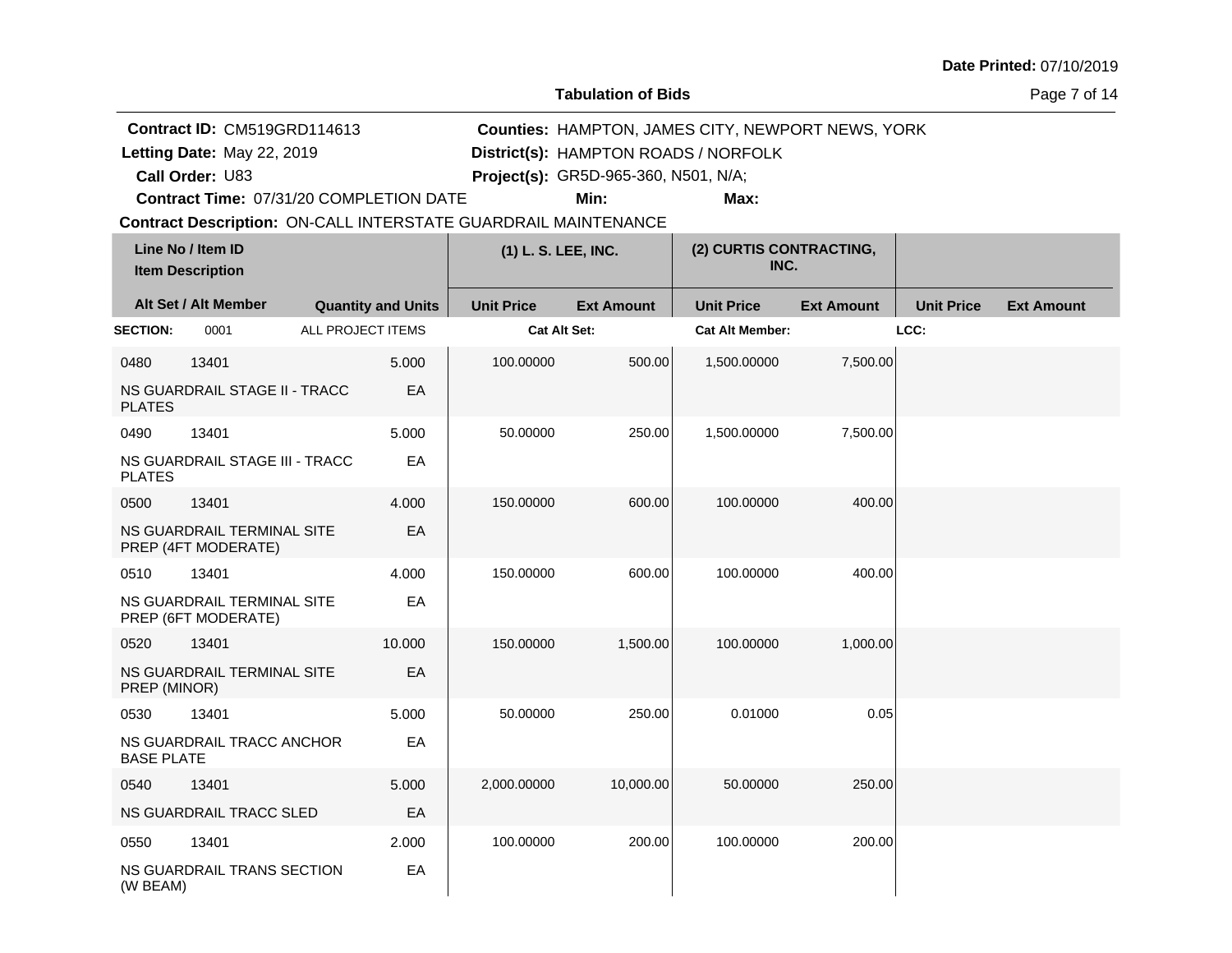**Tabulation of Bids**

Page 7 of 14

|                   | <b>Contract ID: CM519GRD114613</b><br><b>Counties: HAMPTON, JAMES CITY, NEWPORT NEWS, YORK</b> |                   |                           |                                                                       |                                      |                                      |                   |                   |                   |
|-------------------|------------------------------------------------------------------------------------------------|-------------------|---------------------------|-----------------------------------------------------------------------|--------------------------------------|--------------------------------------|-------------------|-------------------|-------------------|
|                   | Letting Date: May 22, 2019                                                                     |                   |                           |                                                                       |                                      | District(s): HAMPTON ROADS / NORFOLK |                   |                   |                   |
|                   | Call Order: U83                                                                                |                   |                           |                                                                       | Project(s): GR5D-965-360, N501, N/A; |                                      |                   |                   |                   |
|                   | Contract Time: 07/31/20 COMPLETION DATE                                                        |                   |                           |                                                                       | Min:                                 | Max:                                 |                   |                   |                   |
|                   |                                                                                                |                   |                           | <b>Contract Description: ON-CALL INTERSTATE GUARDRAIL MAINTENANCE</b> |                                      |                                      |                   |                   |                   |
|                   | Line No / Item ID<br><b>Item Description</b>                                                   |                   |                           | (1) L. S. LEE, INC.                                                   |                                      | (2) CURTIS CONTRACTING,<br>INC.      |                   |                   |                   |
|                   | Alt Set / Alt Member                                                                           |                   | <b>Quantity and Units</b> | <b>Unit Price</b>                                                     | <b>Ext Amount</b>                    | <b>Unit Price</b>                    | <b>Ext Amount</b> | <b>Unit Price</b> | <b>Ext Amount</b> |
| <b>SECTION:</b>   | 0001                                                                                           | ALL PROJECT ITEMS |                           | Cat Alt Set:                                                          |                                      | <b>Cat Alt Member:</b>               |                   | LCC:              |                   |
| 0480              | 13401                                                                                          |                   | 5.000                     | 100.00000                                                             | 500.00                               | 1,500.00000                          | 7,500.00          |                   |                   |
| <b>PLATES</b>     | NS GUARDRAIL STAGE II - TRACC                                                                  |                   | EА                        |                                                                       |                                      |                                      |                   |                   |                   |
| 0490              | 13401                                                                                          |                   | 5.000                     | 50.00000                                                              | 250.00                               | 1,500.00000                          | 7,500.00          |                   |                   |
| <b>PLATES</b>     | NS GUARDRAIL STAGE III - TRACC                                                                 |                   | EA                        |                                                                       |                                      |                                      |                   |                   |                   |
| 0500              | 13401                                                                                          |                   | 4.000                     | 150.00000                                                             | 600.00                               | 100.00000                            | 400.00            |                   |                   |
|                   | NS GUARDRAIL TERMINAL SITE<br>PREP (4FT MODERATE)                                              |                   | EA                        |                                                                       |                                      |                                      |                   |                   |                   |
| 0510              | 13401                                                                                          |                   | 4.000                     | 150.00000                                                             | 600.00                               | 100.00000                            | 400.00            |                   |                   |
|                   | NS GUARDRAIL TERMINAL SITE<br>PREP (6FT MODERATE)                                              |                   | EA                        |                                                                       |                                      |                                      |                   |                   |                   |
| 0520              | 13401                                                                                          |                   | 10.000                    | 150.00000                                                             | 1,500.00                             | 100.00000                            | 1,000.00          |                   |                   |
| PREP (MINOR)      | NS GUARDRAIL TERMINAL SITE                                                                     |                   | EA                        |                                                                       |                                      |                                      |                   |                   |                   |
| 0530              | 13401                                                                                          |                   | 5.000                     | 50.00000                                                              | 250.00                               | 0.01000                              | 0.05              |                   |                   |
| <b>BASE PLATE</b> | NS GUARDRAIL TRACC ANCHOR                                                                      |                   | EА                        |                                                                       |                                      |                                      |                   |                   |                   |
| 0540              | 13401                                                                                          |                   | 5.000                     | 2,000.00000                                                           | 10,000.00                            | 50.00000                             | 250.00            |                   |                   |
|                   | NS GUARDRAIL TRACC SLED                                                                        |                   | EА                        |                                                                       |                                      |                                      |                   |                   |                   |
| 0550              | 13401                                                                                          |                   | 2.000                     | 100.00000                                                             | 200.00                               | 100.00000                            | 200.00            |                   |                   |
| (W BEAM)          | NS GUARDRAIL TRANS SECTION                                                                     |                   | EА                        |                                                                       |                                      |                                      |                   |                   |                   |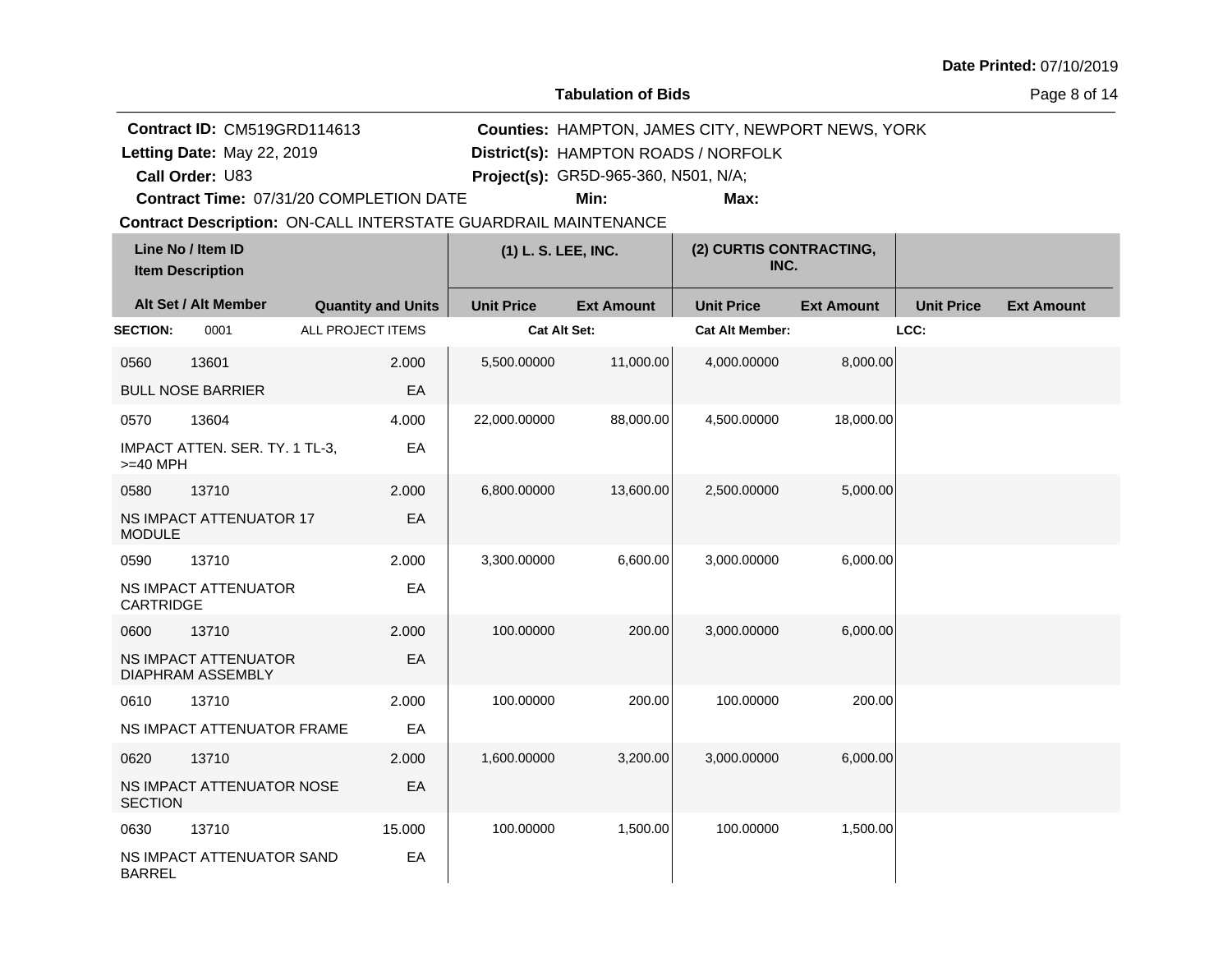**Tabulation of Bids**

Page 8 of 14

|                 | Contract ID: CM519GRD114613                      |                                                                       |                     | <b>Counties: HAMPTON, JAMES CITY, NEWPORT NEWS, YORK</b> |                                      |                   |                   |                   |  |  |
|-----------------|--------------------------------------------------|-----------------------------------------------------------------------|---------------------|----------------------------------------------------------|--------------------------------------|-------------------|-------------------|-------------------|--|--|
|                 | Letting Date: May 22, 2019                       |                                                                       |                     |                                                          | District(s): HAMPTON ROADS / NORFOLK |                   |                   |                   |  |  |
|                 | Call Order: U83                                  |                                                                       |                     | Project(s): GR5D-965-360, N501, N/A;                     |                                      |                   |                   |                   |  |  |
|                 |                                                  | Contract Time: 07/31/20 COMPLETION DATE                               |                     | Min:                                                     | Max:                                 |                   |                   |                   |  |  |
|                 |                                                  | <b>Contract Description: ON-CALL INTERSTATE GUARDRAIL MAINTENANCE</b> |                     |                                                          |                                      |                   |                   |                   |  |  |
|                 | Line No / Item ID<br><b>Item Description</b>     |                                                                       | (1) L. S. LEE, INC. |                                                          | (2) CURTIS CONTRACTING,<br>INC.      |                   |                   |                   |  |  |
|                 | Alt Set / Alt Member                             | <b>Quantity and Units</b>                                             | <b>Unit Price</b>   | <b>Ext Amount</b>                                        | <b>Unit Price</b>                    | <b>Ext Amount</b> | <b>Unit Price</b> | <b>Ext Amount</b> |  |  |
| <b>SECTION:</b> | 0001                                             | ALL PROJECT ITEMS                                                     | Cat Alt Set:        |                                                          | <b>Cat Alt Member:</b>               |                   | LCC:              |                   |  |  |
| 0560            | 13601                                            | 2.000                                                                 | 5,500.00000         | 11,000.00                                                | 4,000.00000                          | 8,000.00          |                   |                   |  |  |
|                 | <b>BULL NOSE BARRIER</b>                         | EA                                                                    |                     |                                                          |                                      |                   |                   |                   |  |  |
| 0570            | 13604                                            | 4.000                                                                 | 22,000.00000        | 88,000.00                                                | 4,500.00000                          | 18,000.00         |                   |                   |  |  |
| >=40 MPH        | IMPACT ATTEN. SER. TY. 1 TL-3,                   | EA                                                                    |                     |                                                          |                                      |                   |                   |                   |  |  |
| 0580            | 13710                                            | 2.000                                                                 | 6,800.00000         | 13,600.00                                                | 2,500.00000                          | 5,000.00          |                   |                   |  |  |
| <b>MODULE</b>   | NS IMPACT ATTENUATOR 17                          | EA                                                                    |                     |                                                          |                                      |                   |                   |                   |  |  |
| 0590            | 13710                                            | 2.000                                                                 | 3,300.00000         | 6,600.00                                                 | 3,000.00000                          | 6,000.00          |                   |                   |  |  |
| CARTRIDGE       | <b>NS IMPACT ATTENUATOR</b>                      | EA                                                                    |                     |                                                          |                                      |                   |                   |                   |  |  |
| 0600            | 13710                                            | 2.000                                                                 | 100.00000           | 200.00                                                   | 3,000.00000                          | 6,000.00          |                   |                   |  |  |
|                 | NS IMPACT ATTENUATOR<br><b>DIAPHRAM ASSEMBLY</b> | EA                                                                    |                     |                                                          |                                      |                   |                   |                   |  |  |
| 0610            | 13710                                            | 2.000                                                                 | 100.00000           | 200.00                                                   | 100.00000                            | 200.00            |                   |                   |  |  |
|                 | NS IMPACT ATTENUATOR FRAME                       | EA                                                                    |                     |                                                          |                                      |                   |                   |                   |  |  |
| 0620            | 13710                                            | 2.000                                                                 | 1,600.00000         | 3,200.00                                                 | 3,000.00000                          | 6,000.00          |                   |                   |  |  |
| <b>SECTION</b>  | NS IMPACT ATTENUATOR NOSE                        | EA                                                                    |                     |                                                          |                                      |                   |                   |                   |  |  |
| 0630            | 13710                                            | 15.000                                                                | 100.00000           | 1,500.00                                                 | 100.00000                            | 1,500.00          |                   |                   |  |  |
| <b>BARREL</b>   | NS IMPACT ATTENUATOR SAND                        | EA                                                                    |                     |                                                          |                                      |                   |                   |                   |  |  |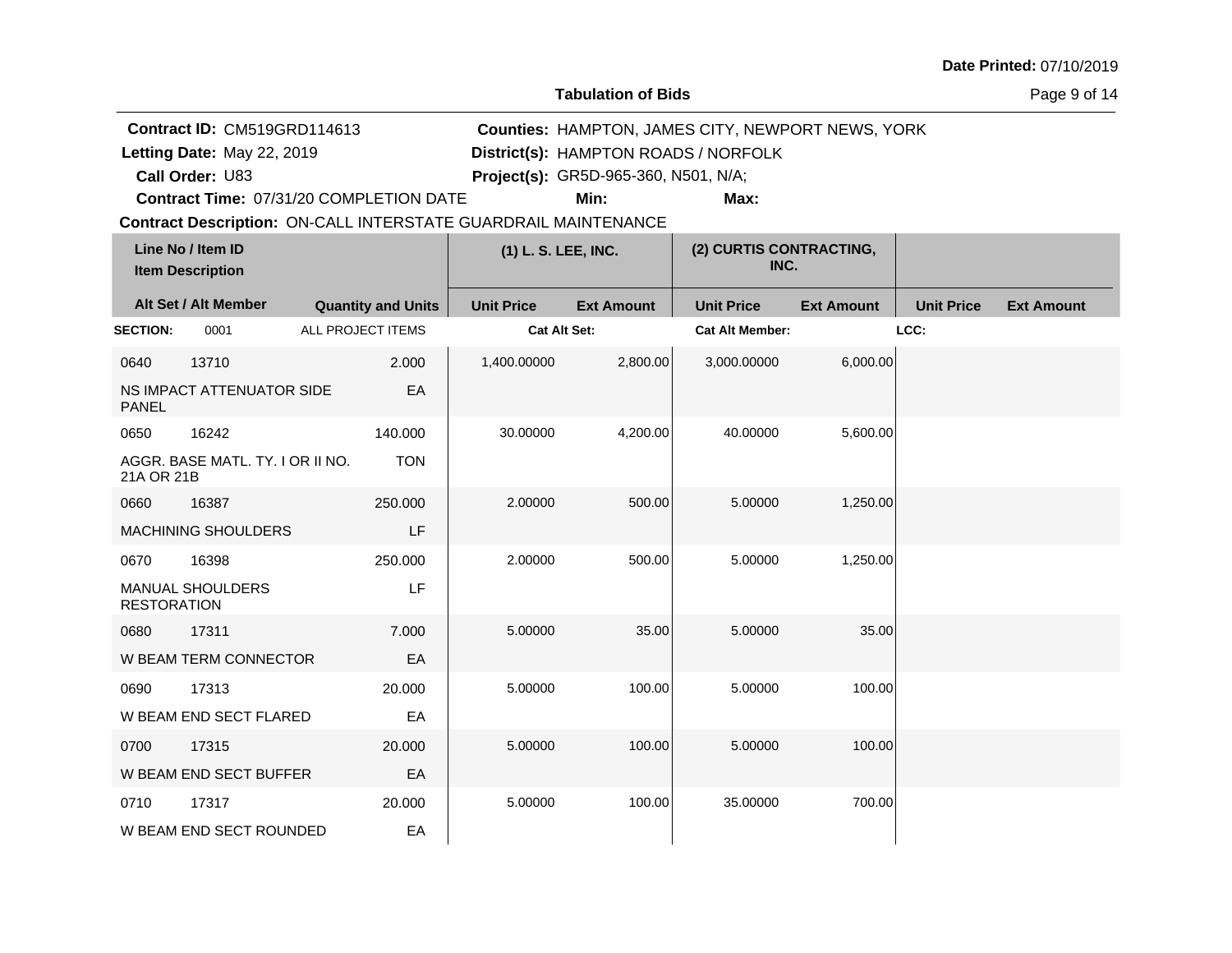**Tabulation of Bids**

Page 9 of 14

| <b>Contract ID: CM519GRD114613</b><br><b>Counties: HAMPTON, JAMES CITY, NEWPORT NEWS, YORK</b> |                                              |                   |                           |                                                                       |                                      |                                      |                   |                   |                   |
|------------------------------------------------------------------------------------------------|----------------------------------------------|-------------------|---------------------------|-----------------------------------------------------------------------|--------------------------------------|--------------------------------------|-------------------|-------------------|-------------------|
|                                                                                                | Letting Date: May 22, 2019                   |                   |                           |                                                                       |                                      | District(s): HAMPTON ROADS / NORFOLK |                   |                   |                   |
|                                                                                                | Call Order: U83                              |                   |                           |                                                                       | Project(s): GR5D-965-360, N501, N/A; |                                      |                   |                   |                   |
|                                                                                                | Contract Time: 07/31/20 COMPLETION DATE      |                   |                           |                                                                       | Min:                                 | Max:                                 |                   |                   |                   |
|                                                                                                |                                              |                   |                           | <b>Contract Description: ON-CALL INTERSTATE GUARDRAIL MAINTENANCE</b> |                                      |                                      |                   |                   |                   |
|                                                                                                | Line No / Item ID<br><b>Item Description</b> |                   |                           | (1) L. S. LEE, INC.                                                   |                                      | (2) CURTIS CONTRACTING,<br>INC.      |                   |                   |                   |
|                                                                                                | Alt Set / Alt Member                         |                   | <b>Quantity and Units</b> | <b>Unit Price</b>                                                     | <b>Ext Amount</b>                    | <b>Unit Price</b>                    | <b>Ext Amount</b> | <b>Unit Price</b> | <b>Ext Amount</b> |
| <b>SECTION:</b>                                                                                | 0001                                         | ALL PROJECT ITEMS |                           | <b>Cat Alt Set:</b>                                                   |                                      | <b>Cat Alt Member:</b>               |                   | LCC:              |                   |
| 0640                                                                                           | 13710                                        |                   | 2.000                     | 1,400.00000                                                           | 2,800.00                             | 3,000.00000                          | 6,000.00          |                   |                   |
| <b>PANEL</b>                                                                                   | NS IMPACT ATTENUATOR SIDE                    |                   | EA                        |                                                                       |                                      |                                      |                   |                   |                   |
| 0650                                                                                           | 16242                                        |                   | 140.000                   | 30.00000                                                              | 4,200.00                             | 40.00000                             | 5,600.00          |                   |                   |
| 21A OR 21B                                                                                     | AGGR. BASE MATL. TY. I OR II NO.             |                   | <b>TON</b>                |                                                                       |                                      |                                      |                   |                   |                   |
| 0660                                                                                           | 16387                                        |                   | 250,000                   | 2.00000                                                               | 500.00                               | 5.00000                              | 1,250.00          |                   |                   |
|                                                                                                | <b>MACHINING SHOULDERS</b>                   |                   | LF                        |                                                                       |                                      |                                      |                   |                   |                   |
| 0670                                                                                           | 16398                                        |                   | 250.000                   | 2.00000                                                               | 500.00                               | 5.00000                              | 1,250.00          |                   |                   |
| <b>RESTORATION</b>                                                                             | MANUAL SHOULDERS                             |                   | LF                        |                                                                       |                                      |                                      |                   |                   |                   |
| 0680                                                                                           | 17311                                        |                   | 7.000                     | 5.00000                                                               | 35.00                                | 5.00000                              | 35.00             |                   |                   |
|                                                                                                | W BEAM TERM CONNECTOR                        |                   | EA                        |                                                                       |                                      |                                      |                   |                   |                   |
| 0690                                                                                           | 17313                                        |                   | 20,000                    | 5.00000                                                               | 100.00                               | 5.00000                              | 100.00            |                   |                   |
|                                                                                                | W BEAM END SECT FLARED                       |                   | EA                        |                                                                       |                                      |                                      |                   |                   |                   |
| 0700                                                                                           | 17315                                        |                   | 20,000                    | 5.00000                                                               | 100.00                               | 5.00000                              | 100.00            |                   |                   |
|                                                                                                | W BEAM END SECT BUFFER                       |                   | EA                        |                                                                       |                                      |                                      |                   |                   |                   |
| 0710                                                                                           | 17317                                        |                   | 20.000                    | 5.00000                                                               | 100.00                               | 35.00000                             | 700.00            |                   |                   |
|                                                                                                | W BEAM END SECT ROUNDED                      |                   | EA                        |                                                                       |                                      |                                      |                   |                   |                   |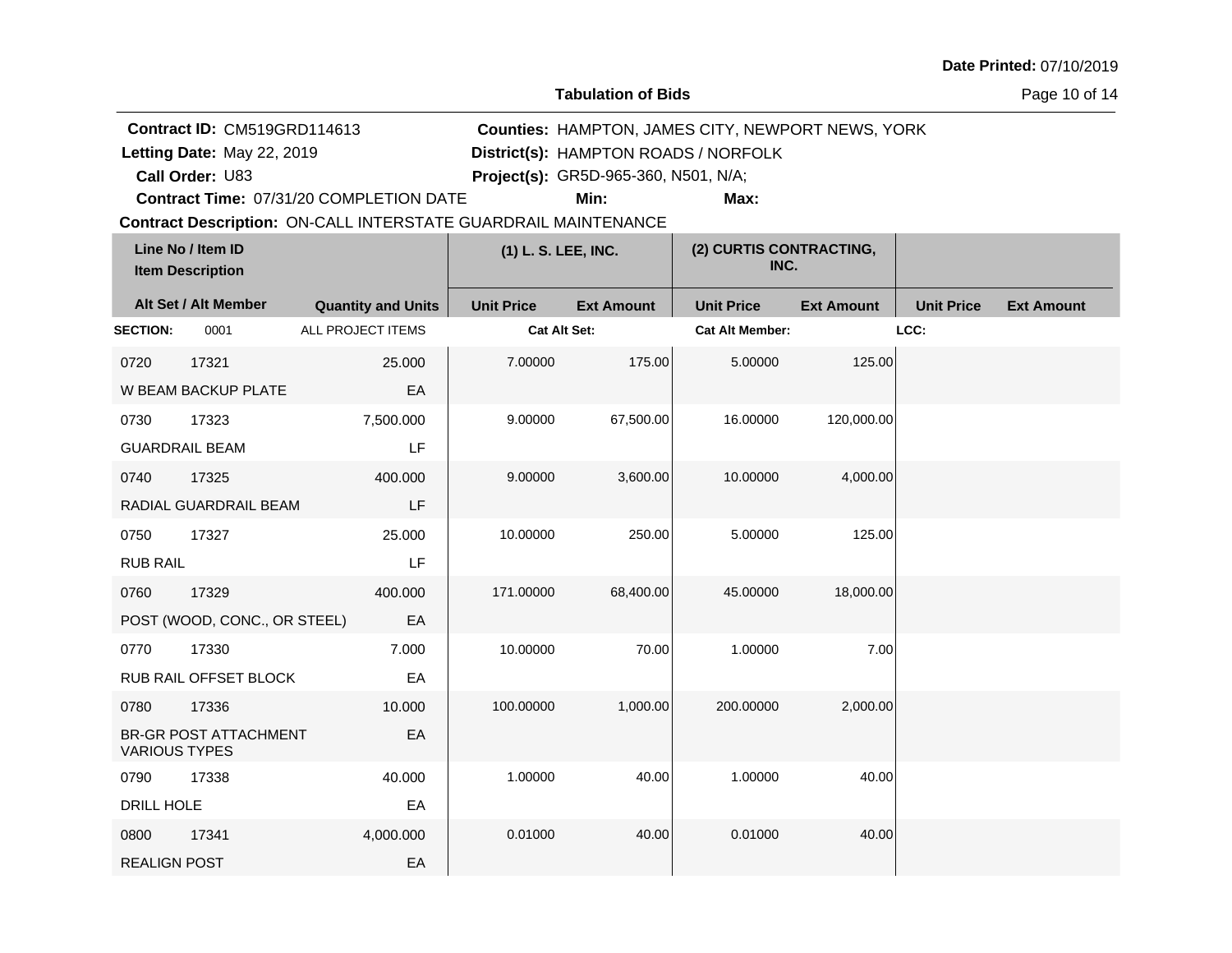**Tabulation of Bids**

Page 10 of 14

|                                              | Contract ID: CM519GRD114613  |                                                                |                     |                                      | Counties: HAMPTON, JAMES CITY, NEWPORT NEWS, YORK |                   |                   |                   |
|----------------------------------------------|------------------------------|----------------------------------------------------------------|---------------------|--------------------------------------|---------------------------------------------------|-------------------|-------------------|-------------------|
|                                              | Letting Date: May 22, 2019   |                                                                |                     |                                      | District(s): HAMPTON ROADS / NORFOLK              |                   |                   |                   |
|                                              | Call Order: U83              |                                                                |                     | Project(s): GR5D-965-360, N501, N/A; |                                                   |                   |                   |                   |
|                                              |                              | Contract Time: 07/31/20 COMPLETION DATE                        |                     | Min:                                 | Max:                                              |                   |                   |                   |
|                                              |                              | Contract Description: ON-CALL INTERSTATE GUARDRAIL MAINTENANCE |                     |                                      |                                                   |                   |                   |                   |
| Line No / Item ID<br><b>Item Description</b> |                              | (1) L. S. LEE, INC.                                            |                     | (2) CURTIS CONTRACTING,<br>INC.      |                                                   |                   |                   |                   |
|                                              | Alt Set / Alt Member         | <b>Quantity and Units</b>                                      | <b>Unit Price</b>   | <b>Ext Amount</b>                    | <b>Unit Price</b>                                 | <b>Ext Amount</b> | <b>Unit Price</b> | <b>Ext Amount</b> |
| <b>SECTION:</b>                              | 0001                         | ALL PROJECT ITEMS                                              | <b>Cat Alt Set:</b> |                                      | <b>Cat Alt Member:</b>                            |                   | LCC:              |                   |
| 0720                                         | 17321                        | 25.000                                                         | 7.00000             | 175.00                               | 5.00000                                           | 125.00            |                   |                   |
|                                              | W BEAM BACKUP PLATE          | EA                                                             |                     |                                      |                                                   |                   |                   |                   |
| 0730                                         | 17323                        | 7,500.000                                                      | 9.00000             | 67,500.00                            | 16.00000                                          | 120,000.00        |                   |                   |
|                                              | <b>GUARDRAIL BEAM</b>        | LF                                                             |                     |                                      |                                                   |                   |                   |                   |
| 0740                                         | 17325                        | 400.000                                                        | 9.00000             | 3,600.00                             | 10.00000                                          | 4,000.00          |                   |                   |
|                                              | RADIAL GUARDRAIL BEAM        | LF                                                             |                     |                                      |                                                   |                   |                   |                   |
| 0750                                         | 17327                        | 25.000                                                         | 10.00000            | 250.00                               | 5.00000                                           | 125.00            |                   |                   |
| <b>RUB RAIL</b>                              |                              | LF                                                             |                     |                                      |                                                   |                   |                   |                   |
| 0760                                         | 17329                        | 400.000                                                        | 171.00000           | 68,400.00                            | 45.00000                                          | 18,000.00         |                   |                   |
|                                              | POST (WOOD, CONC., OR STEEL) | EA                                                             |                     |                                      |                                                   |                   |                   |                   |
| 0770                                         | 17330                        | 7.000                                                          | 10.00000            | 70.00                                | 1.00000                                           | 7.00              |                   |                   |
|                                              | RUB RAIL OFFSET BLOCK        | EA                                                             |                     |                                      |                                                   |                   |                   |                   |
| 0780                                         | 17336                        | 10.000                                                         | 100.00000           | 1,000.00                             | 200.00000                                         | 2,000.00          |                   |                   |
| <b>VARIOUS TYPES</b>                         | BR-GR POST ATTACHMENT        | EA                                                             |                     |                                      |                                                   |                   |                   |                   |
| 0790                                         | 17338                        | 40.000                                                         | 1.00000             | 40.00                                | 1.00000                                           | 40.00             |                   |                   |
| DRILL HOLE                                   |                              | EA                                                             |                     |                                      |                                                   |                   |                   |                   |
| 0800                                         | 17341                        | 4,000.000                                                      | 0.01000             | 40.00                                | 0.01000                                           | 40.00             |                   |                   |
| <b>REALIGN POST</b>                          |                              | EA                                                             |                     |                                      |                                                   |                   |                   |                   |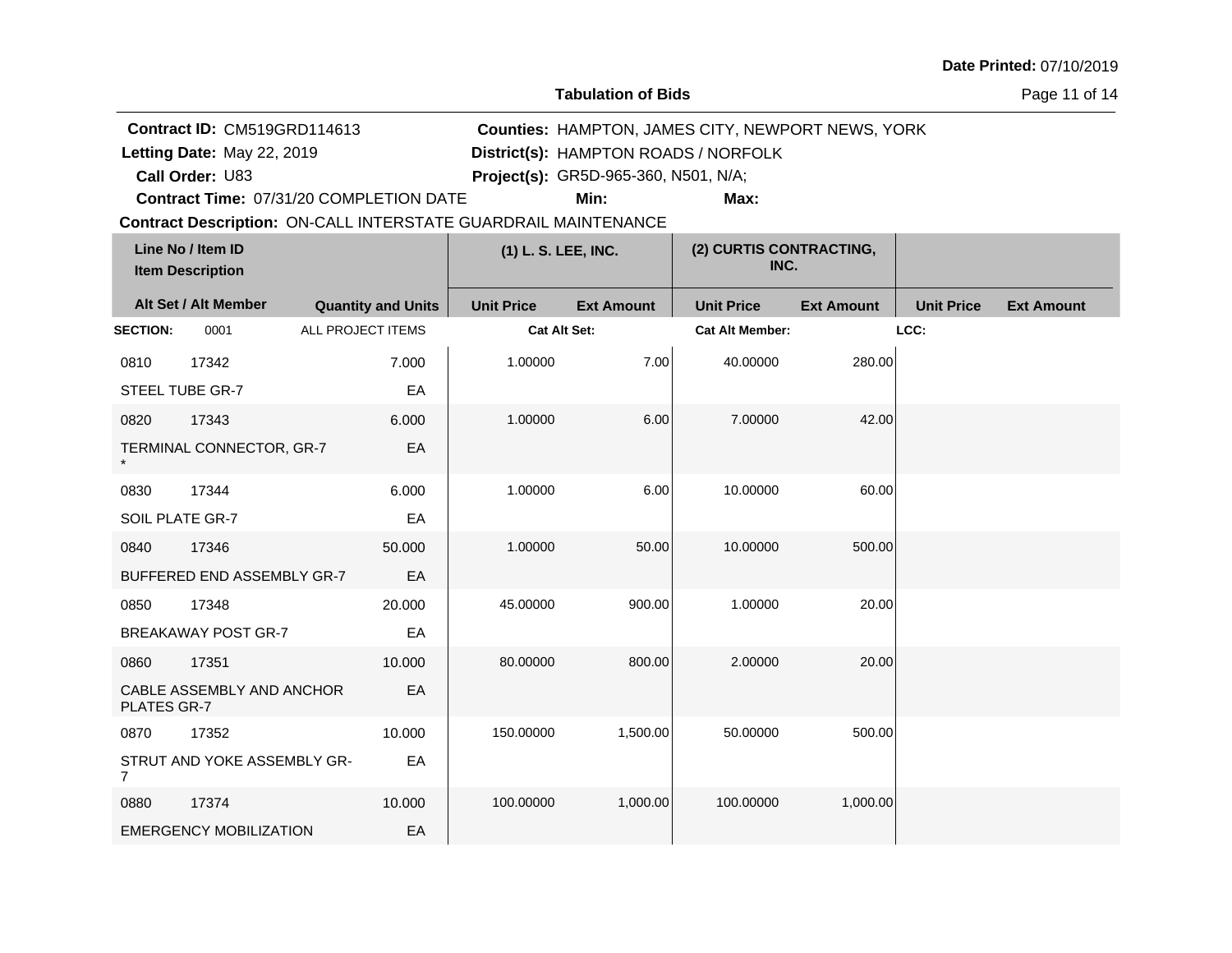**Tabulation of Bids**

Page 11 of 14

|                 | Contract ID: CM519GRD114613<br>Counties: HAMPTON, JAMES CITY, NEWPORT NEWS, YORK |                                                                       |                     |                                              |                                      |                   |                   |                   |
|-----------------|----------------------------------------------------------------------------------|-----------------------------------------------------------------------|---------------------|----------------------------------------------|--------------------------------------|-------------------|-------------------|-------------------|
|                 | Letting Date: May 22, 2019                                                       |                                                                       |                     |                                              | District(s): HAMPTON ROADS / NORFOLK |                   |                   |                   |
|                 | Call Order: U83                                                                  | Contract Time: 07/31/20 COMPLETION DATE                               |                     | Project(s): GR5D-965-360, N501, N/A;<br>Min: | Max:                                 |                   |                   |                   |
|                 |                                                                                  | <b>Contract Description: ON-CALL INTERSTATE GUARDRAIL MAINTENANCE</b> |                     |                                              |                                      |                   |                   |                   |
|                 | Line No / Item ID<br><b>Item Description</b>                                     |                                                                       | (1) L. S. LEE, INC. |                                              | (2) CURTIS CONTRACTING,<br>INC.      |                   |                   |                   |
|                 | Alt Set / Alt Member                                                             | <b>Quantity and Units</b>                                             | <b>Unit Price</b>   | <b>Ext Amount</b>                            | <b>Unit Price</b>                    | <b>Ext Amount</b> | <b>Unit Price</b> | <b>Ext Amount</b> |
| <b>SECTION:</b> | 0001                                                                             | <b>ALL PROJECT ITEMS</b>                                              | <b>Cat Alt Set:</b> |                                              | <b>Cat Alt Member:</b>               |                   | LCC:              |                   |
| 0810            | 17342                                                                            | 7.000                                                                 | 1.00000             | 7.00                                         | 40.00000                             | 280.00            |                   |                   |
|                 | STEEL TUBE GR-7                                                                  | EA                                                                    |                     |                                              |                                      |                   |                   |                   |
| 0820            | 17343                                                                            | 6.000                                                                 | 1.00000             | 6.00                                         | 7.00000                              | 42.00             |                   |                   |
|                 | TERMINAL CONNECTOR, GR-7                                                         | EA                                                                    |                     |                                              |                                      |                   |                   |                   |
| 0830            | 17344                                                                            | 6.000                                                                 | 1.00000             | 6.00                                         | 10.00000                             | 60.00             |                   |                   |
| SOIL PLATE GR-7 |                                                                                  | EA                                                                    |                     |                                              |                                      |                   |                   |                   |
| 0840            | 17346                                                                            | 50.000                                                                | 1.00000             | 50.00                                        | 10.00000                             | 500.00            |                   |                   |
|                 | BUFFERED END ASSEMBLY GR-7                                                       | EA                                                                    |                     |                                              |                                      |                   |                   |                   |
| 0850            | 17348                                                                            | 20.000                                                                | 45.00000            | 900.00                                       | 1.00000                              | 20.00             |                   |                   |
|                 | <b>BREAKAWAY POST GR-7</b>                                                       | EA                                                                    |                     |                                              |                                      |                   |                   |                   |
| 0860            | 17351                                                                            | 10.000                                                                | 80.00000            | 800.00                                       | 2.00000                              | 20.00             |                   |                   |
| PLATES GR-7     | CABLE ASSEMBLY AND ANCHOR                                                        | EA                                                                    |                     |                                              |                                      |                   |                   |                   |
| 0870            | 17352                                                                            | 10.000                                                                | 150.00000           | 1,500.00                                     | 50.00000                             | 500.00            |                   |                   |
| $\overline{7}$  | STRUT AND YOKE ASSEMBLY GR-                                                      | EA                                                                    |                     |                                              |                                      |                   |                   |                   |
| 0880            | 17374                                                                            | 10.000                                                                | 100.00000           | 1,000.00                                     | 100.00000                            | 1,000.00          |                   |                   |
|                 | <b>EMERGENCY MOBILIZATION</b>                                                    | EA                                                                    |                     |                                              |                                      |                   |                   |                   |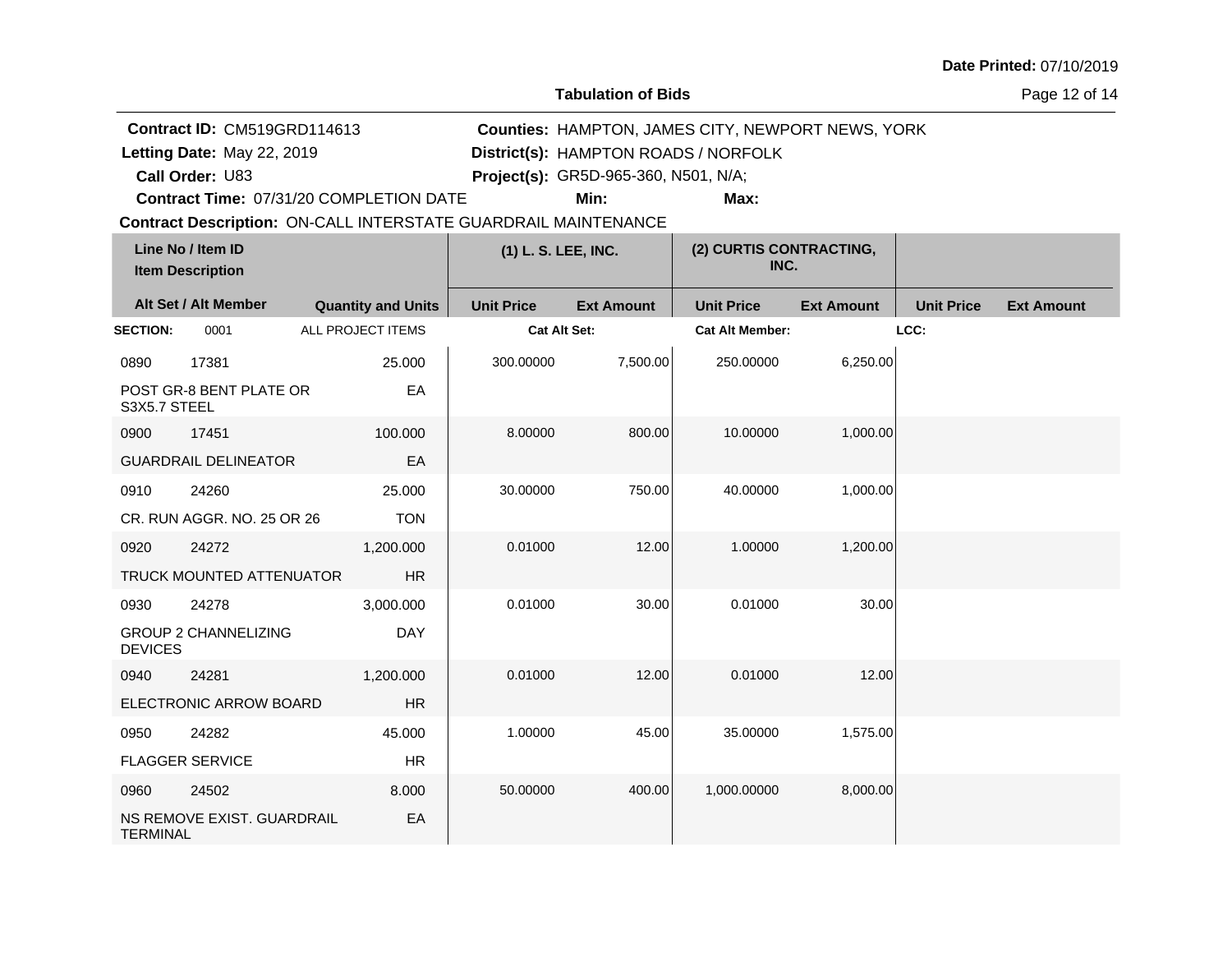**Tabulation of Bids**

Page 12 of 14

|                 | Contract ID: CM519GRD114613<br><b>Counties: HAMPTON, JAMES CITY, NEWPORT NEWS, YORK</b> |                                                                       |                     |                                      |                                 |                   |                   |                   |
|-----------------|-----------------------------------------------------------------------------------------|-----------------------------------------------------------------------|---------------------|--------------------------------------|---------------------------------|-------------------|-------------------|-------------------|
|                 | Letting Date: May 22, 2019                                                              |                                                                       |                     | District(s): HAMPTON ROADS / NORFOLK |                                 |                   |                   |                   |
|                 | Call Order: U83                                                                         |                                                                       |                     | Project(s): GR5D-965-360, N501, N/A; |                                 |                   |                   |                   |
|                 |                                                                                         | Contract Time: 07/31/20 COMPLETION DATE                               |                     | Min:                                 | Max:                            |                   |                   |                   |
|                 |                                                                                         | <b>Contract Description: ON-CALL INTERSTATE GUARDRAIL MAINTENANCE</b> |                     |                                      |                                 |                   |                   |                   |
|                 | Line No / Item ID<br><b>Item Description</b>                                            |                                                                       | (1) L. S. LEE, INC. |                                      | (2) CURTIS CONTRACTING,<br>INC. |                   |                   |                   |
|                 | Alt Set / Alt Member                                                                    | <b>Quantity and Units</b>                                             | <b>Unit Price</b>   | <b>Ext Amount</b>                    | <b>Unit Price</b>               | <b>Ext Amount</b> | <b>Unit Price</b> | <b>Ext Amount</b> |
| <b>SECTION:</b> | 0001                                                                                    | <b>ALL PROJECT ITEMS</b>                                              | <b>Cat Alt Set:</b> |                                      | <b>Cat Alt Member:</b>          |                   | LCC:              |                   |
| 0890            | 17381                                                                                   | 25.000                                                                | 300.00000           | 7,500.00                             | 250.00000                       | 6,250.00          |                   |                   |
| S3X5.7 STEEL    | POST GR-8 BENT PLATE OR                                                                 | EA                                                                    |                     |                                      |                                 |                   |                   |                   |
| 0900            | 17451                                                                                   | 100.000                                                               | 8.00000             | 800.00                               | 10.00000                        | 1,000.00          |                   |                   |
|                 | <b>GUARDRAIL DELINEATOR</b>                                                             | EA                                                                    |                     |                                      |                                 |                   |                   |                   |
| 0910            | 24260                                                                                   | 25.000                                                                | 30.00000            | 750.00                               | 40.00000                        | 1,000.00          |                   |                   |
|                 | CR. RUN AGGR. NO. 25 OR 26                                                              | <b>TON</b>                                                            |                     |                                      |                                 |                   |                   |                   |
| 0920            | 24272                                                                                   | 1,200.000                                                             | 0.01000             | 12.00                                | 1.00000                         | 1,200.00          |                   |                   |
|                 | <b>TRUCK MOUNTED ATTENUATOR</b>                                                         | HR.                                                                   |                     |                                      |                                 |                   |                   |                   |
| 0930            | 24278                                                                                   | 3,000.000                                                             | 0.01000             | 30.00                                | 0.01000                         | 30.00             |                   |                   |
| <b>DEVICES</b>  | <b>GROUP 2 CHANNELIZING</b>                                                             | <b>DAY</b>                                                            |                     |                                      |                                 |                   |                   |                   |
| 0940            | 24281                                                                                   | 1,200.000                                                             | 0.01000             | 12.00                                | 0.01000                         | 12.00             |                   |                   |
|                 | ELECTRONIC ARROW BOARD                                                                  | <b>HR</b>                                                             |                     |                                      |                                 |                   |                   |                   |
| 0950            | 24282                                                                                   | 45.000                                                                | 1.00000             | 45.00                                | 35.00000                        | 1,575.00          |                   |                   |
|                 | <b>FLAGGER SERVICE</b>                                                                  | <b>HR</b>                                                             |                     |                                      |                                 |                   |                   |                   |
| 0960            | 24502                                                                                   | 8.000                                                                 | 50.00000            | 400.00                               | 1,000.00000                     | 8,000.00          |                   |                   |
| TERMINAL        | NS REMOVE EXIST. GUARDRAIL                                                              | EA                                                                    |                     |                                      |                                 |                   |                   |                   |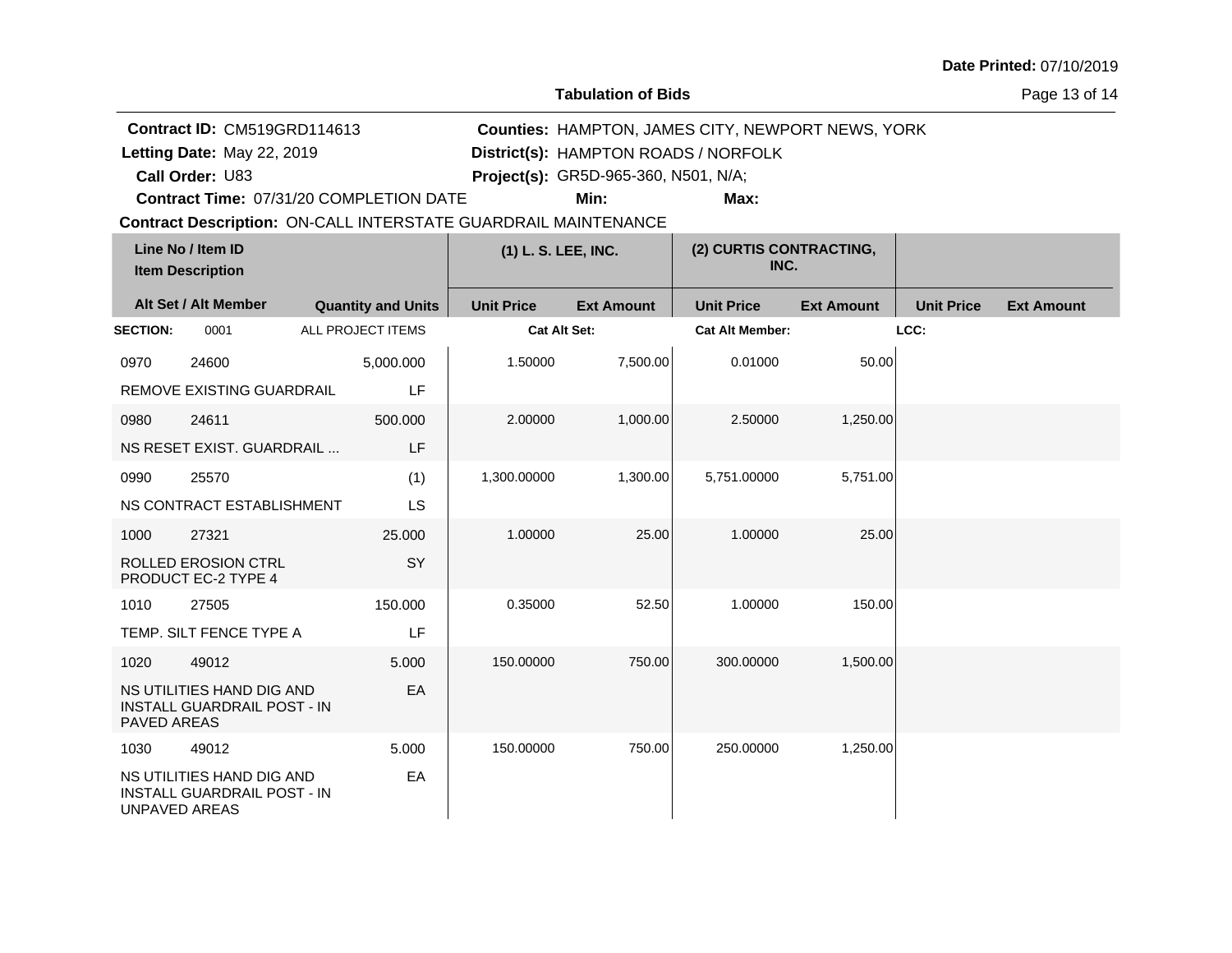**Tabulation of Bids**

Page 13 of 14

| Contract ID: CM519GRD114613 |                                                                 |  |                           |                                                                       |                                      | <b>Counties: HAMPTON, JAMES CITY, NEWPORT NEWS, YORK</b> |                   |                   |                   |
|-----------------------------|-----------------------------------------------------------------|--|---------------------------|-----------------------------------------------------------------------|--------------------------------------|----------------------------------------------------------|-------------------|-------------------|-------------------|
|                             | Letting Date: May 22, 2019                                      |  |                           |                                                                       |                                      | District(s): HAMPTON ROADS / NORFOLK                     |                   |                   |                   |
|                             | Call Order: U83                                                 |  |                           |                                                                       | Project(s): GR5D-965-360, N501, N/A; |                                                          |                   |                   |                   |
|                             | Contract Time: 07/31/20 COMPLETION DATE                         |  |                           |                                                                       | Min:                                 | Max:                                                     |                   |                   |                   |
|                             |                                                                 |  |                           | <b>Contract Description: ON-CALL INTERSTATE GUARDRAIL MAINTENANCE</b> |                                      |                                                          |                   |                   |                   |
|                             | Line No / Item ID<br><b>Item Description</b>                    |  |                           | (1) L. S. LEE, INC.                                                   |                                      | (2) CURTIS CONTRACTING,<br>INC.                          |                   |                   |                   |
|                             | Alt Set / Alt Member                                            |  | <b>Quantity and Units</b> | <b>Unit Price</b>                                                     | <b>Ext Amount</b>                    | <b>Unit Price</b>                                        | <b>Ext Amount</b> | <b>Unit Price</b> | <b>Ext Amount</b> |
| <b>SECTION:</b>             | 0001                                                            |  | <b>ALL PROJECT ITEMS</b>  | Cat Alt Set:                                                          |                                      | <b>Cat Alt Member:</b>                                   |                   | LCC:              |                   |
| 0970                        | 24600                                                           |  | 5,000.000                 | 1.50000                                                               | 7,500.00                             | 0.01000                                                  | 50.00             |                   |                   |
|                             | REMOVE EXISTING GUARDRAIL                                       |  | LF                        |                                                                       |                                      |                                                          |                   |                   |                   |
| 0980                        | 24611                                                           |  | 500.000                   | 2.00000                                                               | 1,000.00                             | 2.50000                                                  | 1,250.00          |                   |                   |
|                             | NS RESET EXIST. GUARDRAIL                                       |  | LF                        |                                                                       |                                      |                                                          |                   |                   |                   |
| 0990                        | 25570                                                           |  | (1)                       | 1,300.00000                                                           | 1,300.00                             | 5,751.00000                                              | 5,751.00          |                   |                   |
|                             | NS CONTRACT ESTABLISHMENT                                       |  | LS                        |                                                                       |                                      |                                                          |                   |                   |                   |
| 1000                        | 27321                                                           |  | 25.000                    | 1.00000                                                               | 25.00                                | 1.00000                                                  | 25.00             |                   |                   |
|                             | ROLLED EROSION CTRL<br>PRODUCT EC-2 TYPE 4                      |  | SY                        |                                                                       |                                      |                                                          |                   |                   |                   |
| 1010                        | 27505                                                           |  | 150.000                   | 0.35000                                                               | 52.50                                | 1.00000                                                  | 150.00            |                   |                   |
|                             | TEMP. SILT FENCE TYPE A                                         |  | LF                        |                                                                       |                                      |                                                          |                   |                   |                   |
| 1020                        | 49012                                                           |  | 5.000                     | 150.00000                                                             | 750.00                               | 300.00000                                                | 1,500.00          |                   |                   |
| <b>PAVED AREAS</b>          | NS UTILITIES HAND DIG AND<br><b>INSTALL GUARDRAIL POST - IN</b> |  | EA                        |                                                                       |                                      |                                                          |                   |                   |                   |
| 1030                        | 49012                                                           |  | 5.000                     | 150.00000                                                             | 750.00                               | 250.00000                                                | 1,250.00          |                   |                   |
| <b>UNPAVED AREAS</b>        | NS UTILITIES HAND DIG AND<br><b>INSTALL GUARDRAIL POST - IN</b> |  | EA                        |                                                                       |                                      |                                                          |                   |                   |                   |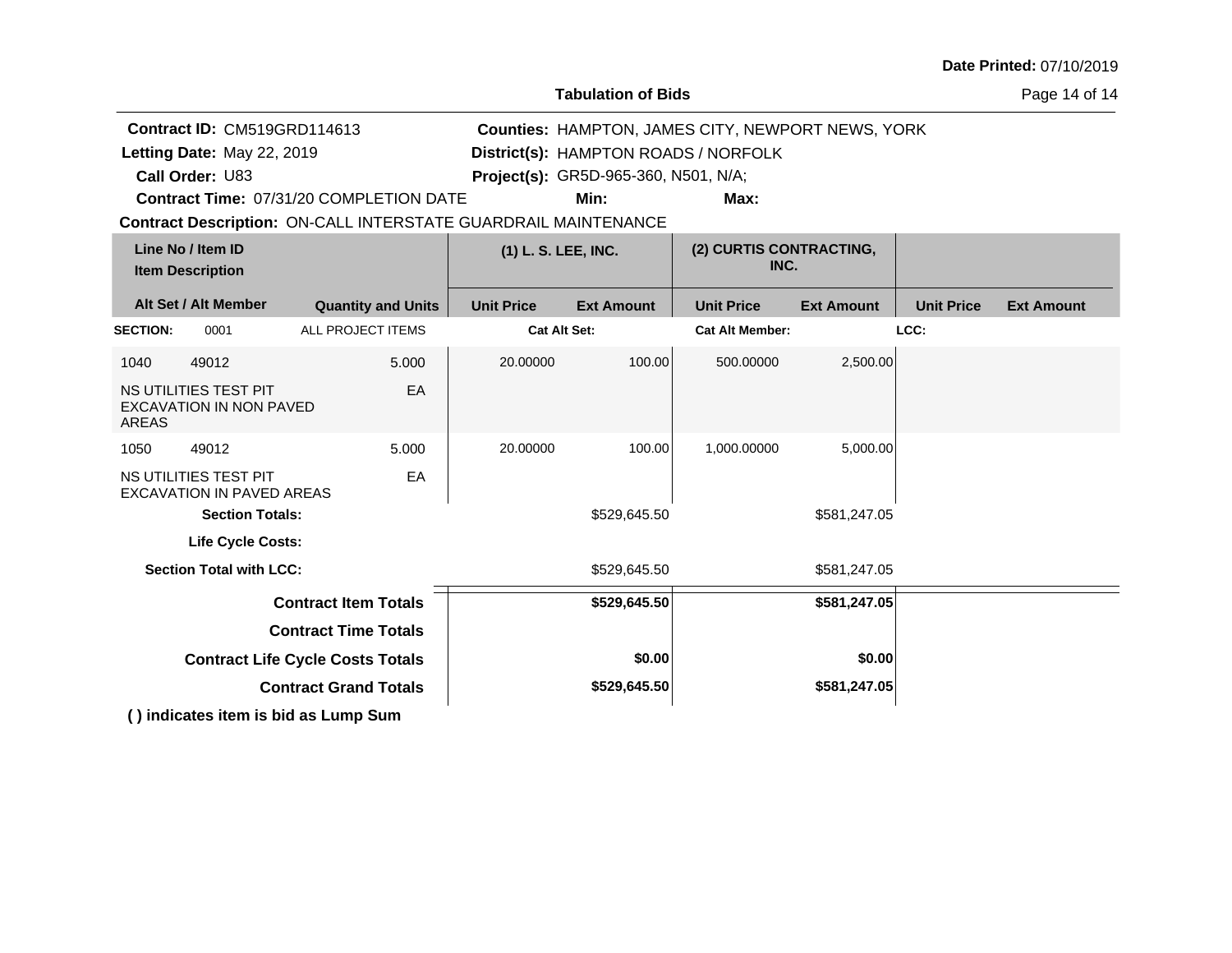**Tabulation of Bids**

Page 14 of 14

|                 | <b>Contract ID: CM519GRD114613</b><br>Letting Date: May 22, 2019<br>Call Order: U83 |                                                                       |                     | <b>Counties: HAMPTON, JAMES CITY, NEWPORT NEWS, YORK</b><br>District(s): HAMPTON ROADS / NORFOLK<br>Project(s): GR5D-965-360, N501, N/A; |                                 |                   |                   |                   |
|-----------------|-------------------------------------------------------------------------------------|-----------------------------------------------------------------------|---------------------|------------------------------------------------------------------------------------------------------------------------------------------|---------------------------------|-------------------|-------------------|-------------------|
|                 |                                                                                     | <b>Contract Time: 07/31/20 COMPLETION DATE</b>                        |                     | Min:                                                                                                                                     | Max:                            |                   |                   |                   |
|                 |                                                                                     | <b>Contract Description: ON-CALL INTERSTATE GUARDRAIL MAINTENANCE</b> |                     |                                                                                                                                          |                                 |                   |                   |                   |
|                 | Line No / Item ID<br><b>Item Description</b>                                        |                                                                       | (1) L. S. LEE, INC. |                                                                                                                                          | (2) CURTIS CONTRACTING,<br>INC. |                   |                   |                   |
|                 | Alt Set / Alt Member                                                                | <b>Quantity and Units</b>                                             | <b>Unit Price</b>   | <b>Ext Amount</b>                                                                                                                        | <b>Unit Price</b>               | <b>Ext Amount</b> | <b>Unit Price</b> | <b>Ext Amount</b> |
| <b>SECTION:</b> | 0001                                                                                | <b>ALL PROJECT ITEMS</b>                                              | <b>Cat Alt Set:</b> |                                                                                                                                          | <b>Cat Alt Member:</b>          |                   | LCC:              |                   |
| 1040            | 49012                                                                               | 5.000                                                                 | 20.00000            | 100.00                                                                                                                                   | 500.00000                       | 2,500.00          |                   |                   |
| <b>AREAS</b>    | NS UTILITIES TEST PIT<br>EXCAVATION IN NON PAVED                                    | EA                                                                    |                     |                                                                                                                                          |                                 |                   |                   |                   |
| 1050            | 49012                                                                               | 5.000                                                                 | 20.00000            | 100.00                                                                                                                                   | 1,000.00000                     | 5,000.00          |                   |                   |
|                 | NS UTILITIES TEST PIT<br><b>EXCAVATION IN PAVED AREAS</b>                           | EA                                                                    |                     |                                                                                                                                          |                                 |                   |                   |                   |
|                 | <b>Section Totals:</b>                                                              |                                                                       |                     | \$529,645.50                                                                                                                             |                                 | \$581,247.05      |                   |                   |
|                 | <b>Life Cycle Costs:</b>                                                            |                                                                       |                     |                                                                                                                                          |                                 |                   |                   |                   |
|                 | <b>Section Total with LCC:</b>                                                      |                                                                       |                     | \$529,645.50                                                                                                                             | \$581,247.05                    |                   |                   |                   |
|                 |                                                                                     | <b>Contract Item Totals</b>                                           |                     | \$529,645.50                                                                                                                             |                                 | \$581,247.05      |                   |                   |
|                 |                                                                                     | <b>Contract Time Totals</b>                                           |                     |                                                                                                                                          |                                 |                   |                   |                   |
|                 |                                                                                     | <b>Contract Life Cycle Costs Totals</b>                               |                     | \$0.00                                                                                                                                   |                                 | \$0.00            |                   |                   |
|                 |                                                                                     | <b>Contract Grand Totals</b>                                          |                     | \$529,645.50                                                                                                                             |                                 | \$581,247.05      |                   |                   |
|                 | () indicates item is bid as Lump Sum                                                |                                                                       |                     |                                                                                                                                          |                                 |                   |                   |                   |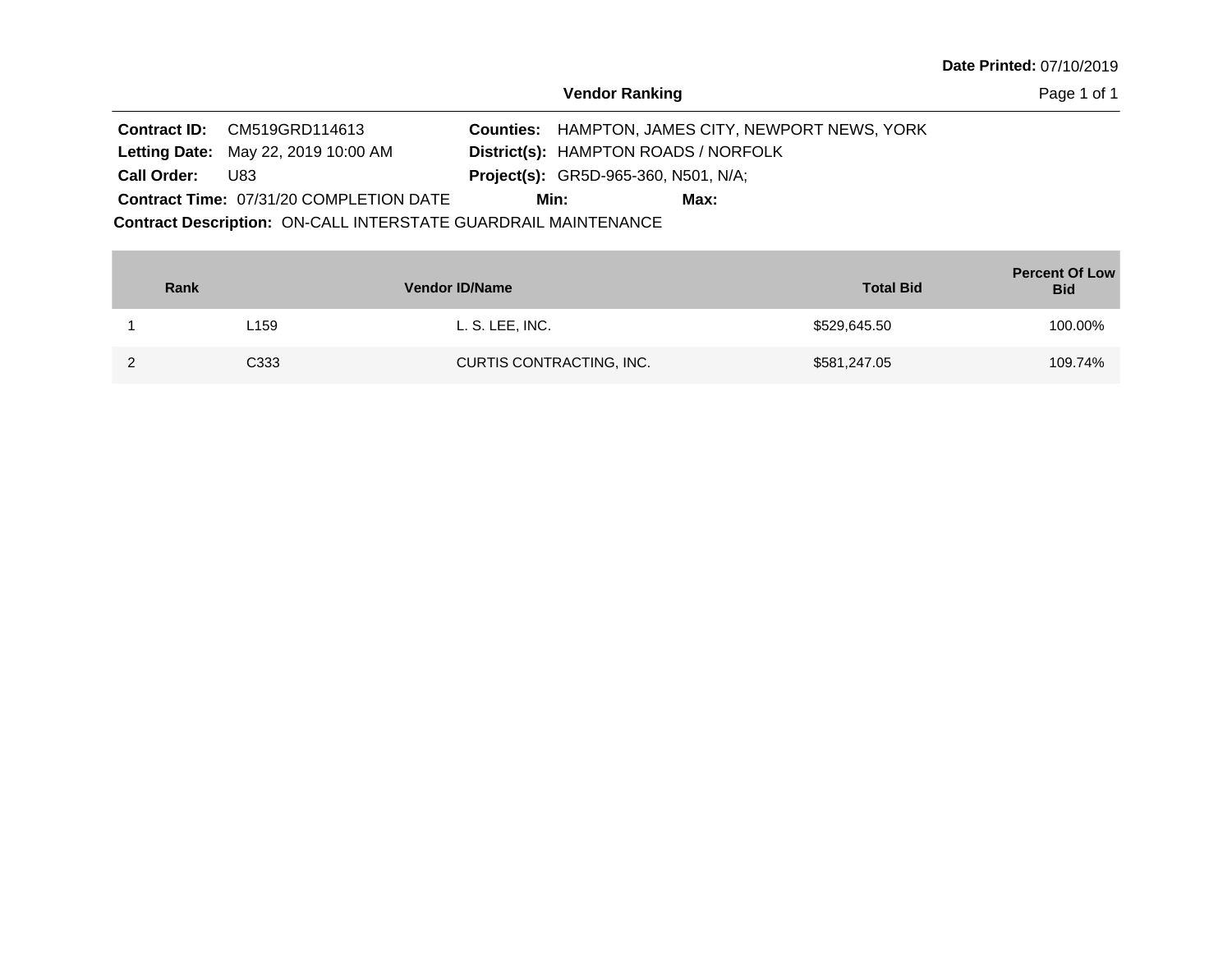**Vendor Ranking**

Page 1 of 1

|                    | <b>Contract ID:</b> CM519GRD114613             |      |                                             | <b>Counties: HAMPTON, JAMES CITY, NEWPORT NEWS, YORK</b> |  |
|--------------------|------------------------------------------------|------|---------------------------------------------|----------------------------------------------------------|--|
|                    | <b>Letting Date: May 22, 2019 10:00 AM</b>     |      | District(s): HAMPTON ROADS / NORFOLK        |                                                          |  |
| <b>Call Order:</b> | U83                                            |      | <b>Project(s):</b> GR5D-965-360, N501, N/A; |                                                          |  |
|                    | <b>Contract Time: 07/31/20 COMPLETION DATE</b> | Min: |                                             | Max:                                                     |  |

Contract Description: ON-CALL INTERSTATE GUARDRAIL MAINTENANCE

| Rank |      | Vendor ID/Name           | <b>Total Bid</b> | <b>Percent Of Low</b><br><b>Bid</b> |
|------|------|--------------------------|------------------|-------------------------------------|
|      | ∟159 | L. S. LEE, INC.          | \$529,645.50     | 100.00%                             |
|      | C333 | CURTIS CONTRACTING, INC. | \$581,247.05     | 109.74%                             |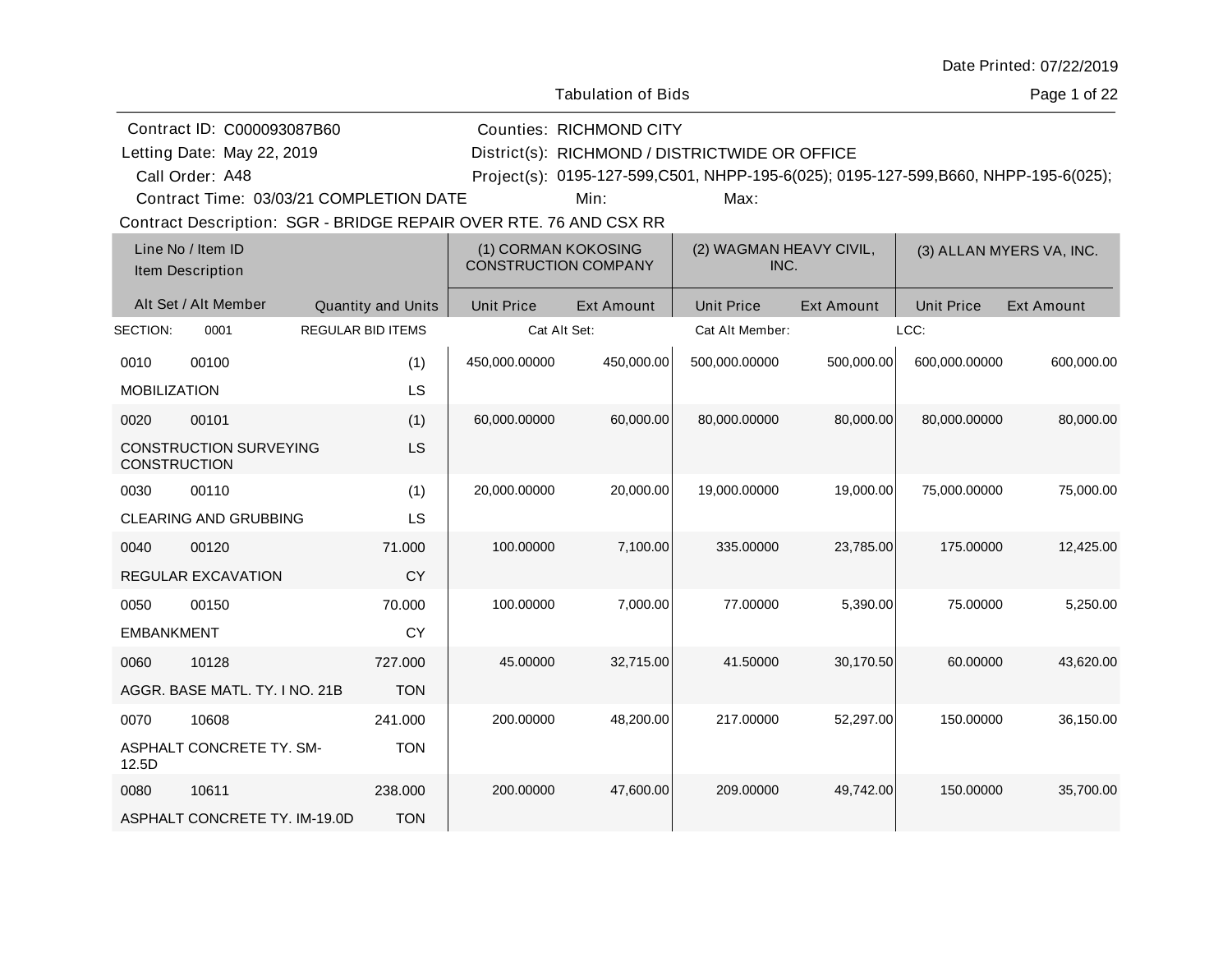| Date Printed: 07/22/2019 |  |
|--------------------------|--|
|--------------------------|--|

Page 1 of 22

| Contract ID: C000093087B60 |                                                                   |                           |                   | <b>Counties: RICHMOND CITY</b>                                                      |                         |            |                   |                          |  |  |
|----------------------------|-------------------------------------------------------------------|---------------------------|-------------------|-------------------------------------------------------------------------------------|-------------------------|------------|-------------------|--------------------------|--|--|
| Letting Date: May 22, 2019 |                                                                   |                           |                   | District(s): RICHMOND / DISTRICTWIDE OR OFFICE                                      |                         |            |                   |                          |  |  |
| Call Order: A48            |                                                                   |                           |                   | Project(s): 0195-127-599,C501, NHPP-195-6(025); 0195-127-599,B660, NHPP-195-6(025); |                         |            |                   |                          |  |  |
|                            | Contract Time: 03/03/21 COMPLETION DATE                           |                           |                   | Min:                                                                                | Max:                    |            |                   |                          |  |  |
|                            | Contract Description: SGR - BRIDGE REPAIR OVER RTE. 76 AND CSX RR |                           |                   |                                                                                     |                         |            |                   |                          |  |  |
|                            | Line No / Item ID                                                 |                           |                   | (1) CORMAN KOKOSING                                                                 | (2) WAGMAN HEAVY CIVIL, |            |                   | (3) ALLAN MYERS VA, INC. |  |  |
|                            | Item Description                                                  |                           |                   | <b>CONSTRUCTION COMPANY</b>                                                         | INC.                    |            |                   |                          |  |  |
|                            | Alt Set / Alt Member                                              | <b>Quantity and Units</b> | <b>Unit Price</b> | Ext Amount                                                                          | <b>Unit Price</b>       | Ext Amount | <b>Unit Price</b> | <b>Ext Amount</b>        |  |  |
| SECTION:                   | 0001                                                              | <b>REGULAR BID ITEMS</b>  |                   | Cat Alt Set:                                                                        | Cat Alt Member:         |            | LCC:              |                          |  |  |
| 0010                       | 00100                                                             | (1)                       | 450,000.00000     | 450,000.00                                                                          | 500,000.00000           | 500,000.00 | 600,000.00000     | 600,000.00               |  |  |
| <b>MOBILIZATION</b>        |                                                                   | LS                        |                   |                                                                                     |                         |            |                   |                          |  |  |
| 0020                       | 00101                                                             | (1)                       | 60,000.00000      | 60,000.00                                                                           | 80,000.00000            | 80,000.00  | 80,000.00000      | 80,000.00                |  |  |
| <b>CONSTRUCTION</b>        | <b>CONSTRUCTION SURVEYING</b>                                     | LS                        |                   |                                                                                     |                         |            |                   |                          |  |  |
| 0030                       | 00110                                                             | (1)                       | 20,000.00000      | 20,000.00                                                                           | 19,000.00000            | 19,000.00  | 75,000.00000      | 75,000.00                |  |  |
|                            | <b>CLEARING AND GRUBBING</b>                                      | LS                        |                   |                                                                                     |                         |            |                   |                          |  |  |
| 0040                       | 00120                                                             | 71.000                    | 100.00000         | 7,100.00                                                                            | 335.00000               | 23,785.00  | 175.00000         | 12,425.00                |  |  |
|                            | <b>REGULAR EXCAVATION</b>                                         | <b>CY</b>                 |                   |                                                                                     |                         |            |                   |                          |  |  |
| 0050                       | 00150                                                             | 70.000                    | 100.00000         | 7,000.00                                                                            | 77.00000                | 5,390.00   | 75.00000          | 5,250.00                 |  |  |
| <b>EMBANKMENT</b>          |                                                                   | <b>CY</b>                 |                   |                                                                                     |                         |            |                   |                          |  |  |
| 0060                       | 10128                                                             | 727.000                   | 45.00000          | 32,715.00                                                                           | 41.50000                | 30,170.50  | 60.00000          | 43,620.00                |  |  |
|                            | AGGR. BASE MATL. TY. I NO. 21B                                    | <b>TON</b>                |                   |                                                                                     |                         |            |                   |                          |  |  |
| 0070                       | 10608                                                             | 241.000                   | 200.00000         | 48,200.00                                                                           | 217.00000               | 52,297.00  | 150.00000         | 36,150.00                |  |  |
| 12.5D                      | ASPHALT CONCRETE TY. SM-                                          | <b>TON</b>                |                   |                                                                                     |                         |            |                   |                          |  |  |
| 0080                       | 10611                                                             | 238,000                   | 200.00000         | 47,600.00                                                                           | 209.00000               | 49,742.00  | 150.00000         | 35,700.00                |  |  |
|                            | ASPHALT CONCRETE TY. IM-19.0D                                     | <b>TON</b>                |                   |                                                                                     |                         |            |                   |                          |  |  |
|                            |                                                                   |                           |                   |                                                                                     |                         |            |                   |                          |  |  |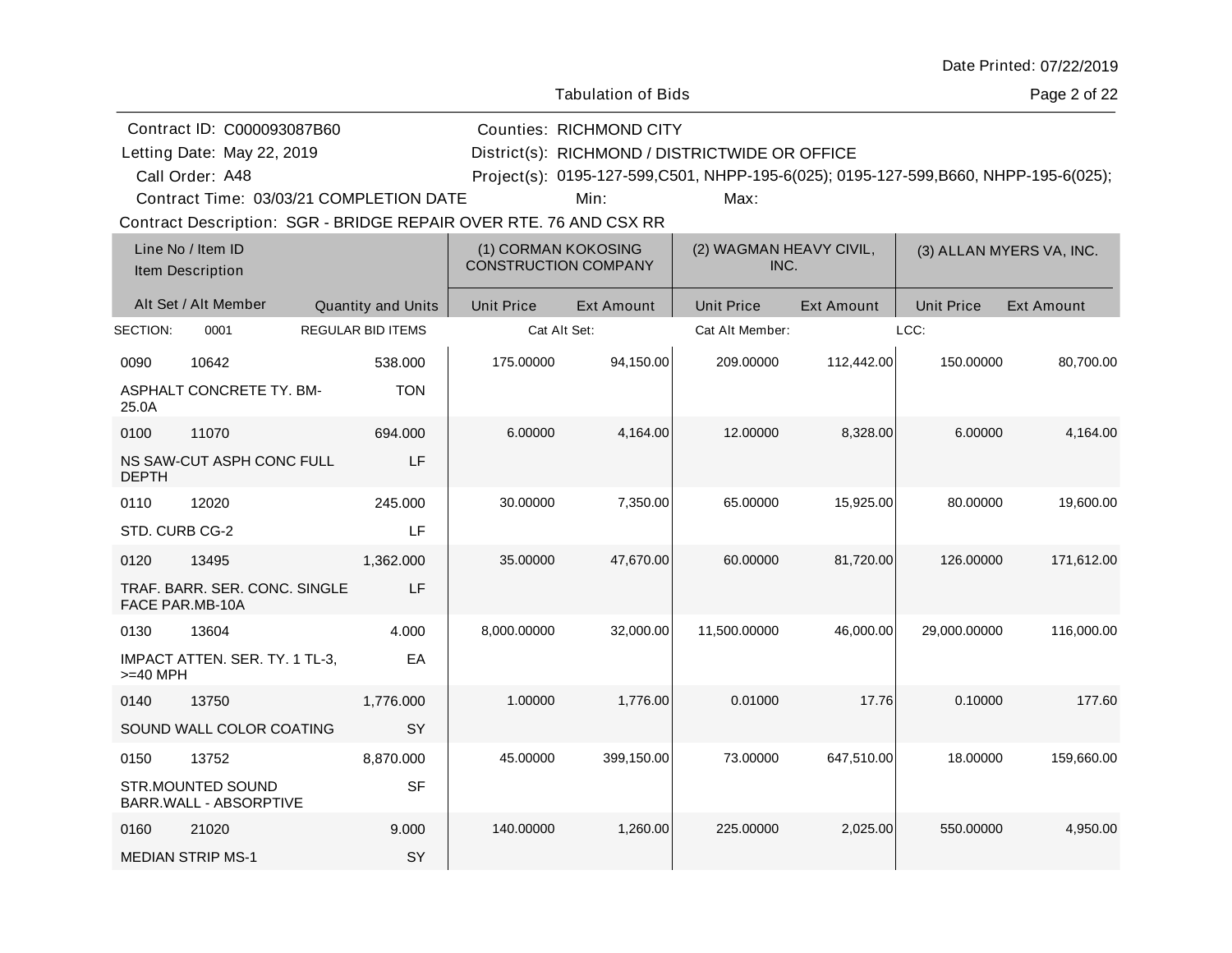| Date Printed: 07/22/2019 |  |
|--------------------------|--|
|--------------------------|--|

Page 2 of 22

Contract ID: C000093087B60 Letting Date: May 22, 2019

Letting Date: RICHMOND / DISTRICTWIDE OR OFFICE District(s):

Counties: RICHMOND CITY

Call Order: A48

A48 Project(s): 0195-127-599,C501, NHPP-195-6(025); 0195-127-599,B660, NHPP-195-6(025);

Contract Time: 03/03/21 COMPLETION DATE

Min: Max:

|                | Line No / Item ID<br>Item Description            |                           | (1) CORMAN KOKOSING<br><b>CONSTRUCTION COMPANY</b> |                   | (2) WAGMAN HEAVY CIVIL,<br>INC. |                   | (3) ALLAN MYERS VA, INC. |                   |
|----------------|--------------------------------------------------|---------------------------|----------------------------------------------------|-------------------|---------------------------------|-------------------|--------------------------|-------------------|
|                | Alt Set / Alt Member                             | <b>Quantity and Units</b> | <b>Unit Price</b>                                  | <b>Ext Amount</b> | <b>Unit Price</b>               | <b>Ext Amount</b> | <b>Unit Price</b>        | <b>Ext Amount</b> |
| SECTION:       | 0001                                             | <b>REGULAR BID ITEMS</b>  | Cat Alt Set:                                       |                   | Cat Alt Member:                 |                   | LCC:                     |                   |
| 0090           | 10642                                            | 538.000                   | 175.00000                                          | 94,150.00         | 209.00000                       | 112,442.00        | 150.00000                | 80,700.00         |
| 25.0A          | <b>ASPHALT CONCRETE TY. BM-</b>                  | <b>TON</b>                |                                                    |                   |                                 |                   |                          |                   |
| 0100           | 11070                                            | 694.000                   | 6.00000                                            | 4,164.00          | 12.00000                        | 8,328.00          | 6.00000                  | 4,164.00          |
| <b>DEPTH</b>   | NS SAW-CUT ASPH CONC FULL                        | LF                        |                                                    |                   |                                 |                   |                          |                   |
| 0110           | 12020                                            | 245.000                   | 30.00000                                           | 7,350.00          | 65.00000                        | 15,925.00         | 80.00000                 | 19,600.00         |
| STD. CURB CG-2 |                                                  | LF                        |                                                    |                   |                                 |                   |                          |                   |
| 0120           | 13495                                            | 1,362.000                 | 35.00000                                           | 47,670.00         | 60.00000                        | 81,720.00         | 126.00000                | 171,612.00        |
|                | TRAF. BARR. SER. CONC. SINGLE<br>FACE PAR.MB-10A | LF                        |                                                    |                   |                                 |                   |                          |                   |
| 0130           | 13604                                            | 4.000                     | 8,000.00000                                        | 32,000.00         | 11,500.00000                    | 46,000.00         | 29,000.00000             | 116,000.00        |
| $>=$ 40 MPH    | IMPACT ATTEN. SER. TY. 1 TL-3,                   | EA                        |                                                    |                   |                                 |                   |                          |                   |
| 0140           | 13750                                            | 1,776.000                 | 1.00000                                            | 1,776.00          | 0.01000                         | 17.76             | 0.10000                  | 177.60            |
|                | SOUND WALL COLOR COATING                         | SY                        |                                                    |                   |                                 |                   |                          |                   |
| 0150           | 13752                                            | 8,870.000                 | 45.00000                                           | 399,150.00        | 73.00000                        | 647,510.00        | 18.00000                 | 159,660.00        |
|                | STR.MOUNTED SOUND<br>BARR.WALL - ABSORPTIVE      | <b>SF</b>                 |                                                    |                   |                                 |                   |                          |                   |
| 0160           | 21020                                            | 9.000                     | 140.00000                                          | 1,260.00          | 225.00000                       | 2,025.00          | 550.00000                | 4,950.00          |
|                | <b>MEDIAN STRIP MS-1</b>                         | SY                        |                                                    |                   |                                 |                   |                          |                   |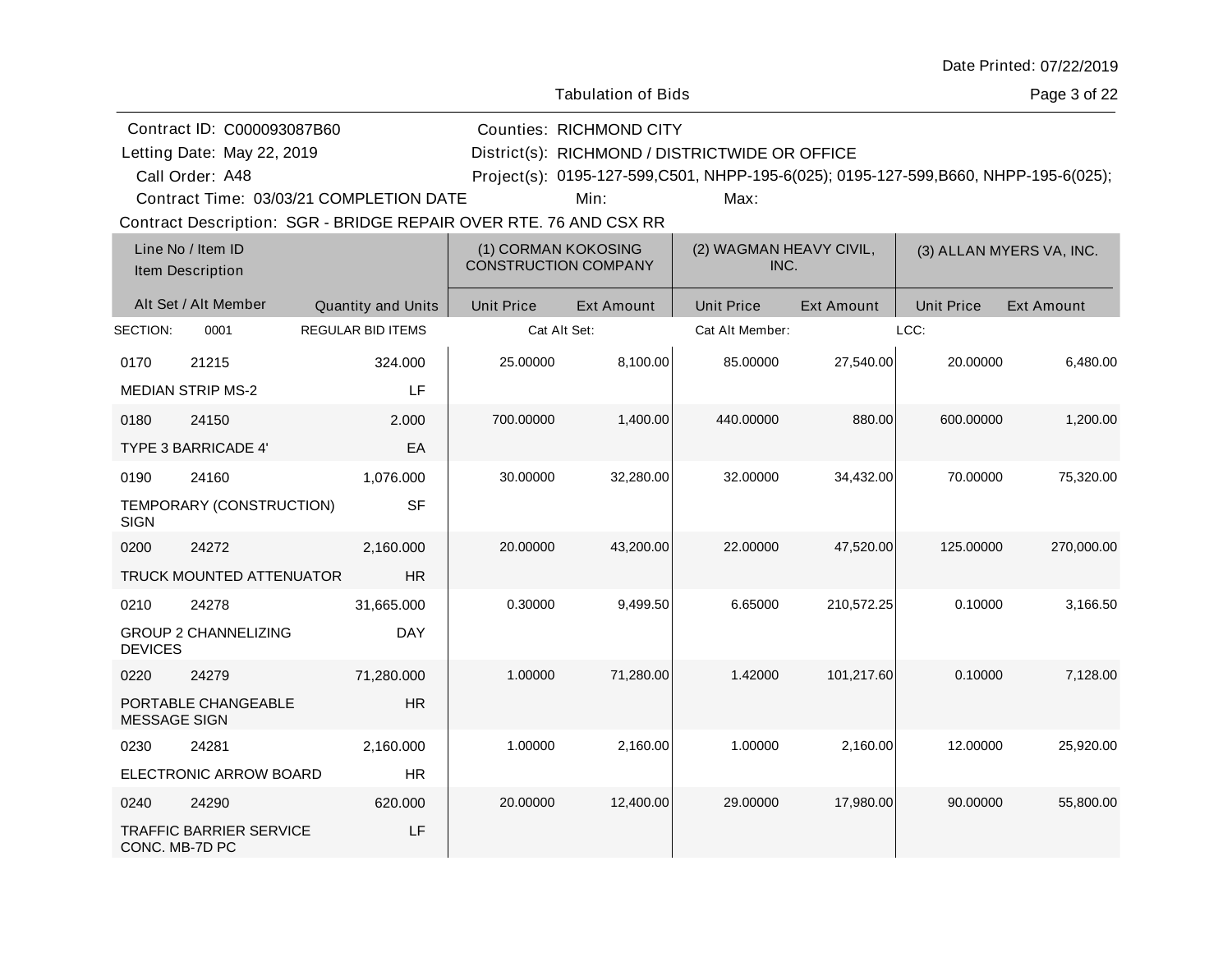| Date Printed: 07/22/2019 |  |
|--------------------------|--|
|--------------------------|--|

Page 3 of 22

| Contract ID: C000093087B60 | Counties: RICHMOND CITY     |
|----------------------------|-----------------------------|
| Letting Date: May 22, 2019 | District(s): RICHMOND / DIS |

Letting Date: RICHMOND / DISTRICTWIDE OR OFFICE District(s):

A48 Project(s): 0195-127-599,C501, NHPP-195-6(025); 0195-127-599,B660, NHPP-195-6(025);

Contract Time: 03/03/21 COMPLETION DATE

Call Order: A48

Min: Max:

|                     | Line No / Item ID<br>Item Description |                           | (1) CORMAN KOKOSING<br><b>CONSTRUCTION COMPANY</b> |                   | (2) WAGMAN HEAVY CIVIL,<br>INC. |                   | (3) ALLAN MYERS VA, INC. |                   |
|---------------------|---------------------------------------|---------------------------|----------------------------------------------------|-------------------|---------------------------------|-------------------|--------------------------|-------------------|
|                     | Alt Set / Alt Member                  | <b>Quantity and Units</b> | <b>Unit Price</b>                                  | <b>Ext Amount</b> | <b>Unit Price</b>               | <b>Ext Amount</b> | <b>Unit Price</b>        | <b>Ext Amount</b> |
| SECTION:            | 0001                                  | <b>REGULAR BID ITEMS</b>  | Cat Alt Set:                                       |                   | Cat Alt Member:                 |                   | LCC:                     |                   |
| 0170                | 21215                                 | 324.000                   | 25.00000                                           | 8,100.00          | 85.00000                        | 27,540.00         | 20.00000                 | 6,480.00          |
|                     | <b>MEDIAN STRIP MS-2</b>              | LF                        |                                                    |                   |                                 |                   |                          |                   |
| 0180                | 24150                                 | 2.000                     | 700.00000                                          | 1,400.00          | 440.00000                       | 880.00            | 600.00000                | 1,200.00          |
|                     | <b>TYPE 3 BARRICADE 4'</b>            | EA                        |                                                    |                   |                                 |                   |                          |                   |
| 0190                | 24160                                 | 1,076.000                 | 30.00000                                           | 32,280.00         | 32.00000                        | 34,432.00         | 70.00000                 | 75,320.00         |
| <b>SIGN</b>         | TEMPORARY (CONSTRUCTION)              | <b>SF</b>                 |                                                    |                   |                                 |                   |                          |                   |
| 0200                | 24272                                 | 2,160.000                 | 20.00000                                           | 43,200.00         | 22.00000                        | 47,520.00         | 125.00000                | 270,000.00        |
|                     | TRUCK MOUNTED ATTENUATOR              | <b>HR</b>                 |                                                    |                   |                                 |                   |                          |                   |
| 0210                | 24278                                 | 31,665.000                | 0.30000                                            | 9,499.50          | 6.65000                         | 210,572.25        | 0.10000                  | 3,166.50          |
| <b>DEVICES</b>      | <b>GROUP 2 CHANNELIZING</b>           | <b>DAY</b>                |                                                    |                   |                                 |                   |                          |                   |
| 0220                | 24279                                 | 71,280.000                | 1.00000                                            | 71,280.00         | 1.42000                         | 101,217.60        | 0.10000                  | 7,128.00          |
| <b>MESSAGE SIGN</b> | PORTABLE CHANGEABLE                   | <b>HR</b>                 |                                                    |                   |                                 |                   |                          |                   |
| 0230                | 24281                                 | 2,160.000                 | 1.00000                                            | 2,160.00          | 1.00000                         | 2,160.00          | 12.00000                 | 25,920.00         |
|                     | ELECTRONIC ARROW BOARD                | <b>HR</b>                 |                                                    |                   |                                 |                   |                          |                   |
| 0240                | 24290                                 | 620.000                   | 20.00000                                           | 12,400.00         | 29.00000                        | 17,980.00         | 90.00000                 | 55,800.00         |
| CONC. MB-7D PC      | <b>TRAFFIC BARRIER SERVICE</b>        | LF                        |                                                    |                   |                                 |                   |                          |                   |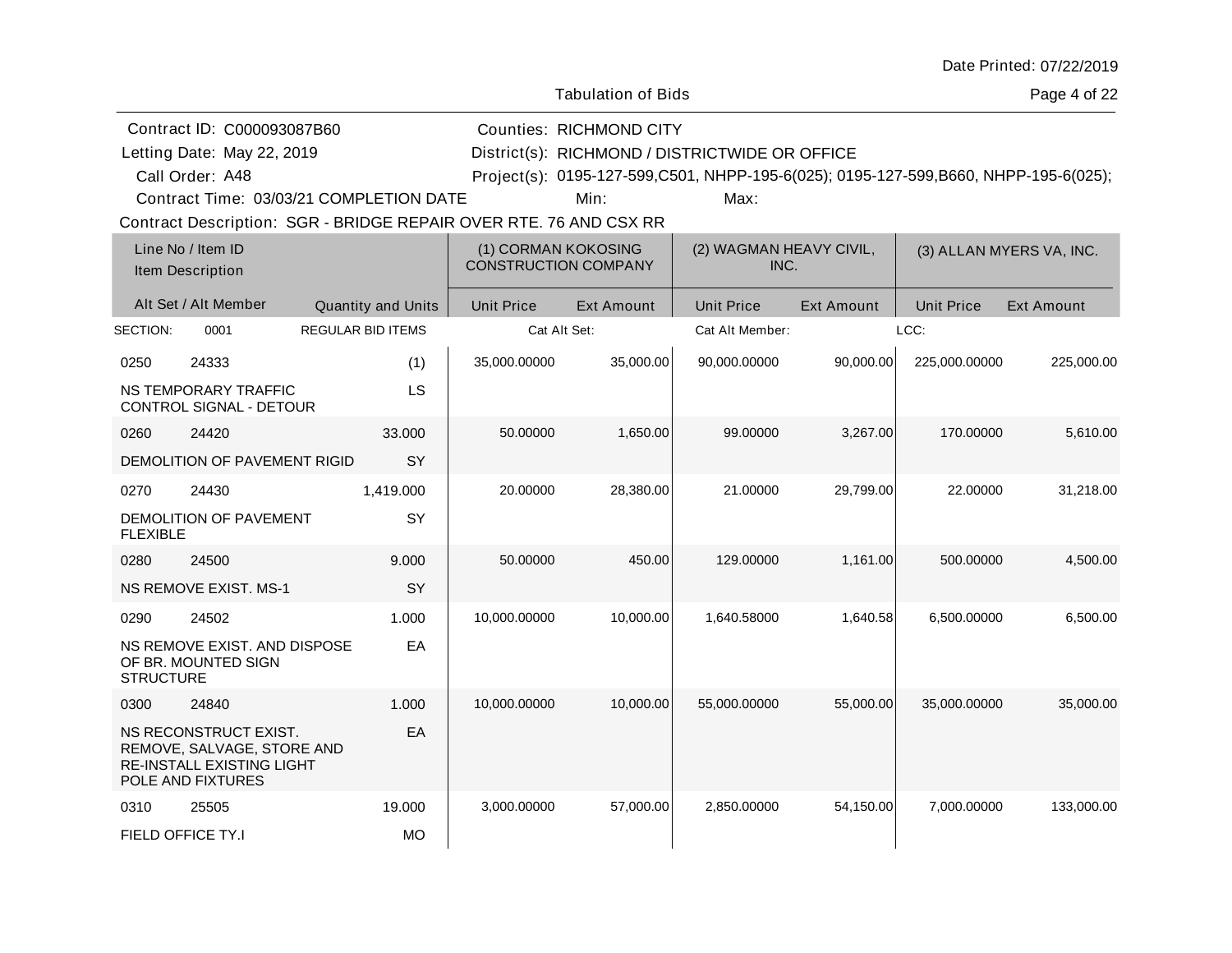| Date Printed: 07/22/2019 |  |
|--------------------------|--|
|--------------------------|--|

Page 4 of 22

| Contract ID: C000093087B60                                                                                   |                   |                           |                   | <b>Counties: RICHMOND CITY</b>                     |                                                                                     |                                 |                   |                          |  |
|--------------------------------------------------------------------------------------------------------------|-------------------|---------------------------|-------------------|----------------------------------------------------|-------------------------------------------------------------------------------------|---------------------------------|-------------------|--------------------------|--|
| Letting Date: May 22, 2019                                                                                   |                   |                           |                   | District(s): RICHMOND / DISTRICTWIDE OR OFFICE     |                                                                                     |                                 |                   |                          |  |
| Call Order: A48                                                                                              |                   |                           |                   |                                                    | Project(s): 0195-127-599,C501, NHPP-195-6(025); 0195-127-599,B660, NHPP-195-6(025); |                                 |                   |                          |  |
| Contract Time: 03/03/21 COMPLETION DATE                                                                      |                   |                           |                   | Min:                                               | Max:                                                                                |                                 |                   |                          |  |
| Contract Description: SGR - BRIDGE REPAIR OVER RTE. 76 AND CSX RR                                            |                   |                           |                   |                                                    |                                                                                     |                                 |                   |                          |  |
| Line No / Item ID<br>Item Description                                                                        |                   |                           |                   | (1) CORMAN KOKOSING<br><b>CONSTRUCTION COMPANY</b> |                                                                                     | (2) WAGMAN HEAVY CIVIL,<br>INC. |                   | (3) ALLAN MYERS VA, INC. |  |
| Alt Set / Alt Member                                                                                         |                   | <b>Quantity and Units</b> | <b>Unit Price</b> | <b>Ext Amount</b>                                  | <b>Unit Price</b>                                                                   | <b>Ext Amount</b>               | <b>Unit Price</b> | Ext Amount               |  |
| SECTION:<br>0001                                                                                             | REGULAR BID ITEMS |                           |                   | Cat Alt Set:                                       | Cat Alt Member:                                                                     |                                 | LCC:              |                          |  |
| 0250<br>24333                                                                                                |                   | (1)                       | 35,000.00000      | 35,000.00                                          | 90,000.00000                                                                        | 90,000.00                       | 225,000.00000     | 225,000.00               |  |
| NS TEMPORARY TRAFFIC<br>CONTROL SIGNAL - DETOUR                                                              |                   | LS                        |                   |                                                    |                                                                                     |                                 |                   |                          |  |
| 24420<br>0260                                                                                                |                   | 33,000                    | 50.00000          | 1,650.00                                           | 99.00000                                                                            | 3,267.00                        | 170.00000         | 5,610.00                 |  |
| DEMOLITION OF PAVEMENT RIGID                                                                                 |                   | <b>SY</b>                 |                   |                                                    |                                                                                     |                                 |                   |                          |  |
| 24430<br>0270                                                                                                |                   | 1,419.000                 | 20.00000          | 28,380.00                                          | 21.00000                                                                            | 29,799.00                       | 22.00000          | 31,218.00                |  |
| DEMOLITION OF PAVEMENT<br><b>FLEXIBLE</b>                                                                    |                   | SY                        |                   |                                                    |                                                                                     |                                 |                   |                          |  |
| 0280<br>24500                                                                                                |                   | 9.000                     | 50.00000          | 450.00                                             | 129.00000                                                                           | 1,161.00                        | 500.00000         | 4,500.00                 |  |
| <b>NS REMOVE EXIST. MS-1</b>                                                                                 |                   | SY                        |                   |                                                    |                                                                                     |                                 |                   |                          |  |
| 24502<br>0290                                                                                                |                   | 1.000                     | 10,000.00000      | 10,000.00                                          | 1,640.58000                                                                         | 1,640.58                        | 6,500.00000       | 6,500.00                 |  |
| NS REMOVE EXIST. AND DISPOSE<br>OF BR. MOUNTED SIGN<br><b>STRUCTURE</b>                                      |                   | EA                        |                   |                                                    |                                                                                     |                                 |                   |                          |  |
| 0300<br>24840                                                                                                |                   | 1.000                     | 10,000.00000      | 10,000.00                                          | 55,000.00000                                                                        | 55,000.00                       | 35,000.00000      | 35,000.00                |  |
| NS RECONSTRUCT EXIST.<br>REMOVE, SALVAGE, STORE AND<br><b>RE-INSTALL EXISTING LIGHT</b><br>POLE AND FIXTURES |                   | EA                        |                   |                                                    |                                                                                     |                                 |                   |                          |  |
| 25505<br>0310                                                                                                |                   | 19.000                    | 3,000.00000       | 57,000.00                                          | 2,850.00000                                                                         | 54,150.00                       | 7,000.00000       | 133,000.00               |  |
| FIELD OFFICE TY.I                                                                                            |                   | <b>MO</b>                 |                   |                                                    |                                                                                     |                                 |                   |                          |  |
|                                                                                                              |                   |                           |                   |                                                    |                                                                                     |                                 |                   |                          |  |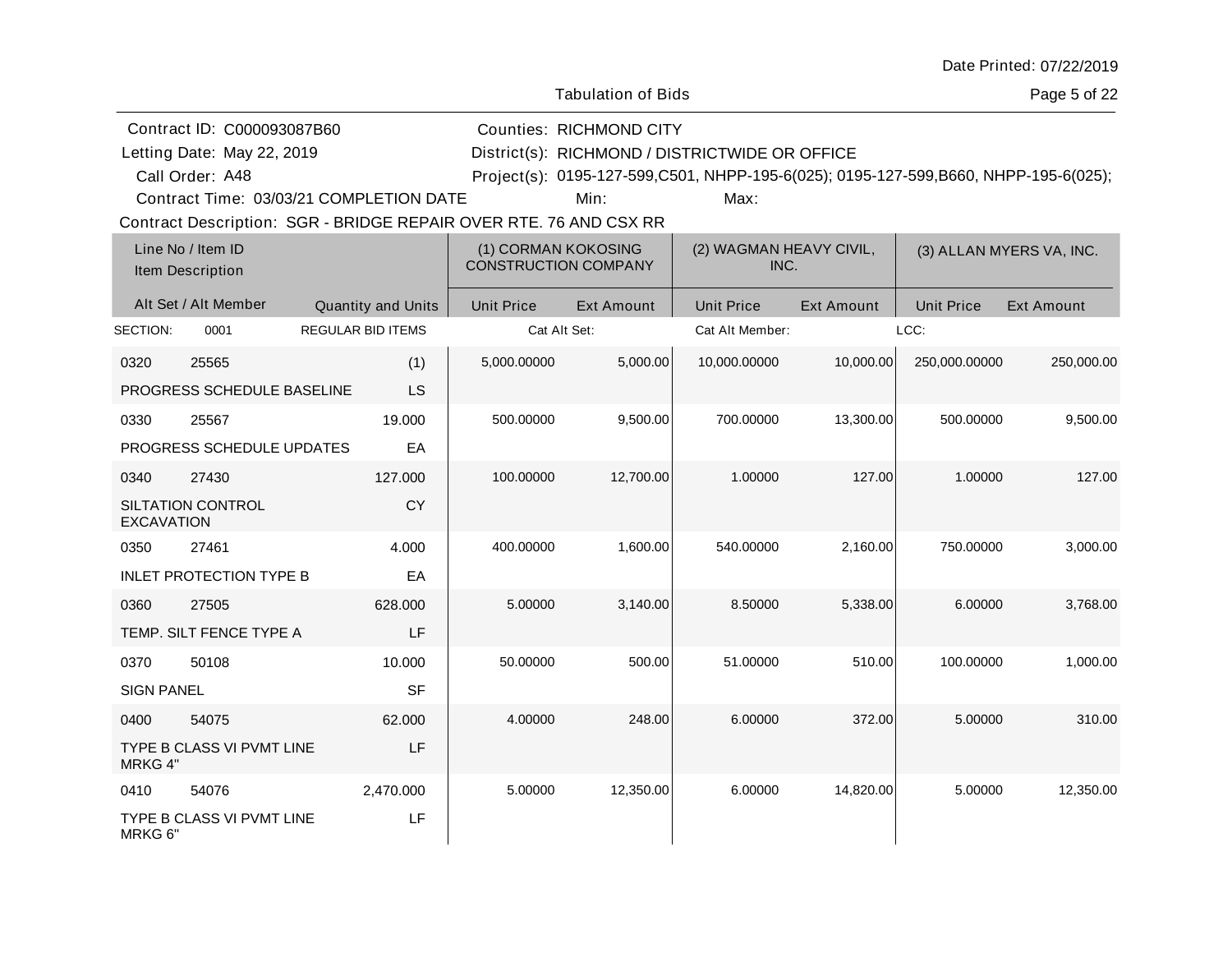| Date Printed: 07/22/2019 |  |
|--------------------------|--|
|--------------------------|--|

Page 5 of 22

|                                         | Contract ID: C000093087B60                                        |                   |                    |                   | <b>Counties: RICHMOND CITY</b>                 |                                                                                     |            |                   |                          |  |
|-----------------------------------------|-------------------------------------------------------------------|-------------------|--------------------|-------------------|------------------------------------------------|-------------------------------------------------------------------------------------|------------|-------------------|--------------------------|--|
| Letting Date: May 22, 2019              |                                                                   |                   |                    |                   | District(s): RICHMOND / DISTRICTWIDE OR OFFICE |                                                                                     |            |                   |                          |  |
|                                         | Call Order: A48                                                   |                   |                    |                   |                                                | Project(s): 0195-127-599,C501, NHPP-195-6(025); 0195-127-599,B660, NHPP-195-6(025); |            |                   |                          |  |
| Contract Time: 03/03/21 COMPLETION DATE |                                                                   |                   |                    | Min:              | Max:                                           |                                                                                     |            |                   |                          |  |
|                                         | Contract Description: SGR - BRIDGE REPAIR OVER RTE. 76 AND CSX RR |                   |                    |                   |                                                |                                                                                     |            |                   |                          |  |
|                                         | Line No / Item ID                                                 |                   |                    |                   | (1) CORMAN KOKOSING                            | (2) WAGMAN HEAVY CIVIL,                                                             |            |                   | (3) ALLAN MYERS VA, INC. |  |
|                                         | Item Description                                                  |                   |                    |                   | <b>CONSTRUCTION COMPANY</b>                    | INC.                                                                                |            |                   |                          |  |
|                                         | Alt Set / Alt Member                                              |                   | Quantity and Units | <b>Unit Price</b> | <b>Ext Amount</b>                              | <b>Unit Price</b>                                                                   | Ext Amount | <b>Unit Price</b> | <b>Ext Amount</b>        |  |
| SECTION:                                | 0001                                                              | REGULAR BID ITEMS |                    |                   | Cat Alt Set:                                   | Cat Alt Member:                                                                     |            | LCC:              |                          |  |
| 0320                                    | 25565                                                             |                   | (1)                | 5,000.00000       | 5,000.00                                       | 10,000.00000                                                                        | 10,000.00  | 250,000.00000     | 250,000.00               |  |
|                                         | PROGRESS SCHEDULE BASELINE                                        |                   | LS                 |                   |                                                |                                                                                     |            |                   |                          |  |
| 0330                                    | 25567                                                             |                   | 19.000             | 500.00000         | 9,500.00                                       | 700.00000                                                                           | 13,300.00  | 500.00000         | 9,500.00                 |  |
|                                         | PROGRESS SCHEDULE UPDATES                                         |                   | EA                 |                   |                                                |                                                                                     |            |                   |                          |  |
| 0340                                    | 27430                                                             |                   | 127.000            | 100.00000         | 12,700.00                                      | 1.00000                                                                             | 127.00     | 1.00000           | 127.00                   |  |
| <b>EXCAVATION</b>                       | SILTATION CONTROL                                                 |                   | <b>CY</b>          |                   |                                                |                                                                                     |            |                   |                          |  |
| 0350                                    | 27461                                                             |                   | 4.000              | 400.00000         | 1,600.00                                       | 540.00000                                                                           | 2,160.00   | 750.00000         | 3,000.00                 |  |
|                                         | <b>INLET PROTECTION TYPE B</b>                                    |                   | EA                 |                   |                                                |                                                                                     |            |                   |                          |  |
| 0360                                    | 27505                                                             |                   | 628,000            | 5.00000           | 3,140.00                                       | 8.50000                                                                             | 5,338.00   | 6.00000           | 3,768.00                 |  |
|                                         | TEMP. SILT FENCE TYPE A                                           |                   | LF                 |                   |                                                |                                                                                     |            |                   |                          |  |
| 0370                                    | 50108                                                             |                   | 10.000             | 50.00000          | 500.00                                         | 51.00000                                                                            | 510.00     | 100.00000         | 1,000.00                 |  |
| <b>SIGN PANEL</b>                       |                                                                   |                   | SF                 |                   |                                                |                                                                                     |            |                   |                          |  |
| 0400                                    | 54075                                                             |                   | 62.000             | 4.00000           | 248.00                                         | 6.00000                                                                             | 372.00     | 5.00000           | 310.00                   |  |
| MRKG 4"                                 | TYPE B CLASS VI PVMT LINE                                         |                   | LF                 |                   |                                                |                                                                                     |            |                   |                          |  |
| 0410                                    | 54076                                                             |                   | 2,470.000          | 5.00000           | 12,350.00                                      | 6.00000                                                                             | 14,820.00  | 5.00000           | 12,350.00                |  |
| MRKG 6"                                 | TYPE B CLASS VI PVMT LINE                                         |                   | LF                 |                   |                                                |                                                                                     |            |                   |                          |  |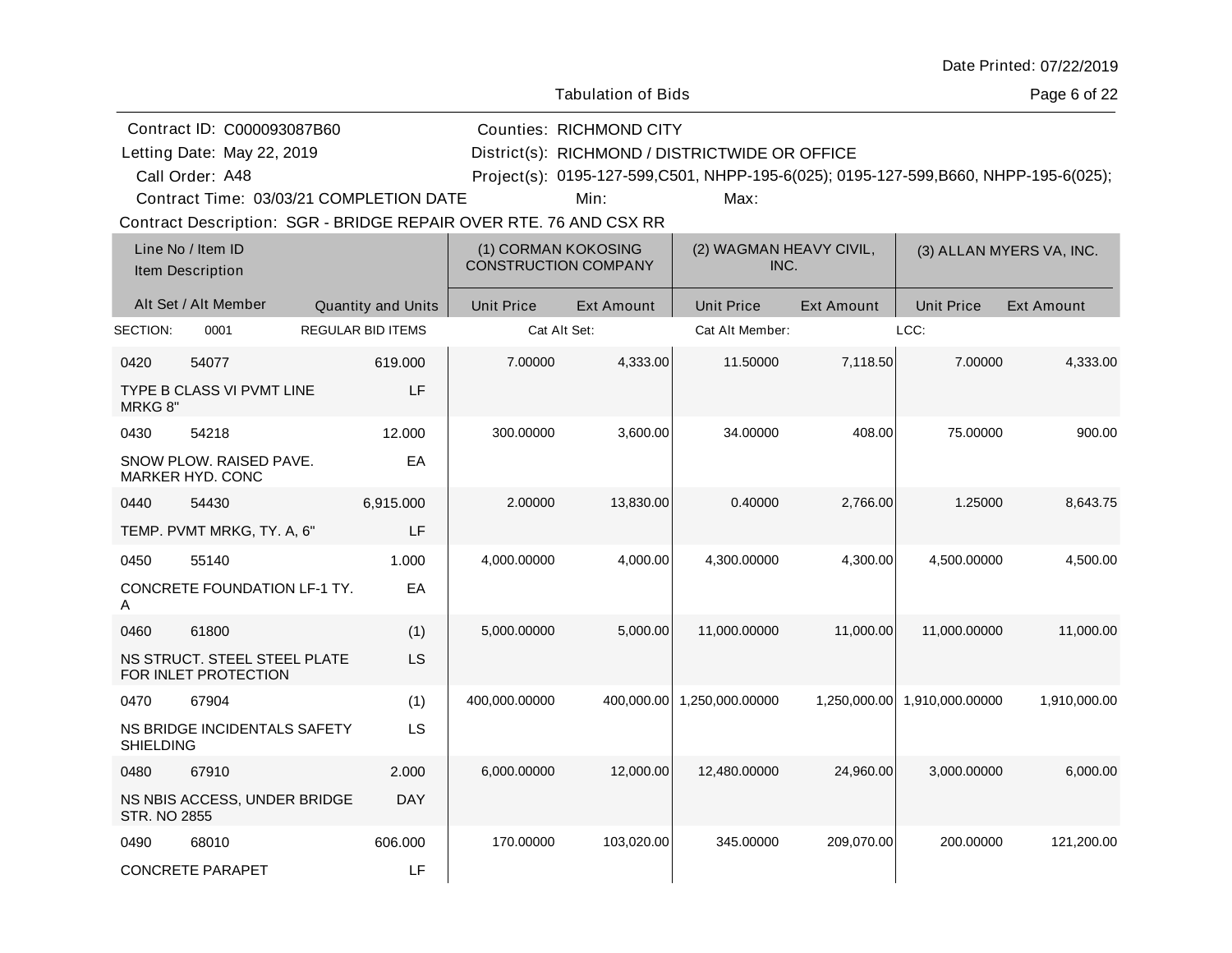| Date Printed: 07/22/2019 |  |
|--------------------------|--|
|--------------------------|--|

Page 6 of 22

|                     | Contract ID: C000093087B60                                        |                           |                                                    | <b>Counties: RICHMOND CITY</b> |                                                                                     |                   |                              |                          |
|---------------------|-------------------------------------------------------------------|---------------------------|----------------------------------------------------|--------------------------------|-------------------------------------------------------------------------------------|-------------------|------------------------------|--------------------------|
|                     | Letting Date: May 22, 2019                                        |                           |                                                    |                                | District(s): RICHMOND / DISTRICTWIDE OR OFFICE                                      |                   |                              |                          |
|                     | Call Order: A48                                                   |                           |                                                    |                                | Project(s): 0195-127-599,C501, NHPP-195-6(025); 0195-127-599,B660, NHPP-195-6(025); |                   |                              |                          |
|                     | Contract Time: 03/03/21 COMPLETION DATE                           |                           |                                                    | Min:                           | Max:                                                                                |                   |                              |                          |
|                     | Contract Description: SGR - BRIDGE REPAIR OVER RTE. 76 AND CSX RR |                           |                                                    |                                |                                                                                     |                   |                              |                          |
|                     | Line No / Item ID<br>Item Description                             |                           | (1) CORMAN KOKOSING<br><b>CONSTRUCTION COMPANY</b> |                                | (2) WAGMAN HEAVY CIVIL,<br>INC.                                                     |                   |                              | (3) ALLAN MYERS VA, INC. |
|                     | Alt Set / Alt Member                                              | <b>Quantity and Units</b> | <b>Unit Price</b>                                  | <b>Ext Amount</b>              | <b>Unit Price</b>                                                                   | <b>Ext Amount</b> | <b>Unit Price</b>            | <b>Ext Amount</b>        |
| SECTION:            | 0001                                                              | <b>REGULAR BID ITEMS</b>  |                                                    | Cat Alt Set:                   | Cat Alt Member:                                                                     |                   | LCC:                         |                          |
| 0420                | 54077                                                             | 619.000                   | 7.00000                                            | 4,333.00                       | 11.50000                                                                            | 7,118.50          | 7.00000                      | 4,333.00                 |
| MRKG 8"             | TYPE B CLASS VI PVMT LINE                                         | LF                        |                                                    |                                |                                                                                     |                   |                              |                          |
| 0430                | 54218                                                             | 12.000                    | 300.00000                                          | 3,600.00                       | 34.00000                                                                            | 408.00            | 75.00000                     | 900.00                   |
|                     | SNOW PLOW. RAISED PAVE.<br><b>MARKER HYD, CONC</b>                | EA                        |                                                    |                                |                                                                                     |                   |                              |                          |
| 0440                | 54430                                                             | 6,915.000                 | 2.00000                                            | 13,830.00                      | 0.40000                                                                             | 2,766.00          | 1.25000                      | 8,643.75                 |
|                     | TEMP. PVMT MRKG, TY. A, 6"                                        | LF                        |                                                    |                                |                                                                                     |                   |                              |                          |
| 0450                | 55140                                                             | 1.000                     | 4,000.00000                                        | 4,000.00                       | 4,300.00000                                                                         | 4,300.00          | 4,500.00000                  | 4,500.00                 |
| Α                   | CONCRETE FOUNDATION LF-1 TY.                                      | EA                        |                                                    |                                |                                                                                     |                   |                              |                          |
| 0460                | 61800                                                             | (1)                       | 5,000.00000                                        | 5,000.00                       | 11,000.00000                                                                        | 11,000.00         | 11,000.00000                 | 11,000.00                |
|                     | NS STRUCT. STEEL STEEL PLATE<br>FOR INLET PROTECTION              | LS                        |                                                    |                                |                                                                                     |                   |                              |                          |
| 0470                | 67904                                                             | (1)                       | 400,000.00000                                      | 400,000.00                     | 1,250,000.00000                                                                     |                   | 1,250,000.00 1,910,000.00000 | 1,910,000.00             |
| <b>SHIELDING</b>    | NS BRIDGE INCIDENTALS SAFETY                                      | LS                        |                                                    |                                |                                                                                     |                   |                              |                          |
| 0480                | 67910                                                             | 2.000                     | 6,000.00000                                        | 12,000.00                      | 12,480.00000                                                                        | 24,960.00         | 3.000.00000                  | 6,000.00                 |
| <b>STR. NO 2855</b> | NS NBIS ACCESS, UNDER BRIDGE                                      | DAY                       |                                                    |                                |                                                                                     |                   |                              |                          |
| 0490                | 68010                                                             | 606.000                   | 170.00000                                          | 103,020.00                     | 345.00000                                                                           | 209,070.00        | 200.00000                    | 121,200.00               |
|                     | <b>CONCRETE PARAPET</b>                                           | LF                        |                                                    |                                |                                                                                     |                   |                              |                          |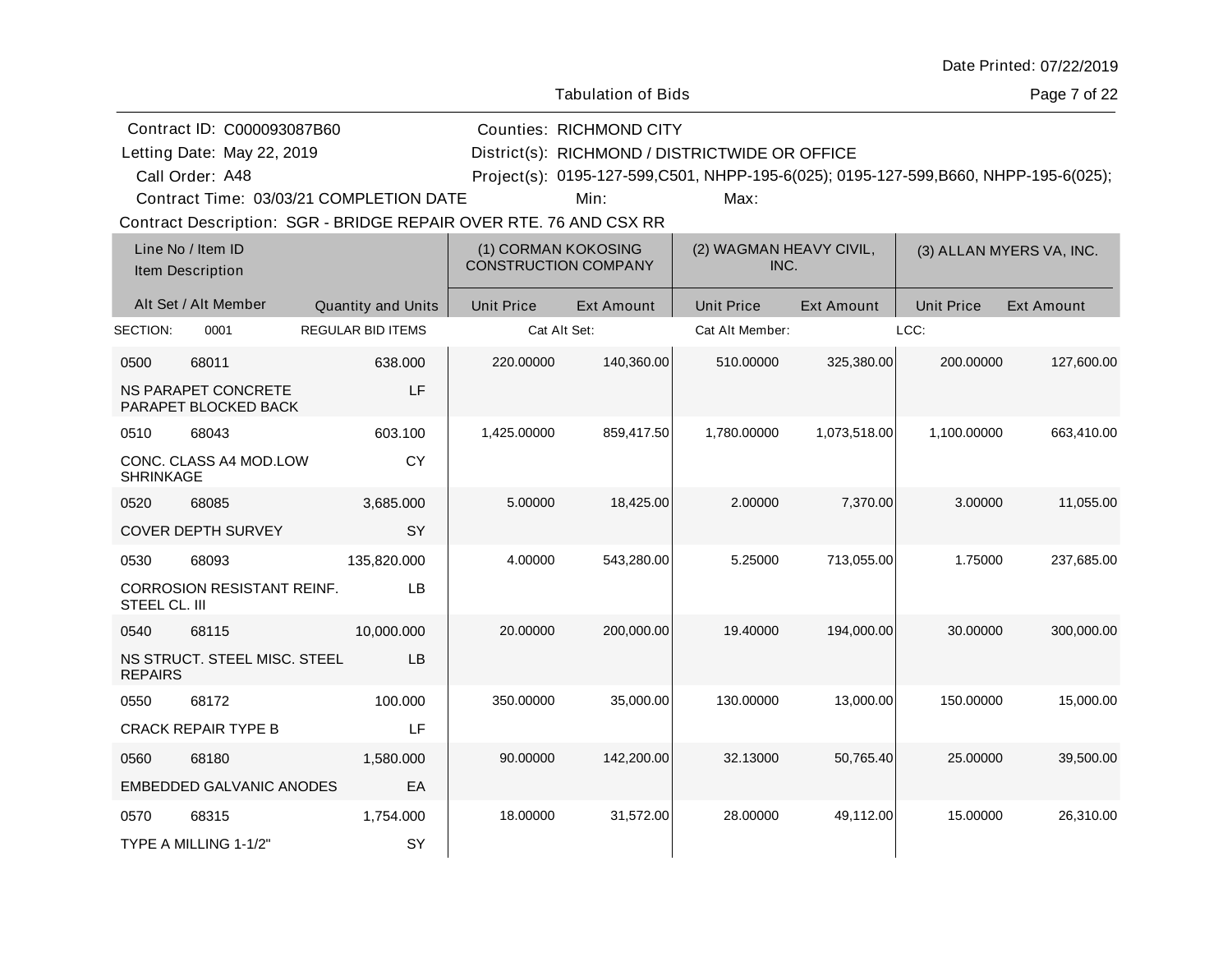| Date Printed: 07/22/2019 |  |
|--------------------------|--|
|--------------------------|--|

Page 7 of 22

|                  | Contract ID: C000093087B60                                        |                           |                                                    | <b>Counties: RICHMOND CITY</b> |                                                                                     |                   |                   |                          |
|------------------|-------------------------------------------------------------------|---------------------------|----------------------------------------------------|--------------------------------|-------------------------------------------------------------------------------------|-------------------|-------------------|--------------------------|
|                  | Letting Date: May 22, 2019                                        |                           |                                                    |                                | District(s): RICHMOND / DISTRICTWIDE OR OFFICE                                      |                   |                   |                          |
|                  | Call Order: A48                                                   |                           |                                                    |                                | Project(s): 0195-127-599,C501, NHPP-195-6(025); 0195-127-599,B660, NHPP-195-6(025); |                   |                   |                          |
|                  | Contract Time: 03/03/21 COMPLETION DATE                           |                           |                                                    | Min:                           | Max:                                                                                |                   |                   |                          |
|                  | Contract Description: SGR - BRIDGE REPAIR OVER RTE. 76 AND CSX RR |                           |                                                    |                                |                                                                                     |                   |                   |                          |
|                  | Line No / Item ID<br>Item Description                             |                           | (1) CORMAN KOKOSING<br><b>CONSTRUCTION COMPANY</b> |                                | (2) WAGMAN HEAVY CIVIL,<br>INC.                                                     |                   |                   | (3) ALLAN MYERS VA, INC. |
|                  | Alt Set / Alt Member                                              | <b>Quantity and Units</b> | <b>Unit Price</b>                                  | <b>Ext Amount</b>              | <b>Unit Price</b>                                                                   | <b>Ext Amount</b> | <b>Unit Price</b> | <b>Ext Amount</b>        |
| SECTION:         | 0001                                                              | <b>REGULAR BID ITEMS</b>  | Cat Alt Set:                                       |                                | Cat Alt Member:                                                                     |                   | LCC:              |                          |
| 0500             | 68011                                                             | 638.000                   | 220.00000                                          | 140,360.00                     | 510.00000                                                                           | 325,380.00        | 200.00000         | 127,600.00               |
|                  | <b>NS PARAPET CONCRETE</b><br>PARAPET BLOCKED BACK                | LF                        |                                                    |                                |                                                                                     |                   |                   |                          |
| 0510             | 68043                                                             | 603.100                   | 1,425.00000                                        | 859,417.50                     | 1,780.00000                                                                         | 1,073,518.00      | 1,100.00000       | 663,410.00               |
| <b>SHRINKAGE</b> | CONC. CLASS A4 MOD.LOW                                            | <b>CY</b>                 |                                                    |                                |                                                                                     |                   |                   |                          |
| 0520             | 68085                                                             | 3,685.000                 | 5.00000                                            | 18,425.00                      | 2.00000                                                                             | 7,370.00          | 3.00000           | 11,055.00                |
|                  | <b>COVER DEPTH SURVEY</b>                                         | SY                        |                                                    |                                |                                                                                     |                   |                   |                          |
| 0530             | 68093                                                             | 135,820.000               | 4.00000                                            | 543,280.00                     | 5.25000                                                                             | 713,055.00        | 1.75000           | 237,685.00               |
| STEEL CL. III    | <b>CORROSION RESISTANT REINF.</b>                                 | LB                        |                                                    |                                |                                                                                     |                   |                   |                          |
| 0540             | 68115                                                             | 10,000.000                | 20.00000                                           | 200,000.00                     | 19.40000                                                                            | 194,000.00        | 30.00000          | 300,000.00               |
| <b>REPAIRS</b>   | NS STRUCT. STEEL MISC. STEEL                                      | LB                        |                                                    |                                |                                                                                     |                   |                   |                          |
| 0550             | 68172                                                             | 100.000                   | 350.00000                                          | 35,000.00                      | 130.00000                                                                           | 13,000.00         | 150.00000         | 15,000.00                |
|                  | <b>CRACK REPAIR TYPE B</b>                                        | LF                        |                                                    |                                |                                                                                     |                   |                   |                          |
| 0560             | 68180                                                             | 1,580.000                 | 90.00000                                           | 142,200.00                     | 32.13000                                                                            | 50,765.40         | 25.00000          | 39,500.00                |
|                  | EMBEDDED GALVANIC ANODES                                          | EA                        |                                                    |                                |                                                                                     |                   |                   |                          |
| 0570             | 68315                                                             | 1,754.000                 | 18.00000                                           | 31,572.00                      | 28.00000                                                                            | 49,112.00         | 15.00000          | 26,310.00                |
|                  | TYPE A MILLING 1-1/2"                                             | SY                        |                                                    |                                |                                                                                     |                   |                   |                          |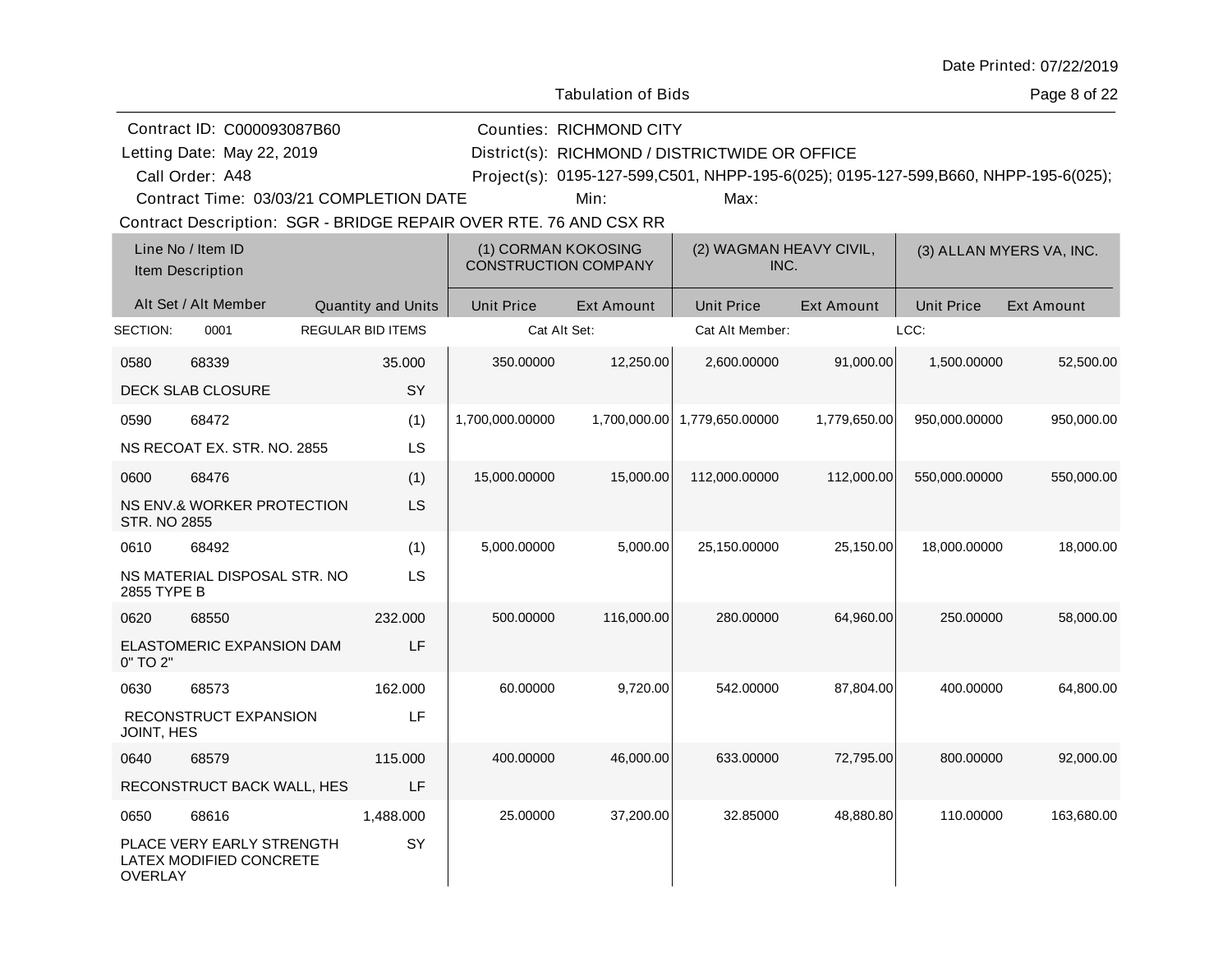| Date Printed: 07/22/2019 |  |
|--------------------------|--|
|--------------------------|--|

Page 8 of 22

|                            | Contract ID: C000093087B60                                        |                           |                   | <b>Counties: RICHMOND CITY</b>                     |                                                                                     |                   |                   |                          |  |  |
|----------------------------|-------------------------------------------------------------------|---------------------------|-------------------|----------------------------------------------------|-------------------------------------------------------------------------------------|-------------------|-------------------|--------------------------|--|--|
| Letting Date: May 22, 2019 |                                                                   |                           |                   | District(s): RICHMOND / DISTRICTWIDE OR OFFICE     |                                                                                     |                   |                   |                          |  |  |
|                            | Call Order: A48                                                   |                           |                   |                                                    | Project(s): 0195-127-599,C501, NHPP-195-6(025); 0195-127-599,B660, NHPP-195-6(025); |                   |                   |                          |  |  |
|                            | Contract Time: 03/03/21 COMPLETION DATE                           |                           |                   | Min:                                               | Max:                                                                                |                   |                   |                          |  |  |
|                            | Contract Description: SGR - BRIDGE REPAIR OVER RTE. 76 AND CSX RR |                           |                   |                                                    |                                                                                     |                   |                   |                          |  |  |
|                            | Line No / Item ID<br>Item Description                             |                           |                   | (1) CORMAN KOKOSING<br><b>CONSTRUCTION COMPANY</b> | (2) WAGMAN HEAVY CIVIL,<br>INC.                                                     |                   |                   | (3) ALLAN MYERS VA, INC. |  |  |
|                            | Alt Set / Alt Member                                              | <b>Quantity and Units</b> | <b>Unit Price</b> | <b>Ext Amount</b>                                  | <b>Unit Price</b>                                                                   | <b>Ext Amount</b> | <b>Unit Price</b> | <b>Ext Amount</b>        |  |  |
| SECTION:                   | 0001                                                              | <b>REGULAR BID ITEMS</b>  |                   | Cat Alt Set:                                       | Cat Alt Member:                                                                     |                   | LCC:              |                          |  |  |
| 0580                       | 68339                                                             | 35.000                    | 350.00000         | 12,250.00                                          | 2,600.00000                                                                         | 91,000.00         | 1,500.00000       | 52,500.00                |  |  |
|                            | DECK SLAB CLOSURE                                                 | SY                        |                   |                                                    |                                                                                     |                   |                   |                          |  |  |
| 0590                       | 68472                                                             | (1)                       | 1,700,000.00000   |                                                    | 1,700,000.00 1,779,650.00000                                                        | 1,779,650.00      | 950,000.00000     | 950,000.00               |  |  |
|                            | NS RECOAT EX. STR. NO. 2855                                       | LS                        |                   |                                                    |                                                                                     |                   |                   |                          |  |  |
| 0600                       | 68476                                                             | (1)                       | 15,000.00000      | 15,000.00                                          | 112,000.00000                                                                       | 112,000.00        | 550,000.00000     | 550,000.00               |  |  |
| <b>STR. NO 2855</b>        | NS ENV.& WORKER PROTECTION                                        | LS                        |                   |                                                    |                                                                                     |                   |                   |                          |  |  |
| 0610                       | 68492                                                             | (1)                       | 5,000.00000       | 5,000.00                                           | 25,150.00000                                                                        | 25,150.00         | 18,000.00000      | 18,000.00                |  |  |
| 2855 TYPE B                | NS MATERIAL DISPOSAL STR. NO                                      | LS                        |                   |                                                    |                                                                                     |                   |                   |                          |  |  |
| 0620                       | 68550                                                             | 232.000                   | 500.00000         | 116,000.00                                         | 280.00000                                                                           | 64,960.00         | 250.00000         | 58,000.00                |  |  |
| 0" TO 2"                   | ELASTOMERIC EXPANSION DAM                                         | LF                        |                   |                                                    |                                                                                     |                   |                   |                          |  |  |
| 0630                       | 68573                                                             | 162,000                   | 60.00000          | 9,720.00                                           | 542.00000                                                                           | 87,804.00         | 400.00000         | 64,800.00                |  |  |
| JOINT, HES                 | RECONSTRUCT EXPANSION                                             | LF                        |                   |                                                    |                                                                                     |                   |                   |                          |  |  |
| 0640                       | 68579                                                             | 115.000                   | 400.00000         | 46,000.00                                          | 633.00000                                                                           | 72,795.00         | 800.00000         | 92,000.00                |  |  |
|                            | RECONSTRUCT BACK WALL, HES                                        | LF                        |                   |                                                    |                                                                                     |                   |                   |                          |  |  |
| 0650                       | 68616                                                             | 1,488.000                 | 25.00000          | 37,200.00                                          | 32.85000                                                                            | 48,880.80         | 110.00000         | 163,680.00               |  |  |
| <b>OVERLAY</b>             | PLACE VERY EARLY STRENGTH<br>LATEX MODIFIED CONCRETE              | SY                        |                   |                                                    |                                                                                     |                   |                   |                          |  |  |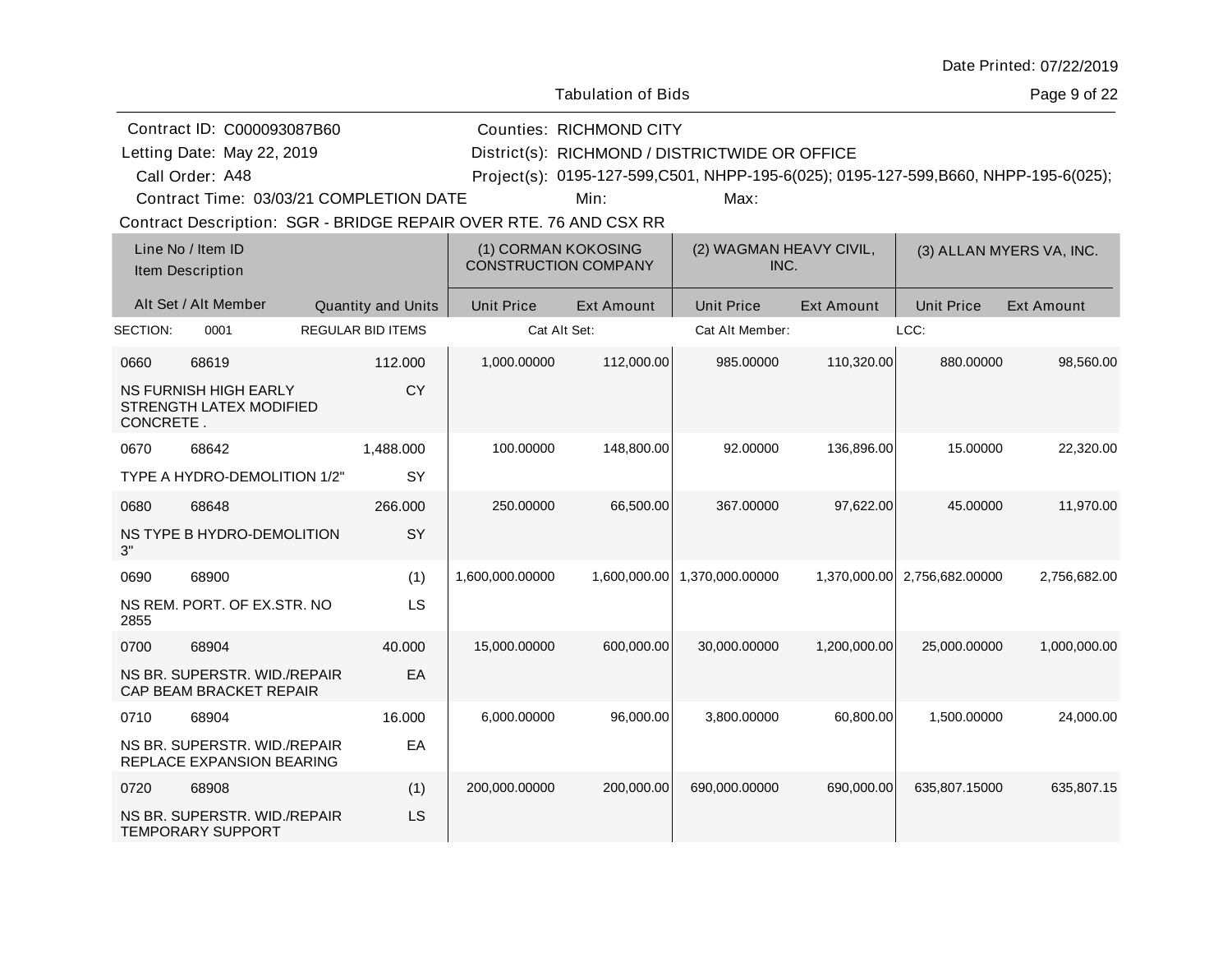| Date Printed: 07/22/2019 |  |
|--------------------------|--|
|--------------------------|--|

Page 9 of 22

|           | Contract ID: C000093087B60                                |                                                                   |                             | <b>Counties: RICHMOND CITY</b> |                                                                                     |                   |                              |                          |
|-----------|-----------------------------------------------------------|-------------------------------------------------------------------|-----------------------------|--------------------------------|-------------------------------------------------------------------------------------|-------------------|------------------------------|--------------------------|
|           | Letting Date: May 22, 2019                                |                                                                   |                             |                                | District(s): RICHMOND / DISTRICTWIDE OR OFFICE                                      |                   |                              |                          |
|           | Call Order: A48                                           |                                                                   |                             |                                | Project(s): 0195-127-599,C501, NHPP-195-6(025); 0195-127-599,B660, NHPP-195-6(025); |                   |                              |                          |
|           |                                                           | Contract Time: 03/03/21 COMPLETION DATE                           |                             | Min:                           | Max:                                                                                |                   |                              |                          |
|           |                                                           | Contract Description: SGR - BRIDGE REPAIR OVER RTE. 76 AND CSX RR |                             |                                |                                                                                     |                   |                              |                          |
|           | Line No / Item ID<br>Item Description                     |                                                                   | <b>CONSTRUCTION COMPANY</b> | (1) CORMAN KOKOSING            | (2) WAGMAN HEAVY CIVIL,<br>INC.                                                     |                   |                              | (3) ALLAN MYERS VA, INC. |
|           | Alt Set / Alt Member                                      | <b>Quantity and Units</b>                                         | <b>Unit Price</b>           | Ext Amount                     | <b>Unit Price</b>                                                                   | <b>Ext Amount</b> | <b>Unit Price</b>            | <b>Ext Amount</b>        |
| SECTION:  | 0001                                                      | <b>REGULAR BID ITEMS</b>                                          |                             | Cat Alt Set:                   | Cat Alt Member:                                                                     |                   | LCC:                         |                          |
| 0660      | 68619                                                     | 112.000                                                           | 1,000.00000                 | 112,000.00                     | 985.00000                                                                           | 110,320.00        | 880.00000                    | 98,560.00                |
| CONCRETE. | <b>NS FURNISH HIGH EARLY</b><br>STRENGTH LATEX MODIFIED   | <b>CY</b>                                                         |                             |                                |                                                                                     |                   |                              |                          |
| 0670      | 68642                                                     | 1,488.000                                                         | 100.00000                   | 148,800.00                     | 92.00000                                                                            | 136,896.00        | 15.00000                     | 22,320.00                |
|           | TYPE A HYDRO-DEMOLITION 1/2"                              | SY                                                                |                             |                                |                                                                                     |                   |                              |                          |
| 0680      | 68648                                                     | 266.000                                                           | 250.00000                   | 66,500.00                      | 367.00000                                                                           | 97,622.00         | 45.00000                     | 11,970.00                |
| 3"        | NS TYPE B HYDRO-DEMOLITION                                | SY                                                                |                             |                                |                                                                                     |                   |                              |                          |
| 0690      | 68900                                                     | (1)                                                               | 1,600,000.00000             |                                | 1,600,000.00 1,370,000.00000                                                        |                   | 1,370,000.00 2,756,682.00000 | 2,756,682.00             |
| 2855      | NS REM. PORT. OF EX.STR. NO                               | LS                                                                |                             |                                |                                                                                     |                   |                              |                          |
| 0700      | 68904                                                     | 40.000                                                            | 15,000.00000                | 600,000.00                     | 30,000.00000                                                                        | 1,200,000.00      | 25,000.00000                 | 1,000,000.00             |
|           | NS BR. SUPERSTR. WID./REPAIR<br>CAP BEAM BRACKET REPAIR   | EA                                                                |                             |                                |                                                                                     |                   |                              |                          |
| 0710      | 68904                                                     | 16.000                                                            | 6,000.00000                 | 96,000.00                      | 3,800.00000                                                                         | 60,800.00         | 1,500.00000                  | 24,000.00                |
|           | NS BR. SUPERSTR. WID./REPAIR<br>REPLACE EXPANSION BEARING | EA                                                                |                             |                                |                                                                                     |                   |                              |                          |
| 0720      | 68908                                                     | (1)                                                               | 200,000.00000               | 200,000.00                     | 690,000.00000                                                                       | 690,000.00        | 635,807.15000                | 635,807.15               |
|           | NS BR. SUPERSTR. WID./REPAIR<br><b>TEMPORARY SUPPORT</b>  | LS                                                                |                             |                                |                                                                                     |                   |                              |                          |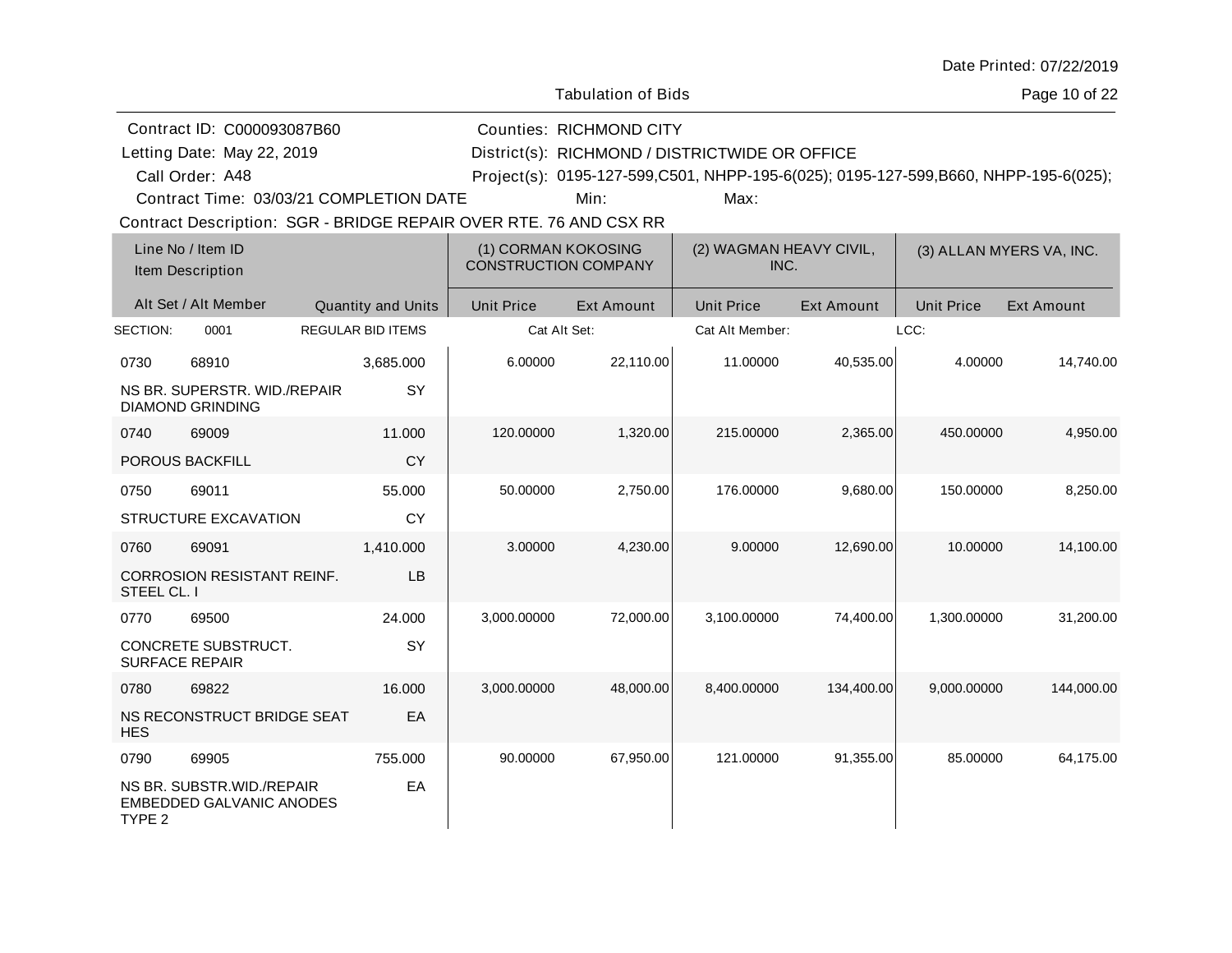| Date Printed: 07/22/2019 |  |
|--------------------------|--|
|--------------------------|--|

Page 10 of 22

| Contract ID: C000093087B60                                                         |                          |                   | <b>Counties: RICHMOND CITY</b>                                                      |                                 |                   |                   |                          |
|------------------------------------------------------------------------------------|--------------------------|-------------------|-------------------------------------------------------------------------------------|---------------------------------|-------------------|-------------------|--------------------------|
| Letting Date: May 22, 2019                                                         |                          |                   | District(s): RICHMOND / DISTRICTWIDE OR OFFICE                                      |                                 |                   |                   |                          |
| Call Order: A48                                                                    |                          |                   | Project(s): 0195-127-599,C501, NHPP-195-6(025); 0195-127-599,B660, NHPP-195-6(025); |                                 |                   |                   |                          |
| Contract Time: 03/03/21 COMPLETION DATE                                            |                          |                   | Min:                                                                                | Max:                            |                   |                   |                          |
| Contract Description: SGR - BRIDGE REPAIR OVER RTE. 76 AND CSX RR                  |                          |                   |                                                                                     |                                 |                   |                   |                          |
| Line No / Item ID<br>Item Description                                              |                          |                   | (1) CORMAN KOKOSING<br><b>CONSTRUCTION COMPANY</b>                                  | (2) WAGMAN HEAVY CIVIL,<br>INC. |                   |                   | (3) ALLAN MYERS VA, INC. |
| Alt Set / Alt Member                                                               | Quantity and Units       | <b>Unit Price</b> | <b>Ext Amount</b>                                                                   | <b>Unit Price</b>               | <b>Ext Amount</b> | <b>Unit Price</b> | <b>Ext Amount</b>        |
| SECTION:<br>0001                                                                   | <b>REGULAR BID ITEMS</b> |                   | Cat Alt Set:                                                                        | Cat Alt Member:                 |                   | LCC:              |                          |
| 0730<br>68910                                                                      | 3,685.000                | 6.00000           | 22,110.00                                                                           | 11.00000                        | 40,535.00         | 4.00000           | 14,740.00                |
| NS BR. SUPERSTR. WID./REPAIR<br><b>DIAMOND GRINDING</b>                            | SY                       |                   |                                                                                     |                                 |                   |                   |                          |
| 0740<br>69009                                                                      | 11.000                   | 120.00000         | 1,320.00                                                                            | 215.00000                       | 2,365.00          | 450.00000         | 4,950.00                 |
| POROUS BACKFILL                                                                    | <b>CY</b>                |                   |                                                                                     |                                 |                   |                   |                          |
| 69011<br>0750                                                                      | 55.000                   | 50.00000          | 2,750.00                                                                            | 176.00000                       | 9,680.00          | 150.00000         | 8,250.00                 |
| STRUCTURE EXCAVATION                                                               | <b>CY</b>                |                   |                                                                                     |                                 |                   |                   |                          |
| 69091<br>0760                                                                      | 1,410.000                | 3.00000           | 4,230.00                                                                            | 9.00000                         | 12.690.00         | 10.00000          | 14.100.00                |
| CORROSION RESISTANT REINF.<br>STEEL CL. I                                          | LB                       |                   |                                                                                     |                                 |                   |                   |                          |
| 0770<br>69500                                                                      | 24.000                   | 3,000.00000       | 72,000.00                                                                           | 3,100.00000                     | 74,400.00         | 1,300.00000       | 31,200.00                |
| CONCRETE SUBSTRUCT.<br><b>SURFACE REPAIR</b>                                       | SY                       |                   |                                                                                     |                                 |                   |                   |                          |
| 0780<br>69822                                                                      | 16.000                   | 3,000.00000       | 48,000.00                                                                           | 8,400.00000                     | 134,400.00        | 9,000.00000       | 144,000.00               |
| NS RECONSTRUCT BRIDGE SEAT<br><b>HES</b>                                           | EA                       |                   |                                                                                     |                                 |                   |                   |                          |
| 69905<br>0790                                                                      | 755.000                  | 90.00000          | 67,950.00                                                                           | 121.00000                       | 91,355.00         | 85.00000          | 64,175.00                |
| NS BR. SUBSTR. WID./REPAIR<br><b>EMBEDDED GALVANIC ANODES</b><br>TYPE <sub>2</sub> | EA                       |                   |                                                                                     |                                 |                   |                   |                          |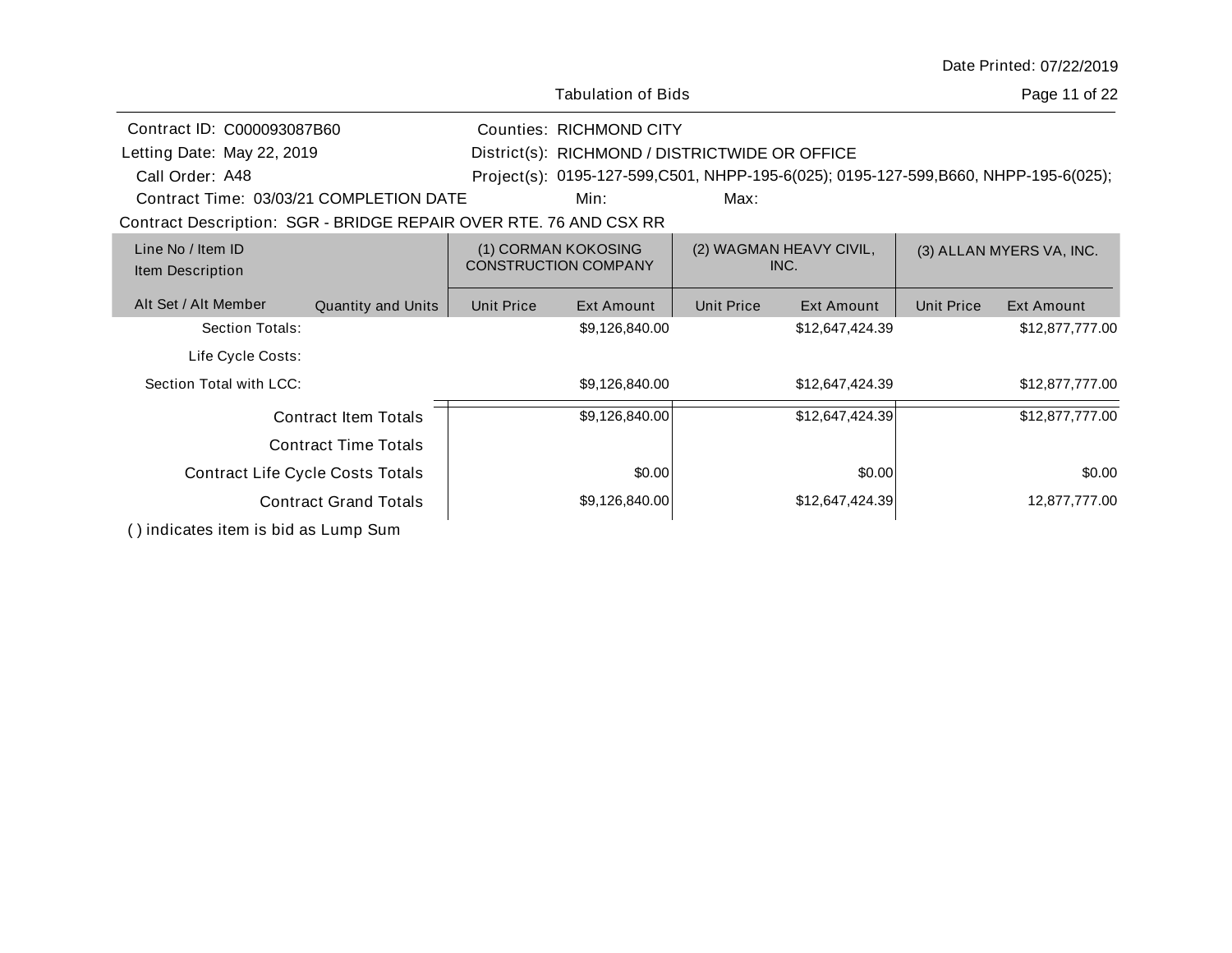| Date Printed: 07/22/2019 |  |
|--------------------------|--|
|--------------------------|--|

|                                                                   | <b>Tabulation of Bids</b>                                                             |                   |                                                |                   | Page 11 of 22                                                                       |                   |                 |
|-------------------------------------------------------------------|---------------------------------------------------------------------------------------|-------------------|------------------------------------------------|-------------------|-------------------------------------------------------------------------------------|-------------------|-----------------|
| Contract ID: C000093087B60                                        |                                                                                       |                   | <b>Counties: RICHMOND CITY</b>                 |                   |                                                                                     |                   |                 |
| Letting Date: May 22, 2019                                        |                                                                                       |                   | District(s): RICHMOND / DISTRICTWIDE OR OFFICE |                   |                                                                                     |                   |                 |
| Call Order: A48                                                   |                                                                                       |                   |                                                |                   | Project(s): 0195-127-599,C501, NHPP-195-6(025); 0195-127-599,B660, NHPP-195-6(025); |                   |                 |
| Contract Time: 03/03/21 COMPLETION DATE                           |                                                                                       |                   | Min:                                           | Max:              |                                                                                     |                   |                 |
| Contract Description: SGR - BRIDGE REPAIR OVER RTE. 76 AND CSX RR |                                                                                       |                   |                                                |                   |                                                                                     |                   |                 |
| Line No / Item ID<br>Item Description                             | (1) CORMAN KOKOSING<br>(2) WAGMAN HEAVY CIVIL,<br><b>CONSTRUCTION COMPANY</b><br>INC. |                   |                                                |                   | (3) ALLAN MYERS VA, INC.                                                            |                   |                 |
| Alt Set / Alt Member<br><b>Quantity and Units</b>                 |                                                                                       | <b>Unit Price</b> | Ext Amount                                     | <b>Unit Price</b> | Ext Amount                                                                          | <b>Unit Price</b> | Ext Amount      |
| Section Totals:                                                   |                                                                                       |                   | \$9,126,840.00                                 |                   | \$12,647,424.39                                                                     |                   | \$12,877,777.00 |
| Life Cycle Costs:                                                 |                                                                                       |                   |                                                |                   |                                                                                     |                   |                 |
| Section Total with LCC:                                           |                                                                                       | \$9,126,840.00    |                                                | \$12,647,424.39   |                                                                                     |                   | \$12,877,777.00 |
| <b>Contract Item Totals</b>                                       |                                                                                       | \$9,126,840.00    |                                                | \$12,647,424.39   |                                                                                     |                   | \$12,877,777.00 |
| <b>Contract Time Totals</b>                                       |                                                                                       |                   |                                                |                   |                                                                                     |                   |                 |
| <b>Contract Life Cycle Costs Totals</b>                           |                                                                                       |                   | \$0.00                                         |                   | \$0.00                                                                              |                   | \$0.00          |
| <b>Contract Grand Totals</b>                                      |                                                                                       |                   | \$9,126,840.00                                 |                   | \$12,647,424.39                                                                     |                   | 12,877,777.00   |
| () indicates item is bid as Lump Sum                              |                                                                                       |                   |                                                |                   |                                                                                     |                   |                 |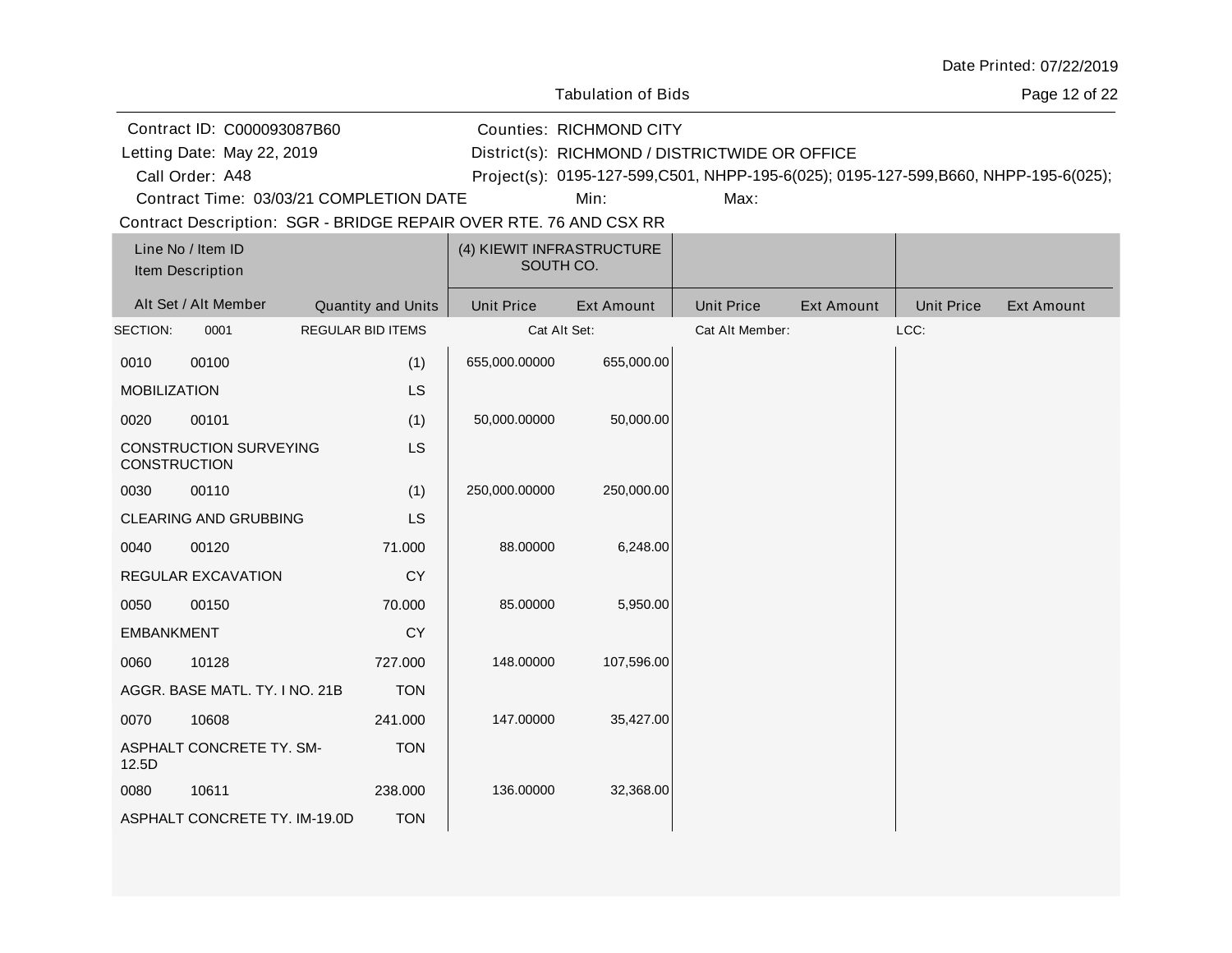| Date Printed: 07/22/2019 |  |
|--------------------------|--|
|--------------------------|--|

Page 12 of 22

| Contract ID: C000093087B60 | Counties: RICHMOND CITY                             |
|----------------------------|-----------------------------------------------------|
| Letting Date: May 22, 2019 | District(s): RICHMOND / DISTRICTWIDE OR OFFICE      |
| Call Order: A48            | Project(s): 0195-127-599, C501, NHPP-195-6(025); 01 |

A48 Project(s): 0195-127-599,C501, NHPP-195-6(025); 0195-127-599,B660, NHPP-195-6(025);

Contract Time: 03/03/21 COMPLETION DATE

Min: Max:

| Line No / Item ID<br>Item Description |                                |                           | (4) KIEWIT INFRASTRUCTURE<br>SOUTH CO. |                   |                   |                   |                   |                   |
|---------------------------------------|--------------------------------|---------------------------|----------------------------------------|-------------------|-------------------|-------------------|-------------------|-------------------|
|                                       | Alt Set / Alt Member           | <b>Quantity and Units</b> | <b>Unit Price</b>                      | <b>Ext Amount</b> | <b>Unit Price</b> | <b>Ext Amount</b> | <b>Unit Price</b> | <b>Ext Amount</b> |
| SECTION:                              | 0001                           | <b>REGULAR BID ITEMS</b>  | Cat Alt Set:                           |                   | Cat Alt Member:   |                   | LCC:              |                   |
| 0010                                  | 00100                          | (1)                       | 655,000.00000                          | 655,000.00        |                   |                   |                   |                   |
| <b>MOBILIZATION</b>                   |                                | <b>LS</b>                 |                                        |                   |                   |                   |                   |                   |
| 0020                                  | 00101                          | (1)                       | 50,000.00000                           | 50,000.00         |                   |                   |                   |                   |
| <b>CONSTRUCTION</b>                   | <b>CONSTRUCTION SURVEYING</b>  | <b>LS</b>                 |                                        |                   |                   |                   |                   |                   |
| 0030                                  | 00110                          | (1)                       | 250,000.00000                          | 250,000.00        |                   |                   |                   |                   |
|                                       | <b>CLEARING AND GRUBBING</b>   | <b>LS</b>                 |                                        |                   |                   |                   |                   |                   |
| 0040                                  | 00120                          | 71.000                    | 88.00000                               | 6,248.00          |                   |                   |                   |                   |
|                                       | REGULAR EXCAVATION             | <b>CY</b>                 |                                        |                   |                   |                   |                   |                   |
| 0050                                  | 00150                          | 70.000                    | 85.00000                               | 5,950.00          |                   |                   |                   |                   |
| <b>EMBANKMENT</b>                     |                                | <b>CY</b>                 |                                        |                   |                   |                   |                   |                   |
| 0060                                  | 10128                          | 727.000                   | 148.00000                              | 107,596.00        |                   |                   |                   |                   |
|                                       | AGGR. BASE MATL. TY. I NO. 21B | <b>TON</b>                |                                        |                   |                   |                   |                   |                   |
| 0070                                  | 10608                          | 241.000                   | 147.00000                              | 35,427.00         |                   |                   |                   |                   |
| 12.5D                                 | ASPHALT CONCRETE TY. SM-       | <b>TON</b>                |                                        |                   |                   |                   |                   |                   |
| 0080                                  | 10611                          | 238.000                   | 136.00000                              | 32,368.00         |                   |                   |                   |                   |
|                                       | ASPHALT CONCRETE TY. IM-19.0D  | <b>TON</b>                |                                        |                   |                   |                   |                   |                   |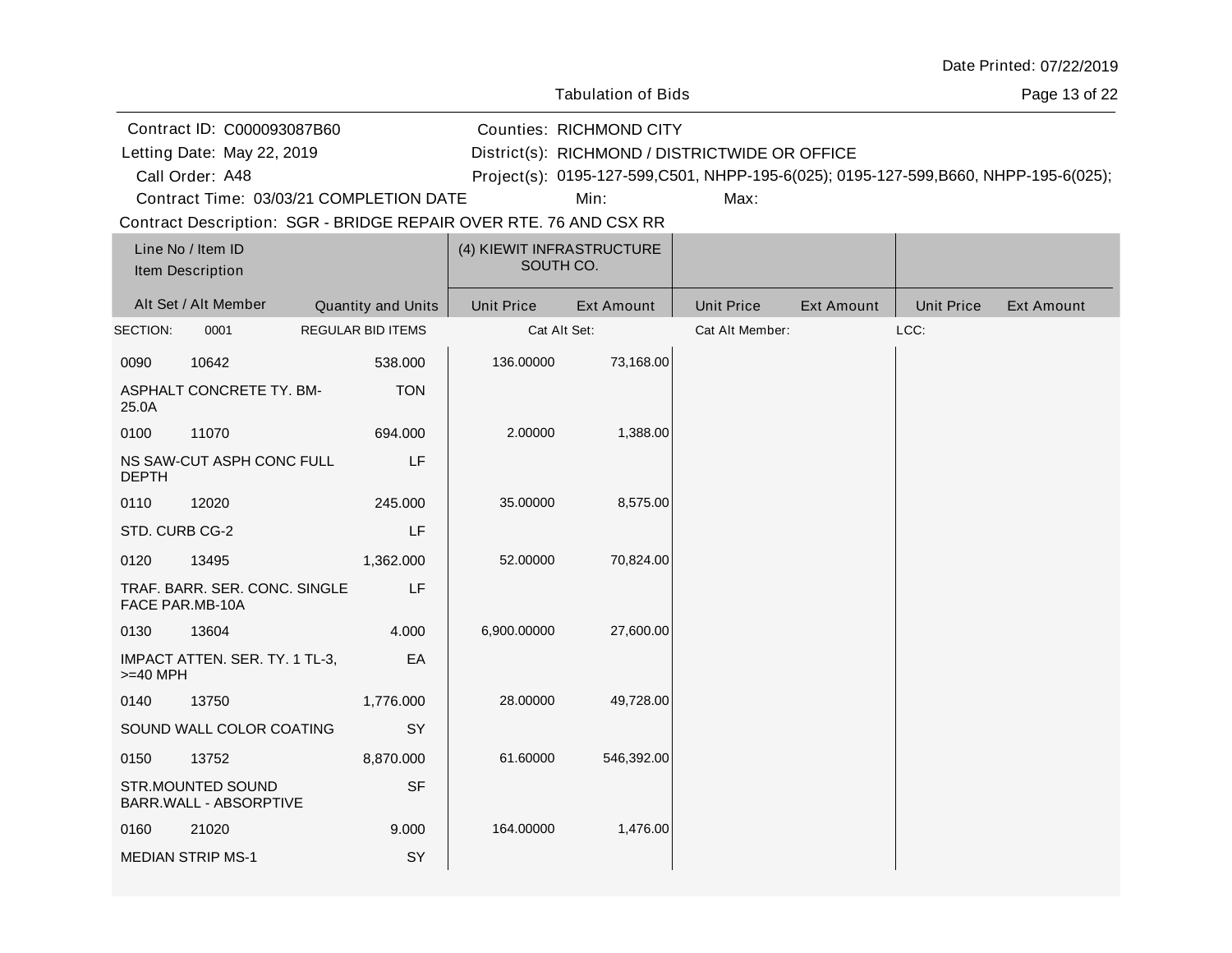| Date Printed: 07/22/2019 |  |
|--------------------------|--|
|--------------------------|--|

Page 13 of 22

Contract ID: C000093087B60 Letting Date: May 22, 2019

Letting Date: RICHMOND / DISTRICTWIDE OR OFFICE District(s):

Counties: RICHMOND CITY

A48 Project(s): 0195-127-599,C501, NHPP-195-6(025); 0195-127-599,B660, NHPP-195-6(025);

Contract Time: 03/03/21 COMPLETION DATE

Call Order: A48

Min: Max:

| Line No / Item ID<br>Item Description |                                                  |                          | (4) KIEWIT INFRASTRUCTURE<br>SOUTH CO. |                   |                   |                   |                   |                   |
|---------------------------------------|--------------------------------------------------|--------------------------|----------------------------------------|-------------------|-------------------|-------------------|-------------------|-------------------|
|                                       | Alt Set / Alt Member                             | Quantity and Units       | <b>Unit Price</b>                      | <b>Ext Amount</b> | <b>Unit Price</b> | <b>Ext Amount</b> | <b>Unit Price</b> | <b>Ext Amount</b> |
| SECTION:                              | 0001                                             | <b>REGULAR BID ITEMS</b> | Cat Alt Set:                           |                   | Cat Alt Member:   |                   | LCC:              |                   |
| 0090                                  | 10642                                            | 538.000                  | 136.00000                              | 73,168.00         |                   |                   |                   |                   |
| 25.0A                                 | ASPHALT CONCRETE TY. BM-                         | <b>TON</b>               |                                        |                   |                   |                   |                   |                   |
| 0100                                  | 11070                                            | 694.000                  | 2.00000                                | 1,388.00          |                   |                   |                   |                   |
| <b>DEPTH</b>                          | NS SAW-CUT ASPH CONC FULL                        | LF                       |                                        |                   |                   |                   |                   |                   |
| 0110                                  | 12020                                            | 245.000                  | 35.00000                               | 8,575.00          |                   |                   |                   |                   |
| STD. CURB CG-2                        |                                                  | LF                       |                                        |                   |                   |                   |                   |                   |
| 0120                                  | 13495                                            | 1,362.000                | 52.00000                               | 70,824.00         |                   |                   |                   |                   |
|                                       | TRAF. BARR. SER. CONC. SINGLE<br>FACE PAR.MB-10A | LF                       |                                        |                   |                   |                   |                   |                   |
| 0130                                  | 13604                                            | 4.000                    | 6,900.00000                            | 27,600.00         |                   |                   |                   |                   |
| $>=$ 40 MPH                           | IMPACT ATTEN. SER. TY. 1 TL-3,                   | EA                       |                                        |                   |                   |                   |                   |                   |
| 0140                                  | 13750                                            | 1,776.000                | 28.00000                               | 49,728.00         |                   |                   |                   |                   |
|                                       | SOUND WALL COLOR COATING                         | SY                       |                                        |                   |                   |                   |                   |                   |
| 0150                                  | 13752                                            | 8,870.000                | 61.60000                               | 546,392.00        |                   |                   |                   |                   |
|                                       | STR.MOUNTED SOUND<br>BARR.WALL - ABSORPTIVE      | <b>SF</b>                |                                        |                   |                   |                   |                   |                   |
| 0160                                  | 21020                                            | 9.000                    | 164.00000                              | 1,476.00          |                   |                   |                   |                   |
|                                       | <b>MEDIAN STRIP MS-1</b>                         | SY                       |                                        |                   |                   |                   |                   |                   |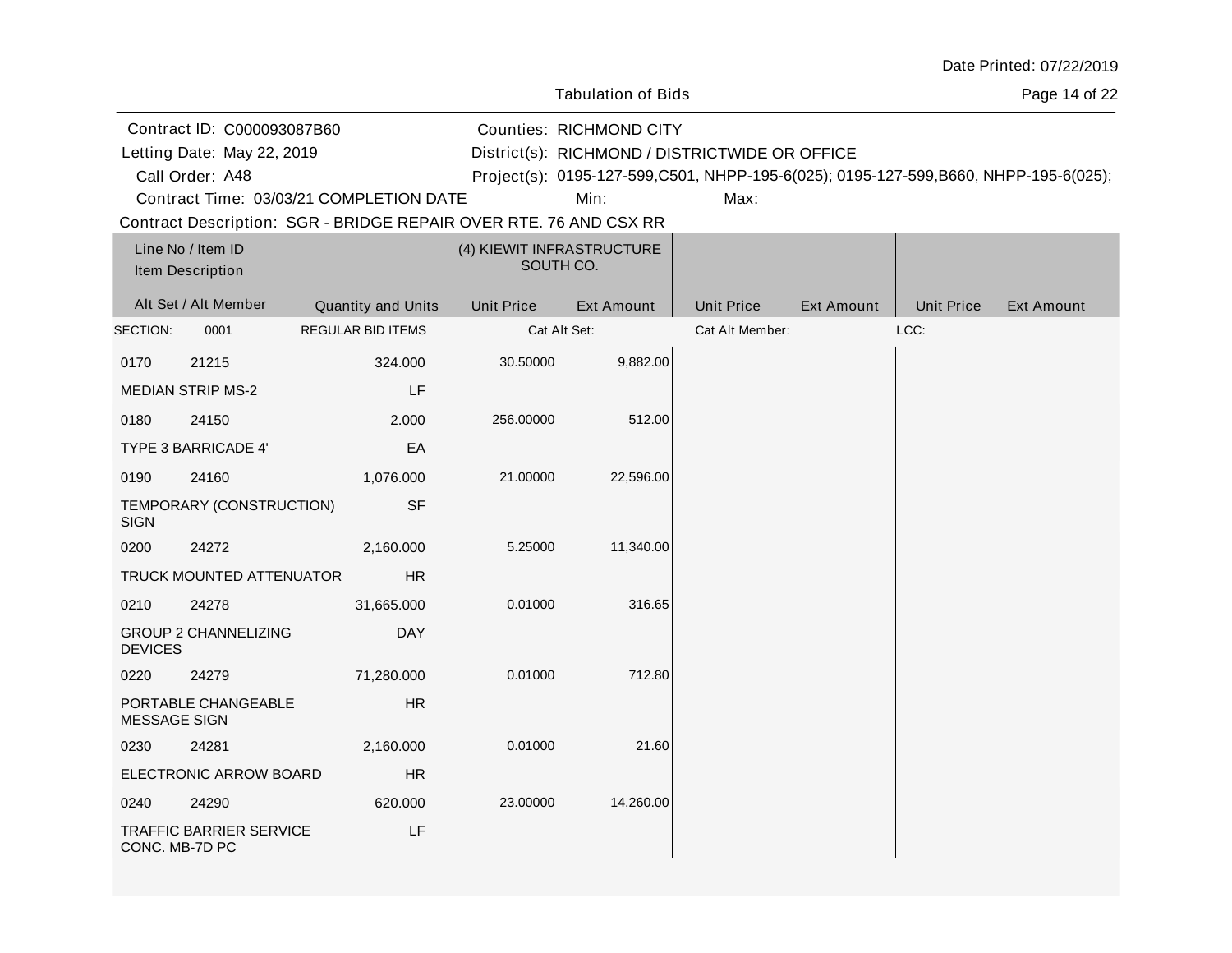| Date Printed: 07/22/2019 |  |
|--------------------------|--|
|--------------------------|--|

Page 14 of 22

Contract ID: C000093087B60 Letting Date: May 22, 2019

Call Order: A48

Letting Date: RICHMOND / DISTRICTWIDE OR OFFICE District(s):

Counties: RICHMOND CITY

A48 Project(s): 0195-127-599,C501, NHPP-195-6(025); 0195-127-599,B660, NHPP-195-6(025);

Contract Time: 03/03/21 COMPLETION DATE

Min: Max:

| Line No / Item ID<br>Item Description |                                |                          | (4) KIEWIT INFRASTRUCTURE<br>SOUTH CO. |                   |                   |                   |                   |                   |
|---------------------------------------|--------------------------------|--------------------------|----------------------------------------|-------------------|-------------------|-------------------|-------------------|-------------------|
|                                       | Alt Set / Alt Member           | Quantity and Units       | <b>Unit Price</b>                      | <b>Ext Amount</b> | <b>Unit Price</b> | <b>Ext Amount</b> | <b>Unit Price</b> | <b>Ext Amount</b> |
| SECTION:                              | 0001                           | <b>REGULAR BID ITEMS</b> | Cat Alt Set:                           |                   | Cat Alt Member:   |                   | LCC:              |                   |
| 0170                                  | 21215                          | 324.000                  | 30.50000                               | 9,882.00          |                   |                   |                   |                   |
|                                       | <b>MEDIAN STRIP MS-2</b>       | LF                       |                                        |                   |                   |                   |                   |                   |
| 0180                                  | 24150                          | 2.000                    | 256.00000                              | 512.00            |                   |                   |                   |                   |
|                                       | <b>TYPE 3 BARRICADE 4'</b>     | EA                       |                                        |                   |                   |                   |                   |                   |
| 0190                                  | 24160                          | 1,076.000                | 21.00000                               | 22,596.00         |                   |                   |                   |                   |
| <b>SIGN</b>                           | TEMPORARY (CONSTRUCTION)       | <b>SF</b>                |                                        |                   |                   |                   |                   |                   |
| 0200                                  | 24272                          | 2,160.000                | 5.25000                                | 11,340.00         |                   |                   |                   |                   |
|                                       | TRUCK MOUNTED ATTENUATOR       | <b>HR</b>                |                                        |                   |                   |                   |                   |                   |
| 0210                                  | 24278                          | 31,665.000               | 0.01000                                | 316.65            |                   |                   |                   |                   |
| <b>DEVICES</b>                        | <b>GROUP 2 CHANNELIZING</b>    | <b>DAY</b>               |                                        |                   |                   |                   |                   |                   |
| 0220                                  | 24279                          | 71,280.000               | 0.01000                                | 712.80            |                   |                   |                   |                   |
| MESSAGE SIGN                          | PORTABLE CHANGEABLE            | <b>HR</b>                |                                        |                   |                   |                   |                   |                   |
| 0230                                  | 24281                          | 2,160.000                | 0.01000                                | 21.60             |                   |                   |                   |                   |
|                                       | ELECTRONIC ARROW BOARD         | <b>HR</b>                |                                        |                   |                   |                   |                   |                   |
| 0240                                  | 24290                          | 620.000                  | 23.00000                               | 14,260.00         |                   |                   |                   |                   |
| CONC. MB-7D PC                        | <b>TRAFFIC BARRIER SERVICE</b> | LF                       |                                        |                   |                   |                   |                   |                   |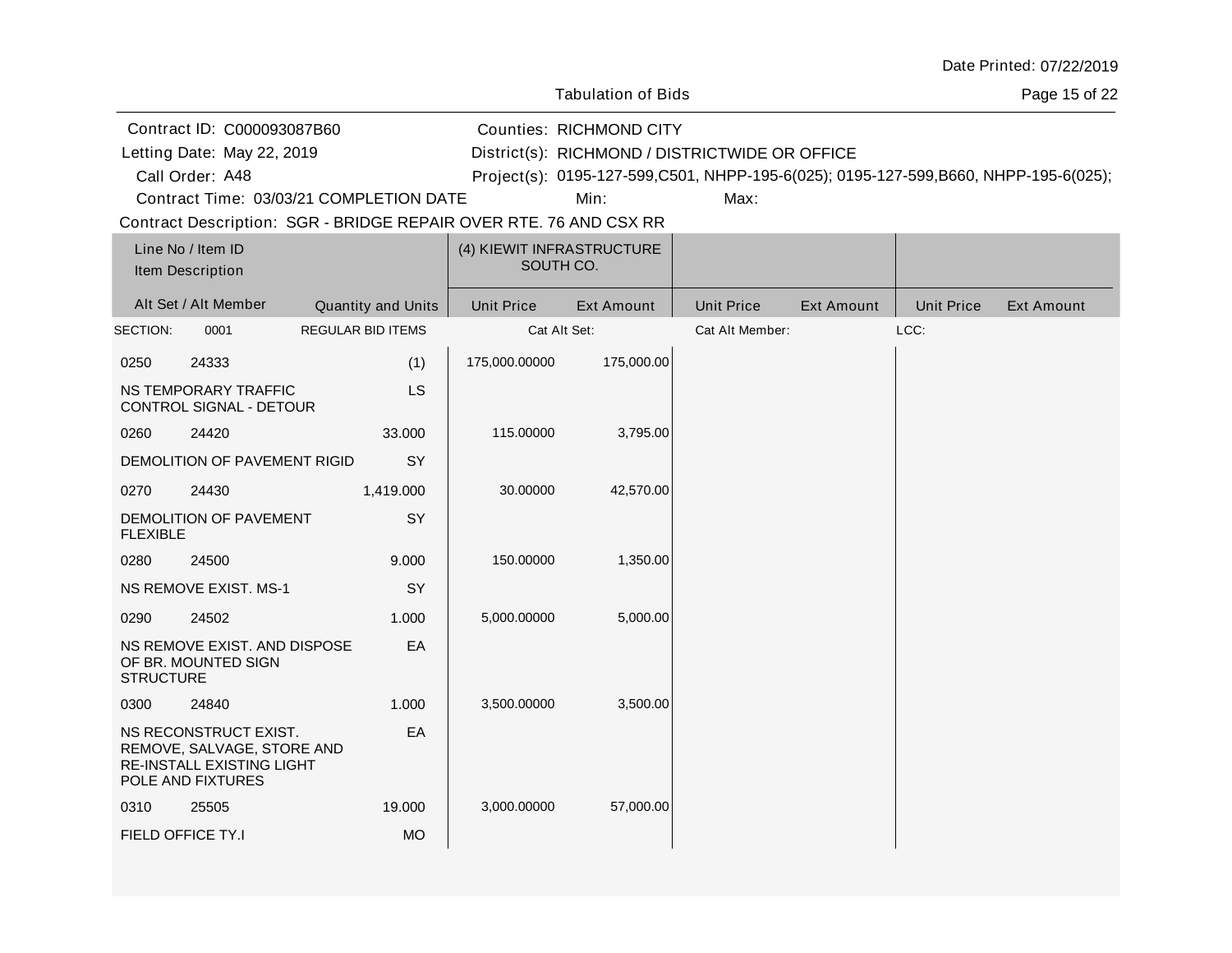| Date Printed: 07/22/2019 |  |
|--------------------------|--|
|--------------------------|--|

Page 15 of 22

|                  | Contract ID: C000093087B60                                                                            |                                                                   |                   | <b>Counties: RICHMOND CITY</b>                 |                   |                   |                   |                                                                                     |  |
|------------------|-------------------------------------------------------------------------------------------------------|-------------------------------------------------------------------|-------------------|------------------------------------------------|-------------------|-------------------|-------------------|-------------------------------------------------------------------------------------|--|
|                  | Letting Date: May 22, 2019                                                                            |                                                                   |                   | District(s): RICHMOND / DISTRICTWIDE OR OFFICE |                   |                   |                   |                                                                                     |  |
|                  | Call Order: A48                                                                                       |                                                                   |                   |                                                |                   |                   |                   | Project(s): 0195-127-599,C501, NHPP-195-6(025); 0195-127-599,B660, NHPP-195-6(025); |  |
|                  |                                                                                                       | Contract Time: 03/03/21 COMPLETION DATE                           |                   | Min:                                           | Max:              |                   |                   |                                                                                     |  |
|                  |                                                                                                       | Contract Description: SGR - BRIDGE REPAIR OVER RTE. 76 AND CSX RR |                   |                                                |                   |                   |                   |                                                                                     |  |
|                  | Line No / Item ID                                                                                     |                                                                   |                   | (4) KIEWIT INFRASTRUCTURE                      |                   |                   |                   |                                                                                     |  |
|                  | Item Description                                                                                      |                                                                   |                   | SOUTH CO.                                      |                   |                   |                   |                                                                                     |  |
|                  | Alt Set / Alt Member                                                                                  | Quantity and Units                                                | <b>Unit Price</b> | <b>Ext Amount</b>                              | <b>Unit Price</b> | <b>Ext Amount</b> | <b>Unit Price</b> | <b>Ext Amount</b>                                                                   |  |
| SECTION:         | 0001                                                                                                  | <b>REGULAR BID ITEMS</b>                                          |                   | Cat Alt Set:                                   | Cat Alt Member:   |                   | LCC:              |                                                                                     |  |
| 0250             | 24333                                                                                                 | (1)                                                               | 175,000.00000     | 175,000.00                                     |                   |                   |                   |                                                                                     |  |
|                  | NS TEMPORARY TRAFFIC<br>CONTROL SIGNAL - DETOUR                                                       | LS                                                                |                   |                                                |                   |                   |                   |                                                                                     |  |
| 0260             | 24420                                                                                                 | 33.000                                                            | 115.00000         | 3,795.00                                       |                   |                   |                   |                                                                                     |  |
|                  | DEMOLITION OF PAVEMENT RIGID                                                                          | SY                                                                |                   |                                                |                   |                   |                   |                                                                                     |  |
| 0270             | 24430                                                                                                 | 1,419.000                                                         | 30.00000          | 42,570.00                                      |                   |                   |                   |                                                                                     |  |
| <b>FLEXIBLE</b>  | DEMOLITION OF PAVEMENT                                                                                | SY                                                                |                   |                                                |                   |                   |                   |                                                                                     |  |
| 0280             | 24500                                                                                                 | 9.000                                                             | 150.00000         | 1,350.00                                       |                   |                   |                   |                                                                                     |  |
|                  | <b>NS REMOVE EXIST. MS-1</b>                                                                          | SY                                                                |                   |                                                |                   |                   |                   |                                                                                     |  |
| 0290             | 24502                                                                                                 | 1.000                                                             | 5,000.00000       | 5,000.00                                       |                   |                   |                   |                                                                                     |  |
| <b>STRUCTURE</b> | NS REMOVE EXIST. AND DISPOSE<br>OF BR. MOUNTED SIGN                                                   | EA                                                                |                   |                                                |                   |                   |                   |                                                                                     |  |
| 0300             | 24840                                                                                                 | 1.000                                                             | 3,500.00000       | 3,500.00                                       |                   |                   |                   |                                                                                     |  |
|                  | NS RECONSTRUCT EXIST.<br>REMOVE, SALVAGE, STORE AND<br>RE-INSTALL EXISTING LIGHT<br>POLE AND FIXTURES | EA                                                                |                   |                                                |                   |                   |                   |                                                                                     |  |
| 0310             | 25505                                                                                                 | 19.000                                                            | 3,000.00000       | 57,000.00                                      |                   |                   |                   |                                                                                     |  |
|                  | FIELD OFFICE TY.I                                                                                     | <b>MO</b>                                                         |                   |                                                |                   |                   |                   |                                                                                     |  |
|                  |                                                                                                       |                                                                   |                   |                                                |                   |                   |                   |                                                                                     |  |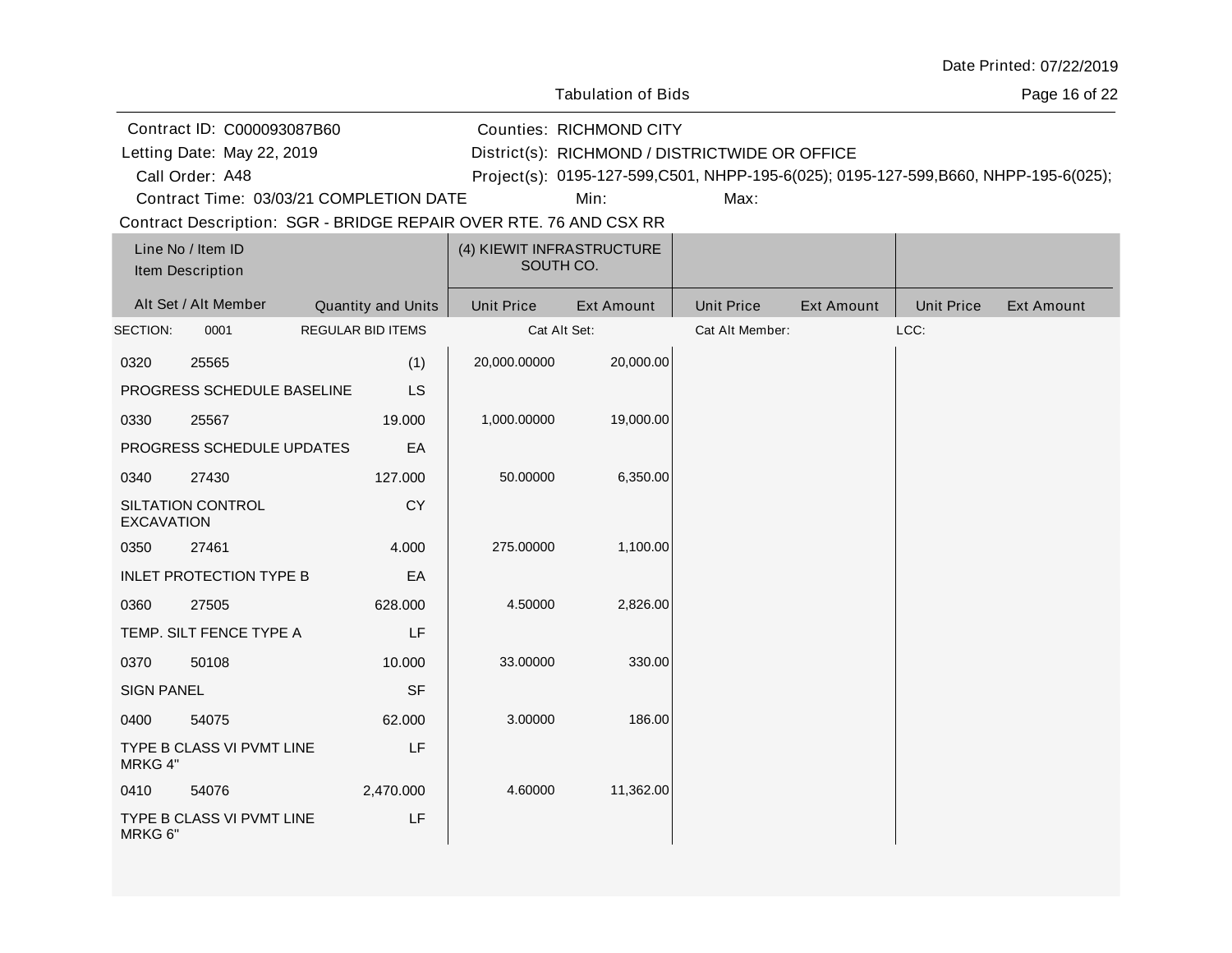| Date Printed: 07/22/2019 |  |
|--------------------------|--|
|--------------------------|--|

Page 16 of 22

|                   | Contract ID: C000093087B60                                        |                          |                           |                   | <b>Counties: RICHMOND CITY</b>                 |                   |                   |                   |                                                                                     |  |
|-------------------|-------------------------------------------------------------------|--------------------------|---------------------------|-------------------|------------------------------------------------|-------------------|-------------------|-------------------|-------------------------------------------------------------------------------------|--|
|                   | Letting Date: May 22, 2019                                        |                          |                           |                   | District(s): RICHMOND / DISTRICTWIDE OR OFFICE |                   |                   |                   |                                                                                     |  |
|                   | Call Order: A48                                                   |                          |                           |                   |                                                |                   |                   |                   | Project(s): 0195-127-599,C501, NHPP-195-6(025); 0195-127-599,B660, NHPP-195-6(025); |  |
|                   | Contract Time: 03/03/21 COMPLETION DATE                           |                          |                           |                   | Min:                                           | Max:              |                   |                   |                                                                                     |  |
|                   | Contract Description: SGR - BRIDGE REPAIR OVER RTE. 76 AND CSX RR |                          |                           |                   |                                                |                   |                   |                   |                                                                                     |  |
|                   | Line No / Item ID<br>Item Description                             |                          |                           | SOUTH CO.         | (4) KIEWIT INFRASTRUCTURE                      |                   |                   |                   |                                                                                     |  |
|                   | Alt Set / Alt Member                                              |                          | <b>Quantity and Units</b> | <b>Unit Price</b> | <b>Ext Amount</b>                              | <b>Unit Price</b> | <b>Ext Amount</b> | <b>Unit Price</b> | <b>Ext Amount</b>                                                                   |  |
| SECTION:          | 0001                                                              | <b>REGULAR BID ITEMS</b> |                           |                   | Cat Alt Set:                                   | Cat Alt Member:   |                   | LCC:              |                                                                                     |  |
| 0320              | 25565                                                             |                          | (1)                       | 20,000.00000      | 20,000.00                                      |                   |                   |                   |                                                                                     |  |
|                   | PROGRESS SCHEDULE BASELINE                                        |                          | <b>LS</b>                 |                   |                                                |                   |                   |                   |                                                                                     |  |
| 0330              | 25567                                                             |                          | 19.000                    | 1,000.00000       | 19,000.00                                      |                   |                   |                   |                                                                                     |  |
|                   | PROGRESS SCHEDULE UPDATES                                         |                          | EA                        |                   |                                                |                   |                   |                   |                                                                                     |  |
| 0340              | 27430                                                             |                          | 127.000                   | 50.00000          | 6,350.00                                       |                   |                   |                   |                                                                                     |  |
| <b>EXCAVATION</b> | SILTATION CONTROL                                                 |                          | <b>CY</b>                 |                   |                                                |                   |                   |                   |                                                                                     |  |
| 0350              | 27461                                                             |                          | 4.000                     | 275.00000         | 1,100.00                                       |                   |                   |                   |                                                                                     |  |
|                   | <b>INLET PROTECTION TYPE B</b>                                    |                          | EA                        |                   |                                                |                   |                   |                   |                                                                                     |  |
| 0360              | 27505                                                             |                          | 628.000                   | 4.50000           | 2,826.00                                       |                   |                   |                   |                                                                                     |  |
|                   | TEMP. SILT FENCE TYPE A                                           |                          | LF                        |                   |                                                |                   |                   |                   |                                                                                     |  |
| 0370              | 50108                                                             |                          | 10.000                    | 33.00000          | 330.00                                         |                   |                   |                   |                                                                                     |  |
| <b>SIGN PANEL</b> |                                                                   |                          | <b>SF</b>                 |                   |                                                |                   |                   |                   |                                                                                     |  |
| 0400              | 54075                                                             |                          | 62.000                    | 3.00000           | 186.00                                         |                   |                   |                   |                                                                                     |  |
| MRKG 4"           | TYPE B CLASS VI PVMT LINE                                         |                          | LF                        |                   |                                                |                   |                   |                   |                                                                                     |  |
| 0410              | 54076                                                             |                          | 2,470.000                 | 4.60000           | 11,362.00                                      |                   |                   |                   |                                                                                     |  |
| MRKG 6"           | TYPE B CLASS VI PVMT LINE                                         |                          | LF                        |                   |                                                |                   |                   |                   |                                                                                     |  |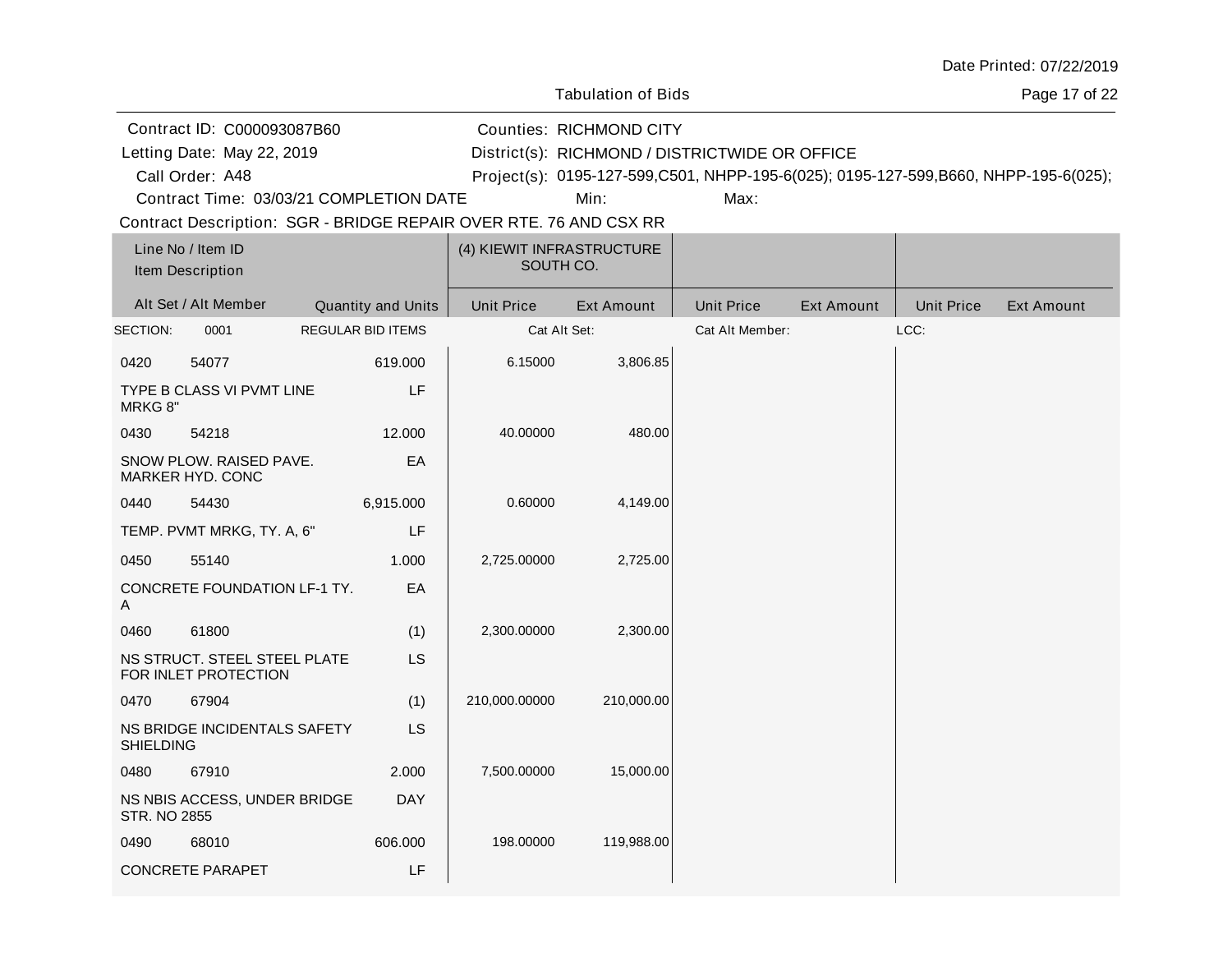| Date Printed: 07/22/2019 |  |
|--------------------------|--|
|--------------------------|--|

Page 17 of 22

| Contract ID: C000093087B60<br>Letting Date: May 22, 2019          |  |                           |                                        | <b>Counties: RICHMOND CITY</b> | District(s): RICHMOND / DISTRICTWIDE OR OFFICE |                   |                   |                                                                                     |
|-------------------------------------------------------------------|--|---------------------------|----------------------------------------|--------------------------------|------------------------------------------------|-------------------|-------------------|-------------------------------------------------------------------------------------|
| Call Order: A48                                                   |  |                           |                                        |                                |                                                |                   |                   | Project(s): 0195-127-599,C501, NHPP-195-6(025); 0195-127-599,B660, NHPP-195-6(025); |
| Contract Time: 03/03/21 COMPLETION DATE                           |  |                           |                                        | Min:                           | Max:                                           |                   |                   |                                                                                     |
| Contract Description: SGR - BRIDGE REPAIR OVER RTE. 76 AND CSX RR |  |                           |                                        |                                |                                                |                   |                   |                                                                                     |
| Line No / Item ID<br>Item Description                             |  |                           | (4) KIEWIT INFRASTRUCTURE<br>SOUTH CO. |                                |                                                |                   |                   |                                                                                     |
| Alt Set / Alt Member                                              |  | <b>Quantity and Units</b> | <b>Unit Price</b>                      | <b>Ext Amount</b>              | <b>Unit Price</b>                              | <b>Ext Amount</b> | <b>Unit Price</b> | <b>Ext Amount</b>                                                                   |
| SECTION:<br>0001                                                  |  | <b>REGULAR BID ITEMS</b>  | Cat Alt Set:                           |                                | Cat Alt Member:                                |                   | LCC:              |                                                                                     |
| 0420<br>54077                                                     |  | 619.000                   | 6.15000                                | 3,806.85                       |                                                |                   |                   |                                                                                     |
| TYPE B CLASS VI PVMT LINE<br>MRKG 8"                              |  | LF                        |                                        |                                |                                                |                   |                   |                                                                                     |
| 0430<br>54218                                                     |  | 12.000                    | 40.00000                               | 480.00                         |                                                |                   |                   |                                                                                     |
| SNOW PLOW. RAISED PAVE.<br>MARKER HYD. CONC                       |  | EA                        |                                        |                                |                                                |                   |                   |                                                                                     |
| 0440<br>54430                                                     |  | 6,915.000                 | 0.60000                                | 4,149.00                       |                                                |                   |                   |                                                                                     |
| TEMP. PVMT MRKG, TY. A, 6"                                        |  | LF                        |                                        |                                |                                                |                   |                   |                                                                                     |
| 0450<br>55140                                                     |  | 1.000                     | 2,725.00000                            | 2,725.00                       |                                                |                   |                   |                                                                                     |
| CONCRETE FOUNDATION LF-1 TY.<br>Α                                 |  | EA                        |                                        |                                |                                                |                   |                   |                                                                                     |
| 61800<br>0460                                                     |  | (1)                       | 2,300.00000                            | 2,300.00                       |                                                |                   |                   |                                                                                     |
| NS STRUCT. STEEL STEEL PLATE<br>FOR INLET PROTECTION              |  | LS                        |                                        |                                |                                                |                   |                   |                                                                                     |
| 67904<br>0470                                                     |  | (1)                       | 210,000.00000                          | 210,000.00                     |                                                |                   |                   |                                                                                     |
| NS BRIDGE INCIDENTALS SAFETY<br><b>SHIELDING</b>                  |  | <b>LS</b>                 |                                        |                                |                                                |                   |                   |                                                                                     |
| 67910<br>0480                                                     |  | 2.000                     | 7,500.00000                            | 15,000.00                      |                                                |                   |                   |                                                                                     |
| NS NBIS ACCESS, UNDER BRIDGE<br><b>STR. NO 2855</b>               |  | <b>DAY</b>                |                                        |                                |                                                |                   |                   |                                                                                     |

198.00000 119,988.00

0490 68010

CONCRETE PARAPET

606.000

LF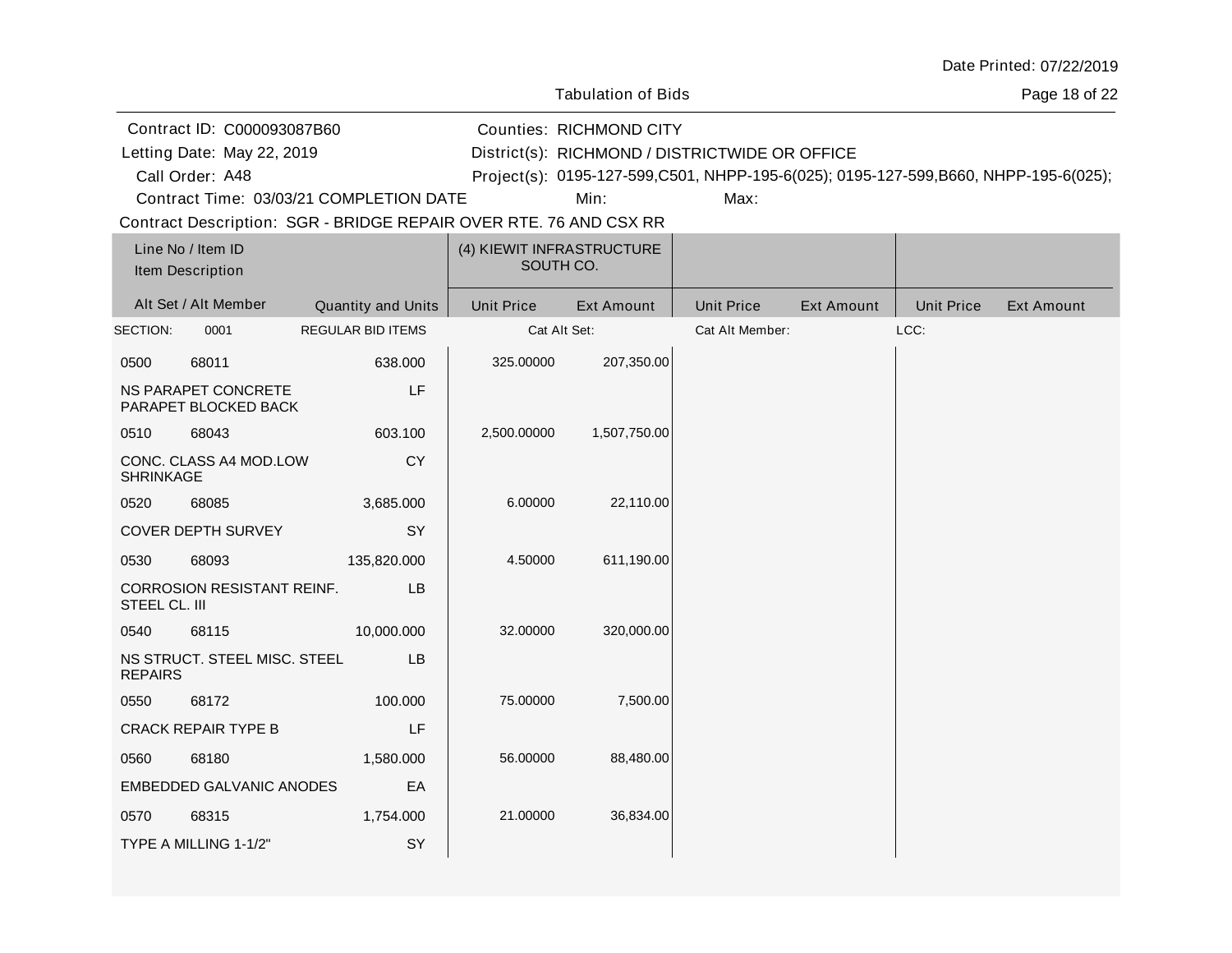| Date Printed: 07/22/2019 |  |
|--------------------------|--|
|--------------------------|--|

Page 18 of 22

Call Order: A48 Letting Date: RICHMOND / DISTRICTWIDE OR OFFICE District(s): Contract ID: C000093087B60 Counties: RICHMOND CITY A48 Project(s): 0195-127-599,C501, NHPP-195-6(025); 0195-127-599,B660, NHPP-195-6(025);Contract Time: 03/03/21 COMPLETION DATE Letting Date: May 22, 2019

Min: Max:

| Line No / Item ID<br>Item Description                   |                       | (4) KIEWIT INFRASTRUCTURE<br>SOUTH CO. |                   |                   |                   |                   |                   |                   |
|---------------------------------------------------------|-----------------------|----------------------------------------|-------------------|-------------------|-------------------|-------------------|-------------------|-------------------|
|                                                         | Alt Set / Alt Member  | <b>Quantity and Units</b>              | <b>Unit Price</b> | <b>Ext Amount</b> | <b>Unit Price</b> | <b>Ext Amount</b> | <b>Unit Price</b> | <b>Ext Amount</b> |
| SECTION:                                                | 0001                  | <b>REGULAR BID ITEMS</b>               | Cat Alt Set:      |                   | Cat Alt Member:   |                   | LCC:              |                   |
| 0500                                                    | 68011                 | 638.000                                | 325.00000         | 207,350.00        |                   |                   |                   |                   |
| LF<br>NS PARAPET CONCRETE<br>PARAPET BLOCKED BACK       |                       |                                        |                   |                   |                   |                   |                   |                   |
| 0510                                                    | 68043                 | 603.100                                | 2,500.00000       | 1,507,750.00      |                   |                   |                   |                   |
| <b>CY</b><br>CONC. CLASS A4 MOD.LOW<br><b>SHRINKAGE</b> |                       |                                        |                   |                   |                   |                   |                   |                   |
| 0520                                                    | 68085                 | 3,685.000                              | 6.00000           | 22,110.00         |                   |                   |                   |                   |
|                                                         | COVER DEPTH SURVEY    | SY                                     |                   |                   |                   |                   |                   |                   |
| 0530                                                    | 68093                 | 135,820.000                            | 4.50000           | 611,190.00        |                   |                   |                   |                   |
| <b>CORROSION RESISTANT REINF.</b><br>STEEL CL. III      |                       | <b>LB</b>                              |                   |                   |                   |                   |                   |                   |
| 0540                                                    | 68115                 | 10,000.000                             | 32.00000          | 320,000.00        |                   |                   |                   |                   |
| NS STRUCT. STEEL MISC. STEEL<br>LB<br><b>REPAIRS</b>    |                       |                                        |                   |                   |                   |                   |                   |                   |
| 0550                                                    | 68172                 | 100.000                                | 75.00000          | 7,500.00          |                   |                   |                   |                   |
| LF<br><b>CRACK REPAIR TYPE B</b>                        |                       |                                        |                   |                   |                   |                   |                   |                   |
| 0560                                                    | 68180                 | 1,580.000                              | 56.00000          | 88,480.00         |                   |                   |                   |                   |
| <b>EMBEDDED GALVANIC ANODES</b><br>EA                   |                       |                                        |                   |                   |                   |                   |                   |                   |
| 0570                                                    | 68315                 | 1,754.000                              | 21.00000          | 36,834.00         |                   |                   |                   |                   |
|                                                         | TYPE A MILLING 1-1/2" | SY                                     |                   |                   |                   |                   |                   |                   |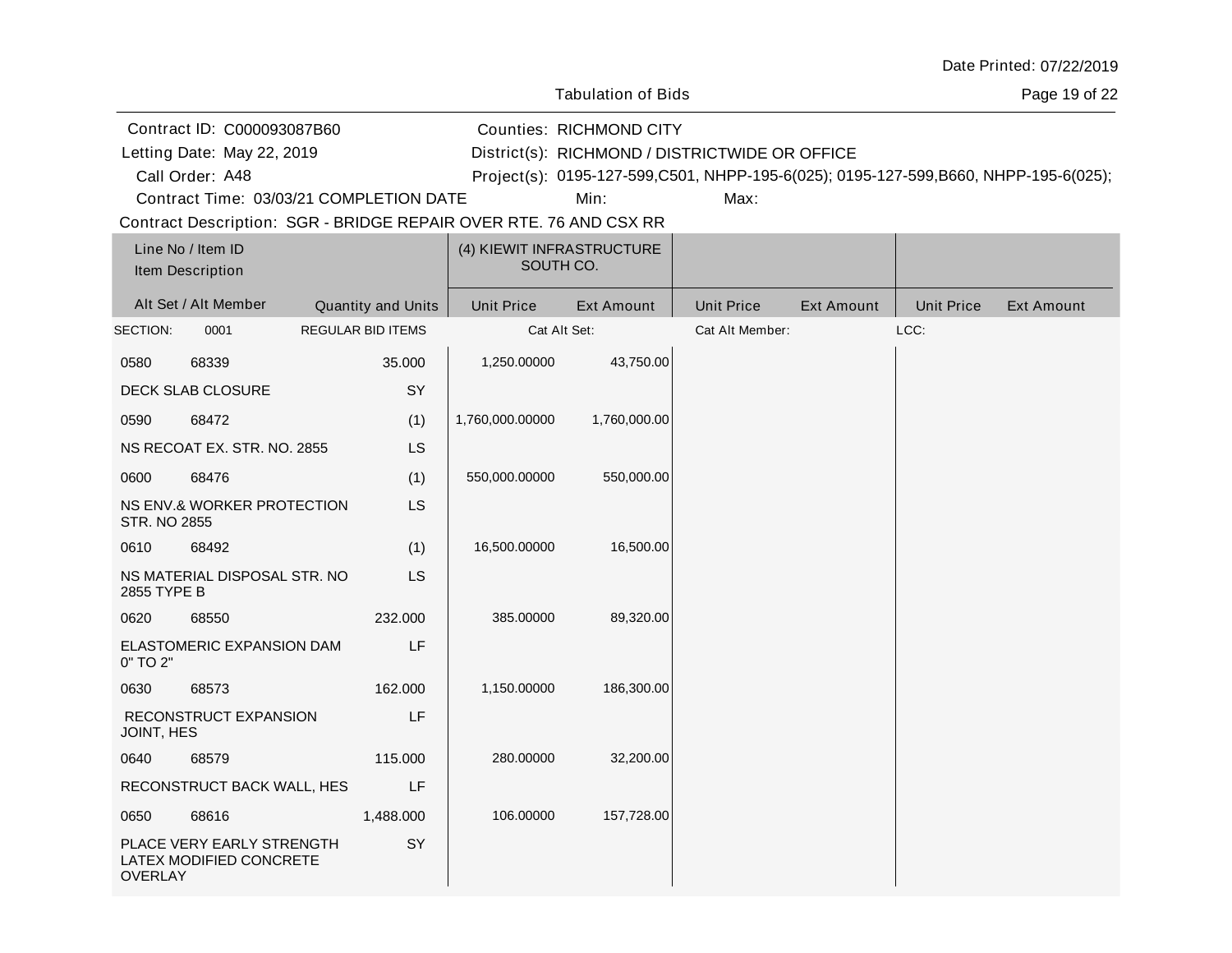| Date Printed: 07/22/2019 |  |
|--------------------------|--|
|--------------------------|--|

Tabulation of Bids

Page 19 of 22

|                                       | Contract ID: C000093087B60                                        |                          |                                                | <b>Counties: RICHMOND CITY</b> |                   |                   |                   |                                                                                     |
|---------------------------------------|-------------------------------------------------------------------|--------------------------|------------------------------------------------|--------------------------------|-------------------|-------------------|-------------------|-------------------------------------------------------------------------------------|
| Letting Date: May 22, 2019            |                                                                   |                          | District(s): RICHMOND / DISTRICTWIDE OR OFFICE |                                |                   |                   |                   |                                                                                     |
| Call Order: A48                       |                                                                   |                          |                                                |                                |                   |                   |                   | Project(s): 0195-127-599,C501, NHPP-195-6(025); 0195-127-599,B660, NHPP-195-6(025); |
|                                       | Contract Time: 03/03/21 COMPLETION DATE                           |                          |                                                | Min:                           | Max:              |                   |                   |                                                                                     |
|                                       | Contract Description: SGR - BRIDGE REPAIR OVER RTE. 76 AND CSX RR |                          |                                                |                                |                   |                   |                   |                                                                                     |
| Line No / Item ID<br>Item Description |                                                                   |                          | (4) KIEWIT INFRASTRUCTURE<br>SOUTH CO.         |                                |                   |                   |                   |                                                                                     |
| Alt Set / Alt Member                  |                                                                   | Quantity and Units       | <b>Unit Price</b>                              | <b>Ext Amount</b>              | <b>Unit Price</b> | <b>Ext Amount</b> | <b>Unit Price</b> | <b>Ext Amount</b>                                                                   |
| SECTION:<br>0001                      |                                                                   | <b>REGULAR BID ITEMS</b> |                                                | Cat Alt Set:                   | Cat Alt Member:   |                   | LCC:              |                                                                                     |
| 0580<br>68339                         |                                                                   | 35.000                   | 1,250.00000                                    | 43,750.00                      |                   |                   |                   |                                                                                     |
| DECK SLAB CLOSURE                     |                                                                   | SY                       |                                                |                                |                   |                   |                   |                                                                                     |
| 68472<br>0590                         |                                                                   | (1)                      | 1,760,000.00000                                | 1,760,000.00                   |                   |                   |                   |                                                                                     |
|                                       | NS RECOAT EX. STR. NO. 2855                                       | <b>LS</b>                |                                                |                                |                   |                   |                   |                                                                                     |
| 0600<br>68476                         |                                                                   | (1)                      | 550,000.00000                                  | 550,000.00                     |                   |                   |                   |                                                                                     |
| <b>STR. NO 2855</b>                   | NS ENV.& WORKER PROTECTION                                        | <b>LS</b>                |                                                |                                |                   |                   |                   |                                                                                     |
| 0610<br>68492                         |                                                                   | (1)                      | 16,500.00000                                   | 16,500.00                      |                   |                   |                   |                                                                                     |
| 2855 TYPE B                           | NS MATERIAL DISPOSAL STR. NO                                      | LS.                      |                                                |                                |                   |                   |                   |                                                                                     |
| 0620<br>68550                         |                                                                   | 232.000                  | 385.00000                                      | 89,320.00                      |                   |                   |                   |                                                                                     |
| 0" TO 2"                              | ELASTOMERIC EXPANSION DAM                                         | LF                       |                                                |                                |                   |                   |                   |                                                                                     |
| 0630<br>68573                         |                                                                   | 162.000                  | 1,150.00000                                    | 186,300.00                     |                   |                   |                   |                                                                                     |
| JOINT, HES                            | RECONSTRUCT EXPANSION                                             | LF                       |                                                |                                |                   |                   |                   |                                                                                     |
| 0640<br>68579                         |                                                                   | 115.000                  | 280.00000                                      | 32,200.00                      |                   |                   |                   |                                                                                     |
|                                       | RECONSTRUCT BACK WALL, HES                                        | LF                       |                                                |                                |                   |                   |                   |                                                                                     |
| 68616<br>0650                         |                                                                   | 1,488.000                | 106.00000                                      | 157,728.00                     |                   |                   |                   |                                                                                     |
| <b>OVERLAY</b>                        | PLACE VERY EARLY STRENGTH<br>LATEX MODIFIED CONCRETE              | SY                       |                                                |                                |                   |                   |                   |                                                                                     |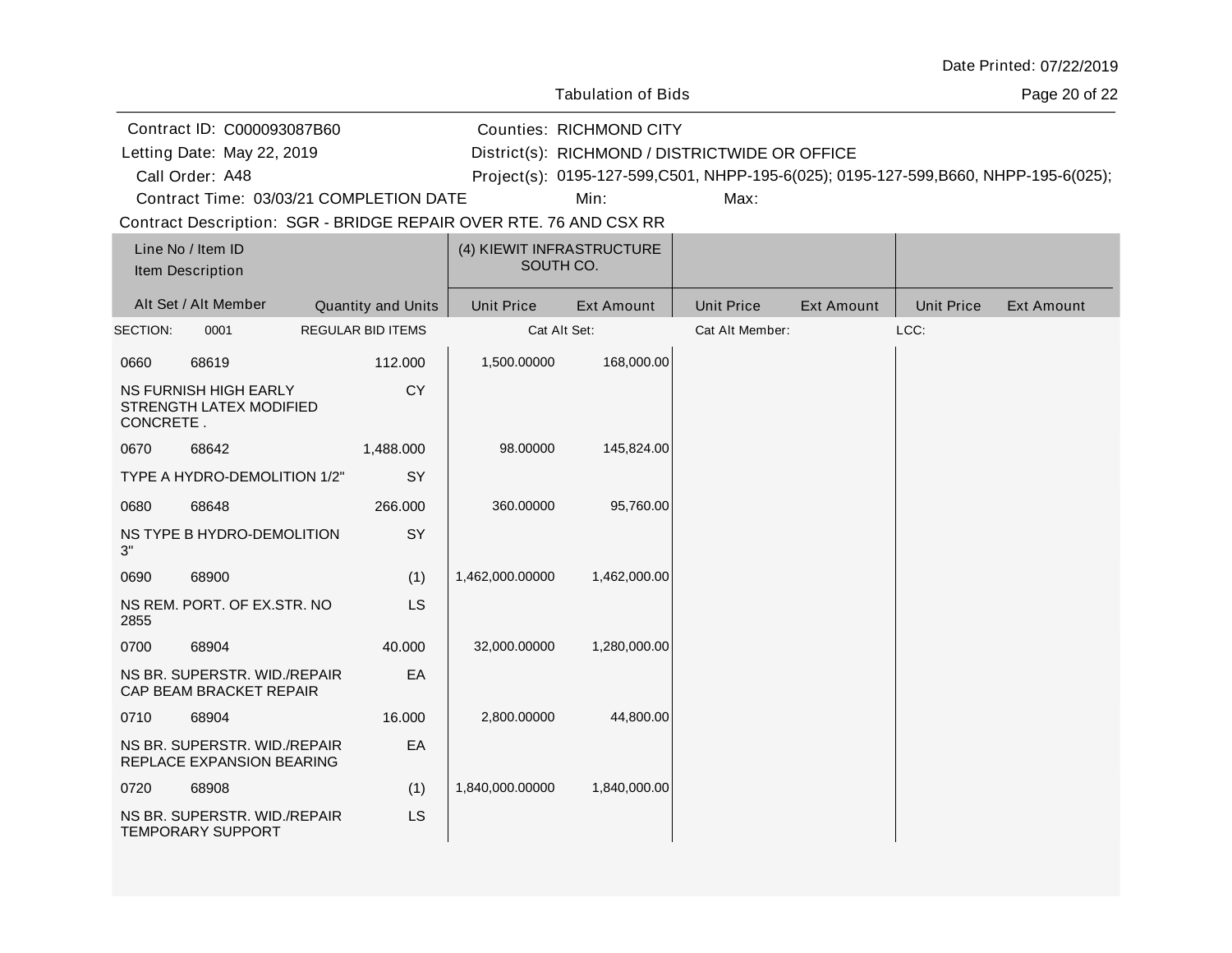| Date Printed: 07/22/2019 |  |
|--------------------------|--|
|--------------------------|--|

Tabulation of Bids

Page 20 of 22

Alt Set / Alt Member Cuantity and Units | Unit Price Ext Amount | Unit Price Ext Amount | Unit Price Ext Amount Line No / Item ID Unit Price Ext Amount | Unit Price Item Description (4) KIEWIT INFRASTRUCTURE SOUTH CO. SECTION: 0001 REGULAR BID ITEMS Cat Alt Set: Cat Alt Member: LCC: 0660 68619 NS FURNISH HIGH EARLY STRENGTH LATEX MODIFIED CONCRETE . 112.000 **CY** 1,500.00000 168,000.00 0670 68642 TYPE A HYDRO-DEMOLITION 1/2" 1,488.000 **SY** 98.00000 145,824.00 0680 68648 NS TYPE B HYDRO-DEMOLITION 3" 266.000 **SY** 360.00000 95,760.00 0690 68900 (1) 1,462,000.00000 1,462,000.00 Contract Description: SGR - BRIDGE REPAIR OVER RTE. 76 AND CSX RR Call Order: A48 Letting Date: RICHMOND / DISTRICTWIDE OR OFFICE District(s): Contract ID: C000093087B60 Counties: RICHMOND CITY A48 Project(s): 0195-127-599,C501, NHPP-195-6(025); 0195-127-599,B660, NHPP-195-6(025);Contract Time: 03/03/21 COMPLETION DATE Letting Date: May 22, 2019 Min: Max:

32,000.00000 1,280,000.00

2,800.00000 44,800.00

1,840,000.00000 1,840,000.00

LS

EA

(1) LS

40.000

16.000 EA

NS REM. PORT. OF EX.STR. NO

NS BR. SUPERSTR. WID./REPAIR CAP BEAM BRACKET REPAIR

NS BR. SUPERSTR. WID./REPAIR REPLACE EXPANSION BEARING

NS BR. SUPERSTR. WID./REPAIR

2855

0700 68904

0710 68904

0720 68908

TEMPORARY SUPPORT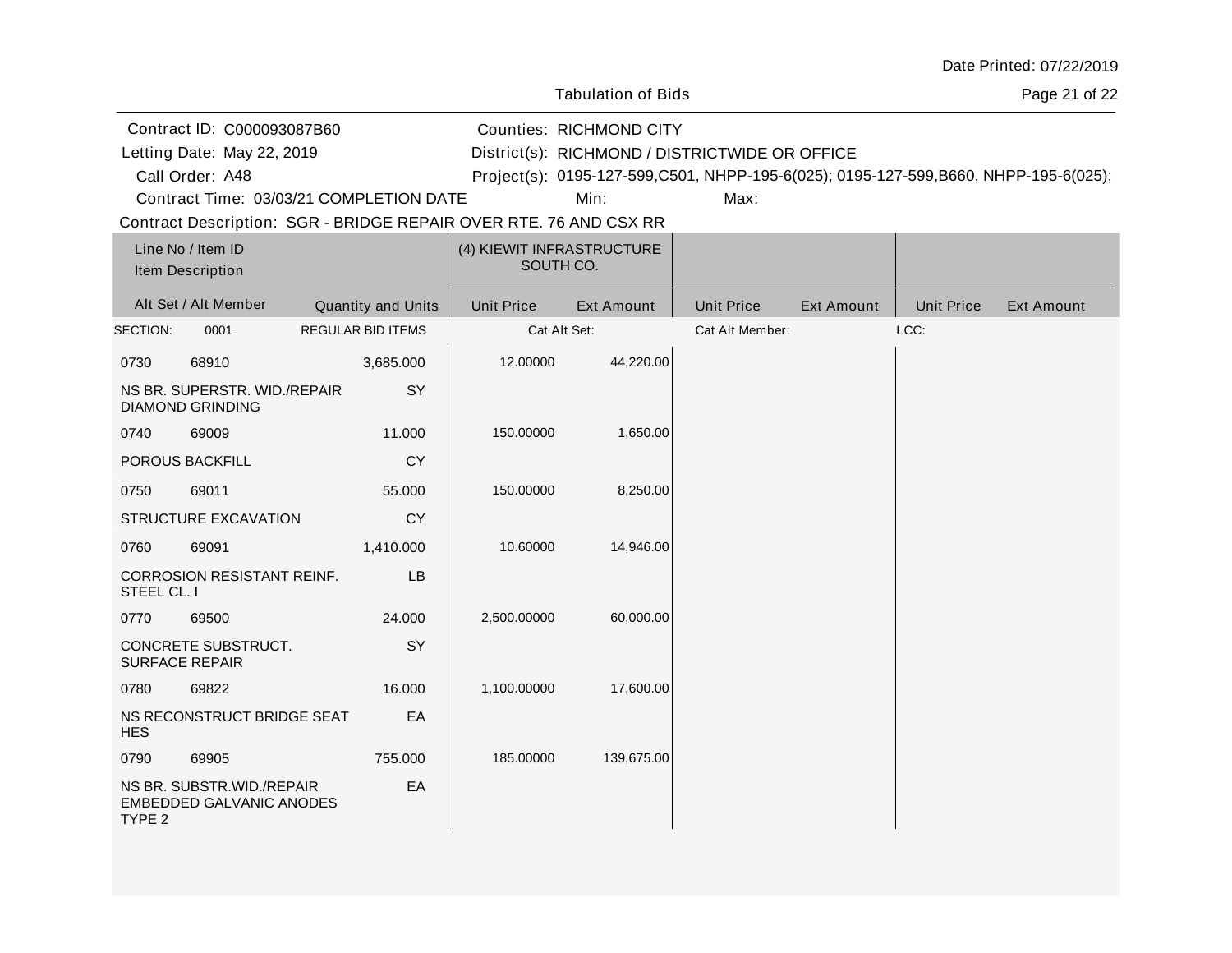| Date Printed: 07/22/2019 |  |
|--------------------------|--|
|--------------------------|--|

Tabulation of Bids

Page 21 of 22

|                                              | Contract ID: C000093087B60                                        |                          |                   | <b>Counties: RICHMOND CITY</b>         |                                                                                     |                   |                   |                   |
|----------------------------------------------|-------------------------------------------------------------------|--------------------------|-------------------|----------------------------------------|-------------------------------------------------------------------------------------|-------------------|-------------------|-------------------|
|                                              | Letting Date: May 22, 2019                                        |                          |                   |                                        | District(s): RICHMOND / DISTRICTWIDE OR OFFICE                                      |                   |                   |                   |
| Call Order: A48                              |                                                                   |                          |                   |                                        | Project(s): 0195-127-599,C501, NHPP-195-6(025); 0195-127-599,B660, NHPP-195-6(025); |                   |                   |                   |
|                                              | Contract Time: 03/03/21 COMPLETION DATE                           |                          |                   | Min:                                   | Max:                                                                                |                   |                   |                   |
|                                              | Contract Description: SGR - BRIDGE REPAIR OVER RTE. 76 AND CSX RR |                          |                   |                                        |                                                                                     |                   |                   |                   |
| Line No / Item ID<br>Item Description        |                                                                   |                          |                   | (4) KIEWIT INFRASTRUCTURE<br>SOUTH CO. |                                                                                     |                   |                   |                   |
| Alt Set / Alt Member                         |                                                                   | Quantity and Units       | <b>Unit Price</b> | <b>Ext Amount</b>                      | <b>Unit Price</b>                                                                   | <b>Ext Amount</b> | <b>Unit Price</b> | <b>Ext Amount</b> |
| SECTION:                                     | 0001                                                              | <b>REGULAR BID ITEMS</b> |                   | Cat Alt Set:                           | Cat Alt Member:                                                                     |                   | LCC:              |                   |
| 0730                                         | 68910                                                             | 3,685.000                | 12.00000          | 44,220.00                              |                                                                                     |                   |                   |                   |
| <b>DIAMOND GRINDING</b>                      | NS BR. SUPERSTR. WID./REPAIR                                      | SY                       |                   |                                        |                                                                                     |                   |                   |                   |
| 0740                                         | 69009                                                             | 11.000                   | 150.00000         | 1,650.00                               |                                                                                     |                   |                   |                   |
| POROUS BACKFILL                              |                                                                   | <b>CY</b>                |                   |                                        |                                                                                     |                   |                   |                   |
| 69011<br>0750                                |                                                                   | 55.000                   | 150.00000         | 8,250.00                               |                                                                                     |                   |                   |                   |
|                                              | STRUCTURE EXCAVATION                                              | CY                       |                   |                                        |                                                                                     |                   |                   |                   |
| 0760                                         | 69091                                                             | 1,410.000                | 10.60000          | 14,946.00                              |                                                                                     |                   |                   |                   |
| STEEL CL. I                                  | CORROSION RESISTANT REINF.                                        | LB                       |                   |                                        |                                                                                     |                   |                   |                   |
| 0770                                         | 69500                                                             | 24.000                   | 2,500.00000       | 60,000.00                              |                                                                                     |                   |                   |                   |
| CONCRETE SUBSTRUCT.<br><b>SURFACE REPAIR</b> |                                                                   | SY                       |                   |                                        |                                                                                     |                   |                   |                   |
| 0780                                         | 69822                                                             | 16.000                   | 1,100.00000       | 17,600.00                              |                                                                                     |                   |                   |                   |
| <b>HES</b>                                   | NS RECONSTRUCT BRIDGE SEAT                                        | EA                       |                   |                                        |                                                                                     |                   |                   |                   |
| 0790                                         | 69905                                                             | 755.000                  | 185.00000         | 139,675.00                             |                                                                                     |                   |                   |                   |
| TYPE 2                                       | NS BR. SUBSTR. WID./REPAIR<br><b>EMBEDDED GALVANIC ANODES</b>     | EA                       |                   |                                        |                                                                                     |                   |                   |                   |
|                                              |                                                                   |                          |                   |                                        |                                                                                     |                   |                   |                   |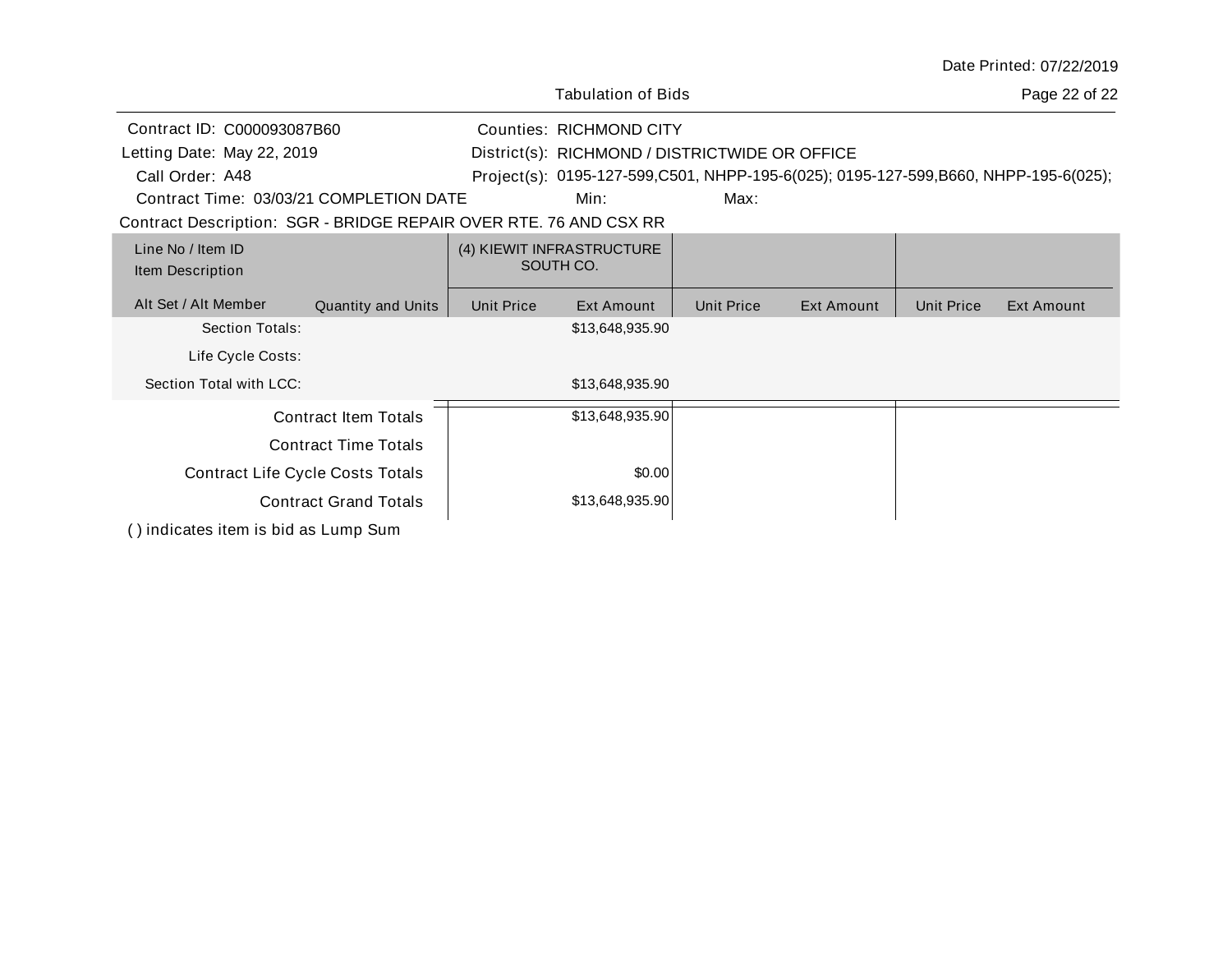|                                                                   |                    |                                |                                                                                     |                   |            |                   | Date Printed: 07/22/2019 |
|-------------------------------------------------------------------|--------------------|--------------------------------|-------------------------------------------------------------------------------------|-------------------|------------|-------------------|--------------------------|
|                                                                   |                    |                                | <b>Tabulation of Bids</b>                                                           |                   |            |                   | Page 22 of 22            |
| Contract ID: C000093087B60                                        |                    | <b>Counties: RICHMOND CITY</b> |                                                                                     |                   |            |                   |                          |
| Letting Date: May 22, 2019                                        |                    |                                | District(s): RICHMOND / DISTRICTWIDE OR OFFICE                                      |                   |            |                   |                          |
| Call Order: A48                                                   |                    |                                | Project(s): 0195-127-599,C501, NHPP-195-6(025); 0195-127-599,B660, NHPP-195-6(025); |                   |            |                   |                          |
| Contract Time: 03/03/21 COMPLETION DATE                           |                    |                                | Min:                                                                                | Max:              |            |                   |                          |
| Contract Description: SGR - BRIDGE REPAIR OVER RTE. 76 AND CSX RR |                    |                                |                                                                                     |                   |            |                   |                          |
| Line No / Item ID<br>Item Description                             |                    |                                | (4) KIEWIT INFRASTRUCTURE<br>SOUTH CO.                                              |                   |            |                   |                          |
| Alt Set / Alt Member                                              | Quantity and Units | <b>Unit Price</b>              | Ext Amount                                                                          | <b>Unit Price</b> | Ext Amount | <b>Unit Price</b> | Ext Amount               |
| Section Totals:                                                   |                    |                                | \$13,648,935.90                                                                     |                   |            |                   |                          |
| Life Cycle Costs:                                                 |                    |                                |                                                                                     |                   |            |                   |                          |
| Section Total with LCC:                                           |                    |                                | \$13,648,935.90                                                                     |                   |            |                   |                          |
| <b>Contract Item Totals</b>                                       |                    |                                | \$13,648,935.90                                                                     |                   |            |                   |                          |
| <b>Contract Time Totals</b>                                       |                    |                                |                                                                                     |                   |            |                   |                          |
| <b>Contract Life Cycle Costs Totals</b>                           |                    |                                | \$0.00                                                                              |                   |            |                   |                          |
| <b>Contract Grand Totals</b>                                      |                    |                                | \$13,648,935.90                                                                     |                   |            |                   |                          |
| () indicates item is bid as Lump Sum                              |                    |                                |                                                                                     |                   |            |                   |                          |